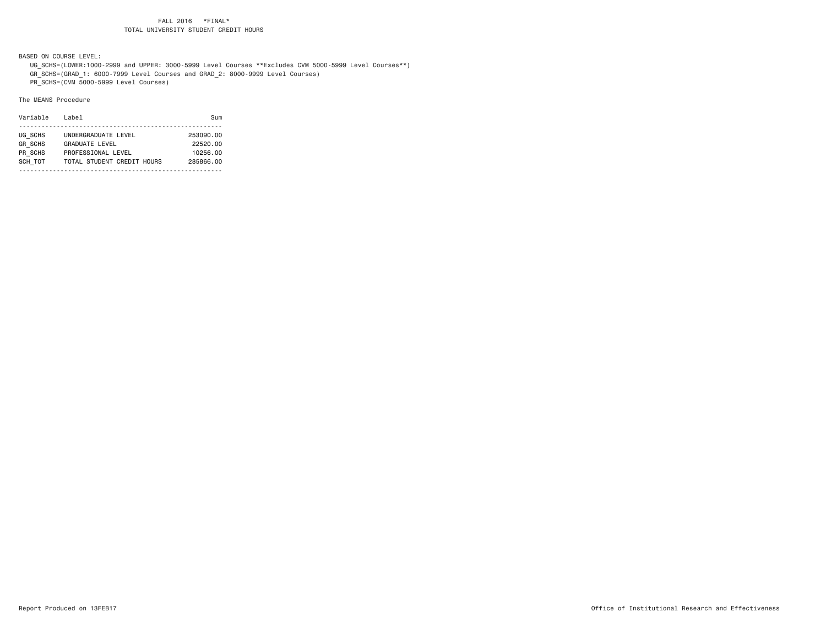BASED ON COURSE LEVEL:

 UG\_SCHS=(LOWER:1000-2999 and UPPER: 3000-5999 Level Courses \*\*Excludes CVM 5000-5999 Level Courses\*\*) GR\_SCHS=(GRAD\_1: 6000-7999 Level Courses and GRAD\_2: 8000-9999 Level Courses)

PR\_SCHS=(CVM 5000-5999 Level Courses)

| Variable       | Label                      | Sum       |
|----------------|----------------------------|-----------|
|                |                            |           |
| UG SCHS        | UNDERGRADUATE LEVEL        | 253090.00 |
| <b>GR SCHS</b> | <b>GRADUATE LEVEL</b>      | 22520.00  |
| PR SCHS        | PROFESSIONAL LEVEL         | 10256.00  |
| SCH TOT        | TOTAL STUDENT CREDIT HOURS | 285866,00 |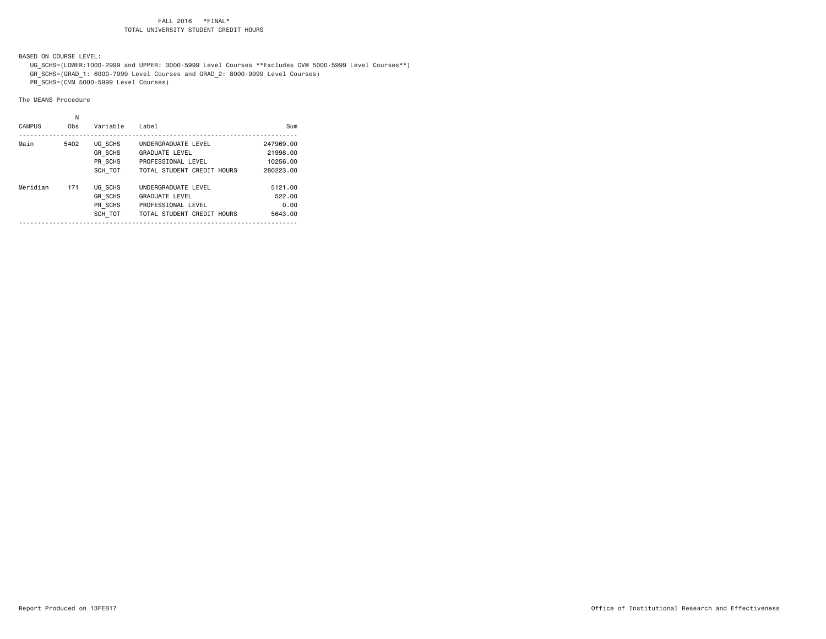BASED ON COURSE LEVEL:

 UG\_SCHS=(LOWER:1000-2999 and UPPER: 3000-5999 Level Courses \*\*Excludes CVM 5000-5999 Level Courses\*\*) GR\_SCHS=(GRAD\_1: 6000-7999 Level Courses and GRAD\_2: 8000-9999 Level Courses)

PR\_SCHS=(CVM 5000-5999 Level Courses)

| <b>CAMPUS</b> | Ν<br>Obs | Variable       | Label                      | Sum       |
|---------------|----------|----------------|----------------------------|-----------|
| Main          | 5402     | UG SCHS        | UNDERGRADUATE LEVEL        | 247969.00 |
|               |          | <b>GR SCHS</b> | <b>GRADUATE LEVEL</b>      | 21998.00  |
|               |          | PR SCHS        | PROFESSIONAL LEVEL         | 10256.00  |
|               |          | SCH TOT        | TOTAL STUDENT CREDIT HOURS | 280223.00 |
| Meridian      | 171      | UG SCHS        | UNDERGRADUATE LEVEL        | 5121.00   |
|               |          | <b>GR SCHS</b> | <b>GRADUATE LEVEL</b>      | 522.00    |
|               |          | PR SCHS        | PROFESSIONAL LEVEL         | 0.00      |
|               |          | SCH TOT        | TOTAL STUDENT CREDIT HOURS | 5643.00   |
|               |          |                |                            |           |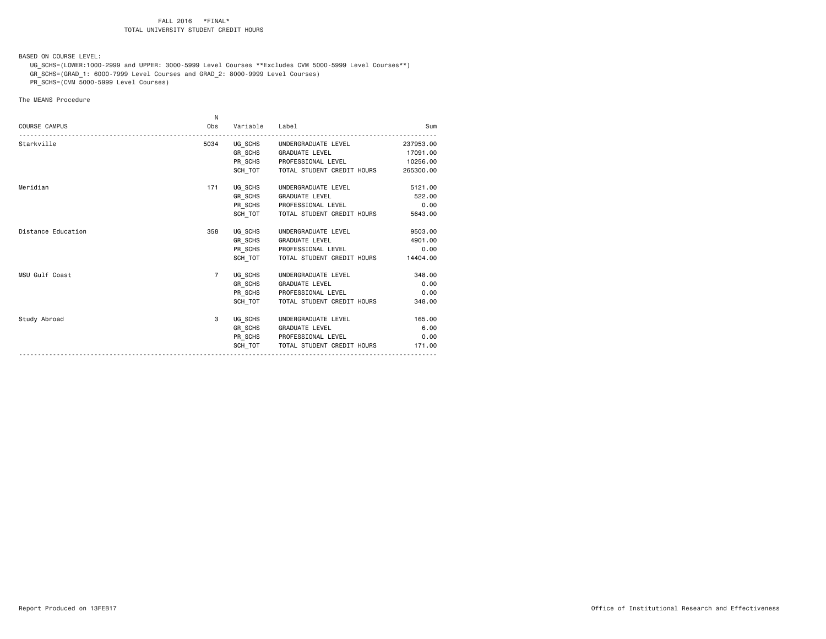BASED ON COURSE LEVEL:

 UG\_SCHS=(LOWER:1000-2999 and UPPER: 3000-5999 Level Courses \*\*Excludes CVM 5000-5999 Level Courses\*\*) GR\_SCHS=(GRAD\_1: 6000-7999 Level Courses and GRAD\_2: 8000-9999 Level Courses)

PR\_SCHS=(CVM 5000-5999 Level Courses)

|                      | N.             |                |                                     |           |
|----------------------|----------------|----------------|-------------------------------------|-----------|
| <b>COURSE CAMPUS</b> | Obs            | Variable Label |                                     | Sum       |
| Starkville           | 5034           |                | UG SCHS UNDERGRADUATE LEVEL         | 237953.00 |
|                      |                |                | GR SCHS GRADUATE LEVEL              | 17091.00  |
|                      |                |                | PR SCHS PROFESSIONAL LEVEL 10256.00 |           |
|                      |                | SCH TOT        | TOTAL STUDENT CREDIT HOURS          | 265300.00 |
| Meridian             | 171            |                | UG_SCHS UNDERGRADUATE LEVEL         | 5121.00   |
|                      |                |                | GR SCHS GRADUATE LEVEL              | 522.00    |
|                      |                |                | PR_SCHS PROFESSIONAL LEVEL          | 0.00      |
|                      |                | SCH TOT        | TOTAL STUDENT CREDIT HOURS          | 5643.00   |
| Distance Education   | 358            |                | UG SCHS UNDERGRADUATE LEVEL         | 9503.00   |
|                      |                |                | GR SCHS GRADUATE LEVEL              | 4901.00   |
|                      |                |                | PR SCHS PROFESSIONAL LEVEL          | 0.00      |
|                      |                | SCH TOT        | TOTAL STUDENT CREDIT HOURS          | 14404.00  |
| MSU Gulf Coast       | $\overline{7}$ |                | UG SCHS UNDERGRADUATE LEVEL         | 348,00    |
|                      |                |                | GR_SCHS GRADUATE LEVEL              | 0.00      |
|                      |                |                | PR_SCHS PROFESSIONAL LEVEL          | 0.00      |
|                      |                | SCH TOT        | TOTAL STUDENT CREDIT HOURS          | 348.00    |
| Study Abroad         | 3              |                | UG_SCHS UNDERGRADUATE LEVEL         | 165.00    |
|                      |                |                | GR_SCHS GRADUATE LEVEL              | 6.00      |
|                      |                |                | PR_SCHS PROFESSIONAL LEVEL          | 0.00      |
|                      |                | SCH TOT        | TOTAL STUDENT CREDIT HOURS          | 171.00    |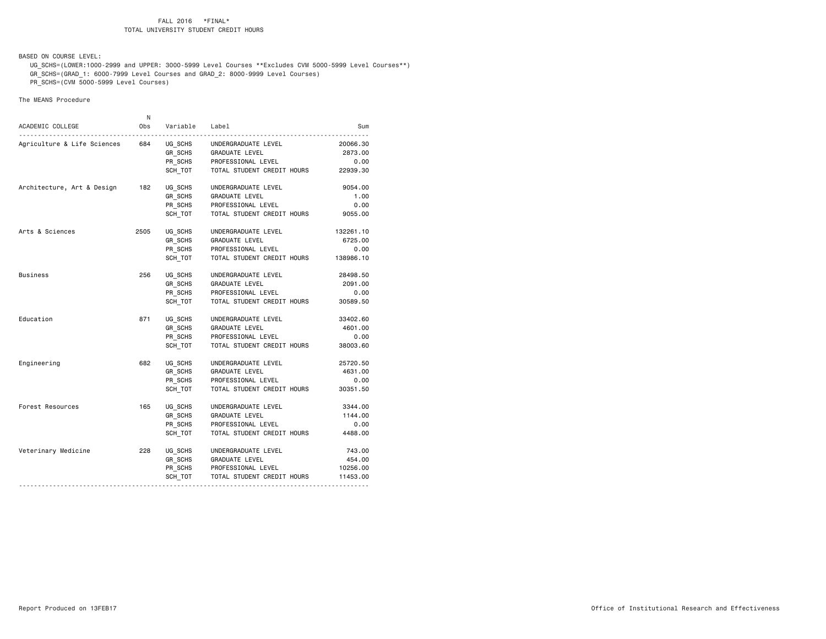BASED ON COURSE LEVEL:

 UG\_SCHS=(LOWER:1000-2999 and UPPER: 3000-5999 Level Courses \*\*Excludes CVM 5000-5999 Level Courses\*\*) GR\_SCHS=(GRAD\_1: 6000-7999 Level Courses and GRAD\_2: 8000-9999 Level Courses)

PR\_SCHS=(CVM 5000-5999 Level Courses)

|                             | N    |                    |                            |           |
|-----------------------------|------|--------------------|----------------------------|-----------|
| ACADEMIC COLLEGE            | Obs  | Variable           | Label                      | Sum       |
| Agriculture & Life Sciences | 684  | UG SCHS            | UNDERGRADUATE LEVEL        | 20066.30  |
|                             |      | GR SCHS            | GRADUATE LEVEL             | 2873.00   |
|                             |      | PR_SCHS            | PROFESSIONAL LEVEL         | 0.00      |
|                             |      | SCH TOT            | TOTAL STUDENT CREDIT HOURS | 22939.30  |
| Architecture, Art & Design  | 182  | UG_SCHS            | UNDERGRADUATE LEVEL        | 9054.00   |
|                             |      | GR SCHS            | GRADUATE LEVEL             | 1.00      |
|                             |      | PR_SCHS            | PROFESSIONAL LEVEL         | 0.00      |
|                             |      | SCH TOT            | TOTAL STUDENT CREDIT HOURS | 9055.00   |
| Arts & Sciences             | 2505 | UG SCHS            | UNDERGRADUATE LEVEL        | 132261.10 |
|                             |      | GR_SCHS<br>PR_SCHS | GRADUATE LEVEL             | 6725.00   |
|                             |      |                    | PROFESSIONAL LEVEL         | 0.00      |
|                             |      | SCH TOT            | TOTAL STUDENT CREDIT HOURS | 138986.10 |
| Business                    | 256  | UG SCHS            | UNDERGRADUATE LEVEL        | 28498.50  |
|                             |      | GR SCHS            | GRADUATE LEVEL             | 2091.00   |
|                             |      | PR_SCHS            | PROFESSIONAL LEVEL         | 0.00      |
|                             |      | SCH TOT            | TOTAL STUDENT CREDIT HOURS | 30589.50  |
| Education                   | 871  | UG SCHS            | UNDERGRADUATE LEVEL        | 33402.60  |
|                             |      | GR_SCHS            | GRADUATE LEVEL             | 4601.00   |
|                             |      | PR_SCHS            | PROFESSIONAL LEVEL         | 0.00      |
|                             |      | SCH TOT            | TOTAL STUDENT CREDIT HOURS | 38003.60  |
| Engineering                 | 682  | UG SCHS            | UNDERGRADUATE LEVEL        | 25720.50  |
|                             |      | GR_SCHS            | GRADUATE LEVEL             | 4631.00   |
|                             |      | PR SCHS            | PROFESSIONAL LEVEL         | 0.00      |
|                             |      | SCH TOT            | TOTAL STUDENT CREDIT HOURS | 30351.50  |
| Forest Resources            | 165  | UG SCHS            | UNDERGRADUATE LEVEL        | 3344.00   |
|                             |      | GR_SCHS            | GRADUATE LEVEL             | 1144.00   |
|                             |      | PR_SCHS            | PROFESSIONAL LEVEL         | 0.00      |
|                             |      | SCH TOT            | TOTAL STUDENT CREDIT HOURS | 4488.00   |
| Veterinary Medicine         | 228  | UG SCHS            | UNDERGRADUATE LEVEL        | 743.00    |
|                             |      | GR_SCHS            | <b>GRADUATE LEVEL</b>      | 454.00    |
|                             |      |                    | PR_SCHS PROFESSIONAL LEVEL | 10256.00  |
|                             |      | SCH TOT            | TOTAL STUDENT CREDIT HOURS | 11453.00  |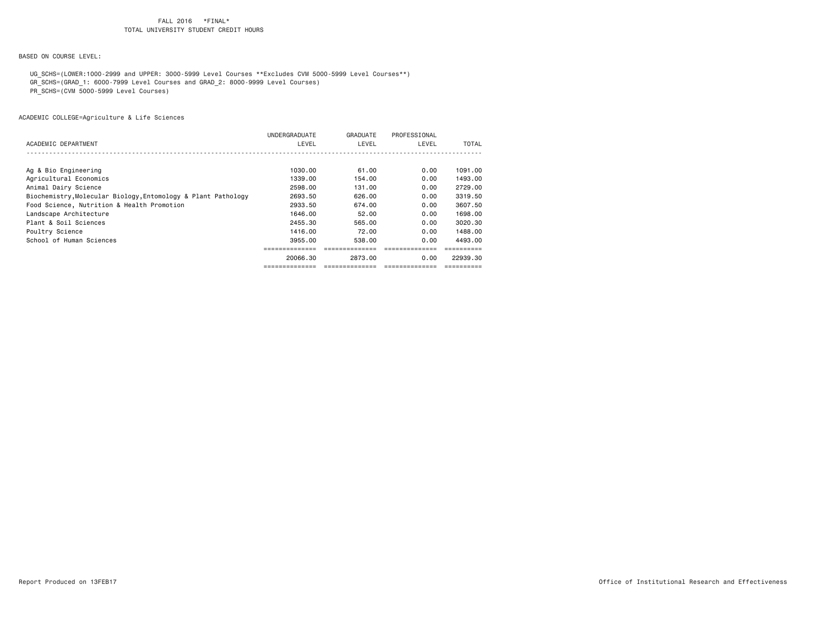BASED ON COURSE LEVEL:

UG\_SCHS=(LOWER:1000-2999 and UPPER: 3000-5999 Level Courses \*\*Excludes CVM 5000-5999 Level Courses\*\*)

GR\_SCHS=(GRAD\_1: 6000-7999 Level Courses and GRAD\_2: 8000-9999 Level Courses)

PR\_SCHS=(CVM 5000-5999 Level Courses)

|                                                               | UNDERGRADUATE | GRADUATE | PROFESSIONAL |          |
|---------------------------------------------------------------|---------------|----------|--------------|----------|
| ACADEMIC DEPARTMENT                                           | LEVEL         | LEVEL    | LEVEL        | TOTAL    |
|                                                               |               |          |              |          |
|                                                               |               |          |              |          |
| Ag & Bio Engineering                                          | 1030.00       | 61.00    | 0.00         | 1091.00  |
| Agricultural Economics                                        | 1339,00       | 154.00   | 0.00         | 1493.00  |
| Animal Dairy Science                                          | 2598.00       | 131.00   | 0.00         | 2729.00  |
| Biochemistry, Molecular Biology, Entomology & Plant Pathology | 2693.50       | 626,00   | 0.00         | 3319.50  |
| Food Science, Nutrition & Health Promotion                    | 2933.50       | 674.00   | 0.00         | 3607.50  |
| Landscape Architecture                                        | 1646.00       | 52.00    | 0.00         | 1698.00  |
| Plant & Soil Sciences                                         | 2455.30       | 565,00   | 0.00         | 3020.30  |
| Poultry Science                                               | 1416.00       | 72.00    | 0.00         | 1488.00  |
| School of Human Sciences                                      | 3955.00       | 538.00   | 0.00         | 4493.00  |
|                                                               |               |          |              |          |
|                                                               | 20066.30      | 2873.00  | 0.00         | 22939.30 |
|                                                               |               |          |              |          |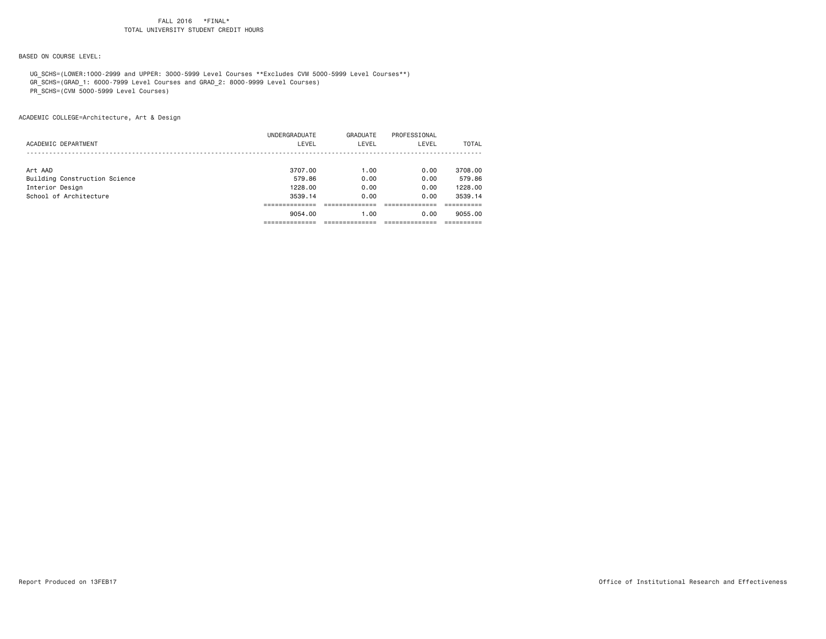BASED ON COURSE LEVEL:

UG\_SCHS=(LOWER:1000-2999 and UPPER: 3000-5999 Level Courses \*\*Excludes CVM 5000-5999 Level Courses\*\*)

GR\_SCHS=(GRAD\_1: 6000-7999 Level Courses and GRAD\_2: 8000-9999 Level Courses)

PR\_SCHS=(CVM 5000-5999 Level Courses)

ACADEMIC COLLEGE=Architecture, Art & Design

|                               | 9054.00       | 1.00     | 0.00         | 9055,00 |
|-------------------------------|---------------|----------|--------------|---------|
|                               |               |          |              |         |
| School of Architecture        | 3539.14       | 0.00     | 0.00         | 3539.14 |
| Interior Design               | 1228,00       | 0.00     | 0.00         | 1228.00 |
| Building Construction Science | 579.86        | 0.00     | 0.00         | 579.86  |
| Art AAD                       | 3707.00       | 1.00     | 0.00         | 3708.00 |
|                               |               |          |              |         |
| ACADEMIC DEPARTMENT           | LEVEL         | LEVEL    | LEVEL        | TOTAL   |
|                               | UNDERGRADUATE | GRADUATE | PROFESSIONAL |         |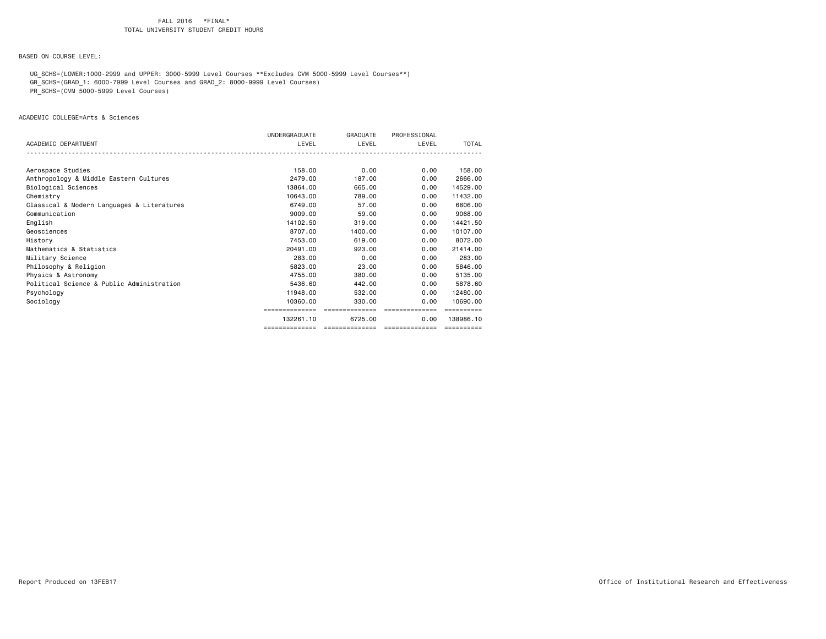BASED ON COURSE LEVEL:

 UG\_SCHS=(LOWER:1000-2999 and UPPER: 3000-5999 Level Courses \*\*Excludes CVM 5000-5999 Level Courses\*\*) GR\_SCHS=(GRAD\_1: 6000-7999 Level Courses and GRAD\_2: 8000-9999 Level Courses)

PR\_SCHS=(CVM 5000-5999 Level Courses)

ACADEMIC COLLEGE=Arts & Sciences

|                                            | UNDERGRADUATE  | GRADUATE       | PROFESSIONAL   |            |
|--------------------------------------------|----------------|----------------|----------------|------------|
| ACADEMIC DEPARTMENT                        | LEVEL          | LEVEL          | LEVEL          | TOTAL      |
|                                            |                |                |                |            |
|                                            |                |                |                |            |
| Aerospace Studies                          | 158.00         | 0.00           | 0.00           | 158.00     |
| Anthropology & Middle Eastern Cultures     | 2479.00        | 187.00         | 0.00           | 2666.00    |
| Biological Sciences                        | 13864.00       | 665,00         | 0.00           | 14529,00   |
| Chemistry                                  | 10643,00       | 789.00         | 0.00           | 11432.00   |
| Classical & Modern Languages & Literatures | 6749.00        | 57.00          | 0.00           | 6806.00    |
| Communication                              | 9009.00        | 59,00          | 0.00           | 9068,00    |
| English                                    | 14102.50       | 319,00         | 0.00           | 14421.50   |
| Geosciences                                | 8707.00        | 1400.00        | 0.00           | 10107.00   |
| History                                    | 7453.00        | 619,00         | 0.00           | 8072.00    |
| Mathematics & Statistics                   | 20491.00       | 923.00         | 0.00           | 21414.00   |
| Military Science                           | 283.00         | 0.00           | 0.00           | 283.00     |
| Philosophy & Religion                      | 5823.00        | 23.00          | 0.00           | 5846.00    |
| Physics & Astronomy                        | 4755.00        | 380.00         | 0.00           | 5135.00    |
| Political Science & Public Administration  | 5436.60        | 442.00         | 0.00           | 5878.60    |
| Psychology                                 | 11948.00       | 532.00         | 0.00           | 12480.00   |
| Sociology                                  | 10360.00       | 330,00         | 0.00           | 10690.00   |
|                                            | ============== | -------------- | ============== |            |
|                                            | 132261.10      | 6725.00        | 0.00           | 138986.10  |
|                                            |                |                |                | ========== |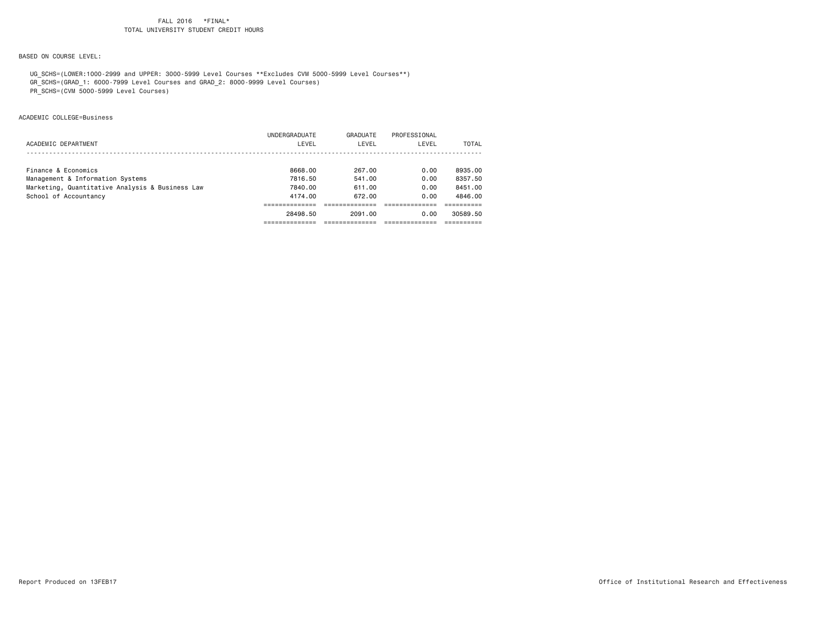## BASED ON COURSE LEVEL:

 UG\_SCHS=(LOWER:1000-2999 and UPPER: 3000-5999 Level Courses \*\*Excludes CVM 5000-5999 Level Courses\*\*) GR\_SCHS=(GRAD\_1: 6000-7999 Level Courses and GRAD\_2: 8000-9999 Level Courses)

PR\_SCHS=(CVM 5000-5999 Level Courses)

## ACADEMIC COLLEGE=Business

|                                                 | UNDERGRADUATE | GRADUATE | PROFESSIONAL |          |
|-------------------------------------------------|---------------|----------|--------------|----------|
| ACADEMIC DEPARTMENT                             | LEVEL         | LEVEL    | LEVEL        | TOTAL    |
|                                                 |               |          |              |          |
| Finance & Economics                             | 8668.00       | 267.00   | 0.00         | 8935.00  |
| Management & Information Systems                | 7816.50       | 541.00   | 0.00         | 8357.50  |
| Marketing, Quantitative Analysis & Business Law | 7840.00       | 611.00   | 0.00         | 8451.00  |
| School of Accountancy                           | 4174.00       | 672.00   | 0.00         | 4846.00  |
|                                                 |               |          |              |          |
|                                                 | 28498.50      | 2091.00  | 0.00         | 30589.50 |
|                                                 |               |          |              |          |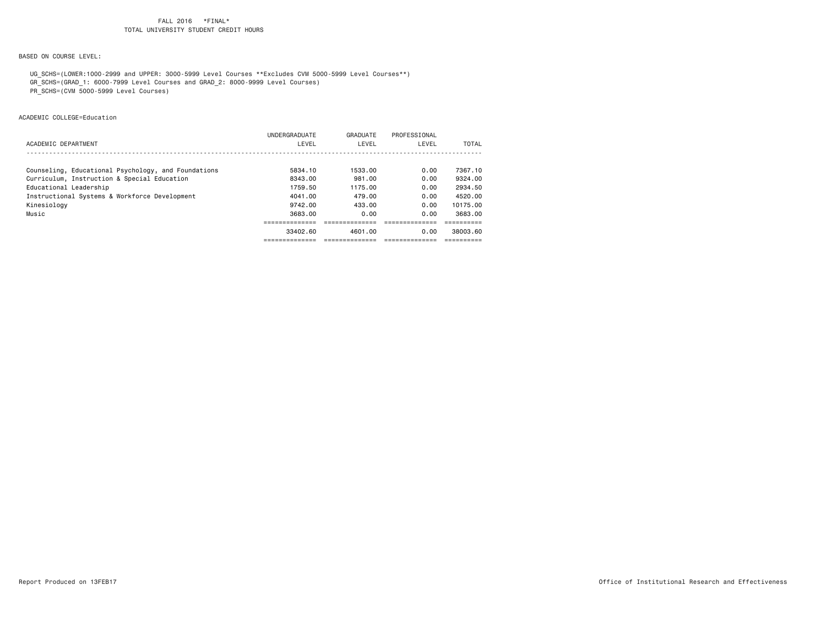BASED ON COURSE LEVEL:

 UG\_SCHS=(LOWER:1000-2999 and UPPER: 3000-5999 Level Courses \*\*Excludes CVM 5000-5999 Level Courses\*\*) GR\_SCHS=(GRAD\_1: 6000-7999 Level Courses and GRAD\_2: 8000-9999 Level Courses)

PR\_SCHS=(CVM 5000-5999 Level Courses)

ACADEMIC COLLEGE=Education

|                                                     | 33402.60      | 4601.00  | 0.00         | 38003.60 |
|-----------------------------------------------------|---------------|----------|--------------|----------|
|                                                     |               |          |              |          |
| Music                                               | 3683.00       | 0.00     | 0.00         | 3683.00  |
| Kinesiology                                         | 9742.00       | 433.00   | 0.00         | 10175.00 |
| Instructional Systems & Workforce Development       | 4041.00       | 479.00   | 0.00         | 4520.00  |
| Educational Leadership                              | 1759.50       | 1175.00  | 0.00         | 2934.50  |
| Curriculum, Instruction & Special Education         | 8343.00       | 981.00   | 0.00         | 9324.00  |
| Counseling, Educational Psychology, and Foundations | 5834.10       | 1533.00  | 0.00         | 7367.10  |
|                                                     |               |          |              |          |
| ACADEMIC DEPARTMENT                                 | LEVEL         | LEVEL    | LEVEL        | TOTAL    |
|                                                     | UNDERGRADUATE | GRADUATE | PROFESSIONAL |          |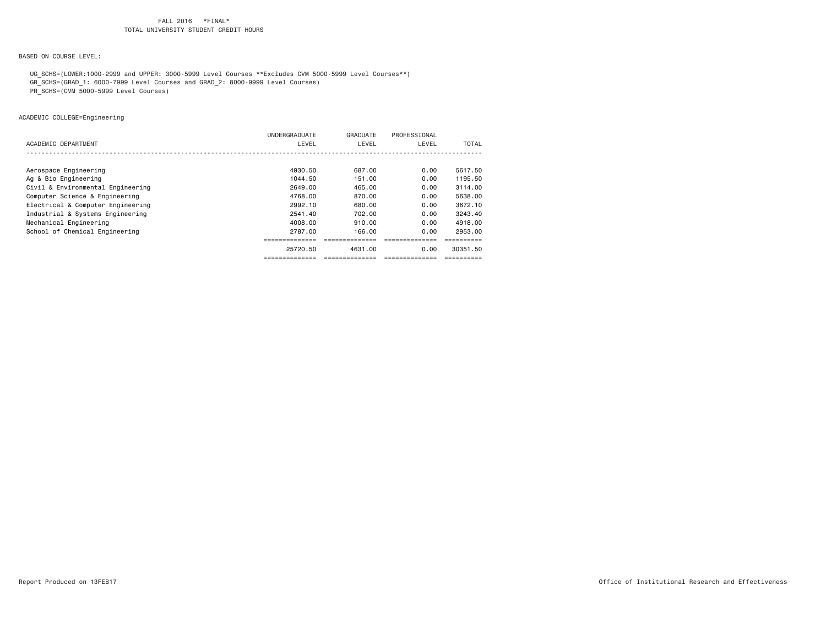BASED ON COURSE LEVEL:

UG\_SCHS=(LOWER:1000-2999 and UPPER: 3000-5999 Level Courses \*\*Excludes CVM 5000-5999 Level Courses\*\*)

- GR\_SCHS=(GRAD\_1: 6000-7999 Level Courses and GRAD\_2: 8000-9999 Level Courses)
- PR\_SCHS=(CVM 5000-5999 Level Courses)

ACADEMIC COLLEGE=Engineering

|                                   | UNDERGRADUATE | GRADUATE | PROFESSIONAL |          |
|-----------------------------------|---------------|----------|--------------|----------|
| ACADEMIC DEPARTMENT               | LEVEL         | LEVEL    | LEVEL        | TOTAL    |
|                                   |               |          |              |          |
|                                   |               |          |              |          |
| Aerospace Engineering             | 4930.50       | 687.00   | 0.00         | 5617.50  |
| Ag & Bio Engineering              | 1044.50       | 151.00   | 0.00         | 1195.50  |
| Civil & Environmental Engineering | 2649.00       | 465.00   | 0.00         | 3114.00  |
| Computer Science & Engineering    | 4768.00       | 870.00   | 0.00         | 5638,00  |
| Electrical & Computer Engineering | 2992.10       | 680.00   | 0.00         | 3672.10  |
| Industrial & Systems Engineering  | 2541.40       | 702.00   | 0.00         | 3243.40  |
| Mechanical Engineering            | 4008.00       | 910.00   | 0.00         | 4918.00  |
| School of Chemical Engineering    | 2787.00       | 166.00   | 0.00         | 2953.00  |
|                                   |               |          |              |          |
|                                   | 25720.50      | 4631.00  | 0.00         | 30351.50 |
|                                   |               |          |              |          |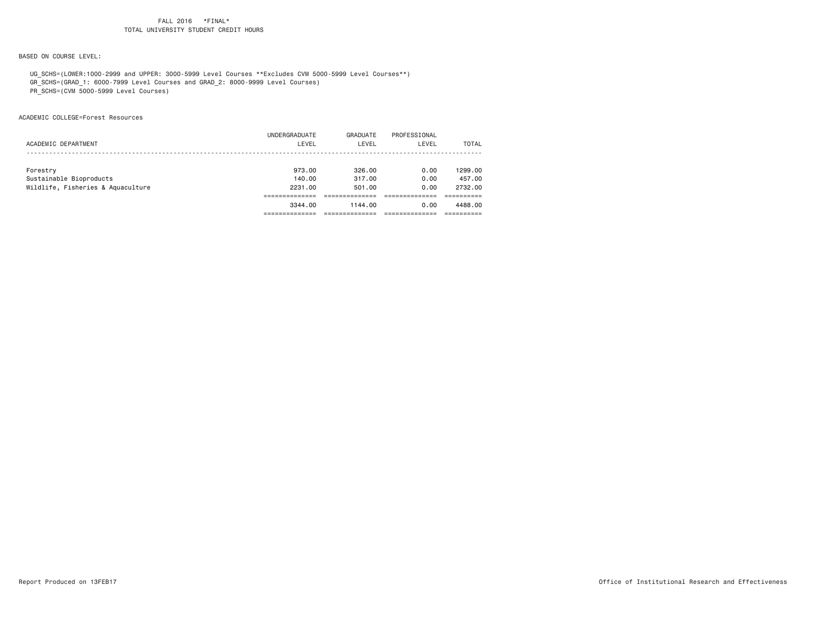BASED ON COURSE LEVEL:

 UG\_SCHS=(LOWER:1000-2999 and UPPER: 3000-5999 Level Courses \*\*Excludes CVM 5000-5999 Level Courses\*\*) GR\_SCHS=(GRAD\_1: 6000-7999 Level Courses and GRAD\_2: 8000-9999 Level Courses)

PR\_SCHS=(CVM 5000-5999 Level Courses)

ACADEMIC COLLEGE=Forest Resources

|                                   | 3344.00       | 1144.00  | 0.00         | 4488.00 |
|-----------------------------------|---------------|----------|--------------|---------|
|                                   |               |          |              |         |
| Wildlife, Fisheries & Aquaculture | 2231.00       | 501.00   | 0.00         | 2732.00 |
| Sustainable Bioproducts           | 140.00        | 317,00   | 0.00         | 457,00  |
| Forestry                          | 973.00        | 326.00   | 0.00         | 1299.00 |
|                                   |               |          |              |         |
| ACADEMIC DEPARTMENT               | LEVEL         | LEVEL    | LEVEL        | TOTAL   |
|                                   | UNDERGRADUATE | GRADUATE | PROFESSIONAL |         |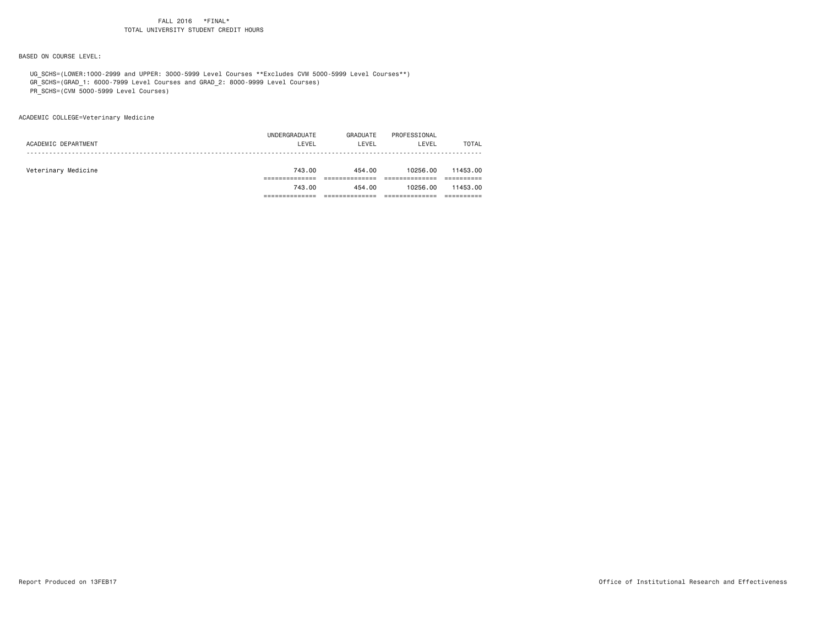BASED ON COURSE LEVEL:

UG\_SCHS=(LOWER:1000-2999 and UPPER: 3000-5999 Level Courses \*\*Excludes CVM 5000-5999 Level Courses\*\*)

GR\_SCHS=(GRAD\_1: 6000-7999 Level Courses and GRAD\_2: 8000-9999 Level Courses)

PR\_SCHS=(CVM 5000-5999 Level Courses)

ACADEMIC COLLEGE=Veterinary Medicine

|                     | UNDERGRADUATE | GRADUATE | PROFESSIONAL |              |
|---------------------|---------------|----------|--------------|--------------|
| ACADEMIC DEPARTMENT | LEVEL         | LEVEL    | LEVEL        | <b>TOTAL</b> |
|                     |               |          |              |              |
| Veterinary Medicine | 743.00        | 454.00   | 10256.00     | 11453.00     |
|                     |               |          |              |              |
|                     | 743.00        | 454.00   | 10256.00     | 11453.00     |
|                     |               |          |              |              |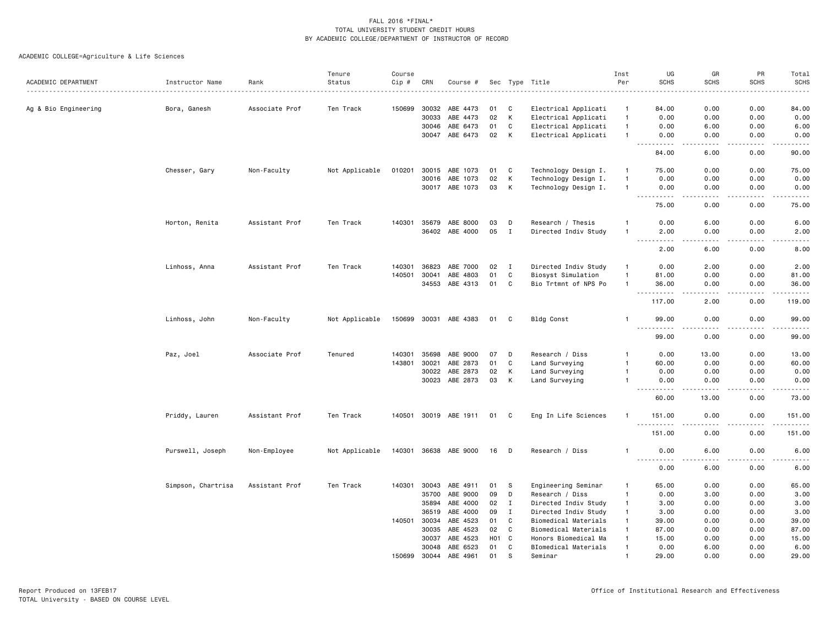|                      |                    |                  | Tenure         | Course |              |                       |                  |                |                      | Inst           | UG                                        | GR                    | PR                | Total                                                                                                                             |
|----------------------|--------------------|------------------|----------------|--------|--------------|-----------------------|------------------|----------------|----------------------|----------------|-------------------------------------------|-----------------------|-------------------|-----------------------------------------------------------------------------------------------------------------------------------|
| ACADEMIC DEPARTMENT  | Instructor Name    | Rank<br><u>.</u> | Status         | Cip #  | CRN          | Course #              |                  |                | Sec Type Title<br>.  | Per            | <b>SCHS</b>                               | <b>SCHS</b>           | <b>SCHS</b>       | <b>SCHS</b><br>$\sim$ $\sim$ $\sim$ $\sim$                                                                                        |
| Ag & Bio Engineering | Bora, Ganesh       | Associate Prof   | Ten Track      | 150699 | 30032        | ABE 4473              | 01               | C              | Electrical Applicati | $\mathbf{1}$   | 84.00                                     | 0.00                  | 0.00              | 84.00                                                                                                                             |
|                      |                    |                  |                |        | 30033        | ABE 4473              | 02               | К              | Electrical Applicati | $\overline{1}$ | 0.00                                      | 0.00                  | 0.00              | 0.00                                                                                                                              |
|                      |                    |                  |                |        | 30046        | ABE 6473              | 01               | C              | Electrical Applicati | $\overline{1}$ | 0.00                                      | 6.00                  | 0.00              | 6.00                                                                                                                              |
|                      |                    |                  |                |        | 30047        | ABE 6473              | 02               | K              | Electrical Applicati | $\overline{1}$ | 0.00                                      | 0.00                  | 0.00              | 0.00                                                                                                                              |
|                      |                    |                  |                |        |              |                       |                  |                |                      |                | $\sim$ $\sim$<br>84.00                    | 6.00                  | 0.00              | 90.00                                                                                                                             |
|                      | Chesser, Gary      | Non-Faculty      | Not Applicable | 010201 |              | 30015 ABE 1073        | 01               | C              | Technology Design I. | -1             | 75.00                                     | 0.00                  | 0.00              | 75.00                                                                                                                             |
|                      |                    |                  |                |        | 30016        | ABE 1073              | 02               | K              | Technology Design I. | $\overline{1}$ | 0.00                                      | 0.00                  | 0.00              | 0.00                                                                                                                              |
|                      |                    |                  |                |        |              | 30017 ABE 1073        | 03               | K              | Technology Design I. | $\overline{1}$ | 0.00                                      | 0.00                  | 0.00              | 0.00                                                                                                                              |
|                      |                    |                  |                |        |              |                       |                  |                |                      |                | $\sim$ $\sim$ $\sim$<br>المتماما<br>75.00 | .<br>0.00             | $- - - -$<br>0.00 | $- - - -$<br>75.00                                                                                                                |
|                      |                    |                  |                |        |              |                       |                  |                |                      |                |                                           |                       |                   |                                                                                                                                   |
|                      | Horton, Renita     | Assistant Prof   | Ten Track      |        | 140301 35679 | ABE 8000              | 03               | D              | Research / Thesis    | -1             | 0.00                                      | 6.00                  | 0.00              | 6.00                                                                                                                              |
|                      |                    |                  |                |        |              | 36402 ABE 4000        | 05               | $\mathbf{I}$   | Directed Indiv Study | -1             | 2.00<br>$\sim$ $\sim$<br>$\frac{1}{2}$    | 0.00<br>$\frac{1}{2}$ | 0.00              | 2.00<br>$\frac{1}{2} \left( \frac{1}{2} \right) \left( \frac{1}{2} \right) \left( \frac{1}{2} \right) \left( \frac{1}{2} \right)$ |
|                      |                    |                  |                |        |              |                       |                  |                |                      |                | 2.00                                      | 6.00                  | 0.00              | 8.00                                                                                                                              |
|                      | Linhoss, Anna      | Assistant Prof   | Ten Track      | 140301 | 36823        | ABE 7000              | 02               | $\mathbf{I}$   | Directed Indiv Study | $\overline{1}$ | 0.00                                      | 2.00                  | 0.00              | 2.00                                                                                                                              |
|                      |                    |                  |                | 140501 | 30041        | ABE 4803              | 01               | $\mathtt{C}$   | Biosyst Simulation   | $\overline{1}$ | 81.00                                     | 0.00                  | 0.00              | 81.00                                                                                                                             |
|                      |                    |                  |                |        |              | 34553 ABE 4313        | 01               | C              | Bio Trtmnt of NPS Po | $\overline{1}$ | 36.00                                     | 0.00                  | 0.00              | 36.00                                                                                                                             |
|                      |                    |                  |                |        |              |                       |                  |                |                      |                | 117.00                                    | 2.00                  | 0.00              | .<br>119.00                                                                                                                       |
|                      | Linhoss, John      | Non-Faculty      | Not Applicable |        |              | 150699 30031 ABE 4383 | 01               | C              | Bldg Const           | -1             | 99.00                                     | 0.00                  | 0.00              | 99.00                                                                                                                             |
|                      |                    |                  |                |        |              |                       |                  |                |                      |                | $\sim$ $\sim$ $\sim$<br>99.00             | 0.00                  | 0.00              | 99.00                                                                                                                             |
|                      | Paz, Joel          | Associate Prof   | Tenured        | 140301 | 35698        | ABE 9000              | 07               | D              | Research / Diss      | -1             | 0.00                                      | 13.00                 | 0.00              | 13.00                                                                                                                             |
|                      |                    |                  |                | 143801 | 30021        | ABE 2873              | 01               | C              | Land Surveying       | $\overline{1}$ | 60.00                                     | 0.00                  | 0.00              | 60.00                                                                                                                             |
|                      |                    |                  |                |        | 30022        | ABE 2873              | 02               | К              | Land Surveying       | -1             | 0.00                                      | 0.00                  | 0.00              | 0.00                                                                                                                              |
|                      |                    |                  |                |        | 30023        | ABE 2873              | 03               | К              | Land Surveying       | -1             | 0.00                                      | 0.00                  | 0.00              | 0.00                                                                                                                              |
|                      |                    |                  |                |        |              |                       |                  |                |                      |                | .<br>60.00                                | .<br>13.00            | .<br>0.00         | .<br>73.00                                                                                                                        |
|                      | Priddy, Lauren     | Assistant Prof   | Ten Track      |        |              | 140501 30019 ABE 1911 | 01               | C              | Eng In Life Sciences | -1             | 151.00                                    | 0.00                  | 0.00              | 151.00                                                                                                                            |
|                      |                    |                  |                |        |              |                       |                  |                |                      |                | $\sim$ $\sim$<br>.<br>151.00              | 0.00                  | 0.00              | 151.00                                                                                                                            |
|                      | Purswell, Joseph   | Non-Employee     | Not Applicable |        |              | 140301 36638 ABE 9000 | 16               | D              | Research / Diss      | -1             | 0.00                                      | 6.00                  | 0.00              | 6.00                                                                                                                              |
|                      |                    |                  |                |        |              |                       |                  |                |                      |                | $\omega$ is $\omega$ in .<br>0.00         | 6.00                  | 0.00              | 6.00                                                                                                                              |
|                      | Simpson, Chartrisa | Assistant Prof   | Ten Track      | 140301 | 30043        | ABE 4911              | 01               | -S             | Engineering Seminar  | $\overline{1}$ | 65.00                                     | 0.00                  | 0.00              | 65.00                                                                                                                             |
|                      |                    |                  |                |        | 35700        | ABE 9000              | 09               | D              | Research / Diss      | $\overline{1}$ | 0.00                                      | 3.00                  | 0.00              | 3.00                                                                                                                              |
|                      |                    |                  |                |        | 35894        | ABE 4000              | 02               | $\mathbf{I}$   | Directed Indiv Study | $\mathbf{1}$   | 3.00                                      | 0.00                  | 0.00              | 3.00                                                                                                                              |
|                      |                    |                  |                |        | 36519        | ABE 4000              | 09               | $\mathbf{I}$   | Directed Indiv Study | $\mathbf{1}$   | 3.00                                      | 0.00                  | 0.00              | 3.00                                                                                                                              |
|                      |                    |                  |                | 140501 | 30034        | ABE 4523              | 01               | C              | Biomedical Materials | $\mathbf{1}$   | 39.00                                     | 0.00                  | 0.00              | 39.00                                                                                                                             |
|                      |                    |                  |                |        | 30035        | ABE 4523              | 02               | C              | Biomedical Materials | $\mathbf{1}$   | 87.00                                     | 0.00                  | 0.00              | 87.00                                                                                                                             |
|                      |                    |                  |                |        | 30037        | ABE 4523              | H <sub>0</sub> 1 | C <sub>1</sub> | Honors Biomedical Ma | -1             | 15.00                                     | 0.00                  | 0.00              | 15.00                                                                                                                             |
|                      |                    |                  |                |        | 30048        | ABE 6523              | 01               | C              | BIomedical Materials | $\overline{1}$ | 0.00                                      | 6.00                  | 0.00              | 6.00                                                                                                                              |
|                      |                    |                  |                | 150699 | 30044        | ABE 4961              | 01               | <sub>S</sub>   | Seminar              | $\overline{1}$ | 29.00                                     | 0.00                  | 0.00              | 29.00                                                                                                                             |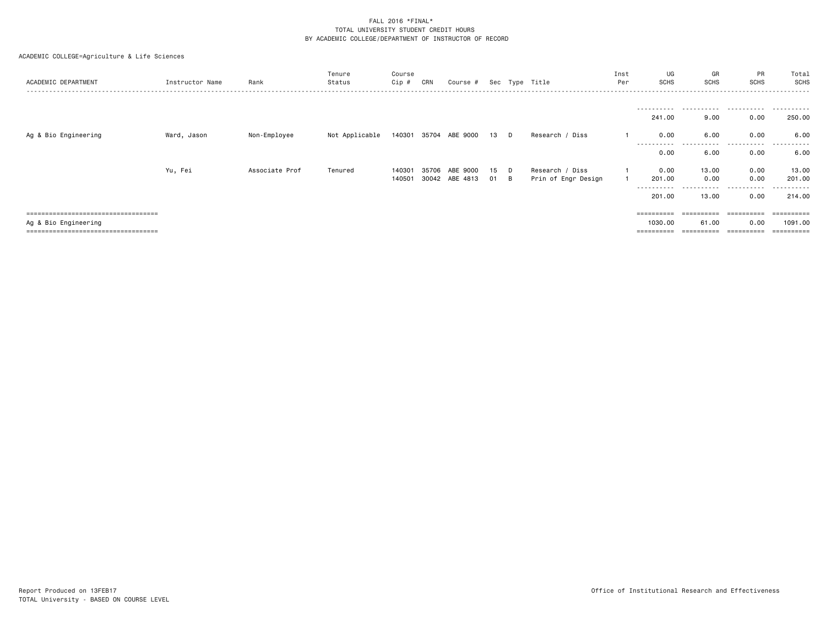| ACADEMIC DEPARTMENT                 | Instructor Name | Rank           | Tenure<br>Status | Course<br>Cip # | CRN | Course #                   |     |   | Sec Type Title      | Inst<br>Per | UG<br><b>SCHS</b>             | GR<br><b>SCHS</b> | PR<br>SCHS | Total<br>SCHS        |
|-------------------------------------|-----------------|----------------|------------------|-----------------|-----|----------------------------|-----|---|---------------------|-------------|-------------------------------|-------------------|------------|----------------------|
|                                     |                 |                |                  |                 |     |                            |     |   |                     |             |                               |                   |            |                      |
|                                     |                 |                |                  |                 |     |                            |     |   |                     |             | 241.00                        | 9.00              | 0.00       | .<br>250.00          |
| Ag & Bio Engineering                | Ward, Jason     | Non-Employee   | Not Applicable   |                 |     | 140301 35704 ABE 9000 13 D |     |   | Research / Diss     |             | 0.00                          | 6.00              | 0.00       | 6.00                 |
|                                     |                 |                |                  |                 |     |                            |     |   |                     |             | - - - - - - - - - -<br>0.00   | 6.00              | 0.00       | 6.00                 |
|                                     | Yu, Fei         | Associate Prof | Tenured          | 140301          |     | 35706 ABE 9000             | -15 | D | Research / Diss     |             | 0.00                          | 13.00             | 0.00       | 13.00                |
|                                     |                 |                |                  |                 |     | 140501 30042 ABE 4813      | 01  | B | Prin of Engr Design |             | 201.00                        | 0.00              | 0.00       | 201.00               |
|                                     |                 |                |                  |                 |     |                            |     |   |                     |             | - - - - - - - - - -<br>201.00 | .<br>13.00        | .<br>0.00  | ----------<br>214.00 |
| =================================== |                 |                |                  |                 |     |                            |     |   |                     |             | eccesses                      |                   |            |                      |
| Ag & Bio Engineering                |                 |                |                  |                 |     |                            |     |   |                     |             | 1030.00                       | 61.00             | 0.00       | 1091.00              |
|                                     |                 |                |                  |                 |     |                            |     |   |                     |             | ==========                    | ---------         | eeeeeeee   | =========            |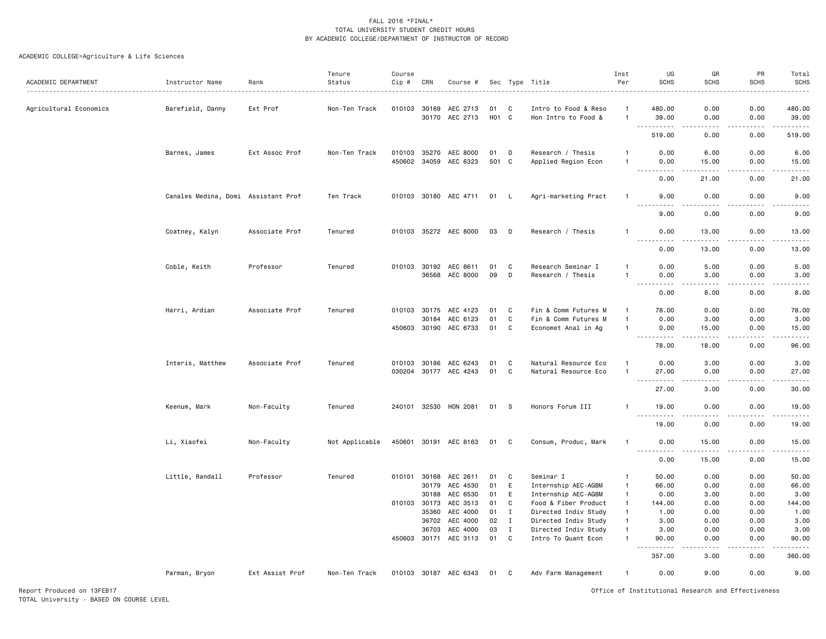| ACADEMIC DEPARTMENT    | Instructor Name                     | Rank            | Tenure<br>Status | Course<br>Cip # | CRN                   | Course #                          |             |                   | Sec Type Title                               | Inst<br>Per                  | UG<br><b>SCHS</b>                                                                                                                                            | GR<br><b>SCHS</b>                                                                                                                                             | PR<br><b>SCHS</b>                                                                                                                                                                                                                                                                                                                            | Total<br><b>SCHS</b> |
|------------------------|-------------------------------------|-----------------|------------------|-----------------|-----------------------|-----------------------------------|-------------|-------------------|----------------------------------------------|------------------------------|--------------------------------------------------------------------------------------------------------------------------------------------------------------|---------------------------------------------------------------------------------------------------------------------------------------------------------------|----------------------------------------------------------------------------------------------------------------------------------------------------------------------------------------------------------------------------------------------------------------------------------------------------------------------------------------------|----------------------|
| Agricultural Economics | Barefield, Danny                    | Ext Prof        | Non-Ten Track    | 010103 30169    | 30170                 | AEC 2713<br>AEC 2713              | 01<br>H01 C | C                 | Intro to Food & Reso<br>Hon Intro to Food &  | -1<br>$\mathbf{1}$           | 480.00<br>39.00                                                                                                                                              | 0.00<br>0.00                                                                                                                                                  | 0.00<br>0.00                                                                                                                                                                                                                                                                                                                                 | 480.00<br>39.00      |
|                        |                                     |                 |                  |                 |                       |                                   |             |                   |                                              |                              | .<br>519.00                                                                                                                                                  | 2.2.2.2.2<br>0.00                                                                                                                                             | $\frac{1}{2} \left( \begin{array}{ccc} 1 & 0 & 0 & 0 \\ 0 & 0 & 0 & 0 \\ 0 & 0 & 0 & 0 \\ 0 & 0 & 0 & 0 \\ 0 & 0 & 0 & 0 \\ 0 & 0 & 0 & 0 \\ 0 & 0 & 0 & 0 \\ 0 & 0 & 0 & 0 \\ 0 & 0 & 0 & 0 \\ 0 & 0 & 0 & 0 \\ 0 & 0 & 0 & 0 & 0 \\ 0 & 0 & 0 & 0 & 0 \\ 0 & 0 & 0 & 0 & 0 \\ 0 & 0 & 0 & 0 & 0 \\ 0 & 0 & 0 & 0 & 0 \\ 0 & 0 & 0$<br>0.00 | .<br>519.00          |
|                        | Barnes, James                       | Ext Assoc Prof  | Non-Ten Track    |                 | 010103 35270          | AEC 8000                          | 01          | D                 | Research / Thesis                            |                              | 0.00                                                                                                                                                         | 6.00                                                                                                                                                          | 0.00                                                                                                                                                                                                                                                                                                                                         | 6.00                 |
|                        |                                     |                 |                  |                 | 450602 34059          | AEC 6323                          | 501 C       |                   | Applied Region Econ                          | -1                           | 0.00                                                                                                                                                         | 15.00                                                                                                                                                         | 0.00                                                                                                                                                                                                                                                                                                                                         | 15.00                |
|                        |                                     |                 |                  |                 |                       |                                   |             |                   |                                              |                              | .<br>0.00                                                                                                                                                    | .<br>21.00                                                                                                                                                    | .<br>0.00                                                                                                                                                                                                                                                                                                                                    | .<br>21.00           |
|                        | Canales Medina, Domi Assistant Prof |                 | Ten Track        |                 |                       | 010103 30180 AEC 4711             | 01 L        |                   | Agri-marketing Pract                         | $\mathbf{1}$                 | 9.00                                                                                                                                                         | 0.00                                                                                                                                                          | 0.00                                                                                                                                                                                                                                                                                                                                         | 9.00                 |
|                        |                                     |                 |                  |                 |                       |                                   |             |                   |                                              |                              | .<br>9.00                                                                                                                                                    | .<br>0.00                                                                                                                                                     | $\frac{1}{2} \left( \frac{1}{2} \right) \left( \frac{1}{2} \right) \left( \frac{1}{2} \right) \left( \frac{1}{2} \right) \left( \frac{1}{2} \right)$<br>0.00                                                                                                                                                                                 | .<br>9.00            |
|                        | Coatney, Kalyn                      | Associate Prof  | Tenured          |                 |                       | 010103 35272 AEC 8000             | 03          | D                 | Research / Thesis                            | -1                           | 0.00<br>$\frac{1}{2} \left( \frac{1}{2} \right) \left( \frac{1}{2} \right) \left( \frac{1}{2} \right) \left( \frac{1}{2} \right) \left( \frac{1}{2} \right)$ | 13.00<br>$\frac{1}{2}$                                                                                                                                        | 0.00<br>.                                                                                                                                                                                                                                                                                                                                    | 13.00                |
|                        |                                     |                 |                  |                 |                       |                                   |             |                   |                                              |                              | 0.00                                                                                                                                                         | 13.00                                                                                                                                                         | 0.00                                                                                                                                                                                                                                                                                                                                         | .<br>13.00           |
|                        | Coble, Keith                        | Professor       | Tenured          |                 | 010103 30192          | AEC 8611                          | 01          | C                 | Research Seminar I                           | $\mathbf{1}$                 | 0.00                                                                                                                                                         | 5.00                                                                                                                                                          | 0.00                                                                                                                                                                                                                                                                                                                                         | 5.00                 |
|                        |                                     |                 |                  |                 | 36568                 | AEC 8000                          | 09          | D                 | Research / Thesis                            | $\mathbf{1}$                 | 0.00                                                                                                                                                         | 3.00                                                                                                                                                          | 0.00                                                                                                                                                                                                                                                                                                                                         | 3.00                 |
|                        |                                     |                 |                  |                 |                       |                                   |             |                   |                                              |                              | 0.00                                                                                                                                                         | 8.00                                                                                                                                                          | 0.00                                                                                                                                                                                                                                                                                                                                         | 8.00                 |
|                        | Harri, Ardian                       | Associate Prof  | Tenured          |                 | 010103 30175          | AEC 4123                          | 01          | C                 | Fin & Comm Futures M                         |                              | 78.00                                                                                                                                                        | 0.00                                                                                                                                                          | 0.00                                                                                                                                                                                                                                                                                                                                         | 78.00                |
|                        |                                     |                 |                  |                 | 30184                 | AEC 6123                          | 01          | C                 | Fin & Comm Futures M                         | -1                           | 0.00                                                                                                                                                         | 3.00                                                                                                                                                          | 0.00                                                                                                                                                                                                                                                                                                                                         | 3.00                 |
|                        |                                     |                 |                  |                 | 450603 30190          | AEC 6733                          | 01          | C                 | Economet Anal in Ag                          | -1                           | 0.00                                                                                                                                                         | 15.00                                                                                                                                                         | 0.00                                                                                                                                                                                                                                                                                                                                         | 15.00                |
|                        |                                     |                 |                  |                 |                       |                                   |             |                   |                                              |                              | .<br>78.00                                                                                                                                                   | $\frac{1}{2} \left( \frac{1}{2} \right) \left( \frac{1}{2} \right) \left( \frac{1}{2} \right) \left( \frac{1}{2} \right) \left( \frac{1}{2} \right)$<br>18.00 | .<br>0.00                                                                                                                                                                                                                                                                                                                                    | .<br>96.00           |
|                        |                                     |                 |                  |                 |                       |                                   |             |                   |                                              |                              |                                                                                                                                                              |                                                                                                                                                               |                                                                                                                                                                                                                                                                                                                                              |                      |
|                        | Interis, Matthew                    | Associate Prof  | Tenured          | 010103          | 30186                 | AEC 6243<br>030204 30177 AEC 4243 | 01<br>01    | C<br>$\mathtt{C}$ | Natural Resource Eco<br>Natural Resource Eco | -1<br>$\overline{1}$         | 0.00<br>27.00                                                                                                                                                | 3.00<br>0.00                                                                                                                                                  | 0.00<br>0.00                                                                                                                                                                                                                                                                                                                                 | 3.00<br>27.00        |
|                        |                                     |                 |                  |                 |                       |                                   |             |                   |                                              |                              | $\sim$ $\sim$ $\sim$<br>.                                                                                                                                    |                                                                                                                                                               |                                                                                                                                                                                                                                                                                                                                              |                      |
|                        |                                     |                 |                  |                 |                       |                                   |             |                   |                                              |                              | 27.00                                                                                                                                                        | 3.00                                                                                                                                                          | 0.00                                                                                                                                                                                                                                                                                                                                         | 30.00                |
|                        | Keenum, Mark                        | Non-Faculty     | Tenured          |                 |                       | 240101 32530 HON 2081             | 01          | - S               | Honors Forum III                             | -1                           | 19.00                                                                                                                                                        | 0.00                                                                                                                                                          | 0.00                                                                                                                                                                                                                                                                                                                                         | 19.00                |
|                        |                                     |                 |                  |                 |                       |                                   |             |                   |                                              |                              | 19.00                                                                                                                                                        | 0.00                                                                                                                                                          | 0.00                                                                                                                                                                                                                                                                                                                                         | 19.00                |
|                        | Li, Xiaofei                         | Non-Faculty     | Not Applicable   |                 |                       | 450601 30191 AEC 8163             | 01          | C.                | Consum, Produc, Mark                         | $\mathbf{1}$                 | 0.00                                                                                                                                                         | 15.00                                                                                                                                                         | 0.00                                                                                                                                                                                                                                                                                                                                         | 15.00                |
|                        |                                     |                 |                  |                 |                       |                                   |             |                   |                                              |                              | .<br>0.00                                                                                                                                                    | .<br>15.00                                                                                                                                                    | $\frac{1}{2} \left( \frac{1}{2} \right) \left( \frac{1}{2} \right) \left( \frac{1}{2} \right) \left( \frac{1}{2} \right) \left( \frac{1}{2} \right)$<br>0.00                                                                                                                                                                                 | .<br>15.00           |
|                        | Little, Randall                     | Professor       | Tenured          | 010101          | 30168                 | AEC 2611                          | 01          | C                 | Seminar I                                    | $\mathbf{1}$                 | 50.00                                                                                                                                                        | 0.00                                                                                                                                                          | 0.00                                                                                                                                                                                                                                                                                                                                         | 50.00                |
|                        |                                     |                 |                  |                 | 30179                 | AEC 4530                          | 01          | E                 | Internship AEC-AGBM                          | -1                           | 66.00                                                                                                                                                        | 0.00                                                                                                                                                          | 0.00                                                                                                                                                                                                                                                                                                                                         | 66.00                |
|                        |                                     |                 |                  |                 | 30188                 | AEC 6530                          | 01          | E                 | Internship AEC-AGBM                          | $\mathbf{1}$                 | 0.00                                                                                                                                                         | 3.00                                                                                                                                                          | 0.00                                                                                                                                                                                                                                                                                                                                         | 3.00                 |
|                        |                                     |                 |                  |                 | 010103 30173          | AEC 3513                          | 01          | C                 | Food & Fiber Product                         | $\mathbf{1}$                 | 144.00                                                                                                                                                       | 0.00                                                                                                                                                          | 0.00                                                                                                                                                                                                                                                                                                                                         | 144.00               |
|                        |                                     |                 |                  |                 | 35360                 | AEC 4000                          | 01          | I                 | Directed Indiv Study                         | $\mathbf{1}$                 | 1.00                                                                                                                                                         | 0.00                                                                                                                                                          | 0.00                                                                                                                                                                                                                                                                                                                                         | 1.00                 |
|                        |                                     |                 |                  |                 | 36702                 | AEC 4000<br>AEC 4000              | 02          | $\mathbf{I}$      | Directed Indiv Study                         | $\mathbf{1}$<br>$\mathbf{1}$ | 3.00                                                                                                                                                         | 0.00                                                                                                                                                          | 0.00                                                                                                                                                                                                                                                                                                                                         | 3.00                 |
|                        |                                     |                 |                  |                 | 36703<br>450603 30171 | AEC 3113                          | 03<br>01    | Ι.<br>C           | Directed Indiv Study<br>Intro To Quant Econ  | $\mathbf{1}$                 | 3.00<br>90.00                                                                                                                                                | 0.00<br>0.00                                                                                                                                                  | 0.00<br>0.00                                                                                                                                                                                                                                                                                                                                 | 3.00<br>90.00        |
|                        |                                     |                 |                  |                 |                       |                                   |             |                   |                                              |                              | .                                                                                                                                                            |                                                                                                                                                               |                                                                                                                                                                                                                                                                                                                                              |                      |
|                        |                                     |                 |                  |                 |                       |                                   |             |                   |                                              |                              | 357.00                                                                                                                                                       | 3.00                                                                                                                                                          | 0.00                                                                                                                                                                                                                                                                                                                                         | 360.00               |
|                        | Parman, Bryon                       | Ext Assist Prof | Non-Ten Track    |                 |                       | 010103 30187 AEC 6343             | 01 C        |                   | Adv Farm Management                          | -1                           | 0.00                                                                                                                                                         | 9.00                                                                                                                                                          | 0.00                                                                                                                                                                                                                                                                                                                                         | 9.00                 |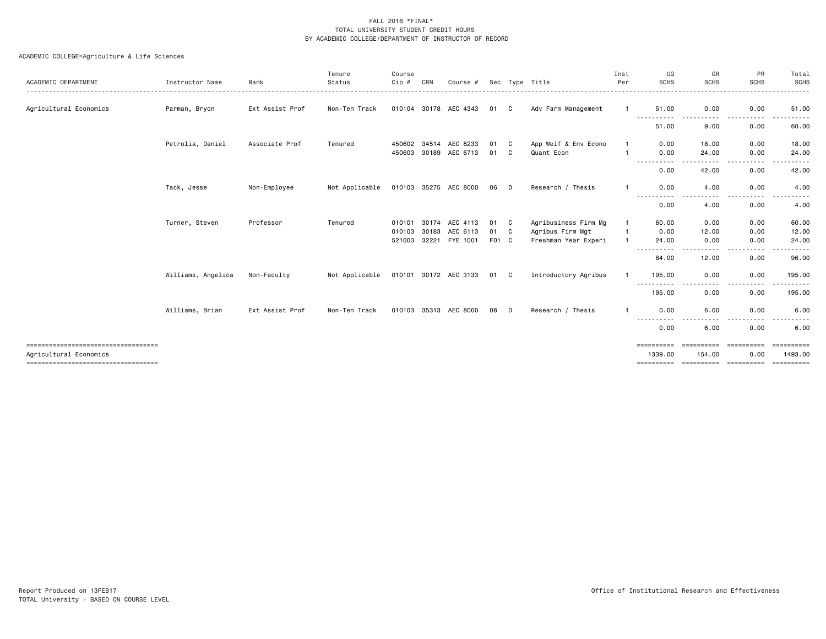| ACADEMIC DEPARTMENT                   | Instructor Name    | Rank            | Tenure<br>Status | Course<br>Cip #        | CRN            | Course #              |             |           | Sec Type Title                           | Inst<br>Per | UG<br><b>SCHS</b>      | GR<br><b>SCHS</b><br>. | <b>PR</b><br><b>SCHS</b> | Total<br>SCHS<br>------ |
|---------------------------------------|--------------------|-----------------|------------------|------------------------|----------------|-----------------------|-------------|-----------|------------------------------------------|-------------|------------------------|------------------------|--------------------------|-------------------------|
| Agricultural Economics                | Parman, Bryon      | Ext Assist Prof | Non-Ten Track    | 010104 30178           |                | AEC 4343              | 01          | C         | Adv Farm Management                      | -1          | 51.00                  | 0.00                   | 0.00                     | 51.00                   |
|                                       |                    |                 |                  |                        |                |                       |             |           |                                          |             | 51.00                  | 9.00                   | 0.00                     | 60.00                   |
|                                       | Petrolia, Daniel   | Associate Prof  | Tenured          | 450602 34514<br>450603 | 30189          | AEC 8233<br>AEC 6713  | 01<br>01    | - C<br>C. | App Welf & Env Econo<br>Quant Econ       |             | 0.00<br>0.00           | 18,00<br>24.00         | 0.00<br>0.00             | 18.00<br>24.00          |
|                                       |                    |                 |                  |                        |                |                       |             |           |                                          |             | 0.00                   | 42.00                  | ----<br>0.00             | .<br>42.00              |
|                                       | Tack, Jesse        | Non-Employee    | Not Applicable   | 010103 35275           |                | AEC 8000              | 06          | - D       | Research / Thesis                        |             | 0.00                   | 4.00                   | 0.00                     | 4.00                    |
|                                       |                    |                 |                  |                        |                |                       |             |           |                                          |             | .<br>0.00              | 4.00                   | 0.00                     | 4.00                    |
|                                       | Turner, Steven     | Professor       | Tenured          | 010101                 | 30174          | AEC 4113              | 01          | C.        | Agribusiness Firm Mg                     |             | 60.00                  | 0.00                   | 0.00                     | 60.00                   |
|                                       |                    |                 |                  | 010103<br>521003       | 30183<br>32221 | AEC 6113<br>FYE 1001  | 01<br>F01 C | C.        | Agribus Firm Mgt<br>Freshman Year Experi |             | 0.00<br>24.00          | 12.00<br>0.00          | 0.00<br>0.00             | 12.00<br>24.00          |
|                                       |                    |                 |                  |                        |                |                       |             |           |                                          |             | .<br>$\cdots$<br>84.00 | - - - -<br>12.00       | . <u>.</u> .<br>0.00     | .<br>96.00              |
|                                       | Williams, Angelica | Non-Faculty     | Not Applicable   |                        |                | 010101 30172 AEC 3133 | 01          | C.        | Introductory Agribus                     |             | 195.00<br>-----------  | 0.00<br>----           | 0.00<br>.                | 195.00<br>------        |
|                                       |                    |                 |                  |                        |                |                       |             |           |                                          |             | 195.00                 | 0.00                   | 0.00                     | 195.00                  |
|                                       | Williams, Brian    | Ext Assist Prof | Non-Ten Track    | 010103 35313           |                | AEC 8000              | 08          | D         | Research / Thesis                        |             | 0.00<br>----------     | 6.00                   | 0.00<br>. <b>.</b> .     | 6.00                    |
|                                       |                    |                 |                  |                        |                |                       |             |           |                                          |             | 0.00                   | 6.00                   | 0.00                     | 6.00                    |
| Agricultural Economics                |                    |                 |                  |                        |                |                       |             |           |                                          |             | ==========<br>1339.00  | ==========<br>154.00   | -----------<br>0.00      | ==========<br>1493.00   |
| ------------------------------------- |                    |                 |                  |                        |                |                       |             |           |                                          |             | ==========             | ==========             | ==========               | ==========              |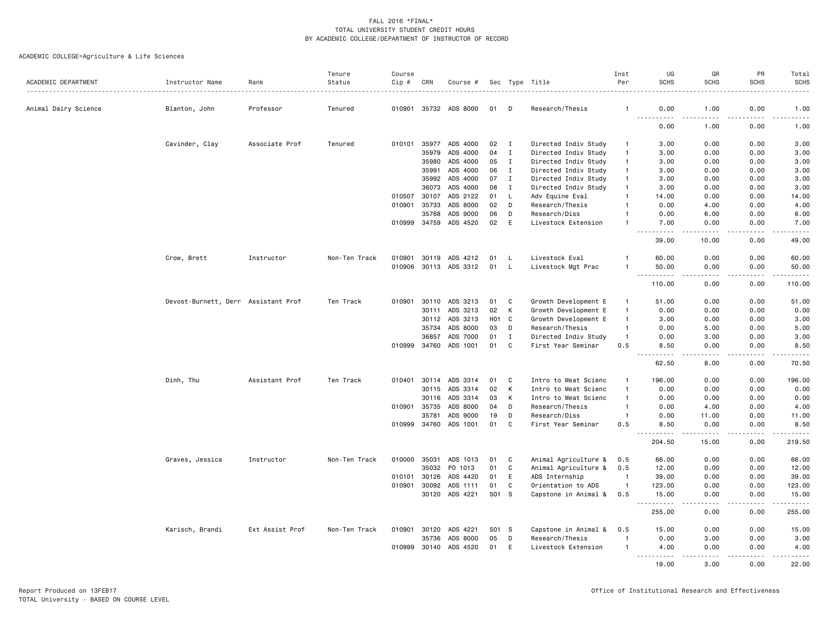| ACADEMIC DEPARTMENT  | Instructor Name                     | Rank            | Tenure<br>Status | Course<br>Cip #  | CRN            | Course #              |                  |              | Sec Type Title                       | Inst<br>Per          | UG<br><b>SCHS</b>                                                                                                         | GR<br><b>SCHS</b>                                                                                                                                            | PR<br><b>SCHS</b> | Total<br><b>SCHS</b>                                                                                                                                                                    |
|----------------------|-------------------------------------|-----------------|------------------|------------------|----------------|-----------------------|------------------|--------------|--------------------------------------|----------------------|---------------------------------------------------------------------------------------------------------------------------|--------------------------------------------------------------------------------------------------------------------------------------------------------------|-------------------|-----------------------------------------------------------------------------------------------------------------------------------------------------------------------------------------|
| Animal Dairy Science | Blanton, John                       | Professor       | Tenured          |                  |                | 010901 35732 ADS 8000 | 01               | D            | Research/Thesis                      | -1                   | 0.00                                                                                                                      | 1.00                                                                                                                                                         | 0.00              | 1.00                                                                                                                                                                                    |
|                      |                                     |                 |                  |                  |                |                       |                  |              |                                      |                      | .                                                                                                                         | .                                                                                                                                                            |                   | المستما                                                                                                                                                                                 |
|                      |                                     |                 |                  |                  |                |                       |                  |              |                                      |                      | 0.00                                                                                                                      | 1.00                                                                                                                                                         | 0.00              | 1.00                                                                                                                                                                                    |
|                      | Cavinder, Clay                      | Associate Prof  | Tenured          | 010101           |                | 35977 ADS 4000        | 02               | $\mathbf{I}$ | Directed Indiv Study                 | -1                   | 3.00                                                                                                                      | 0.00                                                                                                                                                         | 0.00              | 3.00                                                                                                                                                                                    |
|                      |                                     |                 |                  |                  | 35979          | ADS 4000              | 04               | $\mathbf{I}$ | Directed Indiv Study                 | $\mathbf{1}$         | 3.00                                                                                                                      | 0.00                                                                                                                                                         | 0.00              | 3.00                                                                                                                                                                                    |
|                      |                                     |                 |                  |                  | 35980          | ADS 4000              | 05               | $\mathbf{I}$ | Directed Indiv Study                 | $\mathbf{1}$         | 3.00                                                                                                                      | 0.00                                                                                                                                                         | 0.00              | 3.00                                                                                                                                                                                    |
|                      |                                     |                 |                  |                  | 35991          | ADS 4000              | 06               | $\mathbf{I}$ | Directed Indiv Study                 | $\mathbf{1}$         | 3.00                                                                                                                      | 0.00                                                                                                                                                         | 0.00              | 3.00                                                                                                                                                                                    |
|                      |                                     |                 |                  |                  | 35992          | ADS 4000              | 07               | $\mathbf{I}$ | Directed Indiv Study                 | -1                   | 3.00                                                                                                                      | 0.00                                                                                                                                                         | 0.00              | 3.00                                                                                                                                                                                    |
|                      |                                     |                 |                  |                  | 36073          | ADS 4000              | 08               | $\mathbf{I}$ | Directed Indiv Study                 | $\mathbf{1}$         | 3.00                                                                                                                      | 0.00                                                                                                                                                         | 0.00              | 3.00                                                                                                                                                                                    |
|                      |                                     |                 |                  | 010507<br>010901 | 30107<br>35733 | ADS 2122<br>ADS 8000  | 01<br>02         | L<br>D       | Adv Equine Eval                      | $\overline{1}$<br>-1 | 14.00<br>0.00                                                                                                             | 0.00<br>4.00                                                                                                                                                 | 0.00<br>0.00      | 14.00<br>4.00                                                                                                                                                                           |
|                      |                                     |                 |                  |                  | 35768          | ADS 9000              | 06               | D            | Research/Thesis                      |                      | 0.00                                                                                                                      | 6.00                                                                                                                                                         | 0.00              |                                                                                                                                                                                         |
|                      |                                     |                 |                  |                  | 010999 34759   | ADS 4520              | 02               | E            | Research/Diss<br>Livestock Extension | $\overline{1}$       | 7.00                                                                                                                      | 0.00                                                                                                                                                         | 0.00              | 6.00<br>7.00                                                                                                                                                                            |
|                      |                                     |                 |                  |                  |                |                       |                  |              |                                      |                      | $\frac{1}{2} \left( \frac{1}{2} \right) \left( \frac{1}{2} \right) \left( \frac{1}{2} \right) \left( \frac{1}{2} \right)$ | -----                                                                                                                                                        | .                 | $\frac{1}{2}$                                                                                                                                                                           |
|                      |                                     |                 |                  |                  |                |                       |                  |              |                                      |                      | 39.00                                                                                                                     | 10.00                                                                                                                                                        | 0.00              | 49.00                                                                                                                                                                                   |
|                      | Crow, Brett                         | Instructor      | Non-Ten Track    | 010901           | 30119          | ADS 4212              | 01               | - L          | Livestock Eval                       |                      | 60.00                                                                                                                     | 0.00                                                                                                                                                         | 0.00              | 60.00                                                                                                                                                                                   |
|                      |                                     |                 |                  | 010906           |                | 30113 ADS 3312        | 01               | L.           | Livestock Mgt Prac                   | -1                   | 50.00                                                                                                                     | 0.00                                                                                                                                                         | 0.00              | 50.00                                                                                                                                                                                   |
|                      |                                     |                 |                  |                  |                |                       |                  |              |                                      |                      | 110.00                                                                                                                    | 0.00                                                                                                                                                         | 0.00              | 110.00                                                                                                                                                                                  |
|                      |                                     |                 |                  |                  |                |                       |                  |              |                                      |                      |                                                                                                                           |                                                                                                                                                              |                   |                                                                                                                                                                                         |
|                      | Devost-Burnett, Derr Assistant Prof |                 | Ten Track        | 010901           | 30110          | ADS 3213              | 01               | C            | Growth Development E                 | -1                   | 51.00                                                                                                                     | 0.00                                                                                                                                                         | 0.00              | 51.00                                                                                                                                                                                   |
|                      |                                     |                 |                  |                  | 30111          | ADS 3213              | 02               | K            | Growth Development E                 | $\overline{1}$       | 0.00                                                                                                                      | 0.00                                                                                                                                                         | 0.00              | 0.00                                                                                                                                                                                    |
|                      |                                     |                 |                  |                  | 30112          | ADS 3213              | H <sub>0</sub> 1 | $\mathbf{C}$ | Growth Development E                 | $\overline{1}$       | 3.00                                                                                                                      | 0.00                                                                                                                                                         | 0.00              | 3.00                                                                                                                                                                                    |
|                      |                                     |                 |                  |                  | 35734          | ADS 8000              | 03               | D            | Research/Thesis                      | $\overline{1}$       | 0.00                                                                                                                      | 5.00                                                                                                                                                         | 0.00              | 5.00                                                                                                                                                                                    |
|                      |                                     |                 |                  |                  | 36857          | ADS 7000              | 01               | $\mathbf{I}$ | Directed Indiv Study                 | $\overline{1}$       | 0.00                                                                                                                      | 3.00                                                                                                                                                         | 0.00              | 3.00                                                                                                                                                                                    |
|                      |                                     |                 |                  |                  | 010999 34760   | ADS 1001              | 01               | C            | First Year Seminar                   | 0.5                  | 8.50                                                                                                                      | 0.00<br>$\sim$ $\sim$ $\sim$ $\sim$                                                                                                                          | 0.00<br>.         | 8.50<br>المتمامين                                                                                                                                                                       |
|                      |                                     |                 |                  |                  |                |                       |                  |              |                                      |                      | 62.50                                                                                                                     | 8.00                                                                                                                                                         | 0.00              | 70.50                                                                                                                                                                                   |
|                      | Dinh, Thu                           | Assistant Prof  | Ten Track        | 010401           | 30114          | ADS 3314              | 01               | C            | Intro to Meat Scienc                 | $\mathbf{1}$         | 196.00                                                                                                                    | 0.00                                                                                                                                                         | 0.00              | 196.00                                                                                                                                                                                  |
|                      |                                     |                 |                  |                  | 30115          | ADS 3314              | 02               | K            | Intro to Meat Scienc                 | $\overline{1}$       | 0.00                                                                                                                      | 0.00                                                                                                                                                         | 0.00              | 0.00                                                                                                                                                                                    |
|                      |                                     |                 |                  |                  | 30116          | ADS 3314              | 03               | K            | Intro to Meat Scienc                 | $\overline{1}$       | 0.00                                                                                                                      | 0.00                                                                                                                                                         | 0.00              | 0.00                                                                                                                                                                                    |
|                      |                                     |                 |                  | 010901           | 35735          | ADS 8000              | 04               | D            | Research/Thesis                      | $\overline{1}$       | 0.00                                                                                                                      | 4.00                                                                                                                                                         | 0.00              | 4.00                                                                                                                                                                                    |
|                      |                                     |                 |                  |                  | 35781          | ADS 9000              | 19               | D            | Research/Diss                        | $\overline{1}$       | 0.00                                                                                                                      | 11.00                                                                                                                                                        | 0.00              | 11.00                                                                                                                                                                                   |
|                      |                                     |                 |                  |                  |                | 010999 34760 ADS 1001 | 01               | C            | First Year Seminar                   | 0.5                  | 8.50<br><u>.</u>                                                                                                          | 0.00<br>$\frac{1}{2} \left( \frac{1}{2} \right) \left( \frac{1}{2} \right) \left( \frac{1}{2} \right) \left( \frac{1}{2} \right) \left( \frac{1}{2} \right)$ | 0.00<br>-----     | 8.50<br>$\frac{1}{2} \left( \frac{1}{2} \right) \left( \frac{1}{2} \right) \left( \frac{1}{2} \right) \left( \frac{1}{2} \right) \left( \frac{1}{2} \right) \left( \frac{1}{2} \right)$ |
|                      |                                     |                 |                  |                  |                |                       |                  |              |                                      |                      | 204.50                                                                                                                    | 15.00                                                                                                                                                        | 0.00              | 219.50                                                                                                                                                                                  |
|                      | Graves, Jessica                     | Instructor      | Non-Ten Track    | 010000           | 35031          | ADS 1013              | 01               | C            | Animal Agriculture &                 | 0.5                  | 66.00                                                                                                                     | 0.00                                                                                                                                                         | 0.00              | 66.00                                                                                                                                                                                   |
|                      |                                     |                 |                  |                  | 35032          | PO 1013               | 01               | C            | Animal Agriculture &                 | 0.5                  | 12.00                                                                                                                     | 0.00                                                                                                                                                         | 0.00              | 12.00                                                                                                                                                                                   |
|                      |                                     |                 |                  | 010101           | 30126          | ADS 4420              | 01               | E            | ADS Internship                       | $\overline{1}$       | 39.00                                                                                                                     | 0.00                                                                                                                                                         | 0.00              | 39.00                                                                                                                                                                                   |
|                      |                                     |                 |                  | 010901           | 30092          | ADS 1111              | 01               | C            | Orientation to ADS                   | $\overline{1}$       | 123.00                                                                                                                    | 0.00                                                                                                                                                         | 0.00              | 123.00                                                                                                                                                                                  |
|                      |                                     |                 |                  |                  | 30120          | ADS 4221              | S01              | <b>S</b>     | Capstone in Animal &                 | 0.5                  | 15.00<br>$\sim$ $\sim$                                                                                                    | 0.00                                                                                                                                                         | 0.00              | 15.00                                                                                                                                                                                   |
|                      |                                     |                 |                  |                  |                |                       |                  |              |                                      |                      | 255.00                                                                                                                    | 0.00                                                                                                                                                         | 0.00              | 255.00                                                                                                                                                                                  |
|                      | Karisch, Brandi                     | Ext Assist Prof | Non-Ten Track    |                  | 010901 30120   | ADS 4221              | S01 S            |              | Capstone in Animal &                 | 0.5                  | 15.00                                                                                                                     | 0.00                                                                                                                                                         | 0.00              | 15.00                                                                                                                                                                                   |
|                      |                                     |                 |                  |                  | 35736          | ADS 8000              | 05               | D            | Research/Thesis                      | $\overline{1}$       | 0.00                                                                                                                      | 3.00                                                                                                                                                         | 0.00              | 3.00                                                                                                                                                                                    |
|                      |                                     |                 |                  | 010999           | 30140          | ADS 4520              | 01               | E            | Livestock Extension                  | -1                   | 4.00                                                                                                                      | 0.00                                                                                                                                                         | 0.00              | 4.00                                                                                                                                                                                    |
|                      |                                     |                 |                  |                  |                |                       |                  |              |                                      |                      | $\frac{1}{2}$<br>19,00                                                                                                    | $\frac{1}{2}$<br>3.00                                                                                                                                        | 0.00              | 22.00                                                                                                                                                                                   |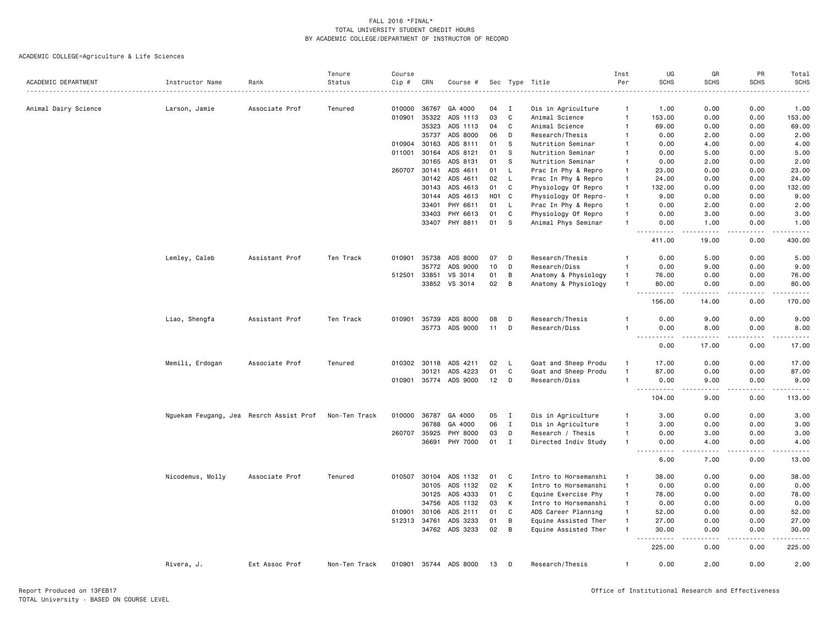|                      |                                         |                | Tenure        | Course |              |                       |                  |              |                      | Inst         | UG                                             | GR                    | PR          | Total                                                                                                                                                        |
|----------------------|-----------------------------------------|----------------|---------------|--------|--------------|-----------------------|------------------|--------------|----------------------|--------------|------------------------------------------------|-----------------------|-------------|--------------------------------------------------------------------------------------------------------------------------------------------------------------|
| ACADEMIC DEPARTMENT  | Instructor Name                         | Rank           | Status        | Cip #  | CRN          | Course #              |                  |              | Sec Type Title<br>.  | Per          | <b>SCHS</b>                                    | <b>SCHS</b>           | <b>SCHS</b> | <b>SCHS</b>                                                                                                                                                  |
| Animal Dairy Science | Larson, Jamie                           | Associate Prof | Tenured       | 010000 | 36767        | GA 4000               | 04               | I            | Dis in Agriculture   | $\mathbf{1}$ | 1.00                                           | 0.00                  | 0.00        | 1.00                                                                                                                                                         |
|                      |                                         |                |               | 010901 | 35322        | ADS 1113              | 03               | C            | Animal Science       | $\mathbf{1}$ | 153.00                                         | 0.00                  | 0.00        | 153.00                                                                                                                                                       |
|                      |                                         |                |               |        | 35323        | ADS 1113              | 04               | C            | Animal Science       | $\mathbf{1}$ | 69.00                                          | 0.00                  | 0.00        | 69.00                                                                                                                                                        |
|                      |                                         |                |               |        | 35737        | ADS 8000              | 06               | D            | Research/Thesis      | -1           | 0.00                                           | 2.00                  | 0.00        | 2.00                                                                                                                                                         |
|                      |                                         |                |               | 010904 | 30163        | ADS 8111              | 01               | S            | Nutrition Seminar    |              | 0.00                                           | 4.00                  | 0.00        | 4.00                                                                                                                                                         |
|                      |                                         |                |               | 011001 | 30164        | ADS 8121              | 01               | S            | Nutrition Seminar    | $\mathbf{1}$ | 0.00                                           | 5.00                  | 0.00        | 5.00                                                                                                                                                         |
|                      |                                         |                |               |        | 30165        | ADS 8131              | 01               | <sub>S</sub> | Nutrition Seminar    | $\mathbf{1}$ | 0.00                                           | 2.00                  | 0.00        | 2.00                                                                                                                                                         |
|                      |                                         |                |               |        | 260707 30141 | ADS 4611              | 01               | L.           | Prac In Phy & Repro  | $\mathbf{1}$ | 23,00                                          | 0.00                  | 0.00        | 23.00                                                                                                                                                        |
|                      |                                         |                |               |        | 30142        | ADS 4611              | 02               | L            | Prac In Phy & Repro  | $\mathbf{1}$ | 24.00                                          | 0.00                  | 0.00        | 24.00                                                                                                                                                        |
|                      |                                         |                |               |        | 30143        | ADS 4613              | 01               | $\mathbf{C}$ | Physiology Of Repro  | $\mathbf{1}$ | 132.00                                         | 0.00                  | 0.00        | 132.00                                                                                                                                                       |
|                      |                                         |                |               |        | 30144        | ADS 4613              | H <sub>0</sub> 1 | C            | Physiology Of Repro- | $\mathbf{1}$ | 9.00                                           | 0.00                  | 0.00        | 9.00                                                                                                                                                         |
|                      |                                         |                |               |        | 33401        | PHY 6611              | 01               | L.           | Prac In Phy & Repro  | $\mathbf{1}$ | 0.00                                           | 2.00                  | 0.00        | 2.00                                                                                                                                                         |
|                      |                                         |                |               |        | 33403        | PHY 6613              | 01               | C            | Physiology Of Repro  | $\mathbf{1}$ | 0.00                                           | 3.00                  | 0.00        | 3.00                                                                                                                                                         |
|                      |                                         |                |               |        | 33407        | PHY 8811              | 01               | -S           | Animal Phys Seminar  | $\mathbf{1}$ | 0.00                                           | 1.00                  | 0.00        | 1.00                                                                                                                                                         |
|                      |                                         |                |               |        |              |                       |                  |              |                      |              | $\sim$ $\sim$ $\sim$<br>المالم عامات<br>411.00 | .<br>19.00            | .<br>0.00   | $\begin{array}{cccccccccc} \bullet & \bullet & \bullet & \bullet & \bullet & \bullet & \bullet \end{array}$<br>430.00                                        |
|                      | Lemley, Caleb                           | Assistant Prof | Ten Track     | 010901 | 35738        | ADS 8000              | 07               | D            | Research/Thesis      | $\mathbf{1}$ | 0.00                                           | 5.00                  | 0.00        | 5.00                                                                                                                                                         |
|                      |                                         |                |               |        | 35772        | ADS 9000              | 10               | D            | Research/Diss        | $\mathbf{1}$ | 0.00                                           | 9.00                  | 0.00        | 9.00                                                                                                                                                         |
|                      |                                         |                |               | 512501 | 33851        | VS 3014               | 01               | B            | Anatomy & Physiology | $\mathbf{1}$ | 76.00                                          | 0.00                  | 0.00        | 76.00                                                                                                                                                        |
|                      |                                         |                |               |        | 33852        | VS 3014               | 02               | B            | Anatomy & Physiology | $\mathbf{1}$ | 80.00                                          | 0.00                  | 0.00        | 80.00                                                                                                                                                        |
|                      |                                         |                |               |        |              |                       |                  |              |                      |              | $\overline{a}$<br>المتمام المتحدة<br>156.00    | 14.00                 | 0.00        | .<br>170.00                                                                                                                                                  |
|                      | Liao, Shengfa                           | Assistant Prof | Ten Track     | 010901 | 35739        | ADS 8000              | 08               | D            | Research/Thesis      |              | 0.00                                           | 9.00                  | 0.00        | 9.00                                                                                                                                                         |
|                      |                                         |                |               |        | 35773        | ADS 9000              | 11               | D            | Research/Diss        | $\mathbf{1}$ | 0.00                                           | 8.00                  | 0.00        | 8.00                                                                                                                                                         |
|                      |                                         |                |               |        |              |                       |                  |              |                      |              | الدامات بال<br>$\sim$ $\sim$ $\sim$            | .                     | .           | .                                                                                                                                                            |
|                      |                                         |                |               |        |              |                       |                  |              |                      |              | 0.00                                           | 17.00                 | 0.00        | 17.00                                                                                                                                                        |
|                      | Memili, Erdogan                         | Associate Prof | Tenured       | 010302 | 30118        | ADS 4211              | 02               | <b>L</b>     | Goat and Sheep Produ | $\mathbf{1}$ | 17.00                                          | 0.00                  | 0.00        | 17.00                                                                                                                                                        |
|                      |                                         |                |               |        | 30121        | ADS 4223              | 01               | C            | Goat and Sheep Produ | $\mathbf{1}$ | 87.00                                          | 0.00                  | 0.00        | 87.00                                                                                                                                                        |
|                      |                                         |                |               |        |              | 010901 35774 ADS 9000 | 12               | D            | Research/Diss        | $\mathbf{1}$ | 0.00<br>$  -$<br>.                             | 9.00<br>.             | 0.00<br>.   | 9.00<br>$\frac{1}{2} \left( \frac{1}{2} \right) \left( \frac{1}{2} \right) \left( \frac{1}{2} \right) \left( \frac{1}{2} \right) \left( \frac{1}{2} \right)$ |
|                      |                                         |                |               |        |              |                       |                  |              |                      |              | 104.00                                         | 9.00                  | 0.00        | 113.00                                                                                                                                                       |
|                      | Nguekam Feugang, Jea Resrch Assist Prof |                | Non-Ten Track | 010000 | 36787        | GA 4000               | 05               | $\mathbf{I}$ | Dis in Agriculture   | $\mathbf{1}$ | 3.00                                           | 0.00                  | 0.00        | 3.00                                                                                                                                                         |
|                      |                                         |                |               |        | 36788        | GA 4000               | 06               | $\mathbf{I}$ | Dis in Agriculture   | $\mathbf{1}$ | 3.00                                           | 0.00                  | 0.00        | 3.00                                                                                                                                                         |
|                      |                                         |                |               | 260707 | 35925        | PHY 8000              | 03               | D            | Research / Thesis    | $\mathbf{1}$ | 0.00                                           | 3.00                  | 0.00        | 3.00                                                                                                                                                         |
|                      |                                         |                |               |        | 36691        | PHY 7000              | 01               | $\mathbf I$  | Directed Indiv Study | $\mathbf{1}$ | 0.00<br>$- - - - -$<br>$- - -$                 | 4.00<br>د د د د       | 0.00<br>.   | 4.00<br>.                                                                                                                                                    |
|                      |                                         |                |               |        |              |                       |                  |              |                      |              | 6.00                                           | 7.00                  | 0.00        | 13.00                                                                                                                                                        |
|                      | Nicodemus, Molly                        | Associate Prof | Tenured       | 010507 | 30104        | ADS 1132              | 01               | C            | Intro to Horsemanshi | $\mathbf{1}$ | 38.00                                          | 0.00                  | 0.00        | 38.00                                                                                                                                                        |
|                      |                                         |                |               |        | 30105        | ADS 1132              | 02               | K            | Intro to Horsemanshi | $\mathbf{1}$ | 0.00                                           | 0.00                  | 0.00        | 0.00                                                                                                                                                         |
|                      |                                         |                |               |        | 30125        | ADS 4333              | 01               | C            | Equine Exercise Phy  | $\mathbf{1}$ | 78.00                                          | 0.00                  | 0.00        | 78.00                                                                                                                                                        |
|                      |                                         |                |               |        | 34756        | ADS 1132              | 03               | К            | Intro to Horsemanshi | $\mathbf{1}$ | 0.00                                           | 0.00                  | 0.00        | 0.00                                                                                                                                                         |
|                      |                                         |                |               | 010901 | 30106        | ADS 2111              | 01               | C            | ADS Career Planning  | $\mathbf{1}$ | 52.00                                          | 0.00                  | 0.00        | 52.00                                                                                                                                                        |
|                      |                                         |                |               |        | 512313 34761 | ADS 3233              | 01               | B            | Equine Assisted Ther | $\mathbf{1}$ | 27.00                                          | 0.00                  | 0.00        | 27.00                                                                                                                                                        |
|                      |                                         |                |               |        | 34762        | ADS 3233              | 02               | B            | Equine Assisted Ther | $\mathbf{1}$ | 30.00<br>.<br>$ -$                             | 0.00<br>$\frac{1}{2}$ | 0.00<br>.   | 30.00<br>.                                                                                                                                                   |
|                      |                                         |                |               |        |              |                       |                  |              |                      |              | 225.00                                         | 0.00                  | 0.00        | 225.00                                                                                                                                                       |
|                      | Rivera, J.                              | Ext Assoc Prof | Non-Ten Track |        |              | 010901 35744 ADS 8000 | 13               | D            | Research/Thesis      | $\mathbf{1}$ | 0.00                                           | 2.00                  | 0.00        | 2.00                                                                                                                                                         |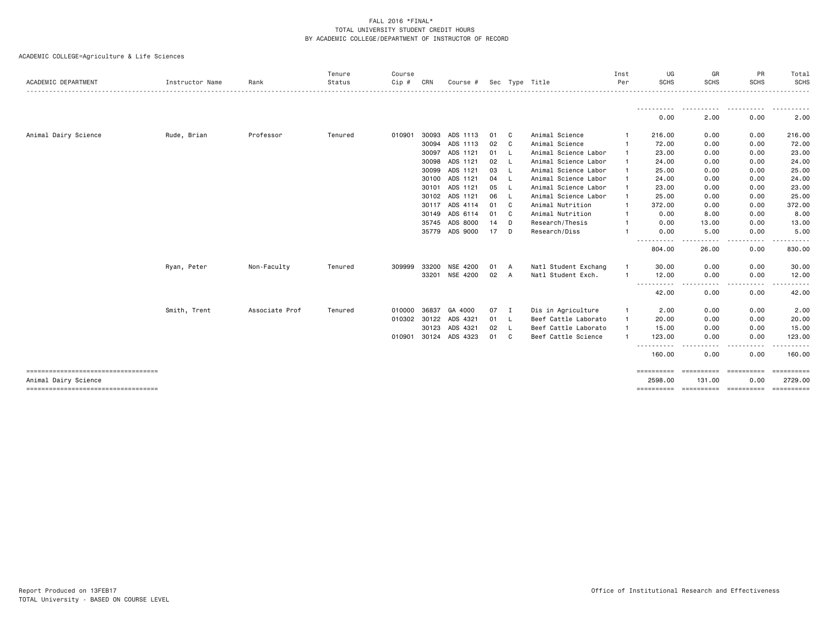| <b>ACADEMIC DEPARTMENT</b>                                    | Instructor Name | Rank           | Tenure<br>Status | Course<br>Cip # | CRN          | Course #       |    |              | Sec Type Title       | Inst<br>Per | UG<br><b>SCHS</b>     | GR<br><b>SCHS</b>     | PR<br><b>SCHS</b>  | Total<br>SCHS         |
|---------------------------------------------------------------|-----------------|----------------|------------------|-----------------|--------------|----------------|----|--------------|----------------------|-------------|-----------------------|-----------------------|--------------------|-----------------------|
|                                                               |                 |                |                  |                 |              |                |    |              |                      |             | -----------<br>0.00   | .<br>2.00             | .<br>0.00          | <u>.</u><br>2.00      |
| Animal Dairy Science                                          | Rude, Brian     | Professor      | Tenured          | 010901          | 30093        | ADS 1113       | 01 | C.           | Animal Science       |             | 216.00                | 0.00                  | 0.00               | 216.00                |
|                                                               |                 |                |                  |                 | 30094        | ADS 1113       | 02 | C.           | Animal Science       |             | 72.00                 | 0.00                  | 0.00               | 72.00                 |
|                                                               |                 |                |                  |                 | 30097        | ADS 1121       | 01 | -L           | Animal Science Labor |             | 23.00                 | 0.00                  | 0.00               | 23.00                 |
|                                                               |                 |                |                  |                 | 30098        | ADS 1121       | 02 | - L          | Animal Science Labor |             | 24.00                 | 0.00                  | 0.00               | 24.00                 |
|                                                               |                 |                |                  |                 | 30099        | ADS 1121       | 03 | - L          | Animal Science Labor |             | 25.00                 | 0.00                  | 0.00               | 25.00                 |
|                                                               |                 |                |                  |                 | 30100        | ADS 1121       | 04 | - 1.         | Animal Science Labor |             | 24.00                 | 0.00                  | 0.00               | 24.00                 |
|                                                               |                 |                |                  |                 | 30101        | ADS 1121       | 05 | - L          | Animal Science Labor |             | 23.00                 | 0.00                  | 0.00               | 23.00                 |
|                                                               |                 |                |                  |                 | 30102        | ADS 1121       | 06 | - L          | Animal Science Labor |             | 25.00                 | 0.00                  | 0.00               | 25.00                 |
|                                                               |                 |                |                  |                 | 30117        | ADS 4114       | 01 | C            | Animal Nutrition     |             | 372.00                | 0.00                  | 0.00               | 372.00                |
|                                                               |                 |                |                  |                 | 30149        | ADS 6114       | 01 | C            | Animal Nutrition     |             | 0.00                  | 8.00                  | 0.00               | 8.00                  |
|                                                               |                 |                |                  |                 | 35745        | ADS 8000       | 14 | D            | Research/Thesis      |             | 0.00                  | 13.00                 | 0.00               | 13.00                 |
|                                                               |                 |                |                  |                 | 35779        | ADS 9000       | 17 | D            | Research/Diss        |             | 0.00                  | 5.00                  | 0.00               | 5.00                  |
|                                                               |                 |                |                  |                 |              |                |    |              |                      |             | ----------<br>804.00  | . <u>.</u> .<br>26.00 | .<br>0.00          | .<br>830.00           |
|                                                               | Ryan, Peter     | Non-Faculty    | Tenured          | 309999          | 33200        | NSE 4200       | 01 | A            | Natl Student Exchang |             | 30.00                 | 0.00                  | 0.00               | 30.00                 |
|                                                               |                 |                |                  |                 |              | 33201 NSE 4200 | 02 | A            | Natl Student Exch.   |             | 12.00<br><u>.</u>     | 0.00<br>$- - - -$     | 0.00               | 12.00<br>.            |
|                                                               |                 |                |                  |                 |              |                |    |              |                      |             | 42.00                 | 0.00                  | 0.00               | 42.00                 |
|                                                               | Smith, Trent    | Associate Prof | Tenured          | 010000          | 36837        | GA 4000        | 07 | $\mathbf{I}$ | Dis in Agriculture   |             | 2.00                  | 0.00                  | 0.00               | 2.00                  |
|                                                               |                 |                |                  |                 | 010302 30122 | ADS 4321       | 01 | - L          | Beef Cattle Laborato |             | 20.00                 | 0.00                  | 0.00               | 20.00                 |
|                                                               |                 |                |                  |                 | 30123        | ADS 4321       | 02 | <b>L</b>     | Beef Cattle Laborato |             | 15.00                 | 0.00                  | 0.00               | 15.00                 |
|                                                               |                 |                |                  |                 | 010901 30124 | ADS 4323       | 01 | C.           | Beef Cattle Science  |             | 123.00                | 0.00                  | 0.00               | 123.00                |
|                                                               |                 |                |                  |                 |              |                |    |              |                      |             | 160.00                | 0.00                  | 0.00               | .<br>160.00           |
| =====================================<br>Animal Dairy Science |                 |                |                  |                 |              |                |    |              |                      |             | ==========<br>2598.00 | ==========<br>131.00  | ==========<br>0.00 | ==========<br>2729.00 |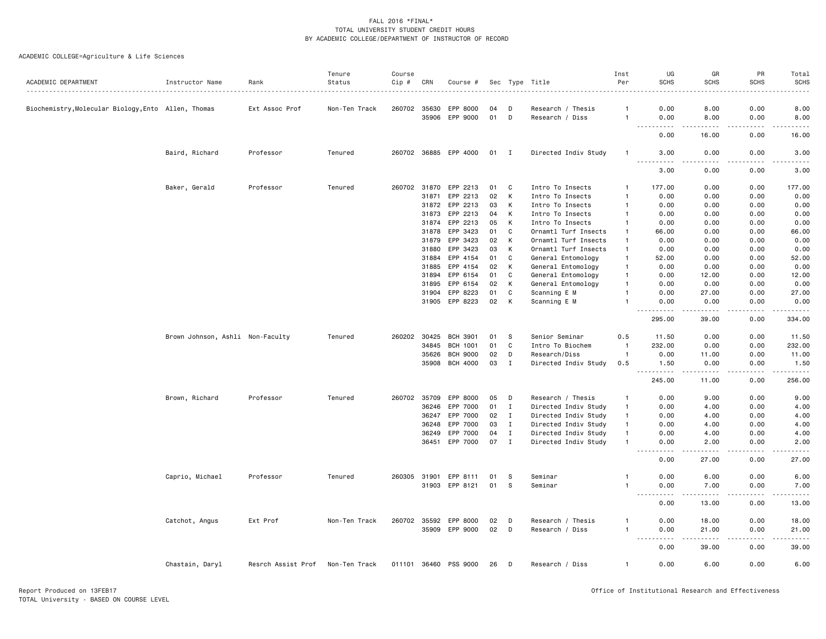| ACADEMIC DEPARTMENT                                 | Instructor Name                  | Rank               | Tenure<br>Status | Course<br>Cip # | CRN          | Course #              |              |              | Sec Type Title       | Inst<br>Per  | UG<br><b>SCHS</b>                     | GR<br><b>SCHS</b> | PR<br><b>SCHS</b> | Total<br><b>SCHS</b>  |
|-----------------------------------------------------|----------------------------------|--------------------|------------------|-----------------|--------------|-----------------------|--------------|--------------|----------------------|--------------|---------------------------------------|-------------------|-------------------|-----------------------|
|                                                     |                                  |                    |                  |                 |              |                       |              |              |                      |              |                                       |                   |                   |                       |
| Biochemistry, Molecular Biology, Ento Allen, Thomas |                                  | Ext Assoc Prof     | Non-Ten Track    | 260702 35630    |              | EPP 8000              | 04           | D            | Research / Thesis    | -1           | 0.00                                  | 8.00              | 0.00              | 8.00                  |
|                                                     |                                  |                    |                  |                 | 35906        | EPP 9000              | 01           | D            | Research / Diss      | $\mathbf{1}$ | 0.00                                  | 8.00              | 0.00              | 8.00                  |
|                                                     |                                  |                    |                  |                 |              |                       |              |              |                      |              | 0.00                                  | 16.00             | 0.00              | 16.00                 |
|                                                     | Baird, Richard                   | Professor          | Tenured          |                 |              | 260702 36885 EPP 4000 | $01 \quad I$ |              | Directed Indiv Study | $\mathbf{1}$ | 3.00<br>$ -$<br>.                     | 0.00<br>.         | 0.00<br>.         | 3.00<br>$- - - -$     |
|                                                     |                                  |                    |                  |                 |              |                       |              |              |                      |              | 3.00                                  | 0.00              | 0.00              | 3.00                  |
|                                                     | Baker, Gerald                    | Professor          | Tenured          | 260702 31870    |              | EPP 2213              | 01           | C            | Intro To Insects     | $\mathbf{1}$ | 177.00                                | 0.00              | 0.00              | 177.00                |
|                                                     |                                  |                    |                  |                 | 31871        | EPP 2213              | 02           | К            | Intro To Insects     | $\mathbf{1}$ | 0.00                                  | 0.00              | 0.00              | 0.00                  |
|                                                     |                                  |                    |                  |                 | 31872        | EPP 2213              | 03           | К            | Intro To Insects     | $\mathbf{1}$ | 0.00                                  | 0.00              | 0.00              | 0.00                  |
|                                                     |                                  |                    |                  |                 | 31873        | EPP 2213              | 04           | K            | Intro To Insects     | -1           | 0.00                                  | 0.00              | 0.00              | 0.00                  |
|                                                     |                                  |                    |                  |                 | 31874        | EPP 2213              | 05           | K            | Intro To Insects     | $\mathbf{1}$ | 0.00                                  | 0.00              | 0.00              | 0.00                  |
|                                                     |                                  |                    |                  |                 | 31878        | EPP 3423              | 01           | C            | Ornamtl Turf Insects | $\mathbf{1}$ | 66.00                                 | 0.00              | 0.00              | 66.00                 |
|                                                     |                                  |                    |                  |                 | 31879        | EPP 3423              | 02           | K            | Ornamtl Turf Insects | $\mathbf{1}$ | 0.00                                  | 0.00              | 0.00              | 0.00                  |
|                                                     |                                  |                    |                  |                 | 31880        | EPP 3423              | 03           | К            | Ornamtl Turf Insects | $\mathbf{1}$ | 0.00                                  | 0.00              | 0.00              | 0.00                  |
|                                                     |                                  |                    |                  |                 | 31884        | EPP 4154              | 01           | C            | General Entomology   | $\mathbf{1}$ | 52.00                                 | 0.00              | 0.00              | 52.00                 |
|                                                     |                                  |                    |                  |                 | 31885        | EPP 4154              | 02           | к            | General Entomology   | $\mathbf{1}$ | 0.00                                  | 0.00              | 0.00              | 0.00                  |
|                                                     |                                  |                    |                  |                 | 31894        | EPP 6154              | 01           | C            | General Entomology   | $\mathbf{1}$ | 0.00                                  | 12.00             | 0.00              | 12.00                 |
|                                                     |                                  |                    |                  |                 | 31895        | EPP 6154              | 02           | К            | General Entomology   | $\mathbf{1}$ | 0.00                                  | 0.00              | 0.00              | 0.00                  |
|                                                     |                                  |                    |                  |                 | 31904        | EPP 8223              | 01           | C            | Scanning E M         |              | 0.00                                  | 27.00             | 0.00              | 27.00                 |
|                                                     |                                  |                    |                  |                 |              | 31905 EPP 8223        | 02           | К            | Scanning E M         |              | 0.00                                  | 0.00              | 0.00              | 0.00                  |
|                                                     |                                  |                    |                  |                 |              |                       |              |              |                      |              | .<br>295.00                           | .<br>39.00        | .<br>0.00         | .<br>334.00           |
|                                                     | Brown Johnson, Ashli Non-Faculty |                    | Tenured          | 260202          | 30425        | <b>BCH 3901</b>       | 01           | -S           | Senior Seminar       | 0.5          | 11.50                                 | 0.00              | 0.00              | 11.50                 |
|                                                     |                                  |                    |                  |                 | 34845        | <b>BCH 1001</b>       | 01           | C            | Intro To Biochem     | $\mathbf{1}$ | 232.00                                | 0.00              | 0.00              | 232.00                |
|                                                     |                                  |                    |                  |                 | 35626        | <b>BCH 9000</b>       | 02           | D            | Research/Diss        | $\mathbf{1}$ | 0.00                                  | 11.00             | 0.00              | 11.00                 |
|                                                     |                                  |                    |                  |                 | 35908        | <b>BCH 4000</b>       | 03           | $\mathbf I$  | Directed Indiv Study | 0.5          | 1.50<br>.                             | 0.00<br>.         | 0.00<br>.         | 1.50<br>.             |
|                                                     |                                  |                    |                  |                 |              |                       |              |              |                      |              | 245.00                                | 11.00             | 0.00              | 256.00                |
|                                                     | Brown, Richard                   | Professor          | Tenured          |                 | 260702 35709 | EPP 8000              | 05           | D            | Research / Thesis    | $\mathbf{1}$ | 0.00                                  | 9.00              | 0.00              | 9.00                  |
|                                                     |                                  |                    |                  |                 | 36246        | EPP 7000              | 01           | $\mathbf{I}$ | Directed Indiv Study | $\mathbf{1}$ | 0.00                                  | 4.00              | 0.00              | 4.00                  |
|                                                     |                                  |                    |                  |                 | 36247        | EPP 7000              | 02           | $\mathbf I$  | Directed Indiv Study | $\mathbf{1}$ | 0.00                                  | 4.00              | 0.00              | 4.00                  |
|                                                     |                                  |                    |                  |                 | 36248        | EPP 7000              | 03           | $\mathbf{I}$ | Directed Indiv Study | $\mathbf{1}$ | 0.00                                  | 4.00              | 0.00              | 4.00                  |
|                                                     |                                  |                    |                  |                 | 36249        | EPP 7000              | 04           | I            | Directed Indiv Study | $\mathbf{1}$ | 0.00                                  | 4.00              | 0.00              | 4.00                  |
|                                                     |                                  |                    |                  |                 |              | 36451 EPP 7000        | 07           | $\mathbf{I}$ | Directed Indiv Study | $\mathbf{1}$ | 0.00<br>.<br>$\sim$ $\sim$            | 2.00<br>.         | 0.00<br>.         | 2.00<br>.             |
|                                                     |                                  |                    |                  |                 |              |                       |              |              |                      |              | 0.00                                  | 27.00             | 0.00              | 27.00                 |
|                                                     | Caprio, Michael                  | Professor          | Tenured          |                 | 260305 31901 | EPP 8111              | 01           | S.           | Seminar              | $\mathbf{1}$ | 0.00                                  | 6.00              | 0.00              | 6.00                  |
|                                                     |                                  |                    |                  |                 | 31903        | EPP 8121              | 01           | S            | Seminar              | $\mathbf{1}$ | 0.00<br>$- - -$<br>$- - - - -$        | 7.00              | 0.00              | 7.00<br>$\frac{1}{2}$ |
|                                                     |                                  |                    |                  |                 |              |                       |              |              |                      |              | 0.00                                  | 13.00             | 0.00              | 13.00                 |
|                                                     | Catchot, Angus                   | Ext Prof           | Non-Ten Track    |                 |              | 260702 35592 EPP 8000 | 02           | D            | Research / Thesis    | $\mathbf{1}$ | 0.00                                  | 18.00             | 0.00              | 18.00                 |
|                                                     |                                  |                    |                  |                 |              | 35909 EPP 9000        | 02           | D            | Research / Diss      | $\mathbf{1}$ | 0.00                                  | 21.00             | 0.00              | 21.00                 |
|                                                     |                                  |                    |                  |                 |              |                       |              |              |                      |              | $\sim$ $\sim$ $\sim$<br>$\frac{1}{2}$ | $- - - - -$       | .                 | .                     |
|                                                     |                                  |                    |                  |                 |              |                       |              |              |                      |              | 0.00                                  | 39.00             | 0.00              | 39.00                 |
|                                                     | Chastain, Daryl                  | Resrch Assist Prof | Non-Ten Track    | 011101 36460    |              | PSS 9000              | 26           | D            | Research / Diss      | $\mathbf{1}$ | 0.00                                  | 6.00              | 0.00              | 6.00                  |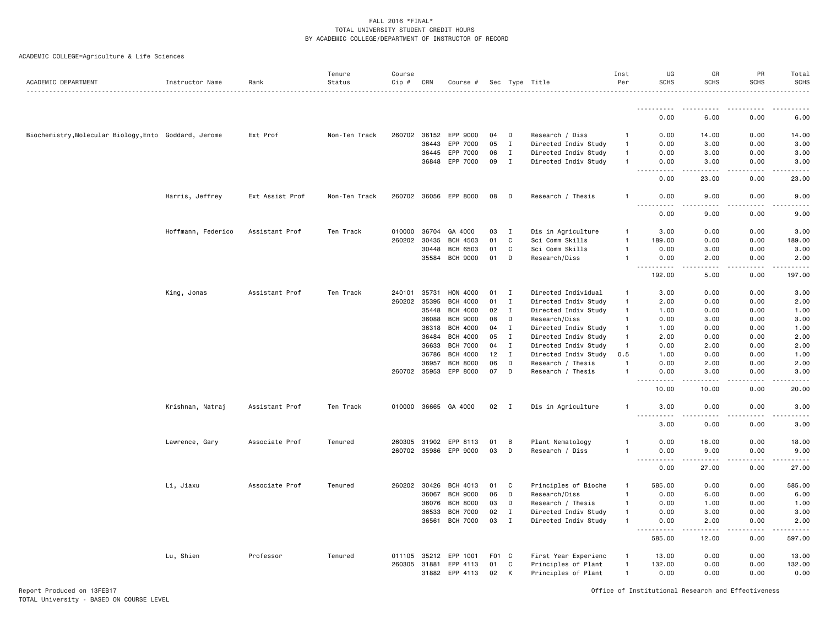|  | ACADEMIC COLLEGE=Agriculture & Life Sciences |  |  |  |
|--|----------------------------------------------|--|--|--|
|--|----------------------------------------------|--|--|--|

| ACADEMIC DEPARTMENT                                   | Instructor Name    | Rank            | Tenure<br>Status | Course<br>Cip # | CRN          | Course #             |                  |              | Sec Type Title       | Inst<br>Per    | UG<br><b>SCHS</b>                     | GR<br><b>SCHS</b>                    | PR<br><b>SCHS</b> | Total<br><b>SCHS</b>                                                                                                               |
|-------------------------------------------------------|--------------------|-----------------|------------------|-----------------|--------------|----------------------|------------------|--------------|----------------------|----------------|---------------------------------------|--------------------------------------|-------------------|------------------------------------------------------------------------------------------------------------------------------------|
|                                                       |                    |                 |                  |                 |              |                      |                  |              |                      |                |                                       |                                      |                   |                                                                                                                                    |
|                                                       |                    |                 |                  |                 |              |                      |                  |              |                      |                | .<br>0.00                             | 6.00                                 | 0.00              | 6.00                                                                                                                               |
| Biochemistry, Molecular Biology, Ento Goddard, Jerome |                    | Ext Prof        | Non-Ten Track    | 260702          | 36152        | EPP 9000             | 04               | D            | Research / Diss      | $\mathbf{1}$   | 0.00                                  | 14.00                                | 0.00              | 14.00                                                                                                                              |
|                                                       |                    |                 |                  |                 | 36443        | EPP 7000             | 05               | $\mathbf I$  | Directed Indiv Study | $\mathbf{1}$   | 0.00                                  | 3.00                                 | 0.00              | 3.00                                                                                                                               |
|                                                       |                    |                 |                  |                 | 36445        | EPP 7000             | 06               | $\mathbf{I}$ | Directed Indiv Study | $\mathbf{1}$   | 0.00                                  | 3.00                                 | 0.00              | 3.00                                                                                                                               |
|                                                       |                    |                 |                  |                 | 36848        | EPP 7000             | 09               | $\mathbf I$  | Directed Indiv Study | $\mathbf{1}$   | 0.00                                  | 3.00                                 | 0.00              | 3.00                                                                                                                               |
|                                                       |                    |                 |                  |                 |              |                      |                  |              |                      |                | .<br>$\sim$ $\sim$ $\sim$ .<br>0.00   | 22222<br>23.00                       | .<br>0.00         | .<br>23.00                                                                                                                         |
|                                                       | Harris, Jeffrey    | Ext Assist Prof | Non-Ten Track    |                 | 260702 36056 | EPP 8000             | 08               | D            | Research / Thesis    | -1             | 0.00                                  | 9.00                                 | 0.00              | 9.00                                                                                                                               |
|                                                       |                    |                 |                  |                 |              |                      |                  |              |                      |                | $- - -$<br>$- - - -$<br>0.00          | $- - - -$<br>9.00                    | .<br>0.00         | $\frac{1}{2}$<br>9.00                                                                                                              |
|                                                       |                    |                 |                  |                 |              |                      |                  |              |                      |                |                                       |                                      |                   |                                                                                                                                    |
|                                                       | Hoffmann, Federico | Assistant Prof  | Ten Track        | 010000          | 36704        | GA 4000              | 03               | I            | Dis in Agriculture   | -1             | 3.00                                  | 0.00                                 | 0.00              | 3.00                                                                                                                               |
|                                                       |                    |                 |                  |                 | 260202 30435 | <b>BCH 4503</b>      | 01               | C            | Sci Comm Skills      | -1             | 189.00                                | 0.00                                 | 0.00              | 189.00                                                                                                                             |
|                                                       |                    |                 |                  |                 | 30448        | BCH 6503             | 01               | C            | Sci Comm Skills      | -1             | 0.00                                  | 3.00                                 | 0.00              | 3.00                                                                                                                               |
|                                                       |                    |                 |                  |                 | 35584        | <b>BCH 9000</b>      | 01               | D            | Research/Diss        |                | 0.00<br>.                             | 2.00<br>$- - -$                      | 0.00<br>.         | 2.00<br>.                                                                                                                          |
|                                                       |                    |                 |                  |                 |              |                      |                  |              |                      |                | 192.00                                | 5.00                                 | 0.00              | 197.00                                                                                                                             |
|                                                       | King, Jonas        | Assistant Prof  | Ten Track        | 240101          | 35731        | HON 4000             | 01               | I            | Directed Individual  | $\mathbf{1}$   | 3.00                                  | 0.00                                 | 0.00              | 3.00                                                                                                                               |
|                                                       |                    |                 |                  | 260202          | 35395        | <b>BCH 4000</b>      | 01               | I            | Directed Indiv Study | $\mathbf{1}$   | 2.00                                  | 0.00                                 | 0.00              | 2.00                                                                                                                               |
|                                                       |                    |                 |                  |                 | 35448        | <b>BCH 4000</b>      | 02               | $\mathbf{I}$ | Directed Indiv Study | $\mathbf{1}$   | 1.00                                  | 0.00                                 | 0.00              | 1.00                                                                                                                               |
|                                                       |                    |                 |                  |                 | 36088        | <b>BCH 9000</b>      | 08               | D            | Research/Diss        | $\mathbf{1}$   | 0.00                                  | 3.00                                 | 0.00              | 3.00                                                                                                                               |
|                                                       |                    |                 |                  |                 | 36318        | <b>BCH 4000</b>      | 04               | $\mathbf I$  | Directed Indiv Study | $\mathbf{1}$   | 1.00                                  | 0.00                                 | 0.00              | 1.00                                                                                                                               |
|                                                       |                    |                 |                  |                 | 36484        | <b>BCH 4000</b>      | 05               | $\mathbf I$  | Directed Indiv Study | $\mathbf{1}$   | 2.00                                  | 0.00                                 | 0.00              | 2.00                                                                                                                               |
|                                                       |                    |                 |                  |                 | 36633        | <b>BCH 7000</b>      | 04               | $\mathbf I$  | Directed Indiv Study | $\overline{1}$ | 0.00                                  | 2.00                                 | 0.00              | 2.00                                                                                                                               |
|                                                       |                    |                 |                  |                 | 36786        | <b>BCH 4000</b>      | 12               | $\mathbf{I}$ | Directed Indiv Study | 0.5            | 1.00                                  | 0.00                                 | 0.00              | 1.00                                                                                                                               |
|                                                       |                    |                 |                  |                 | 36957        | <b>BCH 8000</b>      | 06               | D            | Research / Thesis    | $\mathbf{1}$   | 0.00                                  | 2.00                                 | 0.00              | 2.00                                                                                                                               |
|                                                       |                    |                 |                  |                 | 260702 35953 | EPP 8000             | 07               | D            | Research / Thesis    | -1             | 0.00                                  | 3.00                                 | 0.00              | 3.00                                                                                                                               |
|                                                       |                    |                 |                  |                 |              |                      |                  |              |                      |                | $\sim$<br>.<br>10.00                  | $\sim$ $\sim$ $\sim$ $\sim$<br>10.00 | .<br>0.00         | $\frac{1}{2} \left( \frac{1}{2} \right) \left( \frac{1}{2} \right) \left( \frac{1}{2} \right) \left( \frac{1}{2} \right)$<br>20.00 |
|                                                       | Krishnan, Natraj   | Assistant Prof  | Ten Track        |                 |              | 010000 36665 GA 4000 | 02 I             |              | Dis in Agriculture   | $\mathbf{1}$   | 3.00                                  | 0.00                                 | 0.00              | 3.00                                                                                                                               |
|                                                       |                    |                 |                  |                 |              |                      |                  |              |                      |                | .<br>3.00                             | .<br>0.00                            | -----<br>0.00     | .<br>3.00                                                                                                                          |
|                                                       | Lawrence, Gary     | Associate Prof  | Tenured          | 260305          | 31902        | EPP 8113             | 01               | B            | Plant Nematology     | -1             | 0.00                                  | 18.00                                | 0.00              | 18.00                                                                                                                              |
|                                                       |                    |                 |                  |                 | 260702 35986 | EPP 9000             | 03               | D            | Research / Diss      | -1             | 0.00                                  | 9.00                                 | 0.00              | 9.00                                                                                                                               |
|                                                       |                    |                 |                  |                 |              |                      |                  |              |                      |                | $ -$<br>0.00                          | 27.00                                | 0.00              | 27.00                                                                                                                              |
|                                                       | Li, Jiaxu          | Associate Prof  | Tenured          |                 | 260202 30426 | BCH 4013             | 01               | C            | Principles of Bioche | $\mathbf{1}$   | 585.00                                | 0.00                                 | 0.00              | 585.00                                                                                                                             |
|                                                       |                    |                 |                  |                 | 36067        | <b>BCH 9000</b>      | 06               | D            | Research/Diss        | $\mathbf{1}$   | 0.00                                  | 6.00                                 | 0.00              | 6.00                                                                                                                               |
|                                                       |                    |                 |                  |                 | 36076        | <b>BCH 8000</b>      | 03               | D            | Research / Thesis    | $\mathbf{1}$   | 0.00                                  | 1.00                                 | 0.00              | 1.00                                                                                                                               |
|                                                       |                    |                 |                  |                 | 36533        | <b>BCH 7000</b>      | 02               | Ι.           | Directed Indiv Study | $\mathbf{1}$   | 0.00                                  | 3.00                                 | 0.00              | 3.00                                                                                                                               |
|                                                       |                    |                 |                  |                 | 36561        | <b>BCH 7000</b>      | 03               | $\mathbf{I}$ | Directed Indiv Study | $\mathbf{1}$   | 0.00                                  | 2.00                                 | 0.00              | 2.00                                                                                                                               |
|                                                       |                    |                 |                  |                 |              |                      |                  |              |                      |                | $\sim$ $\sim$ $\sim$ $\sim$<br>585.00 | 12.00                                | 0.00              | 597.00                                                                                                                             |
|                                                       | Lu, Shien          | Professor       | Tenured          |                 | 011105 35212 | EPP 1001             | F <sub>0</sub> 1 | C            | First Year Experienc | -1             | 13.00                                 | 0.00                                 | 0.00              | 13.00                                                                                                                              |
|                                                       |                    |                 |                  | 260305 31881    |              | EPP 4113             | 01               | C            | Principles of Plant  | $\mathbf{1}$   | 132.00                                | 0.00                                 | 0.00              | 132.00                                                                                                                             |
|                                                       |                    |                 |                  |                 | 31882        | EPP 4113             | 02               | K            | Principles of Plant  | $\mathbf{1}$   | 0.00                                  | 0.00                                 | 0.00              | 0.00                                                                                                                               |
|                                                       |                    |                 |                  |                 |              |                      |                  |              |                      |                |                                       |                                      |                   |                                                                                                                                    |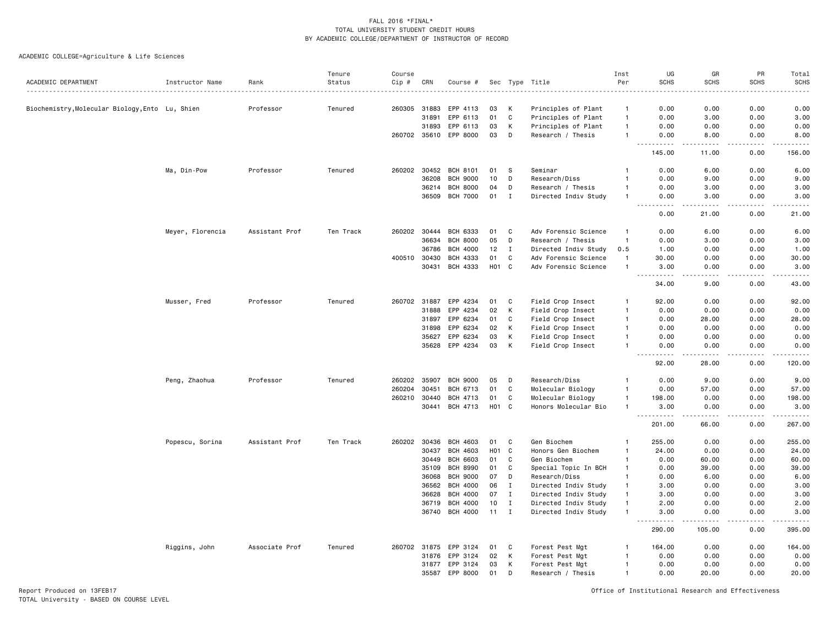ACADEMIC COLLEGE=Agriculture & Life Sciences

|                                                 |                  |                | Tenure    | Course |              |                 |                   |              |                      | Inst           | UG                                                                                                                                                                                                                                                                                                                                                                                                                  | GR               | PR                    | Total                                                                                                                                                        |
|-------------------------------------------------|------------------|----------------|-----------|--------|--------------|-----------------|-------------------|--------------|----------------------|----------------|---------------------------------------------------------------------------------------------------------------------------------------------------------------------------------------------------------------------------------------------------------------------------------------------------------------------------------------------------------------------------------------------------------------------|------------------|-----------------------|--------------------------------------------------------------------------------------------------------------------------------------------------------------|
| ACADEMIC DEPARTMENT                             | Instructor Name  | Rank           | Status    | Cip #  | CRN          | Course #        | Sec               | Type         | Title                | Per            | <b>SCHS</b>                                                                                                                                                                                                                                                                                                                                                                                                         | <b>SCHS</b>      | <b>SCHS</b>           | <b>SCHS</b>                                                                                                                                                  |
|                                                 |                  |                |           |        |              |                 |                   |              |                      |                |                                                                                                                                                                                                                                                                                                                                                                                                                     |                  |                       |                                                                                                                                                              |
| Biochemistry, Molecular Biology, Ento Lu, Shien |                  | Professor      | Tenured   | 260305 | 31883        | EPP 4113        | 03                | к            | Principles of Plant  | $\mathbf{1}$   | 0.00                                                                                                                                                                                                                                                                                                                                                                                                                | 0.00             | 0.00                  | 0.00                                                                                                                                                         |
|                                                 |                  |                |           |        | 31891        | EPP 6113        | 01                | C            | Principles of Plant  | $\mathbf{1}$   | 0.00                                                                                                                                                                                                                                                                                                                                                                                                                | 3.00             | 0.00                  | 3.00                                                                                                                                                         |
|                                                 |                  |                |           |        | 31893        | EPP 6113        | 03                | К            | Principles of Plant  | $\overline{1}$ | 0.00                                                                                                                                                                                                                                                                                                                                                                                                                | 0.00             | 0.00                  | 0.00                                                                                                                                                         |
|                                                 |                  |                |           |        | 260702 35610 | EPP 8000        | 03                | D            | Research / Thesis    | -1             | 0.00<br>.                                                                                                                                                                                                                                                                                                                                                                                                           | 8.00<br>.        | 0.00<br>.             | 8.00<br>.                                                                                                                                                    |
|                                                 |                  |                |           |        |              |                 |                   |              |                      |                | 145.00                                                                                                                                                                                                                                                                                                                                                                                                              | 11.00            | 0.00                  | 156.00                                                                                                                                                       |
|                                                 | Ma, Din-Pow      | Professor      | Tenured   | 260202 | 30452        | <b>BCH 8101</b> | 01                | -S           | Seminar              | $\mathbf{1}$   | 0.00                                                                                                                                                                                                                                                                                                                                                                                                                | 6.00             | 0.00                  | 6.00                                                                                                                                                         |
|                                                 |                  |                |           |        | 36208        | <b>BCH 9000</b> | 10                | D            | Research/Diss        | $\mathbf{1}$   | 0.00                                                                                                                                                                                                                                                                                                                                                                                                                | 9.00             | 0.00                  | 9.00                                                                                                                                                         |
|                                                 |                  |                |           |        | 36214        | <b>BCH 8000</b> | 04                | D            | Research / Thesis    | $\overline{1}$ | 0.00                                                                                                                                                                                                                                                                                                                                                                                                                | 3.00             | 0.00                  | 3.00                                                                                                                                                         |
|                                                 |                  |                |           |        | 36509        | <b>BCH 7000</b> | 01                | $\mathbf{I}$ | Directed Indiv Study | $\overline{1}$ | 0.00<br>$ -$<br>.                                                                                                                                                                                                                                                                                                                                                                                                   | 3.00<br>-----    | 0.00<br>.             | 3.00<br>$\frac{1}{2} \left( \frac{1}{2} \right) \left( \frac{1}{2} \right) \left( \frac{1}{2} \right) \left( \frac{1}{2} \right) \left( \frac{1}{2} \right)$ |
|                                                 |                  |                |           |        |              |                 |                   |              |                      |                | 0.00                                                                                                                                                                                                                                                                                                                                                                                                                | 21.00            | 0.00                  | 21.00                                                                                                                                                        |
|                                                 | Meyer, Florencia | Assistant Prof | Ten Track | 260202 | 30444        | <b>BCH 6333</b> | 01                | C            | Adv Forensic Science | -1             | 0.00                                                                                                                                                                                                                                                                                                                                                                                                                | 6.00             | 0.00                  | 6.00                                                                                                                                                         |
|                                                 |                  |                |           |        | 36634        | <b>BCH 8000</b> | 05                | D            | Research / Thesis    | $\overline{1}$ | 0.00                                                                                                                                                                                                                                                                                                                                                                                                                | 3.00             | 0.00                  | 3.00                                                                                                                                                         |
|                                                 |                  |                |           |        | 36786        | <b>BCH 4000</b> | 12                | I            | Directed Indiv Study | 0.5            | 1.00                                                                                                                                                                                                                                                                                                                                                                                                                | 0.00             | 0.00                  | 1.00                                                                                                                                                         |
|                                                 |                  |                |           | 400510 | 30430        | BCH 4333        | 01                | C            | Adv Forensic Science | $\overline{1}$ | 30.00                                                                                                                                                                                                                                                                                                                                                                                                               | 0.00             | 0.00                  | 30.00                                                                                                                                                        |
|                                                 |                  |                |           |        | 30431        | BCH 4333        | H <sub>01</sub> C |              | Adv Forensic Science | $\overline{1}$ | 3.00<br>.<br>$\sim$ $\sim$ .                                                                                                                                                                                                                                                                                                                                                                                        | 0.00<br>د د د د  | 0.00<br>.             | 3.00<br>.                                                                                                                                                    |
|                                                 |                  |                |           |        |              |                 |                   |              |                      |                | 34.00                                                                                                                                                                                                                                                                                                                                                                                                               | 9.00             | 0.00                  | 43.00                                                                                                                                                        |
|                                                 | Musser, Fred     | Professor      | Tenured   |        | 260702 31887 | EPP 4234        | 01                | C            | Field Crop Insect    | -1             | 92.00                                                                                                                                                                                                                                                                                                                                                                                                               | 0.00             | 0.00                  | 92.00                                                                                                                                                        |
|                                                 |                  |                |           |        | 31888        | EPP 4234        | 02                | К            | Field Crop Insect    | $\overline{1}$ | 0.00                                                                                                                                                                                                                                                                                                                                                                                                                | 0.00             | 0.00                  | 0.00                                                                                                                                                         |
|                                                 |                  |                |           |        | 31897        | EPP 6234        | 01                | C            | Field Crop Insect    | $\mathbf{1}$   | 0.00                                                                                                                                                                                                                                                                                                                                                                                                                | 28.00            | 0.00                  | 28.00                                                                                                                                                        |
|                                                 |                  |                |           |        | 31898        | EPP 6234        | 02                | K            | Field Crop Insect    | -1             | 0.00                                                                                                                                                                                                                                                                                                                                                                                                                | 0.00             | 0.00                  | 0.00                                                                                                                                                         |
|                                                 |                  |                |           |        | 35627        | EPP 6234        | 03                | К            | Field Crop Insect    | $\mathbf{1}$   | 0.00                                                                                                                                                                                                                                                                                                                                                                                                                | 0.00             | 0.00                  | 0.00                                                                                                                                                         |
|                                                 |                  |                |           |        | 35628        | EPP 4234        | 03                | K            | Field Crop Insect    | $\mathbf{1}$   | 0.00<br>$\frac{1}{2} \frac{1}{2} \frac{1}{2} \frac{1}{2} \frac{1}{2} \frac{1}{2} \frac{1}{2} \frac{1}{2} \frac{1}{2} \frac{1}{2} \frac{1}{2} \frac{1}{2} \frac{1}{2} \frac{1}{2} \frac{1}{2} \frac{1}{2} \frac{1}{2} \frac{1}{2} \frac{1}{2} \frac{1}{2} \frac{1}{2} \frac{1}{2} \frac{1}{2} \frac{1}{2} \frac{1}{2} \frac{1}{2} \frac{1}{2} \frac{1}{2} \frac{1}{2} \frac{1}{2} \frac{1}{2} \frac{$<br>$- - - - -$ | 0.00<br><u>.</u> | 0.00<br>$\frac{1}{2}$ | 0.00<br>.                                                                                                                                                    |
|                                                 |                  |                |           |        |              |                 |                   |              |                      |                | 92.00                                                                                                                                                                                                                                                                                                                                                                                                               | 28,00            | 0.00                  | 120,00                                                                                                                                                       |
|                                                 | Peng, Zhaohua    | Professor      | Tenured   | 260202 | 35907        | <b>BCH 9000</b> | 05                | D            | Research/Diss        | $\overline{1}$ | 0.00                                                                                                                                                                                                                                                                                                                                                                                                                | 9.00             | 0.00                  | 9.00                                                                                                                                                         |
|                                                 |                  |                |           | 260204 | 30451        | BCH 6713        | 01                | C            | Molecular Biology    | $\mathbf{1}$   | 0.00                                                                                                                                                                                                                                                                                                                                                                                                                | 57.00            | 0.00                  | 57.00                                                                                                                                                        |
|                                                 |                  |                |           | 260210 | 30440        | BCH 4713        | 01                | C            | Molecular Biology    | $\mathbf{1}$   | 198.00                                                                                                                                                                                                                                                                                                                                                                                                              | 0.00             | 0.00                  | 198.00                                                                                                                                                       |
|                                                 |                  |                |           |        | 30441        | BCH 4713        | <b>HO1</b>        | $\mathbf c$  | Honors Molecular Bio | $\mathbf{1}$   | 3.00<br><b>.</b>                                                                                                                                                                                                                                                                                                                                                                                                    | 0.00<br>.        | 0.00<br>.             | 3.00<br>22222                                                                                                                                                |
|                                                 |                  |                |           |        |              |                 |                   |              |                      |                | 201.00                                                                                                                                                                                                                                                                                                                                                                                                              | 66.00            | 0.00                  | 267.00                                                                                                                                                       |
|                                                 | Popescu, Sorina  | Assistant Prof | Ten Track | 260202 | 30436        | BCH 4603        | 01                | C            | Gen Biochem          | $\overline{1}$ | 255.00                                                                                                                                                                                                                                                                                                                                                                                                              | 0.00             | 0.00                  | 255.00                                                                                                                                                       |
|                                                 |                  |                |           |        | 30437        | BCH 4603        | H <sub>0</sub> 1  | C            | Honors Gen Biochem   | 1              | 24.00                                                                                                                                                                                                                                                                                                                                                                                                               | 0.00             | 0.00                  | 24.00                                                                                                                                                        |
|                                                 |                  |                |           |        | 30449        | <b>BCH 6603</b> | 01                | C            | Gen Biochem          | 1              | 0.00                                                                                                                                                                                                                                                                                                                                                                                                                | 60.00            | 0.00                  | 60.00                                                                                                                                                        |
|                                                 |                  |                |           |        | 35109        | <b>BCH 8990</b> | 01                | C            | Special Topic In BCH | -1             | 0.00                                                                                                                                                                                                                                                                                                                                                                                                                | 39.00            | 0.00                  | 39.00                                                                                                                                                        |
|                                                 |                  |                |           |        | 36068        | <b>BCH 9000</b> | 07                | D            | Research/Diss        | $\mathbf{1}$   | 0.00                                                                                                                                                                                                                                                                                                                                                                                                                | 6.00             | 0.00                  | 6.00                                                                                                                                                         |
|                                                 |                  |                |           |        | 36562        | <b>BCH 4000</b> | 06                | I            | Directed Indiv Study | -1             | 3.00                                                                                                                                                                                                                                                                                                                                                                                                                | 0.00             | 0.00                  | 3.00                                                                                                                                                         |
|                                                 |                  |                |           |        | 36628        | <b>BCH 4000</b> | 07                | $\mathbf{I}$ | Directed Indiv Study | $\overline{1}$ | 3.00                                                                                                                                                                                                                                                                                                                                                                                                                | 0.00             | 0.00                  | 3.00                                                                                                                                                         |
|                                                 |                  |                |           |        | 36719        | <b>BCH 4000</b> | 10                | $\mathbf{I}$ | Directed Indiv Study | $\overline{1}$ | 2.00                                                                                                                                                                                                                                                                                                                                                                                                                | 0.00             | 0.00                  | 2.00                                                                                                                                                         |
|                                                 |                  |                |           |        | 36740        | BCH 4000        | 11                | $\mathbf{I}$ | Directed Indiv Study | $\overline{1}$ | 3.00<br>.<br>$\sim$ $\sim$                                                                                                                                                                                                                                                                                                                                                                                          | 0.00<br>.        | 0.00<br>.             | 3.00<br>.                                                                                                                                                    |
|                                                 |                  |                |           |        |              |                 |                   |              |                      |                | 290.00                                                                                                                                                                                                                                                                                                                                                                                                              | 105.00           | 0.00                  | 395.00                                                                                                                                                       |
|                                                 | Riggins, John    | Associate Prof | Tenured   |        | 260702 31875 | EPP 3124        | 01                | C            | Forest Pest Mgt      | -1             | 164.00                                                                                                                                                                                                                                                                                                                                                                                                              | 0.00             | 0.00                  | 164.00                                                                                                                                                       |
|                                                 |                  |                |           |        | 31876        | EPP 3124        | 02                | К            | Forest Pest Mgt      | -1             | 0.00                                                                                                                                                                                                                                                                                                                                                                                                                | 0.00             | 0.00                  | 0.00                                                                                                                                                         |
|                                                 |                  |                |           |        | 31877        | EPP 3124        | 03                | К            | Forest Pest Mgt      | $\overline{1}$ | 0.00                                                                                                                                                                                                                                                                                                                                                                                                                | 0.00             | 0.00                  | 0.00                                                                                                                                                         |
|                                                 |                  |                |           |        | 35587        | EPP 8000        | 01                | D            | Research / Thesis    | $\mathbf{1}$   | 0.00                                                                                                                                                                                                                                                                                                                                                                                                                | 20.00            | 0.00                  | 20.00                                                                                                                                                        |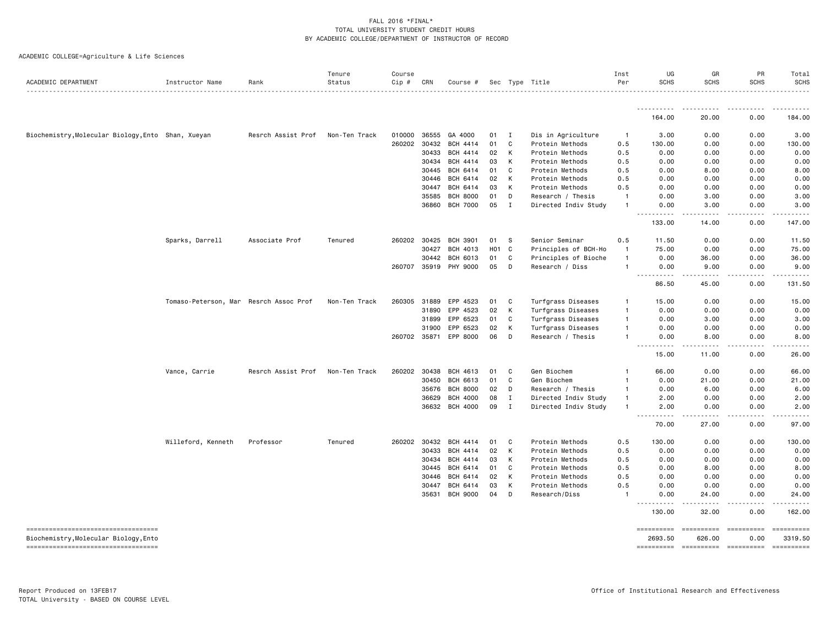| ACADEMIC DEPARTMENT                                                         | Instructor Name                        | Rank               | Tenure<br>Status<br>. | Course<br>Cip # | CRN   | Course #        |                 |              | Sec Type Title       | Inst<br>Per    | UG<br><b>SCHS</b>               | GR<br><b>SCHS</b>                                                                                                                                             | PR<br><b>SCHS</b>  | Total<br><b>SCHS</b><br>. |
|-----------------------------------------------------------------------------|----------------------------------------|--------------------|-----------------------|-----------------|-------|-----------------|-----------------|--------------|----------------------|----------------|---------------------------------|---------------------------------------------------------------------------------------------------------------------------------------------------------------|--------------------|---------------------------|
|                                                                             |                                        |                    |                       |                 |       |                 |                 |              |                      |                | -----------                     | .                                                                                                                                                             | <u>.</u>           |                           |
|                                                                             |                                        |                    |                       |                 |       |                 |                 |              |                      |                | 164.00                          | 20.00                                                                                                                                                         | 0.00               | 184.00                    |
| Biochemistry, Molecular Biology, Ento Shan, Xueyan                          |                                        | Resrch Assist Prof | Non-Ten Track         | 010000          | 36555 | GA 4000         | 01              | Ι.           | Dis in Agriculture   | $\overline{1}$ | 3.00                            | 0.00                                                                                                                                                          | 0.00               | 3.00                      |
|                                                                             |                                        |                    |                       | 260202          | 30432 | <b>BCH 4414</b> | 01              | $\mathtt{C}$ | Protein Methods      | 0.5            | 130.00                          | 0.00                                                                                                                                                          | 0.00               | 130.00                    |
|                                                                             |                                        |                    |                       |                 | 30433 | <b>BCH 4414</b> | 02              | К            | Protein Methods      | 0.5            | 0.00                            | 0.00                                                                                                                                                          | 0.00               | 0.00                      |
|                                                                             |                                        |                    |                       |                 | 30434 | <b>BCH 4414</b> | 03              | К            | Protein Methods      | 0.5            | 0.00                            | 0.00                                                                                                                                                          | 0.00               | 0.00                      |
|                                                                             |                                        |                    |                       |                 | 30445 | BCH 6414        | 01              | C            | Protein Methods      | 0.5            | 0.00                            | 8.00                                                                                                                                                          | 0.00               | 8.00                      |
|                                                                             |                                        |                    |                       |                 | 30446 | BCH 6414        | 02              | K            | Protein Methods      | 0.5            | 0.00                            | 0.00                                                                                                                                                          | 0.00               | 0.00                      |
|                                                                             |                                        |                    |                       |                 | 30447 | BCH 6414        | 03              | К            | Protein Methods      | 0.5            | 0.00                            | 0.00                                                                                                                                                          | 0.00               | 0.00                      |
|                                                                             |                                        |                    |                       |                 | 35585 | <b>BCH 8000</b> | 01              | D            | Research / Thesis    | $\overline{1}$ | 0.00                            | 3.00                                                                                                                                                          | 0.00               | 3.00                      |
|                                                                             |                                        |                    |                       |                 | 36860 | <b>BCH 7000</b> | 05              | $\mathbf I$  | Directed Indiv Study | $\mathbf{1}$   | 0.00                            | 3.00                                                                                                                                                          | 0.00               | 3.00<br>.                 |
|                                                                             |                                        |                    |                       |                 |       |                 |                 |              |                      |                | 133.00                          | 14.00                                                                                                                                                         | 0.00               | 147.00                    |
|                                                                             | Sparks, Darrell                        | Associate Prof     | Tenured               | 260202          | 30425 | <b>BCH 3901</b> | 01              | S            | Senior Seminar       | 0.5            | 11.50                           | 0.00                                                                                                                                                          | 0.00               | 11.50                     |
|                                                                             |                                        |                    |                       |                 | 30427 | BCH 4013        | HO <sub>1</sub> | $\mathbf C$  | Principles of BCH-Ho | $\overline{1}$ | 75.00                           | 0.00                                                                                                                                                          | 0.00               | 75.00                     |
|                                                                             |                                        |                    |                       |                 | 30442 | BCH 6013        | 01              | $\mathtt{C}$ | Principles of Bioche | $\overline{1}$ | 0.00                            | 36.00                                                                                                                                                         | 0.00               | 36.00                     |
|                                                                             |                                        |                    |                       | 260707          | 35919 | <b>PHY 9000</b> | 05              | D            | Research / Diss      | $\overline{1}$ | 0.00                            | 9.00                                                                                                                                                          | 0.00               | 9.00                      |
|                                                                             |                                        |                    |                       |                 |       |                 |                 |              |                      |                | $  -$<br>.<br>86.50             | $\frac{1}{2} \left( \frac{1}{2} \right) \left( \frac{1}{2} \right) \left( \frac{1}{2} \right) \left( \frac{1}{2} \right) \left( \frac{1}{2} \right)$<br>45.00 | .<br>0.00          | .<br>131.50               |
|                                                                             | Tomaso-Peterson, Mar Resrch Assoc Prof |                    | Non-Ten Track         | 260305          | 31889 | EPP 4523        | 01              | C            | Turfgrass Diseases   | $\mathbf{1}$   | 15.00                           | 0.00                                                                                                                                                          | 0.00               | 15.00                     |
|                                                                             |                                        |                    |                       |                 | 31890 | EPP 4523        | 02              | К            | Turfgrass Diseases   | $\overline{1}$ | 0.00                            | 0.00                                                                                                                                                          | 0.00               | 0.00                      |
|                                                                             |                                        |                    |                       |                 | 31899 | EPP 6523        | 01              | $\mathtt{C}$ | Turfgrass Diseases   | $\overline{1}$ | 0.00                            | 3.00                                                                                                                                                          | 0.00               | 3.00                      |
|                                                                             |                                        |                    |                       |                 | 31900 | EPP 6523        | 02              | К            | Turfgrass Diseases   | $\mathbf{1}$   | 0.00                            | 0.00                                                                                                                                                          | 0.00               | 0.00                      |
|                                                                             |                                        |                    |                       | 260702 35871    |       | EPP 8000        | 06              | D            | Research / Thesis    | $\mathbf{1}$   | 0.00<br>$\frac{1}{2}$           | 8,00<br>.                                                                                                                                                     | 0.00<br>.          | 8.00<br>$   -$            |
|                                                                             |                                        |                    |                       |                 |       |                 |                 |              |                      |                | 15.00                           | 11.00                                                                                                                                                         | 0.00               | 26.00                     |
|                                                                             | Vance, Carrie                          | Resrch Assist Prof | Non-Ten Track         | 260202          | 30438 | BCH 4613        | 01              | C            | Gen Biochem          |                | 66.00                           | 0.00                                                                                                                                                          | 0.00               | 66.00                     |
|                                                                             |                                        |                    |                       |                 | 30450 | BCH 6613        | 01              | $\mathtt{C}$ | Gen Biochem          | $\mathbf{1}$   | 0.00                            | 21.00                                                                                                                                                         | 0.00               | 21.00                     |
|                                                                             |                                        |                    |                       |                 | 35676 | <b>BCH 8000</b> | 02              | D            | Research / Thesis    | $\mathbf{1}$   | 0.00                            | 6.00                                                                                                                                                          | 0.00               | 6.00                      |
|                                                                             |                                        |                    |                       |                 | 36629 | <b>BCH 4000</b> | 08              | Ι.           | Directed Indiv Study | $\overline{1}$ | 2.00                            | 0.00                                                                                                                                                          | 0.00               | 2.00                      |
|                                                                             |                                        |                    |                       |                 | 36632 | <b>BCH 4000</b> | 09              | $\mathbf I$  | Directed Indiv Study | $\overline{1}$ | 2.00                            | 0.00                                                                                                                                                          | 0.00               | 2.00                      |
|                                                                             |                                        |                    |                       |                 |       |                 |                 |              |                      |                | <b><i><u>.</u></i></b><br>70.00 | $\frac{1}{2} \left( \frac{1}{2} \right) \left( \frac{1}{2} \right) \left( \frac{1}{2} \right) \left( \frac{1}{2} \right) \left( \frac{1}{2} \right)$<br>27.00 | .<br>0.00          | .<br>97.00                |
|                                                                             | Willeford, Kenneth                     | Professor          | Tenured               | 260202          | 30432 | <b>BCH 4414</b> | 01              | C            | Protein Methods      | 0.5            | 130.00                          | 0.00                                                                                                                                                          | 0.00               | 130.00                    |
|                                                                             |                                        |                    |                       |                 | 30433 | <b>BCH 4414</b> | 02              | К            | Protein Methods      | 0.5            | 0.00                            | 0.00                                                                                                                                                          | 0.00               | 0.00                      |
|                                                                             |                                        |                    |                       |                 | 30434 | <b>BCH 4414</b> | 03              | К            | Protein Methods      | 0.5            | 0.00                            | 0.00                                                                                                                                                          | 0.00               | 0.00                      |
|                                                                             |                                        |                    |                       |                 | 30445 | BCH 6414        | 01              | C            | Protein Methods      | 0.5            | 0.00                            | 8.00                                                                                                                                                          | 0.00               | 8.00                      |
|                                                                             |                                        |                    |                       |                 | 30446 | BCH 6414        | 02              | К            | Protein Methods      | 0.5            | 0.00                            | 0.00                                                                                                                                                          | 0.00               | 0.00                      |
|                                                                             |                                        |                    |                       |                 | 30447 | BCH 6414        | 03              | К            | Protein Methods      | 0.5            | 0.00                            | 0.00                                                                                                                                                          | 0.00               | 0.00                      |
|                                                                             |                                        |                    |                       |                 | 35631 | <b>BCH 9000</b> | 04              | D            | Research/Diss        |                | 0.00                            | 24.00                                                                                                                                                         | 0.00               | 24.00                     |
|                                                                             |                                        |                    |                       |                 |       |                 |                 |              |                      |                | - - -<br>130.00                 | 32.00                                                                                                                                                         | .<br>0.00          | .<br>162.00               |
| ----------------------------------<br>Biochemistry, Molecular Biology, Ento |                                        |                    |                       |                 |       |                 |                 |              |                      |                | ==========<br>2693.50           | 626.00                                                                                                                                                        | ==========<br>0.00 | ==========<br>3319.50     |
| -------------------------------------                                       |                                        |                    |                       |                 |       |                 |                 |              |                      |                |                                 |                                                                                                                                                               |                    | ==========                |
|                                                                             |                                        |                    |                       |                 |       |                 |                 |              |                      |                |                                 |                                                                                                                                                               |                    |                           |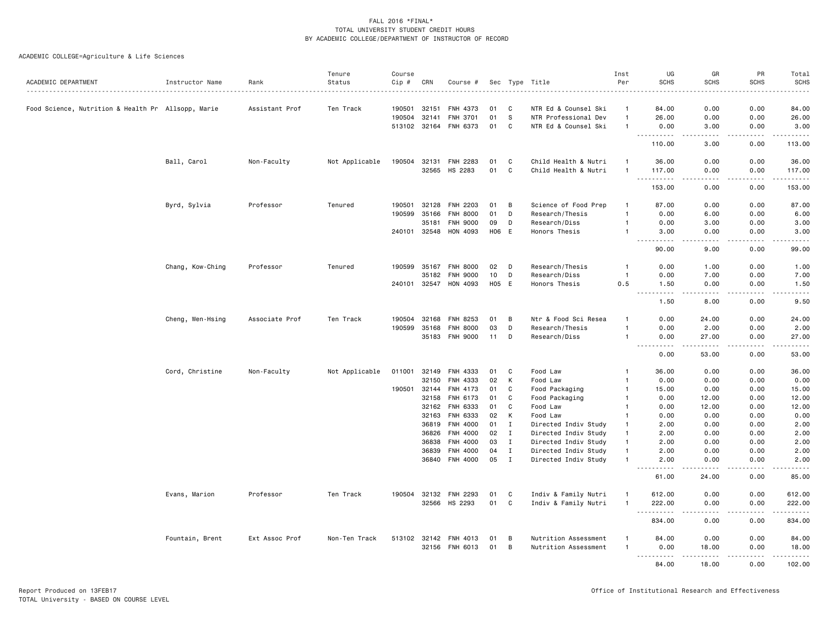|                                                    |                  |                | Tenure         | Course |       |                                 |          |                             |                                              | Inst                           | UG                                        | GR                                                                                                                                                            | PR           | Total                                                                                                                             |
|----------------------------------------------------|------------------|----------------|----------------|--------|-------|---------------------------------|----------|-----------------------------|----------------------------------------------|--------------------------------|-------------------------------------------|---------------------------------------------------------------------------------------------------------------------------------------------------------------|--------------|-----------------------------------------------------------------------------------------------------------------------------------|
| ACADEMIC DEPARTMENT                                | Instructor Name  | Rank           | Status         | Cip #  | CRN   | Course #                        |          |                             | Sec Type Title                               | Per                            | <b>SCHS</b>                               | <b>SCHS</b>                                                                                                                                                   | <b>SCHS</b>  | <b>SCHS</b>                                                                                                                       |
| Food Science, Nutrition & Health Pr Allsopp, Marie |                  | Assistant Prof | Ten Track      | 190501 | 32151 | <b>FNH 4373</b>                 | 01       | C                           | NTR Ed & Counsel Ski                         | $\mathbf{1}$                   | 84.00                                     | 0.00                                                                                                                                                          | 0.00         | 84.00                                                                                                                             |
|                                                    |                  |                |                | 190504 | 32141 | FNH 3701                        | 01       | - S                         | NTR Professional Dev                         | $\overline{1}$                 | 26.00                                     | 0.00                                                                                                                                                          | 0.00         | 26.00                                                                                                                             |
|                                                    |                  |                |                |        |       | 513102 32164 FNH 6373           | 01       | C                           | NTR Ed & Counsel Ski                         | -1                             | 0.00                                      | 3.00                                                                                                                                                          | 0.00         | 3.00                                                                                                                              |
|                                                    |                  |                |                |        |       |                                 |          |                             |                                              |                                | .                                         | .                                                                                                                                                             | .            | 2.2.2.2.2.3                                                                                                                       |
|                                                    |                  |                |                |        |       |                                 |          |                             |                                              |                                | 110.00                                    | 3.00                                                                                                                                                          | 0.00         | 113.00                                                                                                                            |
|                                                    | Ball, Carol      | Non-Faculty    | Not Applicable | 190504 | 32131 | <b>FNH 2283</b>                 | 01       | C                           | Child Health & Nutri                         | -1                             | 36.00                                     | 0.00                                                                                                                                                          | 0.00         | 36.00                                                                                                                             |
|                                                    |                  |                |                |        | 32565 | HS 2283                         | 01       | C                           | Child Health & Nutri                         | $\overline{1}$                 | 117.00<br>.                               | 0.00<br>-----                                                                                                                                                 | 0.00<br>.    | 117.00<br>.                                                                                                                       |
|                                                    |                  |                |                |        |       |                                 |          |                             |                                              |                                | 153.00                                    | 0.00                                                                                                                                                          | 0.00         | 153.00                                                                                                                            |
|                                                    | Byrd, Sylvia     | Professor      | Tenured        | 190501 | 32128 | <b>FNH 2203</b>                 | 01       | В                           | Science of Food Prep                         | $\mathbf{1}$                   | 87.00                                     | 0.00                                                                                                                                                          | 0.00         | 87.00                                                                                                                             |
|                                                    |                  |                |                | 190599 | 35166 | <b>FNH 8000</b>                 | 01       | D                           | Research/Thesis                              | $\overline{1}$                 | 0.00                                      | 6.00                                                                                                                                                          | 0.00         | 6.00                                                                                                                              |
|                                                    |                  |                |                |        | 35181 | <b>FNH 9000</b>                 | 09       | D                           | Research/Diss                                | -1                             | 0.00                                      | 3.00                                                                                                                                                          | 0.00         | 3.00                                                                                                                              |
|                                                    |                  |                |                |        |       | 240101 32548 HON 4093           | H06 E    |                             | Honors Thesis                                | $\overline{1}$                 | 3.00<br>$\sim$ $\sim$<br>د د د د          | 0.00<br>$\sim$ $\sim$ $\sim$ $\sim$                                                                                                                           | 0.00<br>.    | 3.00<br>$\frac{1}{2} \left( \frac{1}{2} \right) \left( \frac{1}{2} \right) \left( \frac{1}{2} \right) \left( \frac{1}{2} \right)$ |
|                                                    |                  |                |                |        |       |                                 |          |                             |                                              |                                | 90.00                                     | 9.00                                                                                                                                                          | 0.00         | 99.00                                                                                                                             |
|                                                    | Chang, Kow-Ching | Professor      | Tenured        |        |       | 190599 35167 FNH 8000           | 02       | D                           | Research/Thesis                              | $\mathbf{1}$                   | 0.00                                      | 1.00                                                                                                                                                          | 0.00         | 1.00                                                                                                                              |
|                                                    |                  |                |                |        | 35182 | <b>FNH 9000</b>                 | 10       | D                           | Research/Diss                                | $\overline{1}$                 | 0.00                                      | 7.00                                                                                                                                                          | 0.00         | 7.00                                                                                                                              |
|                                                    |                  |                |                |        |       | 240101 32547 HON 4093           | H05 E    |                             | Honors Thesis                                | 0.5                            | 1.50<br>المتمامين<br>$\sim$ $\sim$ $\sim$ | 0.00<br>-----                                                                                                                                                 | 0.00<br>.    | 1.50<br>$\sim$ $\sim$ $\sim$ $\sim$ $\sim$                                                                                        |
|                                                    |                  |                |                |        |       |                                 |          |                             |                                              |                                | 1.50                                      | 8.00                                                                                                                                                          | 0.00         | 9.50                                                                                                                              |
|                                                    | Cheng, Wen-Hsing | Associate Prof | Ten Track      | 190504 | 32168 | FNH 8253                        | 01       | B                           | Ntr & Food Sci Resea                         | -1                             | 0.00                                      | 24.00                                                                                                                                                         | 0.00         | 24.00                                                                                                                             |
|                                                    |                  |                |                | 190599 | 35168 | <b>FNH 8000</b>                 | 03       | D                           | Research/Thesis                              | $\overline{1}$                 | 0.00                                      | 2.00                                                                                                                                                          | 0.00         | 2.00                                                                                                                              |
|                                                    |                  |                |                |        |       | 35183 FNH 9000                  | 11       | D                           | Research/Diss                                | -1                             | 0.00<br>$\sim$ $\sim$<br>-----            | 27.00<br>$\frac{1}{2} \left( \frac{1}{2} \right) \left( \frac{1}{2} \right) \left( \frac{1}{2} \right) \left( \frac{1}{2} \right) \left( \frac{1}{2} \right)$ | 0.00         | 27.00<br>.                                                                                                                        |
|                                                    |                  |                |                |        |       |                                 |          |                             |                                              |                                | 0.00                                      | 53.00                                                                                                                                                         | 0.00         | 53.00                                                                                                                             |
|                                                    | Cord, Christine  | Non-Faculty    | Not Applicable | 011001 | 32149 | FNH 4333                        | 01       | C                           | Food Law                                     |                                | 36.00                                     | 0.00                                                                                                                                                          | 0.00         | 36.00                                                                                                                             |
|                                                    |                  |                |                |        | 32150 | FNH 4333                        | 02       | К                           | Food Law                                     | 1                              | 0.00                                      | 0.00                                                                                                                                                          | 0.00         | 0.00                                                                                                                              |
|                                                    |                  |                |                | 190501 | 32144 | FNH 4173                        | 01       | C                           | Food Packaging                               | $\mathbf{1}$                   | 15.00                                     | 0.00                                                                                                                                                          | 0.00         | 15.00                                                                                                                             |
|                                                    |                  |                |                |        |       | 32158 FNH 6173                  | 01       | C                           | Food Packaging                               | -1                             | 0.00                                      | 12.00                                                                                                                                                         | 0.00         | 12.00                                                                                                                             |
|                                                    |                  |                |                |        |       | 32162 FNH 6333                  | 01       | C                           | Food Law                                     | $\mathbf{1}$                   | 0.00                                      | 12.00                                                                                                                                                         | 0.00         | 12.00                                                                                                                             |
|                                                    |                  |                |                |        | 32163 | FNH 6333                        | 02       | К                           | Food Law                                     | -1                             | 0.00                                      | 0.00                                                                                                                                                          | 0.00         | 0.00                                                                                                                              |
|                                                    |                  |                |                |        |       | 36819 FNH 4000                  | 01       | I                           | Directed Indiv Study                         | -1                             | 2.00                                      | 0.00                                                                                                                                                          | 0.00         | 2.00                                                                                                                              |
|                                                    |                  |                |                |        | 36826 | FNH 4000                        | 02       | $\mathbf{I}$                | Directed Indiv Study                         | -1                             | 2.00                                      | 0.00                                                                                                                                                          | 0.00         | 2.00                                                                                                                              |
|                                                    |                  |                |                |        | 36838 | FNH 4000                        | 03       | $\mathbf{I}$                | Directed Indiv Study                         | $\mathbf{1}$                   | 2.00                                      | 0.00                                                                                                                                                          | 0.00         | 2.00                                                                                                                              |
|                                                    |                  |                |                |        | 36839 | FNH 4000<br>36840 FNH 4000      | 04<br>05 | $\mathbf I$<br>$\mathbf{I}$ | Directed Indiv Study<br>Directed Indiv Study | $\overline{1}$<br>-1           | 2.00<br>2.00                              | 0.00<br>0.00                                                                                                                                                  | 0.00<br>0.00 | 2.00<br>2.00                                                                                                                      |
|                                                    |                  |                |                |        |       |                                 |          |                             |                                              |                                | $\frac{1}{2}$<br>.<br>61.00               | د د د د<br>24.00                                                                                                                                              | .<br>0.00    | $\frac{1}{2} \frac{1}{2} \frac{1}{2} \frac{1}{2} \frac{1}{2} \frac{1}{2} \frac{1}{2} \frac{1}{2}$<br>85.00                        |
|                                                    |                  |                |                |        |       |                                 |          |                             |                                              |                                |                                           |                                                                                                                                                               |              |                                                                                                                                   |
|                                                    | Evans, Marion    | Professor      | Ten Track      | 190504 |       | 32132 FNH 2293<br>32566 HS 2293 | 01<br>01 | C<br>C                      | Indiv & Family Nutri<br>Indiv & Family Nutri | $\mathbf{1}$<br>$\overline{1}$ | 612.00<br>222.00                          | 0.00<br>0.00                                                                                                                                                  | 0.00<br>0.00 | 612.00<br>222.00                                                                                                                  |
|                                                    |                  |                |                |        |       |                                 |          |                             |                                              |                                | $  -$<br>.                                | .                                                                                                                                                             | .            | .                                                                                                                                 |
|                                                    |                  |                |                |        |       |                                 |          |                             |                                              |                                | 834.00                                    | 0.00                                                                                                                                                          | 0.00         | 834.00                                                                                                                            |
|                                                    | Fountain, Brent  | Ext Assoc Prof | Non-Ten Track  |        |       | 513102 32142 FNH 4013           | 01       | B                           | Nutrition Assessment                         | 1                              | 84.00                                     | 0.00                                                                                                                                                          | 0.00         | 84.00                                                                                                                             |
|                                                    |                  |                |                |        |       | 32156 FNH 6013                  | 01       | B                           | Nutrition Assessment                         | $\overline{1}$                 | 0.00                                      | 18.00                                                                                                                                                         | 0.00         | 18.00                                                                                                                             |
|                                                    |                  |                |                |        |       |                                 |          |                             |                                              |                                | <u>.</u><br>84.00                         | . <u>.</u> .<br>18.00                                                                                                                                         | .<br>0.00    | $- - - - - -$<br>102.00                                                                                                           |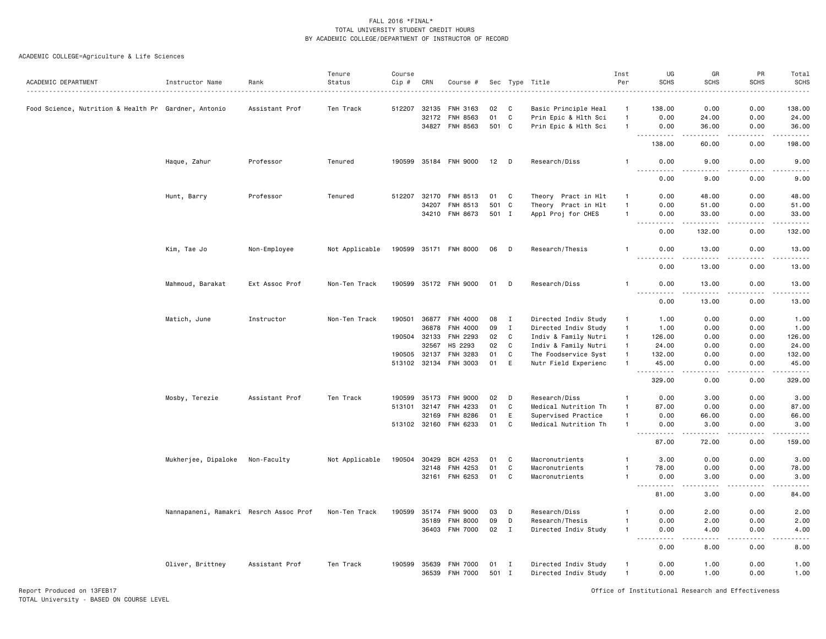| ACADEMIC DEPARTMENT                                  | Instructor Name                        | Rank           | Tenure<br>Status | Course<br>Cip # | CRN          | Course #              | Sec   | Type         | Title                                       | Inst<br>Per    | UG<br><b>SCHS</b>                                                                                                                 | GR<br><b>SCHS</b>                                                                                                                 | PR<br><b>SCHS</b> | Total<br><b>SCHS</b> |
|------------------------------------------------------|----------------------------------------|----------------|------------------|-----------------|--------------|-----------------------|-------|--------------|---------------------------------------------|----------------|-----------------------------------------------------------------------------------------------------------------------------------|-----------------------------------------------------------------------------------------------------------------------------------|-------------------|----------------------|
| Food Science, Nutrition & Health Pr Gardner, Antonio |                                        | Assistant Prof | Ten Track        | 512207          | 32135        | FNH 3163              | 02    | C            | Basic Principle Heal                        | $\mathbf{1}$   | 138.00                                                                                                                            | 0.00                                                                                                                              | 0.00              | 138.00               |
|                                                      |                                        |                |                  |                 | 32172        | <b>FNH 8563</b>       | 01    | C            | Prin Epic & Hlth Sci                        | $\mathbf{1}$   | 0.00                                                                                                                              | 24.00                                                                                                                             | 0.00              | 24.00                |
|                                                      |                                        |                |                  |                 |              | 34827 FNH 8563        |       | 501 C        | Prin Epic & Hlth Sci                        | $\mathbf{1}$   | 0.00                                                                                                                              | 36.00                                                                                                                             | 0.00              | 36.00                |
|                                                      |                                        |                |                  |                 |              |                       |       |              |                                             |                | $- - -$<br>.<br>138.00                                                                                                            | $- - - - -$<br>60.00                                                                                                              | -----<br>0.00     | .<br>198.00          |
|                                                      | Haque, Zahur                           | Professor      | Tenured          |                 |              | 190599 35184 FNH 9000 | 12    | $\mathsf D$  | Research/Diss                               | -1             | 0.00                                                                                                                              | 9.00                                                                                                                              | 0.00              | 9.00                 |
|                                                      |                                        |                |                  |                 |              |                       |       |              |                                             |                | $\sim$ $\sim$ $\sim$ $\sim$<br>0.00                                                                                               | $\sim$ $\sim$ $\sim$ $\sim$<br>9.00                                                                                               | .<br>0.00         | .<br>9.00            |
|                                                      |                                        |                |                  |                 |              |                       |       |              |                                             |                |                                                                                                                                   |                                                                                                                                   |                   |                      |
|                                                      | Hunt, Barry                            | Professor      | Tenured          | 512207          | 32170        | FNH 8513              | 01    | C            | Theory Pract in Hlt                         | $\mathbf{1}$   | 0.00                                                                                                                              | 48.00                                                                                                                             | 0.00              | 48.00                |
|                                                      |                                        |                |                  |                 | 34207        | FNH 8513              | 501   | C            | Theory Pract in Hlt                         | $\mathbf{1}$   | 0.00                                                                                                                              | 51.00                                                                                                                             | 0.00              | 51.00                |
|                                                      |                                        |                |                  |                 | 34210        | FNH 8673              | 501 I |              | Appl Proj for CHES                          | $\mathbf{1}$   | 0.00<br>$\frac{1}{2} \left( \frac{1}{2} \right) \left( \frac{1}{2} \right) \left( \frac{1}{2} \right) \left( \frac{1}{2} \right)$ | 33.00<br>. <u>.</u>                                                                                                               | 0.00<br>.         | 33.00<br>.           |
|                                                      |                                        |                |                  |                 |              |                       |       |              |                                             |                | 0.00                                                                                                                              | 132.00                                                                                                                            | 0.00              | 132.00               |
|                                                      | Kim, Tae Jo                            | Non-Employee   | Not Applicable   |                 |              | 190599 35171 FNH 8000 | 06    | D            | Research/Thesis                             |                | 0.00<br>$\sim$ $\sim$ $\sim$<br>$\sim$ $\sim$ $\sim$ $\sim$                                                                       | 13.00                                                                                                                             | 0.00              | 13.00                |
|                                                      |                                        |                |                  |                 |              |                       |       |              |                                             |                | 0.00                                                                                                                              | 13.00                                                                                                                             | 0.00              | 13.00                |
|                                                      | Mahmoud, Barakat                       | Ext Assoc Prof | Non-Ten Track    |                 |              | 190599 35172 FNH 9000 | 01    | D            | Research/Diss                               |                | 0.00<br>$\frac{1}{2} \left( \frac{1}{2} \right) \left( \frac{1}{2} \right) \left( \frac{1}{2} \right) \left( \frac{1}{2} \right)$ | 13.00<br>.                                                                                                                        | 0.00<br>-----     | 13.00<br>.           |
|                                                      |                                        |                |                  |                 |              |                       |       |              |                                             |                | 0.00                                                                                                                              | 13.00                                                                                                                             | 0.00              | 13.00                |
|                                                      | Matich, June                           | Instructor     | Non-Ten Track    | 190501          | 36877        | FNH 4000              | 08    | $\mathbf{I}$ | Directed Indiv Study                        | $\mathbf{1}$   | 1.00                                                                                                                              | 0.00                                                                                                                              | 0.00              | 1.00                 |
|                                                      |                                        |                |                  |                 | 36878        | FNH 4000              | 09    | $\mathbf{I}$ | Directed Indiv Study                        | $\mathbf{1}$   | 1.00                                                                                                                              | 0.00                                                                                                                              | 0.00              | 1.00                 |
|                                                      |                                        |                |                  |                 | 190504 32133 | FNH 2293              | 02    | C            | Indiv & Family Nutri                        | $\mathbf{1}$   | 126.00                                                                                                                            | 0.00                                                                                                                              | 0.00              | 126.00               |
|                                                      |                                        |                |                  |                 | 32567        | HS 2293               | 02    | C            | Indiv & Family Nutri                        | $\mathbf{1}$   | 24.00                                                                                                                             | 0.00                                                                                                                              | 0.00              | 24.00                |
|                                                      |                                        |                |                  | 190505 32137    |              | FNH 3283              | 01    | C            | The Foodservice Syst                        | $\mathbf{1}$   | 132.00                                                                                                                            | 0.00                                                                                                                              | 0.00              | 132.00               |
|                                                      |                                        |                |                  | 513102 32134    |              | <b>FNH 3003</b>       | 01    | E            | Nutr Field Experienc                        | $\mathbf{1}$   | 45.00                                                                                                                             | 0.00                                                                                                                              | 0.00              | 45.00                |
|                                                      |                                        |                |                  |                 |              |                       |       |              |                                             |                | $\sim$ $\sim$<br>.<br>329.00                                                                                                      | 0.00                                                                                                                              | 0.00              | 329.00               |
|                                                      | Mosby, Terezie                         | Assistant Prof | Ten Track        | 190599          | 35173        | <b>FNH 9000</b>       | 02    | D            | Research/Diss                               | $\mathbf{1}$   | 0.00                                                                                                                              | 3.00                                                                                                                              | 0.00              | 3.00                 |
|                                                      |                                        |                |                  |                 |              | FNH 4233              | 01    | C            |                                             | -1             | 87.00                                                                                                                             | 0.00                                                                                                                              | 0.00              |                      |
|                                                      |                                        |                |                  | 513101 32147    | 32169        | <b>FNH 8286</b>       | 01    | E            | Medical Nutrition Th<br>Supervised Practice | $\mathbf{1}$   | 0.00                                                                                                                              | 66.00                                                                                                                             | 0.00              | 87.00<br>66.00       |
|                                                      |                                        |                |                  | 513102 32160    |              | FNH 6233              | 01    | C            | Medical Nutrition Th                        | $\mathbf{1}$   | 0.00                                                                                                                              | 3.00                                                                                                                              | 0.00              | 3.00                 |
|                                                      |                                        |                |                  |                 |              |                       |       |              |                                             |                | .<br>87.00                                                                                                                        | 72.00                                                                                                                             | 0.00              | 159.00               |
|                                                      |                                        |                |                  |                 |              |                       |       |              |                                             |                |                                                                                                                                   |                                                                                                                                   |                   |                      |
|                                                      | Mukherjee, Dipaloke                    | Non-Faculty    | Not Applicable   | 190504          | 30429        | <b>BCH 4253</b>       | 01    | C            | Macronutrients                              |                | 3.00                                                                                                                              | 0.00                                                                                                                              | 0.00              | 3.00                 |
|                                                      |                                        |                |                  |                 | 32148        | FNH 4253              | 01    | C            | Macronutrients                              |                | 78.00                                                                                                                             | 0.00                                                                                                                              | 0.00              | 78.00                |
|                                                      |                                        |                |                  |                 | 32161        | FNH 6253              | 01    | C            | Macronutrients                              | -1             | 0.00<br>. <u>.</u>                                                                                                                | 3.00<br>الدامات ب                                                                                                                 | 0.00<br>.         | 3.00<br>.            |
|                                                      |                                        |                |                  |                 |              |                       |       |              |                                             |                | 81.00                                                                                                                             | 3.00                                                                                                                              | 0.00              | 84.00                |
|                                                      | Nannapaneni, Ramakri Resrch Assoc Prof |                | Non-Ten Track    | 190599          | 35174        | <b>FNH 9000</b>       | 03    | D            | Research/Diss                               | $\mathbf{1}$   | 0.00                                                                                                                              | 2.00                                                                                                                              | 0.00              | 2.00                 |
|                                                      |                                        |                |                  |                 | 35189        | <b>FNH 8000</b>       | 09    | D            | Research/Thesis                             | $\mathbf{1}$   | 0.00                                                                                                                              | 2.00                                                                                                                              | 0.00              | 2.00                 |
|                                                      |                                        |                |                  |                 | 36403        | <b>FNH 7000</b>       | 02    | $\mathbf{I}$ | Directed Indiv Study                        | $\mathbf{1}$   | 0.00                                                                                                                              | 4.00                                                                                                                              | 0.00              | 4.00                 |
|                                                      |                                        |                |                  |                 |              |                       |       |              |                                             |                | ----<br>0.00                                                                                                                      | $\frac{1}{2} \left( \frac{1}{2} \right) \left( \frac{1}{2} \right) \left( \frac{1}{2} \right) \left( \frac{1}{2} \right)$<br>8.00 | .<br>0.00         | ----<br>8.00         |
|                                                      | Oliver, Brittney                       | Assistant Prof | Ten Track        |                 | 190599 35639 | <b>FNH 7000</b>       | 01    | $\mathbf{I}$ | Directed Indiv Study                        | $\mathbf{1}$   | 0.00                                                                                                                              | 1.00                                                                                                                              | 0.00              | 1.00                 |
|                                                      |                                        |                |                  |                 | 36539        | <b>FNH 7000</b>       | 501 I |              | Directed Indiv Study                        | $\overline{1}$ | 0.00                                                                                                                              | 1.00                                                                                                                              | 0.00              | 1.00                 |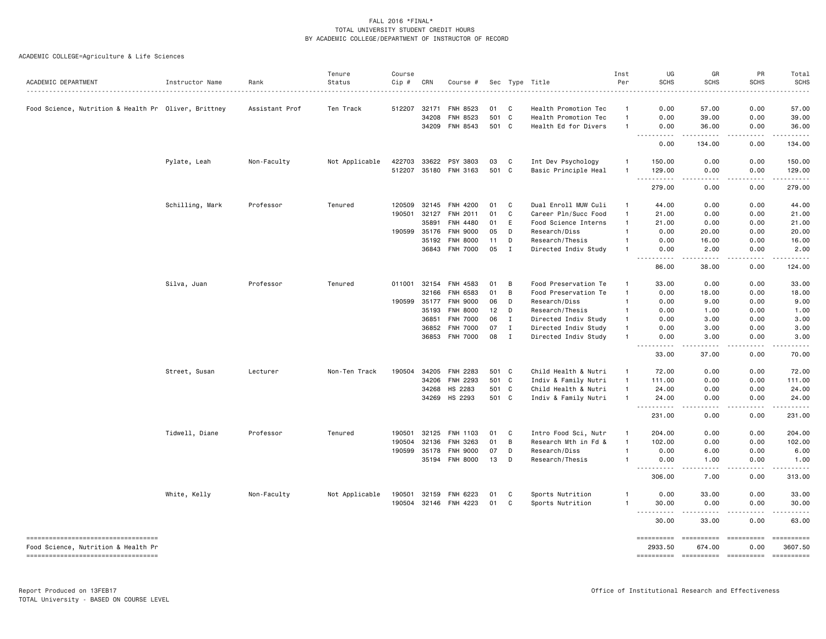| ACADEMIC DEPARTMENT                                  | Instructor Name | Rank           | Tenure<br>Status | Course<br>Cip # | CRN          | Course #              | Sec   |              | Type Title           | Inst<br>Per    | UG<br><b>SCHS</b>                   | GR<br>SCHS             | PR<br><b>SCHS</b> | Total<br><b>SCHS</b>    |
|------------------------------------------------------|-----------------|----------------|------------------|-----------------|--------------|-----------------------|-------|--------------|----------------------|----------------|-------------------------------------|------------------------|-------------------|-------------------------|
|                                                      |                 |                |                  |                 |              |                       |       |              | . <u>.</u> .         |                |                                     |                        |                   |                         |
| Food Science, Nutrition & Health Pr Oliver, Brittney |                 | Assistant Prof | Ten Track        |                 | 512207 32171 | <b>FNH 8523</b>       | 01    | C            | Health Promotion Tec | $\mathbf{1}$   | 0.00                                | 57.00                  | 0.00              | 57.00                   |
|                                                      |                 |                |                  |                 | 34208        | <b>FNH 8523</b>       | 501 C |              | Health Promotion Tec | $\mathbf{1}$   | 0.00                                | 39.00                  | 0.00              | 39.00                   |
|                                                      |                 |                |                  |                 |              | 34209 FNH 8543        | 501 C |              | Health Ed for Divers |                | 0.00<br>$\sim$ $\sim$ $\sim$ $\sim$ | 36.00<br>.             | 0.00              | 36.00                   |
|                                                      |                 |                |                  |                 |              |                       |       |              |                      |                | 0.00                                | 134.00                 | 0.00              | 134.00                  |
|                                                      | Pylate, Leah    | Non-Faculty    | Not Applicable   | 422703          | 33622        | PSY 3803              | 03    | C            | Int Dev Psychology   | 1              | 150.00                              | 0.00                   | 0.00              | 150.00                  |
|                                                      |                 |                |                  |                 |              | 512207 35180 FNH 3163 | 501 C |              | Basic Principle Heal | 1              | 129.00<br>.                         | 0.00<br>.              | 0.00<br><u>.</u>  | 129.00<br>.             |
|                                                      |                 |                |                  |                 |              |                       |       |              |                      |                | 279.00                              | 0.00                   | 0.00              | 279.00                  |
|                                                      | Schilling, Mark | Professor      | Tenured          | 120509          | 32145        | <b>FNH 4200</b>       | 01    | C            | Dual Enroll MUW Culi | $\overline{1}$ | 44.00                               | 0.00                   | 0.00              | 44.00                   |
|                                                      |                 |                |                  | 190501          | 32127        | FNH 2011              | 01    | C            | Career Pln/Succ Food | $\mathbf{1}$   | 21.00                               | 0.00                   | 0.00              | 21.00                   |
|                                                      |                 |                |                  |                 | 35891        | <b>FNH 4480</b>       | 01    | Ε            | Food Science Interns | 1              | 21.00                               | 0.00                   | 0.00              | 21.00                   |
|                                                      |                 |                |                  |                 | 190599 35176 | <b>FNH 9000</b>       | 05    | D            | Research/Diss        |                | 0.00                                | 20.00                  | 0.00              | 20.00                   |
|                                                      |                 |                |                  |                 | 35192        | <b>FNH 8000</b>       | 11    | D            | Research/Thesis      | 1              | 0.00                                | 16.00                  | 0.00              | 16.00                   |
|                                                      |                 |                |                  |                 |              | 36843 FNH 7000        | 05    | I            | Directed Indiv Study | 1              | 0.00<br>.                           | 2.00<br>-----          | 0.00<br>.         | 2.00<br>$- - - - -$     |
|                                                      |                 |                |                  |                 |              |                       |       |              |                      |                | 86.00                               | 38.00                  | 0.00              | 124.00                  |
|                                                      | Silva, Juan     | Professor      | Tenured          |                 | 011001 32154 | FNH 4583              | 01    | B            | Food Preservation Te | -1             | 33.00                               | 0.00                   | 0.00              | 33.00                   |
|                                                      |                 |                |                  |                 | 32166        | <b>FNH 6583</b>       | 01    | В            | Food Preservation Te | $\mathbf{1}$   | 0.00                                | 18.00                  | 0.00              | 18.00                   |
|                                                      |                 |                |                  |                 | 190599 35177 | <b>FNH 9000</b>       | 06    | D            | Research/Diss        | 1              | 0.00                                | 9.00                   | 0.00              | 9.00                    |
|                                                      |                 |                |                  |                 | 35193        | <b>FNH 8000</b>       | 12    | D            | Research/Thesis      | $\mathbf{1}$   | 0.00                                | 1.00                   | 0.00              | 1.00                    |
|                                                      |                 |                |                  |                 | 36851        | <b>FNH 7000</b>       | 06    | $\mathbf{I}$ | Directed Indiv Study | $\mathbf{1}$   | 0.00                                | 3.00                   | 0.00              | 3.00                    |
|                                                      |                 |                |                  |                 | 36852        | <b>FNH 7000</b>       | 07    | $\mathbf I$  | Directed Indiv Study | $\mathbf{1}$   | 0.00                                | 3.00                   | 0.00              | 3.00                    |
|                                                      |                 |                |                  |                 |              | 36853 FNH 7000        | 08    | I            | Directed Indiv Study | 1              | 0.00<br>$\sim$ $\sim$ $\sim$<br>.   | 3.00<br>.              | 0.00<br>.         | 3.00                    |
|                                                      |                 |                |                  |                 |              |                       |       |              |                      |                | 33.00                               | 37.00                  | 0.00              | 70.00                   |
|                                                      | Street, Susan   | Lecturer       | Non-Ten Track    | 190504          | 34205        | FNH 2283              | 501 C |              | Child Health & Nutri | $\overline{1}$ | 72.00                               | 0.00                   | 0.00              | 72.00                   |
|                                                      |                 |                |                  |                 | 34206        | <b>FNH 2293</b>       | 501   | $\mathbf{C}$ | Indiv & Family Nutri | $\mathbf{1}$   | 111.00                              | 0.00                   | 0.00              | 111.00                  |
|                                                      |                 |                |                  |                 | 34268        | HS 2283               | 501 C |              | Child Health & Nutri | 1              | 24.00                               | 0.00                   | 0.00              | 24.00                   |
|                                                      |                 |                |                  |                 | 34269        | HS 2293               | 501 C |              | Indiv & Family Nutri | $\mathbf{1}$   | 24.00<br><b></b>                    | 0.00<br>د د د د        | 0.00<br>.         | 24.00<br>.              |
|                                                      |                 |                |                  |                 |              |                       |       |              |                      |                | 231.00                              | 0.00                   | 0.00              | 231.00                  |
|                                                      | Tidwell, Diane  | Professor      | Tenured          | 190501          | 32125        | FNH 1103              | 01    | C            | Intro Food Sci, Nutr | $\overline{1}$ | 204.00                              | 0.00                   | 0.00              | 204.00                  |
|                                                      |                 |                |                  | 190504          | 32136        | FNH 3263              | 01    | B            | Research Mth in Fd & | $\mathbf{1}$   | 102.00                              | 0.00                   | 0.00              | 102.00                  |
|                                                      |                 |                |                  |                 | 190599 35178 | <b>FNH 9000</b>       | 07    | D            | Research/Diss        | 1              | 0.00                                | 6.00                   | 0.00              | 6.00                    |
|                                                      |                 |                |                  |                 |              | 35194 FNH 8000        | 13    | D            | Research/Thesis      | $\mathbf{1}$   | 0.00<br>.                           | 1.00<br>.              | 0.00<br>.         | 1.00<br>.               |
|                                                      |                 |                |                  |                 |              |                       |       |              |                      |                | 306.00                              | 7.00                   | 0.00              | 313.00                  |
|                                                      | White, Kelly    | Non-Faculty    | Not Applicable   | 190501          | 32159        | FNH 6223              | 01    | C            | Sports Nutrition     | 1              | 0.00                                | 33.00                  | 0.00              | 33.00                   |
|                                                      |                 |                |                  | 190504          |              | 32146 FNH 4223        | 01    | C            | Sports Nutrition     | 1              | 30.00<br><b></b>                    | 0.00                   | 0.00              | 30.00                   |
|                                                      |                 |                |                  |                 |              |                       |       |              |                      |                | 30.00                               | 33.00                  | 0.00              | 63.00                   |
| ====================================                 |                 |                |                  |                 |              |                       |       |              |                      |                | ==========                          | ==========             | ==========        | $=$ = = = = = = = = = = |
| Food Science, Nutrition & Health Pr                  |                 |                |                  |                 |              |                       |       |              |                      |                | 2933.50                             | 674.00                 | 0.00              | 3607.50                 |
| ----------------------------------                   |                 |                |                  |                 |              |                       |       |              |                      |                | ==========                          | ----------- ---------- |                   | ==========              |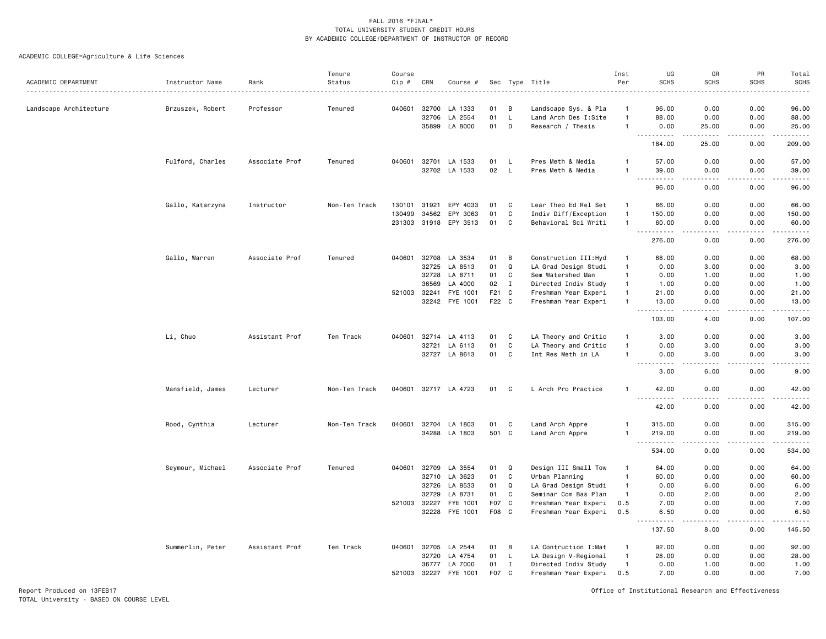| ACADEMIC DEPARTMENT    | Instructor Name  | Rank           | Tenure<br>Status | Course<br>$Cip \#$ | CRN          | Course #              |                  |              | Sec Type Title        | Inst<br>Per    | UG<br><b>SCHS</b>                        | GR<br><b>SCHS</b>                   | PR<br><b>SCHS</b>                   | Total<br><b>SCHS</b>    |
|------------------------|------------------|----------------|------------------|--------------------|--------------|-----------------------|------------------|--------------|-----------------------|----------------|------------------------------------------|-------------------------------------|-------------------------------------|-------------------------|
| Landscape Architecture | Brzuszek, Robert | Professor      | Tenured          | 040601             | 32700        | LA 1333               | 01               | B            | Landscape Sys. & Pla  | $\mathbf{1}$   | 96.00                                    | 0.00                                | 0.00                                | 96.00                   |
|                        |                  |                |                  |                    | 32706        | LA 2554               | 01               | L            | Land Arch Des I:Site  | $\mathbf{1}$   | 88.00                                    | 0.00                                | 0.00                                | 88.00                   |
|                        |                  |                |                  |                    |              | 35899 LA 8000         | 01               | D            | Research / Thesis     | $\overline{1}$ | 0.00                                     | 25.00                               | 0.00                                | 25.00                   |
|                        |                  |                |                  |                    |              |                       |                  |              |                       |                | $\sim$ $\sim$ $\sim$<br>.<br>184.00      | -----<br>25.00                      | -----<br>0.00                       | .<br>209.00             |
|                        | Fulford, Charles | Associate Prof | Tenured          |                    |              | 040601 32701 LA 1533  | 01               | L.           | Pres Meth & Media     | $\overline{1}$ | 57.00                                    | 0.00                                | 0.00                                | 57.00                   |
|                        |                  |                |                  |                    |              | 32702 LA 1533         | 02               | L            | Pres Meth & Media     |                | 39.00                                    | 0.00                                | 0.00                                | 39.00                   |
|                        |                  |                |                  |                    |              |                       |                  |              |                       |                | 96.00                                    | 0.00                                | 0.00                                | 96.00                   |
|                        | Gallo, Katarzyna | Instructor     | Non-Ten Track    |                    | 130101 31921 | EPY 4033              | 01               | C            | Lear Theo Ed Rel Set  | $\overline{1}$ | 66.00                                    | 0.00                                | 0.00                                | 66.00                   |
|                        |                  |                |                  | 130499             | 34562        | EPY 3063              | 01               | $\mathbf c$  | Indiv Diff/Exception  | $\overline{1}$ | 150.00                                   | 0.00                                | 0.00                                | 150.00                  |
|                        |                  |                |                  |                    |              | 231303 31918 EPY 3513 | 01               | C            | Behavioral Sci Writi  | $\overline{1}$ | 60.00                                    | 0.00                                | 0.00                                | 60.00                   |
|                        |                  |                |                  |                    |              |                       |                  |              |                       |                | .<br>276.00                              | $\sim$ $\sim$ $\sim$ $\sim$<br>0.00 | .<br>0.00                           | .<br>276.00             |
|                        | Gallo, Warren    | Associate Prof | Tenured          | 040601             |              | 32708 LA 3534         | 01               | B            | Construction III: Hyd | $\overline{1}$ | 68.00                                    | 0.00                                | 0.00                                | 68.00                   |
|                        |                  |                |                  |                    | 32725        | LA 8513               | 01               | $\Omega$     | LA Grad Design Studi  | $\overline{1}$ | 0.00                                     | 3.00                                | 0.00                                | 3.00                    |
|                        |                  |                |                  |                    | 32728        | LA 8711               | 01               | C            | Sem Watershed Man     | $\overline{1}$ | 0.00                                     | 1.00                                | 0.00                                | 1.00                    |
|                        |                  |                |                  |                    | 36569        | LA 4000               | 02               | $\mathbf{I}$ | Directed Indiv Study  | $\overline{1}$ | 1.00                                     | 0.00                                | 0.00                                | 1.00                    |
|                        |                  |                |                  | 521003             | 32241        | FYE 1001              | F21              | C            | Freshman Year Experi  | $\mathbf{1}$   | 21.00                                    | 0.00                                | 0.00                                | 21.00                   |
|                        |                  |                |                  |                    |              | 32242 FYE 1001        | F22 C            |              | Freshman Year Experi  | $\overline{1}$ | 13.00                                    | 0.00                                | 0.00                                | 13.00                   |
|                        |                  |                |                  |                    |              |                       |                  |              |                       |                | $\sim$ $\sim$ $\sim$<br>.<br>103.00      | 4.00                                | 0.00                                | ------<br>107.00        |
|                        | Li, Chuo         | Assistant Prof | Ten Track        | 040601             |              | 32714 LA 4113         | 01               | C            | LA Theory and Critic  | $\mathbf{1}$   | 3.00                                     | 0.00                                | 0.00                                | 3.00                    |
|                        |                  |                |                  |                    | 32721        | LA 6113               | 01               | C            | LA Theory and Critic  | $\overline{1}$ | 0.00                                     | 3.00                                | 0.00                                | 3.00                    |
|                        |                  |                |                  |                    | 32727        | LA 8613               | 01               | $\mathtt{C}$ | Int Res Meth in LA    | -1             | 0.00                                     | 3.00                                | 0.00                                | 3.00                    |
|                        |                  |                |                  |                    |              |                       |                  |              |                       |                | $\sim$ $\sim$ $\sim$ $\sim$<br>.<br>3.00 | .<br>6.00                           | .<br>0.00                           | $- - - -$<br>9.00       |
|                        | Mansfield, James | Lecturer       | Non-Ten Track    |                    |              | 040601 32717 LA 4723  | 01               | C            | L Arch Pro Practice   | $\overline{1}$ | 42.00                                    | 0.00                                | 0.00                                | 42.00                   |
|                        |                  |                |                  |                    |              |                       |                  |              |                       |                | 42.00                                    | 0.00                                | 0.00                                | 42.00                   |
|                        | Rood, Cynthia    | Lecturer       | Non-Ten Track    |                    |              | 040601 32704 LA 1803  | 01               | C            | Land Arch Appre       | -1             | 315.00                                   | 0.00                                | 0.00                                | 315.00                  |
|                        |                  |                |                  |                    |              | 34288 LA 1803         | 501 C            |              | Land Arch Appre       | $\overline{1}$ | 219.00<br>$ -$<br>------                 | 0.00<br>$- - - -$                   | 0.00<br>$\cdots$                    | 219.00<br>$- - - - - -$ |
|                        |                  |                |                  |                    |              |                       |                  |              |                       |                | 534.00                                   | 0.00                                | 0.00                                | 534.00                  |
|                        | Seymour, Michael | Associate Prof | Tenured          | 040601             | 32709        | LA 3554               | 01               | Q            | Design III Small Tow  | $\overline{1}$ | 64.00                                    | 0.00                                | 0.00                                | 64.00                   |
|                        |                  |                |                  |                    | 32710        | LA 3623               | 01               | C            | Urban Planning        | $\mathbf{1}$   | 60.00                                    | 0.00                                | 0.00                                | 60.00                   |
|                        |                  |                |                  |                    | 32726        | LA 8533               | 01               | Q            | LA Grad Design Studi  | $\mathbf{1}$   | 0.00                                     | 6.00                                | 0.00                                | 6.00                    |
|                        |                  |                |                  |                    | 32729        | LA 8731               | 01               | C            | Seminar Com Bas Plan  | $\overline{1}$ | 0.00                                     | 2.00                                | 0.00                                | 2.00                    |
|                        |                  |                |                  |                    | 521003 32227 | FYE 1001              | F <sub>0</sub> 7 | C            | Freshman Year Experi  | 0.5            | 7.00                                     | 0.00                                | 0.00                                | 7.00                    |
|                        |                  |                |                  |                    |              | 32228 FYE 1001        | F08              | C            | Freshman Year Experi  | 0.5            | 6.50<br>$\sim$ $\sim$                    | 0.00                                | 0.00<br>$\sim$ $\sim$ $\sim$ $\sim$ | 6.50                    |
|                        |                  |                |                  |                    |              |                       |                  |              |                       |                | 137.50                                   | 8.00                                | 0.00                                | 145.50                  |
|                        | Summerlin, Peter | Assistant Prof | Ten Track        | 040601             | 32705        | LA 2544               | 01               | B            | LA Contruction I:Mat  | $\mathbf{1}$   | 92.00                                    | 0.00                                | 0.00                                | 92.00                   |
|                        |                  |                |                  |                    | 32720        | LA 4754               | 01               | L,           | LA Design V-Regional  | $\overline{1}$ | 28.00                                    | 0.00                                | 0.00                                | 28.00                   |
|                        |                  |                |                  |                    | 36777        | LA 7000               | 01               | $\mathbf{I}$ | Directed Indiv Study  | $\overline{1}$ | 0.00                                     | 1.00                                | 0.00                                | 1.00                    |
|                        |                  |                |                  |                    | 521003 32227 | FYE 1001              | F07              | C            | Freshman Year Experi  | 0.5            | 7.00                                     | 0.00                                | 0.00                                | 7.00                    |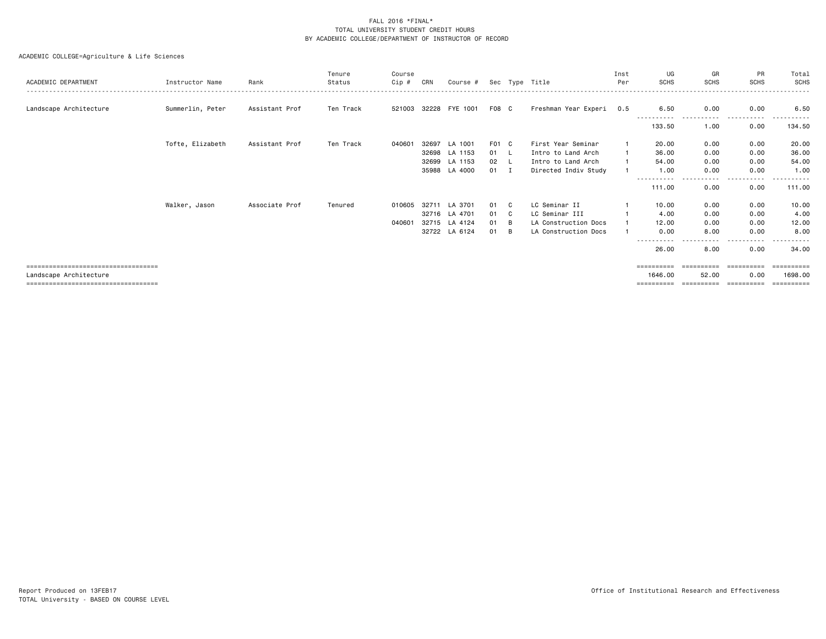|                                      |                  |                | Tenure    | Course |       |                       |       |     |                      | Inst | UG                    | GR           | PR            | Total   |
|--------------------------------------|------------------|----------------|-----------|--------|-------|-----------------------|-------|-----|----------------------|------|-----------------------|--------------|---------------|---------|
| ACADEMIC DEPARTMENT                  | Instructor Name  | Rank           | Status    | Cip#   | CRN   | Course #              |       |     | Sec Type Title       | Per  | <b>SCHS</b>           | <b>SCHS</b>  | <b>SCHS</b>   | SCHS    |
|                                      |                  |                |           |        |       |                       |       |     |                      |      |                       |              |               |         |
| Landscape Architecture               | Summerlin, Peter | Assistant Prof | Ten Track |        |       | 521003 32228 FYE 1001 | F08 C |     | Freshman Year Experi | 0.5  | 6.50                  | 0.00         | 0.00          | 6.50    |
|                                      |                  |                |           |        |       |                       |       |     |                      |      | 133.50                | 1.00         | 0.00          | 134.50  |
|                                      | Tofte, Elizabeth | Assistant Prof | Ten Track | 040601 | 32697 | LA 1001               | F01 C |     | First Year Seminar   |      | 20.00                 | 0.00         | 0.00          | 20.00   |
|                                      |                  |                |           |        |       | 32698 LA 1153         | 01 L  |     | Intro to Land Arch   |      | 36.00                 | 0.00         | 0.00          | 36.00   |
|                                      |                  |                |           |        | 32699 | LA 1153               | 02    | - L | Intro to Land Arch   |      | 54.00                 | 0.00         | 0.00          | 54.00   |
|                                      |                  |                |           |        | 35988 | LA 4000               | 01 I  |     | Directed Indiv Study |      | 1.00                  | 0.00         | 0.00          | 1.00    |
|                                      |                  |                |           |        |       |                       |       |     |                      |      | -----------<br>111.00 | ----<br>0.00 | -----<br>0.00 | 111.00  |
|                                      | Walker, Jason    | Associate Prof | Tenured   | 010605 | 32711 | LA 3701               | 01    | C.  | LC Seminar II        |      | 10.00                 | 0.00         | 0.00          | 10.00   |
|                                      |                  |                |           |        |       | 32716 LA 4701         | 01    | C.  | LC Seminar III       |      | 4.00                  | 0.00         | 0.00          | 4.00    |
|                                      |                  |                |           | 040601 | 32715 | LA 4124               | 01    | B   | LA Construction Docs |      | 12.00                 | 0.00         | 0.00          | 12.00   |
|                                      |                  |                |           |        | 32722 | LA 6124               | 01    | B   | LA Construction Docs |      | 0.00                  | 8.00         | 0.00          | 8.00    |
|                                      |                  |                |           |        |       |                       |       |     |                      |      | -----                 |              |               |         |
|                                      |                  |                |           |        |       |                       |       |     |                      |      | 26.00                 | 8.00         | 0.00          | 34.00   |
| ==================================== |                  |                |           |        |       |                       |       |     |                      |      | ==========            |              |               |         |
| Landscape Architecture               |                  |                |           |        |       |                       |       |     |                      |      | 1646.00               | 52.00        | 0.00          | 1698,00 |
| ==================================== |                  |                |           |        |       |                       |       |     |                      |      |                       |              |               | ======  |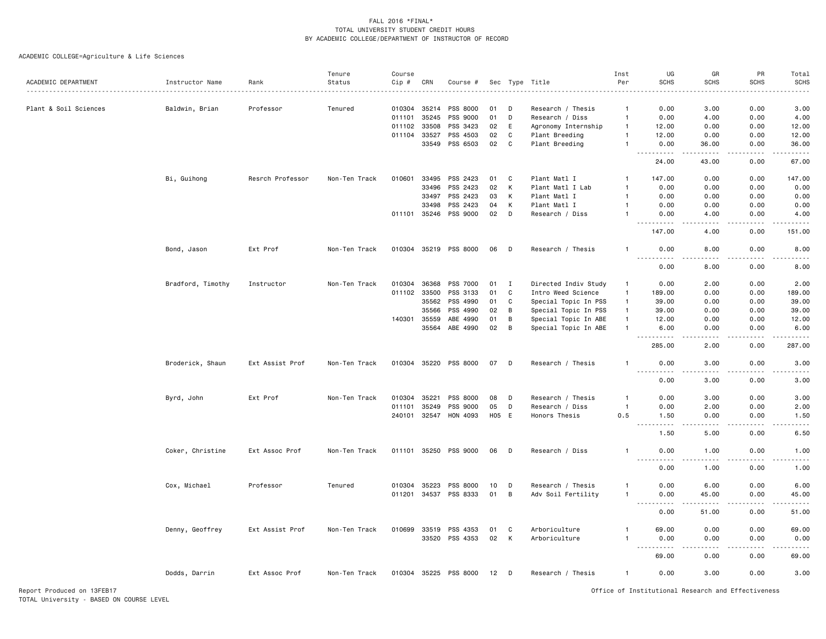ACADEMIC COLLEGE=Agriculture & Life Sciences

|                       |                   |                  | Tenure        | Course       |       |                       |    |       |                      | Inst           | UG                                    | GR                                                                                                                                | PR          | Total                                                                                                                                                        |
|-----------------------|-------------------|------------------|---------------|--------------|-------|-----------------------|----|-------|----------------------|----------------|---------------------------------------|-----------------------------------------------------------------------------------------------------------------------------------|-------------|--------------------------------------------------------------------------------------------------------------------------------------------------------------|
| ACADEMIC DEPARTMENT   | Instructor Name   | Rank             | Status        | Cip #        | CRN   | Course #              |    |       | Sec Type Title       | Per            | <b>SCHS</b>                           | <b>SCHS</b>                                                                                                                       | <b>SCHS</b> | <b>SCHS</b>                                                                                                                                                  |
|                       |                   |                  |               |              |       |                       |    |       |                      |                |                                       |                                                                                                                                   |             |                                                                                                                                                              |
| Plant & Soil Sciences | Baldwin, Brian    | Professor        | Tenured       | 010304       | 35214 | PSS 8000              | 01 | D     | Research / Thesis    | -1             | 0.00                                  | 3.00                                                                                                                              | 0.00        | 3.00                                                                                                                                                         |
|                       |                   |                  |               | 011101       | 35245 | PSS 9000              | 01 | D     | Research / Diss      | $\overline{1}$ | 0.00                                  | 4.00                                                                                                                              | 0.00        | 4.00                                                                                                                                                         |
|                       |                   |                  |               | 011102       | 33508 | PSS 3423              | 02 | E     | Agronomy Internship  | $\overline{1}$ | 12.00                                 | 0.00                                                                                                                              | 0.00        | 12.00                                                                                                                                                        |
|                       |                   |                  |               | 011104 33527 |       | PSS 4503              | 02 | C     | Plant Breeding       | $\overline{1}$ | 12.00                                 | 0.00                                                                                                                              | 0.00        | 12.00                                                                                                                                                        |
|                       |                   |                  |               |              | 33549 | PSS 6503              | 02 | C     | Plant Breeding       | $\mathbf{1}$   | 0.00<br>$\sim$ $\sim$ $\sim$<br>----- | 36.00<br>$\frac{1}{2}$                                                                                                            | 0.00<br>.   | 36.00<br>.                                                                                                                                                   |
|                       |                   |                  |               |              |       |                       |    |       |                      |                | 24.00                                 | 43.00                                                                                                                             | 0.00        | 67.00                                                                                                                                                        |
|                       | Bi, Guihong       | Resrch Professor | Non-Ten Track | 010601       | 33495 | PSS 2423              | 01 | C     | Plant Matl I         | -1             | 147.00                                | 0.00                                                                                                                              | 0.00        | 147.00                                                                                                                                                       |
|                       |                   |                  |               |              | 33496 | PSS 2423              | 02 | K     | Plant Matl I Lab     | $\overline{1}$ | 0.00                                  | 0.00                                                                                                                              | 0.00        | 0.00                                                                                                                                                         |
|                       |                   |                  |               |              | 33497 | PSS 2423              | 03 | K     | Plant Matl I         | $\overline{1}$ | 0.00                                  | 0.00                                                                                                                              | 0.00        | 0.00                                                                                                                                                         |
|                       |                   |                  |               |              | 33498 | PSS 2423              | 04 | К     | Plant Matl I         |                | 0.00                                  | 0.00                                                                                                                              | 0.00        | 0.00                                                                                                                                                         |
|                       |                   |                  |               | 011101 35246 |       | PSS 9000              | 02 | D     | Research / Diss      | -1             | 0.00                                  | 4.00                                                                                                                              | 0.00        | 4.00                                                                                                                                                         |
|                       |                   |                  |               |              |       |                       |    |       |                      |                |                                       |                                                                                                                                   |             | .                                                                                                                                                            |
|                       |                   |                  |               |              |       |                       |    |       |                      |                | 147.00                                | 4.00                                                                                                                              | 0.00        | 151.00                                                                                                                                                       |
|                       | Bond, Jason       | Ext Prof         | Non-Ten Track |              |       | 010304 35219 PSS 8000 | 06 | D     | Research / Thesis    | $\mathbf{1}$   | 0.00<br><u>.</u>                      | 8.00<br>$- - - -$                                                                                                                 | 0.00<br>.   | 8.00<br>$\frac{1}{2} \left( \frac{1}{2} \right) \left( \frac{1}{2} \right) \left( \frac{1}{2} \right) \left( \frac{1}{2} \right) \left( \frac{1}{2} \right)$ |
|                       |                   |                  |               |              |       |                       |    |       |                      |                | 0.00                                  | 8.00                                                                                                                              | 0.00        | 8.00                                                                                                                                                         |
|                       | Bradford, Timothy | Instructor       | Non-Ten Track | 010304       | 36368 | PSS 7000              | 01 | I     | Directed Indiv Study | $\mathbf{1}$   | 0.00                                  | 2.00                                                                                                                              | 0.00        | 2.00                                                                                                                                                         |
|                       |                   |                  |               | 011102 33500 |       | PSS 3133              | 01 | C     | Intro Weed Science   | $\overline{1}$ | 189.00                                | 0.00                                                                                                                              | 0.00        | 189.00                                                                                                                                                       |
|                       |                   |                  |               |              |       |                       |    |       |                      |                |                                       |                                                                                                                                   |             |                                                                                                                                                              |
|                       |                   |                  |               |              | 35562 | PSS 4990              | 01 | C     | Special Topic In PSS | $\overline{1}$ | 39.00                                 | 0.00                                                                                                                              | 0.00        | 39.00                                                                                                                                                        |
|                       |                   |                  |               |              | 35566 | PSS 4990              | 02 | B     | Special Topic In PSS | $\overline{1}$ | 39.00                                 | 0.00                                                                                                                              | 0.00        | 39.00                                                                                                                                                        |
|                       |                   |                  |               | 140301       | 35559 | ABE 4990              | 01 | B     | Special Topic In ABE | $\overline{1}$ | 12.00                                 | 0.00                                                                                                                              | 0.00        | 12.00                                                                                                                                                        |
|                       |                   |                  |               |              | 35564 | ABE 4990              | 02 | B     | Special Topic In ABE | $\overline{1}$ | 6.00<br>.                             | 0.00<br>$\omega$ $\omega$ $\omega$ $\omega$                                                                                       | 0.00<br>.   | 6.00<br>.                                                                                                                                                    |
|                       |                   |                  |               |              |       |                       |    |       |                      |                | 285.00                                | 2.00                                                                                                                              | 0.00        | 287.00                                                                                                                                                       |
|                       | Broderick, Shaun  | Ext Assist Prof  | Non-Ten Track | 010304 35220 |       | PSS 8000              | 07 | D     | Research / Thesis    | $\mathbf{1}$   | 0.00<br>.                             | 3.00<br>$\frac{1}{2} \left( \frac{1}{2} \right) \left( \frac{1}{2} \right) \left( \frac{1}{2} \right) \left( \frac{1}{2} \right)$ | 0.00<br>.   | 3.00<br>.                                                                                                                                                    |
|                       |                   |                  |               |              |       |                       |    |       |                      |                | 0.00                                  | 3.00                                                                                                                              | 0.00        | 3.00                                                                                                                                                         |
|                       | Byrd, John        | Ext Prof         | Non-Ten Track | 010304       | 35221 | PSS 8000              | 08 | D     | Research / Thesis    | $\mathbf{1}$   | 0.00                                  | 3.00                                                                                                                              | 0.00        | 3.00                                                                                                                                                         |
|                       |                   |                  |               | 011101       | 35249 | PSS 9000              | 05 | D     | Research / Diss      | $\overline{1}$ | 0.00                                  | 2.00                                                                                                                              | 0.00        | 2.00                                                                                                                                                         |
|                       |                   |                  |               | 240101 32547 |       | HON 4093              |    | H05 E | Honors Thesis        | 0.5            | 1.50                                  | 0.00                                                                                                                              | 0.00        | 1.50                                                                                                                                                         |
|                       |                   |                  |               |              |       |                       |    |       |                      |                | $\sim$ $\sim$                         |                                                                                                                                   |             |                                                                                                                                                              |
|                       |                   |                  |               |              |       |                       |    |       |                      |                | 1.50                                  | 5.00                                                                                                                              | 0.00        | 6.50                                                                                                                                                         |
|                       | Coker, Christine  | Ext Assoc Prof   | Non-Ten Track |              |       | 011101 35250 PSS 9000 | 06 | D     | Research / Diss      | -1             | 0.00                                  | 1.00<br>$- - - -$                                                                                                                 | 0.00<br>.   | 1.00<br>$- - - -$                                                                                                                                            |
|                       |                   |                  |               |              |       |                       |    |       |                      |                | 0.00                                  | 1.00                                                                                                                              | 0.00        | 1.00                                                                                                                                                         |
|                       | Cox, Michael      | Professor        | Tenured       | 010304       | 35223 | PSS 8000              | 10 | D     | Research / Thesis    | -1             | 0.00                                  | 6.00                                                                                                                              | 0.00        | 6.00                                                                                                                                                         |
|                       |                   |                  |               | 011201       | 34537 | PSS 8333              | 01 | B     | Adv Soil Fertility   | $\mathbf{1}$   | 0.00                                  | 45.00                                                                                                                             | 0.00        | 45.00                                                                                                                                                        |
|                       |                   |                  |               |              |       |                       |    |       |                      |                | ----                                  | ----                                                                                                                              | $   -$      | $\frac{1}{2}$                                                                                                                                                |
|                       |                   |                  |               |              |       |                       |    |       |                      |                | 0.00                                  | 51.00                                                                                                                             | 0.00        | 51.00                                                                                                                                                        |
|                       | Denny, Geoffrey   | Ext Assist Prof  | Non-Ten Track | 010699       | 33519 | PSS 4353              | 01 | C     | Arboriculture        | -1             | 69.00                                 | 0.00                                                                                                                              | 0.00        | 69.00                                                                                                                                                        |
|                       |                   |                  |               |              | 33520 | PSS 4353              | 02 | K     | Arboriculture        | $\overline{1}$ | 0.00                                  | 0.00                                                                                                                              | 0.00        | 0.00                                                                                                                                                         |
|                       |                   |                  |               |              |       |                       |    |       |                      |                | .                                     |                                                                                                                                   |             | د د د د د                                                                                                                                                    |
|                       |                   |                  |               |              |       |                       |    |       |                      |                | 69.00                                 | 0.00                                                                                                                              | 0.00        | 69.00                                                                                                                                                        |
|                       | Dodds, Darrin     | Ext Assoc Prof   | Non-Ten Track | 010304 35225 |       | PSS 8000              | 12 | D     | Research / Thesis    | $\overline{1}$ | 0.00                                  | 3.00                                                                                                                              | 0.00        | 3.00                                                                                                                                                         |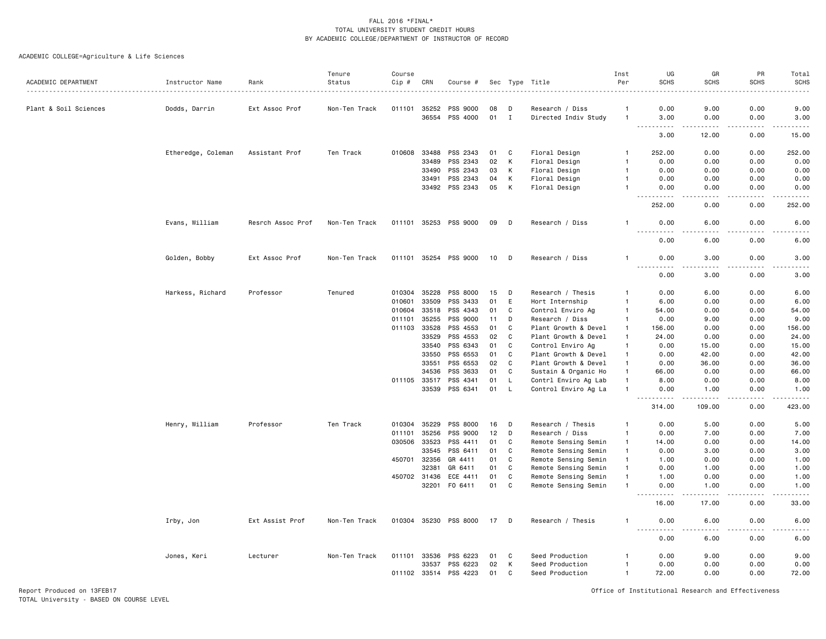ACADEMIC COLLEGE=Agriculture & Life Sciences

| ACADEMIC DEPARTMENT   | Instructor Name    | Rank              | Tenure<br>Status | Course<br>$Cip \#$ | CRN          | Course #              |      |              | Sec Type Title       | Inst<br>Per    | UG<br><b>SCHS</b>                 | GR<br><b>SCHS</b>                                                                                                                                            | PR<br><b>SCHS</b> | Total<br><b>SCHS</b>                |
|-----------------------|--------------------|-------------------|------------------|--------------------|--------------|-----------------------|------|--------------|----------------------|----------------|-----------------------------------|--------------------------------------------------------------------------------------------------------------------------------------------------------------|-------------------|-------------------------------------|
|                       |                    |                   |                  |                    |              |                       |      |              |                      |                |                                   |                                                                                                                                                              |                   |                                     |
| Plant & Soil Sciences | Dodds, Darrin      | Ext Assoc Prof    | Non-Ten Track    | 011101 35252       |              | PSS 9000              | 08   | D            | Research / Diss      | -1             | 0.00                              | 9.00                                                                                                                                                         | 0.00              | 9.00                                |
|                       |                    |                   |                  |                    | 36554        | PSS 4000              | 01 I |              | Directed Indiv Study | $\overline{1}$ | 3.00<br>.<br>$\sim$ $\sim$ $\sim$ | 0.00<br>$\frac{1}{2} \left( \frac{1}{2} \right) \left( \frac{1}{2} \right) \left( \frac{1}{2} \right) \left( \frac{1}{2} \right) \left( \frac{1}{2} \right)$ | 0.00<br>.         | 3.00<br>.                           |
|                       |                    |                   |                  |                    |              |                       |      |              |                      |                | 3.00                              | 12.00                                                                                                                                                        | 0.00              | 15.00                               |
|                       | Etheredge, Coleman | Assistant Prof    | Ten Track        | 010608             | 33488        | PSS 2343              | 01   | C            | Floral Design        | $\mathbf{1}$   | 252.00                            | 0.00                                                                                                                                                         | 0.00              | 252.00                              |
|                       |                    |                   |                  |                    | 33489        | PSS 2343              | 02   | К            | Floral Design        | -1             | 0.00                              | 0.00                                                                                                                                                         | 0.00              | 0.00                                |
|                       |                    |                   |                  |                    | 33490        | PSS 2343              | 03   | K            | Floral Design        | $\overline{1}$ | 0.00                              | 0.00                                                                                                                                                         | 0.00              | 0.00                                |
|                       |                    |                   |                  |                    | 33491        | PSS 2343              | 04   | K            | Floral Design        | $\overline{1}$ | 0.00                              | 0.00                                                                                                                                                         | 0.00              | 0.00                                |
|                       |                    |                   |                  |                    |              | 33492 PSS 2343        | 05   | K            | Floral Design        | $\overline{1}$ | 0.00                              | 0.00                                                                                                                                                         | 0.00              | 0.00                                |
|                       |                    |                   |                  |                    |              |                       |      |              |                      |                | <u>.</u><br>252.00                | .<br>0.00                                                                                                                                                    | .<br>0.00         | $- - - - -$<br>252.00               |
|                       | Evans, William     | Resrch Assoc Prof | Non-Ten Track    |                    |              | 011101 35253 PSS 9000 | 09   | D            | Research / Diss      | -1             | 0.00                              | 6.00                                                                                                                                                         | 0.00              | 6.00                                |
|                       |                    |                   |                  |                    |              |                       |      |              |                      |                | <b>.</b><br>0.00                  | $\sim$ $\sim$ $\sim$ $\sim$<br>6.00                                                                                                                          | 22222<br>0.00     | $\sim$ $\sim$ $\sim$ $\sim$<br>6.00 |
|                       | Golden, Bobby      | Ext Assoc Prof    | Non-Ten Track    |                    |              | 011101 35254 PSS 9000 | 10   | D            | Research / Diss      | -1             | 0.00<br>.<br>- - -                | 3.00<br>.                                                                                                                                                    | 0.00<br>.         | 3.00<br>.                           |
|                       |                    |                   |                  |                    |              |                       |      |              |                      |                | 0.00                              | 3.00                                                                                                                                                         | 0.00              | 3.00                                |
|                       | Harkess, Richard   | Professor         | Tenured          | 010304             | 35228        | PSS 8000              | 15   | D            | Research / Thesis    | $\mathbf{1}$   | 0.00                              | 6.00                                                                                                                                                         | 0.00              | 6.00                                |
|                       |                    |                   |                  | 010601             | 33509        | PSS 3433              | 01   | E            | Hort Internship      | -1             | 6.00                              | 0.00                                                                                                                                                         | 0.00              | 6.00                                |
|                       |                    |                   |                  | 010604             | 33518        | PSS 4343              | 01   | C            | Control Enviro Ag    | $\overline{1}$ | 54.00                             | 0.00                                                                                                                                                         | 0.00              | 54.00                               |
|                       |                    |                   |                  | 011101             | 35255        | PSS 9000              | 11   | D            | Research / Diss      | $\mathbf{1}$   | 0.00                              | 9.00                                                                                                                                                         | 0.00              | 9.00                                |
|                       |                    |                   |                  | 011103             | 33528        | PSS 4553              | 01   | C            | Plant Growth & Devel | $\overline{1}$ | 156.00                            | 0.00                                                                                                                                                         | 0.00              | 156.00                              |
|                       |                    |                   |                  |                    | 33529        | PSS 4553              | 02   | C            | Plant Growth & Devel | $\mathbf{1}$   | 24.00                             | 0.00                                                                                                                                                         | 0.00              | 24.00                               |
|                       |                    |                   |                  |                    | 33540        | PSS 6343              | 01   | C            | Control Enviro Ag    | $\mathbf{1}$   | 0.00                              | 15.00                                                                                                                                                        | 0.00              | 15.00                               |
|                       |                    |                   |                  |                    | 33550        | PSS 6553              | 01   | $\mathbf C$  | Plant Growth & Devel | $\mathbf{1}$   | 0.00                              | 42.00                                                                                                                                                        | 0.00              | 42.00                               |
|                       |                    |                   |                  |                    | 33551        | PSS 6553              | 02   | C            | Plant Growth & Devel | -1             | 0.00                              | 36.00                                                                                                                                                        | 0.00              | 36.00                               |
|                       |                    |                   |                  |                    | 34536        | PSS 3633              | 01   | C            | Sustain & Organic Ho | $\mathbf{1}$   | 66.00                             | 0.00                                                                                                                                                         | 0.00              | 66.00                               |
|                       |                    |                   |                  | 011105 33517       |              | PSS 4341              | 01   | L,           | Contrl Enviro Ag Lab | $\overline{1}$ | 8.00                              | 0.00                                                                                                                                                         | 0.00              | 8.00                                |
|                       |                    |                   |                  |                    | 33539        | PSS 6341              | 01   | $\mathsf{L}$ | Control Enviro Ag La | $\overline{1}$ | 0.00                              | 1.00                                                                                                                                                         | 0.00              | 1.00                                |
|                       |                    |                   |                  |                    |              |                       |      |              |                      |                | 314.00                            | 109.00                                                                                                                                                       | 0.00              | 423.00                              |
|                       | Henry, William     | Professor         | Ten Track        | 010304             | 35229        | PSS 8000              | 16   | D            | Research / Thesis    | -1             | 0.00                              | 5.00                                                                                                                                                         | 0.00              | 5.00                                |
|                       |                    |                   |                  | 011101             | 35256        | PSS 9000              | 12   | D            | Research / Diss      | $\mathbf{1}$   | 0.00                              | 7.00                                                                                                                                                         | 0.00              | 7.00                                |
|                       |                    |                   |                  |                    | 030506 33523 | PSS 4411              | 01   | C            | Remote Sensing Semin | -1             | 14.00                             | 0.00                                                                                                                                                         | 0.00              | 14.00                               |
|                       |                    |                   |                  |                    | 33545        | PSS 6411              | 01   | C            | Remote Sensing Semin | $\mathbf{1}$   | 0.00                              | 3.00                                                                                                                                                         | 0.00              | 3.00                                |
|                       |                    |                   |                  | 450701             | 32356        | GR 4411               | 01   | C            | Remote Sensing Semin | $\mathbf{1}$   | 1.00                              | 0.00                                                                                                                                                         | 0.00              | 1.00                                |
|                       |                    |                   |                  |                    | 32381        | GR 6411               | 01   | C            | Remote Sensing Semin | $\mathbf{1}$   | 0.00                              | 1.00                                                                                                                                                         | 0.00              | 1.00                                |
|                       |                    |                   |                  |                    | 450702 31436 | ECE 4411              | 01   | C            | Remote Sensing Semin | $\overline{1}$ | 1.00                              | 0.00                                                                                                                                                         | 0.00              | 1.00                                |
|                       |                    |                   |                  |                    |              | 32201 F0 6411         | 01   | C            | Remote Sensing Semin | $\overline{1}$ | 0.00                              | 1.00                                                                                                                                                         | 0.00              | 1.00<br>.                           |
|                       |                    |                   |                  |                    |              |                       |      |              |                      |                | ----<br>16.00                     | $\frac{1}{2}$<br>17.00                                                                                                                                       | 0.00              | 33.00                               |
|                       | Irby, Jon          | Ext Assist Prof   | Non-Ten Track    |                    |              | 010304 35230 PSS 8000 | 17   | D            | Research / Thesis    | -1             | 0.00<br>.                         | 6.00                                                                                                                                                         | 0.00              | 6.00                                |
|                       |                    |                   |                  |                    |              |                       |      |              |                      |                | 0.00                              | 6.00                                                                                                                                                         | 0.00              | 6.00                                |
|                       | Jones, Keri        | Lecturer          | Non-Ten Track    |                    | 011101 33536 | PSS 6223              | 01   | C            | Seed Production      | -1             | 0.00                              | 9.00                                                                                                                                                         | 0.00              | 9.00                                |
|                       |                    |                   |                  |                    | 33537        | PSS 6223              | 02   | К            | Seed Production      | $\overline{1}$ | 0.00                              | 0.00                                                                                                                                                         | 0.00              | 0.00                                |
|                       |                    |                   |                  | 011102 33514       |              | PSS 4223              | 01   | C            | Seed Production      | $\mathbf{1}$   | 72.00                             | 0.00                                                                                                                                                         | 0.00              | 72.00                               |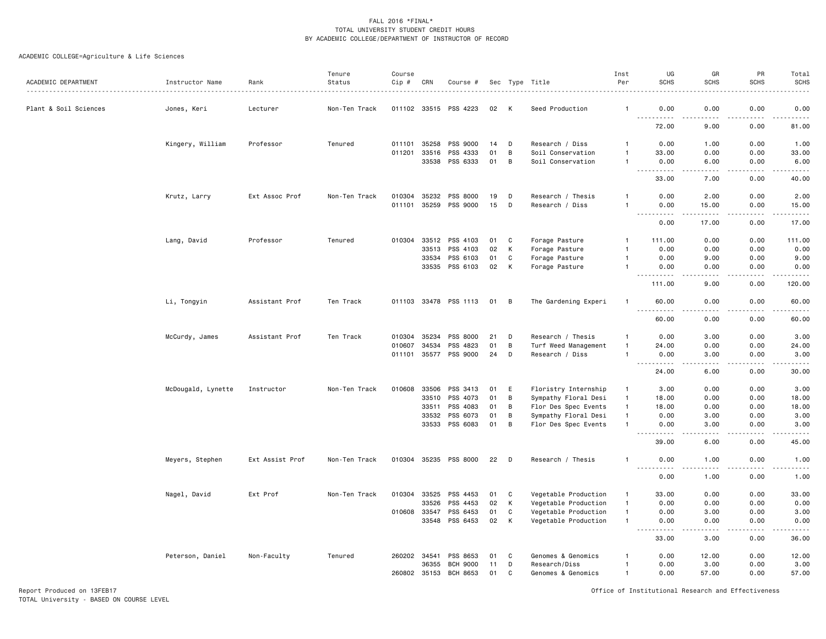## ACADEMIC COLLEGE=Agriculture & Life Sciences

|                       |                    |                 | Tenure        | Course       |              |                       |    |              |                      | Inst           | UG                                            | GR                                  | PR              | Total                                                                                                                                                        |
|-----------------------|--------------------|-----------------|---------------|--------------|--------------|-----------------------|----|--------------|----------------------|----------------|-----------------------------------------------|-------------------------------------|-----------------|--------------------------------------------------------------------------------------------------------------------------------------------------------------|
| ACADEMIC DEPARTMENT   | Instructor Name    | Rank            | Status        | $Cip$ #      | CRN          | Course #              |    |              | Sec Type Title       | Per            | <b>SCHS</b>                                   | <b>SCHS</b>                         | <b>SCHS</b>     | <b>SCHS</b>                                                                                                                                                  |
| Plant & Soil Sciences | Jones, Keri        | Lecturer        | Non-Ten Track |              |              | 011102 33515 PSS 4223 | 02 | K            | Seed Production      | -1             | 0.00<br>$  -$                                 | 0.00                                | 0.00            | 0.00<br>$    -$                                                                                                                                              |
|                       |                    |                 |               |              |              |                       |    |              |                      |                | .<br>72.00                                    | 9.00                                | 0.00            | 81.00                                                                                                                                                        |
|                       | Kingery, William   | Professor       | Tenured       | 011101       | 35258        | PSS 9000              | 14 | D            | Research / Diss      |                | 0.00                                          | 1.00                                | 0.00            | 1.00                                                                                                                                                         |
|                       |                    |                 |               | 011201       | 33516        | PSS 4333              | 01 | B            | Soil Conservation    | $\mathbf{1}$   | 33.00                                         | 0.00                                | 0.00            | 33.00                                                                                                                                                        |
|                       |                    |                 |               |              | 33538        | PSS 6333              | 01 | B            | Soil Conservation    | $\overline{1}$ | 0.00<br><u>.</u>                              | 6.00<br>.                           | 0.00<br>.       | 6.00<br>$\frac{1}{2} \left( \frac{1}{2} \right) \left( \frac{1}{2} \right) \left( \frac{1}{2} \right) \left( \frac{1}{2} \right) \left( \frac{1}{2} \right)$ |
|                       |                    |                 |               |              |              |                       |    |              |                      |                | 33.00                                         | 7.00                                | 0.00            | 40.00                                                                                                                                                        |
|                       | Krutz, Larry       | Ext Assoc Prof  | Non-Ten Track | 010304       | 35232        | PSS 8000              | 19 | D            | Research / Thesis    | $\overline{1}$ | 0.00                                          | 2.00                                | 0.00            | 2.00                                                                                                                                                         |
|                       |                    |                 |               | 011101       | 35259        | PSS 9000              | 15 | D            | Research / Diss      | $\mathbf{1}$   | 0.00<br>.                                     | 15.00                               | 0.00            | 15.00<br>$    -$                                                                                                                                             |
|                       |                    |                 |               |              |              |                       |    |              |                      |                | 0.00                                          | 17.00                               | 0.00            | 17.00                                                                                                                                                        |
|                       | Lang, David        | Professor       | Tenured       | 010304       | 33512        | PSS 4103              | 01 | C            | Forage Pasture       | -1             | 111.00                                        | 0.00                                | 0.00            | 111.00                                                                                                                                                       |
|                       |                    |                 |               |              | 33513        | PSS 4103              | 02 | К            | Forage Pasture       |                | 0.00                                          | 0.00                                | 0.00            | 0.00                                                                                                                                                         |
|                       |                    |                 |               |              | 33534        | PSS 6103              | 01 | C            | Forage Pasture       |                | 0.00                                          | 9.00                                | 0.00            | 9.00                                                                                                                                                         |
|                       |                    |                 |               |              | 33535        | PSS 6103              | 02 | K            | Forage Pasture       | $\mathbf{1}$   | 0.00<br>.                                     | 0.00<br>$\sim$ $\sim$ $\sim$ $\sim$ | 0.00<br>د د د د | 0.00<br>.                                                                                                                                                    |
|                       |                    |                 |               |              |              |                       |    |              |                      |                | 111.00                                        | 9.00                                | 0.00            | 120.00                                                                                                                                                       |
|                       | Li, Tongyin        | Assistant Prof  | Ten Track     |              |              | 011103 33478 PSS 1113 | 01 | B            | The Gardening Experi | $\mathbf{1}$   | 60.00<br>$\sim$ $\sim$ $\sim$<br>$- - - - -$  | 0.00<br>----                        | 0.00<br>$  -$   | 60.00<br>$- - - - -$                                                                                                                                         |
|                       |                    |                 |               |              |              |                       |    |              |                      |                | 60.00                                         | 0.00                                | 0.00            | 60.00                                                                                                                                                        |
|                       | McCurdy, James     | Assistant Prof  | Ten Track     | 010304       | 35234        | PSS 8000              | 21 | D            | Research / Thesis    | $\mathbf{1}$   | 0.00                                          | 3.00                                | 0.00            | 3.00                                                                                                                                                         |
|                       |                    |                 |               | 010607       | 34534        | PSS 4823              | 01 | B            | Turf Weed Management | $\overline{1}$ | 24.00                                         | 0.00                                | 0.00            | 24.00                                                                                                                                                        |
|                       |                    |                 |               | 011101 35577 |              | PSS 9000              | 24 | D            | Research / Diss      | $\mathbf{1}$   | 0.00<br>$\sim$ $\sim$ $\sim$<br>.             | 3.00<br>$\frac{1}{2}$               | 0.00<br>.       | 3,00<br>د د د د د                                                                                                                                            |
|                       |                    |                 |               |              |              |                       |    |              |                      |                | 24.00                                         | 6.00                                | 0.00            | 30.00                                                                                                                                                        |
|                       | McDougald, Lynette | Instructor      | Non-Ten Track | 010608       | 33506        | PSS 3413              | 01 | Ε            | Floristry Internship | $\mathbf{1}$   | 3.00                                          | 0.00                                | 0.00            | 3.00                                                                                                                                                         |
|                       |                    |                 |               |              | 33510        | PSS 4073              | 01 | B            | Sympathy Floral Desi | $\overline{1}$ | 18.00                                         | 0.00                                | 0.00            | 18.00                                                                                                                                                        |
|                       |                    |                 |               |              | 33511        | PSS 4083              | 01 | B            | Flor Des Spec Events | $\overline{1}$ | 18.00                                         | 0.00                                | 0.00            | 18.00                                                                                                                                                        |
|                       |                    |                 |               |              | 33532        | PSS 6073              | 01 | B            | Sympathy Floral Desi | $\overline{1}$ | 0.00                                          | 3.00                                | 0.00            | 3.00                                                                                                                                                         |
|                       |                    |                 |               |              | 33533        | PSS 6083              | 01 | B            | Flor Des Spec Events | $\overline{1}$ | 0.00<br>$\sim$ $\sim$ $\sim$<br>$\frac{1}{2}$ | 3.00<br>.                           | 0.00            | 3.00<br>.                                                                                                                                                    |
|                       |                    |                 |               |              |              |                       |    |              |                      |                | 39.00                                         | 6.00                                | 0.00            | 45.00                                                                                                                                                        |
|                       | Meyers, Stephen    | Ext Assist Prof | Non-Ten Track |              |              | 010304 35235 PSS 8000 | 22 | D            | Research / Thesis    | $\mathbf{1}$   | 0.00<br>$\sim$ $\sim$ $\sim$<br>-----         | 1.00<br>.                           | 0.00<br>.       | 1.00<br>$\frac{1}{2} \left( \frac{1}{2} \right) \left( \frac{1}{2} \right) \left( \frac{1}{2} \right) \left( \frac{1}{2} \right) \left( \frac{1}{2} \right)$ |
|                       |                    |                 |               |              |              |                       |    |              |                      |                | 0.00                                          | 1.00                                | 0.00            | 1.00                                                                                                                                                         |
|                       | Nagel, David       | Ext Prof        | Non-Ten Track | 010304       | 33525        | PSS 4453              | 01 | C            | Vegetable Production | $\overline{1}$ | 33.00                                         | 0.00                                | 0.00            | 33.00                                                                                                                                                        |
|                       |                    |                 |               |              | 33526        | PSS 4453              | 02 | К            | Vegetable Production | $\overline{1}$ | 0.00                                          | 0.00                                | 0.00            | 0.00                                                                                                                                                         |
|                       |                    |                 |               | 010608       | 33547        | PSS 6453              | 01 | C            | Vegetable Production | $\overline{1}$ | 0.00                                          | 3.00                                | 0.00            | 3.00                                                                                                                                                         |
|                       |                    |                 |               |              | 33548        | PSS 6453              | 02 | К            | Vegetable Production | $\overline{1}$ | 0.00<br>$\sim$ $\sim$ $\sim$                  | 0.00<br>$\sim$ $\sim$ $\sim$ $\sim$ | 0.00<br>.       | 0.00<br>$\frac{1}{2} \left( \frac{1}{2} \right) \left( \frac{1}{2} \right) \left( \frac{1}{2} \right) \left( \frac{1}{2} \right) \left( \frac{1}{2} \right)$ |
|                       |                    |                 |               |              |              |                       |    |              |                      |                | 33.00                                         | 3.00                                | 0.00            | 36.00                                                                                                                                                        |
|                       | Peterson, Daniel   | Non-Faculty     | Tenured       | 260202 34541 |              | PSS 8653              | 01 | C            | Genomes & Genomics   |                | 0.00                                          | 12.00                               | 0.00            | 12.00                                                                                                                                                        |
|                       |                    |                 |               |              | 36355        | <b>BCH 9000</b>       | 11 | D            | Research/Diss        |                | 0.00                                          | 3.00                                | 0.00            | 3.00                                                                                                                                                         |
|                       |                    |                 |               |              | 260802 35153 | <b>BCH 8653</b>       | 01 | $\mathsf{C}$ | Genomes & Genomics   | $\overline{1}$ | 0.00                                          | 57.00                               | 0.00            | 57.00                                                                                                                                                        |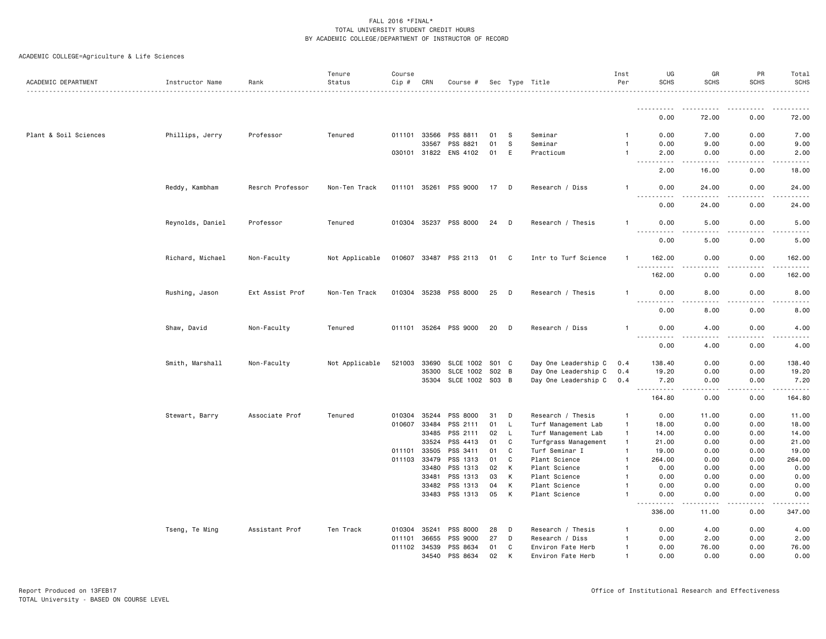| ACADEMIC DEPARTMENT   | Instructor Name  | Rank             | Tenure<br>Status | Course<br>Cip # | CRN          | Course #                   |          |              | Sec Type Title                 | Inst<br>Per    | UG<br><b>SCHS</b>                   | GR<br><b>SCHS</b> | PR<br><b>SCHS</b> | Total<br><b>SCHS</b>  |
|-----------------------|------------------|------------------|------------------|-----------------|--------------|----------------------------|----------|--------------|--------------------------------|----------------|-------------------------------------|-------------------|-------------------|-----------------------|
|                       |                  |                  |                  |                 |              |                            |          |              |                                |                |                                     |                   |                   |                       |
|                       |                  |                  |                  |                 |              |                            |          |              |                                |                | <u>.</u><br>0.00                    | 72.00             | 0.00              | 72.00                 |
| Plant & Soil Sciences | Phillips, Jerry  | Professor        | Tenured          |                 | 011101 33566 | PSS 8811                   | 01       | -S           | Seminar                        |                | 0.00                                | 7.00              | 0.00              | 7.00                  |
|                       |                  |                  |                  |                 | 33567        | PSS 8821                   | 01       | s            | Seminar                        | -1             | 0.00                                | 9.00              | 0.00              | 9.00                  |
|                       |                  |                  |                  |                 |              | 030101 31822 ENS 4102      | 01       | E            | Practicum                      |                | 2.00                                | 0.00              | 0.00              | 2.00                  |
|                       |                  |                  |                  |                 |              |                            |          |              |                                |                | .<br>2.00                           | 16.00             | 0.00              | 18.00                 |
|                       | Reddy, Kambham   | Resrch Professor | Non-Ten Track    |                 |              | 011101 35261 PSS 9000      | 17 D     |              | Research / Diss                |                | 0.00<br>$ -$                        | 24.00             | 0.00<br>.         | 24.00                 |
|                       |                  |                  |                  |                 |              |                            |          |              |                                |                | 0.00                                | 24.00             | 0.00              | 24.00                 |
|                       | Reynolds, Daniel | Professor        | Tenured          |                 |              | 010304 35237 PSS 8000      | 24       | D            | Research / Thesis              | -1             | 0.00<br>$\sim$ $\sim$ $\sim$ $\sim$ | 5.00<br>$- - -$   | 0.00<br>.         | 5.00                  |
|                       |                  |                  |                  |                 |              |                            |          |              |                                |                | 0.00                                | 5.00              | 0.00              | 5.00                  |
|                       | Richard, Michael | Non-Faculty      | Not Applicable   |                 |              | 010607 33487 PSS 2113      | 01       | $\mathbf{C}$ | Intr to Turf Science           | $\mathbf{1}$   | 162.00<br>$\sim$ $\sim$<br>.        | 0.00              | 0.00              | 162.00                |
|                       |                  |                  |                  |                 |              |                            |          |              |                                |                | 162.00                              | 0.00              | 0.00              | 162.00                |
|                       | Rushing, Jason   | Ext Assist Prof  | Non-Ten Track    |                 |              | 010304 35238 PSS 8000      | 25       | D            | Research / Thesis              | -1             | 0.00<br>$- - - -$<br>.              | 8.00<br>د د د د   | 0.00<br>-----     | 8.00<br>----          |
|                       |                  |                  |                  |                 |              |                            |          |              |                                |                | 0.00                                | 8.00              | 0.00              | 8.00                  |
|                       | Shaw, David      | Non-Faculty      | Tenured          |                 |              | 011101 35264 PSS 9000      | 20       | D            | Research / Diss                | $\mathbf{1}$   | 0.00<br><u>.</u><br>.               | 4.00<br>$- - -$   | 0.00<br>.         | 4.00<br>$- - - -$     |
|                       |                  |                  |                  |                 |              |                            |          |              |                                |                | 0.00                                | 4.00              | 0.00              | 4.00                  |
|                       | Smith, Marshall  | Non-Faculty      | Not Applicable   | 521003          | 33690        | SLCE 1002 S01 C            |          |              | Day One Leadership C           | 0.4            | 138.40                              | 0.00              | 0.00              | 138.40                |
|                       |                  |                  |                  |                 | 35300        | <b>SLCE 1002</b>           | S02 B    |              | Day One Leadership C           | 0.4            | 19.20                               | 0.00              | 0.00              | 19.20                 |
|                       |                  |                  |                  |                 | 35304        | SLCE 1002 S03 B            |          |              | Day One Leadership C           | 0.4            | 7.20<br><u>.</u>                    | 0.00              | 0.00              | 7.20<br>$\frac{1}{2}$ |
|                       |                  |                  |                  |                 |              |                            |          |              |                                |                | 164.80                              | 0.00              | 0.00              | 164.80                |
|                       | Stewart, Barry   | Associate Prof   | Tenured          |                 | 010304 35244 | PSS 8000                   | 31       | D            | Research / Thesis              | -1             | 0.00                                | 11.00             | 0.00              | 11.00                 |
|                       |                  |                  |                  |                 | 010607 33484 | PSS 2111                   | 01       | L            | Turf Management Lab            | $\overline{1}$ | 18.00                               | 0.00              | 0.00              | 18.00                 |
|                       |                  |                  |                  |                 | 33485        | PSS 2111                   | 02       | L.           | Turf Management Lab            | $\mathbf{1}$   | 14.00                               | 0.00              | 0.00              | 14.00                 |
|                       |                  |                  |                  |                 | 33524        | PSS 4413                   | 01       | C            | Turfgrass Management           | $\overline{1}$ | 21.00                               | 0.00              | 0.00              | 21.00                 |
|                       |                  |                  |                  |                 | 011101 33505 | PSS 3411                   | 01       | C            | Turf Seminar I                 | $\overline{1}$ | 19.00                               | 0.00              | 0.00              | 19.00                 |
|                       |                  |                  |                  | 011103          | 33479        | PSS 1313                   | 01       | C            | Plant Science                  | $\overline{1}$ | 264.00                              | 0.00              | 0.00              | 264.00                |
|                       |                  |                  |                  |                 | 33480        | PSS 1313                   | 02       | K            | Plant Science                  |                | 0.00                                | 0.00              | 0.00              | 0.00                  |
|                       |                  |                  |                  |                 | 33481        | PSS 1313                   | 03       | К            | Plant Science                  |                | 0.00                                | 0.00              | 0.00              | 0.00                  |
|                       |                  |                  |                  |                 | 33482        | PSS 1313<br>33483 PSS 1313 | 04<br>05 | К<br>К       | Plant Science<br>Plant Science | $\overline{1}$ | 0.00<br>0.00                        | 0.00<br>0.00      | 0.00<br>0.00      | 0.00<br>0.00          |
|                       |                  |                  |                  |                 |              |                            |          |              |                                |                | $\frac{1}{2}$<br>336.00             | .<br>11.00        | .<br>0.00         | .<br>347.00           |
|                       | Tseng, Te Ming   | Assistant Prof   | Ten Track        |                 | 010304 35241 | PSS 8000                   | 28       | D            | Research / Thesis              | -1             | 0.00                                | 4.00              | 0.00              | 4.00                  |
|                       |                  |                  |                  | 011101          | 36655        | PSS 9000                   | 27       | D            | Research / Diss                |                | 0.00                                | 2.00              | 0.00              | 2.00                  |
|                       |                  |                  |                  |                 |              | 011102 34539 PSS 8634      | 01       | C            | Environ Fate Herb              | -1             | 0.00                                | 76.00             | 0.00              | 76.00                 |
|                       |                  |                  |                  |                 | 34540        | PSS 8634                   | 02       |              | Environ Fate Herb              |                | 0.00                                | 0.00              | 0.00              | 0.00                  |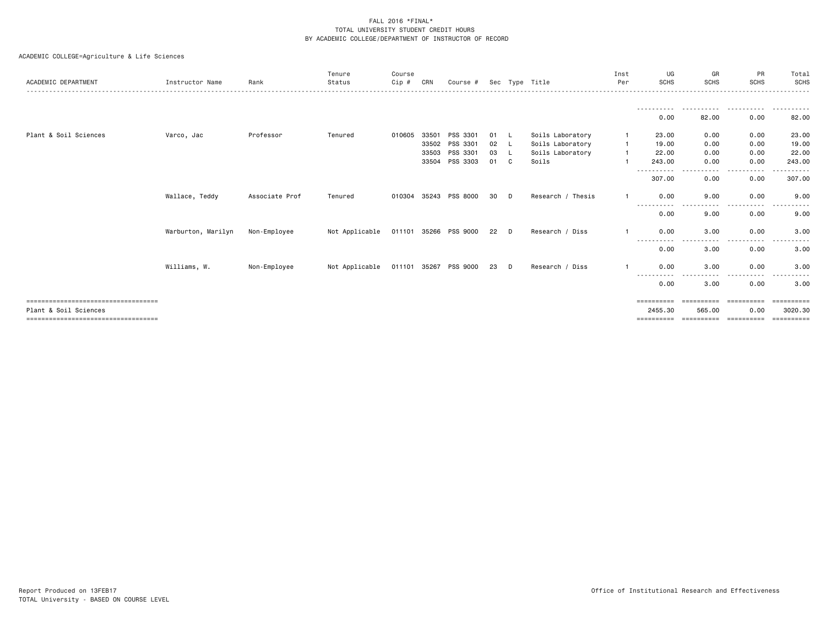|                                       |                    |                | Tenure         | Course       |       |          |    |          |                   | Inst | UG          | GR         | <b>PR</b>         | Total       |
|---------------------------------------|--------------------|----------------|----------------|--------------|-------|----------|----|----------|-------------------|------|-------------|------------|-------------------|-------------|
| ACADEMIC DEPARTMENT                   | Instructor Name    | Rank           | Status         | Cip #        | CRN   | Course # |    |          | Sec Type Title    | Per  | <b>SCHS</b> | SCHS       | <b>SCHS</b>       | <b>SCHS</b> |
|                                       |                    |                |                |              |       |          |    |          |                   |      |             |            |                   |             |
|                                       |                    |                |                |              |       |          |    |          |                   |      | 0.00        | 82.00      | 0.00              | 82.00       |
|                                       |                    |                |                |              |       |          |    |          |                   |      |             |            |                   |             |
| Plant & Soil Sciences                 | Varco, Jac         | Professor      | Tenured        | 010605       | 33501 | PSS 3301 | 01 |          | Soils Laboratory  |      | 23.00       | 0.00       | 0.00              | 23.00       |
|                                       |                    |                |                |              | 33502 | PSS 3301 | 02 | - L      | Soils Laboratory  |      | 19,00       | 0.00       | 0.00              | 19.00       |
|                                       |                    |                |                |              | 33503 | PSS 3301 | 03 | └        | Soils Laboratory  |      | 22,00       | 0.00       | 0.00              | 22.00       |
|                                       |                    |                |                |              | 33504 | PSS 3303 | 01 | C        | Soils             |      | 243.00      | 0.00       | 0.00              | 243.00      |
|                                       |                    |                |                |              |       |          |    |          |                   |      | ----------- | $\cdots$   | .                 | .           |
|                                       |                    |                |                |              |       |          |    |          |                   |      | 307.00      | 0.00       | 0.00              | 307.00      |
|                                       | Wallace, Teddy     | Associate Prof | Tenured        | 010304 35243 |       | PSS 8000 | 30 | D        | Research / Thesis |      | 0.00        | 9.00       | 0.00              | 9.00        |
|                                       |                    |                |                |              |       |          |    |          |                   |      | 0.00        | 9.00       | $- - - -$<br>0.00 | 9.00        |
|                                       | Warburton, Marilyn | Non-Employee   | Not Applicable | 011101 35266 |       | PSS 9000 | 22 | D        | Research / Diss   |      | 0.00        | 3.00       | 0.00              | 3.00        |
|                                       |                    |                |                |              |       |          |    |          |                   |      | 0.00        | 3.00       | ----<br>0.00      | 3.00        |
|                                       | Williams, W.       | Non-Employee   | Not Applicable | 011101 35267 |       | PSS 9000 | 23 | <b>D</b> | Research / Diss   |      | 0.00        | 3.00       | 0.00              | 3.00        |
|                                       |                    |                |                |              |       |          |    |          |                   |      | 0.00        | 3.00       | 0.00              | 3.00        |
| ;=============================        |                    |                |                |              |       |          |    |          |                   |      | ==========  |            | ==========        | ========    |
| Plant & Soil Sciences                 |                    |                |                |              |       |          |    |          |                   |      | 2455.30     | 565.00     | 0.00              | 3020.30     |
| ===================================== |                    |                |                |              |       |          |    |          |                   |      | ==========  | ========== | -----------       | -========== |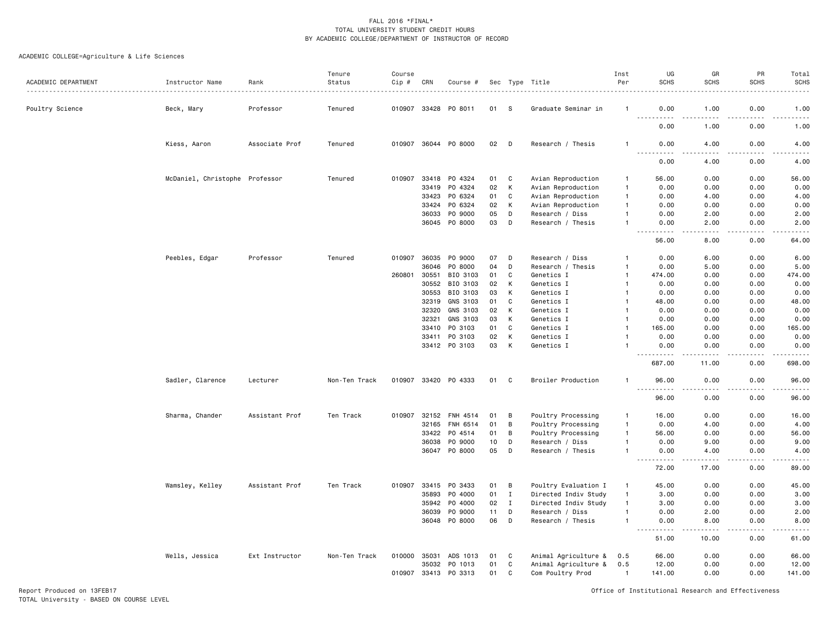| ACADEMIC DEPARTMENT | Instructor Name                | Rank           | Tenure<br>Status | Course<br>$Cip \#$ | CRN          | Course #             |    |                | Sec Type Title       | Inst<br>Per  | UG<br><b>SCHS</b>                                    | GR<br><b>SCHS</b> | PR<br><b>SCHS</b> | Total<br><b>SCHS</b>         |
|---------------------|--------------------------------|----------------|------------------|--------------------|--------------|----------------------|----|----------------|----------------------|--------------|------------------------------------------------------|-------------------|-------------------|------------------------------|
|                     |                                |                |                  |                    |              |                      |    |                |                      |              |                                                      |                   |                   |                              |
| Poultry Science     | Beck, Mary                     | Professor      | Tenured          |                    | 010907 33428 | PO 8011              | 01 | -S             | Graduate Seminar in  | -1           | 0.00<br>.<br>.                                       | 1.00              | 0.00              | 1.00<br>$\sim$ $\sim$ $\sim$ |
|                     |                                |                |                  |                    |              |                      |    |                |                      |              | 0.00                                                 | 1.00              | 0.00              | 1.00                         |
|                     | Kiess, Aaron                   | Associate Prof | Tenured          |                    |              | 010907 36044 PO 8000 | 02 | D              | Research / Thesis    | 1            | 0.00<br>.<br>----                                    | 4.00              | 0.00              | 4.00<br>المتحدث              |
|                     |                                |                |                  |                    |              |                      |    |                |                      |              | 0.00                                                 | 4.00              | 0.00              | 4.00                         |
|                     | McDaniel, Christophe Professor |                | Tenured          | 010907             | 33418        | PO 4324              | 01 | C              | Avian Reproduction   | $\mathbf{1}$ | 56.00                                                | 0.00              | 0.00              | 56.00                        |
|                     |                                |                |                  |                    | 33419        | PO 4324              | 02 | K              | Avian Reproduction   | $\mathbf{1}$ | 0.00                                                 | 0.00              | 0.00              | 0.00                         |
|                     |                                |                |                  |                    | 33423        | PO 6324              | 01 | C              | Avian Reproduction   | $\mathbf{1}$ | 0.00                                                 | 4.00              | 0.00              | 4.00                         |
|                     |                                |                |                  |                    | 33424        | PO 6324              | 02 | К              | Avian Reproduction   | -1           | 0.00                                                 | 0.00              | 0.00              | 0.00                         |
|                     |                                |                |                  |                    | 36033        | PO 9000              | 05 | D              | Research / Diss      | 1            | 0.00                                                 | 2.00              | 0.00              | 2.00                         |
|                     |                                |                |                  |                    |              | 36045 PO 8000        | 03 | D              | Research / Thesis    |              | 0.00                                                 | 2.00              | 0.00              | 2.00                         |
|                     |                                |                |                  |                    |              |                      |    |                |                      |              | .<br>56.00                                           | .<br>8.00         | .<br>0.00         | $- - - -$<br>64.00           |
|                     | Peebles, Edgar                 | Professor      | Tenured          | 010907             | 36035        | PO 9000              | 07 | D              | Research / Diss      | $\mathbf{1}$ | 0.00                                                 | 6.00              | 0.00              | 6.00                         |
|                     |                                |                |                  |                    | 36046        | P0 8000              | 04 | D              | Research / Thesis    | $\mathbf{1}$ | 0.00                                                 | 5.00              | 0.00              | 5.00                         |
|                     |                                |                |                  | 260801             | 30551        | BIO 3103             | 01 | C              | Genetics I           | $\mathbf{1}$ | 474.00                                               | 0.00              | 0.00              | 474.00                       |
|                     |                                |                |                  |                    | 30552        | BIO 3103             | 02 | К              | Genetics I           | $\mathbf{1}$ | 0.00                                                 | 0.00              | 0.00              | 0.00                         |
|                     |                                |                |                  |                    | 30553        | BIO 3103             | 03 | К              | Genetics I           | $\mathbf{1}$ | 0.00                                                 | 0.00              | 0.00              | 0.00                         |
|                     |                                |                |                  |                    | 32319        | GNS 3103             | 01 | C              | Genetics I           |              | 48.00                                                | 0.00              | 0.00              | 48.00                        |
|                     |                                |                |                  |                    | 32320        | GNS 3103             | 02 | К              | Genetics I           |              | 0.00                                                 | 0.00              | 0.00              | 0.00                         |
|                     |                                |                |                  |                    | 32321        | GNS 3103             | 03 | К              | Genetics I           |              | 0.00                                                 | 0.00              | 0.00              | 0.00                         |
|                     |                                |                |                  |                    | 33410        | PO 3103              | 01 | C              | Genetics I           |              | 165.00                                               | 0.00              | 0.00              | 165.00                       |
|                     |                                |                |                  |                    | 33411        | PO 3103              | 02 | K              | Genetics I           |              | 0.00                                                 | 0.00              | 0.00              | 0.00                         |
|                     |                                |                |                  |                    |              | 33412 PO 3103        | 03 | K              | Genetics I           |              | 0.00<br>.                                            | 0.00<br>.         | 0.00<br>.         | 0.00<br>.                    |
|                     |                                |                |                  |                    |              |                      |    |                |                      |              | 687.00                                               | 11.00             | 0.00              | 698.00                       |
|                     | Sadler, Clarence               | Lecturer       | Non-Ten Track    |                    |              | 010907 33420 PO 4333 | 01 | C <sub>1</sub> | Broiler Production   | $\mathbf{1}$ | 96.00<br>.                                           | 0.00<br>$   -$    | 0.00<br>.         | 96.00<br>.                   |
|                     |                                |                |                  |                    |              |                      |    |                |                      |              | 96.00                                                | 0.00              | 0.00              | 96.00                        |
|                     | Sharma, Chander                | Assistant Prof | Ten Track        | 010907             | 32152        | FNH 4514             | 01 | B              | Poultry Processing   | $\mathbf{1}$ | 16.00                                                | 0.00              | 0.00              | 16.00                        |
|                     |                                |                |                  |                    | 32165        | FNH 6514             | 01 | B              | Poultry Processing   | $\mathbf{1}$ | 0.00                                                 | 4.00              | 0.00              | 4.00                         |
|                     |                                |                |                  |                    | 33422        | PO 4514              | 01 | B              | Poultry Processing   | $\mathbf{1}$ | 56.00                                                | 0.00              | 0.00              | 56.00                        |
|                     |                                |                |                  |                    | 36038        | P0 9000              | 10 | D              | Research / Diss      | 1            | 0.00                                                 | 9.00              | 0.00              | 9.00                         |
|                     |                                |                |                  |                    | 36047        | PO 8000              | 05 | D              | Research / Thesis    |              | 0.00<br>.<br>----                                    | 4.00<br>د د د د   | 0.00<br>$- - - -$ | 4.00<br>.                    |
|                     |                                |                |                  |                    |              |                      |    |                |                      |              | 72.00                                                | 17.00             | 0.00              | 89.00                        |
|                     | Wamsley, Kelley                | Assistant Prof | Ten Track        | 010907             | 33415        | PO 3433              | 01 | B              | Poultry Evaluation I | $\mathbf{1}$ | 45.00                                                | 0.00              | 0.00              | 45.00                        |
|                     |                                |                |                  |                    | 35893        | P0 4000              | 01 | I              | Directed Indiv Study | $\mathbf{1}$ | 3.00                                                 | 0.00              | 0.00              | 3.00                         |
|                     |                                |                |                  |                    | 35942        | P0 4000              | 02 | $\bf{I}$       | Directed Indiv Study | $\mathbf{1}$ | 3.00                                                 | 0.00              | 0.00              | 3.00                         |
|                     |                                |                |                  |                    | 36039        | PO 9000              | 11 | D              | Research / Diss      | $\mathbf{1}$ | 0.00                                                 | 2.00              | 0.00              | 2.00                         |
|                     |                                |                |                  |                    | 36048        | P0 8000              | 06 | D              | Research / Thesis    | $\mathbf{1}$ | 0.00<br>$\sim$ $\sim$ $\sim$<br>$\sim$ $\sim$ $\sim$ | 8.00              | 0.00              | 8.00<br>.                    |
|                     |                                |                |                  |                    |              |                      |    |                |                      |              | 51.00                                                | 10.00             | 0.00              | 61.00                        |
|                     | Wells, Jessica                 | Ext Instructor | Non-Ten Track    | 010000 35031       |              | ADS 1013             | 01 | C              | Animal Agriculture & | 0.5          | 66.00                                                | 0.00              | 0.00              | 66.00                        |
|                     |                                |                |                  |                    | 35032        | PO 1013              | 01 | C              | Animal Agriculture & | 0.5          | 12.00                                                | 0.00              | 0.00              | 12.00                        |
|                     |                                |                |                  | 010907 33413       |              | PO 3313              | 01 | C              | Com Poultry Prod     | $\mathbf{1}$ | 141.00                                               | 0.00              | 0.00              | 141.00                       |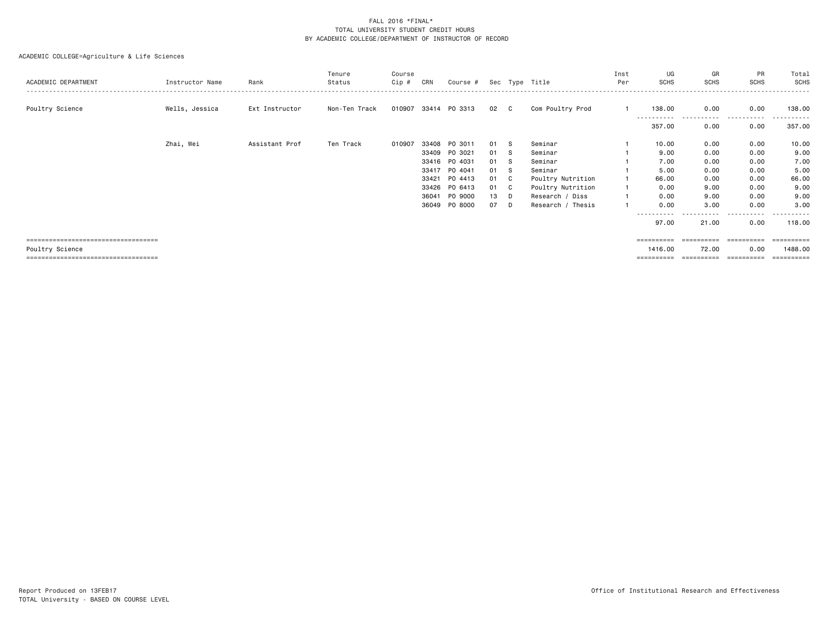| ACADEMIC DEPARTMENT                    | Instructor Name | Rank           | Tenure<br>Status | Course<br>Cip # | CRN   | Course $#$ Sec Type Title |    |     |                   | Inst<br>Per | UG<br><b>SCHS</b> | GR<br><b>SCHS</b>     | PR<br><b>SCHS</b>     | Total<br>SCHS      |
|----------------------------------------|-----------------|----------------|------------------|-----------------|-------|---------------------------|----|-----|-------------------|-------------|-------------------|-----------------------|-----------------------|--------------------|
| Poultry Science                        | Wells, Jessica  | Ext Instructor | Non-Ten Track    |                 |       | 010907 33414 P0 3313      | 02 | C   | Com Poultry Prod  |             | 138.00            | 0.00                  | 0.00                  | 138,00             |
|                                        |                 |                |                  |                 |       |                           |    |     |                   |             | .<br>357.00       | -----------<br>0.00   | .<br>0.00             | -------<br>357.00  |
|                                        | Zhai, Wei       | Assistant Prof | Ten Track        | 010907          | 33408 | PO 3011                   | 01 | -S  | Seminar           |             | 10.00             | 0.00                  | 0.00                  | 10.00              |
|                                        |                 |                |                  |                 | 33409 | PO 3021                   | 01 | -S  | Seminar           |             | 9.00              | 0.00                  | 0.00                  | 9.00               |
|                                        |                 |                |                  |                 | 33416 | PO 4031                   | 01 | - S | Seminar           |             | 7.00              | 0.00                  | 0.00                  | 7.00               |
|                                        |                 |                |                  |                 | 33417 | PO 4041                   | 01 | - S | Seminar           |             | 5.00              | 0.00                  | 0.00                  | 5.00               |
|                                        |                 |                |                  |                 | 33421 | PO 4413                   | 01 | C.  | Poultry Nutrition |             | 66.00             | 0.00                  | 0.00                  | 66.00              |
|                                        |                 |                |                  |                 | 33426 | PO 6413                   | 01 | C   | Poultry Nutrition |             | 0.00              | 9.00                  | 0.00                  | 9.00               |
|                                        |                 |                |                  |                 | 36041 | PO 9000                   | 13 | D   | Research / Diss   |             | 0.00              | 9.00                  | 0.00                  | 9.00               |
|                                        |                 |                |                  |                 | 36049 | PO 8000                   | 07 | D   | Research / Thesis |             | 0.00              | 3.00                  | 0.00                  | 3.00               |
|                                        |                 |                |                  |                 |       |                           |    |     |                   |             | .<br>97.00        | .<br>21.00            | $\cdots$<br>.<br>0.00 | <u>.</u><br>118.00 |
| ====================================== |                 |                |                  |                 |       |                           |    |     |                   |             | ==========        | ===================== |                       | ==========         |
| Poultry Science                        |                 |                |                  |                 |       |                           |    |     |                   |             | 1416.00           | 72.00                 | 0.00                  | 1488.00            |
| -------------------------------------  |                 |                |                  |                 |       |                           |    |     |                   |             | ==========        | ==========            | ==========            | ==========         |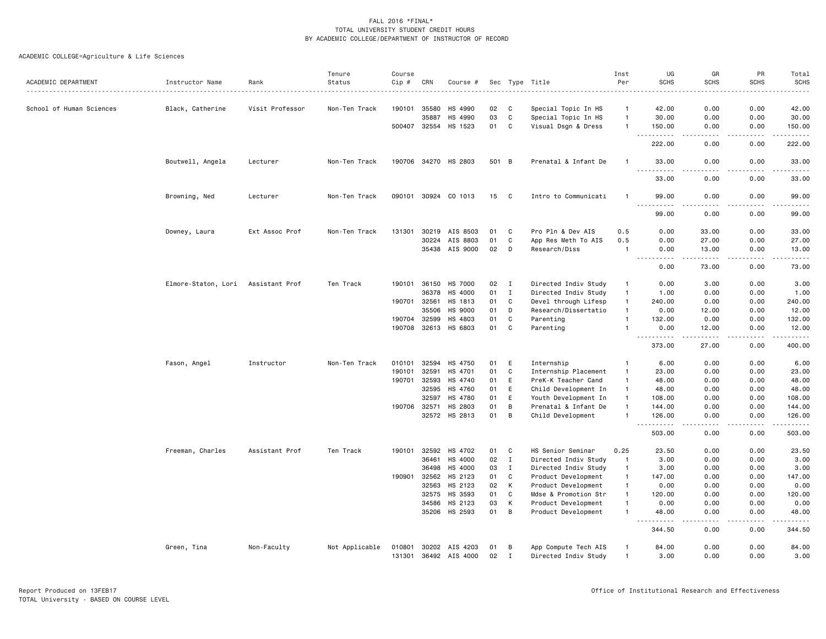|                          |                     |                 | Tenure         | Course |              |                                         |          |                  |                                              | Inst                         | UG                                                                                                                                                             | GR                   | PR           | Total                     |
|--------------------------|---------------------|-----------------|----------------|--------|--------------|-----------------------------------------|----------|------------------|----------------------------------------------|------------------------------|----------------------------------------------------------------------------------------------------------------------------------------------------------------|----------------------|--------------|---------------------------|
| ACADEMIC DEPARTMENT      | Instructor Name     | Rank            | Status         | Cip #  | CRN          | Course #                                |          |                  | Sec Type Title                               | Per                          | <b>SCHS</b>                                                                                                                                                    | <b>SCHS</b>          | <b>SCHS</b>  | <b>SCHS</b><br>والمناصبات |
| School of Human Sciences | Black, Catherine    | Visit Professor | Non-Ten Track  | 190101 | 35580        | HS 4990                                 | 02       | C                | Special Topic In HS                          | $\mathbf{1}$                 | 42.00                                                                                                                                                          | 0.00                 | 0.00         | 42.00                     |
|                          |                     |                 |                |        | 35887        | HS 4990                                 | 03       | $\mathbf{C}$     | Special Topic In HS                          | $\mathbf{1}$                 | 30.00                                                                                                                                                          | 0.00                 | 0.00         | 30.00                     |
|                          |                     |                 |                |        | 500407 32554 | HS 1523                                 | 01       | C                | Visual Dsgn & Dress                          | $\mathbf{1}$                 | 150.00                                                                                                                                                         | 0.00                 | 0.00         | 150.00                    |
|                          |                     |                 |                |        |              |                                         |          |                  |                                              |                              | .<br>$\sim$ $\sim$                                                                                                                                             | .                    | .            | .                         |
|                          |                     |                 |                |        |              |                                         |          |                  |                                              |                              | 222.00                                                                                                                                                         | 0.00                 | 0.00         | 222.00                    |
|                          | Boutwell, Angela    | Lecturer        | Non-Ten Track  |        |              | 190706 34270 HS 2803                    |          | 501 B            | Prenatal & Infant De                         | $\mathbf{1}$                 | 33.00<br>.<br><b>.</b>                                                                                                                                         | 0.00                 | 0.00         | 33.00<br>.                |
|                          |                     |                 |                |        |              |                                         |          |                  |                                              |                              | 33.00                                                                                                                                                          | 0.00                 | 0.00         | 33.00                     |
|                          | Browning, Ned       | Lecturer        | Non-Ten Track  |        |              | 090101 30924 CO 1013                    | 15       | $\mathbf{C}$     | Intro to Communicati                         | $\mathbf{1}$                 | 99.00<br>.<br>.                                                                                                                                                | 0.00<br>. <b>.</b> . | 0.00<br>.    | 99.00<br>.                |
|                          |                     |                 |                |        |              |                                         |          |                  |                                              |                              | 99.00                                                                                                                                                          | 0.00                 | 0.00         | 99.00                     |
|                          | Downey, Laura       | Ext Assoc Prof  | Non-Ten Track  | 131301 | 30219        | AIS 8503                                | 01       | C                | Pro Pln & Dev AIS                            | 0.5                          | 0.00                                                                                                                                                           | 33.00                | 0.00         | 33.00                     |
|                          |                     |                 |                |        | 30224        | AIS 8803                                | 01       | C                | App Res Meth To AIS                          | 0.5                          | 0.00                                                                                                                                                           | 27.00                | 0.00         | 27.00                     |
|                          |                     |                 |                |        |              | 35438 AIS 9000                          | 02       | D                | Research/Diss                                | $\mathbf{1}$                 | 0.00<br>$\sim$ $\sim$<br>.                                                                                                                                     | 13.00<br>.           | 0.00<br>.    | 13.00<br>.                |
|                          |                     |                 |                |        |              |                                         |          |                  |                                              |                              | 0.00                                                                                                                                                           | 73.00                | 0.00         | 73.00                     |
|                          | Elmore-Staton, Lori | Assistant Prof  | Ten Track      | 190101 | 36150        | <b>HS 7000</b>                          | 02       | $\mathbf{I}$     | Directed Indiv Study                         | $\mathbf{1}$                 | 0.00                                                                                                                                                           | 3.00                 | 0.00         | 3.00                      |
|                          |                     |                 |                |        | 36378        | HS 4000                                 | 01       | $\mathbf I$      | Directed Indiv Study                         | $\mathbf{1}$                 | 1.00                                                                                                                                                           | 0.00                 | 0.00         | 1.00                      |
|                          |                     |                 |                | 190701 | 32561        | HS 1813                                 | 01       | C                | Devel through Lifesp                         | $\mathbf{1}$                 | 240.00                                                                                                                                                         | 0.00                 | 0.00         | 240.00                    |
|                          |                     |                 |                |        | 35506        | <b>HS 9000</b>                          | 01       | D                | Research/Dissertatio                         | $\mathbf{1}$                 | 0.00                                                                                                                                                           | 12.00                | 0.00         | 12.00                     |
|                          |                     |                 |                | 190704 | 32599        | HS 4803                                 | 01       | C                | Parenting                                    | $\mathbf{1}$                 | 132.00                                                                                                                                                         | 0.00                 | 0.00         | 132.00                    |
|                          |                     |                 |                |        | 190708 32613 | HS 6803                                 | 01       | C                | Parenting                                    | $\mathbf{1}$                 | 0.00                                                                                                                                                           | 12.00                | 0.00<br>.    | 12.00<br>.                |
|                          |                     |                 |                |        |              |                                         |          |                  |                                              |                              | $\frac{1}{2} \left( \frac{1}{2} \right) \left( \frac{1}{2} \right) \left( \frac{1}{2} \right) \left( \frac{1}{2} \right) \left( \frac{1}{2} \right)$<br>373.00 | <u>.</u><br>27.00    | 0.00         | 400.00                    |
|                          | Fason, Angel        | Instructor      | Non-Ten Track  | 010101 | 32594        | HS 4750                                 | 01       | E                | Internship                                   | $\mathbf{1}$                 | 6.00                                                                                                                                                           | 0.00                 | 0.00         | 6.00                      |
|                          |                     |                 |                | 190101 | 32591        | HS 4701                                 | 01       | $\mathtt{C}$     | Internship Placement                         | $\mathbf{1}$                 | 23.00                                                                                                                                                          | 0.00                 | 0.00         | 23.00                     |
|                          |                     |                 |                | 190701 | 32593        | HS 4740                                 | 01       | E                | PreK-K Teacher Cand                          | $\mathbf{1}$                 | 48.00                                                                                                                                                          | 0.00                 | 0.00         | 48.00                     |
|                          |                     |                 |                |        | 32595        | HS 4760                                 | 01       | E                | Child Development In                         | $\mathbf{1}$                 | 48.00                                                                                                                                                          | 0.00                 | 0.00         | 48.00                     |
|                          |                     |                 |                |        | 32597        | HS 4780                                 | 01       | E                | Youth Development In                         | $\mathbf{1}$                 | 108.00                                                                                                                                                         | 0.00                 | 0.00         | 108.00                    |
|                          |                     |                 |                |        | 190706 32571 | HS 2803                                 | 01       | B                | Prenatal & Infant De                         | $\mathbf{1}$                 | 144.00                                                                                                                                                         | 0.00                 | 0.00         | 144.00                    |
|                          |                     |                 |                |        | 32572        | HS 2813                                 | 01       | B                | Child Development                            | $\mathbf{1}$                 | 126.00<br>$\sim$ $\sim$ $\sim$<br>. <b>.</b>                                                                                                                   | 0.00<br>$- - - -$    | 0.00<br>.    | 126.00<br>.               |
|                          |                     |                 |                |        |              |                                         |          |                  |                                              |                              | 503.00                                                                                                                                                         | 0.00                 | 0.00         | 503.00                    |
|                          | Freeman, Charles    | Assistant Prof  | Ten Track      | 190101 | 32592        | HS 4702                                 | 01       | C                | HS Senior Seminar                            | 0.25                         | 23.50                                                                                                                                                          | 0.00                 | 0.00         | 23.50                     |
|                          |                     |                 |                |        | 36461        | HS 4000                                 | 02       | $\mathbf{I}$     | Directed Indiv Study                         | $\mathbf{1}$                 | 3.00                                                                                                                                                           | 0.00                 | 0.00         | 3.00                      |
|                          |                     |                 |                |        | 36498        | HS 4000                                 | 03       | $\mathbf{I}$     | Directed Indiv Study                         | $\mathbf{1}$                 | 3.00                                                                                                                                                           | 0.00                 | 0.00         | 3.00                      |
|                          |                     |                 |                | 190901 | 32562        | HS 2123                                 | 01       | $\mathbf{C}$     | Product Development                          | $\mathbf{1}$                 | 147.00                                                                                                                                                         | 0.00                 | 0.00         | 147.00                    |
|                          |                     |                 |                |        | 32563        | HS 2123                                 | 02       | к                | Product Development                          | $\mathbf{1}$                 | 0.00                                                                                                                                                           | 0.00                 | 0.00         | 0.00                      |
|                          |                     |                 |                |        | 32575        | HS 3593                                 | 01       | C                | Mdse & Promotion Str                         | $\mathbf{1}$                 | 120.00                                                                                                                                                         | 0.00                 | 0.00         | 120.00                    |
|                          |                     |                 |                |        | 34586        | HS 2123                                 | 03       | К                | Product Development                          | $\mathbf{1}$                 | 0.00                                                                                                                                                           | 0.00                 | 0.00         | 0.00                      |
|                          |                     |                 |                |        | 35206        | HS 2593                                 | 01       | $\overline{B}$   | Product Development                          | $\mathbf{1}$                 | 48.00<br>.                                                                                                                                                     | 0.00<br>.            | 0.00<br>.    | 48.00<br>-----            |
|                          |                     |                 |                |        |              |                                         |          |                  |                                              |                              | 344.50                                                                                                                                                         | 0.00                 | 0.00         | 344.50                    |
|                          | Green, Tina         | Non-Faculty     | Not Applicable | 010801 |              | 30202 AIS 4203<br>131301 36492 AIS 4000 | 01<br>02 | В<br>$\mathbf I$ | App Compute Tech AIS<br>Directed Indiv Study | $\mathbf{1}$<br>$\mathbf{1}$ | 84.00<br>3.00                                                                                                                                                  | 0.00<br>0.00         | 0.00<br>0.00 | 84.00<br>3.00             |
|                          |                     |                 |                |        |              |                                         |          |                  |                                              |                              |                                                                                                                                                                |                      |              |                           |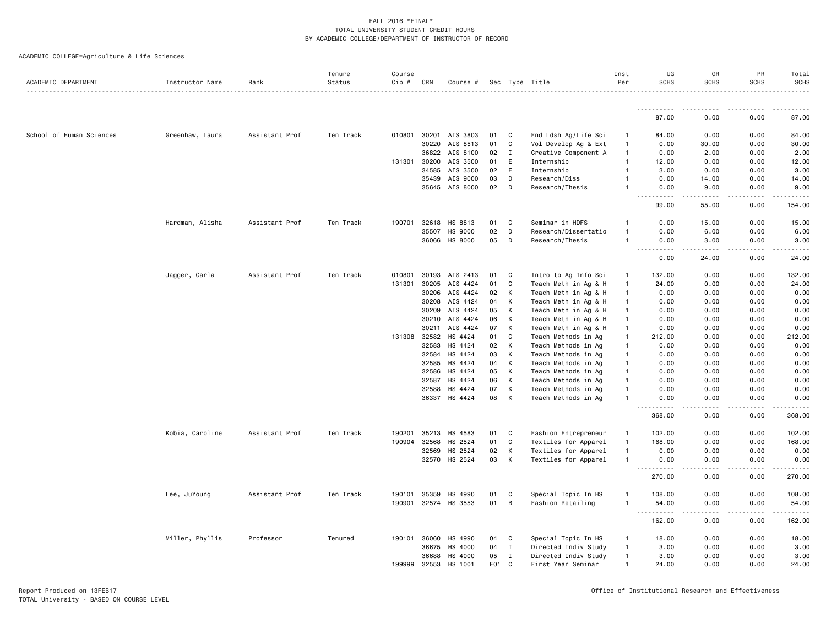ACADEMIC COLLEGE=Agriculture & Life Sciences

| ACADEMIC DEPARTMENT      | Instructor Name | Rank           | Tenure<br>Status | Course<br>Cip # | CRN          | Course #              |                  |              | Sec Type Title       | Inst<br>Per    | UG<br><b>SCHS</b>                  | GR<br><b>SCHS</b>     | PR<br><b>SCHS</b> | Total<br><b>SCHS</b>  |
|--------------------------|-----------------|----------------|------------------|-----------------|--------------|-----------------------|------------------|--------------|----------------------|----------------|------------------------------------|-----------------------|-------------------|-----------------------|
|                          |                 |                |                  |                 |              |                       |                  |              |                      |                |                                    |                       |                   |                       |
|                          |                 |                |                  |                 |              |                       |                  |              |                      |                | 87.00                              | 0.00                  | 0.00              | 87.00                 |
| School of Human Sciences | Greenhaw, Laura | Assistant Prof | Ten Track        |                 |              | 010801 30201 AIS 3803 | 01               | C            | Fnd Ldsh Ag/Life Sci | $\mathbf{1}$   | 84.00                              | 0.00                  | 0.00              | 84.00                 |
|                          |                 |                |                  |                 | 30220        | AIS 8513              | 01               | C            | Vol Develop Ag & Ext | $\overline{1}$ | 0.00                               | 30.00                 | 0.00              | 30.00                 |
|                          |                 |                |                  |                 | 36822        | AIS 8100              | 02               | $\mathbf{I}$ | Creative Component A | $\mathbf{1}$   | 0.00                               | 2.00                  | 0.00              | 2.00                  |
|                          |                 |                |                  | 131301          | 30200        | AIS 3500              | 01               | E            | Internship           | 1              | 12.00                              | 0.00                  | 0.00              | 12.00                 |
|                          |                 |                |                  |                 | 34585        | AIS 3500              | 02               | E            | Internship           | 1              | 3.00                               | 0.00                  | 0.00              | 3.00                  |
|                          |                 |                |                  |                 |              | 35439 AIS 9000        | 03               | D            | Research/Diss        |                | 0.00                               | 14.00                 | 0.00              | 14.00                 |
|                          |                 |                |                  |                 |              | 35645 AIS 8000        | 02               | D            | Research/Thesis      | 1              | 0.00                               | 9.00                  | 0.00              | 9.00                  |
|                          |                 |                |                  |                 |              |                       |                  |              |                      |                | $\frac{1}{2}$<br>99.00             | 55.00                 | 0.00              | 154.00                |
|                          | Hardman, Alisha | Assistant Prof | Ten Track        | 190701          | 32618        | HS 8813               | 01               | C            | Seminar in HDFS      | 1              | 0.00                               | 15.00                 | 0.00              | 15.00                 |
|                          |                 |                |                  |                 | 35507        | HS 9000               | 02               | D            | Research/Dissertatio | $\mathbf{1}$   | 0.00                               | 6.00                  | 0.00              | 6.00                  |
|                          |                 |                |                  |                 | 36066        | HS 8000               | 05               | D            | Research/Thesis      | $\mathbf{1}$   | 0.00                               | 3.00                  | 0.00              | 3.00                  |
|                          |                 |                |                  |                 |              |                       |                  |              |                      |                | $\frac{1}{2}$<br>0.00              | . <u>.</u> .<br>24.00 | .<br>0.00         | . <u>.</u> .<br>24.00 |
|                          | Jagger, Carla   | Assistant Prof | Ten Track        | 010801          | 30193        | AIS 2413              | 01               | C            | Intro to Ag Info Sci | 1              | 132.00                             | 0.00                  | 0.00              | 132.00                |
|                          |                 |                |                  | 131301          | 30205        | AIS 4424              | 01               | C            | Teach Meth in Ag & H | $\mathbf{1}$   | 24.00                              | 0.00                  | 0.00              | 24.00                 |
|                          |                 |                |                  |                 | 30206        | AIS 4424              | 02               | К            | Teach Meth in Ag & H | $\overline{1}$ | 0.00                               | 0.00                  | 0.00              | 0.00                  |
|                          |                 |                |                  |                 | 30208        | AIS 4424              | 04               | Κ            | Teach Meth in Ag & H | $\mathbf{1}$   | 0.00                               | 0.00                  | 0.00              | 0.00                  |
|                          |                 |                |                  |                 | 30209        | AIS 4424              | 05               | К            | Teach Meth in Ag & H | $\overline{1}$ | 0.00                               | 0.00                  | 0.00              | 0.00                  |
|                          |                 |                |                  |                 | 30210        | AIS 4424              | 06               | К            | Teach Meth in Ag & H | $\overline{1}$ | 0.00                               | 0.00                  | 0.00              | 0.00                  |
|                          |                 |                |                  |                 | 30211        | AIS 4424              | 07               | К            | Teach Meth in Ag & H | $\overline{1}$ | 0.00                               | 0.00                  | 0.00              | 0.00                  |
|                          |                 |                |                  |                 | 131308 32582 | HS 4424               | 01               | C            | Teach Methods in Ag  | $\mathbf{1}$   | 212.00                             | 0.00                  | 0.00              | 212.00                |
|                          |                 |                |                  |                 | 32583        | HS 4424               | 02               | К            | Teach Methods in Ag  | $\mathbf{1}$   | 0.00                               | 0.00                  | 0.00              | 0.00                  |
|                          |                 |                |                  |                 | 32584        | HS 4424               | 03               | Κ            | Teach Methods in Ag  | $\mathbf{1}$   | 0.00                               | 0.00                  | 0.00              | 0.00                  |
|                          |                 |                |                  |                 | 32585        | HS 4424               | 04               | К            | Teach Methods in Ag  | $\mathbf{1}$   | 0.00                               | 0.00                  | 0.00              | 0.00                  |
|                          |                 |                |                  |                 | 32586        | HS 4424               | 05               | К            | Teach Methods in Ag  | 1              | 0.00                               | 0.00                  | 0.00              | 0.00                  |
|                          |                 |                |                  |                 | 32587        | HS 4424               | 06               | К            | Teach Methods in Ag  | 1              | 0.00                               | 0.00                  | 0.00              | 0.00                  |
|                          |                 |                |                  |                 | 32588        | HS 4424               | 07               | Κ            | Teach Methods in Ag  | 1              | 0.00                               | 0.00                  | 0.00              | 0.00                  |
|                          |                 |                |                  |                 | 36337        | HS 4424               | 08               | К            | Teach Methods in Ag  | $\mathbf{1}$   | 0.00<br>$\sim$ $\sim$ $\sim$       | 0.00<br>$\frac{1}{2}$ | 0.00<br>بالمستعاد | 0.00                  |
|                          |                 |                |                  |                 |              |                       |                  |              |                      |                | د د د د<br>368.00                  | 0.00                  | 0.00              | 368.00                |
|                          | Kobia, Caroline | Assistant Prof | Ten Track        | 190201          | 35213        | HS 4583               | 01               | C            | Fashion Entrepreneur | -1             | 102.00                             | 0.00                  | 0.00              | 102.00                |
|                          |                 |                |                  | 190904          | 32568        | HS 2524               | 01               | C            | Textiles for Apparel | $\mathbf{1}$   | 168.00                             | 0.00                  | 0.00              | 168.00                |
|                          |                 |                |                  |                 | 32569        | HS 2524               | 02               | К            | Textiles for Apparel | $\mathbf{1}$   | 0.00                               | 0.00                  | 0.00              | 0.00                  |
|                          |                 |                |                  |                 |              | 32570 HS 2524         | 03               | К            | Textiles for Apparel | $\mathbf{1}$   | 0.00                               | 0.00                  | 0.00              | 0.00                  |
|                          |                 |                |                  |                 |              |                       |                  |              |                      |                | 270.00                             | 0.00                  | 0.00              | 270.00                |
|                          | Lee, JuYoung    | Assistant Prof | Ten Track        | 190101          | 35359        | HS 4990               | 01               | C            | Special Topic In HS  | $\overline{1}$ | 108.00                             | 0.00                  | 0.00              | 108.00                |
|                          |                 |                |                  |                 |              | 190901 32574 HS 3553  | 01               | B            | Fashion Retailing    | $\mathbf{1}$   | 54.00<br>$\sim$ $\sim$ $\sim$<br>. | 0.00                  | 0.00              | 54.00                 |
|                          |                 |                |                  |                 |              |                       |                  |              |                      |                | 162.00                             | 0.00                  | 0.00              | 162.00                |
|                          | Miller, Phyllis | Professor      | Tenured          | 190101          | 36060        | HS 4990               | 04               | C            | Special Topic In HS  | $\mathbf{1}$   | 18.00                              | 0.00                  | 0.00              | 18.00                 |
|                          |                 |                |                  |                 | 36675        | HS 4000               | 04               | Ι.           | Directed Indiv Study | $\overline{1}$ | 3.00                               | 0.00                  | 0.00              | 3.00                  |
|                          |                 |                |                  |                 | 36688        | HS 4000               | 05               | I            | Directed Indiv Study | $\mathbf{1}$   | 3.00                               | 0.00                  | 0.00              | 3.00                  |
|                          |                 |                |                  | 199999          | 32553        | HS 1001               | F <sub>0</sub> 1 | C            | First Year Seminar   | $\overline{1}$ | 24.00                              | 0.00                  | 0.00              | 24.00                 |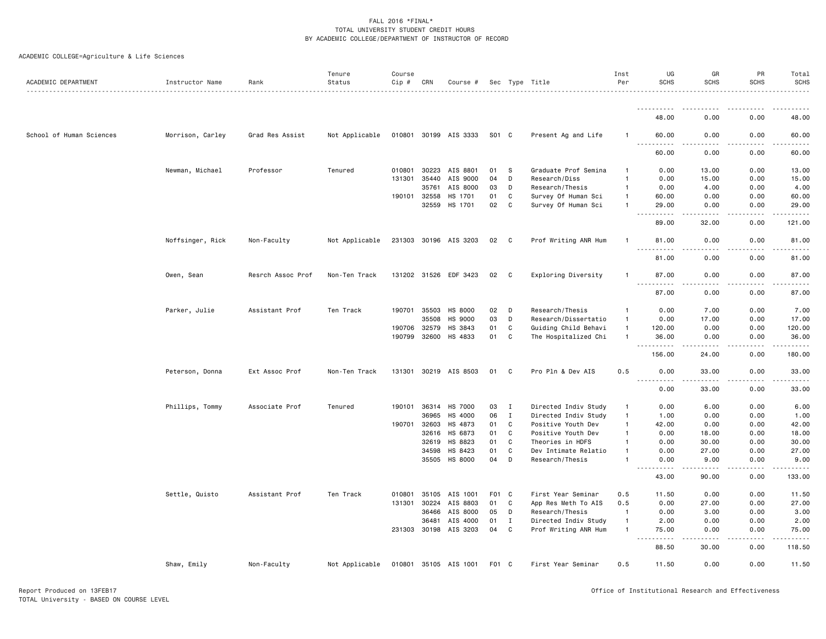|  | ACADEMIC COLLEGE=Agriculture & Life Sciences |  |  |  |
|--|----------------------------------------------|--|--|--|
|--|----------------------------------------------|--|--|--|

| ACADEMIC DEPARTMENT      | Instructor Name  | Rank              | Tenure<br>Status | Course<br>Cip # | CRN          | Course #              |       |                | Sec Type Title       | Inst<br>Per    | UG<br><b>SCHS</b>                  | GR<br><b>SCHS</b>     | PR<br><b>SCHS</b>   | Total<br><b>SCHS</b> |
|--------------------------|------------------|-------------------|------------------|-----------------|--------------|-----------------------|-------|----------------|----------------------|----------------|------------------------------------|-----------------------|---------------------|----------------------|
|                          |                  |                   |                  |                 |              |                       |       |                |                      |                |                                    |                       |                     |                      |
|                          |                  |                   |                  |                 |              |                       |       |                |                      |                | <u>.</u><br>48.00                  | 0.00                  | 0.00                | 48.00                |
| School of Human Sciences | Morrison, Carley | Grad Res Assist   | Not Applicable   |                 |              | 010801 30199 AIS 3333 | S01 C |                | Present Ag and Life  | 1              | 60.00                              | 0.00                  | 0.00                | 60.00                |
|                          |                  |                   |                  |                 |              |                       |       |                |                      |                | .<br>60.00                         | 0.00                  | 0.00                | 60.00                |
|                          | Newman, Michael  | Professor         | Tenured          | 010801          | 30223        | AIS 8801              | 01    | s              | Graduate Prof Semina |                | 0.00                               | 13.00                 | 0.00                | 13.00                |
|                          |                  |                   |                  | 131301          | 35440        | AIS 9000              | 04    | D              | Research/Diss        | 1              | 0.00                               | 15.00                 | 0.00                | 15.00                |
|                          |                  |                   |                  |                 | 35761        | AIS 8000              | 03    | D              | Research/Thesis      | $\mathbf{1}$   | 0.00                               | 4.00                  | 0.00                | 4.00                 |
|                          |                  |                   |                  |                 | 190101 32558 | HS 1701               | 01    | C              | Survey Of Human Sci  | $\mathbf{1}$   | 60.00                              | 0.00                  | 0.00                | 60.00                |
|                          |                  |                   |                  |                 | 32559        | HS 1701               | 02    | C              | Survey Of Human Sci  | 1              | 29,00<br>.<br>$\sim$ $\sim$ $\sim$ | 0.00<br><u>.</u>      | 0.00<br>$- - - - -$ | 29.00<br>.           |
|                          |                  |                   |                  |                 |              |                       |       |                |                      |                | 89.00                              | 32.00                 | 0.00                | 121.00               |
|                          | Noffsinger, Rick | Non-Faculty       | Not Applicable   |                 |              | 231303 30196 AIS 3203 | 02    | $\overline{c}$ | Prof Writing ANR Hum | $\mathbf{1}$   | 81.00<br>.                         | 0.00<br>$\frac{1}{2}$ | 0.00<br>.           | 81.00<br>.           |
|                          |                  |                   |                  |                 |              |                       |       |                |                      |                | 81.00                              | 0.00                  | 0.00                | 81.00                |
|                          | Owen, Sean       | Resrch Assoc Prof | Non-Ten Track    |                 |              | 131202 31526 EDF 3423 | 02    | $\mathbf{C}$   | Exploring Diversity  | 1              | 87.00<br>.                         | 0.00                  | 0.00                | 87.00                |
|                          |                  |                   |                  |                 |              |                       |       |                |                      |                | 87.00                              | 0.00                  | 0.00                | 87.00                |
|                          | Parker, Julie    | Assistant Prof    | Ten Track        |                 | 190701 35503 | <b>HS 8000</b>        | 02    | D              | Research/Thesis      | $\mathbf{1}$   | 0.00                               | 7.00                  | 0.00                | 7.00                 |
|                          |                  |                   |                  |                 | 35508        | <b>HS 9000</b>        | 03    | D              | Research/Dissertatio | $\mathbf{1}$   | 0.00                               | 17.00                 | 0.00                | 17.00                |
|                          |                  |                   |                  |                 | 190706 32579 | HS 3843               | 01    | C              | Guiding Child Behavi | $\overline{1}$ | 120.00                             | 0.00                  | 0.00                | 120.00               |
|                          |                  |                   |                  |                 | 190799 32600 | HS 4833               | 01    | C              | The Hospitalized Chi | $\mathbf{1}$   | 36.00<br><b></b>                   | 0.00                  | 0.00                | 36.00                |
|                          |                  |                   |                  |                 |              |                       |       |                |                      |                | 156.00                             | 24.00                 | 0.00                | 180.00               |
|                          | Peterson, Donna  | Ext Assoc Prof    | Non-Ten Track    |                 |              | 131301 30219 AIS 8503 | 01    | C              | Pro Pln & Dev AIS    | 0.5            | 0.00<br>.                          | 33.00                 | 0.00                | 33.00                |
|                          |                  |                   |                  |                 |              |                       |       |                |                      |                | 0.00                               | 33.00                 | 0.00                | 33.00                |
|                          | Phillips, Tommy  | Associate Prof    | Tenured          | 190101          | 36314        | <b>HS 7000</b>        | 03    | I              | Directed Indiv Study | $\mathbf{1}$   | 0.00                               | 6.00                  | 0.00                | 6.00                 |
|                          |                  |                   |                  |                 | 36965        | HS 4000               | 06    | $\mathbf{I}$   | Directed Indiv Study | $\overline{1}$ | 1.00                               | 0.00                  | 0.00                | 1.00                 |
|                          |                  |                   |                  | 190701          | 32603        | HS 4873               | 01    | C              | Positive Youth Dev   | $\mathbf{1}$   | 42.00                              | 0.00                  | 0.00                | 42.00                |
|                          |                  |                   |                  |                 | 32616        | HS 6873               | 01    | C              | Positive Youth Dev   | 1              | 0.00                               | 18.00                 | 0.00                | 18.00                |
|                          |                  |                   |                  |                 | 32619        | HS 8823               | 01    | C              | Theories in HDFS     | 1              | 0.00                               | 30.00                 | 0.00                | 30.00                |
|                          |                  |                   |                  |                 | 34598        | HS 8423               | 01    | C              | Dev Intimate Relatio | $\mathbf{1}$   | 0.00                               | 27.00                 | 0.00                | 27.00                |
|                          |                  |                   |                  |                 | 35505        | HS 8000               | 04    | D              | Research/Thesis      | 1              | 0.00<br>$\sim$                     | 9.00                  | 0.00                | 9.00                 |
|                          |                  |                   |                  |                 |              |                       |       |                |                      |                | 43.00                              | 90.00                 | 0.00                | 133.00               |
|                          | Settle, Quisto   | Assistant Prof    | Ten Track        | 010801          | 35105        | AIS 1001              | F01 C |                | First Year Seminar   | 0.5            | 11.50                              | 0.00                  | 0.00                | 11.50                |
|                          |                  |                   |                  | 131301          | 30224        | AIS 8803              | 01    | C              | App Res Meth To AIS  | 0.5            | 0.00                               | 27.00                 | 0.00                | 27.00                |
|                          |                  |                   |                  |                 | 36466        | AIS 8000              | 05    | D              | Research/Thesis      | $\overline{1}$ | 0.00                               | 3.00                  | 0.00                | 3.00                 |
|                          |                  |                   |                  |                 | 36481        | AIS 4000              | 01    | $\mathbf{I}$   | Directed Indiv Study | $\overline{1}$ | 2.00                               | 0.00                  | 0.00                | 2.00                 |
|                          |                  |                   |                  |                 |              | 231303 30198 AIS 3203 | 04    | C              | Prof Writing ANR Hum | $\overline{1}$ | 75.00<br>.<br>$  -$                | 0.00<br>-----         | 0.00<br>-----       | 75.00<br>.           |
|                          |                  |                   |                  |                 |              |                       |       |                |                      |                | 88.50                              | 30.00                 | 0.00                | 118.50               |
|                          | Shaw, Emily      | Non-Faculty       | Not Applicable   |                 |              | 010801 35105 AIS 1001 | F01 C |                | First Year Seminar   | 0.5            | 11.50                              | 0.00                  | 0.00                | 11.50                |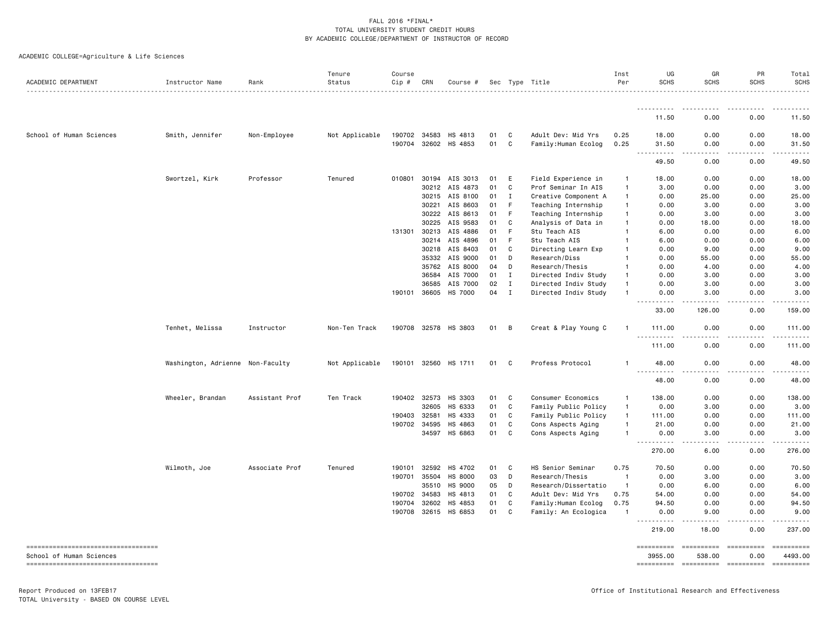ACADEMIC COLLEGE=Agriculture & Life Sciences

| ACADEMIC DEPARTMENT                                                | Instructor Name                  | Rank           | Tenure<br>Status | Course<br>$Cip \#$ | CRN          | Course #             |      |              | Sec Type Title       | Inst<br>Per    | UG<br><b>SCHS</b>                                                                                                                                                       | GR<br><b>SCHS</b>      | PR<br><b>SCHS</b>                                                                                                                                            | Total<br>SCHS                                                                                                                    |
|--------------------------------------------------------------------|----------------------------------|----------------|------------------|--------------------|--------------|----------------------|------|--------------|----------------------|----------------|-------------------------------------------------------------------------------------------------------------------------------------------------------------------------|------------------------|--------------------------------------------------------------------------------------------------------------------------------------------------------------|----------------------------------------------------------------------------------------------------------------------------------|
|                                                                    |                                  |                |                  |                    |              |                      |      |              |                      |                |                                                                                                                                                                         |                        |                                                                                                                                                              |                                                                                                                                  |
|                                                                    |                                  |                |                  |                    |              |                      |      |              |                      |                | 11.50                                                                                                                                                                   | 0.00                   | 0.00                                                                                                                                                         | 11.50                                                                                                                            |
| School of Human Sciences                                           | Smith, Jennifer                  | Non-Employee   | Not Applicable   | 190702 34583       |              | HS 4813              | 01   | C            | Adult Dev: Mid Yrs   | 0.25           | 18.00                                                                                                                                                                   | 0.00                   | 0.00                                                                                                                                                         | 18.00                                                                                                                            |
|                                                                    |                                  |                |                  |                    |              | 190704 32602 HS 4853 | 01   | C            | Family: Human Ecolog | 0.25           | 31.50                                                                                                                                                                   | 0.00                   | 0.00                                                                                                                                                         | 31.50                                                                                                                            |
|                                                                    |                                  |                |                  |                    |              |                      |      |              |                      |                | 49.50                                                                                                                                                                   | 0.00                   | 0.00                                                                                                                                                         | 49.50                                                                                                                            |
|                                                                    | Swortzel, Kirk                   | Professor      | Tenured          | 010801             | 30194        | AIS 3013             | 01   | E            | Field Experience in  | $\mathbf{1}$   | 18.00                                                                                                                                                                   | 0.00                   | 0.00                                                                                                                                                         | 18.00                                                                                                                            |
|                                                                    |                                  |                |                  |                    | 30212        | AIS 4873             | 01   | C            | Prof Seminar In AIS  | $\mathbf{1}$   | 3.00                                                                                                                                                                    | 0.00                   | 0.00                                                                                                                                                         | 3.00                                                                                                                             |
|                                                                    |                                  |                |                  |                    | 30215        | AIS 8100             | 01   | I            | Creative Component A | $\mathbf{1}$   | 0.00                                                                                                                                                                    | 25.00                  | 0.00                                                                                                                                                         | 25.00                                                                                                                            |
|                                                                    |                                  |                |                  |                    | 30221        | AIS 8603             | 01   | -F           | Teaching Internship  | $\mathbf{1}$   | 0.00                                                                                                                                                                    | 3.00                   | 0.00                                                                                                                                                         | 3.00                                                                                                                             |
|                                                                    |                                  |                |                  |                    | 30222        | AIS 8613             | 01   | -F           | Teaching Internship  | $\mathbf{1}$   | 0.00                                                                                                                                                                    | 3.00                   | 0.00                                                                                                                                                         | 3.00                                                                                                                             |
|                                                                    |                                  |                |                  |                    | 30225        | AIS 9583             | 01   | C            | Analysis of Data in  | $\mathbf{1}$   | 0.00                                                                                                                                                                    | 18.00                  | 0.00                                                                                                                                                         | 18.00                                                                                                                            |
|                                                                    |                                  |                |                  | 131301 30213       |              | AIS 4886             | 01   | F            | Stu Teach AIS        | $\mathbf{1}$   | 6.00                                                                                                                                                                    | 0.00                   | 0.00                                                                                                                                                         | 6.00                                                                                                                             |
|                                                                    |                                  |                |                  |                    | 30214        | AIS 4896             | 01   | $\mathsf{F}$ | Stu Teach AIS        | $\mathbf{1}$   | 6.00                                                                                                                                                                    | 0.00                   | 0.00                                                                                                                                                         | 6.00                                                                                                                             |
|                                                                    |                                  |                |                  |                    | 30218        | AIS 8403             | 01   | C            | Directing Learn Exp  | $\mathbf{1}$   | 0.00                                                                                                                                                                    | 9.00                   | 0.00                                                                                                                                                         | 9.00                                                                                                                             |
|                                                                    |                                  |                |                  |                    | 35332        | AIS 9000             | 01   | D            | Research/Diss        | $\mathbf{1}$   | 0.00                                                                                                                                                                    | 55.00                  | 0.00                                                                                                                                                         | 55.00                                                                                                                            |
|                                                                    |                                  |                |                  |                    | 35762        | AIS 8000             | 04   | D            | Research/Thesis      | $\mathbf{1}$   | 0.00                                                                                                                                                                    | 4.00                   | 0.00                                                                                                                                                         | 4.00                                                                                                                             |
|                                                                    |                                  |                |                  |                    | 36584        | AIS 7000             | 01   | $\mathbf{I}$ | Directed Indiv Study | $\mathbf{1}$   | 0.00                                                                                                                                                                    | 3.00                   | 0.00                                                                                                                                                         | 3.00                                                                                                                             |
|                                                                    |                                  |                |                  |                    | 36585        | AIS 7000             | 02   | $\mathbf{I}$ | Directed Indiv Study | $\overline{1}$ | 0.00                                                                                                                                                                    | 3.00                   | 0.00                                                                                                                                                         | 3.00                                                                                                                             |
|                                                                    |                                  |                |                  | 190101             | 36605        | HS 7000              | 04   | $\mathbf{I}$ | Directed Indiv Study | $\mathbf{1}$   | 0.00                                                                                                                                                                    | 3.00                   | 0.00                                                                                                                                                         | 3.00                                                                                                                             |
|                                                                    |                                  |                |                  |                    |              |                      |      |              |                      |                | 33.00                                                                                                                                                                   | 126.00                 | 0.00                                                                                                                                                         | 159.00                                                                                                                           |
|                                                                    | Tenhet, Melissa                  | Instructor     | Non-Ten Track    |                    |              | 190708 32578 HS 3803 | 01 B |              | Creat & Play Young C | $\mathbf{1}$   | 111.00<br>$- - -$<br>.                                                                                                                                                  | 0.00<br>.              | 0.00                                                                                                                                                         | 111.00<br>$\frac{1}{2}$                                                                                                          |
|                                                                    |                                  |                |                  |                    |              |                      |      |              |                      |                | 111.00                                                                                                                                                                  | 0.00                   | 0.00                                                                                                                                                         | 111.00                                                                                                                           |
|                                                                    | Washington, Adrienne Non-Faculty |                | Not Applicable   | 190101 32560       |              | HS 1711              | 01   | C            | Profess Protocol     | -1             | 48.00<br>.                                                                                                                                                              | 0.00<br>.              | 0.00<br>.                                                                                                                                                    | 48.00<br>.                                                                                                                       |
|                                                                    |                                  |                |                  |                    |              |                      |      |              |                      |                | 48.00                                                                                                                                                                   | 0.00                   | 0.00                                                                                                                                                         | 48.00                                                                                                                            |
|                                                                    | Wheeler, Brandan                 | Assistant Prof | Ten Track        | 190402             | 32573        | HS 3303              | 01   | C            | Consumer Economics   | $\mathbf{1}$   | 138.00                                                                                                                                                                  | 0.00                   | 0.00                                                                                                                                                         | 138.00                                                                                                                           |
|                                                                    |                                  |                |                  |                    | 32605        | HS 6333              | 01   | C            | Family Public Policy | $\mathbf{1}$   | 0.00                                                                                                                                                                    | 3.00                   | 0.00                                                                                                                                                         | 3.00                                                                                                                             |
|                                                                    |                                  |                |                  | 190403 32581       |              | HS 4333              | 01   | C            | Family Public Policy | $\overline{1}$ | 111.00                                                                                                                                                                  | 0.00                   | 0.00                                                                                                                                                         | 111.00                                                                                                                           |
|                                                                    |                                  |                |                  |                    | 190702 34595 | HS 4863              | 01   | C            | Cons Aspects Aging   | $\mathbf{1}$   | 21.00                                                                                                                                                                   | 0.00                   | 0.00                                                                                                                                                         | 21.00                                                                                                                            |
|                                                                    |                                  |                |                  |                    | 34597        | HS 6863              | 01   | C            | Cons Aspects Aging   | -1             | 0.00<br>$- - -$<br>$\frac{1}{2} \left( \frac{1}{2} \right) \left( \frac{1}{2} \right) \left( \frac{1}{2} \right) \left( \frac{1}{2} \right) \left( \frac{1}{2} \right)$ | 3.00                   | 0.00                                                                                                                                                         | 3.00                                                                                                                             |
|                                                                    |                                  |                |                  |                    |              |                      |      |              |                      |                | 270.00                                                                                                                                                                  | 6.00                   | 0.00                                                                                                                                                         | 276.00                                                                                                                           |
|                                                                    | Wilmoth, Joe                     | Associate Prof | Tenured          | 190101             | 32592        | HS 4702              | 01   | C            | HS Senior Seminar    | 0.75           | 70.50                                                                                                                                                                   | 0.00                   | 0.00                                                                                                                                                         | 70.50                                                                                                                            |
|                                                                    |                                  |                |                  |                    | 190701 35504 | <b>HS 8000</b>       | 03   | D            | Research/Thesis      | $\overline{1}$ | 0.00                                                                                                                                                                    | 3.00                   | 0.00                                                                                                                                                         | 3.00                                                                                                                             |
|                                                                    |                                  |                |                  |                    | 35510        | HS 9000              | 05   | D            | Research/Dissertatio | $\overline{1}$ | 0.00                                                                                                                                                                    | 6.00                   | 0.00                                                                                                                                                         | 6.00                                                                                                                             |
|                                                                    |                                  |                |                  |                    | 190702 34583 | HS 4813              | 01   | C            | Adult Dev: Mid Yrs   | 0.75           | 54.00                                                                                                                                                                   | 0.00                   | 0.00                                                                                                                                                         | 54.00                                                                                                                            |
|                                                                    |                                  |                |                  | 190704             | 32602        | HS 4853              | 01   | C            | Family:Human Ecolog  | 0.75           | 94.50                                                                                                                                                                   | 0.00                   | 0.00                                                                                                                                                         | 94.50                                                                                                                            |
|                                                                    |                                  |                |                  | 190708             | 32615        | HS 6853              | 01   | C            | Family: An Ecologica | - 1            | 0.00<br><u>.</u>                                                                                                                                                        | 9.00<br>.<br>$- - -$   | 0.00<br>$\frac{1}{2} \left( \frac{1}{2} \right) \left( \frac{1}{2} \right) \left( \frac{1}{2} \right) \left( \frac{1}{2} \right) \left( \frac{1}{2} \right)$ | 9.00<br>.                                                                                                                        |
|                                                                    |                                  |                |                  |                    |              |                      |      |              |                      |                | 219.00                                                                                                                                                                  | 18.00                  | 0.00                                                                                                                                                         | 237.00                                                                                                                           |
| ======================================<br>School of Human Sciences |                                  |                |                  |                    |              |                      |      |              |                      |                | $=$ ==========<br>3955.00                                                                                                                                               | ==========<br>538.00   | <b>ESSESSESSE</b><br>0.00                                                                                                                                    | 4493.00                                                                                                                          |
| ----------------------------------                                 |                                  |                |                  |                    |              |                      |      |              |                      |                | ==========                                                                                                                                                              | ---------------------- |                                                                                                                                                              | $\begin{minipage}{0.9\linewidth} \hspace*{-0.2cm} \textbf{m} = \textbf{m} = \textbf{m} = \textbf{m} = \textbf{m} \end{minipage}$ |
|                                                                    |                                  |                |                  |                    |              |                      |      |              |                      |                |                                                                                                                                                                         |                        |                                                                                                                                                              |                                                                                                                                  |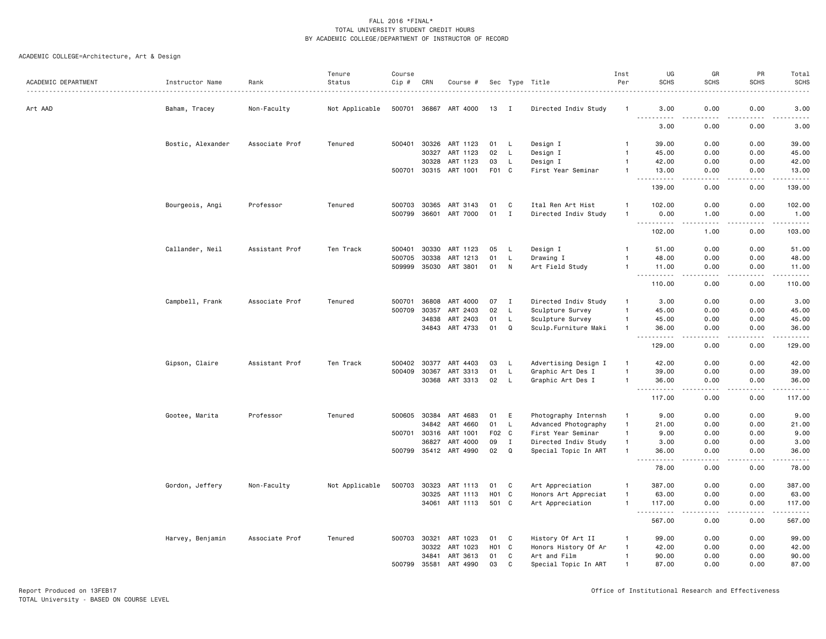| ACADEMIC DEPARTMENT | Instructor Name   | Rank           | Tenure<br>Status | Course<br>Cip # | CRN   | Course #              |                   |              | Sec Type Title<br>.  | Inst<br>Per  | UG<br><b>SCHS</b>                                                                                                                                            | GR<br><b>SCHS</b> | PR<br><b>SCHS</b>                   | Total<br><b>SCHS</b><br><u>.</u>              |
|---------------------|-------------------|----------------|------------------|-----------------|-------|-----------------------|-------------------|--------------|----------------------|--------------|--------------------------------------------------------------------------------------------------------------------------------------------------------------|-------------------|-------------------------------------|-----------------------------------------------|
| Art AAD             | Baham, Tracey     | Non-Faculty    | Not Applicable   |                 |       | 500701 36867 ART 4000 | 13                |              | Directed Indiv Study |              | 3.00                                                                                                                                                         | 0.00              | 0.00                                | 3.00                                          |
|                     |                   |                |                  |                 |       |                       |                   |              |                      |              | $\frac{1}{2} \left( \frac{1}{2} \right) \left( \frac{1}{2} \right) \left( \frac{1}{2} \right) \left( \frac{1}{2} \right) \left( \frac{1}{2} \right)$<br>3.00 | 0.00              | 0.00                                | .<br>3.00                                     |
|                     | Bostic, Alexander | Associate Prof | Tenured          | 500401          | 30326 | ART 1123              | 01                | L.           | Design I             | $\mathbf{1}$ | 39.00                                                                                                                                                        | 0.00              | 0.00                                | 39.00                                         |
|                     |                   |                |                  |                 | 30327 | ART 1123              | 02                | L.           | Design I             | $\mathbf{1}$ | 45.00                                                                                                                                                        | 0.00              | 0.00                                | 45.00                                         |
|                     |                   |                |                  |                 | 30328 | ART 1123              | 03                | L.           | Design I             | $\mathbf{1}$ | 42.00                                                                                                                                                        | 0.00              | 0.00                                | 42.00                                         |
|                     |                   |                |                  | 500701          |       | 30315 ART 1001        | F01 C             |              | First Year Seminar   | $\mathbf{1}$ | 13.00<br>.                                                                                                                                                   | 0.00              | 0.00<br>$\sim$ $\sim$ $\sim$ $\sim$ | 13.00<br>د د د د د                            |
|                     |                   |                |                  |                 |       |                       |                   |              |                      |              | 139.00                                                                                                                                                       | 0.00              | 0.00                                | 139.00                                        |
|                     | Bourgeois, Angi   | Professor      | Tenured          | 500703          | 30365 | ART 3143              | 01                | C            | Ital Ren Art Hist    | -1           | 102.00                                                                                                                                                       | 0.00              | 0.00                                | 102.00                                        |
|                     |                   |                |                  | 500799          | 36601 | ART 7000              | 01                | I            | Directed Indiv Study | $\mathbf{1}$ | 0.00<br>-----                                                                                                                                                | 1.00              | 0.00<br>.                           | 1.00<br>.                                     |
|                     |                   |                |                  |                 |       |                       |                   |              |                      |              | 102.00                                                                                                                                                       | 1.00              | 0.00                                | 103.00                                        |
|                     | Callander, Neil   | Assistant Prof | Ten Track        | 500401          | 30330 | ART 1123              | 05                | L.           | Design I             | -1           | 51.00                                                                                                                                                        | 0.00              | 0.00                                | 51.00                                         |
|                     |                   |                |                  | 500705          | 30338 | ART 1213              | 01                | L            | Drawing I            |              | 48.00                                                                                                                                                        | 0.00              | 0.00                                | 48.00                                         |
|                     |                   |                |                  | 509999          | 35030 | ART 3801              | 01                | N            | Art Field Study      | $\mathbf{1}$ | 11.00<br>.                                                                                                                                                   | 0.00<br>$- - - -$ | 0.00<br>.                           | 11.00<br>$\omega$ is a second set of $\omega$ |
|                     |                   |                |                  |                 |       |                       |                   |              |                      |              | 110.00                                                                                                                                                       | 0.00              | 0.00                                | 110.00                                        |
|                     | Campbell, Frank   | Associate Prof | Tenured          | 500701          | 36808 | ART 4000              | 07                | Ι.           | Directed Indiv Study | $\mathbf{1}$ | 3.00                                                                                                                                                         | 0.00              | 0.00                                | 3.00                                          |
|                     |                   |                |                  | 500709          | 30357 | ART 2403              | 02                | L            | Sculpture Survey     | $\mathbf{1}$ | 45.00                                                                                                                                                        | 0.00              | 0.00                                | 45.00                                         |
|                     |                   |                |                  |                 | 34838 | ART 2403              | 01                | L            | Sculpture Survey     | $\mathbf{1}$ | 45.00                                                                                                                                                        | 0.00              | 0.00                                | 45.00                                         |
|                     |                   |                |                  |                 | 34843 | ART 4733              | 01                | Q            | Sculp.Furniture Maki | $\mathbf{1}$ | 36.00<br>.                                                                                                                                                   | 0.00              | 0.00<br>$- - - -$                   | 36.00<br>.                                    |
|                     |                   |                |                  |                 |       |                       |                   |              |                      |              | 129.00                                                                                                                                                       | 0.00              | 0.00                                | 129.00                                        |
|                     | Gipson, Claire    | Assistant Prof | Ten Track        | 500402          | 30377 | ART 4403              | 03                | L.           | Advertising Design I | $\mathbf{1}$ | 42.00                                                                                                                                                        | 0.00              | 0.00                                | 42.00                                         |
|                     |                   |                |                  | 500409          | 30367 | ART 3313              | 01                | L            | Graphic Art Des I    | $\mathbf{1}$ | 39.00                                                                                                                                                        | 0.00              | 0.00                                | 39.00                                         |
|                     |                   |                |                  |                 | 30368 | ART 3313              | 02                | <b>L</b>     | Graphic Art Des I    | $\mathbf{1}$ | 36.00<br>----                                                                                                                                                | 0.00<br>$- - - -$ | 0.00<br>.                           | 36.00<br>.                                    |
|                     |                   |                |                  |                 |       |                       |                   |              |                      |              | 117.00                                                                                                                                                       | 0.00              | 0.00                                | 117.00                                        |
|                     | Gootee, Marita    | Professor      | Tenured          | 500605          | 30384 | ART 4683              | 01                | Ε            | Photography Internsh | $\mathbf{1}$ | 9.00                                                                                                                                                         | 0.00              | 0.00                                | 9.00                                          |
|                     |                   |                |                  |                 | 34842 | ART 4660              | 01                | $\mathsf{L}$ | Advanced Photography | $\mathbf{1}$ | 21.00                                                                                                                                                        | 0.00              | 0.00                                | 21.00                                         |
|                     |                   |                |                  | 500701          | 30316 | ART 1001              | F02 C             |              | First Year Seminar   | $\mathbf{1}$ | 9.00                                                                                                                                                         | 0.00              | 0.00                                | 9.00                                          |
|                     |                   |                |                  |                 | 36827 | ART 4000              | 09                | $\mathbf I$  | Directed Indiv Study | $\mathbf{1}$ | 3.00                                                                                                                                                         | 0.00              | 0.00                                | 3.00                                          |
|                     |                   |                |                  | 500799          |       | 35412 ART 4990        | 02                | Q            | Special Topic In ART | $\mathbf{1}$ | 36.00<br>-----                                                                                                                                               | 0.00              | 0.00<br>$\sim$ $\sim$ $\sim$ $\sim$ | 36.00<br>.                                    |
|                     |                   |                |                  |                 |       |                       |                   |              |                      |              | 78.00                                                                                                                                                        | 0.00              | 0.00                                | 78.00                                         |
|                     | Gordon, Jeffery   | Non-Faculty    | Not Applicable   | 500703          | 30323 | ART 1113              | 01                | C            | Art Appreciation     | $\mathbf{1}$ | 387.00                                                                                                                                                       | 0.00              | 0.00                                | 387.00                                        |
|                     |                   |                |                  |                 | 30325 | ART 1113              | H <sub>01</sub> C |              | Honors Art Appreciat | $\mathbf{1}$ | 63.00                                                                                                                                                        | 0.00              | 0.00                                | 63.00                                         |
|                     |                   |                |                  |                 | 34061 | ART 1113              | 501 C             |              | Art Appreciation     | $\mathbf{1}$ | 117.00<br>- - -<br>$\sim$ $\sim$ $\sim$ $\sim$                                                                                                               | 0.00              | 0.00<br>$- - - -$                   | 117.00                                        |
|                     |                   |                |                  |                 |       |                       |                   |              |                      |              | 567.00                                                                                                                                                       | 0.00              | 0.00                                | 567.00                                        |
|                     | Harvey, Benjamin  | Associate Prof | Tenured          | 500703          | 30321 | ART 1023              | 01                | C            | History Of Art II    | -1           | 99.00                                                                                                                                                        | 0.00              | 0.00                                | 99.00                                         |
|                     |                   |                |                  |                 | 30322 | ART 1023              | H <sub>01</sub> C |              | Honors History Of Ar | $\mathbf{1}$ | 42.00                                                                                                                                                        | 0.00              | 0.00                                | 42.00                                         |
|                     |                   |                |                  |                 | 34841 | ART 3613              | 01                | C            | Art and Film         | $\mathbf{1}$ | 90.00                                                                                                                                                        | 0.00              | 0.00                                | 90.00                                         |
|                     |                   |                |                  | 500799          | 35581 | ART 4990              | 03                | $\mathsf{C}$ | Special Topic In ART | $\mathbf{1}$ | 87.00                                                                                                                                                        | 0.00              | 0.00                                | 87.00                                         |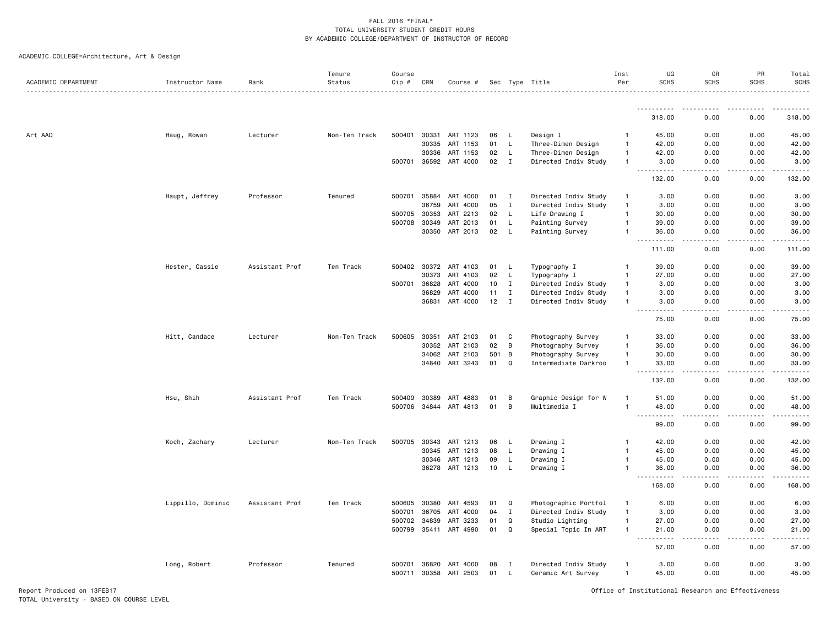ACADEMIC COLLEGE=Architecture, Art & Design

| ACADEMIC DEPARTMENT | Instructor Name   | Rank           | Tenure<br>Status | Course<br>Cip # | CRN          | Course #              |     |              | Sec Type Title       | Inst<br>Per    | UG<br><b>SCHS</b>                             | GR<br><b>SCHS</b> | PR<br><b>SCHS</b> | Total<br><b>SCHS</b> |
|---------------------|-------------------|----------------|------------------|-----------------|--------------|-----------------------|-----|--------------|----------------------|----------------|-----------------------------------------------|-------------------|-------------------|----------------------|
|                     |                   |                |                  |                 |              |                       |     |              |                      |                | .                                             |                   | .                 | .                    |
|                     |                   |                |                  |                 |              |                       |     |              |                      |                | 318.00                                        | 0.00              | 0.00              | 318.00               |
| Art AAD             | Haug, Rowan       | Lecturer       | Non-Ten Track    | 500401          | 30331        | ART 1123              | 06  | L.           | Design I             | 1              | 45.00                                         | 0.00              | 0.00              | 45.00                |
|                     |                   |                |                  |                 | 30335        | ART 1153              | 01  | L            | Three-Dimen Design   | $\overline{1}$ | 42.00                                         | 0.00              | 0.00              | 42.00                |
|                     |                   |                |                  |                 | 30336        | ART 1153              | 02  | L.           | Three-Dimen Design   | $\mathbf{1}$   | 42.00                                         | 0.00              | 0.00              | 42.00                |
|                     |                   |                |                  |                 | 500701 36592 | ART 4000              | 02  | $\mathbf{I}$ | Directed Indiv Study | $\mathbf{1}$   | 3.00<br><b></b>                               | 0.00<br>.         | 0.00<br>-----     | 3.00                 |
|                     |                   |                |                  |                 |              |                       |     |              |                      |                | 132.00                                        | 0.00              | 0.00              | 132.00               |
|                     | Haupt, Jeffrey    | Professor      | Tenured          | 500701          | 35884        | ART 4000              | 01  | $\mathbf I$  | Directed Indiv Study | $\overline{1}$ | 3.00                                          | 0.00              | 0.00              | 3.00                 |
|                     |                   |                |                  |                 | 36759        | ART 4000              | 05  | I            | Directed Indiv Study | $\mathbf{1}$   | 3.00                                          | 0.00              | 0.00              | 3.00                 |
|                     |                   |                |                  | 500705          | 30353        | ART 2213              | 02  | L.           | Life Drawing I       | 1              | 30.00                                         | 0.00              | 0.00              | 30.00                |
|                     |                   |                |                  |                 | 500708 30349 | ART 2013              | 01  | L            | Painting Survey      | $\mathbf{1}$   | 39.00                                         | 0.00              | 0.00              | 39.00                |
|                     |                   |                |                  |                 | 30350        | ART 2013              | 02  | L.           | Painting Survey      | $\mathbf{1}$   | 36.00<br>والأمام                              | 0.00              | 0.00              | 36.00                |
|                     |                   |                |                  |                 |              |                       |     |              |                      |                | 111.00                                        | 0.00              | 0.00              | 111.00               |
|                     | Hester, Cassie    | Assistant Prof | Ten Track        |                 | 500402 30372 | ART 4103              | 01  | L            | Typography I         | -1             | 39.00                                         | 0.00              | 0.00              | 39.00                |
|                     |                   |                |                  |                 | 30373        | ART 4103              | 02  | L.           | Typography I         | 1              | 27.00                                         | 0.00              | 0.00              | 27.00                |
|                     |                   |                |                  |                 | 500701 36828 | ART 4000              | 10  | $\mathbf{I}$ | Directed Indiv Study | -1             | 3.00                                          | 0.00              | 0.00              | 3.00                 |
|                     |                   |                |                  |                 | 36829        | ART 4000              | 11  | $\mathbf{I}$ | Directed Indiv Study | -1             | 3.00                                          | 0.00              | 0.00              | 3.00                 |
|                     |                   |                |                  |                 | 36831        | ART 4000              | 12  | $\mathbf{I}$ | Directed Indiv Study | $\mathbf{1}$   | 3.00<br>$\sim$ $\sim$ $\sim$<br>$\frac{1}{2}$ | 0.00              | 0.00              | 3.00                 |
|                     |                   |                |                  |                 |              |                       |     |              |                      |                | 75.00                                         | 0.00              | 0.00              | 75.00                |
|                     | Hitt, Candace     | Lecturer       | Non-Ten Track    | 500605          | 30351        | ART 2103              | 01  | C            | Photography Survey   | $\mathbf{1}$   | 33.00                                         | 0.00              | 0.00              | 33.00                |
|                     |                   |                |                  |                 | 30352        | ART 2103              | 02  | B            | Photography Survey   | $\mathbf{1}$   | 36.00                                         | 0.00              | 0.00              | 36.00                |
|                     |                   |                |                  |                 | 34062        | ART 2103              | 501 | B            | Photography Survey   | $\mathbf{1}$   | 30.00                                         | 0.00              | 0.00              | 30.00                |
|                     |                   |                |                  |                 |              | 34840 ART 3243        | 01  | Q            | Intermediate Darkroo | $\mathbf{1}$   | 33.00<br>.                                    | 0.00              | 0.00              | 33.00                |
|                     |                   |                |                  |                 |              |                       |     |              |                      |                | 132.00                                        | 0.00              | 0.00              | 132.00               |
|                     | Hsu, Shih         | Assistant Prof | Ten Track        | 500409          | 30389        | ART 4883              | 01  | В            | Graphic Design for W |                | 51.00                                         | 0.00              | 0.00              | 51.00                |
|                     |                   |                |                  |                 |              | 500706 34844 ART 4813 | 01  | B            | Multimedia I         | $\mathbf{1}$   | 48.00                                         | 0.00              | 0.00              | 48.00                |
|                     |                   |                |                  |                 |              |                       |     |              |                      |                | .<br>$\sim$ $\sim$ $\sim$<br>99.00            | .<br>0.00         | .<br>0.00         | 99.00                |
|                     |                   |                |                  |                 |              |                       |     |              |                      |                |                                               |                   |                   |                      |
|                     | Koch, Zachary     | Lecturer       | Non-Ten Track    |                 | 500705 30343 | ART 1213              | 06  | L            | Drawing I            | 1              | 42.00                                         | 0.00              | 0.00              | 42.00                |
|                     |                   |                |                  |                 | 30345        | ART 1213              | 08  | L.           | Drawing I            | 1              | 45.00                                         | 0.00              | 0.00              | 45.00                |
|                     |                   |                |                  |                 | 30346        | ART 1213              | 09  | L.           | Drawing I            | 1              | 45.00                                         | 0.00              | 0.00              | 45.00                |
|                     |                   |                |                  |                 |              | 36278 ART 1213        | 10  | L.           | Drawing I            | 1              | 36.00<br>$\sim$ $\sim$ $\sim$<br>د د د د د    | 0.00              | 0.00              | 36.00                |
|                     |                   |                |                  |                 |              |                       |     |              |                      |                | 168.00                                        | 0.00              | 0.00              | 168.00               |
|                     | Lippillo, Dominic | Assistant Prof | Ten Track        |                 | 500605 30380 | ART 4593              | 01  | Q            | Photographic Portfol | -1             | 6.00                                          | 0.00              | 0.00              | 6.00                 |
|                     |                   |                |                  | 500701          | 36705        | ART 4000              | 04  | $\mathbf I$  | Directed Indiv Study | $\overline{1}$ | 3.00                                          | 0.00              | 0.00              | 3.00                 |
|                     |                   |                |                  |                 | 500702 34839 | ART 3233              | 01  | Q            | Studio Lighting      | $\mathbf{1}$   | 27.00                                         | 0.00              | 0.00              | 27.00                |
|                     |                   |                |                  |                 |              | 500799 35411 ART 4990 | 01  | Q            | Special Topic In ART | $\mathbf{1}$   | 21.00<br>د د د د<br>$\sim$ $\sim$ $\sim$      | 0.00<br>$- - -$   | 0.00              | 21.00                |
|                     |                   |                |                  |                 |              |                       |     |              |                      |                | 57.00                                         | 0.00              | 0.00              | 57.00                |
|                     | Long, Robert      | Professor      | Tenured          | 500701          | 36820        | ART 4000              | 08  | I            | Directed Indiv Study | $\mathbf{1}$   | 3.00                                          | 0.00              | 0.00              | 3.00                 |
|                     |                   |                |                  |                 | 500711 30358 | ART 2503              | 01  | L            | Ceramic Art Survey   | $\mathbf{1}$   | 45.00                                         | 0.00              | 0.00              | 45.00                |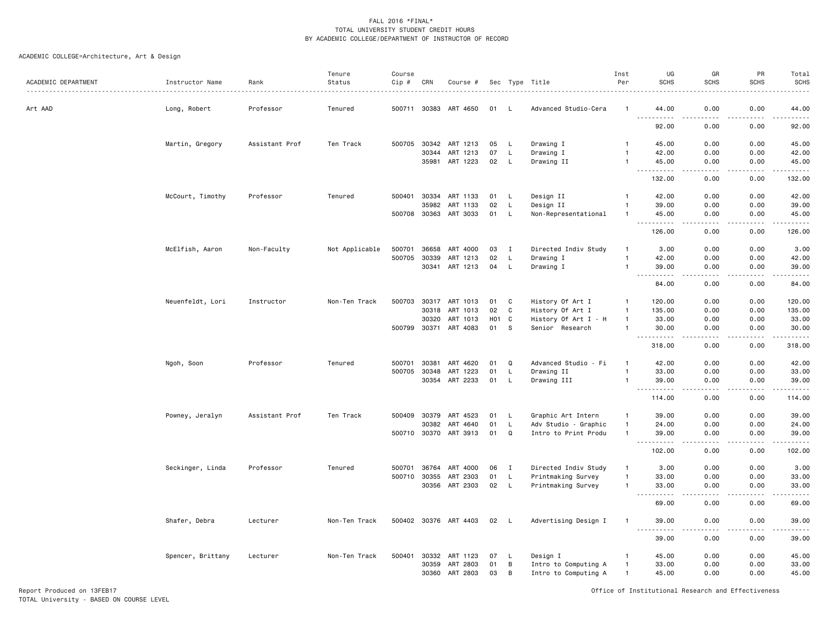# ACADEMIC COLLEGE=Architecture, Art & Design

| ACADEMIC DEPARTMENT | Instructor Name   | Rank           | Tenure<br>Status | Course<br>$Cip$ # | CRN          | Course #              |            |              | Sec Type Title       | Inst<br>Per    | UG<br><b>SCHS</b>             | GR<br><b>SCHS</b>     | PR<br><b>SCHS</b>                   | Total<br><b>SCHS</b>                                                                                                                                          |
|---------------------|-------------------|----------------|------------------|-------------------|--------------|-----------------------|------------|--------------|----------------------|----------------|-------------------------------|-----------------------|-------------------------------------|---------------------------------------------------------------------------------------------------------------------------------------------------------------|
| Art AAD             | Long, Robert      | Professor      | Tenured          |                   | 500711 30383 | ART 4650              | 01         |              | Advanced Studio-Cera |                | 44.00                         | 0.00                  | 0.00                                | 44.00                                                                                                                                                         |
|                     |                   |                |                  |                   |              |                       |            |              |                      |                | $- - -$<br>.<br>92.00         | 0.00                  | 0.00                                | $\cdots$<br>92.00                                                                                                                                             |
|                     | Martin, Gregory   | Assistant Prof | Ten Track        | 500705            | 30342        | ART 1213              | 05         | L            | Drawing I            |                | 45.00                         | 0.00                  | 0.00                                | 45.00                                                                                                                                                         |
|                     |                   |                |                  |                   | 30344        | ART 1213              | 07         | L            | Drawing I            | $\mathbf{1}$   | 42.00                         | 0.00                  | 0.00                                | 42.00                                                                                                                                                         |
|                     |                   |                |                  |                   | 35981        | ART 1223              | 02         | L            | Drawing II           | $\mathbf{1}$   | 45.00<br>.                    | 0.00<br>$\frac{1}{2}$ | 0.00<br>.                           | 45.00<br>.                                                                                                                                                    |
|                     |                   |                |                  |                   |              |                       |            |              |                      |                | 132.00                        | 0.00                  | 0.00                                | 132.00                                                                                                                                                        |
|                     | McCourt, Timothy  | Professor      | Tenured          | 500401            | 30334        | ART 1133              | 01         | L            | Design II            | $\overline{1}$ | 42.00                         | 0.00                  | 0.00                                | 42.00                                                                                                                                                         |
|                     |                   |                |                  |                   | 35982        | ART 1133              | 02         | L            | Design II            | $\mathbf{1}$   | 39.00                         | 0.00                  | 0.00                                | 39.00                                                                                                                                                         |
|                     |                   |                |                  | 500708            | 30363        | ART 3033              | 01         | L            | Non-Representational | $\overline{1}$ | 45.00                         | 0.00                  | 0.00                                | 45.00<br>$\frac{1}{2} \left( \frac{1}{2} \right) \left( \frac{1}{2} \right) \left( \frac{1}{2} \right) \left( \frac{1}{2} \right) \left( \frac{1}{2} \right)$ |
|                     |                   |                |                  |                   |              |                       |            |              |                      |                | 126.00                        | 0.00                  | 0.00                                | 126.00                                                                                                                                                        |
|                     | McElfish, Aaron   | Non-Faculty    | Not Applicable   | 500701            | 36658        | ART 4000              | 03         | $\mathbf{I}$ | Directed Indiv Study | $\mathbf{1}$   | 3.00                          | 0.00                  | 0.00                                | 3.00                                                                                                                                                          |
|                     |                   |                |                  | 500705            | 30339        | ART 1213              | 02         | L.           | Drawing I            | $\overline{1}$ | 42.00                         | 0.00                  | 0.00                                | 42.00                                                                                                                                                         |
|                     |                   |                |                  |                   | 30341        | ART 1213              | 04         | L            | Drawing I            | $\mathbf{1}$   | 39.00<br>.                    | 0.00                  | 0.00<br>.                           | 39.00<br>د د د د د                                                                                                                                            |
|                     |                   |                |                  |                   |              |                       |            |              |                      |                | 84.00                         | 0.00                  | 0.00                                | 84.00                                                                                                                                                         |
|                     | Neuenfeldt, Lori  | Instructor     | Non-Ten Track    | 500703            | 30317        | ART 1013              | 01         | C            | History Of Art I     | $\mathbf{1}$   | 120.00                        | 0.00                  | 0.00                                | 120.00                                                                                                                                                        |
|                     |                   |                |                  |                   | 30318        | ART 1013              | 02         | C            | History Of Art I     | $\overline{1}$ | 135.00                        | 0.00                  | 0.00                                | 135.00                                                                                                                                                        |
|                     |                   |                |                  |                   | 30320        | ART 1013              | <b>HO1</b> | C            | History Of Art I - H | $\overline{1}$ | 33.00                         | 0.00                  | 0.00                                | 33.00                                                                                                                                                         |
|                     |                   |                |                  | 500799            | 30371        | ART 4083              | 01         | S            | Senior Research      | $\mathbf{1}$   | 30.00                         | 0.00                  | 0.00                                | 30.00<br>.                                                                                                                                                    |
|                     |                   |                |                  |                   |              |                       |            |              |                      |                | 318.00                        | 0.00                  | 0.00                                | 318.00                                                                                                                                                        |
|                     | Ngoh, Soon        | Professor      | Tenured          | 500701            | 30381        | ART 4620              | 01         | Q            | Advanced Studio - Fi | $\mathbf{1}$   | 42.00                         | 0.00                  | 0.00                                | 42.00                                                                                                                                                         |
|                     |                   |                |                  | 500705            | 30348        | ART 1223              | 01         | L            | Drawing II           |                | 33.00                         | 0.00                  | 0.00                                | 33.00                                                                                                                                                         |
|                     |                   |                |                  |                   | 30354        | ART 2233              | 01         | L            | Drawing III          | $\mathbf{1}$   | 39.00<br>-----                | 0.00<br>.             | 0.00<br>$\sim$ $\sim$ $\sim$ $\sim$ | 39.00<br>.                                                                                                                                                    |
|                     |                   |                |                  |                   |              |                       |            |              |                      |                | 114.00                        | 0.00                  | 0.00                                | 114.00                                                                                                                                                        |
|                     | Powney, Jeralyn   | Assistant Prof | Ten Track        | 500409            | 30379        | ART 4523              | 01         | L.           | Graphic Art Intern   | $\mathbf{1}$   | 39.00                         | 0.00                  | 0.00                                | 39.00                                                                                                                                                         |
|                     |                   |                |                  |                   | 30382        | ART 4640              | 01         | L.           | Adv Studio - Graphic | $\overline{1}$ | 24.00                         | 0.00                  | 0.00                                | 24.00                                                                                                                                                         |
|                     |                   |                |                  |                   |              | 500710 30370 ART 3913 | 01         | $\mathsf Q$  | Intro to Print Produ | $\mathbf{1}$   | 39.00<br>.<br>$- - -$         | 0.00<br>$   -$        | 0.00<br>.                           | 39.00<br>.                                                                                                                                                    |
|                     |                   |                |                  |                   |              |                       |            |              |                      |                | 102.00                        | 0.00                  | 0.00                                | 102.00                                                                                                                                                        |
|                     | Seckinger, Linda  | Professor      | Tenured          | 500701            | 36764        | ART 4000              | 06         | $\mathbf{I}$ | Directed Indiv Study | $\overline{1}$ | 3.00                          | 0.00                  | 0.00                                | 3.00                                                                                                                                                          |
|                     |                   |                |                  | 500710            | 30355        | ART 2303              | 01         | L.           | Printmaking Survey   | $\overline{1}$ | 33.00                         | 0.00                  | 0.00                                | 33.00                                                                                                                                                         |
|                     |                   |                |                  |                   |              | 30356 ART 2303        | 02         | $\mathsf{L}$ | Printmaking Survey   | $\mathbf{1}$   | 33.00<br>.                    | 0.00<br>.             | 0.00<br>$- - - -$                   | 33.00<br>$- - - - -$                                                                                                                                          |
|                     |                   |                |                  |                   |              |                       |            |              |                      |                | 69.00                         | 0.00                  | 0.00                                | 69.00                                                                                                                                                         |
|                     | Shafer, Debra     | Lecturer       | Non-Ten Track    |                   |              | 500402 30376 ART 4403 | 02         | - L          | Advertising Design I |                | 39.00<br>$\sim$ $\sim$ $\sim$ | 0.00                  | 0.00<br>$\sim$ $\sim$ $\sim$ $\sim$ | 39.00<br>وبالمستريث                                                                                                                                           |
|                     |                   |                |                  |                   |              |                       |            |              |                      |                | 39.00                         | 0.00                  | 0.00                                | 39.00                                                                                                                                                         |
|                     | Spencer, Brittany | Lecturer       | Non-Ten Track    | 500401            | 30332        | ART 1123              | 07         | - L          | Design I             |                | 45.00                         | 0.00                  | 0.00                                | 45.00                                                                                                                                                         |
|                     |                   |                |                  |                   | 30359        | ART 2803              | 01         | B            | Intro to Computing A | $\overline{1}$ | 33.00                         | 0.00                  | 0.00                                | 33.00                                                                                                                                                         |
|                     |                   |                |                  |                   | 30360        | ART 2803              | 03         | B            | Intro to Computing A | $\mathbf{1}$   | 45.00                         | 0.00                  | 0.00                                | 45.00                                                                                                                                                         |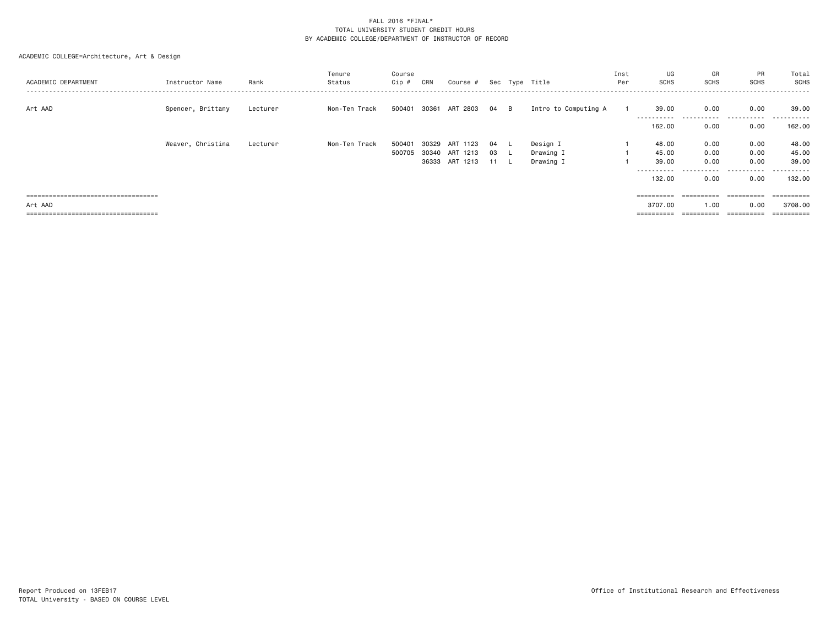| ACADEMIC DEPARTMENT                   | Instructor Name   | Rank     | Tenure<br>Status | Course<br>Cip # | CRN   | Course #       |      | Sec Type Title       | Inst<br>Per | UG<br><b>SCHS</b>   | GR<br><b>SCHS</b>  | PR<br>SCHS  | Total<br>SCHS    |
|---------------------------------------|-------------------|----------|------------------|-----------------|-------|----------------|------|----------------------|-------------|---------------------|--------------------|-------------|------------------|
| Art AAD                               | Spencer, Brittany | Lecturer | Non-Ten Track    | 500401          |       | 30361 ART 2803 | 04 B | Intro to Computing A |             | 39.00<br>---------- | 0.00<br>---------- | 0.00<br>.   | 39.00<br>------- |
|                                       |                   |          |                  |                 |       |                |      |                      |             | 162.00              | 0.00               | 0.00        | 162.00           |
|                                       | Weaver, Christina | Lecturer | Non-Ten Track    | 500401          | 30329 | ART 1123       | 04   | Design I             |             | 48.00               | 0.00               | 0.00        | 48.00            |
|                                       |                   |          |                  | 500705          | 30340 | ART 1213       | 03   | Drawing I            |             | 45.00               | 0.00               | 0.00        | 45.00            |
|                                       |                   |          |                  |                 |       | 36333 ART 1213 | 11   | Drawing I            |             | 39.00               | 0.00               | 0.00        | 39.00            |
|                                       |                   |          |                  |                 |       |                |      |                      |             | ----------          | ------             | .           | . <u>.</u> .     |
|                                       |                   |          |                  |                 |       |                |      |                      |             | 132.00              | 0.00               | 0.00        | 132.00           |
| ===================================== |                   |          |                  |                 |       |                |      |                      |             | ==========          | ==========         | ----------- | ----------       |
| Art AAD                               |                   |          |                  |                 |       |                |      |                      |             | 3707.00             | 1.00               | 0.00        | 3708.00          |
| ===================================   |                   |          |                  |                 |       |                |      |                      |             |                     | ==========         | eessesses   | ==========       |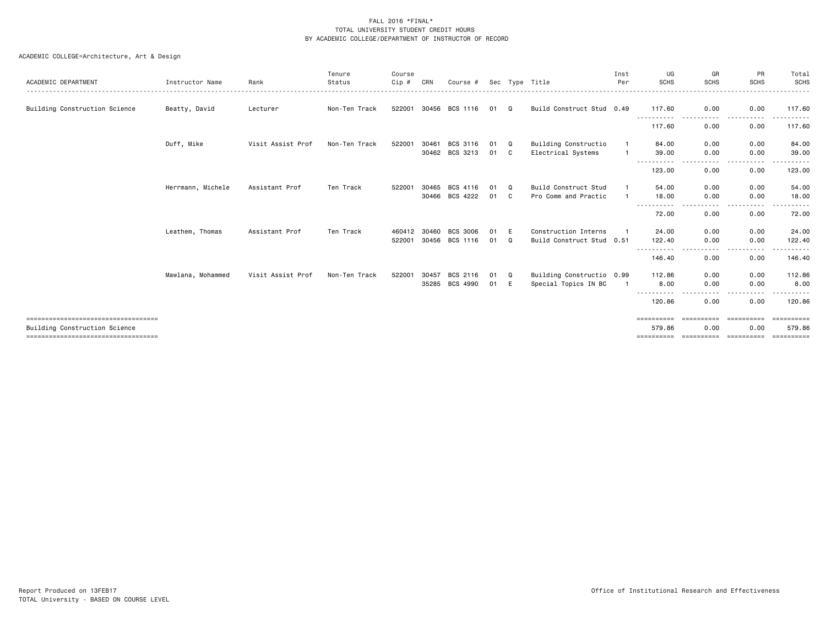| ACADEMIC DEPARTMENT                                                   | Instructor Name   | Rank              | Tenure<br>Status | Course<br>Cip # | CRN   | Course #       |    |    | Sec Type Title            | Inst<br>Per | UG<br><b>SCHS</b>             | GR<br><b>SCHS</b>  | PR<br><b>SCHS</b>    | Total<br>SCHS<br>.     |
|-----------------------------------------------------------------------|-------------------|-------------------|------------------|-----------------|-------|----------------|----|----|---------------------------|-------------|-------------------------------|--------------------|----------------------|------------------------|
| Building Construction Science                                         | Beatty, David     | Lecturer          | Non-Ten Track    | 522001          | 30456 | BCS 1116       | 01 | Q  | Build Construct Stud 0.49 |             | 117.60<br>-----------         | 0.00               | 0.00<br>. <u>.</u> . | 117.60                 |
|                                                                       |                   |                   |                  |                 |       |                |    |    |                           |             | 117.60                        | 0.00               | 0.00                 | 117.60                 |
|                                                                       | Duff, Mike        | Visit Assist Prof | Non-Ten Track    | 522001          | 30461 | BCS 3116       | 01 | Q  | Building Constructio      |             | 84.00                         | 0.00               | 0.00                 | 84.00                  |
|                                                                       |                   |                   |                  |                 | 30462 | BCS 3213       | 01 | C. | Electrical Systems        |             | 39.00                         | 0.00               | 0.00                 | 39.00                  |
|                                                                       |                   |                   |                  |                 |       |                |    |    |                           |             | 123.00                        | 0.00               | 0.00                 | 123.00                 |
|                                                                       | Herrmann, Michele | Assistant Prof    | Ten Track        | 522001          | 30465 | BCS 4116       | 01 | Q  | Build Construct Stud      |             | 54.00                         | 0.00               | 0.00                 | 54.00                  |
|                                                                       |                   |                   |                  |                 |       | 30466 BCS 4222 | 01 | C  | Pro Comm and Practic      |             | 18.00<br>.                    | 0.00               | 0.00<br>----         | 18.00                  |
|                                                                       |                   |                   |                  |                 |       |                |    |    |                           |             | 72.00                         | 0.00               | 0.00                 | 72.00                  |
|                                                                       | Leathem, Thomas   | Assistant Prof    | Ten Track        | 460412          | 30460 | BCS 3006       | 01 | E  | Construction Interns      |             | 24.00                         | 0.00               | 0.00                 | 24.00                  |
|                                                                       |                   |                   |                  | 522001          | 30456 | BCS 1116       | 01 | Q  | Build Construct Stud 0.51 |             | 122.40                        | 0.00               | 0.00                 | 122.40                 |
|                                                                       |                   |                   |                  |                 |       |                |    |    |                           |             | - - - - - - - - - -<br>146.40 | - - - -<br>0.00    | ----<br>0.00         | . <u>.</u> .<br>146.40 |
|                                                                       | Mawlana, Mohammed | Visit Assist Prof | Non-Ten Track    | 522001          | 30457 | BCS 2116       | 01 | Q  | Building Constructio 0.99 |             | 112,86                        | 0.00               | 0.00                 | 112.86                 |
|                                                                       |                   |                   |                  |                 | 35285 | BCS 4990       | 01 | E  | Special Topics IN BC      |             | 8.00                          | 0.00<br>----       | 0.00<br>.            | 8.00<br>.              |
|                                                                       |                   |                   |                  |                 |       |                |    |    |                           |             | 120.86                        | 0.00               | 0.00                 | 120.86                 |
| ====================================<br>Building Construction Science |                   |                   |                  |                 |       |                |    |    |                           |             | ==========<br>579.86          | ==========<br>0.00 | ==========<br>0.00   | ==========<br>579.86   |
| ====================================                                  |                   |                   |                  |                 |       |                |    |    |                           |             | $=$ = = = = = = = = =         | ==========         | ==========           | ==========             |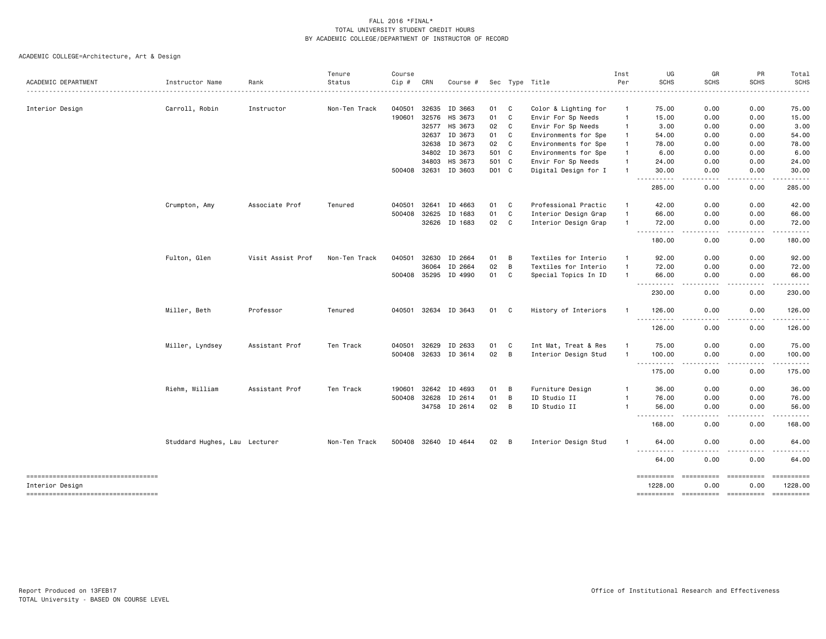|                                                       |                               |                   | Tenure        | Course |              |                      |       |                |                      | Inst         | UG                     | GR                                                                                                     | PR          | Total                 |
|-------------------------------------------------------|-------------------------------|-------------------|---------------|--------|--------------|----------------------|-------|----------------|----------------------|--------------|------------------------|--------------------------------------------------------------------------------------------------------|-------------|-----------------------|
| ACADEMIC DEPARTMENT                                   | Instructor Name               | Rank              | Status        | Cip #  | CRN          | Course #             |       |                | Sec Type Title       | Per          | <b>SCHS</b>            | <b>SCHS</b>                                                                                            | <b>SCHS</b> | <b>SCHS</b>           |
| Interior Design                                       | Carroll, Robin                | Instructor        | Non-Ten Track | 040501 | 32635        | ID 3663              | 01    | C              | Color & Lighting for | $\mathbf{1}$ | 75.00                  | 0.00                                                                                                   | 0.00        | 75.00                 |
|                                                       |                               |                   |               | 190601 | 32576        | HS 3673              | 01    | C              | Envir For Sp Needs   | $\mathbf{1}$ | 15.00                  | 0.00                                                                                                   | 0.00        | 15.00                 |
|                                                       |                               |                   |               |        | 32577        | HS 3673              | 02    | C              | Envir For Sp Needs   | $\mathbf{1}$ | 3.00                   | 0.00                                                                                                   | 0.00        | 3.00                  |
|                                                       |                               |                   |               |        | 32637        | ID 3673              | 01    | C              | Environments for Spe | -1           | 54.00                  | 0.00                                                                                                   | 0.00        | 54.00                 |
|                                                       |                               |                   |               |        | 32638        | ID 3673              | 02    | C              | Environments for Spe |              | 78.00                  | 0.00                                                                                                   | 0.00        | 78.00                 |
|                                                       |                               |                   |               |        | 34802        | ID 3673              | 501 C |                | Environments for Spe |              | 6.00                   | 0.00                                                                                                   | 0.00        | 6.00                  |
|                                                       |                               |                   |               |        | 34803        | HS 3673              | 501 C |                | Envir For Sp Needs   |              | 24.00                  | 0.00                                                                                                   | 0.00        | 24.00                 |
|                                                       |                               |                   |               |        | 500408 32631 | ID 3603              | D01 C |                | Digital Design for I |              | 30.00                  | 0.00                                                                                                   | 0.00        | 30.00                 |
|                                                       |                               |                   |               |        |              |                      |       |                |                      |              | .<br>285.00            | 0.00                                                                                                   | 0.00        | 285.00                |
|                                                       | Crumpton, Amy                 | Associate Prof    | Tenured       | 040501 | 32641        | ID 4663              | 01    | C              | Professional Practic |              | 42.00                  | 0.00                                                                                                   | 0.00        | 42.00                 |
|                                                       |                               |                   |               | 500408 | 32625        | ID 1683              | 01    | C              | Interior Design Grap |              | 66.00                  | 0.00                                                                                                   | 0.00        | 66.00                 |
|                                                       |                               |                   |               |        | 32626        | ID 1683              | 02    | C              | Interior Design Grap |              | 72.00                  | 0.00                                                                                                   | 0.00        | 72.00                 |
|                                                       |                               |                   |               |        |              |                      |       |                |                      |              | .<br>180.00            | .<br>0.00                                                                                              | .<br>0.00   | .<br>180.00           |
|                                                       | Fulton, Glen                  | Visit Assist Prof | Non-Ten Track | 040501 | 32630        | ID 2664              | 01    | B              | Textiles for Interio | -1           | 92.00                  | 0.00                                                                                                   | 0.00        | 92.00                 |
|                                                       |                               |                   |               |        | 36064        | ID 2664              | 02    | B              | Textiles for Interio |              | 72.00                  | 0.00                                                                                                   | 0.00        | 72.00                 |
|                                                       |                               |                   |               |        | 500408 35295 | ID 4990              | 01    | C              | Special Topics In ID | $\mathbf{1}$ | 66.00<br><u>.</u>      | 0.00<br>. <b>.</b> .                                                                                   | 0.00        | 66.00<br>.            |
|                                                       |                               |                   |               |        |              |                      |       |                |                      |              | 230.00                 | 0.00                                                                                                   | 0.00        | 230.00                |
|                                                       | Miller, Beth                  | Professor         | Tenured       |        |              | 040501 32634 ID 3643 | 01    | C              | History of Interiors |              | 126.00<br>----------   | 0.00<br>$\frac{1}{2} \left( \frac{1}{2} \right) \left( \frac{1}{2} \right) \left( \frac{1}{2} \right)$ | 0.00        | 126.00<br>.           |
|                                                       |                               |                   |               |        |              |                      |       |                |                      |              | 126.00                 | 0.00                                                                                                   | 0.00        | 126.00                |
|                                                       | Miller, Lyndsey               | Assistant Prof    | Ten Track     | 040501 | 32629        | ID 2633              | 01    | C              | Int Mat, Treat & Res | $\mathbf{1}$ | 75.00                  | 0.00                                                                                                   | 0.00        | 75.00                 |
|                                                       |                               |                   |               |        | 500408 32633 | ID 3614              | 02    | $\overline{B}$ | Interior Design Stud | $\mathbf{1}$ | 100.00                 | 0.00                                                                                                   | 0.00        | 100.00                |
|                                                       |                               |                   |               |        |              |                      |       |                |                      |              | .                      |                                                                                                        |             |                       |
|                                                       |                               |                   |               |        |              |                      |       |                |                      |              | 175.00                 | 0.00                                                                                                   | 0.00        | 175.00                |
|                                                       | Riehm, William                | Assistant Prof    | Ten Track     | 190601 | 32642        | ID 4693              | 01    | B              | Furniture Design     | $\mathbf{1}$ | 36.00                  | 0.00                                                                                                   | 0.00        | 36.00                 |
|                                                       |                               |                   |               |        | 500408 32628 | ID 2614              | 01    | B              | ID Studio II         | $\mathbf{1}$ | 76.00                  | 0.00                                                                                                   | 0.00        | 76.00                 |
|                                                       |                               |                   |               |        | 34758        | ID 2614              | 02    | B              | ID Studio II         | -1           | 56.00<br>$  -$<br>---- | 0.00                                                                                                   | 0.00        | 56.00                 |
|                                                       |                               |                   |               |        |              |                      |       |                |                      |              | 168.00                 | 0.00                                                                                                   | 0.00        | 168.00                |
|                                                       | Studdard Hughes, Lau Lecturer |                   | Non-Ten Track |        |              | 500408 32640 ID 4644 | 02    | $\overline{B}$ | Interior Design Stud | $\mathbf{1}$ | 64.00                  | 0.00                                                                                                   | 0.00        | 64.00                 |
|                                                       |                               |                   |               |        |              |                      |       |                |                      |              | .<br>64.00             | 0.00                                                                                                   | 0.00        | 64.00                 |
| ----------------------------------                    |                               |                   |               |        |              |                      |       |                |                      |              | ==========             | ==========                                                                                             |             | ==========            |
| Interior Design<br>---------------------------------- |                               |                   |               |        |              |                      |       |                |                      |              | 1228.00<br>==========  | 0.00<br>=====================                                                                          | 0.00        | 1228.00<br>========== |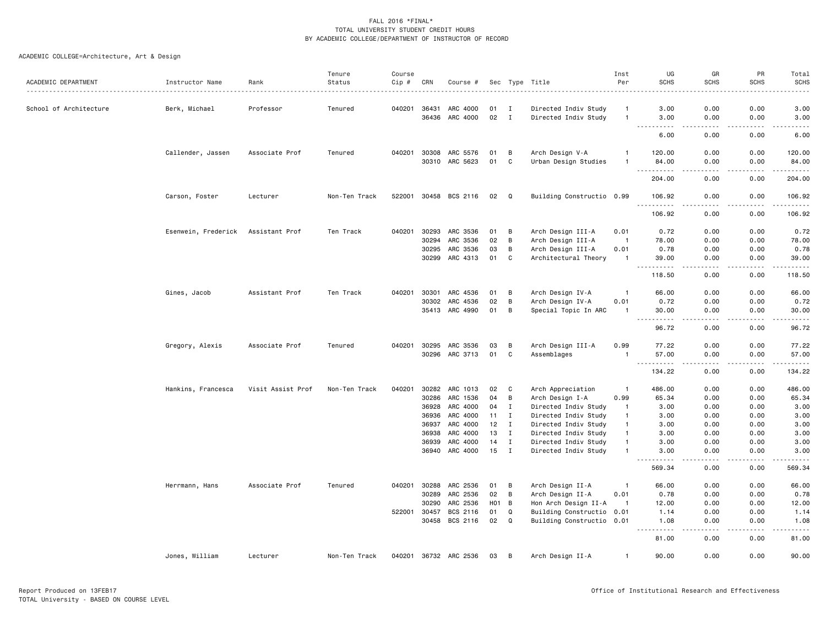| ACADEMIC DEPARTMENT    | Instructor Name     | Rank              | Tenure<br>Status | Course<br>Cip # | CRN            | Course #              |                 |                             | Sec Type Title                               | Inst<br>Per                    | UG<br><b>SCHS</b>                                                                                                                      | GR<br><b>SCHS</b>                                                                                                                 | PR<br><b>SCHS</b>            | Total<br><b>SCHS</b>                                                                                                                                         |
|------------------------|---------------------|-------------------|------------------|-----------------|----------------|-----------------------|-----------------|-----------------------------|----------------------------------------------|--------------------------------|----------------------------------------------------------------------------------------------------------------------------------------|-----------------------------------------------------------------------------------------------------------------------------------|------------------------------|--------------------------------------------------------------------------------------------------------------------------------------------------------------|
|                        |                     |                   |                  |                 |                |                       |                 |                             |                                              |                                |                                                                                                                                        |                                                                                                                                   |                              | $\frac{1}{2}$                                                                                                                                                |
| School of Architecture | Berk, Michael       | Professor         | Tenured          | 040201          | 36431          | ARC 4000              | 01              | I                           | Directed Indiv Study                         | $\overline{1}$                 | 3.00                                                                                                                                   | 0.00                                                                                                                              | 0.00                         | 3.00                                                                                                                                                         |
|                        |                     |                   |                  |                 | 36436          | ARC 4000              | 02              | $\mathbf{I}$                | Directed Indiv Study                         | $\mathbf{1}$                   | 3.00                                                                                                                                   | 0.00<br>$- - - -$                                                                                                                 | 0.00<br>.                    | 3.00<br>$\frac{1}{2} \left( \frac{1}{2} \right) \left( \frac{1}{2} \right) \left( \frac{1}{2} \right) \left( \frac{1}{2} \right) \left( \frac{1}{2} \right)$ |
|                        |                     |                   |                  |                 |                |                       |                 |                             |                                              |                                | 6.00                                                                                                                                   | 0.00                                                                                                                              | 0.00                         | 6.00                                                                                                                                                         |
|                        | Callender, Jassen   | Associate Prof    | Tenured          | 040201          | 30308          | ARC 5576              | 01              | В                           | Arch Design V-A                              | $\mathbf{1}$                   | 120.00                                                                                                                                 | 0.00                                                                                                                              | 0.00                         | 120.00                                                                                                                                                       |
|                        |                     |                   |                  |                 | 30310          | ARC 5623              | 01              | C                           | Urban Design Studies                         | $\overline{1}$                 | 84.00<br>.<br>$\sim$ $\sim$ $\sim$                                                                                                     | 0.00<br>$- - -$                                                                                                                   | 0.00<br>.                    | 84.00<br>.                                                                                                                                                   |
|                        |                     |                   |                  |                 |                |                       |                 |                             |                                              |                                | 204.00                                                                                                                                 | 0.00                                                                                                                              | 0.00                         | 204.00                                                                                                                                                       |
|                        | Carson, Foster      | Lecturer          | Non-Ten Track    |                 |                | 522001 30458 BCS 2116 | 02              | Q                           | Building Constructio 0.99                    |                                | 106.92<br><u>.</u>                                                                                                                     | 0.00<br>$\frac{1}{2}$                                                                                                             | 0.00<br>.                    | 106.92<br>. <u>.</u> .                                                                                                                                       |
|                        |                     |                   |                  |                 |                |                       |                 |                             |                                              |                                | 106.92                                                                                                                                 | 0.00                                                                                                                              | 0.00                         | 106.92                                                                                                                                                       |
|                        | Esenwein, Frederick | Assistant Prof    | Ten Track        | 040201          | 30293          | ARC 3536              | 01              | В                           | Arch Design III-A                            | 0.01                           | 0.72                                                                                                                                   | 0.00                                                                                                                              | 0.00                         | 0.72                                                                                                                                                         |
|                        |                     |                   |                  |                 | 30294          | ARC 3536              | 02              | B                           | Arch Design III-A                            | $\overline{1}$                 | 78.00                                                                                                                                  | 0.00                                                                                                                              | 0.00                         | 78.00                                                                                                                                                        |
|                        |                     |                   |                  |                 | 30295          | ARC 3536              | 03              | B                           | Arch Design III-A                            | 0.01                           | 0.78                                                                                                                                   | 0.00                                                                                                                              | 0.00                         | 0.78                                                                                                                                                         |
|                        |                     |                   |                  |                 | 30299          | ARC 4313              | 01              | C                           | Architectural Theory                         | -1                             | 39.00                                                                                                                                  | 0.00<br>- - - -                                                                                                                   | 0.00<br>بالمستعاد            | 39.00<br>.                                                                                                                                                   |
|                        |                     |                   |                  |                 |                |                       |                 |                             |                                              |                                | 118.50                                                                                                                                 | 0.00                                                                                                                              | 0.00                         | 118.50                                                                                                                                                       |
|                        | Gines, Jacob        | Assistant Prof    | Ten Track        | 040201          | 30301          | ARC 4536              | 01              | В                           | Arch Design IV-A                             | -1                             | 66.00                                                                                                                                  | 0.00                                                                                                                              | 0.00                         | 66.00                                                                                                                                                        |
|                        |                     |                   |                  |                 | 30302          | ARC 4536              | 02              | B                           | Arch Design IV-A                             | 0.01                           | 0.72                                                                                                                                   | 0.00                                                                                                                              | 0.00                         | 0.72                                                                                                                                                         |
|                        |                     |                   |                  |                 |                | 35413 ARC 4990        | 01              | B                           | Special Topic In ARC                         | -1                             | 30.00<br>$\sim$ $\sim$ .<br>د د د د                                                                                                    | 0.00<br>.                                                                                                                         | 0.00<br>$\sim$ $\sim$ $\sim$ | 30.00<br>$    -$                                                                                                                                             |
|                        |                     |                   |                  |                 |                |                       |                 |                             |                                              |                                | 96.72                                                                                                                                  | 0.00                                                                                                                              | 0.00                         | 96.72                                                                                                                                                        |
|                        | Gregory, Alexis     | Associate Prof    | Tenured          | 040201          | 30295          | ARC 3536              | 03              | B                           | Arch Design III-A                            | 0.99                           | 77.22                                                                                                                                  | 0.00                                                                                                                              | 0.00                         | 77.22                                                                                                                                                        |
|                        |                     |                   |                  |                 |                | 30296 ARC 3713        | 01              | C                           | Assemblages                                  | $\overline{1}$                 | 57.00                                                                                                                                  | 0.00                                                                                                                              | 0.00                         | 57.00                                                                                                                                                        |
|                        |                     |                   |                  |                 |                |                       |                 |                             |                                              |                                | $\sim$ $\sim$ $\sim$<br>.<br>134.22                                                                                                    | $\frac{1}{2}$<br>0.00                                                                                                             | .<br>0.00                    | .<br>134.22                                                                                                                                                  |
|                        |                     |                   |                  |                 |                |                       |                 |                             |                                              |                                |                                                                                                                                        |                                                                                                                                   |                              |                                                                                                                                                              |
|                        | Hankins, Francesca  | Visit Assist Prof | Non-Ten Track    | 040201          | 30282          | ARC 1013              | 02              | C                           | Arch Appreciation                            | $\overline{1}$                 | 486.00                                                                                                                                 | 0.00                                                                                                                              | 0.00                         | 486.00                                                                                                                                                       |
|                        |                     |                   |                  |                 | 30286          | ARC 1536              | 04              | B                           | Arch Design I-A                              | 0.99                           | 65.34                                                                                                                                  | 0.00                                                                                                                              | 0.00                         | 65.34                                                                                                                                                        |
|                        |                     |                   |                  |                 | 36928          | ARC 4000              | 04              | $\mathbf I$                 | Directed Indiv Study                         | -1                             | 3.00                                                                                                                                   | 0.00                                                                                                                              | 0.00                         | 3.00                                                                                                                                                         |
|                        |                     |                   |                  |                 | 36936          | ARC 4000              | 11              | Ι.                          | Directed Indiv Study                         | $\overline{1}$                 | 3.00                                                                                                                                   | 0.00                                                                                                                              | 0.00                         | 3.00                                                                                                                                                         |
|                        |                     |                   |                  |                 | 36937          | ARC 4000              | 12              | $\mathbf I$                 | Directed Indiv Study                         | $\mathbf{1}$                   | 3.00                                                                                                                                   | 0.00                                                                                                                              | 0.00                         | 3.00                                                                                                                                                         |
|                        |                     |                   |                  |                 | 36938          | ARC 4000              | 13              | I                           | Directed Indiv Study                         | $\mathbf{1}$<br>$\overline{1}$ | 3.00                                                                                                                                   | 0.00                                                                                                                              | 0.00                         | 3.00                                                                                                                                                         |
|                        |                     |                   |                  |                 | 36939<br>36940 | ARC 4000<br>ARC 4000  | 14<br>15        | $\mathbf{I}$<br>$\mathbf I$ | Directed Indiv Study<br>Directed Indiv Study | $\overline{1}$                 | 3.00<br>3.00                                                                                                                           | 0.00<br>0.00                                                                                                                      | 0.00<br>0.00                 | 3.00<br>3.00                                                                                                                                                 |
|                        |                     |                   |                  |                 |                |                       |                 |                             |                                              |                                | 569.34                                                                                                                                 | 0.00                                                                                                                              | 0.00                         | 569.34                                                                                                                                                       |
|                        |                     |                   |                  |                 |                |                       |                 |                             |                                              |                                |                                                                                                                                        |                                                                                                                                   |                              |                                                                                                                                                              |
|                        | Herrmann, Hans      | Associate Prof    | Tenured          | 040201          | 30288          | ARC 2536              | 01              | B                           | Arch Design II-A                             | $\mathbf{1}$                   | 66.00                                                                                                                                  | 0.00                                                                                                                              | 0.00                         | 66.00                                                                                                                                                        |
|                        |                     |                   |                  |                 | 30289          | ARC 2536              | 02              | B                           | Arch Design II-A                             | 0.01                           | 0.78                                                                                                                                   | 0.00                                                                                                                              | 0.00                         | 0.78                                                                                                                                                         |
|                        |                     |                   |                  |                 | 30290          | ARC 2536              | HO <sub>1</sub> | $\overline{B}$              | Hon Arch Design II-A                         | - 1                            | 12.00                                                                                                                                  | 0.00                                                                                                                              | 0.00                         | 12.00                                                                                                                                                        |
|                        |                     |                   |                  | 522001          | 30457          | BCS 2116              | 01              | Q                           | Building Constructio 0.01                    |                                | 1.14                                                                                                                                   | 0.00                                                                                                                              | 0.00                         | 1.14                                                                                                                                                         |
|                        |                     |                   |                  |                 | 30458          | BCS 2116              | 02              | Q                           | Building Constructio 0.01                    |                                | 1.08<br>$\frac{1}{2} \left( \frac{1}{2} \right) \left( \frac{1}{2} \right) \left( \frac{1}{2} \right) \left( \frac{1}{2} \right)$<br>. | 0.00<br>$\frac{1}{2} \left( \frac{1}{2} \right) \left( \frac{1}{2} \right) \left( \frac{1}{2} \right) \left( \frac{1}{2} \right)$ | 0.00<br>.                    | 1.08<br>.                                                                                                                                                    |
|                        |                     |                   |                  |                 |                |                       |                 |                             |                                              |                                | 81.00                                                                                                                                  | 0.00                                                                                                                              | 0.00                         | 81.00                                                                                                                                                        |
|                        | Jones, William      | Lecturer          | Non-Ten Track    |                 |                | 040201 36732 ARC 2536 | 03              | B                           | Arch Design II-A                             | -1                             | 90.00                                                                                                                                  | 0.00                                                                                                                              | 0.00                         | 90.00                                                                                                                                                        |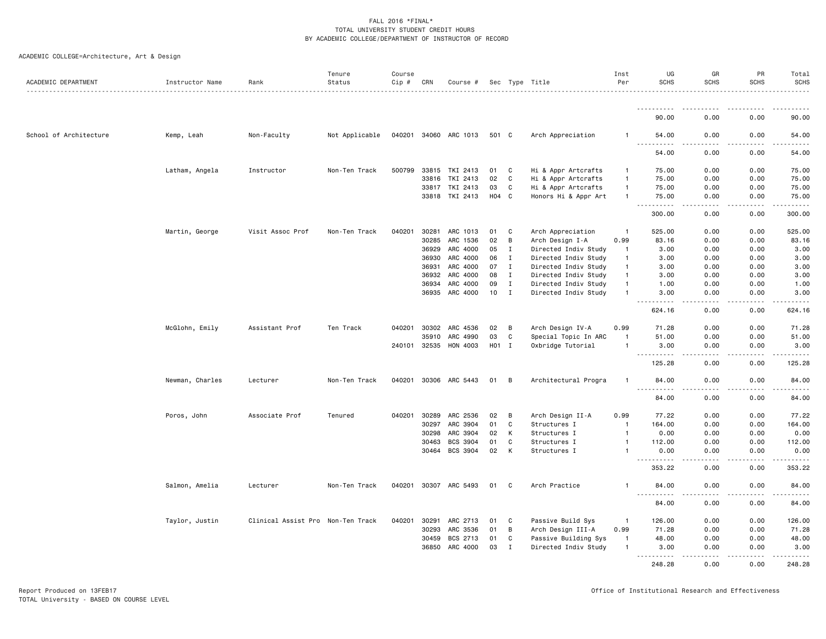|  | ACADEMIC COLLEGE=Architecture, Art & Design |  |  |  |
|--|---------------------------------------------|--|--|--|
|--|---------------------------------------------|--|--|--|

| ACADEMIC DEPARTMENT    | Instructor Name | Rank                              | Tenure<br>Status | Course<br>Cip # | CRN          | Course #              |       |              | Sec Type Title       | Inst<br>Per              | UG<br><b>SCHS</b>                          | GR<br><b>SCHS</b>                   | PR<br><b>SCHS</b> | Total<br><b>SCHS</b>                                                                                                                                          |
|------------------------|-----------------|-----------------------------------|------------------|-----------------|--------------|-----------------------|-------|--------------|----------------------|--------------------------|--------------------------------------------|-------------------------------------|-------------------|---------------------------------------------------------------------------------------------------------------------------------------------------------------|
|                        |                 |                                   |                  |                 |              |                       |       |              |                      |                          | ----------                                 |                                     |                   |                                                                                                                                                               |
|                        |                 |                                   |                  |                 |              |                       |       |              |                      |                          | 90.00                                      | 0.00                                | 0.00              | 90.00                                                                                                                                                         |
| School of Architecture | Kemp, Leah      | Non-Faculty                       | Not Applicable   |                 |              | 040201 34060 ARC 1013 | 501 C |              | Arch Appreciation    | -1                       | 54.00<br>$\sim$ $\sim$ $\sim$<br>.         | 0.00<br>.                           | 0.00              | 54.00<br>$\frac{1}{2} \left( \frac{1}{2} \right) \left( \frac{1}{2} \right) \left( \frac{1}{2} \right) \left( \frac{1}{2} \right) \left( \frac{1}{2} \right)$ |
|                        |                 |                                   |                  |                 |              |                       |       |              |                      |                          | 54.00                                      | 0.00                                | 0.00              | 54.00                                                                                                                                                         |
|                        | Latham, Angela  | Instructor                        | Non-Ten Track    | 500799          | 33815        | TKI 2413              | 01    | C            | Hi & Appr Artcrafts  | $\mathbf{1}$             | 75.00                                      | 0.00                                | 0.00              | 75.00                                                                                                                                                         |
|                        |                 |                                   |                  |                 | 33816        | TKI 2413              | 02    | C            | Hi & Appr Artcrafts  | $\overline{1}$           | 75.00                                      | 0.00                                | 0.00              | 75.00                                                                                                                                                         |
|                        |                 |                                   |                  |                 | 33817        | TKI 2413              | 03    | C            | Hi & Appr Artcrafts  | $\overline{1}$           | 75.00                                      | 0.00                                | 0.00              | 75.00                                                                                                                                                         |
|                        |                 |                                   |                  |                 |              | 33818 TKI 2413        | H04 C |              | Honors Hi & Appr Art | $\overline{1}$           | 75.00<br>.                                 | 0.00<br>$   -$                      | 0.00<br>$   -$    | 75.00<br>.                                                                                                                                                    |
|                        |                 |                                   |                  |                 |              |                       |       |              |                      |                          | 300.00                                     | 0.00                                | 0.00              | 300.00                                                                                                                                                        |
|                        | Martin, George  | Visit Assoc Prof                  | Non-Ten Track    | 040201          | 30281        | ARC 1013              | 01    | C            | Arch Appreciation    | $\overline{1}$           | 525.00                                     | 0.00                                | 0.00              | 525.00                                                                                                                                                        |
|                        |                 |                                   |                  |                 | 30285        | ARC 1536              | 02    | B            | Arch Design I-A      | 0.99                     | 83.16                                      | 0.00                                | 0.00              | 83.16                                                                                                                                                         |
|                        |                 |                                   |                  |                 | 36929        | ARC 4000              | 05    | I            | Directed Indiv Study | -1                       | 3.00                                       | 0.00                                | 0.00              | 3.00                                                                                                                                                          |
|                        |                 |                                   |                  |                 | 36930        | ARC 4000              | 06    | $\mathbf{I}$ | Directed Indiv Study | $\overline{1}$           | 3.00                                       | 0.00                                | 0.00              | 3.00                                                                                                                                                          |
|                        |                 |                                   |                  |                 | 36931        | ARC 4000              | 07    | $\mathbf{I}$ | Directed Indiv Study | $\mathbf{1}$             | 3.00                                       | 0.00                                | 0.00              | 3.00                                                                                                                                                          |
|                        |                 |                                   |                  |                 | 36932        | ARC 4000              | 08    | I            | Directed Indiv Study | $\overline{1}$           | 3.00                                       | 0.00                                | 0.00              | 3.00                                                                                                                                                          |
|                        |                 |                                   |                  |                 | 36934        | ARC 4000              | 09    | I            | Directed Indiv Study | -1                       | 1.00                                       | 0.00                                | 0.00              | 1.00                                                                                                                                                          |
|                        |                 |                                   |                  |                 | 36935        | ARC 4000              | 10    | $\mathbf{I}$ | Directed Indiv Study | $\overline{1}$           | 3.00<br>.                                  | 0.00<br>$\frac{1}{2}$               | 0.00<br>.         | 3.00<br>.                                                                                                                                                     |
|                        |                 |                                   |                  |                 |              |                       |       |              |                      |                          | 624.16                                     | 0.00                                | 0.00              | 624.16                                                                                                                                                        |
|                        | McGlohn, Emily  | Assistant Prof                    | Ten Track        | 040201          | 30302        | ARC 4536              | 02    | B            | Arch Design IV-A     | 0.99                     | 71.28                                      | 0.00                                | 0.00              | 71.28                                                                                                                                                         |
|                        |                 |                                   |                  |                 | 35910        | ARC 4990              | 03    | C            | Special Topic In ARC | $\overline{1}$           | 51.00                                      | 0.00                                | 0.00              | 51.00                                                                                                                                                         |
|                        |                 |                                   |                  |                 | 240101 32535 | HON 4003              | HO1 I |              | Oxbridge Tutorial    | $\overline{1}$           | 3.00<br>-----                              | 0.00<br>$\sim$ $\sim$ $\sim$ $\sim$ | 0.00<br>.         | 3.00<br>.                                                                                                                                                     |
|                        |                 |                                   |                  |                 |              |                       |       |              |                      |                          | 125.28                                     | 0.00                                | 0.00              | 125.28                                                                                                                                                        |
|                        | Newman, Charles | Lecturer                          | Non-Ten Track    | 040201          |              | 30306 ARC 5443        | 01    | B            | Architectural Progra | -1                       | 84.00                                      | 0.00                                | 0.00              | 84.00                                                                                                                                                         |
|                        |                 |                                   |                  |                 |              |                       |       |              |                      |                          | 84.00                                      | 0.00                                | 0.00              | 84.00                                                                                                                                                         |
|                        | Poros, John     | Associate Prof                    | Tenured          | 040201          | 30289        | ARC 2536              | 02    | В            | Arch Design II-A     | 0.99                     | 77.22                                      | 0.00                                | 0.00              | 77.22                                                                                                                                                         |
|                        |                 |                                   |                  |                 | 30297        | ARC 3904              | 01    | C            | Structures I         | -1                       | 164.00                                     | 0.00                                | 0.00              | 164.00                                                                                                                                                        |
|                        |                 |                                   |                  |                 | 30298        | ARC 3904              | 02    | К            | Structures I         | $\overline{1}$           | 0.00                                       | 0.00                                | 0.00              | 0.00                                                                                                                                                          |
|                        |                 |                                   |                  |                 | 30463        | BCS 3904              | 01    | C            | Structures I         | $\overline{1}$           | 112.00                                     | 0.00                                | 0.00              | 112.00                                                                                                                                                        |
|                        |                 |                                   |                  |                 | 30464        | BCS 3904              | 02    | К            | Structures I         | -1                       | 0.00                                       | 0.00<br>.                           | 0.00              | 0.00<br>.                                                                                                                                                     |
|                        |                 |                                   |                  |                 |              |                       |       |              |                      |                          | 353.22                                     | 0.00                                | 0.00              | 353.22                                                                                                                                                        |
|                        | Salmon, Amelia  | Lecturer                          | Non-Ten Track    |                 |              | 040201 30307 ARC 5493 | 01    | C            | Arch Practice        | -1                       | 84.00                                      | 0.00                                | 0.00              | 84.00                                                                                                                                                         |
|                        |                 |                                   |                  |                 |              |                       |       |              |                      |                          | $\sim$ $\sim$ $\sim$<br>د د د د د<br>84.00 | $\sim$ $\sim$ $\sim$ $\sim$<br>0.00 | .<br>0.00         | .<br>84.00                                                                                                                                                    |
|                        | Taylor, Justin  | Clinical Assist Pro Non-Ten Track |                  | 040201          | 30291        | ARC 2713              | 01    | C            | Passive Build Sys    | $\overline{\phantom{0}}$ | 126.00                                     | 0.00                                | 0.00              | 126.00                                                                                                                                                        |
|                        |                 |                                   |                  |                 | 30293        | ARC 3536              | 01    | В            | Arch Design III-A    | 0.99                     | 71.28                                      | 0.00                                | 0.00              | 71.28                                                                                                                                                         |
|                        |                 |                                   |                  |                 | 30459        | BCS 2713              | 01    | C            | Passive Building Sys | $\overline{1}$           | 48.00                                      | 0.00                                | 0.00              | 48.00                                                                                                                                                         |
|                        |                 |                                   |                  |                 | 36850        | ARC 4000              | 03    | I            | Directed Indiv Study | -1                       | 3.00<br>.                                  | 0.00<br>الدامات بال                 | 0.00<br>.         | 3.00<br>$\frac{1}{2} \left( \frac{1}{2} \right) \left( \frac{1}{2} \right) \left( \frac{1}{2} \right) \left( \frac{1}{2} \right) \left( \frac{1}{2} \right)$  |
|                        |                 |                                   |                  |                 |              |                       |       |              |                      |                          | 248.28                                     | 0.00                                | 0.00              | 248.28                                                                                                                                                        |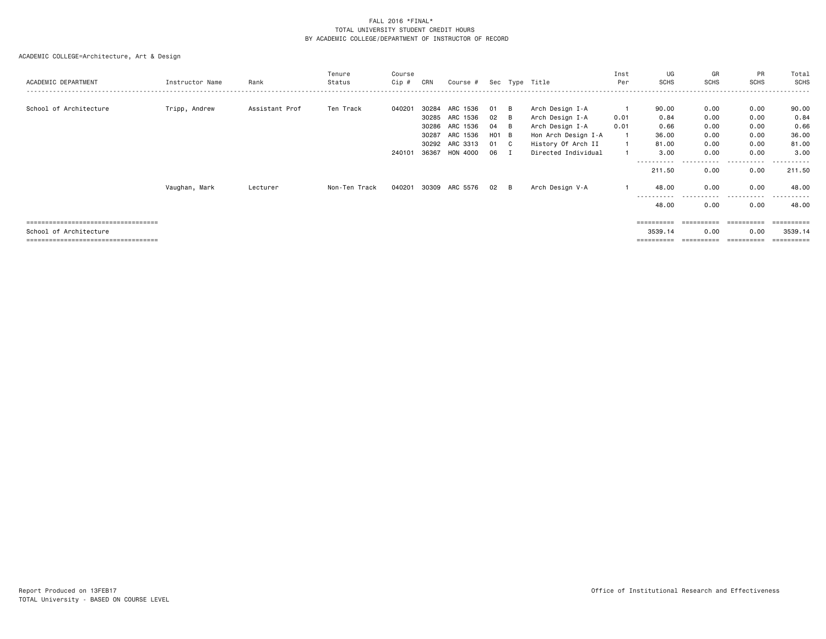| ACADEMIC DEPARTMENT                                          | Instructor Name | Rank           | Tenure<br>Status | Course<br>Cip # | CRN                     | Course #                         |                         |          | Sec Type Title                                                   | Inst<br>Per  | UG<br><b>SCHS</b>             | GR<br><b>SCHS</b>          | PR<br><b>SCHS</b>     | Total<br>SCHS          |
|--------------------------------------------------------------|-----------------|----------------|------------------|-----------------|-------------------------|----------------------------------|-------------------------|----------|------------------------------------------------------------------|--------------|-------------------------------|----------------------------|-----------------------|------------------------|
| School of Architecture                                       | Tripp, Andrew   | Assistant Prof | Ten Track        | 040201          | 30284<br>30285<br>30286 | ARC 1536<br>ARC 1536<br>ARC 1536 | 01<br>02<br>04 B        | B<br>- B | Arch Design I-A<br>Arch Design I-A<br>Arch Design I-A            | 0.01<br>0.01 | 90.00<br>0.84<br>0.66         | 0.00<br>0.00<br>0.00       | 0.00<br>0.00<br>0.00  | 90.00<br>0.84<br>0.66  |
|                                                              |                 |                |                  | 240101          | 30287<br>30292<br>36367 | ARC 1536<br>ARC 3313<br>HON 4000 | $H01$ B<br>01 C<br>06 I |          | Hon Arch Design I-A<br>History Of Arch II<br>Directed Individual |              | 36.00<br>81.00<br>3.00        | 0.00<br>0.00<br>0.00       | 0.00<br>0.00<br>0.00  | 36.00<br>81.00<br>3,00 |
|                                                              |                 |                |                  |                 |                         |                                  |                         |          |                                                                  |              | - - - - - - - - - -<br>211.50 | - - - - - <b>-</b><br>0.00 | .<br>$\cdots$<br>0.00 | ------<br>211.50       |
|                                                              | Vaughan, Mark   | Lecturer       | Non-Ten Track    | 040201          |                         | 30309 ARC 5576                   | $02 \quad B$            |          | Arch Design V-A                                                  |              | 48.00<br>-----------<br>48.00 | 0.00<br>------<br>0.00     | 0.00<br>.<br>0.00     | 48.00<br>.<br>48.00    |
| ==================================<br>School of Architecture |                 |                |                  |                 |                         |                                  |                         |          |                                                                  |              | 3539.14                       | 0.00                       | 0.00                  | ==========<br>3539.14  |
| ------------------------------------                         |                 |                |                  |                 |                         |                                  |                         |          |                                                                  |              | ==========                    |                            | ==========            | ==========             |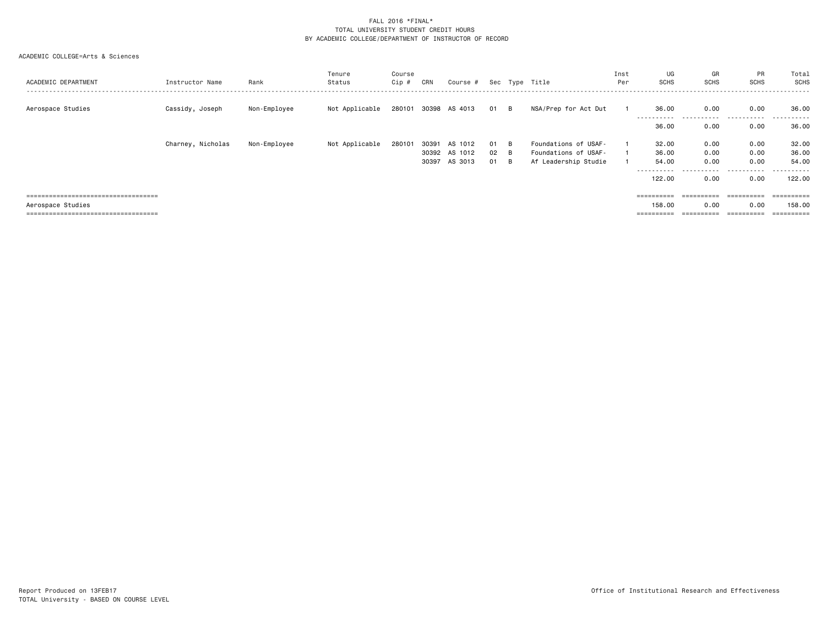| ACADEMIC DEPARTMENT                   | Instructor Name   | Rank         | Tenure<br>Status | Course<br>Cip # | CRN   | Course #             |      |   | Sec Type Title       | Inst<br>Per | UG<br><b>SCHS</b>   | GR<br><b>SCHS</b>     | PR<br><b>SCHS</b>  | Total<br>SCHS   |
|---------------------------------------|-------------------|--------------|------------------|-----------------|-------|----------------------|------|---|----------------------|-------------|---------------------|-----------------------|--------------------|-----------------|
| Aerospace Studies                     | Cassidy, Joseph   | Non-Employee | Not Applicable   |                 |       | 280101 30398 AS 4013 | 01 B |   | NSA/Prep for Act Dut |             | 36.00<br>---------- | 0.00<br>----          | 0.00<br>---------- | 36.00<br>------ |
|                                       |                   |              |                  |                 |       |                      |      |   |                      |             | 36.00               | 0.00                  | 0.00               | 36.00           |
|                                       | Charney, Nicholas | Non-Employee | Not Applicable   | 280101          | 30391 | AS 1012              | 01 B |   | Foundations of USAF- |             | 32.00               | 0.00                  | 0.00               | 32.00           |
|                                       |                   |              |                  |                 | 30392 | AS 1012              | 02   | B | Foundations of USAF- |             | 36.00               | 0.00                  | 0.00               | 36.00           |
|                                       |                   |              |                  |                 | 30397 | AS 3013              | 01   | B | Af Leadership Studie |             | 54.00               | 0.00                  | 0.00               | 54.00           |
|                                       |                   |              |                  |                 |       |                      |      |   |                      |             | ----------          | -------               | .                  | -------         |
|                                       |                   |              |                  |                 |       |                      |      |   |                      |             | 122.00              | 0.00                  | 0.00               | 122.00          |
| ===================================== |                   |              |                  |                 |       |                      |      |   |                      |             | ==========          | $=$ = = = = = = = = = | ==========         | ==========      |
|                                       |                   |              |                  |                 |       |                      |      |   |                      |             |                     |                       |                    |                 |
| Aerospace Studies                     |                   |              |                  |                 |       |                      |      |   |                      |             | 158,00              | 0.00                  | 0.00               | 158.00          |
| ===================================== |                   |              |                  |                 |       |                      |      |   |                      |             | ==========          | ==========            | ==========         | ==========      |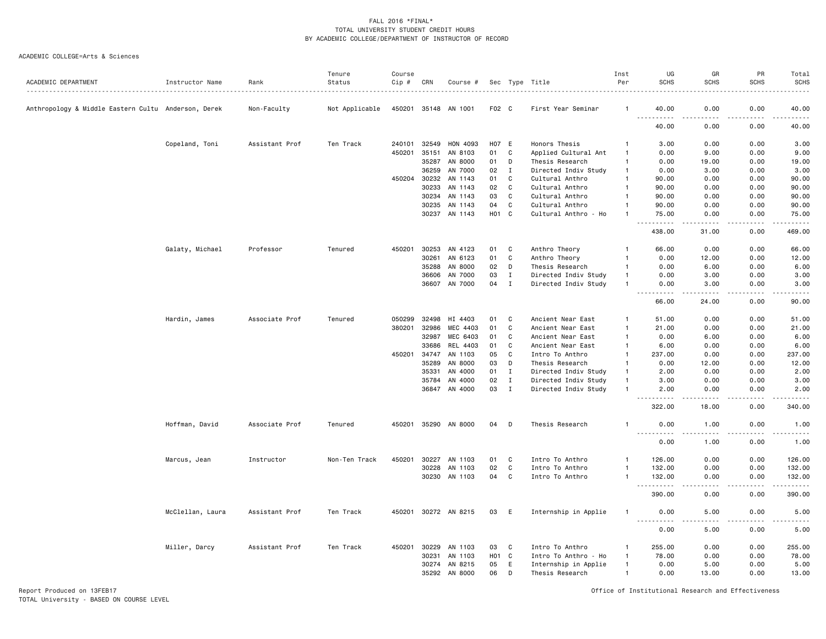#### ACADEMIC COLLEGE=Arts & Sciences

|                                                     |                  |                | Tenure         | Course |       |               |                   |              |                      | Inst           | UG                                                                                                                                                            | GR                           | PR          | Total              |
|-----------------------------------------------------|------------------|----------------|----------------|--------|-------|---------------|-------------------|--------------|----------------------|----------------|---------------------------------------------------------------------------------------------------------------------------------------------------------------|------------------------------|-------------|--------------------|
| ACADEMIC DEPARTMENT                                 | Instructor Name  | Rank           | Status         | Cip #  | CRN   | Course #      |                   |              | Sec Type Title       | Per            | <b>SCHS</b>                                                                                                                                                   | <b>SCHS</b>                  | <b>SCHS</b> | <b>SCHS</b><br>.   |
| Anthropology & Middle Eastern Cultu Anderson, Derek |                  | Non-Faculty    | Not Applicable | 450201 | 35148 | AN 1001       | F02 C             |              | First Year Seminar   |                | 40.00                                                                                                                                                         | 0.00                         | 0.00        | 40.00              |
|                                                     |                  |                |                |        |       |               |                   |              |                      |                | 40.00                                                                                                                                                         | 0.00                         | 0.00        | 40.00              |
|                                                     | Copeland, Toni   | Assistant Prof | Ten Track      | 240101 | 32549 | HON 4093      | H07 E             |              | Honors Thesis        |                | 3.00                                                                                                                                                          | 0.00                         | 0.00        | 3.00               |
|                                                     |                  |                |                | 450201 | 35151 | AN 8103       | 01                | C            | Applied Cultural Ant | $\overline{1}$ | 0.00                                                                                                                                                          | 9.00                         | 0.00        | 9.00               |
|                                                     |                  |                |                |        | 35287 | AN 8000       | 01                | D            | Thesis Research      | $\mathbf{1}$   | 0.00                                                                                                                                                          | 19.00                        | 0.00        | 19.00              |
|                                                     |                  |                |                |        | 36259 | AN 7000       | 02                | $\mathbf I$  | Directed Indiv Study | $\overline{1}$ | 0.00                                                                                                                                                          | 3.00                         | 0.00        | 3.00               |
|                                                     |                  |                |                | 450204 | 30232 | AN 1143       | 01                | C            | Cultural Anthro      | $\overline{1}$ | 90.00                                                                                                                                                         | 0.00                         | 0.00        | 90.00              |
|                                                     |                  |                |                |        | 30233 | AN 1143       | 02                | C            | Cultural Anthro      | $\mathbf{1}$   | 90.00                                                                                                                                                         | 0.00                         | 0.00        | 90.00              |
|                                                     |                  |                |                |        | 30234 | AN 1143       | 03                | C            | Cultural Anthro      | $\overline{1}$ | 90.00                                                                                                                                                         | 0.00                         | 0.00        | 90.00              |
|                                                     |                  |                |                |        | 30235 | AN 1143       | 04                | C            | Cultural Anthro      | $\mathbf{1}$   | 90.00                                                                                                                                                         | 0.00                         | 0.00        | 90.00              |
|                                                     |                  |                |                |        | 30237 | AN 1143       | <b>HO1</b>        | C            | Cultural Anthro - Ho | $\mathbf{1}$   | 75.00<br>.                                                                                                                                                    | 0.00<br>د د د د              | 0.00<br>.   | 75.00<br>.         |
|                                                     |                  |                |                |        |       |               |                   |              |                      |                | 438.00                                                                                                                                                        | 31.00                        | 0.00        | 469.00             |
|                                                     | Galaty, Michael  | Professor      | Tenured        | 450201 | 30253 | AN 4123       | 01                | C            | Anthro Theory        | $\mathbf{1}$   | 66.00                                                                                                                                                         | 0.00                         | 0.00        | 66.00              |
|                                                     |                  |                |                |        | 30261 | AN 6123       | 01                | $\mathbf C$  | Anthro Theory        | $\mathbf{1}$   | 0.00                                                                                                                                                          | 12.00                        | 0.00        | 12.00              |
|                                                     |                  |                |                |        | 35288 | AN 8000       | 02                | D            | Thesis Research      | $\mathbf{1}$   | 0.00                                                                                                                                                          | 6.00                         | 0.00        | 6.00               |
|                                                     |                  |                |                |        | 36606 | AN 7000       | 03                | Ι            | Directed Indiv Study | $\mathbf{1}$   | 0.00                                                                                                                                                          | 3.00                         | 0.00        | 3.00               |
|                                                     |                  |                |                |        | 36607 | AN 7000       | 04                | $\mathbf I$  | Directed Indiv Study | $\overline{1}$ | 0.00                                                                                                                                                          | 3.00                         | 0.00        | 3.00               |
|                                                     |                  |                |                |        |       |               |                   |              |                      |                | $\frac{1}{2} \left( \frac{1}{2} \right) \left( \frac{1}{2} \right) \left( \frac{1}{2} \right) \left( \frac{1}{2} \right) \left( \frac{1}{2} \right)$<br>66.00 | .<br>24.00                   | .<br>0.00   | .<br>90.00         |
|                                                     | Hardin, James    | Associate Prof | Tenured        | 050299 | 32498 | HI 4403       | 01                | C            | Ancient Near East    | -1             | 51.00                                                                                                                                                         | 0.00                         | 0.00        | 51.00              |
|                                                     |                  |                |                | 380201 | 32986 | MEC 4403      | 01                | $\mathtt{C}$ | Ancient Near East    | $\overline{1}$ | 21.00                                                                                                                                                         | 0.00                         | 0.00        | 21.00              |
|                                                     |                  |                |                |        | 32987 | MEC 6403      | 01                | C            | Ancient Near East    | $\overline{1}$ | 0.00                                                                                                                                                          | 6.00                         | 0.00        | 6.00               |
|                                                     |                  |                |                |        | 33686 | REL 4403      | 01                | C            | Ancient Near East    | $\overline{1}$ | 6.00                                                                                                                                                          | 0.00                         | 0.00        | 6.00               |
|                                                     |                  |                |                | 450201 | 34747 | AN 1103       | 05                | C            | Intro To Anthro      | $\mathbf{1}$   | 237.00                                                                                                                                                        | 0.00                         | 0.00        | 237.00             |
|                                                     |                  |                |                |        | 35289 | AN 8000       | 03                | D            | Thesis Research      | $\mathbf{1}$   | 0.00                                                                                                                                                          | 12.00                        | 0.00        | 12.00              |
|                                                     |                  |                |                |        | 35331 | AN 4000       | 01                | $\mathbf I$  | Directed Indiv Study | $\overline{1}$ | 2.00                                                                                                                                                          | 0.00                         | 0.00        | 2.00               |
|                                                     |                  |                |                |        | 35784 | AN 4000       | 02                | $\mathbf{I}$ | Directed Indiv Study | $\overline{1}$ | 3.00                                                                                                                                                          | 0.00                         | 0.00        | 3.00               |
|                                                     |                  |                |                |        |       | 36847 AN 4000 | 03                | $\mathbf I$  | Directed Indiv Study | $\overline{1}$ | 2.00                                                                                                                                                          | 0.00<br>$- - -$              | 0.00        | 2.00<br>.          |
|                                                     |                  |                |                |        |       |               |                   |              |                      |                | 322.00                                                                                                                                                        | 18.00                        | 0.00        | 340.00             |
|                                                     | Hoffman, David   | Associate Prof | Tenured        | 450201 |       | 35290 AN 8000 | 04                | D            | Thesis Research      | $\overline{1}$ | 0.00<br>.                                                                                                                                                     | 1.00<br>.                    | 0.00<br>.   | 1.00<br>.          |
|                                                     |                  |                |                |        |       |               |                   |              |                      |                | 0.00                                                                                                                                                          | 1.00                         | 0.00        | 1.00               |
|                                                     | Marcus, Jean     | Instructor     | Non-Ten Track  | 450201 | 30227 | AN 1103       | 01                | C            | Intro To Anthro      | $\mathbf{1}$   | 126.00                                                                                                                                                        | 0.00                         | 0.00        | 126.00             |
|                                                     |                  |                |                |        | 30228 | AN 1103       | 02                | C            | Intro To Anthro      | $\overline{1}$ | 132.00                                                                                                                                                        | 0.00                         | 0.00        | 132.00             |
|                                                     |                  |                |                |        | 30230 | AN 1103       | 04                | C            | Intro To Anthro      | $\mathbf{1}$   | 132.00                                                                                                                                                        | 0.00                         | 0.00        | 132.00             |
|                                                     |                  |                |                |        |       |               |                   |              |                      |                | $\sim$ $\sim$ $\sim$<br>.<br>390.00                                                                                                                           | 0.00                         | 0.00        | <u>.</u><br>390.00 |
|                                                     | McClellan, Laura | Assistant Prof | Ten Track      | 450201 |       | 30272 AN 8215 | 03                | E            | Internship in Applie | $\mathbf{1}$   | 0.00<br>.                                                                                                                                                     | 5.00<br>$\sim$ $\sim$ $\sim$ | 0.00        | 5.00<br>.          |
|                                                     |                  |                |                |        |       |               |                   |              |                      |                | 0.00                                                                                                                                                          | 5.00                         | 0.00        | 5.00               |
|                                                     | Miller, Darcy    | Assistant Prof | Ten Track      | 450201 | 30229 | AN 1103       | 03                | C            | Intro To Anthro      | -1             | 255.00                                                                                                                                                        | 0.00                         | 0.00        | 255.00             |
|                                                     |                  |                |                |        | 30231 | AN 1103       | H <sub>01</sub> C |              | Intro To Anthro - Ho | $\mathbf{1}$   | 78.00                                                                                                                                                         | 0.00                         | 0.00        | 78.00              |
|                                                     |                  |                |                |        | 30274 | AN 8215       | 05                | E            | Internship in Applie | $\overline{1}$ | 0.00                                                                                                                                                          | 5.00                         | 0.00        | 5.00               |
|                                                     |                  |                |                |        | 35292 | AN 8000       | 06                | D            | Thesis Research      | $\overline{1}$ | 0.00                                                                                                                                                          | 13.00                        | 0.00        | 13.00              |
|                                                     |                  |                |                |        |       |               |                   |              |                      |                |                                                                                                                                                               |                              |             |                    |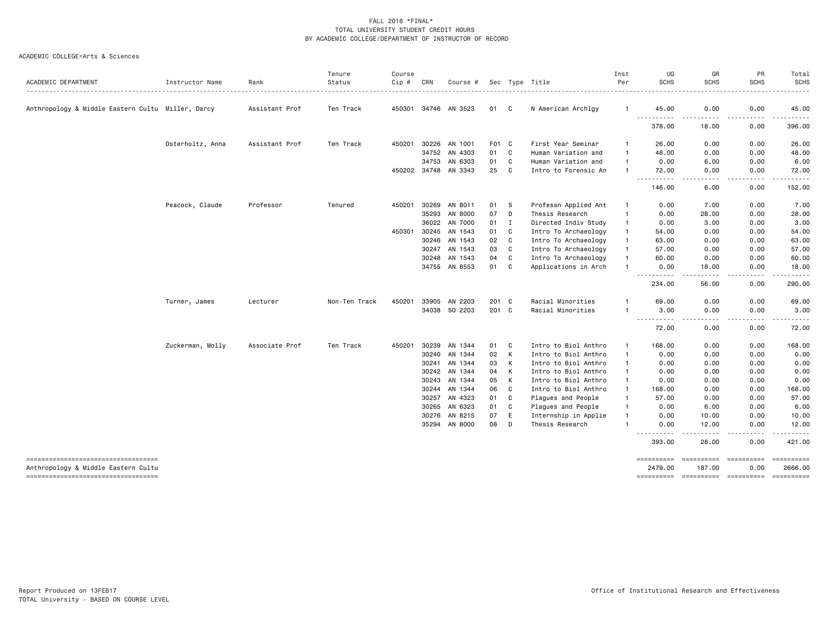| ACADEMIC DEPARTMENT                                                        | Instructor Name  | Rank           | Tenure<br>Status | Course<br>Cip # | CRN            | Course #           |          |        | Sec Type Title                          | Inst<br>Per                  | UG<br><b>SCHS</b>     | GR<br><b>SCHS</b>    | PR<br><b>SCHS</b>                                                                                                                 | Total<br><b>SCHS</b>                                                                                                                                                                                                                                                                                                                                                                                                                                                                   |
|----------------------------------------------------------------------------|------------------|----------------|------------------|-----------------|----------------|--------------------|----------|--------|-----------------------------------------|------------------------------|-----------------------|----------------------|-----------------------------------------------------------------------------------------------------------------------------------|----------------------------------------------------------------------------------------------------------------------------------------------------------------------------------------------------------------------------------------------------------------------------------------------------------------------------------------------------------------------------------------------------------------------------------------------------------------------------------------|
|                                                                            |                  |                |                  |                 |                |                    |          |        |                                         |                              |                       |                      |                                                                                                                                   |                                                                                                                                                                                                                                                                                                                                                                                                                                                                                        |
| Anthropology & Middle Eastern Cultu Miller, Darcy                          |                  | Assistant Prof | Ten Track        | 450301          |                | 34746 AN 3523      | 01       | C      | N American Archlgy                      | $\mathbf{1}$                 | 45.00<br>.            | 0.00<br><u>.</u>     | 0.00<br>. <u>.</u> .                                                                                                              | 45.00<br>.                                                                                                                                                                                                                                                                                                                                                                                                                                                                             |
|                                                                            |                  |                |                  |                 |                |                    |          |        |                                         |                              | 378.00                | 18.00                | 0.00                                                                                                                              | 396.00                                                                                                                                                                                                                                                                                                                                                                                                                                                                                 |
|                                                                            | Osterholtz, Anna | Assistant Prof | Ten Track        | 450201          | 30226          | AN 1001            | F01 C    |        | First Year Seminar                      | -1                           | 26.00                 | 0.00                 | 0.00                                                                                                                              | 26.00                                                                                                                                                                                                                                                                                                                                                                                                                                                                                  |
|                                                                            |                  |                |                  |                 | 34752          | AN 4303            | 01       | C      | Human Variation and                     | $\mathbf{1}$                 | 48.00                 | 0.00                 | 0.00                                                                                                                              | 48.00                                                                                                                                                                                                                                                                                                                                                                                                                                                                                  |
|                                                                            |                  |                |                  |                 | 34753          | AN 6303            | 01       | C      | Human Variation and                     | -1                           | 0.00                  | 6.00                 | 0.00                                                                                                                              | 6.00                                                                                                                                                                                                                                                                                                                                                                                                                                                                                   |
|                                                                            |                  |                |                  | 450202          | 34748          | AN 3343            | 25       | C      | Intro to Forensic An                    | $\mathbf{1}$                 | 72.00<br>.            | 0.00<br>----         | 0.00<br>$\frac{1}{2}$                                                                                                             | 72.00<br>.                                                                                                                                                                                                                                                                                                                                                                                                                                                                             |
|                                                                            |                  |                |                  |                 |                |                    |          |        |                                         |                              | 146.00                | 6.00                 | 0.00                                                                                                                              | 152.00                                                                                                                                                                                                                                                                                                                                                                                                                                                                                 |
|                                                                            | Peacock, Claude  | Professor      | Tenured          | 450201          | 30269          | AN 8011            | 01       | -S     | Professn Applied Ant                    | $\mathbf{1}$                 | 0.00                  | 7.00                 | 0.00                                                                                                                              | 7.00                                                                                                                                                                                                                                                                                                                                                                                                                                                                                   |
|                                                                            |                  |                |                  |                 | 35293          | AN 8000            | 07       | D      | Thesis Research                         | $\mathbf{1}$                 | 0.00                  | 28.00                | 0.00                                                                                                                              | 28.00                                                                                                                                                                                                                                                                                                                                                                                                                                                                                  |
|                                                                            |                  |                |                  |                 | 36022          | AN 7000            | 01       | Ι      | Directed Indiv Study                    | $\mathbf{1}$                 | 0.00                  | 3.00                 | 0.00                                                                                                                              | 3.00                                                                                                                                                                                                                                                                                                                                                                                                                                                                                   |
|                                                                            |                  |                |                  | 450301          | 30245          | AN 1543            | 01       | C      | Intro To Archaeology                    | -1                           | 54.00                 | 0.00                 | 0.00                                                                                                                              | 54.00                                                                                                                                                                                                                                                                                                                                                                                                                                                                                  |
|                                                                            |                  |                |                  |                 | 30246          | AN 1543            | 02       | C      | Intro To Archaeology                    | $\mathbf{1}$                 | 63.00                 | 0.00                 | 0.00                                                                                                                              | 63.00                                                                                                                                                                                                                                                                                                                                                                                                                                                                                  |
|                                                                            |                  |                |                  |                 | 30247          | AN 1543            | 03       | C      | Intro To Archaeology                    | $\mathbf{1}$                 | 57.00                 | 0.00                 | 0.00                                                                                                                              | 57.00                                                                                                                                                                                                                                                                                                                                                                                                                                                                                  |
|                                                                            |                  |                |                  |                 | 30248          | AN 1543            | 04       | C      | Intro To Archaeology                    | $\mathbf{1}$                 | 60.00                 | 0.00                 | 0.00                                                                                                                              | 60.00                                                                                                                                                                                                                                                                                                                                                                                                                                                                                  |
|                                                                            |                  |                |                  |                 | 34755          | AN 8553            | 01       | C      | Applications in Arch                    | $\mathbf{1}$                 | 0.00<br>.             | 18.00<br>- - - -     | 0.00<br>.                                                                                                                         | 18.00<br>.                                                                                                                                                                                                                                                                                                                                                                                                                                                                             |
|                                                                            |                  |                |                  |                 |                |                    |          |        |                                         |                              | 234.00                | 56.00                | 0.00                                                                                                                              | 290.00                                                                                                                                                                                                                                                                                                                                                                                                                                                                                 |
|                                                                            | Turner, James    | Lecturer       | Non-Ten Track    | 450201          | 33905          | AN 2203            | 201 C    |        | Racial Minorities                       |                              | 69.00                 | 0.00                 | 0.00                                                                                                                              | 69.00                                                                                                                                                                                                                                                                                                                                                                                                                                                                                  |
|                                                                            |                  |                |                  |                 | 34038          | SO 2203            | 201 C    |        | Racial Minorities                       | $\mathbf{1}$                 | 3.00                  | 0.00                 | 0.00                                                                                                                              | 3.00                                                                                                                                                                                                                                                                                                                                                                                                                                                                                   |
|                                                                            |                  |                |                  |                 |                |                    |          |        |                                         |                              | .<br>72.00            | 0.00                 | .<br>0.00                                                                                                                         | .<br>72.00                                                                                                                                                                                                                                                                                                                                                                                                                                                                             |
|                                                                            | Zuckerman, Molly | Associate Prof | Ten Track        | 450201          | 30239          | AN 1344            | 01       | C      | Intro to Biol Anthro                    | -1                           | 168.00                | 0.00                 | 0.00                                                                                                                              | 168.00                                                                                                                                                                                                                                                                                                                                                                                                                                                                                 |
|                                                                            |                  |                |                  |                 | 30240          | AN 1344            | 02       | K      | Intro to Biol Anthro                    | $\mathbf{1}$                 | 0.00                  | 0.00                 | 0.00                                                                                                                              | 0.00                                                                                                                                                                                                                                                                                                                                                                                                                                                                                   |
|                                                                            |                  |                |                  |                 | 30241          | AN 1344            | 03       | K      | Intro to Biol Anthro                    | $\mathbf{1}$                 | 0.00                  | 0.00                 | 0.00                                                                                                                              | 0.00                                                                                                                                                                                                                                                                                                                                                                                                                                                                                   |
|                                                                            |                  |                |                  |                 | 30242          | AN 1344            | 04       | K      | Intro to Biol Anthro                    | $\mathbf{1}$                 | 0.00                  | 0.00                 | 0.00                                                                                                                              | 0.00                                                                                                                                                                                                                                                                                                                                                                                                                                                                                   |
|                                                                            |                  |                |                  |                 | 30243          | AN 1344            | 05       | K      | Intro to Biol Anthro                    |                              | 0.00                  | 0.00                 | 0.00                                                                                                                              | 0.00                                                                                                                                                                                                                                                                                                                                                                                                                                                                                   |
|                                                                            |                  |                |                  |                 | 30244          | AN 1344            | 06       | C      | Intro to Biol Anthro                    | $\mathbf{1}$                 | 168.00                | 0.00                 | 0.00                                                                                                                              | 168.00                                                                                                                                                                                                                                                                                                                                                                                                                                                                                 |
|                                                                            |                  |                |                  |                 | 30257          | AN 4323            | 01       | C      | Plagues and People                      | $\mathbf{1}$                 | 57.00                 | 0.00                 | 0.00                                                                                                                              | 57.00                                                                                                                                                                                                                                                                                                                                                                                                                                                                                  |
|                                                                            |                  |                |                  |                 | 30265          | AN 6323            | 01       | C<br>E | Plagues and People                      | $\mathbf{1}$<br>$\mathbf{1}$ | 0.00                  | 6.00                 | 0.00                                                                                                                              | 6.00                                                                                                                                                                                                                                                                                                                                                                                                                                                                                   |
|                                                                            |                  |                |                  |                 | 30276<br>35294 | AN 8215<br>AN 8000 | 07<br>08 | D      | Internship in Applie<br>Thesis Research | $\mathbf{1}$                 | 0.00<br>0.00          | 10.00<br>12.00       | 0.00<br>0.00                                                                                                                      | 10.00<br>12.00                                                                                                                                                                                                                                                                                                                                                                                                                                                                         |
|                                                                            |                  |                |                  |                 |                |                    |          |        |                                         |                              | 393.00                | 28.00                | $\frac{1}{2} \left( \frac{1}{2} \right) \left( \frac{1}{2} \right) \left( \frac{1}{2} \right) \left( \frac{1}{2} \right)$<br>0.00 | .<br>421.00                                                                                                                                                                                                                                                                                                                                                                                                                                                                            |
| ----------------------------------                                         |                  |                |                  |                 |                |                    |          |        |                                         |                              | ==========            | ==========           | $=$ ==========                                                                                                                    | $\begin{array}{cccccccccc} \multicolumn{2}{c}{} & \multicolumn{2}{c}{} & \multicolumn{2}{c}{} & \multicolumn{2}{c}{} & \multicolumn{2}{c}{} & \multicolumn{2}{c}{} & \multicolumn{2}{c}{} & \multicolumn{2}{c}{} & \multicolumn{2}{c}{} & \multicolumn{2}{c}{} & \multicolumn{2}{c}{} & \multicolumn{2}{c}{} & \multicolumn{2}{c}{} & \multicolumn{2}{c}{} & \multicolumn{2}{c}{} & \multicolumn{2}{c}{} & \multicolumn{2}{c}{} & \multicolumn{2}{c}{} & \multicolumn{2}{c}{} & \mult$ |
| Anthropology & Middle Eastern Cultu<br>----------------------------------- |                  |                |                  |                 |                |                    |          |        |                                         |                              | 2479.00<br>========== | 187.00<br>========== | 0.00                                                                                                                              | 2666.00<br>==========                                                                                                                                                                                                                                                                                                                                                                                                                                                                  |
|                                                                            |                  |                |                  |                 |                |                    |          |        |                                         |                              |                       |                      |                                                                                                                                   |                                                                                                                                                                                                                                                                                                                                                                                                                                                                                        |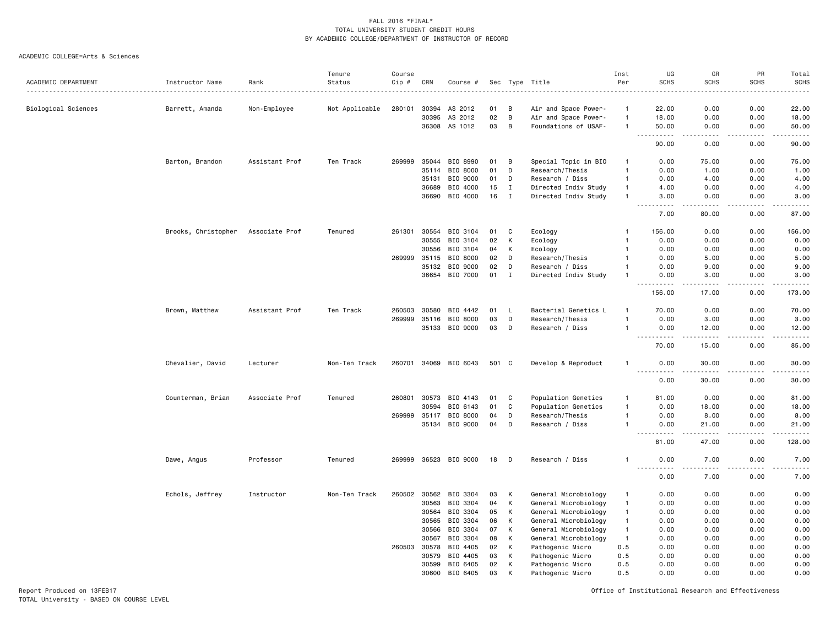#### ACADEMIC COLLEGE=Arts & Sciences

|                     |                     |                | Tenure         | Course |       |                |       |              |                                                     | Inst         | UG                                                                                                                                | GR             | PR                                  | Total                                                                                                                                                         |
|---------------------|---------------------|----------------|----------------|--------|-------|----------------|-------|--------------|-----------------------------------------------------|--------------|-----------------------------------------------------------------------------------------------------------------------------------|----------------|-------------------------------------|---------------------------------------------------------------------------------------------------------------------------------------------------------------|
| ACADEMIC DEPARTMENT | Instructor Name     | Rank           | Status         | Cip #  | CRN   | Course #       |       |              | Sec Type Title<br>_________________________________ | Per          | <b>SCHS</b>                                                                                                                       | <b>SCHS</b>    | <b>SCHS</b>                         | <b>SCHS</b><br>$- - - - -$                                                                                                                                    |
| Biological Sciences | Barrett, Amanda     | Non-Employee   | Not Applicable | 280101 | 30394 | AS 2012        | 01    | в            | Air and Space Power-                                | $\mathbf{1}$ | 22.00                                                                                                                             | 0.00           | 0.00                                | 22.00                                                                                                                                                         |
|                     |                     |                |                |        | 30395 | AS 2012        | 02    | B            | Air and Space Power-                                | $\mathbf{1}$ | 18.00                                                                                                                             | 0.00           | 0.00                                | 18.00                                                                                                                                                         |
|                     |                     |                |                |        |       | 36308 AS 1012  | 03    | B            | Foundations of USAF-                                | $\mathbf{1}$ | 50.00                                                                                                                             | 0.00           | 0.00                                | 50.00                                                                                                                                                         |
|                     |                     |                |                |        |       |                |       |              |                                                     |              | $- - -$<br>. <b>.</b><br>90.00                                                                                                    | .<br>0.00      | .<br>0.00                           | .<br>90.00                                                                                                                                                    |
|                     | Barton, Brandon     | Assistant Prof | Ten Track      | 269999 | 35044 | BIO 8990       | 01    | в            | Special Topic in BIO                                | -1           | 0.00                                                                                                                              | 75.00          | 0.00                                | 75.00                                                                                                                                                         |
|                     |                     |                |                |        | 35114 | BIO 8000       | 01    | D            | Research/Thesis                                     | $\mathbf{1}$ | 0.00                                                                                                                              | 1.00           | 0.00                                | 1.00                                                                                                                                                          |
|                     |                     |                |                |        | 35131 | BIO 9000       | 01    | D            | Research / Diss                                     | $\mathbf{1}$ | 0.00                                                                                                                              | 4.00           | 0.00                                | 4.00                                                                                                                                                          |
|                     |                     |                |                |        | 36689 | BIO 4000       | 15    | $\mathbf I$  | Directed Indiv Study                                | $\mathbf{1}$ | 4.00                                                                                                                              | 0.00           | 0.00                                | 4.00                                                                                                                                                          |
|                     |                     |                |                |        | 36690 | BIO 4000       | 16    | I            | Directed Indiv Study                                | $\mathbf{1}$ | 3.00                                                                                                                              | 0.00           | 0.00                                | 3.00                                                                                                                                                          |
|                     |                     |                |                |        |       |                |       |              |                                                     |              | .<br>7.00                                                                                                                         | .<br>80.00     | .<br>0.00                           | $- - - - -$<br>87.00                                                                                                                                          |
|                     | Brooks, Christopher | Associate Prof | Tenured        | 261301 | 30554 | BIO 3104       | 01    | C            | Ecology                                             | -1           | 156.00                                                                                                                            | 0.00           | 0.00                                | 156.00                                                                                                                                                        |
|                     |                     |                |                |        | 30555 | BIO 3104       | 02    | К            | Ecology                                             | $\mathbf{1}$ | 0.00                                                                                                                              | 0.00           | 0.00                                | 0.00                                                                                                                                                          |
|                     |                     |                |                |        | 30556 | BIO 3104       | 04    | Κ            | Ecology                                             | -1           | 0.00                                                                                                                              | 0.00           | 0.00                                | 0.00                                                                                                                                                          |
|                     |                     |                |                | 269999 | 35115 | BIO 8000       | 02    | D            | Research/Thesis                                     |              | 0.00                                                                                                                              | 5.00           | 0.00                                | 5.00                                                                                                                                                          |
|                     |                     |                |                |        | 35132 | BIO 9000       | 02    | D            | Research / Diss                                     | -1           | 0.00                                                                                                                              | 9.00           | 0.00                                | 9.00                                                                                                                                                          |
|                     |                     |                |                |        | 36654 | BIO 7000       | 01    | $\mathbf{I}$ | Directed Indiv Study                                |              | 0.00                                                                                                                              | 3.00           | 0.00                                | 3.00                                                                                                                                                          |
|                     |                     |                |                |        |       |                |       |              |                                                     |              | 156.00                                                                                                                            | 17.00          | 0.00                                | 173.00                                                                                                                                                        |
|                     | Brown, Matthew      | Assistant Prof | Ten Track      | 260503 | 30580 | BIO 4442       | 01    | L            | Bacterial Genetics L                                | -1           | 70.00                                                                                                                             | 0.00           | 0.00                                | 70.00                                                                                                                                                         |
|                     |                     |                |                | 269999 | 35116 | BIO 8000       | 03    | D            | Research/Thesis                                     | $\mathbf{1}$ | 0.00                                                                                                                              | 3.00           | 0.00                                | 3.00                                                                                                                                                          |
|                     |                     |                |                |        | 35133 | BIO 9000       | 03    | D            | Research / Diss                                     | $\mathbf{1}$ | 0.00                                                                                                                              | 12.00          | 0.00                                | 12.00                                                                                                                                                         |
|                     |                     |                |                |        |       |                |       |              |                                                     |              | 70.00                                                                                                                             | 15.00          | 0.00                                | $\frac{1}{2} \left( \frac{1}{2} \right) \left( \frac{1}{2} \right) \left( \frac{1}{2} \right) \left( \frac{1}{2} \right) \left( \frac{1}{2} \right)$<br>85.00 |
|                     | Chevalier, David    | Lecturer       | Non-Ten Track  | 260701 |       | 34069 BIO 6043 | 501 C |              | Develop & Reproduct                                 | -1           | 0.00                                                                                                                              | 30.00          | 0.00                                | 30.00                                                                                                                                                         |
|                     |                     |                |                |        |       |                |       |              |                                                     |              | $- - - -$<br>0.00                                                                                                                 | .<br>30.00     | $\frac{1}{2}$<br>0.00               | $- - - - -$<br>30.00                                                                                                                                          |
|                     | Counterman, Brian   | Associate Prof | Tenured        | 260801 | 30573 | BIO 4143       | 01    | C            | Population Genetics                                 | -1           | 81.00                                                                                                                             | 0.00           | 0.00                                | 81.00                                                                                                                                                         |
|                     |                     |                |                |        | 30594 | BIO 6143       | 01    | $\mathtt{C}$ | Population Genetics                                 | $\mathbf{1}$ | 0.00                                                                                                                              | 18.00          | 0.00                                | 18.00                                                                                                                                                         |
|                     |                     |                |                | 269999 | 35117 | BIO 8000       | 04    | D            | Research/Thesis                                     | $\mathbf{1}$ | 0.00                                                                                                                              | 8.00           | 0.00                                | 8.00                                                                                                                                                          |
|                     |                     |                |                |        | 35134 | BIO 9000       | 04    | D            | Research / Diss                                     | $\mathbf{1}$ | 0.00                                                                                                                              | 21.00          | 0.00                                | 21.00                                                                                                                                                         |
|                     |                     |                |                |        |       |                |       |              |                                                     |              | - - -<br>81.00                                                                                                                    | $  -$<br>47.00 | ----<br>0.00                        | $    -$<br>128.00                                                                                                                                             |
|                     | Dawe, Angus         | Professor      | Tenured        | 269999 |       | 36523 BIO 9000 | 18    | D            | Research / Diss                                     | -1           | 0.00                                                                                                                              | 7.00           | 0.00                                | 7.00                                                                                                                                                          |
|                     |                     |                |                |        |       |                |       |              |                                                     |              | $\frac{1}{2} \left( \frac{1}{2} \right) \left( \frac{1}{2} \right) \left( \frac{1}{2} \right) \left( \frac{1}{2} \right)$<br>0.00 | 7.00           | $\sim$ $\sim$ $\sim$ $\sim$<br>0.00 | .<br>7.00                                                                                                                                                     |
|                     | Echols, Jeffrey     | Instructor     | Non-Ten Track  | 260502 | 30562 | BIO 3304       | 03    | К            | General Microbiology                                | $\mathbf{1}$ | 0.00                                                                                                                              | 0.00           | 0.00                                | 0.00                                                                                                                                                          |
|                     |                     |                |                |        | 30563 | BIO 3304       | 04    | К            | General Microbiology                                | $\mathbf{1}$ | 0.00                                                                                                                              | 0.00           | 0.00                                | 0.00                                                                                                                                                          |
|                     |                     |                |                |        | 30564 | BIO 3304       | 05    | Κ            | General Microbiology                                | $\mathbf{1}$ | 0.00                                                                                                                              | 0.00           | 0.00                                | 0.00                                                                                                                                                          |
|                     |                     |                |                |        | 30565 | BIO 3304       | 06    | К            | General Microbiology                                | $\mathbf{1}$ | 0.00                                                                                                                              | 0.00           | 0.00                                | 0.00                                                                                                                                                          |
|                     |                     |                |                |        | 30566 | BIO 3304       | 07    | Κ            | General Microbiology                                | $\mathbf{1}$ | 0.00                                                                                                                              | 0.00           | 0.00                                | 0.00                                                                                                                                                          |
|                     |                     |                |                |        | 30567 | BIO 3304       | 08    | К            | General Microbiology                                | $\mathbf{1}$ | 0.00                                                                                                                              | 0.00           | 0.00                                | 0.00                                                                                                                                                          |
|                     |                     |                |                | 260503 | 30578 | BIO 4405       | 02    | К            | Pathogenic Micro                                    | 0.5          | 0.00                                                                                                                              | 0.00           | 0.00                                | 0.00                                                                                                                                                          |
|                     |                     |                |                |        | 30579 | BIO 4405       | 03    | K            | Pathogenic Micro                                    | 0.5          | 0.00                                                                                                                              | 0.00           | 0.00                                | 0.00                                                                                                                                                          |
|                     |                     |                |                |        | 30599 | BIO 6405       | 02    | K            | Pathogenic Micro                                    | 0.5          | 0.00                                                                                                                              | 0.00           | 0.00                                | 0.00                                                                                                                                                          |
|                     |                     |                |                |        | 30600 | BIO 6405       | 03    | K            | Pathogenic Micro                                    | 0.5          | 0.00                                                                                                                              | 0.00           | 0.00                                | 0.00                                                                                                                                                          |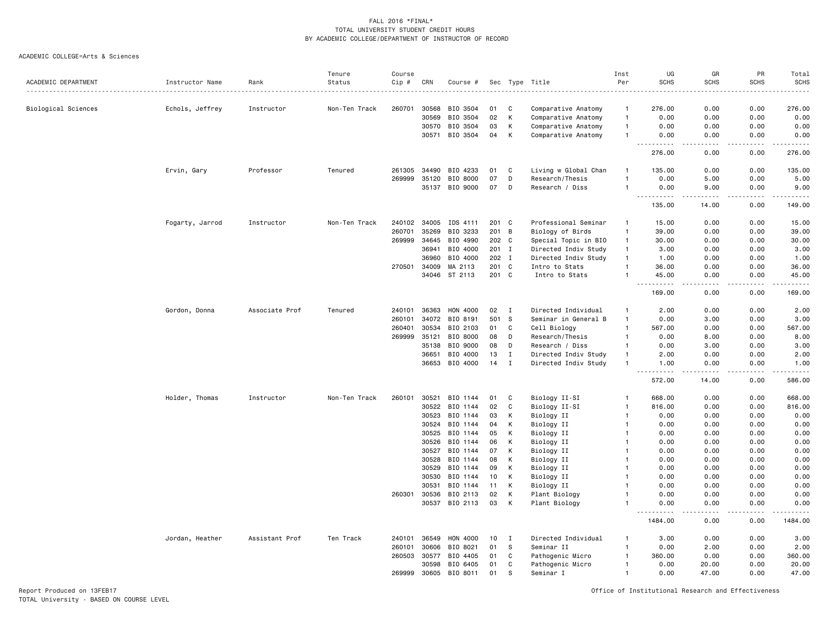#### ACADEMIC COLLEGE=Arts & Sciences

| ACADEMIC DEPARTMENT | Instructor Name | Rank           | Tenure<br>Status | Course<br>Cip # | CRN   | Course # |       |              | Sec Type Title       | Inst<br>Per    | UG<br><b>SCHS</b>                                                                                                                                            | GR<br><b>SCHS</b> | PR<br><b>SCHS</b>            | Total<br><b>SCHS</b> |
|---------------------|-----------------|----------------|------------------|-----------------|-------|----------|-------|--------------|----------------------|----------------|--------------------------------------------------------------------------------------------------------------------------------------------------------------|-------------------|------------------------------|----------------------|
|                     |                 |                |                  |                 |       |          |       |              |                      | .              |                                                                                                                                                              |                   |                              | .                    |
| Biological Sciences | Echols, Jeffrey | Instructor     | Non-Ten Track    | 260701          | 30568 | BIO 3504 | 01    | C            | Comparative Anatomy  | $\mathbf{1}$   | 276.00                                                                                                                                                       | 0.00              | 0.00                         | 276.00               |
|                     |                 |                |                  |                 | 30569 | BIO 3504 | 02    | К            | Comparative Anatomy  | $\overline{1}$ | 0.00                                                                                                                                                         | 0.00              | 0.00                         | 0.00                 |
|                     |                 |                |                  |                 | 30570 | BIO 3504 | 03    | К            | Comparative Anatomy  | $\overline{1}$ | 0.00                                                                                                                                                         | 0.00              | 0.00                         | 0.00                 |
|                     |                 |                |                  |                 | 30571 | BIO 3504 | 04    | К            | Comparative Anatomy  | $\mathbf{1}$   | 0.00<br>. <b>.</b>                                                                                                                                           | 0.00<br>.         | 0.00<br>.                    | 0.00<br>.            |
|                     |                 |                |                  |                 |       |          |       |              |                      |                | 276.00                                                                                                                                                       | 0.00              | 0.00                         | 276.00               |
|                     | Ervin, Gary     | Professor      | Tenured          | 261305          | 34490 | BIO 4233 | 01    | C            | Living w Global Chan | $\overline{1}$ | 135.00                                                                                                                                                       | 0.00              | 0.00                         | 135.00               |
|                     |                 |                |                  | 269999          | 35120 | BIO 8000 | 07    | D            | Research/Thesis      | $\mathbf{1}$   | 0.00                                                                                                                                                         | 5.00              | 0.00                         | 5.00                 |
|                     |                 |                |                  |                 | 35137 | BIO 9000 | 07    | D            | Research / Diss      | $\overline{1}$ | 0.00<br>.                                                                                                                                                    | 9.00<br>.         | 0.00<br>.                    | 9.00<br>.            |
|                     |                 |                |                  |                 |       |          |       |              |                      |                | 135.00                                                                                                                                                       | 14.00             | 0.00                         | 149.00               |
|                     | Fogarty, Jarrod | Instructor     | Non-Ten Track    | 240102          | 34005 | IDS 4111 | 201 C |              | Professional Seminar | $\overline{1}$ | 15.00                                                                                                                                                        | 0.00              | 0.00                         | 15.00                |
|                     |                 |                |                  | 260701          | 35269 | BIO 3233 | 201   | B            | Biology of Birds     | $\mathbf{1}$   | 39.00                                                                                                                                                        | 0.00              | 0.00                         | 39.00                |
|                     |                 |                |                  | 269999          | 34645 | BIO 4990 | 202 C |              | Special Topic in BIO | $\mathbf{1}$   | 30.00                                                                                                                                                        | 0.00              | 0.00                         | 30.00                |
|                     |                 |                |                  |                 | 36941 | BIO 4000 | 201 I |              | Directed Indiv Study | $\mathbf{1}$   | 3.00                                                                                                                                                         | 0.00              | 0.00                         | 3.00                 |
|                     |                 |                |                  |                 | 36960 | BIO 4000 | 202 I |              | Directed Indiv Study | $\mathbf{1}$   | 1.00                                                                                                                                                         | 0.00              | 0.00                         | 1.00                 |
|                     |                 |                |                  | 270501          | 34009 | MA 2113  | 201 C |              | Intro to Stats       | $\overline{1}$ | 36.00                                                                                                                                                        | 0.00              | 0.00                         | 36.00                |
|                     |                 |                |                  |                 | 34046 | ST 2113  | 201 C |              | Intro to Stats       | $\overline{1}$ | 45.00<br>.                                                                                                                                                   | 0.00<br>- - - -   | 0.00<br>$\sim$ $\sim$ $\sim$ | 45.00<br>.           |
|                     |                 |                |                  |                 |       |          |       |              |                      |                | 169.00                                                                                                                                                       | 0.00              | 0.00                         | 169.00               |
|                     | Gordon, Donna   | Associate Prof | Tenured          | 240101          | 36363 | HON 4000 | 02    | $\mathbf{I}$ | Directed Individual  | $\mathbf{1}$   | 2.00                                                                                                                                                         | 0.00              | 0.00                         | 2.00                 |
|                     |                 |                |                  | 260101          | 34072 | BIO 8191 | 501   | S            | Seminar in General B | $\overline{1}$ | 0.00                                                                                                                                                         | 3.00              | 0.00                         | 3.00                 |
|                     |                 |                |                  | 260401          | 30534 | BIO 2103 | 01    | C            | Cell Biology         | $\overline{1}$ | 567.00                                                                                                                                                       | 0.00              | 0.00                         | 567.00               |
|                     |                 |                |                  | 269999          | 35121 | BIO 8000 | 08    | D            | Research/Thesis      | $\overline{1}$ | 0.00                                                                                                                                                         | 8.00              | 0.00                         | 8.00                 |
|                     |                 |                |                  |                 | 35138 | BIO 9000 | 08    | D            | Research / Diss      | $\mathbf{1}$   | 0.00                                                                                                                                                         | 3.00              | 0.00                         | 3.00                 |
|                     |                 |                |                  |                 | 36651 | BIO 4000 | 13    | Ι.           | Directed Indiv Study | $\mathbf{1}$   | 2.00                                                                                                                                                         | 0.00              | 0.00                         | 2.00                 |
|                     |                 |                |                  |                 | 36653 | BIO 4000 | 14    | $\mathbf I$  | Directed Indiv Study | $\overline{1}$ | 1.00<br>.                                                                                                                                                    | 0.00<br>.         | 0.00<br>.                    | 1.00<br>2.2.2.2.2.2  |
|                     |                 |                |                  |                 |       |          |       |              |                      |                | 572.00                                                                                                                                                       | 14.00             | 0.00                         | 586.00               |
|                     | Holder, Thomas  | Instructor     | Non-Ten Track    | 260101          | 30521 | BIO 1144 | 01    | C            | Biology II-SI        | $\overline{1}$ | 668.00                                                                                                                                                       | 0.00              | 0.00                         | 668.00               |
|                     |                 |                |                  |                 | 30522 | BIO 1144 | 02    | $\mathtt{C}$ | Biology II-SI        | $\overline{1}$ | 816.00                                                                                                                                                       | 0.00              | 0.00                         | 816.00               |
|                     |                 |                |                  |                 | 30523 | BIO 1144 | 03    | К            | Biology II           | $\mathbf{1}$   | 0.00                                                                                                                                                         | 0.00              | 0.00                         | 0.00                 |
|                     |                 |                |                  |                 | 30524 | BIO 1144 | 04    | К            | Biology II           |                | 0.00                                                                                                                                                         | 0.00              | 0.00                         | 0.00                 |
|                     |                 |                |                  |                 | 30525 | BIO 1144 | 05    | К            | Biology II           | -1             | 0.00                                                                                                                                                         | 0.00              | 0.00                         | 0.00                 |
|                     |                 |                |                  |                 | 30526 | BIO 1144 | 06    | К            | Biology II           | $\mathbf{1}$   | 0.00                                                                                                                                                         | 0.00              | 0.00                         | 0.00                 |
|                     |                 |                |                  |                 | 30527 | BIO 1144 | 07    | K            | Biology II           |                | 0.00                                                                                                                                                         | 0.00              | 0.00                         | 0.00                 |
|                     |                 |                |                  |                 | 30528 | BIO 1144 | 08    | К            | Biology II           | $\mathbf{1}$   | 0.00                                                                                                                                                         | 0.00              | 0.00                         | 0.00                 |
|                     |                 |                |                  |                 | 30529 | BIO 1144 | 09    | К            | Biology II           |                | 0.00                                                                                                                                                         | 0.00              | 0.00                         | 0.00                 |
|                     |                 |                |                  |                 | 30530 | BIO 1144 | 10    | К            | Biology II           |                | 0.00                                                                                                                                                         | 0.00              | 0.00                         | 0.00                 |
|                     |                 |                |                  |                 | 30531 | BIO 1144 | 11    | К            | Biology II           |                | 0.00                                                                                                                                                         | 0.00              | 0.00                         | 0.00                 |
|                     |                 |                |                  | 260301          | 30536 | BIO 2113 | 02    | K<br>K       | Plant Biology        |                | 0.00                                                                                                                                                         | 0.00              | 0.00                         | 0.00                 |
|                     |                 |                |                  |                 | 30537 | BIO 2113 | 03    |              | Plant Biology        |                | 0.00<br>$\frac{1}{2} \left( \frac{1}{2} \right) \left( \frac{1}{2} \right) \left( \frac{1}{2} \right) \left( \frac{1}{2} \right) \left( \frac{1}{2} \right)$ | 0.00<br>د د د د   | 0.00<br>.                    | 0.00<br>.            |
|                     |                 |                |                  |                 |       |          |       |              |                      |                | 1484.00                                                                                                                                                      | 0.00              | 0.00                         | 1484.00              |
|                     | Jordan, Heather | Assistant Prof | Ten Track        | 240101          | 36549 | HON 4000 | 10    | Ι.           | Directed Individual  | -1             | 3.00                                                                                                                                                         | 0.00              | 0.00                         | 3.00                 |
|                     |                 |                |                  | 260101          | 30606 | BIO 8021 | 01    | S            | Seminar II           | $\overline{1}$ | 0.00                                                                                                                                                         | 2.00              | 0.00                         | 2.00                 |
|                     |                 |                |                  | 260503          | 30577 | BIO 4405 | 01    | C            | Pathogenic Micro     | $\overline{1}$ | 360.00                                                                                                                                                       | 0.00              | 0.00                         | 360.00               |
|                     |                 |                |                  |                 | 30598 | BIO 6405 | 01    | C            | Pathogenic Micro     | $\mathbf{1}$   | 0.00                                                                                                                                                         | 20.00             | 0.00                         | 20.00                |
|                     |                 |                |                  | 269999          | 30605 | BIO 8011 | 01    | s            | Seminar I            | $\mathbf{1}$   | 0.00                                                                                                                                                         | 47.00             | 0.00                         | 47.00                |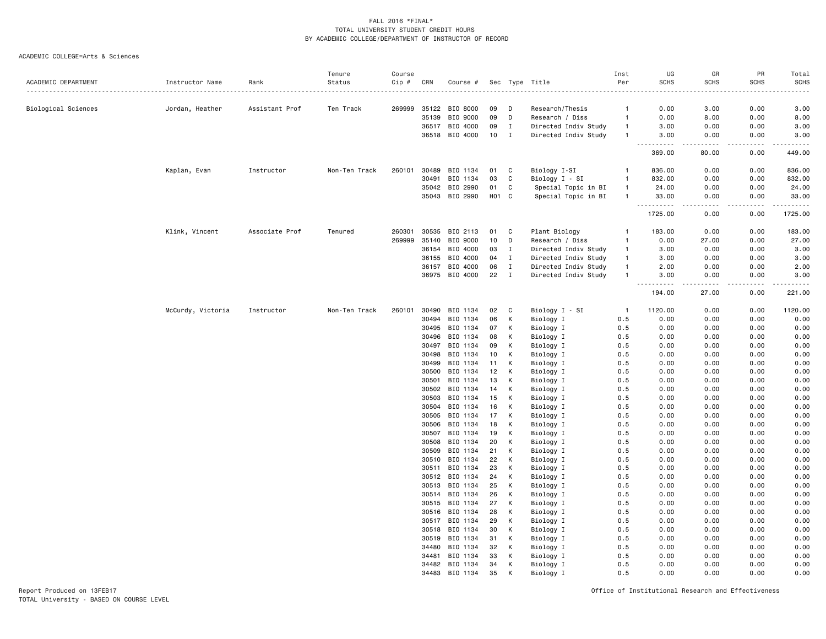#### ACADEMIC COLLEGE=Arts & Sciences

|                     |                   |                | Tenure        | Course |       |                            |                  |              |                        | Inst           | UG                                                                                                                                | GR              | PR              | Total        |
|---------------------|-------------------|----------------|---------------|--------|-------|----------------------------|------------------|--------------|------------------------|----------------|-----------------------------------------------------------------------------------------------------------------------------------|-----------------|-----------------|--------------|
| ACADEMIC DEPARTMENT | Instructor Name   | Rank           | Status        | Cip #  | CRN   | Course #                   |                  |              | Sec Type Title         | Per            | <b>SCHS</b>                                                                                                                       | <b>SCHS</b>     | <b>SCHS</b>     | <b>SCHS</b>  |
| Biological Sciences | Jordan, Heather   | Assistant Prof | Ten Track     | 269999 | 35122 | BIO 8000                   | 09               | D            | Research/Thesis        | $\mathbf{1}$   | 0.00                                                                                                                              | 3.00            | 0.00            | 3.00         |
|                     |                   |                |               |        | 35139 | BIO 9000                   | 09               | D            | Research / Diss        | $\overline{1}$ | 0.00                                                                                                                              | 8.00            | 0.00            | 8.00         |
|                     |                   |                |               |        |       | 36517 BIO 4000             | 09               | I            | Directed Indiv Study   | $\mathbf{1}$   | 3.00                                                                                                                              | 0.00            | 0.00            | 3.00         |
|                     |                   |                |               |        | 36518 | BIO 4000                   | 10               | $\mathbf{I}$ | Directed Indiv Study   | $\mathbf{1}$   | 3.00                                                                                                                              | 0.00            | 0.00            | 3.00         |
|                     |                   |                |               |        |       |                            |                  |              |                        |                | 369.00                                                                                                                            | 80.00           | $- - -$<br>0.00 | 449.00       |
|                     | Kaplan, Evan      | Instructor     | Non-Ten Track | 260101 | 30489 | BIO 1134                   | 01               | C            | Biology I-SI           | -1             | 836.00                                                                                                                            | 0.00            | 0.00            | 836.00       |
|                     |                   |                |               |        | 30491 | BIO 1134                   | 03               | C            | Biology I - SI         | $\overline{1}$ | 832.00                                                                                                                            | 0.00            | 0.00            | 832.00       |
|                     |                   |                |               |        |       | 35042 BIO 2990             | 01               | C            | Special Topic in BI    | $\overline{1}$ | 24.00                                                                                                                             | 0.00            | 0.00            | 24.00        |
|                     |                   |                |               |        | 35043 | BIO 2990                   | H <sub>0</sub> 1 | C            | Special Topic in BI    | $\overline{1}$ | 33.00<br>$- - - - -$                                                                                                              | 0.00<br>- - - - | 0.00<br>د د د د | 33.00<br>.   |
|                     |                   |                |               |        |       |                            |                  |              |                        |                | 1725.00                                                                                                                           | 0.00            | 0.00            | 1725.00      |
|                     | Klink, Vincent    | Associate Prof | Tenured       | 260301 | 30535 | BIO 2113                   | 01               | C            | Plant Biology          | -1             | 183.00                                                                                                                            | 0.00            | 0.00            | 183.00       |
|                     |                   |                |               | 269999 | 35140 | BIO 9000                   | 10               | D            | Research / Diss        | $\overline{1}$ | 0.00                                                                                                                              | 27.00           | 0.00            | 27.00        |
|                     |                   |                |               |        | 36154 | BIO 4000                   | 03               | $\mathbf{I}$ | Directed Indiv Study   | $\mathbf{1}$   | 3.00                                                                                                                              | 0.00            | 0.00            | 3.00         |
|                     |                   |                |               |        | 36155 | BIO 4000                   | 04               | $\mathbf I$  | Directed Indiv Study   | $\overline{1}$ | 3.00                                                                                                                              | 0.00            | 0.00            | 3.00         |
|                     |                   |                |               |        |       | 36157 BIO 4000             | 06               | $\mathbf I$  | Directed Indiv Study   | $\overline{1}$ | 2.00                                                                                                                              | 0.00            | 0.00            | 2.00         |
|                     |                   |                |               |        |       | 36975 BIO 4000             | 22               | $\mathbf I$  | Directed Indiv Study   | $\overline{1}$ | 3.00<br>$\frac{1}{2} \left( \frac{1}{2} \right) \left( \frac{1}{2} \right) \left( \frac{1}{2} \right) \left( \frac{1}{2} \right)$ | 0.00<br>.       | 0.00<br>.       | 3.00<br>.    |
|                     |                   |                |               |        |       |                            |                  |              |                        |                | 194.00                                                                                                                            | 27.00           | 0.00            | 221.00       |
|                     | McCurdy, Victoria | Instructor     | Non-Ten Track | 260101 |       | 30490 BIO 1134             | 02               | C            | Biology I - SI         | $\overline{1}$ | 1120.00                                                                                                                           | 0.00            | 0.00            | 1120.00      |
|                     |                   |                |               |        | 30494 | BIO 1134                   | 06               | к            | Biology I              | 0.5            | 0.00                                                                                                                              | 0.00            | 0.00            | 0.00         |
|                     |                   |                |               |        | 30495 | BIO 1134                   | 07               | К            | Biology I              | 0.5            | 0.00                                                                                                                              | 0.00            | 0.00            | 0.00         |
|                     |                   |                |               |        | 30496 | BIO 1134                   | 08               | К            | Biology I              | 0.5            | 0.00                                                                                                                              | 0.00            | 0.00            | 0.00         |
|                     |                   |                |               |        | 30497 | BIO 1134                   | 09               | К            | Biology I              | 0.5            | 0.00                                                                                                                              | 0.00            | 0.00            | 0.00         |
|                     |                   |                |               |        | 30498 | BIO 1134                   | 10               | К            | Biology I              | 0.5            | 0.00                                                                                                                              | 0.00            | 0.00            | 0.00         |
|                     |                   |                |               |        | 30499 | BIO 1134                   | 11               | К            | Biology I              | 0.5            | 0.00                                                                                                                              | 0.00            | 0.00            | 0.00         |
|                     |                   |                |               |        | 30500 | BIO 1134                   | 12               | К            | Biology I              | 0.5            | 0.00                                                                                                                              | 0.00            | 0.00            | 0.00         |
|                     |                   |                |               |        | 30501 | BIO 1134                   | 13               | К            | Biology I              | 0.5            | 0.00                                                                                                                              | 0.00            | 0.00            | 0.00         |
|                     |                   |                |               |        | 30502 | BIO 1134                   | 14               | К            | Biology I              | 0.5            | 0.00                                                                                                                              | 0.00            | 0.00            | 0.00         |
|                     |                   |                |               |        | 30503 | BIO 1134                   | 15               | К            | Biology I              | 0.5            | 0.00                                                                                                                              | 0.00            | 0.00            | 0.00         |
|                     |                   |                |               |        | 30504 | BIO 1134                   | 16               | К            | Biology I              | 0.5            | 0.00                                                                                                                              | 0.00            | 0.00            | 0.00         |
|                     |                   |                |               |        | 30505 | BIO 1134                   | 17               | К            | Biology I              | 0.5            | 0.00                                                                                                                              | 0.00            | 0.00            | 0.00         |
|                     |                   |                |               |        | 30506 | BIO 1134                   | 18               | К            | Biology I              | 0.5            | 0.00                                                                                                                              | 0.00            | 0.00            | 0.00         |
|                     |                   |                |               |        | 30507 | BIO 1134                   | 19               | К            | Biology I              | 0.5            | 0.00                                                                                                                              | 0.00            | 0.00            | 0.00         |
|                     |                   |                |               |        | 30508 | BIO 1134                   | 20               | К            | Biology I              | 0.5            | 0.00                                                                                                                              | 0.00            | 0.00            | 0.00         |
|                     |                   |                |               |        | 30509 | BIO 1134                   | 21               | К            | Biology I              | 0.5            | 0.00                                                                                                                              | 0.00            | 0.00            | 0.00         |
|                     |                   |                |               |        | 30510 | BIO 1134                   | 22               | К            | Biology I              | 0.5            | 0.00                                                                                                                              | 0.00<br>0.00    | 0.00            | 0.00         |
|                     |                   |                |               |        | 30511 | BIO 1134                   | 23               | К            | Biology I              | 0.5            | 0.00                                                                                                                              |                 | 0.00            | 0.00         |
|                     |                   |                |               |        | 30513 | 30512 BIO 1134<br>BIO 1134 | 24<br>25         | К<br>К       | Biology I<br>Biology I | 0.5<br>0.5     | 0.00<br>0.00                                                                                                                      | 0.00<br>0.00    | 0.00<br>0.00    | 0.00<br>0.00 |
|                     |                   |                |               |        |       | 30514 BIO 1134             | 26               | К            | Biology I              | 0.5            | 0.00                                                                                                                              | 0.00            | 0.00            | 0.00         |
|                     |                   |                |               |        | 30515 | BIO 1134                   | 27               | К            | Biology I              | 0.5            | 0.00                                                                                                                              | 0.00            | 0.00            | 0.00         |
|                     |                   |                |               |        |       | 30516 BIO 1134             | 28               | К            | Biology I              | 0.5            | 0.00                                                                                                                              | 0.00            | 0.00            | 0.00         |
|                     |                   |                |               |        |       | 30517 BIO 1134             | 29               | К            | Biology I              | 0.5            | 0.00                                                                                                                              | 0.00            | 0.00            | 0.00         |
|                     |                   |                |               |        | 30518 | BIO 1134                   | 30               | К            | Biology I              | 0.5            | 0.00                                                                                                                              | 0.00            | 0.00            | 0.00         |
|                     |                   |                |               |        | 30519 | BIO 1134                   | 31               | К            | Biology I              | 0.5            | 0.00                                                                                                                              | 0.00            | 0.00            | 0.00         |
|                     |                   |                |               |        | 34480 | BIO 1134                   | 32               | К            | Biology I              | 0.5            | 0.00                                                                                                                              | 0.00            | 0.00            | 0.00         |
|                     |                   |                |               |        | 34481 | BIO 1134                   | 33               | К            | Biology I              | 0.5            | 0.00                                                                                                                              | 0.00            | 0.00            | 0.00         |
|                     |                   |                |               |        |       | 34482 BIO 1134             | 34               | К            | Biology I              | 0.5            | 0.00                                                                                                                              | 0.00            | 0.00            | 0.00         |
|                     |                   |                |               |        | 34483 | BIO 1134                   | 35               | K            | Biology I              | 0.5            | 0.00                                                                                                                              | 0.00            | 0.00            | 0.00         |
|                     |                   |                |               |        |       |                            |                  |              |                        |                |                                                                                                                                   |                 |                 |              |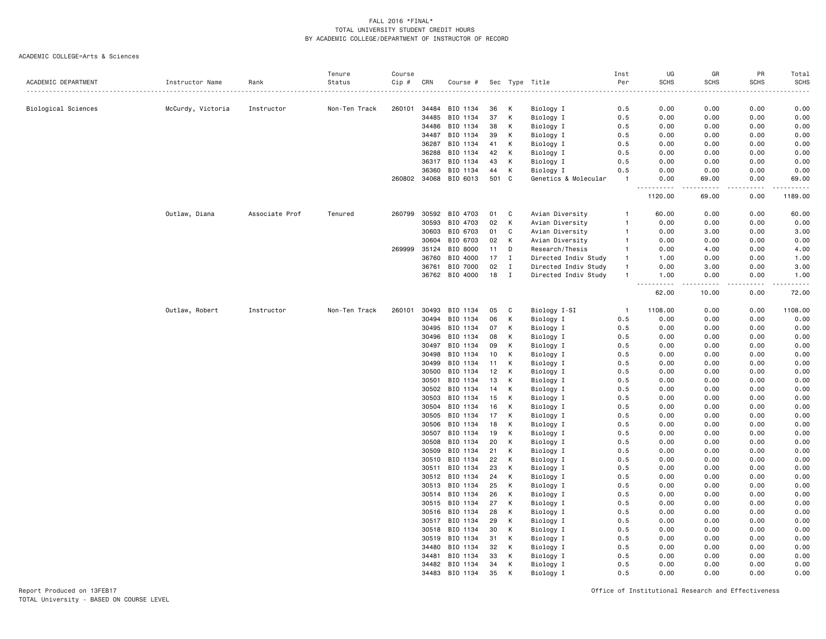#### ACADEMIC COLLEGE=Arts & Sciences

| Status<br>Per<br><b>SCHS</b><br><b>SCHS</b><br>SCHS<br>ACADEMIC DEPARTMENT<br>Instructor Name<br>Cip #<br>CRN<br>Sec Type<br>Title<br><b>SCHS</b><br>Rank<br>Course #<br>260101<br>34484<br>BIO 1134<br>0.00<br>0.00<br>0.00<br>0.00<br>Biological Sciences<br>McCurdy, Victoria<br>Non-Ten Track<br>К<br>Biology I<br>0.5<br>Instructor<br>36<br>37<br>К<br>Biology I<br>0.00<br>0.00<br>34485<br>BIO 1134<br>0.5<br>0.00<br>0.00<br>К<br>34486<br>BIO 1134<br>38<br>Biology I<br>0.5<br>0.00<br>0.00<br>0.00<br>0.00<br>34487<br>BIO 1134<br>39<br>к<br>Biology I<br>0.5<br>0.00<br>0.00<br>0.00<br>0.00<br>BIO 1134<br>0.00<br>36287<br>41<br>К<br>Biology I<br>0.5<br>0.00<br>0.00<br>0.00<br>36288<br>BIO 1134<br>42<br>К<br>Biology I<br>0.00<br>0.00<br>0.00<br>0.00<br>0.5<br>36317<br>BIO 1134<br>К<br>Biology I<br>0.00<br>0.00<br>0.00<br>43<br>0.5<br>0.00<br>36360<br>К<br>BIO 1134<br>Biology I<br>0.5<br>0.00<br>0.00<br>0.00<br>0.00<br>44<br>260802 34068 BIO 6013<br>501<br>C<br>Genetics & Molecular<br>0.00<br>69.00<br>$\overline{1}$<br>0.00<br>69.00<br>1189.00<br>1120.00<br>69.00<br>0.00<br>260799<br>30592<br>0.00<br>60.00<br>Outlaw, Diana<br>Associate Prof<br>Tenured<br>BIO 4703<br>C<br>Avian Diversity<br>60.00<br>0.00<br>01<br>1<br>30593<br>BIO 4703<br>02<br>К<br>Avian Diversity<br>0.00<br>0.00<br>0.00<br>0.00<br>-1<br>BIO 6703<br>30603<br>01<br>C<br>Avian Diversity<br>0.00<br>3.00<br>0.00<br>3.00<br>$\mathbf{1}$<br>BIO 6703<br>0.00<br>30604<br>02<br>К<br>Avian Diversity<br>0.00<br>0.00<br>0.00<br>$\mathbf{1}$<br>269999<br>35124<br>BIO 8000<br>11<br>D<br>Research/Thesis<br>0.00<br>4.00<br>0.00<br>4.00<br>$\mathbf{1}$<br>BIO 4000<br>36760<br>17<br>$\mathbf{I}$<br>Directed Indiv Study<br>1.00<br>0.00<br>0.00<br>1.00<br>$\mathbf{1}$<br>BIO 7000<br>36761<br>02<br>Directed Indiv Study<br>0.00<br>3.00<br>0.00<br>3.00<br>$\mathbf{I}$<br>$\overline{1}$<br>BIO 4000<br>18<br>Directed Indiv Study<br>0.00<br>36762<br>I<br>$\overline{1}$<br>1.00<br>0.00<br>1.00<br>$-$<br>.<br>$\sim$ $\sim$ $\sim$ $\sim$<br>. <u>.</u> .<br>$\frac{1}{2}$<br>62.00<br>10.00<br>0.00<br>72.00<br>Outlaw, Robert<br>Instructor<br>Non-Ten Track<br>260101<br>30493<br>BIO 1134<br>Biology I-SI<br>1108.00<br>0.00<br>0.00<br>1108.00<br>05<br>C<br>$\overline{1}$<br>30494<br>BIO 1134<br>06<br>К<br>Biology I<br>0.00<br>0.00<br>0.00<br>0.5<br>0.00<br>K<br>0.00<br>30495<br>BIO 1134<br>07<br>Biology I<br>0.5<br>0.00<br>0.00<br>0.00<br>К<br>30496<br>BIO 1134<br>Biology I<br>0.5<br>0.00<br>0.00<br>0.00<br>0.00<br>08<br>BIO 1134<br>К<br>Biology I<br>0.00<br>30497<br>09<br>0.5<br>0.00<br>0.00<br>0.00<br>30498<br>BIO 1134<br>10<br>К<br>Biology I<br>0.5<br>0.00<br>0.00<br>0.00<br>0.00<br>BIO 1134<br>0.00<br>30499<br>11<br>К<br>Biology I<br>0.5<br>0.00<br>0.00<br>0.00<br>0.00<br>30500<br>BIO 1134<br>12<br>K<br>Biology I<br>0.5<br>0.00<br>0.00<br>0.00<br>30501<br>BIO 1134<br>13<br>К<br>Biology I<br>0.5<br>0.00<br>0.00<br>0.00<br>0.00<br>BIO 1134<br>K<br>0.00<br>30502<br>14<br>Biology I<br>0.5<br>0.00<br>0.00<br>0.00<br>30503<br>BIO 1134<br>15<br>Κ<br>Biology I<br>0.5<br>0.00<br>0.00<br>0.00<br>0.00<br>30504<br>BIO 1134<br>16<br>К<br>Biology I<br>0.5<br>0.00<br>0.00<br>0.00<br>0.00<br>30505<br>BIO 1134<br>17<br>К<br>Biology I<br>0.00<br>0.00<br>0.00<br>0.00<br>0.5<br>30506<br>BIO 1134<br>К<br>Biology I<br>0.00<br>0.00<br>0.00<br>18<br>0.5<br>0.00<br>BIO 1134<br>19<br>К<br>Biology I<br>0.00<br>0.00<br>0.00<br>0.00<br>30507<br>0.5<br>BIO 1134<br>30508<br>20<br>К<br>Biology I<br>0.5<br>0.00<br>0.00<br>0.00<br>0.00<br>30509<br>BIO 1134<br>21<br>K<br>Biology I<br>0.00<br>0.00<br>0.00<br>0.00<br>0.5<br>BIO 1134<br>К<br>Biology I<br>0.00<br>30510<br>22<br>0.5<br>0.00<br>0.00<br>0.00<br>30511<br>BIO 1134<br>23<br>К<br>Biology I<br>0.5<br>0.00<br>0.00<br>0.00<br>0.00<br>30512 BIO 1134<br>0.00<br>24<br>К<br>Biology I<br>0.5<br>0.00<br>0.00<br>0.00<br>30513<br>BIO 1134<br>25<br>К<br>Biology I<br>0.5<br>0.00<br>0.00<br>0.00<br>0.00<br>K<br>BIO 1134<br>26<br>Biology I<br>0.00<br>0.00<br>0.00<br>0.00<br>30514<br>0.5<br>BIO 1134<br>К<br>30515<br>27<br>Biology I<br>0.5<br>0.00<br>0.00<br>0.00<br>0.00<br>К<br>30516<br>BIO 1134<br>Biology I<br>0.5<br>0.00<br>0.00<br>0.00<br>0.00<br>28<br>30517<br>BIO 1134<br>29<br>K<br>Biology I<br>0.5<br>0.00<br>0.00<br>0.00<br>0.00<br>30518<br>BIO 1134<br>30<br>К<br>Biology I<br>0.00<br>0.00<br>0.00<br>0.00<br>0.5<br>30519<br>BIO 1134<br>31<br>К<br>Biology I<br>0.00<br>0.00<br>0.00<br>0.00<br>0.5<br>34480<br>BIO 1134<br>32<br>К<br>Biology I<br>0.00<br>0.00<br>0.5<br>0.00<br>0.00<br>34481<br>BIO 1134<br>33<br>K<br>Biology I<br>0.5<br>0.00<br>0.00<br>0.00<br>0.00<br>34482<br>BIO 1134<br>К<br>Biology I<br>0.00<br>0.00<br>0.00<br>34<br>0.5<br>0.00<br>35<br>34483<br>BIO 1134<br>K<br>Biology I<br>0.5<br>0.00<br>0.00<br>0.00<br>0.00 |  | Tenure | Course |  |  | Inst | UG | GR | PR | Total |
|-------------------------------------------------------------------------------------------------------------------------------------------------------------------------------------------------------------------------------------------------------------------------------------------------------------------------------------------------------------------------------------------------------------------------------------------------------------------------------------------------------------------------------------------------------------------------------------------------------------------------------------------------------------------------------------------------------------------------------------------------------------------------------------------------------------------------------------------------------------------------------------------------------------------------------------------------------------------------------------------------------------------------------------------------------------------------------------------------------------------------------------------------------------------------------------------------------------------------------------------------------------------------------------------------------------------------------------------------------------------------------------------------------------------------------------------------------------------------------------------------------------------------------------------------------------------------------------------------------------------------------------------------------------------------------------------------------------------------------------------------------------------------------------------------------------------------------------------------------------------------------------------------------------------------------------------------------------------------------------------------------------------------------------------------------------------------------------------------------------------------------------------------------------------------------------------------------------------------------------------------------------------------------------------------------------------------------------------------------------------------------------------------------------------------------------------------------------------------------------------------------------------------------------------------------------------------------------------------------------------------------------------------------------------------------------------------------------------------------------------------------------------------------------------------------------------------------------------------------------------------------------------------------------------------------------------------------------------------------------------------------------------------------------------------------------------------------------------------------------------------------------------------------------------------------------------------------------------------------------------------------------------------------------------------------------------------------------------------------------------------------------------------------------------------------------------------------------------------------------------------------------------------------------------------------------------------------------------------------------------------------------------------------------------------------------------------------------------------------------------------------------------------------------------------------------------------------------------------------------------------------------------------------------------------------------------------------------------------------------------------------------------------------------------------------------------------------------------------------------------------------------------------------------------------------------------------------------------------------------------------------------------------------------------------------------------------------------------------------------------------------------------------------------------------------------------------------------------------------------------------------------------------------------------------------------------------------------------------------------------------------------------------------------------------------------------------------------------------------------------------------------------------------------------------------------------------------------------------------------------------------------------------------------------------------------------|--|--------|--------|--|--|------|----|----|----|-------|
|                                                                                                                                                                                                                                                                                                                                                                                                                                                                                                                                                                                                                                                                                                                                                                                                                                                                                                                                                                                                                                                                                                                                                                                                                                                                                                                                                                                                                                                                                                                                                                                                                                                                                                                                                                                                                                                                                                                                                                                                                                                                                                                                                                                                                                                                                                                                                                                                                                                                                                                                                                                                                                                                                                                                                                                                                                                                                                                                                                                                                                                                                                                                                                                                                                                                                                                                                                                                                                                                                                                                                                                                                                                                                                                                                                                                                                                                                                                                                                                                                                                                                                                                                                                                                                                                                                                                                                                                                                                                                                                                                                                                                                                                                                                                                                                                                                                                                                                                           |  |        |        |  |  |      |    |    |    |       |
|                                                                                                                                                                                                                                                                                                                                                                                                                                                                                                                                                                                                                                                                                                                                                                                                                                                                                                                                                                                                                                                                                                                                                                                                                                                                                                                                                                                                                                                                                                                                                                                                                                                                                                                                                                                                                                                                                                                                                                                                                                                                                                                                                                                                                                                                                                                                                                                                                                                                                                                                                                                                                                                                                                                                                                                                                                                                                                                                                                                                                                                                                                                                                                                                                                                                                                                                                                                                                                                                                                                                                                                                                                                                                                                                                                                                                                                                                                                                                                                                                                                                                                                                                                                                                                                                                                                                                                                                                                                                                                                                                                                                                                                                                                                                                                                                                                                                                                                                           |  |        |        |  |  |      |    |    |    |       |
|                                                                                                                                                                                                                                                                                                                                                                                                                                                                                                                                                                                                                                                                                                                                                                                                                                                                                                                                                                                                                                                                                                                                                                                                                                                                                                                                                                                                                                                                                                                                                                                                                                                                                                                                                                                                                                                                                                                                                                                                                                                                                                                                                                                                                                                                                                                                                                                                                                                                                                                                                                                                                                                                                                                                                                                                                                                                                                                                                                                                                                                                                                                                                                                                                                                                                                                                                                                                                                                                                                                                                                                                                                                                                                                                                                                                                                                                                                                                                                                                                                                                                                                                                                                                                                                                                                                                                                                                                                                                                                                                                                                                                                                                                                                                                                                                                                                                                                                                           |  |        |        |  |  |      |    |    |    |       |
|                                                                                                                                                                                                                                                                                                                                                                                                                                                                                                                                                                                                                                                                                                                                                                                                                                                                                                                                                                                                                                                                                                                                                                                                                                                                                                                                                                                                                                                                                                                                                                                                                                                                                                                                                                                                                                                                                                                                                                                                                                                                                                                                                                                                                                                                                                                                                                                                                                                                                                                                                                                                                                                                                                                                                                                                                                                                                                                                                                                                                                                                                                                                                                                                                                                                                                                                                                                                                                                                                                                                                                                                                                                                                                                                                                                                                                                                                                                                                                                                                                                                                                                                                                                                                                                                                                                                                                                                                                                                                                                                                                                                                                                                                                                                                                                                                                                                                                                                           |  |        |        |  |  |      |    |    |    |       |
|                                                                                                                                                                                                                                                                                                                                                                                                                                                                                                                                                                                                                                                                                                                                                                                                                                                                                                                                                                                                                                                                                                                                                                                                                                                                                                                                                                                                                                                                                                                                                                                                                                                                                                                                                                                                                                                                                                                                                                                                                                                                                                                                                                                                                                                                                                                                                                                                                                                                                                                                                                                                                                                                                                                                                                                                                                                                                                                                                                                                                                                                                                                                                                                                                                                                                                                                                                                                                                                                                                                                                                                                                                                                                                                                                                                                                                                                                                                                                                                                                                                                                                                                                                                                                                                                                                                                                                                                                                                                                                                                                                                                                                                                                                                                                                                                                                                                                                                                           |  |        |        |  |  |      |    |    |    |       |
|                                                                                                                                                                                                                                                                                                                                                                                                                                                                                                                                                                                                                                                                                                                                                                                                                                                                                                                                                                                                                                                                                                                                                                                                                                                                                                                                                                                                                                                                                                                                                                                                                                                                                                                                                                                                                                                                                                                                                                                                                                                                                                                                                                                                                                                                                                                                                                                                                                                                                                                                                                                                                                                                                                                                                                                                                                                                                                                                                                                                                                                                                                                                                                                                                                                                                                                                                                                                                                                                                                                                                                                                                                                                                                                                                                                                                                                                                                                                                                                                                                                                                                                                                                                                                                                                                                                                                                                                                                                                                                                                                                                                                                                                                                                                                                                                                                                                                                                                           |  |        |        |  |  |      |    |    |    |       |
|                                                                                                                                                                                                                                                                                                                                                                                                                                                                                                                                                                                                                                                                                                                                                                                                                                                                                                                                                                                                                                                                                                                                                                                                                                                                                                                                                                                                                                                                                                                                                                                                                                                                                                                                                                                                                                                                                                                                                                                                                                                                                                                                                                                                                                                                                                                                                                                                                                                                                                                                                                                                                                                                                                                                                                                                                                                                                                                                                                                                                                                                                                                                                                                                                                                                                                                                                                                                                                                                                                                                                                                                                                                                                                                                                                                                                                                                                                                                                                                                                                                                                                                                                                                                                                                                                                                                                                                                                                                                                                                                                                                                                                                                                                                                                                                                                                                                                                                                           |  |        |        |  |  |      |    |    |    |       |
|                                                                                                                                                                                                                                                                                                                                                                                                                                                                                                                                                                                                                                                                                                                                                                                                                                                                                                                                                                                                                                                                                                                                                                                                                                                                                                                                                                                                                                                                                                                                                                                                                                                                                                                                                                                                                                                                                                                                                                                                                                                                                                                                                                                                                                                                                                                                                                                                                                                                                                                                                                                                                                                                                                                                                                                                                                                                                                                                                                                                                                                                                                                                                                                                                                                                                                                                                                                                                                                                                                                                                                                                                                                                                                                                                                                                                                                                                                                                                                                                                                                                                                                                                                                                                                                                                                                                                                                                                                                                                                                                                                                                                                                                                                                                                                                                                                                                                                                                           |  |        |        |  |  |      |    |    |    |       |
|                                                                                                                                                                                                                                                                                                                                                                                                                                                                                                                                                                                                                                                                                                                                                                                                                                                                                                                                                                                                                                                                                                                                                                                                                                                                                                                                                                                                                                                                                                                                                                                                                                                                                                                                                                                                                                                                                                                                                                                                                                                                                                                                                                                                                                                                                                                                                                                                                                                                                                                                                                                                                                                                                                                                                                                                                                                                                                                                                                                                                                                                                                                                                                                                                                                                                                                                                                                                                                                                                                                                                                                                                                                                                                                                                                                                                                                                                                                                                                                                                                                                                                                                                                                                                                                                                                                                                                                                                                                                                                                                                                                                                                                                                                                                                                                                                                                                                                                                           |  |        |        |  |  |      |    |    |    |       |
|                                                                                                                                                                                                                                                                                                                                                                                                                                                                                                                                                                                                                                                                                                                                                                                                                                                                                                                                                                                                                                                                                                                                                                                                                                                                                                                                                                                                                                                                                                                                                                                                                                                                                                                                                                                                                                                                                                                                                                                                                                                                                                                                                                                                                                                                                                                                                                                                                                                                                                                                                                                                                                                                                                                                                                                                                                                                                                                                                                                                                                                                                                                                                                                                                                                                                                                                                                                                                                                                                                                                                                                                                                                                                                                                                                                                                                                                                                                                                                                                                                                                                                                                                                                                                                                                                                                                                                                                                                                                                                                                                                                                                                                                                                                                                                                                                                                                                                                                           |  |        |        |  |  |      |    |    |    |       |
|                                                                                                                                                                                                                                                                                                                                                                                                                                                                                                                                                                                                                                                                                                                                                                                                                                                                                                                                                                                                                                                                                                                                                                                                                                                                                                                                                                                                                                                                                                                                                                                                                                                                                                                                                                                                                                                                                                                                                                                                                                                                                                                                                                                                                                                                                                                                                                                                                                                                                                                                                                                                                                                                                                                                                                                                                                                                                                                                                                                                                                                                                                                                                                                                                                                                                                                                                                                                                                                                                                                                                                                                                                                                                                                                                                                                                                                                                                                                                                                                                                                                                                                                                                                                                                                                                                                                                                                                                                                                                                                                                                                                                                                                                                                                                                                                                                                                                                                                           |  |        |        |  |  |      |    |    |    |       |
|                                                                                                                                                                                                                                                                                                                                                                                                                                                                                                                                                                                                                                                                                                                                                                                                                                                                                                                                                                                                                                                                                                                                                                                                                                                                                                                                                                                                                                                                                                                                                                                                                                                                                                                                                                                                                                                                                                                                                                                                                                                                                                                                                                                                                                                                                                                                                                                                                                                                                                                                                                                                                                                                                                                                                                                                                                                                                                                                                                                                                                                                                                                                                                                                                                                                                                                                                                                                                                                                                                                                                                                                                                                                                                                                                                                                                                                                                                                                                                                                                                                                                                                                                                                                                                                                                                                                                                                                                                                                                                                                                                                                                                                                                                                                                                                                                                                                                                                                           |  |        |        |  |  |      |    |    |    |       |
|                                                                                                                                                                                                                                                                                                                                                                                                                                                                                                                                                                                                                                                                                                                                                                                                                                                                                                                                                                                                                                                                                                                                                                                                                                                                                                                                                                                                                                                                                                                                                                                                                                                                                                                                                                                                                                                                                                                                                                                                                                                                                                                                                                                                                                                                                                                                                                                                                                                                                                                                                                                                                                                                                                                                                                                                                                                                                                                                                                                                                                                                                                                                                                                                                                                                                                                                                                                                                                                                                                                                                                                                                                                                                                                                                                                                                                                                                                                                                                                                                                                                                                                                                                                                                                                                                                                                                                                                                                                                                                                                                                                                                                                                                                                                                                                                                                                                                                                                           |  |        |        |  |  |      |    |    |    |       |
|                                                                                                                                                                                                                                                                                                                                                                                                                                                                                                                                                                                                                                                                                                                                                                                                                                                                                                                                                                                                                                                                                                                                                                                                                                                                                                                                                                                                                                                                                                                                                                                                                                                                                                                                                                                                                                                                                                                                                                                                                                                                                                                                                                                                                                                                                                                                                                                                                                                                                                                                                                                                                                                                                                                                                                                                                                                                                                                                                                                                                                                                                                                                                                                                                                                                                                                                                                                                                                                                                                                                                                                                                                                                                                                                                                                                                                                                                                                                                                                                                                                                                                                                                                                                                                                                                                                                                                                                                                                                                                                                                                                                                                                                                                                                                                                                                                                                                                                                           |  |        |        |  |  |      |    |    |    |       |
|                                                                                                                                                                                                                                                                                                                                                                                                                                                                                                                                                                                                                                                                                                                                                                                                                                                                                                                                                                                                                                                                                                                                                                                                                                                                                                                                                                                                                                                                                                                                                                                                                                                                                                                                                                                                                                                                                                                                                                                                                                                                                                                                                                                                                                                                                                                                                                                                                                                                                                                                                                                                                                                                                                                                                                                                                                                                                                                                                                                                                                                                                                                                                                                                                                                                                                                                                                                                                                                                                                                                                                                                                                                                                                                                                                                                                                                                                                                                                                                                                                                                                                                                                                                                                                                                                                                                                                                                                                                                                                                                                                                                                                                                                                                                                                                                                                                                                                                                           |  |        |        |  |  |      |    |    |    |       |
|                                                                                                                                                                                                                                                                                                                                                                                                                                                                                                                                                                                                                                                                                                                                                                                                                                                                                                                                                                                                                                                                                                                                                                                                                                                                                                                                                                                                                                                                                                                                                                                                                                                                                                                                                                                                                                                                                                                                                                                                                                                                                                                                                                                                                                                                                                                                                                                                                                                                                                                                                                                                                                                                                                                                                                                                                                                                                                                                                                                                                                                                                                                                                                                                                                                                                                                                                                                                                                                                                                                                                                                                                                                                                                                                                                                                                                                                                                                                                                                                                                                                                                                                                                                                                                                                                                                                                                                                                                                                                                                                                                                                                                                                                                                                                                                                                                                                                                                                           |  |        |        |  |  |      |    |    |    |       |
|                                                                                                                                                                                                                                                                                                                                                                                                                                                                                                                                                                                                                                                                                                                                                                                                                                                                                                                                                                                                                                                                                                                                                                                                                                                                                                                                                                                                                                                                                                                                                                                                                                                                                                                                                                                                                                                                                                                                                                                                                                                                                                                                                                                                                                                                                                                                                                                                                                                                                                                                                                                                                                                                                                                                                                                                                                                                                                                                                                                                                                                                                                                                                                                                                                                                                                                                                                                                                                                                                                                                                                                                                                                                                                                                                                                                                                                                                                                                                                                                                                                                                                                                                                                                                                                                                                                                                                                                                                                                                                                                                                                                                                                                                                                                                                                                                                                                                                                                           |  |        |        |  |  |      |    |    |    |       |
|                                                                                                                                                                                                                                                                                                                                                                                                                                                                                                                                                                                                                                                                                                                                                                                                                                                                                                                                                                                                                                                                                                                                                                                                                                                                                                                                                                                                                                                                                                                                                                                                                                                                                                                                                                                                                                                                                                                                                                                                                                                                                                                                                                                                                                                                                                                                                                                                                                                                                                                                                                                                                                                                                                                                                                                                                                                                                                                                                                                                                                                                                                                                                                                                                                                                                                                                                                                                                                                                                                                                                                                                                                                                                                                                                                                                                                                                                                                                                                                                                                                                                                                                                                                                                                                                                                                                                                                                                                                                                                                                                                                                                                                                                                                                                                                                                                                                                                                                           |  |        |        |  |  |      |    |    |    |       |
|                                                                                                                                                                                                                                                                                                                                                                                                                                                                                                                                                                                                                                                                                                                                                                                                                                                                                                                                                                                                                                                                                                                                                                                                                                                                                                                                                                                                                                                                                                                                                                                                                                                                                                                                                                                                                                                                                                                                                                                                                                                                                                                                                                                                                                                                                                                                                                                                                                                                                                                                                                                                                                                                                                                                                                                                                                                                                                                                                                                                                                                                                                                                                                                                                                                                                                                                                                                                                                                                                                                                                                                                                                                                                                                                                                                                                                                                                                                                                                                                                                                                                                                                                                                                                                                                                                                                                                                                                                                                                                                                                                                                                                                                                                                                                                                                                                                                                                                                           |  |        |        |  |  |      |    |    |    |       |
|                                                                                                                                                                                                                                                                                                                                                                                                                                                                                                                                                                                                                                                                                                                                                                                                                                                                                                                                                                                                                                                                                                                                                                                                                                                                                                                                                                                                                                                                                                                                                                                                                                                                                                                                                                                                                                                                                                                                                                                                                                                                                                                                                                                                                                                                                                                                                                                                                                                                                                                                                                                                                                                                                                                                                                                                                                                                                                                                                                                                                                                                                                                                                                                                                                                                                                                                                                                                                                                                                                                                                                                                                                                                                                                                                                                                                                                                                                                                                                                                                                                                                                                                                                                                                                                                                                                                                                                                                                                                                                                                                                                                                                                                                                                                                                                                                                                                                                                                           |  |        |        |  |  |      |    |    |    |       |
|                                                                                                                                                                                                                                                                                                                                                                                                                                                                                                                                                                                                                                                                                                                                                                                                                                                                                                                                                                                                                                                                                                                                                                                                                                                                                                                                                                                                                                                                                                                                                                                                                                                                                                                                                                                                                                                                                                                                                                                                                                                                                                                                                                                                                                                                                                                                                                                                                                                                                                                                                                                                                                                                                                                                                                                                                                                                                                                                                                                                                                                                                                                                                                                                                                                                                                                                                                                                                                                                                                                                                                                                                                                                                                                                                                                                                                                                                                                                                                                                                                                                                                                                                                                                                                                                                                                                                                                                                                                                                                                                                                                                                                                                                                                                                                                                                                                                                                                                           |  |        |        |  |  |      |    |    |    |       |
|                                                                                                                                                                                                                                                                                                                                                                                                                                                                                                                                                                                                                                                                                                                                                                                                                                                                                                                                                                                                                                                                                                                                                                                                                                                                                                                                                                                                                                                                                                                                                                                                                                                                                                                                                                                                                                                                                                                                                                                                                                                                                                                                                                                                                                                                                                                                                                                                                                                                                                                                                                                                                                                                                                                                                                                                                                                                                                                                                                                                                                                                                                                                                                                                                                                                                                                                                                                                                                                                                                                                                                                                                                                                                                                                                                                                                                                                                                                                                                                                                                                                                                                                                                                                                                                                                                                                                                                                                                                                                                                                                                                                                                                                                                                                                                                                                                                                                                                                           |  |        |        |  |  |      |    |    |    |       |
|                                                                                                                                                                                                                                                                                                                                                                                                                                                                                                                                                                                                                                                                                                                                                                                                                                                                                                                                                                                                                                                                                                                                                                                                                                                                                                                                                                                                                                                                                                                                                                                                                                                                                                                                                                                                                                                                                                                                                                                                                                                                                                                                                                                                                                                                                                                                                                                                                                                                                                                                                                                                                                                                                                                                                                                                                                                                                                                                                                                                                                                                                                                                                                                                                                                                                                                                                                                                                                                                                                                                                                                                                                                                                                                                                                                                                                                                                                                                                                                                                                                                                                                                                                                                                                                                                                                                                                                                                                                                                                                                                                                                                                                                                                                                                                                                                                                                                                                                           |  |        |        |  |  |      |    |    |    |       |
|                                                                                                                                                                                                                                                                                                                                                                                                                                                                                                                                                                                                                                                                                                                                                                                                                                                                                                                                                                                                                                                                                                                                                                                                                                                                                                                                                                                                                                                                                                                                                                                                                                                                                                                                                                                                                                                                                                                                                                                                                                                                                                                                                                                                                                                                                                                                                                                                                                                                                                                                                                                                                                                                                                                                                                                                                                                                                                                                                                                                                                                                                                                                                                                                                                                                                                                                                                                                                                                                                                                                                                                                                                                                                                                                                                                                                                                                                                                                                                                                                                                                                                                                                                                                                                                                                                                                                                                                                                                                                                                                                                                                                                                                                                                                                                                                                                                                                                                                           |  |        |        |  |  |      |    |    |    |       |
|                                                                                                                                                                                                                                                                                                                                                                                                                                                                                                                                                                                                                                                                                                                                                                                                                                                                                                                                                                                                                                                                                                                                                                                                                                                                                                                                                                                                                                                                                                                                                                                                                                                                                                                                                                                                                                                                                                                                                                                                                                                                                                                                                                                                                                                                                                                                                                                                                                                                                                                                                                                                                                                                                                                                                                                                                                                                                                                                                                                                                                                                                                                                                                                                                                                                                                                                                                                                                                                                                                                                                                                                                                                                                                                                                                                                                                                                                                                                                                                                                                                                                                                                                                                                                                                                                                                                                                                                                                                                                                                                                                                                                                                                                                                                                                                                                                                                                                                                           |  |        |        |  |  |      |    |    |    |       |
|                                                                                                                                                                                                                                                                                                                                                                                                                                                                                                                                                                                                                                                                                                                                                                                                                                                                                                                                                                                                                                                                                                                                                                                                                                                                                                                                                                                                                                                                                                                                                                                                                                                                                                                                                                                                                                                                                                                                                                                                                                                                                                                                                                                                                                                                                                                                                                                                                                                                                                                                                                                                                                                                                                                                                                                                                                                                                                                                                                                                                                                                                                                                                                                                                                                                                                                                                                                                                                                                                                                                                                                                                                                                                                                                                                                                                                                                                                                                                                                                                                                                                                                                                                                                                                                                                                                                                                                                                                                                                                                                                                                                                                                                                                                                                                                                                                                                                                                                           |  |        |        |  |  |      |    |    |    |       |
|                                                                                                                                                                                                                                                                                                                                                                                                                                                                                                                                                                                                                                                                                                                                                                                                                                                                                                                                                                                                                                                                                                                                                                                                                                                                                                                                                                                                                                                                                                                                                                                                                                                                                                                                                                                                                                                                                                                                                                                                                                                                                                                                                                                                                                                                                                                                                                                                                                                                                                                                                                                                                                                                                                                                                                                                                                                                                                                                                                                                                                                                                                                                                                                                                                                                                                                                                                                                                                                                                                                                                                                                                                                                                                                                                                                                                                                                                                                                                                                                                                                                                                                                                                                                                                                                                                                                                                                                                                                                                                                                                                                                                                                                                                                                                                                                                                                                                                                                           |  |        |        |  |  |      |    |    |    |       |
|                                                                                                                                                                                                                                                                                                                                                                                                                                                                                                                                                                                                                                                                                                                                                                                                                                                                                                                                                                                                                                                                                                                                                                                                                                                                                                                                                                                                                                                                                                                                                                                                                                                                                                                                                                                                                                                                                                                                                                                                                                                                                                                                                                                                                                                                                                                                                                                                                                                                                                                                                                                                                                                                                                                                                                                                                                                                                                                                                                                                                                                                                                                                                                                                                                                                                                                                                                                                                                                                                                                                                                                                                                                                                                                                                                                                                                                                                                                                                                                                                                                                                                                                                                                                                                                                                                                                                                                                                                                                                                                                                                                                                                                                                                                                                                                                                                                                                                                                           |  |        |        |  |  |      |    |    |    |       |
|                                                                                                                                                                                                                                                                                                                                                                                                                                                                                                                                                                                                                                                                                                                                                                                                                                                                                                                                                                                                                                                                                                                                                                                                                                                                                                                                                                                                                                                                                                                                                                                                                                                                                                                                                                                                                                                                                                                                                                                                                                                                                                                                                                                                                                                                                                                                                                                                                                                                                                                                                                                                                                                                                                                                                                                                                                                                                                                                                                                                                                                                                                                                                                                                                                                                                                                                                                                                                                                                                                                                                                                                                                                                                                                                                                                                                                                                                                                                                                                                                                                                                                                                                                                                                                                                                                                                                                                                                                                                                                                                                                                                                                                                                                                                                                                                                                                                                                                                           |  |        |        |  |  |      |    |    |    |       |
|                                                                                                                                                                                                                                                                                                                                                                                                                                                                                                                                                                                                                                                                                                                                                                                                                                                                                                                                                                                                                                                                                                                                                                                                                                                                                                                                                                                                                                                                                                                                                                                                                                                                                                                                                                                                                                                                                                                                                                                                                                                                                                                                                                                                                                                                                                                                                                                                                                                                                                                                                                                                                                                                                                                                                                                                                                                                                                                                                                                                                                                                                                                                                                                                                                                                                                                                                                                                                                                                                                                                                                                                                                                                                                                                                                                                                                                                                                                                                                                                                                                                                                                                                                                                                                                                                                                                                                                                                                                                                                                                                                                                                                                                                                                                                                                                                                                                                                                                           |  |        |        |  |  |      |    |    |    |       |
|                                                                                                                                                                                                                                                                                                                                                                                                                                                                                                                                                                                                                                                                                                                                                                                                                                                                                                                                                                                                                                                                                                                                                                                                                                                                                                                                                                                                                                                                                                                                                                                                                                                                                                                                                                                                                                                                                                                                                                                                                                                                                                                                                                                                                                                                                                                                                                                                                                                                                                                                                                                                                                                                                                                                                                                                                                                                                                                                                                                                                                                                                                                                                                                                                                                                                                                                                                                                                                                                                                                                                                                                                                                                                                                                                                                                                                                                                                                                                                                                                                                                                                                                                                                                                                                                                                                                                                                                                                                                                                                                                                                                                                                                                                                                                                                                                                                                                                                                           |  |        |        |  |  |      |    |    |    |       |
|                                                                                                                                                                                                                                                                                                                                                                                                                                                                                                                                                                                                                                                                                                                                                                                                                                                                                                                                                                                                                                                                                                                                                                                                                                                                                                                                                                                                                                                                                                                                                                                                                                                                                                                                                                                                                                                                                                                                                                                                                                                                                                                                                                                                                                                                                                                                                                                                                                                                                                                                                                                                                                                                                                                                                                                                                                                                                                                                                                                                                                                                                                                                                                                                                                                                                                                                                                                                                                                                                                                                                                                                                                                                                                                                                                                                                                                                                                                                                                                                                                                                                                                                                                                                                                                                                                                                                                                                                                                                                                                                                                                                                                                                                                                                                                                                                                                                                                                                           |  |        |        |  |  |      |    |    |    |       |
|                                                                                                                                                                                                                                                                                                                                                                                                                                                                                                                                                                                                                                                                                                                                                                                                                                                                                                                                                                                                                                                                                                                                                                                                                                                                                                                                                                                                                                                                                                                                                                                                                                                                                                                                                                                                                                                                                                                                                                                                                                                                                                                                                                                                                                                                                                                                                                                                                                                                                                                                                                                                                                                                                                                                                                                                                                                                                                                                                                                                                                                                                                                                                                                                                                                                                                                                                                                                                                                                                                                                                                                                                                                                                                                                                                                                                                                                                                                                                                                                                                                                                                                                                                                                                                                                                                                                                                                                                                                                                                                                                                                                                                                                                                                                                                                                                                                                                                                                           |  |        |        |  |  |      |    |    |    |       |
|                                                                                                                                                                                                                                                                                                                                                                                                                                                                                                                                                                                                                                                                                                                                                                                                                                                                                                                                                                                                                                                                                                                                                                                                                                                                                                                                                                                                                                                                                                                                                                                                                                                                                                                                                                                                                                                                                                                                                                                                                                                                                                                                                                                                                                                                                                                                                                                                                                                                                                                                                                                                                                                                                                                                                                                                                                                                                                                                                                                                                                                                                                                                                                                                                                                                                                                                                                                                                                                                                                                                                                                                                                                                                                                                                                                                                                                                                                                                                                                                                                                                                                                                                                                                                                                                                                                                                                                                                                                                                                                                                                                                                                                                                                                                                                                                                                                                                                                                           |  |        |        |  |  |      |    |    |    |       |
|                                                                                                                                                                                                                                                                                                                                                                                                                                                                                                                                                                                                                                                                                                                                                                                                                                                                                                                                                                                                                                                                                                                                                                                                                                                                                                                                                                                                                                                                                                                                                                                                                                                                                                                                                                                                                                                                                                                                                                                                                                                                                                                                                                                                                                                                                                                                                                                                                                                                                                                                                                                                                                                                                                                                                                                                                                                                                                                                                                                                                                                                                                                                                                                                                                                                                                                                                                                                                                                                                                                                                                                                                                                                                                                                                                                                                                                                                                                                                                                                                                                                                                                                                                                                                                                                                                                                                                                                                                                                                                                                                                                                                                                                                                                                                                                                                                                                                                                                           |  |        |        |  |  |      |    |    |    |       |
|                                                                                                                                                                                                                                                                                                                                                                                                                                                                                                                                                                                                                                                                                                                                                                                                                                                                                                                                                                                                                                                                                                                                                                                                                                                                                                                                                                                                                                                                                                                                                                                                                                                                                                                                                                                                                                                                                                                                                                                                                                                                                                                                                                                                                                                                                                                                                                                                                                                                                                                                                                                                                                                                                                                                                                                                                                                                                                                                                                                                                                                                                                                                                                                                                                                                                                                                                                                                                                                                                                                                                                                                                                                                                                                                                                                                                                                                                                                                                                                                                                                                                                                                                                                                                                                                                                                                                                                                                                                                                                                                                                                                                                                                                                                                                                                                                                                                                                                                           |  |        |        |  |  |      |    |    |    |       |
|                                                                                                                                                                                                                                                                                                                                                                                                                                                                                                                                                                                                                                                                                                                                                                                                                                                                                                                                                                                                                                                                                                                                                                                                                                                                                                                                                                                                                                                                                                                                                                                                                                                                                                                                                                                                                                                                                                                                                                                                                                                                                                                                                                                                                                                                                                                                                                                                                                                                                                                                                                                                                                                                                                                                                                                                                                                                                                                                                                                                                                                                                                                                                                                                                                                                                                                                                                                                                                                                                                                                                                                                                                                                                                                                                                                                                                                                                                                                                                                                                                                                                                                                                                                                                                                                                                                                                                                                                                                                                                                                                                                                                                                                                                                                                                                                                                                                                                                                           |  |        |        |  |  |      |    |    |    |       |
|                                                                                                                                                                                                                                                                                                                                                                                                                                                                                                                                                                                                                                                                                                                                                                                                                                                                                                                                                                                                                                                                                                                                                                                                                                                                                                                                                                                                                                                                                                                                                                                                                                                                                                                                                                                                                                                                                                                                                                                                                                                                                                                                                                                                                                                                                                                                                                                                                                                                                                                                                                                                                                                                                                                                                                                                                                                                                                                                                                                                                                                                                                                                                                                                                                                                                                                                                                                                                                                                                                                                                                                                                                                                                                                                                                                                                                                                                                                                                                                                                                                                                                                                                                                                                                                                                                                                                                                                                                                                                                                                                                                                                                                                                                                                                                                                                                                                                                                                           |  |        |        |  |  |      |    |    |    |       |
|                                                                                                                                                                                                                                                                                                                                                                                                                                                                                                                                                                                                                                                                                                                                                                                                                                                                                                                                                                                                                                                                                                                                                                                                                                                                                                                                                                                                                                                                                                                                                                                                                                                                                                                                                                                                                                                                                                                                                                                                                                                                                                                                                                                                                                                                                                                                                                                                                                                                                                                                                                                                                                                                                                                                                                                                                                                                                                                                                                                                                                                                                                                                                                                                                                                                                                                                                                                                                                                                                                                                                                                                                                                                                                                                                                                                                                                                                                                                                                                                                                                                                                                                                                                                                                                                                                                                                                                                                                                                                                                                                                                                                                                                                                                                                                                                                                                                                                                                           |  |        |        |  |  |      |    |    |    |       |
|                                                                                                                                                                                                                                                                                                                                                                                                                                                                                                                                                                                                                                                                                                                                                                                                                                                                                                                                                                                                                                                                                                                                                                                                                                                                                                                                                                                                                                                                                                                                                                                                                                                                                                                                                                                                                                                                                                                                                                                                                                                                                                                                                                                                                                                                                                                                                                                                                                                                                                                                                                                                                                                                                                                                                                                                                                                                                                                                                                                                                                                                                                                                                                                                                                                                                                                                                                                                                                                                                                                                                                                                                                                                                                                                                                                                                                                                                                                                                                                                                                                                                                                                                                                                                                                                                                                                                                                                                                                                                                                                                                                                                                                                                                                                                                                                                                                                                                                                           |  |        |        |  |  |      |    |    |    |       |
|                                                                                                                                                                                                                                                                                                                                                                                                                                                                                                                                                                                                                                                                                                                                                                                                                                                                                                                                                                                                                                                                                                                                                                                                                                                                                                                                                                                                                                                                                                                                                                                                                                                                                                                                                                                                                                                                                                                                                                                                                                                                                                                                                                                                                                                                                                                                                                                                                                                                                                                                                                                                                                                                                                                                                                                                                                                                                                                                                                                                                                                                                                                                                                                                                                                                                                                                                                                                                                                                                                                                                                                                                                                                                                                                                                                                                                                                                                                                                                                                                                                                                                                                                                                                                                                                                                                                                                                                                                                                                                                                                                                                                                                                                                                                                                                                                                                                                                                                           |  |        |        |  |  |      |    |    |    |       |
|                                                                                                                                                                                                                                                                                                                                                                                                                                                                                                                                                                                                                                                                                                                                                                                                                                                                                                                                                                                                                                                                                                                                                                                                                                                                                                                                                                                                                                                                                                                                                                                                                                                                                                                                                                                                                                                                                                                                                                                                                                                                                                                                                                                                                                                                                                                                                                                                                                                                                                                                                                                                                                                                                                                                                                                                                                                                                                                                                                                                                                                                                                                                                                                                                                                                                                                                                                                                                                                                                                                                                                                                                                                                                                                                                                                                                                                                                                                                                                                                                                                                                                                                                                                                                                                                                                                                                                                                                                                                                                                                                                                                                                                                                                                                                                                                                                                                                                                                           |  |        |        |  |  |      |    |    |    |       |
|                                                                                                                                                                                                                                                                                                                                                                                                                                                                                                                                                                                                                                                                                                                                                                                                                                                                                                                                                                                                                                                                                                                                                                                                                                                                                                                                                                                                                                                                                                                                                                                                                                                                                                                                                                                                                                                                                                                                                                                                                                                                                                                                                                                                                                                                                                                                                                                                                                                                                                                                                                                                                                                                                                                                                                                                                                                                                                                                                                                                                                                                                                                                                                                                                                                                                                                                                                                                                                                                                                                                                                                                                                                                                                                                                                                                                                                                                                                                                                                                                                                                                                                                                                                                                                                                                                                                                                                                                                                                                                                                                                                                                                                                                                                                                                                                                                                                                                                                           |  |        |        |  |  |      |    |    |    |       |
|                                                                                                                                                                                                                                                                                                                                                                                                                                                                                                                                                                                                                                                                                                                                                                                                                                                                                                                                                                                                                                                                                                                                                                                                                                                                                                                                                                                                                                                                                                                                                                                                                                                                                                                                                                                                                                                                                                                                                                                                                                                                                                                                                                                                                                                                                                                                                                                                                                                                                                                                                                                                                                                                                                                                                                                                                                                                                                                                                                                                                                                                                                                                                                                                                                                                                                                                                                                                                                                                                                                                                                                                                                                                                                                                                                                                                                                                                                                                                                                                                                                                                                                                                                                                                                                                                                                                                                                                                                                                                                                                                                                                                                                                                                                                                                                                                                                                                                                                           |  |        |        |  |  |      |    |    |    |       |
|                                                                                                                                                                                                                                                                                                                                                                                                                                                                                                                                                                                                                                                                                                                                                                                                                                                                                                                                                                                                                                                                                                                                                                                                                                                                                                                                                                                                                                                                                                                                                                                                                                                                                                                                                                                                                                                                                                                                                                                                                                                                                                                                                                                                                                                                                                                                                                                                                                                                                                                                                                                                                                                                                                                                                                                                                                                                                                                                                                                                                                                                                                                                                                                                                                                                                                                                                                                                                                                                                                                                                                                                                                                                                                                                                                                                                                                                                                                                                                                                                                                                                                                                                                                                                                                                                                                                                                                                                                                                                                                                                                                                                                                                                                                                                                                                                                                                                                                                           |  |        |        |  |  |      |    |    |    |       |
|                                                                                                                                                                                                                                                                                                                                                                                                                                                                                                                                                                                                                                                                                                                                                                                                                                                                                                                                                                                                                                                                                                                                                                                                                                                                                                                                                                                                                                                                                                                                                                                                                                                                                                                                                                                                                                                                                                                                                                                                                                                                                                                                                                                                                                                                                                                                                                                                                                                                                                                                                                                                                                                                                                                                                                                                                                                                                                                                                                                                                                                                                                                                                                                                                                                                                                                                                                                                                                                                                                                                                                                                                                                                                                                                                                                                                                                                                                                                                                                                                                                                                                                                                                                                                                                                                                                                                                                                                                                                                                                                                                                                                                                                                                                                                                                                                                                                                                                                           |  |        |        |  |  |      |    |    |    |       |
|                                                                                                                                                                                                                                                                                                                                                                                                                                                                                                                                                                                                                                                                                                                                                                                                                                                                                                                                                                                                                                                                                                                                                                                                                                                                                                                                                                                                                                                                                                                                                                                                                                                                                                                                                                                                                                                                                                                                                                                                                                                                                                                                                                                                                                                                                                                                                                                                                                                                                                                                                                                                                                                                                                                                                                                                                                                                                                                                                                                                                                                                                                                                                                                                                                                                                                                                                                                                                                                                                                                                                                                                                                                                                                                                                                                                                                                                                                                                                                                                                                                                                                                                                                                                                                                                                                                                                                                                                                                                                                                                                                                                                                                                                                                                                                                                                                                                                                                                           |  |        |        |  |  |      |    |    |    |       |
|                                                                                                                                                                                                                                                                                                                                                                                                                                                                                                                                                                                                                                                                                                                                                                                                                                                                                                                                                                                                                                                                                                                                                                                                                                                                                                                                                                                                                                                                                                                                                                                                                                                                                                                                                                                                                                                                                                                                                                                                                                                                                                                                                                                                                                                                                                                                                                                                                                                                                                                                                                                                                                                                                                                                                                                                                                                                                                                                                                                                                                                                                                                                                                                                                                                                                                                                                                                                                                                                                                                                                                                                                                                                                                                                                                                                                                                                                                                                                                                                                                                                                                                                                                                                                                                                                                                                                                                                                                                                                                                                                                                                                                                                                                                                                                                                                                                                                                                                           |  |        |        |  |  |      |    |    |    |       |
|                                                                                                                                                                                                                                                                                                                                                                                                                                                                                                                                                                                                                                                                                                                                                                                                                                                                                                                                                                                                                                                                                                                                                                                                                                                                                                                                                                                                                                                                                                                                                                                                                                                                                                                                                                                                                                                                                                                                                                                                                                                                                                                                                                                                                                                                                                                                                                                                                                                                                                                                                                                                                                                                                                                                                                                                                                                                                                                                                                                                                                                                                                                                                                                                                                                                                                                                                                                                                                                                                                                                                                                                                                                                                                                                                                                                                                                                                                                                                                                                                                                                                                                                                                                                                                                                                                                                                                                                                                                                                                                                                                                                                                                                                                                                                                                                                                                                                                                                           |  |        |        |  |  |      |    |    |    |       |
|                                                                                                                                                                                                                                                                                                                                                                                                                                                                                                                                                                                                                                                                                                                                                                                                                                                                                                                                                                                                                                                                                                                                                                                                                                                                                                                                                                                                                                                                                                                                                                                                                                                                                                                                                                                                                                                                                                                                                                                                                                                                                                                                                                                                                                                                                                                                                                                                                                                                                                                                                                                                                                                                                                                                                                                                                                                                                                                                                                                                                                                                                                                                                                                                                                                                                                                                                                                                                                                                                                                                                                                                                                                                                                                                                                                                                                                                                                                                                                                                                                                                                                                                                                                                                                                                                                                                                                                                                                                                                                                                                                                                                                                                                                                                                                                                                                                                                                                                           |  |        |        |  |  |      |    |    |    |       |
|                                                                                                                                                                                                                                                                                                                                                                                                                                                                                                                                                                                                                                                                                                                                                                                                                                                                                                                                                                                                                                                                                                                                                                                                                                                                                                                                                                                                                                                                                                                                                                                                                                                                                                                                                                                                                                                                                                                                                                                                                                                                                                                                                                                                                                                                                                                                                                                                                                                                                                                                                                                                                                                                                                                                                                                                                                                                                                                                                                                                                                                                                                                                                                                                                                                                                                                                                                                                                                                                                                                                                                                                                                                                                                                                                                                                                                                                                                                                                                                                                                                                                                                                                                                                                                                                                                                                                                                                                                                                                                                                                                                                                                                                                                                                                                                                                                                                                                                                           |  |        |        |  |  |      |    |    |    |       |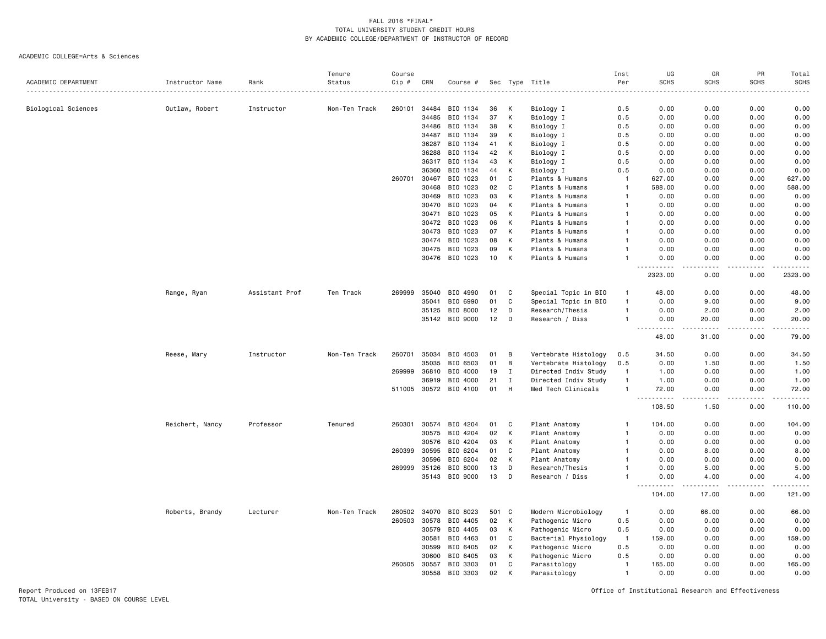#### ACADEMIC COLLEGE=Arts & Sciences

|                     |                 |                | Tenure        | Course |       |                       |     |              |                      | Inst                                                                                                                                                                                   | UG                                                                                                                                | GR                    | <b>PR</b>         | Total                    |
|---------------------|-----------------|----------------|---------------|--------|-------|-----------------------|-----|--------------|----------------------|----------------------------------------------------------------------------------------------------------------------------------------------------------------------------------------|-----------------------------------------------------------------------------------------------------------------------------------|-----------------------|-------------------|--------------------------|
| ACADEMIC DEPARTMENT | Instructor Name | Rank           | Status        | Cip #  | CRN   | Course #              |     |              | Sec Type Title       | Per<br>$\frac{1}{2} \left( \frac{1}{2} \right) \left( \frac{1}{2} \right) \left( \frac{1}{2} \right) \left( \frac{1}{2} \right) \left( \frac{1}{2} \right) \left( \frac{1}{2} \right)$ | <b>SCHS</b>                                                                                                                       | <b>SCHS</b>           | <b>SCHS</b>       | <b>SCHS</b><br>$- - - -$ |
|                     |                 |                |               |        |       |                       |     |              |                      |                                                                                                                                                                                        |                                                                                                                                   |                       |                   |                          |
| Biological Sciences | Outlaw, Robert  | Instructor     | Non-Ten Track | 260101 | 34484 | BIO 1134              | 36  | К            | Biology I            | 0.5                                                                                                                                                                                    | 0.00                                                                                                                              | 0.00                  | 0.00              | 0.00                     |
|                     |                 |                |               |        | 34485 | BIO 1134              | 37  | К            | Biology I            | 0.5                                                                                                                                                                                    | 0.00                                                                                                                              | 0.00                  | 0.00              | 0.00                     |
|                     |                 |                |               |        | 34486 | BIO 1134              | 38  | K            | Biology I            | 0.5                                                                                                                                                                                    | 0.00                                                                                                                              | 0.00                  | 0.00              | 0.00                     |
|                     |                 |                |               |        | 34487 | BIO 1134              | 39  | К            | Biology I            | 0.5                                                                                                                                                                                    | 0.00                                                                                                                              | 0.00                  | 0.00              | 0.00                     |
|                     |                 |                |               |        | 36287 | BIO 1134              | 41  | К            | Biology I            | 0.5                                                                                                                                                                                    | 0.00                                                                                                                              | 0.00                  | 0.00              | 0.00                     |
|                     |                 |                |               |        | 36288 | BIO 1134              | 42  | K            | Biology I            | 0.5                                                                                                                                                                                    | 0.00                                                                                                                              | 0.00                  | 0.00              | 0.00                     |
|                     |                 |                |               |        | 36317 | BIO 1134              | 43  | К            | Biology I            | 0.5                                                                                                                                                                                    | 0.00                                                                                                                              | 0.00                  | 0.00              | 0.00                     |
|                     |                 |                |               |        | 36360 | BIO 1134              | 44  | К            | Biology I            | 0.5                                                                                                                                                                                    | 0.00                                                                                                                              | 0.00                  | 0.00              | 0.00                     |
|                     |                 |                |               | 260701 | 30467 | BIO 1023              | 01  | C            | Plants & Humans      | $\mathbf{1}$                                                                                                                                                                           | 627.00                                                                                                                            | 0.00                  | 0.00              | 627.00                   |
|                     |                 |                |               |        | 30468 | BIO 1023              | 02  | C            | Plants & Humans      | $\mathbf{1}$                                                                                                                                                                           | 588.00                                                                                                                            | 0.00                  | 0.00              | 588.00                   |
|                     |                 |                |               |        | 30469 | BIO 1023              | 03  | К            | Plants & Humans      | $\mathbf{1}$                                                                                                                                                                           | 0.00                                                                                                                              | 0.00                  | 0.00              | 0.00                     |
|                     |                 |                |               |        | 30470 | BIO 1023              | 04  | К            | Plants & Humans      | 1                                                                                                                                                                                      | 0.00                                                                                                                              | 0.00                  | 0.00              | 0.00                     |
|                     |                 |                |               |        | 30471 | BIO 1023              | 05  | К            | Plants & Humans      |                                                                                                                                                                                        | 0.00                                                                                                                              | 0.00                  | 0.00              | 0.00                     |
|                     |                 |                |               |        | 30472 | BIO 1023              | 06  | К            | Plants & Humans      |                                                                                                                                                                                        | 0.00                                                                                                                              | 0.00                  | 0.00              | 0.00                     |
|                     |                 |                |               |        | 30473 | BIO 1023              | 07  | K            | Plants & Humans      |                                                                                                                                                                                        | 0.00                                                                                                                              | 0.00                  | 0.00              | 0.00                     |
|                     |                 |                |               |        | 30474 | BIO 1023              | 08  | K            | Plants & Humans      |                                                                                                                                                                                        | 0.00                                                                                                                              | 0.00                  | 0.00              | 0.00                     |
|                     |                 |                |               |        | 30475 | BIO 1023              | 09  | К            | Plants & Humans      |                                                                                                                                                                                        | 0.00                                                                                                                              | 0.00                  | 0.00              | 0.00                     |
|                     |                 |                |               |        | 30476 | BIO 1023              | 10  | K            | Plants & Humans      |                                                                                                                                                                                        | 0.00<br>$\frac{1}{2} \left( \frac{1}{2} \right) \left( \frac{1}{2} \right) \left( \frac{1}{2} \right) \left( \frac{1}{2} \right)$ | 0.00<br>$\frac{1}{2}$ | 0.00<br>$- - - -$ | 0.00<br>.                |
|                     |                 |                |               |        |       |                       |     |              |                      |                                                                                                                                                                                        | 2323.00                                                                                                                           | 0.00                  | 0.00              | 2323.00                  |
|                     | Range, Ryan     | Assistant Prof | Ten Track     | 269999 | 35040 | BIO 4990              | 01  | C            | Special Topic in BIO | $\mathbf{1}$                                                                                                                                                                           | 48.00                                                                                                                             | 0.00                  | 0.00              | 48.00                    |
|                     |                 |                |               |        | 35041 | BIO 6990              | 01  | C            | Special Topic in BIO | $\mathbf{1}$                                                                                                                                                                           | 0.00                                                                                                                              | 9.00                  | 0.00              | 9.00                     |
|                     |                 |                |               |        | 35125 | BIO 8000              | 12  | D            | Research/Thesis      | $\mathbf{1}$                                                                                                                                                                           | 0.00                                                                                                                              | 2.00                  | 0.00              | 2.00                     |
|                     |                 |                |               |        | 35142 | BIO 9000              | 12  | D            | Research / Diss      | $\mathbf{1}$                                                                                                                                                                           | 0.00<br>.                                                                                                                         | 20.00<br>.            | 0.00<br>$- - - -$ | 20.00<br>.               |
|                     |                 |                |               |        |       |                       |     |              |                      |                                                                                                                                                                                        | 48.00                                                                                                                             | 31.00                 | 0.00              | 79.00                    |
|                     | Reese, Mary     | Instructor     | Non-Ten Track | 260701 | 35034 | BIO 4503              | 01  | B            | Vertebrate Histology | 0.5                                                                                                                                                                                    | 34.50                                                                                                                             | 0.00                  | 0.00              | 34.50                    |
|                     |                 |                |               |        | 35035 | BIO 6503              | 01  | B            | Vertebrate Histology | 0.5                                                                                                                                                                                    | 0.00                                                                                                                              | 1.50                  | 0.00              | 1.50                     |
|                     |                 |                |               | 269999 | 36810 | BIO 4000              | 19  | $\mathbf{I}$ | Directed Indiv Study | $\overline{1}$                                                                                                                                                                         | 1.00                                                                                                                              | 0.00                  | 0.00              | 1.00                     |
|                     |                 |                |               |        | 36919 | BIO 4000              | 21  | $\mathbf{I}$ | Directed Indiv Study | $\mathbf{1}$                                                                                                                                                                           | 1.00                                                                                                                              | 0.00                  | 0.00              | 1.00                     |
|                     |                 |                |               |        |       | 511005 30572 BIO 4100 | 01  | H            | Med Tech Clinicals   | $\mathbf{1}$                                                                                                                                                                           | 72.00<br>.<br>$\overline{a}$                                                                                                      | 0.00<br>.             | 0.00<br>.         | 72.00<br>.               |
|                     |                 |                |               |        |       |                       |     |              |                      |                                                                                                                                                                                        | 108.50                                                                                                                            | 1.50                  | 0.00              | 110.00                   |
|                     | Reichert, Nancy | Professor      | Tenured       | 260301 | 30574 | BIO 4204              | 01  | C            | Plant Anatomy        | $\mathbf{1}$                                                                                                                                                                           | 104.00                                                                                                                            | 0.00                  | 0.00              | 104.00                   |
|                     |                 |                |               |        | 30575 | BIO 4204              | 02  | К            | Plant Anatomy        | -1                                                                                                                                                                                     | 0.00                                                                                                                              | 0.00                  | 0.00              | 0.00                     |
|                     |                 |                |               |        | 30576 | BIO 4204              | 03  | К            | Plant Anatomy        | $\mathbf{1}$                                                                                                                                                                           | 0.00                                                                                                                              | 0.00                  | 0.00              | 0.00                     |
|                     |                 |                |               | 260399 | 30595 | BIO 6204              | 01  | C            | Plant Anatomy        |                                                                                                                                                                                        | 0.00                                                                                                                              | 8.00                  | 0.00              | 8.00                     |
|                     |                 |                |               |        | 30596 | BIO 6204              | 02  | К            | Plant Anatomy        |                                                                                                                                                                                        | 0.00                                                                                                                              | 0.00                  | 0.00              | 0.00                     |
|                     |                 |                |               | 269999 | 35126 | BIO 8000              | 13  | D            | Research/Thesis      |                                                                                                                                                                                        | 0.00                                                                                                                              | 5.00                  | 0.00              | 5.00                     |
|                     |                 |                |               |        |       | 35143 BIO 9000        | 13  | D            | Research / Diss      | 1                                                                                                                                                                                      | 0.00                                                                                                                              | 4.00                  | 0.00              | 4.00                     |
|                     |                 |                |               |        |       |                       |     |              |                      |                                                                                                                                                                                        | 104.00                                                                                                                            | 17.00                 | 0.00              | 121.00                   |
|                     | Roberts, Brandy | Lecturer       | Non-Ten Track | 260502 | 34070 | BIO 8023              | 501 | C            | Modern Microbiology  | -1                                                                                                                                                                                     | 0.00                                                                                                                              | 66.00                 | 0.00              | 66.00                    |
|                     |                 |                |               | 260503 | 30578 | BIO 4405              | 02  | K            | Pathogenic Micro     | 0.5                                                                                                                                                                                    | 0.00                                                                                                                              | 0.00                  | 0.00              | 0.00                     |
|                     |                 |                |               |        | 30579 | BIO 4405              | 03  | к            | Pathogenic Micro     | 0.5                                                                                                                                                                                    | 0.00                                                                                                                              | 0.00                  | 0.00              | 0.00                     |
|                     |                 |                |               |        | 30581 | BIO 4463              | 01  | C            | Bacterial Physiology | $\mathbf{1}$                                                                                                                                                                           | 159.00                                                                                                                            | 0.00                  | 0.00              | 159.00                   |
|                     |                 |                |               |        | 30599 | BIO 6405              | 02  | К            | Pathogenic Micro     | 0.5                                                                                                                                                                                    | 0.00                                                                                                                              | 0.00                  | 0.00              | 0.00                     |
|                     |                 |                |               |        | 30600 | BIO 6405              | 03  | K            | Pathogenic Micro     | 0.5                                                                                                                                                                                    | 0.00                                                                                                                              | 0.00                  | 0.00              | 0.00                     |
|                     |                 |                |               | 260505 | 30557 | BIO 3303              | 01  | C            | Parasitology         | $\mathbf{1}$                                                                                                                                                                           | 165.00                                                                                                                            | 0.00                  | 0.00              | 165.00                   |
|                     |                 |                |               |        | 30558 | BIO 3303              | 02  | К            | Parasitology         | $\mathbf{1}$                                                                                                                                                                           | 0.00                                                                                                                              | 0.00                  | 0.00              | 0.00                     |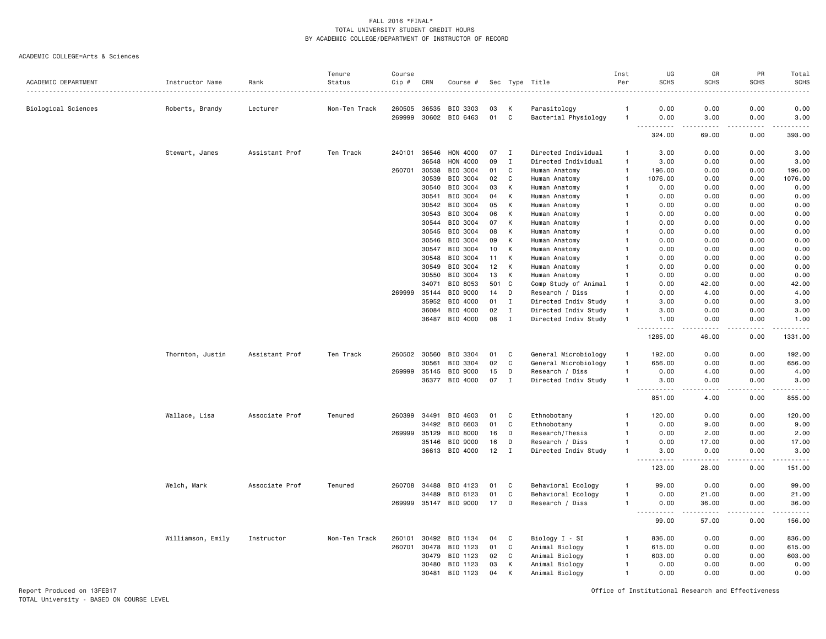ACADEMIC COLLEGE=Arts & Sciences

|                     |                   |                | Tenure        | Course |              |                       |     |              |                      | Inst           | UG                                          | GR                                                                                                                                                           | PR              | Total                           |
|---------------------|-------------------|----------------|---------------|--------|--------------|-----------------------|-----|--------------|----------------------|----------------|---------------------------------------------|--------------------------------------------------------------------------------------------------------------------------------------------------------------|-----------------|---------------------------------|
| ACADEMIC DEPARTMENT | Instructor Name   | Rank           | Status        | Cip #  | CRN          | Course #              |     |              | Sec Type Title       | Per            | <b>SCHS</b>                                 | <b>SCHS</b>                                                                                                                                                  | <b>SCHS</b>     | <b>SCHS</b>                     |
| Biological Sciences | Roberts, Brandy   | Lecturer       | Non-Ten Track | 260505 | 36535        | BIO 3303              | 03  | к            | Parasitology         | -1             | 0.00                                        | 0.00                                                                                                                                                         | 0.00            | 0.00                            |
|                     |                   |                |               | 269999 |              | 30602 BIO 6463        | 01  | C            | Bacterial Physiology | $\overline{1}$ | 0.00<br>.                                   | 3.00<br>$\frac{1}{2} \left( \frac{1}{2} \right) \left( \frac{1}{2} \right) \left( \frac{1}{2} \right) \left( \frac{1}{2} \right) \left( \frac{1}{2} \right)$ | 0.00<br>.       | 3.00<br>$- - - - - -$           |
|                     |                   |                |               |        |              |                       |     |              |                      |                | 324.00                                      | 69.00                                                                                                                                                        | 0.00            | 393.00                          |
|                     | Stewart, James    | Assistant Prof | Ten Track     | 240101 | 36546        | HON 4000              | 07  | I            | Directed Individual  | $\mathbf{1}$   | 3.00                                        | 0.00                                                                                                                                                         | 0.00            | 3.00                            |
|                     |                   |                |               |        | 36548        | HON 4000              | 09  | $\mathbf{I}$ | Directed Individual  | $\overline{1}$ | 3.00                                        | 0.00                                                                                                                                                         | 0.00            | 3.00                            |
|                     |                   |                |               | 260701 | 30538        | BIO 3004              | 01  | C            | Human Anatomy        | $\overline{1}$ | 196.00                                      | 0.00                                                                                                                                                         | 0.00            | 196.00                          |
|                     |                   |                |               |        | 30539        | BIO 3004              | 02  | C            | Human Anatomy        | $\overline{1}$ | 1076.00                                     | 0.00                                                                                                                                                         | 0.00            | 1076.00                         |
|                     |                   |                |               |        | 30540        | BIO 3004              | 03  | К            | Human Anatomy        | $\overline{1}$ | 0.00                                        | 0.00                                                                                                                                                         | 0.00            | 0.00                            |
|                     |                   |                |               |        | 30541        | BIO 3004              | 04  | К            | Human Anatomy        | -1             | 0.00                                        | 0.00                                                                                                                                                         | 0.00            | 0.00                            |
|                     |                   |                |               |        | 30542        | BIO 3004              | 05  | К            | Human Anatomy        | -1             | 0.00                                        | 0.00                                                                                                                                                         | 0.00            | 0.00                            |
|                     |                   |                |               |        | 30543        | BIO 3004              | 06  | К            | Human Anatomy        |                | 0.00                                        | 0.00                                                                                                                                                         | 0.00            | 0.00                            |
|                     |                   |                |               |        | 30544        | BIO 3004              | 07  | К            | Human Anatomy        |                | 0.00                                        | 0.00                                                                                                                                                         | 0.00            | 0.00                            |
|                     |                   |                |               |        | 30545        | BIO 3004              | 08  | к            | Human Anatomy        | $\mathbf{1}$   | 0.00                                        | 0.00                                                                                                                                                         | 0.00            | 0.00                            |
|                     |                   |                |               |        | 30546        | BIO 3004              | 09  | К            | Human Anatomy        |                | 0.00                                        | 0.00                                                                                                                                                         | 0.00            | 0.00                            |
|                     |                   |                |               |        | 30547        | BIO 3004              | 10  | К            | Human Anatomy        | -1             | 0.00                                        | 0.00                                                                                                                                                         | 0.00            | 0.00                            |
|                     |                   |                |               |        | 30548        | BIO 3004              | 11  | К            | Human Anatomy        | -1             | 0.00                                        | 0.00                                                                                                                                                         | 0.00            | 0.00                            |
|                     |                   |                |               |        | 30549        | BIO 3004              | 12  | К            | Human Anatomy        | -1             | 0.00                                        | 0.00                                                                                                                                                         | 0.00            | 0.00                            |
|                     |                   |                |               |        | 30550        | BIO 3004              | 13  | К            | Human Anatomy        | $\mathbf{1}$   | 0.00                                        | 0.00                                                                                                                                                         | 0.00            | 0.00                            |
|                     |                   |                |               |        | 34071        | BIO 8053              | 501 | $\mathbf c$  | Comp Study of Animal | -1             | 0.00                                        | 42.00                                                                                                                                                        | 0.00            | 42.00                           |
|                     |                   |                |               | 269999 | 35144        | BIO 9000              | 14  | D            | Research / Diss      | $\overline{1}$ | 0.00                                        | 4.00                                                                                                                                                         | 0.00            | 4.00                            |
|                     |                   |                |               |        | 35952        | BIO 4000              | 01  | I            | Directed Indiv Study | -1             | 3.00                                        | 0.00                                                                                                                                                         | 0.00            | 3.00                            |
|                     |                   |                |               |        | 36084        | BIO 4000              | 02  | I            | Directed Indiv Study | $\overline{1}$ | 3.00                                        | 0.00                                                                                                                                                         | 0.00            | 3.00                            |
|                     |                   |                |               |        | 36487        | BIO 4000              | 08  | $\mathbf{I}$ | Directed Indiv Study | $\overline{1}$ | 1.00                                        | 0.00                                                                                                                                                         | 0.00            | 1.00                            |
|                     |                   |                |               |        |              |                       |     |              |                      |                | <b>.</b><br>$\sim$ $\sim$ $\sim$<br>1285.00 | .<br>46.00                                                                                                                                                   | .<br>0.00       | $\omega$ is a set of<br>1331.00 |
|                     | Thornton, Justin  | Assistant Prof | Ten Track     | 260502 | 30560        | BIO 3304              | 01  | C            | General Microbiology | $\mathbf{1}$   | 192.00                                      | 0.00                                                                                                                                                         | 0.00            | 192.00                          |
|                     |                   |                |               |        | 30561        | BIO 3304              | 02  | C            | General Microbiology | $\overline{1}$ | 656.00                                      | 0.00                                                                                                                                                         | 0.00            | 656.00                          |
|                     |                   |                |               | 269999 | 35145        | BIO 9000              | 15  | D            | Research / Diss      | $\overline{1}$ | 0.00                                        | 4.00                                                                                                                                                         | 0.00            | 4.00                            |
|                     |                   |                |               |        | 36377        | BIO 4000              | 07  | I            | Directed Indiv Study | $\overline{1}$ | 3.00<br>.                                   | 0.00<br>$\omega$ $\omega$ $\omega$ $\omega$                                                                                                                  | 0.00<br>د د د د | 3.00<br>22222                   |
|                     |                   |                |               |        |              |                       |     |              |                      |                | 851.00                                      | 4.00                                                                                                                                                         | 0.00            | 855.00                          |
|                     | Wallace, Lisa     | Associate Prof | Tenured       | 260399 | 34491        | BIO 4603              | 01  | C            | Ethnobotany          | $\mathbf{1}$   | 120.00                                      | 0.00                                                                                                                                                         | 0.00            | 120.00                          |
|                     |                   |                |               |        | 34492        | BIO 6603              | 01  | C            | Ethnobotany          | $\mathbf{1}$   | 0.00                                        | 9.00                                                                                                                                                         | 0.00            | 9.00                            |
|                     |                   |                |               | 269999 | 35129        | BIO 8000              | 16  | D            | Research/Thesis      | 1              | 0.00                                        | 2.00                                                                                                                                                         | 0.00            | 2.00                            |
|                     |                   |                |               |        | 35146        | BIO 9000              | 16  | D            | Research / Diss      | $\mathbf{1}$   | 0.00                                        | 17.00                                                                                                                                                        | 0.00            | 17.00                           |
|                     |                   |                |               |        | 36613        | BIO 4000              | 12  | I            | Directed Indiv Study | -1             | 3.00                                        | 0.00                                                                                                                                                         | 0.00            | 3.00                            |
|                     |                   |                |               |        |              |                       |     |              |                      |                | 123.00                                      | 28.00                                                                                                                                                        | 0.00            | 151.00                          |
|                     | Welch, Mark       | Associate Prof | Tenured       |        | 260708 34488 | BIO 4123              | 01  | C            | Behavioral Ecology   | -1             | 99.00                                       | 0.00                                                                                                                                                         | 0.00            | 99.00                           |
|                     |                   |                |               |        | 34489        | BIO 6123              | 01  | C            | Behavioral Ecology   | $\overline{1}$ | 0.00                                        | 21.00                                                                                                                                                        | 0.00            | 21.00                           |
|                     |                   |                |               |        |              | 269999 35147 BIO 9000 | 17  | D            | Research / Diss      | $\overline{1}$ | 0.00<br>-----                               | 36.00<br>$\frac{1}{2}$                                                                                                                                       | 0.00<br>.       | 36.00<br>.                      |
|                     |                   |                |               |        |              |                       |     |              |                      |                | 99.00                                       | 57.00                                                                                                                                                        | 0.00            | 156.00                          |
|                     | Williamson, Emily | Instructor     | Non-Ten Track | 260101 | 30492        | BIO 1134              | 04  | C            | Biology I - SI       | $\mathbf{1}$   | 836.00                                      | 0.00                                                                                                                                                         | 0.00            | 836.00                          |
|                     |                   |                |               | 260701 | 30478        | BIO 1123              | 01  | C            | Animal Biology       | $\mathbf{1}$   | 615.00                                      | 0.00                                                                                                                                                         | 0.00            | 615.00                          |
|                     |                   |                |               |        | 30479        | BIO 1123              | 02  | C            | Animal Biology       | $\mathbf{1}$   | 603.00                                      | 0.00                                                                                                                                                         | 0.00            | 603.00                          |
|                     |                   |                |               |        | 30480        | BIO 1123              | 03  | K            | Animal Biology       | $\overline{1}$ | 0.00                                        | 0.00                                                                                                                                                         | 0.00            | 0.00                            |
|                     |                   |                |               |        | 30481        | BIO 1123              | 04  | К            | Animal Biology       | $\mathbf{1}$   | 0.00                                        | 0.00                                                                                                                                                         | 0.00            | 0.00                            |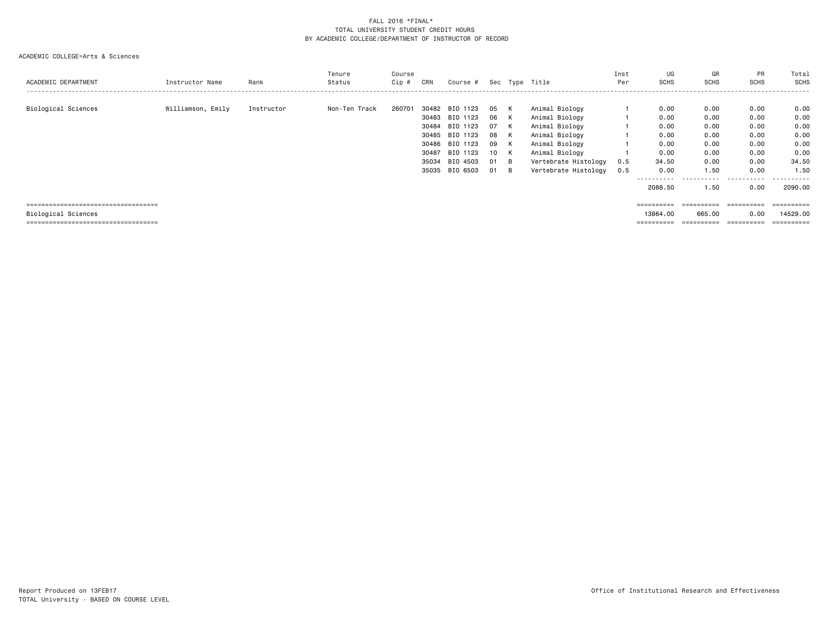|                                       |                   |            | Tenure        | Course |       |                |      |     |                      | Inst | UG                    | GR                    | PR           | Total      |
|---------------------------------------|-------------------|------------|---------------|--------|-------|----------------|------|-----|----------------------|------|-----------------------|-----------------------|--------------|------------|
| ACADEMIC DEPARTMENT                   | Instructor Name   | Rank       | Status        | Cip #  | CRN   | Course #       |      |     | Sec Type Title       | Per  | <b>SCHS</b>           | <b>SCHS</b>           | <b>SCHS</b>  | SCHS       |
|                                       |                   |            |               |        |       |                |      |     |                      |      |                       |                       |              |            |
| Biological Sciences                   | Williamson, Emily | Instructor | Non-Ten Track | 260701 | 30482 | BIO 1123       | 05   | K   | Animal Biology       |      | 0.00                  | 0.00                  | 0.00         | 0.00       |
|                                       |                   |            |               |        |       | 30483 BIO 1123 | 06   | K   | Animal Biology       |      | 0.00                  | 0.00                  | 0.00         | 0.00       |
|                                       |                   |            |               |        | 30484 | BIO 1123       | 07   | K   | Animal Biology       |      | 0.00                  | 0.00                  | 0.00         | 0.00       |
|                                       |                   |            |               |        | 30485 | BIO 1123       | 08   | K   | Animal Biology       |      | 0.00                  | 0.00                  | 0.00         | 0.00       |
|                                       |                   |            |               |        | 30486 | BIO 1123       | 09   | K   | Animal Biology       |      | 0.00                  | 0.00                  | 0.00         | 0.00       |
|                                       |                   |            |               |        | 30487 | BIO 1123       | 10 K |     | Animal Biology       |      | 0.00                  | 0.00                  | 0.00         | 0.00       |
|                                       |                   |            |               |        | 35034 | BIO 4503       | 01   | — В | Vertebrate Histology | 0.5  | 34.50                 | 0.00                  | 0.00         | 34.50      |
|                                       |                   |            |               |        | 35035 | BIO 6503       | 01   | B   | Vertebrate Histology | 0.5  | 0.00                  | 1.50                  | 0.00         | 1.50       |
|                                       |                   |            |               |        |       |                |      |     |                      |      | ------                | -----------           | $- - -$<br>. | .          |
|                                       |                   |            |               |        |       |                |      |     |                      |      | 2088.50               | 1.50                  | 0.00         | 2090.00    |
|                                       |                   |            |               |        |       |                |      |     |                      |      |                       |                       |              |            |
| ===================================== |                   |            |               |        |       |                |      |     |                      |      |                       | $=$ = = = = = = = = = | ==========   | ========== |
| Biological Sciences                   |                   |            |               |        |       |                |      |     |                      |      | 13864.00              | 665.00                | 0.00         | 14529.00   |
| ===================================== |                   |            |               |        |       |                |      |     |                      |      | $=$ = = = = = = = = = | $=$ = = = = = = = = = | ==========   | ========== |
|                                       |                   |            |               |        |       |                |      |     |                      |      |                       |                       |              |            |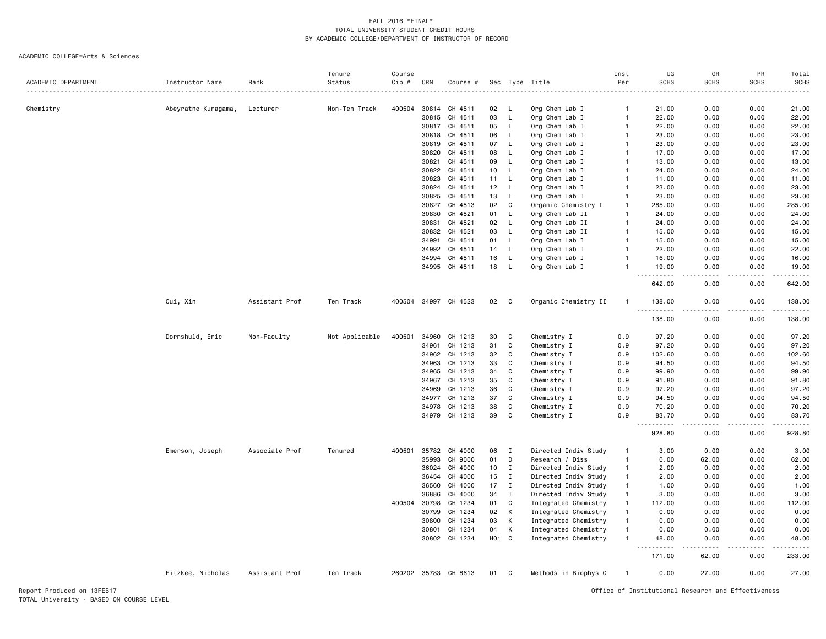|                     |                     |                | Tenure         | Course |       |                      |            |              |                      | Inst           | UG                                                                                                                                                                                | GR                   | PR                   | Total                |
|---------------------|---------------------|----------------|----------------|--------|-------|----------------------|------------|--------------|----------------------|----------------|-----------------------------------------------------------------------------------------------------------------------------------------------------------------------------------|----------------------|----------------------|----------------------|
| ACADEMIC DEPARTMENT | Instructor Name     | Rank           | Status         | Cip #  | CRN   | Course #             |            | Sec Type     | Title                | Per            | <b>SCHS</b>                                                                                                                                                                       | <b>SCHS</b>          | <b>SCHS</b>          | SCHS                 |
|                     |                     |                |                |        |       |                      |            |              |                      |                |                                                                                                                                                                                   | - - - -              | $\sim$ $\sim$ $\sim$ |                      |
| Chemistry           | Abeyratne Kuragama, | Lecturer       | Non-Ten Track  | 400504 |       | 30814 CH 4511        | 02         | L.           | Org Chem Lab I       | $\mathbf{1}$   | 21.00                                                                                                                                                                             | 0.00                 | 0.00                 | 21.00                |
|                     |                     |                |                |        | 30815 | CH 4511              | 03         | L            | Org Chem Lab I       | $\overline{1}$ | 22.00                                                                                                                                                                             | 0.00                 | 0.00                 | 22.00                |
|                     |                     |                |                |        | 30817 | CH 4511              | 05         | $\mathsf{L}$ | Org Chem Lab I       | $\overline{1}$ | 22.00                                                                                                                                                                             | 0.00                 | 0.00                 | 22.00                |
|                     |                     |                |                |        |       | 30818 CH 4511        | 06         | L            | Org Chem Lab I       | -1             | 23.00                                                                                                                                                                             | 0.00                 | 0.00                 | 23.00                |
|                     |                     |                |                |        | 30819 | CH 4511              | 07         | L            | Org Chem Lab I       | $\overline{1}$ | 23.00                                                                                                                                                                             | 0.00                 | 0.00                 | 23.00                |
|                     |                     |                |                |        | 30820 | CH 4511              | 08         | L.           | Org Chem Lab I       | $\mathbf{1}$   | 17.00                                                                                                                                                                             | 0.00                 | 0.00                 | 17.00                |
|                     |                     |                |                |        | 30821 | CH 4511              | 09         | L            | Org Chem Lab I       | $\mathbf{1}$   | 13.00                                                                                                                                                                             | 0.00                 | 0.00                 | 13.00                |
|                     |                     |                |                |        | 30822 | CH 4511              | 10         | L.           | Org Chem Lab I       | -1             | 24.00                                                                                                                                                                             | 0.00                 | 0.00                 | 24.00                |
|                     |                     |                |                |        | 30823 | CH 4511              | 11         | L.           | Org Chem Lab I       | $\mathbf{1}$   | 11.00                                                                                                                                                                             | 0.00                 | 0.00                 | 11.00                |
|                     |                     |                |                |        | 30824 | CH 4511              | 12         | L            | Org Chem Lab I       | $\overline{1}$ | 23.00                                                                                                                                                                             | 0.00                 | 0.00                 | 23.00                |
|                     |                     |                |                |        | 30825 | CH 4511              | 13         | L            | Org Chem Lab I       | $\overline{1}$ | 23.00                                                                                                                                                                             | 0.00                 | 0.00                 | 23.00                |
|                     |                     |                |                |        | 30827 | CH 4513              | 02         | C            | Organic Chemistry I  | $\mathbf{1}$   | 285.00                                                                                                                                                                            | 0.00                 | 0.00                 | 285.00               |
|                     |                     |                |                |        | 30830 | CH 4521              | 01         | L            | Org Chem Lab II      | $\overline{1}$ | 24.00                                                                                                                                                                             | 0.00                 | 0.00                 | 24.00                |
|                     |                     |                |                |        | 30831 | CH 4521              | 02         | L.           | Org Chem Lab II      | $\overline{1}$ | 24.00                                                                                                                                                                             | 0.00                 | 0.00                 | 24.00                |
|                     |                     |                |                |        | 30832 | CH 4521              | 03         | $\mathsf{L}$ | Org Chem Lab II      | $\overline{1}$ | 15.00                                                                                                                                                                             | 0.00                 | 0.00                 | 15.00                |
|                     |                     |                |                |        | 34991 | CH 4511              | 01         | L.           | Org Chem Lab I       | $\mathbf{1}$   | 15.00                                                                                                                                                                             | 0.00                 | 0.00                 | 15.00                |
|                     |                     |                |                |        | 34992 | CH 4511              | 14         | L            | Org Chem Lab I       | $\overline{1}$ | 22.00                                                                                                                                                                             | 0.00                 | 0.00                 | 22.00                |
|                     |                     |                |                |        | 34994 | CH 4511              | 16         | L            | Org Chem Lab I       | $\overline{1}$ | 16.00                                                                                                                                                                             | 0.00                 | 0.00                 | 16.00                |
|                     |                     |                |                |        |       | 34995 CH 4511        | 18         | L            | Org Chem Lab I       | $\overline{1}$ | 19.00                                                                                                                                                                             | 0.00                 | 0.00                 | 19.00                |
|                     |                     |                |                |        |       |                      |            |              |                      |                | .<br>$-$                                                                                                                                                                          | $\sim$ $\sim$ $\sim$ | .                    | .                    |
|                     |                     |                |                |        |       |                      |            |              |                      |                | 642.00                                                                                                                                                                            | 0.00                 | 0.00                 | 642.00               |
|                     | Cui, Xin            | Assistant Prof | Ten Track      | 400504 |       | 34997 CH 4523        | 02         | C            | Organic Chemistry II | -1             | 138.00                                                                                                                                                                            | 0.00                 | 0.00                 | 138.00               |
|                     |                     |                |                |        |       |                      |            |              |                      |                | $- - - - - - -$<br>$\sim$ $\sim$<br>138.00                                                                                                                                        | $- - - -$<br>0.00    | .<br>0.00            | . <b>.</b><br>138.00 |
|                     |                     |                |                |        |       |                      |            |              |                      |                |                                                                                                                                                                                   |                      |                      |                      |
|                     | Dornshuld, Eric     | Non-Faculty    | Not Applicable | 400501 | 34960 | CH 1213              | 30         | C            | Chemistry I          | 0.9            | 97.20                                                                                                                                                                             | 0.00                 | 0.00                 | 97.20                |
|                     |                     |                |                |        | 34961 | CH 1213              | 31         | C            | Chemistry I          | 0.9            | 97.20                                                                                                                                                                             | 0.00                 | 0.00                 | 97.20                |
|                     |                     |                |                |        |       | 34962 CH 1213        | 32         | C            | Chemistry I          | 0.9            | 102.60                                                                                                                                                                            | 0.00                 | 0.00                 | 102.60               |
|                     |                     |                |                |        | 34963 | CH 1213              | 33         | C            | Chemistry I          | 0.9            | 94.50                                                                                                                                                                             | 0.00                 | 0.00                 | 94.50                |
|                     |                     |                |                |        | 34965 | CH 1213              | 34         | $\mathtt{C}$ | Chemistry I          | 0.9            | 99.90                                                                                                                                                                             | 0.00                 | 0.00                 | 99.90                |
|                     |                     |                |                |        | 34967 | CH 1213              | 35         | $\mathtt{C}$ | Chemistry I          | 0.9            | 91.80                                                                                                                                                                             | 0.00                 | 0.00                 | 91.80                |
|                     |                     |                |                |        | 34969 | CH 1213              | 36         | $\mathbf{C}$ | Chemistry I          | 0.9            | 97.20                                                                                                                                                                             | 0.00                 | 0.00                 | 97.20                |
|                     |                     |                |                |        | 34977 | CH 1213              | 37         | $\mathtt{C}$ | Chemistry I          | 0.9            | 94.50                                                                                                                                                                             | 0.00                 | 0.00                 | 94.50                |
|                     |                     |                |                |        | 34978 | CH 1213              | 38         | $\mathbf{C}$ | Chemistry I          | 0.9            | 70.20                                                                                                                                                                             | 0.00                 | 0.00                 | 70.20                |
|                     |                     |                |                |        |       | 34979 CH 1213        | 39         | C            | Chemistry I          | 0.9            | 83.70<br>$\omega_{\rm c}$<br>$\frac{1}{2} \left( \frac{1}{2} \right) \left( \frac{1}{2} \right) \left( \frac{1}{2} \right) \left( \frac{1}{2} \right) \left( \frac{1}{2} \right)$ | 0.00                 | 0.00<br>د د د د      | 83.70<br>المتمامين   |
|                     |                     |                |                |        |       |                      |            |              |                      |                | 928.80                                                                                                                                                                            | 0.00                 | 0.00                 | 928.80               |
|                     | Emerson, Joseph     | Associate Prof | Tenured        | 400501 |       | 35782 CH 4000        | 06         | $\mathbf{I}$ | Directed Indiv Study | $\overline{1}$ | 3.00                                                                                                                                                                              | 0.00                 | 0.00                 | 3.00                 |
|                     |                     |                |                |        | 35993 | CH 9000              | 01         | D            | Research / Diss      | $\mathbf{1}$   | 0.00                                                                                                                                                                              | 62.00                | 0.00                 | 62.00                |
|                     |                     |                |                |        | 36024 | CH 4000              | 10         | I            | Directed Indiv Study | $\mathbf{1}$   | 2.00                                                                                                                                                                              | 0.00                 | 0.00                 | 2.00                 |
|                     |                     |                |                |        | 36454 | CH 4000              | 15         | $\mathbf I$  | Directed Indiv Study | $\mathbf{1}$   | 2.00                                                                                                                                                                              | 0.00                 | 0.00                 | 2.00                 |
|                     |                     |                |                |        | 36560 | CH 4000              | 17         | $\mathbf I$  | Directed Indiv Study | $\overline{1}$ | 1.00                                                                                                                                                                              | 0.00                 | 0.00                 | 1.00                 |
|                     |                     |                |                |        | 36886 | CH 4000              | 34         | $\mathbf{I}$ | Directed Indiv Study | $\mathbf{1}$   | 3.00                                                                                                                                                                              | 0.00                 | 0.00                 | 3.00                 |
|                     |                     |                |                | 400504 | 30798 | CH 1234              | 01         | C            | Integrated Chemistry | $\mathbf{1}$   | 112.00                                                                                                                                                                            | 0.00                 | 0.00                 | 112.00               |
|                     |                     |                |                |        | 30799 | CH 1234              | 02         | K            | Integrated Chemistry | $\overline{1}$ | 0.00                                                                                                                                                                              | 0.00                 | 0.00                 | 0.00                 |
|                     |                     |                |                |        | 30800 | CH 1234              | 03         | К            | Integrated Chemistry | $\mathbf{1}$   | 0.00                                                                                                                                                                              | 0.00                 | 0.00                 | 0.00                 |
|                     |                     |                |                |        | 30801 | CH 1234              | 04         | K            | Integrated Chemistry | $\overline{1}$ | 0.00                                                                                                                                                                              | 0.00                 | 0.00                 | 0.00                 |
|                     |                     |                |                |        |       | 30802 CH 1234        | <b>HO1</b> | $\mathbf{C}$ | Integrated Chemistry | $\overline{1}$ | 48.00                                                                                                                                                                             | 0.00                 | 0.00                 | 48.00                |
|                     |                     |                |                |        |       |                      |            |              |                      |                | 171.00                                                                                                                                                                            | 62.00                | 0.00                 | 233.00               |
|                     | Fitzkee, Nicholas   | Assistant Prof | Ten Track      |        |       | 260202 35783 CH 8613 | 01         | C            | Methods in Biophys C | -1             | 0.00                                                                                                                                                                              | 27.00                | 0.00                 | 27.00                |
|                     |                     |                |                |        |       |                      |            |              |                      |                |                                                                                                                                                                                   |                      |                      |                      |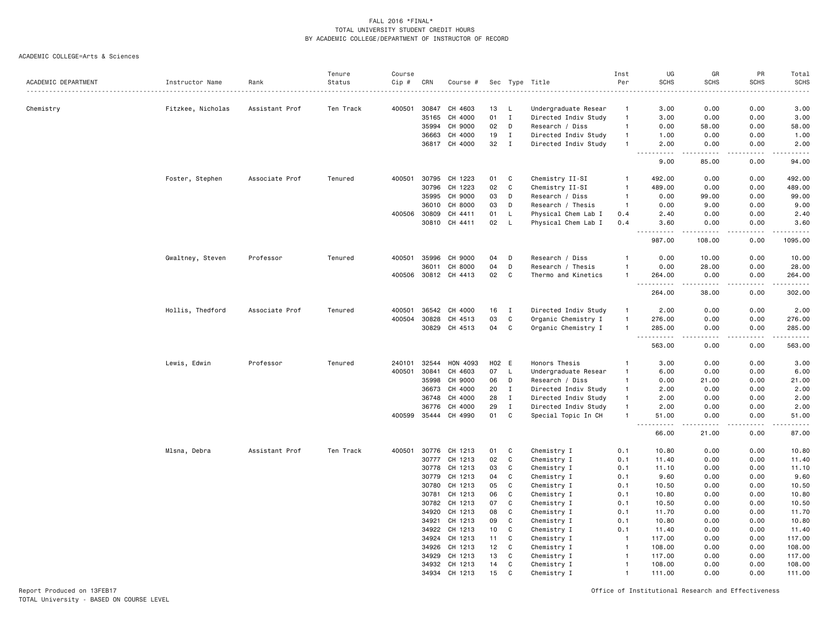#### ACADEMIC COLLEGE=Arts & Sciences

|                     |                   |                | Tenure    | Course |       |                      |       |              |                      | Inst           | UG                      | GR                                                                                                                                                             | PR          | Total                                                                                                                              |
|---------------------|-------------------|----------------|-----------|--------|-------|----------------------|-------|--------------|----------------------|----------------|-------------------------|----------------------------------------------------------------------------------------------------------------------------------------------------------------|-------------|------------------------------------------------------------------------------------------------------------------------------------|
| ACADEMIC DEPARTMENT | Instructor Name   | Rank           | Status    | Cip #  | CRN   | Course #             |       |              | Sec Type Title       | Per            | <b>SCHS</b>             | <b>SCHS</b>                                                                                                                                                    | <b>SCHS</b> | <b>SCHS</b>                                                                                                                        |
| Chemistry           | Fitzkee, Nicholas | Assistant Prof | Ten Track | 400501 | 30847 | CH 4603              | 13    | -L           | Undergraduate Resear | -1             | 3.00                    | 0.00                                                                                                                                                           | 0.00        | 3.00                                                                                                                               |
|                     |                   |                |           |        | 35165 | CH 4000              | 01    | $\mathbf I$  | Directed Indiv Study | $\overline{1}$ | 3.00                    | 0.00                                                                                                                                                           | 0.00        | 3.00                                                                                                                               |
|                     |                   |                |           |        | 35994 | CH 9000              | 02    | D            | Research / Diss      | $\overline{1}$ | 0.00                    | 58.00                                                                                                                                                          | 0.00        | 58.00                                                                                                                              |
|                     |                   |                |           |        | 36663 | CH 4000              | 19    | $\mathbf{I}$ | Directed Indiv Study | $\overline{1}$ | 1.00                    | 0.00                                                                                                                                                           | 0.00        | 1.00                                                                                                                               |
|                     |                   |                |           |        |       | 36817 CH 4000        | 32    | $\mathbf I$  | Directed Indiv Study | $\overline{1}$ | 2.00                    | 0.00                                                                                                                                                           | 0.00        | 2.00                                                                                                                               |
|                     |                   |                |           |        |       |                      |       |              |                      |                | 9.00                    | 85.00                                                                                                                                                          | 0.00        | -----<br>94.00                                                                                                                     |
|                     | Foster, Stephen   | Associate Prof | Tenured   | 400501 | 30795 | CH 1223              | 01    | C            | Chemistry II-SI      | $\overline{1}$ | 492.00                  | 0.00                                                                                                                                                           | 0.00        | 492.00                                                                                                                             |
|                     |                   |                |           |        | 30796 | CH 1223              | 02    | C            | Chemistry II-SI      | $\overline{1}$ | 489.00                  | 0.00                                                                                                                                                           | 0.00        | 489.00                                                                                                                             |
|                     |                   |                |           |        | 35995 | CH 9000              | 03    | D            | Research / Diss      | $\overline{1}$ | 0.00                    | 99.00                                                                                                                                                          | 0.00        | 99.00                                                                                                                              |
|                     |                   |                |           |        | 36010 | CH 8000              | 03    | D            | Research / Thesis    | $\overline{1}$ | 0.00                    | 9.00                                                                                                                                                           | 0.00        | 9.00                                                                                                                               |
|                     |                   |                |           | 400506 | 30809 | CH 4411              | 01    | L            | Physical Chem Lab I  | 0.4            | 2.40                    | 0.00                                                                                                                                                           | 0.00        | 2.40                                                                                                                               |
|                     |                   |                |           |        | 30810 | CH 4411              | 02    | L            | Physical Chem Lab I  | 0.4            | 3.60                    | 0.00                                                                                                                                                           | 0.00        | 3.60                                                                                                                               |
|                     |                   |                |           |        |       |                      |       |              |                      |                | .<br>987.00             | $\frac{1}{2} \left( \frac{1}{2} \right) \left( \frac{1}{2} \right) \left( \frac{1}{2} \right) \left( \frac{1}{2} \right) \left( \frac{1}{2} \right)$<br>108.00 | .<br>0.00   | .<br>1095.00                                                                                                                       |
|                     | Gwaltney, Steven  | Professor      | Tenured   | 400501 | 35996 | CH 9000              | 04    | D            | Research / Diss      | -1             | 0.00                    | 10.00                                                                                                                                                          | 0.00        | 10.00                                                                                                                              |
|                     |                   |                |           |        | 36011 | CH 8000              | 04    | D            | Research / Thesis    | -1             | 0.00                    | 28.00                                                                                                                                                          | 0.00        | 28.00                                                                                                                              |
|                     |                   |                |           |        |       | 400506 30812 CH 4413 | 02    | $\mathbf C$  | Thermo and Kinetics  | $\overline{1}$ | 264.00                  | 0.00                                                                                                                                                           | 0.00        | 264.00                                                                                                                             |
|                     |                   |                |           |        |       |                      |       |              |                      |                | 264.00                  | 38.00                                                                                                                                                          | 0.00        | .<br>302.00                                                                                                                        |
|                     | Hollis, Thedford  | Associate Prof | Tenured   | 400501 | 36542 | CH 4000              | 16    | $\mathbf{I}$ | Directed Indiv Study | $\overline{1}$ | 2.00                    | 0.00                                                                                                                                                           | 0.00        | 2.00                                                                                                                               |
|                     |                   |                |           | 400504 | 30828 | CH 4513              | 03    | $\mathbf C$  | Organic Chemistry I  | $\overline{1}$ | 276.00                  | 0.00                                                                                                                                                           | 0.00        | 276.00                                                                                                                             |
|                     |                   |                |           |        | 30829 | CH 4513              | 04    | $\mathbf C$  | Organic Chemistry I  | $\overline{1}$ | 285.00                  | 0.00                                                                                                                                                           | 0.00        | 285.00                                                                                                                             |
|                     |                   |                |           |        |       |                      |       |              |                      |                | $\sim$ $\sim$<br>563.00 | 0.00                                                                                                                                                           | 0.00        | <u>.</u><br>563.00                                                                                                                 |
|                     | Lewis, Edwin      | Professor      | Tenured   | 240101 | 32544 | HON 4093             | H02 E |              | Honors Thesis        | -1             | 3.00                    | 0.00                                                                                                                                                           | 0.00        | 3.00                                                                                                                               |
|                     |                   |                |           | 400501 | 30841 | CH 4603              | 07    | L.           | Undergraduate Resear | $\mathbf{1}$   | 6.00                    | 0.00                                                                                                                                                           | 0.00        | 6.00                                                                                                                               |
|                     |                   |                |           |        | 35998 | CH 9000              | 06    | D            | Research / Diss      | $\overline{1}$ | 0.00                    | 21.00                                                                                                                                                          | 0.00        | 21.00                                                                                                                              |
|                     |                   |                |           |        | 36673 | CH 4000              | 20    | $\mathbf I$  | Directed Indiv Study | $\overline{1}$ | 2.00                    | 0.00                                                                                                                                                           | 0.00        | 2.00                                                                                                                               |
|                     |                   |                |           |        | 36748 | CH 4000              | 28    | $\mathbf I$  | Directed Indiv Study | $\mathbf{1}$   | 2.00                    | 0.00                                                                                                                                                           | 0.00        | 2.00                                                                                                                               |
|                     |                   |                |           |        | 36776 | CH 4000              | 29    | $\;$ I       | Directed Indiv Study | $\overline{1}$ | 2.00                    | 0.00                                                                                                                                                           | 0.00        | 2.00                                                                                                                               |
|                     |                   |                |           | 400599 |       | 35444 CH 4990        | 01    | C            | Special Topic In CH  | $\mathbf{1}$   | 51.00<br>----           | 0.00                                                                                                                                                           | 0.00        | 51.00<br>$\frac{1}{2} \left( \frac{1}{2} \right) \left( \frac{1}{2} \right) \left( \frac{1}{2} \right) \left( \frac{1}{2} \right)$ |
|                     |                   |                |           |        |       |                      |       |              |                      |                | 66.00                   | 21.00                                                                                                                                                          | 0.00        | 87.00                                                                                                                              |
|                     | Mlsna, Debra      | Assistant Prof | Ten Track | 400501 | 30776 | CH 1213              | 01    | C            | Chemistry I          | 0.1            | 10.80                   | 0.00                                                                                                                                                           | 0.00        | 10.80                                                                                                                              |
|                     |                   |                |           |        | 30777 | CH 1213              | 02    | C            | Chemistry I          | 0.1            | 11.40                   | 0.00                                                                                                                                                           | 0.00        | 11.40                                                                                                                              |
|                     |                   |                |           |        | 30778 | CH 1213              | 03    | C            | Chemistry I          | 0.1            | 11.10                   | 0.00                                                                                                                                                           | 0.00        | 11.10                                                                                                                              |
|                     |                   |                |           |        | 30779 | CH 1213              | 04    | $\mathtt{C}$ | Chemistry I          | 0.1            | 9.60                    | 0.00                                                                                                                                                           | 0.00        | 9.60                                                                                                                               |
|                     |                   |                |           |        | 30780 | CH 1213              | 05    | C            | Chemistry I          | 0.1            | 10.50                   | 0.00                                                                                                                                                           | 0.00        | 10.50                                                                                                                              |
|                     |                   |                |           |        | 30781 | CH 1213              | 06    | C            | Chemistry I          | 0.1            | 10.80                   | 0.00                                                                                                                                                           | 0.00        | 10.80                                                                                                                              |
|                     |                   |                |           |        | 30782 | CH 1213              | 07    | C            | Chemistry I          | 0.1            | 10.50                   | 0.00                                                                                                                                                           | 0.00        | 10.50                                                                                                                              |
|                     |                   |                |           |        | 34920 | CH 1213              | 08    | C            | Chemistry I          | 0.1            | 11.70                   | 0.00                                                                                                                                                           | 0.00        | 11.70                                                                                                                              |
|                     |                   |                |           |        | 34921 | CH 1213              | 09    | C            | Chemistry I          | 0.1            | 10.80                   | 0.00                                                                                                                                                           | 0.00        | 10.80                                                                                                                              |
|                     |                   |                |           |        | 34922 | CH 1213              | 10    | C            | Chemistry I          | 0.1            | 11.40                   | 0.00                                                                                                                                                           | 0.00        | 11.40                                                                                                                              |
|                     |                   |                |           |        | 34924 | CH 1213              | 11    | C            | Chemistry I          | $\overline{1}$ | 117.00                  | 0.00                                                                                                                                                           | 0.00        | 117.00                                                                                                                             |
|                     |                   |                |           |        | 34926 | CH 1213              | 12    | C            | Chemistry I          | $\overline{1}$ | 108.00                  | 0.00                                                                                                                                                           | 0.00        | 108.00                                                                                                                             |
|                     |                   |                |           |        | 34929 | CH 1213              | 13    | C            | Chemistry I          | $\overline{1}$ | 117.00                  | 0.00                                                                                                                                                           | 0.00        | 117.00                                                                                                                             |
|                     |                   |                |           |        | 34932 | CH 1213              | 14    | C            | Chemistry I          | $\overline{1}$ | 108.00                  | 0.00                                                                                                                                                           | 0.00        | 108.00                                                                                                                             |
|                     |                   |                |           |        | 34934 | CH 1213              | 15    | C            | Chemistry I          | $\overline{1}$ | 111.00                  | 0.00                                                                                                                                                           | 0.00        | 111.00                                                                                                                             |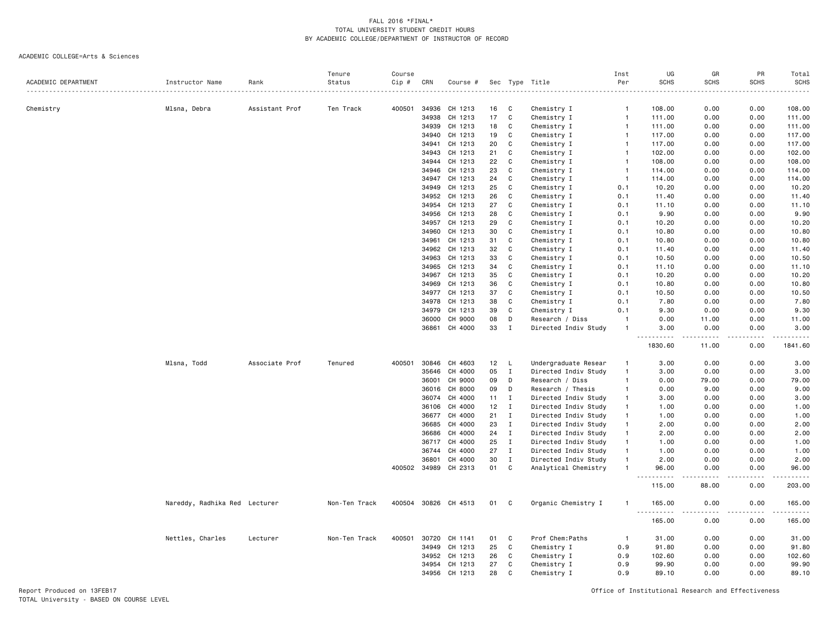#### ACADEMIC COLLEGE=Arts & Sciences

|                     |                               |                | Tenure        | Course |       |                    |          |                   |                      | Inst           | UG                                       | GR           | PR              | Total                                        |
|---------------------|-------------------------------|----------------|---------------|--------|-------|--------------------|----------|-------------------|----------------------|----------------|------------------------------------------|--------------|-----------------|----------------------------------------------|
| ACADEMIC DEPARTMENT | Instructor Name               | Rank           | Status        | Cip #  | CRN   | Course #           |          |                   | Sec Type Title       | Per            | <b>SCHS</b>                              | <b>SCHS</b>  | <b>SCHS</b>     | <b>SCHS</b>                                  |
|                     |                               |                |               |        |       |                    |          |                   |                      |                |                                          |              |                 | $\omega$ $\omega$ $\omega$ $\omega$ $\omega$ |
| Chemistry           | Mlsna, Debra                  | Assistant Prof | Ten Track     | 400501 | 34936 | CH 1213            | 16       | C                 | Chemistry I          | $\overline{1}$ | 108.00                                   | 0.00         | 0.00            | 108.00                                       |
|                     |                               |                |               |        | 34938 | CH 1213            | 17       | C                 | Chemistry I          | $\overline{1}$ | 111.00                                   | 0.00         | 0.00            | 111.00                                       |
|                     |                               |                |               |        | 34939 | CH 1213            | 18       | $\mathbf C$       | Chemistry I          | $\mathbf{1}$   | 111.00                                   | 0.00         | 0.00            | 111.00                                       |
|                     |                               |                |               |        | 34940 | CH 1213            | 19       | C                 | Chemistry I          | $\overline{1}$ | 117.00                                   | 0.00         | 0.00            | 117.00                                       |
|                     |                               |                |               |        | 34941 | CH 1213            | 20       | C                 | Chemistry I          | $\overline{1}$ | 117.00                                   | 0.00         | 0.00            | 117.00                                       |
|                     |                               |                |               |        | 34943 | CH 1213            | 21       | $\mathtt{C}$      | Chemistry I          | $\overline{1}$ | 102.00                                   | 0.00         | 0.00            | 102.00                                       |
|                     |                               |                |               |        | 34944 | CH 1213            | 22       | C                 | Chemistry I          | $\overline{1}$ | 108.00                                   | 0.00         | 0.00            | 108.00                                       |
|                     |                               |                |               |        | 34946 | CH 1213            | 23       | C                 | Chemistry I          | $\overline{1}$ | 114.00                                   | 0.00         | 0.00            | 114.00                                       |
|                     |                               |                |               |        | 34947 | CH 1213            | 24       | C                 | Chemistry I          | $\overline{1}$ | 114.00                                   | 0.00         | 0.00            | 114.00                                       |
|                     |                               |                |               |        | 34949 | CH 1213            | 25       | C                 | Chemistry I          | 0.1            | 10.20                                    | 0.00         | 0.00            | 10.20                                        |
|                     |                               |                |               |        | 34952 | CH 1213            | 26       | C                 | Chemistry I          | 0.1            | 11.40                                    | 0.00         | 0.00            | 11.40                                        |
|                     |                               |                |               |        | 34954 | CH 1213            | 27       | C                 | Chemistry I          | 0.1            | 11.10                                    | 0.00         | 0.00            | 11.10                                        |
|                     |                               |                |               |        | 34956 | CH 1213            | 28       | C                 | Chemistry I          | 0.1            | 9.90                                     | 0.00         | 0.00            | 9.90                                         |
|                     |                               |                |               |        |       | 34957 CH 1213      | 29       | C                 | Chemistry I          | 0.1            | 10.20                                    | 0.00         | 0.00            | 10.20                                        |
|                     |                               |                |               |        | 34960 | CH 1213            | 30       | $\mathbb{C}$      | Chemistry I          | 0.1            | 10.80                                    | 0.00         | 0.00            | 10.80                                        |
|                     |                               |                |               |        | 34961 | CH 1213            | 31       | C                 | Chemistry I          | 0.1            | 10.80                                    | 0.00         | 0.00            | 10.80                                        |
|                     |                               |                |               |        | 34962 | CH 1213            | 32       | C                 | Chemistry I          | 0.1            | 11.40                                    | 0.00         | 0.00            | 11.40                                        |
|                     |                               |                |               |        | 34963 | CH 1213            | 33       | $\mathbb{C}$      | Chemistry I          | 0.1            | 10.50                                    | 0.00         | 0.00            | 10.50                                        |
|                     |                               |                |               |        | 34965 | CH 1213            | 34       | C                 | Chemistry I          | 0.1            | 11.10                                    | 0.00         | 0.00            | 11.10                                        |
|                     |                               |                |               |        |       |                    |          |                   |                      |                |                                          |              |                 |                                              |
|                     |                               |                |               |        | 34967 | CH 1213<br>CH 1213 | 35<br>36 | C<br>$\mathtt{C}$ | Chemistry I          | 0.1            | 10.20                                    | 0.00<br>0.00 | 0.00            | 10.20<br>10.80                               |
|                     |                               |                |               |        | 34969 |                    |          |                   | Chemistry I          | 0.1            | 10.80                                    |              | 0.00            |                                              |
|                     |                               |                |               |        | 34977 | CH 1213            | 37       | C                 | Chemistry I          | 0.1            | 10.50                                    | 0.00         | 0.00            | 10.50                                        |
|                     |                               |                |               |        | 34978 | CH 1213            | 38       | $\mathbb{C}$      | Chemistry I          | 0.1            | 7.80                                     | 0.00         | 0.00            | 7.80                                         |
|                     |                               |                |               |        | 34979 | CH 1213            | 39       | C                 | Chemistry I          | 0.1            | 9.30                                     | 0.00         | 0.00            | 9.30                                         |
|                     |                               |                |               |        | 36000 | CH 9000            | 08       | D                 | Research / Diss      | $\overline{1}$ | 0.00                                     | 11.00        | 0.00            | 11.00                                        |
|                     |                               |                |               |        | 36861 | CH 4000            | 33       | $\mathbf I$       | Directed Indiv Study | $\overline{1}$ | 3.00<br>$\sim$ $\sim$ $\sim$<br><u>.</u> | 0.00<br>.    | 0.00            | 3.00<br>.                                    |
|                     |                               |                |               |        |       |                    |          |                   |                      |                | 1830.60                                  | 11.00        | 0.00            | 1841.60                                      |
|                     | Mlsna, Todd                   | Associate Prof | Tenured       | 400501 | 30846 | CH 4603            | 12       | L                 | Undergraduate Resear | $\mathbf{1}$   | 3.00                                     | 0.00         | 0.00            | 3.00                                         |
|                     |                               |                |               |        | 35646 | CH 4000            | 05       | $\mathbf I$       | Directed Indiv Study | $\overline{1}$ | 3.00                                     | 0.00         | 0.00            | 3.00                                         |
|                     |                               |                |               |        | 36001 | CH 9000            | 09       | D                 | Research / Diss      | $\overline{1}$ | 0.00                                     | 79.00        | 0.00            | 79.00                                        |
|                     |                               |                |               |        | 36016 | CH 8000            | 09       | D                 | Research / Thesis    | $\overline{1}$ | 0.00                                     | 9.00         | 0.00            | 9.00                                         |
|                     |                               |                |               |        | 36074 | CH 4000            | 11       | $\mathbf I$       | Directed Indiv Study | $\overline{1}$ | 3.00                                     | 0.00         | 0.00            | 3.00                                         |
|                     |                               |                |               |        | 36106 | CH 4000            | 12       | $\mathbf I$       | Directed Indiv Study | $\overline{1}$ | 1.00                                     | 0.00         | 0.00            | 1.00                                         |
|                     |                               |                |               |        | 36677 | CH 4000            | 21       | I                 | Directed Indiv Study | $\mathbf{1}$   | 1.00                                     | 0.00         | 0.00            | 1.00                                         |
|                     |                               |                |               |        | 36685 | CH 4000            | 23       | $\mathbf I$       | Directed Indiv Study | $\overline{1}$ | 2.00                                     | 0.00         | 0.00            | 2.00                                         |
|                     |                               |                |               |        | 36686 | CH 4000            | 24       | $\mathbf I$       | Directed Indiv Study | $\overline{1}$ | 2.00                                     | 0.00         | 0.00            | 2.00                                         |
|                     |                               |                |               |        | 36717 | CH 4000            | 25       | $\mathbf I$       | Directed Indiv Study | $\overline{1}$ | 1.00                                     | 0.00         | 0.00            | 1.00                                         |
|                     |                               |                |               |        | 36744 | CH 4000            | 27       | $\mathbf I$       | Directed Indiv Study | $\mathbf{1}$   | 1.00                                     | 0.00         | 0.00            | 1.00                                         |
|                     |                               |                |               |        | 36801 | CH 4000            | 30       | $\mathbf I$       | Directed Indiv Study | $\mathbf{1}$   | 2.00                                     | 0.00         | 0.00            | 2.00                                         |
|                     |                               |                |               | 400502 | 34989 | CH 2313            | 01       | C                 | Analytical Chemistry | $\mathbf{1}$   | 96.00                                    | 0.00         | 0.00            | 96.00                                        |
|                     |                               |                |               |        |       |                    |          |                   |                      |                | .<br>- - -<br>115.00                     | .<br>88.00   | د د د د<br>0.00 | .<br>203.00                                  |
|                     | Nareddy, Radhika Red Lecturer |                | Non-Ten Track | 400504 | 30826 | CH 4513            | 01       | C                 | Organic Chemistry I  | $\mathbf{1}$   | 165.00                                   | 0.00         | 0.00            | 165.00                                       |
|                     |                               |                |               |        |       |                    |          |                   |                      |                | 165.00                                   | 0.00         | ----<br>0.00    | .<br>165.00                                  |
|                     | Nettles, Charles              | Lecturer       | Non-Ten Track | 400501 | 30720 | CH 1141            | 01       | C                 | Prof Chem: Paths     | $\overline{1}$ | 31.00                                    | 0.00         | 0.00            | 31.00                                        |
|                     |                               |                |               |        | 34949 | CH 1213            | 25       | C                 | Chemistry I          | 0.9            | 91.80                                    | 0.00         | 0.00            | 91.80                                        |
|                     |                               |                |               |        | 34952 | CH 1213            | 26       | C                 |                      | 0.9            | 102.60                                   | 0.00         | 0.00            |                                              |
|                     |                               |                |               |        |       |                    |          |                   | Chemistry I          |                |                                          |              |                 | 102.60                                       |
|                     |                               |                |               |        | 34954 | CH 1213            | 27       | C                 | Chemistry I          | 0.9            | 99.90                                    | 0.00         | 0.00            | 99.90                                        |
|                     |                               |                |               |        | 34956 | CH 1213            | 28       | $\mathsf{C}$      | Chemistry I          | 0.9            | 89.10                                    | 0.00         | 0.00            | 89.10                                        |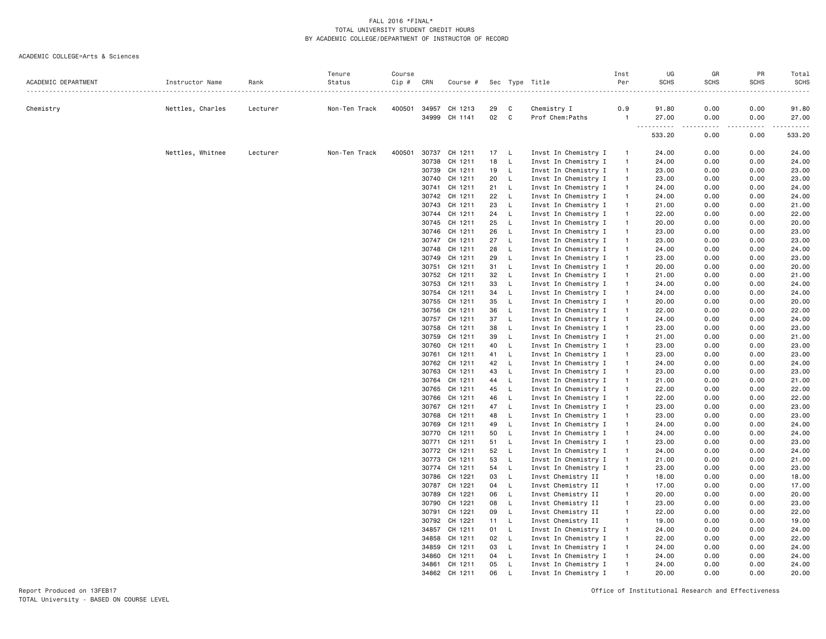#### ACADEMIC COLLEGE=Arts & Sciences

|                     |                  |          | Tenure        | Course |       |          |    |              |                      | Inst         | UG          | GR               | PR          | Total                   |
|---------------------|------------------|----------|---------------|--------|-------|----------|----|--------------|----------------------|--------------|-------------|------------------|-------------|-------------------------|
| ACADEMIC DEPARTMENT | Instructor Name  | Rank     | Status        | Cip #  | CRN   | Course # |    |              | Sec Type Title       | Per          | <b>SCHS</b> | <b>SCHS</b>      | <b>SCHS</b> | SCHS                    |
| Chemistry           | Nettles, Charles | Lecturer | Non-Ten Track | 400501 | 34957 | CH 1213  | 29 | C            | Chemistry I          | 0.9          | 91.80       | 0.00             | 0.00        | 91.80                   |
|                     |                  |          |               |        | 34999 | CH 1141  | 02 | C            | Prof Chem: Paths     | $\mathbf{1}$ | 27.00       | 0.00             | 0.00        | 27.00                   |
|                     |                  |          |               |        |       |          |    |              |                      |              | .<br>533.20 | $\cdots$<br>0.00 | .<br>0.00   | $- - - - - -$<br>533.20 |
|                     | Nettles, Whitnee | Lecturer | Non-Ten Track | 400501 | 30737 | CH 1211  | 17 | - L          | Invst In Chemistry I |              | 24.00       | 0.00             | 0.00        | 24.00                   |
|                     |                  |          |               |        | 30738 | CH 1211  | 18 | L            | Invst In Chemistry I | $\mathbf{1}$ | 24.00       | 0.00             | 0.00        | 24.00                   |
|                     |                  |          |               |        | 30739 | CH 1211  | 19 | L.           | Invst In Chemistry I | $\mathbf{1}$ | 23.00       | 0.00             | 0.00        | 23.00                   |
|                     |                  |          |               |        | 30740 | CH 1211  | 20 | L            | Invst In Chemistry I | $\mathbf{1}$ | 23.00       | 0.00             | 0.00        | 23.00                   |
|                     |                  |          |               |        | 30741 | CH 1211  | 21 | $\mathsf{L}$ | Invst In Chemistry I | $\mathbf{1}$ | 24.00       | 0.00             | 0.00        | 24.00                   |
|                     |                  |          |               |        | 30742 | CH 1211  | 22 | $\mathsf{L}$ | Invst In Chemistry I | $\mathbf{1}$ | 24.00       | 0.00             | 0.00        | 24.00                   |
|                     |                  |          |               |        | 30743 | CH 1211  | 23 | L            | Invst In Chemistry I | $\mathbf{1}$ | 21.00       | 0.00             | 0.00        | 21.00                   |
|                     |                  |          |               |        | 30744 | CH 1211  | 24 | L.           | Invst In Chemistry I | $\mathbf{1}$ | 22.00       | 0.00             | 0.00        | 22.00                   |
|                     |                  |          |               |        | 30745 | CH 1211  | 25 | L.           | Invst In Chemistry I | $\mathbf{1}$ | 20.00       | 0.00             | 0.00        | 20.00                   |
|                     |                  |          |               |        | 30746 | CH 1211  | 26 | L.           | Invst In Chemistry I | $\mathbf{1}$ | 23.00       | 0.00             | 0.00        | 23.00                   |
|                     |                  |          |               |        | 30747 | CH 1211  | 27 | $\mathsf{L}$ | Invst In Chemistry I | $\mathbf{1}$ | 23.00       | 0.00             | 0.00        | 23.00                   |
|                     |                  |          |               |        | 30748 | CH 1211  | 28 | $\mathsf{L}$ | Invst In Chemistry I | $\mathbf{1}$ | 24.00       | 0.00             | 0.00        | 24.00                   |
|                     |                  |          |               |        | 30749 | CH 1211  | 29 | L.           | Invst In Chemistry I |              | 23.00       | 0.00             | 0.00        | 23.00                   |
|                     |                  |          |               |        | 30751 | CH 1211  | 31 | L            | Invst In Chemistry I |              | 20.00       | 0.00             | 0.00        | 20.00                   |
|                     |                  |          |               |        | 30752 | CH 1211  | 32 | $\mathsf{L}$ | Invst In Chemistry I | $\mathbf{1}$ | 21.00       | 0.00             | 0.00        | 21.00                   |
|                     |                  |          |               |        | 30753 | CH 1211  | 33 | $\mathsf{L}$ | Invst In Chemistry I | $\mathbf{1}$ | 24.00       | 0.00             | 0.00        | 24.00                   |
|                     |                  |          |               |        | 30754 | CH 1211  | 34 | $\mathsf L$  | Invst In Chemistry I | $\mathbf{1}$ | 24.00       | 0.00             | 0.00        | 24.00                   |
|                     |                  |          |               |        | 30755 | CH 1211  | 35 | $\mathsf{L}$ | Invst In Chemistry I | $\mathbf{1}$ | 20.00       | 0.00             | 0.00        | 20.00                   |
|                     |                  |          |               |        | 30756 | CH 1211  | 36 | L.           | Invst In Chemistry I | $\mathbf{1}$ | 22.00       | 0.00             | 0.00        | 22.00                   |
|                     |                  |          |               |        | 30757 | CH 1211  | 37 | L.           | Invst In Chemistry I |              | 24.00       | 0.00             | 0.00        | 24.00                   |
|                     |                  |          |               |        | 30758 | CH 1211  | 38 | $\mathsf L$  | Invst In Chemistry I | $\mathbf{1}$ | 23.00       | 0.00             | 0.00        | 23.00                   |
|                     |                  |          |               |        | 30759 | CH 1211  | 39 | L.           | Invst In Chemistry I | $\mathbf{1}$ | 21.00       | 0.00             | 0.00        | 21.00                   |
|                     |                  |          |               |        | 30760 | CH 1211  | 40 | $\mathsf{L}$ | Invst In Chemistry I | $\mathbf{1}$ | 23.00       | 0.00             | 0.00        | 23.00                   |
|                     |                  |          |               |        | 30761 | CH 1211  | 41 | L            | Invst In Chemistry I | $\mathbf{1}$ | 23.00       | 0.00             | 0.00        | 23.00                   |
|                     |                  |          |               |        | 30762 | CH 1211  | 42 | $\mathsf{L}$ | Invst In Chemistry I | $\mathbf{1}$ | 24.00       | 0.00             | 0.00        | 24.00                   |
|                     |                  |          |               |        | 30763 | CH 1211  | 43 | L            | Invst In Chemistry I | $\mathbf{1}$ | 23.00       | 0.00             | 0.00        | 23.00                   |
|                     |                  |          |               |        | 30764 | CH 1211  | 44 | L.           | Invst In Chemistry I |              | 21.00       | 0.00             | 0.00        | 21.00                   |
|                     |                  |          |               |        | 30765 | CH 1211  | 45 | L.           | Invst In Chemistry I | $\mathbf{1}$ | 22.00       | 0.00             | 0.00        | 22.00                   |
|                     |                  |          |               |        | 30766 | CH 1211  | 46 | $\mathsf{L}$ | Invst In Chemistry I | $\mathbf{1}$ | 22.00       | 0.00             | 0.00        | 22.00                   |
|                     |                  |          |               |        | 30767 | CH 1211  | 47 | L.           | Invst In Chemistry I | $\mathbf{1}$ | 23.00       | 0.00             | 0.00        | 23.00                   |
|                     |                  |          |               |        | 30768 | CH 1211  | 48 | L            | Invst In Chemistry I | $\mathbf{1}$ | 23.00       | 0.00             | 0.00        | 23.00                   |
|                     |                  |          |               |        | 30769 | CH 1211  | 49 | L            | Invst In Chemistry I | $\mathbf{1}$ | 24.00       | 0.00             | 0.00        | 24.00                   |
|                     |                  |          |               |        | 30770 | CH 1211  | 50 | L            | Invst In Chemistry I | $\mathbf{1}$ | 24.00       | 0.00             | 0.00        | 24.00                   |
|                     |                  |          |               |        | 30771 | CH 1211  | 51 | L.           | Invst In Chemistry I | $\mathbf{1}$ | 23.00       | 0.00             | 0.00        | 23.00                   |
|                     |                  |          |               |        | 30772 | CH 1211  | 52 | $\mathsf{L}$ | Invst In Chemistry I | $\mathbf{1}$ | 24.00       | 0.00             | 0.00        | 24.00                   |
|                     |                  |          |               |        | 30773 | CH 1211  | 53 | L            | Invst In Chemistry I | $\mathbf{1}$ | 21.00       | 0.00             | 0.00        | 21.00                   |
|                     |                  |          |               |        | 30774 | CH 1211  | 54 | L.           | Invst In Chemistry I |              | 23.00       | 0.00             | 0.00        | 23.00                   |
|                     |                  |          |               |        | 30786 | CH 1221  | 03 | L            | Invst Chemistry II   |              | 18.00       | 0.00             | 0.00        | 18.00                   |
|                     |                  |          |               |        | 30787 | CH 1221  | 04 | L.           | Invst Chemistry II   | $\mathbf{1}$ | 17.00       | 0.00             | 0.00        | 17.00                   |
|                     |                  |          |               |        | 30789 | CH 1221  | 06 | $\mathsf L$  | Invst Chemistry II   | $\mathbf{1}$ | 20.00       | 0.00             | 0.00        | 20.00                   |
|                     |                  |          |               |        | 30790 | CH 1221  | 08 | $\mathsf{L}$ | Invst Chemistry II   | $\mathbf{1}$ | 23.00       | 0.00             | 0.00        | 23.00                   |
|                     |                  |          |               |        | 30791 | CH 1221  | 09 | L.           | Invst Chemistry II   | $\mathbf{1}$ | 22.00       | 0.00             | 0.00        | 22.00                   |
|                     |                  |          |               |        | 30792 | CH 1221  | 11 | L.           | Invst Chemistry II   | $\mathbf{1}$ | 19.00       | 0.00             | 0.00        | 19.00                   |
|                     |                  |          |               |        | 34857 | CH 1211  | 01 | L            | Invst In Chemistry I |              | 24.00       | 0.00             | 0.00        | 24.00                   |
|                     |                  |          |               |        | 34858 | CH 1211  | 02 | L.           | Invst In Chemistry I | $\mathbf{1}$ | 22.00       | 0.00             | 0.00        | 22.00                   |
|                     |                  |          |               |        | 34859 | CH 1211  | 03 | L.           | Invst In Chemistry I | $\mathbf{1}$ | 24.00       | 0.00             | 0.00        | 24.00                   |
|                     |                  |          |               |        | 34860 | CH 1211  | 04 | L.           | Invst In Chemistry I | $\mathbf{1}$ | 24.00       | 0.00             | 0.00        | 24.00                   |
|                     |                  |          |               |        | 34861 | CH 1211  | 05 | $\mathsf{L}$ | Invst In Chemistry I | $\mathbf{1}$ | 24.00       | 0.00             | 0.00        | 24.00                   |
|                     |                  |          |               |        | 34862 | CH 1211  | 06 | $\mathsf{L}$ | Invst In Chemistry I |              | 20.00       | 0.00             | 0.00        | 20.00                   |
|                     |                  |          |               |        |       |          |    |              |                      |              |             |                  |             |                         |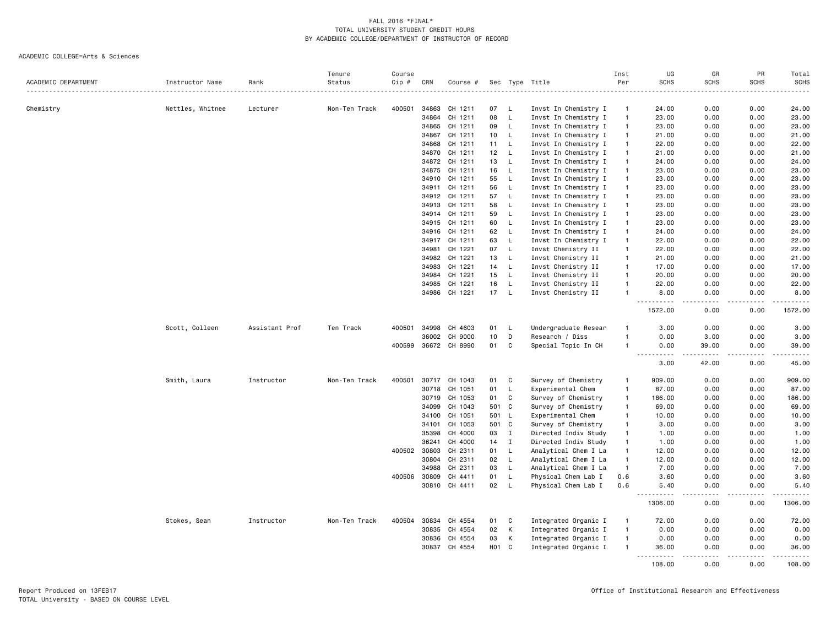|                     |                  |                | Tenure        | Course |       |                      |                 |             |                      | Inst           | UG                                         | GR                           | PR            | Total        |
|---------------------|------------------|----------------|---------------|--------|-------|----------------------|-----------------|-------------|----------------------|----------------|--------------------------------------------|------------------------------|---------------|--------------|
| ACADEMIC DEPARTMENT | Instructor Name  | Rank           | Status        | Cip #  | CRN   | Course #             |                 |             | Sec Type Title       | Per            | <b>SCHS</b>                                | <b>SCHS</b>                  | <b>SCHS</b>   | SCHS         |
|                     |                  |                |               |        |       |                      |                 |             |                      |                |                                            |                              |               | .            |
| Chemistry           | Nettles, Whitnee | Lecturer       | Non-Ten Track | 400501 | 34863 | CH 1211              | 07              | L           | Invst In Chemistry I | $\overline{1}$ | 24.00                                      | 0.00                         | 0.00          | 24.00        |
|                     |                  |                |               |        | 34864 | CH 1211              | 08              | L           | Invst In Chemistry I | $\overline{1}$ | 23.00                                      | 0.00                         | 0.00          | 23.00        |
|                     |                  |                |               |        | 34865 | CH 1211              | 09              | L           | Invst In Chemistry I | $\overline{1}$ | 23.00                                      | 0.00                         | 0.00          | 23.00        |
|                     |                  |                |               |        | 34867 | CH 1211              | 10              | L           | Invst In Chemistry I | $\overline{1}$ | 21.00                                      | 0.00                         | 0.00          | 21.00        |
|                     |                  |                |               |        | 34868 | CH 1211              | 11              | L           | Invst In Chemistry I | $\overline{1}$ | 22.00                                      | 0.00                         | 0.00          | 22.00        |
|                     |                  |                |               |        | 34870 | CH 1211              | 12              | L,          | Invst In Chemistry I | $\overline{1}$ | 21.00                                      | 0.00                         | 0.00          | 21.00        |
|                     |                  |                |               |        | 34872 | CH 1211              | 13              | L.          | Invst In Chemistry I | $\overline{1}$ | 24.00                                      | 0.00                         | 0.00          | 24.00        |
|                     |                  |                |               |        | 34875 | CH 1211              | 16              | L           | Invst In Chemistry I | $\mathbf{1}$   | 23.00                                      | 0.00                         | 0.00          | 23.00        |
|                     |                  |                |               |        | 34910 | CH 1211              | 55              | <b>L</b>    | Invst In Chemistry I | $\overline{1}$ | 23.00                                      | 0.00                         | 0.00          | 23.00        |
|                     |                  |                |               |        | 34911 | CH 1211              | 56              | L           | Invst In Chemistry I | $\overline{1}$ | 23.00                                      | 0.00                         | 0.00          | 23.00        |
|                     |                  |                |               |        | 34912 | CH 1211              | 57              | L           | Invst In Chemistry I | $\mathbf{1}$   | 23.00                                      | 0.00                         | 0.00          | 23.00        |
|                     |                  |                |               |        | 34913 | CH 1211              | 58              | L.          | Invst In Chemistry I | $\overline{1}$ | 23.00                                      | 0.00                         | 0.00          | 23.00        |
|                     |                  |                |               |        | 34914 | CH 1211              | 59              | L           | Invst In Chemistry I | $\overline{1}$ | 23.00                                      | 0.00                         | 0.00          | 23.00        |
|                     |                  |                |               |        |       | 34915 CH 1211        | 60              | L           | Invst In Chemistry I | $\mathbf{1}$   | 23.00                                      | 0.00                         | 0.00          | 23.00        |
|                     |                  |                |               |        | 34916 | CH 1211              | 62              | L           | Invst In Chemistry I | $\overline{1}$ | 24.00                                      | 0.00                         | 0.00          | 24.00        |
|                     |                  |                |               |        | 34917 | CH 1211              | 63              | L           | Invst In Chemistry I | $\overline{1}$ | 22.00                                      | 0.00                         | 0.00          | 22.00        |
|                     |                  |                |               |        | 34981 | CH 1221              | 07              | L           | Invst Chemistry II   | $\overline{1}$ | 22.00                                      | 0.00                         | 0.00          | 22.00        |
|                     |                  |                |               |        | 34982 | CH 1221              | 13              | L           | Invst Chemistry II   | $\overline{1}$ | 21.00                                      | 0.00                         | 0.00          | 21.00        |
|                     |                  |                |               |        | 34983 | CH 1221              | 14              | L           | Invst Chemistry II   | $\overline{1}$ | 17.00                                      | 0.00                         | 0.00          | 17.00        |
|                     |                  |                |               |        | 34984 | CH 1221              | 15              | L           | Invst Chemistry II   | $\overline{1}$ | 20.00                                      | 0.00                         | 0.00          | 20.00        |
|                     |                  |                |               |        | 34985 | CH 1221              | 16              | L           | Invst Chemistry II   | $\overline{1}$ | 22.00                                      | 0.00                         | 0.00          | 22.00        |
|                     |                  |                |               |        |       | 34986 CH 1221        | 17              | L           | Invst Chemistry II   | $\overline{1}$ | 8.00                                       | 0.00                         | 0.00          | 8.00         |
|                     |                  |                |               |        |       |                      |                 |             |                      |                | .                                          | $\sim$ $\sim$ $\sim$ $\sim$  | .             |              |
|                     |                  |                |               |        |       |                      |                 |             |                      |                | 1572.00                                    | 0.00                         | 0.00          | 1572.00      |
|                     | Scott, Colleen   | Assistant Prof | Ten Track     | 400501 | 34998 | CH 4603              | 01              | L           | Undergraduate Resear | $\mathbf{1}$   | 3.00                                       | 0.00                         | 0.00          | 3.00         |
|                     |                  |                |               |        | 36002 | CH 9000              | 10              | D           | Research / Diss      | $\overline{1}$ | 0.00                                       | 3.00                         | 0.00          | 3.00         |
|                     |                  |                |               |        |       | 400599 36672 CH 8990 | 01              | C           | Special Topic In CH  | $\overline{1}$ | 0.00                                       | 39.00                        | 0.00          | 39.00        |
|                     |                  |                |               |        |       |                      |                 |             |                      |                | $\sim$ $\sim$ $\sim$<br>د د د د<br>3.00    | . <u>.</u> .<br>42.00        | -----<br>0.00 | .<br>45.00   |
|                     | Smith, Laura     | Instructor     | Non-Ten Track | 400501 | 30717 | CH 1043              | 01              | C           | Survey of Chemistry  | $\overline{1}$ | 909.00                                     | 0.00                         | 0.00          | 909.00       |
|                     |                  |                |               |        | 30718 | CH 1051              | 01              | L           | Experimental Chem    | $\overline{1}$ | 87.00                                      | 0.00                         | 0.00          | 87.00        |
|                     |                  |                |               |        | 30719 | CH 1053              | 01              | C           | Survey of Chemistry  | $\overline{1}$ | 186.00                                     | 0.00                         | 0.00          | 186.00       |
|                     |                  |                |               |        | 34099 | CH 1043              | 501             | C           | Survey of Chemistry  | $\overline{1}$ | 69.00                                      | 0.00                         | 0.00          | 69.00        |
|                     |                  |                |               |        | 34100 | CH 1051              | 501             | L           | Experimental Chem    | $\overline{1}$ | 10.00                                      | 0.00                         | 0.00          | 10.00        |
|                     |                  |                |               |        | 34101 | CH 1053              | 501             | C           | Survey of Chemistry  | $\overline{1}$ | 3.00                                       | 0.00                         | 0.00          | 3.00         |
|                     |                  |                |               |        | 35398 | CH 4000              | 03              | $\mathbf I$ | Directed Indiv Study | $\overline{1}$ | 1.00                                       | 0.00                         | 0.00          | 1.00         |
|                     |                  |                |               |        | 36241 | CH 4000              | 14              | $\mathbf I$ | Directed Indiv Study | $\mathbf{1}$   | 1.00                                       | 0.00                         | 0.00          | 1.00         |
|                     |                  |                |               | 400502 | 30803 | CH 2311              | 01              | L           | Analytical Chem I La | $\overline{1}$ | 12.00                                      | 0.00                         | 0.00          | 12.00        |
|                     |                  |                |               |        | 30804 | CH 2311              | 02              | L           | Analytical Chem I La | $\overline{1}$ | 12.00                                      | 0.00                         | 0.00          | 12.00        |
|                     |                  |                |               |        | 34988 | CH 2311              | 03              | L           | Analytical Chem I La | $\overline{1}$ | 7.00                                       | 0.00                         | 0.00          | 7.00         |
|                     |                  |                |               | 400506 | 30809 | CH 4411              | 01              | L           | Physical Chem Lab I  | 0.6            | 3.60                                       | 0.00                         | 0.00          | 3.60         |
|                     |                  |                |               |        |       | 30810 CH 4411        | 02              | L           | Physical Chem Lab I  | 0.6            | 5.40                                       | 0.00                         | 0.00          | 5.40         |
|                     |                  |                |               |        |       |                      |                 |             |                      |                | $\sim$ $\sim$ $\sim$<br>د د د د<br>1306.00 | $\sim$ $\sim$ $\sim$<br>0.00 | .<br>0.00     | .<br>1306.00 |
|                     | Stokes, Sean     | Instructor     | Non-Ten Track | 400504 | 30834 | CH 4554              | 01              | C           | Integrated Organic I | $\mathbf{1}$   | 72.00                                      | 0.00                         | 0.00          | 72.00        |
|                     |                  |                |               |        | 30835 | CH 4554              | 02              | K           | Integrated Organic I | $\overline{1}$ | 0.00                                       | 0.00                         | 0.00          | 0.00         |
|                     |                  |                |               |        | 30836 | CH 4554              | 03              | К           | Integrated Organic I | $\overline{1}$ | 0.00                                       | 0.00                         | 0.00          | 0.00         |
|                     |                  |                |               |        | 30837 | CH 4554              | HO <sub>1</sub> | C           | Integrated Organic I | $\overline{1}$ | 36.00<br><u>----------</u>                 | 0.00<br>.                    | 0.00<br>.     | 36.00<br>.   |
|                     |                  |                |               |        |       |                      |                 |             |                      |                | 108,00                                     | 0.00                         | 0.00          | 108,00       |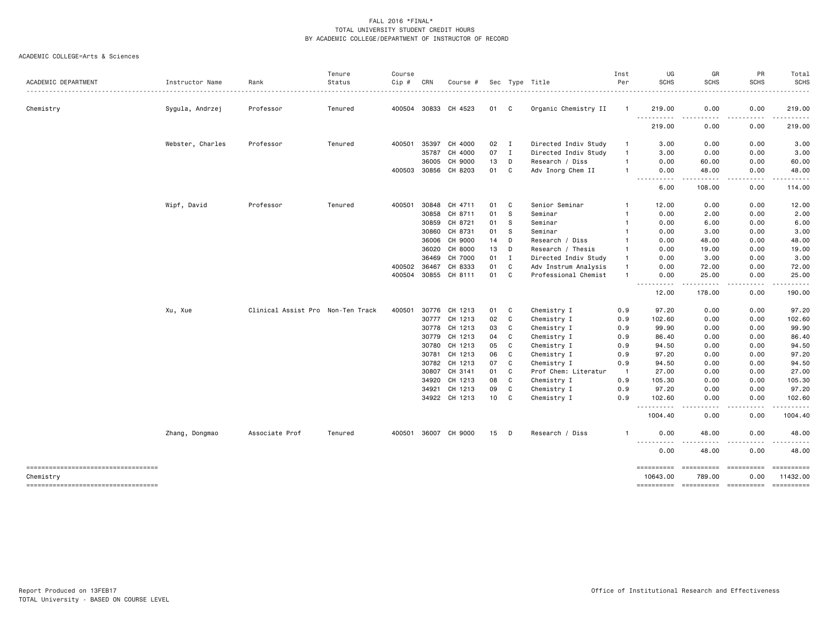|                                                 |                  |                                   | Tenure  | Course |              |                      |      |              |                      | Inst           | UG                                                                                                                                                              | GR                                                                                                                                | PR                                                                                                                                                           | Total                  |
|-------------------------------------------------|------------------|-----------------------------------|---------|--------|--------------|----------------------|------|--------------|----------------------|----------------|-----------------------------------------------------------------------------------------------------------------------------------------------------------------|-----------------------------------------------------------------------------------------------------------------------------------|--------------------------------------------------------------------------------------------------------------------------------------------------------------|------------------------|
| ACADEMIC DEPARTMENT                             | Instructor Name  | Rank                              | Status  | Cip #  | CRN          | Course #             |      |              | Sec Type Title       | Per            | <b>SCHS</b>                                                                                                                                                     | <b>SCHS</b>                                                                                                                       | <b>SCHS</b>                                                                                                                                                  | <b>SCHS</b><br>.       |
| Chemistry                                       | Sygula, Andrzej  | Professor                         | Tenured |        |              | 400504 30833 CH 4523 | 01 C |              | Organic Chemistry II | $\mathbf{1}$   | 219.00                                                                                                                                                          | 0.00                                                                                                                              | 0.00                                                                                                                                                         | 219.00                 |
|                                                 |                  |                                   |         |        |              |                      |      |              |                      |                | <u>.</u><br>219.00                                                                                                                                              | $\frac{1}{2} \left( \frac{1}{2} \right) \left( \frac{1}{2} \right) \left( \frac{1}{2} \right) \left( \frac{1}{2} \right)$<br>0.00 | .<br>0.00                                                                                                                                                    | . <u>.</u><br>219.00   |
|                                                 | Webster, Charles | Professor                         | Tenured | 400501 | 35397        | CH 4000              | 02   | $\mathbf{I}$ | Directed Indiv Study | -1             | 3.00                                                                                                                                                            | 0.00                                                                                                                              | 0.00                                                                                                                                                         | 3.00                   |
|                                                 |                  |                                   |         |        | 35787        | CH 4000              | 07   | $\mathbf{I}$ | Directed Indiv Study | $\overline{1}$ | 3.00                                                                                                                                                            | 0.00                                                                                                                              | 0.00                                                                                                                                                         | 3.00                   |
|                                                 |                  |                                   |         |        | 36005        | CH 9000              | 13   | D            | Research / Diss      | -1             | 0.00                                                                                                                                                            | 60.00                                                                                                                             | 0.00                                                                                                                                                         | 60.00                  |
|                                                 |                  |                                   |         |        | 400503 30856 | CH 8203              | 01   | C            | Adv Inorg Chem II    | $\mathbf{1}$   | 0.00<br>$  -$<br>.                                                                                                                                              | 48.00                                                                                                                             | 0.00<br>.                                                                                                                                                    | 48.00<br>.             |
|                                                 |                  |                                   |         |        |              |                      |      |              |                      |                | 6.00                                                                                                                                                            | .<br>108.00                                                                                                                       | 0.00                                                                                                                                                         | 114.00                 |
|                                                 | Wipf, David      | Professor                         | Tenured | 400501 | 30848        | CH 4711              | 01   | C            | Senior Seminar       |                | 12.00                                                                                                                                                           | 0.00                                                                                                                              | 0.00                                                                                                                                                         | 12.00                  |
|                                                 |                  |                                   |         |        | 30858        | CH 8711              | 01   | S            | Seminar              |                | 0.00                                                                                                                                                            | 2.00                                                                                                                              | 0.00                                                                                                                                                         | 2.00                   |
|                                                 |                  |                                   |         |        | 30859        | CH 8721              | 01   | s            | Seminar              | -1             | 0.00                                                                                                                                                            | 6.00                                                                                                                              | 0.00                                                                                                                                                         | 6.00                   |
|                                                 |                  |                                   |         |        | 30860        | CH 8731              | 01   | S            | Seminar              |                | 0.00                                                                                                                                                            | 3.00                                                                                                                              | 0.00                                                                                                                                                         | 3.00                   |
|                                                 |                  |                                   |         |        | 36006        | CH 9000              | 14   | D            | Research / Diss      |                | 0.00                                                                                                                                                            | 48.00                                                                                                                             | 0.00                                                                                                                                                         | 48.00                  |
|                                                 |                  |                                   |         |        | 36020        | CH 8000              | 13   | D            | Research / Thesis    | -1             | 0.00                                                                                                                                                            | 19.00                                                                                                                             | 0.00                                                                                                                                                         | 19.00                  |
|                                                 |                  |                                   |         |        | 36469        | CH 7000              | 01   | $\mathbf I$  | Directed Indiv Study | $\mathbf{1}$   | 0.00                                                                                                                                                            | 3.00                                                                                                                              | 0.00                                                                                                                                                         | 3.00                   |
|                                                 |                  |                                   |         | 400502 | 36467        | CH 8333              | 01   | C            | Adv Instrum Analysis | -1             | 0.00                                                                                                                                                            | 72.00                                                                                                                             | 0.00                                                                                                                                                         | 72.00                  |
|                                                 |                  |                                   |         |        |              | 400504 30855 CH 8111 | 01   | C            | Professional Chemist |                | 0.00<br>. <b>.</b><br>$\frac{1}{2}$                                                                                                                             | 25.00<br>.                                                                                                                        | 0.00<br>$- - - - -$                                                                                                                                          | 25.00<br>$- - - - - -$ |
|                                                 |                  |                                   |         |        |              |                      |      |              |                      |                | 12.00                                                                                                                                                           | 178.00                                                                                                                            | 0.00                                                                                                                                                         | 190.00                 |
|                                                 | Xu, Xue          | Clinical Assist Pro Non-Ten Track |         | 400501 | 30776        | CH 1213              | 01   | C            | Chemistry I          | 0.9            | 97.20                                                                                                                                                           | 0.00                                                                                                                              | 0.00                                                                                                                                                         | 97.20                  |
|                                                 |                  |                                   |         |        | 30777        | CH 1213              | 02   | C            | Chemistry I          | 0.9            | 102.60                                                                                                                                                          | 0.00                                                                                                                              | 0.00                                                                                                                                                         | 102.60                 |
|                                                 |                  |                                   |         |        | 30778        | CH 1213              | 03   | C            | Chemistry I          | 0.9            | 99.90                                                                                                                                                           | 0.00                                                                                                                              | 0.00                                                                                                                                                         | 99.90                  |
|                                                 |                  |                                   |         |        | 30779        | CH 1213              | 04   | C            | Chemistry I          | 0.9            | 86.40                                                                                                                                                           | 0.00                                                                                                                              | 0.00                                                                                                                                                         | 86.40                  |
|                                                 |                  |                                   |         |        | 30780        | CH 1213              | 05   | C            | Chemistry I          | 0.9            | 94.50                                                                                                                                                           | 0.00                                                                                                                              | 0.00                                                                                                                                                         | 94.50                  |
|                                                 |                  |                                   |         |        | 30781        | CH 1213              | 06   | C            | Chemistry I          | 0.9            | 97.20                                                                                                                                                           | 0.00                                                                                                                              | 0.00                                                                                                                                                         | 97.20                  |
|                                                 |                  |                                   |         |        | 30782        | CH 1213              | 07   | C            | Chemistry I          | 0.9            | 94.50                                                                                                                                                           | 0.00                                                                                                                              | 0.00                                                                                                                                                         | 94.50                  |
|                                                 |                  |                                   |         |        | 30807        | CH 3141              | 01   | C            | Prof Chem: Literatur | -1             | 27.00                                                                                                                                                           | 0.00                                                                                                                              | 0.00                                                                                                                                                         | 27.00                  |
|                                                 |                  |                                   |         |        | 34920        | CH 1213              | 08   | C            | Chemistry I          | 0.9            | 105.30                                                                                                                                                          | 0.00                                                                                                                              | 0.00                                                                                                                                                         | 105.30                 |
|                                                 |                  |                                   |         |        | 34921        | CH 1213              | 09   | C            | Chemistry I          | 0.9            | 97.20                                                                                                                                                           | 0.00                                                                                                                              | 0.00                                                                                                                                                         | 97.20                  |
|                                                 |                  |                                   |         |        |              | 34922 CH 1213        | 10   | C            | Chemistry I          | 0.9            | 102.60                                                                                                                                                          | 0.00                                                                                                                              | 0.00                                                                                                                                                         | 102.60                 |
|                                                 |                  |                                   |         |        |              |                      |      |              |                      |                | $\frac{1}{2} \left( \frac{1}{2} \right) \left( \frac{1}{2} \right) \left( \frac{1}{2} \right) \left( \frac{1}{2} \right) \left( \frac{1}{2} \right)$<br>1004.40 | .<br>0.00                                                                                                                         | $\frac{1}{2} \left( \frac{1}{2} \right) \left( \frac{1}{2} \right) \left( \frac{1}{2} \right) \left( \frac{1}{2} \right) \left( \frac{1}{2} \right)$<br>0.00 | .<br>1004.40           |
|                                                 | Zhang, Dongmao   | Associate Prof                    | Tenured |        |              | 400501 36007 CH 9000 | 15   | D            | Research / Diss      | -1             | 0.00                                                                                                                                                            | 48.00                                                                                                                             | 0.00                                                                                                                                                         | 48.00                  |
|                                                 |                  |                                   |         |        |              |                      |      |              |                      |                | <u>.</u><br>0.00                                                                                                                                                | 48.00                                                                                                                             | 0.00                                                                                                                                                         | .<br>48.00             |
| ----------------------------------<br>Chemistry |                  |                                   |         |        |              |                      |      |              |                      |                | ==========<br>10643.00                                                                                                                                          | 789.00                                                                                                                            | ==========<br>0.00                                                                                                                                           | 11432.00               |
| -----------------------------------             |                  |                                   |         |        |              |                      |      |              |                      |                | ==========                                                                                                                                                      | ==========                                                                                                                        | -----------                                                                                                                                                  | ==========             |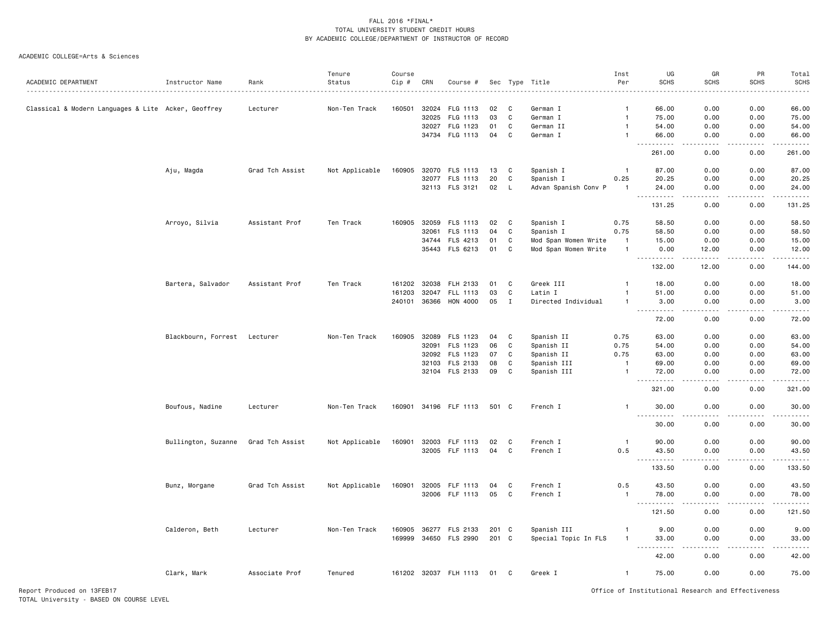#### ACADEMIC COLLEGE=Arts & Sciences

|                                                     |                              |                 | Tenure         | Course       |       |                       |       |              |                      | Inst                    | UG                                               | GR                    | PR                                                                                                                                | Total                           |
|-----------------------------------------------------|------------------------------|-----------------|----------------|--------------|-------|-----------------------|-------|--------------|----------------------|-------------------------|--------------------------------------------------|-----------------------|-----------------------------------------------------------------------------------------------------------------------------------|---------------------------------|
| ACADEMIC DEPARTMENT                                 | Instructor Name              | Rank            | Status         | Cip #        | CRN   | Course #              |       |              | Sec Type Title       | Per                     | <b>SCHS</b>                                      | <b>SCHS</b>           | <b>SCHS</b>                                                                                                                       | <b>SCHS</b>                     |
| Classical & Modern Languages & Lite Acker, Geoffrey |                              | Lecturer        | Non-Ten Track  | 160501       | 32024 | FLG 1113              | 02    | C            | German I             | -1                      | 66.00                                            | 0.00                  | 0.00                                                                                                                              | 66.00                           |
|                                                     |                              |                 |                |              | 32025 | FLG 1113              | 03    | C            | German I             | $\mathbf{1}$            | 75.00                                            | 0.00                  | 0.00                                                                                                                              | 75.00                           |
|                                                     |                              |                 |                |              | 32027 | FLG 1123              | 01    | C            | German II            | $\mathbf{1}$            | 54.00                                            | 0.00                  | 0.00                                                                                                                              | 54.00                           |
|                                                     |                              |                 |                |              |       | 34734 FLG 1113        | 04    | C            | German I             | $\mathbf{1}$            | 66.00                                            | 0.00                  | 0.00                                                                                                                              | 66.00                           |
|                                                     |                              |                 |                |              |       |                       |       |              |                      |                         | .<br>$- - -$<br>261.00                           | المتمامين<br>0.00     | .<br>0.00                                                                                                                         | .<br>261.00                     |
|                                                     | Aju, Magda                   | Grad Tch Assist | Not Applicable | 160905       | 32070 | FLS 1113              | 13    | C            | Spanish I            | $\overline{1}$          | 87.00                                            | 0.00                  | 0.00                                                                                                                              | 87.00                           |
|                                                     |                              |                 |                |              | 32077 | FLS 1113              | 20    | C            | Spanish I            | 0.25                    | 20.25                                            | 0.00                  | 0.00                                                                                                                              | 20.25                           |
|                                                     |                              |                 |                |              |       | 32113 FLS 3121        | 02    | L            | Advan Spanish Conv P | $\overline{\mathbf{1}}$ | 24.00                                            | 0.00                  | 0.00                                                                                                                              | 24.00                           |
|                                                     |                              |                 |                |              |       |                       |       |              |                      |                         | 131.25                                           | 0.00                  | 0.00                                                                                                                              | 131.25                          |
|                                                     | Arroyo, Silvia               | Assistant Prof  | Ten Track      | 160905       | 32059 | FLS 1113              | 02    | C            | Spanish I            | 0.75                    | 58.50                                            | 0.00                  | 0.00                                                                                                                              | 58.50                           |
|                                                     |                              |                 |                |              | 32061 | FLS 1113              | 04    | C            | Spanish I            | 0.75                    | 58.50                                            | 0.00                  | 0.00                                                                                                                              | 58.50                           |
|                                                     |                              |                 |                |              |       | 34744 FLS 4213        | 01    | C            | Mod Span Women Write | $\overline{1}$          | 15.00                                            | 0.00                  | 0.00                                                                                                                              | 15.00                           |
|                                                     |                              |                 |                |              |       | 35443 FLS 6213        | 01    | C            | Mod Span Women Write | $\mathbf{1}$            | 0.00<br><u>.</u>                                 | 12.00<br>.            | 0.00<br>.                                                                                                                         | 12.00<br>.                      |
|                                                     |                              |                 |                |              |       |                       |       |              |                      |                         | 132.00                                           | 12.00                 | 0.00                                                                                                                              | 144.00                          |
|                                                     | Bartera, Salvador            | Assistant Prof  | Ten Track      | 161202       | 32038 | FLH 2133              | 01    | C            | Greek III            |                         | 18.00                                            | 0.00                  | 0.00                                                                                                                              | 18.00                           |
|                                                     |                              |                 |                | 161203       | 32047 | FLL 1113              | 03    | C            | Latin I              |                         | 51.00                                            | 0.00                  | 0.00                                                                                                                              | 51.00                           |
|                                                     |                              |                 |                | 240101 36366 |       | HON 4000              | 05    | $\mathbf I$  | Directed Individual  | -1                      | 3.00                                             | 0.00                  | 0.00                                                                                                                              | 3.00                            |
|                                                     |                              |                 |                |              |       |                       |       |              |                      |                         | 72.00                                            | 0.00                  | 0.00                                                                                                                              | $\omega$ is a $\omega$<br>72.00 |
|                                                     | Blackbourn, Forrest Lecturer |                 | Non-Ten Track  | 160905       | 32089 | FLS 1123              | 04    | C            | Spanish II           | 0.75                    | 63.00                                            | 0.00                  | 0.00                                                                                                                              | 63.00                           |
|                                                     |                              |                 |                |              | 32091 | FLS 1123              | 06    | $\mathtt{C}$ | Spanish II           | 0.75                    | 54.00                                            | 0.00                  | 0.00                                                                                                                              | 54.00                           |
|                                                     |                              |                 |                |              |       | 32092 FLS 1123        | 07    | C            | Spanish II           | 0.75                    | 63.00                                            | 0.00                  | 0.00                                                                                                                              | 63.00                           |
|                                                     |                              |                 |                |              | 32103 | FLS 2133              | 08    | C            | Spanish III          | $\overline{1}$          | 69.00                                            | 0.00                  | 0.00                                                                                                                              | 69.00                           |
|                                                     |                              |                 |                |              |       | 32104 FLS 2133        | 09    | C            | Spanish III          | $\mathbf{1}$            | 72.00<br><b><i><u>.</u></i></b><br>$\sim$ $\sim$ | 0.00                  | 0.00                                                                                                                              | 72.00<br>.                      |
|                                                     |                              |                 |                |              |       |                       |       |              |                      |                         | 321.00                                           | 0.00                  | 0.00                                                                                                                              | 321.00                          |
|                                                     | Boufous, Nadine              | Lecturer        | Non-Ten Track  |              |       | 160901 34196 FLF 1113 | 501 C |              | French I             | $\mathbf{1}$            | 30.00                                            | 0.00                  | 0.00                                                                                                                              | 30.00                           |
|                                                     |                              |                 |                |              |       |                       |       |              |                      |                         | د د د د د<br>30.00                               | 0.00                  | 0.00                                                                                                                              | .<br>30.00                      |
|                                                     | Bullington, Suzanne          | Grad Tch Assist | Not Applicable | 160901       | 32003 | FLF 1113              | 02    | C            | French I             | -1                      | 90.00                                            | 0.00                  | 0.00                                                                                                                              | 90.00                           |
|                                                     |                              |                 |                |              |       | 32005 FLF 1113        | 04    | C            | French I             | 0.5                     | 43.50<br>.                                       | 0.00<br>$\frac{1}{2}$ | 0.00<br>.                                                                                                                         | 43.50<br>.                      |
|                                                     |                              |                 |                |              |       |                       |       |              |                      |                         | 133.50                                           | 0.00                  | 0.00                                                                                                                              | 133.50                          |
|                                                     | Bunz, Morgane                | Grad Tch Assist | Not Applicable | 160901       | 32005 | FLF 1113              | 04    | C            | French I             | 0.5                     | 43.50                                            | 0.00                  | 0.00                                                                                                                              | 43.50                           |
|                                                     |                              |                 |                |              | 32006 | FLF 1113              | 05    | C            | French I             | $\mathbf{1}$            | 78.00                                            | 0.00                  | 0.00                                                                                                                              | 78.00                           |
|                                                     |                              |                 |                |              |       |                       |       |              |                      |                         | 121.50                                           | 0.00                  | 0.00                                                                                                                              | 121.50                          |
|                                                     |                              |                 |                |              |       |                       |       |              |                      |                         |                                                  |                       |                                                                                                                                   |                                 |
|                                                     | Calderon, Beth               | Lecturer        | Non-Ten Track  | 160905       |       | 36277 FLS 2133        | 201 C |              | Spanish III          | $\mathbf{1}$            | 9.00                                             | 0.00                  | 0.00                                                                                                                              | 9.00                            |
|                                                     |                              |                 |                |              |       | 169999 34650 FLS 2990 | 201 C |              | Special Topic In FLS | $\mathbf{1}$            | 33.00<br>$\sim$ $\sim$ $\sim$<br>.               | 0.00<br>. <u>. .</u>  | 0.00<br>$\frac{1}{2} \left( \frac{1}{2} \right) \left( \frac{1}{2} \right) \left( \frac{1}{2} \right) \left( \frac{1}{2} \right)$ | 33.00<br>.                      |
|                                                     |                              |                 |                |              |       |                       |       |              |                      |                         | 42.00                                            | 0.00                  | 0.00                                                                                                                              | 42.00                           |
|                                                     | Clark, Mark                  | Associate Prof  | Tenured        |              |       | 161202 32037 FLH 1113 | 01    | C            | Greek I              | $\mathbf{1}$            | 75.00                                            | 0.00                  | 0.00                                                                                                                              | 75.00                           |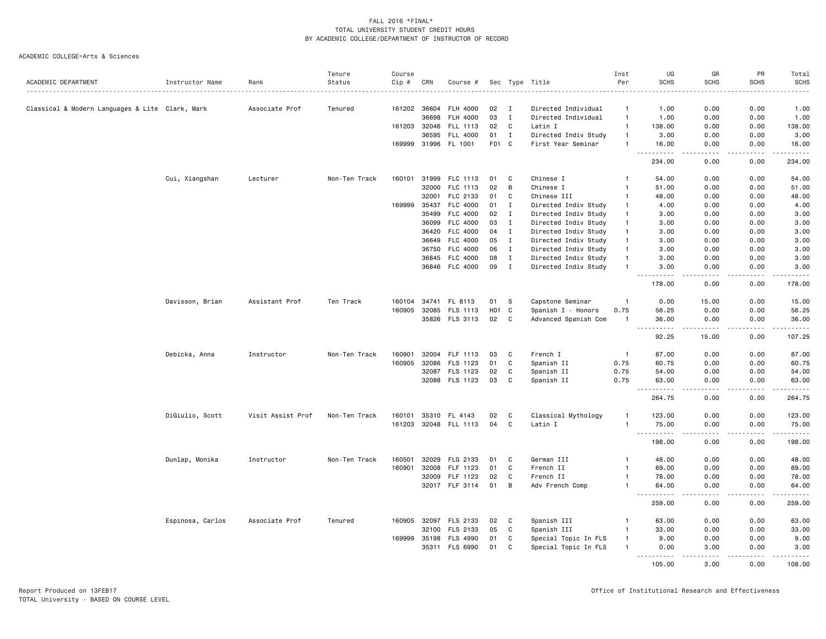|                                                 |                  |                   | Tenure        | Course       |              |                       |                  |              |                      | Inst           | UG                                  | GR                                                                                                                                                            | PR                 | Total       |
|-------------------------------------------------|------------------|-------------------|---------------|--------------|--------------|-----------------------|------------------|--------------|----------------------|----------------|-------------------------------------|---------------------------------------------------------------------------------------------------------------------------------------------------------------|--------------------|-------------|
| ACADEMIC DEPARTMENT                             | Instructor Name  | Rank              | Status        | Cip #        | CRN          | Course #              |                  |              | Sec Type Title       | Per            | <b>SCHS</b>                         | <b>SCHS</b>                                                                                                                                                   | <b>SCHS</b>        | <b>SCHS</b> |
| Classical & Modern Languages & Lite Clark, Mark |                  | Associate Prof    | Tenured       |              | 161202 36604 | FLH 4000              | 02               | $\mathbf I$  | Directed Individual  | -1             | 1.00                                | 0.00                                                                                                                                                          | 0.00               | 1.00        |
|                                                 |                  |                   |               |              | 36698        | FLH 4000              | 03               | $\bf{I}$     | Directed Individual  | $\mathbf{1}$   | 1.00                                | 0.00                                                                                                                                                          | 0.00               | 1.00        |
|                                                 |                  |                   |               | 161203 32046 |              | FLL 1113              | 02               | C            | Latin I              | $\mathbf{1}$   | 138.00                              | 0.00                                                                                                                                                          | 0.00               | 138.00      |
|                                                 |                  |                   |               |              | 36595        | FLL 4000              | 01               | I            | Directed Indiv Study | $\mathbf{1}$   | 3.00                                | 0.00                                                                                                                                                          | 0.00               | 3.00        |
|                                                 |                  |                   |               |              |              | 169999 31996 FL 1001  | F01 C            |              | First Year Seminar   |                | 16.00                               | 0.00                                                                                                                                                          | 0.00               | 16.00       |
|                                                 |                  |                   |               |              |              |                       |                  |              |                      |                | -----<br>234.00                     | د د د د<br>0.00                                                                                                                                               | .<br>0.00          | .<br>234.00 |
|                                                 | Cui, Xiangshan   | Lecturer          | Non-Ten Track | 160101       | 31999        | FLC 1113              | 01               | C            | Chinese I            | $\mathbf{1}$   | 54.00                               | 0.00                                                                                                                                                          | 0.00               | 54.00       |
|                                                 |                  |                   |               |              | 32000        | FLC 1113              | 02               | B            | Chinese I            | -1             | 51.00                               | 0.00                                                                                                                                                          | 0.00               | 51.00       |
|                                                 |                  |                   |               |              | 32001        | FLC 2133              | 01               | C            | Chinese III          | 1              | 48.00                               | 0.00                                                                                                                                                          | 0.00               | 48.00       |
|                                                 |                  |                   |               | 169999       | 35437        | FLC 4000              | 01               | $\mathbf I$  | Directed Indiv Study | $\mathbf{1}$   | 4.00                                | 0.00                                                                                                                                                          | 0.00               | 4.00        |
|                                                 |                  |                   |               |              | 35499        | FLC 4000              | 02               | I            | Directed Indiv Study | $\mathbf{1}$   | 3.00                                | 0.00                                                                                                                                                          | 0.00               | 3.00        |
|                                                 |                  |                   |               |              | 36099        | <b>FLC 4000</b>       | 03               | $\mathbf I$  | Directed Indiv Study | $\mathbf{1}$   | 3.00                                | 0.00                                                                                                                                                          | 0.00               | 3.00        |
|                                                 |                  |                   |               |              | 36420        | FLC 4000              | 04               | $\mathbf I$  | Directed Indiv Study | $\mathbf{1}$   | 3.00                                | 0.00                                                                                                                                                          | 0.00               | 3.00        |
|                                                 |                  |                   |               |              | 36649        | FLC 4000              | 05               | I            | Directed Indiv Study | $\mathbf{1}$   | 3.00                                | 0.00                                                                                                                                                          | 0.00               | 3.00        |
|                                                 |                  |                   |               |              | 36750        | FLC 4000              | 06               | Ι            | Directed Indiv Study |                | 3.00                                | 0.00                                                                                                                                                          | 0.00               | 3.00        |
|                                                 |                  |                   |               |              |              | 36845 FLC 4000        | 08               | $\mathbf I$  | Directed Indiv Study | -1             | 3.00                                | 0.00                                                                                                                                                          | 0.00               | 3.00        |
|                                                 |                  |                   |               |              | 36846        | <b>FLC 4000</b>       | 09               | $\mathbf{I}$ | Directed Indiv Study |                | 3.00                                | 0.00                                                                                                                                                          | 0.00               | 3.00        |
|                                                 |                  |                   |               |              |              |                       |                  |              |                      |                | 178.00                              | 0.00                                                                                                                                                          | 0.00               | 178.00      |
|                                                 | Davisson, Brian  | Assistant Prof    | Ten Track     | 160104       | 34741        | FL 8113               | 01               | -S           | Capstone Seminar     | $\mathbf{1}$   | 0.00                                | 15.00                                                                                                                                                         | 0.00               | 15.00       |
|                                                 |                  |                   |               | 160905       | 32085        | FLS 1113              | H <sub>0</sub> 1 | C            | Spanish I - Honors   | 0.75           | 56.25                               | 0.00                                                                                                                                                          | 0.00               | 56.25       |
|                                                 |                  |                   |               |              |              | 35826 FLS 3113        | 02               | C            | Advanced Spanish Com | $\overline{1}$ | 36.00                               | 0.00                                                                                                                                                          | 0.00               | 36.00       |
|                                                 |                  |                   |               |              |              |                       |                  |              |                      |                | .<br>$\sim$ $\sim$ $\sim$<br>92.25  | $\frac{1}{2} \left( \frac{1}{2} \right) \left( \frac{1}{2} \right) \left( \frac{1}{2} \right) \left( \frac{1}{2} \right) \left( \frac{1}{2} \right)$<br>15.00 | .<br>0.00          | .<br>107.25 |
|                                                 | Debicka, Anna    | Instructor        | Non-Ten Track | 160901       | 32004        | FLF 1113              | 03               | C            | French I             | $\mathbf{1}$   | 87.00                               | 0.00                                                                                                                                                          | 0.00               | 87.00       |
|                                                 |                  |                   |               | 160905       | 32086        | FLS 1123              | 01               | C            | Spanish II           | 0.75           | 60.75                               | 0.00                                                                                                                                                          | 0.00               | 60.75       |
|                                                 |                  |                   |               |              | 32087        | FLS 1123              | 02               | C            | Spanish II           | 0.75           | 54.00                               | 0.00                                                                                                                                                          | 0.00               | 54.00       |
|                                                 |                  |                   |               |              |              | 32088 FLS 1123        | 03               | C            | Spanish II           | 0.75           | 63.00                               | 0.00                                                                                                                                                          | 0.00               | 63.00       |
|                                                 |                  |                   |               |              |              |                       |                  |              |                      |                | $\sim$ $\sim$<br>.<br>264.75        | 0.00                                                                                                                                                          | .<br>0.00          | .<br>264.75 |
|                                                 | DiGiulio, Scott  | Visit Assist Prof | Non-Ten Track | 160101       | 35310        | FL 4143               | 02               | C            | Classical Mythology  | -1             | 123.00                              | 0.00                                                                                                                                                          | 0.00               | 123.00      |
|                                                 |                  |                   |               |              |              | 161203 32048 FLL 1113 | 04               | C            | Latin I              | $\mathbf{1}$   | 75.00<br>.                          | 0.00<br>$\frac{1}{2}$                                                                                                                                         | 0.00<br>.          | 75.00<br>.  |
|                                                 |                  |                   |               |              |              |                       |                  |              |                      |                | 198.00                              | 0.00                                                                                                                                                          | 0.00               | 198.00      |
|                                                 | Dunlap, Monika   | Instructor        | Non-Ten Track | 160501       | 32029        | FLG 2133              | 01               | C            | German III           | $\mathbf{1}$   | 48.00                               | 0.00                                                                                                                                                          | 0.00               | 48.00       |
|                                                 |                  |                   |               | 160901       | 32008        | FLF 1123              | 01               | C            | French II            |                | 69.00                               | 0.00                                                                                                                                                          | 0.00               | 69.00       |
|                                                 |                  |                   |               |              | 32009        | FLF 1123              | 02               | C            | French II            |                | 78.00                               | 0.00                                                                                                                                                          | 0.00               | 78.00       |
|                                                 |                  |                   |               |              |              | 32017 FLF 3114        | 01               | B            | Adv French Comp      |                | 64.00                               | 0.00                                                                                                                                                          | 0.00               | 64.00       |
|                                                 |                  |                   |               |              |              |                       |                  |              |                      |                | $\sim$ $\sim$ $\sim$<br>.<br>259.00 | المتمامين<br>0.00                                                                                                                                             | . <b>.</b><br>0.00 | .<br>259.00 |
|                                                 | Espinosa, Carlos | Associate Prof    | Tenured       | 160905       | 32097        | FLS 2133              | 02               | C            | Spanish III          | $\mathbf{1}$   | 63.00                               | 0.00                                                                                                                                                          | 0.00               | 63.00       |
|                                                 |                  |                   |               |              | 32100        | FLS 2133              | 05               | C            | Spanish III          | $\mathbf{1}$   | 33.00                               | 0.00                                                                                                                                                          | 0.00               | 33.00       |
|                                                 |                  |                   |               | 169999 35198 |              | FLS 4990              | 01               | C            | Special Topic In FLS | $\mathbf{1}$   | 9.00                                | 0.00                                                                                                                                                          | 0.00               | 9.00        |
|                                                 |                  |                   |               |              | 35311        | FLS 6990              | 01               | C            | Special Topic In FLS |                | 0.00                                | 3.00                                                                                                                                                          | 0.00               | 3.00        |
|                                                 |                  |                   |               |              |              |                       |                  |              |                      |                | 105.00                              | 3.00                                                                                                                                                          | 0.00               | 108.00      |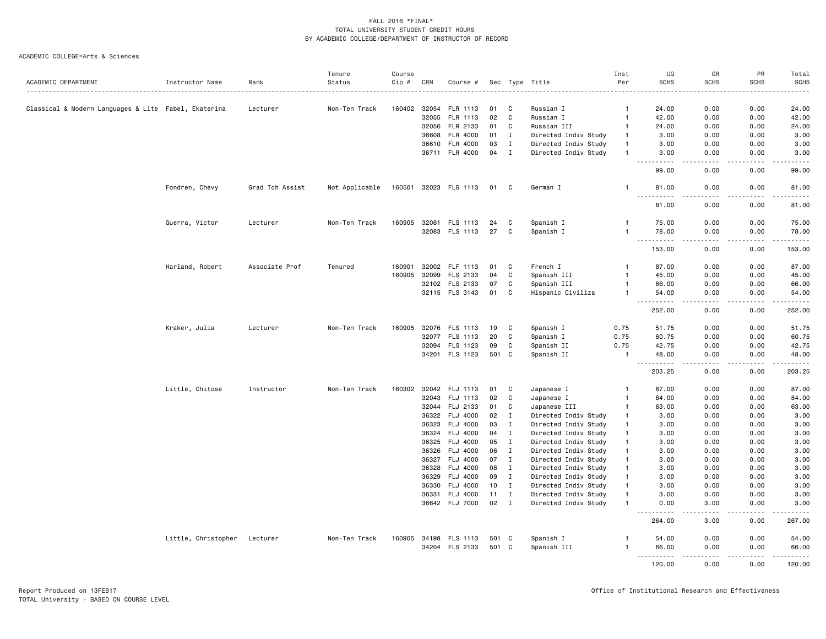|                                                      |                     |                 | Tenure         | Course |       |                       |       |              |                      | Inst           | UG                                  | GR                                                                                                                                | PR                  | Total                                                                                                                                                                                    |
|------------------------------------------------------|---------------------|-----------------|----------------|--------|-------|-----------------------|-------|--------------|----------------------|----------------|-------------------------------------|-----------------------------------------------------------------------------------------------------------------------------------|---------------------|------------------------------------------------------------------------------------------------------------------------------------------------------------------------------------------|
| ACADEMIC DEPARTMENT                                  | Instructor Name     | Rank            | Status         | Cip #  | CRN   | Course #              |       |              | Sec Type Title       | Per            | <b>SCHS</b>                         | <b>SCHS</b>                                                                                                                       | <b>SCHS</b>         | SCHS                                                                                                                                                                                     |
|                                                      |                     |                 |                |        |       |                       |       |              |                      |                |                                     |                                                                                                                                   |                     |                                                                                                                                                                                          |
| Classical & Modern Languages & Lite Fabel, Ekaterina |                     | Lecturer        | Non-Ten Track  | 160402 | 32054 | FLR 1113              | 01    | C            | Russian I            | $\mathbf{1}$   | 24.00                               | 0.00                                                                                                                              | 0.00                | 24.00                                                                                                                                                                                    |
|                                                      |                     |                 |                |        | 32055 | <b>FLR 1113</b>       | 02    | C            | Russian I            | $\mathbf{1}$   | 42.00                               | 0.00                                                                                                                              | 0.00                | 42.00                                                                                                                                                                                    |
|                                                      |                     |                 |                |        | 32056 | FLR 2133              | 01    | C            | Russian III          | $\mathbf{1}$   | 24.00                               | 0.00                                                                                                                              | 0.00                | 24.00                                                                                                                                                                                    |
|                                                      |                     |                 |                |        | 36608 | FLR 4000              | 01    | $\mathbf I$  | Directed Indiv Study | $\overline{1}$ | 3.00                                | 0.00                                                                                                                              | 0.00                | 3.00                                                                                                                                                                                     |
|                                                      |                     |                 |                |        |       | 36610 FLR 4000        | 03    | $\mathbf I$  | Directed Indiv Study |                | 3.00                                | 0.00                                                                                                                              | 0.00                | 3.00                                                                                                                                                                                     |
|                                                      |                     |                 |                |        |       | 36711 FLR 4000        | 04    | $\mathbf{I}$ | Directed Indiv Study | 1              | 3.00<br>$\sim$ $\sim$ $\sim$<br>.   | 0.00<br>$\frac{1}{2} \left( \frac{1}{2} \right) \left( \frac{1}{2} \right) \left( \frac{1}{2} \right) \left( \frac{1}{2} \right)$ | 0.00<br>$-$ - $-$ - | 3.00<br>والمستحدث                                                                                                                                                                        |
|                                                      |                     |                 |                |        |       |                       |       |              |                      |                | 99.00                               | 0.00                                                                                                                              | 0.00                | 99.00                                                                                                                                                                                    |
|                                                      | Fondren, Chevy      | Grad Tch Assist | Not Applicable |        |       | 160501 32023 FLG 1113 | 01    | C            | German I             | $\mathbf{1}$   | 81.00<br>. <u>.</u>                 | 0.00<br>$- - - -$                                                                                                                 | 0.00<br>$- - - -$   | 81.00<br>.                                                                                                                                                                               |
|                                                      |                     |                 |                |        |       |                       |       |              |                      |                | 81.00                               | 0.00                                                                                                                              | 0.00                | 81.00                                                                                                                                                                                    |
|                                                      | Guerra, Victor      | Lecturer        | Non-Ten Track  | 160905 | 32081 | FLS 1113              | 24    | C            | Spanish I            | $\mathbf{1}$   | 75.00                               | 0.00                                                                                                                              | 0.00                | 75.00                                                                                                                                                                                    |
|                                                      |                     |                 |                |        |       | 32083 FLS 1113        | 27    | C            | Spanish I            | $\mathbf{1}$   | 78.00                               | 0.00                                                                                                                              | 0.00                | 78.00                                                                                                                                                                                    |
|                                                      |                     |                 |                |        |       |                       |       |              |                      |                | $\sim$ $\sim$ $\sim$<br>.<br>153.00 | ----<br>0.00                                                                                                                      | 0.00                | .<br>153.00                                                                                                                                                                              |
|                                                      |                     |                 |                |        |       |                       |       |              |                      |                |                                     |                                                                                                                                   |                     |                                                                                                                                                                                          |
|                                                      | Harland, Robert     | Associate Prof  | Tenured        | 160901 |       | 32002 FLF 1113        | 01    | C            | French I             | $\mathbf{1}$   | 87.00                               | 0.00                                                                                                                              | 0.00                | 87.00                                                                                                                                                                                    |
|                                                      |                     |                 |                | 160905 | 32099 | FLS 2133              | 04    | C            | Spanish III          | $\mathbf{1}$   | 45.00                               | 0.00                                                                                                                              | 0.00                | 45.00                                                                                                                                                                                    |
|                                                      |                     |                 |                |        |       | 32102 FLS 2133        | 07    | C            | Spanish III          | $\mathbf{1}$   | 66.00                               | 0.00                                                                                                                              | 0.00                | 66.00                                                                                                                                                                                    |
|                                                      |                     |                 |                |        |       | 32115 FLS 3143        | 01    | C            | Hispanic Civiliza    | $\mathbf{1}$   | 54.00<br>.                          | 0.00<br>$- - - -$                                                                                                                 | 0.00<br>.           | 54.00<br>.                                                                                                                                                                               |
|                                                      |                     |                 |                |        |       |                       |       |              |                      |                | 252.00                              | 0.00                                                                                                                              | 0.00                | 252.00                                                                                                                                                                                   |
|                                                      | Kraker, Julia       | Lecturer        | Non-Ten Track  | 160905 |       | 32076 FLS 1113        | 19    | C            | Spanish I            | 0.75           | 51.75                               | 0.00                                                                                                                              | 0.00                | 51.75                                                                                                                                                                                    |
|                                                      |                     |                 |                |        |       | 32077 FLS 1113        | 20    | C            | Spanish I            | 0.75           | 60.75                               | 0.00                                                                                                                              | 0.00                | 60.75                                                                                                                                                                                    |
|                                                      |                     |                 |                |        | 32094 | FLS 1123              | 09    | C            | Spanish II           | 0.75           | 42.75                               | 0.00                                                                                                                              | 0.00                | 42.75                                                                                                                                                                                    |
|                                                      |                     |                 |                |        |       | 34201 FLS 1123        | 501   | C            | Spanish II           | $\mathbf{1}$   | 48.00                               | 0.00                                                                                                                              | 0.00                | 48.00                                                                                                                                                                                    |
|                                                      |                     |                 |                |        |       |                       |       |              |                      |                | .<br>203.25                         | $- - - -$<br>0.00                                                                                                                 | .<br>0.00           | .<br>203.25                                                                                                                                                                              |
|                                                      | Little, Chitose     | Instructor      | Non-Ten Track  | 160302 |       | 32042 FLJ 1113        | 01    | C            | Japanese I           | -1             | 87.00                               | 0.00                                                                                                                              | 0.00                | 87.00                                                                                                                                                                                    |
|                                                      |                     |                 |                |        |       | 32043 FLJ 1113        | 02    | C            | Japanese I           | $\overline{1}$ | 84.00                               | 0.00                                                                                                                              | 0.00                | 84.00                                                                                                                                                                                    |
|                                                      |                     |                 |                |        |       | 32044 FLJ 2133        | 01    | C            | Japanese III         | $\mathbf{1}$   | 63.00                               | 0.00                                                                                                                              | 0.00                | 63.00                                                                                                                                                                                    |
|                                                      |                     |                 |                |        | 36322 | <b>FLJ 4000</b>       | 02    | Ι.           | Directed Indiv Study | $\mathbf{1}$   | 3.00                                | 0.00                                                                                                                              | 0.00                | 3.00                                                                                                                                                                                     |
|                                                      |                     |                 |                |        |       | 36323 FLJ 4000        | 03    | $\mathbf I$  | Directed Indiv Study | $\mathbf{1}$   | 3.00                                | 0.00                                                                                                                              | 0.00                | 3.00                                                                                                                                                                                     |
|                                                      |                     |                 |                |        | 36324 | FLJ 4000              | 04    | $\mathbf I$  | Directed Indiv Study | $\mathbf{1}$   | 3.00                                | 0.00                                                                                                                              | 0.00                | 3.00                                                                                                                                                                                     |
|                                                      |                     |                 |                |        | 36325 | <b>FLJ 4000</b>       | 05    | $\mathbf I$  | Directed Indiv Study | $\mathbf{1}$   | 3.00                                | 0.00                                                                                                                              | 0.00                | 3.00                                                                                                                                                                                     |
|                                                      |                     |                 |                |        |       | 36326 FLJ 4000        | 06    | $\mathbf I$  | Directed Indiv Study | $\mathbf{1}$   | 3.00                                | 0.00                                                                                                                              | 0.00                | 3.00                                                                                                                                                                                     |
|                                                      |                     |                 |                |        | 36327 | <b>FLJ 4000</b>       | 07    | $\mathbf{I}$ | Directed Indiv Study | $\mathbf{1}$   | 3.00                                | 0.00                                                                                                                              | 0.00                | 3.00                                                                                                                                                                                     |
|                                                      |                     |                 |                |        | 36328 | <b>FLJ 4000</b>       | 08    | $\mathbf{I}$ | Directed Indiv Study | $\mathbf{1}$   | 3.00                                | 0.00                                                                                                                              | 0.00                | 3.00                                                                                                                                                                                     |
|                                                      |                     |                 |                |        | 36329 | <b>FLJ 4000</b>       | 09    | $\mathbf I$  | Directed Indiv Study | $\mathbf{1}$   | 3.00                                | 0.00                                                                                                                              | 0.00                | 3.00                                                                                                                                                                                     |
|                                                      |                     |                 |                |        | 36330 | FLJ 4000              | 10    | $\mathbf{I}$ | Directed Indiv Study | $\mathbf{1}$   | 3.00                                | 0.00                                                                                                                              | 0.00                | 3.00                                                                                                                                                                                     |
|                                                      |                     |                 |                |        | 36331 | <b>FLJ 4000</b>       | 11    | $\mathbf I$  | Directed Indiv Study | $\overline{1}$ | 3.00                                | 0.00                                                                                                                              | 0.00                | 3.00                                                                                                                                                                                     |
|                                                      |                     |                 |                |        |       | 36642 FLJ 7000        | 02    | $\mathbf I$  | Directed Indiv Study | $\mathbf{1}$   | 0.00                                | 3.00                                                                                                                              | 0.00                | 3.00<br>.                                                                                                                                                                                |
|                                                      |                     |                 |                |        |       |                       |       |              |                      |                | 264.00                              | 3.00                                                                                                                              | 0.00                | 267.00                                                                                                                                                                                   |
|                                                      | Little, Christopher | Lecturer        | Non-Ten Track  | 160905 | 34198 | FLS 1113              | 501   | C            | Spanish I            |                | 54.00                               | 0.00                                                                                                                              | 0.00                | 54.00                                                                                                                                                                                    |
|                                                      |                     |                 |                |        |       | 34204 FLS 2133        | 501 C |              | Spanish III          |                | 66.00<br>.                          | 0.00<br>د د د د                                                                                                                   | 0.00<br>.           | 66.00<br>$\frac{1}{2} \left( \frac{1}{2} \right) \left( \frac{1}{2} \right) \left( \frac{1}{2} \right) \left( \frac{1}{2} \right) \left( \frac{1}{2} \right) \left( \frac{1}{2} \right)$ |
|                                                      |                     |                 |                |        |       |                       |       |              |                      |                | 120.00                              | 0.00                                                                                                                              | 0.00                | 120.00                                                                                                                                                                                   |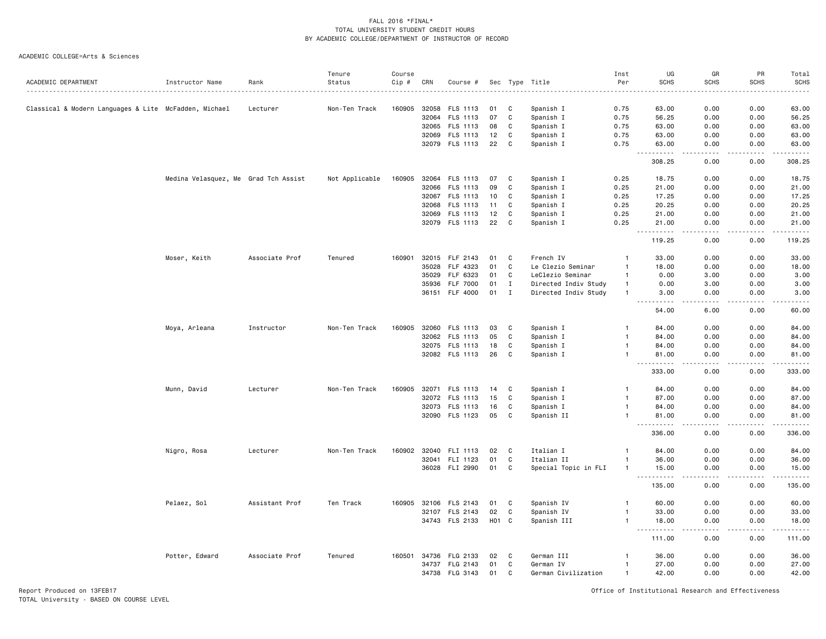ACADEMIC COLLEGE=Arts & Sciences

|                                                       |                                      |                | Tenure         | Course |       |                 |     |              |                      | Inst         | UG                                           | GR                   | PR            | Total               |
|-------------------------------------------------------|--------------------------------------|----------------|----------------|--------|-------|-----------------|-----|--------------|----------------------|--------------|----------------------------------------------|----------------------|---------------|---------------------|
| ACADEMIC DEPARTMENT                                   | Instructor Name                      | Rank           | Status         | Cip #  | CRN   | Course #        | Sec | Type         | Title                | Per          | <b>SCHS</b>                                  | <b>SCHS</b>          | <b>SCHS</b>   | <b>SCHS</b>         |
|                                                       |                                      |                |                |        |       |                 |     |              |                      |              |                                              |                      |               |                     |
| Classical & Modern Languages & Lite McFadden, Michael |                                      | Lecturer       | Non-Ten Track  | 160905 | 32058 | FLS 1113        | 01  | C            | Spanish I            | 0.75         | 63.00                                        | 0.00                 | 0.00          | 63.00               |
|                                                       |                                      |                |                |        |       | 32064 FLS 1113  | 07  | C            | Spanish I            | 0.75         | 56.25                                        | 0.00                 | 0.00          | 56.25               |
|                                                       |                                      |                |                |        | 32065 | FLS 1113        | 08  | C            | Spanish I            | 0.75         | 63.00                                        | 0.00                 | 0.00          | 63.00               |
|                                                       |                                      |                |                |        | 32069 | FLS 1113        | 12  | C            | Spanish I            | 0.75         | 63.00                                        | 0.00                 | 0.00          | 63.00               |
|                                                       |                                      |                |                |        |       | 32079 FLS 1113  | 22  | C            | Spanish I            | 0.75         | 63.00<br>----                                | 0.00                 | 0.00          | 63.00<br>.          |
|                                                       |                                      |                |                |        |       |                 |     |              |                      |              | 308.25                                       | 0.00                 | 0.00          | 308.25              |
|                                                       | Medina Velasquez, Me Grad Tch Assist |                | Not Applicable | 160905 |       | 32064 FLS 1113  | 07  | C            | Spanish I            | 0.25         | 18.75                                        | 0.00                 | 0.00          | 18.75               |
|                                                       |                                      |                |                |        |       | 32066 FLS 1113  | 09  | C            | Spanish I            | 0.25         | 21.00                                        | 0.00                 | 0.00          | 21.00               |
|                                                       |                                      |                |                |        | 32067 | FLS 1113        | 10  | C            | Spanish I            | 0.25         | 17.25                                        | 0.00                 | 0.00          | 17.25               |
|                                                       |                                      |                |                |        |       | 32068 FLS 1113  | 11  | C            | Spanish I            | 0.25         | 20.25                                        | 0.00                 | 0.00          | 20.25               |
|                                                       |                                      |                |                |        | 32069 | FLS 1113        | 12  | C            | Spanish I            | 0.25         | 21.00                                        | 0.00                 | 0.00          | 21.00               |
|                                                       |                                      |                |                |        |       | 32079 FLS 1113  | 22  | C            | Spanish I            | 0.25         | 21.00                                        | 0.00                 | 0.00          | 21.00               |
|                                                       |                                      |                |                |        |       |                 |     |              |                      |              | . <b>.</b><br>$\sim$ $\sim$ $\sim$<br>119.25 | د د د د<br>0.00      | -----<br>0.00 | <u>.</u><br>119.25  |
|                                                       | Moser, Keith                         | Associate Prof | Tenured        | 160901 |       | 32015 FLF 2143  | 01  | C            | French IV            | $\mathbf{1}$ | 33.00                                        | 0.00                 | 0.00          | 33.00               |
|                                                       |                                      |                |                |        | 35028 | FLF 4323        | 01  | C            | Le Clezio Seminar    | $\mathbf{1}$ | 18.00                                        | 0.00                 | 0.00          | 18.00               |
|                                                       |                                      |                |                |        | 35029 | FLF 6323        | 01  | C            | LeClezio Seminar     | $\mathbf{1}$ | 0.00                                         | 3.00                 | 0.00          | 3.00                |
|                                                       |                                      |                |                |        | 35936 | <b>FLF 7000</b> | 01  | $\mathbf{I}$ | Directed Indiv Study | $\mathbf{1}$ | 0.00                                         | 3.00                 | 0.00          | 3.00                |
|                                                       |                                      |                |                |        |       | 36151 FLF 4000  | 01  | I            | Directed Indiv Study | $\mathbf{1}$ | 3.00                                         | 0.00                 | 0.00          | 3.00                |
|                                                       |                                      |                |                |        |       |                 |     |              |                      |              | 54.00                                        | 6.00                 | 0.00          | 60.00               |
|                                                       |                                      |                |                |        |       |                 |     |              |                      |              |                                              |                      |               |                     |
|                                                       | Moya, Arleana                        | Instructor     | Non-Ten Track  | 160905 |       | 32060 FLS 1113  | 03  | C            | Spanish I            | $\mathbf{1}$ | 84.00                                        | 0.00                 | 0.00          | 84.00               |
|                                                       |                                      |                |                |        | 32062 | FLS 1113        | 05  | C            | Spanish I            | $\mathbf{1}$ | 84.00                                        | 0.00                 | 0.00          | 84.00               |
|                                                       |                                      |                |                |        |       | 32075 FLS 1113  | 18  | C            | Spanish I            | $\mathbf{1}$ | 84.00                                        | 0.00                 | 0.00          | 84.00               |
|                                                       |                                      |                |                |        |       | 32082 FLS 1113  | 26  | C            | Spanish I            | -1           | 81.00                                        | 0.00                 | 0.00          | 81.00               |
|                                                       |                                      |                |                |        |       |                 |     |              |                      |              | 333.00                                       | 0.00                 | 0.00          | 333.00              |
|                                                       | Munn, David                          | Lecturer       | Non-Ten Track  | 160905 |       | 32071 FLS 1113  | 14  | C            | Spanish I            | $\mathbf{1}$ | 84.00                                        | 0.00                 | 0.00          | 84.00               |
|                                                       |                                      |                |                |        | 32072 | FLS 1113        | 15  | C            | Spanish I            | $\mathbf{1}$ | 87.00                                        | 0.00                 | 0.00          | 87.00               |
|                                                       |                                      |                |                |        |       | 32073 FLS 1113  | 16  | C            | Spanish I            | $\mathbf{1}$ | 84.00                                        | 0.00                 | 0.00          | 84.00               |
|                                                       |                                      |                |                |        |       | 32090 FLS 1123  | 05  | C            | Spanish II           | $\mathbf{1}$ | 81.00                                        | 0.00                 | 0.00          | 81.00               |
|                                                       |                                      |                |                |        |       |                 |     |              |                      |              | 336.00                                       | 0.00                 | 0.00          | والمستحدث<br>336.00 |
|                                                       | Nigro, Rosa                          | Lecturer       | Non-Ten Track  | 160902 | 32040 | FLI 1113        | 02  | C            | Italian I            | $\mathbf{1}$ | 84.00                                        | 0.00                 | 0.00          | 84.00               |
|                                                       |                                      |                |                |        |       | 32041 FLI 1123  | 01  | C            | Italian II           | $\mathbf{1}$ | 36.00                                        | 0.00                 | 0.00          | 36.00               |
|                                                       |                                      |                |                |        |       | 36028 FLI 2990  | 01  | C            | Special Topic in FLI | $\mathbf{1}$ | 15.00                                        | 0.00                 | 0.00          | 15.00               |
|                                                       |                                      |                |                |        |       |                 |     |              |                      |              | .                                            | .                    | . <b>.</b>    | .                   |
|                                                       |                                      |                |                |        |       |                 |     |              |                      |              | 135.00                                       | 0.00                 | 0.00          | 135.00              |
|                                                       | Pelaez, Sol                          | Assistant Prof | Ten Track      | 160905 |       | 32106 FLS 2143  | 01  | C            | Spanish IV           | $\mathbf{1}$ | 60.00                                        | 0.00                 | 0.00          | 60.00               |
|                                                       |                                      |                |                |        |       | 32107 FLS 2143  | 02  | C            | Spanish IV           | $\mathbf{1}$ | 33.00                                        | 0.00                 | 0.00          | 33.00               |
|                                                       |                                      |                |                |        |       | 34743 FLS 2133  |     | HO1 C        | Spanish III          | $\mathbf{1}$ | 18.00<br>$\sim$ $\sim$ $\sim$<br>.           | 0.00<br>. <u>. .</u> | 0.00<br>.     | 18.00<br>.          |
|                                                       |                                      |                |                |        |       |                 |     |              |                      |              | 111.00                                       | 0.00                 | 0.00          | 111.00              |
|                                                       | Potter, Edward                       | Associate Prof | Tenured        | 160501 | 34736 | FLG 2133        | 02  | C            | German III           | $\mathbf{1}$ | 36.00                                        | 0.00                 | 0.00          | 36.00               |
|                                                       |                                      |                |                |        | 34737 | FLG 2143        | 01  | C            | German IV            | $\mathbf{1}$ | 27.00                                        | 0.00                 | 0.00          | 27.00               |
|                                                       |                                      |                |                |        |       | 34738 FLG 3143  | 01  | C            | German Civilization  | $\mathbf{1}$ | 42.00                                        | 0.00                 | 0.00          | 42.00               |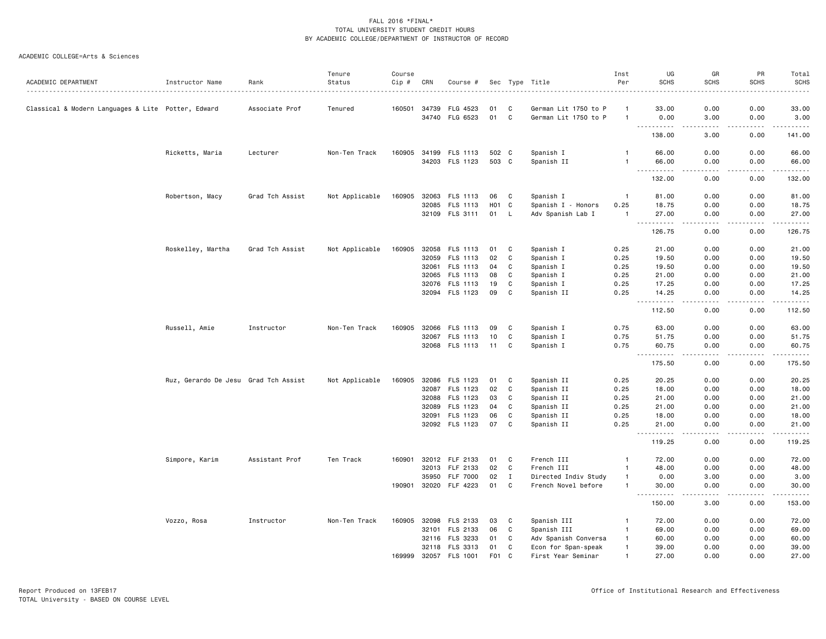|                                                    |                                      |                 | Tenure         | Course |       |                 |                  |              |                      | Inst           | UG                                                                                                                                                                                    | GR                                                                                                                                | PR                                  | Total            |
|----------------------------------------------------|--------------------------------------|-----------------|----------------|--------|-------|-----------------|------------------|--------------|----------------------|----------------|---------------------------------------------------------------------------------------------------------------------------------------------------------------------------------------|-----------------------------------------------------------------------------------------------------------------------------------|-------------------------------------|------------------|
| ACADEMIC DEPARTMENT                                | Instructor Name                      | Rank<br>.       | Status         | Cip #  | CRN   | Course #        |                  |              | Sec Type Title<br>.  | Per            | <b>SCHS</b>                                                                                                                                                                           | <b>SCHS</b>                                                                                                                       | <b>SCHS</b>                         | <b>SCHS</b><br>. |
| Classical & Modern Languages & Lite Potter, Edward |                                      | Associate Prof  | Tenured        | 160501 | 34739 | FLG 4523        | 01               | C            | German Lit 1750 to P | -1             | 33.00                                                                                                                                                                                 | 0.00                                                                                                                              | 0.00                                | 33.00            |
|                                                    |                                      |                 |                |        |       | 34740 FLG 6523  | 01 C             |              | German Lit 1750 to P | $\mathbf{1}$   | 0.00                                                                                                                                                                                  | 3.00                                                                                                                              | 0.00                                | 3.00             |
|                                                    |                                      |                 |                |        |       |                 |                  |              |                      |                | $\cdots \cdots \cdots$<br>138.00                                                                                                                                                      | $\omega$ is $\omega$ in<br>3.00                                                                                                   | .<br>0.00                           | .<br>141.00      |
|                                                    | Ricketts, Maria                      | Lecturer        | Non-Ten Track  | 160905 | 34199 | FLS 1113        | 502 C            |              | Spanish I            | $\mathbf{1}$   | 66.00                                                                                                                                                                                 | 0.00                                                                                                                              | 0.00                                | 66.00            |
|                                                    |                                      |                 |                |        |       | 34203 FLS 1123  | 503 C            |              | Spanish II           | $\overline{1}$ | 66.00<br>$\sim$ $\sim$ $\sim$                                                                                                                                                         | 0.00<br>$\sim$ $\sim$ $\sim$                                                                                                      | 0.00<br>$\sim$ $\sim$ $\sim$ $\sim$ | 66.00<br>.       |
|                                                    |                                      |                 |                |        |       |                 |                  |              |                      |                | 132.00                                                                                                                                                                                | 0.00                                                                                                                              | 0.00                                | 132.00           |
|                                                    | Robertson, Macy                      | Grad Tch Assist | Not Applicable | 160905 | 32063 | FLS 1113        | 06               | C            | Spanish I            | $\overline{1}$ | 81.00                                                                                                                                                                                 | 0.00                                                                                                                              | 0.00                                | 81.00            |
|                                                    |                                      |                 |                |        | 32085 | FLS 1113        | H <sub>0</sub> 1 | $\mathbf{C}$ | Spanish I - Honors   | 0.25           | 18.75                                                                                                                                                                                 | 0.00                                                                                                                              | 0.00                                | 18.75            |
|                                                    |                                      |                 |                |        |       | 32109 FLS 3111  | 01               | L.           | Adv Spanish Lab I    | $\overline{1}$ | 27.00<br>$\sim$ $\sim$ $\sim$<br>-----                                                                                                                                                | 0.00<br>$- - - -$                                                                                                                 | 0.00<br>$\sim$ $\sim$ $\sim$        | 27.00<br>.       |
|                                                    |                                      |                 |                |        |       |                 |                  |              |                      |                | 126.75                                                                                                                                                                                | 0.00                                                                                                                              | 0.00                                | 126.75           |
|                                                    | Roskelley, Martha                    | Grad Tch Assist | Not Applicable | 160905 |       | 32058 FLS 1113  | 01               | C            | Spanish I            | 0.25           | 21.00                                                                                                                                                                                 | 0.00                                                                                                                              | 0.00                                | 21.00            |
|                                                    |                                      |                 |                |        | 32059 | <b>FLS 1113</b> | 02               | C            | Spanish I            | 0.25           | 19.50                                                                                                                                                                                 | 0.00                                                                                                                              | 0.00                                | 19.50            |
|                                                    |                                      |                 |                |        | 32061 | FLS 1113        | 04               | C            | Spanish I            | 0.25           | 19.50                                                                                                                                                                                 | 0.00                                                                                                                              | 0.00                                | 19.50            |
|                                                    |                                      |                 |                |        |       | 32065 FLS 1113  | 08               | C            | Spanish I            | 0.25           | 21.00                                                                                                                                                                                 | 0.00                                                                                                                              | 0.00                                | 21.00            |
|                                                    |                                      |                 |                |        |       | 32076 FLS 1113  | 19               | C            | Spanish I            | 0.25           | 17.25                                                                                                                                                                                 | 0.00                                                                                                                              | 0.00                                | 17.25            |
|                                                    |                                      |                 |                |        |       | 32094 FLS 1123  | 09               | $\mathbf c$  | Spanish II           | 0.25           | 14.25<br>$\sim$ $\sim$ $\sim$<br>$\frac{1}{2} \left( \frac{1}{2} \right) \left( \frac{1}{2} \right) \left( \frac{1}{2} \right) \left( \frac{1}{2} \right) \left( \frac{1}{2} \right)$ | 0.00<br>$\frac{1}{2} \left( \frac{1}{2} \right) \left( \frac{1}{2} \right) \left( \frac{1}{2} \right) \left( \frac{1}{2} \right)$ | 0.00<br>.                           | 14.25<br>.       |
|                                                    |                                      |                 |                |        |       |                 |                  |              |                      |                | 112.50                                                                                                                                                                                | 0.00                                                                                                                              | 0.00                                | 112.50           |
|                                                    | Russell, Amie                        | Instructor      | Non-Ten Track  | 160905 |       | 32066 FLS 1113  | 09               | C            | Spanish I            | 0.75           | 63.00                                                                                                                                                                                 | 0.00                                                                                                                              | 0.00                                | 63.00            |
|                                                    |                                      |                 |                |        |       | 32067 FLS 1113  | 10               | C            | Spanish I            | 0.75           | 51.75                                                                                                                                                                                 | 0.00                                                                                                                              | 0.00                                | 51.75            |
|                                                    |                                      |                 |                |        |       | 32068 FLS 1113  | 11               | C            | Spanish I            | 0.75           | 60.75<br>$\sim$ $\sim$ $\sim$<br>.                                                                                                                                                    | 0.00<br>$\sim$ $\sim$ $\sim$ $\sim$                                                                                               | 0.00<br>.                           | 60.75<br>.       |
|                                                    |                                      |                 |                |        |       |                 |                  |              |                      |                | 175.50                                                                                                                                                                                | 0.00                                                                                                                              | 0.00                                | 175.50           |
|                                                    | Ruz, Gerardo De Jesu Grad Tch Assist |                 | Not Applicable | 160905 |       | 32086 FLS 1123  | 01               | C            | Spanish II           | 0.25           | 20.25                                                                                                                                                                                 | 0.00                                                                                                                              | 0.00                                | 20.25            |
|                                                    |                                      |                 |                |        |       | 32087 FLS 1123  | 02               | C            | Spanish II           | 0.25           | 18.00                                                                                                                                                                                 | 0.00                                                                                                                              | 0.00                                | 18.00            |
|                                                    |                                      |                 |                |        |       | 32088 FLS 1123  | 03               | C            | Spanish II           | 0.25           | 21.00                                                                                                                                                                                 | 0.00                                                                                                                              | 0.00                                | 21.00            |
|                                                    |                                      |                 |                |        | 32089 | FLS 1123        | 04               | C            | Spanish II           | 0.25           | 21.00                                                                                                                                                                                 | 0.00                                                                                                                              | 0.00                                | 21.00            |
|                                                    |                                      |                 |                |        | 32091 | FLS 1123        | 06               | C            | Spanish II           | 0.25           | 18.00                                                                                                                                                                                 | 0.00                                                                                                                              | 0.00                                | 18.00            |
|                                                    |                                      |                 |                |        |       | 32092 FLS 1123  | 07               | C            | Spanish II           | 0.25           | 21.00<br>.                                                                                                                                                                            | 0.00<br>.                                                                                                                         | 0.00<br>.                           | 21.00<br>.       |
|                                                    |                                      |                 |                |        |       |                 |                  |              |                      |                | 119.25                                                                                                                                                                                | 0.00                                                                                                                              | 0.00                                | 119.25           |
|                                                    | Simpore, Karim                       | Assistant Prof  | Ten Track      | 160901 | 32012 | FLF 2133        | 01               | C            | French III           | $\overline{1}$ | 72.00                                                                                                                                                                                 | 0.00                                                                                                                              | 0.00                                | 72.00            |
|                                                    |                                      |                 |                |        |       | 32013 FLF 2133  | 02               | C            | French III           | $\mathbf{1}$   | 48.00                                                                                                                                                                                 | 0.00                                                                                                                              | 0.00                                | 48.00            |
|                                                    |                                      |                 |                |        | 35950 | <b>FLF 7000</b> | 02               | $\mathbf{I}$ | Directed Indiv Study | $\overline{1}$ | 0.00                                                                                                                                                                                  | 3.00                                                                                                                              | 0.00                                | 3.00             |
|                                                    |                                      |                 |                | 190901 | 32020 | FLF 4223        | 01               | $\mathbf c$  | French Novel before  | $\mathbf{1}$   | 30.00                                                                                                                                                                                 | 0.00                                                                                                                              | 0.00                                | 30.00<br>.       |
|                                                    |                                      |                 |                |        |       |                 |                  |              |                      |                | 150.00                                                                                                                                                                                | 3.00                                                                                                                              | 0.00                                | 153.00           |
|                                                    | Vozzo, Rosa                          | Instructor      | Non-Ten Track  | 160905 |       | 32098 FLS 2133  | 03               | C            | Spanish III          | $\mathbf{1}$   | 72.00                                                                                                                                                                                 | 0.00                                                                                                                              | 0.00                                | 72.00            |
|                                                    |                                      |                 |                |        | 32101 | FLS 2133        | 06               | C            | Spanish III          | $\overline{1}$ | 69.00                                                                                                                                                                                 | 0.00                                                                                                                              | 0.00                                | 69.00            |
|                                                    |                                      |                 |                |        |       | 32116 FLS 3233  | 01               | C            | Adv Spanish Conversa | $\mathbf{1}$   | 60.00                                                                                                                                                                                 | 0.00                                                                                                                              | 0.00                                | 60.00            |
|                                                    |                                      |                 |                |        |       | 32118 FLS 3313  | 01               | C            | Econ for Span-speak  | $\overline{1}$ | 39.00                                                                                                                                                                                 | 0.00                                                                                                                              | 0.00                                | 39.00            |
|                                                    |                                      |                 |                | 169999 |       | 32057 FLS 1001  | F <sub>0</sub> 1 | C.           | First Year Seminar   |                | 27.00                                                                                                                                                                                 | 0.00                                                                                                                              | 0.00                                | 27.00            |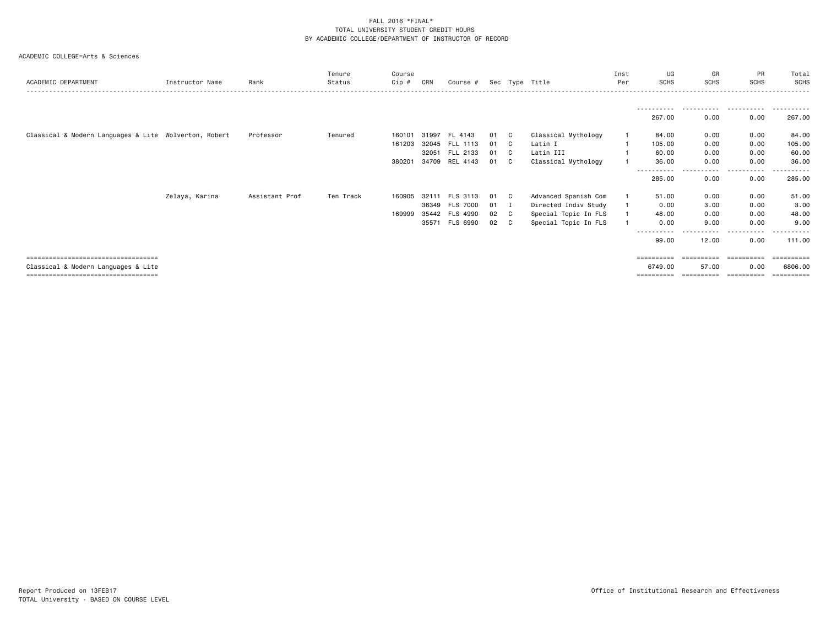|                                                       |                 |                | Tenure    | Course |       |                 |    |                |                      | Inst | UG                | GR              | PR               | Total       |
|-------------------------------------------------------|-----------------|----------------|-----------|--------|-------|-----------------|----|----------------|----------------------|------|-------------------|-----------------|------------------|-------------|
| ACADEMIC DEPARTMENT                                   | Instructor Name | Rank           | Status    | Cip #  | CRN   | Course #        |    |                | Sec Type Title       | Per  | <b>SCHS</b>       | <b>SCHS</b>     | <b>SCHS</b>      | SCHS        |
|                                                       |                 |                |           |        |       |                 |    |                |                      |      |                   |                 |                  |             |
|                                                       |                 |                |           |        |       |                 |    |                |                      |      | .<br>267.00       | 0.00            | 0.00             | .<br>267.00 |
| Classical & Modern Languages & Lite Wolverton, Robert |                 | Professor      | Tenured   | 160101 | 31997 | FL 4143         | 01 | C.             | Classical Mythology  |      | 84.00             | 0.00            | 0.00             | 84.00       |
|                                                       |                 |                |           | 161203 |       | 32045 FLL 1113  | 01 | C.             | Latin I              |      | 105.00            | 0.00            | 0.00             | 105.00      |
|                                                       |                 |                |           |        |       | 32051 FLL 2133  | 01 | $\mathbf{C}$   | Latin III            |      | 60.00             | 0.00            | 0.00             | 60.00       |
|                                                       |                 |                |           | 380201 | 34709 | REL 4143        | 01 | $\mathbf{C}$   | Classical Mythology  |      | 36.00             | 0.00            | 0.00             | 36.00       |
|                                                       |                 |                |           |        |       |                 |    |                |                      |      | 285.00            | - - - -<br>0.00 | <b>.</b><br>0.00 | 285.00      |
|                                                       | Zelaya, Karina  | Assistant Prof | Ten Track | 160905 | 32111 | FLS 3113        | 01 | C .            | Advanced Spanish Com |      | 51.00             | 0.00            | 0.00             | 51.00       |
|                                                       |                 |                |           |        | 36349 | <b>FLS 7000</b> | 01 | $\blacksquare$ | Directed Indiv Study |      | 0.00              | 3.00            | 0.00             | 3.00        |
|                                                       |                 |                |           | 169999 |       | 35442 FLS 4990  | 02 | C              | Special Topic In FLS |      | 48.00             | 0.00            | 0.00             | 48.00       |
|                                                       |                 |                |           |        |       | 35571 FLS 6990  | 02 | C              | Special Topic In FLS |      | 0.00              | 9.00            | 0.00             | 9.00        |
|                                                       |                 |                |           |        |       |                 |    |                |                      |      | $\cdots$<br>99.00 | 12.00           | 0.00             | 111.00      |
| =====================================                 |                 |                |           |        |       |                 |    |                |                      |      |                   |                 |                  | ========    |
| Classical & Modern Languages & Lite                   |                 |                |           |        |       |                 |    |                |                      |      | 6749.00           | 57.00           | 0.00             | 6806.00     |
| =====================================                 |                 |                |           |        |       |                 |    |                |                      |      | ==========        | ==========      | -----------      | ----------  |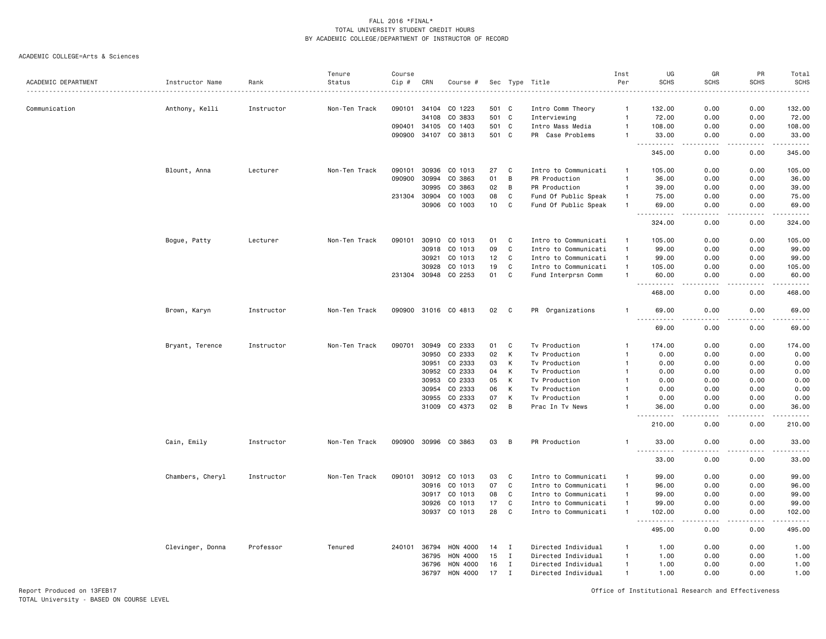#### ACADEMIC COLLEGE=Arts & Sciences

|                     |                  |            | Tenure        | Course |       |                      |       |             |                      | Inst           | UG                                  | GR                                                                                                                                | PR                    | Total                  |
|---------------------|------------------|------------|---------------|--------|-------|----------------------|-------|-------------|----------------------|----------------|-------------------------------------|-----------------------------------------------------------------------------------------------------------------------------------|-----------------------|------------------------|
| ACADEMIC DEPARTMENT | Instructor Name  | Rank       | Status        | Cip #  | CRN   | Course #             |       |             | Sec Type Title       | Per            | <b>SCHS</b>                         | <b>SCHS</b>                                                                                                                       | <b>SCHS</b>           | <b>SCHS</b>            |
|                     |                  |            |               |        |       |                      |       |             |                      |                |                                     |                                                                                                                                   |                       | .                      |
| Communication       | Anthony, Kelli   | Instructor | Non-Ten Track | 090101 | 34104 | CO 1223              | 501   | C           | Intro Comm Theory    | -1             | 132.00                              | 0.00                                                                                                                              | 0.00                  | 132.00                 |
|                     |                  |            |               |        | 34108 | CO 3833              | 501   | C           | Interviewing         | $\mathbf{1}$   | 72.00                               | 0.00                                                                                                                              | 0.00                  | 72.00                  |
|                     |                  |            |               | 090401 | 34105 | CO 1403              | 501 C |             | Intro Mass Media     | $\overline{1}$ | 108.00                              | 0.00                                                                                                                              | 0.00                  | 108.00                 |
|                     |                  |            |               | 090900 | 34107 | CO 3813              | 501 C |             | PR Case Problems     | $\mathbf{1}$   | 33.00                               | 0.00                                                                                                                              | 0.00                  | 33.00                  |
|                     |                  |            |               |        |       |                      |       |             |                      |                | .<br>345.00                         | $\frac{1}{2} \left( \frac{1}{2} \right) \left( \frac{1}{2} \right) \left( \frac{1}{2} \right) \left( \frac{1}{2} \right)$<br>0.00 | .<br>0.00             | <u>.</u><br>345.00     |
|                     | Blount, Anna     | Lecturer   | Non-Ten Track | 090101 | 30936 | CO 1013              | 27    | C           | Intro to Communicati | $\overline{1}$ | 105.00                              | 0.00                                                                                                                              | 0.00                  | 105.00                 |
|                     |                  |            |               | 090900 | 30994 | CO 3863              | 01    | B           | PR Production        | $\mathbf{1}$   | 36.00                               | 0.00                                                                                                                              | 0.00                  | 36.00                  |
|                     |                  |            |               |        | 30995 | CO 3863              | 02    | B           | PR Production        | $\overline{1}$ | 39.00                               | 0.00                                                                                                                              | 0.00                  | 39.00                  |
|                     |                  |            |               | 231304 | 30904 | CO 1003              | 08    | C           | Fund Of Public Speak | $\mathbf{1}$   | 75.00                               | 0.00                                                                                                                              | 0.00                  | 75.00                  |
|                     |                  |            |               |        |       | CO 1003              | 10    | $\mathbf c$ |                      | $\mathbf{1}$   |                                     |                                                                                                                                   |                       |                        |
|                     |                  |            |               |        | 30906 |                      |       |             | Fund Of Public Speak |                | 69.00                               | 0.00                                                                                                                              | 0.00                  | 69.00<br>$\cdots$      |
|                     |                  |            |               |        |       |                      |       |             |                      |                | 324.00                              | 0.00                                                                                                                              | 0.00                  | 324.00                 |
|                     | Bogue, Patty     | Lecturer   | Non-Ten Track | 090101 | 30910 | CO 1013              | 01    | C           | Intro to Communicati | $\mathbf{1}$   | 105.00                              | 0.00                                                                                                                              | 0.00                  | 105.00                 |
|                     |                  |            |               |        | 30918 | CO 1013              | 09    | C           | Intro to Communicati | $\mathbf{1}$   | 99.00                               | 0.00                                                                                                                              | 0.00                  | 99.00                  |
|                     |                  |            |               |        | 30921 | CO 1013              | 12    | C           | Intro to Communicati | $\overline{1}$ | 99.00                               | 0.00                                                                                                                              | 0.00                  | 99.00                  |
|                     |                  |            |               |        | 30928 | CO 1013              | 19    | C           | Intro to Communicati | $\mathbf{1}$   | 105.00                              | 0.00                                                                                                                              | 0.00                  | 105.00                 |
|                     |                  |            |               | 231304 | 30948 | CO 2253              | 01    | $\mathbf c$ | Fund Interprsn Comm  | $\overline{1}$ | 60.00                               | 0.00                                                                                                                              | 0.00                  | 60.00                  |
|                     |                  |            |               |        |       |                      |       |             |                      |                | $\sim$ $\sim$ $\sim$<br>468.00      | $- - - -$<br>0.00                                                                                                                 | $\frac{1}{2}$<br>0.00 | .<br>468.00            |
|                     | Brown, Karyn     | Instructor | Non-Ten Track |        |       | 090900 31016 CO 4813 | 02    | C           | PR Organizations     | $\mathbf{1}$   | 69.00                               | 0.00                                                                                                                              | 0.00                  | 69.00                  |
|                     |                  |            |               |        |       |                      |       |             |                      |                | $- - -$<br>.<br>69.00               | ----<br>0.00                                                                                                                      | . <b>.</b> .<br>0.00  | . <u>.</u> .<br>69.00  |
|                     |                  |            |               |        |       |                      |       |             |                      |                |                                     |                                                                                                                                   |                       |                        |
|                     | Bryant, Terence  | Instructor | Non-Ten Track | 090701 | 30949 | CO 2333              | 01    | C           | Tv Production        | $\mathbf{1}$   | 174.00                              | 0.00                                                                                                                              | 0.00                  | 174.00                 |
|                     |                  |            |               |        | 30950 | CO 2333              | 02    | К           | Tv Production        |                | 0.00                                | 0.00                                                                                                                              | 0.00                  | 0.00                   |
|                     |                  |            |               |        | 30951 | CO 2333              | 03    | К           | Tv Production        |                | 0.00                                | 0.00                                                                                                                              | 0.00                  | 0.00                   |
|                     |                  |            |               |        | 30952 | CO 2333              | 04    | К           | Tv Production        | -1             | 0.00                                | 0.00                                                                                                                              | 0.00                  | 0.00                   |
|                     |                  |            |               |        | 30953 | CO 2333              | 05    | K           | Tv Production        | $\mathbf{1}$   | 0.00                                | 0.00                                                                                                                              | 0.00                  | 0.00                   |
|                     |                  |            |               |        | 30954 | CO 2333              | 06    | K           | Tv Production        |                | 0.00                                | 0.00                                                                                                                              | 0.00                  | 0.00                   |
|                     |                  |            |               |        | 30955 | CO 2333              | 07    | К           | Tv Production        |                | 0.00                                | 0.00                                                                                                                              | 0.00                  | 0.00                   |
|                     |                  |            |               |        | 31009 | CO 4373              | 02    | B           | Prac In Tv News      |                | 36.00                               | 0.00                                                                                                                              | 0.00                  | 36.00                  |
|                     |                  |            |               |        |       |                      |       |             |                      |                | .<br>210.00                         | $- - - -$<br>0.00                                                                                                                 | .<br>0.00             | .<br>210.00            |
|                     | Cain, Emily      | Instructor | Non-Ten Track | 090900 |       | 30996 CO 3863        | 03    | B           | PR Production        | $\overline{1}$ | 33.00                               | 0.00                                                                                                                              | 0.00                  | 33.00                  |
|                     |                  |            |               |        |       |                      |       |             |                      |                | .<br>33.00                          | $- - - -$<br>0.00                                                                                                                 | .<br>0.00             | .<br>33.00             |
|                     |                  |            |               |        |       |                      |       |             |                      |                |                                     |                                                                                                                                   |                       |                        |
|                     | Chambers, Cheryl | Instructor | Non-Ten Track | 090101 | 30912 | CO 1013              | 03    | C           | Intro to Communicati | -1             | 99.00                               | 0.00                                                                                                                              | 0.00                  | 99.00                  |
|                     |                  |            |               |        | 30916 | CO 1013              | 07    | $\mathbf c$ | Intro to Communicati | $\mathbf{1}$   | 96.00                               | 0.00                                                                                                                              | 0.00                  | 96.00                  |
|                     |                  |            |               |        | 30917 | CO 1013              | 08    | C           | Intro to Communicati | $\overline{1}$ | 99.00                               | 0.00                                                                                                                              | 0.00                  | 99.00                  |
|                     |                  |            |               |        | 30926 | CO 1013              | 17    | C           | Intro to Communicati | $\overline{1}$ | 99.00                               | 0.00                                                                                                                              | 0.00                  | 99.00                  |
|                     |                  |            |               |        | 30937 | CO 1013              | 28    | C           | Intro to Communicati | $\mathbf{1}$   | 102.00                              | 0.00                                                                                                                              | 0.00                  | 102.00                 |
|                     |                  |            |               |        |       |                      |       |             |                      |                | $\sim$ $\sim$ $\sim$<br>.<br>495.00 | 0.00                                                                                                                              | . <b>.</b> .<br>0.00  | . <u>.</u> .<br>495.00 |
|                     | Clevinger, Donna | Professor  | Tenured       | 240101 | 36794 | <b>HON 4000</b>      | 14    | I           | Directed Individual  |                | 1.00                                | 0.00                                                                                                                              | 0.00                  | 1.00                   |
|                     |                  |            |               |        | 36795 | HON 4000             | 15    | I           | Directed Individual  | $\mathbf{1}$   | 1.00                                | 0.00                                                                                                                              | 0.00                  | 1.00                   |
|                     |                  |            |               |        | 36796 | HON 4000             | 16    | I           | Directed Individual  | $\overline{1}$ | 1.00                                | 0.00                                                                                                                              | 0.00                  | 1.00                   |
|                     |                  |            |               |        | 36797 | HON 4000             | 17    | Ι           | Directed Individual  | $\overline{1}$ | 1.00                                | 0.00                                                                                                                              | 0.00                  | 1.00                   |
|                     |                  |            |               |        |       |                      |       |             |                      |                |                                     |                                                                                                                                   |                       |                        |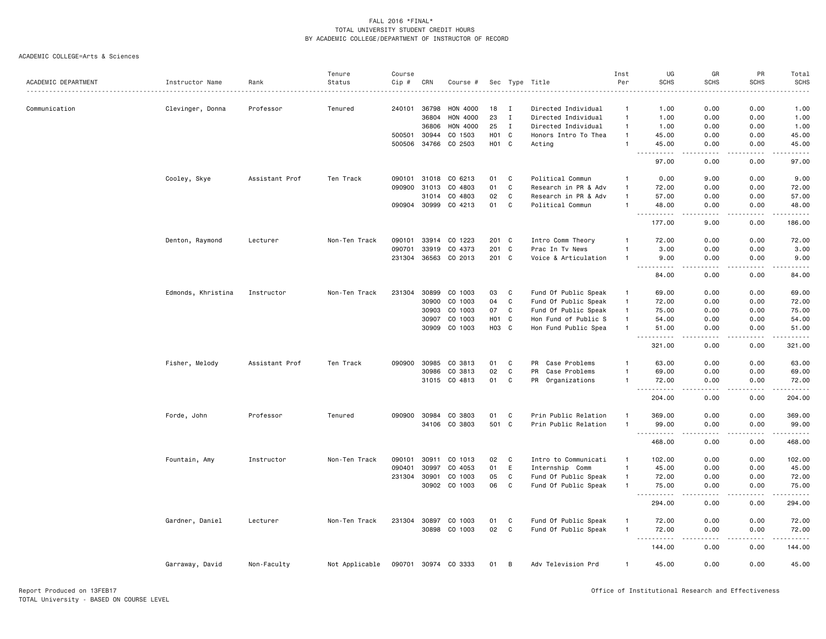|                     |                    |                | Tenure         | Course       |       |                      |                   |              |                      | Inst           | UG                                                                                                                                                                                                                                                                                                                                                                                                                                                                                                                       | GR                    | PR                   | Total                                                                                                                                                         |
|---------------------|--------------------|----------------|----------------|--------------|-------|----------------------|-------------------|--------------|----------------------|----------------|--------------------------------------------------------------------------------------------------------------------------------------------------------------------------------------------------------------------------------------------------------------------------------------------------------------------------------------------------------------------------------------------------------------------------------------------------------------------------------------------------------------------------|-----------------------|----------------------|---------------------------------------------------------------------------------------------------------------------------------------------------------------|
| ACADEMIC DEPARTMENT | Instructor Name    | Rank           | Status         | Cip #        | CRN   | Course #             |                   |              | Sec Type Title       | Per            | <b>SCHS</b>                                                                                                                                                                                                                                                                                                                                                                                                                                                                                                              | <b>SCHS</b>           | <b>SCHS</b>          | <b>SCHS</b>                                                                                                                                                   |
|                     |                    |                |                |              |       |                      |                   |              |                      |                |                                                                                                                                                                                                                                                                                                                                                                                                                                                                                                                          |                       |                      |                                                                                                                                                               |
| Communication       | Clevinger, Donna   | Professor      | Tenured        | 240101       | 36798 | HON 4000             | 18                | I            | Directed Individual  | -1             | 1.00                                                                                                                                                                                                                                                                                                                                                                                                                                                                                                                     | 0.00                  | 0.00                 | 1.00                                                                                                                                                          |
|                     |                    |                |                |              | 36804 | <b>HON 4000</b>      | 23                | $\mathbf I$  | Directed Individual  | $\overline{1}$ | 1.00                                                                                                                                                                                                                                                                                                                                                                                                                                                                                                                     | 0.00                  | 0.00                 | 1.00                                                                                                                                                          |
|                     |                    |                |                |              | 36806 | <b>HON 4000</b>      | 25                | $\mathbf{I}$ | Directed Individual  | $\overline{1}$ | 1.00                                                                                                                                                                                                                                                                                                                                                                                                                                                                                                                     | 0.00                  | 0.00                 | 1.00                                                                                                                                                          |
|                     |                    |                |                | 500501       | 30944 | CO 1503              | H <sub>0</sub> 1  | C            | Honors Intro To Thea | $\overline{1}$ | 45.00                                                                                                                                                                                                                                                                                                                                                                                                                                                                                                                    | 0.00                  | 0.00                 | 45.00                                                                                                                                                         |
|                     |                    |                |                | 500506       | 34766 | CO 2503              | H <sub>01</sub> C |              | Acting               | $\overline{1}$ | 45.00                                                                                                                                                                                                                                                                                                                                                                                                                                                                                                                    | 0.00                  | 0.00                 | 45.00                                                                                                                                                         |
|                     |                    |                |                |              |       |                      |                   |              |                      |                | .<br>$- - -$<br>97.00                                                                                                                                                                                                                                                                                                                                                                                                                                                                                                    | .<br>0.00             | .<br>0.00            | .<br>97.00                                                                                                                                                    |
|                     | Cooley, Skye       | Assistant Prof | Ten Track      | 090101       | 31018 | CO 6213              | 01                | C            | Political Commun     |                | 0.00                                                                                                                                                                                                                                                                                                                                                                                                                                                                                                                     | 9.00                  | 0.00                 | 9.00                                                                                                                                                          |
|                     |                    |                |                | 090900       | 31013 | CO 4803              | 01                | C            | Research in PR & Adv | $\overline{1}$ | 72.00                                                                                                                                                                                                                                                                                                                                                                                                                                                                                                                    | 0.00                  | 0.00                 | 72.00                                                                                                                                                         |
|                     |                    |                |                |              |       |                      | 02                | C            |                      | $\overline{1}$ |                                                                                                                                                                                                                                                                                                                                                                                                                                                                                                                          | 0.00                  | 0.00                 |                                                                                                                                                               |
|                     |                    |                |                |              | 31014 | CO 4803              |                   |              | Research in PR & Adv |                | 57.00                                                                                                                                                                                                                                                                                                                                                                                                                                                                                                                    |                       |                      | 57.00                                                                                                                                                         |
|                     |                    |                |                | 090904 30999 |       | CO 4213              | 01                | $\mathbf c$  | Political Commun     | $\overline{1}$ | 48.00                                                                                                                                                                                                                                                                                                                                                                                                                                                                                                                    | 0.00                  | 0.00                 | 48.00<br>$\frac{1}{2} \left( \frac{1}{2} \right) \left( \frac{1}{2} \right) \left( \frac{1}{2} \right) \left( \frac{1}{2} \right) \left( \frac{1}{2} \right)$ |
|                     |                    |                |                |              |       |                      |                   |              |                      |                | 177.00                                                                                                                                                                                                                                                                                                                                                                                                                                                                                                                   | 9.00                  | 0.00                 | 186.00                                                                                                                                                        |
|                     | Denton, Raymond    | Lecturer       | Non-Ten Track  | 090101       | 33914 | CO 1223              | 201 C             |              | Intro Comm Theory    |                | 72.00                                                                                                                                                                                                                                                                                                                                                                                                                                                                                                                    | 0.00                  | 0.00                 | 72.00                                                                                                                                                         |
|                     |                    |                |                | 090701       | 33919 | CO 4373              | 201               | C            | Prac In Tv News      |                | 3.00                                                                                                                                                                                                                                                                                                                                                                                                                                                                                                                     | 0.00                  | 0.00                 | 3.00                                                                                                                                                          |
|                     |                    |                |                | 231304       | 36563 | CO 2013              | 201 C             |              | Voice & Articulation | $\overline{1}$ | 9.00<br>-----                                                                                                                                                                                                                                                                                                                                                                                                                                                                                                            | 0.00<br>.             | 0.00<br>. <u>.</u> . | 9.00<br>$\frac{1}{2} \left( \frac{1}{2} \right) \left( \frac{1}{2} \right) \left( \frac{1}{2} \right) \left( \frac{1}{2} \right) \left( \frac{1}{2} \right)$  |
|                     |                    |                |                |              |       |                      |                   |              |                      |                | 84.00                                                                                                                                                                                                                                                                                                                                                                                                                                                                                                                    | 0.00                  | 0.00                 | 84.00                                                                                                                                                         |
|                     | Edmonds, Khristina | Instructor     | Non-Ten Track  | 231304       | 30899 | CO 1003              | 03                | C            | Fund Of Public Speak | $\mathbf{1}$   | 69.00                                                                                                                                                                                                                                                                                                                                                                                                                                                                                                                    | 0.00                  | 0.00                 | 69.00                                                                                                                                                         |
|                     |                    |                |                |              | 30900 | CO 1003              | 04                | $\mathbf c$  | Fund Of Public Speak | $\overline{1}$ | 72.00                                                                                                                                                                                                                                                                                                                                                                                                                                                                                                                    | 0.00                  | 0.00                 | 72.00                                                                                                                                                         |
|                     |                    |                |                |              | 30903 | CO 1003              | 07                | C            | Fund Of Public Speak | $\overline{1}$ | 75.00                                                                                                                                                                                                                                                                                                                                                                                                                                                                                                                    | 0.00                  | 0.00                 | 75.00                                                                                                                                                         |
|                     |                    |                |                |              | 30907 | CO 1003              | HO1 C             |              | Hon Fund of Public S | $\mathbf{1}$   | 54.00                                                                                                                                                                                                                                                                                                                                                                                                                                                                                                                    | 0.00                  | 0.00                 | 54.00                                                                                                                                                         |
|                     |                    |                |                |              | 30909 | CO 1003              | H03 C             |              | Hon Fund Public Spea | $\overline{1}$ | 51.00                                                                                                                                                                                                                                                                                                                                                                                                                                                                                                                    | 0.00                  | 0.00                 | 51.00                                                                                                                                                         |
|                     |                    |                |                |              |       |                      |                   |              |                      |                | $\begin{array}{cccccccccccccc} \multicolumn{2}{c}{} & \multicolumn{2}{c}{} & \multicolumn{2}{c}{} & \multicolumn{2}{c}{} & \multicolumn{2}{c}{} & \multicolumn{2}{c}{} & \multicolumn{2}{c}{} & \multicolumn{2}{c}{} & \multicolumn{2}{c}{} & \multicolumn{2}{c}{} & \multicolumn{2}{c}{} & \multicolumn{2}{c}{} & \multicolumn{2}{c}{} & \multicolumn{2}{c}{} & \multicolumn{2}{c}{} & \multicolumn{2}{c}{} & \multicolumn{2}{c}{} & \multicolumn{2}{c}{} & \multicolumn{2}{c}{} & \$<br>$\sim$ $\sim$ $\sim$<br>321.00 | .<br>0.00             | .<br>0.00            | .<br>321.00                                                                                                                                                   |
|                     |                    |                |                |              |       |                      |                   |              |                      |                |                                                                                                                                                                                                                                                                                                                                                                                                                                                                                                                          |                       |                      |                                                                                                                                                               |
|                     | Fisher, Melody     | Assistant Prof | Ten Track      | 090900       | 30985 | CO 3813              | 01                | C            | Case Problems<br>PR  | $\mathbf{1}$   | 63.00                                                                                                                                                                                                                                                                                                                                                                                                                                                                                                                    | 0.00                  | 0.00                 | 63.00                                                                                                                                                         |
|                     |                    |                |                |              | 30986 | CO 3813              | 02                | $\mathbf c$  | PR<br>Case Problems  | $\overline{1}$ | 69.00                                                                                                                                                                                                                                                                                                                                                                                                                                                                                                                    | 0.00                  | 0.00                 | 69.00                                                                                                                                                         |
|                     |                    |                |                |              |       | 31015 CO 4813        | 01                | C            | PR Organizations     | $\overline{1}$ | 72.00<br>.                                                                                                                                                                                                                                                                                                                                                                                                                                                                                                               | 0.00<br>$   -$        | 0.00<br>.            | 72.00<br>.                                                                                                                                                    |
|                     |                    |                |                |              |       |                      |                   |              |                      |                | 204.00                                                                                                                                                                                                                                                                                                                                                                                                                                                                                                                   | 0.00                  | 0.00                 | 204.00                                                                                                                                                        |
|                     | Forde, John        | Professor      | Tenured        | 090900       |       | 30984 CO 3803        | 01                | C            | Prin Public Relation | $\mathbf{1}$   | 369.00                                                                                                                                                                                                                                                                                                                                                                                                                                                                                                                   | 0.00                  | 0.00                 | 369.00                                                                                                                                                        |
|                     |                    |                |                |              |       | 34106 CO 3803        | 501 C             |              | Prin Public Relation | $\overline{1}$ | 99.00<br>$\frac{1}{2} \frac{1}{2} \frac{1}{2} \frac{1}{2} \frac{1}{2} \frac{1}{2} \frac{1}{2} \frac{1}{2}$                                                                                                                                                                                                                                                                                                                                                                                                               | 0.00<br>$- - - -$     | 0.00<br>.            | 99.00<br>.                                                                                                                                                    |
|                     |                    |                |                |              |       |                      |                   |              |                      |                | 468.00                                                                                                                                                                                                                                                                                                                                                                                                                                                                                                                   | 0.00                  | 0.00                 | 468.00                                                                                                                                                        |
|                     | Fountain, Amy      | Instructor     | Non-Ten Track  | 090101       | 30911 | CO 1013              | 02                | C            | Intro to Communicati | $\mathbf{1}$   | 102.00                                                                                                                                                                                                                                                                                                                                                                                                                                                                                                                   | 0.00                  | 0.00                 | 102.00                                                                                                                                                        |
|                     |                    |                |                | 090401       | 30997 | CO 4053              | 01                | E            | Internship Comm      | $\mathbf{1}$   | 45.00                                                                                                                                                                                                                                                                                                                                                                                                                                                                                                                    | 0.00                  | 0.00                 | 45.00                                                                                                                                                         |
|                     |                    |                |                | 231304       | 30901 | CO 1003              | 05                | C            | Fund Of Public Speak | $\overline{1}$ | 72.00                                                                                                                                                                                                                                                                                                                                                                                                                                                                                                                    | 0.00                  | 0.00                 | 72.00                                                                                                                                                         |
|                     |                    |                |                |              |       | 30902 CO 1003        | 06                | $\mathbf{C}$ | Fund Of Public Speak | $\overline{1}$ | 75.00                                                                                                                                                                                                                                                                                                                                                                                                                                                                                                                    | 0.00                  | 0.00                 | 75.00                                                                                                                                                         |
|                     |                    |                |                |              |       |                      |                   |              |                      |                | $\sim$ $\sim$ $\sim$<br>.<br>294.00                                                                                                                                                                                                                                                                                                                                                                                                                                                                                      | $\frac{1}{2}$<br>0.00 | .<br>0.00            | .<br>294.00                                                                                                                                                   |
|                     |                    | Lecturer       | Non-Ten Track  | 231304       |       | 30897 CO 1003        | 01                | C            | Fund Of Public Speak |                |                                                                                                                                                                                                                                                                                                                                                                                                                                                                                                                          | 0.00                  | 0.00                 | 72.00                                                                                                                                                         |
|                     | Gardner, Daniel    |                |                |              |       | 30898 CO 1003        |                   | C            |                      | $\overline{1}$ | 72.00                                                                                                                                                                                                                                                                                                                                                                                                                                                                                                                    |                       |                      |                                                                                                                                                               |
|                     |                    |                |                |              |       |                      | 02                |              | Fund Of Public Speak |                | 72.00<br>.                                                                                                                                                                                                                                                                                                                                                                                                                                                                                                               | 0.00<br>$- - - -$     | 0.00<br>.            | 72.00<br>.                                                                                                                                                    |
|                     |                    |                |                |              |       |                      |                   |              |                      |                | 144.00                                                                                                                                                                                                                                                                                                                                                                                                                                                                                                                   | 0.00                  | 0.00                 | 144.00                                                                                                                                                        |
|                     | Garraway, David    | Non-Faculty    | Not Applicable |              |       | 090701 30974 CO 3333 | 01                | B            | Adv Television Prd   | $\overline{1}$ | 45.00                                                                                                                                                                                                                                                                                                                                                                                                                                                                                                                    | 0.00                  | 0.00                 | 45.00                                                                                                                                                         |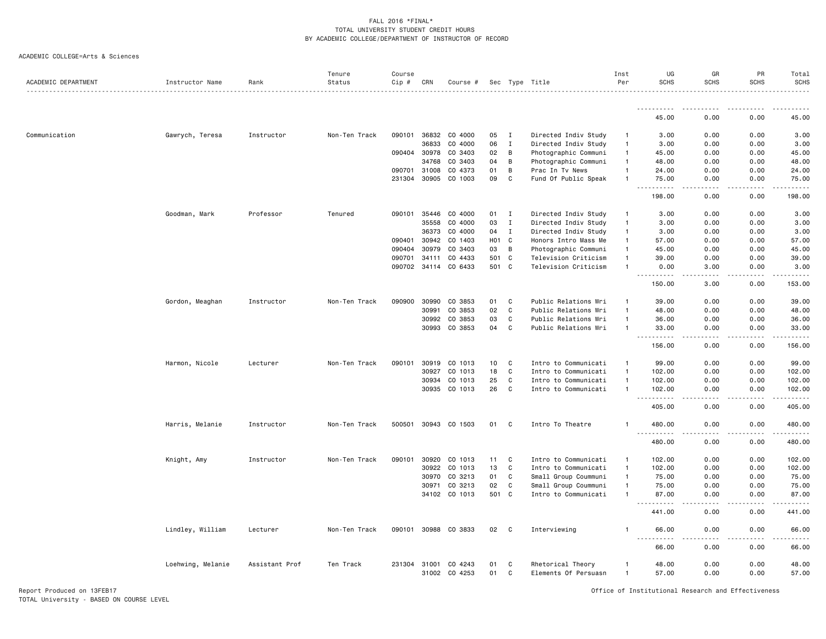| <b>SCHS</b><br><b>SCHS</b><br>ACADEMIC DEPARTMENT<br>Instructor Name<br>Rank<br>Status<br>$Cip \#$<br>CRN<br>Sec Type Title<br>Per<br>Course #<br>.<br>.<br>45.00<br>0.00<br>36832<br>Communication<br>Gawrych, Teresa<br>090101<br>CO 4000<br>05<br>$\mathbf{I}$<br>Directed Indiv Study<br>0.00<br>Instructor<br>Non-Ten Track<br>3.00<br>$\overline{1}$<br>36833<br>06<br>CO 4000<br>$\mathbf I$<br>Directed Indiv Study<br>3.00<br>0.00<br>$\overline{1}$<br>090404 30978<br>CO 3403<br>02<br>B<br>Photographic Communi<br>$\mathbf{1}$<br>45.00<br>0.00<br>04<br>34768<br>CO 3403<br>В<br>Photographic Communi<br>48.00<br>0.00<br>$\overline{1}$<br>090701 31008<br>CO 4373<br>01<br>B<br>Prac In Tv News<br>24.00<br>0.00<br>$\mathbf{1}$<br>231304 30905<br>CO 1003<br>09<br>C<br>Fund Of Public Speak<br>75.00<br>0.00<br>$\mathbf{1}$<br>$\frac{1}{2} \left( \frac{1}{2} \right) \left( \frac{1}{2} \right) \left( \frac{1}{2} \right) \left( \frac{1}{2} \right) \left( \frac{1}{2} \right)$<br>$\sim$ $\sim$<br>$\frac{1}{2}$<br>198.00<br>0.00<br>Professor<br>35446<br>CO 4000<br>$\mathbf I$<br>Directed Indiv Study<br>3.00<br>0.00<br>Goodman, Mark<br>Tenured<br>090101<br>01<br>$\mathbf{1}$<br>35558<br>CO 4000<br>03<br>$\mathbf I$<br>0.00<br>Directed Indiv Study<br>3.00<br>$\mathbf{1}$<br>36373<br>CO 4000<br>04<br>$\mathbf I$<br>Directed Indiv Study<br>3.00<br>0.00<br>$\mathbf{1}$<br>090401<br>30942<br>CO 1403<br>H <sub>01</sub> C<br>Honors Intro Mass Me<br>$\mathbf{1}$<br>57.00<br>0.00<br>$\overline{B}$<br>090404<br>30979<br>CO 3403<br>03<br>Photographic Communi<br>45.00<br>0.00<br>$\mathbf{1}$<br>$\mathbf{C}$<br>090701<br>34111<br>CO 4433<br>501<br>Television Criticism<br>39.00<br>0.00<br>$\mathbf{1}$<br>CO 6433<br>501 C<br>090702 34114<br>Television Criticism<br>3.00<br>0.00<br>$\mathbf{1}$<br>$- - - -$<br>150.00<br>3.00<br>30990<br>01<br>C<br>0.00<br>Gordon, Meaghan<br>Instructor<br>Non-Ten Track<br>090900<br>CO 3853<br>Public Relations Wri<br>39.00<br>$\mathbf{1}$<br>30991<br>CO 3853<br>02<br>C<br>Public Relations Wri<br>48.00<br>0.00<br>$\mathbf{1}$<br>30992<br>CO 3853<br>03<br>$\mathtt{C}$<br>Public Relations Wri<br>36.00<br>0.00<br>$\mathbf{1}$<br>CO 3853<br>04<br>$\mathbf C$<br>30993<br>Public Relations Wri<br>0.00<br>$\overline{1}$<br>33.00 | <b>SCHS</b><br><b>SCHS</b>                                                                                                                                                                                |
|------------------------------------------------------------------------------------------------------------------------------------------------------------------------------------------------------------------------------------------------------------------------------------------------------------------------------------------------------------------------------------------------------------------------------------------------------------------------------------------------------------------------------------------------------------------------------------------------------------------------------------------------------------------------------------------------------------------------------------------------------------------------------------------------------------------------------------------------------------------------------------------------------------------------------------------------------------------------------------------------------------------------------------------------------------------------------------------------------------------------------------------------------------------------------------------------------------------------------------------------------------------------------------------------------------------------------------------------------------------------------------------------------------------------------------------------------------------------------------------------------------------------------------------------------------------------------------------------------------------------------------------------------------------------------------------------------------------------------------------------------------------------------------------------------------------------------------------------------------------------------------------------------------------------------------------------------------------------------------------------------------------------------------------------------------------------------------------------------------------------------------------------------------------------------------------------------------------------------------------------------------------------------------------------------------------------------------------|-----------------------------------------------------------------------------------------------------------------------------------------------------------------------------------------------------------|
|                                                                                                                                                                                                                                                                                                                                                                                                                                                                                                                                                                                                                                                                                                                                                                                                                                                                                                                                                                                                                                                                                                                                                                                                                                                                                                                                                                                                                                                                                                                                                                                                                                                                                                                                                                                                                                                                                                                                                                                                                                                                                                                                                                                                                                                                                                                                          |                                                                                                                                                                                                           |
|                                                                                                                                                                                                                                                                                                                                                                                                                                                                                                                                                                                                                                                                                                                                                                                                                                                                                                                                                                                                                                                                                                                                                                                                                                                                                                                                                                                                                                                                                                                                                                                                                                                                                                                                                                                                                                                                                                                                                                                                                                                                                                                                                                                                                                                                                                                                          | $\frac{1}{2} \left( \frac{1}{2} \right) \left( \frac{1}{2} \right) \left( \frac{1}{2} \right) \left( \frac{1}{2} \right) \left( \frac{1}{2} \right) \left( \frac{1}{2} \right)$<br>-----<br>0.00<br>45.00 |
|                                                                                                                                                                                                                                                                                                                                                                                                                                                                                                                                                                                                                                                                                                                                                                                                                                                                                                                                                                                                                                                                                                                                                                                                                                                                                                                                                                                                                                                                                                                                                                                                                                                                                                                                                                                                                                                                                                                                                                                                                                                                                                                                                                                                                                                                                                                                          | 0.00<br>3.00                                                                                                                                                                                              |
|                                                                                                                                                                                                                                                                                                                                                                                                                                                                                                                                                                                                                                                                                                                                                                                                                                                                                                                                                                                                                                                                                                                                                                                                                                                                                                                                                                                                                                                                                                                                                                                                                                                                                                                                                                                                                                                                                                                                                                                                                                                                                                                                                                                                                                                                                                                                          | 0.00<br>3.00                                                                                                                                                                                              |
|                                                                                                                                                                                                                                                                                                                                                                                                                                                                                                                                                                                                                                                                                                                                                                                                                                                                                                                                                                                                                                                                                                                                                                                                                                                                                                                                                                                                                                                                                                                                                                                                                                                                                                                                                                                                                                                                                                                                                                                                                                                                                                                                                                                                                                                                                                                                          | 45.00<br>0.00                                                                                                                                                                                             |
|                                                                                                                                                                                                                                                                                                                                                                                                                                                                                                                                                                                                                                                                                                                                                                                                                                                                                                                                                                                                                                                                                                                                                                                                                                                                                                                                                                                                                                                                                                                                                                                                                                                                                                                                                                                                                                                                                                                                                                                                                                                                                                                                                                                                                                                                                                                                          | 0.00<br>48.00                                                                                                                                                                                             |
|                                                                                                                                                                                                                                                                                                                                                                                                                                                                                                                                                                                                                                                                                                                                                                                                                                                                                                                                                                                                                                                                                                                                                                                                                                                                                                                                                                                                                                                                                                                                                                                                                                                                                                                                                                                                                                                                                                                                                                                                                                                                                                                                                                                                                                                                                                                                          | 0.00<br>24.00                                                                                                                                                                                             |
|                                                                                                                                                                                                                                                                                                                                                                                                                                                                                                                                                                                                                                                                                                                                                                                                                                                                                                                                                                                                                                                                                                                                                                                                                                                                                                                                                                                                                                                                                                                                                                                                                                                                                                                                                                                                                                                                                                                                                                                                                                                                                                                                                                                                                                                                                                                                          | 0.00<br>75.00<br>.<br>.                                                                                                                                                                                   |
|                                                                                                                                                                                                                                                                                                                                                                                                                                                                                                                                                                                                                                                                                                                                                                                                                                                                                                                                                                                                                                                                                                                                                                                                                                                                                                                                                                                                                                                                                                                                                                                                                                                                                                                                                                                                                                                                                                                                                                                                                                                                                                                                                                                                                                                                                                                                          | 0.00<br>198.00                                                                                                                                                                                            |
|                                                                                                                                                                                                                                                                                                                                                                                                                                                                                                                                                                                                                                                                                                                                                                                                                                                                                                                                                                                                                                                                                                                                                                                                                                                                                                                                                                                                                                                                                                                                                                                                                                                                                                                                                                                                                                                                                                                                                                                                                                                                                                                                                                                                                                                                                                                                          | 0.00<br>3.00                                                                                                                                                                                              |
|                                                                                                                                                                                                                                                                                                                                                                                                                                                                                                                                                                                                                                                                                                                                                                                                                                                                                                                                                                                                                                                                                                                                                                                                                                                                                                                                                                                                                                                                                                                                                                                                                                                                                                                                                                                                                                                                                                                                                                                                                                                                                                                                                                                                                                                                                                                                          | 0.00<br>3.00                                                                                                                                                                                              |
|                                                                                                                                                                                                                                                                                                                                                                                                                                                                                                                                                                                                                                                                                                                                                                                                                                                                                                                                                                                                                                                                                                                                                                                                                                                                                                                                                                                                                                                                                                                                                                                                                                                                                                                                                                                                                                                                                                                                                                                                                                                                                                                                                                                                                                                                                                                                          | 0.00<br>3.00                                                                                                                                                                                              |
|                                                                                                                                                                                                                                                                                                                                                                                                                                                                                                                                                                                                                                                                                                                                                                                                                                                                                                                                                                                                                                                                                                                                                                                                                                                                                                                                                                                                                                                                                                                                                                                                                                                                                                                                                                                                                                                                                                                                                                                                                                                                                                                                                                                                                                                                                                                                          | 0.00<br>57.00                                                                                                                                                                                             |
|                                                                                                                                                                                                                                                                                                                                                                                                                                                                                                                                                                                                                                                                                                                                                                                                                                                                                                                                                                                                                                                                                                                                                                                                                                                                                                                                                                                                                                                                                                                                                                                                                                                                                                                                                                                                                                                                                                                                                                                                                                                                                                                                                                                                                                                                                                                                          | 0.00<br>45.00                                                                                                                                                                                             |
|                                                                                                                                                                                                                                                                                                                                                                                                                                                                                                                                                                                                                                                                                                                                                                                                                                                                                                                                                                                                                                                                                                                                                                                                                                                                                                                                                                                                                                                                                                                                                                                                                                                                                                                                                                                                                                                                                                                                                                                                                                                                                                                                                                                                                                                                                                                                          | 39.00<br>0.00                                                                                                                                                                                             |
|                                                                                                                                                                                                                                                                                                                                                                                                                                                                                                                                                                                                                                                                                                                                                                                                                                                                                                                                                                                                                                                                                                                                                                                                                                                                                                                                                                                                                                                                                                                                                                                                                                                                                                                                                                                                                                                                                                                                                                                                                                                                                                                                                                                                                                                                                                                                          | 0.00<br>3.00                                                                                                                                                                                              |
|                                                                                                                                                                                                                                                                                                                                                                                                                                                                                                                                                                                                                                                                                                                                                                                                                                                                                                                                                                                                                                                                                                                                                                                                                                                                                                                                                                                                                                                                                                                                                                                                                                                                                                                                                                                                                                                                                                                                                                                                                                                                                                                                                                                                                                                                                                                                          | 0.00<br>153.00                                                                                                                                                                                            |
|                                                                                                                                                                                                                                                                                                                                                                                                                                                                                                                                                                                                                                                                                                                                                                                                                                                                                                                                                                                                                                                                                                                                                                                                                                                                                                                                                                                                                                                                                                                                                                                                                                                                                                                                                                                                                                                                                                                                                                                                                                                                                                                                                                                                                                                                                                                                          | 0.00<br>39.00                                                                                                                                                                                             |
|                                                                                                                                                                                                                                                                                                                                                                                                                                                                                                                                                                                                                                                                                                                                                                                                                                                                                                                                                                                                                                                                                                                                                                                                                                                                                                                                                                                                                                                                                                                                                                                                                                                                                                                                                                                                                                                                                                                                                                                                                                                                                                                                                                                                                                                                                                                                          | 0.00<br>48.00                                                                                                                                                                                             |
|                                                                                                                                                                                                                                                                                                                                                                                                                                                                                                                                                                                                                                                                                                                                                                                                                                                                                                                                                                                                                                                                                                                                                                                                                                                                                                                                                                                                                                                                                                                                                                                                                                                                                                                                                                                                                                                                                                                                                                                                                                                                                                                                                                                                                                                                                                                                          | 0.00<br>36.00                                                                                                                                                                                             |
| $\sim$ $\sim$ $\sim$<br>$\sim$ $\sim$                                                                                                                                                                                                                                                                                                                                                                                                                                                                                                                                                                                                                                                                                                                                                                                                                                                                                                                                                                                                                                                                                                                                                                                                                                                                                                                                                                                                                                                                                                                                                                                                                                                                                                                                                                                                                                                                                                                                                                                                                                                                                                                                                                                                                                                                                                    | 0.00<br>33.00                                                                                                                                                                                             |
| 156.00<br>0.00                                                                                                                                                                                                                                                                                                                                                                                                                                                                                                                                                                                                                                                                                                                                                                                                                                                                                                                                                                                                                                                                                                                                                                                                                                                                                                                                                                                                                                                                                                                                                                                                                                                                                                                                                                                                                                                                                                                                                                                                                                                                                                                                                                                                                                                                                                                           | 0.00<br>156.00                                                                                                                                                                                            |
| 30919<br>CO 1013<br>C<br>0.00<br>Harmon, Nicole<br>Lecturer<br>Non-Ten Track<br>090101<br>10<br>Intro to Communicati<br>99.00<br>$\mathbf{1}$                                                                                                                                                                                                                                                                                                                                                                                                                                                                                                                                                                                                                                                                                                                                                                                                                                                                                                                                                                                                                                                                                                                                                                                                                                                                                                                                                                                                                                                                                                                                                                                                                                                                                                                                                                                                                                                                                                                                                                                                                                                                                                                                                                                            | 0.00<br>99.00                                                                                                                                                                                             |
| 18<br>C<br>30927<br>CO 1013<br>Intro to Communicati<br>$\overline{1}$<br>102.00<br>0.00                                                                                                                                                                                                                                                                                                                                                                                                                                                                                                                                                                                                                                                                                                                                                                                                                                                                                                                                                                                                                                                                                                                                                                                                                                                                                                                                                                                                                                                                                                                                                                                                                                                                                                                                                                                                                                                                                                                                                                                                                                                                                                                                                                                                                                                  | 0.00<br>102.00                                                                                                                                                                                            |
| 25<br>30934<br>CO 1013<br>C<br>Intro to Communicati<br>102.00<br>0.00<br>$\mathbf{1}$                                                                                                                                                                                                                                                                                                                                                                                                                                                                                                                                                                                                                                                                                                                                                                                                                                                                                                                                                                                                                                                                                                                                                                                                                                                                                                                                                                                                                                                                                                                                                                                                                                                                                                                                                                                                                                                                                                                                                                                                                                                                                                                                                                                                                                                    | 0.00<br>102.00                                                                                                                                                                                            |
| 30935 CO 1013<br>26<br>C<br>Intro to Communicati<br>0.00<br>$\mathbf{1}$<br>102.00<br><b>.</b><br>$ -$                                                                                                                                                                                                                                                                                                                                                                                                                                                                                                                                                                                                                                                                                                                                                                                                                                                                                                                                                                                                                                                                                                                                                                                                                                                                                                                                                                                                                                                                                                                                                                                                                                                                                                                                                                                                                                                                                                                                                                                                                                                                                                                                                                                                                                   | 0.00<br>102.00<br>.                                                                                                                                                                                       |
| 405.00<br>0.00                                                                                                                                                                                                                                                                                                                                                                                                                                                                                                                                                                                                                                                                                                                                                                                                                                                                                                                                                                                                                                                                                                                                                                                                                                                                                                                                                                                                                                                                                                                                                                                                                                                                                                                                                                                                                                                                                                                                                                                                                                                                                                                                                                                                                                                                                                                           | 0.00<br>405.00                                                                                                                                                                                            |
| 500501 30943 CO 1503<br>Harris, Melanie<br>Instructor<br>Non-Ten Track<br>01<br>C<br>Intro To Theatre<br>480.00<br>0.00<br>.                                                                                                                                                                                                                                                                                                                                                                                                                                                                                                                                                                                                                                                                                                                                                                                                                                                                                                                                                                                                                                                                                                                                                                                                                                                                                                                                                                                                                                                                                                                                                                                                                                                                                                                                                                                                                                                                                                                                                                                                                                                                                                                                                                                                             | 0.00<br>480.00<br>.                                                                                                                                                                                       |
| 480.00<br>0.00                                                                                                                                                                                                                                                                                                                                                                                                                                                                                                                                                                                                                                                                                                                                                                                                                                                                                                                                                                                                                                                                                                                                                                                                                                                                                                                                                                                                                                                                                                                                                                                                                                                                                                                                                                                                                                                                                                                                                                                                                                                                                                                                                                                                                                                                                                                           | 0.00<br>480.00                                                                                                                                                                                            |
| 30920<br>Non-Ten Track<br>090101<br>CO 1013<br>11<br>C<br>Intro to Communicati<br>102.00<br>0.00<br>Knight, Amy<br>Instructor<br>$\overline{1}$                                                                                                                                                                                                                                                                                                                                                                                                                                                                                                                                                                                                                                                                                                                                                                                                                                                                                                                                                                                                                                                                                                                                                                                                                                                                                                                                                                                                                                                                                                                                                                                                                                                                                                                                                                                                                                                                                                                                                                                                                                                                                                                                                                                          | 0.00<br>102.00                                                                                                                                                                                            |
| C<br>30922<br>CO 1013<br>13<br>Intro to Communicati<br>102.00<br>0.00<br>$\overline{1}$                                                                                                                                                                                                                                                                                                                                                                                                                                                                                                                                                                                                                                                                                                                                                                                                                                                                                                                                                                                                                                                                                                                                                                                                                                                                                                                                                                                                                                                                                                                                                                                                                                                                                                                                                                                                                                                                                                                                                                                                                                                                                                                                                                                                                                                  | 0.00<br>102.00                                                                                                                                                                                            |
| 30970<br>CO 3213<br>01<br>C<br>Small Group Coummuni<br>$\mathbf{1}$<br>75.00<br>0.00                                                                                                                                                                                                                                                                                                                                                                                                                                                                                                                                                                                                                                                                                                                                                                                                                                                                                                                                                                                                                                                                                                                                                                                                                                                                                                                                                                                                                                                                                                                                                                                                                                                                                                                                                                                                                                                                                                                                                                                                                                                                                                                                                                                                                                                     | 75.00<br>0.00                                                                                                                                                                                             |
| CO 3213<br>02<br>C<br>30971<br>Small Group Coummuni<br>$\overline{1}$<br>75.00<br>0.00                                                                                                                                                                                                                                                                                                                                                                                                                                                                                                                                                                                                                                                                                                                                                                                                                                                                                                                                                                                                                                                                                                                                                                                                                                                                                                                                                                                                                                                                                                                                                                                                                                                                                                                                                                                                                                                                                                                                                                                                                                                                                                                                                                                                                                                   | 0.00<br>75.00                                                                                                                                                                                             |
| 34102 CO 1013<br>501 C<br>Intro to Communicati<br>$\overline{1}$<br>87.00<br>0.00                                                                                                                                                                                                                                                                                                                                                                                                                                                                                                                                                                                                                                                                                                                                                                                                                                                                                                                                                                                                                                                                                                                                                                                                                                                                                                                                                                                                                                                                                                                                                                                                                                                                                                                                                                                                                                                                                                                                                                                                                                                                                                                                                                                                                                                        | 0.00<br>87.00                                                                                                                                                                                             |
| $\sim$ $\sim$ $\sim$<br>.<br>.<br>441.00<br>0.00                                                                                                                                                                                                                                                                                                                                                                                                                                                                                                                                                                                                                                                                                                                                                                                                                                                                                                                                                                                                                                                                                                                                                                                                                                                                                                                                                                                                                                                                                                                                                                                                                                                                                                                                                                                                                                                                                                                                                                                                                                                                                                                                                                                                                                                                                         | .<br>0.00<br>441.00                                                                                                                                                                                       |
| Lindley, William<br>090101 30988 CO 3833<br>Lecturer<br>Non-Ten Track<br>02<br>$\mathbf{C}$<br>Interviewing<br>66.00<br>0.00<br>$\mathbf{1}$                                                                                                                                                                                                                                                                                                                                                                                                                                                                                                                                                                                                                                                                                                                                                                                                                                                                                                                                                                                                                                                                                                                                                                                                                                                                                                                                                                                                                                                                                                                                                                                                                                                                                                                                                                                                                                                                                                                                                                                                                                                                                                                                                                                             | 0.00<br>66.00                                                                                                                                                                                             |
| .<br>.<br>66.00<br>0.00                                                                                                                                                                                                                                                                                                                                                                                                                                                                                                                                                                                                                                                                                                                                                                                                                                                                                                                                                                                                                                                                                                                                                                                                                                                                                                                                                                                                                                                                                                                                                                                                                                                                                                                                                                                                                                                                                                                                                                                                                                                                                                                                                                                                                                                                                                                  | .<br>.<br>0.00<br>66.00                                                                                                                                                                                   |
| Loehwing, Melanie<br>Assistant Prof<br>Ten Track<br>231304 31001<br>CO 4243<br>01<br>C<br>Rhetorical Theory<br>48.00<br>0.00<br>$\mathbf{1}$<br>01<br>31002 CO 4253<br>C<br>Elements Of Persuasn<br>57.00<br>0.00<br>$\overline{1}$                                                                                                                                                                                                                                                                                                                                                                                                                                                                                                                                                                                                                                                                                                                                                                                                                                                                                                                                                                                                                                                                                                                                                                                                                                                                                                                                                                                                                                                                                                                                                                                                                                                                                                                                                                                                                                                                                                                                                                                                                                                                                                      | 0.00<br>48.00<br>0.00<br>57.00                                                                                                                                                                            |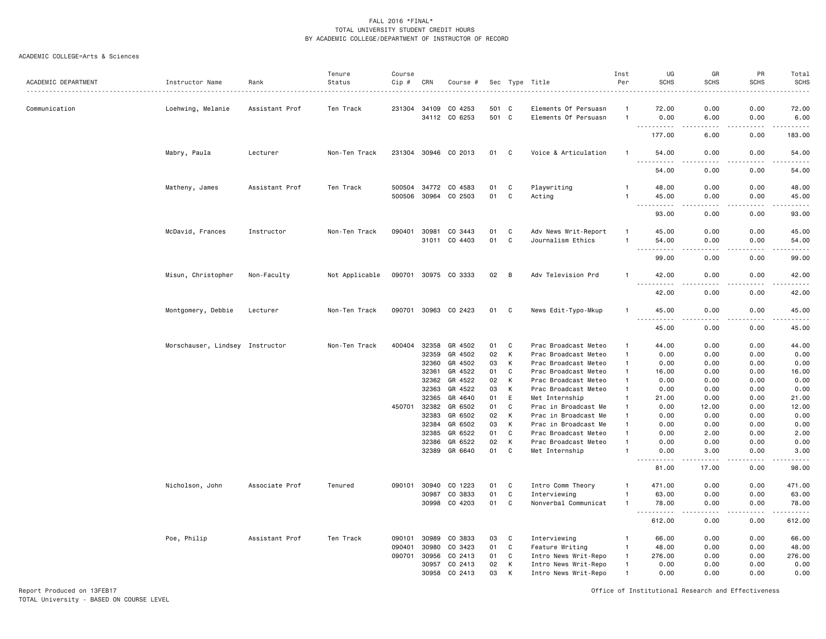#### ACADEMIC COLLEGE=Arts & Sciences

| ACADEMIC DEPARTMENT | Instructor Name                 | Rank           | Tenure<br>Status | Course<br>Cip #  | CRN            | Course #                 |          |             | Sec Type Title                               | Inst<br>Per                    | UG<br><b>SCHS</b>                  | GR<br><b>SCHS</b>     | PR<br><b>SCHS</b>     | Total<br><b>SCHS</b>                                                                                                                                          |
|---------------------|---------------------------------|----------------|------------------|------------------|----------------|--------------------------|----------|-------------|----------------------------------------------|--------------------------------|------------------------------------|-----------------------|-----------------------|---------------------------------------------------------------------------------------------------------------------------------------------------------------|
| Communication       | Loehwing, Melanie               | Assistant Prof | Ten Track        | 231304           | 34109          | CO 4253                  | 501 C    |             | Elements Of Persuasn                         |                                | 72.00                              | 0.00                  | 0.00                  | $\frac{1}{2} \left( \frac{1}{2} \right) \left( \frac{1}{2} \right) \left( \frac{1}{2} \right) \left( \frac{1}{2} \right) \left( \frac{1}{2} \right)$<br>72.00 |
|                     |                                 |                |                  |                  | 34112          | CO 6253                  | 501 C    |             | Elements Of Persuasn                         |                                | 0.00                               | 6.00<br>د د د د       | 0.00<br>.             | 6.00<br>.                                                                                                                                                     |
|                     |                                 |                |                  |                  |                |                          |          |             |                                              |                                | 177.00                             | 6.00                  | 0.00                  | 183.00                                                                                                                                                        |
|                     | Mabry, Paula                    | Lecturer       | Non-Ten Track    |                  |                | 231304 30946 CO 2013     | 01 C     |             | Voice & Articulation                         | -1                             | 54.00<br>$\sim$ $\sim$ $\sim$<br>. | 0.00<br>$- - - -$     | 0.00<br>$\frac{1}{2}$ | 54.00<br>$- - - - -$                                                                                                                                          |
|                     |                                 |                |                  |                  |                |                          |          |             |                                              |                                | 54.00                              | 0.00                  | 0.00                  | 54.00                                                                                                                                                         |
|                     | Matheny, James                  | Assistant Prof | Ten Track        | 500504<br>500506 | 30964          | 34772 CO 4583<br>CO 2503 | 01<br>01 | C<br>C      | Playwriting<br>Acting                        | -1<br>$\mathbf{1}$             | 48.00<br>45.00                     | 0.00<br>0.00          | 0.00<br>0.00          | 48.00<br>45.00                                                                                                                                                |
|                     |                                 |                |                  |                  |                |                          |          |             |                                              |                                | .<br>$\frac{1}{2}$<br>93.00        | $- - - -$<br>0.00     | .<br>0.00             | .<br>93.00                                                                                                                                                    |
|                     | McDavid, Frances                | Instructor     | Non-Ten Track    | 090401           | 30981          | CO 3443                  | 01       | C           | Adv News Writ-Report                         | $\mathbf{1}$                   | 45.00                              | 0.00                  | 0.00                  | 45.00                                                                                                                                                         |
|                     |                                 |                |                  |                  | 31011          | CO 4403                  | 01       | $\mathbf C$ | Journalism Ethics                            | $\mathbf{1}$                   | 54.00<br>.<br>$\sim$ $\sim$ $\sim$ | 0.00                  | 0.00<br>.             | 54.00<br>.                                                                                                                                                    |
|                     |                                 |                |                  |                  |                |                          |          |             |                                              |                                | 99.00                              | 0.00                  | 0.00                  | 99.00                                                                                                                                                         |
|                     | Misun, Christopher              | Non-Faculty    | Not Applicable   |                  |                | 090701 30975 CO 3333     | 02       | B           | Adv Television Prd                           |                                | 42.00<br>$\sim$ $\sim$ $\sim$<br>. | 0.00                  | 0.00<br>$   -$        | 42.00<br>د د د د د                                                                                                                                            |
|                     |                                 |                |                  |                  |                |                          |          |             |                                              |                                | 42.00                              | 0.00                  | 0.00                  | 42.00                                                                                                                                                         |
|                     | Montgomery, Debbie              | Lecturer       | Non-Ten Track    |                  |                | 090701 30963 CO 2423     | 01       | C           | News Edit-Typo-Mkup                          | $\mathbf{1}$                   | 45.00<br>$- - -$<br>.              | 0.00<br>$\frac{1}{2}$ | 0.00<br>.             | 45.00<br>.                                                                                                                                                    |
|                     |                                 |                |                  |                  |                |                          |          |             |                                              |                                | 45.00                              | 0.00                  | 0.00                  | 45.00                                                                                                                                                         |
|                     | Morschauser, Lindsey Instructor |                | Non-Ten Track    | 400404           | 32358          | GR 4502                  | 01       | C           | Prac Broadcast Meteo                         | -1                             | 44.00                              | 0.00                  | 0.00                  | 44.00                                                                                                                                                         |
|                     |                                 |                |                  |                  | 32359          | GR 4502                  | 02       | К           | Prac Broadcast Meteo                         | $\mathbf{1}$                   | 0.00                               | 0.00                  | 0.00                  | 0.00                                                                                                                                                          |
|                     |                                 |                |                  |                  | 32360          | GR 4502                  | 03       | К           | Prac Broadcast Meteo                         | $\overline{1}$                 | 0.00                               | 0.00                  | 0.00                  | 0.00                                                                                                                                                          |
|                     |                                 |                |                  |                  | 32361          | GR 4522                  | 01       | C           | Prac Broadcast Meteo                         | $\overline{1}$                 | 16.00                              | 0.00                  | 0.00                  | 16.00                                                                                                                                                         |
|                     |                                 |                |                  |                  | 32362          | GR 4522                  | 02       | К           | Prac Broadcast Meteo                         | $\mathbf{1}$                   | 0.00                               | 0.00                  | 0.00                  | 0.00                                                                                                                                                          |
|                     |                                 |                |                  |                  | 32363          | GR 4522                  | 03       | К           | Prac Broadcast Meteo                         | $\mathbf{1}$                   | 0.00                               | 0.00                  | 0.00                  | 0.00                                                                                                                                                          |
|                     |                                 |                |                  |                  | 32365          | GR 4640                  | 01       | E           | Met Internship                               | $\mathbf{1}$                   | 21.00                              | 0.00                  | 0.00                  | 21.00                                                                                                                                                         |
|                     |                                 |                |                  | 450701           | 32382          | GR 6502                  | 01       | $\mathbf C$ | Prac in Broadcast Me                         | $\mathbf{1}$                   | 0.00                               | 12.00                 | 0.00                  | 12.00                                                                                                                                                         |
|                     |                                 |                |                  |                  | 32383          | GR 6502                  | 02       | К           | Prac in Broadcast Me                         | $\mathbf{1}$                   | 0.00                               | 0.00                  | 0.00                  | 0.00                                                                                                                                                          |
|                     |                                 |                |                  |                  | 32384          | GR 6502                  | 03       | К           | Prac in Broadcast Me                         | $\mathbf{1}$                   | 0.00                               | 0.00                  | 0.00                  | 0.00                                                                                                                                                          |
|                     |                                 |                |                  |                  | 32385<br>32386 | GR 6522<br>GR 6522       | 01<br>02 | C<br>К      | Prac Broadcast Meteo<br>Prac Broadcast Meteo | $\overline{1}$<br>$\mathbf{1}$ | 0.00<br>0.00                       | 2.00<br>0.00          | 0.00<br>0.00          | 2.00<br>0.00                                                                                                                                                  |
|                     |                                 |                |                  |                  | 32389          | GR 6640                  | 01       | C           | Met Internship                               | $\mathbf{1}$                   | 0.00                               | 3.00                  | 0.00                  | 3.00                                                                                                                                                          |
|                     |                                 |                |                  |                  |                |                          |          |             |                                              |                                | <b>.</b><br>$- - -$<br>81.00       | 17.00                 | 0.00                  | $\frac{1}{2} \left( \frac{1}{2} \right) \left( \frac{1}{2} \right) \left( \frac{1}{2} \right) \left( \frac{1}{2} \right) \left( \frac{1}{2} \right)$<br>98.00 |
|                     | Nicholson, John                 | Associate Prof | Tenured          | 090101           | 30940          | CO 1223                  | 01       | C           | Intro Comm Theory                            | $\mathbf{1}$                   | 471.00                             | 0.00                  | 0.00                  | 471.00                                                                                                                                                        |
|                     |                                 |                |                  |                  | 30987          | CO 3833                  | 01       | C           | Interviewing                                 | $\mathbf{1}$                   | 63.00                              | 0.00                  | 0.00                  | 63.00                                                                                                                                                         |
|                     |                                 |                |                  |                  | 30998          | CO 4203                  | 01       | $\mathbf c$ | Nonverbal Communicat                         | $\mathbf{1}$                   | 78.00<br>.<br>$\sim$ $\sim$ $\sim$ | 0.00<br>الدامات بال   | 0.00<br>.             | 78.00<br><u>.</u>                                                                                                                                             |
|                     |                                 |                |                  |                  |                |                          |          |             |                                              |                                | 612.00                             | 0.00                  | 0.00                  | 612.00                                                                                                                                                        |
|                     | Poe, Philip                     | Assistant Prof | Ten Track        | 090101           | 30989          | CO 3833                  | 03       | C           | Interviewing                                 | -1                             | 66.00                              | 0.00                  | 0.00                  | 66.00                                                                                                                                                         |
|                     |                                 |                |                  | 090401           | 30980          | CO 3423                  | 01       | C           | Feature Writing                              | $\overline{1}$                 | 48.00                              | 0.00                  | 0.00                  | 48.00                                                                                                                                                         |
|                     |                                 |                |                  | 090701           | 30956          | CO 2413                  | 01       | C           | Intro News Writ-Repo                         | $\overline{1}$                 | 276.00                             | 0.00                  | 0.00                  | 276.00                                                                                                                                                        |
|                     |                                 |                |                  |                  | 30957          | CO 2413                  | 02       | К           | Intro News Writ-Repo                         | $\overline{1}$                 | 0.00                               | 0.00                  | 0.00                  | 0.00                                                                                                                                                          |
|                     |                                 |                |                  |                  | 30958          | CO 2413                  | 03       | К           | Intro News Writ-Repo                         | $\overline{1}$                 | 0.00                               | 0.00                  | 0.00                  | 0.00                                                                                                                                                          |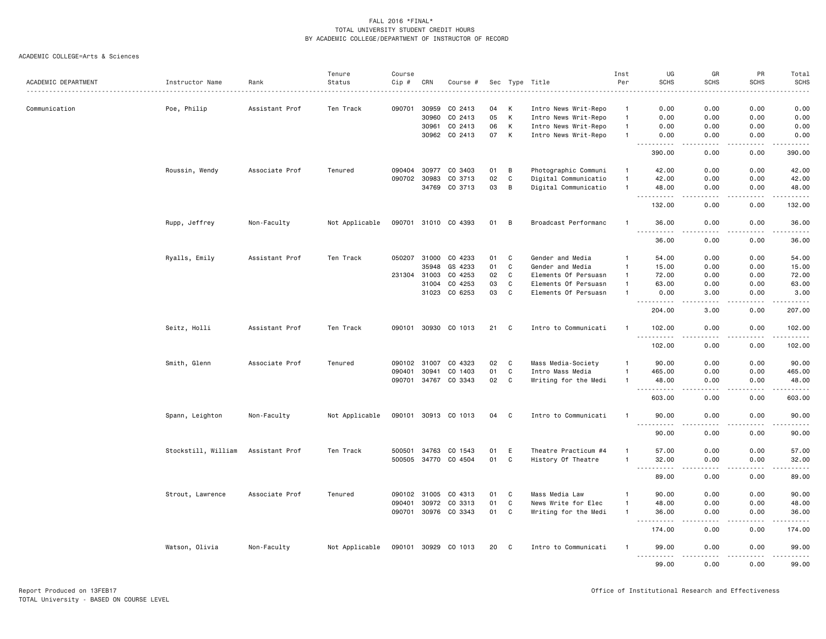| ACADEMIC DEPARTMENT | Instructor Name     | Rank           | Tenure<br>Status | Course<br>Cip # | CRN          | Course #             |    |                | Sec Type Title       | Inst<br>Per    | UG<br><b>SCHS</b>                  | GR<br><b>SCHS</b>                   | PR<br><b>SCHS</b> | Total<br><b>SCHS</b> |
|---------------------|---------------------|----------------|------------------|-----------------|--------------|----------------------|----|----------------|----------------------|----------------|------------------------------------|-------------------------------------|-------------------|----------------------|
|                     |                     |                |                  |                 |              |                      |    |                |                      |                |                                    |                                     |                   |                      |
| Communication       | Poe, Philip         | Assistant Prof | Ten Track        | 090701          | 30959        | CO 2413              | 04 | К              | Intro News Writ-Repo | $\mathbf{1}$   | 0.00                               | 0.00                                | 0.00              | 0.00                 |
|                     |                     |                |                  |                 | 30960        | CO 2413              | 05 | $\,$ K         | Intro News Writ-Repo | $\overline{1}$ | 0.00                               | 0.00                                | 0.00              | 0.00                 |
|                     |                     |                |                  |                 | 30961        | CO 2413              | 06 | К              | Intro News Writ-Repo | $\mathbf{1}$   | 0.00                               | 0.00                                | 0.00              | 0.00                 |
|                     |                     |                |                  |                 | 30962        | CO 2413              | 07 | К              | Intro News Writ-Repo | $\mathbf{1}$   | 0.00<br>$- - -$<br>.               | 0.00<br>$\frac{1}{2}$               | 0.00<br>.         | 0.00<br>.            |
|                     |                     |                |                  |                 |              |                      |    |                |                      |                | 390.00                             | 0.00                                | 0.00              | 390.00               |
|                     | Roussin, Wendy      | Associate Prof | Tenured          | 090404          | 30977        | CO 3403              | 01 | B              | Photographic Communi | $\mathbf{1}$   | 42.00                              | 0.00                                | 0.00              | 42.00                |
|                     |                     |                |                  | 090702          | 30983        | CO 3713              | 02 | C              | Digital Communicatio | $\overline{1}$ | 42.00                              | 0.00                                | 0.00              | 42.00                |
|                     |                     |                |                  |                 | 34769        | CO 3713              | 03 | B              | Digital Communicatio | $\overline{1}$ | 48.00<br>$\sim$ $\sim$ $\sim$<br>. | 0.00<br>.                           | 0.00<br>د د د د   | 48.00<br>.           |
|                     |                     |                |                  |                 |              |                      |    |                |                      |                | 132.00                             | 0.00                                | 0.00              | 132.00               |
|                     | Rupp, Jeffrey       | Non-Faculty    | Not Applicable   |                 |              | 090701 31010 CO 4393 | 01 | $\overline{B}$ | Broadcast Performanc | -1             | 36.00<br>.                         | 0.00                                | 0.00              | 36.00<br>.           |
|                     |                     |                |                  |                 |              |                      |    |                |                      |                | 36.00                              | 0.00                                | 0.00              | 36.00                |
|                     | Ryalls, Emily       | Assistant Prof | Ten Track        | 050207          | 31000        | CO 4233              | 01 | C              | Gender and Media     | $\mathbf{1}$   | 54.00                              | 0.00                                | 0.00              | 54.00                |
|                     |                     |                |                  |                 | 35948        | GS 4233              | 01 | $\mathbf c$    | Gender and Media     | $\mathbf{1}$   | 15.00                              | 0.00                                | 0.00              | 15.00                |
|                     |                     |                |                  | 231304          | 31003        | CO 4253              | 02 | C              | Elements Of Persuasn | $\overline{1}$ | 72.00                              | 0.00                                | 0.00              | 72.00                |
|                     |                     |                |                  |                 | 31004        | CO 4253              | 03 | C              | Elements Of Persuasn | $\overline{1}$ | 63.00                              | 0.00                                | 0.00              | 63.00                |
|                     |                     |                |                  |                 | 31023        | CO 6253              | 03 | $\mathbf c$    | Elements Of Persuasn | $\mathbf{1}$   | 0.00<br>.                          | 3.00<br>$\sim$ $\sim$ $\sim$ $\sim$ | 0.00<br>د د د د   | 3.00<br>.            |
|                     |                     |                |                  |                 |              |                      |    |                |                      |                | 204.00                             | 3.00                                | 0.00              | 207.00               |
|                     | Seitz, Holli        | Assistant Prof | Ten Track        | 090101          | 30930        | CO 1013              | 21 | C              | Intro to Communicati | $\mathbf{1}$   | 102.00                             | 0.00                                | 0.00              | 102.00<br>.          |
|                     |                     |                |                  |                 |              |                      |    |                |                      |                | 102.00                             | 0.00                                | 0.00              | 102.00               |
|                     | Smith, Glenn        | Associate Prof | Tenured          | 090102          | 31007        | CO 4323              | 02 | C              | Mass Media-Society   | $\mathbf{1}$   | 90.00                              | 0.00                                | 0.00              | 90.00                |
|                     |                     |                |                  | 090401          | 30941        | CO 1403              | 01 | $\mathbf c$    | Intro Mass Media     | $\overline{1}$ | 465.00                             | 0.00                                | 0.00              | 465.00               |
|                     |                     |                |                  | 090701 34767    |              | CO 3343              | 02 | $\mathbf c$    | Writing for the Medi | $\mathbf{1}$   | 48.00<br>.                         | 0.00<br>----                        | 0.00<br>.         | 48.00<br>.           |
|                     |                     |                |                  |                 |              |                      |    |                |                      |                | 603.00                             | 0.00                                | 0.00              | 603.00               |
|                     | Spann, Leighton     | Non-Faculty    | Not Applicable   |                 |              | 090101 30913 CO 1013 | 04 | C              | Intro to Communicati | -1             | 90.00<br><u>.</u>                  | 0.00                                | 0.00              | 90.00<br>.           |
|                     |                     |                |                  |                 |              |                      |    |                |                      |                | 90.00                              | 0.00                                | 0.00              | 90.00                |
|                     | Stockstill, William | Assistant Prof | Ten Track        | 500501          | 34763        | CO 1543              | 01 | E              | Theatre Practicum #4 |                | 57.00                              | 0.00                                | 0.00              | 57.00                |
|                     |                     |                |                  |                 | 500505 34770 | CO 4504              | 01 | C              | History Of Theatre   | $\mathbf{1}$   | 32.00<br>$\sim 100$                | 0.00<br>والمحامر                    | 0.00<br>.         | 32.00<br>.           |
|                     |                     |                |                  |                 |              |                      |    |                |                      |                | 89.00                              | 0.00                                | 0.00              | 89.00                |
|                     | Strout, Lawrence    | Associate Prof | Tenured          | 090102          | 31005        | CO 4313              | 01 | C              | Mass Media Law       | $\mathbf{1}$   | 90.00                              | 0.00                                | 0.00              | 90.00                |
|                     |                     |                |                  | 090401          | 30972        | CO 3313              | 01 | C              | News Write for Elec  | $\overline{1}$ | 48.00                              | 0.00                                | 0.00              | 48.00                |
|                     |                     |                |                  |                 |              | 090701 30976 CO 3343 | 01 | C              | Writing for the Medi | $\mathbf{1}$   | 36.00<br>.                         | 0.00<br>$\frac{1}{2}$               | 0.00<br>.         | 36.00<br>.           |
|                     |                     |                |                  |                 |              |                      |    |                |                      |                | 174.00                             | 0.00                                | 0.00              | 174.00               |
|                     | Watson, Olivia      | Non-Faculty    | Not Applicable   | 090101 30929    |              | CO 1013              | 20 | C              | Intro to Communicati | -1             | 99.00<br>.                         | 0.00<br>.                           | 0.00<br>.         | 99.00<br><u>.</u>    |
|                     |                     |                |                  |                 |              |                      |    |                |                      |                | 99.00                              | 0.00                                | 0.00              | 99.00                |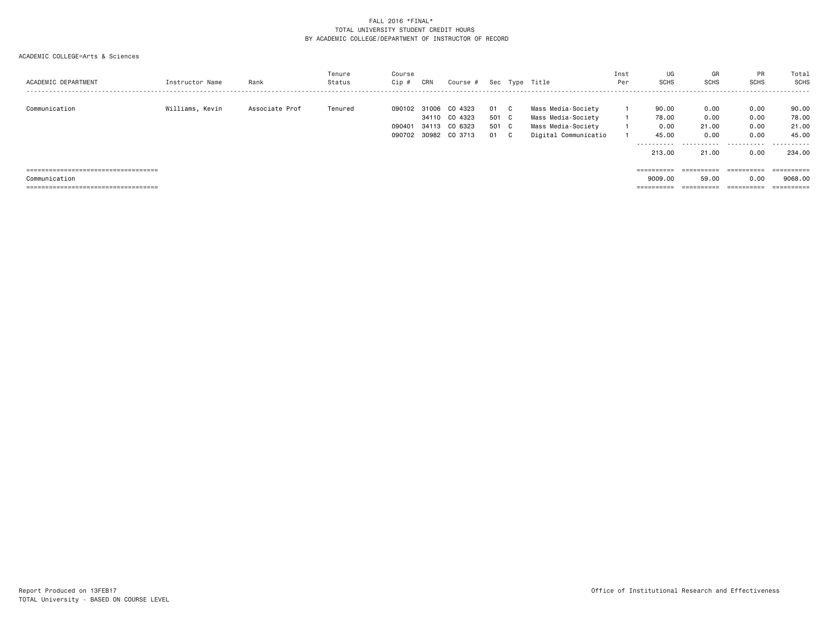| ACADEMIC DEPARTMENT                                                                             | Instructor Name | Rank           | Tenure<br>Status | Course<br>Cip #                  | CRN                     | Course #                                 |                            |                              | Sec Type Title                                                                         | Inst<br>Per | UG<br><b>SCHS</b>                                        | GR<br><b>SCHS</b>                      | <b>PR</b><br><b>SCHS</b>                 | Total<br>SCHS                                   |
|-------------------------------------------------------------------------------------------------|-----------------|----------------|------------------|----------------------------------|-------------------------|------------------------------------------|----------------------------|------------------------------|----------------------------------------------------------------------------------------|-------------|----------------------------------------------------------|----------------------------------------|------------------------------------------|-------------------------------------------------|
| Communication                                                                                   | Williams, Kevin | Associate Prof | Tenured          | 090102<br>090401<br>090702 30982 | 31006<br>34110<br>34113 | CO 4323<br>CO 4323<br>CO 6323<br>CO 3713 | 01<br>501 C<br>501 C<br>01 | $\mathbf{C}$<br>$\mathbf{C}$ | Mass Media-Society<br>Mass Media-Society<br>Mass Media-Society<br>Digital Communicatio |             | 90.00<br>78.00<br>0.00<br>45.00<br>-----------<br>213,00 | 0.00<br>0.00<br>21.00<br>0.00<br>21.00 | 0.00<br>0.00<br>0.00<br>0.00<br><br>0.00 | 90.00<br>78.00<br>21.00<br>45.00<br>.<br>234.00 |
| =====================================<br>Communication<br>===================================== |                 |                |                  |                                  |                         |                                          |                            |                              |                                                                                        |             | ==========<br>9009.00<br>==========                      | ==========<br>59.00<br>==========      | ==========<br>0.00<br>==========         | ==========<br>9068,00<br>==========             |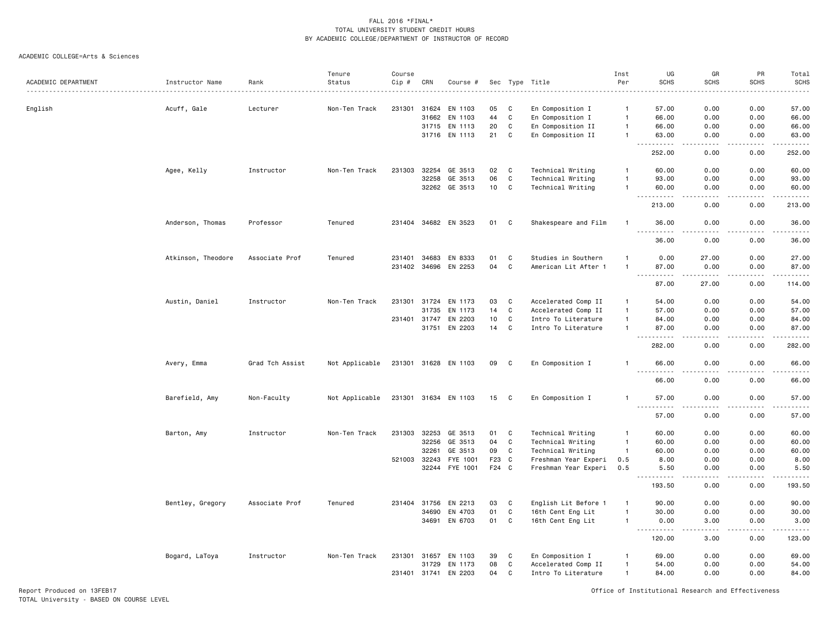#### ACADEMIC COLLEGE=Arts & Sciences

| ACADEMIC DEPARTMENT | Instructor Name    | Rank            | Tenure<br>Status | Course<br>Cip # | CRN   | Course #             |                 |                | Sec Type Title       | Inst<br>Per    | UG<br><b>SCHS</b>                                                                             | GR<br><b>SCHS</b>     | PR<br><b>SCHS</b> | Total<br><b>SCHS</b> |
|---------------------|--------------------|-----------------|------------------|-----------------|-------|----------------------|-----------------|----------------|----------------------|----------------|-----------------------------------------------------------------------------------------------|-----------------------|-------------------|----------------------|
|                     |                    |                 |                  |                 |       |                      |                 |                |                      |                |                                                                                               |                       |                   | $- - - -$            |
| English             | Acuff, Gale        | Lecturer        | Non-Ten Track    | 231301          | 31624 | EN 1103              | 05              | C              | En Composition I     | $\mathbf{1}$   | 57.00                                                                                         | 0.00                  | 0.00              | 57.00                |
|                     |                    |                 |                  |                 | 31662 | EN 1103              | 44              | C              | En Composition I     | $\mathbf{1}$   | 66.00                                                                                         | 0.00                  | 0.00              | 66.00                |
|                     |                    |                 |                  |                 | 31715 | EN 1113              | 20              | C              | En Composition II    | $\mathbf{1}$   | 66.00                                                                                         | 0.00                  | 0.00              | 66.00                |
|                     |                    |                 |                  |                 |       | 31716 EN 1113        | 21              | C              | En Composition II    | $\mathbf{1}$   | 63.00<br>. <b>.</b><br>$- - -$                                                                | 0.00<br>د د د د       | 0.00<br>.         | 63.00<br>.           |
|                     |                    |                 |                  |                 |       |                      |                 |                |                      |                | 252.00                                                                                        | 0.00                  | 0.00              | 252.00               |
|                     | Agee, Kelly        | Instructor      | Non-Ten Track    | 231303          | 32254 | GE 3513              | 02              | C              | Technical Writing    | $\mathbf{1}$   | 60.00                                                                                         | 0.00                  | 0.00              | 60.00                |
|                     |                    |                 |                  |                 | 32258 | GE 3513              | 06              | C              | Technical Writing    | $\mathbf{1}$   | 93.00                                                                                         | 0.00                  | 0.00              | 93.00                |
|                     |                    |                 |                  |                 |       | 32262 GE 3513        | 10 <sub>1</sub> | C              | Technical Writing    | $\mathbf{1}$   | 60.00<br>.<br>$\frac{1}{2} \left( \frac{1}{2} \right) \frac{1}{2} \left( \frac{1}{2} \right)$ | 0.00<br>.             | 0.00<br>.         | 60.00<br>.           |
|                     |                    |                 |                  |                 |       |                      |                 |                |                      |                | 213.00                                                                                        | 0.00                  | 0.00              | 213.00               |
|                     | Anderson, Thomas   | Professor       | Tenured          |                 |       | 231404 34682 EN 3523 | 01              | <b>C</b>       | Shakespeare and Film | $\mathbf{1}$   | 36.00<br>.                                                                                    | 0.00<br>.             | 0.00<br>.         | 36.00<br>.           |
|                     |                    |                 |                  |                 |       |                      |                 |                |                      |                | 36.00                                                                                         | 0.00                  | 0.00              | 36.00                |
|                     | Atkinson, Theodore | Associate Prof  | Tenured          | 231401 34683    |       | EN 8333              | 01              | C              | Studies in Southern  | $\mathbf{1}$   | 0.00                                                                                          | 27.00                 | 0.00              | 27.00                |
|                     |                    |                 |                  |                 |       | 231402 34696 EN 2253 | 04              | $\mathtt{C}$   | American Lit After 1 | $\mathbf{1}$   | 87.00<br>.<br>$\sim$ $\sim$                                                                   | 0.00                  | 0.00              | 87.00<br>.           |
|                     |                    |                 |                  |                 |       |                      |                 |                |                      |                | 87.00                                                                                         | 27.00                 | 0.00              | 114.00               |
|                     | Austin, Daniel     | Instructor      | Non-Ten Track    | 231301 31724    |       | EN 1173              | 03              | C              | Accelerated Comp II  | $\mathbf{1}$   | 54.00                                                                                         | 0.00                  | 0.00              | 54.00                |
|                     |                    |                 |                  |                 | 31735 | EN 1173              | 14              | C              | Accelerated Comp II  | $\mathbf{1}$   | 57.00                                                                                         | 0.00                  | 0.00              | 57.00                |
|                     |                    |                 |                  | 231401 31747    |       | EN 2203              | 10              | $\mathbf c$    | Intro To Literature  | $\mathbf{1}$   | 84.00                                                                                         | 0.00                  | 0.00              | 84.00                |
|                     |                    |                 |                  |                 | 31751 | EN 2203              | 14              | C              | Intro To Literature  | $\mathbf{1}$   | 87.00                                                                                         | 0.00                  | 0.00              | 87.00<br>.           |
|                     |                    |                 |                  |                 |       |                      |                 |                |                      |                | 282.00                                                                                        | 0.00                  | 0.00              | 282.00               |
|                     | Avery, Emma        | Grad Tch Assist | Not Applicable   |                 |       | 231301 31628 EN 1103 | 09              | C              | En Composition I     | $\mathbf{1}$   | 66.00                                                                                         | 0.00                  | 0.00              | 66.00<br>والمناصبات  |
|                     |                    |                 |                  |                 |       |                      |                 |                |                      |                | 66.00                                                                                         | 0.00                  | 0.00              | 66.00                |
|                     | Barefield, Amy     | Non-Faculty     | Not Applicable   |                 |       | 231301 31634 EN 1103 | 15              | $\mathbf{C}$   | En Composition I     | $\mathbf{1}$   | 57.00<br>----------                                                                           | 0.00<br>$\frac{1}{2}$ | 0.00              | 57.00<br>.           |
|                     |                    |                 |                  |                 |       |                      |                 |                |                      |                | 57.00                                                                                         | 0.00                  | 0.00              | 57.00                |
|                     | Barton, Amy        | Instructor      | Non-Ten Track    | 231303          | 32253 | GE 3513              | 01              | C              | Technical Writing    | $\mathbf{1}$   | 60.00                                                                                         | 0.00                  | 0.00              | 60.00                |
|                     |                    |                 |                  |                 | 32256 | GE 3513              | 04              | C              | Technical Writing    | $\overline{1}$ | 60.00                                                                                         | 0.00                  | 0.00              | 60.00                |
|                     |                    |                 |                  |                 | 32261 | GE 3513              | 09              | C              | Technical Writing    | $\mathbf{1}$   | 60.00                                                                                         | 0.00                  | 0.00              | 60.00                |
|                     |                    |                 |                  | 521003          | 32243 | FYE 1001             | F23             | C              | Freshman Year Experi | 0.5            | 8.00                                                                                          | 0.00                  | 0.00              | 8.00                 |
|                     |                    |                 |                  |                 | 32244 | FYE 1001             | F24 C           |                | Freshman Year Experi | 0.5            | 5.50<br>$- - - - -$                                                                           | 0.00<br>.             | 0.00<br>.         | 5.50<br>.            |
|                     |                    |                 |                  |                 |       |                      |                 |                |                      |                | 193.50                                                                                        | 0.00                  | 0.00              | 193.50               |
|                     | Bentley, Gregory   | Associate Prof  | Tenured          | 231404          | 31756 | EN 2213              | 03              | C              | English Lit Before 1 | $\overline{1}$ | 90.00                                                                                         | 0.00                  | 0.00              | 90.00                |
|                     |                    |                 |                  |                 | 34690 | EN 4703              | 01              | $\mathbf{C}$   | 16th Cent Eng Lit    | $\mathbf{1}$   | 30.00                                                                                         | 0.00                  | 0.00              | 30.00                |
|                     |                    |                 |                  |                 | 34691 | EN 6703              | 01              | $\overline{C}$ | 16th Cent Eng Lit    | $\mathbf{1}$   | 0.00<br>$\sim$ $\sim$ $\sim$ $\sim$<br>.                                                      | 3.00<br>$- - - -$     | 0.00<br>$\cdots$  | 3.00<br>.            |
|                     |                    |                 |                  |                 |       |                      |                 |                |                      |                | 120.00                                                                                        | 3.00                  | 0.00              | 123.00               |
|                     | Bogard, LaToya     | Instructor      | Non-Ten Track    | 231301          | 31657 | EN 1103              | 39              | C              | En Composition I     |                | 69.00                                                                                         | 0.00                  | 0.00              | 69.00                |
|                     |                    |                 |                  |                 | 31729 | EN 1173              | 08              | C              | Accelerated Comp II  | $\mathbf{1}$   | 54.00                                                                                         | 0.00                  | 0.00              | 54.00                |
|                     |                    |                 |                  | 231401 31741    |       | EN 2203              | 04              | C              | Intro To Literature  | $\mathbf{1}$   | 84.00                                                                                         | 0.00                  | 0.00              | 84.00                |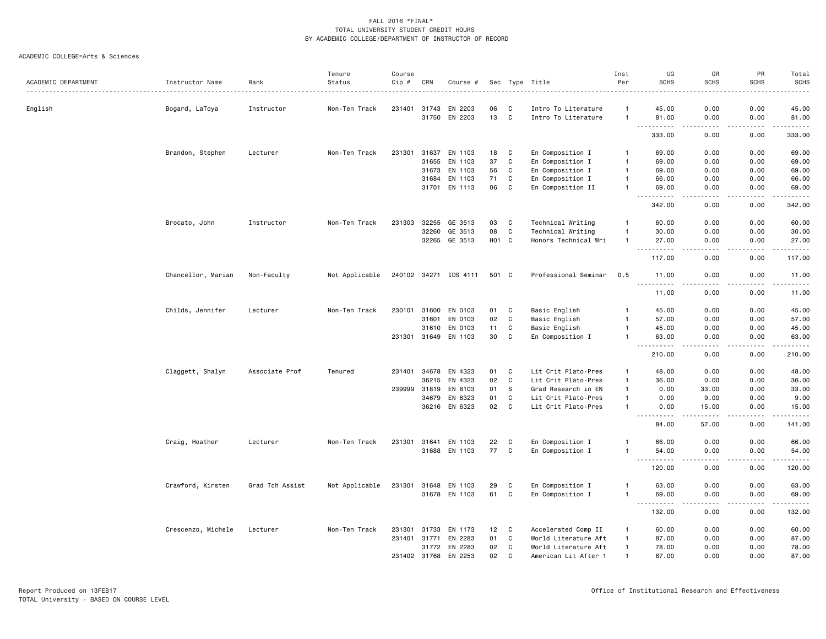|                     |                    |                 | Tenure         | Course       |       |                       |       |             |                      | Inst           | UG                                  | GR                                  | PR          | Total       |
|---------------------|--------------------|-----------------|----------------|--------------|-------|-----------------------|-------|-------------|----------------------|----------------|-------------------------------------|-------------------------------------|-------------|-------------|
| ACADEMIC DEPARTMENT | Instructor Name    | Rank            | Status         | Cip #        | CRN   | Course #              |       |             | Sec Type Title       | Per            | <b>SCHS</b>                         | <b>SCHS</b>                         | <b>SCHS</b> | SCHS<br>.   |
| English             | Bogard, LaToya     | Instructor      | Non-Ten Track  | 231401       | 31743 | EN 2203               | 06    | C           | Intro To Literature  |                | 45.00                               | 0.00                                | 0.00        | 45.00       |
|                     |                    |                 |                |              |       | 31750 EN 2203         | 13 C  |             | Intro To Literature  | $\overline{1}$ | 81.00<br>.                          | 0.00<br>.                           | 0.00<br>.   | 81.00<br>.  |
|                     |                    |                 |                |              |       |                       |       |             |                      |                | 333.00                              | 0.00                                | 0.00        | 333.00      |
|                     | Brandon, Stephen   | Lecturer        | Non-Ten Track  | 231301       | 31637 | EN 1103               | 18    | C           | En Composition I     | $\mathbf{1}$   | 69.00                               | 0.00                                | 0.00        | 69.00       |
|                     |                    |                 |                |              | 31655 | EN 1103               | 37    | C           | En Composition I     | $\mathbf{1}$   | 69.00                               | 0.00                                | 0.00        | 69.00       |
|                     |                    |                 |                |              | 31673 | EN 1103               | 56    | C           | En Composition I     | $\overline{1}$ | 69.00                               | 0.00                                | 0.00        | 69.00       |
|                     |                    |                 |                |              | 31684 | EN 1103               | 71    | C           | En Composition I     | $\overline{1}$ | 66.00                               | 0.00                                | 0.00        | 66.00       |
|                     |                    |                 |                |              | 31701 | EN 1113               | 06    | $\mathbf C$ | En Composition II    | $\overline{1}$ | 69.00                               | 0.00                                | 0.00        | 69.00       |
|                     |                    |                 |                |              |       |                       |       |             |                      |                | $\sim$ $\sim$ $\sim$<br>.<br>342.00 | $\sim$ $\sim$ $\sim$ $\sim$<br>0.00 | .<br>0.00   | .<br>342.00 |
|                     | Brocato, John      | Instructor      | Non-Ten Track  | 231303       | 32255 | GE 3513               | 03    | C           | Technical Writing    | $\mathbf{1}$   | 60.00                               | 0.00                                | 0.00        | 60.00       |
|                     |                    |                 |                |              | 32260 | GE 3513               | 08    | $\mathbf C$ | Technical Writing    | $\mathbf{1}$   | 30.00                               | 0.00                                | 0.00        | 30.00       |
|                     |                    |                 |                |              |       | 32265 GE 3513         | H01 C |             | Honors Technical Wri | $\mathbf{1}$   | 27.00                               | 0.00                                | 0.00        | 27.00       |
|                     |                    |                 |                |              |       |                       |       |             |                      |                | $ -$<br>-----<br>117.00             | $- - - -$<br>0.00                   | .<br>0.00   | .<br>117.00 |
|                     | Chancellor, Marian | Non-Faculty     | Not Applicable |              |       | 240102 34271 IDS 4111 | 501 C |             | Professional Seminar | 0.5            | 11.00                               | 0.00                                | 0.00        | 11.00       |
|                     |                    |                 |                |              |       |                       |       |             |                      |                | $\sim$ $\sim$ $\sim$<br>.<br>11.00  | د د د د<br>0.00                     | .<br>0.00   | .<br>11.00  |
|                     | Childs, Jennifer   | Lecturer        | Non-Ten Track  | 230101       | 31600 | EN 0103               | 01    | C           | Basic English        | $\mathbf{1}$   | 45.00                               | 0.00                                | 0.00        | 45.00       |
|                     |                    |                 |                |              | 31601 | EN 0103               | 02    | C           | Basic English        | $\overline{1}$ | 57.00                               | 0.00                                | 0.00        | 57.00       |
|                     |                    |                 |                |              | 31610 | EN 0103               | 11    | C           | Basic English        | $\mathbf{1}$   | 45.00                               | 0.00                                | 0.00        | 45.00       |
|                     |                    |                 |                |              |       | 231301 31649 EN 1103  | 30    | C           | En Composition I     | $\overline{1}$ | 63.00                               | 0.00                                | 0.00        | 63.00       |
|                     |                    |                 |                |              |       |                       |       |             |                      |                | 210.00                              | 0.00                                | 0.00        | .<br>210.00 |
|                     | Claggett, Shalyn   | Associate Prof  | Tenured        | 231401       | 34678 | EN 4323               | 01    | C           | Lit Crit Plato-Pres  | $\mathbf{1}$   | 48.00                               | 0.00                                | 0.00        | 48.00       |
|                     |                    |                 |                |              | 36215 | EN 4323               | 02    | C           | Lit Crit Plato-Pres  | $\overline{1}$ | 36.00                               | 0.00                                | 0.00        | 36.00       |
|                     |                    |                 |                | 239999       | 31819 | EN 8103               | 01    | S           | Grad Research in EN  | $\mathbf{1}$   | 0.00                                | 33.00                               | 0.00        | 33.00       |
|                     |                    |                 |                |              | 34679 | EN 6323               | 01    | C           | Lit Crit Plato-Pres  | $\mathbf{1}$   | 0.00                                | 9.00                                | 0.00        | 9.00        |
|                     |                    |                 |                |              | 36216 | EN 6323               | 02    | C           | Lit Crit Plato-Pres  | $\mathbf{1}$   | 0.00<br>. <b>.</b>                  | 15.00<br><b></b>                    | 0.00<br>.   | 15.00<br>.  |
|                     |                    |                 |                |              |       |                       |       |             |                      |                | 84.00                               | 57.00                               | 0.00        | 141.00      |
|                     | Craig, Heather     | Lecturer        | Non-Ten Track  | 231301       | 31641 | EN 1103               | 22    | C           | En Composition I     | -1             | 66.00                               | 0.00                                | 0.00        | 66.00       |
|                     |                    |                 |                |              |       | 31688 EN 1103         | 77 C  |             | En Composition I     | $\mathbf{1}$   | 54.00<br>$\sim$ $\sim$ $\sim$<br>.  | 0.00<br>$\frac{1}{2}$               | 0.00<br>.   | 54.00<br>.  |
|                     |                    |                 |                |              |       |                       |       |             |                      |                | 120.00                              | 0.00                                | 0.00        | 120.00      |
|                     | Crawford, Kirsten  | Grad Tch Assist | Not Applicable | 231301       | 31648 | EN 1103               | 29    | C           | En Composition I     | $\overline{1}$ | 63.00                               | 0.00                                | 0.00        | 63.00       |
|                     |                    |                 |                |              |       | 31678 EN 1103         | 61    | C           | En Composition I     | $\overline{1}$ | 69.00                               | 0.00                                | 0.00        | 69.00       |
|                     |                    |                 |                |              |       |                       |       |             |                      |                | $\sim$ $\sim$ $\sim$<br>.<br>132.00 | د د د د<br>0.00                     | .<br>0.00   | .<br>132.00 |
|                     | Crescenzo, Michele | Lecturer        | Non-Ten Track  | 231301       | 31733 | EN 1173               | 12    | C           | Accelerated Comp II  | $\mathbf{1}$   | 60.00                               | 0.00                                | 0.00        | 60.00       |
|                     |                    |                 |                | 231401       | 31771 | EN 2283               | 01    | C           | World Literature Aft | $\overline{1}$ | 87.00                               | 0.00                                | 0.00        | 87.00       |
|                     |                    |                 |                |              |       | 31772 EN 2283         | 02    | C           | World Literature Aft | $\overline{1}$ | 78.00                               | 0.00                                | 0.00        | 78.00       |
|                     |                    |                 |                | 231402 31768 |       | EN 2253               | 02    | C           | American Lit After 1 |                | 87.00                               | 0.00                                | 0.00        | 87.00       |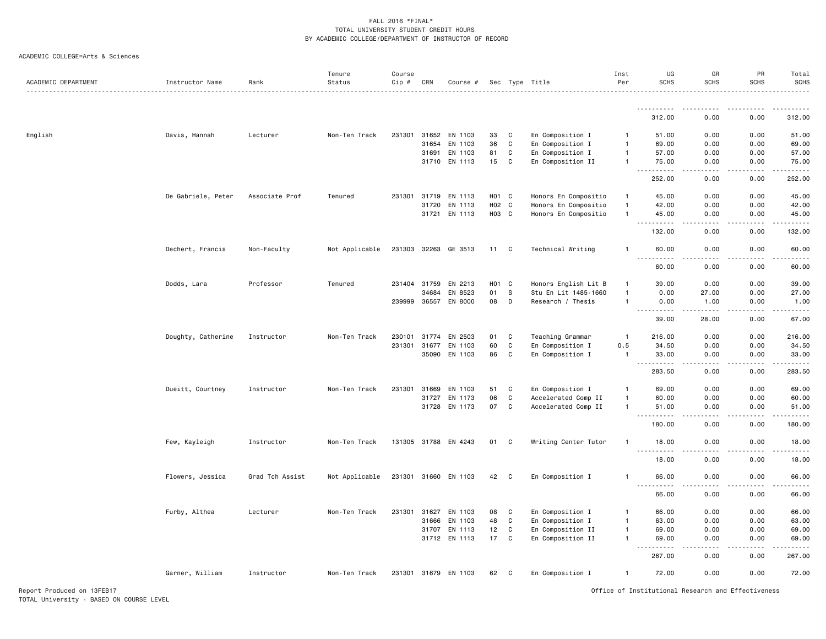| ACADEMIC DEPARTMENT | Instructor Name    | Rank            | Tenure<br>Status | Course<br>Cip # | CRN          | Course #             |                    |              | Sec Type Title       | Inst<br>Per  | UG<br><b>SCHS</b>                                                                                                                                              | GR<br><b>SCHS</b>    | PR<br><b>SCHS</b> | Total<br><b>SCHS</b>                                                                                                                |
|---------------------|--------------------|-----------------|------------------|-----------------|--------------|----------------------|--------------------|--------------|----------------------|--------------|----------------------------------------------------------------------------------------------------------------------------------------------------------------|----------------------|-------------------|-------------------------------------------------------------------------------------------------------------------------------------|
|                     |                    |                 |                  |                 |              |                      |                    |              |                      |              |                                                                                                                                                                |                      |                   |                                                                                                                                     |
|                     |                    |                 |                  |                 |              |                      |                    |              |                      |              | <u>.</u><br>312.00                                                                                                                                             | . <u>.</u> .<br>0.00 | .<br>0.00         | $- - - - - -$<br>312.00                                                                                                             |
| English             | Davis, Hannah      | Lecturer        | Non-Ten Track    | 231301          | 31652        | EN 1103              | 33                 | C            | En Composition I     | -1           | 51.00                                                                                                                                                          | 0.00                 | 0.00              | 51.00                                                                                                                               |
|                     |                    |                 |                  |                 | 31654        | EN 1103              | 36                 | $\mathtt{C}$ | En Composition I     | $\mathbf{1}$ | 69.00                                                                                                                                                          | 0.00                 | 0.00              | 69.00                                                                                                                               |
|                     |                    |                 |                  |                 | 31691        | EN 1103              | 81                 | C            | En Composition I     |              | 57.00                                                                                                                                                          | 0.00                 | 0.00              | 57.00                                                                                                                               |
|                     |                    |                 |                  |                 |              | 31710 EN 1113        | 15                 | C            | En Composition II    | $\mathbf{1}$ | 75.00                                                                                                                                                          | 0.00                 | 0.00              | 75.00                                                                                                                               |
|                     |                    |                 |                  |                 |              |                      |                    |              |                      |              | 2.2.2.2.2.2<br>$\sim$ $\sim$ $\sim$<br>252.00                                                                                                                  | .<br>0.00            | 22222<br>0.00     | $\begin{array}{cccccccccccccc} \bullet & \bullet & \bullet & \bullet & \bullet & \bullet & \bullet & \bullet \end{array}$<br>252.00 |
|                     | De Gabriele, Peter | Associate Prof  | Tenured          | 231301          | 31719        | EN 1113              | H <sub>0</sub> 1 C |              | Honors En Compositio | $\mathbf{1}$ | 45.00                                                                                                                                                          | 0.00                 | 0.00              | 45.00                                                                                                                               |
|                     |                    |                 |                  |                 | 31720        | EN 1113              | H02 C              |              | Honors En Compositio |              | 42.00                                                                                                                                                          | 0.00                 | 0.00              | 42.00                                                                                                                               |
|                     |                    |                 |                  |                 |              | 31721 EN 1113        | H03 C              |              | Honors En Compositio | $\mathbf{1}$ | 45.00                                                                                                                                                          | 0.00                 | 0.00              | 45.00                                                                                                                               |
|                     |                    |                 |                  |                 |              |                      |                    |              |                      |              | $\frac{1}{2} \left( \frac{1}{2} \right) \left( \frac{1}{2} \right) \left( \frac{1}{2} \right) \left( \frac{1}{2} \right) \left( \frac{1}{2} \right)$<br>132.00 | 0.00                 | 0.00              | .<br>132.00                                                                                                                         |
|                     | Dechert, Francis   | Non-Faculty     | Not Applicable   |                 |              | 231303 32263 GE 3513 | 11 C               |              | Technical Writing    | -1           | 60.00                                                                                                                                                          | 0.00                 | 0.00              | 60.00                                                                                                                               |
|                     |                    |                 |                  |                 |              |                      |                    |              |                      |              | .<br>60.00                                                                                                                                                     | .<br>0.00            | .<br>0.00         | .<br>60.00                                                                                                                          |
|                     | Dodds, Lara        | Professor       | Tenured          |                 | 231404 31759 | EN 2213              | H <sub>01</sub> C  |              | Honors English Lit B |              | 39.00                                                                                                                                                          | 0.00                 | 0.00              | 39.00                                                                                                                               |
|                     |                    |                 |                  |                 | 34684        | EN 8523              | 01                 | S            | Stu En Lit 1485-1660 |              | 0.00                                                                                                                                                           | 27.00                | 0.00              | 27.00                                                                                                                               |
|                     |                    |                 |                  | 239999          | 36557        | EN 8000              | 08                 | D            | Research / Thesis    |              | 0.00                                                                                                                                                           | 1.00                 | 0.00              | 1.00                                                                                                                                |
|                     |                    |                 |                  |                 |              |                      |                    |              |                      |              | المتمام مناسب<br>$\frac{1}{2} \left( \frac{1}{2} \right) \left( \frac{1}{2} \right) \left( \frac{1}{2} \right) \left( \frac{1}{2} \right)$<br>39.00            | .<br>28.00           | .<br>0.00         | .<br>67.00                                                                                                                          |
|                     | Doughty, Catherine | Instructor      | Non-Ten Track    | 230101          | 31774        | EN 2503              | 01                 | C            | Teaching Grammar     | $\mathbf{1}$ | 216.00                                                                                                                                                         | 0.00                 | 0.00              | 216.00                                                                                                                              |
|                     |                    |                 |                  | 231301          | 31677        | EN 1103              | 60                 | C            | En Composition I     | 0.5          | 34.50                                                                                                                                                          | 0.00                 | 0.00              | 34.50                                                                                                                               |
|                     |                    |                 |                  |                 |              | 35090 EN 1103        | 86                 | C            | En Composition I     | $\mathbf{1}$ | 33.00                                                                                                                                                          | 0.00                 | 0.00              | 33.00                                                                                                                               |
|                     |                    |                 |                  |                 |              |                      |                    |              |                      |              | $\sim$ $\sim$ $\sim$<br>283.50                                                                                                                                 | . <b>.</b><br>0.00   | .<br>0.00         | .<br>283.50                                                                                                                         |
|                     | Dueitt, Courtney   | Instructor      | Non-Ten Track    |                 | 231301 31669 | EN 1103              | 51                 | C            | En Composition I     | -1           | 69.00                                                                                                                                                          | 0.00                 | 0.00              | 69.00                                                                                                                               |
|                     |                    |                 |                  |                 | 31727        | EN 1173              | 06                 | C            | Accelerated Comp II  | -1           | 60.00                                                                                                                                                          | 0.00                 | 0.00              | 60.00                                                                                                                               |
|                     |                    |                 |                  |                 |              | 31728 EN 1173        | 07                 | C            | Accelerated Comp II  | $\mathbf{1}$ | 51.00                                                                                                                                                          | 0.00                 | 0.00              | 51.00                                                                                                                               |
|                     |                    |                 |                  |                 |              |                      |                    |              |                      |              | .<br>$  -$<br>180.00                                                                                                                                           | 0.00                 | 0.00              | .<br>180.00                                                                                                                         |
|                     | Few, Kayleigh      | Instructor      | Non-Ten Track    |                 |              | 131305 31788 EN 4243 | 01                 | C            | Writing Center Tutor | $\mathbf{1}$ | 18.00                                                                                                                                                          | 0.00                 | 0.00              | 18.00                                                                                                                               |
|                     |                    |                 |                  |                 |              |                      |                    |              |                      |              | .<br>18.00                                                                                                                                                     | 0.00                 | 0.00              | 18.00                                                                                                                               |
|                     | Flowers, Jessica   | Grad Tch Assist | Not Applicable   |                 |              | 231301 31660 EN 1103 | 42                 | $\mathbf{C}$ | En Composition I     | $\mathbf{1}$ | 66.00<br>$\sim$ $\sim$ $\sim$<br>.                                                                                                                             | 0.00                 | 0.00              | 66.00<br>.                                                                                                                          |
|                     |                    |                 |                  |                 |              |                      |                    |              |                      |              | 66.00                                                                                                                                                          | 0.00                 | 0.00              | 66.00                                                                                                                               |
|                     | Furby, Althea      | Lecturer        | Non-Ten Track    |                 | 231301 31627 | EN 1103              | 08                 | C            | En Composition I     | $\mathbf{1}$ | 66.00                                                                                                                                                          | 0.00                 | 0.00              | 66.00                                                                                                                               |
|                     |                    |                 |                  |                 | 31666        | EN 1103              | 48                 | C            | En Composition I     | -1           | 63.00                                                                                                                                                          | 0.00                 | 0.00              | 63.00                                                                                                                               |
|                     |                    |                 |                  |                 | 31707        | EN 1113              | 12                 | C            | En Composition II    | -1           | 69.00                                                                                                                                                          | 0.00                 | 0.00              | 69.00                                                                                                                               |
|                     |                    |                 |                  |                 |              | 31712 EN 1113        | 17                 | C            | En Composition II    | $\mathbf{1}$ | 69.00                                                                                                                                                          | 0.00                 | 0.00              | 69.00                                                                                                                               |
|                     |                    |                 |                  |                 |              |                      |                    |              |                      |              | $\sim$ $\sim$ $\sim$<br>.<br>267.00                                                                                                                            | 0.00                 | 0.00              | 267.00                                                                                                                              |
|                     | Garner, William    | Instructor      | Non-Ten Track    |                 |              | 231301 31679 EN 1103 | 62                 | $\mathbf{C}$ | En Composition I     | $\mathbf{1}$ | 72.00                                                                                                                                                          | 0.00                 | 0.00              | 72.00                                                                                                                               |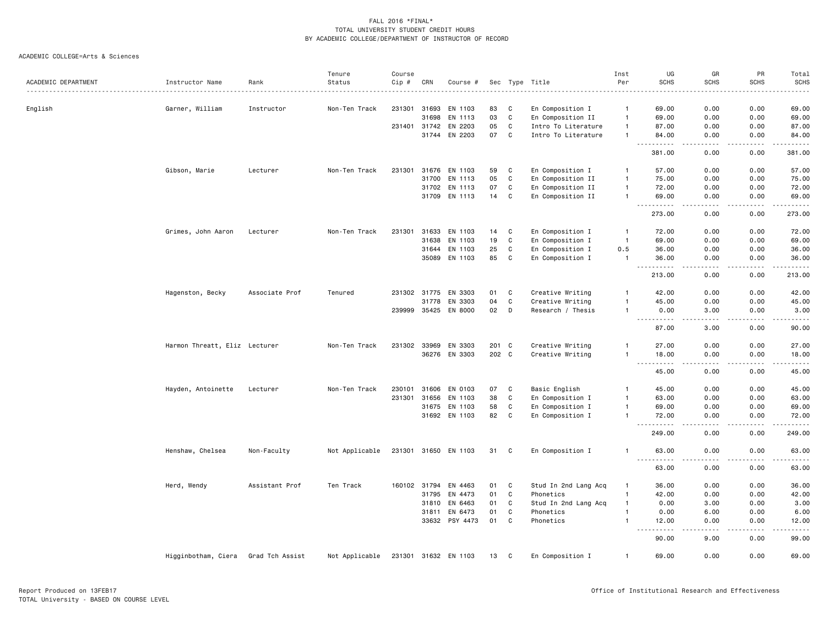|                     |                               |                 | Tenure         | Course |              |                      |       |              |                      | Inst           | UG                                                                                                                                                                             | GR                                  | PR                                                                                                                                                           | Total            |
|---------------------|-------------------------------|-----------------|----------------|--------|--------------|----------------------|-------|--------------|----------------------|----------------|--------------------------------------------------------------------------------------------------------------------------------------------------------------------------------|-------------------------------------|--------------------------------------------------------------------------------------------------------------------------------------------------------------|------------------|
| ACADEMIC DEPARTMENT | Instructor Name               | Rank            | Status         | Cip #  | CRN          | Course #             |       |              | Sec Type Title       | Per            | <b>SCHS</b>                                                                                                                                                                    | <b>SCHS</b>                         | <b>SCHS</b>                                                                                                                                                  | <b>SCHS</b><br>. |
| English             | Garner, William               | Instructor      | Non-Ten Track  | 231301 | 31693        | EN 1103              | 83    | C            | En Composition I     | $\mathbf{1}$   | 69.00                                                                                                                                                                          | 0.00                                | 0.00                                                                                                                                                         | 69.00            |
|                     |                               |                 |                |        | 31698        | EN 1113              | 03    | C            | En Composition II    | $\mathbf{1}$   | 69.00                                                                                                                                                                          | 0.00                                | 0.00                                                                                                                                                         | 69.00            |
|                     |                               |                 |                | 231401 | 31742        | EN 2203              | 05    | C            | Intro To Literature  | $\mathbf{1}$   | 87.00                                                                                                                                                                          | 0.00                                | 0.00                                                                                                                                                         | 87.00            |
|                     |                               |                 |                |        | 31744        | EN 2203              | 07    | C            | Intro To Literature  | $\mathbf{1}$   | 84.00                                                                                                                                                                          | 0.00                                | 0.00                                                                                                                                                         | 84.00            |
|                     |                               |                 |                |        |              |                      |       |              |                      |                | a a c<br>المتمامين<br>381.00                                                                                                                                                   | $   -$<br>0.00                      | .<br>0.00                                                                                                                                                    | .<br>381.00      |
|                     | Gibson, Marie                 | Lecturer        | Non-Ten Track  | 231301 |              | 31676 EN 1103        | 59    | C            | En Composition I     | $\mathbf{1}$   | 57.00                                                                                                                                                                          | 0.00                                | 0.00                                                                                                                                                         | 57.00            |
|                     |                               |                 |                |        | 31700        | EN 1113              | 05    | C            | En Composition II    | $\mathbf{1}$   | 75.00                                                                                                                                                                          | 0.00                                | 0.00                                                                                                                                                         | 75.00            |
|                     |                               |                 |                |        | 31702        | EN 1113              | 07    | C            | En Composition II    | $\mathbf{1}$   | 72.00                                                                                                                                                                          | 0.00                                | 0.00                                                                                                                                                         | 72.00            |
|                     |                               |                 |                |        |              | 31709 EN 1113        | 14    | C            | En Composition II    | $\mathbf{1}$   | 69.00<br>. <b>.</b>                                                                                                                                                            | 0.00<br>.                           | 0.00<br>.                                                                                                                                                    | 69.00<br>.       |
|                     |                               |                 |                |        |              |                      |       |              |                      |                | 273.00                                                                                                                                                                         | 0.00                                | 0.00                                                                                                                                                         | 273.00           |
|                     | Grimes, John Aaron            | Lecturer        | Non-Ten Track  | 231301 | 31633        | EN 1103              | 14    | C            | En Composition I     | $\overline{1}$ | 72.00                                                                                                                                                                          | 0.00                                | 0.00                                                                                                                                                         | 72.00            |
|                     |                               |                 |                |        | 31638        | EN 1103              | 19    | $\mathbb{C}$ | En Composition I     | $\overline{1}$ | 69.00                                                                                                                                                                          | 0.00                                | 0.00                                                                                                                                                         | 69.00            |
|                     |                               |                 |                |        | 31644        | EN 1103              | 25    | C            | En Composition I     | 0.5            | 36.00                                                                                                                                                                          | 0.00                                | 0.00                                                                                                                                                         | 36.00            |
|                     |                               |                 |                |        | 35089        | EN 1103              | 85    | C            | En Composition I     | $\mathbf{1}$   | 36.00<br>$\sim$ $\sim$ $\sim$<br>. <b>.</b>                                                                                                                                    | 0.00<br>$- - - -$                   | 0.00<br>$- - - - -$                                                                                                                                          | 36.00<br>.       |
|                     |                               |                 |                |        |              |                      |       |              |                      |                | 213.00                                                                                                                                                                         | 0.00                                | 0.00                                                                                                                                                         | 213.00           |
|                     | Hagenston, Becky              | Associate Prof  | Tenured        |        | 231302 31775 | EN 3303              | 01    | C            | Creative Writing     | -1             | 42.00                                                                                                                                                                          | 0.00                                | 0.00                                                                                                                                                         | 42.00            |
|                     |                               |                 |                |        | 31778        | EN 3303              | 04    | $\mathbb{C}$ | Creative Writing     |                | 45.00                                                                                                                                                                          | 0.00                                | 0.00                                                                                                                                                         | 45.00            |
|                     |                               |                 |                |        | 239999 35425 | EN 8000              | 02    | D            | Research / Thesis    | -1             | 0.00<br>$\sim$ $\sim$ $\sim$<br>.                                                                                                                                              | 3.00<br>الدامات ب                   | 0.00<br>.                                                                                                                                                    | 3.00<br>.        |
|                     |                               |                 |                |        |              |                      |       |              |                      |                | 87.00                                                                                                                                                                          | 3.00                                | 0.00                                                                                                                                                         | 90.00            |
|                     | Harmon Threatt, Eliz Lecturer |                 | Non-Ten Track  |        | 231302 33969 | EN 3303              | 201 C |              | Creative Writing     | -1             | 27.00                                                                                                                                                                          | 0.00                                | 0.00                                                                                                                                                         | 27.00            |
|                     |                               |                 |                |        | 36276        | EN 3303              | 202 C |              | Creative Writing     | $\mathbf{1}$   | 18.00                                                                                                                                                                          | 0.00                                | 0.00                                                                                                                                                         | 18.00            |
|                     |                               |                 |                |        |              |                      |       |              |                      |                | $\frac{1}{2} \left( \frac{1}{2} \right) \left( \frac{1}{2} \right) \left( \frac{1}{2} \right) \left( \frac{1}{2} \right) \left( \frac{1}{2} \right)$<br>$\sim$ $\sim$<br>45.00 | $\sim$ $\sim$ $\sim$ $\sim$<br>0.00 | .<br>0.00                                                                                                                                                    | .<br>45.00       |
|                     | Hayden, Antoinette            | Lecturer        | Non-Ten Track  | 230101 | 31606        | EN 0103              | 07    | C            | Basic English        | $\mathbf{1}$   | 45.00                                                                                                                                                                          | 0.00                                | 0.00                                                                                                                                                         | 45.00            |
|                     |                               |                 |                | 231301 | 31656        | EN 1103              | 38    | C            | En Composition I     | $\mathbf{1}$   | 63.00                                                                                                                                                                          | 0.00                                | 0.00                                                                                                                                                         | 63.00            |
|                     |                               |                 |                |        | 31675        | EN 1103              | 58    | C            | En Composition I     | $\mathbf{1}$   | 69.00                                                                                                                                                                          | 0.00                                | 0.00                                                                                                                                                         | 69.00            |
|                     |                               |                 |                |        |              | 31692 EN 1103        | 82    | $\mathbb{C}$ | En Composition I     | $\mathbf{1}$   | 72.00                                                                                                                                                                          | 0.00                                | 0.00                                                                                                                                                         | 72.00            |
|                     |                               |                 |                |        |              |                      |       |              |                      |                | $\sim$ $\sim$ $\sim$<br><b>.</b><br>249.00                                                                                                                                     | $\sim$ $\sim$ $\sim$ $\sim$<br>0.00 | $\frac{1}{2} \left( \frac{1}{2} \right) \left( \frac{1}{2} \right) \left( \frac{1}{2} \right) \left( \frac{1}{2} \right) \left( \frac{1}{2} \right)$<br>0.00 | .<br>249.00      |
|                     | Henshaw, Chelsea              | Non-Faculty     | Not Applicable |        |              | 231301 31650 EN 1103 | 31    | C.           | En Composition I     | -1             | 63.00<br>$ -$<br>- - - -                                                                                                                                                       | 0.00                                | 0.00                                                                                                                                                         | 63.00            |
|                     |                               |                 |                |        |              |                      |       |              |                      |                | 63.00                                                                                                                                                                          | 0.00                                | 0.00                                                                                                                                                         | 63.00            |
|                     | Herd, Wendy                   | Assistant Prof  | Ten Track      |        | 160102 31794 | EN 4463              | 01    | C            | Stud In 2nd Lang Acq | -1             | 36.00                                                                                                                                                                          | 0.00                                | 0.00                                                                                                                                                         | 36.00            |
|                     |                               |                 |                |        | 31795        | EN 4473              | 01    | C            | Phonetics            | $\mathbf{1}$   | 42.00                                                                                                                                                                          | 0.00                                | 0.00                                                                                                                                                         | 42.00            |
|                     |                               |                 |                |        | 31810        | EN 6463              | 01    | C            | Stud In 2nd Lang Acq | $\mathbf{1}$   | 0.00                                                                                                                                                                           | 3.00                                | 0.00                                                                                                                                                         | 3.00             |
|                     |                               |                 |                |        | 31811        | EN 6473              | 01    | C            | Phonetics            | $\mathbf{1}$   | 0.00                                                                                                                                                                           | 6.00                                | 0.00                                                                                                                                                         | 6.00             |
|                     |                               |                 |                |        |              | 33632 PSY 4473       | 01    | C            | Phonetics            | $\mathbf{1}$   | 12.00<br>.<br>$  -$                                                                                                                                                            | 0.00<br>$   -$                      | 0.00<br>$\frac{1}{2} \left( \frac{1}{2} \right) \left( \frac{1}{2} \right) \left( \frac{1}{2} \right) \left( \frac{1}{2} \right) \left( \frac{1}{2} \right)$ | 12.00<br>.       |
|                     |                               |                 |                |        |              |                      |       |              |                      |                | 90.00                                                                                                                                                                          | 9.00                                | 0.00                                                                                                                                                         | 99.00            |
|                     | Higginbotham, Ciera           | Grad Tch Assist | Not Applicable |        |              | 231301 31632 EN 1103 | 13    | C            | En Composition I     | $\mathbf{1}$   | 69.00                                                                                                                                                                          | 0.00                                | 0.00                                                                                                                                                         | 69.00            |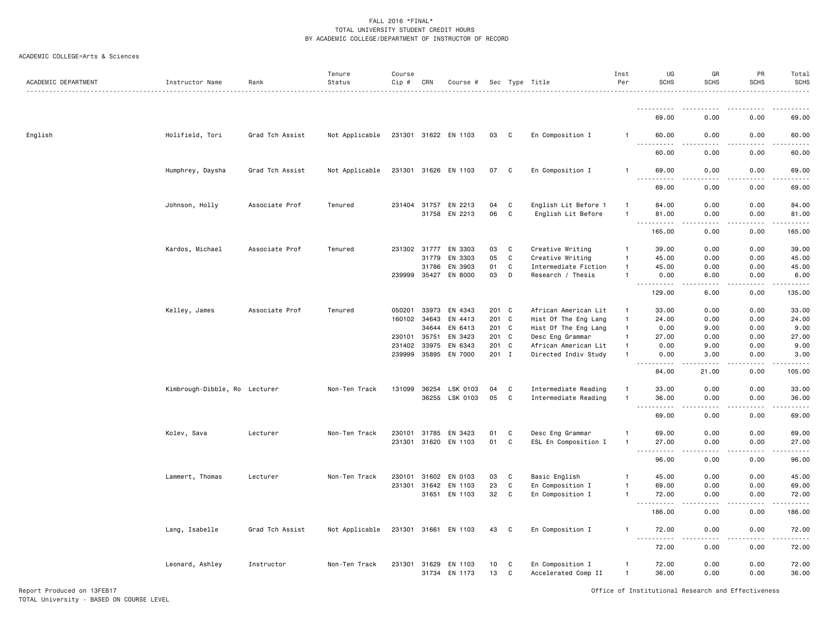#### ACADEMIC COLLEGE=Arts & Sciences

| ACADEMIC DEPARTMENT | Instructor Name               | Rank            | Tenure<br>Status | Course<br>$Cip \#$ | CRN   | Course #             |          |              | Sec Type Title                          | Inst<br>Per                  | UG<br><b>SCHS</b>                         | GR<br><b>SCHS</b> | PR<br><b>SCHS</b>                   | Total<br><b>SCHS</b> |
|---------------------|-------------------------------|-----------------|------------------|--------------------|-------|----------------------|----------|--------------|-----------------------------------------|------------------------------|-------------------------------------------|-------------------|-------------------------------------|----------------------|
|                     |                               |                 |                  |                    |       |                      |          |              |                                         |                              | ----------                                |                   |                                     | .                    |
|                     |                               |                 |                  |                    |       |                      |          |              |                                         |                              | 69.00                                     | 0.00              | 0.00                                | 69.00                |
| English             | Holifield, Tori               | Grad Tch Assist | Not Applicable   |                    |       | 231301 31622 EN 1103 | 03       | C            | En Composition I                        | -1                           | 60.00<br>.                                | 0.00<br>.         | 0.00<br>$\sim$ $\sim$ $\sim$ $\sim$ | 60.00<br>.           |
|                     |                               |                 |                  |                    |       |                      |          |              |                                         |                              | .<br>60.00                                | 0.00              | 0.00                                | 60.00                |
|                     | Humphrey, Daysha              | Grad Tch Assist | Not Applicable   |                    |       | 231301 31626 EN 1103 | 07       | C            | En Composition I                        | $\mathbf{1}$                 | 69.00                                     | 0.00              | 0.00                                | 69.00                |
|                     |                               |                 |                  |                    |       |                      |          |              |                                         |                              | 69.00                                     | 0.00              | 0.00                                | 69.00                |
|                     | Johnson, Holly                | Associate Prof  | Tenured          | 231404 31757       |       | EN 2213              | 04       | C            | English Lit Before 1                    | -1                           | 84.00                                     | 0.00              | 0.00                                | 84.00                |
|                     |                               |                 |                  |                    | 31758 | EN 2213              | 06       | C            | English Lit Before                      | $\mathbf{1}$                 | 81.00                                     | 0.00              | 0.00                                | 81.00                |
|                     |                               |                 |                  |                    |       |                      |          |              |                                         |                              | $\sim$ $\sim$<br>.<br>165.00              | ----<br>0.00      | $\frac{1}{2}$<br>0.00               | .<br>165.00          |
|                     | Kardos, Michael               | Associate Prof  | Tenured          | 231302 31777       |       | EN 3303              | 03       | C            | Creative Writing                        | $\mathbf{1}$                 | 39.00                                     | 0.00              | 0.00                                | 39.00                |
|                     |                               |                 |                  |                    | 31779 | EN 3303              | 05       | $\mathbf c$  | Creative Writing                        | $\mathbf{1}$                 | 45.00                                     | 0.00              | 0.00                                | 45.00                |
|                     |                               |                 |                  |                    | 31786 | EN 3903              | 01       | $\mathbf{C}$ | Intermediate Fiction                    | $\mathbf{1}$                 | 45.00                                     | 0.00              | 0.00                                | 45.00                |
|                     |                               |                 |                  | 239999             | 35427 | EN 8000              | 03       | D            | Research / Thesis                       | $\overline{1}$               | 0.00<br>$- - - -$                         | 6.00              | 0.00                                | 6.00<br>.            |
|                     |                               |                 |                  |                    |       |                      |          |              |                                         |                              | 129.00                                    | 6.00              | 0.00                                | 135.00               |
|                     | Kelley, James                 | Associate Prof  | Tenured          | 050201             | 33973 | EN 4343              | 201 C    |              | African American Lit                    | $\mathbf{1}$                 | 33.00                                     | 0.00              | 0.00                                | 33.00                |
|                     |                               |                 |                  | 160102             | 34643 | EN 4413              | 201      | $\mathbf{C}$ | Hist Of The Eng Lang                    | $\mathbf{1}$                 | 24.00                                     | 0.00              | 0.00                                | 24.00                |
|                     |                               |                 |                  |                    | 34644 | EN 6413              | 201 C    |              | Hist Of The Eng Lang                    | $\mathbf{1}$                 | 0.00                                      | 9.00              | 0.00                                | 9.00                 |
|                     |                               |                 |                  | 230101             | 35751 | EN 3423              | 201 C    |              | Desc Eng Grammar                        | $\mathbf{1}$                 | 27.00                                     | 0.00              | 0.00                                | 27.00                |
|                     |                               |                 |                  | 231402 33975       |       | EN 6343              | 201      | C            | African American Lit                    | $\mathbf{1}$                 | 0.00                                      | 9.00              | 0.00                                | 9.00                 |
|                     |                               |                 |                  | 239999             | 35895 | EN 7000              | 201      | $\mathbf I$  | Directed Indiv Study                    | $\mathbf{1}$                 | 0.00                                      | 3.00              | 0.00                                | 3.00                 |
|                     |                               |                 |                  |                    |       |                      |          |              |                                         |                              | 84.00                                     | 21.00             | 0.00                                | 105.00               |
|                     | Kimbrough-Dibble, Ro Lecturer |                 | Non-Ten Track    | 131099             | 36254 | LSK 0103             | 04       | C            | Intermediate Reading                    | $\mathbf{1}$                 | 33.00                                     | 0.00              | 0.00                                | 33.00                |
|                     |                               |                 |                  |                    |       | 36255 LSK 0103       | 05       | $\mathbf c$  | Intermediate Reading                    | $\mathbf{1}$                 | 36.00                                     | 0.00              | 0.00                                | 36.00                |
|                     |                               |                 |                  |                    |       |                      |          |              |                                         |                              | .<br>$\frac{1}{2}$<br>69.00               | $- - - -$<br>0.00 | $\cdots$<br>0.00                    | .<br>69.00           |
|                     | Kolev, Sava                   | Lecturer        | Non-Ten Track    | 230101             | 31785 | EN 3423              | 01       | C            | Desc Eng Grammar                        |                              | 69.00                                     | 0.00              | 0.00                                | 69.00                |
|                     |                               |                 |                  | 231301 31620       |       | EN 1103              | 01       | C            | ESL En Composition I                    | $\mathbf{1}$                 | 27.00                                     | 0.00              | 0.00                                | 27.00                |
|                     |                               |                 |                  |                    |       |                      |          |              |                                         |                              | $\sim$ $\sim$ $\sim$ .<br>.<br>96.00      | د د د د<br>0.00   | .<br>0.00                           | .<br>96.00           |
|                     | Lammert, Thomas               | Lecturer        | Non-Ten Track    | 230101             | 31602 | EN 0103              | 03       | $\mathbf c$  | Basic English                           | $\mathbf{1}$                 | 45.00                                     | 0.00              | 0.00                                | 45.00                |
|                     |                               |                 |                  | 231301 31642       |       | EN 1103              | 23       | C            | En Composition I                        | $\mathbf{1}$                 | 69.00                                     | 0.00              | 0.00                                | 69.00                |
|                     |                               |                 |                  |                    |       | 31651 EN 1103        | 32       | C            | En Composition I                        | $\mathbf{1}$                 | 72.00                                     | 0.00              | 0.00                                | 72.00                |
|                     |                               |                 |                  |                    |       |                      |          |              |                                         |                              | $\omega$ $\omega$ $\omega$<br>.<br>186.00 | .<br>0.00         | $\frac{1}{2}$<br>0.00               | المتمامين<br>186.00  |
|                     | Lang, Isabelle                | Grad Tch Assist | Not Applicable   |                    |       | 231301 31661 EN 1103 | 43       | C            | En Composition I                        | $\mathbf{1}$                 | 72.00                                     | 0.00              | 0.00                                | 72.00                |
|                     |                               |                 |                  |                    |       |                      |          |              |                                         |                              | .<br>72.00                                | د د د د<br>0.00   | .<br>0.00                           | .<br>72.00           |
|                     | Leonard, Ashley               | Instructor      | Non-Ten Track    | 231301 31629       | 31734 | EN 1103<br>EN 1173   | 10<br>13 | C<br>C       | En Composition I<br>Accelerated Comp II | $\mathbf{1}$<br>$\mathbf{1}$ | 72.00<br>36.00                            | 0.00<br>0.00      | 0.00<br>0.00                        | 72.00<br>36.00       |
|                     |                               |                 |                  |                    |       |                      |          |              |                                         |                              |                                           |                   |                                     |                      |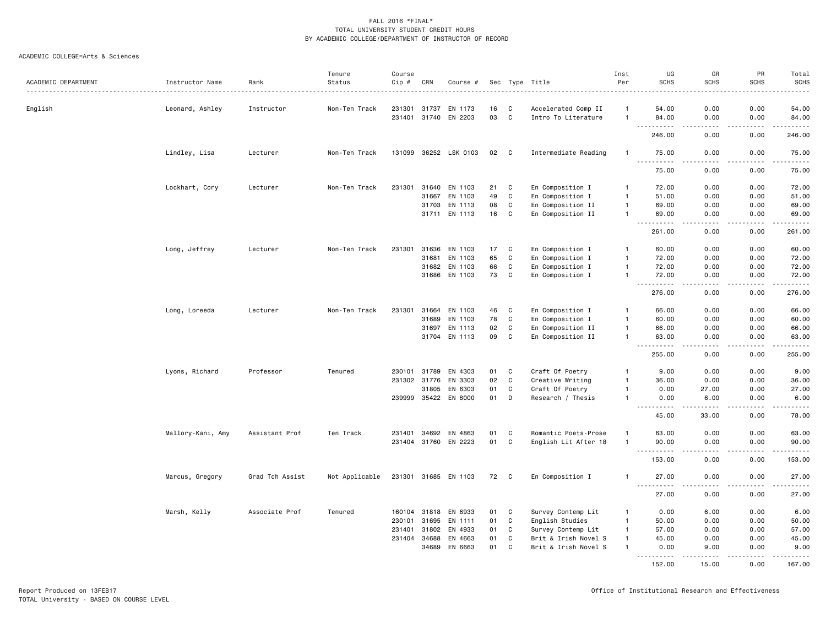|                     |                   |                 | Tenure         | Course  |              |                      |    |              |                      | Inst           | UG                                                                                                                                                            | GR          | PR                                                                                                                                | Total                                                                                                                         |
|---------------------|-------------------|-----------------|----------------|---------|--------------|----------------------|----|--------------|----------------------|----------------|---------------------------------------------------------------------------------------------------------------------------------------------------------------|-------------|-----------------------------------------------------------------------------------------------------------------------------------|-------------------------------------------------------------------------------------------------------------------------------|
| ACADEMIC DEPARTMENT | Instructor Name   | Rank            | Status         | $Cip$ # | CRN          | Course #             |    |              | Sec Type Title       | Per            | <b>SCHS</b>                                                                                                                                                   | <b>SCHS</b> | <b>SCHS</b>                                                                                                                       | <b>SCHS</b><br>.                                                                                                              |
| English             | Leonard, Ashley   | Instructor      | Non-Ten Track  | 231301  | 31737        | EN 1173              | 16 | C            | Accelerated Comp II  | -1             | 54.00                                                                                                                                                         | 0.00        | 0.00                                                                                                                              | 54.00                                                                                                                         |
|                     |                   |                 |                |         |              | 231401 31740 EN 2203 | 03 | C            | Intro To Literature  | $\mathbf{1}$   | 84.00                                                                                                                                                         | 0.00        | 0.00                                                                                                                              | 84.00                                                                                                                         |
|                     |                   |                 |                |         |              |                      |    |              |                      |                | .<br>246.00                                                                                                                                                   | 0.00        | .<br>0.00                                                                                                                         | .<br>246.00                                                                                                                   |
|                     | Lindley, Lisa     | Lecturer        | Non-Ten Track  | 131099  |              | 36252 LSK 0103       | 02 | C            | Intermediate Reading | $\mathbf{1}$   | 75.00                                                                                                                                                         | 0.00        | 0.00                                                                                                                              | 75.00                                                                                                                         |
|                     |                   |                 |                |         |              |                      |    |              |                      |                | $\frac{1}{2} \left( \frac{1}{2} \right) \left( \frac{1}{2} \right) \left( \frac{1}{2} \right) \left( \frac{1}{2} \right) \left( \frac{1}{2} \right)$<br>75.00 | 0.00        | بالمحامر<br>0.00                                                                                                                  | .<br>75.00                                                                                                                    |
|                     | Lockhart, Cory    | Lecturer        | Non-Ten Track  | 231301  | 31640        | EN 1103              | 21 | C            | En Composition I     | $\mathbf{1}$   | 72.00                                                                                                                                                         | 0.00        | 0.00                                                                                                                              | 72.00                                                                                                                         |
|                     |                   |                 |                |         | 31667        | EN 1103              | 49 | $\mathtt{C}$ | En Composition I     | $\mathbf{1}$   | 51.00                                                                                                                                                         | 0.00        | 0.00                                                                                                                              | 51.00                                                                                                                         |
|                     |                   |                 |                |         |              | 31703 EN 1113        | 08 | $\mathbb C$  | En Composition II    | $\mathbf{1}$   | 69.00                                                                                                                                                         | 0.00        | 0.00                                                                                                                              | 69.00                                                                                                                         |
|                     |                   |                 |                |         | 31711        | EN 1113              | 16 | C            | En Composition II    | $\mathbf{1}$   | 69.00                                                                                                                                                         | 0.00        | 0.00                                                                                                                              | 69.00                                                                                                                         |
|                     |                   |                 |                |         |              |                      |    |              |                      |                | 261.00                                                                                                                                                        | 0.00        | 0.00                                                                                                                              | .<br>261.00                                                                                                                   |
|                     | Long, Jeffrey     | Lecturer        | Non-Ten Track  | 231301  |              | 31636 EN 1103        | 17 | C            | En Composition I     | $\mathbf{1}$   | 60.00                                                                                                                                                         | 0.00        | 0.00                                                                                                                              | 60.00                                                                                                                         |
|                     |                   |                 |                |         | 31681        | EN 1103              | 65 | $\mathbf{C}$ | En Composition I     | $\mathbf{1}$   | 72.00                                                                                                                                                         | 0.00        | 0.00                                                                                                                              | 72.00                                                                                                                         |
|                     |                   |                 |                |         |              | 31682 EN 1103        | 66 | $\mathbb C$  | En Composition I     | $\mathbf{1}$   | 72.00                                                                                                                                                         | 0.00        | 0.00                                                                                                                              | 72.00                                                                                                                         |
|                     |                   |                 |                |         |              | 31686 EN 1103        | 73 | $\mathbb C$  | En Composition I     | $\mathbf{1}$   | 72.00                                                                                                                                                         | 0.00        | 0.00                                                                                                                              | 72.00                                                                                                                         |
|                     |                   |                 |                |         |              |                      |    |              |                      |                | 276.00                                                                                                                                                        | 0.00        | 0.00                                                                                                                              | .<br>276.00                                                                                                                   |
|                     | Long, Loreeda     | Lecturer        | Non-Ten Track  | 231301  | 31664        | EN 1103              | 46 | C            | En Composition I     | $\mathbf{1}$   | 66.00                                                                                                                                                         | 0.00        | 0.00                                                                                                                              | 66.00                                                                                                                         |
|                     |                   |                 |                |         | 31689        | EN 1103              | 78 | $\mathbb C$  | En Composition I     | $\overline{1}$ | 60.00                                                                                                                                                         | 0.00        | 0.00                                                                                                                              | 60.00                                                                                                                         |
|                     |                   |                 |                |         |              | 31697 EN 1113        | 02 | C            | En Composition II    | $\mathbf{1}$   | 66.00                                                                                                                                                         | 0.00        | 0.00                                                                                                                              | 66.00                                                                                                                         |
|                     |                   |                 |                |         |              | 31704 EN 1113        | 09 | $\mathbb C$  | En Composition II    | $\mathbf{1}$   | 63.00                                                                                                                                                         | 0.00        | 0.00                                                                                                                              | 63.00                                                                                                                         |
|                     |                   |                 |                |         |              |                      |    |              |                      |                | 255.00                                                                                                                                                        | 0.00        | 0.00                                                                                                                              | والمستحدث<br>255.00                                                                                                           |
|                     | Lyons, Richard    | Professor       | Tenured        | 230101  | 31789        | EN 4303              | 01 | C            | Craft Of Poetry      | $\mathbf{1}$   | 9.00                                                                                                                                                          | 0.00        | 0.00                                                                                                                              | 9.00                                                                                                                          |
|                     |                   |                 |                | 231302  | 31776        | EN 3303              | 02 | $\mathbb C$  | Creative Writing     |                | 36.00                                                                                                                                                         | 0.00        | 0.00                                                                                                                              | 36.00                                                                                                                         |
|                     |                   |                 |                |         | 31805        | EN 6303              | 01 | C            | Craft Of Poetry      | $\mathbf{1}$   | 0.00                                                                                                                                                          | 27.00       | 0.00                                                                                                                              | 27.00                                                                                                                         |
|                     |                   |                 |                |         |              | 239999 35422 EN 8000 | 01 | D            | Research / Thesis    | $\mathbf{1}$   | 0.00                                                                                                                                                          | 6.00        | 0.00                                                                                                                              | 6.00                                                                                                                          |
|                     |                   |                 |                |         |              |                      |    |              |                      |                | .<br>45.00                                                                                                                                                    | .<br>33.00  | .<br>0.00                                                                                                                         | $\sim$ $\sim$ $\sim$ $\sim$<br>78.00                                                                                          |
|                     | Mallory-Kani, Amy | Assistant Prof  | Ten Track      | 231401  | 34692        | EN 4863              | 01 | C            | Romantic Poets-Prose | $\mathbf{1}$   | 63.00                                                                                                                                                         | 0.00        | 0.00                                                                                                                              | 63.00                                                                                                                         |
|                     |                   |                 |                |         |              | 231404 31760 EN 2223 | 01 | $\mathbf{C}$ | English Lit After 18 | $\mathbf{1}$   | 90.00                                                                                                                                                         | 0.00        | 0.00                                                                                                                              | 90.00                                                                                                                         |
|                     |                   |                 |                |         |              |                      |    |              |                      |                | .<br>153.00                                                                                                                                                   | .<br>0.00   | .<br>0.00                                                                                                                         | .<br>153.00                                                                                                                   |
|                     | Marcus, Gregory   | Grad Tch Assist | Not Applicable |         |              | 231301 31685 EN 1103 | 72 | C            | En Composition I     |                | 27.00                                                                                                                                                         | 0.00        | 0.00                                                                                                                              | 27.00                                                                                                                         |
|                     |                   |                 |                |         |              |                      |    |              |                      |                | $\frac{1}{2} \left( \frac{1}{2} \right) \left( \frac{1}{2} \right) \left( \frac{1}{2} \right) \left( \frac{1}{2} \right) \left( \frac{1}{2} \right)$<br>27.00 | 0.00        | $\frac{1}{2} \left( \frac{1}{2} \right) \left( \frac{1}{2} \right) \left( \frac{1}{2} \right) \left( \frac{1}{2} \right)$<br>0.00 | .<br>27.00                                                                                                                    |
|                     | Marsh, Kelly      | Associate Prof  | Tenured        |         | 160104 31818 | EN 6933              | 01 | C            | Survey Contemp Lit   | $\mathbf{1}$   | 0.00                                                                                                                                                          | 6.00        | 0.00                                                                                                                              | 6.00                                                                                                                          |
|                     |                   |                 |                | 230101  | 31695        | EN 1111              | 01 | $\mathbb C$  | English Studies      | $\mathbf{1}$   | 50.00                                                                                                                                                         | 0.00        | 0.00                                                                                                                              | 50.00                                                                                                                         |
|                     |                   |                 |                | 231401  | 31802        | EN 4933              | 01 | C            | Survey Contemp Lit   | $\mathbf{1}$   | 57.00                                                                                                                                                         | 0.00        | 0.00                                                                                                                              | 57.00                                                                                                                         |
|                     |                   |                 |                | 231404  | 34688        | EN 4663              | 01 | C            | Brit & Irish Novel S | $\mathbf{1}$   | 45.00                                                                                                                                                         | 0.00        | 0.00                                                                                                                              | 45.00                                                                                                                         |
|                     |                   |                 |                |         | 34689        | EN 6663              | 01 | C            | Brit & Irish Novel S | $\mathbf{1}$   | 0.00<br>.                                                                                                                                                     | 9.00        | 0.00                                                                                                                              | 9.00<br>$\begin{array}{cccccccccc} \bullet & \bullet & \bullet & \bullet & \bullet & \bullet & \bullet & \bullet \end{array}$ |
|                     |                   |                 |                |         |              |                      |    |              |                      |                | 152.00                                                                                                                                                        | 15.00       | 0.00                                                                                                                              | 167.00                                                                                                                        |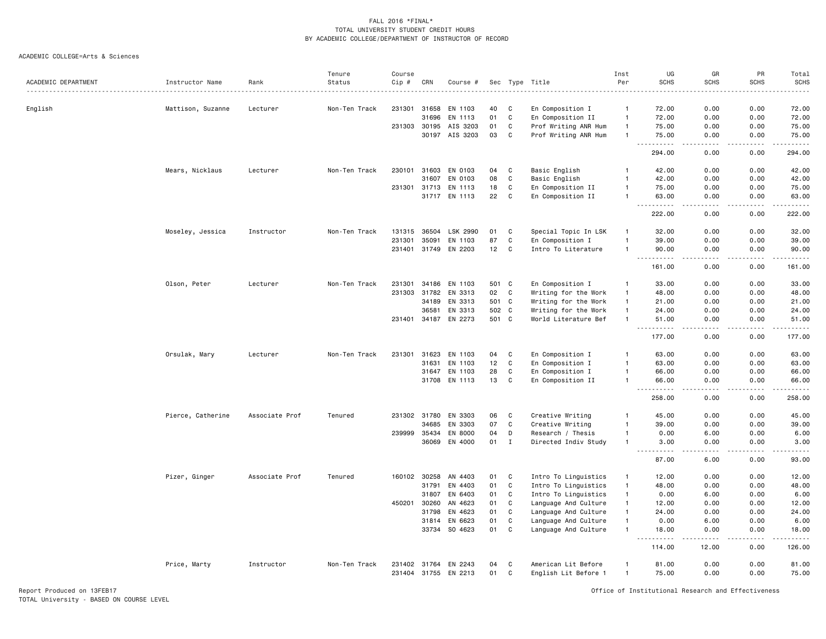ACADEMIC COLLEGE=Arts & Sciences

|                     |                   |                | Tenure        | Course |              |                      |       |              |                      | Inst         | UG                                             | GR                   | PR            | Total                                                                                                                                                                                    |
|---------------------|-------------------|----------------|---------------|--------|--------------|----------------------|-------|--------------|----------------------|--------------|------------------------------------------------|----------------------|---------------|------------------------------------------------------------------------------------------------------------------------------------------------------------------------------------------|
| ACADEMIC DEPARTMENT | Instructor Name   | Rank           | Status        | Cip #  | CRN          | Course #             |       |              | Sec Type Title       | Per          | <b>SCHS</b>                                    | <b>SCHS</b>          | <b>SCHS</b>   | <b>SCHS</b>                                                                                                                                                                              |
| English             | Mattison, Suzanne | Lecturer       | Non-Ten Track | 231301 | 31658        | EN 1103              | 40    | C            | En Composition I     | $\mathbf{1}$ | 72.00                                          | 0.00                 | 0.00          | 72.00                                                                                                                                                                                    |
|                     |                   |                |               |        | 31696        | EN 1113              | 01    | C            | En Composition II    | $\mathbf{1}$ | 72.00                                          | 0.00                 | 0.00          | 72.00                                                                                                                                                                                    |
|                     |                   |                |               | 231303 | 30195        | AIS 3203             | 01    | C            | Prof Writing ANR Hum | $\mathbf{1}$ | 75.00                                          | 0.00                 | 0.00          | 75.00                                                                                                                                                                                    |
|                     |                   |                |               |        | 30197        | AIS 3203             | 03    | C            | Prof Writing ANR Hum | $\mathbf{1}$ | 75.00                                          | 0.00                 | 0.00          | 75.00                                                                                                                                                                                    |
|                     |                   |                |               |        |              |                      |       |              |                      |              | .<br>$  -$<br>294.00                           | .<br>0.00            | .<br>0.00     | <u>.</u><br>294.00                                                                                                                                                                       |
|                     | Mears, Nicklaus   | Lecturer       | Non-Ten Track | 230101 | 31603        | EN 0103              | 04    | $\mathbf{C}$ | Basic English        | $\mathbf{1}$ | 42.00                                          | 0.00                 | 0.00          | 42.00                                                                                                                                                                                    |
|                     |                   |                |               |        | 31607        | EN 0103              | 08    | C            | Basic English        | $\mathbf{1}$ | 42.00                                          | 0.00                 | 0.00          | 42.00                                                                                                                                                                                    |
|                     |                   |                |               | 231301 | 31713        | EN 1113              | 18    | C            | En Composition II    | $\mathbf{1}$ | 75.00                                          | 0.00                 | 0.00          | 75.00                                                                                                                                                                                    |
|                     |                   |                |               |        | 31717        | EN 1113              | 22    | C            | En Composition II    | $\mathbf{1}$ | 63.00                                          | 0.00                 | 0.00          | 63.00                                                                                                                                                                                    |
|                     |                   |                |               |        |              |                      |       |              |                      |              | .<br>$\sim$<br>222.00                          | د د د د<br>0.00      | 22222<br>0.00 | .<br>222.00                                                                                                                                                                              |
|                     | Moseley, Jessica  | Instructor     | Non-Ten Track | 131315 | 36504        | LSK 2990             | 01    | C            | Special Topic In LSK | $\mathbf{1}$ | 32.00                                          | 0.00                 | 0.00          | 32.00                                                                                                                                                                                    |
|                     |                   |                |               | 231301 | 35091        | EN 1103              | 87    | C            | En Composition I     | $\mathbf{1}$ | 39.00                                          | 0.00                 | 0.00          | 39.00                                                                                                                                                                                    |
|                     |                   |                |               |        | 231401 31749 | EN 2203              | 12    | C            | Intro To Literature  | $\mathbf{1}$ | 90.00                                          | 0.00                 | 0.00          | 90.00                                                                                                                                                                                    |
|                     |                   |                |               |        |              |                      |       |              |                      |              | $  -$<br>.<br>161.00                           | د د د د<br>0.00      | .<br>0.00     | .<br>161.00                                                                                                                                                                              |
|                     |                   |                |               |        |              |                      |       |              |                      |              |                                                |                      |               |                                                                                                                                                                                          |
|                     | Olson, Peter      | Lecturer       | Non-Ten Track | 231301 | 34186        | EN 1103              | 501 C |              | En Composition I     | $\mathbf{1}$ | 33.00                                          | 0.00                 | 0.00          | 33.00                                                                                                                                                                                    |
|                     |                   |                |               | 231303 | 31782        | EN 3313              | 02    | C            | Writing for the Work | $\mathbf{1}$ | 48.00                                          | 0.00                 | 0.00          | 48.00                                                                                                                                                                                    |
|                     |                   |                |               |        | 34189        | EN 3313              | 501 C |              | Writing for the Work | $\mathbf{1}$ | 21.00                                          | 0.00                 | 0.00          | 21.00                                                                                                                                                                                    |
|                     |                   |                |               |        | 36581        | EN 3313              | 502 C |              | Writing for the Work | $\mathbf{1}$ | 24.00                                          | 0.00                 | 0.00          | 24.00                                                                                                                                                                                    |
|                     |                   |                |               |        | 231401 34187 | EN 2273              | 501 C |              | World Literature Bef | $\mathbf{1}$ | 51.00<br>$\sim$ $\sim$ $\sim$<br>.             | 0.00<br>.            | 0.00<br>.     | 51.00<br>$\frac{1}{2} \left( \frac{1}{2} \right) \left( \frac{1}{2} \right) \left( \frac{1}{2} \right) \left( \frac{1}{2} \right) \left( \frac{1}{2} \right) \left( \frac{1}{2} \right)$ |
|                     |                   |                |               |        |              |                      |       |              |                      |              | 177.00                                         | 0.00                 | 0.00          | 177.00                                                                                                                                                                                   |
|                     | Orsulak, Mary     | Lecturer       | Non-Ten Track | 231301 | 31623        | EN 1103              | 04    | C            | En Composition I     | $\mathbf{1}$ | 63.00                                          | 0.00                 | 0.00          | 63.00                                                                                                                                                                                    |
|                     |                   |                |               |        | 31631        | EN 1103              | 12    | C            | En Composition I     | $\mathbf{1}$ | 63.00                                          | 0.00                 | 0.00          | 63.00                                                                                                                                                                                    |
|                     |                   |                |               |        | 31647        | EN 1103              | 28    | C            | En Composition I     | $\mathbf{1}$ | 66.00                                          | 0.00                 | 0.00          | 66.00                                                                                                                                                                                    |
|                     |                   |                |               |        |              | 31708 EN 1113        | 13    | C            | En Composition II    | $\mathbf{1}$ | 66.00                                          | 0.00                 | 0.00          | 66.00                                                                                                                                                                                    |
|                     |                   |                |               |        |              |                      |       |              |                      |              | .<br>258.00                                    | . <u>. .</u><br>0.00 | .<br>0.00     | .<br>258.00                                                                                                                                                                              |
|                     | Pierce, Catherine | Associate Prof | Tenured       |        | 231302 31780 | EN 3303              | 06    | C            | Creative Writing     | $\mathbf{1}$ | 45.00                                          | 0.00                 | 0.00          | 45.00                                                                                                                                                                                    |
|                     |                   |                |               |        | 34685        | EN 3303              | 07    | C            | Creative Writing     | $\mathbf{1}$ | 39.00                                          | 0.00                 | 0.00          | 39.00                                                                                                                                                                                    |
|                     |                   |                |               |        | 239999 35434 | EN 8000              | 04    | D            | Research / Thesis    | $\mathbf{1}$ | 0.00                                           | 6.00                 | 0.00          | 6.00                                                                                                                                                                                     |
|                     |                   |                |               |        |              | 36069 EN 4000        | 01    | $\mathbf I$  | Directed Indiv Study | $\mathbf{1}$ | 3.00<br>$\sim$ $\sim$ .<br>.                   | 0.00<br>. <u>. .</u> | 0.00<br>.     | 3.00<br>.                                                                                                                                                                                |
|                     |                   |                |               |        |              |                      |       |              |                      |              | 87.00                                          | 6.00                 | 0.00          | 93.00                                                                                                                                                                                    |
|                     | Pizer, Ginger     | Associate Prof | Tenured       |        | 160102 30258 | AN 4403              | 01    | C            | Intro To Linguistics | $\mathbf{1}$ | 12.00                                          | 0.00                 | 0.00          | 12.00                                                                                                                                                                                    |
|                     |                   |                |               |        | 31791        | EN 4403              | 01    | C            | Intro To Linguistics | $\mathbf{1}$ | 48.00                                          | 0.00                 | 0.00          | 48.00                                                                                                                                                                                    |
|                     |                   |                |               |        | 31807        | EN 6403              | 01    | C            | Intro To Linguistics | $\mathbf{1}$ | 0.00                                           | 6.00                 | 0.00          | 6.00                                                                                                                                                                                     |
|                     |                   |                |               | 450201 | 30260        | AN 4623              | 01    | C            | Language And Culture | $\mathbf{1}$ | 12.00                                          | 0.00                 | 0.00          | 12.00                                                                                                                                                                                    |
|                     |                   |                |               |        | 31798        | EN 4623              | 01    | C            | Language And Culture | $\mathbf{1}$ | 24.00                                          | 0.00                 | 0.00          | 24.00                                                                                                                                                                                    |
|                     |                   |                |               |        | 31814        | EN 6623              | 01    | $\mathbf c$  | Language And Culture | $\mathbf{1}$ | 0.00                                           | 6.00                 | 0.00          | 6.00                                                                                                                                                                                     |
|                     |                   |                |               |        |              | 33734 SO 4623        | 01    | $\mathbf{C}$ | Language And Culture | $\mathbf{1}$ | 18.00<br>$\sim$ $\sim$ $\sim$<br>$- - - - - -$ | 0.00<br>.            | 0.00<br>.     | 18.00<br>.                                                                                                                                                                               |
|                     |                   |                |               |        |              |                      |       |              |                      |              | 114.00                                         | 12.00                | 0.00          | 126.00                                                                                                                                                                                   |
|                     | Price, Marty      | Instructor     | Non-Ten Track |        | 231402 31764 | EN 2243              | 04    | C            | American Lit Before  | -1           | 81.00                                          | 0.00                 | 0.00          | 81.00                                                                                                                                                                                    |
|                     |                   |                |               |        |              | 231404 31755 EN 2213 | 01    | C            | English Lit Before 1 | $\mathbf{1}$ | 75.00                                          | 0.00                 | 0.00          | 75.00                                                                                                                                                                                    |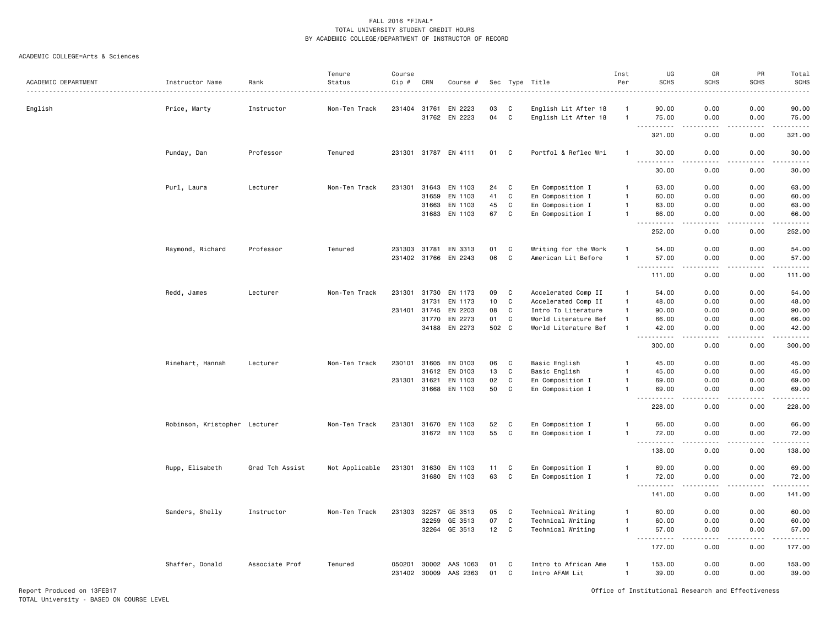#### ACADEMIC COLLEGE=Arts & Sciences

| ACADEMIC DEPARTMENT | Instructor Name               | Rank            | Tenure<br>Status | Course<br>Cip #        | CRN   | Course #             |          |              | Sec Type Title                         | Inst<br>Per                    | UG<br><b>SCHS</b>             | GR<br><b>SCHS</b>                                                                                                         | PR<br><b>SCHS</b> | Total<br><b>SCHS</b>               |
|---------------------|-------------------------------|-----------------|------------------|------------------------|-------|----------------------|----------|--------------|----------------------------------------|--------------------------------|-------------------------------|---------------------------------------------------------------------------------------------------------------------------|-------------------|------------------------------------|
| English             | Price, Marty                  | Instructor      | Non-Ten Track    | 231404                 | 31761 | EN 2223              | 03       | C            | English Lit After 18                   | -1                             | 90.00                         | 0.00                                                                                                                      | 0.00              | $- - - - -$<br>90.00               |
|                     |                               |                 |                  |                        | 31762 | EN 2223              | 04       | $\mathbf C$  | English Lit After 18                   | $\overline{1}$                 | 75.00<br>د د د د              | 0.00<br>د د د د                                                                                                           | 0.00<br>د د د د   | 75.00<br>.                         |
|                     |                               |                 |                  |                        |       |                      |          |              |                                        |                                | 321.00                        | 0.00                                                                                                                      | 0.00              | 321.00                             |
|                     | Punday, Dan                   | Professor       | Tenured          |                        |       | 231301 31787 EN 4111 | 01       | $\mathbf{C}$ | Portfol & Reflec Wri                   | $\mathbf{1}$                   | 30.00                         | 0.00                                                                                                                      | 0.00              | 30.00                              |
|                     |                               |                 |                  |                        |       |                      |          |              |                                        |                                | $- - -$<br>.<br>30.00         | $\frac{1}{2}$<br>0.00                                                                                                     | .<br>0.00         | .<br>30.00                         |
|                     | Purl, Laura                   | Lecturer        | Non-Ten Track    | 231301                 |       | 31643 EN 1103        | 24       | C            | En Composition I                       | $\overline{1}$                 | 63.00                         | 0.00                                                                                                                      | 0.00              | 63.00                              |
|                     |                               |                 |                  |                        | 31659 | EN 1103              | 41       | C            | En Composition I                       | $\overline{1}$                 | 60.00                         | 0.00                                                                                                                      | 0.00              | 60.00                              |
|                     |                               |                 |                  |                        | 31663 | EN 1103              | 45       | C            | En Composition I                       | $\overline{1}$                 | 63.00                         | 0.00                                                                                                                      | 0.00              | 63.00                              |
|                     |                               |                 |                  |                        | 31683 | EN 1103              | 67       | $\mathbf c$  | En Composition I                       | $\overline{1}$                 | 66.00<br>$- - - - -$<br>$  -$ | 0.00<br>$\frac{1}{2}$                                                                                                     | 0.00<br>.         | 66.00<br>.                         |
|                     |                               |                 |                  |                        |       |                      |          |              |                                        |                                | 252.00                        | 0.00                                                                                                                      | 0.00              | 252.00                             |
|                     | Raymond, Richard              | Professor       | Tenured          | 231303                 | 31781 | EN 3313              | 01       | C            | Writing for the Work                   |                                | 54.00                         | 0.00                                                                                                                      | 0.00              | 54.00                              |
|                     |                               |                 |                  | 231402 31766           |       | EN 2243              | 06       | $\mathbf c$  | American Lit Before                    | $\overline{1}$                 | 57.00                         | 0.00                                                                                                                      | 0.00              | 57.00                              |
|                     |                               |                 |                  |                        |       |                      |          |              |                                        |                                | .                             | $\frac{1}{2} \left( \frac{1}{2} \right) \left( \frac{1}{2} \right) \left( \frac{1}{2} \right) \left( \frac{1}{2} \right)$ | .                 | ------                             |
|                     |                               |                 |                  |                        |       |                      |          |              |                                        |                                | 111.00                        | 0.00                                                                                                                      | 0.00              | 111.00                             |
|                     | Redd, James                   | Lecturer        | Non-Ten Track    | 231301                 | 31730 | EN 1173              | 09       | $\mathbf c$  | Accelerated Comp II                    | $\overline{1}$                 | 54.00                         | 0.00                                                                                                                      | 0.00              | 54.00                              |
|                     |                               |                 |                  |                        | 31731 | EN 1173              | 10       | $\mathbf c$  | Accelerated Comp II                    | $\mathbf{1}$                   | 48.00                         | 0.00                                                                                                                      | 0.00              | 48.00                              |
|                     |                               |                 |                  | 231401                 | 31745 | EN 2203              | 08       | $\mathbf c$  | Intro To Literature                    | $\mathbf{1}$                   | 90.00                         | 0.00                                                                                                                      | 0.00              | 90.00                              |
|                     |                               |                 |                  |                        | 31770 | EN 2273              | 01       | C            | World Literature Bef                   | $\overline{1}$                 | 66.00                         | 0.00                                                                                                                      | 0.00              | 66.00                              |
|                     |                               |                 |                  |                        | 34188 | EN 2273              | 502 C    |              | World Literature Bef                   | $\overline{1}$                 | 42.00                         | 0.00                                                                                                                      | 0.00              | 42.00                              |
|                     |                               |                 |                  |                        |       |                      |          |              |                                        |                                | $\sim$ $\sim$ $\sim$          |                                                                                                                           |                   | .                                  |
|                     |                               |                 |                  |                        |       |                      |          |              |                                        |                                | 300.00                        | 0.00                                                                                                                      | 0.00              | 300.00                             |
|                     | Rinehart, Hannah              | Lecturer        | Non-Ten Track    | 230101                 | 31605 | EN 0103              | 06       | C            | Basic English                          | $\mathbf{1}$                   | 45.00                         | 0.00                                                                                                                      | 0.00              | 45.00                              |
|                     |                               |                 |                  |                        | 31612 | EN 0103              | 13       | $\mathbf c$  | Basic English                          | $\mathbf{1}$                   | 45.00                         | 0.00                                                                                                                      | 0.00              | 45.00                              |
|                     |                               |                 |                  | 231301                 | 31621 | EN 1103              | 02       | C            | En Composition I                       | $\overline{1}$                 | 69.00                         | 0.00                                                                                                                      | 0.00              | 69.00                              |
|                     |                               |                 |                  |                        |       | 31668 EN 1103        | 50       | C            | En Composition I                       | $\overline{1}$                 | 69.00                         | 0.00                                                                                                                      | 0.00              | 69.00<br>. <u>.</u> .              |
|                     |                               |                 |                  |                        |       |                      |          |              |                                        |                                | $  -$<br>228.00               | 0.00                                                                                                                      | 0.00              | 228.00                             |
|                     | Robinson, Kristopher Lecturer |                 | Non-Ten Track    | 231301                 | 31670 | EN 1103              | 52       | C            | En Composition I                       |                                | 66.00                         | 0.00                                                                                                                      | 0.00              | 66.00                              |
|                     |                               |                 |                  |                        |       | 31672 EN 1103        | 55       | $\mathbf c$  | En Composition I                       | $\overline{1}$                 | 72.00                         | 0.00                                                                                                                      | 0.00              | 72.00<br>$\sim 100$ and $\sim 100$ |
|                     |                               |                 |                  |                        |       |                      |          |              |                                        |                                | 138.00                        | 0.00                                                                                                                      | 0.00              | 138.00                             |
|                     | Rupp, Elisabeth               | Grad Tch Assist | Not Applicable   | 231301                 | 31630 | EN 1103              | 11       | C            | En Composition I                       | $\mathbf{1}$                   | 69.00                         | 0.00                                                                                                                      | 0.00              | 69.00                              |
|                     |                               |                 |                  |                        | 31680 | EN 1103              | 63       | $\mathbf c$  | En Composition I                       | $\mathbf{1}$                   | 72.00                         | 0.00                                                                                                                      | 0.00              | 72.00                              |
|                     |                               |                 |                  |                        |       |                      |          |              |                                        |                                | <u>.</u>                      | .                                                                                                                         | .                 | .                                  |
|                     |                               |                 |                  |                        |       |                      |          |              |                                        |                                | 141.00                        | 0.00                                                                                                                      | 0.00              | 141.00                             |
|                     | Sanders, Shelly               | Instructor      | Non-Ten Track    | 231303                 | 32257 | GE 3513              | 05       | C            | Technical Writing                      | $\mathbf{1}$                   | 60.00                         | 0.00                                                                                                                      | 0.00              | 60.00                              |
|                     |                               |                 |                  |                        | 32259 | GE 3513              | 07       | $\mathbf C$  | Technical Writing                      | $\overline{1}$                 | 60.00                         | 0.00                                                                                                                      | 0.00              | 60.00                              |
|                     |                               |                 |                  |                        | 32264 | GE 3513              | 12       | $\mathbf{C}$ | Technical Writing                      | $\mathbf{1}$                   | 57.00                         | 0.00                                                                                                                      | 0.00              | 57.00                              |
|                     |                               |                 |                  |                        |       |                      |          |              |                                        |                                | .<br>$- - -$<br>177.00        | $   -$<br>0.00                                                                                                            | .<br>0.00         | .<br>177.00                        |
|                     |                               |                 |                  |                        |       |                      |          |              |                                        |                                |                               |                                                                                                                           |                   |                                    |
|                     | Shaffer, Donald               | Associate Prof  | Tenured          | 050201<br>231402 30009 | 30002 | AAS 1063<br>AAS 2363 | 01<br>01 | C<br>C       | Intro to African Ame<br>Intro AFAM Lit | $\mathbf{1}$<br>$\overline{1}$ | 153.00<br>39.00               | 0.00<br>0.00                                                                                                              | 0.00<br>0.00      | 153.00<br>39.00                    |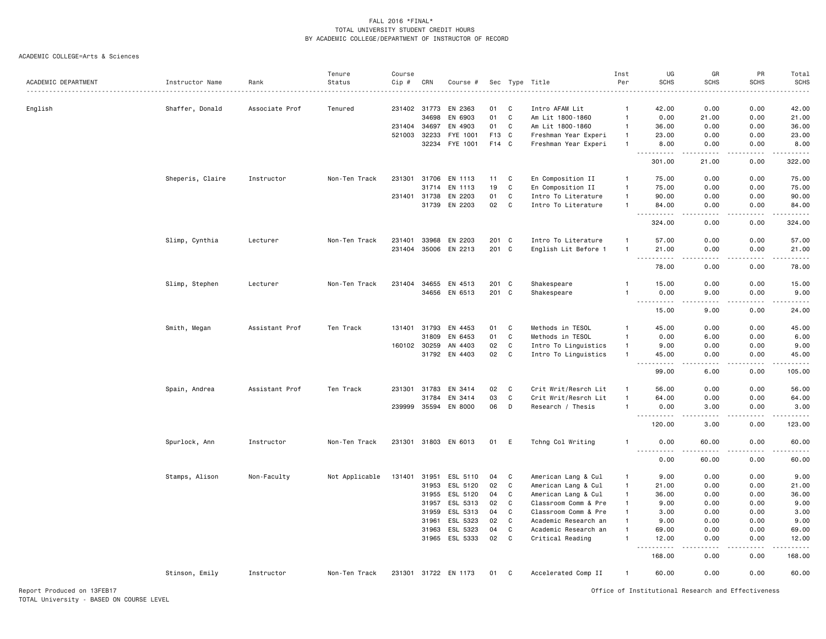|                            |                  |                | Tenure         | Course |                       |                      |                |        |                                              | Inst               | UG                                                 | GR                                  | PR            | Total           |
|----------------------------|------------------|----------------|----------------|--------|-----------------------|----------------------|----------------|--------|----------------------------------------------|--------------------|----------------------------------------------------|-------------------------------------|---------------|-----------------|
| ACADEMIC DEPARTMENT        | Instructor Name  | Rank           | Status         | Cip #  | CRN                   | Course #             |                |        | Sec Type Title                               | Per                | <b>SCHS</b>                                        | <b>SCHS</b>                         | <b>SCHS</b>   | SCHS            |
|                            |                  |                |                |        | 231402 31773          | EN 2363              |                |        | Intro AFAM Lit                               | $\mathbf{1}$       |                                                    | 0.00                                | 0.00          |                 |
| English                    | Shaffer, Donald  | Associate Prof | Tenured        |        | 34698                 | EN 6903              | 01<br>01       | C<br>C | Am Lit 1800-1860                             |                    | 42.00<br>0.00                                      | 21.00                               | 0.00          | 42.00<br>21.00  |
|                            |                  |                |                |        |                       |                      | 01             | C      |                                              | -1<br>$\mathbf{1}$ |                                                    |                                     |               |                 |
|                            |                  |                |                |        | 231404 34697          | EN 4903              |                |        | Am Lit 1800-1860                             |                    | 36.00                                              | 0.00                                | 0.00          | 36.00           |
|                            |                  |                |                |        | 521003 32233<br>32234 | FYE 1001<br>FYE 1001 | F13 C<br>F14 C |        | Freshman Year Experi<br>Freshman Year Experi | $\mathbf{1}$       | 23.00<br>8.00                                      | 0.00<br>0.00                        | 0.00<br>0.00  | 23.00<br>8.00   |
|                            |                  |                |                |        |                       |                      |                |        |                                              |                    | .                                                  | .                                   | .             | .               |
|                            |                  |                |                |        |                       |                      |                |        |                                              |                    | 301.00                                             | 21.00                               | 0.00          | 322.00          |
|                            | Sheperis, Claire | Instructor     | Non-Ten Track  |        | 231301 31706          | EN 1113              | 11             | C      | En Composition II                            | $\overline{1}$     | 75.00                                              | 0.00                                | 0.00          | 75.00           |
|                            |                  |                |                |        | 31714                 | EN 1113              | 19             | C      | En Composition II                            | $\mathbf{1}$       | 75.00                                              | 0.00                                | 0.00          | 75.00           |
|                            |                  |                |                |        | 231401 31738          | EN 2203              | 01             | C      | Intro To Literature                          | $\overline{1}$     | 90.00                                              | 0.00                                | 0.00          | 90.00           |
|                            |                  |                |                |        | 31739                 | EN 2203              | 02             | C      | Intro To Literature                          | $\mathbf{1}$       | 84.00<br>$\sim$ $\sim$ .<br>.                      | 0.00<br>$\sim$ $\sim$ $\sim$ $\sim$ | 0.00<br>.     | 84.00           |
|                            |                  |                |                |        |                       |                      |                |        |                                              |                    | 324.00                                             | 0.00                                | 0.00          | -----<br>324.00 |
|                            | Slimp, Cynthia   | Lecturer       | Non-Ten Track  | 231401 | 33968                 | EN 2203              | 201            | C      | Intro To Literature                          |                    | 57.00                                              | 0.00                                | 0.00          | 57.00           |
|                            |                  |                |                | 231404 | 35006                 | EN 2213              | 201 C          |        | English Lit Before 1                         |                    | 21.00<br><b>.</b><br>$\sim$ $\sim$ $\sim$          | 0.00<br>.                           | 0.00<br>22222 | 21.00<br>.      |
|                            |                  |                |                |        |                       |                      |                |        |                                              |                    | 78.00                                              | 0.00                                | 0.00          | 78.00           |
|                            | Slimp, Stephen   | Lecturer       | Non-Ten Track  | 231404 | 34655                 | EN 4513              | 201 C          |        | Shakespeare                                  | $\mathbf{1}$       | 15.00                                              | 0.00                                | 0.00          | 15.00           |
|                            |                  |                |                |        | 34656                 | EN 6513              | 201            | C      | Shakespeare                                  |                    | 0.00<br>.                                          | 9.00                                | 0.00          | 9.00            |
|                            |                  |                |                |        |                       |                      |                |        |                                              |                    | 15.00                                              | 9.00                                | 0.00          | 24.00           |
|                            | Smith, Megan     | Assistant Prof | Ten Track      | 131401 | 31793                 | EN 4453              | 01             | C      | Methods in TESOL                             | -1                 | 45.00                                              | 0.00                                | 0.00          | 45.00           |
|                            |                  |                |                |        | 31809                 | EN 6453              | 01             | C      | Methods in TESOL                             | $\mathbf{1}$       | 0.00                                               | 6.00                                | 0.00          | 6.00            |
|                            |                  |                |                |        | 160102 30259          | AN 4403              | 02             | C      | Intro To Linguistics                         | $\overline{1}$     | 9.00                                               | 0.00                                | 0.00          | 9.00            |
|                            |                  |                |                |        | 31792                 | EN 4403              | 02             | C      | Intro To Linguistics                         |                    | 45.00<br>22222<br>$\sim$ $\sim$                    | 0.00<br>د د د د                     | 0.00<br>.     | 45.00<br>.      |
|                            |                  |                |                |        |                       |                      |                |        |                                              |                    | 99.00                                              | 6.00                                | 0.00          | 105.00          |
|                            | Spain, Andrea    | Assistant Prof | Ten Track      |        | 231301 31783          | EN 3414              | 02             | C      | Crit Writ/Resrch Lit                         | $\overline{1}$     | 56.00                                              | 0.00                                | 0.00          | 56.00           |
|                            |                  |                |                |        | 31784                 | EN 3414              | 03             | C      | Crit Writ/Resrch Lit                         |                    | 64.00                                              | 0.00                                | 0.00          | 64.00           |
|                            |                  |                |                | 239999 | 35594                 | EN 8000              | 06             | D      | Research / Thesis                            | $\overline{1}$     | 0.00<br>$\sim$ $\sim$ $\sim$<br>.                  | 3.00                                | 0.00          | 3.00            |
|                            |                  |                |                |        |                       |                      |                |        |                                              |                    | 120.00                                             | 3.00                                | 0.00          | 123.00          |
|                            | Spurlock, Ann    | Instructor     | Non-Ten Track  |        |                       | 231301 31803 EN 6013 | 01             | Ε      | Tchng Col Writing                            |                    | 0.00<br>.                                          | 60.00                               | 0.00          | 60.00           |
|                            |                  |                |                |        |                       |                      |                |        |                                              |                    | 0.00                                               | 60.00                               | 0.00          | 60.00           |
|                            | Stamps, Alison   | Non-Faculty    | Not Applicable | 131401 | 31951                 | ESL 5110             | 04             | C      | American Lang & Cul                          | -1                 | 9.00                                               | 0.00                                | 0.00          | 9.00            |
|                            |                  |                |                |        | 31953                 | ESL 5120             | 02             | C      | American Lang & Cul                          | $\mathbf{1}$       | 21.00                                              | 0.00                                | 0.00          | 21.00           |
|                            |                  |                |                |        | 31955                 | ESL 5120             | 04             | C      | American Lang & Cul                          | $\overline{1}$     | 36.00                                              | 0.00                                | 0.00          | 36.00           |
|                            |                  |                |                |        | 31957                 | ESL 5313             | 02             | C      | Classroom Comm & Pre                         | -1                 | 9.00                                               | 0.00                                | 0.00          | 9.00            |
|                            |                  |                |                |        | 31959                 | ESL 5313             | 04             | C      | Classroom Comm & Pre                         |                    | 3.00                                               | 0.00                                | 0.00          | 3.00            |
|                            |                  |                |                |        | 31961                 | ESL 5323             | 02             | C      | Academic Research an                         | $\mathbf{1}$       | 9.00                                               | 0.00                                | 0.00          | 9.00            |
|                            |                  |                |                |        | 31963                 | ESL 5323             | 04             | C      | Academic Research an                         |                    | 69.00                                              | 0.00                                | 0.00          | 69.00           |
|                            |                  |                |                |        |                       | 31965 ESL 5333       | 02             | C      | Critical Reading                             |                    | 12.00                                              | 0.00                                | 0.00          | 12.00           |
|                            |                  |                |                |        |                       |                      |                |        |                                              |                    | 168.00                                             | 0.00                                | 0.00          | 168.00          |
|                            | Stinson, Emily   | Instructor     | Non-Ten Track  |        |                       | 231301 31722 EN 1173 | 01             | C      | Accelerated Comp II                          |                    | 60.00                                              | 0.00                                | 0.00          | 60.00           |
| Report Produced on 13FEB17 |                  |                |                |        |                       |                      |                |        |                                              |                    | Office of Institutional Research and Effectiveness |                                     |               |                 |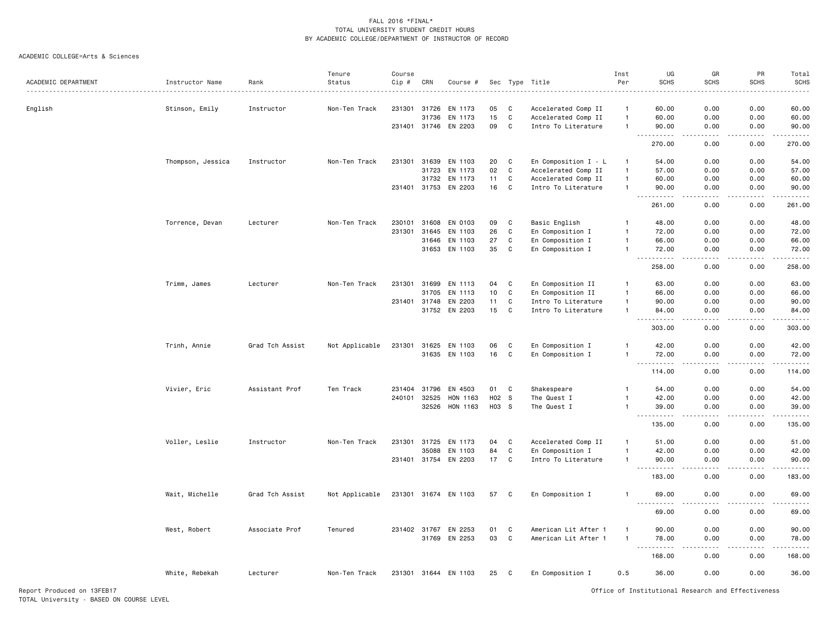|                            |                   |                 | Tenure         | Course |              |                      |       |              |                      | Inst           | UG                                                                                                                                                                                    | GR                                  | PR            | Total                                                                                                                                                                                    |
|----------------------------|-------------------|-----------------|----------------|--------|--------------|----------------------|-------|--------------|----------------------|----------------|---------------------------------------------------------------------------------------------------------------------------------------------------------------------------------------|-------------------------------------|---------------|------------------------------------------------------------------------------------------------------------------------------------------------------------------------------------------|
| ACADEMIC DEPARTMENT        | Instructor Name   | Rank            | Status         | Cip #  | CRN          | Course #             |       |              | Sec Type Title<br>.  | Per            | <b>SCHS</b>                                                                                                                                                                           | <b>SCHS</b>                         | <b>SCHS</b>   | <b>SCHS</b>                                                                                                                                                                              |
| English                    | Stinson, Emily    | Instructor      | Non-Ten Track  |        | 231301 31726 | EN 1173              | 05    | C            | Accelerated Comp II  | $\overline{1}$ | 60.00                                                                                                                                                                                 | 0.00                                | 0.00          | 60.00                                                                                                                                                                                    |
|                            |                   |                 |                |        | 31736        | EN 1173              | 15    | $\mathbf{C}$ | Accelerated Comp II  | $\overline{1}$ | 60.00                                                                                                                                                                                 | 0.00                                | 0.00          | 60.00                                                                                                                                                                                    |
|                            |                   |                 |                |        | 231401 31746 | EN 2203              | 09    | C            | Intro To Literature  | $\mathbf{1}$   | 90.00                                                                                                                                                                                 | 0.00                                | 0.00          | 90.00                                                                                                                                                                                    |
|                            |                   |                 |                |        |              |                      |       |              |                      |                | .<br>$\sim$ $\sim$ $\sim$<br>270.00                                                                                                                                                   | .<br>0.00                           | .<br>0.00     | .<br>270.00                                                                                                                                                                              |
|                            | Thompson, Jessica | Instructor      | Non-Ten Track  | 231301 | 31639        | EN 1103              | 20    | C            | En Composition I - L | $\overline{1}$ | 54.00                                                                                                                                                                                 | 0.00                                | 0.00          | 54.00                                                                                                                                                                                    |
|                            |                   |                 |                |        | 31723        | EN 1173              | 02    | C            | Accelerated Comp II  | $\mathbf{1}$   | 57.00                                                                                                                                                                                 | 0.00                                | 0.00          | 57.00                                                                                                                                                                                    |
|                            |                   |                 |                |        | 31732        | EN 1173              | 11    | C            | Accelerated Comp II  | $\mathbf{1}$   | 60.00                                                                                                                                                                                 | 0.00                                | 0.00          | 60.00                                                                                                                                                                                    |
|                            |                   |                 |                |        | 231401 31753 | EN 2203              | 16    | $\mathbf{C}$ | Intro To Literature  | $\mathbf{1}$   | 90.00                                                                                                                                                                                 | 0.00                                | 0.00          | 90.00                                                                                                                                                                                    |
|                            |                   |                 |                |        |              |                      |       |              |                      |                | 261.00                                                                                                                                                                                | 0.00                                | 0.00          | 261.00                                                                                                                                                                                   |
|                            | Torrence, Devan   | Lecturer        | Non-Ten Track  | 230101 | 31608        | EN 0103              | 09    | C            | Basic English        | $\mathbf{1}$   | 48.00                                                                                                                                                                                 | 0.00                                | 0.00          | 48.00                                                                                                                                                                                    |
|                            |                   |                 |                | 231301 | 31645        | EN 1103              | 26    | $\mathtt{C}$ | En Composition I     | $\mathbf{1}$   | 72.00                                                                                                                                                                                 | 0.00                                | 0.00          | 72.00                                                                                                                                                                                    |
|                            |                   |                 |                |        | 31646        | EN 1103              | 27    | C            | En Composition I     | $\mathbf{1}$   | 66.00                                                                                                                                                                                 | 0.00                                | 0.00          | 66.00                                                                                                                                                                                    |
|                            |                   |                 |                |        | 31653        | EN 1103              | 35    | C            | En Composition I     | $\mathbf{1}$   | 72.00                                                                                                                                                                                 | 0.00                                | 0.00          | 72.00                                                                                                                                                                                    |
|                            |                   |                 |                |        |              |                      |       |              |                      |                | .<br>$\sim$ $\sim$ $\sim$<br>258.00                                                                                                                                                   | .<br>0.00                           | -----<br>0.00 | ------<br>258.00                                                                                                                                                                         |
|                            | Trimm, James      | Lecturer        | Non-Ten Track  | 231301 | 31699        | EN 1113              | 04    | C            | En Composition II    | $\overline{1}$ | 63.00                                                                                                                                                                                 | 0.00                                | 0.00          | 63.00                                                                                                                                                                                    |
|                            |                   |                 |                |        | 31705        | EN 1113              | 10    | C            | En Composition II    | $\mathbf{1}$   | 66.00                                                                                                                                                                                 | 0.00                                | 0.00          | 66.00                                                                                                                                                                                    |
|                            |                   |                 |                |        | 231401 31748 | EN 2203              | 11    | C            | Intro To Literature  | $\overline{1}$ | 90.00                                                                                                                                                                                 | 0.00                                | 0.00          | 90.00                                                                                                                                                                                    |
|                            |                   |                 |                |        |              | 31752 EN 2203        | 15    | C            | Intro To Literature  | $\mathbf{1}$   | 84.00<br>$\sim$ $\sim$ $\sim$<br>$\frac{1}{2} \left( \frac{1}{2} \right) \left( \frac{1}{2} \right) \left( \frac{1}{2} \right) \left( \frac{1}{2} \right) \left( \frac{1}{2} \right)$ | 0.00<br>والمستناء                   | 0.00<br>.     | 84.00<br>.                                                                                                                                                                               |
|                            |                   |                 |                |        |              |                      |       |              |                      |                | 303.00                                                                                                                                                                                | 0.00                                | 0.00          | 303.00                                                                                                                                                                                   |
|                            | Trinh, Annie      | Grad Tch Assist | Not Applicable |        |              | 231301 31625 EN 1103 | 06    | C            | En Composition I     | $\mathbf{1}$   | 42.00                                                                                                                                                                                 | 0.00                                | 0.00          | 42.00                                                                                                                                                                                    |
|                            |                   |                 |                |        | 31635        | EN 1103              | 16    | C            | En Composition I     | $\mathbf{1}$   | 72.00<br>.<br>$\sim$ $\sim$ $\sim$                                                                                                                                                    | 0.00<br>.                           | 0.00<br>.     | 72.00<br>$\frac{1}{2} \left( \frac{1}{2} \right) \left( \frac{1}{2} \right) \left( \frac{1}{2} \right) \left( \frac{1}{2} \right) \left( \frac{1}{2} \right) \left( \frac{1}{2} \right)$ |
|                            |                   |                 |                |        |              |                      |       |              |                      |                | 114.00                                                                                                                                                                                | 0.00                                | 0.00          | 114.00                                                                                                                                                                                   |
|                            | Vivier, Eric      | Assistant Prof  | Ten Track      | 231404 | 31796        | EN 4503              | 01    | C            | Shakespeare          | $\mathbf{1}$   | 54.00                                                                                                                                                                                 | 0.00                                | 0.00          | 54.00                                                                                                                                                                                    |
|                            |                   |                 |                |        | 240101 32525 | HON 1163             | H02 S |              | The Quest I          | $\mathbf{1}$   | 42.00                                                                                                                                                                                 | 0.00                                | 0.00          | 42.00                                                                                                                                                                                    |
|                            |                   |                 |                |        | 32526        | HON 1163             | H03 S |              | The Quest I          | $\overline{1}$ | 39.00<br>$\sim$ $\sim$ $\sim$<br>.                                                                                                                                                    | 0.00                                | 0.00          | 39.00<br><u>.</u>                                                                                                                                                                        |
|                            |                   |                 |                |        |              |                      |       |              |                      |                | 135.00                                                                                                                                                                                | 0.00                                | 0.00          | 135.00                                                                                                                                                                                   |
|                            | Voller, Leslie    | Instructor      | Non-Ten Track  |        | 231301 31725 | EN 1173              | 04    | C            | Accelerated Comp II  | $\mathbf{1}$   | 51.00                                                                                                                                                                                 | 0.00                                | 0.00          | 51.00                                                                                                                                                                                    |
|                            |                   |                 |                |        | 35088        | EN 1103              | 84    | C            | En Composition I     | $\mathbf{1}$   | 42.00                                                                                                                                                                                 | 0.00                                | 0.00          | 42.00                                                                                                                                                                                    |
|                            |                   |                 |                |        | 231401 31754 | EN 2203              | 17    | C            | Intro To Literature  | $\overline{1}$ | 90.00<br>.                                                                                                                                                                            | 0.00<br>$\sim$ $\sim$ $\sim$ $\sim$ | 0.00<br>.     | 90.00<br>.                                                                                                                                                                               |
|                            |                   |                 |                |        |              |                      |       |              |                      |                | 183.00                                                                                                                                                                                | 0.00                                | 0.00          | 183.00                                                                                                                                                                                   |
|                            | Wait, Michelle    | Grad Tch Assist | Not Applicable |        |              | 231301 31674 EN 1103 | 57 C  |              | En Composition I     | $\overline{1}$ | 69.00<br>$\sim$ $\sim$ $\sim$<br>.                                                                                                                                                    | 0.00                                | 0.00<br>.     | 69.00<br>.                                                                                                                                                                               |
|                            |                   |                 |                |        |              |                      |       |              |                      |                | 69.00                                                                                                                                                                                 | 0.00                                | 0.00          | 69.00                                                                                                                                                                                    |
|                            | West, Robert      | Associate Prof  | Tenured        |        | 231402 31767 | EN 2253              | 01    | C            | American Lit After 1 | $\overline{1}$ | 90.00                                                                                                                                                                                 | 0.00                                | 0.00          | 90.00                                                                                                                                                                                    |
|                            |                   |                 |                |        |              | 31769 EN 2253        | 03    | C            | American Lit After 1 | $\mathbf{1}$   | 78.00                                                                                                                                                                                 | 0.00                                | 0.00          | 78.00                                                                                                                                                                                    |
|                            |                   |                 |                |        |              |                      |       |              |                      |                | 168.00                                                                                                                                                                                | 0.00                                | 0.00          | 168.00                                                                                                                                                                                   |
|                            | White, Rebekah    | Lecturer        | Non-Ten Track  |        |              | 231301 31644 EN 1103 | 25    | C.           | En Composition I     | 0.5            | 36.00                                                                                                                                                                                 | 0.00                                | 0.00          | 36.00                                                                                                                                                                                    |
| Report Produced on 13FEB17 |                   |                 |                |        |              |                      |       |              |                      |                | Office of Institutional Research and Effectiveness                                                                                                                                    |                                     |               |                                                                                                                                                                                          |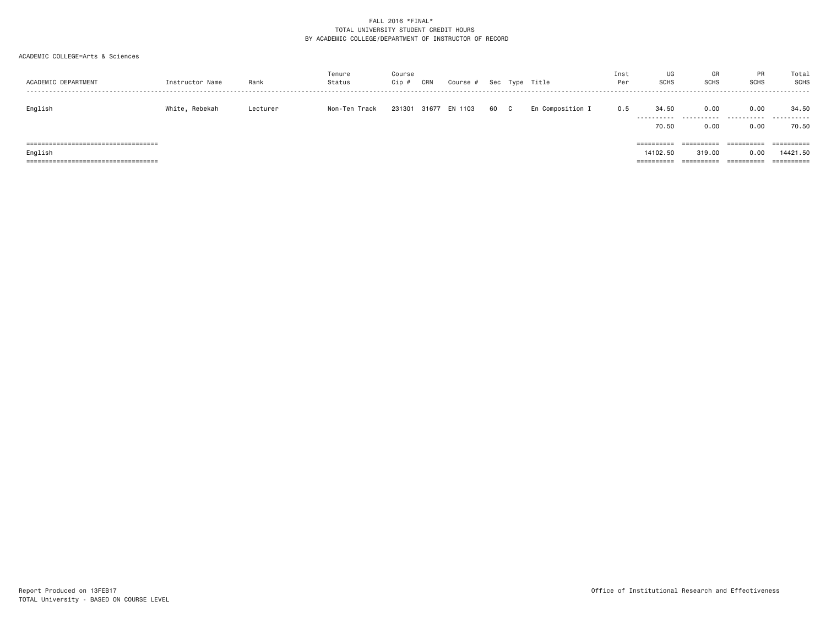| ACADEMIC DEPARTMENT                                                                         | Instructor Name | Rank     | Tenure<br>Status | Course<br>$Cip$ # | CRN   | Course # |    |    | Sec Type Title   | Inst<br>Per | UG<br><b>SCHS</b>                             | GR<br><b>SCHS</b>                                        | <b>PR</b><br><b>SCHS</b>                 | Total<br><b>SCHS</b><br>.                     |
|---------------------------------------------------------------------------------------------|-----------------|----------|------------------|-------------------|-------|----------|----|----|------------------|-------------|-----------------------------------------------|----------------------------------------------------------|------------------------------------------|-----------------------------------------------|
| English                                                                                     | White, Rebekah  | Lecturer | Non-Ten Track    | 231301            | 31677 | EN 1103  | 60 | C. | En Composition I | 0.5         | 34.50<br>.                                    | 0.00<br>.                                                | 0.00<br>.                                | 34.50<br>.                                    |
| ======================================<br>English<br>====================================== |                 |          |                  |                   |       |          |    |    |                  |             | 70.50<br>==========<br>14102.50<br>========== | 0.00<br>----------<br>----------<br>319.00<br>========== | 0.00<br>==========<br>0.00<br>========== | 70.50<br>==========<br>14421.50<br>========== |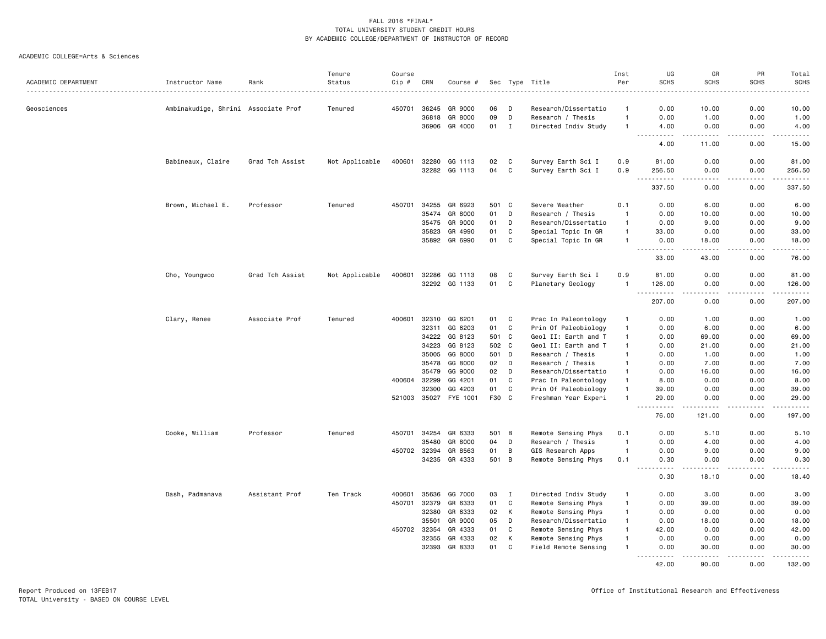|                     |                                     |                 | Tenure         | Course |       |                |       |              |                      | Inst           | UG                                                                                                                                                                                                                                                     | GR                                                                                                                                                            | PR              | Total                                                                                                                                                        |
|---------------------|-------------------------------------|-----------------|----------------|--------|-------|----------------|-------|--------------|----------------------|----------------|--------------------------------------------------------------------------------------------------------------------------------------------------------------------------------------------------------------------------------------------------------|---------------------------------------------------------------------------------------------------------------------------------------------------------------|-----------------|--------------------------------------------------------------------------------------------------------------------------------------------------------------|
| ACADEMIC DEPARTMENT | Instructor Name                     | Rank            | Status         | Cip #  | CRN   | Course #       |       |              | Sec Type Title       | Per            | <b>SCHS</b>                                                                                                                                                                                                                                            | <b>SCHS</b>                                                                                                                                                   | <b>SCHS</b>     | <b>SCHS</b><br>.                                                                                                                                             |
| Geosciences         | Ambinakudige, Shrini Associate Prof |                 | Tenured        | 450701 | 36245 | GR 9000        | 06    | D            | Research/Dissertatio | -1             | 0.00                                                                                                                                                                                                                                                   | 10.00                                                                                                                                                         | 0.00            | 10.00                                                                                                                                                        |
|                     |                                     |                 |                |        | 36818 | GR 8000        | 09    | D            | Research / Thesis    | $\mathbf{1}$   | 0.00                                                                                                                                                                                                                                                   | 1.00                                                                                                                                                          | 0.00            | 1.00                                                                                                                                                         |
|                     |                                     |                 |                |        |       | 36906 GR 4000  | 01    | $\mathbf I$  | Directed Indiv Study | $\mathbf{1}$   | 4.00                                                                                                                                                                                                                                                   | 0.00                                                                                                                                                          | 0.00            | 4.00                                                                                                                                                         |
|                     |                                     |                 |                |        |       |                |       |              |                      |                | $\frac{1}{2} \left( \frac{1}{2} \right) \left( \frac{1}{2} \right) \left( \frac{1}{2} \right) \left( \frac{1}{2} \right) \left( \frac{1}{2} \right)$<br>$\frac{1}{2} \left( \frac{1}{2} \right) \left( \frac{1}{2} \right) \left( \frac{1}{2} \right)$ | $\frac{1}{2} \left( \frac{1}{2} \right) \left( \frac{1}{2} \right) \left( \frac{1}{2} \right) \left( \frac{1}{2} \right) \left( \frac{1}{2} \right)$          | .               | $\frac{1}{2} \left( \frac{1}{2} \right) \left( \frac{1}{2} \right) \left( \frac{1}{2} \right) \left( \frac{1}{2} \right) \left( \frac{1}{2} \right)$         |
|                     |                                     |                 |                |        |       |                |       |              |                      |                | 4.00                                                                                                                                                                                                                                                   | 11.00                                                                                                                                                         | 0.00            | 15.00                                                                                                                                                        |
|                     | Babineaux, Claire                   | Grad Tch Assist | Not Applicable | 400601 | 32280 | GG 1113        | 02    | C            | Survey Earth Sci I   | 0.9            | 81.00                                                                                                                                                                                                                                                  | 0.00                                                                                                                                                          | 0.00            | 81.00                                                                                                                                                        |
|                     |                                     |                 |                |        | 32282 | GG 1113        | 04    | $\mathbf c$  | Survey Earth Sci I   | 0.9            | 256.50                                                                                                                                                                                                                                                 | 0.00                                                                                                                                                          | 0.00            | 256.50                                                                                                                                                       |
|                     |                                     |                 |                |        |       |                |       |              |                      |                | .<br>337.50                                                                                                                                                                                                                                            | .<br>0.00                                                                                                                                                     | .<br>0.00       | .<br>337.50                                                                                                                                                  |
|                     | Brown, Michael E.                   | Professor       | Tenured        | 450701 | 34255 | GR 6923        | 501 C |              | Severe Weather       | 0.1            | 0.00                                                                                                                                                                                                                                                   | 6.00                                                                                                                                                          | 0.00            | 6.00                                                                                                                                                         |
|                     |                                     |                 |                |        | 35474 | GR 8000        | 01    | D            | Research / Thesis    | $\overline{1}$ | 0.00                                                                                                                                                                                                                                                   | 10.00                                                                                                                                                         | 0.00            | 10.00                                                                                                                                                        |
|                     |                                     |                 |                |        | 35475 | GR 9000        | 01    | D            | Research/Dissertatio | $\mathbf{1}$   | 0.00                                                                                                                                                                                                                                                   | 9.00                                                                                                                                                          | 0.00            | 9.00                                                                                                                                                         |
|                     |                                     |                 |                |        | 35823 | GR 4990        | 01    | C            | Special Topic In GR  | $\mathbf{1}$   | 33.00                                                                                                                                                                                                                                                  | 0.00                                                                                                                                                          | 0.00            | 33.00                                                                                                                                                        |
|                     |                                     |                 |                |        | 35892 | GR 6990        | 01    | C            | Special Topic In GR  | $\mathbf{1}$   | 0.00<br>$\frac{1}{2} \left( \frac{1}{2} \right) \left( \frac{1}{2} \right) \left( \frac{1}{2} \right) \left( \frac{1}{2} \right) \left( \frac{1}{2} \right)$                                                                                           | 18.00<br><u>.</u>                                                                                                                                             | 0.00<br>.       | 18.00<br>.                                                                                                                                                   |
|                     |                                     |                 |                |        |       |                |       |              |                      |                | 33.00                                                                                                                                                                                                                                                  | 43.00                                                                                                                                                         | 0.00            | 76.00                                                                                                                                                        |
|                     | Cho, Youngwoo                       | Grad Tch Assist | Not Applicable | 400601 | 32286 | GG 1113        | 08    | C            | Survey Earth Sci I   | 0.9            | 81.00                                                                                                                                                                                                                                                  | 0.00                                                                                                                                                          | 0.00            | 81.00                                                                                                                                                        |
|                     |                                     |                 |                |        |       | 32292 GG 1133  | 01    | C            | Planetary Geology    | $\mathbf{1}$   | 126.00<br>.<br>.                                                                                                                                                                                                                                       | 0.00                                                                                                                                                          | 0.00<br>$- - -$ | 126.00<br>.                                                                                                                                                  |
|                     |                                     |                 |                |        |       |                |       |              |                      |                | 207.00                                                                                                                                                                                                                                                 | 0.00                                                                                                                                                          | 0.00            | 207.00                                                                                                                                                       |
|                     | Clary, Renee                        | Associate Prof  | Tenured        | 400601 | 32310 | GG 6201        | 01    | C            | Prac In Paleontology | $\mathbf{1}$   | 0.00                                                                                                                                                                                                                                                   | 1.00                                                                                                                                                          | 0.00            | 1.00                                                                                                                                                         |
|                     |                                     |                 |                |        | 32311 | GG 6203        | 01    | C            | Prin Of Paleobiology | $\mathbf{1}$   | 0.00                                                                                                                                                                                                                                                   | 6.00                                                                                                                                                          | 0.00            | 6.00                                                                                                                                                         |
|                     |                                     |                 |                |        | 34222 | GG 8123        | 501 C |              | Geol II: Earth and T | $\mathbf{1}$   | 0.00                                                                                                                                                                                                                                                   | 69.00                                                                                                                                                         | 0.00            | 69.00                                                                                                                                                        |
|                     |                                     |                 |                |        | 34223 | GG 8123        | 502 C |              | Geol II: Earth and T | $\mathbf{1}$   | 0.00                                                                                                                                                                                                                                                   | 21.00                                                                                                                                                         | 0.00            | 21.00                                                                                                                                                        |
|                     |                                     |                 |                |        | 35005 | GG 8000        | 501   | D            | Research / Thesis    | $\mathbf{1}$   | 0.00                                                                                                                                                                                                                                                   | 1.00                                                                                                                                                          | 0.00            | 1.00                                                                                                                                                         |
|                     |                                     |                 |                |        | 35478 | GG 8000        | 02    | D            | Research / Thesis    | $\mathbf{1}$   | 0.00                                                                                                                                                                                                                                                   | 7.00                                                                                                                                                          | 0.00            | 7.00                                                                                                                                                         |
|                     |                                     |                 |                |        | 35479 | GG 9000        | 02    | D            | Research/Dissertatio | $\mathbf{1}$   | 0.00                                                                                                                                                                                                                                                   | 16.00                                                                                                                                                         | 0.00            | 16.00                                                                                                                                                        |
|                     |                                     |                 |                | 400604 | 32299 | GG 4201        | 01    | C            | Prac In Paleontology | $\mathbf{1}$   | 8.00                                                                                                                                                                                                                                                   | 0.00                                                                                                                                                          | 0.00            | 8.00                                                                                                                                                         |
|                     |                                     |                 |                |        | 32300 | GG 4203        | 01    | $\mathbb{C}$ | Prin Of Paleobiology | $\mathbf{1}$   | 39.00                                                                                                                                                                                                                                                  | 0.00                                                                                                                                                          | 0.00            | 39.00                                                                                                                                                        |
|                     |                                     |                 |                | 521003 |       | 35027 FYE 1001 | F30 C |              | Freshman Year Experi | $\mathbf{1}$   | 29.00<br>-----                                                                                                                                                                                                                                         | 0.00                                                                                                                                                          | 0.00<br>د د د د | 29.00<br>.                                                                                                                                                   |
|                     |                                     |                 |                |        |       |                |       |              |                      |                | 76.00                                                                                                                                                                                                                                                  | 121.00                                                                                                                                                        | 0.00            | 197.00                                                                                                                                                       |
|                     | Cooke, William                      | Professor       | Tenured        | 450701 | 34254 | GR 6333        | 501 B |              | Remote Sensing Phys  | 0.1            | 0.00                                                                                                                                                                                                                                                   | 5.10                                                                                                                                                          | 0.00            | 5.10                                                                                                                                                         |
|                     |                                     |                 |                |        | 35480 | GR 8000        | 04    | D            | Research / Thesis    | $\overline{1}$ | 0.00                                                                                                                                                                                                                                                   | 4.00                                                                                                                                                          | 0.00            | 4.00                                                                                                                                                         |
|                     |                                     |                 |                | 450702 | 32394 | GR 8563        | 01    | B            | GIS Research Apps    | $\overline{1}$ | 0.00                                                                                                                                                                                                                                                   | 9.00                                                                                                                                                          | 0.00            | 9.00                                                                                                                                                         |
|                     |                                     |                 |                |        | 34235 | GR 4333        | 501 B |              | Remote Sensing Phys  | 0.1            | 0.30<br>$\frac{1}{2} \left( \frac{1}{2} \right) \left( \frac{1}{2} \right) \left( \frac{1}{2} \right) \left( \frac{1}{2} \right)$                                                                                                                      | 0.00                                                                                                                                                          | 0.00<br>.       | 0.30<br>$\frac{1}{2} \left( \frac{1}{2} \right) \left( \frac{1}{2} \right) \left( \frac{1}{2} \right) \left( \frac{1}{2} \right) \left( \frac{1}{2} \right)$ |
|                     |                                     |                 |                |        |       |                |       |              |                      |                | 0.30                                                                                                                                                                                                                                                   | 18.10                                                                                                                                                         | 0.00            | 18.40                                                                                                                                                        |
|                     | Dash, Padmanava                     | Assistant Prof  | Ten Track      | 400601 | 35636 | GG 7000        | 03    | Ι.           | Directed Indiv Study | $\mathbf{1}$   | 0.00                                                                                                                                                                                                                                                   | 3.00                                                                                                                                                          | 0.00            | 3.00                                                                                                                                                         |
|                     |                                     |                 |                | 450701 | 32379 | GR 6333        | 01    | $\mathbb{C}$ | Remote Sensing Phys  | $\mathbf{1}$   | 0.00                                                                                                                                                                                                                                                   | 39.00                                                                                                                                                         | 0.00            | 39.00                                                                                                                                                        |
|                     |                                     |                 |                |        | 32380 | GR 6333        | 02    | К            | Remote Sensing Phys  | $\mathbf{1}$   | 0.00                                                                                                                                                                                                                                                   | 0.00                                                                                                                                                          | 0.00            | 0.00                                                                                                                                                         |
|                     |                                     |                 |                |        | 35501 | GR 9000        | 05    | D            | Research/Dissertatio | $\mathbf{1}$   | 0.00                                                                                                                                                                                                                                                   | 18.00                                                                                                                                                         | 0.00            | 18.00                                                                                                                                                        |
|                     |                                     |                 |                | 450702 | 32354 | GR 4333        | 01    | $\mathtt{C}$ | Remote Sensing Phys  | $\mathbf{1}$   | 42.00                                                                                                                                                                                                                                                  | 0.00                                                                                                                                                          | 0.00            | 42.00                                                                                                                                                        |
|                     |                                     |                 |                |        | 32355 | GR 4333        | 02    | K            | Remote Sensing Phys  | $\mathbf{1}$   | 0.00                                                                                                                                                                                                                                                   | 0.00                                                                                                                                                          | 0.00            | 0.00                                                                                                                                                         |
|                     |                                     |                 |                |        | 32393 | GR 8333        | 01    | C            | Field Remote Sensing | $\mathbf{1}$   | 0.00<br>$\frac{1}{2} \left( \frac{1}{2} \right) \left( \frac{1}{2} \right) \left( \frac{1}{2} \right) \left( \frac{1}{2} \right) \left( \frac{1}{2} \right)$                                                                                           | 30.00<br>$\frac{1}{2} \left( \frac{1}{2} \right) \left( \frac{1}{2} \right) \left( \frac{1}{2} \right) \left( \frac{1}{2} \right) \left( \frac{1}{2} \right)$ | 0.00<br>.       | 30.00<br><u>.</u>                                                                                                                                            |
|                     |                                     |                 |                |        |       |                |       |              |                      |                | 42.00                                                                                                                                                                                                                                                  | 90.00                                                                                                                                                         | 0.00            | 132.00                                                                                                                                                       |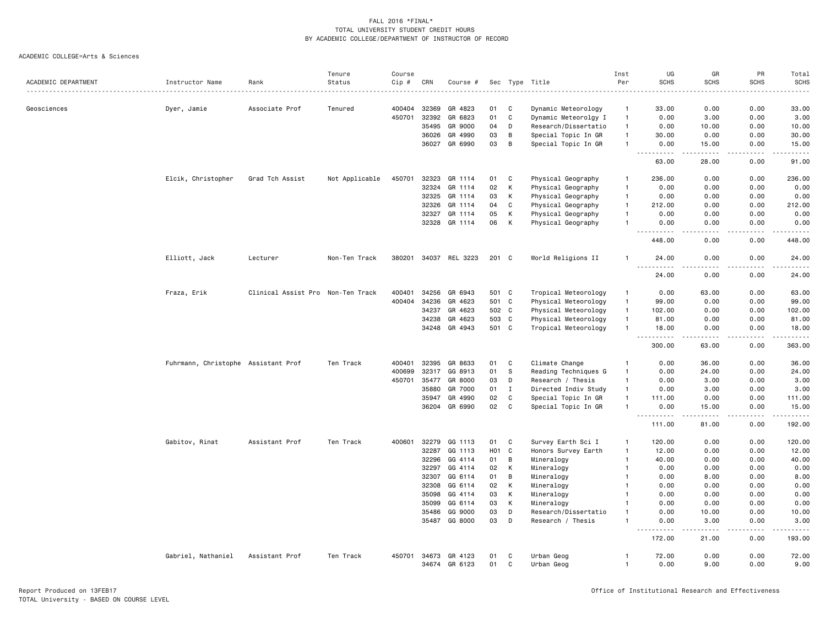|                     |                                     |                                   | Tenure         | Course |       |                |                  |              |                      | Inst           | UG                                                                                                                                                                      | GR               | PR          | Total       |
|---------------------|-------------------------------------|-----------------------------------|----------------|--------|-------|----------------|------------------|--------------|----------------------|----------------|-------------------------------------------------------------------------------------------------------------------------------------------------------------------------|------------------|-------------|-------------|
| ACADEMIC DEPARTMENT | Instructor Name                     | Rank                              | Status         | Cip #  | CRN   | Course #       |                  |              | Sec Type Title       | Per            | <b>SCHS</b>                                                                                                                                                             | <b>SCHS</b>      | <b>SCHS</b> | <b>SCHS</b> |
|                     |                                     |                                   |                |        |       |                |                  |              |                      |                |                                                                                                                                                                         |                  |             |             |
| Geosciences         | Dyer, Jamie                         | Associate Prof                    | Tenured        | 400404 | 32369 | GR 4823        | 01               | C            | Dynamic Meteorology  | $\mathbf{1}$   | 33.00                                                                                                                                                                   | 0.00             | 0.00        | 33.00       |
|                     |                                     |                                   |                | 450701 | 32392 | GR 6823        | 01               | $\mathtt{C}$ | Dynamic Meteorolgy I | $\mathbf{1}$   | 0.00                                                                                                                                                                    | 3.00             | 0.00        | 3.00        |
|                     |                                     |                                   |                |        | 35495 | GR 9000        | 04               | D            | Research/Dissertatio | $\overline{1}$ | 0.00                                                                                                                                                                    | 10.00            | 0.00        | 10.00       |
|                     |                                     |                                   |                |        | 36026 | GR 4990        | 03               | В            | Special Topic In GR  | $\mathbf{1}$   | 30.00                                                                                                                                                                   | 0.00             | 0.00        | 30.00       |
|                     |                                     |                                   |                |        | 36027 | GR 6990        | 03               | B            | Special Topic In GR  | $\mathbf{1}$   | 0.00<br>$\frac{1}{2} \left( \frac{1}{2} \right) \left( \frac{1}{2} \right) \left( \frac{1}{2} \right) \left( \frac{1}{2} \right) \left( \frac{1}{2} \right)$<br>$- - -$ | 15.00<br>.       | 0.00<br>.   | 15.00<br>.  |
|                     |                                     |                                   |                |        |       |                |                  |              |                      |                | 63.00                                                                                                                                                                   | 28.00            | 0.00        | 91.00       |
|                     | Elcik, Christopher                  | Grad Tch Assist                   | Not Applicable | 450701 | 32323 | GR 1114        | 01               | C            | Physical Geography   | $\mathbf{1}$   | 236.00                                                                                                                                                                  | 0.00             | 0.00        | 236.00      |
|                     |                                     |                                   |                |        | 32324 | GR 1114        | 02               | К            | Physical Geography   | $\mathbf{1}$   | 0.00                                                                                                                                                                    | 0.00             | 0.00        | 0.00        |
|                     |                                     |                                   |                |        | 32325 | GR 1114        | 03               | Κ            | Physical Geography   | $\overline{1}$ | 0.00                                                                                                                                                                    | 0.00             | 0.00        | 0.00        |
|                     |                                     |                                   |                |        | 32326 | GR 1114        | 04               | C            | Physical Geography   | $\mathbf{1}$   | 212.00                                                                                                                                                                  | 0.00             | 0.00        | 212.00      |
|                     |                                     |                                   |                |        | 32327 | GR 1114        | 05               | К            | Physical Geography   | $\mathbf{1}$   | 0.00                                                                                                                                                                    | 0.00             | 0.00        | 0.00        |
|                     |                                     |                                   |                |        | 32328 | GR 1114        | 06               | K            | Physical Geography   |                | 0.00                                                                                                                                                                    | 0.00             | 0.00        | 0.00        |
|                     |                                     |                                   |                |        |       |                |                  |              |                      |                | $-$<br>$\frac{1}{2} \left( \frac{1}{2} \right) \left( \frac{1}{2} \right) \left( \frac{1}{2} \right) \left( \frac{1}{2} \right)$<br>448.00                              | 0.00             | 0.00        | 448.00      |
|                     | Elliott, Jack                       | Lecturer                          | Non-Ten Track  | 380201 |       | 34037 REL 3223 | $201$ C          |              | World Religions II   |                | 24.00                                                                                                                                                                   | 0.00             | 0.00        | 24.00       |
|                     |                                     |                                   |                |        |       |                |                  |              |                      |                | 24.00                                                                                                                                                                   | 0.00             | 0.00        | 24.00       |
|                     | Fraza, Erik                         | Clinical Assist Pro Non-Ten Track |                | 400401 | 34256 | GR 6943        | 501 C            |              | Tropical Meteorology | -1             | 0.00                                                                                                                                                                    | 63.00            | 0.00        | 63.00       |
|                     |                                     |                                   |                | 400404 | 34236 | GR 4623        | 501 C            |              | Physical Meteorology | $\mathbf{1}$   | 99.00                                                                                                                                                                   | 0.00             | 0.00        | 99.00       |
|                     |                                     |                                   |                |        | 34237 | GR 4623        | 502 C            |              | Physical Meteorology | $\mathbf{1}$   | 102.00                                                                                                                                                                  | 0.00             | 0.00        | 102.00      |
|                     |                                     |                                   |                |        | 34238 | GR 4623        | 503 C            |              | Physical Meteorology | $\mathbf{1}$   | 81.00                                                                                                                                                                   | 0.00             | 0.00        | 81.00       |
|                     |                                     |                                   |                |        | 34248 | GR 4943        | 501 C            |              | Tropical Meteorology | $\mathbf{1}$   | 18.00                                                                                                                                                                   | 0.00<br>.        | 0.00        | 18.00       |
|                     |                                     |                                   |                |        |       |                |                  |              |                      |                | $\omega_{\alpha}=\omega_{\alpha}=\omega_{\alpha}$<br>300.00                                                                                                             | 63.00            | .<br>0.00   | .<br>363.00 |
|                     | Fuhrmann, Christophe Assistant Prof |                                   | Ten Track      | 400401 | 32395 | GR 8633        | 01               | C            | Climate Change       | $\mathbf{1}$   | 0.00                                                                                                                                                                    | 36.00            | 0.00        | 36.00       |
|                     |                                     |                                   |                | 400699 | 32317 | GG 8913        | 01               | S            | Reading Techniques G | $\mathbf{1}$   | 0.00                                                                                                                                                                    | 24.00            | 0.00        | 24.00       |
|                     |                                     |                                   |                | 450701 | 35477 | GR 8000        | 03               | D            | Research / Thesis    | $\mathbf{1}$   | 0.00                                                                                                                                                                    | 3.00             | 0.00        | 3.00        |
|                     |                                     |                                   |                |        | 35880 | GR 7000        | 01               | $\mathbf{I}$ | Directed Indiv Study | $\mathbf{1}$   | 0.00                                                                                                                                                                    | 3.00             | 0.00        | 3.00        |
|                     |                                     |                                   |                |        | 35947 | GR 4990        | 02               | $\mathtt{C}$ | Special Topic In GR  | $\mathbf{1}$   | 111.00                                                                                                                                                                  | 0.00             | 0.00        | 111.00      |
|                     |                                     |                                   |                |        | 36204 | GR 6990        | 02               | C            | Special Topic In GR  |                | 0.00                                                                                                                                                                    | 15.00            | 0.00        | 15.00       |
|                     |                                     |                                   |                |        |       |                |                  |              |                      |                | $\sim$ $\sim$<br>-----<br>111.00                                                                                                                                        | د د د د<br>81.00 | .<br>0.00   | .<br>192.00 |
|                     | Gabitov, Rinat                      | Assistant Prof                    | Ten Track      | 400601 | 32279 | GG 1113        | 01               | C            | Survey Earth Sci I   | $\mathbf{1}$   | 120.00                                                                                                                                                                  | 0.00             | 0.00        | 120.00      |
|                     |                                     |                                   |                |        | 32287 | GG 1113        | H <sub>0</sub> 1 | C            | Honors Survey Earth  | $\mathbf{1}$   | 12.00                                                                                                                                                                   | 0.00             | 0.00        | 12.00       |
|                     |                                     |                                   |                |        | 32296 | GG 4114        | 01               | В            | Mineralogy           | $\mathbf{1}$   | 40.00                                                                                                                                                                   | 0.00             | 0.00        | 40.00       |
|                     |                                     |                                   |                |        | 32297 | GG 4114        | 02               | К            | Mineralogy           | -1             | 0.00                                                                                                                                                                    | 0.00             | 0.00        | 0.00        |
|                     |                                     |                                   |                |        | 32307 | GG 6114        | 01               | В            | Mineralogy           | $\mathbf{1}$   | 0.00                                                                                                                                                                    | 8.00             | 0.00        | 8.00        |
|                     |                                     |                                   |                |        | 32308 | GG 6114        | 02               | K            | Mineralogy           |                | 0.00                                                                                                                                                                    | 0.00             | 0.00        | 0.00        |
|                     |                                     |                                   |                |        | 35098 | GG 4114        | 03               | К            | Mineralogy           | -1             | 0.00                                                                                                                                                                    | 0.00             | 0.00        | 0.00        |
|                     |                                     |                                   |                |        | 35099 | GG 6114        | 03               | Κ            | Mineralogy           |                | 0.00                                                                                                                                                                    | 0.00             | 0.00        | 0.00        |
|                     |                                     |                                   |                |        | 35486 | GG 9000        | 03               | D            | Research/Dissertatio | -1             | 0.00                                                                                                                                                                    | 10.00            | 0.00        | 10.00       |
|                     |                                     |                                   |                |        | 35487 | GG 8000        | 03               | D            | Research / Thesis    |                | 0.00                                                                                                                                                                    | 3.00             | 0.00        | 3.00        |
|                     |                                     |                                   |                |        |       |                |                  |              |                      |                | 172.00                                                                                                                                                                  | وساعات<br>21.00  | 0.00        | 193.00      |
|                     | Gabriel, Nathaniel                  | Assistant Prof                    | Ten Track      | 450701 | 34673 | GR 4123        | 01               | C            | Urban Geog           | $\mathbf{1}$   | 72.00                                                                                                                                                                   | 0.00             | 0.00        | 72.00       |
|                     |                                     |                                   |                |        |       | 34674 GR 6123  | 01               | C            | Urban Geog           | $\mathbf{1}$   | 0.00                                                                                                                                                                    | 9.00             | 0.00        | 9.00        |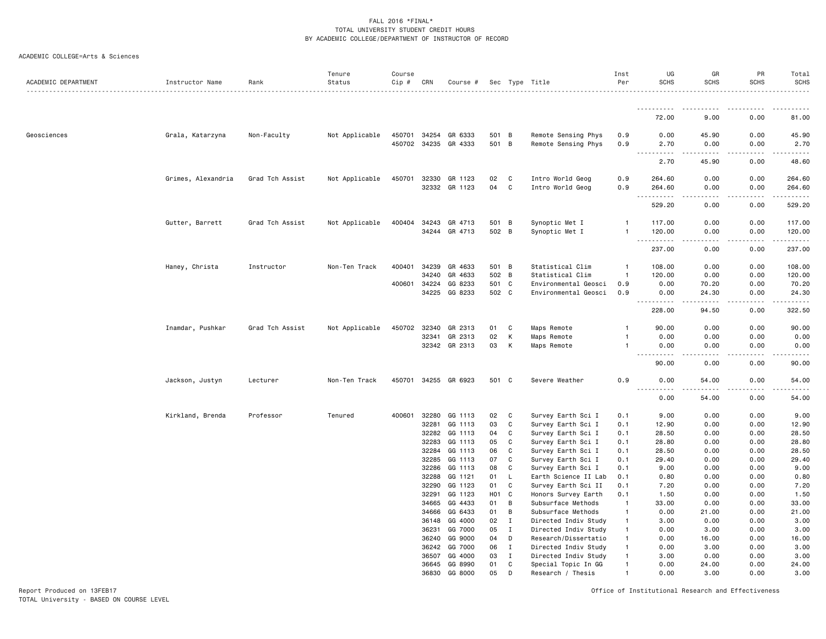#### ACADEMIC COLLEGE=Arts & Sciences

| ACADEMIC DEPARTMENT | Instructor Name    | Rank            | Tenure<br>Status | Course<br>Cip # | CRN            | Course #             |              |                | Sec Type Title                               | Inst<br>Per                  | UG<br><b>SCHS</b>                                    | GR<br><b>SCHS</b>            | PR<br><b>SCHS</b> | Total<br><b>SCHS</b><br>.                                                                                                                                                                 |
|---------------------|--------------------|-----------------|------------------|-----------------|----------------|----------------------|--------------|----------------|----------------------------------------------|------------------------------|------------------------------------------------------|------------------------------|-------------------|-------------------------------------------------------------------------------------------------------------------------------------------------------------------------------------------|
|                     |                    |                 |                  |                 |                |                      |              |                |                                              |                              | .                                                    |                              | .                 | .                                                                                                                                                                                         |
|                     |                    |                 |                  |                 |                |                      |              |                |                                              |                              | 72.00                                                | 9.00                         | 0.00              | 81.00                                                                                                                                                                                     |
| Geosciences         | Grala, Katarzyna   | Non-Faculty     | Not Applicable   | 450701          | 34254          | GR 6333              | 501 B        |                | Remote Sensing Phys                          | 0.9                          | 0.00                                                 | 45.90                        | 0.00              | 45.90                                                                                                                                                                                     |
|                     |                    |                 |                  |                 |                | 450702 34235 GR 4333 | 501 B        |                | Remote Sensing Phys                          | 0.9                          | 2.70<br>$    -$<br>$\frac{1}{2}$                     | 0.00<br>.                    | 0.00<br>.         | 2.70<br>.                                                                                                                                                                                 |
|                     |                    |                 |                  |                 |                |                      |              |                |                                              |                              | 2.70                                                 | 45.90                        | 0.00              | 48.60                                                                                                                                                                                     |
|                     | Grimes, Alexandria | Grad Tch Assist | Not Applicable   | 450701          | 32330          | GR 1123              | 02           | C              | Intro World Geog                             | 0.9                          | 264.60                                               | 0.00                         | 0.00              | 264.60                                                                                                                                                                                    |
|                     |                    |                 |                  |                 | 32332          | GR 1123              | 04           | C              | Intro World Geog                             | 0.9                          | 264.60<br>$\sim$ $\sim$ .<br>.                       | 0.00<br>$\sim$ $\sim$ $\sim$ | 0.00<br>.         | 264.60<br>.                                                                                                                                                                               |
|                     |                    |                 |                  |                 |                |                      |              |                |                                              |                              | 529.20                                               | 0.00                         | 0.00              | 529.20                                                                                                                                                                                    |
|                     | Gutter, Barrett    | Grad Tch Assist | Not Applicable   | 400404          | 34243          | GR 4713              | 501          | $\overline{B}$ | Synoptic Met I                               | $\mathbf{1}$                 | 117.00                                               | 0.00                         | 0.00              | 117.00                                                                                                                                                                                    |
|                     |                    |                 |                  |                 |                | 34244 GR 4713        | 502 B        |                | Synoptic Met I                               | $\mathbf{1}$                 | 120.00<br>$\sim$ $\sim$ $\sim$<br>.                  | 0.00                         | 0.00              | 120.00<br>$\frac{1}{2} \left( \frac{1}{2} \right) \left( \frac{1}{2} \right) \left( \frac{1}{2} \right) \left( \frac{1}{2} \right) \left( \frac{1}{2} \right) \left( \frac{1}{2} \right)$ |
|                     |                    |                 |                  |                 |                |                      |              |                |                                              |                              | 237.00                                               | 0.00                         | 0.00              | 237.00                                                                                                                                                                                    |
|                     | Haney, Christa     | Instructor      | Non-Ten Track    | 400401          | 34239          | GR 4633              | 501 B        |                | Statistical Clim                             | $\mathbf{1}$                 | 108.00                                               | 0.00                         | 0.00              | 108.00                                                                                                                                                                                    |
|                     |                    |                 |                  |                 | 34240          | GR 4633              | 502 B        |                | Statistical Clim                             | $\mathbf{1}$                 | 120.00                                               | 0.00                         | 0.00              | 120.00                                                                                                                                                                                    |
|                     |                    |                 |                  | 400601          | 34224<br>34225 | GG 8233<br>GG 8233   | 501<br>502 C | C              | Environmental Geosci<br>Environmental Geosci | 0.9<br>0.9                   | 0.00<br>0.00                                         | 70.20<br>24.30               | 0.00<br>0.00      | 70.20<br>24.30                                                                                                                                                                            |
|                     |                    |                 |                  |                 |                |                      |              |                |                                              |                              | $\sim$ $\sim$ $\sim$<br>.                            | .                            | .                 | .                                                                                                                                                                                         |
|                     |                    |                 |                  |                 |                |                      |              |                |                                              |                              | 228.00                                               | 94.50                        | 0.00              | 322.50                                                                                                                                                                                    |
|                     | Inamdar, Pushkar   | Grad Tch Assist | Not Applicable   | 450702          | 32340          | GR 2313              | 01           | $\mathbf C$    | Maps Remote                                  | $\mathbf{1}$                 | 90.00                                                | 0.00                         | 0.00              | 90.00                                                                                                                                                                                     |
|                     |                    |                 |                  |                 | 32341          | GR 2313              | 02           | К              | Maps Remote                                  | $\mathbf{1}$                 | 0.00                                                 | 0.00                         | 0.00              | 0.00                                                                                                                                                                                      |
|                     |                    |                 |                  |                 |                | 32342 GR 2313        | 03           | К              | Maps Remote                                  | $\mathbf{1}$                 | 0.00<br>$\frac{1}{2}$<br>$\sim$ $\sim$ $\sim$ $\sim$ | 0.00<br>.                    | 0.00<br>$- - - -$ | 0.00<br>.                                                                                                                                                                                 |
|                     |                    |                 |                  |                 |                |                      |              |                |                                              |                              | 90.00                                                | 0.00                         | 0.00              | 90.00                                                                                                                                                                                     |
|                     | Jackson, Justyn    | Lecturer        | Non-Ten Track    | 450701          |                | 34255 GR 6923        | 501 C        |                | Severe Weather                               | 0.9                          | 0.00<br>$- - - -$                                    | 54.00                        | 0.00              | 54.00                                                                                                                                                                                     |
|                     |                    |                 |                  |                 |                |                      |              |                |                                              |                              | 0.00                                                 | 54.00                        | 0.00              | 54.00                                                                                                                                                                                     |
|                     | Kirkland, Brenda   | Professor       | Tenured          | 400601          | 32280          | GG 1113              | 02           | C              | Survey Earth Sci I                           | 0.1                          | 9.00                                                 | 0.00                         | 0.00              | 9.00                                                                                                                                                                                      |
|                     |                    |                 |                  |                 | 32281          | GG 1113              | 03           | C              | Survey Earth Sci I                           | 0.1                          | 12.90                                                | 0.00                         | 0.00              | 12.90                                                                                                                                                                                     |
|                     |                    |                 |                  |                 | 32282<br>32283 | GG 1113<br>GG 1113   | 04<br>05     | C<br>C         | Survey Earth Sci I<br>Survey Earth Sci I     | 0.1<br>0.1                   | 28.50<br>28.80                                       | 0.00<br>0.00                 | 0.00<br>0.00      | 28.50<br>28.80                                                                                                                                                                            |
|                     |                    |                 |                  |                 | 32284          | GG 1113              | 06           | C              | Survey Earth Sci I                           | 0.1                          | 28.50                                                | 0.00                         | 0.00              | 28.50                                                                                                                                                                                     |
|                     |                    |                 |                  |                 | 32285          | GG 1113              | 07           | C              | Survey Earth Sci I                           | 0.1                          | 29.40                                                | 0.00                         | 0.00              | 29.40                                                                                                                                                                                     |
|                     |                    |                 |                  |                 | 32286          | GG 1113              | 08           | C              | Survey Earth Sci I                           | 0.1                          | 9.00                                                 | 0.00                         | 0.00              | 9.00                                                                                                                                                                                      |
|                     |                    |                 |                  |                 | 32288          | GG 1121              | 01           | L              | Earth Science II Lab                         | 0.1                          | 0.80                                                 | 0.00                         | 0.00              | 0.80                                                                                                                                                                                      |
|                     |                    |                 |                  |                 | 32290          | GG 1123              | 01           | C              | Survey Earth Sci II                          | 0.1                          | 7.20                                                 | 0.00                         | 0.00              | 7.20                                                                                                                                                                                      |
|                     |                    |                 |                  |                 | 32291          | GG 1123              | <b>HO1</b>   | C              | Honors Survey Earth                          | 0.1                          | 1.50                                                 | 0.00                         | 0.00              | 1.50                                                                                                                                                                                      |
|                     |                    |                 |                  |                 | 34665<br>34666 | GG 4433<br>GG 6433   | 01<br>01     | B<br>B         | Subsurface Methods<br>Subsurface Methods     | $\mathbf{1}$<br>$\mathbf{1}$ | 33.00<br>0.00                                        | 0.00<br>21.00                | 0.00<br>0.00      | 33.00<br>21.00                                                                                                                                                                            |
|                     |                    |                 |                  |                 | 36148          | GG 4000              | 02           | $\mathbf{I}$   | Directed Indiv Study                         | $\mathbf{1}$                 | 3.00                                                 | 0.00                         | 0.00              | 3.00                                                                                                                                                                                      |
|                     |                    |                 |                  |                 | 36231          | GG 7000              | 05           | $\mathbf{I}$   | Directed Indiv Study                         | $\mathbf{1}$                 | 0.00                                                 | 3.00                         | 0.00              | 3.00                                                                                                                                                                                      |
|                     |                    |                 |                  |                 | 36240          | GG 9000              | 04           | D              | Research/Dissertatio                         | $\mathbf{1}$                 | 0.00                                                 | 16.00                        | 0.00              | 16.00                                                                                                                                                                                     |
|                     |                    |                 |                  |                 | 36242          | GG 7000              | 06           | I              | Directed Indiv Study                         | $\mathbf{1}$                 | 0.00                                                 | 3.00                         | 0.00              | 3.00                                                                                                                                                                                      |
|                     |                    |                 |                  |                 | 36507          | GG 4000              | 03           | $\mathbf{I}$   | Directed Indiv Study                         | $\mathbf{1}$                 | 3.00                                                 | 0.00                         | 0.00              | 3.00                                                                                                                                                                                      |
|                     |                    |                 |                  |                 | 36645          | GG 8990              | 01           | C              | Special Topic In GG                          | $\mathbf{1}$                 | 0.00                                                 | 24.00                        | 0.00              | 24.00                                                                                                                                                                                     |
|                     |                    |                 |                  |                 | 36830          | GG 8000              | 05           | D              | Research / Thesis                            | $\mathbf{1}$                 | 0.00                                                 | 3.00                         | 0.00              | 3.00                                                                                                                                                                                      |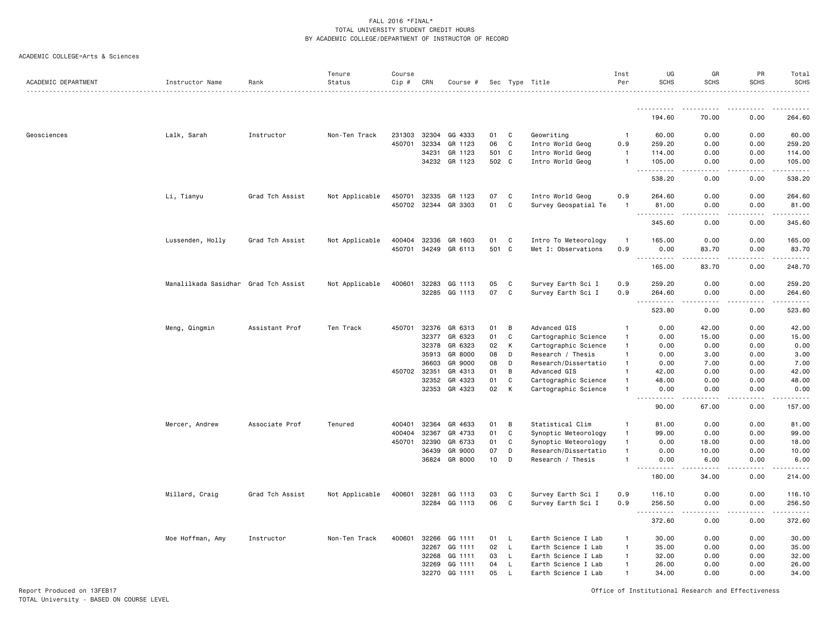#### ACADEMIC COLLEGE=Arts & Sciences

| ACADEMIC DEPARTMENT | Instructor Name                      | Rank            | Tenure<br>Status | Course<br>Cip # | CRN          | Course #             |       |              | Sec Type Title       | Inst<br>Per                  | UG<br><b>SCHS</b>                                                                                                                                                               | GR<br><b>SCHS</b>     | PR<br><b>SCHS</b>   | Total<br>SCHS<br>.                                                                                                                                             |
|---------------------|--------------------------------------|-----------------|------------------|-----------------|--------------|----------------------|-------|--------------|----------------------|------------------------------|---------------------------------------------------------------------------------------------------------------------------------------------------------------------------------|-----------------------|---------------------|----------------------------------------------------------------------------------------------------------------------------------------------------------------|
|                     |                                      |                 |                  |                 |              |                      |       |              |                      |                              | .                                                                                                                                                                               |                       |                     |                                                                                                                                                                |
|                     |                                      |                 |                  |                 |              |                      |       |              |                      |                              | 194.60                                                                                                                                                                          | 70.00                 | 0.00                | 264.60                                                                                                                                                         |
| Geosciences         | Lalk, Sarah                          | Instructor      | Non-Ten Track    | 231303          | 32304        | GG 4333              | 01    | C            | Geowriting           | $\mathbf{1}$                 | 60.00                                                                                                                                                                           | 0.00                  | 0.00                | 60.00                                                                                                                                                          |
|                     |                                      |                 |                  | 450701          | 32334        | GR 1123              | 06    | C            | Intro World Geog     | 0.9                          | 259.20                                                                                                                                                                          | 0.00                  | 0.00                | 259.20                                                                                                                                                         |
|                     |                                      |                 |                  |                 | 34231        | GR 1123              | 501 C |              | Intro World Geog     | $\overline{1}$               | 114.00                                                                                                                                                                          | 0.00                  | 0.00                | 114.00                                                                                                                                                         |
|                     |                                      |                 |                  |                 | 34232        | GR 1123              | 502 C |              | Intro World Geog     | $\mathbf{1}$                 | 105.00<br>$\frac{1}{2} \left( \frac{1}{2} \right) \left( \frac{1}{2} \right) \left( \frac{1}{2} \right) \left( \frac{1}{2} \right) \left( \frac{1}{2} \right)$<br>$\sim$ $\sim$ | 0.00<br>د د د د       | 0.00<br>.           | 105.00                                                                                                                                                         |
|                     |                                      |                 |                  |                 |              |                      |       |              |                      |                              | 538.20                                                                                                                                                                          | 0.00                  | 0.00                | 538.20                                                                                                                                                         |
|                     | Li, Tianyu                           | Grad Tch Assist | Not Applicable   | 450701          | 32335        | GR 1123              | 07    | C            | Intro World Geog     | 0.9                          | 264.60                                                                                                                                                                          | 0.00                  | 0.00                | 264.60                                                                                                                                                         |
|                     |                                      |                 |                  |                 | 450702 32344 | GR 3303              | 01    | $\mathtt{C}$ | Survey Geospatial Te | -1                           | 81.00<br>$\sim$ $\sim$ $\sim$<br>.                                                                                                                                              | 0.00                  | 0.00                | 81.00<br>-----                                                                                                                                                 |
|                     |                                      |                 |                  |                 |              |                      |       |              |                      |                              | 345.60                                                                                                                                                                          | 0.00                  | 0.00                | 345.60                                                                                                                                                         |
|                     | Lussenden, Holly                     | Grad Tch Assist | Not Applicable   |                 | 400404 32336 | GR 1603              | 01    | C            | Intro To Meteorology | -1                           | 165.00                                                                                                                                                                          | 0.00                  | 0.00                | 165.00                                                                                                                                                         |
|                     |                                      |                 |                  |                 |              | 450701 34249 GR 6113 | 501   | $\mathbf{C}$ | Met I: Observations  | 0.9                          | 0.00<br>.                                                                                                                                                                       | 83.70<br>-----        | 0.00<br>$- - - - -$ | 83.70<br>$\frac{1}{2} \left( \frac{1}{2} \right) \left( \frac{1}{2} \right) \left( \frac{1}{2} \right) \left( \frac{1}{2} \right) \left( \frac{1}{2} \right)$  |
|                     |                                      |                 |                  |                 |              |                      |       |              |                      |                              | 165.00                                                                                                                                                                          | 83.70                 | 0.00                | 248.70                                                                                                                                                         |
|                     | Manalilkada Sasidhar Grad Tch Assist |                 | Not Applicable   | 400601          | 32283        | GG 1113              | 05    | C            | Survey Earth Sci I   | 0.9                          | 259.20                                                                                                                                                                          | 0.00                  | 0.00                | 259.20                                                                                                                                                         |
|                     |                                      |                 |                  |                 |              | 32285 GG 1113        | 07    | C            | Survey Earth Sci I   | 0.9                          | 264.60                                                                                                                                                                          | 0.00                  | 0.00                | 264.60                                                                                                                                                         |
|                     |                                      |                 |                  |                 |              |                      |       |              |                      |                              | $ -$<br>$\frac{1}{2} \left( \frac{1}{2} \right) \left( \frac{1}{2} \right) \left( \frac{1}{2} \right) \left( \frac{1}{2} \right)$<br>523.80                                     | 0.00                  | .<br>0.00           | $\frac{1}{2} \left( \frac{1}{2} \right) \left( \frac{1}{2} \right) \left( \frac{1}{2} \right) \left( \frac{1}{2} \right) \left( \frac{1}{2} \right)$<br>523.80 |
|                     | Meng, Qingmin                        | Assistant Prof  | Ten Track        | 450701          | 32376        | GR 6313              | 01    | В            | Advanced GIS         | $\mathbf{1}$                 | 0.00                                                                                                                                                                            | 42.00                 | 0.00                | 42.00                                                                                                                                                          |
|                     |                                      |                 |                  |                 | 32377        | GR 6323              | 01    | C            | Cartographic Science | $\mathbf{1}$                 | 0.00                                                                                                                                                                            | 15.00                 | 0.00                | 15.00                                                                                                                                                          |
|                     |                                      |                 |                  |                 | 32378        | GR 6323              | 02    | Κ            | Cartographic Science | $\mathbf{1}$                 | 0.00                                                                                                                                                                            | 0.00                  | 0.00                | 0.00                                                                                                                                                           |
|                     |                                      |                 |                  |                 | 35913        | GR 8000              | 08    | D            | Research / Thesis    | $\mathbf{1}$                 | 0.00                                                                                                                                                                            | 3.00                  | 0.00                | 3.00                                                                                                                                                           |
|                     |                                      |                 |                  |                 | 36603        | GR 9000              | 08    | D            | Research/Dissertatio | -1                           | 0.00                                                                                                                                                                            | 7.00                  | 0.00                | 7.00                                                                                                                                                           |
|                     |                                      |                 |                  | 450702 32351    |              | GR 4313              | 01    | B            | Advanced GIS         | -1                           | 42.00                                                                                                                                                                           | 0.00                  | 0.00                | 42.00                                                                                                                                                          |
|                     |                                      |                 |                  |                 | 32352        | GR 4323              | 01    | C<br>К       | Cartographic Science | $\mathbf{1}$<br>$\mathbf{1}$ | 48.00                                                                                                                                                                           | 0.00                  | 0.00                | 48.00                                                                                                                                                          |
|                     |                                      |                 |                  |                 | 32353        | GR 4323              | 02    |              | Cartographic Science |                              | 0.00<br>$- - - -$<br>$\sim$ $\sim$ .                                                                                                                                            | 0.00                  | 0.00                | 0.00<br>.                                                                                                                                                      |
|                     |                                      |                 |                  |                 |              |                      |       |              |                      |                              | 90.00                                                                                                                                                                           | 67.00                 | 0.00                | 157.00                                                                                                                                                         |
|                     | Mercer, Andrew                       | Associate Prof  | Tenured          | 400401          | 32364        | GR 4633              | 01    | В            | Statistical Clim     | -1                           | 81.00                                                                                                                                                                           | 0.00                  | 0.00                | 81.00                                                                                                                                                          |
|                     |                                      |                 |                  | 400404          | 32367        | GR 4733              | 01    | $\mathtt{C}$ | Synoptic Meteorology | $\mathbf{1}$                 | 99.00                                                                                                                                                                           | 0.00                  | 0.00                | 99.00                                                                                                                                                          |
|                     |                                      |                 |                  | 450701          | 32390        | GR 6733              | 01    | C            | Synoptic Meteorology | $\mathbf{1}$                 | 0.00                                                                                                                                                                            | 18.00                 | 0.00                | 18.00                                                                                                                                                          |
|                     |                                      |                 |                  |                 | 36439        | GR 9000              | 07    | D            | Research/Dissertatio | $\mathbf{1}$                 | 0.00                                                                                                                                                                            | 10.00                 | 0.00                | 10.00                                                                                                                                                          |
|                     |                                      |                 |                  |                 | 36824        | GR 8000              | 10    | D            | Research / Thesis    | $\mathbf{1}$                 | 0.00<br>$\sim$ $\sim$<br>$\frac{1}{2}$                                                                                                                                          | 6.00<br>.             | 0.00<br>.           | 6.00<br>.                                                                                                                                                      |
|                     |                                      |                 |                  |                 |              |                      |       |              |                      |                              | 180.00                                                                                                                                                                          | 34.00                 | 0.00                | 214.00                                                                                                                                                         |
|                     | Millard, Craig                       | Grad Tch Assist | Not Applicable   | 400601          | 32281        | GG 1113              | 03    | C            | Survey Earth Sci I   | 0.9                          | 116.10                                                                                                                                                                          | 0.00                  | 0.00                | 116.10                                                                                                                                                         |
|                     |                                      |                 |                  |                 | 32284        | GG 1113              | 06    | C            | Survey Earth Sci I   | 0.9                          | 256.50<br>$\sim$ $\sim$ $\sim$                                                                                                                                                  | 0.00<br>الماليات الما | 0.00<br>.           | 256.50<br>.                                                                                                                                                    |
|                     |                                      |                 |                  |                 |              |                      |       |              |                      |                              | 372.60                                                                                                                                                                          | 0.00                  | 0.00                | 372.60                                                                                                                                                         |
|                     | Moe Hoffman, Amy                     | Instructor      | Non-Ten Track    | 400601          | 32266        | GG 1111              | 01    | L            | Earth Science I Lab  | $\mathbf{1}$                 | 30.00                                                                                                                                                                           | 0.00                  | 0.00                | 30.00                                                                                                                                                          |
|                     |                                      |                 |                  |                 | 32267        | GG 1111              | 02    | L            | Earth Science I Lab  | $\mathbf{1}$                 | 35.00                                                                                                                                                                           | 0.00                  | 0.00                | 35.00                                                                                                                                                          |
|                     |                                      |                 |                  |                 | 32268        | GG 1111              | 03    | L            | Earth Science I Lab  | $\mathbf{1}$                 | 32.00                                                                                                                                                                           | 0.00                  | 0.00                | 32.00                                                                                                                                                          |
|                     |                                      |                 |                  |                 | 32269        | GG 1111              | 04    | $\mathsf{L}$ | Earth Science I Lab  | $\mathbf{1}$                 | 26.00                                                                                                                                                                           | 0.00                  | 0.00                | 26.00                                                                                                                                                          |
|                     |                                      |                 |                  |                 | 32270        | GG 1111              | 05    | $\mathsf{L}$ | Earth Science I Lab  | $\mathbf{1}$                 | 34.00                                                                                                                                                                           | 0.00                  | 0.00                | 34.00                                                                                                                                                          |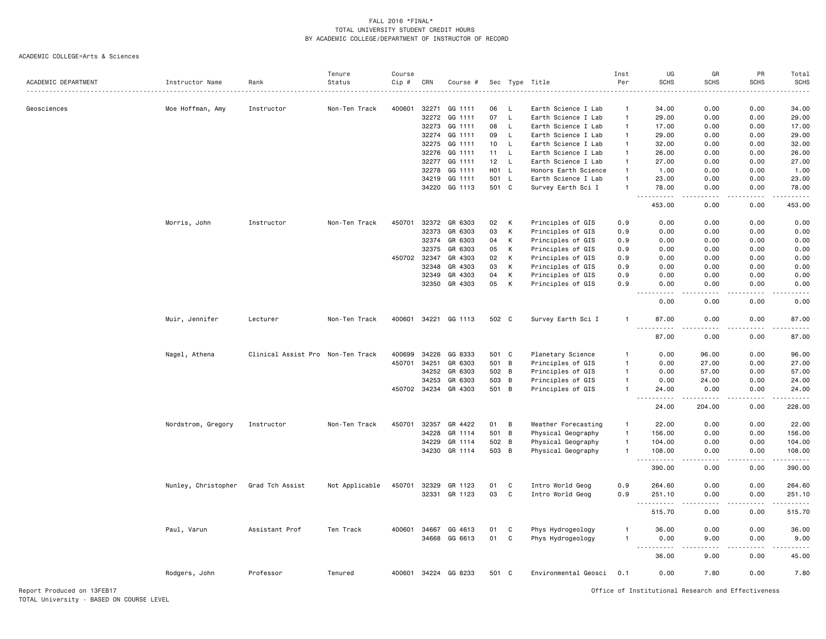#### ACADEMIC COLLEGE=Arts & Sciences

|                     |                     |                                   | Tenure         | Course       |                |                      |       |              |                      | Inst           | UG                                                                                                                                                                                                                                                     | GR                                                                                                                        | PR                                                                                                                                | Total              |
|---------------------|---------------------|-----------------------------------|----------------|--------------|----------------|----------------------|-------|--------------|----------------------|----------------|--------------------------------------------------------------------------------------------------------------------------------------------------------------------------------------------------------------------------------------------------------|---------------------------------------------------------------------------------------------------------------------------|-----------------------------------------------------------------------------------------------------------------------------------|--------------------|
| ACADEMIC DEPARTMENT | Instructor Name     | Rank                              | Status         | Cip #        | CRN            | Course #             |       |              | Sec Type Title       | Per            | <b>SCHS</b>                                                                                                                                                                                                                                            | <b>SCHS</b>                                                                                                               | <b>SCHS</b>                                                                                                                       | <b>SCHS</b>        |
|                     |                     |                                   |                |              |                |                      |       |              |                      |                |                                                                                                                                                                                                                                                        |                                                                                                                           |                                                                                                                                   | $\frac{1}{2}$      |
| Geosciences         | Moe Hoffman, Amy    | Instructor                        | Non-Ten Track  | 400601       | 32271          | GG 1111              | 06    | - L          | Earth Science I Lab  | -1             | 34.00                                                                                                                                                                                                                                                  | 0.00                                                                                                                      | 0.00                                                                                                                              | 34.00              |
|                     |                     |                                   |                |              | 32272          | GG 1111              | 07    | $\mathsf L$  | Earth Science I Lab  | $\overline{1}$ | 29.00                                                                                                                                                                                                                                                  | 0.00                                                                                                                      | 0.00                                                                                                                              | 29.00              |
|                     |                     |                                   |                |              | 32273          | GG 1111              | 08    | $\mathsf L$  | Earth Science I Lab  | $\overline{1}$ | 17.00                                                                                                                                                                                                                                                  | 0.00                                                                                                                      | 0.00                                                                                                                              | 17.00              |
|                     |                     |                                   |                |              | 32274          | GG 1111              | 09    | L.           | Earth Science I Lab  | $\overline{1}$ | 29.00                                                                                                                                                                                                                                                  | 0.00                                                                                                                      | 0.00                                                                                                                              | 29.00              |
|                     |                     |                                   |                |              |                | GG 1111              | 10    | L.           | Earth Science I Lab  | $\mathbf{1}$   | 32.00                                                                                                                                                                                                                                                  | 0.00                                                                                                                      | 0.00                                                                                                                              | 32.00              |
|                     |                     |                                   |                |              | 32275<br>32276 | GG 1111              | 11    | L            | Earth Science I Lab  | $\mathbf{1}$   | 26.00                                                                                                                                                                                                                                                  | 0.00                                                                                                                      | 0.00                                                                                                                              |                    |
|                     |                     |                                   |                |              |                | GG 1111              |       |              |                      | $\overline{1}$ |                                                                                                                                                                                                                                                        |                                                                                                                           |                                                                                                                                   | 26.00              |
|                     |                     |                                   |                |              | 32277          |                      | 12    | L.           | Earth Science I Lab  |                | 27.00                                                                                                                                                                                                                                                  | 0.00                                                                                                                      | 0.00                                                                                                                              | 27.00              |
|                     |                     |                                   |                |              | 32278          | GG 1111              | HO1   | $\mathsf{L}$ | Honors Earth Science | $\overline{1}$ | 1.00                                                                                                                                                                                                                                                   | 0.00                                                                                                                      | 0.00                                                                                                                              | 1.00               |
|                     |                     |                                   |                |              | 34219          | GG 1111              | 501   | $\mathsf{L}$ | Earth Science I Lab  | $\overline{1}$ | 23.00                                                                                                                                                                                                                                                  | 0.00                                                                                                                      | 0.00                                                                                                                              | 23.00              |
|                     |                     |                                   |                |              | 34220          | GG 1113              | 501 C |              | Survey Earth Sci I   | $\overline{1}$ | 78.00<br>.                                                                                                                                                                                                                                             | 0.00<br>.                                                                                                                 | 0.00<br>.                                                                                                                         | 78.00<br>.         |
|                     |                     |                                   |                |              |                |                      |       |              |                      |                | 453.00                                                                                                                                                                                                                                                 | 0.00                                                                                                                      | 0.00                                                                                                                              | 453.00             |
|                     | Morris, John        | Instructor                        | Non-Ten Track  | 450701       | 32372          | GR 6303              | 02    | K            | Principles of GIS    | 0.9            | 0.00                                                                                                                                                                                                                                                   | 0.00                                                                                                                      | 0.00                                                                                                                              | 0.00               |
|                     |                     |                                   |                |              | 32373          | GR 6303              | 03    | К            | Principles of GIS    | 0.9            | 0.00                                                                                                                                                                                                                                                   | 0.00                                                                                                                      | 0.00                                                                                                                              | 0.00               |
|                     |                     |                                   |                |              | 32374          | GR 6303              | 04    | К            | Principles of GIS    | 0.9            | 0.00                                                                                                                                                                                                                                                   | 0.00                                                                                                                      | 0.00                                                                                                                              | 0.00               |
|                     |                     |                                   |                |              | 32375          | GR 6303              | 05    | К            | Principles of GIS    | 0.9            | 0.00                                                                                                                                                                                                                                                   | 0.00                                                                                                                      | 0.00                                                                                                                              | 0.00               |
|                     |                     |                                   |                | 450702       | 32347          | GR 4303              | 02    | K            | Principles of GIS    | 0.9            | 0.00                                                                                                                                                                                                                                                   | 0.00                                                                                                                      | 0.00                                                                                                                              | 0.00               |
|                     |                     |                                   |                |              | 32348          | GR 4303              | 03    | К            | Principles of GIS    | 0.9            | 0.00                                                                                                                                                                                                                                                   | 0.00                                                                                                                      | 0.00                                                                                                                              | 0.00               |
|                     |                     |                                   |                |              | 32349          | GR 4303              | 04    | К            | Principles of GIS    | 0.9            | 0.00                                                                                                                                                                                                                                                   | 0.00                                                                                                                      | 0.00                                                                                                                              | 0.00               |
|                     |                     |                                   |                |              | 32350          | GR 4303              | 05    | К            |                      |                | 0.00                                                                                                                                                                                                                                                   | 0.00                                                                                                                      | 0.00                                                                                                                              |                    |
|                     |                     |                                   |                |              |                |                      |       |              | Principles of GIS    | 0.9            | .<br>$- - -$                                                                                                                                                                                                                                           | .                                                                                                                         | . <u>.</u> .                                                                                                                      | 0.00<br>.          |
|                     |                     |                                   |                |              |                |                      |       |              |                      |                | 0.00                                                                                                                                                                                                                                                   | 0.00                                                                                                                      | 0.00                                                                                                                              | 0.00               |
|                     | Muir, Jennifer      | Lecturer                          | Non-Ten Track  | 400601       | 34221          | GG 1113              | 502 C |              | Survey Earth Sci I   | $\mathbf{1}$   | 87.00                                                                                                                                                                                                                                                  | 0.00                                                                                                                      | 0.00                                                                                                                              | 87.00              |
|                     |                     |                                   |                |              |                |                      |       |              |                      |                | $\sim$ $\sim$ $\sim$<br>$\frac{1}{2} \left( \frac{1}{2} \right) \left( \frac{1}{2} \right) \left( \frac{1}{2} \right) \left( \frac{1}{2} \right) \left( \frac{1}{2} \right)$<br>87.00                                                                  | .<br>0.00                                                                                                                 | $\frac{1}{2}$<br>0.00                                                                                                             | د د د د د<br>87.00 |
|                     | Nagel, Athena       | Clinical Assist Pro Non-Ten Track |                | 400699       | 34226          | GG 8333              | 501 C |              | Planetary Science    | $\mathbf{1}$   | 0.00                                                                                                                                                                                                                                                   | 96.00                                                                                                                     | 0.00                                                                                                                              | 96.00              |
|                     |                     |                                   |                | 450701       | 34251          | GR 6303              | 501   | B            | Principles of GIS    | $\overline{1}$ | 0.00                                                                                                                                                                                                                                                   | 27.00                                                                                                                     | 0.00                                                                                                                              | 27.00              |
|                     |                     |                                   |                |              | 34252          | GR 6303              | 502 B |              | Principles of GIS    | $\overline{1}$ | 0.00                                                                                                                                                                                                                                                   | 57.00                                                                                                                     | 0.00                                                                                                                              | 57.00              |
|                     |                     |                                   |                |              | 34253          | GR 6303              | 503 B |              | Principles of GIS    | $\overline{1}$ | 0.00                                                                                                                                                                                                                                                   | 24.00                                                                                                                     | 0.00                                                                                                                              | 24.00              |
|                     |                     |                                   |                | 450702 34234 |                | GR 4303              | 501 B |              | Principles of GIS    | $\overline{1}$ | 24.00                                                                                                                                                                                                                                                  | 0.00                                                                                                                      | 0.00                                                                                                                              | 24.00              |
|                     |                     |                                   |                |              |                |                      |       |              |                      |                | $\sim$ $\sim$ $\sim$<br>.<br>24.00                                                                                                                                                                                                                     | $- - - - -$<br>204.00                                                                                                     | .<br>0.00                                                                                                                         | .<br>228.00        |
|                     |                     |                                   |                |              |                |                      |       |              |                      |                |                                                                                                                                                                                                                                                        |                                                                                                                           |                                                                                                                                   |                    |
|                     | Nordstrom, Gregory  | Instructor                        | Non-Ten Track  | 450701       | 32357          | GR 4422              | 01    | B            | Weather Forecasting  | $\mathbf{1}$   | 22.00                                                                                                                                                                                                                                                  | 0.00                                                                                                                      | 0.00                                                                                                                              | 22.00              |
|                     |                     |                                   |                |              | 34228          | GR 1114              | 501   | B            | Physical Geography   | $\overline{1}$ | 156.00                                                                                                                                                                                                                                                 | 0.00                                                                                                                      | 0.00                                                                                                                              | 156.00             |
|                     |                     |                                   |                |              | 34229          | GR 1114              | 502 B |              | Physical Geography   | $\overline{1}$ | 104.00                                                                                                                                                                                                                                                 | 0.00                                                                                                                      | 0.00                                                                                                                              | 104.00             |
|                     |                     |                                   |                |              | 34230          | GR 1114              | 503 B |              | Physical Geography   | $\mathbf{1}$   | 108.00                                                                                                                                                                                                                                                 | 0.00                                                                                                                      | 0.00                                                                                                                              | 108.00             |
|                     |                     |                                   |                |              |                |                      |       |              |                      |                | .<br>390.00                                                                                                                                                                                                                                            | 0.00                                                                                                                      | $\frac{1}{2} \left( \frac{1}{2} \right) \left( \frac{1}{2} \right) \left( \frac{1}{2} \right) \left( \frac{1}{2} \right)$<br>0.00 | .<br>390.00        |
|                     | Nunley, Christopher | Grad Tch Assist                   | Not Applicable | 450701       | 32329          | GR 1123              | 01    | C            | Intro World Geog     | 0.9            | 264.60                                                                                                                                                                                                                                                 | 0.00                                                                                                                      | 0.00                                                                                                                              | 264.60             |
|                     |                     |                                   |                |              | 32331          | GR 1123              | 03    | C            | Intro World Geog     | 0.9            | 251.10                                                                                                                                                                                                                                                 | 0.00                                                                                                                      | 0.00                                                                                                                              | 251.10             |
|                     |                     |                                   |                |              |                |                      |       |              |                      |                | $\sim$ $\sim$ $\sim$<br>.                                                                                                                                                                                                                              | $\frac{1}{2} \left( \frac{1}{2} \right) \left( \frac{1}{2} \right) \left( \frac{1}{2} \right) \left( \frac{1}{2} \right)$ | د د د د                                                                                                                           |                    |
|                     |                     |                                   |                |              |                |                      |       |              |                      |                | 515.70                                                                                                                                                                                                                                                 | 0.00                                                                                                                      | 0.00                                                                                                                              | 515.70             |
|                     | Paul, Varun         | Assistant Prof                    | Ten Track      | 400601       | 34667          | GG 4613              | 01    | C            | Phys Hydrogeology    | $\overline{1}$ | 36.00                                                                                                                                                                                                                                                  | 0.00                                                                                                                      | 0.00                                                                                                                              | 36.00              |
|                     |                     |                                   |                |              | 34668          | GG 6613              | 01    | $\mathbf c$  | Phys Hydrogeology    | $\overline{1}$ | 0.00                                                                                                                                                                                                                                                   | 9.00                                                                                                                      | 0.00                                                                                                                              | 9.00               |
|                     |                     |                                   |                |              |                |                      |       |              |                      |                | $\frac{1}{2} \left( \frac{1}{2} \right) \left( \frac{1}{2} \right) \left( \frac{1}{2} \right)$<br>$\frac{1}{2} \left( \frac{1}{2} \right) \left( \frac{1}{2} \right) \left( \frac{1}{2} \right) \left( \frac{1}{2} \right) \left( \frac{1}{2} \right)$ |                                                                                                                           |                                                                                                                                   | د د د د د          |
|                     |                     |                                   |                |              |                |                      |       |              |                      |                | 36.00                                                                                                                                                                                                                                                  | 9.00                                                                                                                      | 0.00                                                                                                                              | 45.00              |
|                     | Rodgers, John       | Professor                         | Tenured        |              |                | 400601 34224 GG 8233 | 501 C |              | Environmental Geosci | 0.1            | 0.00                                                                                                                                                                                                                                                   | 7.80                                                                                                                      | 0.00                                                                                                                              | 7.80               |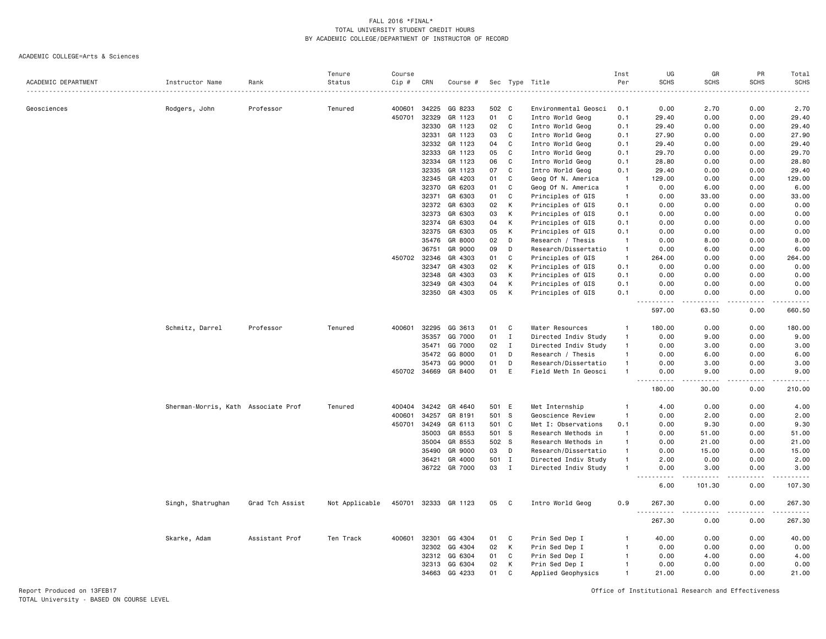#### ACADEMIC COLLEGE=Arts & Sciences

|                     |                                     |                 | Tenure         | Course |       |               |       |              |                      | Inst           | UG                                  | GR                    | PR                                  | Total                                                                                                                               |
|---------------------|-------------------------------------|-----------------|----------------|--------|-------|---------------|-------|--------------|----------------------|----------------|-------------------------------------|-----------------------|-------------------------------------|-------------------------------------------------------------------------------------------------------------------------------------|
| ACADEMIC DEPARTMENT | Instructor Name                     | Rank            | Status         | Cip #  | CRN   | Course #      |       |              | Sec Type Title       | Per            | <b>SCHS</b>                         | <b>SCHS</b>           | <b>SCHS</b>                         | <b>SCHS</b>                                                                                                                         |
|                     |                                     |                 |                |        |       |               |       |              |                      |                |                                     |                       |                                     | .                                                                                                                                   |
| Geosciences         | Rodgers, John                       | Professor       | Tenured        | 400601 | 34225 | GG 8233       | 502 C |              | Environmental Geosci | 0.1            | 0.00                                | 2.70                  | 0.00                                | 2.70                                                                                                                                |
|                     |                                     |                 |                | 450701 | 32329 | GR 1123       | 01    | $\mathbf c$  | Intro World Geog     | 0.1            | 29.40                               | 0.00                  | 0.00                                | 29.40                                                                                                                               |
|                     |                                     |                 |                |        | 32330 | GR 1123       | 02    | C            | Intro World Geog     | 0.1            | 29.40                               | 0.00                  | 0.00                                | 29.40                                                                                                                               |
|                     |                                     |                 |                |        | 32331 | GR 1123       | 03    | C            | Intro World Geog     | 0.1            | 27.90                               | 0.00                  | 0.00                                | 27.90                                                                                                                               |
|                     |                                     |                 |                |        | 32332 | GR 1123       | 04    | $\mathbf c$  | Intro World Geog     | 0.1            | 29.40                               | 0.00                  | 0.00                                | 29.40                                                                                                                               |
|                     |                                     |                 |                |        | 32333 | GR 1123       | 05    | $\mathbf c$  | Intro World Geog     | 0.1            | 29.70                               | 0.00                  | 0.00                                | 29.70                                                                                                                               |
|                     |                                     |                 |                |        | 32334 | GR 1123       | 06    | C            | Intro World Geog     | 0.1            | 28.80                               | 0.00                  | 0.00                                | 28.80                                                                                                                               |
|                     |                                     |                 |                |        | 32335 | GR 1123       | 07    | $\mathbf c$  | Intro World Geog     | 0.1            | 29.40                               | 0.00                  | 0.00                                | 29.40                                                                                                                               |
|                     |                                     |                 |                |        | 32345 | GR 4203       | 01    | C            | Geog Of N. America   | $\overline{1}$ | 129.00                              | 0.00                  | 0.00                                | 129.00                                                                                                                              |
|                     |                                     |                 |                |        | 32370 | GR 6203       | 01    | $\mathbb{C}$ | Geog Of N. America   | $\overline{1}$ | 0.00                                | 6.00                  | 0.00                                | 6.00                                                                                                                                |
|                     |                                     |                 |                |        | 32371 | GR 6303       | 01    | C            | Principles of GIS    | $\overline{1}$ | 0.00                                | 33.00                 | 0.00                                | 33.00                                                                                                                               |
|                     |                                     |                 |                |        | 32372 | GR 6303       | 02    | К            | Principles of GIS    | 0.1            | 0.00                                | 0.00                  | 0.00                                | 0.00                                                                                                                                |
|                     |                                     |                 |                |        | 32373 | GR 6303       | 03    | К            | Principles of GIS    | 0.1            | 0.00                                | 0.00                  | 0.00                                | 0.00                                                                                                                                |
|                     |                                     |                 |                |        | 32374 | GR 6303       | 04    | К            | Principles of GIS    | 0.1            | 0.00                                | 0.00                  | 0.00                                | 0.00                                                                                                                                |
|                     |                                     |                 |                |        | 32375 | GR 6303       | 05    | К            | Principles of GIS    | 0.1            | 0.00                                | 0.00                  | 0.00                                | 0.00                                                                                                                                |
|                     |                                     |                 |                |        | 35476 | GR 8000       | 02    | D            | Research / Thesis    | $\mathbf{1}$   | 0.00                                | 8.00                  | 0.00                                | 8.00                                                                                                                                |
|                     |                                     |                 |                |        | 36751 | GR 9000       | 09    | D            | Research/Dissertatio | $\overline{1}$ | 0.00                                | 6.00                  | 0.00                                | 6.00                                                                                                                                |
|                     |                                     |                 |                | 450702 | 32346 | GR 4303       | 01    | C            |                      | $\overline{1}$ |                                     | 0.00                  | 0.00                                |                                                                                                                                     |
|                     |                                     |                 |                |        |       |               |       |              | Principles of GIS    |                | 264.00                              |                       |                                     | 264.00                                                                                                                              |
|                     |                                     |                 |                |        | 32347 | GR 4303       | 02    | К            | Principles of GIS    | 0.1            | 0.00                                | 0.00                  | 0.00                                | 0.00                                                                                                                                |
|                     |                                     |                 |                |        | 32348 | GR 4303       | 03    | К            | Principles of GIS    | 0.1            | 0.00                                | 0.00                  | 0.00                                | 0.00                                                                                                                                |
|                     |                                     |                 |                |        | 32349 | GR 4303       | 04    | K            | Principles of GIS    | 0.1            | 0.00                                | 0.00                  | 0.00                                | 0.00                                                                                                                                |
|                     |                                     |                 |                |        | 32350 | GR 4303       | 05    | K            | Principles of GIS    | 0.1            | 0.00<br>$\sim$ $\sim$               | 0.00                  | 0.00<br>$\sim$ $\sim$ $\sim$ $\sim$ | 0.00<br>.                                                                                                                           |
|                     |                                     |                 |                |        |       |               |       |              |                      |                | 597.00                              | 63.50                 | 0.00                                | 660.50                                                                                                                              |
|                     | Schmitz, Darrel                     | Professor       | Tenured        | 400601 | 32295 | GG 3613       | 01    | C            | Water Resources      | $\mathbf{1}$   | 180.00                              | 0.00                  | 0.00                                | 180.00                                                                                                                              |
|                     |                                     |                 |                |        | 35357 | GG 7000       | 01    | $\mathbf I$  | Directed Indiv Study | $\overline{1}$ | 0.00                                | 9.00                  | 0.00                                | 9.00                                                                                                                                |
|                     |                                     |                 |                |        | 35471 | GG 7000       | 02    | $\mathbf I$  | Directed Indiv Study | $\overline{1}$ | 0.00                                | 3.00                  | 0.00                                | 3.00                                                                                                                                |
|                     |                                     |                 |                |        | 35472 | GG 8000       | 01    | D            | Research / Thesis    | $\mathbf{1}$   | 0.00                                | 6.00                  | 0.00                                | 6.00                                                                                                                                |
|                     |                                     |                 |                |        | 35473 | GG 9000       | 01    | D            | Research/Dissertatio | $\mathbf{1}$   | 0.00                                | 3.00                  | 0.00                                | 3.00                                                                                                                                |
|                     |                                     |                 |                | 450702 | 34669 | GR 8400       | 01    | E            | Field Meth In Geosci | $\overline{1}$ | 0.00                                | 9.00                  | 0.00                                | 9.00                                                                                                                                |
|                     |                                     |                 |                |        |       |               |       |              |                      |                | 180.00                              | 30.00                 | 0.00                                | 210.00                                                                                                                              |
|                     | Sherman-Morris, Kath Associate Prof |                 | Tenured        | 400404 | 34242 | GR 4640       | 501   | E            | Met Internship       | -1             | 4.00                                | 0.00                  | 0.00                                | 4.00                                                                                                                                |
|                     |                                     |                 |                | 400601 | 34257 | GR 8191       | 501   | -S           | Geoscience Review    | $\mathbf{1}$   | 0.00                                | 2.00                  | 0.00                                | 2.00                                                                                                                                |
|                     |                                     |                 |                | 450701 | 34249 | GR 6113       | 501   | C            | Met I: Observations  | 0.1            | 0.00                                | 9.30                  | 0.00                                | 9.30                                                                                                                                |
|                     |                                     |                 |                |        | 35003 | GR 8553       | 501 S |              | Research Methods in  | $\overline{1}$ | 0.00                                | 51.00                 | 0.00                                | 51.00                                                                                                                               |
|                     |                                     |                 |                |        | 35004 | GR 8553       | 502 S |              | Research Methods in  | $\overline{1}$ | 0.00                                | 21.00                 | 0.00                                | 21.00                                                                                                                               |
|                     |                                     |                 |                |        | 35490 | GR 9000       | 03    | D            | Research/Dissertatio | $\mathbf{1}$   | 0.00                                | 15.00                 | 0.00                                | 15.00                                                                                                                               |
|                     |                                     |                 |                |        | 36421 | GR 4000       | 501   | $\mathbf I$  | Directed Indiv Study | $\overline{1}$ | 2.00                                | 0.00                  | 0.00                                | 2.00                                                                                                                                |
|                     |                                     |                 |                |        |       | 36722 GR 7000 | 03    | $\mathbf I$  | Directed Indiv Study | $\mathbf{1}$   | 0.00                                | 3.00                  | 0.00                                | 3.00                                                                                                                                |
|                     |                                     |                 |                |        |       |               |       |              |                      |                |                                     | .                     | .                                   | $\sim$ $\sim$ $\sim$ $\sim$ $\sim$                                                                                                  |
|                     |                                     |                 |                |        |       |               |       |              |                      |                | 6.00                                | 101.30                | 0.00                                | 107.30                                                                                                                              |
|                     | Singh, Shatrughan                   | Grad Tch Assist | Not Applicable | 450701 | 32333 | GR 1123       | 05    | C            | Intro World Geog     | 0.9            | 267.30<br>.<br>$\sim$ $\sim$ $\sim$ | 0.00<br>$\frac{1}{2}$ | 0.00<br>$\frac{1}{2}$               | 267.30<br>$\begin{array}{cccccccccccccc} \bullet & \bullet & \bullet & \bullet & \bullet & \bullet & \bullet & \bullet \end{array}$ |
|                     |                                     |                 |                |        |       |               |       |              |                      |                | 267.30                              | 0.00                  | 0.00                                | 267.30                                                                                                                              |
|                     | Skarke, Adam                        | Assistant Prof  | Ten Track      | 400601 | 32301 | GG 4304       | 01    | C            | Prin Sed Dep I       | -1             | 40.00                               | 0.00                  | 0.00                                | 40.00                                                                                                                               |
|                     |                                     |                 |                |        | 32302 | GG 4304       | 02    | К            | Prin Sed Dep I       | $\overline{1}$ | 0.00                                | 0.00                  | 0.00                                | 0.00                                                                                                                                |
|                     |                                     |                 |                |        | 32312 | GG 6304       | 01    | C            | Prin Sed Dep I       | $\mathbf{1}$   | 0.00                                | 4.00                  | 0.00                                | 4.00                                                                                                                                |
|                     |                                     |                 |                |        | 32313 | GG 6304       | 02    | К            | Prin Sed Dep I       | $\overline{1}$ | 0.00                                | 0.00                  | 0.00                                | 0.00                                                                                                                                |
|                     |                                     |                 |                |        | 34663 | GG 4233       | 01    | C            | Applied Geophysics   | $\overline{1}$ | 21.00                               | 0.00                  | 0.00                                | 21.00                                                                                                                               |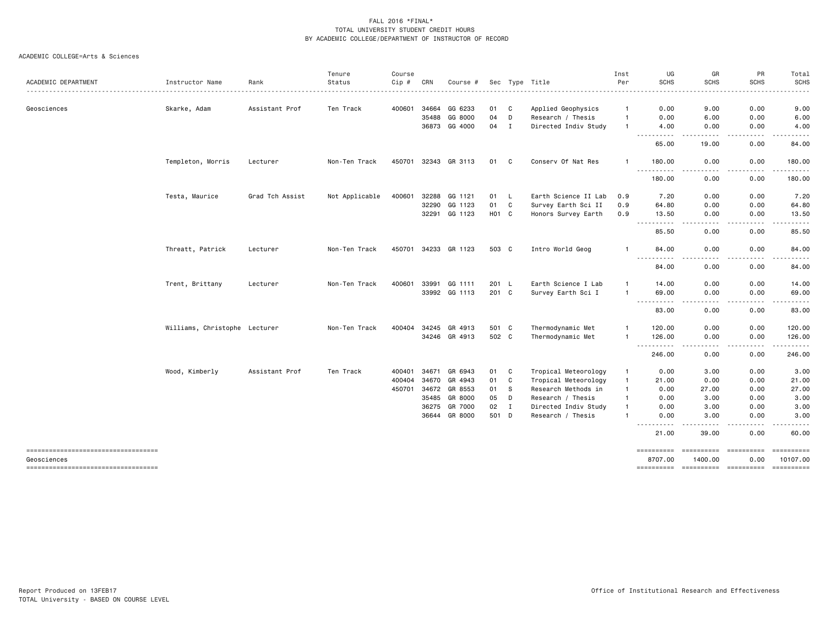|                                                   |                               |                 | Tenure         | Course |       |               |                   |              |                      | Inst         | UG                        | GR                                                                                                                                                           | PR                                                                                                                                | Total                |
|---------------------------------------------------|-------------------------------|-----------------|----------------|--------|-------|---------------|-------------------|--------------|----------------------|--------------|---------------------------|--------------------------------------------------------------------------------------------------------------------------------------------------------------|-----------------------------------------------------------------------------------------------------------------------------------|----------------------|
| ACADEMIC DEPARTMENT                               | Instructor Name               | Rank            | Status         | Cip #  | CRN   | Course #      |                   |              | Sec Type Title       | Per          | <b>SCHS</b>               | <b>SCHS</b>                                                                                                                                                  | <b>SCHS</b>                                                                                                                       | <b>SCHS</b><br>----- |
| Geosciences                                       | Skarke, Adam                  | Assistant Prof  | Ten Track      | 400601 | 34664 | GG 6233       | 01                | C            | Applied Geophysics   |              | 0.00                      | 9.00                                                                                                                                                         | 0.00                                                                                                                              | 9.00                 |
|                                                   |                               |                 |                |        | 35488 | GG 8000       | 04                | D            | Research / Thesis    | $\mathbf{1}$ | 0.00                      | 6.00                                                                                                                                                         | 0.00                                                                                                                              | 6.00                 |
|                                                   |                               |                 |                |        | 36873 | GG 4000       | 04                | I            | Directed Indiv Study | -1           | 4.00                      | 0.00                                                                                                                                                         | 0.00                                                                                                                              | 4.00                 |
|                                                   |                               |                 |                |        |       |               |                   |              |                      |              | .<br>65.00                | .<br>19,00                                                                                                                                                   | .<br>0.00                                                                                                                         | . <u>.</u><br>84.00  |
|                                                   | Templeton, Morris             | Lecturer        | Non-Ten Track  | 450701 | 32343 | GR 3113       | 01                | C            | Conserv Of Nat Res   | -1           | 180.00<br>.               | 0.00<br>$\sim$ $\sim$ $\sim$                                                                                                                                 | 0.00<br>$\frac{1}{2} \left( \frac{1}{2} \right) \left( \frac{1}{2} \right) \left( \frac{1}{2} \right) \left( \frac{1}{2} \right)$ | 180.00<br>.          |
|                                                   |                               |                 |                |        |       |               |                   |              |                      |              | 180.00                    | 0.00                                                                                                                                                         | 0.00                                                                                                                              | 180.00               |
|                                                   | Testa, Maurice                | Grad Tch Assist | Not Applicable | 400601 | 32288 | GG 1121       | 01 L              |              | Earth Science II Lab | 0.9          | 7.20                      | 0.00                                                                                                                                                         | 0.00                                                                                                                              | 7.20                 |
|                                                   |                               |                 |                |        | 32290 | GG 1123       | 01                | $\mathbf{C}$ | Survey Earth Sci II  | 0.9          | 64.80                     | 0.00                                                                                                                                                         | 0.00                                                                                                                              | 64.80                |
|                                                   |                               |                 |                |        | 32291 | GG 1123       | H <sub>01</sub> C |              | Honors Survey Earth  | 0.9          | 13.50<br>$- - -$<br>----- | 0.00<br>الداعات الما                                                                                                                                         | 0.00<br>.                                                                                                                         | 13.50<br>.           |
|                                                   |                               |                 |                |        |       |               |                   |              |                      |              | 85.50                     | 0.00                                                                                                                                                         | 0.00                                                                                                                              | 85.50                |
|                                                   | Threatt, Patrick              | Lecturer        | Non-Ten Track  | 450701 | 34233 | GR 1123       | 503 C             |              | Intro World Geog     | -1           | 84.00<br>----------       | 0.00<br>.                                                                                                                                                    | 0.00<br>.                                                                                                                         | 84.00<br>.           |
|                                                   |                               |                 |                |        |       |               |                   |              |                      |              | 84.00                     | 0.00                                                                                                                                                         | 0.00                                                                                                                              | 84.00                |
|                                                   | Trent, Brittany               | Lecturer        | Non-Ten Track  | 400601 | 33991 | GG 1111       | 201 L             |              | Earth Science I Lab  | $\mathbf{1}$ | 14.00                     | 0.00                                                                                                                                                         | 0.00                                                                                                                              | 14.00                |
|                                                   |                               |                 |                |        |       | 33992 GG 1113 | 201 C             |              | Survey Earth Sci I   | $\mathbf{1}$ | 69.00<br>.                | 0.00<br>$\frac{1}{2} \left( \frac{1}{2} \right) \left( \frac{1}{2} \right) \left( \frac{1}{2} \right) \left( \frac{1}{2} \right) \left( \frac{1}{2} \right)$ | 0.00<br>.                                                                                                                         | 69.00<br>.           |
|                                                   |                               |                 |                |        |       |               |                   |              |                      |              | 83.00                     | 0.00                                                                                                                                                         | 0.00                                                                                                                              | 83.00                |
|                                                   | Williams, Christophe Lecturer |                 | Non-Ten Track  | 400404 | 34245 | GR 4913       | 501 C             |              | Thermodynamic Met    | $\mathbf{1}$ | 120.00                    | 0.00                                                                                                                                                         | 0.00                                                                                                                              | 120.00               |
|                                                   |                               |                 |                |        |       | 34246 GR 4913 | 502 C             |              | Thermodynamic Met    | $\mathbf{1}$ | 126.00<br>----------      | 0.00<br>$\frac{1}{2} \left( \frac{1}{2} \right) \left( \frac{1}{2} \right) \left( \frac{1}{2} \right) \left( \frac{1}{2} \right)$                            | 0.00<br>.                                                                                                                         | 126.00<br>------     |
|                                                   |                               |                 |                |        |       |               |                   |              |                      |              | 246.00                    | 0.00                                                                                                                                                         | 0.00                                                                                                                              | 246.00               |
|                                                   | Wood, Kimberly                | Assistant Prof  | Ten Track      | 400401 | 34671 | GR 6943       | 01                | C            | Tropical Meteorology | $\mathbf{1}$ | 0.00                      | 3.00                                                                                                                                                         | 0.00                                                                                                                              | 3.00                 |
|                                                   |                               |                 |                | 400404 | 34670 | GR 4943       | 01                | C            | Tropical Meteorology | $\mathbf{1}$ | 21.00                     | 0.00                                                                                                                                                         | 0.00                                                                                                                              | 21.00                |
|                                                   |                               |                 |                | 450701 | 34672 | GR 8553       | 01                | S            | Research Methods in  | $\mathbf{1}$ | 0.00                      | 27.00                                                                                                                                                        | 0.00                                                                                                                              | 27.00                |
|                                                   |                               |                 |                |        | 35485 | GR 8000       | 05                | D            | Research / Thesis    | $\mathbf{1}$ | 0.00                      | 3.00                                                                                                                                                         | 0.00                                                                                                                              | 3.00                 |
|                                                   |                               |                 |                |        | 36275 | GR 7000       | 02                | $\mathbf I$  | Directed Indiv Study | $\mathbf{1}$ | 0.00                      | 3.00                                                                                                                                                         | 0.00                                                                                                                              | 3.00                 |
|                                                   |                               |                 |                |        | 36644 | GR 8000       | 501 D             |              | Research / Thesis    | $\mathbf{1}$ | 0.00<br><u>.</u>          | 3.00<br>----                                                                                                                                                 | 0.00<br>.                                                                                                                         | 3.00<br>.            |
|                                                   |                               |                 |                |        |       |               |                   |              |                      |              | 21.00                     | 39.00                                                                                                                                                        | 0.00                                                                                                                              | 60.00                |
| ----------------------------------<br>Geosciences |                               |                 |                |        |       |               |                   |              |                      |              | ==========<br>8707.00     | 1400.00                                                                                                                                                      | ==========<br>0.00                                                                                                                | 10107.00             |
| ----------------------------------                |                               |                 |                |        |       |               |                   |              |                      |              |                           |                                                                                                                                                              |                                                                                                                                   |                      |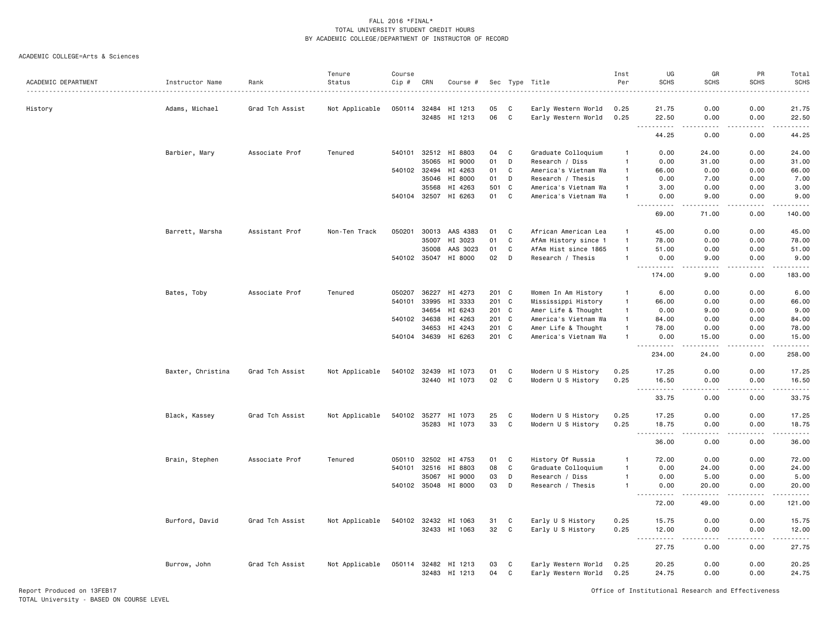#### ACADEMIC COLLEGE=Arts & Sciences

| ACADEMIC DEPARTMENT | Instructor Name   | Rank            | Tenure<br>Status | Course<br>Cip # | CRN   | Course #                              |          |             | Sec Type Title                             | Inst<br>Per    | UG<br><b>SCHS</b>                  | GR<br><b>SCHS</b>   | PR<br><b>SCHS</b> | Total<br><b>SCHS</b> |
|---------------------|-------------------|-----------------|------------------|-----------------|-------|---------------------------------------|----------|-------------|--------------------------------------------|----------------|------------------------------------|---------------------|-------------------|----------------------|
|                     |                   |                 |                  |                 |       |                                       |          |             |                                            |                |                                    |                     |                   |                      |
| History             | Adams, Michael    | Grad Tch Assist | Not Applicable   | 050114          | 32484 | HI 1213                               | 05       | C           | Early Western World                        | 0.25           | 21.75                              | 0.00                | 0.00              | 21.75                |
|                     |                   |                 |                  |                 |       | 32485 HI 1213                         | 06       | C           | Early Western World                        | 0.25           | 22.50<br>.<br>$ -$                 | 0.00<br><u>.</u>    | 0.00<br>.         | 22.50<br>.           |
|                     |                   |                 |                  |                 |       |                                       |          |             |                                            |                | 44.25                              | 0.00                | 0.00              | 44.25                |
|                     | Barbier, Mary     | Associate Prof  | Tenured          | 540101          |       | 32512 HI 8803                         | 04       | C           | Graduate Colloquium                        | $\mathbf{1}$   | 0.00                               | 24.00               | 0.00              | 24.00                |
|                     |                   |                 |                  |                 | 35065 | HI 9000                               | 01       | D           | Research / Diss                            | $\mathbf{1}$   | 0.00                               | 31.00               | 0.00              | 31.00                |
|                     |                   |                 |                  | 540102          | 32494 | HI 4263                               | 01       | C           | America's Vietnam Wa                       | $\overline{1}$ | 66.00                              | 0.00                | 0.00              | 66.00                |
|                     |                   |                 |                  |                 | 35046 | HI 8000                               | 01       | D           | Research / Thesis                          | -1             | 0.00                               | 7.00                | 0.00              | 7.00                 |
|                     |                   |                 |                  |                 | 35568 | HI 4263                               | 501      | C           | America's Vietnam Wa                       | $\overline{1}$ | 3.00                               | 0.00                | 0.00              | 3.00                 |
|                     |                   |                 |                  | 540104 32507    |       | HI 6263                               | 01       | C           | America's Vietnam Wa                       | -1             | 0.00<br>.                          | 9.00<br>$- - - - -$ | 0.00<br>.         | 9.00<br>.            |
|                     |                   |                 |                  |                 |       |                                       |          |             |                                            |                | 69.00                              | 71.00               | 0.00              | 140.00               |
|                     | Barrett, Marsha   | Assistant Prof  | Non-Ten Track    | 050201          | 30013 | AAS 4383                              | 01       | C           | African American Lea                       | $\overline{1}$ | 45.00                              | 0.00                | 0.00              | 45.00                |
|                     |                   |                 |                  |                 | 35007 | HI 3023                               | 01       | C           | AfAm History since 1                       | $\overline{1}$ | 78.00                              | 0.00                | 0.00              | 78.00                |
|                     |                   |                 |                  |                 | 35008 | AAS 3023                              | 01       | C           | AfAm Hist since 1865                       | $\overline{1}$ | 51.00                              | 0.00                | 0.00              | 51.00                |
|                     |                   |                 |                  | 540102 35047    |       | HI 8000                               | 02       | D           | Research / Thesis                          | $\overline{1}$ | 0.00<br><u>.</u>                   | 9.00<br>.           | 0.00<br>.         | 9.00<br>------       |
|                     |                   |                 |                  |                 |       |                                       |          |             |                                            |                | 174.00                             | 9.00                | 0.00              | 183.00               |
|                     | Bates, Toby       | Associate Prof  | Tenured          | 050207          | 36227 | HI 4273                               | 201 C    |             | Women In Am History                        | $\overline{1}$ | 6.00                               | 0.00                | 0.00              | 6.00                 |
|                     |                   |                 |                  | 540101          | 33995 | HI 3333                               | 201 C    |             | Mississippi History                        | $\overline{1}$ | 66.00                              | 0.00                | 0.00              | 66.00                |
|                     |                   |                 |                  |                 | 34654 | HI 6243                               | 201 C    |             | Amer Life & Thought                        | $\overline{1}$ | 0.00                               | 9.00                | 0.00              | 9.00                 |
|                     |                   |                 |                  | 540102 34638    |       | HI 4263                               | 201 C    |             | America's Vietnam Wa                       | $\overline{1}$ | 84.00                              | 0.00                | 0.00              | 84.00                |
|                     |                   |                 |                  |                 | 34653 | HI 4243                               | 201 C    |             | Amer Life & Thought                        | $\overline{1}$ | 78.00                              | 0.00                | 0.00              | 78.00                |
|                     |                   |                 |                  |                 |       | 540104 34639 HI 6263                  | 201 C    |             | America's Vietnam Wa                       | $\overline{1}$ | 0.00                               | 15.00               | 0.00              | 15.00                |
|                     |                   |                 |                  |                 |       |                                       |          |             |                                            |                | .                                  | .                   | .                 | .                    |
|                     |                   |                 |                  |                 |       |                                       |          |             |                                            |                | 234.00                             | 24.00               | 0.00              | 258.00               |
|                     | Baxter, Christina | Grad Tch Assist | Not Applicable   | 540102          | 32439 | HI 1073                               | 01       | C           | Modern U S History                         | 0.25           | 17.25                              | 0.00                | 0.00              | 17.25                |
|                     |                   |                 |                  |                 |       | 32440 HI 1073                         | 02       | C           | Modern U S History                         | 0.25           | 16.50                              | 0.00                | 0.00              | 16.50                |
|                     |                   |                 |                  |                 |       |                                       |          |             |                                            |                | .<br>$\sim$ $\sim$ $\sim$          | د د د د             | .                 | .                    |
|                     |                   |                 |                  |                 |       |                                       |          |             |                                            |                | 33.75                              | 0.00                | 0.00              | 33.75                |
|                     | Black, Kassey     | Grad Tch Assist | Not Applicable   | 540102          | 35277 | HI 1073                               | 25       | C           | Modern U S History                         | 0.25           | 17.25                              | 0.00                | 0.00              | 17.25                |
|                     |                   |                 |                  |                 |       | 35283 HI 1073                         | 33       | $\mathbf C$ | Modern U S History                         | 0.25           | 18.75<br>$\sim$ $\sim$ $\sim$      | 0.00                | 0.00              | 18.75<br>.           |
|                     |                   |                 |                  |                 |       |                                       |          |             |                                            |                | 36.00                              | 0.00                | 0.00              | 36.00                |
|                     | Brain, Stephen    | Associate Prof  | Tenured          | 050110          | 32502 | HI 4753                               | 01       | C           | History Of Russia                          | $\overline{1}$ | 72.00                              | 0.00                | 0.00              | 72.00                |
|                     |                   |                 |                  | 540101          | 32516 | HI 8803                               | 08       | C           | Graduate Colloquium                        | $\overline{1}$ | 0.00                               | 24.00               | 0.00              | 24.00                |
|                     |                   |                 |                  |                 | 35067 | HI 9000                               | 03       | D           | Research / Diss                            | $\overline{1}$ | 0.00                               | 5.00                | 0.00              | 5.00                 |
|                     |                   |                 |                  |                 |       | 540102 35048 HI 8000                  | 03       | D           | Research / Thesis                          | $\mathbf{1}$   | 0.00                               | 20.00               | 0.00              | 20.00                |
|                     |                   |                 |                  |                 |       |                                       |          |             |                                            |                | $\sim$ $\sim$ $\sim$<br>.<br>72.00 | <u>.</u><br>49.00   | .<br>0.00         | 121.00               |
|                     | Burford, David    | Grad Tch Assist | Not Applicable   |                 |       | 540102 32432 HI 1063                  | 31       | C           | Early U S History                          | 0.25           | 15.75                              | 0.00                | 0.00              | 15.75                |
|                     |                   |                 |                  |                 |       | 32433 HI 1063                         | 32       | C           | Early U S History                          | 0.25           | 12.00                              | 0.00                | 0.00              | 12.00                |
|                     |                   |                 |                  |                 |       |                                       |          |             |                                            |                | $\sim$ $\sim$ $\sim$<br>.<br>27.75 | .<br>0.00           | -----<br>0.00     | .<br>27.75           |
|                     |                   |                 |                  |                 |       |                                       |          |             |                                            |                |                                    |                     |                   |                      |
|                     | Burrow, John      | Grad Tch Assist | Not Applicable   |                 |       | 050114 32482 HI 1213<br>32483 HI 1213 | 03<br>04 | C<br>C      | Early Western World<br>Early Western World | 0.25<br>0.25   | 20.25<br>24.75                     | 0.00<br>0.00        | 0.00<br>0.00      | 20.25<br>24.75       |
|                     |                   |                 |                  |                 |       |                                       |          |             |                                            |                |                                    |                     |                   |                      |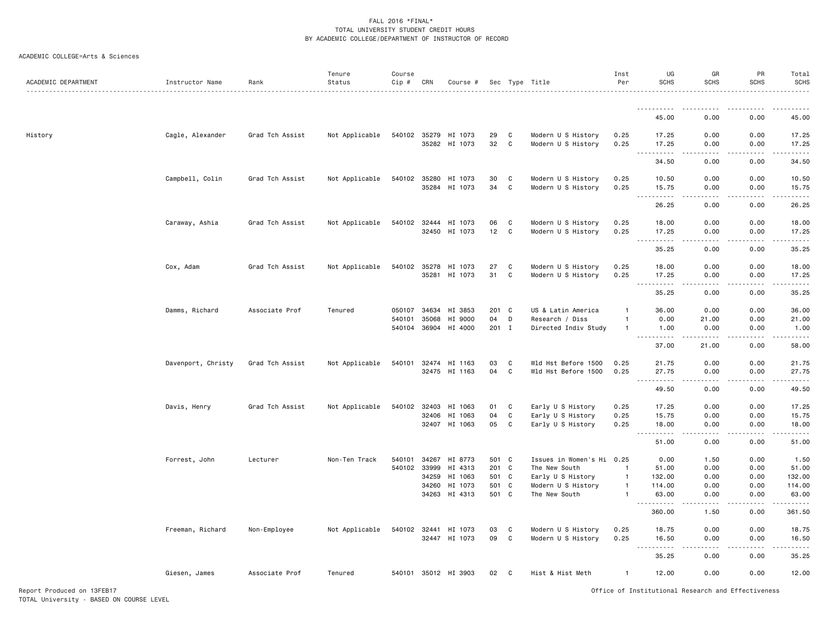| ACADEMIC DEPARTMENT | Instructor Name    | Rank            | Tenure<br>Status | Course<br>Cip #  | CRN            | Course #                              |              |                  | Sec Type Title                           | Inst<br>Per                      | UG<br><b>SCHS</b>                         | GR<br><b>SCHS</b>                                                                                                                 | PR<br><b>SCHS</b>            | Total<br><b>SCHS</b><br><u>.</u> |
|---------------------|--------------------|-----------------|------------------|------------------|----------------|---------------------------------------|--------------|------------------|------------------------------------------|----------------------------------|-------------------------------------------|-----------------------------------------------------------------------------------------------------------------------------------|------------------------------|----------------------------------|
|                     |                    |                 |                  |                  |                |                                       |              |                  |                                          |                                  |                                           |                                                                                                                                   |                              |                                  |
|                     |                    |                 |                  |                  |                |                                       |              |                  |                                          |                                  | 45.00                                     | 0.00                                                                                                                              | 0.00                         | 45.00                            |
| History             | Cagle, Alexander   | Grad Tch Assist | Not Applicable   | 540102           | 35279          | HI 1073                               | 29           | C                | Modern U S History                       | 0.25                             | 17.25                                     | 0.00                                                                                                                              | 0.00                         | 17.25                            |
|                     |                    |                 |                  |                  |                | 35282 HI 1073                         | 32           | C                | Modern U S History                       | 0.25                             | 17.25<br>$  -$                            | 0.00                                                                                                                              | 0.00                         | 17.25<br>.                       |
|                     |                    |                 |                  |                  |                |                                       |              |                  |                                          |                                  | 34.50                                     | 0.00                                                                                                                              | 0.00                         | 34.50                            |
|                     | Campbell, Colin    | Grad Tch Assist | Not Applicable   | 540102           | 35280          | HI 1073<br>35284 HI 1073              | 30<br>34     | C<br>C           | Modern U S History<br>Modern U S History | 0.25<br>0.25                     | 10.50<br>15.75                            | 0.00<br>0.00                                                                                                                      | 0.00<br>0.00                 | 10.50<br>15.75                   |
|                     |                    |                 |                  |                  |                |                                       |              |                  |                                          |                                  | $\sim$ $\sim$ $\sim$<br>.<br>26.25        | $\frac{1}{2} \left( \frac{1}{2} \right) \left( \frac{1}{2} \right) \left( \frac{1}{2} \right) \left( \frac{1}{2} \right)$<br>0.00 | $\sim$ $\sim$ $\sim$<br>0.00 | .<br>26.25                       |
|                     |                    |                 |                  |                  |                |                                       |              |                  |                                          |                                  |                                           |                                                                                                                                   |                              |                                  |
|                     | Caraway, Ashia     | Grad Tch Assist | Not Applicable   | 540102 32444     | 32450          | HI 1073<br>HI 1073                    | 06<br>12     | C<br>C           | Modern U S History<br>Modern U S History | 0.25<br>0.25                     | 18.00<br>17.25                            | 0.00<br>0.00                                                                                                                      | 0.00<br>0.00                 | 18.00<br>17.25                   |
|                     |                    |                 |                  |                  |                |                                       |              |                  |                                          |                                  | <u>.</u><br>$\sim$ $\sim$ $\sim$<br>35.25 | $\frac{1}{2}$<br>0.00                                                                                                             | $- - - -$<br>0.00            | .<br>35.25                       |
|                     |                    |                 |                  |                  |                |                                       |              |                  |                                          |                                  |                                           |                                                                                                                                   |                              |                                  |
|                     | Cox, Adam          | Grad Tch Assist | Not Applicable   | 540102           | 35278          | HI 1073<br>35281 HI 1073              | 27<br>31     | C<br>C           | Modern U S History<br>Modern U S History | 0.25<br>0.25                     | 18.00<br>17.25                            | 0.00<br>0.00                                                                                                                      | 0.00<br>0.00                 | 18.00<br>17.25                   |
|                     |                    |                 |                  |                  |                |                                       |              |                  |                                          |                                  | .<br>35.25                                | .<br>0.00                                                                                                                         | 0.00                         | .<br>35.25                       |
|                     | Damms, Richard     | Associate Prof  | Tenured          | 050107           |                | 34634 HI 3853                         | 201 C        |                  | US & Latin America                       | 1                                | 36.00                                     | 0.00                                                                                                                              | 0.00                         | 36.00                            |
|                     |                    |                 |                  | 540101<br>540104 | 35068<br>36904 | HI 9000<br>HI 4000                    | 04<br>201 I  | D                | Research / Diss<br>Directed Indiv Study  | $\mathbf{1}$<br>$\mathbf{1}$     | 0.00<br>1.00                              | 21.00<br>0.00                                                                                                                     | 0.00<br>0.00                 | 21.00<br>1.00                    |
|                     |                    |                 |                  |                  |                |                                       |              |                  |                                          |                                  | <u>.</u><br>37.00                         | $- - - - -$<br>21.00                                                                                                              | .<br>0.00                    | .<br>58.00                       |
|                     | Davenport, Christy | Grad Tch Assist | Not Applicable   | 540101           | 32474          | HI 1163                               | 03           | C                | Wld Hst Before 1500                      | 0.25                             | 21.75                                     | 0.00                                                                                                                              | 0.00                         | 21.75                            |
|                     |                    |                 |                  |                  |                | 32475 HI 1163                         | 04           | C                | Wld Hst Before 1500                      | 0.25                             | 27.75<br>. <b>.</b>                       | 0.00<br>.                                                                                                                         | 0.00                         | 27.75<br>.                       |
|                     |                    |                 |                  |                  |                |                                       |              |                  |                                          |                                  | 49.50                                     | 0.00                                                                                                                              | 0.00                         | 49.50                            |
|                     | Davis, Henry       | Grad Tch Assist | Not Applicable   |                  | 540102 32403   | HI 1063                               | 01           | C                | Early U S History                        | 0.25                             | 17.25                                     | 0.00                                                                                                                              | 0.00                         | 17.25                            |
|                     |                    |                 |                  |                  | 32406<br>32407 | HI 1063<br>HI 1063                    | 04<br>05     | C<br>C           | Early U S History<br>Early U S History   | 0.25<br>0.25                     | 15.75<br>18.00                            | 0.00<br>0.00                                                                                                                      | 0.00<br>0.00                 | 15.75<br>18.00                   |
|                     |                    |                 |                  |                  |                |                                       |              |                  |                                          |                                  | .<br>$\sim$ $\sim$ $\sim$<br>51.00        | $   -$<br>0.00                                                                                                                    | $- - - -$<br>0.00            | .<br>51.00                       |
|                     | Forrest, John      | Lecturer        | Non-Ten Track    | 540101           | 34267          | HI 8773                               | 501 C        |                  | Issues in Women's Hi 0.25                |                                  | 0.00                                      | 1.50                                                                                                                              | 0.00                         | 1.50                             |
|                     |                    |                 |                  | 540102           | 33999          | HI 4313                               | 201 C        |                  | The New South                            | $\overline{1}$                   | 51.00                                     | 0.00                                                                                                                              | 0.00                         | 51.00                            |
|                     |                    |                 |                  |                  | 34259<br>34260 | HI 1063<br>HI 1073                    | 501 C<br>501 | C                | Early U S History<br>Modern U S History  | $\overline{1}$<br>$\overline{1}$ | 132.00<br>114.00                          | 0.00<br>0.00                                                                                                                      | 0.00<br>0.00                 | 132.00<br>114.00                 |
|                     |                    |                 |                  |                  |                | 34263 HI 4313                         | 501 C        |                  | The New South                            | $\mathbf{1}$                     | 63.00                                     | 0.00                                                                                                                              | 0.00                         | 63.00                            |
|                     |                    |                 |                  |                  |                |                                       |              |                  |                                          |                                  |                                           |                                                                                                                                   |                              | .                                |
|                     |                    |                 |                  |                  |                |                                       |              |                  |                                          |                                  | 360.00                                    | 1.50                                                                                                                              | 0.00                         | 361.50                           |
|                     | Freeman, Richard   | Non-Employee    | Not Applicable   |                  |                | 540102 32441 HI 1073<br>32447 HI 1073 | 03<br>09     | C<br>$\mathbf c$ | Modern U S History<br>Modern U S History | 0.25<br>0.25                     | 18.75<br>16.50                            | 0.00<br>0.00                                                                                                                      | 0.00<br>0.00                 | 18.75<br>16.50                   |
|                     |                    |                 |                  |                  |                |                                       |              |                  |                                          |                                  | 35.25                                     | 0.00                                                                                                                              | 0.00                         | .<br>35.25                       |
|                     | Giesen, James      | Associate Prof  | Tenured          |                  |                | 540101 35012 HI 3903                  | 02           | C                | Hist & Hist Meth                         | $\mathbf{1}$                     | 12.00                                     | 0.00                                                                                                                              | 0.00                         | 12.00                            |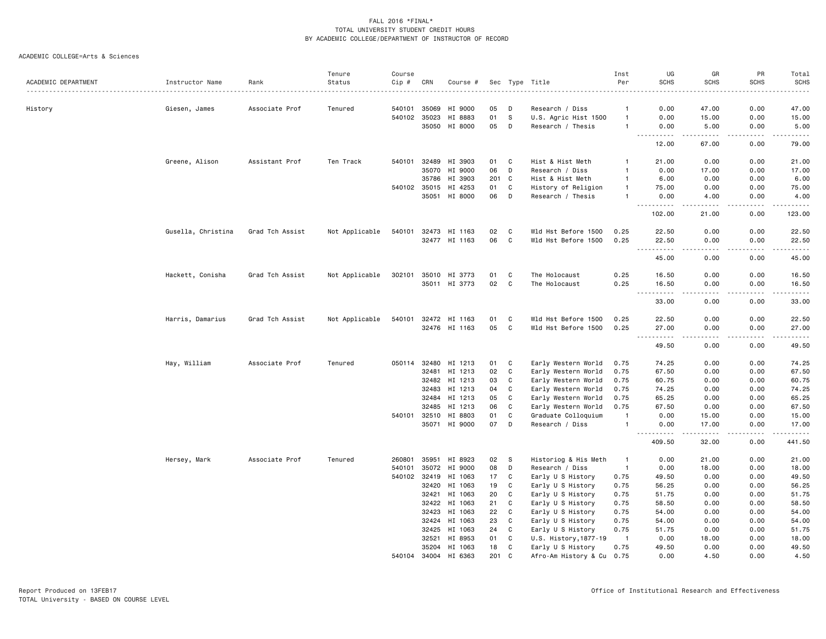|                     |                    |                 | Tenure         | Course       |                |                    |          |        |                                            | Inst               | UG                                                                                                                                                              | GR                                  | PR                          | Total                                                                                                                                                                           |
|---------------------|--------------------|-----------------|----------------|--------------|----------------|--------------------|----------|--------|--------------------------------------------|--------------------|-----------------------------------------------------------------------------------------------------------------------------------------------------------------|-------------------------------------|-----------------------------|---------------------------------------------------------------------------------------------------------------------------------------------------------------------------------|
| ACADEMIC DEPARTMENT | Instructor Name    | Rank            | Status         | Cip #<br>.   | CRN            | Course #           |          |        | Sec Type Title                             | Per                | <b>SCHS</b>                                                                                                                                                     | <b>SCHS</b>                         | <b>SCHS</b>                 | <b>SCHS</b><br>.                                                                                                                                                                |
|                     |                    |                 |                |              |                |                    |          |        |                                            |                    |                                                                                                                                                                 |                                     |                             |                                                                                                                                                                                 |
| History             | Giesen, James      | Associate Prof  | Tenured        | 540101       | 35069          | HI 9000<br>HI 8883 | 05<br>01 | D<br>S | Research / Diss                            | -1<br>$\mathbf{1}$ | 0.00<br>0.00                                                                                                                                                    | 47.00<br>15.00                      | 0.00<br>0.00                | 47.00<br>15.00                                                                                                                                                                  |
|                     |                    |                 |                | 540102 35023 |                |                    | 05       | D      | U.S. Agric Hist 1500                       | -1                 | 0.00                                                                                                                                                            | 5.00                                | 0.00                        | 5.00                                                                                                                                                                            |
|                     |                    |                 |                |              |                | 35050 HI 8000      |          |        | Research / Thesis                          |                    | $- - -$<br>$\frac{1}{2} \left( \frac{1}{2} \right) \left( \frac{1}{2} \right) \left( \frac{1}{2} \right) \left( \frac{1}{2} \right) \left( \frac{1}{2} \right)$ | .                                   | $\sim$ $\sim$ $\sim$ $\sim$ | $\frac{1}{2} \left( \frac{1}{2} \right) \left( \frac{1}{2} \right) \left( \frac{1}{2} \right) \left( \frac{1}{2} \right) \left( \frac{1}{2} \right) \left( \frac{1}{2} \right)$ |
|                     |                    |                 |                |              |                |                    |          |        |                                            |                    | 12.00                                                                                                                                                           | 67.00                               | 0.00                        | 79.00                                                                                                                                                                           |
|                     | Greene, Alison     | Assistant Prof  | Ten Track      | 540101       | 32489          | HI 3903            | 01       | C      | Hist & Hist Meth                           |                    | 21.00                                                                                                                                                           | 0.00                                | 0.00                        | 21.00                                                                                                                                                                           |
|                     |                    |                 |                |              |                | 35070 HI 9000      | 06       | D      | Research / Diss                            | $\mathbf{1}$       | 0.00                                                                                                                                                            | 17.00                               | 0.00                        | 17.00                                                                                                                                                                           |
|                     |                    |                 |                |              | 35786          | HI 3903            | 201      | C      | Hist & Hist Meth                           | -1                 | 6.00                                                                                                                                                            | 0.00                                | 0.00                        | 6.00                                                                                                                                                                            |
|                     |                    |                 |                | 540102       | 35015          | HI 4253            | 01       | C      | History of Religion                        | $\mathbf{1}$       | 75.00                                                                                                                                                           | 0.00                                | 0.00                        | 75.00                                                                                                                                                                           |
|                     |                    |                 |                |              |                | 35051 HI 8000      | 06       | D      | Research / Thesis                          | $\mathbf{1}$       | 0.00<br>$\frac{1}{2} \left( \frac{1}{2} \right) \left( \frac{1}{2} \right) \left( \frac{1}{2} \right) \left( \frac{1}{2} \right) \left( \frac{1}{2} \right)$    | 4.00<br>.                           | 0.00<br>.                   | 4.00<br>.                                                                                                                                                                       |
|                     |                    |                 |                |              |                |                    |          |        |                                            |                    | 102.00                                                                                                                                                          | 21.00                               | 0.00                        | 123.00                                                                                                                                                                          |
|                     | Gusella, Christina | Grad Tch Assist | Not Applicable | 540101       | 32473          | HI 1163            | 02       | C      | Wld Hst Before 1500                        | 0.25               | 22.50                                                                                                                                                           | 0.00                                | 0.00                        | 22.50                                                                                                                                                                           |
|                     |                    |                 |                |              |                | 32477 HI 1163      | 06       | C      | Wld Hst Before 1500                        | 0.25               | 22.50<br>$- - -$<br>.                                                                                                                                           | 0.00<br>$- - - -$                   | 0.00<br>.                   | 22.50<br>.                                                                                                                                                                      |
|                     |                    |                 |                |              |                |                    |          |        |                                            |                    | 45.00                                                                                                                                                           | 0.00                                | 0.00                        | 45.00                                                                                                                                                                           |
|                     | Hackett, Conisha   | Grad Tch Assist | Not Applicable | 302101       |                | 35010 HI 3773      | 01       | C      | The Holocaust                              | 0.25               | 16.50                                                                                                                                                           | 0.00                                | 0.00                        | 16.50                                                                                                                                                                           |
|                     |                    |                 |                |              |                | 35011 HI 3773      | 02       | C      | The Holocaust                              | 0.25               | 16.50<br>$  -$                                                                                                                                                  | 0.00                                | 0.00                        | 16.50<br>د د د د د                                                                                                                                                              |
|                     |                    |                 |                |              |                |                    |          |        |                                            |                    | 33.00                                                                                                                                                           | 0.00                                | 0.00                        | 33.00                                                                                                                                                                           |
|                     | Harris, Damarius   | Grad Tch Assist | Not Applicable | 540101       | 32472          | HI 1163            | 01       | C      | Wld Hst Before 1500                        | 0.25               | 22.50                                                                                                                                                           | 0.00                                | 0.00                        | 22.50                                                                                                                                                                           |
|                     |                    |                 |                |              |                | 32476 HI 1163      | 05       | C      | Wld Hst Before 1500                        | 0.25               | 27.00<br>$\omega_{\alpha}=\omega_{\alpha}=\omega_{\alpha}$                                                                                                      | 0.00<br>$\sim$ $\sim$ $\sim$ $\sim$ | 0.00<br>.                   | 27.00<br>$\sim$ $\sim$ $\sim$ $\sim$                                                                                                                                            |
|                     |                    |                 |                |              |                |                    |          |        |                                            |                    | 49.50                                                                                                                                                           | 0.00                                | 0.00                        | 49.50                                                                                                                                                                           |
|                     | Hay, William       | Associate Prof  | Tenured        | 050114       | 32480          | HI 1213            | 01       | C      | Early Western World                        | 0.75               | 74.25                                                                                                                                                           | 0.00                                | 0.00                        | 74.25                                                                                                                                                                           |
|                     |                    |                 |                |              | 32481          | HI 1213            | 02       | C      | Early Western World                        | 0.75               | 67.50                                                                                                                                                           | 0.00                                | 0.00                        | 67.50                                                                                                                                                                           |
|                     |                    |                 |                |              |                | 32482 HI 1213      | 03       | C      | Early Western World                        | 0.75               | 60.75                                                                                                                                                           | 0.00                                | 0.00                        | 60.75                                                                                                                                                                           |
|                     |                    |                 |                |              | 32483          | HI 1213            | 04       | C      | Early Western World                        | 0.75               | 74.25                                                                                                                                                           | 0.00                                | 0.00                        | 74.25                                                                                                                                                                           |
|                     |                    |                 |                |              | 32484          | HI 1213            | 05       | C      | Early Western World                        | 0.75               | 65.25                                                                                                                                                           | 0.00                                | 0.00                        | 65.25                                                                                                                                                                           |
|                     |                    |                 |                | 540101       | 32485<br>32510 | HI 1213<br>HI 8803 | 06<br>01 | C<br>C | Early Western World<br>Graduate Colloquium | 0.75<br>-1         | 67.50<br>0.00                                                                                                                                                   | 0.00<br>15.00                       | 0.00<br>0.00                | 67.50<br>15.00                                                                                                                                                                  |
|                     |                    |                 |                |              |                | 35071 HI 9000      | 07       | D      | Research / Diss                            | $\mathbf{1}$       | 0.00                                                                                                                                                            | 17.00                               | 0.00                        | 17.00                                                                                                                                                                           |
|                     |                    |                 |                |              |                |                    |          |        |                                            |                    | 409.50                                                                                                                                                          | 32.00                               | 0.00                        | $\frac{1}{2} \left( \frac{1}{2} \right) \left( \frac{1}{2} \right) \left( \frac{1}{2} \right) \left( \frac{1}{2} \right) \left( \frac{1}{2} \right)$<br>441.50                  |
|                     | Hersey, Mark       | Associate Prof  | Tenured        | 260801       | 35951          | HI 8923            | 02       | S      | Historiog & His Meth                       | $\mathbf{1}$       | 0.00                                                                                                                                                            | 21.00                               | 0.00                        | 21.00                                                                                                                                                                           |
|                     |                    |                 |                | 540101       |                | 35072 HI 9000      | 08       | D      | Research / Diss                            | $\overline{1}$     | 0.00                                                                                                                                                            | 18.00                               | 0.00                        | 18.00                                                                                                                                                                           |
|                     |                    |                 |                | 540102       | 32419          | HI 1063            | 17       | C      | Early U S History                          | 0.75               | 49.50                                                                                                                                                           | 0.00                                | 0.00                        | 49.50                                                                                                                                                                           |
|                     |                    |                 |                |              | 32420          | HI 1063            | 19       | C      | Early U S History                          | 0.75               | 56.25                                                                                                                                                           | 0.00                                | 0.00                        | 56.25                                                                                                                                                                           |
|                     |                    |                 |                |              | 32421          | HI 1063            | 20       | C      | Early U S History                          | 0.75               | 51.75                                                                                                                                                           | 0.00                                | 0.00                        | 51.75                                                                                                                                                                           |
|                     |                    |                 |                |              | 32422          | HI 1063            | 21       | C      | Early U S History                          | 0.75               | 58.50                                                                                                                                                           | 0.00                                | 0.00                        | 58.50                                                                                                                                                                           |
|                     |                    |                 |                |              | 32423          | HI 1063            | 22       | C      | Early U S History                          | 0.75               | 54.00                                                                                                                                                           | 0.00                                | 0.00                        | 54.00                                                                                                                                                                           |
|                     |                    |                 |                |              | 32424          | HI 1063            | 23       | C      | Early U S History                          | 0.75               | 54.00                                                                                                                                                           | 0.00                                | 0.00                        | 54.00                                                                                                                                                                           |
|                     |                    |                 |                |              | 32425          | HI 1063            | 24       | C      | Early U S History                          | 0.75               | 51.75                                                                                                                                                           | 0.00                                | 0.00                        | 51.75                                                                                                                                                                           |
|                     |                    |                 |                |              | 32521          | HI 8953            | 01       | C      | U.S. History, 1877-19                      | $\blacksquare$     | 0.00                                                                                                                                                            | 18.00                               | 0.00                        | 18.00                                                                                                                                                                           |
|                     |                    |                 |                |              | 35204          | HI 1063            | 18       | C      | Early U S History                          | 0.75               | 49.50                                                                                                                                                           | 0.00                                | 0.00                        | 49.50                                                                                                                                                                           |
|                     |                    |                 |                | 540104       | 34004          | HI 6363            | 201      | C      | Afro-Am History & Cu                       | 0.75               | 0.00                                                                                                                                                            | 4.50                                | 0.00                        | 4.50                                                                                                                                                                            |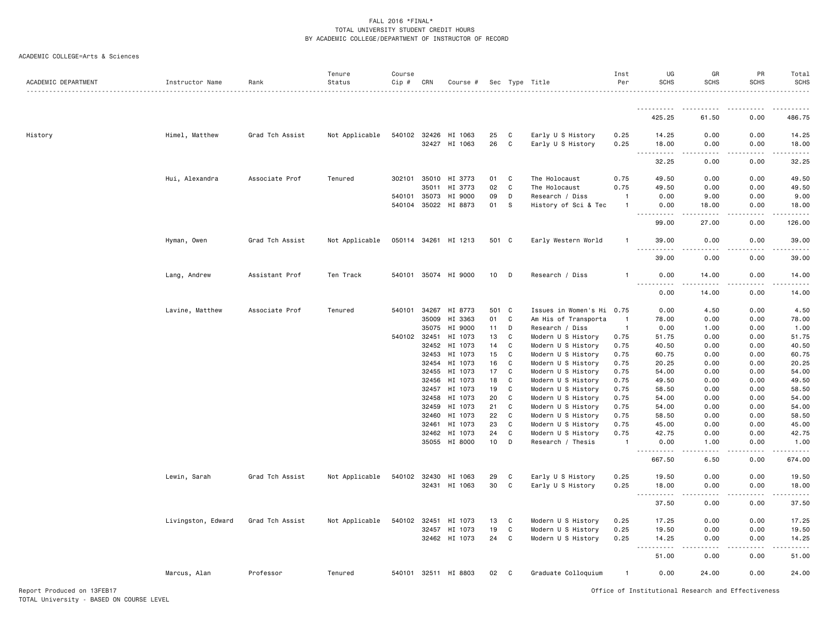|  | ACADEMIC COLLEGE=Arts & Sciences |  |  |
|--|----------------------------------|--|--|
|--|----------------------------------|--|--|

| ACADEMIC DEPARTMENT | Instructor Name    | Rank            | Tenure<br>Status | Course<br>Cip # | CRN            | Course #             |          |        | Sec Type Title                           | Inst<br>Per    | UG<br><b>SCHS</b>                  | GR<br><b>SCHS</b>     | PR<br><b>SCHS</b> | Total<br><b>SCHS</b> |
|---------------------|--------------------|-----------------|------------------|-----------------|----------------|----------------------|----------|--------|------------------------------------------|----------------|------------------------------------|-----------------------|-------------------|----------------------|
|                     |                    |                 |                  |                 |                |                      |          |        |                                          |                | <b></b>                            | .                     | -----             | .                    |
|                     |                    |                 |                  |                 |                |                      |          |        |                                          |                | 425.25                             | 61.50                 | 0.00              | 486.75               |
| History             | Himel, Matthew     | Grad Tch Assist | Not Applicable   |                 | 540102 32426   | HI 1063              | 25       | C      | Early U S History                        | 0.25           | 14.25                              | 0.00                  | 0.00              | 14.25                |
|                     |                    |                 |                  |                 |                | 32427 HI 1063        | 26       | C      | Early U S History                        | 0.25           | 18.00<br>$\sim$ $\sim$ $\sim$<br>. | 0.00                  | 0.00              | 18.00                |
|                     |                    |                 |                  |                 |                |                      |          |        |                                          |                | 32.25                              | 0.00                  | 0.00              | 32.25                |
|                     | Hui, Alexandra     | Associate Prof  | Tenured          | 302101          | 35010          | HI 3773              | 01       | C      | The Holocaust                            | 0.75           | 49.50                              | 0.00                  | 0.00              | 49.50                |
|                     |                    |                 |                  |                 | 35011          | HI 3773              | 02       | C      | The Holocaust                            | 0.75           | 49.50                              | 0.00                  | 0.00              | 49.50                |
|                     |                    |                 |                  |                 | 540101 35073   | HI 9000              | 09       | D      | Research / Diss                          | $\mathbf{1}$   | 0.00                               | 9.00                  | 0.00              | 9.00                 |
|                     |                    |                 |                  |                 | 540104 35022   | HI 8873              | 01       | -S     | History of Sci & Tec                     | $\mathbf{1}$   | 0.00<br>.                          | 18.00                 | 0.00              | 18.00                |
|                     |                    |                 |                  |                 |                |                      |          |        |                                          |                | 99.00                              | 27.00                 | 0.00              | 126.00               |
|                     | Hyman, Owen        | Grad Tch Assist | Not Applicable   |                 |                | 050114 34261 HI 1213 | 501 C    |        | Early Western World                      | $\mathbf{1}$   | 39.00                              | 0.00                  | 0.00              | 39.00                |
|                     |                    |                 |                  |                 |                |                      |          |        |                                          |                | 39.00                              | 0.00                  | 0.00              | 39.00                |
|                     | Lang, Andrew       | Assistant Prof  | Ten Track        |                 |                | 540101 35074 HI 9000 | 10       | D      | Research / Diss                          | 1              | 0.00<br>----------                 | 14.00                 | 0.00              | 14.00                |
|                     |                    |                 |                  |                 |                |                      |          |        |                                          |                | 0.00                               | 14.00                 | 0.00              | 14.00                |
|                     | Lavine, Matthew    | Associate Prof  | Tenured          | 540101          | 34267          | HI 8773              | 501 C    |        | Issues in Women's Hi                     | 0.75           | 0.00                               | 4.50                  | 0.00              | 4.50                 |
|                     |                    |                 |                  |                 | 35009          | HI 3363              | 01       | C      | Am His of Transporta                     | -1             | 78.00                              | 0.00                  | 0.00              | 78.00                |
|                     |                    |                 |                  |                 | 35075          | HI 9000              | 11       | D      | Research / Diss                          | $\mathbf{1}$   | 0.00                               | 1.00                  | 0.00              | 1.00                 |
|                     |                    |                 |                  |                 | 540102 32451   | HI 1073              | 13       | C      | Modern U S History                       | 0.75           | 51.75                              | 0.00                  | 0.00              | 51.75                |
|                     |                    |                 |                  |                 | 32452          | HI 1073              | 14       | C      | Modern U S History                       | 0.75           | 40.50                              | 0.00                  | 0.00              | 40.50                |
|                     |                    |                 |                  |                 | 32453          | HI 1073              | 15       | C      | Modern U S History                       | 0.75           | 60.75                              | 0.00                  | 0.00              | 60.75                |
|                     |                    |                 |                  |                 | 32454          | HI 1073              | 16       | C      | Modern U S History                       | 0.75           | 20.25                              | 0.00                  | 0.00              | 20.25                |
|                     |                    |                 |                  |                 | 32455<br>32456 | HI 1073<br>HI 1073   | 17<br>18 | C<br>C | Modern U S History<br>Modern U S History | 0.75<br>0.75   | 54.00<br>49.50                     | 0.00<br>0.00          | 0.00<br>0.00      | 54.00<br>49.50       |
|                     |                    |                 |                  |                 | 32457          | HI 1073              | 19       | C      | Modern U S History                       | 0.75           | 58.50                              | 0.00                  | 0.00              | 58.50                |
|                     |                    |                 |                  |                 | 32458          | HI 1073              | 20       | C      | Modern U S History                       | 0.75           | 54.00                              | 0.00                  | 0.00              | 54.00                |
|                     |                    |                 |                  |                 | 32459          | HI 1073              | 21       | C      | Modern U S History                       | 0.75           | 54.00                              | 0.00                  | 0.00              | 54.00                |
|                     |                    |                 |                  |                 | 32460          | HI 1073              | 22       | C      | Modern U S History                       | 0.75           | 58.50                              | 0.00                  | 0.00              | 58.50                |
|                     |                    |                 |                  |                 | 32461          | HI 1073              | 23       | C      | Modern U S History                       | 0.75           | 45.00                              | 0.00                  | 0.00              | 45.00                |
|                     |                    |                 |                  |                 | 32462          | HI 1073              | 24       | C      | Modern U S History                       | 0.75           | 42.75                              | 0.00                  | 0.00              | 42.75                |
|                     |                    |                 |                  |                 |                | 35055 HI 8000        | 10       | D      | Research / Thesis                        | $\overline{1}$ | 0.00                               | 1.00                  | 0.00              | 1.00                 |
|                     |                    |                 |                  |                 |                |                      |          |        |                                          |                | .<br>667.50                        | 6.50                  | 0.00              | 674.00               |
|                     | Lewin, Sarah       | Grad Tch Assist | Not Applicable   |                 |                | 540102 32430 HI 1063 | 29       | C      | Early U S History                        | 0.25           | 19.50                              | 0.00                  | 0.00              | 19.50                |
|                     |                    |                 |                  |                 |                | 32431 HI 1063        | 30       | C      | Early U S History                        | 0.25           | 18.00<br><b></b>                   | 0.00<br>$\frac{1}{2}$ | 0.00              | 18.00                |
|                     |                    |                 |                  |                 |                |                      |          |        |                                          |                | 37.50                              | 0.00                  | 0.00              | 37.50                |
|                     | Livingston, Edward | Grad Tch Assist | Not Applicable   |                 | 540102 32451   | HI 1073              | 13       | C      | Modern U S History                       | 0.25           | 17.25                              | 0.00                  | 0.00              | 17.25                |
|                     |                    |                 |                  |                 | 32457          | HI 1073              | 19       | C      | Modern U S History                       | 0.25           | 19.50                              | 0.00                  | 0.00              | 19.50                |
|                     |                    |                 |                  |                 |                | 32462 HI 1073        | 24       | C      | Modern U S History                       | 0.25           | 14.25<br>.                         | 0.00                  | 0.00              | 14.25                |
|                     |                    |                 |                  |                 |                |                      |          |        |                                          |                | 51.00                              | 0.00                  | 0.00              | 51.00                |
|                     | Marcus, Alan       | Professor       | Tenured          |                 |                | 540101 32511 HI 8803 | 02 C     |        | Graduate Colloquium                      | $\mathbf{1}$   | 0.00                               | 24.00                 | 0.00              | 24.00                |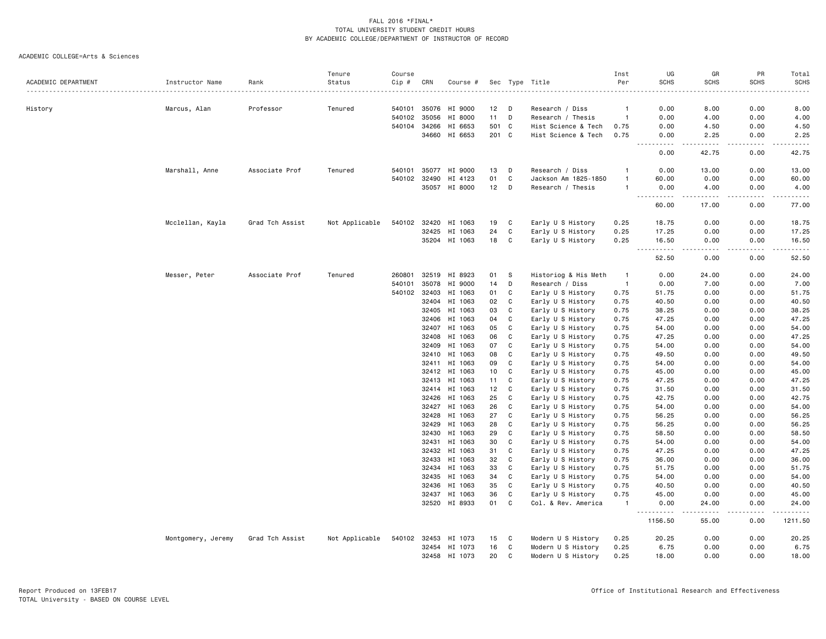|                     |                    |                 | Tenure         | Course       |              |                      |       |    |                      | Inst           | UG                                                                                                                                | GR          | PR          | Total          |
|---------------------|--------------------|-----------------|----------------|--------------|--------------|----------------------|-------|----|----------------------|----------------|-----------------------------------------------------------------------------------------------------------------------------------|-------------|-------------|----------------|
| ACADEMIC DEPARTMENT | Instructor Name    | Rank            | Status         | Cip #        | CRN          | Course #             |       |    | Sec Type Title       | Per            | <b>SCHS</b>                                                                                                                       | <b>SCHS</b> | <b>SCHS</b> | <b>SCHS</b>    |
|                     |                    |                 |                |              |              |                      |       |    |                      |                |                                                                                                                                   |             |             |                |
| History             | Marcus, Alan       | Professor       | Tenured        |              |              | 540101 35076 HI 9000 | 12    | D  | Research / Diss      | $\overline{1}$ | 0.00                                                                                                                              | 8.00        | 0.00        | 8.00           |
|                     |                    |                 |                | 540102       | 35056        | HI 8000              | 11    | D  | Research / Thesis    | $\overline{1}$ | 0.00                                                                                                                              | 4.00        | 0.00        | 4.00           |
|                     |                    |                 |                | 540104       | 34266        | HI 6653              | 501 C |    | Hist Science & Tech  | 0.75           | 0.00                                                                                                                              | 4.50        | 0.00        | 4.50           |
|                     |                    |                 |                |              |              | 34660 HI 6653        | 201 C |    | Hist Science & Tech  | 0.75           | 0.00<br>$\frac{1}{2} \left( \frac{1}{2} \right) \left( \frac{1}{2} \right) \left( \frac{1}{2} \right) \left( \frac{1}{2} \right)$ | 2.25<br>.   | 0.00        | 2.25           |
|                     |                    |                 |                |              |              |                      |       |    |                      |                | 0.00                                                                                                                              | 42.75       | 0.00        | 42.75          |
|                     | Marshall, Anne     | Associate Prof  | Tenured        | 540101       | 35077        | HI 9000              | 13    | D  | Research / Diss      | -1             | 0.00                                                                                                                              | 13.00       | 0.00        | 13.00          |
|                     |                    |                 |                |              | 540102 32490 | HI 4123              | 01    | C  | Jackson Am 1825-1850 | -1             | 60.00                                                                                                                             | 0.00        | 0.00        | 60.00          |
|                     |                    |                 |                |              |              | 35057 HI 8000        | 12    | D  | Research / Thesis    | $\overline{1}$ | 0.00<br>$\sim$ $\sim$<br>.                                                                                                        | 4.00        | 0.00        | 4.00<br>$   -$ |
|                     |                    |                 |                |              |              |                      |       |    |                      |                | 60.00                                                                                                                             | 17.00       | 0.00        | 77.00          |
|                     | Mcclellan, Kayla   | Grad Tch Assist | Not Applicable | 540102 32420 |              | HI 1063              | 19    | C  | Early U S History    | 0.25           | 18.75                                                                                                                             | 0.00        | 0.00        | 18.75          |
|                     |                    |                 |                |              | 32425        | HI 1063              | 24    | C  | Early U S History    | 0.25           | 17.25                                                                                                                             | 0.00        | 0.00        | 17.25          |
|                     |                    |                 |                |              |              | 35204 HI 1063        | 18    | C  | Early U S History    | 0.25           | 16.50<br>$\sim$ $\sim$ $\sim$<br>$- - - - -$                                                                                      | 0.00        | 0.00        | 16.50<br>.     |
|                     |                    |                 |                |              |              |                      |       |    |                      |                | 52.50                                                                                                                             | 0.00        | 0.00        | 52.50          |
|                     | Messer, Peter      | Associate Prof  | Tenured        | 260801       | 32519        | HI 8923              | 01    | -S | Historiog & His Meth | - 1            | 0.00                                                                                                                              | 24.00       | 0.00        | 24.00          |
|                     |                    |                 |                | 540101       | 35078        | HI 9000              | 14    | D  | Research / Diss      | $\overline{1}$ | 0.00                                                                                                                              | 7.00        | 0.00        | 7.00           |
|                     |                    |                 |                | 540102       | 32403        | HI 1063              | 01    | C  | Early U S History    | 0.75           | 51.75                                                                                                                             | 0.00        | 0.00        | 51.75          |
|                     |                    |                 |                |              | 32404        | HI 1063              | 02    | C  | Early U S History    | 0.75           | 40.50                                                                                                                             | 0.00        | 0.00        | 40.50          |
|                     |                    |                 |                |              | 32405        | HI 1063              | 03    | C  | Early U S History    | 0.75           | 38.25                                                                                                                             | 0.00        | 0.00        | 38.25          |
|                     |                    |                 |                |              |              | 32406 HI 1063        | 04    | C  | Early U S History    | 0.75           | 47.25                                                                                                                             | 0.00        | 0.00        | 47.25          |
|                     |                    |                 |                |              | 32407        | HI 1063              | 05    | C  | Early U S History    | 0.75           | 54.00                                                                                                                             | 0.00        | 0.00        | 54.00          |
|                     |                    |                 |                |              | 32408        | HI 1063              | 06    | C  | Early U S History    | 0.75           | 47.25                                                                                                                             | 0.00        | 0.00        | 47.25          |
|                     |                    |                 |                |              | 32409        | HI 1063              | 07    | C  | Early U S History    | 0.75           | 54.00                                                                                                                             | 0.00        | 0.00        | 54.00          |
|                     |                    |                 |                |              | 32410        | HI 1063              | 08    | C  | Early U S History    | 0.75           | 49.50                                                                                                                             | 0.00        | 0.00        | 49.50          |
|                     |                    |                 |                |              | 32411        | HI 1063              | 09    | C  | Early U S History    | 0.75           | 54.00                                                                                                                             | 0.00        | 0.00        | 54.00          |
|                     |                    |                 |                |              |              | 32412 HI 1063        | 10    | C  | Early U S History    | 0.75           | 45.00                                                                                                                             | 0.00        | 0.00        | 45.00          |
|                     |                    |                 |                |              | 32413        | HI 1063              | 11    | C  | Early U S History    | 0.75           | 47.25                                                                                                                             | 0.00        | 0.00        | 47.25          |
|                     |                    |                 |                |              | 32414        | HI 1063              | 12    | C  | Early U S History    | 0.75           | 31.50                                                                                                                             | 0.00        | 0.00        | 31.50          |
|                     |                    |                 |                |              | 32426        | HI 1063              | 25    | C  | Early U S History    | 0.75           | 42.75                                                                                                                             | 0.00        | 0.00        | 42.75          |
|                     |                    |                 |                |              | 32427        | HI 1063              | 26    | C  | Early U S History    | 0.75           | 54.00                                                                                                                             | 0.00        | 0.00        | 54.00          |
|                     |                    |                 |                |              | 32428        | HI 1063              | 27    | C  | Early U S History    | 0.75           | 56.25                                                                                                                             | 0.00        | 0.00        | 56.25          |
|                     |                    |                 |                |              | 32429        | HI 1063              | 28    | C  | Early U S History    | 0.75           | 56.25                                                                                                                             | 0.00        | 0.00        | 56.25          |
|                     |                    |                 |                |              | 32430        | HI 1063              | 29    | C  | Early U S History    | 0.75           | 58.50                                                                                                                             | 0.00        | 0.00        | 58.50          |
|                     |                    |                 |                |              | 32431        | HI 1063              | 30    | C  | Early U S History    | 0.75           | 54.00                                                                                                                             | 0.00        | 0.00        | 54.00          |
|                     |                    |                 |                |              |              | 32432 HI 1063        | 31    | C  | Early U S History    | 0.75           | 47.25                                                                                                                             | 0.00        | 0.00        | 47.25          |
|                     |                    |                 |                |              | 32433        | HI 1063              | 32    | C  | Early U S History    | 0.75           | 36.00                                                                                                                             | 0.00        | 0.00        | 36.00          |
|                     |                    |                 |                |              | 32434        | HI 1063              | 33    | C  | Early U S History    | 0.75           | 51.75                                                                                                                             | 0.00        | 0.00        | 51.75          |
|                     |                    |                 |                |              | 32435        | HI 1063              | 34    | C  | Early U S History    | 0.75           | 54.00                                                                                                                             | 0.00        | 0.00        | 54.00          |
|                     |                    |                 |                |              | 32436        | HI 1063              | 35    | C  | Early U S History    | 0.75           | 40.50                                                                                                                             | 0.00        | 0.00        | 40.50          |
|                     |                    |                 |                |              | 32437        | HI 1063              | 36    | C  | Early U S History    | 0.75           | 45.00                                                                                                                             | 0.00        | 0.00        | 45.00          |
|                     |                    |                 |                |              |              | 32520 HI 8933        | 01    | C  | Col. & Rev. America  | $\overline{1}$ | 0.00                                                                                                                              | 24.00       | 0.00        | 24.00          |
|                     |                    |                 |                |              |              |                      |       |    |                      |                | $- - -$<br>1156.50                                                                                                                | 55.00       | 0.00        | 1211.50        |
|                     | Montgomery, Jeremy | Grad Tch Assist | Not Applicable | 540102 32453 |              | HI 1073              | 15    | C  | Modern U S History   | 0.25           | 20.25                                                                                                                             | 0.00        | 0.00        | 20.25          |
|                     |                    |                 |                |              |              | 32454 HI 1073        | 16    | C  | Modern U S History   | 0.25           | 6.75                                                                                                                              | 0.00        | 0.00        | 6.75           |
|                     |                    |                 |                |              |              | 32458 HI 1073        | 20    | C  | Modern U S History   | 0.25           | 18.00                                                                                                                             | 0.00        | 0.00        | 18.00          |
|                     |                    |                 |                |              |              |                      |       |    |                      |                |                                                                                                                                   |             |             |                |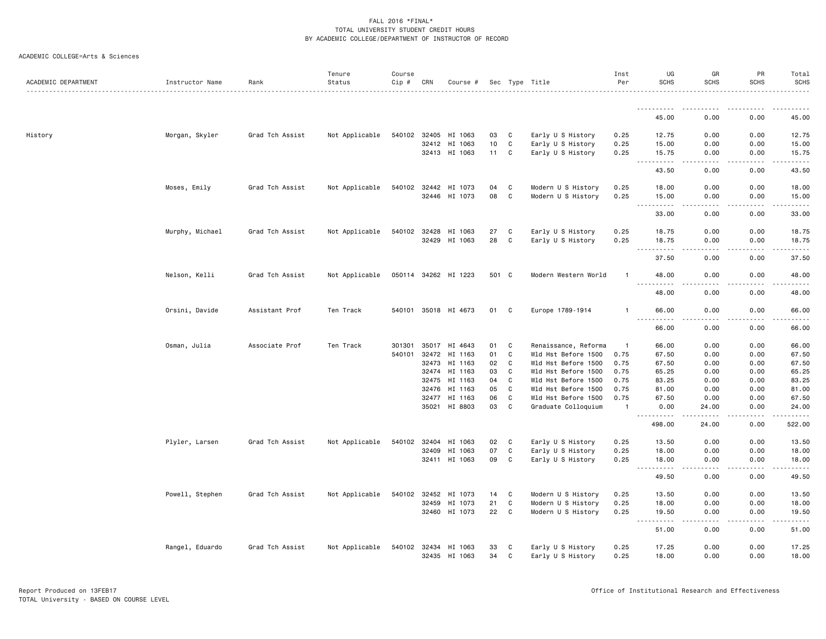|  | ACADEMIC COLLEGE=Arts & Sciences |  |  |
|--|----------------------------------|--|--|
|--|----------------------------------|--|--|

| ACADEMIC DEPARTMENT | Instructor Name | Rank            | Tenure<br>Status | Course<br>$Cip \#$ | CRN            | Course #             |          |                   | Sec Type Title                             | Inst<br>Per  | UG<br><b>SCHS</b>                                                                                                                 | GR<br><b>SCHS</b>    | PR<br><b>SCHS</b> | Total<br><b>SCHS</b> |
|---------------------|-----------------|-----------------|------------------|--------------------|----------------|----------------------|----------|-------------------|--------------------------------------------|--------------|-----------------------------------------------------------------------------------------------------------------------------------|----------------------|-------------------|----------------------|
|                     |                 |                 |                  |                    |                |                      |          |                   |                                            |              |                                                                                                                                   |                      |                   |                      |
|                     |                 |                 |                  |                    |                |                      |          |                   |                                            |              | 45.00                                                                                                                             | 0.00                 | 0.00              | 45.00                |
| History             | Morgan, Skyler  | Grad Tch Assist | Not Applicable   |                    | 540102 32405   | HI 1063              | 03       | C                 | Early U S History                          | 0.25         | 12.75                                                                                                                             | 0.00                 | 0.00              | 12.75                |
|                     |                 |                 |                  |                    | 32412          | HI 1063              | 10       | C                 | Early U S History                          | 0.25         | 15.00                                                                                                                             | 0.00                 | 0.00              | 15.00                |
|                     |                 |                 |                  |                    |                | 32413 HI 1063        | 11       | $\mathbf{C}$      | Early U S History                          | 0.25         | 15.75<br>$\sim$ $\sim$ $\sim$<br>.                                                                                                | 0.00                 | 0.00              | 15.75                |
|                     |                 |                 |                  |                    |                |                      |          |                   |                                            |              | 43.50                                                                                                                             | 0.00                 | 0.00              | 43.50                |
|                     | Moses, Emily    | Grad Tch Assist | Not Applicable   |                    | 540102 32442   | HI 1073              | 04       | C                 | Modern U S History                         | 0.25         | 18.00                                                                                                                             | 0.00                 | 0.00              | 18.00                |
|                     |                 |                 |                  |                    | 32446          | HI 1073              | 08       | $\mathtt{C}$      | Modern U S History                         | 0.25         | 15.00<br>$\cdots \cdots \cdots$<br>$\frac{1}{2} \left( \frac{1}{2} \right) \left( \frac{1}{2} \right) \left( \frac{1}{2} \right)$ | 0.00<br>.            | 0.00<br>.         | 15.00<br>.           |
|                     |                 |                 |                  |                    |                |                      |          |                   |                                            |              | 33.00                                                                                                                             | 0.00                 | 0.00              | 33.00                |
|                     | Murphy, Michael | Grad Tch Assist | Not Applicable   |                    | 540102 32428   | HI 1063              | 27       | C                 | Early U S History                          | 0.25         | 18.75                                                                                                                             | 0.00                 | 0.00              | 18.75                |
|                     |                 |                 |                  |                    | 32429          | HI 1063              | 28       | C                 | Early U S History                          | 0.25         | 18.75<br>.                                                                                                                        | 0.00<br>.            | 0.00<br>.         | 18.75<br>.           |
|                     |                 |                 |                  |                    |                |                      |          |                   |                                            |              | 37.50                                                                                                                             | 0.00                 | 0.00              | 37.50                |
|                     | Nelson, Kelli   | Grad Tch Assist | Not Applicable   |                    |                | 050114 34262 HI 1223 | 501 C    |                   | Modern Western World                       |              | 48.00<br>.                                                                                                                        | 0.00<br>. <u>.</u> . | 0.00<br>.         | 48.00<br>.           |
|                     |                 |                 |                  |                    |                |                      |          |                   |                                            |              | 48.00                                                                                                                             | 0.00                 | 0.00              | 48.00                |
|                     | Orsini, Davide  | Assistant Prof  | Ten Track        |                    |                | 540101 35018 HI 4673 | 01       | C                 | Europe 1789-1914                           | $\mathbf{1}$ | 66.00<br>.                                                                                                                        | 0.00<br>.            | 0.00<br>.         | 66.00<br>.           |
|                     |                 |                 |                  |                    |                |                      |          |                   |                                            |              | 66.00                                                                                                                             | 0.00                 | 0.00              | 66.00                |
|                     | Osman, Julia    | Associate Prof  | Ten Track        | 301301             | 35017          | HI 4643              | 01       | C                 | Renaissance, Reforma                       | -1           | 66.00                                                                                                                             | 0.00                 | 0.00              | 66.00                |
|                     |                 |                 |                  | 540101             | 32472          | HI 1163              | 01       | $\mathtt{C}$      | Wld Hst Before 1500                        | 0.75         | 67.50                                                                                                                             | 0.00                 | 0.00              | 67.50                |
|                     |                 |                 |                  |                    | 32473          | HI 1163              | 02       | C                 | Wld Hst Before 1500                        | 0.75         | 67.50                                                                                                                             | 0.00                 | 0.00              | 67.50                |
|                     |                 |                 |                  |                    | 32474          | HI 1163              | 03       | C                 | Wld Hst Before 1500                        | 0.75         | 65.25                                                                                                                             | 0.00                 | 0.00              | 65.25                |
|                     |                 |                 |                  |                    | 32475          | HI 1163              | 04<br>05 | C<br>$\mathtt{C}$ | Wld Hst Before 1500                        | 0.75<br>0.75 | 83.25                                                                                                                             | 0.00                 | 0.00              | 83.25<br>81.00       |
|                     |                 |                 |                  |                    | 32476<br>32477 | HI 1163<br>HI 1163   | 06       | C                 | Wld Hst Before 1500<br>Wld Hst Before 1500 | 0.75         | 81.00<br>67.50                                                                                                                    | 0.00<br>0.00         | 0.00<br>0.00      | 67.50                |
|                     |                 |                 |                  |                    | 35021          | HI 8803              | 03       | C                 | Graduate Colloquium                        | $\mathbf{1}$ | 0.00                                                                                                                              | 24.00                | 0.00              | 24.00                |
|                     |                 |                 |                  |                    |                |                      |          |                   |                                            |              | <u>.</u><br>498.00                                                                                                                | -----<br>24.00       | .<br>0.00         | <u>.</u><br>522.00   |
|                     | Plyler, Larsen  | Grad Tch Assist | Not Applicable   |                    | 540102 32404   | HI 1063              | 02       | C                 | Early U S History                          | 0.25         | 13.50                                                                                                                             | 0.00                 | 0.00              | 13.50                |
|                     |                 |                 |                  |                    | 32409          | HI 1063              | 07       | $\mathtt{C}$      | Early U S History                          | 0.25         | 18.00                                                                                                                             | 0.00                 | 0.00              | 18.00                |
|                     |                 |                 |                  |                    |                | 32411 HI 1063        | 09       | C                 | Early U S History                          | 0.25         | 18.00<br>.<br>$\sim$ $\sim$ $\sim$                                                                                                | 0.00<br>.            | 0.00              | 18.00<br>.           |
|                     |                 |                 |                  |                    |                |                      |          |                   |                                            |              | 49.50                                                                                                                             | 0.00                 | 0.00              | 49.50                |
|                     | Powell, Stephen | Grad Tch Assist | Not Applicable   |                    | 540102 32452   | HI 1073              | 14       | $\mathbf{C}$      | Modern U S History                         | 0.25         | 13.50                                                                                                                             | 0.00                 | 0.00              | 13.50                |
|                     |                 |                 |                  |                    | 32459          | HI 1073              | 21       | C                 | Modern U S History                         | 0.25         | 18.00                                                                                                                             | 0.00                 | 0.00              | 18.00                |
|                     |                 |                 |                  |                    |                | 32460 HI 1073        | 22       | $\mathbf c$       | Modern U S History                         | 0.25         | 19.50<br>المتمام المتحدة                                                                                                          | 0.00                 | 0.00              | 19.50<br>.           |
|                     |                 |                 |                  |                    |                |                      |          |                   |                                            |              | 51.00                                                                                                                             | 0.00                 | 0.00              | 51.00                |
|                     | Rangel, Eduardo | Grad Tch Assist | Not Applicable   |                    | 540102 32434   | HI 1063              | 33       | C                 | Early U S History                          | 0.25         | 17.25                                                                                                                             | 0.00                 | 0.00              | 17.25                |
|                     |                 |                 |                  |                    |                | 32435 HI 1063        | 34       | C                 | Early U S History                          | 0.25         | 18.00                                                                                                                             | 0.00                 | 0.00              | 18.00                |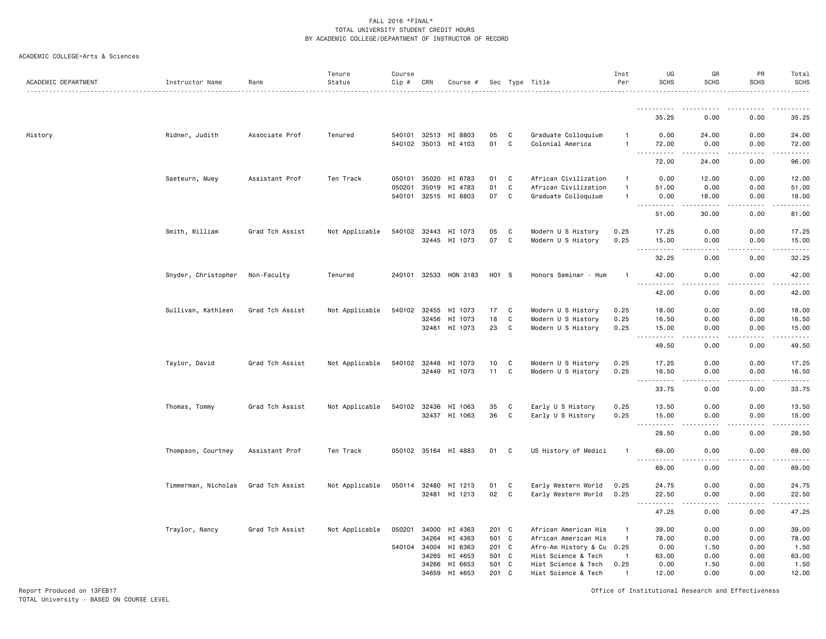#### ACADEMIC COLLEGE=Arts & Sciences

| ACADEMIC DEPARTMENT | Instructor Name     | Rank            | Tenure<br>Status | Course<br>Cip # | CRN   | Course #                                     |          |                  | Sec Type Title                          | Inst<br>Per                    | UG<br><b>SCHS</b>                                                                                                                                                                                                                                                                                                                                                                                                                                                                                                       | GR<br>SCHS      | PR<br><b>SCHS</b>                                                                                                                 | Total<br><b>SCHS</b><br>. |
|---------------------|---------------------|-----------------|------------------|-----------------|-------|----------------------------------------------|----------|------------------|-----------------------------------------|--------------------------------|-------------------------------------------------------------------------------------------------------------------------------------------------------------------------------------------------------------------------------------------------------------------------------------------------------------------------------------------------------------------------------------------------------------------------------------------------------------------------------------------------------------------------|-----------------|-----------------------------------------------------------------------------------------------------------------------------------|---------------------------|
|                     |                     |                 |                  |                 |       |                                              |          |                  |                                         |                                | <u>.</u>                                                                                                                                                                                                                                                                                                                                                                                                                                                                                                                |                 | $\frac{1}{2}$                                                                                                                     | .                         |
|                     |                     |                 |                  |                 |       |                                              |          |                  |                                         |                                | 35.25                                                                                                                                                                                                                                                                                                                                                                                                                                                                                                                   | 0.00            | 0.00                                                                                                                              | 35.25                     |
| History             | Ridner, Judith      | Associate Prof  | Tenured          |                 |       | 540101 32513 HI 8803<br>540102 35013 HI 4103 | 05<br>01 | C<br>$\mathbf C$ | Graduate Colloquium<br>Colonial America | $\mathbf{1}$<br>$\mathbf{1}$   | 0.00<br>72.00                                                                                                                                                                                                                                                                                                                                                                                                                                                                                                           | 24.00<br>0.00   | 0.00<br>0.00                                                                                                                      | 24.00<br>72.00            |
|                     |                     |                 |                  |                 |       |                                              |          |                  |                                         |                                | $\sim$ $\sim$ $\sim$<br>$\begin{array}{cccccccccccccc} \multicolumn{2}{c}{} & \multicolumn{2}{c}{} & \multicolumn{2}{c}{} & \multicolumn{2}{c}{} & \multicolumn{2}{c}{} & \multicolumn{2}{c}{} & \multicolumn{2}{c}{} & \multicolumn{2}{c}{} & \multicolumn{2}{c}{} & \multicolumn{2}{c}{} & \multicolumn{2}{c}{} & \multicolumn{2}{c}{} & \multicolumn{2}{c}{} & \multicolumn{2}{c}{} & \multicolumn{2}{c}{} & \multicolumn{2}{c}{} & \multicolumn{2}{c}{} & \multicolumn{2}{c}{} & \multicolumn{2}{c}{} & \$<br>72.00 | .<br>24.00      | .<br>0.00                                                                                                                         | .<br>96.00                |
|                     | Saeteurn, Muey      | Assistant Prof  | Ten Track        | 050101          | 35020 | HI 6783                                      | 01       | C                | African Civilization                    | $\mathbf{1}$                   | 0.00                                                                                                                                                                                                                                                                                                                                                                                                                                                                                                                    | 12.00           | 0.00                                                                                                                              | 12.00                     |
|                     |                     |                 |                  | 050201          | 35019 | HI 4783                                      | 01       | C<br>$\mathbf c$ | African Civilization                    | $\overline{1}$<br>$\mathbf{1}$ | 51.00                                                                                                                                                                                                                                                                                                                                                                                                                                                                                                                   | 0.00            | 0.00                                                                                                                              | 51.00                     |
|                     |                     |                 |                  |                 |       | 540101 32515 HI 8803                         | 07       |                  | Graduate Colloquium                     |                                | 0.00<br>$\sim$ $\sim$ $\sim$<br>-----                                                                                                                                                                                                                                                                                                                                                                                                                                                                                   | 18.00           | 0.00<br>$\frac{1}{2} \left( \frac{1}{2} \right) \left( \frac{1}{2} \right) \left( \frac{1}{2} \right) \left( \frac{1}{2} \right)$ | 18.00<br>$    -$          |
|                     |                     |                 |                  |                 |       |                                              |          |                  |                                         |                                | 51.00                                                                                                                                                                                                                                                                                                                                                                                                                                                                                                                   | 30.00           | 0.00                                                                                                                              | 81.00                     |
|                     | Smith, William      | Grad Tch Assist | Not Applicable   | 540102 32443    |       | HI 1073                                      | 05       | C                | Modern U S History                      | 0.25                           | 17.25                                                                                                                                                                                                                                                                                                                                                                                                                                                                                                                   | 0.00            | 0.00                                                                                                                              | 17.25                     |
|                     |                     |                 |                  |                 |       | 32445 HI 1073                                | 07       | $\mathbf C$      | Modern U S History                      | 0.25                           | 15.00<br>$\sim$ $\sim$ $\sim$<br>.                                                                                                                                                                                                                                                                                                                                                                                                                                                                                      | 0.00<br>$- - -$ | 0.00<br>$\sim$ $\sim$ $\sim$ $\sim$                                                                                               | 15.00<br>د د د د د        |
|                     |                     |                 |                  |                 |       |                                              |          |                  |                                         |                                | 32.25                                                                                                                                                                                                                                                                                                                                                                                                                                                                                                                   | 0.00            | 0.00                                                                                                                              | 32.25                     |
|                     | Snyder, Christopher | Non-Faculty     | Tenured          |                 |       | 240101 32533 HON 3183                        | H01 S    |                  | Honors Seminar - Hum                    | $\overline{1}$                 | 42.00<br>$ -$<br>.                                                                                                                                                                                                                                                                                                                                                                                                                                                                                                      | 0.00<br>.       | 0.00<br>.                                                                                                                         | 42.00<br>.                |
|                     |                     |                 |                  |                 |       |                                              |          |                  |                                         |                                | 42.00                                                                                                                                                                                                                                                                                                                                                                                                                                                                                                                   | 0.00            | 0.00                                                                                                                              | 42.00                     |
|                     | Sullivan, Kathleen  | Grad Tch Assist | Not Applicable   | 540102          | 32455 | HI 1073                                      | 17       | C                | Modern U S History                      | 0.25                           | 18.00                                                                                                                                                                                                                                                                                                                                                                                                                                                                                                                   | 0.00            | 0.00                                                                                                                              | 18.00                     |
|                     |                     |                 |                  |                 | 32456 | HI 1073                                      | 18       | C                | Modern U S History                      | 0.25                           | 16.50                                                                                                                                                                                                                                                                                                                                                                                                                                                                                                                   | 0.00            | 0.00                                                                                                                              | 16.50                     |
|                     |                     |                 |                  |                 | 32461 | HI 1073                                      | 23       | $\mathbf C$      | Modern U S History                      | 0.25                           | 15.00<br>$\omega$ $\omega$ $\omega$<br>.                                                                                                                                                                                                                                                                                                                                                                                                                                                                                | 0.00            | 0.00                                                                                                                              | 15.00<br>$    -$          |
|                     |                     |                 |                  |                 |       |                                              |          |                  |                                         |                                | 49.50                                                                                                                                                                                                                                                                                                                                                                                                                                                                                                                   | 0.00            | 0.00                                                                                                                              | 49.50                     |
|                     | Taylor, David       | Grad Tch Assist | Not Applicable   |                 |       | 540102 32448 HI 1073                         | 10       | C                | Modern U S History                      | 0.25                           | 17.25                                                                                                                                                                                                                                                                                                                                                                                                                                                                                                                   | 0.00            | 0.00                                                                                                                              | 17.25                     |
|                     |                     |                 |                  |                 |       | 32449 HI 1073                                | 11       | $\mathbf C$      | Modern U S History                      | 0.25                           | 16.50<br>.<br>$\sim$ $\sim$ $\sim$                                                                                                                                                                                                                                                                                                                                                                                                                                                                                      | 0.00<br>د د د د | 0.00<br>.                                                                                                                         | 16.50<br>.                |
|                     |                     |                 |                  |                 |       |                                              |          |                  |                                         |                                | 33.75                                                                                                                                                                                                                                                                                                                                                                                                                                                                                                                   | 0.00            | 0.00                                                                                                                              | 33.75                     |
|                     | Thomas, Tommy       | Grad Tch Assist | Not Applicable   |                 |       | 540102 32436 HI 1063                         | 35       | C                | Early U S History                       | 0.25                           | 13.50                                                                                                                                                                                                                                                                                                                                                                                                                                                                                                                   | 0.00            | 0.00                                                                                                                              | 13.50                     |
|                     |                     |                 |                  |                 |       | 32437 HI 1063                                | 36       | C                | Early U S History                       | 0.25                           | 15.00<br>$\sim$ $\sim$ $\sim$                                                                                                                                                                                                                                                                                                                                                                                                                                                                                           | 0.00            | 0.00                                                                                                                              | 15.00<br>.                |
|                     |                     |                 |                  |                 |       |                                              |          |                  |                                         |                                | 28.50                                                                                                                                                                                                                                                                                                                                                                                                                                                                                                                   | 0.00            | 0.00                                                                                                                              | 28.50                     |
|                     | Thompson, Courtney  | Assistant Prof  | Ten Track        |                 |       | 050102 35164 HI 4883                         | 01       | C                | US History of Medici                    | $\mathbf{1}$                   | 69.00                                                                                                                                                                                                                                                                                                                                                                                                                                                                                                                   | 0.00            | 0.00                                                                                                                              | 69.00                     |
|                     |                     |                 |                  |                 |       |                                              |          |                  |                                         |                                | $\sim$ $\sim$ $\sim$<br>69.00                                                                                                                                                                                                                                                                                                                                                                                                                                                                                           | 0.00            | 0.00                                                                                                                              | د د د د د<br>69.00        |
|                     | Timmerman, Nicholas | Grad Tch Assist | Not Applicable   |                 |       | 050114 32480 HI 1213                         | 01       | C                | Early Western World                     | 0.25                           | 24.75                                                                                                                                                                                                                                                                                                                                                                                                                                                                                                                   | 0.00            | 0.00                                                                                                                              | 24.75                     |
|                     |                     |                 |                  |                 | 32481 | HI 1213                                      | 02       | C                | Early Western World                     | 0.25                           | 22.50                                                                                                                                                                                                                                                                                                                                                                                                                                                                                                                   | 0.00            | 0.00                                                                                                                              | 22.50                     |
|                     |                     |                 |                  |                 |       |                                              |          |                  |                                         |                                | .<br>47.25                                                                                                                                                                                                                                                                                                                                                                                                                                                                                                              | $   -$<br>0.00  | .<br>0.00                                                                                                                         | .<br>47.25                |
|                     | Traylor, Nancy      | Grad Tch Assist | Not Applicable   | 050201          |       | 34000 HI 4363                                | 201 C    |                  | African American His                    | $\mathbf{1}$                   | 39.00                                                                                                                                                                                                                                                                                                                                                                                                                                                                                                                   | 0.00            | 0.00                                                                                                                              | 39.00                     |
|                     |                     |                 |                  |                 | 34264 | HI 4363                                      | 501 C    |                  | African American His                    | $\overline{1}$                 | 78.00                                                                                                                                                                                                                                                                                                                                                                                                                                                                                                                   | 0.00            | 0.00                                                                                                                              | 78.00                     |
|                     |                     |                 |                  | 540104          | 34004 | HI 6363                                      | 201 C    |                  | Afro-Am History & Cu 0.25               |                                | 0.00                                                                                                                                                                                                                                                                                                                                                                                                                                                                                                                    | 1.50            | 0.00                                                                                                                              | 1.50                      |
|                     |                     |                 |                  |                 | 34265 | HI 4653                                      | 501 C    |                  | Hist Science & Tech                     | $\overline{1}$                 | 63.00                                                                                                                                                                                                                                                                                                                                                                                                                                                                                                                   | 0.00            | 0.00                                                                                                                              | 63.00                     |
|                     |                     |                 |                  |                 | 34266 | HI 6653                                      | 501      | C                | Hist Science & Tech                     | 0.25                           | 0.00                                                                                                                                                                                                                                                                                                                                                                                                                                                                                                                    | 1.50            | 0.00                                                                                                                              | 1.50                      |
|                     |                     |                 |                  |                 | 34659 | HI 4653                                      | 201      | C                | Hist Science & Tech                     | $\mathbf{1}$                   | 12.00                                                                                                                                                                                                                                                                                                                                                                                                                                                                                                                   | 0.00            | 0.00                                                                                                                              | 12.00                     |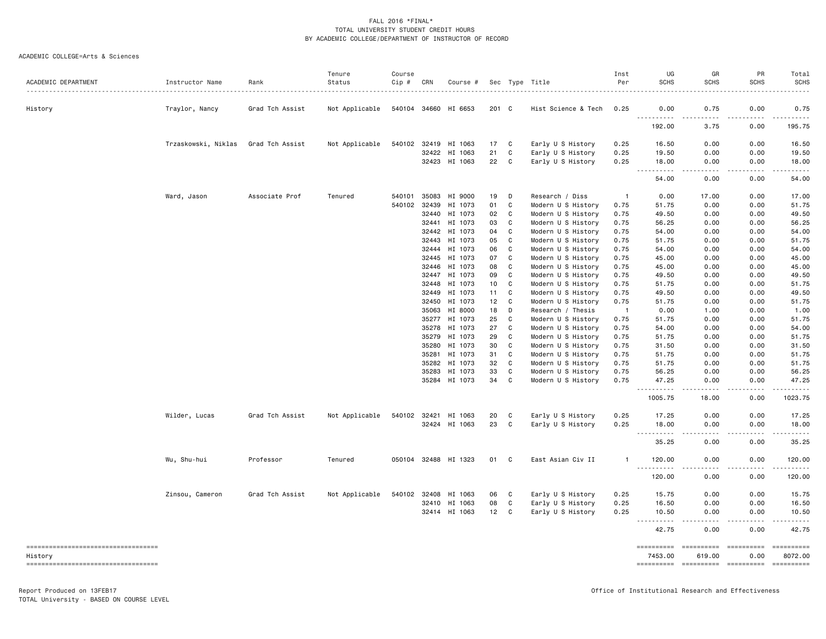| ACADEMIC DEPARTMENT                           | Instructor Name     | Rank            | Tenure<br>Status | Course<br>Cip # | CRN   | Course #                       |          |              | Sec Type Title<br>.                    | Inst<br>Per    | UG<br><b>SCHS</b>                         | GR<br><b>SCHS</b>     | PR<br><b>SCHS</b> | Total<br><b>SCHS</b><br>. |
|-----------------------------------------------|---------------------|-----------------|------------------|-----------------|-------|--------------------------------|----------|--------------|----------------------------------------|----------------|-------------------------------------------|-----------------------|-------------------|---------------------------|
| History                                       | Traylor, Nancy      | Grad Tch Assist | Not Applicable   |                 |       | 540104 34660 HI 6653           | 201 C    |              | Hist Science & Tech                    | 0.25           | 0.00                                      | 0.75                  | 0.00              | 0.75                      |
|                                               |                     |                 |                  |                 |       |                                |          |              |                                        |                | <u>.</u><br>192.00                        | 3.75                  | 0.00              | .<br>195.75               |
|                                               | Trzaskowski, Niklas | Grad Tch Assist | Not Applicable   |                 |       | 540102 32419 HI 1063           | 17       | C            | Early U S History                      | 0.25           | 16.50                                     | 0.00                  | 0.00              | 16.50                     |
|                                               |                     |                 |                  |                 |       | 32422 HI 1063<br>32423 HI 1063 | 21<br>22 | C<br>C       | Early U S History<br>Early U S History | 0.25<br>0.25   | 19.50<br>18.00                            | 0.00<br>0.00          | 0.00<br>0.00      | 19.50<br>18.00            |
|                                               |                     |                 |                  |                 |       |                                |          |              |                                        |                | $\sim 100$<br>. <b>.</b>                  | $\frac{1}{2}$         | المستبدا          | .                         |
|                                               |                     |                 |                  |                 |       |                                |          |              |                                        |                | 54.00                                     | 0.00                  | 0.00              | 54.00                     |
|                                               | Ward, Jason         | Associate Prof  | Tenured          | 540101          | 35083 | HI 9000                        | 19       | D            | Research / Diss                        | -1             | 0.00                                      | 17.00                 | 0.00              | 17.00                     |
|                                               |                     |                 |                  | 540102          | 32439 | HI 1073                        | 01       | C            | Modern U S History                     | 0.75           | 51.75                                     | 0.00                  | 0.00              | 51.75                     |
|                                               |                     |                 |                  |                 | 32440 | HI 1073                        | 02       | C            | Modern U S History                     | 0.75           | 49.50                                     | 0.00                  | 0.00              | 49.50                     |
|                                               |                     |                 |                  |                 | 32441 | HI 1073                        | 03       | C            | Modern U S History                     | 0.75           | 56.25                                     | 0.00                  | 0.00              | 56.25                     |
|                                               |                     |                 |                  |                 |       | 32442 HI 1073                  | 04       | C            | Modern U S History                     | 0.75           | 54.00                                     | 0.00                  | 0.00              | 54.00                     |
|                                               |                     |                 |                  |                 | 32443 | HI 1073                        | 05       | C            | Modern U S History                     | 0.75           | 51.75                                     | 0.00                  | 0.00              | 51.75                     |
|                                               |                     |                 |                  |                 | 32444 | HI 1073                        | 06       | C            | Modern U S History                     | 0.75           | 54.00                                     | 0.00                  | 0.00              | 54.00                     |
|                                               |                     |                 |                  |                 | 32445 | HI 1073                        | 07       | C            | Modern U S History                     | 0.75           | 45.00                                     | 0.00                  | 0.00              | 45.00                     |
|                                               |                     |                 |                  |                 | 32446 | HI 1073                        | 08       | C            | Modern U S History                     | 0.75           | 45.00                                     | 0.00                  | 0.00              | 45.00                     |
|                                               |                     |                 |                  |                 | 32447 | HI 1073                        | 09       | C            | Modern U S History                     | 0.75           | 49.50                                     | 0.00                  | 0.00              | 49.50                     |
|                                               |                     |                 |                  |                 | 32448 | HI 1073                        | 10       | C            | Modern U S History                     | 0.75           | 51.75                                     | 0.00                  | 0.00              | 51.75                     |
|                                               |                     |                 |                  |                 | 32449 | HI 1073                        | 11       | C            | Modern U S History                     | 0.75           | 49.50                                     | 0.00                  | 0.00              | 49.50                     |
|                                               |                     |                 |                  |                 | 32450 | HI 1073                        | 12       | C            | Modern U S History                     | 0.75           | 51.75                                     | 0.00                  | 0.00              | 51.75                     |
|                                               |                     |                 |                  |                 | 35063 | HI 8000                        | 18       | D            | Research / Thesis                      | $\overline{1}$ | 0.00                                      | 1.00                  | 0.00              | 1.00                      |
|                                               |                     |                 |                  |                 |       | 35277 HI 1073                  | 25       | C            | Modern U S History                     | 0.75           | 51.75                                     | 0.00                  | 0.00              | 51.75                     |
|                                               |                     |                 |                  |                 | 35278 | HI 1073                        | 27       | C            | Modern U S History                     | 0.75           | 54.00                                     | 0.00                  | 0.00              | 54.00                     |
|                                               |                     |                 |                  |                 | 35279 | HI 1073                        | 29       | C            | Modern U S History                     | 0.75           | 51.75                                     | 0.00                  | 0.00              | 51.75                     |
|                                               |                     |                 |                  |                 | 35280 | HI 1073                        | 30       | $\mathbf{C}$ | Modern U S History                     | 0.75           | 31.50                                     | 0.00                  | 0.00              | 31.50                     |
|                                               |                     |                 |                  |                 | 35281 | HI 1073                        | 31       | C            | Modern U S History                     | 0.75           | 51.75                                     | 0.00                  | 0.00              | 51.75                     |
|                                               |                     |                 |                  |                 | 35282 | HI 1073                        | 32       | C            | Modern U S History                     | 0.75           | 51.75                                     | 0.00                  | 0.00              | 51.75                     |
|                                               |                     |                 |                  |                 | 35283 | HI 1073                        | 33       | C            | Modern U S History                     | 0.75           | 56.25                                     | 0.00                  | 0.00              | 56.25                     |
|                                               |                     |                 |                  |                 |       | 35284 HI 1073                  | 34       | C            | Modern U S History                     | 0.75           | 47.25<br>$\sim$ $\sim$ $\sim$ $\sim$<br>. | 0.00<br>$\frac{1}{2}$ | 0.00<br>$- - - -$ | 47.25<br>.                |
|                                               |                     |                 |                  |                 |       |                                |          |              |                                        |                | 1005.75                                   | 18.00                 | 0.00              | 1023.75                   |
|                                               | Wilder, Lucas       | Grad Tch Assist | Not Applicable   |                 |       | 540102 32421 HI 1063           | 20       | C            | Early U S History                      | 0.25           | 17.25                                     | 0.00                  | 0.00              | 17.25                     |
|                                               |                     |                 |                  |                 |       | 32424 HI 1063                  | 23       | C            | Early U S History                      | 0.25           | 18.00                                     | 0.00                  | 0.00              | 18.00                     |
|                                               |                     |                 |                  |                 |       |                                |          |              |                                        |                | ----------                                | $- - - -$             | .                 | .                         |
|                                               |                     |                 |                  |                 |       |                                |          |              |                                        |                | 35.25                                     | 0.00                  | 0.00              | 35.25                     |
|                                               | Wu, Shu-hui         | Professor       | Tenured          |                 |       | 050104 32488 HI 1323           | 01       | C            | East Asian Civ II                      | -1             | 120.00<br>.                               | 0.00                  | 0.00              | 120.00<br>$\frac{1}{2}$   |
|                                               |                     |                 |                  |                 |       |                                |          |              |                                        |                | 120.00                                    | 0.00                  | 0.00              | 120.00                    |
|                                               | Zinsou, Cameron     | Grad Tch Assist | Not Applicable   |                 |       | 540102 32408 HI 1063           | 06       | C            | Early U S History                      | 0.25           | 15.75                                     | 0.00                  | 0.00              | 15.75                     |
|                                               |                     |                 |                  |                 |       | 32410 HI 1063                  | 08       | C            | Early U S History                      | 0.25           | 16.50                                     | 0.00                  | 0.00              | 16.50                     |
|                                               |                     |                 |                  |                 |       | 32414 HI 1063                  | 12       | C            | Early U S History                      | 0.25           | 10.50                                     | 0.00                  | 0.00              | 10.50                     |
|                                               |                     |                 |                  |                 |       |                                |          |              |                                        |                | $\sim$ $\sim$ $\sim$ $\sim$<br>.          | - - - -               | $- - - -$         | .                         |
|                                               |                     |                 |                  |                 |       |                                |          |              |                                        |                | 42.75                                     | 0.00                  | 0.00              | 42.75                     |
| ----------------------------------<br>History |                     |                 |                  |                 |       |                                |          |              |                                        |                | ==========<br>7453.00                     | 619.00                | 0.00              | 8072.00                   |
| _____________________________________         |                     |                 |                  |                 |       |                                |          |              |                                        |                |                                           |                       |                   |                           |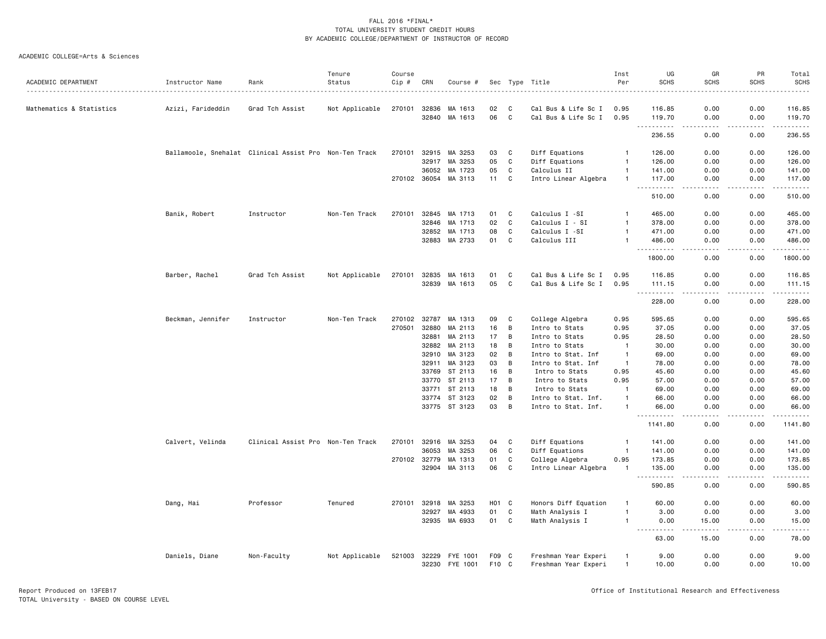|                          |                                                        |                                   | Tenure         | Course |              |                      |                    |              |                      | Inst           | UG                                                                                                                                                            | GR                                          | PR                                                                                                                                                           | Total                                                                                                                                                          |
|--------------------------|--------------------------------------------------------|-----------------------------------|----------------|--------|--------------|----------------------|--------------------|--------------|----------------------|----------------|---------------------------------------------------------------------------------------------------------------------------------------------------------------|---------------------------------------------|--------------------------------------------------------------------------------------------------------------------------------------------------------------|----------------------------------------------------------------------------------------------------------------------------------------------------------------|
| ACADEMIC DEPARTMENT      | Instructor Name                                        | Rank                              | Status<br>.    | Cip #  | CRN          | Course #             | Sec                |              | Type Title<br>.      | Per            | <b>SCHS</b>                                                                                                                                                   | <b>SCHS</b>                                 | <b>SCHS</b>                                                                                                                                                  | SCHS                                                                                                                                                           |
| Mathematics & Statistics | Azizi, Farideddin                                      | Grad Tch Assist                   | Not Applicable | 270101 | 32836        | MA 1613              | 02                 | C            | Cal Bus & Life Sc I  | 0.95           | 116.85                                                                                                                                                        | 0.00                                        | 0.00                                                                                                                                                         | 116.85                                                                                                                                                         |
|                          |                                                        |                                   |                |        | 32840        | MA 1613              | 06                 | $\mathbb{C}$ | Cal Bus & Life Sc I  | 0.95           | 119.70<br>$\sim$ $\sim$<br>.                                                                                                                                  | 0.00<br>$\sim$ $\sim$ $\sim$ $\sim$         | 0.00<br>.                                                                                                                                                    | 119.70<br>$\frac{1}{2} \left( \frac{1}{2} \right) \left( \frac{1}{2} \right) \left( \frac{1}{2} \right) \left( \frac{1}{2} \right) \left( \frac{1}{2} \right)$ |
|                          |                                                        |                                   |                |        |              |                      |                    |              |                      |                | 236.55                                                                                                                                                        | 0.00                                        | 0.00                                                                                                                                                         | 236.55                                                                                                                                                         |
|                          | Ballamoole, Snehalat Clinical Assist Pro Non-Ten Track |                                   |                | 270101 | 32915        | MA 3253              | 03                 | C            | Diff Equations       | $\mathbf{1}$   | 126.00                                                                                                                                                        | 0.00                                        | 0.00                                                                                                                                                         | 126.00                                                                                                                                                         |
|                          |                                                        |                                   |                |        | 32917        | MA 3253              | 05                 | C            | Diff Equations       | $\mathbf{1}$   | 126.00                                                                                                                                                        | 0.00                                        | 0.00                                                                                                                                                         | 126.00                                                                                                                                                         |
|                          |                                                        |                                   |                |        | 36052        | MA 1723              | 05                 | C            | Calculus II          | $\mathbf{1}$   | 141.00                                                                                                                                                        | 0.00                                        | 0.00                                                                                                                                                         | 141.00                                                                                                                                                         |
|                          |                                                        |                                   |                |        |              | 270102 36054 MA 3113 | 11                 | C            | Intro Linear Algebra | $\mathbf{1}$   | 117.00                                                                                                                                                        | 0.00                                        | 0.00                                                                                                                                                         | 117.00                                                                                                                                                         |
|                          |                                                        |                                   |                |        |              |                      |                    |              |                      |                | .<br>$\sim$ $\sim$ $\sim$<br>510.00                                                                                                                           | .<br>0.00                                   | $\frac{1}{2} \left( \frac{1}{2} \right) \left( \frac{1}{2} \right) \left( \frac{1}{2} \right) \left( \frac{1}{2} \right) \left( \frac{1}{2} \right)$<br>0.00 | .<br>510.00                                                                                                                                                    |
|                          | Banik, Robert                                          | Instructor                        | Non-Ten Track  | 270101 | 32845        | MA 1713              | 01                 | C            | Calculus I -SI       | $\mathbf{1}$   | 465.00                                                                                                                                                        | 0.00                                        | 0.00                                                                                                                                                         | 465.00                                                                                                                                                         |
|                          |                                                        |                                   |                |        | 32846        | MA 1713              | 02                 | C            | Calculus I - SI      | $\mathbf{1}$   | 378.00                                                                                                                                                        | 0.00                                        | 0.00                                                                                                                                                         | 378.00                                                                                                                                                         |
|                          |                                                        |                                   |                |        | 32852        | MA 1713              | 08                 | C            | Calculus I -SI       | $\mathbf{1}$   | 471.00                                                                                                                                                        | 0.00                                        | 0.00                                                                                                                                                         | 471.00                                                                                                                                                         |
|                          |                                                        |                                   |                |        | 32883        | MA 2733              | 01                 | C            | Calculus III         | $\mathbf{1}$   | 486.00                                                                                                                                                        | 0.00                                        | 0.00                                                                                                                                                         | 486.00                                                                                                                                                         |
|                          |                                                        |                                   |                |        |              |                      |                    |              |                      |                | .<br>1800.00                                                                                                                                                  | الدامات بال<br>0.00                         | .<br>0.00                                                                                                                                                    | .<br>1800.00                                                                                                                                                   |
|                          | Barber, Rachel                                         | Grad Tch Assist                   | Not Applicable | 270101 | 32835        | MA 1613              | 01                 | C            | Cal Bus & Life Sc I  | 0.95           | 116.85                                                                                                                                                        | 0.00                                        | 0.00                                                                                                                                                         | 116.85                                                                                                                                                         |
|                          |                                                        |                                   |                |        | 32839        | MA 1613              | 05                 | C            | Cal Bus & Life Sc I  | 0.95           | 111.15                                                                                                                                                        | 0.00                                        | 0.00                                                                                                                                                         | 111.15                                                                                                                                                         |
|                          |                                                        |                                   |                |        |              |                      |                    |              |                      |                | <u>.</u><br>228.00                                                                                                                                            | .<br>0.00                                   | .<br>0.00                                                                                                                                                    | $\frac{1}{2} \left( \frac{1}{2} \right) \left( \frac{1}{2} \right) \left( \frac{1}{2} \right) \left( \frac{1}{2} \right) \left( \frac{1}{2} \right)$<br>228.00 |
|                          | Beckman, Jennifer                                      | Instructor                        | Non-Ten Track  | 270102 | 32787        | MA 1313              | 09                 | C            | College Algebra      | 0.95           | 595.65                                                                                                                                                        | 0.00                                        | 0.00                                                                                                                                                         | 595.65                                                                                                                                                         |
|                          |                                                        |                                   |                | 270501 | 32880        | MA 2113              | 16                 | В            | Intro to Stats       | 0.95           | 37.05                                                                                                                                                         | 0.00                                        | 0.00                                                                                                                                                         | 37.05                                                                                                                                                          |
|                          |                                                        |                                   |                |        | 32881        | MA 2113              | 17                 | В            | Intro to Stats       | 0.95           | 28.50                                                                                                                                                         | 0.00                                        | 0.00                                                                                                                                                         | 28.50                                                                                                                                                          |
|                          |                                                        |                                   |                |        | 32882        | MA 2113              | 18                 | B            | Intro to Stats       | $\overline{1}$ | 30.00                                                                                                                                                         | 0.00                                        | 0.00                                                                                                                                                         | 30.00                                                                                                                                                          |
|                          |                                                        |                                   |                |        | 32910        | MA 3123              | 02                 | В            | Intro to Stat. Inf   | $\mathbf{1}$   | 69.00                                                                                                                                                         | 0.00                                        | 0.00                                                                                                                                                         | 69.00                                                                                                                                                          |
|                          |                                                        |                                   |                |        | 32911        | MA 3123              | 03                 | В            | Intro to Stat. Inf   | -1             | 78.00                                                                                                                                                         | 0.00                                        | 0.00                                                                                                                                                         | 78.00                                                                                                                                                          |
|                          |                                                        |                                   |                |        | 33769        | ST 2113              | 16                 | В            | Intro to Stats       | 0.95           | 45.60                                                                                                                                                         | 0.00                                        | 0.00                                                                                                                                                         | 45.60                                                                                                                                                          |
|                          |                                                        |                                   |                |        | 33770        | ST 2113              | 17                 | B            | Intro to Stats       | 0.95           | 57.00                                                                                                                                                         | 0.00                                        | 0.00                                                                                                                                                         | 57.00                                                                                                                                                          |
|                          |                                                        |                                   |                |        | 33771        | ST 2113              | 18                 | В            | Intro to Stats       | $\mathbf{1}$   | 69.00                                                                                                                                                         | 0.00                                        | 0.00                                                                                                                                                         | 69.00                                                                                                                                                          |
|                          |                                                        |                                   |                |        | 33774        | ST 3123              | 02                 | В            | Intro to Stat. Inf.  | $\mathbf{1}$   | 66.00                                                                                                                                                         | 0.00                                        | 0.00                                                                                                                                                         | 66.00                                                                                                                                                          |
|                          |                                                        |                                   |                |        |              | 33775 ST 3123        | 03                 | B            | Intro to Stat. Inf.  | $\mathbf{1}$   | 66.00                                                                                                                                                         | 0.00                                        | 0.00                                                                                                                                                         | 66.00                                                                                                                                                          |
|                          |                                                        |                                   |                |        |              |                      |                    |              |                      |                | 1141.80                                                                                                                                                       | $\omega$ $\omega$ $\omega$ $\omega$<br>0.00 | .<br>0.00                                                                                                                                                    | .<br>1141.80                                                                                                                                                   |
|                          | Calvert, Velinda                                       | Clinical Assist Pro Non-Ten Track |                | 270101 | 32916        | MA 3253              | 04                 | C            | Diff Equations       | -1             | 141.00                                                                                                                                                        | 0.00                                        | 0.00                                                                                                                                                         | 141.00                                                                                                                                                         |
|                          |                                                        |                                   |                |        | 36053        | MA 3253              | 06                 | C            | Diff Equations       | $\overline{1}$ | 141.00                                                                                                                                                        | 0.00                                        | 0.00                                                                                                                                                         | 141.00                                                                                                                                                         |
|                          |                                                        |                                   |                |        | 270102 32779 | MA 1313              | 01                 | C            | College Algebra      | 0.95           | 173.85                                                                                                                                                        | 0.00                                        | 0.00                                                                                                                                                         | 173.85                                                                                                                                                         |
|                          |                                                        |                                   |                |        | 32904        | MA 3113              | 06                 | C            | Intro Linear Algebra | $\overline{1}$ | 135.00                                                                                                                                                        | 0.00                                        | 0.00                                                                                                                                                         | 135.00                                                                                                                                                         |
|                          |                                                        |                                   |                |        |              |                      |                    |              |                      |                | 590.85                                                                                                                                                        | 0.00                                        | 0.00                                                                                                                                                         | .<br>590.85                                                                                                                                                    |
|                          | Dang, Hai                                              | Professor                         | Tenured        | 270101 | 32918        | MA 3253              | H <sub>0</sub> 1 C |              | Honors Diff Equation | -1             | 60.00                                                                                                                                                         | 0.00                                        | 0.00                                                                                                                                                         | 60.00                                                                                                                                                          |
|                          |                                                        |                                   |                |        | 32927        | MA 4933              | 01                 | C            | Math Analysis I      | $\mathbf{1}$   | 3.00                                                                                                                                                          | 0.00                                        | 0.00                                                                                                                                                         | 3.00                                                                                                                                                           |
|                          |                                                        |                                   |                |        | 32935        | MA 6933              | 01                 | C            | Math Analysis I      | $\mathbf{1}$   | 0.00                                                                                                                                                          | 15.00                                       | 0.00                                                                                                                                                         | 15.00                                                                                                                                                          |
|                          |                                                        |                                   |                |        |              |                      |                    |              |                      |                | $\frac{1}{2} \left( \frac{1}{2} \right) \left( \frac{1}{2} \right) \left( \frac{1}{2} \right) \left( \frac{1}{2} \right) \left( \frac{1}{2} \right)$<br>63.00 | $- - - - -$<br>15.00                        | .<br>0.00                                                                                                                                                    | .<br>78.00                                                                                                                                                     |
|                          | Daniels, Diane                                         | Non-Faculty                       | Not Applicable | 521003 | 32229        | FYE 1001             | F09 C              |              | Freshman Year Experi | $\mathbf{1}$   | 9.00                                                                                                                                                          | 0.00                                        | 0.00                                                                                                                                                         | 9.00                                                                                                                                                           |
|                          |                                                        |                                   |                |        | 32230        | FYE 1001             | F10 C              |              | Freshman Year Experi | $\mathbf{1}$   | 10.00                                                                                                                                                         | 0.00                                        | 0.00                                                                                                                                                         | 10.00                                                                                                                                                          |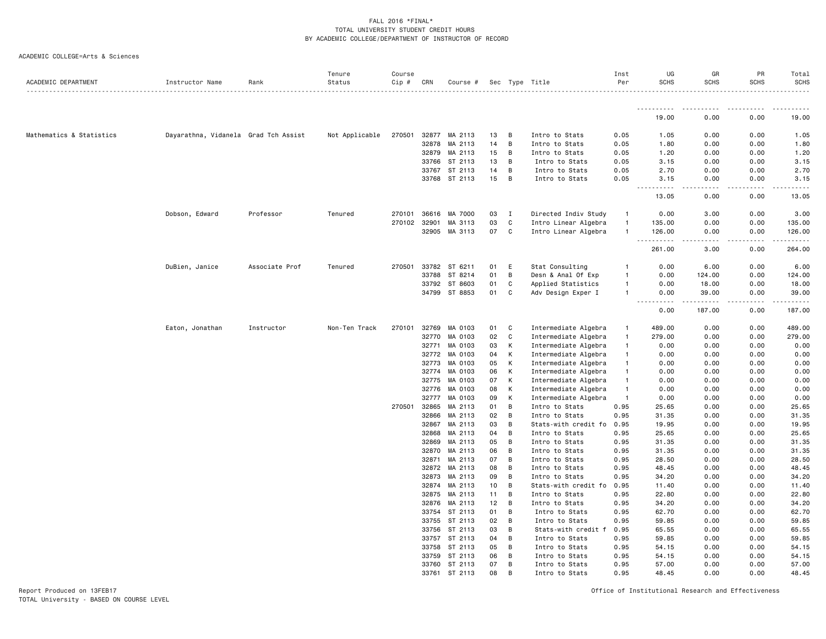ACADEMIC COLLEGE=Arts & Sciences

| ACADEMIC DEPARTMENT      | Instructor Name                      | Rank           | Tenure<br>Status | Course<br>Cip # | CRN            | Course #           |          |        | Sec Type Title                   | Inst<br>Per    | UG<br><b>SCHS</b>              | GR<br><b>SCHS</b> | PR<br><b>SCHS</b> | Total<br><b>SCHS</b><br><u>.</u>                                                                                                                                                         |
|--------------------------|--------------------------------------|----------------|------------------|-----------------|----------------|--------------------|----------|--------|----------------------------------|----------------|--------------------------------|-------------------|-------------------|------------------------------------------------------------------------------------------------------------------------------------------------------------------------------------------|
|                          |                                      |                |                  |                 |                |                    |          |        |                                  |                | <u>.</u>                       | المناسبات         | .                 | .                                                                                                                                                                                        |
|                          |                                      |                |                  |                 |                |                    |          |        |                                  |                | 19.00                          | 0.00              | 0.00              | 19.00                                                                                                                                                                                    |
| Mathematics & Statistics | Dayarathna, Vidanela Grad Tch Assist |                | Not Applicable   | 270501          | 32877          | MA 2113            | 13       | B      | Intro to Stats                   | 0.05           | 1.05                           | 0.00              | 0.00              | 1.05                                                                                                                                                                                     |
|                          |                                      |                |                  |                 | 32878          | MA 2113            | 14       | B      | Intro to Stats                   | 0.05           | 1.80                           | 0.00              | 0.00              | 1.80                                                                                                                                                                                     |
|                          |                                      |                |                  |                 | 32879          | MA 2113            | 15       | B      | Intro to Stats                   | 0.05           | 1.20                           | 0.00              | 0.00              | 1.20                                                                                                                                                                                     |
|                          |                                      |                |                  |                 | 33766          | ST 2113            | 13       | B      | Intro to Stats                   | 0.05           | 3.15                           | 0.00              | 0.00              | 3.15                                                                                                                                                                                     |
|                          |                                      |                |                  |                 | 33767          | ST 2113            | 14       | B      | Intro to Stats                   | 0.05           | 2.70                           | 0.00              | 0.00              | 2.70                                                                                                                                                                                     |
|                          |                                      |                |                  |                 |                | 33768 ST 2113      | 15       | B      | Intro to Stats                   | 0.05           | 3.15                           | 0.00              | 0.00              | 3.15                                                                                                                                                                                     |
|                          |                                      |                |                  |                 |                |                    |          |        |                                  |                | 13.05                          | 0.00              | 0.00              | 13.05                                                                                                                                                                                    |
|                          | Dobson, Edward                       | Professor      | Tenured          | 270101          | 36616          | MA 7000            | 03       | I      | Directed Indiv Study             | $\mathbf{1}$   | 0.00                           | 3.00              | 0.00              | 3.00                                                                                                                                                                                     |
|                          |                                      |                |                  | 270102          | 32901          | MA 3113            | 03       | C      | Intro Linear Algebra             | $\overline{1}$ | 135.00                         | 0.00              | 0.00              | 135.00                                                                                                                                                                                   |
|                          |                                      |                |                  |                 | 32905          | MA 3113            | 07       | C      | Intro Linear Algebra             | $\overline{1}$ | 126.00<br>$\sim$ $\sim$ $\sim$ | 0.00              | 0.00              | 126.00<br>.                                                                                                                                                                              |
|                          |                                      |                |                  |                 |                |                    |          |        |                                  |                | 261.00                         | 3.00              | 0.00              | 264.00                                                                                                                                                                                   |
|                          | DuBien, Janice                       | Associate Prof | Tenured          | 270501          | 33782          | ST 6211            | 01       | E      | Stat Consulting                  | -1             | 0.00                           | 6.00              | 0.00              | 6.00                                                                                                                                                                                     |
|                          |                                      |                |                  |                 | 33788          | ST 8214            | 01       | B      | Desn & Anal Of Exp               | $\overline{1}$ | 0.00                           | 124.00            | 0.00              | 124.00                                                                                                                                                                                   |
|                          |                                      |                |                  |                 | 33792          | ST 8603            | 01       | C      | Applied Statistics               | $\overline{1}$ | 0.00                           | 18.00             | 0.00              | 18.00                                                                                                                                                                                    |
|                          |                                      |                |                  |                 | 34799          | ST 8853            | 01       | C      | Adv Design Exper I               | $\mathbf{1}$   | 0.00<br>.                      | 39.00<br>.        | 0.00<br>.         | 39.00<br>$\frac{1}{2} \left( \frac{1}{2} \right) \left( \frac{1}{2} \right) \left( \frac{1}{2} \right) \left( \frac{1}{2} \right) \left( \frac{1}{2} \right) \left( \frac{1}{2} \right)$ |
|                          |                                      |                |                  |                 |                |                    |          |        |                                  |                | 0.00                           | 187.00            | 0.00              | 187.00                                                                                                                                                                                   |
|                          | Eaton, Jonathan                      | Instructor     | Non-Ten Track    | 270101          | 32769          | MA 0103            | 01       | C      | Intermediate Algebra             | $\mathbf{1}$   | 489.00                         | 0.00              | 0.00              | 489.00                                                                                                                                                                                   |
|                          |                                      |                |                  |                 | 32770          | MA 0103            | 02       | C      | Intermediate Algebra             | $\overline{1}$ | 279.00                         | 0.00              | 0.00              | 279.00                                                                                                                                                                                   |
|                          |                                      |                |                  |                 | 32771          | MA 0103            | 03       | К      | Intermediate Algebra             | $\overline{1}$ | 0.00                           | 0.00              | 0.00              | 0.00                                                                                                                                                                                     |
|                          |                                      |                |                  |                 | 32772          | MA 0103            | 04       | К      | Intermediate Algebra             | $\mathbf{1}$   | 0.00                           | 0.00              | 0.00              | 0.00                                                                                                                                                                                     |
|                          |                                      |                |                  |                 | 32773          | MA 0103            | 05       | K      | Intermediate Algebra             | $\mathbf{1}$   | 0.00                           | 0.00              | 0.00              | 0.00                                                                                                                                                                                     |
|                          |                                      |                |                  |                 | 32774          | MA 0103            | 06       | К      | Intermediate Algebra             | $\overline{1}$ | 0.00                           | 0.00              | 0.00              | 0.00                                                                                                                                                                                     |
|                          |                                      |                |                  |                 | 32775          | MA 0103            | 07       | К      | Intermediate Algebra             | $\overline{1}$ | 0.00                           | 0.00              | 0.00              | 0.00                                                                                                                                                                                     |
|                          |                                      |                |                  |                 | 32776          | MA 0103            | 08       | К      | Intermediate Algebra             | $\overline{1}$ | 0.00                           | 0.00              | 0.00              | 0.00                                                                                                                                                                                     |
|                          |                                      |                |                  |                 | 32777          | MA 0103            | 09       | К      | Intermediate Algebra             | $\mathbf{1}$   | 0.00                           | 0.00              | 0.00              | 0.00                                                                                                                                                                                     |
|                          |                                      |                |                  | 270501          | 32865<br>32866 | MA 2113<br>MA 2113 | 01<br>02 | B<br>B | Intro to Stats<br>Intro to Stats | 0.95<br>0.95   | 25.65<br>31.35                 | 0.00<br>0.00      | 0.00<br>0.00      | 25.65<br>31.35                                                                                                                                                                           |
|                          |                                      |                |                  |                 | 32867          | MA 2113            | 03       | B      | Stats-with credit fo             | 0.95           | 19.95                          | 0.00              | 0.00              | 19.95                                                                                                                                                                                    |
|                          |                                      |                |                  |                 | 32868          | MA 2113            | 04       | B      | Intro to Stats                   | 0.95           | 25.65                          | 0.00              | 0.00              | 25.65                                                                                                                                                                                    |
|                          |                                      |                |                  |                 | 32869          | MA 2113            | 05       | B      | Intro to Stats                   | 0.95           | 31.35                          | 0.00              | 0.00              | 31.35                                                                                                                                                                                    |
|                          |                                      |                |                  |                 | 32870          | MA 2113            | 06       | B      | Intro to Stats                   | 0.95           | 31.35                          | 0.00              | 0.00              | 31.35                                                                                                                                                                                    |
|                          |                                      |                |                  |                 | 32871          | MA 2113            | 07       | B      | Intro to Stats                   | 0.95           | 28.50                          | 0.00              | 0.00              | 28.50                                                                                                                                                                                    |
|                          |                                      |                |                  |                 | 32872          | MA 2113            | 08       | B      | Intro to Stats                   | 0.95           | 48.45                          | 0.00              | 0.00              | 48.45                                                                                                                                                                                    |
|                          |                                      |                |                  |                 | 32873          | MA 2113            | 09       | B      | Intro to Stats                   | 0.95           | 34.20                          | 0.00              | 0.00              | 34.20                                                                                                                                                                                    |
|                          |                                      |                |                  |                 | 32874          | MA 2113            | 10       | B      | Stats-with credit fo             | 0.95           | 11.40                          | 0.00              | 0.00              | 11.40                                                                                                                                                                                    |
|                          |                                      |                |                  |                 | 32875          | MA 2113            | 11       | B      | Intro to Stats                   | 0.95           | 22.80                          | 0.00              | 0.00              | 22.80                                                                                                                                                                                    |
|                          |                                      |                |                  |                 | 32876          | MA 2113            | 12       | B      | Intro to Stats                   | 0.95           | 34.20                          | 0.00              | 0.00              | 34.20                                                                                                                                                                                    |
|                          |                                      |                |                  |                 | 33754          | ST 2113            | 01       | B      | Intro to Stats                   | 0.95           | 62.70                          | 0.00              | 0.00              | 62.70                                                                                                                                                                                    |
|                          |                                      |                |                  |                 | 33755          | ST 2113            | 02       | B      | Intro to Stats                   | 0.95           | 59.85                          | 0.00              | 0.00              | 59.85                                                                                                                                                                                    |
|                          |                                      |                |                  |                 | 33756          | ST 2113            | 03       | B      | Stats-with credit f              | 0.95           | 65.55                          | 0.00              | 0.00              | 65.55                                                                                                                                                                                    |
|                          |                                      |                |                  |                 | 33757          | ST 2113            | 04       | B      | Intro to Stats                   | 0.95           | 59.85                          | 0.00              | 0.00              | 59.85                                                                                                                                                                                    |
|                          |                                      |                |                  |                 | 33758          | ST 2113            | 05       | B      | Intro to Stats                   | 0.95           | 54.15                          | 0.00              | 0.00              | 54.15                                                                                                                                                                                    |
|                          |                                      |                |                  |                 | 33759          | ST 2113            | 06       | B      | Intro to Stats                   | 0.95           | 54.15                          | 0.00              | 0.00              | 54.15                                                                                                                                                                                    |
|                          |                                      |                |                  |                 | 33760<br>33761 | ST 2113            | 07<br>08 | B<br>B | Intro to Stats                   | 0.95<br>0.95   | 57.00<br>48.45                 | 0.00<br>0.00      | 0.00<br>0.00      | 57.00<br>48.45                                                                                                                                                                           |
|                          |                                      |                |                  |                 |                | ST 2113            |          |        | Intro to Stats                   |                |                                |                   |                   |                                                                                                                                                                                          |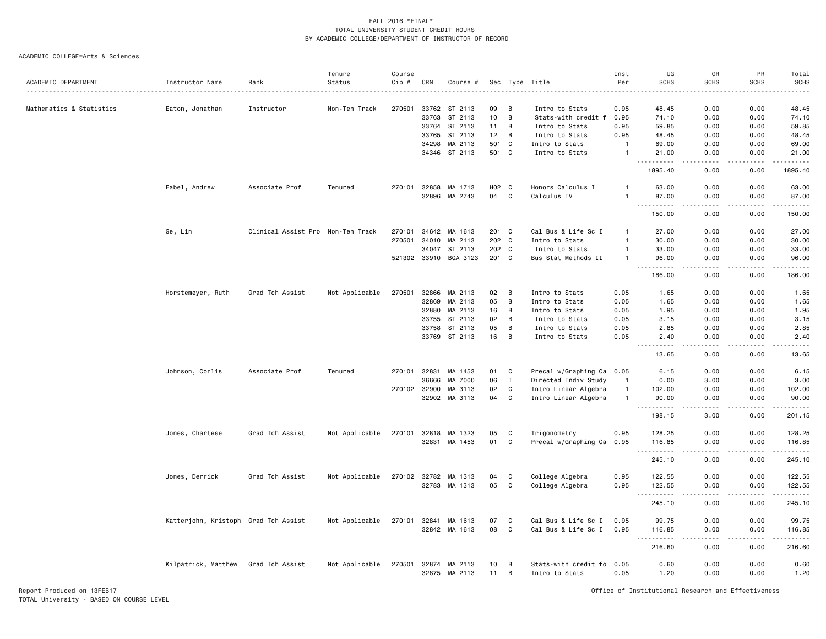#### ACADEMIC COLLEGE=Arts & Sciences

|                          |                                      |                                   | Tenure         | Course       |       |                                |                 |             |                                             | Inst           | UG                                  | GR                    | PR                           | Total                    |
|--------------------------|--------------------------------------|-----------------------------------|----------------|--------------|-------|--------------------------------|-----------------|-------------|---------------------------------------------|----------------|-------------------------------------|-----------------------|------------------------------|--------------------------|
| ACADEMIC DEPARTMENT      | Instructor Name                      | Rank                              | Status         | Cip #        | CRN   | Course #                       |                 |             | Sec Type Title                              | Per            | <b>SCHS</b>                         | <b>SCHS</b>           | <b>SCHS</b>                  | <b>SCHS</b><br>والمستحدث |
| Mathematics & Statistics | Eaton, Jonathan                      | Instructor                        | Non-Ten Track  | 270501       | 33762 | ST 2113                        | 09              | B           | Intro to Stats                              | 0.95           | 48.45                               | 0.00                  | 0.00                         | 48.45                    |
|                          |                                      |                                   |                |              | 33763 | ST 2113                        | 10 <sub>1</sub> | B           | Stats-with credit f                         | 0.95           | 74.10                               | 0.00                  | 0.00                         | 74.10                    |
|                          |                                      |                                   |                |              | 33764 | ST 2113                        | 11              | B           | Intro to Stats                              | 0.95           | 59.85                               | 0.00                  | 0.00                         | 59.85                    |
|                          |                                      |                                   |                |              |       |                                |                 | B           |                                             |                |                                     |                       |                              |                          |
|                          |                                      |                                   |                |              | 33765 | ST 2113                        | 12              |             | Intro to Stats                              | 0.95           | 48.45                               | 0.00                  | 0.00                         | 48.45                    |
|                          |                                      |                                   |                |              | 34298 | MA 2113                        | 501             | C           | Intro to Stats                              | $\mathbf{1}$   | 69.00                               | 0.00                  | 0.00                         | 69.00                    |
|                          |                                      |                                   |                |              |       | 34346 ST 2113                  | 501 C           |             | Intro to Stats                              | $\mathbf{1}$   | 21.00<br>.                          | 0.00<br>$\frac{1}{2}$ | 0.00<br>.                    | 21.00<br>.               |
|                          |                                      |                                   |                |              |       |                                |                 |             |                                             |                | 1895.40                             | 0.00                  | 0.00                         | 1895.40                  |
|                          | Fabel, Andrew                        | Associate Prof                    | Tenured        | 270101       |       | 32858 MA 1713                  | H02 C           |             | Honors Calculus I                           |                | 63.00                               | 0.00                  | 0.00                         | 63.00                    |
|                          |                                      |                                   |                |              | 32896 | MA 2743                        | 04              | $\mathbf C$ | Calculus IV                                 | $\mathbf{1}$   | 87.00<br>. <b>.</b><br>$- - -$      | 0.00<br>.             | 0.00<br>.                    | 87.00<br>.               |
|                          |                                      |                                   |                |              |       |                                |                 |             |                                             |                | 150.00                              | 0.00                  | 0.00                         | 150.00                   |
|                          | Ge, Lin                              | Clinical Assist Pro Non-Ten Track |                | 270101       | 34642 | MA 1613                        | 201             | C           | Cal Bus & Life Sc I                         | $\mathbf{1}$   | 27.00                               | 0.00                  | 0.00                         | 27.00                    |
|                          |                                      |                                   |                | 270501       | 34010 | MA 2113                        | 202 C           |             | Intro to Stats                              | $\mathbf{1}$   | 30.00                               | 0.00                  | 0.00                         | 30.00                    |
|                          |                                      |                                   |                |              | 34047 | ST 2113                        | 202 C           |             | Intro to Stats                              | $\overline{1}$ | 33.00                               | 0.00                  | 0.00                         | 33.00                    |
|                          |                                      |                                   |                |              |       | 521302 33910 BQA 3123          | 201 C           |             | Bus Stat Methods II                         | $\mathbf{1}$   | 96.00<br>.                          | 0.00<br>الدامات بال   | 0.00<br>.                    | 96.00<br>.               |
|                          |                                      |                                   |                |              |       |                                |                 |             |                                             |                | 186.00                              | 0.00                  | 0.00                         | 186.00                   |
|                          | Horstemeyer, Ruth                    | Grad Tch Assist                   | Not Applicable | 270501       | 32866 | MA 2113                        | 02              | В           | Intro to Stats                              | 0.05           | 1.65                                | 0.00                  | 0.00                         | 1.65                     |
|                          |                                      |                                   |                |              | 32869 | MA 2113                        | 05              | B           | Intro to Stats                              | 0.05           | 1.65                                | 0.00                  | 0.00                         | 1.65                     |
|                          |                                      |                                   |                |              | 32880 | MA 2113                        | 16              | B           | Intro to Stats                              | 0.05           | 1.95                                | 0.00                  | 0.00                         | 1.95                     |
|                          |                                      |                                   |                |              | 33755 | ST 2113                        | 02              | B           | Intro to Stats                              | 0.05           | 3.15                                | 0.00                  | 0.00                         | 3.15                     |
|                          |                                      |                                   |                |              | 33758 | ST 2113                        | 05              | B           | Intro to Stats                              | 0.05           | 2.85                                | 0.00                  | 0.00                         | 2.85                     |
|                          |                                      |                                   |                |              |       | 33769 ST 2113                  | 16              | B           | Intro to Stats                              | 0.05           | 2.40                                | 0.00                  | 0.00                         | 2.40                     |
|                          |                                      |                                   |                |              |       |                                |                 |             |                                             |                | 13.65                               | 0.00                  | 0.00                         | .<br>13.65               |
|                          | Johnson, Corlis                      | Associate Prof                    | Tenured        | 270101       | 32831 | MA 1453                        | 01              | C           | Precal w/Graphing Ca 0.05                   |                | 6.15                                | 0.00                  | 0.00                         | 6.15                     |
|                          |                                      |                                   |                |              | 36666 | MA 7000                        | 06              | $\mathbf I$ | Directed Indiv Study                        | $\mathbf{1}$   | 0.00                                | 3.00                  | 0.00                         | 3.00                     |
|                          |                                      |                                   |                | 270102 32900 |       | MA 3113                        | 02              | C           | Intro Linear Algebra                        | $\overline{1}$ | 102.00                              | 0.00                  | 0.00                         | 102.00                   |
|                          |                                      |                                   |                |              | 32902 | MA 3113                        | 04              | $\mathbf C$ | Intro Linear Algebra                        | $\overline{1}$ | 90.00                               | 0.00                  | 0.00                         | 90.00                    |
|                          |                                      |                                   |                |              |       |                                |                 |             |                                             |                | $\sim$ $\sim$ $\sim$<br>198.15      | 3.00                  | $\sim$ $\sim$ $\sim$<br>0.00 | .<br>201.15              |
|                          | Jones, Chartese                      | Grad Tch Assist                   | Not Applicable | 270101       |       | 32818 MA 1323                  | 05              | C           | Trigonometry                                | 0.95           | 128.25                              | 0.00                  | 0.00                         | 128.25                   |
|                          |                                      |                                   |                |              | 32831 | MA 1453                        | 01              | C           | Precal w/Graphing Ca 0.95                   |                | 116.85                              | 0.00                  | 0.00                         | 116.85                   |
|                          |                                      |                                   |                |              |       |                                |                 |             |                                             |                | <u>.</u><br>245.10                  | .<br>0.00             | .<br>0.00                    | .<br>245.10              |
|                          | Jones, Derrick                       | Grad Tch Assist                   | Not Applicable | 270102       | 32782 | MA 1313                        | 04              | C           | College Algebra                             | 0.95           | 122.55                              | 0.00                  | 0.00                         | 122.55                   |
|                          |                                      |                                   |                |              |       | 32783 MA 1313                  | 05              | $\mathbf C$ | College Algebra                             | 0.95           | 122.55                              | 0.00                  | 0.00                         | 122.55                   |
|                          |                                      |                                   |                |              |       |                                |                 |             |                                             |                | ----------                          | .                     | .                            | .                        |
|                          |                                      |                                   |                |              |       |                                |                 |             |                                             |                | 245.10                              | 0.00                  | 0.00                         | 245.10                   |
|                          | Katterjohn, Kristoph Grad Tch Assist |                                   | Not Applicable | 270101       | 32841 | MA 1613                        | 07              | C           | Cal Bus & Life Sc I                         | 0.95           | 99.75                               | 0.00                  | 0.00                         | 99.75                    |
|                          |                                      |                                   |                |              |       | 32842 MA 1613                  | 08              | C           | Cal Bus & Life Sc I                         | 0.95           | 116.85<br>$\sim$ $\sim$ $\sim$<br>. | 0.00<br>.             | 0.00<br>.                    | 116.85<br>.              |
|                          |                                      |                                   |                |              |       |                                |                 |             |                                             |                | 216.60                              | 0.00                  | 0.00                         | 216.60                   |
|                          | Kilpatrick, Matthew                  | Grad Tch Assist                   | Not Applicable | 270501       |       | 32874 MA 2113<br>32875 MA 2113 | 10<br>11        | В<br>B      | Stats-with credit fo 0.05<br>Intro to Stats | 0.05           | 0.60<br>1.20                        | 0.00<br>0.00          | 0.00<br>0.00                 | 0.60<br>1.20             |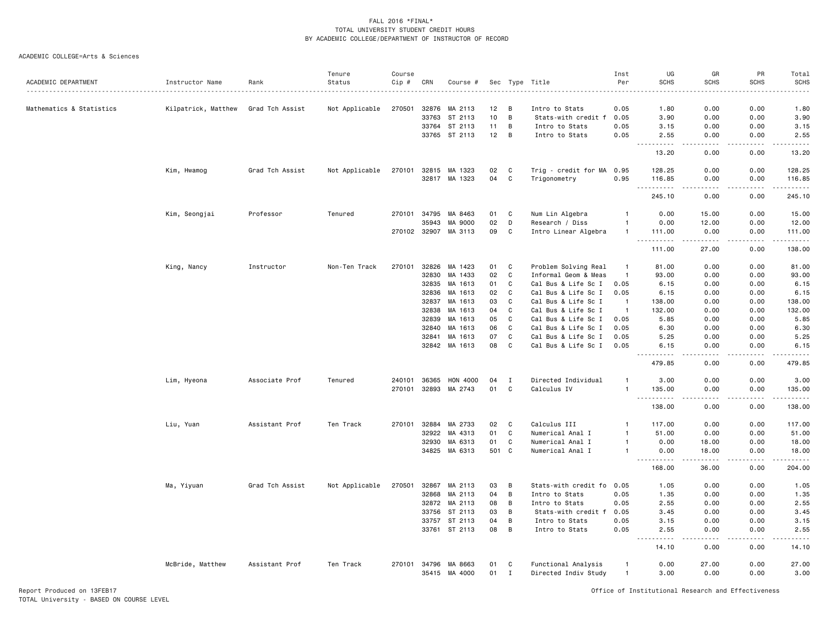#### ACADEMIC COLLEGE=Arts & Sciences

| ACADEMIC DEPARTMENT<br>Status<br>Cip #<br>Per<br><b>SCHS</b><br>Instructor Name<br>CRN<br>Sec Type Title<br><b>SCHS</b><br>Rank<br>Course #<br>270501<br>32876<br>0.00<br>Mathematics & Statistics<br>Kilpatrick, Matthew<br>Grad Tch Assist<br>Not Applicable<br>MA 2113<br>12<br>B<br>Intro to Stats<br>0.05<br>1.80<br>B<br>33763<br>ST 2113<br>10<br>3.90<br>0.00<br>Stats-with credit f<br>0.05<br>B<br>33764<br>ST 2113<br>11<br>Intro to Stats<br>0.05<br>3.15<br>0.00<br>B<br>33765 ST 2113<br>12<br>Intro to Stats<br>0.05<br>2.55<br>0.00<br>.<br>. <u>.</u><br>$\frac{1}{2}$<br>13.20<br>0.00<br>Grad Tch Assist<br>32815<br>02<br>C<br>Trig - credit for MA<br>Kim, Hwamog<br>Not Applicable<br>270101<br>MA 1323<br>0.95<br>128.25<br>0.00<br>C<br>32817 MA 1323<br>04<br>Trigonometry<br>0.95<br>116.85<br>0.00<br>$\sim$ $\sim$ $\sim$<br>.<br>. | <b>SCHS</b><br>SCHS<br>0.00<br>1.80<br>0.00<br>3.90<br>0.00<br>3.15<br>0.00<br>2.55<br>.<br>.<br>0.00<br>13.20<br>0.00<br>128.25<br>0.00<br>116.85<br>$\omega$ is $\omega$ in $\omega$ in<br>.<br>0.00<br>245.10<br>0.00<br>15.00 |
|-----------------------------------------------------------------------------------------------------------------------------------------------------------------------------------------------------------------------------------------------------------------------------------------------------------------------------------------------------------------------------------------------------------------------------------------------------------------------------------------------------------------------------------------------------------------------------------------------------------------------------------------------------------------------------------------------------------------------------------------------------------------------------------------------------------------------------------------------------------------|-----------------------------------------------------------------------------------------------------------------------------------------------------------------------------------------------------------------------------------|
|                                                                                                                                                                                                                                                                                                                                                                                                                                                                                                                                                                                                                                                                                                                                                                                                                                                                 |                                                                                                                                                                                                                                   |
|                                                                                                                                                                                                                                                                                                                                                                                                                                                                                                                                                                                                                                                                                                                                                                                                                                                                 |                                                                                                                                                                                                                                   |
|                                                                                                                                                                                                                                                                                                                                                                                                                                                                                                                                                                                                                                                                                                                                                                                                                                                                 |                                                                                                                                                                                                                                   |
|                                                                                                                                                                                                                                                                                                                                                                                                                                                                                                                                                                                                                                                                                                                                                                                                                                                                 |                                                                                                                                                                                                                                   |
|                                                                                                                                                                                                                                                                                                                                                                                                                                                                                                                                                                                                                                                                                                                                                                                                                                                                 |                                                                                                                                                                                                                                   |
|                                                                                                                                                                                                                                                                                                                                                                                                                                                                                                                                                                                                                                                                                                                                                                                                                                                                 |                                                                                                                                                                                                                                   |
|                                                                                                                                                                                                                                                                                                                                                                                                                                                                                                                                                                                                                                                                                                                                                                                                                                                                 |                                                                                                                                                                                                                                   |
|                                                                                                                                                                                                                                                                                                                                                                                                                                                                                                                                                                                                                                                                                                                                                                                                                                                                 |                                                                                                                                                                                                                                   |
| 245.10<br>0.00                                                                                                                                                                                                                                                                                                                                                                                                                                                                                                                                                                                                                                                                                                                                                                                                                                                  |                                                                                                                                                                                                                                   |
| Kim, Seongjai<br>Professor<br>Tenured<br>270101<br>34795<br>MA 8463<br>01<br>C<br>Num Lin Algebra<br>0.00<br>15.00<br>-1                                                                                                                                                                                                                                                                                                                                                                                                                                                                                                                                                                                                                                                                                                                                        |                                                                                                                                                                                                                                   |
| 35943<br>MA 9000<br>02<br>D<br>0.00<br>12.00<br>Research / Diss<br>-1                                                                                                                                                                                                                                                                                                                                                                                                                                                                                                                                                                                                                                                                                                                                                                                           | 0.00<br>12.00                                                                                                                                                                                                                     |
| 270102 32907<br>09<br>C<br>Intro Linear Algebra<br>MA 3113<br>111.00<br>0.00<br>$\mathbf{1}$<br>$- - - - -$<br>.                                                                                                                                                                                                                                                                                                                                                                                                                                                                                                                                                                                                                                                                                                                                                | 0.00<br>111.00<br>.<br>.                                                                                                                                                                                                          |
| 111.00<br>27.00                                                                                                                                                                                                                                                                                                                                                                                                                                                                                                                                                                                                                                                                                                                                                                                                                                                 | 138.00<br>0.00                                                                                                                                                                                                                    |
| King, Nancy<br>270101<br>32826<br>MA 1423<br>01<br>C<br>Problem Solving Real<br>Instructor<br>Non-Ten Track<br>81.00<br>0.00<br>$\overline{1}$                                                                                                                                                                                                                                                                                                                                                                                                                                                                                                                                                                                                                                                                                                                  | 81.00<br>0.00                                                                                                                                                                                                                     |
| 32830<br>MA 1433<br>02<br>C<br>Informal Geom & Meas<br>93.00<br>0.00<br>$\overline{1}$                                                                                                                                                                                                                                                                                                                                                                                                                                                                                                                                                                                                                                                                                                                                                                          | 0.00<br>93.00                                                                                                                                                                                                                     |
| 32835<br>01<br>C<br>Cal Bus & Life Sc I<br>0.05<br>0.00<br>MA 1613<br>6.15                                                                                                                                                                                                                                                                                                                                                                                                                                                                                                                                                                                                                                                                                                                                                                                      | 0.00<br>6.15                                                                                                                                                                                                                      |
| 32836<br>$\mathtt{C}$<br>MA 1613<br>02<br>Cal Bus & Life Sc I<br>6.15<br>0.00<br>0.05                                                                                                                                                                                                                                                                                                                                                                                                                                                                                                                                                                                                                                                                                                                                                                           | 0.00<br>6.15                                                                                                                                                                                                                      |
| $\mathbf{C}$<br>32837<br>MA 1613<br>03<br>Cal Bus & Life Sc I<br>0.00<br>$\overline{1}$<br>138.00                                                                                                                                                                                                                                                                                                                                                                                                                                                                                                                                                                                                                                                                                                                                                               | 0.00<br>138.00                                                                                                                                                                                                                    |
| 32838<br>MA 1613<br>C<br>Cal Bus & Life Sc I<br>04<br>$\overline{1}$<br>132.00<br>0.00                                                                                                                                                                                                                                                                                                                                                                                                                                                                                                                                                                                                                                                                                                                                                                          | 132.00<br>0.00                                                                                                                                                                                                                    |
| 32839<br>MA 1613<br>05<br>C<br>Cal Bus & Life Sc I<br>0.05<br>0.00<br>5.85                                                                                                                                                                                                                                                                                                                                                                                                                                                                                                                                                                                                                                                                                                                                                                                      | 5.85<br>0.00                                                                                                                                                                                                                      |
| 32840<br>MA 1613<br>06<br>C<br>Cal Bus & Life Sc I<br>0.05<br>6.30<br>0.00                                                                                                                                                                                                                                                                                                                                                                                                                                                                                                                                                                                                                                                                                                                                                                                      | 6.30<br>0.00                                                                                                                                                                                                                      |
| 07<br>C<br>32841<br>MA 1613<br>Cal Bus & Life Sc I<br>0.05<br>5.25<br>0.00                                                                                                                                                                                                                                                                                                                                                                                                                                                                                                                                                                                                                                                                                                                                                                                      | 0.00<br>5.25                                                                                                                                                                                                                      |
| MA 1613<br>08<br>C<br>Cal Bus & Life Sc I<br>32842<br>0.05<br>0.00<br>6.15                                                                                                                                                                                                                                                                                                                                                                                                                                                                                                                                                                                                                                                                                                                                                                                      | 0.00<br>6.15                                                                                                                                                                                                                      |
| .<br>.<br>479.85<br>0.00                                                                                                                                                                                                                                                                                                                                                                                                                                                                                                                                                                                                                                                                                                                                                                                                                                        | <u>.</u><br>.<br>0.00<br>479.85                                                                                                                                                                                                   |
| Lim, Hyeona<br>Associate Prof<br>Tenured<br>240101<br>36365<br>HON 4000<br>04<br>Ι<br>Directed Individual<br>3.00<br>0.00<br>$\overline{1}$                                                                                                                                                                                                                                                                                                                                                                                                                                                                                                                                                                                                                                                                                                                     | 0.00<br>3.00                                                                                                                                                                                                                      |
| 32893<br>MA 2743<br>01<br>C<br>Calculus IV<br>270101<br>$\overline{1}$<br>135.00<br>0.00                                                                                                                                                                                                                                                                                                                                                                                                                                                                                                                                                                                                                                                                                                                                                                        | 0.00<br>135.00                                                                                                                                                                                                                    |
| $\sim$ $\sim$<br>.<br>138.00<br>0.00                                                                                                                                                                                                                                                                                                                                                                                                                                                                                                                                                                                                                                                                                                                                                                                                                            | .<br>.<br>138.00<br>0.00                                                                                                                                                                                                          |
| 32884<br>C<br>Liu, Yuan<br>Assistant Prof<br>Ten Track<br>MA 2733<br>02<br>Calculus III<br>117.00<br>0.00<br>270101<br>$\mathbf{1}$                                                                                                                                                                                                                                                                                                                                                                                                                                                                                                                                                                                                                                                                                                                             | 0.00<br>117.00                                                                                                                                                                                                                    |
| 32922<br>01<br>C<br>MA 4313<br>Numerical Anal I<br>$\overline{1}$<br>51.00<br>0.00                                                                                                                                                                                                                                                                                                                                                                                                                                                                                                                                                                                                                                                                                                                                                                              | 0.00<br>51.00                                                                                                                                                                                                                     |
| 32930<br>MA 6313<br>01<br>C<br>Numerical Anal I<br>0.00<br>18,00<br>$\overline{1}$                                                                                                                                                                                                                                                                                                                                                                                                                                                                                                                                                                                                                                                                                                                                                                              | 0.00<br>18.00                                                                                                                                                                                                                     |
| MA 6313<br>501 C<br>34825<br>Numerical Anal I<br>0.00<br>18.00<br>$\mathbf{1}$                                                                                                                                                                                                                                                                                                                                                                                                                                                                                                                                                                                                                                                                                                                                                                                  | 0.00<br>18.00                                                                                                                                                                                                                     |
| <u> - - - - - - - - - -</u><br>168.00<br>36.00                                                                                                                                                                                                                                                                                                                                                                                                                                                                                                                                                                                                                                                                                                                                                                                                                  | .<br>.<br>0.00<br>204.00                                                                                                                                                                                                          |
| Ma, Yiyuan<br>Grad Tch Assist<br>Not Applicable<br>270501<br>32867<br>MA 2113<br>03<br>B<br>Stats-with credit fo 0.05<br>1.05<br>0.00                                                                                                                                                                                                                                                                                                                                                                                                                                                                                                                                                                                                                                                                                                                           | 1.05<br>0.00                                                                                                                                                                                                                      |
| B<br>32868<br>MA 2113<br>04<br>Intro to Stats<br>0.05<br>1.35<br>0.00                                                                                                                                                                                                                                                                                                                                                                                                                                                                                                                                                                                                                                                                                                                                                                                           | 0.00<br>1.35                                                                                                                                                                                                                      |
| 32872<br>MA 2113<br>08<br>B<br>Intro to Stats<br>0.05<br>2.55<br>0.00                                                                                                                                                                                                                                                                                                                                                                                                                                                                                                                                                                                                                                                                                                                                                                                           | 0.00<br>2.55                                                                                                                                                                                                                      |
| 33756<br>ST 2113<br>03<br>B<br>0.00<br>Stats-with credit f<br>0.05<br>3.45                                                                                                                                                                                                                                                                                                                                                                                                                                                                                                                                                                                                                                                                                                                                                                                      | 0.00<br>3.45                                                                                                                                                                                                                      |
| 33757<br>ST 2113<br>04<br>B<br>0.05<br>0.00<br>Intro to Stats<br>3.15                                                                                                                                                                                                                                                                                                                                                                                                                                                                                                                                                                                                                                                                                                                                                                                           | 3.15<br>0.00                                                                                                                                                                                                                      |
| 33761 ST 2113<br>08<br>B<br>Intro to Stats<br>0.05<br>2.55<br>0.00<br>.                                                                                                                                                                                                                                                                                                                                                                                                                                                                                                                                                                                                                                                                                                                                                                                         | 0.00<br>2.55<br>.<br>والماليات الما                                                                                                                                                                                               |
| . <u>.</u> .<br>14.10<br>0.00                                                                                                                                                                                                                                                                                                                                                                                                                                                                                                                                                                                                                                                                                                                                                                                                                                   | 0.00<br>14.10                                                                                                                                                                                                                     |
| McBride, Matthew<br>Functional Analysis<br>Assistant Prof<br>Ten Track<br>270101<br>34796<br>MA 8663<br>01<br>C<br>0.00<br>27.00<br>0.00<br>$\overline{1}$<br>01<br>Directed Indiv Study<br>35415 MA 4000<br>$\mathbf{I}$<br>$\overline{1}$<br>3.00<br>0.00<br>0.00                                                                                                                                                                                                                                                                                                                                                                                                                                                                                                                                                                                             |                                                                                                                                                                                                                                   |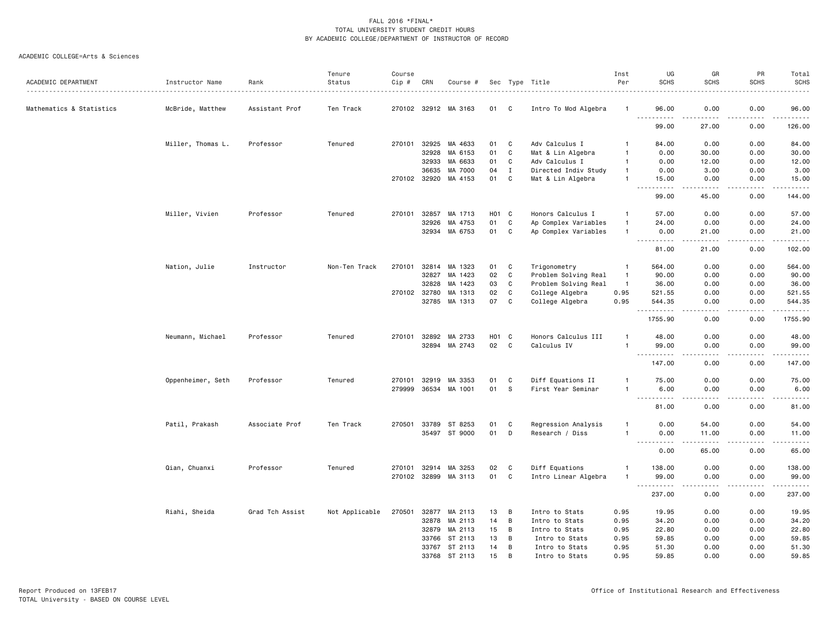| ACADEMIC DEPARTMENT      | Instructor Name   | Rank            | Tenure<br>Status | Course<br>Cip # | CRN   | Course #             |            |              | Sec Type Title       | Inst<br>Per    | UG<br><b>SCHS</b>                                                                                                                                                                                                                                                                                                                                                                                          | GR<br><b>SCHS</b>    | PR<br><b>SCHS</b>            | Total<br><b>SCHS</b>                                                                                                           |
|--------------------------|-------------------|-----------------|------------------|-----------------|-------|----------------------|------------|--------------|----------------------|----------------|------------------------------------------------------------------------------------------------------------------------------------------------------------------------------------------------------------------------------------------------------------------------------------------------------------------------------------------------------------------------------------------------------------|----------------------|------------------------------|--------------------------------------------------------------------------------------------------------------------------------|
|                          |                   |                 |                  |                 |       |                      |            |              |                      |                |                                                                                                                                                                                                                                                                                                                                                                                                            |                      |                              | .                                                                                                                              |
| Mathematics & Statistics | McBride, Matthew  | Assistant Prof  | Ten Track        |                 |       | 270102 32912 MA 3163 | 01         | C            | Intro To Mod Algebra | -1             | 96.00<br><u>.</u>                                                                                                                                                                                                                                                                                                                                                                                          | 0.00                 | 0.00                         | 96.00<br>$\begin{array}{cccccccccc} \bullet & \bullet & \bullet & \bullet & \bullet & \bullet & \bullet & \bullet \end{array}$ |
|                          |                   |                 |                  |                 |       |                      |            |              |                      |                | 99.00                                                                                                                                                                                                                                                                                                                                                                                                      | 27.00                | 0.00                         | 126.00                                                                                                                         |
|                          | Miller, Thomas L. | Professor       | Tenured          | 270101          | 32925 | MA 4633              | 01         | C            | Adv Calculus I       | -1             | 84.00                                                                                                                                                                                                                                                                                                                                                                                                      | 0.00                 | 0.00                         | 84.00                                                                                                                          |
|                          |                   |                 |                  |                 | 32928 | MA 6153              | 01         | C            | Mat & Lin Algebra    | $\mathbf{1}$   | 0.00                                                                                                                                                                                                                                                                                                                                                                                                       | 30.00                | 0.00                         | 30.00                                                                                                                          |
|                          |                   |                 |                  |                 | 32933 | MA 6633              | 01         | C            | Adv Calculus I       | $\mathbf{1}$   | 0.00                                                                                                                                                                                                                                                                                                                                                                                                       | 12.00                | 0.00                         | 12.00                                                                                                                          |
|                          |                   |                 |                  |                 | 36635 | MA 7000              | 04         | $\mathbf I$  | Directed Indiv Study | $\mathbf{1}$   | 0.00                                                                                                                                                                                                                                                                                                                                                                                                       | 3.00                 | 0.00                         | 3.00                                                                                                                           |
|                          |                   |                 |                  | 270102 32920    |       | MA 4153              | 01         | C            | Mat & Lin Algebra    | $\mathbf{1}$   | 15.00<br>$\frac{1}{2} \frac{1}{2} \frac{1}{2} \frac{1}{2} \frac{1}{2} \frac{1}{2} \frac{1}{2} \frac{1}{2} \frac{1}{2} \frac{1}{2} \frac{1}{2} \frac{1}{2} \frac{1}{2} \frac{1}{2} \frac{1}{2} \frac{1}{2} \frac{1}{2} \frac{1}{2} \frac{1}{2} \frac{1}{2} \frac{1}{2} \frac{1}{2} \frac{1}{2} \frac{1}{2} \frac{1}{2} \frac{1}{2} \frac{1}{2} \frac{1}{2} \frac{1}{2} \frac{1}{2} \frac{1}{2} \frac{$<br>. | 0.00                 | 0.00<br>$-$ - $-$ -          | 15.00<br>.                                                                                                                     |
|                          |                   |                 |                  |                 |       |                      |            |              |                      |                | 99.00                                                                                                                                                                                                                                                                                                                                                                                                      | 45.00                | 0.00                         | 144.00                                                                                                                         |
|                          | Miller, Vivien    | Professor       | Tenured          | 270101          | 32857 | MA 1713              | HO1        | $\mathbf{C}$ | Honors Calculus I    | $\mathbf{1}$   | 57.00                                                                                                                                                                                                                                                                                                                                                                                                      | 0.00                 | 0.00                         | 57.00                                                                                                                          |
|                          |                   |                 |                  |                 | 32926 | MA 4753              | 01         | $\mathtt{C}$ | Ap Complex Variables | $\mathbf{1}$   | 24.00                                                                                                                                                                                                                                                                                                                                                                                                      | 0.00                 | 0.00                         | 24.00                                                                                                                          |
|                          |                   |                 |                  |                 |       | 32934 MA 6753        | 01         | $\mathtt{C}$ | Ap Complex Variables | $\mathbf{1}$   | 0.00<br>$\sim$ $\sim$ $\sim$<br>.                                                                                                                                                                                                                                                                                                                                                                          | 21.00                | 0.00<br>.                    | 21.00<br>.                                                                                                                     |
|                          |                   |                 |                  |                 |       |                      |            |              |                      |                | 81.00                                                                                                                                                                                                                                                                                                                                                                                                      | 21.00                | 0.00                         | 102.00                                                                                                                         |
|                          | Nation, Julie     | Instructor      | Non-Ten Track    | 270101          |       | 32814 MA 1323        | 01         | C            | Trigonometry         | -1             | 564.00                                                                                                                                                                                                                                                                                                                                                                                                     | 0.00                 | 0.00                         | 564.00                                                                                                                         |
|                          |                   |                 |                  |                 | 32827 | MA 1423              | 02         | $\mathtt{C}$ | Problem Solving Real | $\overline{1}$ | 90.00                                                                                                                                                                                                                                                                                                                                                                                                      | 0.00                 | 0.00                         | 90.00                                                                                                                          |
|                          |                   |                 |                  |                 | 32828 | MA 1423              | 03         | $\mathtt{C}$ | Problem Solving Real | $\mathbf{1}$   | 36.00                                                                                                                                                                                                                                                                                                                                                                                                      | 0.00                 | 0.00                         | 36.00                                                                                                                          |
|                          |                   |                 |                  | 270102          | 32780 | MA 1313              | 02         | $\mathtt{C}$ | College Algebra      | 0.95           | 521.55                                                                                                                                                                                                                                                                                                                                                                                                     | 0.00                 | 0.00                         | 521.55                                                                                                                         |
|                          |                   |                 |                  |                 | 32785 | MA 1313              | 07         | C            | College Algebra      | 0.95           | 544.35<br>.                                                                                                                                                                                                                                                                                                                                                                                                | 0.00<br>.            | 0.00<br>$\sim$ $\sim$ $\sim$ | 544.35<br>.                                                                                                                    |
|                          |                   |                 |                  |                 |       |                      |            |              |                      |                | 1755.90                                                                                                                                                                                                                                                                                                                                                                                                    | 0.00                 | 0.00                         | 1755.90                                                                                                                        |
|                          | Neumann, Michael  | Professor       | Tenured          | 270101          | 32892 | MA 2733              | <b>HO1</b> | C            | Honors Calculus III  | $\mathbf{1}$   | 48.00                                                                                                                                                                                                                                                                                                                                                                                                      | 0.00                 | 0.00                         | 48.00                                                                                                                          |
|                          |                   |                 |                  |                 |       | 32894 MA 2743        | 02         | C            | Calculus IV          | $\overline{1}$ | 99.00<br>$ -$<br>.                                                                                                                                                                                                                                                                                                                                                                                         | 0.00<br>.            | 0.00<br>$- - - -$            | 99.00<br>.                                                                                                                     |
|                          |                   |                 |                  |                 |       |                      |            |              |                      |                | 147.00                                                                                                                                                                                                                                                                                                                                                                                                     | 0.00                 | 0.00                         | 147.00                                                                                                                         |
|                          | Oppenheimer, Seth | Professor       | Tenured          | 270101          | 32919 | MA 3353              | 01         | C            | Diff Equations II    | $\overline{1}$ | 75.00                                                                                                                                                                                                                                                                                                                                                                                                      | 0.00                 | 0.00                         | 75.00                                                                                                                          |
|                          |                   |                 |                  | 279999          |       | 36534 MA 1001        | 01         | S            | First Year Seminar   | $\mathbf{1}$   | 6.00<br>$\sim$ $\sim$ $\sim$<br>.                                                                                                                                                                                                                                                                                                                                                                          | 0.00                 | 0.00                         | 6.00<br>.                                                                                                                      |
|                          |                   |                 |                  |                 |       |                      |            |              |                      |                | 81.00                                                                                                                                                                                                                                                                                                                                                                                                      | 0.00                 | 0.00                         | 81.00                                                                                                                          |
|                          | Patil, Prakash    | Associate Prof  | Ten Track        | 270501          | 33789 | ST 8253              | 01         | C            | Regression Analysis  | $\mathbf{1}$   | 0.00                                                                                                                                                                                                                                                                                                                                                                                                       | 54.00                | 0.00                         | 54.00                                                                                                                          |
|                          |                   |                 |                  |                 | 35497 | ST 9000              | 01         | D            | Research / Diss      | $\mathbf{1}$   | 0.00<br><u>.</u>                                                                                                                                                                                                                                                                                                                                                                                           | 11.00<br>$- - - - -$ | 0.00<br>.                    | 11.00<br>.                                                                                                                     |
|                          |                   |                 |                  |                 |       |                      |            |              |                      |                | 0.00                                                                                                                                                                                                                                                                                                                                                                                                       | 65.00                | 0.00                         | 65.00                                                                                                                          |
|                          | Qian, Chuanxi     | Professor       | Tenured          | 270101          | 32914 | MA 3253              | 02         | C            | Diff Equations       | -1             | 138.00                                                                                                                                                                                                                                                                                                                                                                                                     | 0.00                 | 0.00                         | 138.00                                                                                                                         |
|                          |                   |                 |                  |                 |       | 270102 32899 MA 3113 | 01         | C            | Intro Linear Algebra | $\overline{1}$ | 99.00                                                                                                                                                                                                                                                                                                                                                                                                      | 0.00                 | 0.00                         | 99.00<br>.                                                                                                                     |
|                          |                   |                 |                  |                 |       |                      |            |              |                      |                | 237.00                                                                                                                                                                                                                                                                                                                                                                                                     | 0.00                 | 0.00                         | 237.00                                                                                                                         |
|                          | Riahi, Sheida     | Grad Tch Assist | Not Applicable   | 270501          | 32877 | MA 2113              | 13         | B            | Intro to Stats       | 0.95           | 19.95                                                                                                                                                                                                                                                                                                                                                                                                      | 0.00                 | 0.00                         | 19.95                                                                                                                          |
|                          |                   |                 |                  |                 | 32878 | MA 2113              | 14         | B            | Intro to Stats       | 0.95           | 34.20                                                                                                                                                                                                                                                                                                                                                                                                      | 0.00                 | 0.00                         | 34.20                                                                                                                          |
|                          |                   |                 |                  |                 | 32879 | MA 2113              | 15         | B            | Intro to Stats       | 0.95           | 22.80                                                                                                                                                                                                                                                                                                                                                                                                      | 0.00                 | 0.00                         | 22.80                                                                                                                          |
|                          |                   |                 |                  |                 | 33766 | ST 2113              | 13         | B            | Intro to Stats       | 0.95           | 59.85                                                                                                                                                                                                                                                                                                                                                                                                      | 0.00                 | 0.00                         | 59.85                                                                                                                          |
|                          |                   |                 |                  |                 |       | 33767 ST 2113        | 14         | B            | Intro to Stats       | 0.95           | 51.30                                                                                                                                                                                                                                                                                                                                                                                                      | 0.00                 | 0.00                         | 51.30                                                                                                                          |
|                          |                   |                 |                  |                 | 33768 | ST 2113              | 15         | B            | Intro to Stats       | 0.95           | 59.85                                                                                                                                                                                                                                                                                                                                                                                                      | 0.00                 | 0.00                         | 59.85                                                                                                                          |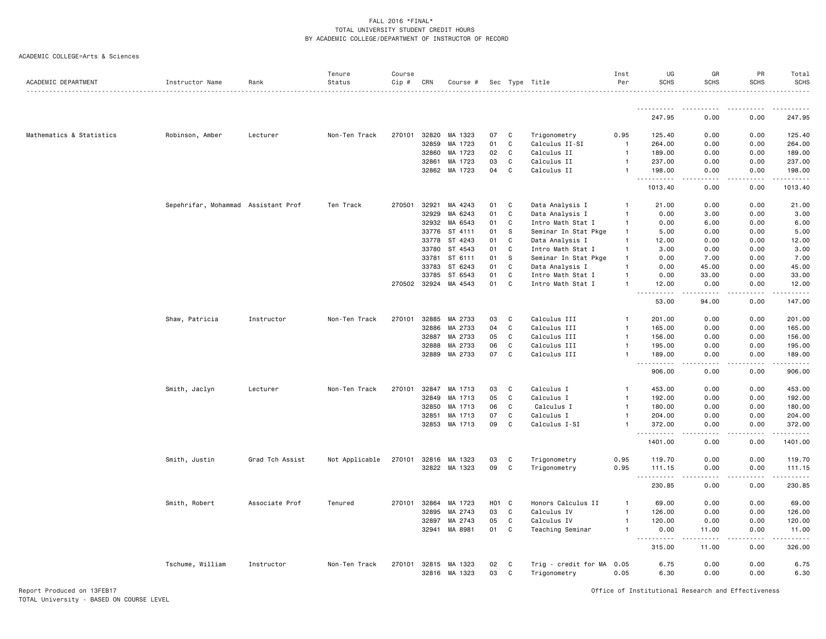|  | ACADEMIC COLLEGE=Arts & Sciences |  |  |
|--|----------------------------------|--|--|
|--|----------------------------------|--|--|

| ACADEMIC DEPARTMENT      | Instructor Name                     | Rank            | Tenure<br>Status | Course<br>Cip # | CRN          | Course #      |       |              |                           | Inst<br>Per    | UG<br><b>SCHS</b>                          | GR<br><b>SCHS</b> | PR<br><b>SCHS</b> | Total<br><b>SCHS</b>   |
|--------------------------|-------------------------------------|-----------------|------------------|-----------------|--------------|---------------|-------|--------------|---------------------------|----------------|--------------------------------------------|-------------------|-------------------|------------------------|
|                          |                                     |                 |                  |                 |              |               |       |              | Sec Type Title            |                |                                            |                   |                   | .                      |
|                          |                                     |                 |                  |                 |              |               |       |              |                           |                | .                                          | .                 | .                 | .                      |
|                          |                                     |                 |                  |                 |              |               |       |              |                           |                | 247.95                                     | 0.00              | 0.00              | 247.95                 |
| Mathematics & Statistics | Robinson, Amber                     | Lecturer        | Non-Ten Track    | 270101          | 32820        | MA 1323       | 07    | C            | Trigonometry              | 0.95           | 125.40                                     | 0.00              | 0.00              | 125.40                 |
|                          |                                     |                 |                  |                 | 32859        | MA 1723       | 01    | C            | Calculus II-SI            | $\overline{1}$ | 264.00                                     | 0.00              | 0.00              | 264.00                 |
|                          |                                     |                 |                  |                 | 32860        | MA 1723       | 02    | C            | Calculus II               | $\mathbf{1}$   | 189.00                                     | 0.00              | 0.00              | 189.00                 |
|                          |                                     |                 |                  |                 | 32861        | MA 1723       | 03    | C            | Calculus II               | $\mathbf{1}$   | 237.00                                     | 0.00              | 0.00              | 237.00                 |
|                          |                                     |                 |                  |                 |              | 32862 MA 1723 | 04    | C            | Calculus II               | $\mathbf{1}$   | 198.00<br>.                                | 0.00              | 0.00              | 198.00                 |
|                          |                                     |                 |                  |                 |              |               |       |              |                           |                | 1013.40                                    | 0.00              | 0.00              | 1013.40                |
|                          | Sepehrifar, Mohammad Assistant Prof |                 | Ten Track        | 270501          | 32921        | MA 4243       | 01    | C            | Data Analysis I           | $\mathbf{1}$   | 21.00                                      | 0.00              | 0.00              | 21.00                  |
|                          |                                     |                 |                  |                 | 32929        | MA 6243       | 01    | C            | Data Analysis I           | $\mathbf{1}$   | 0.00                                       | 3.00              | 0.00              | 3.00                   |
|                          |                                     |                 |                  |                 | 32932        | MA 6543       | 01    | C            | Intro Math Stat I         | $\mathbf{1}$   | 0.00                                       | 6.00              | 0.00              | 6.00                   |
|                          |                                     |                 |                  |                 | 33776        | ST 4111       | 01    | s            | Seminar In Stat Pkge      | $\mathbf{1}$   | 5.00                                       | 0.00              | 0.00              | 5.00                   |
|                          |                                     |                 |                  |                 | 33778        | ST 4243       | 01    | C            | Data Analysis I           | $\mathbf{1}$   | 12.00                                      | 0.00              | 0.00              | 12.00                  |
|                          |                                     |                 |                  |                 | 33780        | ST 4543       | 01    | C            | Intro Math Stat I         | $\mathbf{1}$   | 3.00                                       | 0.00              | 0.00              | 3.00                   |
|                          |                                     |                 |                  |                 | 33781        | ST 6111       | 01    | S            | Seminar In Stat Pkge      | $\mathbf{1}$   | 0.00                                       | 7.00              | 0.00              | 7.00                   |
|                          |                                     |                 |                  |                 | 33783        | ST 6243       | 01    | C            | Data Analysis I           | $\mathbf{1}$   | 0.00                                       | 45.00             | 0.00              | 45.00                  |
|                          |                                     |                 |                  |                 | 33785        | ST 6543       | 01    | C            | Intro Math Stat I         | $\mathbf{1}$   | 0.00                                       | 33.00             | 0.00              | 33.00                  |
|                          |                                     |                 |                  |                 | 270502 32924 | MA 4543       | 01    | C            | Intro Math Stat I         | $\mathbf{1}$   | 12.00<br><b>.</b>                          | 0.00<br>-----     | 0.00<br>-----     | 12.00<br><u>.</u>      |
|                          |                                     |                 |                  |                 |              |               |       |              |                           |                | 53.00                                      | 94.00             | 0.00              | 147.00                 |
|                          | Shaw, Patricia                      | Instructor      | Non-Ten Track    | 270101          | 32885        | MA 2733       | 03    | C            | Calculus III              | $\overline{1}$ | 201.00                                     | 0.00              | 0.00              | 201.00                 |
|                          |                                     |                 |                  |                 | 32886        | MA 2733       | 04    | C            | Calculus III              | $\overline{1}$ | 165.00                                     | 0.00              | 0.00              | 165.00                 |
|                          |                                     |                 |                  |                 | 32887        | MA 2733       | 05    | C            | Calculus III              | $\mathbf{1}$   | 156.00                                     | 0.00              | 0.00              | 156.00                 |
|                          |                                     |                 |                  |                 | 32888        | MA 2733       | 06    | $\mathbb{C}$ | Calculus III              | $\mathbf{1}$   | 195.00                                     | 0.00              | 0.00              | 195.00                 |
|                          |                                     |                 |                  |                 | 32889        | MA 2733       | 07    | C            | Calculus III              | $\mathbf{1}$   | 189.00<br>.                                | 0.00              | 0.00              | 189.00<br>$- - - -$    |
|                          |                                     |                 |                  |                 |              |               |       |              |                           |                | 906.00                                     | 0.00              | 0.00              | 906.00                 |
|                          | Smith, Jaclyn                       | Lecturer        | Non-Ten Track    | 270101          | 32847        | MA 1713       | 03    | C            | Calculus I                | $\mathbf{1}$   | 453.00                                     | 0.00              | 0.00              | 453.00                 |
|                          |                                     |                 |                  |                 | 32849        | MA 1713       | 05    | C            | Calculus I                | $\mathbf{1}$   | 192.00                                     | 0.00              | 0.00              | 192.00                 |
|                          |                                     |                 |                  |                 | 32850        | MA 1713       | 06    | C            | Calculus I                | $\mathbf{1}$   | 180.00                                     | 0.00              | 0.00              | 180.00                 |
|                          |                                     |                 |                  |                 | 32851        | MA 1713       | 07    | $\mathtt{C}$ | Calculus I                | $\mathbf{1}$   | 204.00                                     | 0.00              | 0.00              | 204.00                 |
|                          |                                     |                 |                  |                 | 32853        | MA 1713       | 09    | $\mathbb{C}$ | Calculus I-SI             | $\mathbf{1}$   | 372.00                                     | 0.00              | 0.00              | 372.00                 |
|                          |                                     |                 |                  |                 |              |               |       |              |                           |                | .<br>$\sim$ $\sim$ $\sim$<br>1401.00       | 0.00              | 0.00              | .<br>1401.00           |
|                          | Smith, Justin                       | Grad Tch Assist | Not Applicable   |                 | 270101 32816 | MA 1323       | 03    | C            | Trigonometry              | 0.95           | 119.70                                     | 0.00              | 0.00              | 119.70                 |
|                          |                                     |                 |                  |                 |              | 32822 MA 1323 | 09    | C            | Trigonometry              | 0.95           | 111.15<br>$- - - - - - -$<br>$\sim$ $\sim$ | 0.00<br>.         | 0.00<br>.         | 111.15<br>. <u>.</u> . |
|                          |                                     |                 |                  |                 |              |               |       |              |                           |                | 230.85                                     | 0.00              | 0.00              | 230.85                 |
|                          | Smith, Robert                       | Associate Prof  | Tenured          |                 | 270101 32864 | MA 1723       | H01 C |              | Honors Calculus II        | $\mathbf{1}$   | 69.00                                      | 0.00              | 0.00              | 69.00                  |
|                          |                                     |                 |                  |                 | 32895        | MA 2743       | 03    | C            | Calculus IV               | $\mathbf{1}$   | 126.00                                     | 0.00              | 0.00              | 126.00                 |
|                          |                                     |                 |                  |                 | 32897        | MA 2743       | 05    | C            | Calculus IV               | $\mathbf{1}$   | 120.00                                     | 0.00              | 0.00              | 120.00                 |
|                          |                                     |                 |                  |                 | 32941        | MA 8981       | 01    | C            | Teaching Seminar          | $\mathbf{1}$   | 0.00<br>.                                  | 11.00<br>.        | 0.00<br>.         | 11.00                  |
|                          |                                     |                 |                  |                 |              |               |       |              |                           |                | 315.00                                     | 11.00             | 0.00              | 326.00                 |
|                          | Tschume, William                    | Instructor      | Non-Ten Track    |                 | 270101 32815 | MA 1323       | 02    | C            | Trig - credit for MA 0.05 |                | 6.75                                       | 0.00              | 0.00              | 6.75                   |
|                          |                                     |                 |                  |                 | 32816        | MA 1323       | 03    | C            | Trigonometry              | 0.05           | 6.30                                       | 0.00              | 0.00              | 6.30                   |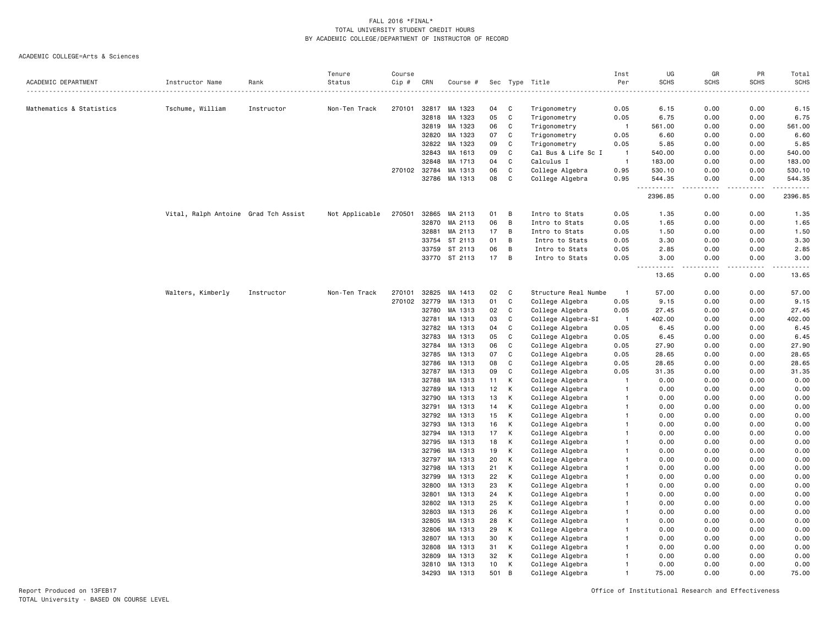#### ACADEMIC COLLEGE=Arts & Sciences

|                          |                                      |            | Tenure         | Course |       |          |     |                |                      | Inst                     | UG                                                | GR                           | PR              | Total                        |
|--------------------------|--------------------------------------|------------|----------------|--------|-------|----------|-----|----------------|----------------------|--------------------------|---------------------------------------------------|------------------------------|-----------------|------------------------------|
| ACADEMIC DEPARTMENT      | Instructor Name                      | Rank       | Status<br>.    | Cip #  | CRN   | Course # |     | Sec Type       | Title                | Per                      | <b>SCHS</b>                                       | <b>SCHS</b>                  | <b>SCHS</b>     | <b>SCHS</b><br>$\frac{1}{2}$ |
|                          |                                      |            |                |        |       |          |     |                |                      |                          |                                                   |                              |                 |                              |
| Mathematics & Statistics | Tschume, William                     | Instructor | Non-Ten Track  | 270101 | 32817 | MA 1323  | 04  | C              | Trigonometry         | 0.05                     | 6.15                                              | 0.00                         | 0.00            | 6.15                         |
|                          |                                      |            |                |        | 32818 | MA 1323  | 05  | C              | Trigonometry         | 0.05                     | 6.75                                              | 0.00                         | 0.00            | 6.75                         |
|                          |                                      |            |                |        | 32819 | MA 1323  | 06  | C              | Trigonometry         | $\overline{1}$           | 561.00                                            | 0.00                         | 0.00            | 561.00                       |
|                          |                                      |            |                |        | 32820 | MA 1323  | 07  | C              | Trigonometry         | 0.05                     | 6.60                                              | 0.00                         | 0.00            | 6.60                         |
|                          |                                      |            |                |        | 32822 | MA 1323  | 09  | C              | Trigonometry         | 0.05                     | 5.85                                              | 0.00                         | 0.00            | 5.85                         |
|                          |                                      |            |                |        | 32843 | MA 1613  | 09  | C              | Cal Bus & Life Sc I  | $\overline{1}$           | 540.00                                            | 0.00                         | 0.00            | 540.00                       |
|                          |                                      |            |                |        | 32848 | MA 1713  | 04  | C              | Calculus I           | $\overline{\phantom{0}}$ | 183.00                                            | 0.00                         | 0.00            | 183.00                       |
|                          |                                      |            |                | 270102 | 32784 | MA 1313  | 06  | $\mathsf{C}$   | College Algebra      | 0.95                     | 530.10                                            | 0.00                         | 0.00            | 530.10                       |
|                          |                                      |            |                |        | 32786 | MA 1313  | 08  | C              | College Algebra      | 0.95                     | 544.35<br>$\sim$ $\sim$ $\sim$ $\sim$ $\sim$<br>. | 0.00<br>$\sim$ $\sim$ $\sim$ | 0.00<br>.       | 544.35<br>.                  |
|                          |                                      |            |                |        |       |          |     |                |                      |                          | 2396.85                                           | 0.00                         | 0.00            | 2396.85                      |
|                          | Vital, Ralph Antoine Grad Tch Assist |            | Not Applicable | 270501 | 32865 | MA 2113  | 01  | B              | Intro to Stats       | 0.05                     | 1.35                                              | 0.00                         | 0.00            | 1.35                         |
|                          |                                      |            |                |        | 32870 | MA 2113  | 06  | B              | Intro to Stats       | 0.05                     | 1.65                                              | 0.00                         | 0.00            | 1.65                         |
|                          |                                      |            |                |        | 32881 | MA 2113  | 17  | B              | Intro to Stats       | 0.05                     | 1.50                                              | 0.00                         | 0.00            | 1.50                         |
|                          |                                      |            |                |        | 33754 | ST 2113  | 01  | B              | Intro to Stats       | 0.05                     | 3.30                                              | 0.00                         | 0.00            | 3.30                         |
|                          |                                      |            |                |        | 33759 | ST 2113  | 06  | B              | Intro to Stats       | 0.05                     | 2.85                                              | 0.00                         | 0.00            | 2.85                         |
|                          |                                      |            |                |        | 33770 | ST 2113  | 17  | B              | Intro to Stats       | 0.05                     | 3.00<br>$\sim$ $\sim$ $\sim$<br>.                 | 0.00<br>$- - -$              | 0.00<br>د د د د | 3.00<br>$- - - -$            |
|                          |                                      |            |                |        |       |          |     |                |                      |                          | 13.65                                             | 0.00                         | 0.00            | 13.65                        |
|                          | Walters, Kimberly                    | Instructor | Non-Ten Track  | 270101 | 32825 | MA 1413  | 02  | C              | Structure Real Numbe | $\overline{1}$           | 57.00                                             | 0.00                         | 0.00            | 57.00                        |
|                          |                                      |            |                | 270102 | 32779 | MA 1313  | 01  | C              | College Algebra      | 0.05                     | 9.15                                              | 0.00                         | 0.00            | 9.15                         |
|                          |                                      |            |                |        | 32780 | MA 1313  | 02  | C              | College Algebra      | 0.05                     | 27.45                                             | 0.00                         | 0.00            | 27.45                        |
|                          |                                      |            |                |        | 32781 | MA 1313  | 03  | $\mathtt{C}$   | College Algebra-SI   | $\overline{1}$           | 402.00                                            | 0.00                         | 0.00            | 402.00                       |
|                          |                                      |            |                |        | 32782 | MA 1313  | 04  | C              | College Algebra      | 0.05                     | 6.45                                              | 0.00                         | 0.00            | 6.45                         |
|                          |                                      |            |                |        | 32783 | MA 1313  | 05  | C              | College Algebra      | 0.05                     | 6.45                                              | 0.00                         | 0.00            | 6.45                         |
|                          |                                      |            |                |        | 32784 | MA 1313  | 06  | C              | College Algebra      | 0.05                     | 27.90                                             | 0.00                         | 0.00            | 27.90                        |
|                          |                                      |            |                |        | 32785 | MA 1313  | 07  | C              | College Algebra      | 0.05                     | 28.65                                             | 0.00                         | 0.00            | 28.65                        |
|                          |                                      |            |                |        | 32786 | MA 1313  | 08  | $\mathtt{C}$   | College Algebra      | 0.05                     | 28.65                                             | 0.00                         | 0.00            | 28.65                        |
|                          |                                      |            |                |        | 32787 | MA 1313  | 09  | C              | College Algebra      | 0.05                     | 31.35                                             | 0.00                         | 0.00            | 31.35                        |
|                          |                                      |            |                |        | 32788 | MA 1313  | 11  | К              | College Algebra      | -1                       | 0.00                                              | 0.00                         | 0.00            | 0.00                         |
|                          |                                      |            |                |        | 32789 | MA 1313  | 12  | K              | College Algebra      | $\overline{1}$           | 0.00                                              | 0.00                         | 0.00            | 0.00                         |
|                          |                                      |            |                |        | 32790 | MA 1313  | 13  | K              | College Algebra      | $\overline{1}$           | 0.00                                              | 0.00                         | 0.00            | 0.00                         |
|                          |                                      |            |                |        | 32791 | MA 1313  | 14  | К              | College Algebra      | $\mathbf{1}$             | 0.00                                              | 0.00                         | 0.00            | 0.00                         |
|                          |                                      |            |                |        | 32792 | MA 1313  | 15  | K              | College Algebra      | -1                       | 0.00                                              | 0.00                         | 0.00            | 0.00                         |
|                          |                                      |            |                |        | 32793 | MA 1313  | 16  | К              | College Algebra      | $\mathbf{1}$             | 0.00                                              | 0.00                         | 0.00            | 0.00                         |
|                          |                                      |            |                |        | 32794 | MA 1313  | 17  | К              | College Algebra      | -1                       | 0.00                                              | 0.00                         | 0.00            | 0.00                         |
|                          |                                      |            |                |        | 32795 | MA 1313  | 18  | К              | College Algebra      | -1                       | 0.00                                              | 0.00                         | 0.00            | 0.00                         |
|                          |                                      |            |                |        | 32796 | MA 1313  | 19  | K              | College Algebra      | $\mathbf{1}$             | 0.00                                              | 0.00                         | 0.00            | 0.00                         |
|                          |                                      |            |                |        | 32797 | MA 1313  | 20  | K              | College Algebra      | $\overline{1}$           | 0.00                                              | 0.00                         | 0.00            | 0.00                         |
|                          |                                      |            |                |        | 32798 | MA 1313  | 21  | К              | College Algebra      | -1                       | 0.00                                              | 0.00                         | 0.00            | 0.00                         |
|                          |                                      |            |                |        | 32799 | MA 1313  | 22  | K              | College Algebra      | $\mathbf{1}$             | 0.00                                              | 0.00                         | 0.00            | 0.00                         |
|                          |                                      |            |                |        | 32800 | MA 1313  | 23  | К              | College Algebra      | $\mathbf{1}$             | 0.00                                              | 0.00                         | 0.00            | 0.00                         |
|                          |                                      |            |                |        | 32801 | MA 1313  | 24  | K              | College Algebra      | $\overline{1}$           | 0.00                                              | 0.00                         | 0.00            | 0.00                         |
|                          |                                      |            |                |        | 32802 | MA 1313  | 25  | K              | College Algebra      | $\mathbf{1}$             | 0.00                                              | 0.00                         | 0.00            | 0.00                         |
|                          |                                      |            |                |        | 32803 | MA 1313  | 26  | К              | College Algebra      | $\mathbf{1}$             | 0.00                                              | 0.00                         | 0.00            | 0.00                         |
|                          |                                      |            |                |        | 32805 | MA 1313  | 28  | К              | College Algebra      | -1                       | 0.00                                              | 0.00                         | 0.00            | 0.00                         |
|                          |                                      |            |                |        | 32806 | MA 1313  | 29  | К              | College Algebra      | -1                       | 0.00                                              | 0.00                         | 0.00            | 0.00                         |
|                          |                                      |            |                |        | 32807 | MA 1313  | 30  | К              | College Algebra      | $\mathbf{1}$             | 0.00                                              | 0.00                         | 0.00            | 0.00                         |
|                          |                                      |            |                |        | 32808 | MA 1313  | 31  | К              | College Algebra      | -1                       | 0.00                                              | 0.00                         | 0.00            | 0.00                         |
|                          |                                      |            |                |        | 32809 | MA 1313  | 32  | К              | College Algebra      | -1                       | 0.00                                              | 0.00                         | 0.00            | 0.00                         |
|                          |                                      |            |                |        | 32810 | MA 1313  | 10  | К              | College Algebra      | $\overline{1}$           | 0.00                                              | 0.00                         | 0.00            | 0.00                         |
|                          |                                      |            |                |        | 34293 | MA 1313  | 501 | $\overline{B}$ | College Algebra      | $\overline{1}$           | 75.00                                             | 0.00                         | 0.00            | 75.00                        |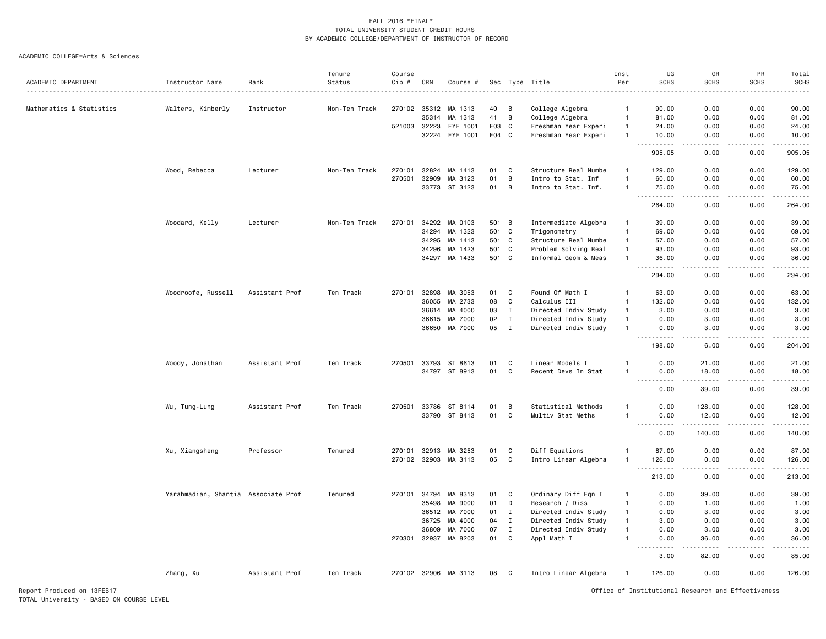#### ACADEMIC COLLEGE=Arts & Sciences

|                          |                                     |                | Tenure        | Course |              |                      |       |                |                      | Inst           | UG                                                                                                                                                                                                              | GR                    | PR            | Total                                                                                                                                                                                     |
|--------------------------|-------------------------------------|----------------|---------------|--------|--------------|----------------------|-------|----------------|----------------------|----------------|-----------------------------------------------------------------------------------------------------------------------------------------------------------------------------------------------------------------|-----------------------|---------------|-------------------------------------------------------------------------------------------------------------------------------------------------------------------------------------------|
| ACADEMIC DEPARTMENT      | Instructor Name                     | Rank           | Status        | Cip #  | CRN          | Course #             | Sec   | Type           | Title                | Per            | <b>SCHS</b>                                                                                                                                                                                                     | <b>SCHS</b>           | <b>SCHS</b>   | <b>SCHS</b>                                                                                                                                                                               |
|                          |                                     |                |               |        |              |                      |       |                |                      |                |                                                                                                                                                                                                                 |                       |               |                                                                                                                                                                                           |
| Mathematics & Statistics | Walters, Kimberly                   | Instructor     | Non-Ten Track | 270102 | 35312        | MA 1313              | 40    | B              | College Algebra      | $\overline{1}$ | 90.00                                                                                                                                                                                                           | 0.00                  | 0.00          | 90.00                                                                                                                                                                                     |
|                          |                                     |                |               |        | 35314        | MA 1313              | 41    | $\overline{B}$ | College Algebra      | $\overline{1}$ | 81.00                                                                                                                                                                                                           | 0.00                  | 0.00          | 81.00                                                                                                                                                                                     |
|                          |                                     |                |               | 521003 | 32223        | FYE 1001             | F03   | C.             | Freshman Year Experi | $\overline{1}$ | 24,00                                                                                                                                                                                                           | 0.00                  | 0.00          | 24.00                                                                                                                                                                                     |
|                          |                                     |                |               |        | 32224        | FYE 1001             | F04   | C.             | Freshman Year Experi | $\overline{1}$ | 10.00<br>. <b>.</b>                                                                                                                                                                                             | 0.00<br>الدامات ب     | 0.00<br>.     | 10.00<br>.                                                                                                                                                                                |
|                          |                                     |                |               |        |              |                      |       |                |                      |                | 905.05                                                                                                                                                                                                          | 0.00                  | 0.00          | 905.05                                                                                                                                                                                    |
|                          | Wood, Rebecca                       | Lecturer       | Non-Ten Track | 270101 | 32824        | MA 1413              | 01    | C              | Structure Real Numbe | $\overline{1}$ | 129.00                                                                                                                                                                                                          | 0.00                  | 0.00          | 129.00                                                                                                                                                                                    |
|                          |                                     |                |               | 270501 | 32909        | MA 3123              | 01    | B              | Intro to Stat. Inf   | $\overline{1}$ | 60.00                                                                                                                                                                                                           | 0.00                  | 0.00          | 60.00                                                                                                                                                                                     |
|                          |                                     |                |               |        |              | 33773 ST 3123        | 01    | B              | Intro to Stat. Inf.  | $\mathbf{1}$   | 75.00                                                                                                                                                                                                           | 0.00                  | 0.00          | 75.00                                                                                                                                                                                     |
|                          |                                     |                |               |        |              |                      |       |                |                      |                | $\sim$ $\sim$ .<br>.<br>264.00                                                                                                                                                                                  | $\frac{1}{2}$<br>0.00 | .<br>0.00     | .<br>264.00                                                                                                                                                                               |
|                          | Woodard, Kelly                      | Lecturer       | Non-Ten Track | 270101 | 34292        | MA 0103              | 501 B |                | Intermediate Algebra | $\overline{1}$ | 39,00                                                                                                                                                                                                           | 0.00                  | 0.00          | 39,00                                                                                                                                                                                     |
|                          |                                     |                |               |        |              |                      |       |                |                      | $\overline{1}$ |                                                                                                                                                                                                                 |                       |               |                                                                                                                                                                                           |
|                          |                                     |                |               |        | 34294        | MA 1323              | 501 C |                | Trigonometry         |                | 69.00                                                                                                                                                                                                           | 0.00                  | 0.00          | 69.00                                                                                                                                                                                     |
|                          |                                     |                |               |        | 34295        | MA 1413              | 501 C |                | Structure Real Numbe | $\mathbf{1}$   | 57.00                                                                                                                                                                                                           | 0.00                  | 0.00          | 57.00                                                                                                                                                                                     |
|                          |                                     |                |               |        | 34296        | MA 1423              | 501 C |                | Problem Solving Real | $\overline{1}$ | 93.00                                                                                                                                                                                                           | 0.00                  | 0.00          | 93.00                                                                                                                                                                                     |
|                          |                                     |                |               |        | 34297        | MA 1433              | 501 C |                | Informal Geom & Meas | $\overline{1}$ | 36.00<br>.                                                                                                                                                                                                      | 0.00<br>.             | 0.00<br>.     | 36.00<br>.                                                                                                                                                                                |
|                          |                                     |                |               |        |              |                      |       |                |                      |                | 294.00                                                                                                                                                                                                          | 0.00                  | 0.00          | 294.00                                                                                                                                                                                    |
|                          | Woodroofe, Russell                  | Assistant Prof | Ten Track     | 270101 | 32898        | MA 3053              | 01    | C              | Found Of Math I      | $\overline{1}$ | 63.00                                                                                                                                                                                                           | 0.00                  | 0.00          | 63.00                                                                                                                                                                                     |
|                          |                                     |                |               |        | 36055        | MA 2733              | 08    | C              | Calculus III         | $\mathbf{1}$   | 132.00                                                                                                                                                                                                          | 0.00                  | 0.00          | 132.00                                                                                                                                                                                    |
|                          |                                     |                |               |        | 36614        | MA 4000              | 03    | $\mathbf I$    | Directed Indiv Study | $\mathbf{1}$   | 3.00                                                                                                                                                                                                            | 0.00                  | 0.00          | 3.00                                                                                                                                                                                      |
|                          |                                     |                |               |        | 36615        | MA 7000              | 02    | $\mathbf{I}$   | Directed Indiv Study | $\overline{1}$ | 0.00                                                                                                                                                                                                            | 3.00                  | 0.00          | 3.00                                                                                                                                                                                      |
|                          |                                     |                |               |        | 36650        | MA 7000              | 05    | $\mathbf{I}$   | Directed Indiv Study | $\overline{1}$ | 0.00                                                                                                                                                                                                            | 3.00                  | 0.00          | 3.00                                                                                                                                                                                      |
|                          |                                     |                |               |        |              |                      |       |                |                      |                | .<br>198.00                                                                                                                                                                                                     | .<br>6.00             | .<br>0.00     | .<br>204.00                                                                                                                                                                               |
|                          |                                     |                |               | 270501 | 33793        | ST 8613              | 01    | C              | Linear Models I      | $\mathbf{1}$   | 0.00                                                                                                                                                                                                            |                       | 0.00          | 21.00                                                                                                                                                                                     |
|                          | Woody, Jonathan                     | Assistant Prof | Ten Track     |        |              |                      | 01    | $\mathtt{C}$   |                      |                |                                                                                                                                                                                                                 | 21.00                 |               |                                                                                                                                                                                           |
|                          |                                     |                |               |        | 34797        | ST 8913              |       |                | Recent Devs In Stat  | $\mathbf{1}$   | 0.00<br>$\sim$ $\sim$                                                                                                                                                                                           | 18.00                 | 0.00          | 18.00                                                                                                                                                                                     |
|                          |                                     |                |               |        |              |                      |       |                |                      |                | 0.00                                                                                                                                                                                                            | 39.00                 | 0.00          | 39.00                                                                                                                                                                                     |
|                          | Wu, Tung-Lung                       | Assistant Prof | Ten Track     |        |              | 270501 33786 ST 8114 | 01    | B              | Statistical Methods  | $\mathbf{1}$   | 0.00                                                                                                                                                                                                            | 128.00                | 0.00          | 128.00                                                                                                                                                                                    |
|                          |                                     |                |               |        |              | 33790 ST 8413        | 01    | C              | Multiv Stat Meths    | -1             | 0.00                                                                                                                                                                                                            | 12.00                 | 0.00          | 12.00                                                                                                                                                                                     |
|                          |                                     |                |               |        |              |                      |       |                |                      |                | $\sim$ $\sim$ $\sim$<br>$\frac{1}{2} \left( \frac{1}{2} \right) \left( \frac{1}{2} \right) \left( \frac{1}{2} \right) \left( \frac{1}{2} \right) \left( \frac{1}{2} \right) \left( \frac{1}{2} \right)$<br>0.00 | .<br>140.00           | -----<br>0.00 | $\frac{1}{2} \left( \frac{1}{2} \right) \left( \frac{1}{2} \right) \left( \frac{1}{2} \right) \left( \frac{1}{2} \right) \left( \frac{1}{2} \right) \left( \frac{1}{2} \right)$<br>140.00 |
|                          | Xu, Xiangsheng                      | Professor      | Tenured       |        | 270101 32913 | MA 3253              | 01    | C              | Diff Equations       | -1             | 87.00                                                                                                                                                                                                           | 0.00                  | 0.00          | 87.00                                                                                                                                                                                     |
|                          |                                     |                |               |        | 270102 32903 | MA 3113              | 05    | C              | Intro Linear Algebra | -1             | 126.00                                                                                                                                                                                                          | 0.00                  | 0.00          | 126.00                                                                                                                                                                                    |
|                          |                                     |                |               |        |              |                      |       |                |                      |                | $\sim$ $\sim$ .<br>.<br>213.00                                                                                                                                                                                  | $\frac{1}{2}$<br>0.00 | .<br>0.00     | $\frac{1}{2} \left( \frac{1}{2} \right) \left( \frac{1}{2} \right) \left( \frac{1}{2} \right) \left( \frac{1}{2} \right) \left( \frac{1}{2} \right)$<br>213.00                            |
|                          | Yarahmadian, Shantia Associate Prof |                | Tenured       | 270101 | 34794        | MA 8313              | 01    | C              | Ordinary Diff Eqn I  | $\mathbf{1}$   | 0.00                                                                                                                                                                                                            | 39.00                 | 0.00          | 39.00                                                                                                                                                                                     |
|                          |                                     |                |               |        | 35498        | MA 9000              | 01    | D              | Research / Diss      | $\mathbf{1}$   | 0.00                                                                                                                                                                                                            | 1.00                  | 0.00          | 1.00                                                                                                                                                                                      |
|                          |                                     |                |               |        |              | 36512 MA 7000        | 01    | $\mathbf{I}$   | Directed Indiv Study | $\mathbf{1}$   | 0.00                                                                                                                                                                                                            | 3.00                  | 0.00          | 3.00                                                                                                                                                                                      |
|                          |                                     |                |               |        | 36725        | MA 4000              | 04    | $\mathbf{I}$   | Directed Indiv Study | $\mathbf{1}$   | 3.00                                                                                                                                                                                                            | 0.00                  | 0.00          | 3.00                                                                                                                                                                                      |
|                          |                                     |                |               |        | 36809        | MA 7000              | 07    | $\mathbf{I}$   | Directed Indiv Study | $\mathbf{1}$   | 0.00                                                                                                                                                                                                            | 3.00                  | 0.00          | 3.00                                                                                                                                                                                      |
|                          |                                     |                |               | 270301 | 32937        | MA 8203              | 01    | C              | Appl Math I          | $\overline{1}$ | 0.00                                                                                                                                                                                                            | 36.00                 | 0.00          | 36.00                                                                                                                                                                                     |
|                          |                                     |                |               |        |              |                      |       |                |                      |                | $\sim$ $\sim$<br>----<br>3.00                                                                                                                                                                                   | .<br>82.00            | 0.00          | $\frac{1}{2}$<br>85.00                                                                                                                                                                    |
|                          | Zhang, Xu                           | Assistant Prof | Ten Track     |        |              | 270102 32906 MA 3113 | 08    | C              | Intro Linear Algebra | -1             | 126.00                                                                                                                                                                                                          | 0.00                  | 0.00          | 126.00                                                                                                                                                                                    |
|                          |                                     |                |               |        |              |                      |       |                |                      |                |                                                                                                                                                                                                                 |                       |               |                                                                                                                                                                                           |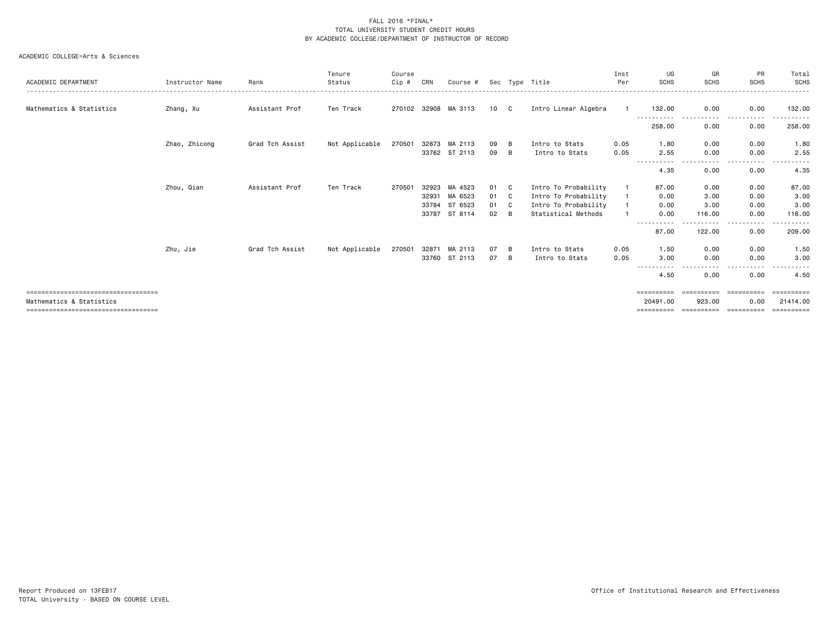| ACADEMIC DEPARTMENT                                              | Instructor Name | Rank            | Tenure<br>Status | Course<br>Cip # | CRN                              | Course #                                 |                      |                   | Sec Type Title                                                                              | Inst<br>Per  | UG<br><b>SCHS</b>                  | GR<br><b>SCHS</b>              | PR<br><b>SCHS</b>            | Total<br><b>SCHS</b>                                                                                                                                                                                                                                                                                                                                                                                                                                                                             |
|------------------------------------------------------------------|-----------------|-----------------|------------------|-----------------|----------------------------------|------------------------------------------|----------------------|-------------------|---------------------------------------------------------------------------------------------|--------------|------------------------------------|--------------------------------|------------------------------|--------------------------------------------------------------------------------------------------------------------------------------------------------------------------------------------------------------------------------------------------------------------------------------------------------------------------------------------------------------------------------------------------------------------------------------------------------------------------------------------------|
| Mathematics & Statistics                                         | Zhang, Xu       | Assistant Prof  | Ten Track        |                 |                                  | 270102 32908 MA 3113                     | 10 C                 |                   | Intro Linear Algebra                                                                        |              | 132.00                             | 0.00                           | 0.00                         | 132.00                                                                                                                                                                                                                                                                                                                                                                                                                                                                                           |
|                                                                  |                 |                 |                  |                 |                                  |                                          |                      |                   |                                                                                             |              | 258.00                             | 0.00                           | 0.00                         | 258.00                                                                                                                                                                                                                                                                                                                                                                                                                                                                                           |
|                                                                  | Zhao, Zhicong   | Grad Tch Assist | Not Applicable   | 270501          |                                  | 32873 MA 2113<br>33762 ST 2113           | 09<br>09             | B<br>B            | Intro to Stats<br>Intro to Stats                                                            | 0.05<br>0.05 | 1.80<br>2.55                       | 0.00<br>0.00                   | 0.00<br>0.00                 | 1.80<br>2.55                                                                                                                                                                                                                                                                                                                                                                                                                                                                                     |
|                                                                  |                 |                 |                  |                 |                                  |                                          |                      |                   |                                                                                             |              | 4.35                               | 0.00                           | ----<br>0.00                 | 4.35                                                                                                                                                                                                                                                                                                                                                                                                                                                                                             |
|                                                                  | Zhou, Qian      | Assistant Prof  | Ten Track        | 270501          | 32923<br>32931<br>33784<br>33787 | MA 4523<br>MA 6523<br>ST 6523<br>ST 8114 | 01<br>01<br>01<br>02 | C.<br>C<br>C<br>B | Intro To Probability<br>Intro To Probability<br>Intro To Probability<br>Statistical Methods |              | 87.00<br>0.00<br>0.00<br>0.00      | 0.00<br>3.00<br>3.00<br>116.00 | 0.00<br>0.00<br>0.00<br>0.00 | 87.00<br>3.00<br>3.00<br>116.00                                                                                                                                                                                                                                                                                                                                                                                                                                                                  |
|                                                                  |                 |                 |                  |                 |                                  |                                          |                      |                   |                                                                                             |              | 87.00                              | . <b>.</b> .<br>122.00         | $\cdots$<br>.<br>0.00        | $\begin{array}{cccccccccccccc} \multicolumn{2}{c}{} & \multicolumn{2}{c}{} & \multicolumn{2}{c}{} & \multicolumn{2}{c}{} & \multicolumn{2}{c}{} & \multicolumn{2}{c}{} & \multicolumn{2}{c}{} & \multicolumn{2}{c}{} & \multicolumn{2}{c}{} & \multicolumn{2}{c}{} & \multicolumn{2}{c}{} & \multicolumn{2}{c}{} & \multicolumn{2}{c}{} & \multicolumn{2}{c}{} & \multicolumn{2}{c}{} & \multicolumn{2}{c}{} & \multicolumn{2}{c}{} & \multicolumn{2}{c}{} & \multicolumn{2}{c}{} & \$<br>209,00 |
|                                                                  | Zhu, Jie        | Grad Tch Assist | Not Applicable   | 270501          | 32871                            | MA 2113<br>33760 ST 2113                 | 07<br>07             | B<br>B            | Intro to Stats<br>Intro to Stats                                                            | 0.05<br>0.05 | 1.50<br>3.00<br>- - - - -<br>----- | 0.00<br>0.00<br>.              | 0.00<br>0.00<br>$\cdots$     | 1.50<br>3.00                                                                                                                                                                                                                                                                                                                                                                                                                                                                                     |
|                                                                  |                 |                 |                  |                 |                                  |                                          |                      |                   |                                                                                             |              | 4.50                               | 0.00                           | 0.00                         | 4.50                                                                                                                                                                                                                                                                                                                                                                                                                                                                                             |
| ====================================<br>Mathematics & Statistics |                 |                 |                  |                 |                                  |                                          |                      |                   |                                                                                             |              | ==========<br>20491.00             | ==========<br>923.00           | ==========<br>0.00           | ==========<br>21414.00                                                                                                                                                                                                                                                                                                                                                                                                                                                                           |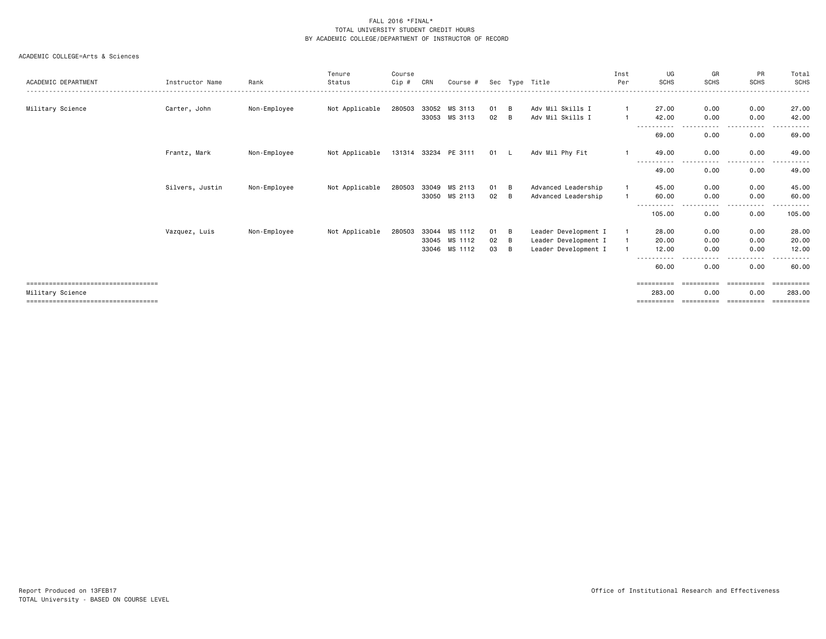| ACADEMIC DEPARTMENT                    | Instructor Name | Rank         | Tenure<br>Status | Course<br>Cip # | CRN   | Course #             |      |   | Sec Type Title       | Inst<br>Per  | UG<br><b>SCHS</b>   | GR<br><b>SCHS</b> | PR<br><b>SCHS</b> | Total<br>SCHS |
|----------------------------------------|-----------------|--------------|------------------|-----------------|-------|----------------------|------|---|----------------------|--------------|---------------------|-------------------|-------------------|---------------|
|                                        |                 |              |                  |                 |       |                      |      |   |                      |              |                     |                   |                   |               |
| Military Science                       | Carter, John    | Non-Employee | Not Applicable   | 280503          | 33052 | MS 3113              | 01   | B | Adv Mil Skills I     | $\mathbf{1}$ | 27.00               | 0.00              | 0.00              | 27.00         |
|                                        |                 |              |                  |                 |       | 33053 MS 3113        | 02   | B | Adv Mil Skills I     |              | 42.00               | 0.00              | 0.00              | 42.00         |
|                                        |                 |              |                  |                 |       |                      |      |   |                      |              | 69.00               | 0.00              | 0.00              | 69.00         |
|                                        | Frantz, Mark    | Non-Employee | Not Applicable   |                 |       | 131314 33234 PE 3111 | 01 L |   | Adv Mil Phy Fit      |              | 49.00<br>---------- | 0.00<br>$\cdots$  | 0.00<br>.         | 49.00         |
|                                        |                 |              |                  |                 |       |                      |      |   |                      |              | 49.00               | 0.00              | 0.00              | 49.00         |
|                                        | Silvers, Justin | Non-Employee | Not Applicable   | 280503          | 33049 | MS 2113              | 01   | B | Advanced Leadership  | $\mathbf{1}$ | 45.00               | 0.00              | 0.00              | 45.00         |
|                                        |                 |              |                  |                 | 33050 | MS 2113              | 02   | B | Advanced Leadership  |              | 60.00               | 0.00              | 0.00              | 60.00         |
|                                        |                 |              |                  |                 |       |                      |      |   |                      |              | 105.00              | $\cdots$<br>0.00  | .<br>0.00         | .<br>105.00   |
|                                        | Vazquez, Luis   | Non-Employee | Not Applicable   | 280503          | 33044 | MS 1112              | 01   | B | Leader Development I |              | 28.00               | 0.00              | 0.00              | 28.00         |
|                                        |                 |              |                  |                 | 33045 | MS 1112              | 02   | B | Leader Development I |              | 20.00               | 0.00              | 0.00              | 20.00         |
|                                        |                 |              |                  |                 | 33046 | MS 1112              | 03   | B | Leader Development I |              | 12.00               | 0.00              | 0.00              | 12.00         |
|                                        |                 |              |                  |                 |       |                      |      |   |                      |              | $\cdots$<br>60.00   | 0.00              | $\cdots$<br>0.00  | 60.00         |
| ====================================== |                 |              |                  |                 |       |                      |      |   |                      |              | ==========          | ==========        | ==========        |               |
| Military Science                       |                 |              |                  |                 |       |                      |      |   |                      |              | 283.00              | 0.00              | 0.00              | 283.00        |
| =====================================  |                 |              |                  |                 |       |                      |      |   |                      |              |                     |                   |                   | =======       |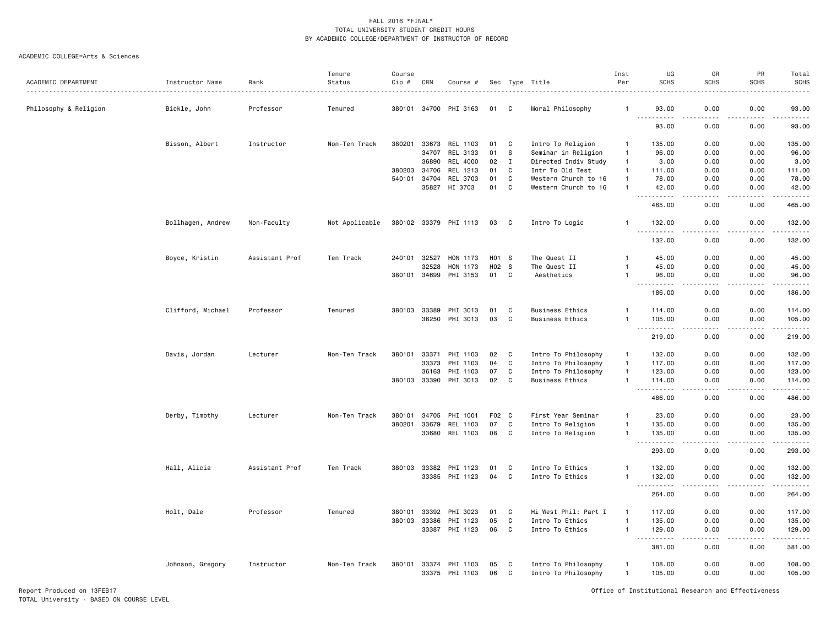#### ACADEMIC COLLEGE=Arts & Sciences

|                       |                   |                | Tenure         | Course |       |                       |       |              |                        | Inst           | UG                                                                                                                                                                                                                                                                                                                                                                                                | GR                    | PR                    | Total                   |
|-----------------------|-------------------|----------------|----------------|--------|-------|-----------------------|-------|--------------|------------------------|----------------|---------------------------------------------------------------------------------------------------------------------------------------------------------------------------------------------------------------------------------------------------------------------------------------------------------------------------------------------------------------------------------------------------|-----------------------|-----------------------|-------------------------|
| ACADEMIC DEPARTMENT   | Instructor Name   | Rank           | Status         | Cip #  | CRN   | Course #              |       |              | Sec Type Title         | Per            | <b>SCHS</b>                                                                                                                                                                                                                                                                                                                                                                                       | <b>SCHS</b>           | <b>SCHS</b>           | <b>SCHS</b>             |
| Philosophy & Religion | Bickle, John      | Professor      | Tenured        | 380101 | 34700 | PHI 3163              | 01    | C            | Moral Philosophy       |                | 93.00                                                                                                                                                                                                                                                                                                                                                                                             | 0.00                  | 0.00                  | 93.00                   |
|                       |                   |                |                |        |       |                       |       |              |                        |                | <b>.</b><br>93.00                                                                                                                                                                                                                                                                                                                                                                                 | .<br>0.00             | $\frac{1}{2}$<br>0.00 | .<br>93.00              |
|                       |                   |                |                |        |       |                       |       |              |                        |                |                                                                                                                                                                                                                                                                                                                                                                                                   |                       |                       |                         |
|                       | Bisson, Albert    | Instructor     | Non-Ten Track  | 380201 | 33673 | REL 1103              | 01    | C            | Intro To Religion      | $\mathbf{1}$   | 135.00                                                                                                                                                                                                                                                                                                                                                                                            | 0.00                  | 0.00                  | 135.00                  |
|                       |                   |                |                |        | 34707 | REL 3133              | 01    | s            | Seminar in Religion    | $\overline{1}$ | 96.00                                                                                                                                                                                                                                                                                                                                                                                             | 0.00                  | 0.00                  | 96.00                   |
|                       |                   |                |                |        | 36890 | REL 4000              | 02    | $\mathbf I$  | Directed Indiv Study   | $\overline{1}$ | 3.00                                                                                                                                                                                                                                                                                                                                                                                              | 0.00                  | 0.00                  | 3.00                    |
|                       |                   |                |                | 380203 | 34706 | REL 1213              | 01    | C            | Intr To Old Test       | $\overline{1}$ | 111.00                                                                                                                                                                                                                                                                                                                                                                                            | 0.00                  | 0.00                  | 111.00                  |
|                       |                   |                |                | 540101 | 34704 | REL 3703              | 01    | $\mathbf c$  | Western Church to 16   | $\mathbf{1}$   | 78.00                                                                                                                                                                                                                                                                                                                                                                                             | 0.00                  | 0.00                  | 78.00                   |
|                       |                   |                |                |        | 35827 | HI 3703               | 01    | C            | Western Church to 16   | $\mathbf{1}$   | 42.00                                                                                                                                                                                                                                                                                                                                                                                             | 0.00                  | 0.00                  | 42.00                   |
|                       |                   |                |                |        |       |                       |       |              |                        |                | 465.00                                                                                                                                                                                                                                                                                                                                                                                            | 0.00                  | 0.00                  | 465.00                  |
|                       | Bollhagen, Andrew | Non-Faculty    | Not Applicable |        |       | 380102 33379 PHI 1113 | 03    | $\mathbf{C}$ | Intro To Logic         |                | 132.00<br><u>.</u>                                                                                                                                                                                                                                                                                                                                                                                | 0.00<br>$- - - -$     | 0.00<br>.             | 132.00<br>$- - - - - -$ |
|                       |                   |                |                |        |       |                       |       |              |                        |                | 132.00                                                                                                                                                                                                                                                                                                                                                                                            | 0.00                  | 0.00                  | 132.00                  |
|                       | Boyce, Kristin    | Assistant Prof | Ten Track      | 240101 | 32527 | HON 1173              | H01 S |              | The Quest II           | $\overline{1}$ | 45.00                                                                                                                                                                                                                                                                                                                                                                                             | 0.00                  | 0.00                  | 45.00                   |
|                       |                   |                |                |        | 32528 | HON 1173              | H02 S |              | The Quest II           | $\mathbf{1}$   | 45.00                                                                                                                                                                                                                                                                                                                                                                                             | 0.00                  | 0.00                  | 45.00                   |
|                       |                   |                |                | 380101 | 34699 | PHI 3153              | 01    | C            | Aesthetics             | $\overline{1}$ | 96.00                                                                                                                                                                                                                                                                                                                                                                                             | 0.00                  | 0.00                  | 96.00                   |
|                       |                   |                |                |        |       |                       |       |              |                        |                | $- - - - -$<br>186.00                                                                                                                                                                                                                                                                                                                                                                             | $\frac{1}{2}$<br>0.00 | $  -$<br>0.00         | .<br>186.00             |
|                       | Clifford, Michael | Professor      | Tenured        | 380103 | 33389 | PHI 3013              | 01    | C            | <b>Business Ethics</b> |                | 114.00                                                                                                                                                                                                                                                                                                                                                                                            | 0.00                  | 0.00                  | 114.00                  |
|                       |                   |                |                |        | 36250 | PHI 3013              | 03    | C            | <b>Business Ethics</b> | $\mathbf{1}$   | 105.00                                                                                                                                                                                                                                                                                                                                                                                            | 0.00                  | 0.00                  | 105.00                  |
|                       |                   |                |                |        |       |                       |       |              |                        |                | .<br>$\frac{1}{2} \frac{1}{2} \frac{1}{2} \frac{1}{2} \frac{1}{2} \frac{1}{2} \frac{1}{2} \frac{1}{2} \frac{1}{2} \frac{1}{2} \frac{1}{2} \frac{1}{2} \frac{1}{2} \frac{1}{2} \frac{1}{2} \frac{1}{2} \frac{1}{2} \frac{1}{2} \frac{1}{2} \frac{1}{2} \frac{1}{2} \frac{1}{2} \frac{1}{2} \frac{1}{2} \frac{1}{2} \frac{1}{2} \frac{1}{2} \frac{1}{2} \frac{1}{2} \frac{1}{2} \frac{1}{2} \frac{$ | د د د د               | .                     | .                       |
|                       |                   |                |                |        |       |                       |       |              |                        |                | 219.00                                                                                                                                                                                                                                                                                                                                                                                            | 0.00                  | 0.00                  | 219.00                  |
|                       | Davis, Jordan     | Lecturer       | Non-Ten Track  | 380101 | 33371 | PHI 1103              | 02    | C            | Intro To Philosophy    | $\overline{1}$ | 132.00                                                                                                                                                                                                                                                                                                                                                                                            | 0.00                  | 0.00                  | 132.00                  |
|                       |                   |                |                |        | 33373 | PHI 1103              | 04    | C            | Intro To Philosophy    | $\overline{1}$ | 117.00                                                                                                                                                                                                                                                                                                                                                                                            | 0.00                  | 0.00                  | 117.00                  |
|                       |                   |                |                |        | 36163 | PHI 1103              | 07    | C            | Intro To Philosophy    | $\mathbf{1}$   | 123.00                                                                                                                                                                                                                                                                                                                                                                                            | 0.00                  | 0.00                  | 123.00                  |
|                       |                   |                |                | 380103 | 33390 | PHI 3013              | 02    | C            | <b>Business Ethics</b> | $\mathbf{1}$   | 114.00                                                                                                                                                                                                                                                                                                                                                                                            | 0.00                  | 0.00<br>.             | 114.00<br>.             |
|                       |                   |                |                |        |       |                       |       |              |                        |                | .<br>486.00                                                                                                                                                                                                                                                                                                                                                                                       | $\frac{1}{2}$<br>0.00 | 0.00                  | 486.00                  |
|                       | Derby, Timothy    | Lecturer       | Non-Ten Track  | 380101 | 34705 | PHI 1001              | F02 C |              | First Year Seminar     | $\mathbf{1}$   | 23.00                                                                                                                                                                                                                                                                                                                                                                                             | 0.00                  | 0.00                  | 23.00                   |
|                       |                   |                |                | 380201 | 33679 | REL 1103              | 07    | $\mathbf c$  | Intro To Religion      | $\mathbf{1}$   | 135.00                                                                                                                                                                                                                                                                                                                                                                                            | 0.00                  | 0.00                  | 135.00                  |
|                       |                   |                |                |        | 33680 | REL 1103              | 08    | $\mathbf c$  | Intro To Religion      | $\mathbf{1}$   | 135.00                                                                                                                                                                                                                                                                                                                                                                                            | 0.00                  | 0.00                  | 135.00<br>.             |
|                       |                   |                |                |        |       |                       |       |              |                        |                | 293.00                                                                                                                                                                                                                                                                                                                                                                                            | 0.00                  | 0.00                  | 293.00                  |
|                       | Hall, Alicia      | Assistant Prof | Ten Track      | 380103 | 33382 | PHI 1123              | 01    | C            | Intro To Ethics        | 1              | 132.00                                                                                                                                                                                                                                                                                                                                                                                            | 0.00                  | 0.00                  | 132.00                  |
|                       |                   |                |                |        | 33385 | PHI 1123              | 04    | C            | Intro To Ethics        | $\mathbf{1}$   | 132.00                                                                                                                                                                                                                                                                                                                                                                                            | 0.00                  | 0.00                  | 132.00<br>.             |
|                       |                   |                |                |        |       |                       |       |              |                        |                | 264.00                                                                                                                                                                                                                                                                                                                                                                                            | 0.00                  | 0.00                  | 264.00                  |
|                       | Holt, Dale        | Professor      | Tenured        | 380101 | 33392 | PHI 3023              | 01    | C            | Hi West Phil: Part I   | $\overline{1}$ | 117.00                                                                                                                                                                                                                                                                                                                                                                                            | 0.00                  | 0.00                  | 117.00                  |
|                       |                   |                |                | 380103 | 33386 | PHI 1123              | 05    | C            | Intro To Ethics        | $\mathbf{1}$   | 135.00                                                                                                                                                                                                                                                                                                                                                                                            | 0.00                  | 0.00                  | 135.00                  |
|                       |                   |                |                |        | 33387 | PHI 1123              | 06    | $\mathbf c$  | Intro To Ethics        | $\mathbf{1}$   | 129.00<br>.                                                                                                                                                                                                                                                                                                                                                                                       | 0.00<br>$\frac{1}{2}$ | 0.00<br>.             | 129.00<br>.             |
|                       |                   |                |                |        |       |                       |       |              |                        |                | 381.00                                                                                                                                                                                                                                                                                                                                                                                            | 0.00                  | 0.00                  | 381.00                  |
|                       | Johnson, Gregory  | Instructor     | Non-Ten Track  | 380101 |       | 33374 PHI 1103        | 05    | C            | Intro To Philosophy    | $\overline{1}$ | 108.00                                                                                                                                                                                                                                                                                                                                                                                            | 0.00                  | 0.00                  | 108.00                  |
|                       |                   |                |                |        |       | 33375 PHI 1103        | 06    | C            | Intro To Philosophy    | $\overline{1}$ | 105.00                                                                                                                                                                                                                                                                                                                                                                                            | 0.00                  | 0.00                  | 105.00                  |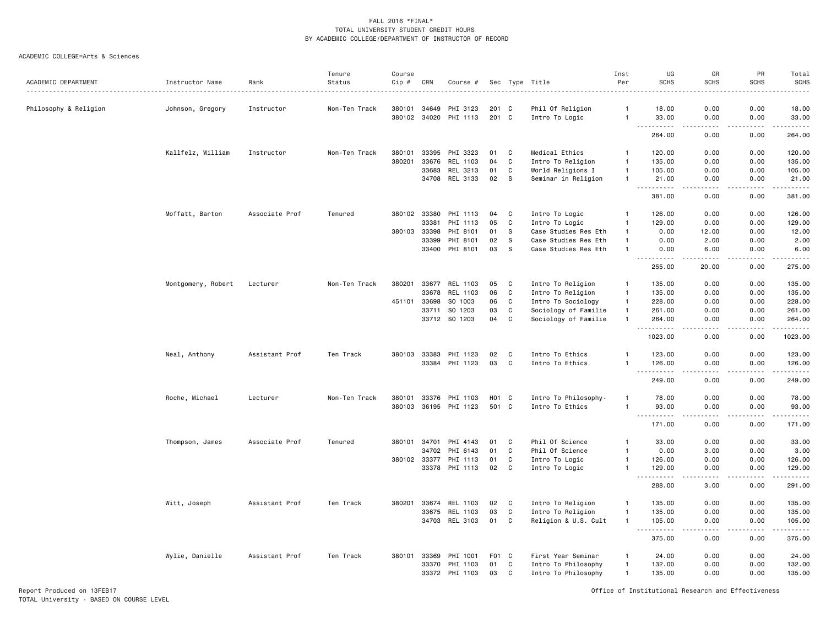#### ACADEMIC COLLEGE=Arts & Sciences

|                       |                    |                | Tenure        | Course |              |                                   |                 |              |                                    | Inst           | UG                                                                                                                                                                              | GR                                  | PR                 | Total                                                                                                                                                                                     |
|-----------------------|--------------------|----------------|---------------|--------|--------------|-----------------------------------|-----------------|--------------|------------------------------------|----------------|---------------------------------------------------------------------------------------------------------------------------------------------------------------------------------|-------------------------------------|--------------------|-------------------------------------------------------------------------------------------------------------------------------------------------------------------------------------------|
| ACADEMIC DEPARTMENT   | Instructor Name    | Rank           | Status        | Cip #  | CRN          | Course #                          | Sec             | Type         | Title                              | Per            | <b>SCHS</b>                                                                                                                                                                     | <b>SCHS</b>                         | <b>SCHS</b>        | <b>SCHS</b>                                                                                                                                                                               |
|                       |                    |                |               |        |              |                                   |                 |              |                                    | -1             |                                                                                                                                                                                 |                                     |                    |                                                                                                                                                                                           |
| Philosophy & Religion | Johnson, Gregory   | Instructor     | Non-Ten Track | 380101 | 34649        | PHI 3123<br>380102 34020 PHI 1113 | 201 C<br>201 C  |              | Phil Of Religion<br>Intro To Logic | $\mathbf{1}$   | 18.00<br>33.00                                                                                                                                                                  | 0.00<br>0.00                        | 0.00<br>0.00       | 18.00<br>33.00                                                                                                                                                                            |
|                       |                    |                |               |        |              |                                   |                 |              |                                    |                | $\sim$ $\sim$ $\sim$<br>.<br>264.00                                                                                                                                             | .<br>0.00                           | .<br>0.00          | $\begin{array}{cccccccccccccc} \bullet & \bullet & \bullet & \bullet & \bullet & \bullet & \bullet & \bullet \end{array}$<br>264.00                                                       |
|                       | Kallfelz, William  | Instructor     | Non-Ten Track | 380101 | 33395        | PHI 3323                          | 01              | C            | Medical Ethics                     | $\overline{1}$ | 120.00                                                                                                                                                                          | 0.00                                | 0.00               | 120.00                                                                                                                                                                                    |
|                       |                    |                |               | 380201 | 33676        | REL 1103                          | 04              | $\mathbf C$  | Intro To Religion                  | -1             | 135.00                                                                                                                                                                          | 0.00                                | 0.00               | 135.00                                                                                                                                                                                    |
|                       |                    |                |               |        | 33683        | REL 3213                          | 01              | C            | World Religions I                  | $\overline{1}$ | 105.00                                                                                                                                                                          | 0.00                                | 0.00               | 105.00                                                                                                                                                                                    |
|                       |                    |                |               |        |              | 34708 REL 3133                    | 02              | <b>S</b>     | Seminar in Religion                | $\overline{1}$ | 21.00                                                                                                                                                                           | 0.00                                | 0.00               | 21.00                                                                                                                                                                                     |
|                       |                    |                |               |        |              |                                   |                 |              |                                    |                | $\sim$ $\sim$ $\sim$<br>.<br>381.00                                                                                                                                             | د د د د<br>0.00                     | .<br>0.00          | 381.00                                                                                                                                                                                    |
|                       | Moffatt, Barton    | Associate Prof | Tenured       |        | 380102 33380 | PHI 1113                          | 04              | C            | Intro To Logic                     | $\mathbf{1}$   | 126.00                                                                                                                                                                          | 0.00                                | 0.00               | 126.00                                                                                                                                                                                    |
|                       |                    |                |               |        | 33381        | PHI 1113                          | 05              | C            | Intro To Logic                     | $\overline{1}$ | 129.00                                                                                                                                                                          | 0.00                                | 0.00               | 129.00                                                                                                                                                                                    |
|                       |                    |                |               | 380103 | 33398        | PHI 8101                          | 01              | -S           | Case Studies Res Eth               | $\mathbf{1}$   | 0.00                                                                                                                                                                            | 12.00                               | 0.00               | 12.00                                                                                                                                                                                     |
|                       |                    |                |               |        | 33399        | PHI 8101                          | 02              | <b>S</b>     | Case Studies Res Eth               | $\overline{1}$ | 0.00                                                                                                                                                                            | 2.00                                | 0.00               | 2.00                                                                                                                                                                                      |
|                       |                    |                |               |        |              | 33400 PHI 8101                    | 03              | S            | Case Studies Res Eth               | $\overline{1}$ | 0.00                                                                                                                                                                            | 6.00                                | 0.00               | 6.00                                                                                                                                                                                      |
|                       |                    |                |               |        |              |                                   |                 |              |                                    |                | -----<br>255.00                                                                                                                                                                 | .<br>20.00                          | -----<br>0.00      | .<br>275.00                                                                                                                                                                               |
|                       | Montgomery, Robert | Lecturer       | Non-Ten Track | 380201 |              | 33677 REL 1103                    | 05              | C            | Intro To Religion                  | $\overline{1}$ | 135.00                                                                                                                                                                          | 0.00                                | 0.00               | 135.00                                                                                                                                                                                    |
|                       |                    |                |               |        | 33678        | REL 1103                          | 06              | C            | Intro To Religion                  | $\mathbf{1}$   | 135.00                                                                                                                                                                          | 0.00                                | 0.00               | 135.00                                                                                                                                                                                    |
|                       |                    |                |               | 451101 | 33698        | SO 1003                           | 06              | C            | Intro To Sociology                 | $\mathbf{1}$   | 228.00                                                                                                                                                                          | 0.00                                | 0.00               | 228.00                                                                                                                                                                                    |
|                       |                    |                |               |        | 33711        | SO 1203                           | 03              | C            | Sociology of Familie               | $\overline{1}$ | 261.00                                                                                                                                                                          | 0.00                                | 0.00               | 261.00                                                                                                                                                                                    |
|                       |                    |                |               |        |              | 33712 SO 1203                     | 04              | $\mathtt{C}$ | Sociology of Familie               | $\overline{1}$ | 264.00                                                                                                                                                                          | 0.00                                | 0.00               | 264.00                                                                                                                                                                                    |
|                       |                    |                |               |        |              |                                   |                 |              |                                    |                | .<br>$- - -$<br>1023.00                                                                                                                                                         | $\frac{1}{2}$<br>0.00               | . <b>.</b><br>0.00 | .<br>1023.00                                                                                                                                                                              |
|                       | Neal, Anthony      | Assistant Prof | Ten Track     | 380103 | 33383        | PHI 1123                          | 02              | C            | Intro To Ethics                    | -1             | 123.00                                                                                                                                                                          | 0.00                                | 0.00               | 123.00                                                                                                                                                                                    |
|                       |                    |                |               |        |              | 33384 PHI 1123                    | 03              | C            | Intro To Ethics                    | $\overline{1}$ | 126.00                                                                                                                                                                          | 0.00                                | 0.00               | 126.00                                                                                                                                                                                    |
|                       |                    |                |               |        |              |                                   |                 |              |                                    |                | $\sim$ $\sim$ $\sim$<br>.<br>249.00                                                                                                                                             | .<br>0.00                           | .<br>0.00          | .<br>249.00                                                                                                                                                                               |
|                       | Roche, Michael     | Lecturer       | Non-Ten Track | 380101 | 33376        | PHI 1103                          | HO <sub>1</sub> | C            | Intro To Philosophy-               | -1             | 78.00                                                                                                                                                                           | 0.00                                | 0.00               | 78.00                                                                                                                                                                                     |
|                       |                    |                |               |        |              | 380103 36195 PHI 1123             | 501 C           |              | Intro To Ethics                    | $\overline{1}$ | 93.00                                                                                                                                                                           | 0.00                                | 0.00               | 93.00                                                                                                                                                                                     |
|                       |                    |                |               |        |              |                                   |                 |              |                                    |                | $\frac{1}{2} \left( \frac{1}{2} \right) \left( \frac{1}{2} \right) \left( \frac{1}{2} \right) \left( \frac{1}{2} \right) \left( \frac{1}{2} \right)$<br>171.00                  | $\sim$ $\sim$ $\sim$ $\sim$<br>0.00 | .<br>0.00          | .<br>171.00                                                                                                                                                                               |
|                       | Thompson, James    | Associate Prof | Tenured       | 380101 | 34701        | PHI 4143                          | 01              | C            | Phil Of Science                    | $\mathbf{1}$   | 33.00                                                                                                                                                                           | 0.00                                | 0.00               | 33.00                                                                                                                                                                                     |
|                       |                    |                |               |        | 34702        | PHI 6143                          | 01              | C            | Phil Of Science                    | $\overline{1}$ | 0.00                                                                                                                                                                            | 3.00                                | 0.00               | 3.00                                                                                                                                                                                      |
|                       |                    |                |               |        | 380102 33377 | PHI 1113                          | 01              | C            | Intro To Logic                     | $\overline{1}$ | 126.00                                                                                                                                                                          | 0.00                                | 0.00               | 126.00                                                                                                                                                                                    |
|                       |                    |                |               |        |              | 33378 PHI 1113                    | 02              | C            | Intro To Logic                     | -1             | 129.00                                                                                                                                                                          | 0.00                                | 0.00               | 129.00                                                                                                                                                                                    |
|                       |                    |                |               |        |              |                                   |                 |              |                                    |                | $\frac{1}{2} \left( \frac{1}{2} \right) \left( \frac{1}{2} \right) \left( \frac{1}{2} \right) \left( \frac{1}{2} \right) \left( \frac{1}{2} \right)$<br>$\sim$ $\sim$<br>288.00 | $\sim$ $\sim$ $\sim$ $\sim$<br>3.00 | .<br>0.00          | $\frac{1}{2} \left( \frac{1}{2} \right) \left( \frac{1}{2} \right) \left( \frac{1}{2} \right) \left( \frac{1}{2} \right) \left( \frac{1}{2} \right) \left( \frac{1}{2} \right)$<br>291.00 |
|                       | Witt, Joseph       | Assistant Prof | Ten Track     | 380201 | 33674        | REL 1103                          | 02              | C            | Intro To Religion                  | $\overline{1}$ | 135.00                                                                                                                                                                          | 0.00                                | 0.00               | 135.00                                                                                                                                                                                    |
|                       |                    |                |               |        | 33675        | REL 1103                          | 03              | C            | Intro To Religion                  | $\mathbf{1}$   | 135.00                                                                                                                                                                          | 0.00                                | 0.00               | 135.00                                                                                                                                                                                    |
|                       |                    |                |               |        |              | 34703 REL 3103                    | 01              | C            | Religion & U.S. Cult               | $\mathbf{1}$   | 105.00<br>$\sim$ $\sim$<br>.                                                                                                                                                    | 0.00                                | 0.00               | 105.00<br><u>.</u>                                                                                                                                                                        |
|                       |                    |                |               |        |              |                                   |                 |              |                                    |                | 375.00                                                                                                                                                                          | 0.00                                | 0.00               | 375.00                                                                                                                                                                                    |
|                       | Wylie, Danielle    | Assistant Prof | Ten Track     | 380101 | 33369        | PHI 1001                          | F01 C           |              | First Year Seminar                 | $\overline{1}$ | 24.00                                                                                                                                                                           | 0.00                                | 0.00               | 24.00                                                                                                                                                                                     |
|                       |                    |                |               |        | 33370        | PHI 1103                          | 01              | C            | Intro To Philosophy                | $\mathbf{1}$   | 132.00                                                                                                                                                                          | 0.00                                | 0.00               | 132.00                                                                                                                                                                                    |
|                       |                    |                |               |        |              | 33372 PHI 1103                    | 03              | C            | Intro To Philosophy                | $\mathbf{1}$   | 135.00                                                                                                                                                                          | 0.00                                | 0.00               | 135.00                                                                                                                                                                                    |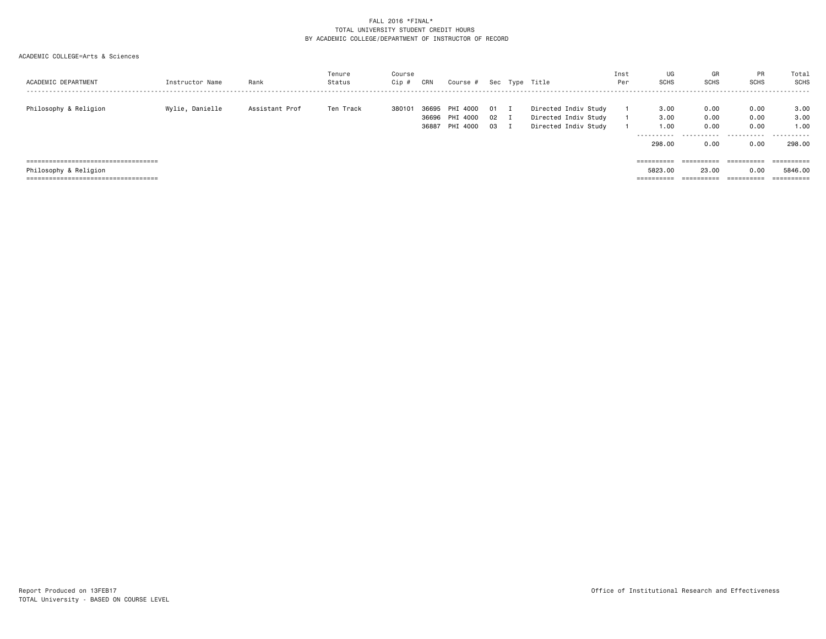| ACADEMIC DEPARTMENT                   | Instructor Name | Rank           | Tenure<br>Status | Course<br>Cip # | CRN                     | Course #                         |                | Sec Type Title                                                       | Inst<br>Per | UG<br><b>SCHS</b>                             | GR<br><b>SCHS</b>                 | <b>PR</b><br><b>SCHS</b>          | Total<br>SCHS                       |
|---------------------------------------|-----------------|----------------|------------------|-----------------|-------------------------|----------------------------------|----------------|----------------------------------------------------------------------|-------------|-----------------------------------------------|-----------------------------------|-----------------------------------|-------------------------------------|
| Philosophy & Religion                 | Wylie, Danielle | Assistant Prof | Ten Track        | 380101          | 36695<br>36696<br>36887 | PHI 4000<br>PHI 4000<br>PHI 4000 | 01<br>02<br>03 | Directed Indiv Study<br>Directed Indiv Study<br>Directed Indiv Study |             | 3,00<br>3.00<br>1.00<br>-----------<br>298,00 | 0.00<br>0.00<br>0.00<br>.<br>0.00 | 0.00<br>0.00<br>0.00<br>.<br>0.00 | 3,00<br>3,00<br>1.00<br>.<br>298.00 |
| ===================================== |                 |                |                  |                 |                         |                                  |                |                                                                      |             |                                               | $=$ = = = = = = = = =             | $=$ = = = = = = = = =             |                                     |
| Philosophy & Religion                 |                 |                |                  |                 |                         |                                  |                |                                                                      |             | 5823.00                                       | 23,00                             | 0.00                              | 5846.00                             |
| ===================================== |                 |                |                  |                 |                         |                                  |                |                                                                      |             | $=$ = = = = = = = = =                         | $=$ = = = = = = = = =             | ==========                        |                                     |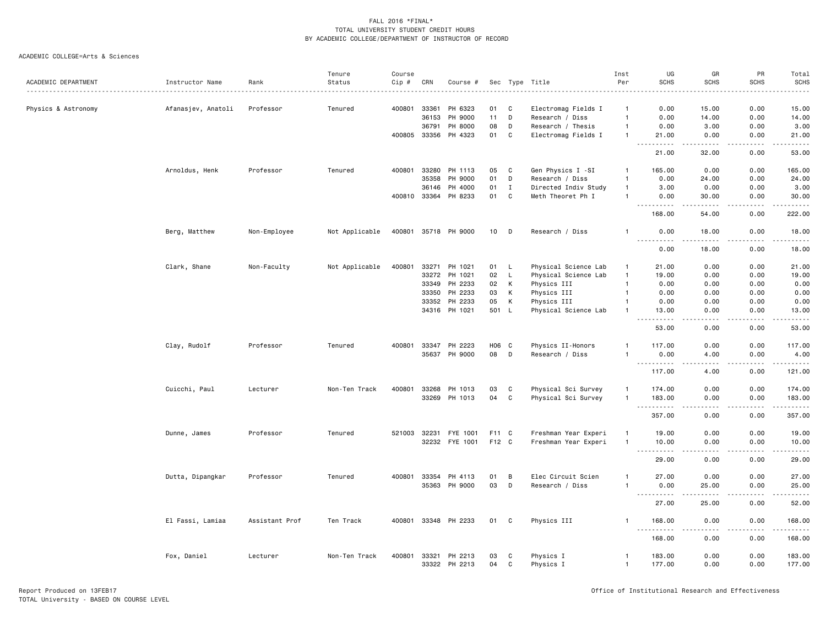|                     |                    |                | Tenure         | Course       |       |                      |       |              |                      | Inst           | UG                                                                                                                                                            | GR                 | PR                           | Total                                                                                                                                                                                                                                                                                                                                                                                                                                                                                  |
|---------------------|--------------------|----------------|----------------|--------------|-------|----------------------|-------|--------------|----------------------|----------------|---------------------------------------------------------------------------------------------------------------------------------------------------------------|--------------------|------------------------------|----------------------------------------------------------------------------------------------------------------------------------------------------------------------------------------------------------------------------------------------------------------------------------------------------------------------------------------------------------------------------------------------------------------------------------------------------------------------------------------|
| ACADEMIC DEPARTMENT | Instructor Name    | Rank           | Status         | Cip #        | CRN   | Course #             |       |              | Sec Type Title       | Per            | <b>SCHS</b>                                                                                                                                                   | <b>SCHS</b>        | <b>SCHS</b>                  | <b>SCHS</b>                                                                                                                                                                                                                                                                                                                                                                                                                                                                            |
|                     |                    |                |                |              |       |                      |       |              |                      |                |                                                                                                                                                               |                    |                              |                                                                                                                                                                                                                                                                                                                                                                                                                                                                                        |
| Physics & Astronomy | Afanasjev, Anatoli | Professor      | Tenured        | 400801       | 33361 | PH 6323              | 01    | C            | Electromag Fields I  | -1             | 0.00                                                                                                                                                          | 15.00              | 0.00                         | 15.00                                                                                                                                                                                                                                                                                                                                                                                                                                                                                  |
|                     |                    |                |                |              | 36153 | PH 9000              | 11    | D            | Research / Diss      | $\overline{1}$ | 0.00                                                                                                                                                          | 14.00              | 0.00                         | 14.00                                                                                                                                                                                                                                                                                                                                                                                                                                                                                  |
|                     |                    |                |                |              | 36791 | PH 8000              | 08    | D            | Research / Thesis    | $\overline{1}$ | 0.00                                                                                                                                                          | 3.00               | 0.00                         | 3.00                                                                                                                                                                                                                                                                                                                                                                                                                                                                                   |
|                     |                    |                |                | 400805       | 33356 | PH 4323              | 01    | C            | Electromag Fields I  | $\mathbf{1}$   | 21.00                                                                                                                                                         | 0.00               | 0.00                         | 21.00                                                                                                                                                                                                                                                                                                                                                                                                                                                                                  |
|                     |                    |                |                |              |       |                      |       |              |                      |                | $\frac{1}{2} \left( \frac{1}{2} \right) \left( \frac{1}{2} \right) \left( \frac{1}{2} \right) \left( \frac{1}{2} \right) \left( \frac{1}{2} \right)$<br>21.00 | .<br>32.00         | $\sim$ $\sim$ $\sim$<br>0.00 | $\sim$ $\sim$ $\sim$ $\sim$<br>53.00                                                                                                                                                                                                                                                                                                                                                                                                                                                   |
|                     | Arnoldus, Henk     | Professor      | Tenured        | 400801       | 33280 | PH 1113              | 05    | $\mathbf c$  | Gen Physics I -SI    | -1             | 165.00                                                                                                                                                        | 0.00               | 0.00                         | 165.00                                                                                                                                                                                                                                                                                                                                                                                                                                                                                 |
|                     |                    |                |                |              | 35358 | PH 9000              | 01    | D            | Research / Diss      | $\overline{1}$ | 0.00                                                                                                                                                          | 24.00              | 0.00                         | 24.00                                                                                                                                                                                                                                                                                                                                                                                                                                                                                  |
|                     |                    |                |                |              | 36146 | PH 4000              | 01    | $\mathbf I$  | Directed Indiv Study | $\overline{1}$ | 3.00                                                                                                                                                          | 0.00               | 0.00                         | 3.00                                                                                                                                                                                                                                                                                                                                                                                                                                                                                   |
|                     |                    |                |                | 400810 33364 |       | PH 8233              | 01    | C            | Meth Theoret Ph I    | $\mathbf{1}$   | 0.00<br>$\sim$ $\sim$ $\sim$<br>.                                                                                                                             | 30.00<br>.         | 0.00<br>.                    | 30.00<br>.                                                                                                                                                                                                                                                                                                                                                                                                                                                                             |
|                     |                    |                |                |              |       |                      |       |              |                      |                | 168.00                                                                                                                                                        | 54.00              | 0.00                         | 222.00                                                                                                                                                                                                                                                                                                                                                                                                                                                                                 |
|                     | Berg, Matthew      | Non-Employee   | Not Applicable |              |       | 400801 35718 PH 9000 |       | 10 D         | Research / Diss      | -1             | 0.00<br><u>.</u>                                                                                                                                              | 18.00<br>بالمنابذة | 0.00<br>$\frac{1}{2}$        | 18.00<br>.                                                                                                                                                                                                                                                                                                                                                                                                                                                                             |
|                     |                    |                |                |              |       |                      |       |              |                      |                | 0.00                                                                                                                                                          | 18.00              | 0.00                         | 18.00                                                                                                                                                                                                                                                                                                                                                                                                                                                                                  |
|                     | Clark, Shane       | Non-Faculty    | Not Applicable | 400801       | 33271 | PH 1021              | 01 L  |              | Physical Science Lab | $\overline{1}$ | 21.00                                                                                                                                                         | 0.00               | 0.00                         | 21.00                                                                                                                                                                                                                                                                                                                                                                                                                                                                                  |
|                     |                    |                |                |              | 33272 | PH 1021              | 02    | $\mathsf L$  | Physical Science Lab | $\mathbf{1}$   | 19.00                                                                                                                                                         | 0.00               | 0.00                         | 19.00                                                                                                                                                                                                                                                                                                                                                                                                                                                                                  |
|                     |                    |                |                |              | 33349 | PH 2233              | 02    | К            | Physics III          | $\mathbf{1}$   | 0.00                                                                                                                                                          | 0.00               | 0.00                         | 0.00                                                                                                                                                                                                                                                                                                                                                                                                                                                                                   |
|                     |                    |                |                |              | 33350 | PH 2233              | 03    | К            | Physics III          | $\overline{1}$ | 0.00                                                                                                                                                          | 0.00               | 0.00                         | 0.00                                                                                                                                                                                                                                                                                                                                                                                                                                                                                   |
|                     |                    |                |                |              | 33352 | PH 2233              | 05    | К            | Physics III          | $\overline{1}$ | 0.00                                                                                                                                                          | 0.00               | 0.00                         | 0.00                                                                                                                                                                                                                                                                                                                                                                                                                                                                                   |
|                     |                    |                |                |              | 34316 | PH 1021              | 501   | $\mathsf{L}$ | Physical Science Lab | $\mathbf{1}$   | 13.00                                                                                                                                                         | 0.00               | 0.00                         | 13.00                                                                                                                                                                                                                                                                                                                                                                                                                                                                                  |
|                     |                    |                |                |              |       |                      |       |              |                      |                | $\sim$ $\sim$ $\sim$                                                                                                                                          | د د د د            | .                            | د د د د د                                                                                                                                                                                                                                                                                                                                                                                                                                                                              |
|                     |                    |                |                |              |       |                      |       |              |                      |                | 53.00                                                                                                                                                         | 0.00               | 0.00                         | 53.00                                                                                                                                                                                                                                                                                                                                                                                                                                                                                  |
|                     | Clay, Rudolf       | Professor      | Tenured        | 400801       | 33347 | PH 2223              | H06 C |              | Physics II-Honors    |                | 117.00                                                                                                                                                        | 0.00               | 0.00                         | 117.00                                                                                                                                                                                                                                                                                                                                                                                                                                                                                 |
|                     |                    |                |                |              |       | 35637 PH 9000        | 08    | D            | Research / Diss      |                | 0.00                                                                                                                                                          | 4.00<br>.          | 0.00<br>.                    | 4.00<br>$\begin{array}{cccccccccc} \bullet & \bullet & \bullet & \bullet & \bullet & \bullet & \bullet \end{array}$                                                                                                                                                                                                                                                                                                                                                                    |
|                     |                    |                |                |              |       |                      |       |              |                      |                | ----------<br>117.00                                                                                                                                          | 4.00               | 0.00                         | 121.00                                                                                                                                                                                                                                                                                                                                                                                                                                                                                 |
|                     | Cuicchi, Paul      | Lecturer       | Non-Ten Track  | 400801       | 33268 | PH 1013              | 03    | C            | Physical Sci Survey  | $\overline{1}$ | 174.00                                                                                                                                                        | 0.00               | 0.00                         | 174.00                                                                                                                                                                                                                                                                                                                                                                                                                                                                                 |
|                     |                    |                |                |              | 33269 | PH 1013              | 04    | $\mathbf C$  | Physical Sci Survey  | $\overline{1}$ | 183.00                                                                                                                                                        | 0.00               | 0.00                         | 183.00                                                                                                                                                                                                                                                                                                                                                                                                                                                                                 |
|                     |                    |                |                |              |       |                      |       |              |                      |                | ----------                                                                                                                                                    | $\frac{1}{2}$      | .                            | $\begin{array}{cccccccccccccc} \multicolumn{2}{c}{} & \multicolumn{2}{c}{} & \multicolumn{2}{c}{} & \multicolumn{2}{c}{} & \multicolumn{2}{c}{} & \multicolumn{2}{c}{} & \multicolumn{2}{c}{} & \multicolumn{2}{c}{} & \multicolumn{2}{c}{} & \multicolumn{2}{c}{} & \multicolumn{2}{c}{} & \multicolumn{2}{c}{} & \multicolumn{2}{c}{} & \multicolumn{2}{c}{} & \multicolumn{2}{c}{} & \multicolumn{2}{c}{} & \multicolumn{2}{c}{} & \multicolumn{2}{c}{} & \multicolumn{2}{c}{} & \$ |
|                     |                    |                |                |              |       |                      |       |              |                      |                | 357.00                                                                                                                                                        | 0.00               | 0.00                         | 357.00                                                                                                                                                                                                                                                                                                                                                                                                                                                                                 |
|                     | Dunne, James       | Professor      | Tenured        | 521003       | 32231 | FYE 1001             | F11 C |              | Freshman Year Experi | $\mathbf{1}$   | 19.00                                                                                                                                                         | 0.00               | 0.00                         | 19.00                                                                                                                                                                                                                                                                                                                                                                                                                                                                                  |
|                     |                    |                |                |              |       | 32232 FYE 1001       | F12 C |              | Freshman Year Experi | $\mathbf{1}$   | 10.00                                                                                                                                                         | 0.00               | 0.00                         | 10.00                                                                                                                                                                                                                                                                                                                                                                                                                                                                                  |
|                     |                    |                |                |              |       |                      |       |              |                      |                | .<br>$- - -$<br>29.00                                                                                                                                         | .<br>0.00          | $\frac{1}{2}$<br>0.00        | د د د د د<br>29.00                                                                                                                                                                                                                                                                                                                                                                                                                                                                     |
|                     | Dutta, Dipangkar   | Professor      | Tenured        | 400801       | 33354 | PH 4113              | 01    | B            | Elec Circuit Scien   | $\mathbf{1}$   | 27.00                                                                                                                                                         | 0.00               | 0.00                         | 27.00                                                                                                                                                                                                                                                                                                                                                                                                                                                                                  |
|                     |                    |                |                |              | 35363 | PH 9000              | 03    | D            | Research / Diss      | $\overline{1}$ | 0.00                                                                                                                                                          | 25.00              | 0.00                         | 25.00                                                                                                                                                                                                                                                                                                                                                                                                                                                                                  |
|                     |                    |                |                |              |       |                      |       |              |                      |                | $\sim$ $\sim$ $\sim$                                                                                                                                          |                    |                              | $\frac{1}{2} \left( \frac{1}{2} \right) \left( \frac{1}{2} \right) \left( \frac{1}{2} \right) \left( \frac{1}{2} \right) \left( \frac{1}{2} \right)$                                                                                                                                                                                                                                                                                                                                   |
|                     |                    |                |                |              |       |                      |       |              |                      |                | 27.00                                                                                                                                                         | 25.00              | 0.00                         | 52.00                                                                                                                                                                                                                                                                                                                                                                                                                                                                                  |
|                     | El Fassi, Lamiaa   | Assistant Prof | Ten Track      |              |       | 400801 33348 PH 2233 | 01    | C            | Physics III          | -1             | 168.00<br>. <u>.</u>                                                                                                                                          | 0.00               | 0.00<br>. <u>.</u> .         | 168.00<br>.                                                                                                                                                                                                                                                                                                                                                                                                                                                                            |
|                     |                    |                |                |              |       |                      |       |              |                      |                | 168.00                                                                                                                                                        | 0.00               | 0.00                         | 168.00                                                                                                                                                                                                                                                                                                                                                                                                                                                                                 |
|                     | Fox, Daniel        | Lecturer       | Non-Ten Track  | 400801       | 33321 | PH 2213              | 03    | C            | Physics I            | $\overline{1}$ | 183.00                                                                                                                                                        | 0.00               | 0.00                         | 183.00                                                                                                                                                                                                                                                                                                                                                                                                                                                                                 |
|                     |                    |                |                |              | 33322 | PH 2213              | 04    | $\mathbb{C}$ | Physics I            | $\overline{1}$ | 177.00                                                                                                                                                        | 0.00               | 0.00                         | 177.00                                                                                                                                                                                                                                                                                                                                                                                                                                                                                 |
|                     |                    |                |                |              |       |                      |       |              |                      |                |                                                                                                                                                               |                    |                              |                                                                                                                                                                                                                                                                                                                                                                                                                                                                                        |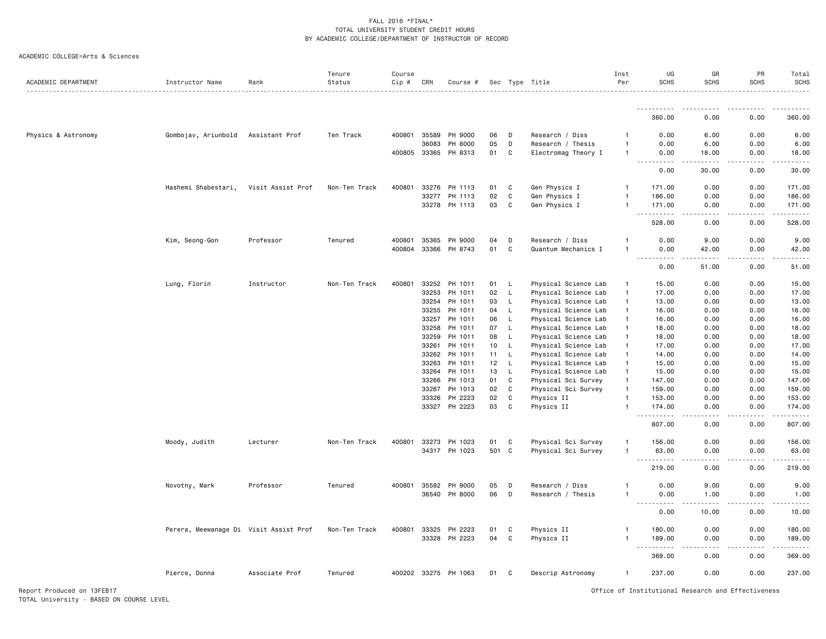#### ACADEMIC COLLEGE=Arts & Sciences

| ACADEMIC DEPARTMENT | Instructor Name                        | Rank              | Tenure<br>Status | Course<br>Cip # | CRN   | Course #             |       |             | Sec Type Title       | Inst<br>Per  | UG<br><b>SCHS</b>                                                                                                                                                                                                                                                                                                                                                                                                                                                                                                        | GR<br><b>SCHS</b>             | PR<br><b>SCHS</b>     | Total<br><b>SCHS</b><br><u>.</u> |
|---------------------|----------------------------------------|-------------------|------------------|-----------------|-------|----------------------|-------|-------------|----------------------|--------------|--------------------------------------------------------------------------------------------------------------------------------------------------------------------------------------------------------------------------------------------------------------------------------------------------------------------------------------------------------------------------------------------------------------------------------------------------------------------------------------------------------------------------|-------------------------------|-----------------------|----------------------------------|
|                     |                                        |                   |                  |                 |       |                      |       |             |                      |              |                                                                                                                                                                                                                                                                                                                                                                                                                                                                                                                          |                               |                       |                                  |
|                     |                                        |                   |                  |                 |       |                      |       |             |                      |              | 360.00                                                                                                                                                                                                                                                                                                                                                                                                                                                                                                                   | 0.00                          | 0.00                  | 360.00                           |
| Physics & Astronomy | Gombojav, Ariunbold                    | Assistant Prof    | Ten Track        | 400801          | 35589 | PH 9000              | 06    | D           | Research / Diss      | -1           | 0.00                                                                                                                                                                                                                                                                                                                                                                                                                                                                                                                     | 6.00                          | 0.00                  | 6.00                             |
|                     |                                        |                   |                  |                 | 36083 | PH 8000              | 05    | D           | Research / Thesis    | $\mathbf{1}$ | 0.00                                                                                                                                                                                                                                                                                                                                                                                                                                                                                                                     | 6.00                          | 0.00                  | 6.00                             |
|                     |                                        |                   |                  | 400805          | 33365 | PH 8313              | 01    | C           | Electromag Theory I  | $\mathbf{1}$ | 0.00                                                                                                                                                                                                                                                                                                                                                                                                                                                                                                                     | 18.00                         | 0.00                  | 18.00                            |
|                     |                                        |                   |                  |                 |       |                      |       |             |                      |              | $\frac{1}{2} \left( \frac{1}{2} \right) \left( \frac{1}{2} \right) \left( \frac{1}{2} \right) \left( \frac{1}{2} \right)$<br>$\sim$ $\sim$<br>0.00                                                                                                                                                                                                                                                                                                                                                                       | $\sim$ $\sim$ $\sim$<br>30.00 | $\frac{1}{2}$<br>0.00 | والمناصبات<br>30.00              |
|                     | Hashemi Shabestari,                    | Visit Assist Prof | Non-Ten Track    | 400801          | 33276 | PH 1113              | 01    | C           | Gen Physics I        | $\mathbf{1}$ | 171.00                                                                                                                                                                                                                                                                                                                                                                                                                                                                                                                   | 0.00                          | 0.00                  | 171.00                           |
|                     |                                        |                   |                  |                 | 33277 | PH 1113              | 02    | C           | Gen Physics I        | $\mathbf{1}$ | 186.00                                                                                                                                                                                                                                                                                                                                                                                                                                                                                                                   | 0.00                          | 0.00                  | 186.00                           |
|                     |                                        |                   |                  |                 | 33278 | PH 1113              | 03    | C           | Gen Physics I        | $\mathbf{1}$ | 171.00                                                                                                                                                                                                                                                                                                                                                                                                                                                                                                                   | 0.00                          | 0.00                  | 171.00                           |
|                     |                                        |                   |                  |                 |       |                      |       |             |                      |              | $\sim$ $\sim$<br>528.00                                                                                                                                                                                                                                                                                                                                                                                                                                                                                                  | 0.00                          | 0.00                  | .<br>528.00                      |
|                     | Kim, Seong-Gon                         | Professor         | Tenured          | 400801          | 35365 | PH 9000              | 04    | D           | Research / Diss      | 1            | 0.00                                                                                                                                                                                                                                                                                                                                                                                                                                                                                                                     | 9.00                          | 0.00                  | 9.00                             |
|                     |                                        |                   |                  | 400804          | 33366 | PH 8743              | 01    | C           | Quantum Mechanics I  | 1            | 0.00                                                                                                                                                                                                                                                                                                                                                                                                                                                                                                                     | 42.00                         | 0.00                  | 42.00                            |
|                     |                                        |                   |                  |                 |       |                      |       |             |                      |              | $\sim$<br>.<br>0.00                                                                                                                                                                                                                                                                                                                                                                                                                                                                                                      | $\sim$ $\sim$ $\sim$<br>51.00 | 0.00                  | .<br>51.00                       |
|                     | Lung, Florin                           | Instructor        | Non-Ten Track    | 400801          | 33252 | PH 1011              | 01    | L           | Physical Science Lab | -1           | 15.00                                                                                                                                                                                                                                                                                                                                                                                                                                                                                                                    | 0.00                          | 0.00                  | 15.00                            |
|                     |                                        |                   |                  |                 | 33253 | PH 1011              | 02    | L           | Physical Science Lab | $\mathbf{1}$ | 17.00                                                                                                                                                                                                                                                                                                                                                                                                                                                                                                                    | 0.00                          | 0.00                  | 17.00                            |
|                     |                                        |                   |                  |                 | 33254 | PH 1011              | 03    | L           | Physical Science Lab | $\mathbf{1}$ | 13.00                                                                                                                                                                                                                                                                                                                                                                                                                                                                                                                    | 0.00                          | 0.00                  | 13.00                            |
|                     |                                        |                   |                  |                 | 33255 | PH 1011              | 04    | L           | Physical Science Lab | $\mathbf{1}$ | 16.00                                                                                                                                                                                                                                                                                                                                                                                                                                                                                                                    | 0.00                          | 0.00                  | 16.00                            |
|                     |                                        |                   |                  |                 | 33257 | PH 1011              | 06    | $\mathsf L$ | Physical Science Lab | $\mathbf{1}$ | 16.00                                                                                                                                                                                                                                                                                                                                                                                                                                                                                                                    | 0.00                          | 0.00                  | 16.00                            |
|                     |                                        |                   |                  |                 | 33258 | PH 1011              | 07    | L           | Physical Science Lab | $\mathbf{1}$ | 18.00                                                                                                                                                                                                                                                                                                                                                                                                                                                                                                                    | 0.00                          | 0.00                  | 18.00                            |
|                     |                                        |                   |                  |                 | 33259 | PH 1011              | 08    | L           | Physical Science Lab | $\mathbf{1}$ | 18.00                                                                                                                                                                                                                                                                                                                                                                                                                                                                                                                    | 0.00                          | 0.00                  | 18.00                            |
|                     |                                        |                   |                  |                 | 33261 | PH 1011              | 10    | L           | Physical Science Lab | $\mathbf{1}$ | 17.00                                                                                                                                                                                                                                                                                                                                                                                                                                                                                                                    | 0.00                          | 0.00                  | 17.00                            |
|                     |                                        |                   |                  |                 | 33262 | PH 1011              | 11    | L           | Physical Science Lab | $\mathbf{1}$ | 14.00                                                                                                                                                                                                                                                                                                                                                                                                                                                                                                                    | 0.00                          | 0.00                  | 14.00                            |
|                     |                                        |                   |                  |                 | 33263 | PH 1011              | 12    | L           | Physical Science Lab | $\mathbf{1}$ | 15.00                                                                                                                                                                                                                                                                                                                                                                                                                                                                                                                    | 0.00                          | 0.00                  | 15.00                            |
|                     |                                        |                   |                  |                 | 33264 | PH 1011              | 13    | L           | Physical Science Lab | $\mathbf{1}$ | 15.00                                                                                                                                                                                                                                                                                                                                                                                                                                                                                                                    | 0.00                          | 0.00                  | 15.00                            |
|                     |                                        |                   |                  |                 | 33266 | PH 1013              | 01    | C           | Physical Sci Survey  | $\mathbf{1}$ | 147.00                                                                                                                                                                                                                                                                                                                                                                                                                                                                                                                   | 0.00                          | 0.00                  | 147.00                           |
|                     |                                        |                   |                  |                 | 33267 | PH 1013              | 02    | C           | Physical Sci Survey  | $\mathbf{1}$ | 159.00                                                                                                                                                                                                                                                                                                                                                                                                                                                                                                                   | 0.00                          | 0.00                  | 159.00                           |
|                     |                                        |                   |                  |                 | 33326 | PH 2223              | 02    | C           | Physics II           | $\mathbf{1}$ | 153.00                                                                                                                                                                                                                                                                                                                                                                                                                                                                                                                   | 0.00                          | 0.00                  | 153.00                           |
|                     |                                        |                   |                  |                 |       | 33327 PH 2223        | 03    | C           | Physics II           | $\mathbf{1}$ | 174.00                                                                                                                                                                                                                                                                                                                                                                                                                                                                                                                   | 0.00                          | 0.00                  | 174.00                           |
|                     |                                        |                   |                  |                 |       |                      |       |             |                      |              | .<br>807.00                                                                                                                                                                                                                                                                                                                                                                                                                                                                                                              | .<br>0.00                     | .<br>0.00             | .<br>807.00                      |
|                     | Moody, Judith                          | Lecturer          | Non-Ten Track    | 400801          | 33273 | PH 1023              | 01    | C           | Physical Sci Survey  | 1            | 156.00                                                                                                                                                                                                                                                                                                                                                                                                                                                                                                                   | 0.00                          | 0.00                  | 156.00                           |
|                     |                                        |                   |                  |                 |       | 34317 PH 1023        | 501 C |             | Physical Sci Survey  | $\mathbf{1}$ | 63.00                                                                                                                                                                                                                                                                                                                                                                                                                                                                                                                    | 0.00                          | 0.00                  | 63.00                            |
|                     |                                        |                   |                  |                 |       |                      |       |             |                      |              | $\sim$ $\sim$ $\sim$<br>$\begin{array}{cccccccccccccc} \multicolumn{2}{c}{} & \multicolumn{2}{c}{} & \multicolumn{2}{c}{} & \multicolumn{2}{c}{} & \multicolumn{2}{c}{} & \multicolumn{2}{c}{} & \multicolumn{2}{c}{} & \multicolumn{2}{c}{} & \multicolumn{2}{c}{} & \multicolumn{2}{c}{} & \multicolumn{2}{c}{} & \multicolumn{2}{c}{} & \multicolumn{2}{c}{} & \multicolumn{2}{c}{} & \multicolumn{2}{c}{} & \multicolumn{2}{c}{} & \multicolumn{2}{c}{} & \multicolumn{2}{c}{} & \multicolumn{2}{c}{} & \$<br>219.00 | د د د د<br>0.00               | .<br>0.00             | .<br>219.00                      |
|                     | Novotny, Mark                          | Professor         | Tenured          | 400801          | 35582 | PH 9000              | 05    | D           | Research / Diss      | $\mathbf{1}$ | 0.00                                                                                                                                                                                                                                                                                                                                                                                                                                                                                                                     | 9.00                          | 0.00                  | 9.00                             |
|                     |                                        |                   |                  |                 | 36540 | PH 8000              | 06    | D           | Research / Thesis    | $\mathbf{1}$ | 0.00                                                                                                                                                                                                                                                                                                                                                                                                                                                                                                                     | 1.00                          | 0.00                  | 1.00                             |
|                     |                                        |                   |                  |                 |       |                      |       |             |                      |              | $\frac{1}{2} \left( \frac{1}{2} \right) \left( \frac{1}{2} \right) \left( \frac{1}{2} \right) \left( \frac{1}{2} \right)$<br>.                                                                                                                                                                                                                                                                                                                                                                                           |                               |                       | $\frac{1}{2}$                    |
|                     |                                        |                   |                  |                 |       |                      |       |             |                      |              | 0.00                                                                                                                                                                                                                                                                                                                                                                                                                                                                                                                     | 10.00                         | 0.00                  | 10.00                            |
|                     | Perera, Meewanage Di Visit Assist Prof |                   | Non-Ten Track    | 400801          | 33325 | PH 2223              | 01    | C           | Physics II           | -1           | 180.00                                                                                                                                                                                                                                                                                                                                                                                                                                                                                                                   | 0.00                          | 0.00                  | 180.00                           |
|                     |                                        |                   |                  |                 |       | 33328 PH 2223        | 04    | C           | Physics II           | $\mathbf{1}$ | 189.00<br>$\sim$ $\sim$                                                                                                                                                                                                                                                                                                                                                                                                                                                                                                  | 0.00                          | 0.00                  | 189.00<br>.                      |
|                     |                                        |                   |                  |                 |       |                      |       |             |                      |              | 369.00                                                                                                                                                                                                                                                                                                                                                                                                                                                                                                                   | 0.00                          | 0.00                  | 369.00                           |
|                     | Pierce, Donna                          | Associate Prof    | Tenured          |                 |       | 400202 33275 PH 1063 | 01    | C           | Descrip Astronomy    | $\mathbf{1}$ | 237.00                                                                                                                                                                                                                                                                                                                                                                                                                                                                                                                   | 0.00                          | 0.00                  | 237.00                           |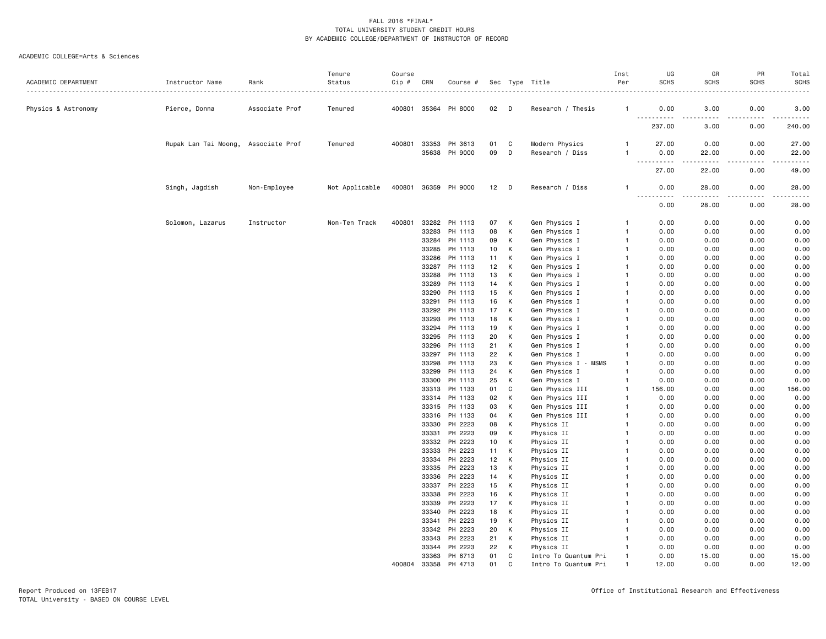| ACADEMIC DEPARTMENT | Instructor Name                     | Rank           | Tenure<br>Status | Course<br>Cip # | CRN          | Course #             |    |    | Sec Type Title       | Inst<br>Per    | UG<br><b>SCHS</b>    | GR<br><b>SCHS</b>                                                                                                                                             | PR<br><b>SCHS</b> | Total<br><b>SCHS</b>                                                                                                                                         |
|---------------------|-------------------------------------|----------------|------------------|-----------------|--------------|----------------------|----|----|----------------------|----------------|----------------------|---------------------------------------------------------------------------------------------------------------------------------------------------------------|-------------------|--------------------------------------------------------------------------------------------------------------------------------------------------------------|
| Physics & Astronomy | Pierce, Donna                       | Associate Prof | Tenured          |                 |              | 400801 35364 PH 8000 | 02 | D  | Research / Thesis    | $\overline{1}$ | 0.00<br>.            | 3.00<br>$\frac{1}{2} \left( \frac{1}{2} \right) \left( \frac{1}{2} \right) \left( \frac{1}{2} \right) \left( \frac{1}{2} \right) \left( \frac{1}{2} \right)$  | 0.00              | 3.00<br>$\frac{1}{2} \left( \frac{1}{2} \right) \left( \frac{1}{2} \right) \left( \frac{1}{2} \right) \left( \frac{1}{2} \right) \left( \frac{1}{2} \right)$ |
|                     |                                     |                |                  |                 |              |                      |    |    |                      |                | 237.00               | 3.00                                                                                                                                                          | 0.00              | 240.00                                                                                                                                                       |
|                     | Rupak Lan Tai Moong, Associate Prof |                | Tenured          | 400801          | 33353        | PH 3613              | 01 | C  | Modern Physics       | -1             | 27.00                | 0.00                                                                                                                                                          | 0.00              | 27.00                                                                                                                                                        |
|                     |                                     |                |                  |                 | 35638        | PH 9000              | 09 | D  | Research / Diss      | -1             | 0.00<br>.<br>$- - -$ | 22.00<br>$\frac{1}{2} \left( \frac{1}{2} \right) \left( \frac{1}{2} \right) \left( \frac{1}{2} \right) \left( \frac{1}{2} \right) \left( \frac{1}{2} \right)$ | 0.00<br>.         | 22.00<br>.                                                                                                                                                   |
|                     |                                     |                |                  |                 |              |                      |    |    |                      |                | 27.00                | 22.00                                                                                                                                                         | 0.00              | 49.00                                                                                                                                                        |
|                     | Singh, Jagdish                      | Non-Employee   | Not Applicable   |                 |              | 400801 36359 PH 9000 | 12 | D  | Research / Diss      | -1             | 0.00                 | 28.00                                                                                                                                                         | 0.00              | 28.00                                                                                                                                                        |
|                     |                                     |                |                  |                 |              |                      |    |    |                      |                | 0.00                 | 28.00                                                                                                                                                         | 0.00              | 28.00                                                                                                                                                        |
|                     | Solomon, Lazarus                    | Instructor     | Non-Ten Track    | 400801          | 33282        | PH 1113              | 07 | Κ  | Gen Physics I        | -1             | 0.00                 | 0.00                                                                                                                                                          | 0.00              | 0.00                                                                                                                                                         |
|                     |                                     |                |                  |                 | 33283        | PH 1113              | 08 | К  | Gen Physics I        | $\mathbf{1}$   | 0.00                 | 0.00                                                                                                                                                          | 0.00              | 0.00                                                                                                                                                         |
|                     |                                     |                |                  |                 | 33284        | PH 1113              | 09 | К  | Gen Physics I        | -1             | 0.00                 | 0.00                                                                                                                                                          | 0.00              | 0.00                                                                                                                                                         |
|                     |                                     |                |                  |                 | 33285        | PH 1113              | 10 | Κ  | Gen Physics I        | -1             | 0.00                 | 0.00                                                                                                                                                          | 0.00              | 0.00                                                                                                                                                         |
|                     |                                     |                |                  |                 | 33286        | PH 1113              | 11 | Κ  | Gen Physics I        | -1             | 0.00                 | 0.00                                                                                                                                                          | 0.00              | 0.00                                                                                                                                                         |
|                     |                                     |                |                  |                 | 33287        | PH 1113              | 12 | К  | Gen Physics I        | -1             | 0.00                 | 0.00                                                                                                                                                          | 0.00              | 0.00                                                                                                                                                         |
|                     |                                     |                |                  |                 | 33288        | PH 1113              | 13 | К  | Gen Physics I        |                | 0.00                 | 0.00                                                                                                                                                          | 0.00              | 0.00                                                                                                                                                         |
|                     |                                     |                |                  |                 | 33289        | PH 1113              | 14 | Κ  | Gen Physics I        | $\mathbf{1}$   | 0.00                 | 0.00                                                                                                                                                          | 0.00              | 0.00                                                                                                                                                         |
|                     |                                     |                |                  |                 | 33290        | PH 1113              | 15 | К  | Gen Physics I        | -1             | 0.00                 | 0.00                                                                                                                                                          | 0.00              | 0.00                                                                                                                                                         |
|                     |                                     |                |                  |                 | 33291        | PH 1113              | 16 | К  | Gen Physics I        |                | 0.00                 | 0.00                                                                                                                                                          | 0.00              | 0.00                                                                                                                                                         |
|                     |                                     |                |                  |                 | 33292        | PH 1113              | 17 | К  | Gen Physics I        | $\mathbf{1}$   | 0.00                 | 0.00                                                                                                                                                          | 0.00              | 0.00                                                                                                                                                         |
|                     |                                     |                |                  |                 | 33293        | PH 1113              | 18 | Κ  | Gen Physics I        | -1             | 0.00                 | 0.00                                                                                                                                                          | 0.00              | 0.00                                                                                                                                                         |
|                     |                                     |                |                  |                 | 33294        | PH 1113              | 19 | Κ  | Gen Physics I        | -1             | 0.00                 | 0.00                                                                                                                                                          | 0.00              | 0.00                                                                                                                                                         |
|                     |                                     |                |                  |                 | 33295        | PH 1113              | 20 | К  | Gen Physics I        | -1             | 0.00                 | 0.00                                                                                                                                                          | 0.00              | 0.00                                                                                                                                                         |
|                     |                                     |                |                  |                 | 33296        | PH 1113              | 21 | К  | Gen Physics I        | -1             | 0.00                 | 0.00                                                                                                                                                          | 0.00              | 0.00                                                                                                                                                         |
|                     |                                     |                |                  |                 | 33297        | PH 1113              | 22 | Κ  | Gen Physics I        | -1             | 0.00                 | 0.00                                                                                                                                                          | 0.00              | 0.00                                                                                                                                                         |
|                     |                                     |                |                  |                 | 33298        | PH 1113              | 23 | К  | Gen Physics I - MSMS |                | 0.00                 | 0.00                                                                                                                                                          | 0.00              | 0.00                                                                                                                                                         |
|                     |                                     |                |                  |                 | 33299        | PH 1113              | 24 | К  | Gen Physics I        |                | 0.00                 | 0.00                                                                                                                                                          | 0.00              | 0.00                                                                                                                                                         |
|                     |                                     |                |                  |                 | 33300        | PH 1113              | 25 | Κ  | Gen Physics I        | $\mathbf{1}$   | 0.00                 | 0.00                                                                                                                                                          | 0.00              | 0.00                                                                                                                                                         |
|                     |                                     |                |                  |                 | 33313        | PH 1133              | 01 | C  | Gen Physics III      | $\mathbf{1}$   | 156.00               | 0.00                                                                                                                                                          | 0.00              | 156.00                                                                                                                                                       |
|                     |                                     |                |                  |                 | 33314        | PH 1133              | 02 | K  | Gen Physics III      | -1             | 0.00                 | 0.00                                                                                                                                                          | 0.00              | 0.00                                                                                                                                                         |
|                     |                                     |                |                  |                 | 33315        | PH 1133              | 03 | Κ  | Gen Physics III      | -1             | 0.00                 | 0.00                                                                                                                                                          | 0.00              | 0.00                                                                                                                                                         |
|                     |                                     |                |                  |                 | 33316        | PH 1133              | 04 | Κ  | Gen Physics III      | -1             | 0.00                 | 0.00                                                                                                                                                          | 0.00              | 0.00                                                                                                                                                         |
|                     |                                     |                |                  |                 | 33330        | PH 2223              | 08 | Κ  | Physics II           | -1             | 0.00                 | 0.00                                                                                                                                                          | 0.00              | 0.00                                                                                                                                                         |
|                     |                                     |                |                  |                 | 33331        | PH 2223              | 09 | Κ  | Physics II           |                | 0.00                 | 0.00                                                                                                                                                          | 0.00              | 0.00                                                                                                                                                         |
|                     |                                     |                |                  |                 | 33332        | PH 2223              | 10 | К  | Physics II           |                | 0.00                 | 0.00                                                                                                                                                          | 0.00              | 0.00                                                                                                                                                         |
|                     |                                     |                |                  |                 | 33333        | PH 2223              | 11 | К  | Physics II           |                | 0.00                 | 0.00                                                                                                                                                          | 0.00              | 0.00                                                                                                                                                         |
|                     |                                     |                |                  |                 | 33334        | PH 2223              | 12 | Κ  | Physics II           |                | 0.00                 | 0.00                                                                                                                                                          | 0.00              | 0.00                                                                                                                                                         |
|                     |                                     |                |                  |                 | 33335        | PH 2223              | 13 | K  | Physics II           |                | 0.00                 | 0.00                                                                                                                                                          | 0.00              | 0.00                                                                                                                                                         |
|                     |                                     |                |                  |                 | 33336        | PH 2223              | 14 | К  | Physics II           |                | 0.00                 | 0.00                                                                                                                                                          | 0.00              | 0.00                                                                                                                                                         |
|                     |                                     |                |                  |                 | 33337        | PH 2223              | 15 | κ  | Physics II           |                | 0.00                 | 0.00                                                                                                                                                          | 0.00              | 0.00                                                                                                                                                         |
|                     |                                     |                |                  |                 | 33338        | PH 2223              | 16 | K  | Physics II           |                | 0.00                 | 0.00                                                                                                                                                          | 0.00              | 0.00                                                                                                                                                         |
|                     |                                     |                |                  |                 | 33339        | PH 2223              | 17 | К  | Physics II           |                | 0.00                 | 0.00                                                                                                                                                          | 0.00              | 0.00                                                                                                                                                         |
|                     |                                     |                |                  |                 | 33340        | PH 2223              | 18 | Κ  | Physics II           |                | 0.00                 | 0.00                                                                                                                                                          | 0.00              | 0.00                                                                                                                                                         |
|                     |                                     |                |                  |                 | 33341        | PH 2223              | 19 | Κ  | Physics II           |                | 0.00                 | 0.00                                                                                                                                                          | 0.00              | 0.00                                                                                                                                                         |
|                     |                                     |                |                  |                 | 33342        | PH 2223              | 20 | К  | Physics II           |                | 0.00                 | 0.00                                                                                                                                                          | 0.00              | 0.00                                                                                                                                                         |
|                     |                                     |                |                  |                 | 33343        | PH 2223              | 21 | Κ  | Physics II           |                | 0.00                 | 0.00                                                                                                                                                          | 0.00              | 0.00                                                                                                                                                         |
|                     |                                     |                |                  |                 | 33344        | PH 2223              | 22 | Κ  | Physics II           |                | 0.00                 | 0.00                                                                                                                                                          | 0.00              | 0.00                                                                                                                                                         |
|                     |                                     |                |                  |                 | 33363        | PH 6713              | 01 | C  | Intro To Quantum Pri | -1             | 0.00                 | 15.00                                                                                                                                                         | 0.00              | 15.00                                                                                                                                                        |
|                     |                                     |                |                  |                 | 400804 33358 | PH 4713              | 01 | C. | Intro To Quantum Pri |                | 12.00                | 0.00                                                                                                                                                          | 0.00              | 12.00                                                                                                                                                        |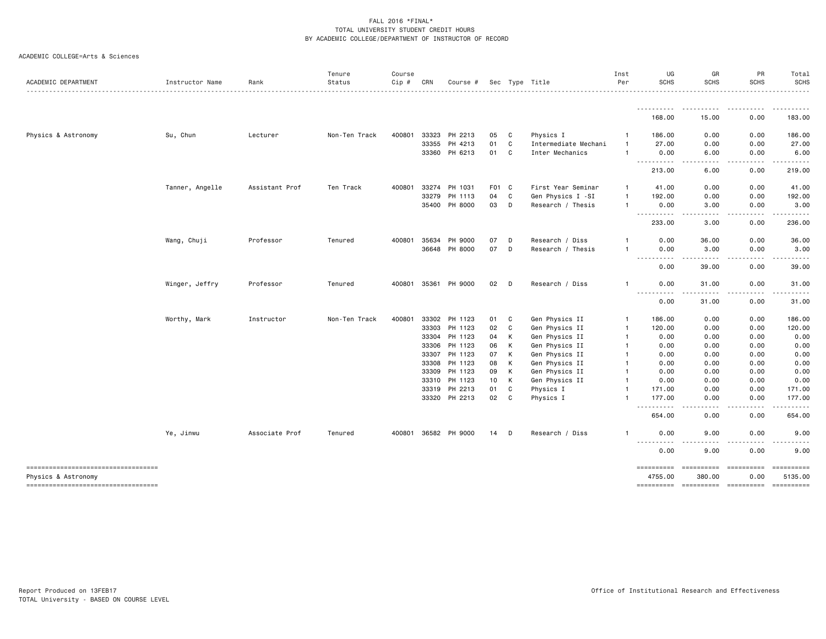| ACADEMIC DEPARTMENT                 | Instructor Name | Rank           | Tenure<br>Status | Course<br>Cip # | CRN   | Course #      |       |   | Sec Type Title       | Inst<br>Per    | UG<br>SCHS                                                                                                                             | GR<br><b>SCHS</b>            | PR<br><b>SCHS</b> | Total<br><b>SCHS</b> |
|-------------------------------------|-----------------|----------------|------------------|-----------------|-------|---------------|-------|---|----------------------|----------------|----------------------------------------------------------------------------------------------------------------------------------------|------------------------------|-------------------|----------------------|
|                                     |                 |                |                  |                 |       |               |       |   |                      |                |                                                                                                                                        |                              |                   |                      |
|                                     |                 |                |                  |                 |       |               |       |   |                      |                | 168.00                                                                                                                                 | 15.00                        | 0.00              | 183.00               |
| Physics & Astronomy                 | Su, Chun        | Lecturer       | Non-Ten Track    | 400801          | 33323 | PH 2213       | 05    | C | Physics I            | $\mathbf{1}$   | 186.00                                                                                                                                 | 0.00                         | 0.00              | 186.00               |
|                                     |                 |                |                  |                 | 33355 | PH 4213       | 01    | C | Intermediate Mechani | $\mathbf{1}$   | 27.00                                                                                                                                  | 0.00                         | 0.00              | 27.00                |
|                                     |                 |                |                  |                 |       | 33360 PH 6213 | 01    | C | Inter Mechanics      | $\mathbf{1}$   | 0.00<br>$\frac{1}{2} \left( \frac{1}{2} \right) \left( \frac{1}{2} \right) \left( \frac{1}{2} \right) \left( \frac{1}{2} \right)$<br>. | 6.00                         | 0.00<br>----      | 6.00                 |
|                                     |                 |                |                  |                 |       |               |       |   |                      |                | 213.00                                                                                                                                 | 6.00                         | 0.00              | 219.00               |
|                                     | Tanner, Angelle | Assistant Prof | Ten Track        | 400801          | 33274 | PH 1031       | F01 C |   | First Year Seminar   | 1              | 41.00                                                                                                                                  | 0.00                         | 0.00              | 41.00                |
|                                     |                 |                |                  |                 | 33279 | PH 1113       | 04    | C | Gen Physics I -SI    | $\mathbf{1}$   | 192.00                                                                                                                                 | 0.00                         | 0.00              | 192.00               |
|                                     |                 |                |                  |                 |       | 35400 PH 8000 | 03    | D | Research / Thesis    | $\mathbf{1}$   | 0.00<br><b></b>                                                                                                                        | 3.00<br>.<br>$- - -$         | 0.00<br>.         | 3.00                 |
|                                     |                 |                |                  |                 |       |               |       |   |                      |                | 233.00                                                                                                                                 | 3.00                         | 0.00              | 236.00               |
|                                     | Wang, Chuji     | Professor      | Tenured          | 400801          | 35634 | PH 9000       | 07    | D | Research / Diss      | $\mathbf{1}$   | 0.00                                                                                                                                   | 36.00                        | 0.00              | 36.00                |
|                                     |                 |                |                  |                 |       | 36648 PH 8000 | 07    | D | Research / Thesis    | $\mathbf{1}$   | 0.00<br>.<br>$\frac{1}{2} \left( \frac{1}{2} \right) \left( \frac{1}{2} \right) \left( \frac{1}{2} \right) \left( \frac{1}{2} \right)$ | 3.00<br>-----                | 0.00<br>$\cdots$  | 3.00                 |
|                                     |                 |                |                  |                 |       |               |       |   |                      |                | 0.00                                                                                                                                   | 39.00                        | 0.00              | 39.00                |
|                                     | Winger, Jeffry  | Professor      | Tenured          | 400801 35361    |       | PH 9000       | 02    | D | Research / Diss      | 1              | 0.00                                                                                                                                   | 31.00                        | 0.00              | 31.00                |
|                                     |                 |                |                  |                 |       |               |       |   |                      |                | .<br>0.00                                                                                                                              | 31.00                        | -----<br>0.00     | .<br>31.00           |
|                                     | Worthy, Mark    | Instructor     | Non-Ten Track    | 400801          |       | 33302 PH 1123 | 01    | C | Gen Physics II       | $\overline{1}$ | 186.00                                                                                                                                 | 0.00                         | 0.00              | 186.00               |
|                                     |                 |                |                  |                 |       | 33303 PH 1123 | 02    | C | Gen Physics II       | $\overline{1}$ | 120.00                                                                                                                                 | 0.00                         | 0.00              | 120.00               |
|                                     |                 |                |                  |                 | 33304 | PH 1123       | 04    | к | Gen Physics II       | $\mathbf{1}$   | 0.00                                                                                                                                   | 0.00                         | 0.00              | 0.00                 |
|                                     |                 |                |                  |                 |       | 33306 PH 1123 | 06    | К | Gen Physics II       | $\mathbf{1}$   | 0.00                                                                                                                                   | 0.00                         | 0.00              | 0.00                 |
|                                     |                 |                |                  |                 | 33307 | PH 1123       | 07    | К | Gen Physics II       | $\mathbf{1}$   | 0.00                                                                                                                                   | 0.00                         | 0.00              | 0.00                 |
|                                     |                 |                |                  |                 | 33308 | PH 1123       | 08    | К | Gen Physics II       | $\mathbf{1}$   | 0.00                                                                                                                                   | 0.00                         | 0.00              | 0.00                 |
|                                     |                 |                |                  |                 | 33309 | PH 1123       | 09    | К | Gen Physics II       | $\mathbf{1}$   | 0.00                                                                                                                                   | 0.00                         | 0.00              | 0.00                 |
|                                     |                 |                |                  |                 | 33310 | PH 1123       | 10    | к | Gen Physics II       | $\mathbf{1}$   | 0.00                                                                                                                                   | 0.00                         | 0.00              | 0.00                 |
|                                     |                 |                |                  |                 | 33319 | PH 2213       | 01    | C | Physics I            | $\mathbf{1}$   | 171.00                                                                                                                                 | 0.00                         | 0.00              | 171.00               |
|                                     |                 |                |                  |                 |       | 33320 PH 2213 | 02    | C | Physics I            | 1              | 177.00<br>.                                                                                                                            | 0.00<br>$\sim$ $\sim$ $\sim$ | 0.00              | 177.00               |
|                                     |                 |                |                  |                 |       |               |       |   |                      |                | 654.00                                                                                                                                 | 0.00                         | 0.00              | 654.00               |
|                                     | Ye, Jinwu       | Associate Prof | Tenured          | 400801          |       | 36582 PH 9000 | 14    | D | Research / Diss      | $\mathbf{1}$   | 0.00                                                                                                                                   | 9.00                         | 0.00              | 9.00                 |
|                                     |                 |                |                  |                 |       |               |       |   |                      |                | ----<br>0.00                                                                                                                           | 9.00                         | 0.00              | 9.00                 |
| ----------------------------------- |                 |                |                  |                 |       |               |       |   |                      |                | ==========                                                                                                                             | ==========                   | ==========        | ==========           |
| Physics & Astronomy                 |                 |                |                  |                 |       |               |       |   |                      |                | 4755.00                                                                                                                                | 380.00                       | 0.00              | 5135.00              |
| ----------------------------------  |                 |                |                  |                 |       |               |       |   |                      |                | ==========                                                                                                                             |                              |                   | ==========           |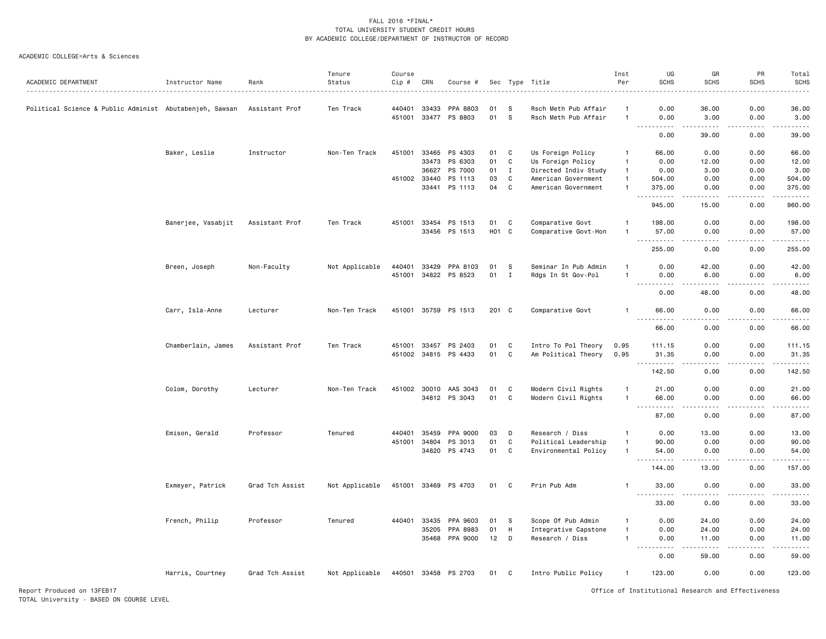#### ACADEMIC COLLEGE=Arts & Sciences

| <b>SCHS</b><br>Status<br>Cip #<br>Per<br><b>SCHS</b><br>ACADEMIC DEPARTMENT<br>CRN<br>Title<br>Instructor Name<br>Rank<br>Course<br>Sec<br>Type<br>440401<br>33433<br>PPA 8803<br>Rsch Meth Pub Affair<br>0.00<br>36.00<br>Political Science & Public Administ Abutabenjeh, Sawsan<br>Assistant Prof<br>Ten Track<br>01<br>-S<br>$\mathbf{1}$<br>451001 33477<br>PS 8803<br>01<br>s<br>Rsch Meth Pub Affair<br>0.00<br>3.00<br>$\mathbf{1}$<br>.<br>-----<br>$\omega$ $\omega$ $\omega$ $\omega$ $\omega$<br>0.00<br>39.00<br>Baker, Leslie<br>451001<br>33465 PS 4303<br>Us Foreign Policy<br>Instructor<br>Non-Ten Track<br>01<br>C<br>66.00<br>0.00<br>-1<br>33473<br>PS 6303<br>01<br>C<br>Us Foreign Policy<br>$\overline{1}$<br>0.00<br>12.00<br>PS 7000<br>01<br>$\mathbf{I}$<br>Directed Indiv Study<br>0.00<br>3.00<br>36627<br>$\mathbf{1}$<br>451002 33440<br>PS 1113<br>03<br>C<br>504.00<br>0.00<br>American Government<br>$\mathbf{1}$<br>C<br>PS 1113<br>04<br>33441<br>American Government<br>$\mathbf{1}$<br>375.00<br>0.00<br>.<br>.<br>$\sim$ $\sim$ | <b>SCHS</b><br><b>SCHS</b><br>0.00<br>36.00<br>0.00<br>3.00<br>-----<br>.<br>0.00<br>39.00<br>0.00<br>66.00<br>0.00<br>12.00<br>0.00<br>3.00<br>0.00<br>504.00<br>0.00<br>375.00<br>.<br>$\begin{array}{cccccccccc} \bullet & \bullet & \bullet & \bullet & \bullet & \bullet & \bullet \end{array}$<br>0.00<br>960.00<br>0.00<br>198.00<br>0.00<br>57.00<br>.<br>$\mathcal{L}^{\mathcal{L}}\mathcal{L}^{\mathcal{L}}\mathcal{L}^{\mathcal{L}}\mathcal{L}^{\mathcal{L}}\mathcal{L}^{\mathcal{L}}$<br>0.00<br>255.00<br>0.00<br>42.00<br>0.00<br>6.00<br>$\frac{1}{2} \left( \frac{1}{2} \right) \left( \frac{1}{2} \right) \left( \frac{1}{2} \right) \left( \frac{1}{2} \right)$ |
|-------------------------------------------------------------------------------------------------------------------------------------------------------------------------------------------------------------------------------------------------------------------------------------------------------------------------------------------------------------------------------------------------------------------------------------------------------------------------------------------------------------------------------------------------------------------------------------------------------------------------------------------------------------------------------------------------------------------------------------------------------------------------------------------------------------------------------------------------------------------------------------------------------------------------------------------------------------------------------------------------------------------------------------------------------------------------|-----------------------------------------------------------------------------------------------------------------------------------------------------------------------------------------------------------------------------------------------------------------------------------------------------------------------------------------------------------------------------------------------------------------------------------------------------------------------------------------------------------------------------------------------------------------------------------------------------------------------------------------------------------------------------------|
|                                                                                                                                                                                                                                                                                                                                                                                                                                                                                                                                                                                                                                                                                                                                                                                                                                                                                                                                                                                                                                                                         |                                                                                                                                                                                                                                                                                                                                                                                                                                                                                                                                                                                                                                                                                   |
|                                                                                                                                                                                                                                                                                                                                                                                                                                                                                                                                                                                                                                                                                                                                                                                                                                                                                                                                                                                                                                                                         |                                                                                                                                                                                                                                                                                                                                                                                                                                                                                                                                                                                                                                                                                   |
|                                                                                                                                                                                                                                                                                                                                                                                                                                                                                                                                                                                                                                                                                                                                                                                                                                                                                                                                                                                                                                                                         |                                                                                                                                                                                                                                                                                                                                                                                                                                                                                                                                                                                                                                                                                   |
|                                                                                                                                                                                                                                                                                                                                                                                                                                                                                                                                                                                                                                                                                                                                                                                                                                                                                                                                                                                                                                                                         |                                                                                                                                                                                                                                                                                                                                                                                                                                                                                                                                                                                                                                                                                   |
|                                                                                                                                                                                                                                                                                                                                                                                                                                                                                                                                                                                                                                                                                                                                                                                                                                                                                                                                                                                                                                                                         |                                                                                                                                                                                                                                                                                                                                                                                                                                                                                                                                                                                                                                                                                   |
|                                                                                                                                                                                                                                                                                                                                                                                                                                                                                                                                                                                                                                                                                                                                                                                                                                                                                                                                                                                                                                                                         |                                                                                                                                                                                                                                                                                                                                                                                                                                                                                                                                                                                                                                                                                   |
|                                                                                                                                                                                                                                                                                                                                                                                                                                                                                                                                                                                                                                                                                                                                                                                                                                                                                                                                                                                                                                                                         |                                                                                                                                                                                                                                                                                                                                                                                                                                                                                                                                                                                                                                                                                   |
|                                                                                                                                                                                                                                                                                                                                                                                                                                                                                                                                                                                                                                                                                                                                                                                                                                                                                                                                                                                                                                                                         |                                                                                                                                                                                                                                                                                                                                                                                                                                                                                                                                                                                                                                                                                   |
|                                                                                                                                                                                                                                                                                                                                                                                                                                                                                                                                                                                                                                                                                                                                                                                                                                                                                                                                                                                                                                                                         |                                                                                                                                                                                                                                                                                                                                                                                                                                                                                                                                                                                                                                                                                   |
| 945.00<br>15.00                                                                                                                                                                                                                                                                                                                                                                                                                                                                                                                                                                                                                                                                                                                                                                                                                                                                                                                                                                                                                                                         |                                                                                                                                                                                                                                                                                                                                                                                                                                                                                                                                                                                                                                                                                   |
|                                                                                                                                                                                                                                                                                                                                                                                                                                                                                                                                                                                                                                                                                                                                                                                                                                                                                                                                                                                                                                                                         |                                                                                                                                                                                                                                                                                                                                                                                                                                                                                                                                                                                                                                                                                   |
| Banerjee, Vasabjit<br>33454<br>C<br>Comparative Govt<br>0.00<br>Assistant Prof<br>Ten Track<br>451001<br>PS 1513<br>01<br>$\mathbf{1}$<br>198.00                                                                                                                                                                                                                                                                                                                                                                                                                                                                                                                                                                                                                                                                                                                                                                                                                                                                                                                        |                                                                                                                                                                                                                                                                                                                                                                                                                                                                                                                                                                                                                                                                                   |
| 33456<br>PS 1513<br>HO1 C<br>Comparative Govt-Hon<br>57.00<br>0.00<br>$\overline{1}$<br>.<br>.<br>$\sim$ $\sim$ $\sim$                                                                                                                                                                                                                                                                                                                                                                                                                                                                                                                                                                                                                                                                                                                                                                                                                                                                                                                                                  |                                                                                                                                                                                                                                                                                                                                                                                                                                                                                                                                                                                                                                                                                   |
| 255.00<br>0.00                                                                                                                                                                                                                                                                                                                                                                                                                                                                                                                                                                                                                                                                                                                                                                                                                                                                                                                                                                                                                                                          |                                                                                                                                                                                                                                                                                                                                                                                                                                                                                                                                                                                                                                                                                   |
| Breen, Joseph<br>Non-Faculty<br>Not Applicable<br>440401<br>33429<br>PPA 8103<br>01<br>s<br>Seminar In Pub Admin<br>$\overline{1}$<br>0.00<br>42.00                                                                                                                                                                                                                                                                                                                                                                                                                                                                                                                                                                                                                                                                                                                                                                                                                                                                                                                     |                                                                                                                                                                                                                                                                                                                                                                                                                                                                                                                                                                                                                                                                                   |
| 451001 34822 PS 8523<br>01<br>6.00<br>$\mathbf{I}$<br>Rdgs In St Gov-Pol<br>$\overline{1}$<br>0.00                                                                                                                                                                                                                                                                                                                                                                                                                                                                                                                                                                                                                                                                                                                                                                                                                                                                                                                                                                      |                                                                                                                                                                                                                                                                                                                                                                                                                                                                                                                                                                                                                                                                                   |
| 0.00<br>48.00                                                                                                                                                                                                                                                                                                                                                                                                                                                                                                                                                                                                                                                                                                                                                                                                                                                                                                                                                                                                                                                           | 48.00<br>0.00                                                                                                                                                                                                                                                                                                                                                                                                                                                                                                                                                                                                                                                                     |
| Carr, Isla-Anne<br>451001 35759 PS 1513<br>201 C<br>Comparative Govt<br>66.00<br>0.00<br>Lecturer<br>Non-Ten Track<br>$\mathbf{1}$                                                                                                                                                                                                                                                                                                                                                                                                                                                                                                                                                                                                                                                                                                                                                                                                                                                                                                                                      | 0.00<br>66.00                                                                                                                                                                                                                                                                                                                                                                                                                                                                                                                                                                                                                                                                     |
| 66.00<br>0.00                                                                                                                                                                                                                                                                                                                                                                                                                                                                                                                                                                                                                                                                                                                                                                                                                                                                                                                                                                                                                                                           | 0.00<br>66.00                                                                                                                                                                                                                                                                                                                                                                                                                                                                                                                                                                                                                                                                     |
|                                                                                                                                                                                                                                                                                                                                                                                                                                                                                                                                                                                                                                                                                                                                                                                                                                                                                                                                                                                                                                                                         |                                                                                                                                                                                                                                                                                                                                                                                                                                                                                                                                                                                                                                                                                   |
| Ten Track<br>451001 33457<br>Intro To Pol Theory<br>Chamberlain, James<br>Assistant Prof<br>PS 2403<br>01<br>C<br>0.95<br>111.15<br>0.00                                                                                                                                                                                                                                                                                                                                                                                                                                                                                                                                                                                                                                                                                                                                                                                                                                                                                                                                | 0.00<br>111.15                                                                                                                                                                                                                                                                                                                                                                                                                                                                                                                                                                                                                                                                    |
| 451002 34815 PS 4433<br>01<br>C<br>Am Political Theory<br>0.95<br>0.00<br>31.35<br>$\frac{1}{2} \frac{1}{2} \frac{1}{2} \frac{1}{2} \frac{1}{2} \frac{1}{2} \frac{1}{2} \frac{1}{2} \frac{1}{2} \frac{1}{2} \frac{1}{2} \frac{1}{2} \frac{1}{2} \frac{1}{2} \frac{1}{2} \frac{1}{2} \frac{1}{2} \frac{1}{2} \frac{1}{2} \frac{1}{2} \frac{1}{2} \frac{1}{2} \frac{1}{2} \frac{1}{2} \frac{1}{2} \frac{1}{2} \frac{1}{2} \frac{1}{2} \frac{1}{2} \frac{1}{2} \frac{1}{2} \frac{$<br>. <b>.</b><br>د د د د                                                                                                                                                                                                                                                                                                                                                                                                                                                                                                                                                                | 0.00<br>31.35<br>.                                                                                                                                                                                                                                                                                                                                                                                                                                                                                                                                                                                                                                                                |
| 142.50<br>0.00                                                                                                                                                                                                                                                                                                                                                                                                                                                                                                                                                                                                                                                                                                                                                                                                                                                                                                                                                                                                                                                          | 0.00<br>142.50                                                                                                                                                                                                                                                                                                                                                                                                                                                                                                                                                                                                                                                                    |
| 451002 30010<br>AAS 3043<br>Non-Ten Track<br>01<br>C<br>Modern Civil Rights<br>21.00<br>0.00<br>Colom, Dorothy<br>Lecturer<br>$\overline{1}$                                                                                                                                                                                                                                                                                                                                                                                                                                                                                                                                                                                                                                                                                                                                                                                                                                                                                                                            | 0.00<br>21.00                                                                                                                                                                                                                                                                                                                                                                                                                                                                                                                                                                                                                                                                     |
| 01<br>34812 PS 3043<br>C<br>Modern Civil Rights<br>66.00<br>0.00<br>$\overline{1}$                                                                                                                                                                                                                                                                                                                                                                                                                                                                                                                                                                                                                                                                                                                                                                                                                                                                                                                                                                                      | 0.00<br>66.00                                                                                                                                                                                                                                                                                                                                                                                                                                                                                                                                                                                                                                                                     |
| .<br>.<br>$ -$<br>87.00<br>0.00                                                                                                                                                                                                                                                                                                                                                                                                                                                                                                                                                                                                                                                                                                                                                                                                                                                                                                                                                                                                                                         | .<br>.<br>0.00<br>87.00                                                                                                                                                                                                                                                                                                                                                                                                                                                                                                                                                                                                                                                           |
|                                                                                                                                                                                                                                                                                                                                                                                                                                                                                                                                                                                                                                                                                                                                                                                                                                                                                                                                                                                                                                                                         |                                                                                                                                                                                                                                                                                                                                                                                                                                                                                                                                                                                                                                                                                   |
| Emison, Gerald<br>Professor<br>Tenured<br>440401<br>35459<br>PPA 9000<br>03<br>D<br>Research / Diss<br>0.00<br>13.00<br>$\mathbf{1}$                                                                                                                                                                                                                                                                                                                                                                                                                                                                                                                                                                                                                                                                                                                                                                                                                                                                                                                                    | 0.00<br>13.00                                                                                                                                                                                                                                                                                                                                                                                                                                                                                                                                                                                                                                                                     |
| 451001<br>34804<br>PS 3013<br>01<br>C<br>Political Leadership<br>90.00<br>0.00<br>$\mathbf{1}$                                                                                                                                                                                                                                                                                                                                                                                                                                                                                                                                                                                                                                                                                                                                                                                                                                                                                                                                                                          | 0.00<br>90.00                                                                                                                                                                                                                                                                                                                                                                                                                                                                                                                                                                                                                                                                     |
| 34820 PS 4743<br>01<br>C<br>Environmental Policy<br>$\overline{1}$<br>54.00<br>0.00<br>$- - -$<br>.<br><u>.</u>                                                                                                                                                                                                                                                                                                                                                                                                                                                                                                                                                                                                                                                                                                                                                                                                                                                                                                                                                         | 0.00<br>54.00<br>-----<br>.                                                                                                                                                                                                                                                                                                                                                                                                                                                                                                                                                                                                                                                       |
| 144.00<br>13.00                                                                                                                                                                                                                                                                                                                                                                                                                                                                                                                                                                                                                                                                                                                                                                                                                                                                                                                                                                                                                                                         | 0.00<br>157.00                                                                                                                                                                                                                                                                                                                                                                                                                                                                                                                                                                                                                                                                    |
| Prin Pub Adm<br>Exmeyer, Patrick<br>Grad Tch Assist<br>Not Applicable<br>451001 33469 PS 4703<br>01<br>C<br>33.00<br>0.00<br>-1<br>$\sim 100$<br>.<br>د د د د                                                                                                                                                                                                                                                                                                                                                                                                                                                                                                                                                                                                                                                                                                                                                                                                                                                                                                           | 0.00<br>33.00<br>.<br>.                                                                                                                                                                                                                                                                                                                                                                                                                                                                                                                                                                                                                                                           |
| 33.00<br>0.00                                                                                                                                                                                                                                                                                                                                                                                                                                                                                                                                                                                                                                                                                                                                                                                                                                                                                                                                                                                                                                                           | 0.00<br>33.00                                                                                                                                                                                                                                                                                                                                                                                                                                                                                                                                                                                                                                                                     |
| Scope Of Pub Admin<br>French, Philip<br>Professor<br>Tenured<br>440401 33435<br>PPA 9603<br>01<br>-S<br>$\overline{1}$<br>0.00<br>24.00                                                                                                                                                                                                                                                                                                                                                                                                                                                                                                                                                                                                                                                                                                                                                                                                                                                                                                                                 | 0.00<br>24.00                                                                                                                                                                                                                                                                                                                                                                                                                                                                                                                                                                                                                                                                     |
| 35205<br>PPA 8983<br>01<br>H<br>Integrative Capstone<br>$\overline{1}$<br>0.00<br>24.00                                                                                                                                                                                                                                                                                                                                                                                                                                                                                                                                                                                                                                                                                                                                                                                                                                                                                                                                                                                 | 0.00<br>24.00                                                                                                                                                                                                                                                                                                                                                                                                                                                                                                                                                                                                                                                                     |
| 35468 PPA 9000<br>12<br>D<br>Research / Diss<br>$\mathbf{1}$<br>0.00<br>11.00                                                                                                                                                                                                                                                                                                                                                                                                                                                                                                                                                                                                                                                                                                                                                                                                                                                                                                                                                                                           | 0.00<br>11.00                                                                                                                                                                                                                                                                                                                                                                                                                                                                                                                                                                                                                                                                     |
| $\sim$ $\sim$<br>.<br>0.00<br>59.00                                                                                                                                                                                                                                                                                                                                                                                                                                                                                                                                                                                                                                                                                                                                                                                                                                                                                                                                                                                                                                     | الداعات<br>0.00<br>59.00                                                                                                                                                                                                                                                                                                                                                                                                                                                                                                                                                                                                                                                          |
| Harris, Courtney<br>Grad Tch Assist<br>Not Applicable<br>440501 33458 PS 2703<br>Intro Public Policy<br>123.00<br>0.00<br>01 C<br>$\mathbf{1}$                                                                                                                                                                                                                                                                                                                                                                                                                                                                                                                                                                                                                                                                                                                                                                                                                                                                                                                          | 0.00<br>123.00                                                                                                                                                                                                                                                                                                                                                                                                                                                                                                                                                                                                                                                                    |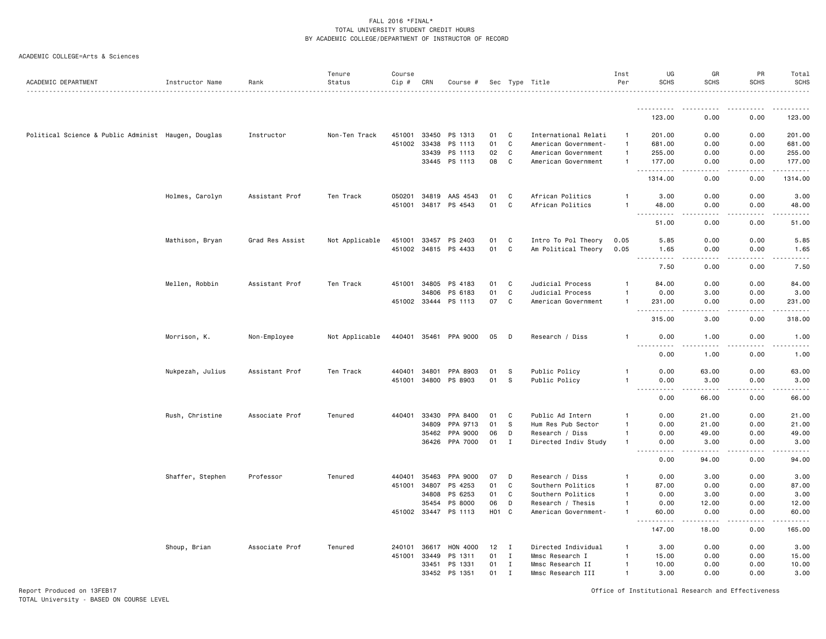|  | ACADEMIC COLLEGE=Arts & Sciences |  |  |  |
|--|----------------------------------|--|--|--|
|--|----------------------------------|--|--|--|

| ACADEMIC DEPARTMENT                                 | Instructor Name  | Rank            | Tenure<br>Status | Course<br>Cip # | CRN          | Course #             |                   |              | Sec Type Title       | Inst<br>Per  | UG<br><b>SCHS</b>                        | GR<br><b>SCHS</b>                                                                                                                                             | PR<br><b>SCHS</b>                                                                                                                                            | Total<br><b>SCHS</b>                         |
|-----------------------------------------------------|------------------|-----------------|------------------|-----------------|--------------|----------------------|-------------------|--------------|----------------------|--------------|------------------------------------------|---------------------------------------------------------------------------------------------------------------------------------------------------------------|--------------------------------------------------------------------------------------------------------------------------------------------------------------|----------------------------------------------|
|                                                     |                  |                 |                  |                 |              |                      |                   |              |                      |              | .                                        |                                                                                                                                                               |                                                                                                                                                              |                                              |
|                                                     |                  |                 |                  |                 |              |                      |                   |              |                      |              | 123.00                                   | 0.00                                                                                                                                                          | 0.00                                                                                                                                                         | 123.00                                       |
| Political Science & Public Administ Haugen, Douglas |                  | Instructor      | Non-Ten Track    | 451001          | 33450        | PS 1313              | 01                | C            | International Relati | $\mathbf{1}$ | 201.00                                   | 0.00                                                                                                                                                          | 0.00                                                                                                                                                         | 201.00                                       |
|                                                     |                  |                 |                  | 451002          | 33438        | PS 1113              | 01                | C            | American Government- | $\mathbf{1}$ | 681.00                                   | 0.00                                                                                                                                                          | 0.00                                                                                                                                                         | 681.00                                       |
|                                                     |                  |                 |                  |                 | 33439        | PS 1113              | 02                | C            | American Government  | $\mathbf{1}$ | 255.00                                   | 0.00                                                                                                                                                          | 0.00                                                                                                                                                         | 255.00                                       |
|                                                     |                  |                 |                  |                 | 33445        | PS 1113              | 08                | C            | American Government  | $\mathbf{1}$ | 177.00                                   | 0.00                                                                                                                                                          | 0.00                                                                                                                                                         | 177.00                                       |
|                                                     |                  |                 |                  |                 |              |                      |                   |              |                      |              | .<br>1314.00                             | الدامات بال<br>0.00                                                                                                                                           | $\frac{1}{2} \left( \frac{1}{2} \right) \left( \frac{1}{2} \right) \left( \frac{1}{2} \right) \left( \frac{1}{2} \right) \left( \frac{1}{2} \right)$<br>0.00 | 1.1.1.1.1.1<br>1314.00                       |
|                                                     | Holmes, Carolyn  | Assistant Prof  | Ten Track        | 050201          | 34819        | AAS 4543             | 01                | C            | African Politics     | $\mathbf{1}$ | 3.00                                     | 0.00                                                                                                                                                          | 0.00                                                                                                                                                         | 3.00                                         |
|                                                     |                  |                 |                  | 451001          | 34817        | PS 4543              | 01                | $\mathsf{C}$ | African Politics     | -1           | 48.00                                    | 0.00                                                                                                                                                          | 0.00                                                                                                                                                         | 48.00                                        |
|                                                     |                  |                 |                  |                 |              |                      |                   |              |                      |              | 51.00                                    | 0.00                                                                                                                                                          | 0.00                                                                                                                                                         | 51.00                                        |
|                                                     | Mathison, Bryan  | Grad Res Assist | Not Applicable   | 451001 33457    |              | PS 2403              | 01                | C            | Intro To Pol Theory  | 0.05         | 5.85                                     | 0.00                                                                                                                                                          | 0.00                                                                                                                                                         | 5.85                                         |
|                                                     |                  |                 |                  |                 |              | 451002 34815 PS 4433 | 01                | C            | Am Political Theory  | 0.05         | 1.65<br>.                                | 0.00<br>.                                                                                                                                                     | 0.00<br>$- - - - -$                                                                                                                                          | 1.65<br>.                                    |
|                                                     |                  |                 |                  |                 |              |                      |                   |              |                      |              | 7.50                                     | 0.00                                                                                                                                                          | 0.00                                                                                                                                                         | 7.50                                         |
|                                                     | Mellen, Robbin   | Assistant Prof  | Ten Track        | 451001          | 34805        | PS 4183              | 01                | C            | Judicial Process     | $\mathbf{1}$ | 84.00                                    | 0.00                                                                                                                                                          | 0.00                                                                                                                                                         | 84.00                                        |
|                                                     |                  |                 |                  |                 | 34806        | PS 6183              | 01                | C            | Judicial Process     | -1           | 0.00                                     | 3.00                                                                                                                                                          | 0.00                                                                                                                                                         | 3.00                                         |
|                                                     |                  |                 |                  |                 | 451002 33444 | PS 1113              | 07                | C            | American Government  | $\mathbf{1}$ | 231.00<br>.<br>$ -$                      | 0.00<br>.                                                                                                                                                     | 0.00<br>.                                                                                                                                                    | 231.00<br>$\omega$ is $\omega$ in $\omega$ . |
|                                                     |                  |                 |                  |                 |              |                      |                   |              |                      |              | 315.00                                   | 3.00                                                                                                                                                          | 0.00                                                                                                                                                         | 318.00                                       |
|                                                     | Morrison, K.     | Non-Employee    | Not Applicable   | 440401 35461    |              | PPA 9000             | 05                | D            | Research / Diss      | -1           | 0.00                                     | 1.00                                                                                                                                                          | 0.00                                                                                                                                                         | 1.00                                         |
|                                                     |                  |                 |                  |                 |              |                      |                   |              |                      |              | 0.00                                     | 1.00                                                                                                                                                          | 0.00                                                                                                                                                         | 1.00                                         |
|                                                     | Nukpezah, Julius | Assistant Prof  | Ten Track        | 440401          | 34801        | PPA 8903             | 01                | s            | Public Policy        | -1           | 0.00                                     | 63.00                                                                                                                                                         | 0.00                                                                                                                                                         | 63.00                                        |
|                                                     |                  |                 |                  | 451001          | 34800        | PS 8903              | 01                | S            | Public Policy        | -1           | 0.00                                     | 3.00                                                                                                                                                          | 0.00                                                                                                                                                         | 3.00                                         |
|                                                     |                  |                 |                  |                 |              |                      |                   |              |                      |              | <u>.</u><br>$\sim$ $\sim$ $\sim$<br>0.00 | $\frac{1}{2} \left( \frac{1}{2} \right) \left( \frac{1}{2} \right) \left( \frac{1}{2} \right) \left( \frac{1}{2} \right) \left( \frac{1}{2} \right)$<br>66.00 | .<br>0.00                                                                                                                                                    | .<br>66.00                                   |
|                                                     | Rush, Christine  | Associate Prof  | Tenured          | 440401          | 33430        | PPA 8400             | 01                | C            | Public Ad Intern     | -1           | 0.00                                     | 21.00                                                                                                                                                         | 0.00                                                                                                                                                         | 21.00                                        |
|                                                     |                  |                 |                  |                 | 34809        | PPA 9713             | 01                | s            | Hum Res Pub Sector   |              | 0.00                                     | 21.00                                                                                                                                                         | 0.00                                                                                                                                                         | 21.00                                        |
|                                                     |                  |                 |                  |                 | 35462        | PPA 9000             | 06                | D            | Research / Diss      | $\mathbf{1}$ | 0.00                                     | 49.00                                                                                                                                                         | 0.00                                                                                                                                                         | 49.00                                        |
|                                                     |                  |                 |                  |                 | 36426        | PPA 7000             | 01                | $\mathbf{I}$ | Directed Indiv Study | $\mathbf{1}$ | 0.00<br>$\frac{1}{2}$<br>$ -$            | 3.00<br><b></b>                                                                                                                                               | 0.00<br>.                                                                                                                                                    | 3.00<br>.                                    |
|                                                     |                  |                 |                  |                 |              |                      |                   |              |                      |              | 0.00                                     | 94.00                                                                                                                                                         | 0.00                                                                                                                                                         | 94.00                                        |
|                                                     | Shaffer, Stephen | Professor       | Tenured          | 440401          | 35463        | PPA 9000             | 07                | D            | Research / Diss      | $\mathbf{1}$ | 0.00                                     | 3.00                                                                                                                                                          | 0.00                                                                                                                                                         | 3.00                                         |
|                                                     |                  |                 |                  | 451001          | 34807        | PS 4253              | 01                | $\mathtt{C}$ | Southern Politics    | $\mathbf{1}$ | 87.00                                    | 0.00                                                                                                                                                          | 0.00                                                                                                                                                         | 87.00                                        |
|                                                     |                  |                 |                  |                 | 34808        | PS 6253              | 01                | C            | Southern Politics    | $\mathbf{1}$ | 0.00                                     | 3.00                                                                                                                                                          | 0.00                                                                                                                                                         | 3.00                                         |
|                                                     |                  |                 |                  |                 | 35454        | PS 8000              | 06                | D            | Research / Thesis    | $\mathbf{1}$ | 0.00                                     | 12.00                                                                                                                                                         | 0.00                                                                                                                                                         | 12.00                                        |
|                                                     |                  |                 |                  |                 | 451002 33447 | PS 1113              | H <sub>01</sub> C |              | American Government- |              | 60.00<br>.                               | 0.00                                                                                                                                                          | 0.00                                                                                                                                                         | 60.00                                        |
|                                                     |                  |                 |                  |                 |              |                      |                   |              |                      |              | 147.00                                   | 18.00                                                                                                                                                         | 0.00                                                                                                                                                         | 165.00                                       |
|                                                     | Shoup, Brian     | Associate Prof  | Tenured          | 240101          | 36617        | HON 4000             | 12                | I            | Directed Individual  | -1           | 3.00                                     | 0.00                                                                                                                                                          | 0.00                                                                                                                                                         | 3.00                                         |
|                                                     |                  |                 |                  | 451001          | 33449        | PS 1311              | 01                | $\mathbf{I}$ | Mmsc Research I      | -1           | 15.00                                    | 0.00                                                                                                                                                          | 0.00                                                                                                                                                         | 15.00                                        |
|                                                     |                  |                 |                  |                 | 33451        | PS 1331              | 01                | $\mathbf I$  | Mmsc Research II     | $\mathbf{1}$ | 10.00                                    | 0.00                                                                                                                                                          | 0.00                                                                                                                                                         | 10.00                                        |
|                                                     |                  |                 |                  |                 | 33452        | PS 1351              | 01                | $\mathbf I$  | Mmsc Research III    | -1           | 3.00                                     | 0.00                                                                                                                                                          | 0.00                                                                                                                                                         | 3.00                                         |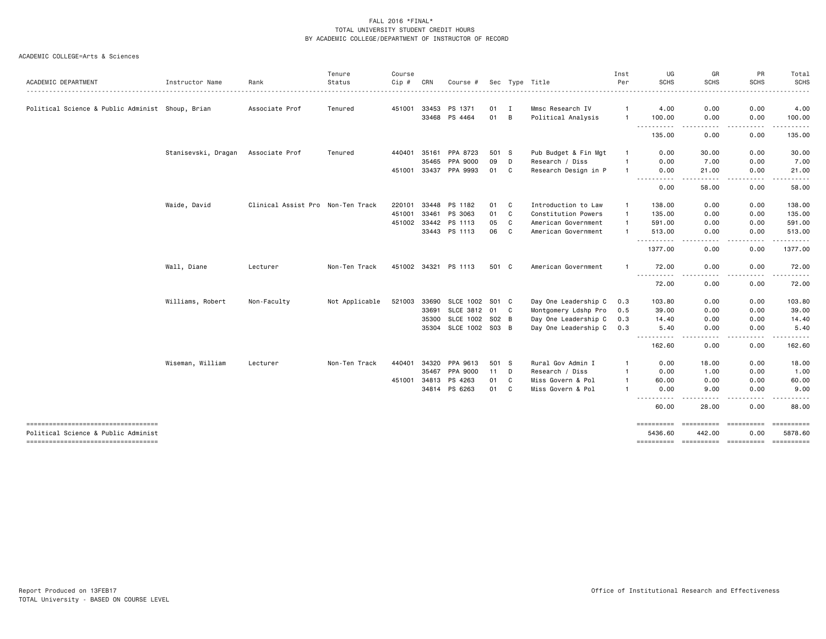|                                                                              |                     |                                   | Tenure         | Course       |       |                  |       |              |                      | Inst           | UG                             | GR                   | PR                              | Total                     |
|------------------------------------------------------------------------------|---------------------|-----------------------------------|----------------|--------------|-------|------------------|-------|--------------|----------------------|----------------|--------------------------------|----------------------|---------------------------------|---------------------------|
| ACADEMIC DEPARTMENT                                                          | Instructor Name     | Rank                              | Status         | $Cip$ #      | CRN   | Course #         |       |              | Sec Type Title       | Per            | <b>SCHS</b>                    | <b>SCHS</b>          | <b>SCHS</b>                     | <b>SCHS</b><br>. <u>.</u> |
|                                                                              |                     |                                   |                |              |       |                  |       |              |                      |                |                                |                      |                                 |                           |
| Political Science & Public Administ Shoup, Brian                             |                     | Associate Prof                    | Tenured        | 451001       | 33453 | PS 1371          | 01    | $\mathbf I$  | Mmsc Research IV     | -1             | 4.00                           | 0.00                 | 0.00                            | 4.00                      |
|                                                                              |                     |                                   |                |              | 33468 | PS 4464          | 01    | В            | Political Analysis   | $\mathbf{1}$   | 100.00                         | 0.00                 | 0.00                            | 100.00                    |
|                                                                              |                     |                                   |                |              |       |                  |       |              |                      |                | - - -<br>135.00                | 0.00                 | 0.00                            | 135.00                    |
|                                                                              | Stanisevski, Dragan | Associate Prof                    | Tenured        | 440401       | 35161 | PPA 8723         | 501 S |              | Pub Budget & Fin Mgt | -1             | 0.00                           | 30.00                | 0.00                            | 30.00                     |
|                                                                              |                     |                                   |                |              | 35465 | PPA 9000         | 09    | D            | Research / Diss      | $\overline{1}$ | 0.00                           | 7.00                 | 0.00                            | 7.00                      |
|                                                                              |                     |                                   |                | 451001       | 33437 | PPA 9993         | 01    | C            | Research Design in P | -1             | 0.00                           | 21.00                | 0.00                            | 21.00                     |
|                                                                              |                     |                                   |                |              |       |                  |       |              |                      |                | $  -$<br>----<br>0.00          | 58.00                | 0.00                            | 58.00                     |
|                                                                              | Waide, David        | Clinical Assist Pro Non-Ten Track |                | 220101       | 33448 | PS 1182          | 01    | C            | Introduction to Law  | $\mathbf{1}$   | 138.00                         | 0.00                 | 0.00                            | 138.00                    |
|                                                                              |                     |                                   |                | 451001       | 33461 | PS 3063          | 01    | C            | Constitution Powers  | $\overline{1}$ | 135.00                         | 0.00                 | 0.00                            | 135.00                    |
|                                                                              |                     |                                   |                | 451002 33442 |       | PS 1113          | 05    | C            | American Government  | $\mathbf{1}$   | 591.00                         | 0.00                 | 0.00                            | 591.00                    |
|                                                                              |                     |                                   |                |              |       | 33443 PS 1113    | 06    | C            | American Government  | -1             | 513.00                         | 0.00                 | 0.00                            | 513.00                    |
|                                                                              |                     |                                   |                |              |       |                  |       |              |                      |                | ----------<br>1377.00          | $- - - -$<br>0.00    | .<br>0.00                       | <u>.</u><br>1377.00       |
|                                                                              | Wall, Diane         | Lecturer                          | Non-Ten Track  | 451002 34321 |       | PS 1113          | 501 C |              | American Government  |                | 72.00                          | 0.00                 | 0.00                            | 72.00                     |
|                                                                              |                     |                                   |                |              |       |                  |       |              |                      |                | - - - - - - - - - - -<br>72.00 | $- - - -$<br>0.00    | 0.00                            | .<br>72.00                |
|                                                                              | Williams, Robert    | Non-Faculty                       | Not Applicable | 521003       | 33690 | <b>SLCE 1002</b> | S01 C |              | Day One Leadership C | 0.3            | 103.80                         | 0.00                 | 0.00                            | 103.80                    |
|                                                                              |                     |                                   |                |              | 33691 | SLCE 3812 01     |       | $\mathbf{C}$ | Montgomery Ldshp Pro | 0.5            | 39.00                          | 0.00                 | 0.00                            | 39.00                     |
|                                                                              |                     |                                   |                |              | 35300 | <b>SLCE 1002</b> | S02 B |              | Day One Leadership C | 0.3            | 14.40                          | 0.00                 | 0.00                            | 14.40                     |
|                                                                              |                     |                                   |                |              | 35304 | SLCE 1002 S03 B  |       |              | Day One Leadership C | 0.3            | 5.40                           | 0.00                 | 0.00                            | 5.40                      |
|                                                                              |                     |                                   |                |              |       |                  |       |              |                      |                | -----<br>.<br>162.60           | ----<br>0.00         | .<br>0.00                       | <u>.</u><br>162.60        |
|                                                                              | Wiseman, William    | Lecturer                          | Non-Ten Track  | 440401       | 34320 | PPA 9613         | 501 S |              | Rural Gov Admin I    | -1             | 0.00                           | 18.00                | 0.00                            | 18.00                     |
|                                                                              |                     |                                   |                |              | 35467 | PPA 9000         | 11    | D            | Research / Diss      | $\mathbf{1}$   | 0.00                           | 1.00                 | 0.00                            | 1.00                      |
|                                                                              |                     |                                   |                | 451001       | 34813 | PS 4263          | 01    | C            | Miss Govern & Pol    |                | 60.00                          | 0.00                 | 0.00                            | 60.00                     |
|                                                                              |                     |                                   |                |              |       | 34814 PS 6263    | 01    | C            | Miss Govern & Pol    |                | 0.00                           | 9.00                 | 0.00                            | 9.00                      |
|                                                                              |                     |                                   |                |              |       |                  |       |              |                      |                | 60.00                          | 28.00                | 0.00                            | 88.00                     |
| -------------------------------------<br>Political Science & Public Administ |                     |                                   |                |              |       |                  |       |              |                      |                | <b>SEESSEESS</b><br>5436.60    | ==========<br>442.00 | 0.00                            | ==========<br>5878.60     |
| ----------------------------------                                           |                     |                                   |                |              |       |                  |       |              |                      |                | ==========                     |                      | ---------- ---------- --------- |                           |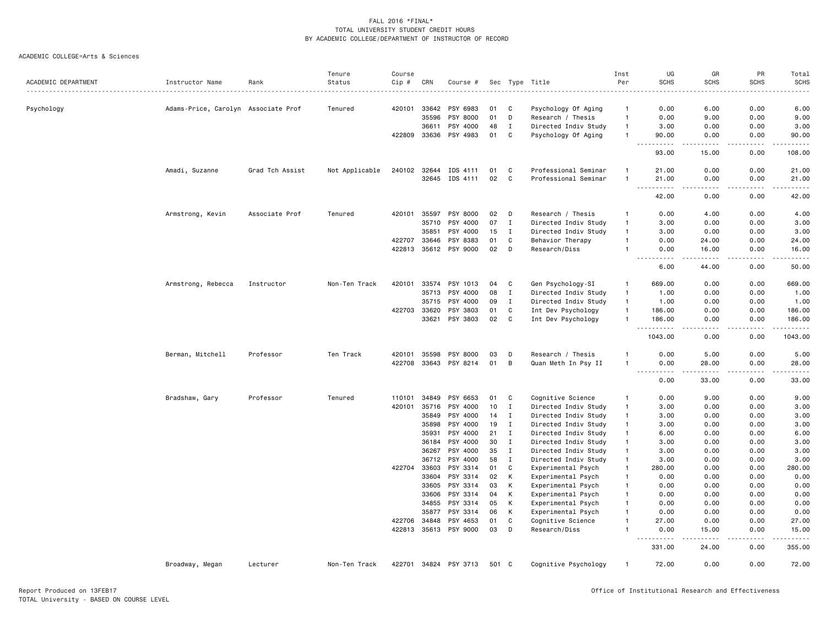|                     |                                     |                 | Tenure         | Course       |              |                       |     |              |                      | Inst           | UG                                                                                                                                                                                    | GR                                  | PR               | Total                                                                                                                                    |
|---------------------|-------------------------------------|-----------------|----------------|--------------|--------------|-----------------------|-----|--------------|----------------------|----------------|---------------------------------------------------------------------------------------------------------------------------------------------------------------------------------------|-------------------------------------|------------------|------------------------------------------------------------------------------------------------------------------------------------------|
| ACADEMIC DEPARTMENT | Instructor Name                     | Rank            | Status         | Cip #        | CRN          | Course #              |     | Sec Type     | Title                | Per            | <b>SCHS</b>                                                                                                                                                                           | <b>SCHS</b>                         | <b>SCHS</b>      | <b>SCHS</b><br>$\frac{1}{2} \left( \frac{1}{2} \right) \left( \frac{1}{2} \right) \left( \frac{1}{2} \right) \left( \frac{1}{2} \right)$ |
|                     |                                     |                 |                |              |              |                       |     |              |                      |                |                                                                                                                                                                                       |                                     |                  |                                                                                                                                          |
| Psychology          | Adams-Price, Carolyn Associate Prof |                 | Tenured        | 420101       | 33642        | PSY 6983              | 01  | C            | Psychology Of Aging  | $\mathbf{1}$   | 0.00                                                                                                                                                                                  | 6.00                                | 0.00             | 6.00                                                                                                                                     |
|                     |                                     |                 |                |              | 35596        | PSY 8000              | 01  | D            | Research / Thesis    | $\overline{1}$ | 0.00                                                                                                                                                                                  | 9.00                                | 0.00             | 9.00                                                                                                                                     |
|                     |                                     |                 |                |              | 36611        | PSY 4000              | 48  | $\mathbf{I}$ | Directed Indiv Study | $\overline{1}$ | 3.00                                                                                                                                                                                  | 0.00                                | 0.00             | 3.00                                                                                                                                     |
|                     |                                     |                 |                |              | 422809 33636 | PSY 4983              | 01  | C            | Psychology Of Aging  | $\overline{1}$ | 90.00<br>.                                                                                                                                                                            | 0.00<br>$\sim$ $\sim$ $\sim$ $\sim$ | 0.00<br>المستبدا | 90.00<br>.                                                                                                                               |
|                     |                                     |                 |                |              |              |                       |     |              |                      |                | 93.00                                                                                                                                                                                 | 15.00                               | 0.00             | 108.00                                                                                                                                   |
|                     | Amadi, Suzanne                      | Grad Tch Assist | Not Applicable | 240102 32644 |              | IDS 4111              | 01  | C            | Professional Seminar | $\overline{1}$ | 21.00                                                                                                                                                                                 | 0.00                                | 0.00             | 21.00                                                                                                                                    |
|                     |                                     |                 |                |              | 32645        | IDS 4111              | 02  | C            | Professional Seminar | $\overline{1}$ | 21.00<br>$\sim$ $\sim$ $\sim$<br>$\frac{1}{2} \left( \frac{1}{2} \right) \left( \frac{1}{2} \right) \left( \frac{1}{2} \right) \left( \frac{1}{2} \right) \left( \frac{1}{2} \right)$ | 0.00<br>$\sim$ $\sim$ $\sim$ $\sim$ | 0.00<br>.        | 21.00<br>$\frac{1}{2}$                                                                                                                   |
|                     |                                     |                 |                |              |              |                       |     |              |                      |                | 42.00                                                                                                                                                                                 | 0.00                                | 0.00             | 42.00                                                                                                                                    |
|                     | Armstrong, Kevin                    | Associate Prof  | Tenured        |              | 420101 35597 | PSY 8000              | 02  | D            | Research / Thesis    | $\mathbf{1}$   | 0.00                                                                                                                                                                                  | 4.00                                | 0.00             | 4.00                                                                                                                                     |
|                     |                                     |                 |                |              | 35710        | PSY 4000              | 07  | $\mathbf{I}$ | Directed Indiv Study | $\mathbf{1}$   | 3.00                                                                                                                                                                                  | 0.00                                | 0.00             | 3.00                                                                                                                                     |
|                     |                                     |                 |                |              | 35851        | PSY 4000              | 15  | $\mathbf{I}$ | Directed Indiv Study | $\overline{1}$ | 3.00                                                                                                                                                                                  | 0.00                                | 0.00             | 3.00                                                                                                                                     |
|                     |                                     |                 |                | 422707       | 33646        | PSY 8383              | 01  | C            | Behavior Therapy     | $\overline{1}$ | 0.00                                                                                                                                                                                  | 24.00                               | 0.00             | 24.00                                                                                                                                    |
|                     |                                     |                 |                | 422813       | 35612        | PSY 9000              | 02  | D            | Research/Diss        | $\overline{1}$ | 0.00<br>$\frac{1}{2} \left( \frac{1}{2} \right) \left( \frac{1}{2} \right) \left( \frac{1}{2} \right) \left( \frac{1}{2} \right)$                                                     | 16.00<br><u>.</u>                   | 0.00<br>.        | 16.00<br>.                                                                                                                               |
|                     |                                     |                 |                |              |              |                       |     |              |                      |                | $  -$<br>6.00                                                                                                                                                                         | 44.00                               | 0.00             | 50.00                                                                                                                                    |
|                     | Armstrong, Rebecca                  | Instructor      | Non-Ten Track  | 420101       | 33574        | PSY 1013              | 04  | C            | Gen Psychology-SI    | $\mathbf{1}$   | 669.00                                                                                                                                                                                | 0.00                                | 0.00             | 669.00                                                                                                                                   |
|                     |                                     |                 |                |              | 35713        | PSY 4000              | 08  | $\mathbf{I}$ | Directed Indiv Study | $\mathbf{1}$   | 1.00                                                                                                                                                                                  | 0.00                                | 0.00             | 1.00                                                                                                                                     |
|                     |                                     |                 |                |              | 35715        | PSY 4000              | 09  | $\mathbf{I}$ | Directed Indiv Study | $\overline{1}$ | 1.00                                                                                                                                                                                  | 0.00                                | 0.00             | 1.00                                                                                                                                     |
|                     |                                     |                 |                | 422703       | 33620        | PSY 3803              | 01  | C            | Int Dev Psychology   | $\mathbf{1}$   | 186.00                                                                                                                                                                                | 0.00                                | 0.00             | 186.00                                                                                                                                   |
|                     |                                     |                 |                |              | 33621        | PSY 3803              | 02  | C            | Int Dev Psychology   | $\mathbf{1}$   | 186.00                                                                                                                                                                                | 0.00                                | 0.00             | 186.00                                                                                                                                   |
|                     |                                     |                 |                |              |              |                       |     |              |                      |                | .<br>.<br>1043.00                                                                                                                                                                     | د د د د<br>0.00                     | .<br>0.00        | .<br>1043.00                                                                                                                             |
|                     | Berman, Mitchell                    | Professor       | Ten Track      | 420101       | 35598        | PSY 8000              | 03  | D            | Research / Thesis    |                | 0.00                                                                                                                                                                                  | 5.00                                | 0.00             | 5.00                                                                                                                                     |
|                     |                                     |                 |                | 422708       | 33643        | PSY 8214              | 01  | B            | Quan Meth In Psy II  | $\overline{1}$ | 0.00                                                                                                                                                                                  | 28.00                               | 0.00             | 28.00                                                                                                                                    |
|                     |                                     |                 |                |              |              |                       |     |              |                      |                | .<br>$ -$<br>0.00                                                                                                                                                                     | -----<br>33.00                      | .<br>0.00        | $\frac{1}{2}$<br>33.00                                                                                                                   |
|                     | Bradshaw, Gary                      | Professor       | Tenured        | 110101       | 34849        | PSY 6653              | 01  | C            | Cognitive Science    | $\overline{1}$ | 0.00                                                                                                                                                                                  | 9.00                                | 0.00             | 9.00                                                                                                                                     |
|                     |                                     |                 |                | 420101       | 35716        | PSY 4000              | 10  | $\mathbf{I}$ | Directed Indiv Study | $\mathbf{1}$   | 3.00                                                                                                                                                                                  | 0.00                                | 0.00             | 3.00                                                                                                                                     |
|                     |                                     |                 |                |              | 35849        | PSY 4000              | 14  | $\mathbf{I}$ | Directed Indiv Study | $\overline{1}$ | 3.00                                                                                                                                                                                  | 0.00                                | 0.00             | 3.00                                                                                                                                     |
|                     |                                     |                 |                |              | 35898        | PSY 4000              | 19  | $\mathbf{I}$ | Directed Indiv Study | $\mathbf{1}$   | 3.00                                                                                                                                                                                  | 0.00                                | 0.00             | 3.00                                                                                                                                     |
|                     |                                     |                 |                |              | 35931        | PSY 4000              | 21  | $\mathbf I$  | Directed Indiv Study | $\mathbf{1}$   | 6.00                                                                                                                                                                                  | 0.00                                | 0.00             | 6.00                                                                                                                                     |
|                     |                                     |                 |                |              | 36184        | PSY 4000              | 30  | $\mathbf{I}$ | Directed Indiv Study | $\overline{1}$ | 3.00                                                                                                                                                                                  | 0.00                                | 0.00             | 3.00                                                                                                                                     |
|                     |                                     |                 |                |              | 36267        | PSY 4000              | 35  | $\mathbf{I}$ | Directed Indiv Study | $\overline{1}$ | 3.00                                                                                                                                                                                  | 0.00                                | 0.00             | 3.00                                                                                                                                     |
|                     |                                     |                 |                |              | 36712        | PSY 4000              | 58  | I            | Directed Indiv Study | $\overline{1}$ | 3.00                                                                                                                                                                                  | 0.00                                | 0.00             | 3.00                                                                                                                                     |
|                     |                                     |                 |                | 422704       | 33603        | PSY 3314              | 01  | C            | Experimental Psych   | $\mathbf{1}$   | 280.00                                                                                                                                                                                | 0.00                                | 0.00             | 280.00                                                                                                                                   |
|                     |                                     |                 |                |              | 33604        | PSY 3314              | 02  | К            | Experimental Psych   | $\mathbf{1}$   | 0.00                                                                                                                                                                                  | 0.00                                | 0.00             | 0.00                                                                                                                                     |
|                     |                                     |                 |                |              | 33605        | PSY 3314              | 03  | К            | Experimental Psych   | $\overline{1}$ | 0.00                                                                                                                                                                                  | 0.00                                | 0.00             | 0.00                                                                                                                                     |
|                     |                                     |                 |                |              | 33606        | PSY 3314              | 04  | К            | Experimental Psych   | $\overline{1}$ | 0.00                                                                                                                                                                                  | 0.00                                | 0.00             | 0.00                                                                                                                                     |
|                     |                                     |                 |                |              | 34855        | PSY 3314              | 05  | К            | Experimental Psych   | $\overline{1}$ | 0.00                                                                                                                                                                                  | 0.00                                | 0.00             | 0.00                                                                                                                                     |
|                     |                                     |                 |                |              | 35877        | PSY 3314              | 06  | К            | Experimental Psych   | $\mathbf{1}$   | 0.00                                                                                                                                                                                  | 0.00                                | 0.00             | 0.00                                                                                                                                     |
|                     |                                     |                 |                | 422706       | 34848        | PSY 4653              | 01  | C            | Cognitive Science    | $\mathbf{1}$   | 27.00                                                                                                                                                                                 | 0.00                                | 0.00             | 27.00                                                                                                                                    |
|                     |                                     |                 |                |              |              | 422813 35613 PSY 9000 | 03  | D            | Research/Diss        | 1              | 0.00                                                                                                                                                                                  | 15.00                               | 0.00             | 15.00                                                                                                                                    |
|                     |                                     |                 |                |              |              |                       |     |              |                      |                | .<br>331.00                                                                                                                                                                           | .<br>24.00                          | <u>.</u><br>0.00 | 22222)<br>355.00                                                                                                                         |
|                     | Broadway, Megan                     | Lecturer        | Non-Ten Track  |              |              | 422701 34824 PSY 3713 | 501 | <b>C</b>     | Cognitive Psychology | -1             | 72.00                                                                                                                                                                                 | 0.00                                | 0.00             | 72.00                                                                                                                                    |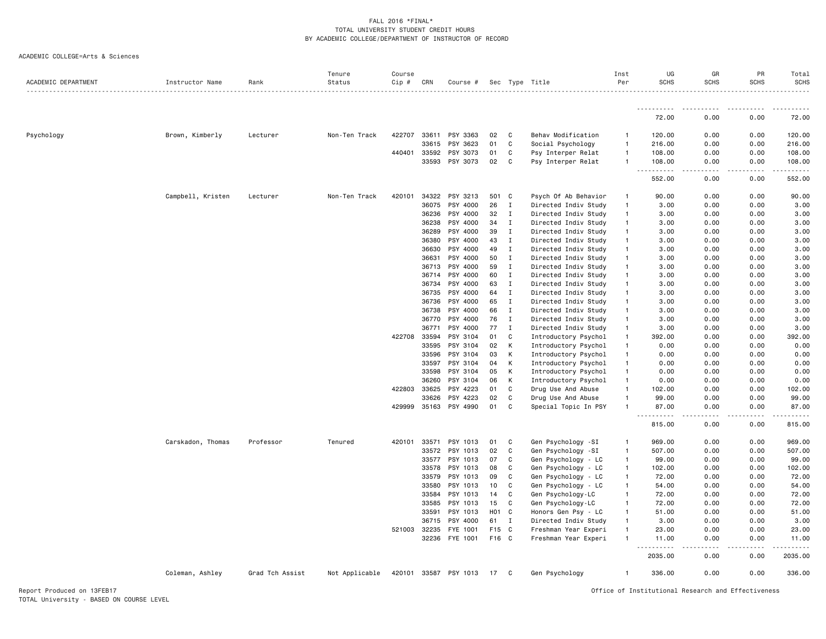| ACADEMIC DEPARTMENT | Instructor Name   | Rank            | Tenure<br>Status | Course<br>Cip # | CRN          | Course #              |                  |              | Sec Type Title       | Inst<br>Per    | UG<br><b>SCHS</b>                     | GR<br><b>SCHS</b> | PR<br><b>SCHS</b> | Total<br><b>SCHS</b> |
|---------------------|-------------------|-----------------|------------------|-----------------|--------------|-----------------------|------------------|--------------|----------------------|----------------|---------------------------------------|-------------------|-------------------|----------------------|
|                     |                   |                 |                  |                 |              |                       |                  |              |                      |                |                                       |                   |                   |                      |
|                     |                   |                 |                  |                 |              |                       |                  |              |                      |                | <u>.</u><br>72.00                     | 0.00              | 0.00              | 72.00                |
| Psychology          | Brown, Kimberly   | Lecturer        | Non-Ten Track    | 422707          | 33611        | PSY 3363              | 02               | C            | Behav Modification   | $\mathbf{1}$   | 120.00                                | 0.00              | 0.00              | 120.00               |
|                     |                   |                 |                  |                 | 33615        | PSY 3623              | 01               | C            | Social Psychology    | $\overline{1}$ | 216.00                                | 0.00              | 0.00              | 216.00               |
|                     |                   |                 |                  | 440401          | 33592        | PSY 3073              | 01               | C            | Psy Interper Relat   | $\overline{1}$ | 108.00                                | 0.00              | 0.00              | 108.00               |
|                     |                   |                 |                  |                 | 33593        | PSY 3073              | 02               | C            | Psy Interper Relat   | $\mathbf{1}$   | 108.00<br>.                           | 0.00<br>.         | 0.00<br>-----     | 108.00<br>.          |
|                     |                   |                 |                  |                 |              |                       |                  |              |                      |                | 552.00                                | 0.00              | 0.00              | 552.00               |
|                     | Campbell, Kristen | Lecturer        | Non-Ten Track    | 420101          | 34322        | PSY 3213              | 501 C            |              | Psych Of Ab Behavior | $\overline{1}$ | 90.00                                 | 0.00              | 0.00              | 90.00                |
|                     |                   |                 |                  |                 | 36075        | PSY 4000              | 26               | Ι.           | Directed Indiv Study | $\mathbf{1}$   | 3.00                                  | 0.00              | 0.00              | 3.00                 |
|                     |                   |                 |                  |                 | 36236        | PSY 4000              | 32               | $\mathbf I$  | Directed Indiv Study | $\mathbf{1}$   | 3.00                                  | 0.00              | 0.00              | 3.00                 |
|                     |                   |                 |                  |                 | 36238        | PSY 4000              | 34               | $\mathbf I$  | Directed Indiv Study | $\overline{1}$ | 3.00                                  | 0.00              | 0.00              | 3.00                 |
|                     |                   |                 |                  |                 | 36289        | PSY 4000              | 39               | $\mathbf{I}$ | Directed Indiv Study | $\mathbf{1}$   | 3.00                                  | 0.00              | 0.00              | 3.00                 |
|                     |                   |                 |                  |                 | 36380        | PSY 4000              | 43               | $\mathbf I$  | Directed Indiv Study | $\mathbf{1}$   | 3.00                                  | 0.00              | 0.00              | 3.00                 |
|                     |                   |                 |                  |                 | 36630        | PSY 4000              | 49               | $\mathbf{I}$ | Directed Indiv Study | $\overline{1}$ | 3.00                                  | 0.00              | 0.00              | 3.00                 |
|                     |                   |                 |                  |                 | 36631        | PSY 4000              | 50               | $\mathbf{I}$ | Directed Indiv Study | $\mathbf{1}$   | 3.00                                  | 0.00              | 0.00              | 3.00                 |
|                     |                   |                 |                  |                 | 36713        | PSY 4000              | 59               | $\mathbf{I}$ | Directed Indiv Study | $\mathbf{1}$   | 3.00                                  | 0.00              | 0.00              | 3.00                 |
|                     |                   |                 |                  |                 | 36714        | PSY 4000              | 60               | $\mathbf I$  | Directed Indiv Study | $\mathbf{1}$   | 3.00                                  | 0.00              | 0.00              | 3.00                 |
|                     |                   |                 |                  |                 | 36734        | PSY 4000              | 63               | Ι.           | Directed Indiv Study | $\overline{1}$ | 3.00                                  | 0.00              | 0.00              | 3.00                 |
|                     |                   |                 |                  |                 | 36735        | PSY 4000              | 64               | I            | Directed Indiv Study | $\mathbf{1}$   | 3.00                                  | 0.00              | 0.00              | 3.00                 |
|                     |                   |                 |                  |                 | 36736        | PSY 4000              | 65               | $\mathbf I$  | Directed Indiv Study | $\mathbf{1}$   | 3.00                                  | 0.00              | 0.00              | 3.00                 |
|                     |                   |                 |                  |                 | 36738        | PSY 4000              | 66               | $\mathbf I$  | Directed Indiv Study | $\mathbf{1}$   | 3.00                                  | 0.00              | 0.00              | 3.00                 |
|                     |                   |                 |                  |                 | 36770        | PSY 4000              | 76               | $\mathbf I$  | Directed Indiv Study | $\overline{1}$ | 3.00                                  | 0.00              | 0.00              | 3.00                 |
|                     |                   |                 |                  |                 | 36771        | PSY 4000              | 77               | $\mathbf{I}$ | Directed Indiv Study | $\overline{1}$ | 3.00                                  | 0.00              | 0.00              | 3.00                 |
|                     |                   |                 |                  | 422708          | 33594        | PSY 3104              | 01               | C            | Introductory Psychol | $\mathbf{1}$   | 392.00                                | 0.00              | 0.00              | 392.00               |
|                     |                   |                 |                  |                 | 33595        | PSY 3104              | 02               | К            | Introductory Psychol | $\overline{1}$ | 0.00                                  | 0.00              | 0.00              | 0.00                 |
|                     |                   |                 |                  |                 | 33596        | PSY 3104              | 03               | K            | Introductory Psychol | $\overline{1}$ | 0.00                                  | 0.00              | 0.00              | 0.00                 |
|                     |                   |                 |                  |                 | 33597        | PSY 3104              | 04               | К            | Introductory Psychol | $\mathbf{1}$   | 0.00                                  | 0.00              | 0.00              | 0.00                 |
|                     |                   |                 |                  |                 | 33598        | PSY 3104              | 05               | К            | Introductory Psychol | $\overline{1}$ | 0.00                                  | 0.00              | 0.00              | 0.00                 |
|                     |                   |                 |                  |                 | 36260        | PSY 3104              | 06               | К            | Introductory Psychol | $\overline{1}$ | 0.00                                  | 0.00              | 0.00              | 0.00                 |
|                     |                   |                 |                  |                 | 422803 33625 | PSY 4223              | 01               | C            | Drug Use And Abuse   | $\overline{1}$ | 102.00                                | 0.00              | 0.00              | 102.00               |
|                     |                   |                 |                  |                 | 33626        | PSY 4223              | 02               | C            | Drug Use And Abuse   | $\overline{1}$ | 99.00                                 | 0.00              | 0.00              | 99.00                |
|                     |                   |                 |                  | 429999 35163    |              | PSY 4990              | 01               | C            | Special Topic In PSY | $\overline{1}$ | 87.00                                 | 0.00              | 0.00              | 87.00                |
|                     |                   |                 |                  |                 |              |                       |                  |              |                      |                | <u> - - - - - - - - - -</u><br>815.00 | .<br>0.00         | .<br>0.00         | 815.00               |
|                     | Carskadon, Thomas | Professor       | Tenured          | 420101          | 33571        | PSY 1013              | 01               | C            | Gen Psychology -SI   | $\mathbf{1}$   | 969.00                                | 0.00              | 0.00              | 969.00               |
|                     |                   |                 |                  |                 | 33572        | PSY 1013              | 02               | C            | Gen Psychology -SI   | $\mathbf{1}$   | 507.00                                | 0.00              | 0.00              | 507.00               |
|                     |                   |                 |                  |                 | 33577        | PSY 1013              | 07               | C            | Gen Psychology - LC  | $\mathbf{1}$   | 99.00                                 | 0.00              | 0.00              | 99.00                |
|                     |                   |                 |                  |                 | 33578        | PSY 1013              | 08               | C            | Gen Psychology - LC  | $\mathbf{1}$   | 102.00                                | 0.00              | 0.00              | 102.00               |
|                     |                   |                 |                  |                 | 33579        | PSY 1013              | 09               | C            | Gen Psychology - LC  | $\mathbf{1}$   | 72.00                                 | 0.00              | 0.00              | 72.00                |
|                     |                   |                 |                  |                 | 33580        | PSY 1013              | 10               | C            | Gen Psychology - LC  | $\overline{1}$ | 54.00                                 | 0.00              | 0.00              | 54.00                |
|                     |                   |                 |                  |                 | 33584        | PSY 1013              | 14               | C            | Gen Psychology-LC    | $\mathbf{1}$   | 72.00                                 | 0.00              | 0.00              | 72.00                |
|                     |                   |                 |                  |                 | 33585        | PSY 1013              | 15               | C            | Gen Psychology-LC    | $\mathbf{1}$   | 72.00                                 | 0.00              | 0.00              | 72.00                |
|                     |                   |                 |                  |                 | 33591        | PSY 1013              | H <sub>0</sub> 1 | $\mathbf{C}$ | Honors Gen Psy - LC  | $\mathbf{1}$   | 51.00                                 | 0.00              | 0.00              | 51.00                |
|                     |                   |                 |                  |                 | 36715        | PSY 4000              | 61               | $\mathbf I$  | Directed Indiv Study | $\mathbf{1}$   | 3.00                                  | 0.00              | 0.00              | 3.00                 |
|                     |                   |                 |                  | 521003 32235    |              | FYE 1001              | F <sub>15</sub>  | $\mathbf{C}$ | Freshman Year Experi | $\mathbf{1}$   | 23.00                                 | 0.00              | 0.00              | 23.00                |
|                     |                   |                 |                  |                 | 32236        | FYE 1001              | F16 C            |              | Freshman Year Experi | $\overline{1}$ | 11.00                                 | 0.00              | 0.00              | 11.00                |
|                     |                   |                 |                  |                 |              |                       |                  |              |                      |                | .<br>2035.00                          | 0.00              | 0.00              | 2035.00              |
|                     | Coleman, Ashley   | Grad Tch Assist | Not Applicable   |                 |              | 420101 33587 PSY 1013 | 17               | C            | Gen Psychology       | $\overline{1}$ | 336.00                                | 0.00              | 0.00              | 336.00               |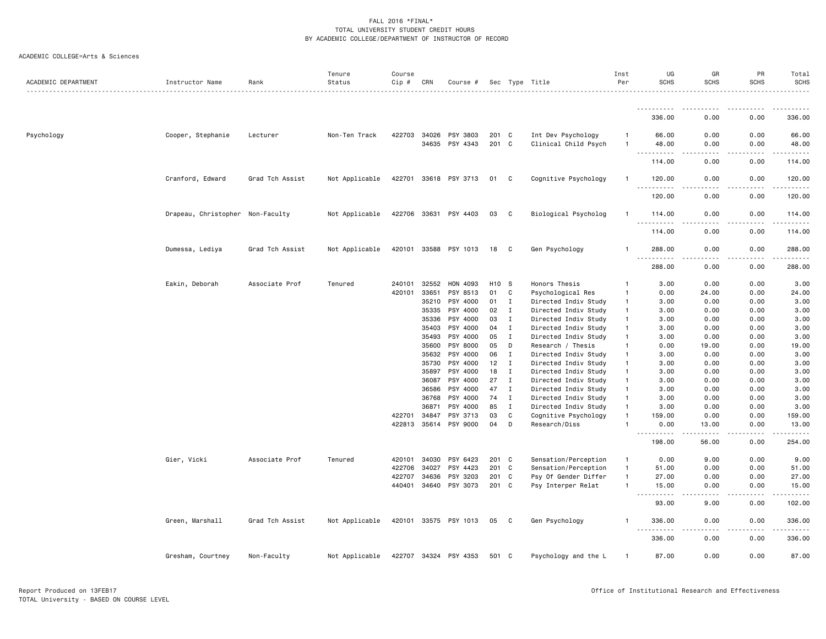| ACADEMIC DEPARTMENT | Instructor Name                  | Rank            | Tenure<br>Status | Course<br>Cip # | CRN          | Course #              |                   |              | Sec Type Title       | Inst<br>Per  | UG<br><b>SCHS</b>                | GR<br><b>SCHS</b>    | PR<br><b>SCHS</b> | Total<br>SCHS                                                                                                                                                                             |
|---------------------|----------------------------------|-----------------|------------------|-----------------|--------------|-----------------------|-------------------|--------------|----------------------|--------------|----------------------------------|----------------------|-------------------|-------------------------------------------------------------------------------------------------------------------------------------------------------------------------------------------|
|                     |                                  |                 |                  |                 |              |                       |                   |              |                      |              |                                  |                      |                   |                                                                                                                                                                                           |
|                     |                                  |                 |                  |                 |              |                       |                   |              |                      |              | 336.00                           | 0.00                 | 0.00              | 336.00                                                                                                                                                                                    |
| Psychology          | Cooper, Stephanie                | Lecturer        | Non-Ten Track    | 422703          | 34026        | PSY 3803              | 201 C             |              | Int Dev Psychology   | $\mathbf{1}$ | 66.00                            | 0.00                 | 0.00              | 66.00                                                                                                                                                                                     |
|                     |                                  |                 |                  |                 |              | 34635 PSY 4343        | 201 C             |              | Clinical Child Psych | -1           | 48.00<br>.<br>$  -$              | 0.00<br>. <u>.</u> . | 0.00<br>.         | 48.00<br>.                                                                                                                                                                                |
|                     |                                  |                 |                  |                 |              |                       |                   |              |                      |              | 114.00                           | 0.00                 | 0.00              | 114.00                                                                                                                                                                                    |
|                     | Cranford, Edward                 | Grad Tch Assist | Not Applicable   |                 |              | 422701 33618 PSY 3713 | 01                | C            | Cognitive Psychology | $\mathbf{1}$ | 120.00                           | 0.00                 | 0.00              | 120.00                                                                                                                                                                                    |
|                     |                                  |                 |                  |                 |              |                       |                   |              |                      |              | 120.00                           | 0.00                 | 0.00              | 120.00                                                                                                                                                                                    |
|                     | Drapeau, Christopher Non-Faculty |                 | Not Applicable   |                 |              | 422706 33631 PSY 4403 | 03                | C            | Biological Psycholog |              | 114.00<br>.                      | 0.00                 | 0.00              | 114.00<br>.                                                                                                                                                                               |
|                     |                                  |                 |                  |                 |              |                       |                   |              |                      |              | 114.00                           | 0.00                 | 0.00              | 114.00                                                                                                                                                                                    |
|                     | Dumessa, Lediya                  | Grad Tch Assist | Not Applicable   |                 |              | 420101 33588 PSY 1013 | 18 C              |              | Gen Psychology       |              | 288.00                           | 0.00                 | 0.00              | 288.00                                                                                                                                                                                    |
|                     |                                  |                 |                  |                 |              |                       |                   |              |                      |              | .<br>$  -$<br>288.00             | $- - -$<br>0.00      | .<br>0.00         | $\frac{1}{2} \left( \frac{1}{2} \right) \left( \frac{1}{2} \right) \left( \frac{1}{2} \right) \left( \frac{1}{2} \right) \left( \frac{1}{2} \right) \left( \frac{1}{2} \right)$<br>288.00 |
|                     | Eakin, Deborah                   | Associate Prof  | Tenured          | 240101          | 32552        | HON 4093              | H <sub>10</sub> S |              | Honors Thesis        |              | 3.00                             | 0.00                 | 0.00              | 3.00                                                                                                                                                                                      |
|                     |                                  |                 |                  | 420101          | 33651        | PSY 8513              | 01                | C            | Psychological Res    |              | 0.00                             | 24.00                | 0.00              | 24.00                                                                                                                                                                                     |
|                     |                                  |                 |                  |                 | 35210        | PSY 4000              | 01                | I            | Directed Indiv Study | -1           | 3.00                             | 0.00                 | 0.00              | 3.00                                                                                                                                                                                      |
|                     |                                  |                 |                  |                 | 35335        | PSY 4000              | 02                | $\mathbf{I}$ | Directed Indiv Study |              | 3.00                             | 0.00                 | 0.00              | 3.00                                                                                                                                                                                      |
|                     |                                  |                 |                  |                 | 35336        | PSY 4000              | 03                | I            | Directed Indiv Study |              | 3.00                             | 0.00                 | 0.00              | 3.00                                                                                                                                                                                      |
|                     |                                  |                 |                  |                 | 35403        | PSY 4000              | 04                | I            | Directed Indiv Study | -1           | 3.00                             | 0.00                 | 0.00              | 3.00                                                                                                                                                                                      |
|                     |                                  |                 |                  |                 | 35493        | PSY 4000              | 05                | $\mathbf{I}$ | Directed Indiv Study |              | 3.00                             | 0.00                 | 0.00              | 3.00                                                                                                                                                                                      |
|                     |                                  |                 |                  |                 | 35600        | PSY 8000              | 05                | D            | Research / Thesis    |              | 0.00                             | 19.00                | 0.00              | 19.00                                                                                                                                                                                     |
|                     |                                  |                 |                  |                 | 35632        | PSY 4000              | 06                | $\mathbf{I}$ | Directed Indiv Study | -1           | 3.00                             | 0.00                 | 0.00              | 3.00                                                                                                                                                                                      |
|                     |                                  |                 |                  |                 | 35730        | PSY 4000              | 12                | $\mathbf{I}$ | Directed Indiv Study |              | 3.00                             | 0.00                 | 0.00              | 3.00                                                                                                                                                                                      |
|                     |                                  |                 |                  |                 | 35897        | PSY 4000              | 18                | $\mathbf I$  | Directed Indiv Study |              | 3.00                             | 0.00                 | 0.00              | 3.00                                                                                                                                                                                      |
|                     |                                  |                 |                  |                 | 36087        | PSY 4000              | 27                | $\mathbf I$  | Directed Indiv Study | -1           | 3.00                             | 0.00                 | 0.00              | 3.00                                                                                                                                                                                      |
|                     |                                  |                 |                  |                 | 36586        | PSY 4000              | 47                | $\mathbf{I}$ | Directed Indiv Study |              | 3.00                             | 0.00                 | 0.00              | 3.00                                                                                                                                                                                      |
|                     |                                  |                 |                  |                 | 36768        | PSY 4000              | 74                | $\mathbf I$  | Directed Indiv Study |              | 3.00                             | 0.00                 | 0.00              | 3.00                                                                                                                                                                                      |
|                     |                                  |                 |                  |                 | 36871        | PSY 4000              | 85                | $\mathbf I$  | Directed Indiv Study | -1           | 3.00                             | 0.00                 | 0.00              | 3.00                                                                                                                                                                                      |
|                     |                                  |                 |                  | 422701          | 34847        | PSY 3713              | 03                | $\mathtt{C}$ | Cognitive Psychology |              | 159.00                           | 0.00                 | 0.00              | 159.00                                                                                                                                                                                    |
|                     |                                  |                 |                  | 422813          | 35614        | PSY 9000              | 04                | D            | Research/Diss        |              | 0.00<br>$- - - - - - -$<br>$  -$ | 13.00                | 0.00              | 13.00                                                                                                                                                                                     |
|                     |                                  |                 |                  |                 |              |                       |                   |              |                      |              | 198.00                           | 56.00                | 0.00              | 254.00                                                                                                                                                                                    |
|                     | Gier, Vicki                      | Associate Prof  | Tenured          |                 | 420101 34030 | PSY 6423              | 201 C             |              | Sensation/Perception | -1           | 0.00                             | 9.00                 | 0.00              | 9.00                                                                                                                                                                                      |
|                     |                                  |                 |                  | 422706          | 34027        | PSY 4423              | 201               | $\mathbf{C}$ | Sensation/Perception | $\mathbf{1}$ | 51.00                            | 0.00                 | 0.00              | 51.00                                                                                                                                                                                     |
|                     |                                  |                 |                  | 422707          | 34636        | PSY 3203              | 201 C             |              | Psy Of Gender Differ |              | 27.00                            | 0.00                 | 0.00              | 27.00                                                                                                                                                                                     |
|                     |                                  |                 |                  |                 |              | 440401 34640 PSY 3073 | 201 C             |              | Psy Interper Relat   | -1           | 15.00<br>.                       | 0.00<br>$- - -$      | 0.00<br>.         | 15.00<br>.                                                                                                                                                                                |
|                     |                                  |                 |                  |                 |              |                       |                   |              |                      |              | 93.00                            | 9.00                 | 0.00              | 102.00                                                                                                                                                                                    |
|                     | Green, Marshall                  | Grad Tch Assist | Not Applicable   | 420101          |              | 33575 PSY 1013        | 05                | C            | Gen Psychology       |              | 336.00<br>$\sim$ $\sim$ $\sim$   | 0.00                 | 0.00              | 336.00<br>.                                                                                                                                                                               |
|                     |                                  |                 |                  |                 |              |                       |                   |              |                      |              | 336.00                           | 0.00                 | 0.00              | 336.00                                                                                                                                                                                    |
|                     | Gresham, Courtney                | Non-Faculty     | Not Applicable   |                 |              | 422707 34324 PSY 4353 | 501 C             |              | Psychology and the L | -1           | 87.00                            | 0.00                 | 0.00              | 87.00                                                                                                                                                                                     |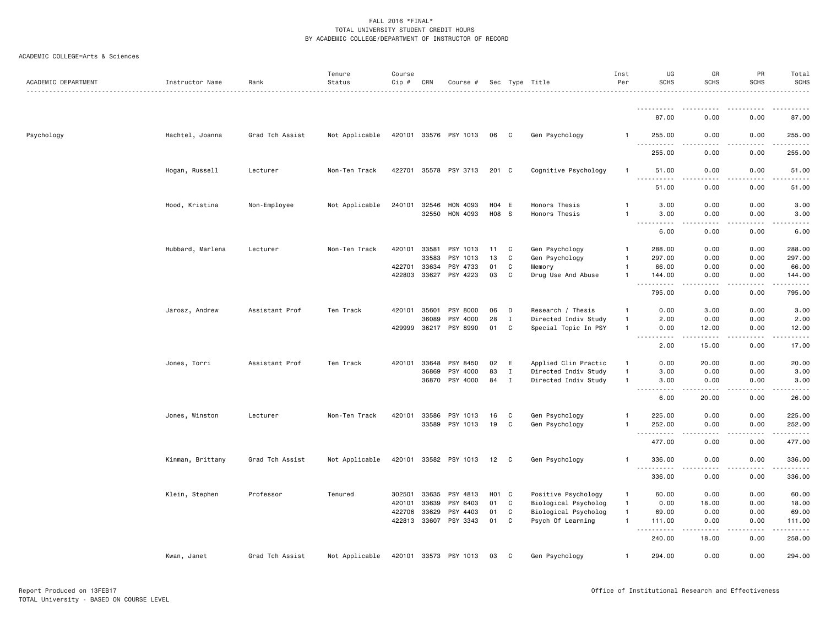| ACADEMIC DEPARTMENT | Instructor Name  | Rank            | Tenure<br>Status | Course<br>Cip # | CRN          | Course #              |                 |                            | Sec Type Title<br>.  | Inst<br>Per    | UG<br><b>SCHS</b>                             | GR<br><b>SCHS</b> | PR<br><b>SCHS</b>                   | Total<br><b>SCHS</b><br>. |
|---------------------|------------------|-----------------|------------------|-----------------|--------------|-----------------------|-----------------|----------------------------|----------------------|----------------|-----------------------------------------------|-------------------|-------------------------------------|---------------------------|
|                     |                  |                 |                  |                 |              |                       |                 |                            |                      |                |                                               |                   |                                     |                           |
|                     |                  |                 |                  |                 |              |                       |                 |                            |                      |                | 87.00                                         | 0.00              | 0.00                                | 87.00                     |
| Psychology          | Hachtel, Joanna  | Grad Tch Assist | Not Applicable   |                 |              | 420101 33576 PSY 1013 | 06              | C                          | Gen Psychology       |                | 255.00<br>$\sim$ $\sim$ .<br>.                | 0.00<br>- - - -   | 0.00<br>$- - - -$                   | 255.00<br><u>.</u>        |
|                     |                  |                 |                  |                 |              |                       |                 |                            |                      |                | 255.00                                        | 0.00              | 0.00                                | 255.00                    |
|                     | Hogan, Russell   | Lecturer        | Non-Ten Track    |                 |              | 422701 35578 PSY 3713 | 201 C           |                            | Cognitive Psychology | $\overline{1}$ | 51.00<br>$\sim$ $\sim$ $\sim$<br>.            | 0.00<br>$- - - -$ | 0.00<br>.                           | 51.00<br>.                |
|                     |                  |                 |                  |                 |              |                       |                 |                            |                      |                | 51.00                                         | 0.00              | 0.00                                | 51.00                     |
|                     | Hood, Kristina   | Non-Employee    | Not Applicable   | 240101          | 32546        | HON 4093              | H04 E           |                            | Honors Thesis        | $\overline{1}$ | 3.00                                          | 0.00              | 0.00                                | 3.00                      |
|                     |                  |                 |                  |                 | 32550        | HON 4093              | H08 S           |                            | Honors Thesis        | $\overline{1}$ | 3.00                                          | 0.00              | 0.00                                | 3.00                      |
|                     |                  |                 |                  |                 |              |                       |                 |                            |                      |                | 6.00                                          | 0.00              | 0.00                                | 6.00                      |
|                     | Hubbard, Marlena | Lecturer        | Non-Ten Track    | 420101          | 33581        | PSY 1013              | 11              | C                          | Gen Psychology       | -1             | 288.00                                        | 0.00              | 0.00                                | 288.00                    |
|                     |                  |                 |                  |                 | 33583        | PSY 1013              | 13              | C                          | Gen Psychology       | $\overline{1}$ | 297.00                                        | 0.00              | 0.00                                | 297.00                    |
|                     |                  |                 |                  | 422701          | 33634        | PSY 4733              | 01              | C                          | Memory               | $\mathbf{1}$   | 66.00                                         | 0.00              | 0.00                                | 66.00                     |
|                     |                  |                 |                  | 422803          | 33627        | PSY 4223              | 03              | C                          | Drug Use And Abuse   | $\mathbf{1}$   | 144.00<br>.                                   | 0.00<br>.         | 0.00<br>$- - - -$                   | 144.00<br>.               |
|                     |                  |                 |                  |                 |              |                       |                 |                            |                      |                | 795.00                                        | 0.00              | 0.00                                | 795.00                    |
|                     | Jarosz, Andrew   | Assistant Prof  | Ten Track        | 420101          | 35601        | PSY 8000              | 06              | D                          | Research / Thesis    | $\overline{1}$ | 0.00                                          | 3.00              | 0.00                                | 3.00                      |
|                     |                  |                 |                  |                 | 36089        | PSY 4000              | 28              | $\mathbf{I}$               | Directed Indiv Study | $\mathbf{1}$   | 2.00                                          | 0.00              | 0.00                                | 2.00                      |
|                     |                  |                 |                  | 429999          |              | 36217 PSY 8990        | 01              | C                          | Special Topic In PSY | $\overline{1}$ | 0.00<br>$\sim$ $\sim$ $\sim$<br>المالما ماليا | 12.00<br>-----    | 0.00<br>.                           | 12.00<br>.                |
|                     |                  |                 |                  |                 |              |                       |                 |                            |                      |                | 2.00                                          | 15.00             | 0.00                                | 17.00                     |
|                     | Jones, Torri     | Assistant Prof  | Ten Track        | 420101          | 33648        | PSY 8450              | 02              | E                          | Applied Clin Practic | $\overline{1}$ | 0.00                                          | 20.00             | 0.00                                | 20.00                     |
|                     |                  |                 |                  |                 | 36869        | PSY 4000              | 83              | $\mathbf I$                | Directed Indiv Study | $\overline{1}$ | 3.00                                          | 0.00              | 0.00                                | 3.00                      |
|                     |                  |                 |                  |                 | 36870        | PSY 4000              | 84              | $\mathbf I$                | Directed Indiv Study | $\overline{1}$ | 3.00<br>$\frac{1}{2}$<br>-----                | 0.00<br>-----     | 0.00<br>.                           | 3.00<br>.                 |
|                     |                  |                 |                  |                 |              |                       |                 |                            |                      |                | 6.00                                          | 20.00             | 0.00                                | 26.00                     |
|                     | Jones, Winston   | Lecturer        | Non-Ten Track    | 420101          | 33586        | PSY 1013              | 16              | C.                         | Gen Psychology       |                | 225.00                                        | 0.00              | 0.00                                | 225.00                    |
|                     |                  |                 |                  |                 | 33589        | PSY 1013              | 19              | C                          | Gen Psychology       | -1             | 252.00                                        | 0.00<br>.         | 0.00<br>$\sim$ $\sim$ $\sim$ $\sim$ | 252.00                    |
|                     |                  |                 |                  |                 |              |                       |                 |                            |                      |                | ----------<br>477.00                          | 0.00              | 0.00                                | 477.00                    |
|                     | Kinman, Brittany | Grad Tch Assist | Not Applicable   |                 |              | 420101 33582 PSY 1013 | 12              | $\overline{\phantom{a}}$ C | Gen Psychology       | -1             | 336.00                                        | 0.00              | 0.00                                | 336.00<br>.               |
|                     |                  |                 |                  |                 |              |                       |                 |                            |                      |                | 336.00                                        | 0.00              | 0.00                                | 336.00                    |
|                     | Klein, Stephen   | Professor       | Tenured          | 302501          | 33635        | PSY 4813              | HO <sub>1</sub> | <b>C</b>                   | Positive Psychology  | $\mathbf{1}$   | 60.00                                         | 0.00              | 0.00                                | 60.00                     |
|                     |                  |                 |                  | 420101          | 33639        | PSY 6403              | 01              | C                          | Biological Psycholog | $\overline{1}$ | 0.00                                          | 18.00             | 0.00                                | 18.00                     |
|                     |                  |                 |                  | 422706          | 33629        | PSY 4403              | 01              | C                          | Biological Psycholog | $\overline{1}$ | 69.00                                         | 0.00              | 0.00                                | 69.00                     |
|                     |                  |                 |                  |                 | 422813 33607 | PSY 3343              | 01              | C                          | Psych Of Learning    | $\mathbf{1}$   | 111.00<br>$\sim$ $\sim$<br>.                  | 0.00              | 0.00<br>$- - - -$                   | 111.00<br>.               |
|                     |                  |                 |                  |                 |              |                       |                 |                            |                      |                | 240.00                                        | 18.00             | 0.00                                | 258.00                    |
|                     | Kwan, Janet      | Grad Tch Assist | Not Applicable   |                 | 420101 33573 | PSY 1013              | 03              | C                          | Gen Psychology       | $\mathbf{1}$   | 294.00                                        | 0.00              | 0.00                                | 294.00                    |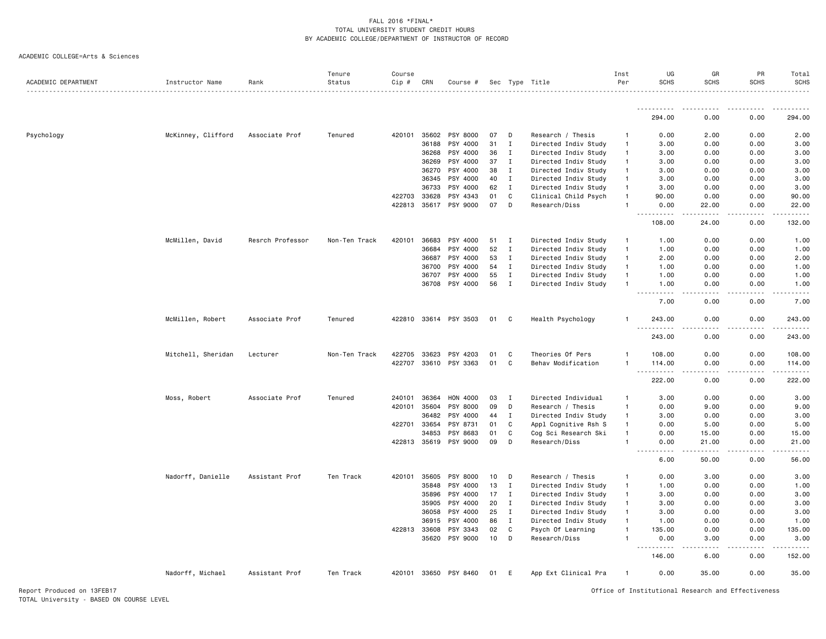| ACADEMIC DEPARTMENT | Instructor Name    | Rank             | Tenure<br>Status | Course<br>Cip # | CRN   | Course #              |    |              | Sec Type Title       | Inst<br>Per    | UG<br><b>SCHS</b>                                                                                                                                  | GR<br><b>SCHS</b>                   | PR<br><b>SCHS</b>            | Total<br><b>SCHS</b>                                                                                                                                                                                                                                                                                                                                                                                                                                                                           |
|---------------------|--------------------|------------------|------------------|-----------------|-------|-----------------------|----|--------------|----------------------|----------------|----------------------------------------------------------------------------------------------------------------------------------------------------|-------------------------------------|------------------------------|------------------------------------------------------------------------------------------------------------------------------------------------------------------------------------------------------------------------------------------------------------------------------------------------------------------------------------------------------------------------------------------------------------------------------------------------------------------------------------------------|
|                     |                    |                  |                  |                 |       |                       |    |              |                      |                | -----------                                                                                                                                        |                                     | .                            |                                                                                                                                                                                                                                                                                                                                                                                                                                                                                                |
|                     |                    |                  |                  |                 |       |                       |    |              |                      |                | 294.00                                                                                                                                             | 0.00                                | 0.00                         | 294.00                                                                                                                                                                                                                                                                                                                                                                                                                                                                                         |
| Psychology          | McKinney, Clifford | Associate Prof   | Tenured          | 420101          | 35602 | PSY 8000              | 07 | D            | Research / Thesis    | $\overline{1}$ | 0.00                                                                                                                                               | 2.00                                | 0.00                         | 2.00                                                                                                                                                                                                                                                                                                                                                                                                                                                                                           |
|                     |                    |                  |                  |                 | 36188 | PSY 4000              | 31 | $\mathbf I$  | Directed Indiv Study | $\mathbf{1}$   | 3.00                                                                                                                                               | 0.00                                | 0.00                         | 3.00                                                                                                                                                                                                                                                                                                                                                                                                                                                                                           |
|                     |                    |                  |                  |                 | 36268 | PSY 4000              | 36 | Ι.           | Directed Indiv Study | $\overline{1}$ | 3.00                                                                                                                                               | 0.00                                | 0.00                         | 3.00                                                                                                                                                                                                                                                                                                                                                                                                                                                                                           |
|                     |                    |                  |                  |                 | 36269 | PSY 4000              | 37 | $\mathbf I$  | Directed Indiv Study | $\overline{1}$ | 3.00                                                                                                                                               | 0.00                                | 0.00                         | 3.00                                                                                                                                                                                                                                                                                                                                                                                                                                                                                           |
|                     |                    |                  |                  |                 | 36270 | PSY 4000              | 38 | $\mathbf I$  | Directed Indiv Study | $\mathbf{1}$   | 3.00                                                                                                                                               | 0.00                                | 0.00                         | 3.00                                                                                                                                                                                                                                                                                                                                                                                                                                                                                           |
|                     |                    |                  |                  |                 | 36345 | PSY 4000              | 40 | $\mathbf I$  | Directed Indiv Study | $\overline{1}$ | 3.00                                                                                                                                               | 0.00                                | 0.00                         | 3.00                                                                                                                                                                                                                                                                                                                                                                                                                                                                                           |
|                     |                    |                  |                  |                 | 36733 | PSY 4000              | 62 | $\mathbf I$  | Directed Indiv Study | $\overline{1}$ | 3.00                                                                                                                                               | 0.00                                | 0.00                         | 3.00                                                                                                                                                                                                                                                                                                                                                                                                                                                                                           |
|                     |                    |                  |                  | 422703          | 33628 | PSY 4343              | 01 | $\mathtt{C}$ | Clinical Child Psych | $\overline{1}$ | 90.00                                                                                                                                              | 0.00                                | 0.00                         | 90.00                                                                                                                                                                                                                                                                                                                                                                                                                                                                                          |
|                     |                    |                  |                  | 422813          | 35617 | PSY 9000              | 07 | D            | Research/Diss        | $\overline{1}$ | 0.00                                                                                                                                               | 22.00                               | 0.00                         | 22.00<br>.                                                                                                                                                                                                                                                                                                                                                                                                                                                                                     |
|                     |                    |                  |                  |                 |       |                       |    |              |                      |                | 108.00                                                                                                                                             | 24.00                               | 0.00                         | 132.00                                                                                                                                                                                                                                                                                                                                                                                                                                                                                         |
|                     | McMillen, David    | Resrch Professor | Non-Ten Track    | 420101          | 36683 | PSY 4000              | 51 | Ι.           | Directed Indiv Study | $\mathbf{1}$   | 1.00                                                                                                                                               | 0.00                                | 0.00                         | 1.00                                                                                                                                                                                                                                                                                                                                                                                                                                                                                           |
|                     |                    |                  |                  |                 | 36684 | PSY 4000              | 52 | Ι.           | Directed Indiv Study | $\overline{1}$ | 1.00                                                                                                                                               | 0.00                                | 0.00                         | 1.00                                                                                                                                                                                                                                                                                                                                                                                                                                                                                           |
|                     |                    |                  |                  |                 | 36687 | PSY 4000              | 53 | $\mathbf I$  | Directed Indiv Study | $\overline{1}$ | 2.00                                                                                                                                               | 0.00                                | 0.00                         | 2.00                                                                                                                                                                                                                                                                                                                                                                                                                                                                                           |
|                     |                    |                  |                  |                 | 36700 | PSY 4000              | 54 | $\mathbf I$  | Directed Indiv Study | $\mathbf{1}$   | 1.00                                                                                                                                               | 0.00                                | 0.00                         | 1.00                                                                                                                                                                                                                                                                                                                                                                                                                                                                                           |
|                     |                    |                  |                  |                 | 36707 | PSY 4000              | 55 | $\mathbf I$  | Directed Indiv Study | $\overline{1}$ | 1.00                                                                                                                                               | 0.00                                | 0.00                         | 1.00                                                                                                                                                                                                                                                                                                                                                                                                                                                                                           |
|                     |                    |                  |                  |                 |       | 36708 PSY 4000        | 56 | $\mathbf{I}$ | Directed Indiv Study |                | 1.00<br>.                                                                                                                                          | 0.00<br>$\sim$ $\sim$ $\sim$ $\sim$ | 0.00<br>$\sim$ $\sim$ $\sim$ | 1.00<br>.                                                                                                                                                                                                                                                                                                                                                                                                                                                                                      |
|                     |                    |                  |                  |                 |       |                       |    |              |                      |                | 7.00                                                                                                                                               | 0.00                                | 0.00                         | 7.00                                                                                                                                                                                                                                                                                                                                                                                                                                                                                           |
|                     | McMillen, Robert   | Associate Prof   | Tenured          |                 |       | 422810 33614 PSY 3503 | 01 | C            | Health Psychology    | -1             | 243.00<br>$- - -$<br>. <b>.</b>                                                                                                                    | 0.00<br>.                           | 0.00<br>.                    | 243.00<br>.                                                                                                                                                                                                                                                                                                                                                                                                                                                                                    |
|                     |                    |                  |                  |                 |       |                       |    |              |                      |                | 243.00                                                                                                                                             | 0.00                                | 0.00                         | 243.00                                                                                                                                                                                                                                                                                                                                                                                                                                                                                         |
|                     | Mitchell, Sheridan | Lecturer         | Non-Ten Track    | 422705          | 33623 | PSY 4203              | 01 | C            | Theories Of Pers     | $\mathbf{1}$   | 108.00                                                                                                                                             | 0.00                                | 0.00                         | 108.00                                                                                                                                                                                                                                                                                                                                                                                                                                                                                         |
|                     |                    |                  |                  | 422707          | 33610 | PSY 3363              | 01 | C            | Behav Modification   |                | 114.00                                                                                                                                             | 0.00                                | 0.00                         | 114.00                                                                                                                                                                                                                                                                                                                                                                                                                                                                                         |
|                     |                    |                  |                  |                 |       |                       |    |              |                      |                | $\sim$ $\sim$ $\sim$ $\sim$                                                                                                                        |                                     | .                            | ------                                                                                                                                                                                                                                                                                                                                                                                                                                                                                         |
|                     |                    |                  |                  |                 |       |                       |    |              |                      |                | 222.00                                                                                                                                             | 0.00                                | 0.00                         | 222.00                                                                                                                                                                                                                                                                                                                                                                                                                                                                                         |
|                     | Moss, Robert       | Associate Prof   | Tenured          | 240101          | 36364 | HON 4000              | 03 | Ι.           | Directed Individual  | $\mathbf{1}$   | 3.00                                                                                                                                               | 0.00                                | 0.00                         | 3.00                                                                                                                                                                                                                                                                                                                                                                                                                                                                                           |
|                     |                    |                  |                  | 420101          | 35604 | PSY 8000              | 09 | D            | Research / Thesis    | $\overline{1}$ | 0.00                                                                                                                                               | 9.00                                | 0.00                         | 9.00                                                                                                                                                                                                                                                                                                                                                                                                                                                                                           |
|                     |                    |                  |                  |                 | 36482 | PSY 4000              | 44 | $\mathbf I$  | Directed Indiv Study | $\mathbf{1}$   | 3.00                                                                                                                                               | 0.00                                | 0.00                         | 3.00                                                                                                                                                                                                                                                                                                                                                                                                                                                                                           |
|                     |                    |                  |                  | 422701          | 33654 | PSY 8731              | 01 | C            | Appl Cognitive Rsh S | $\mathbf{1}$   | 0.00                                                                                                                                               | 5.00                                | 0.00                         | 5.00                                                                                                                                                                                                                                                                                                                                                                                                                                                                                           |
|                     |                    |                  |                  |                 | 34853 | PSY 8683              | 01 | $\mathtt{C}$ | Cog Sci Research Ski | $\overline{1}$ | 0.00                                                                                                                                               | 15.00                               | 0.00                         | 15.00                                                                                                                                                                                                                                                                                                                                                                                                                                                                                          |
|                     |                    |                  |                  | 422813          | 35619 | PSY 9000              | 09 | D            | Research/Diss        | $\overline{1}$ | 0.00<br>$\omega$ is a<br>$\frac{1}{2} \left( \frac{1}{2} \right) \left( \frac{1}{2} \right) \left( \frac{1}{2} \right) \left( \frac{1}{2} \right)$ | 21.00<br>$  -$                      | 0.00<br>$- - - -$            | 21.00<br>$\frac{1}{2}$                                                                                                                                                                                                                                                                                                                                                                                                                                                                         |
|                     |                    |                  |                  |                 |       |                       |    |              |                      |                | 6.00                                                                                                                                               | 50.00                               | 0.00                         | 56.00                                                                                                                                                                                                                                                                                                                                                                                                                                                                                          |
|                     | Nadorff, Danielle  | Assistant Prof   | Ten Track        | 420101          | 35605 | PSY 8000              | 10 | D            | Research / Thesis    | -1             | 0.00                                                                                                                                               | 3.00                                | 0.00                         | 3.00                                                                                                                                                                                                                                                                                                                                                                                                                                                                                           |
|                     |                    |                  |                  |                 | 35848 | PSY 4000              | 13 | Ι.           | Directed Indiv Study | $\mathbf{1}$   | 1.00                                                                                                                                               | 0.00                                | 0.00                         | 1.00                                                                                                                                                                                                                                                                                                                                                                                                                                                                                           |
|                     |                    |                  |                  |                 | 35896 | PSY 4000              | 17 | Ι.           | Directed Indiv Study | $\mathbf{1}$   | 3.00                                                                                                                                               | 0.00                                | 0.00                         | 3.00                                                                                                                                                                                                                                                                                                                                                                                                                                                                                           |
|                     |                    |                  |                  |                 | 35905 | PSY 4000              | 20 | Ι.           | Directed Indiv Study | $\mathbf{1}$   | 3.00                                                                                                                                               | 0.00                                | 0.00                         | 3.00                                                                                                                                                                                                                                                                                                                                                                                                                                                                                           |
|                     |                    |                  |                  |                 | 36058 | PSY 4000              | 25 | $\mathbf I$  | Directed Indiv Study | $\mathbf{1}$   | 3.00                                                                                                                                               | 0.00                                | 0.00                         | 3.00                                                                                                                                                                                                                                                                                                                                                                                                                                                                                           |
|                     |                    |                  |                  |                 | 36915 | PSY 4000              | 86 | $\mathbf I$  | Directed Indiv Study | $\mathbf{1}$   | 1.00                                                                                                                                               | 0.00                                | 0.00                         | 1.00                                                                                                                                                                                                                                                                                                                                                                                                                                                                                           |
|                     |                    |                  |                  | 422813          | 33608 | PSY 3343              | 02 | C            | Psych Of Learning    | $\overline{1}$ | 135.00                                                                                                                                             | 0.00                                | 0.00                         | 135.00                                                                                                                                                                                                                                                                                                                                                                                                                                                                                         |
|                     |                    |                  |                  |                 | 35620 | PSY 9000              | 10 | D            | Research/Diss        | $\overline{1}$ | 0.00<br>$  -$<br>.                                                                                                                                 | 3.00<br>$\frac{1}{2}$               | 0.00<br>$- - - -$            | 3.00<br>$\begin{array}{cccccccccccccc} \multicolumn{2}{c}{} & \multicolumn{2}{c}{} & \multicolumn{2}{c}{} & \multicolumn{2}{c}{} & \multicolumn{2}{c}{} & \multicolumn{2}{c}{} & \multicolumn{2}{c}{} & \multicolumn{2}{c}{} & \multicolumn{2}{c}{} & \multicolumn{2}{c}{} & \multicolumn{2}{c}{} & \multicolumn{2}{c}{} & \multicolumn{2}{c}{} & \multicolumn{2}{c}{} & \multicolumn{2}{c}{} & \multicolumn{2}{c}{} & \multicolumn{2}{c}{} & \multicolumn{2}{c}{} & \multicolumn{2}{c}{} & \$ |
|                     |                    |                  |                  |                 |       |                       |    |              |                      |                | 146.00                                                                                                                                             | 6.00                                | 0.00                         | 152.00                                                                                                                                                                                                                                                                                                                                                                                                                                                                                         |
|                     | Nadorff, Michael   | Assistant Prof   | Ten Track        | 420101          | 33650 | PSY 8460              | 01 | E            | App Ext Clinical Pra | $\mathbf{1}$   | 0.00                                                                                                                                               | 35.00                               | 0.00                         | 35.00                                                                                                                                                                                                                                                                                                                                                                                                                                                                                          |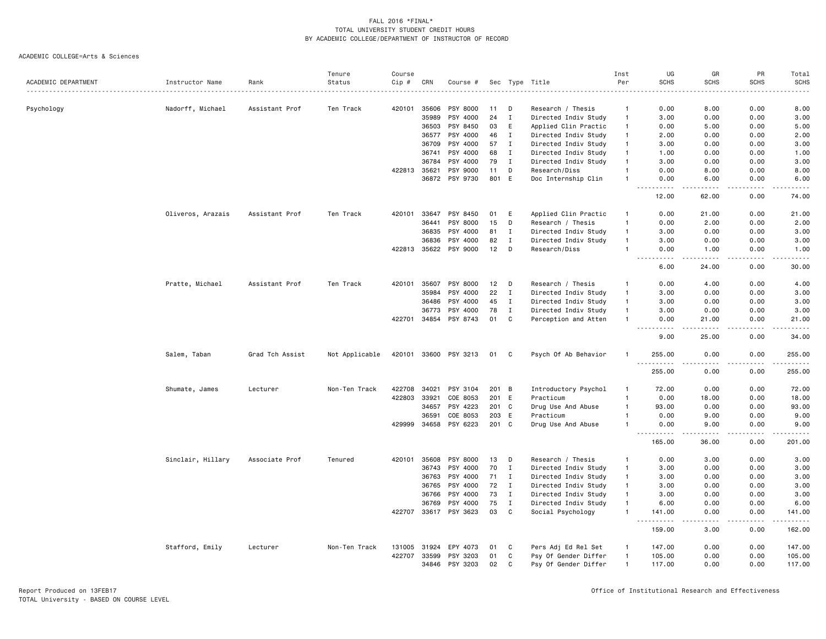|                     |                   |                 | Tenure         | Course       |                |                      |             |                   |                                              | Inst                           | UG                   | GR                    | PR                | Total                  |
|---------------------|-------------------|-----------------|----------------|--------------|----------------|----------------------|-------------|-------------------|----------------------------------------------|--------------------------------|----------------------|-----------------------|-------------------|------------------------|
| ACADEMIC DEPARTMENT | Instructor Name   | Rank            | Status         | Cip #        | CRN            | Course #             |             |                   | Sec Type Title                               | Per                            | <b>SCHS</b>          | <b>SCHS</b>           | <b>SCHS</b>       | <b>SCHS</b>            |
|                     |                   |                 |                |              |                |                      |             |                   |                                              |                                |                      |                       |                   |                        |
| Psychology          | Nadorff, Michael  | Assistant Prof  | Ten Track      | 420101       | 35606<br>35989 | PSY 8000<br>PSY 4000 | 11<br>24    | D<br>$\mathbf{I}$ | Research / Thesis                            | $\mathbf{1}$<br>$\overline{1}$ | 0.00                 | 8.00<br>0.00          | 0.00              | 8.00<br>3.00           |
|                     |                   |                 |                |              | 36503          | PSY 8450             | 03          | E                 | Directed Indiv Study                         | $\overline{1}$                 | 3.00                 | 5.00                  | 0.00<br>0.00      |                        |
|                     |                   |                 |                |              | 36577          | PSY 4000             | 46          | $\mathbf I$       | Applied Clin Practic<br>Directed Indiv Study | $\mathbf{1}$                   | 0.00                 | 0.00                  | 0.00              | 5.00<br>2.00           |
|                     |                   |                 |                |              | 36709          |                      |             | $\mathbf I$       |                                              | $\overline{1}$                 | 2.00                 |                       |                   |                        |
|                     |                   |                 |                |              | 36741          | PSY 4000<br>PSY 4000 | 57<br>68    | $\mathbf I$       | Directed Indiv Study<br>Directed Indiv Study | $\overline{1}$                 | 3.00<br>1.00         | 0.00<br>0.00          | 0.00<br>0.00      | 3.00<br>1.00           |
|                     |                   |                 |                |              | 36784          | PSY 4000             | 79          | $\mathbf{I}$      | Directed Indiv Study                         | $\mathbf{1}$                   | 3.00                 | 0.00                  | 0.00              | 3.00                   |
|                     |                   |                 |                |              |                |                      |             |                   |                                              |                                |                      |                       |                   |                        |
|                     |                   |                 |                | 422813       | 35621<br>36872 | PSY 9000<br>PSY 9730 | 11<br>801 E | D                 | Research/Diss<br>Doc Internship Clin         | $\overline{1}$                 | 0.00<br>0.00         | 8.00<br>6.00          | 0.00<br>0.00      | 8.00<br>6.00           |
|                     |                   |                 |                |              |                |                      |             |                   |                                              |                                | .<br>12.00           | .<br>62.00            | .<br>0.00         | $\frac{1}{2}$<br>74.00 |
|                     |                   |                 |                |              |                |                      |             |                   |                                              |                                |                      |                       |                   |                        |
|                     | Oliveros, Arazais | Assistant Prof  | Ten Track      | 420101       | 33647          | PSY 8450             | 01          | E                 | Applied Clin Practic                         | $\mathbf{1}$                   | 0.00                 | 21.00                 | 0.00              | 21.00                  |
|                     |                   |                 |                |              | 36441          | PSY 8000             | 15          | D                 | Research / Thesis                            | $\overline{1}$                 | 0.00                 | 2.00                  | 0.00              | 2.00                   |
|                     |                   |                 |                |              | 36835          | PSY 4000             | 81          | I                 | Directed Indiv Study                         | $\overline{1}$                 | 3.00                 | 0.00                  | 0.00              | 3.00                   |
|                     |                   |                 |                |              | 36836          | PSY 4000             | 82          | $\mathbf I$       | Directed Indiv Study                         | $\overline{1}$                 | 3.00                 | 0.00                  | 0.00              | 3.00                   |
|                     |                   |                 |                | 422813       |                | 35622 PSY 9000       | 12          | D                 | Research/Diss                                | $\overline{1}$                 | 0.00<br>$ -$<br>.    | 1.00<br>$\frac{1}{2}$ | 0.00<br>.         | 1.00<br>. <u>.</u> .   |
|                     |                   |                 |                |              |                |                      |             |                   |                                              |                                | 6.00                 | 24.00                 | 0.00              | 30.00                  |
|                     | Pratte, Michael   | Assistant Prof  | Ten Track      | 420101       | 35607          | PSY 8000             | 12          | D                 | Research / Thesis                            | $\mathbf{1}$                   | 0.00                 | 4.00                  | 0.00              | 4.00                   |
|                     |                   |                 |                |              | 35984          | PSY 4000             | 22          | $\mathbf I$       | Directed Indiv Study                         | $\overline{1}$                 | 3.00                 | 0.00                  | 0.00              | 3.00                   |
|                     |                   |                 |                |              | 36486          | PSY 4000             | 45          | $\mathbf{I}$      | Directed Indiv Study                         | $\mathbf{1}$                   | 3.00                 | 0.00                  | 0.00              | 3.00                   |
|                     |                   |                 |                |              | 36773          | PSY 4000             | 78          | I                 | Directed Indiv Study                         | $\overline{1}$                 | 3.00                 | 0.00                  | 0.00              | 3.00                   |
|                     |                   |                 |                | 422701       | 34854          | PSY 8743             | 01          | C                 | Perception and Atten                         | $\overline{1}$                 | 0.00                 | 21.00                 | 0.00              | 21.00                  |
|                     |                   |                 |                |              |                |                      |             |                   |                                              |                                | ----<br>9.00         | .<br>25.00            | .<br>0.00         | .<br>34.00             |
|                     | Salem, Taban      | Grad Tch Assist | Not Applicable | 420101 33600 |                | PSY 3213             | 01          | - C               | Psych Of Ab Behavior                         | $\mathbf{1}$                   | 255.00               | 0.00                  | 0.00              | 255.00                 |
|                     |                   |                 |                |              |                |                      |             |                   |                                              |                                | .<br>255.00          | .<br>0.00             | .<br>0.00         | .<br>255.00            |
|                     | Shumate, James    | Lecturer        | Non-Ten Track  | 422708       | 34021          | PSY 3104             | 201 B       |                   | Introductory Psychol                         | $\mathbf{1}$                   | 72.00                | 0.00                  | 0.00              | 72.00                  |
|                     |                   |                 |                | 422803       | 33921          | COE 8053             | 201 E       |                   | Practicum                                    | $\overline{1}$                 | 0.00                 | 18.00                 | 0.00              | 18.00                  |
|                     |                   |                 |                |              | 34657          | PSY 4223             | 201 C       |                   | Drug Use And Abuse                           | $\overline{1}$                 | 93.00                | 0.00                  | 0.00              | 93.00                  |
|                     |                   |                 |                |              | 36591          | COE 8053             | 203 E       |                   | Practicum                                    | -1                             | 0.00                 | 9.00                  | 0.00              | 9.00                   |
|                     |                   |                 |                | 429999       | 34658          | PSY 6223             | 201 C       |                   | Drug Use And Abuse                           | -1                             | 0.00                 | 9.00                  | 0.00              | 9.00                   |
|                     |                   |                 |                |              |                |                      |             |                   |                                              |                                | $- - - -$<br>165.00  | $- - - -$<br>36.00    | $- - - -$<br>0.00 | .<br>201.00            |
|                     | Sinclair, Hillary | Associate Prof  | Tenured        | 420101       | 35608          | PSY 8000             | 13          | D                 | Research / Thesis                            | -1                             | 0.00                 | 3.00                  | 0.00              | 3.00                   |
|                     |                   |                 |                |              | 36743          | PSY 4000             | 70          | $\mathbf I$       | Directed Indiv Study                         | $\overline{1}$                 | 3.00                 | 0.00                  | 0.00              | 3.00                   |
|                     |                   |                 |                |              | 36763          | PSY 4000             | 71          | Ι                 | Directed Indiv Study                         | $\overline{1}$                 | 3.00                 | 0.00                  | 0.00              | 3.00                   |
|                     |                   |                 |                |              | 36765          | PSY 4000             | 72          | $\mathbf{I}$      | Directed Indiv Study                         | $\overline{1}$                 | 3.00                 | 0.00                  | 0.00              | 3.00                   |
|                     |                   |                 |                |              | 36766          | PSY 4000             | 73          | $\mathbf{I}$      | Directed Indiv Study                         | $\overline{1}$                 | 3.00                 | 0.00                  | 0.00              | 3.00                   |
|                     |                   |                 |                |              | 36769          | PSY 4000             | 75          | $\mathbf{I}$      | Directed Indiv Study                         | $\mathbf{1}$                   | 6.00                 | 0.00                  | 0.00              | 6.00                   |
|                     |                   |                 |                | 422707       |                | 33617 PSY 3623       | 03          | C                 | Social Psychology                            | $\mathbf{1}$                   | 141.00               | 0.00                  | 0.00              | 141.00                 |
|                     |                   |                 |                |              |                |                      |             |                   |                                              |                                | . <b>.</b><br>159.00 | $\frac{1}{2}$<br>3.00 | .<br>0.00         | .<br>162.00            |
|                     | Stafford, Emily   | Lecturer        | Non-Ten Track  | 131005       | 31924          | EPY 4073             | 01          | C                 | Pers Adj Ed Rel Set                          | $\overline{1}$                 | 147.00               | 0.00                  | 0.00              | 147.00                 |
|                     |                   |                 |                | 422707       | 33599          | PSY 3203             | 01          | C                 | Psy Of Gender Differ                         | $\overline{1}$                 | 105.00               | 0.00                  | 0.00              | 105.00                 |
|                     |                   |                 |                |              | 34846          | PSY 3203             | 02          | $\mathbf{C}$      | Psy Of Gender Differ                         | $\overline{1}$                 | 117.00               | 0.00                  | 0.00              | 117.00                 |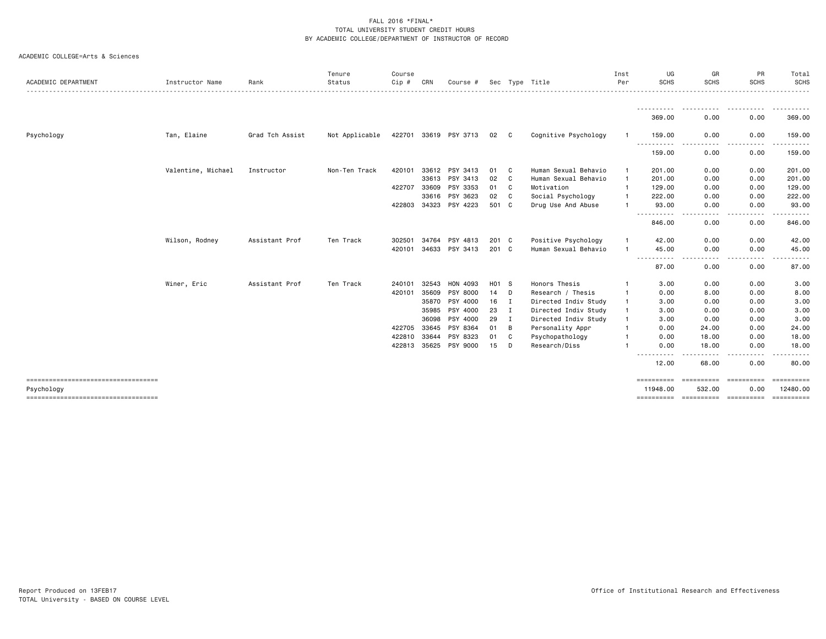| ACADEMIC DEPARTMENT                                | Instructor Name    | Rank            | Tenure<br>Status | Course<br>Cip # | CRN   | Course #              | Sec   |              | Tvpe Title           | Inst<br>Per  | UG<br><b>SCHS</b>               | GR<br><b>SCHS</b>    | PR<br><b>SCHS</b>        | Total<br>SCHS                |
|----------------------------------------------------|--------------------|-----------------|------------------|-----------------|-------|-----------------------|-------|--------------|----------------------|--------------|---------------------------------|----------------------|--------------------------|------------------------------|
|                                                    |                    |                 |                  |                 |       |                       |       |              |                      |              | - - - - - - - - - - -<br>369.00 | $- - -$<br>0.00      | 0.00                     | 369.00                       |
| Psychology                                         | Tan, Elaine        | Grad Tch Assist | Not Applicable   |                 |       | 422701 33619 PSY 3713 | 02    | C.           | Cognitive Psychology |              | 159.00<br>.                     | 0.00<br>- - - -      | 0.00                     | 159.00                       |
|                                                    |                    |                 |                  |                 |       |                       |       |              |                      |              | ----<br>159.00                  | 0.00                 | .<br>0.00                | .<br>159.00                  |
|                                                    | Valentine, Michael | Instructor      | Non-Ten Track    | 420101          | 33612 | PSY 3413              | 01    | C.           | Human Sexual Behavio | $\mathbf{1}$ | 201.00                          | 0.00                 | 0.00                     | 201.00                       |
|                                                    |                    |                 |                  |                 | 33613 | PSY 3413              | 02    | C.           | Human Sexual Behavio | -1           | 201.00                          | 0.00                 | 0.00                     | 201.00                       |
|                                                    |                    |                 |                  | 422707          | 33609 | PSY 3353              | 01    | C.           | Motivation           | $\mathbf{1}$ | 129.00                          | 0.00                 | 0.00                     | 129.00                       |
|                                                    |                    |                 |                  |                 | 33616 | PSY 3623              | 02    | C            | Social Psychology    | -1           | 222.00                          | 0.00                 | 0.00                     | 222.00                       |
|                                                    |                    |                 |                  | 422803          | 34323 | PSY 4223              | 501 C |              | Drug Use And Abuse   |              | 93.00                           | 0.00<br>----         | 0.00<br>.                | 93.00<br>.                   |
|                                                    |                    |                 |                  |                 |       |                       |       |              |                      |              | 846.00                          | 0.00                 | 0.00                     | 846.00                       |
|                                                    | Wilson, Rodney     | Assistant Prof  | Ten Track        | 302501          | 34764 | PSY 4813              | 201 C |              | Positive Psychology  |              | 42.00                           | 0.00                 | 0.00                     | 42.00                        |
|                                                    |                    |                 |                  | 420101          |       | 34633 PSY 3413        | 201 C |              | Human Sexual Behavio | $\mathbf{1}$ | 45.00                           | 0.00                 | 0.00                     | 45.00                        |
|                                                    |                    |                 |                  |                 |       |                       |       |              |                      |              | .<br>87.00                      | ----<br>0.00         | .<br>0.00                | 87.00                        |
|                                                    | Winer, Eric        | Assistant Prof  | Ten Track        | 240101          | 32543 | HON 4093              | H01 S |              | Honors Thesis        |              | 3.00                            | 0.00                 | 0.00                     | 3.00                         |
|                                                    |                    |                 |                  | 420101          | 35609 | PSY 8000              | 14    | D            | Research / Thesis    | $\mathbf{1}$ | 0.00                            | 8.00                 | 0.00                     | 8.00                         |
|                                                    |                    |                 |                  |                 | 35870 | PSY 4000              | 16    | I            | Directed Indiv Study |              | 3.00                            | 0.00                 | 0.00                     | 3.00                         |
|                                                    |                    |                 |                  |                 | 35985 | PSY 4000              | 23    | $\mathbf{I}$ | Directed Indiv Study | $\mathbf{1}$ | 3.00                            | 0.00                 | 0.00                     | 3.00                         |
|                                                    |                    |                 |                  |                 | 36098 | PSY 4000              | 29    | I            | Directed Indiv Study | -1           | 3.00                            | 0.00                 | 0.00                     | 3.00                         |
|                                                    |                    |                 |                  | 422705 33645    |       | PSY 8364              | 01    | В            | Personality Appr     |              | 0.00                            | 24.00                | 0.00                     | 24.00                        |
|                                                    |                    |                 |                  | 422810          | 33644 | PSY 8323              | 01    | C            | Psychopathology      |              | 0.00                            | 18.00                | 0.00                     | 18.00                        |
|                                                    |                    |                 |                  | 422813 35625    |       | PSY 9000              | 15    | D            | Research/Diss        |              | 0.00<br>-----<br>-----          | 18.00                | 0.00<br>.                | 18.00                        |
|                                                    |                    |                 |                  |                 |       |                       |       |              |                      |              | 12.00                           | 68.00                | 0.00                     | 80.00                        |
| ====================================<br>Psychology |                    |                 |                  |                 |       |                       |       |              |                      |              | ==========<br>11948,00          | ==========<br>532.00 | <b>CONSESSER</b><br>0.00 | <b>SERRESERE</b><br>12480.00 |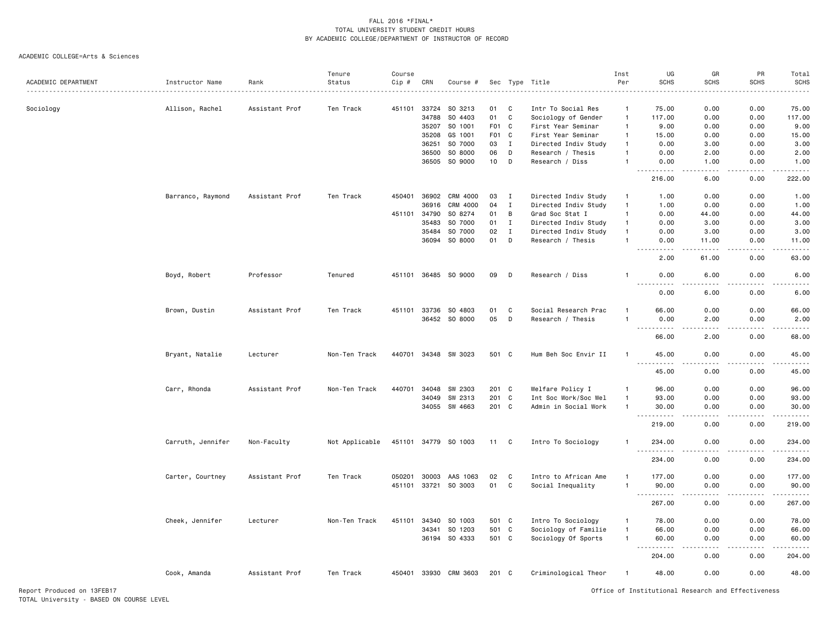#### ACADEMIC COLLEGE=Arts & Sciences

|                     |                   |                | Tenure         | Course       |       |                       |                  |              |                      | Inst           | UG                                     | GR                    | PR          | Total                                                                                                                                                |
|---------------------|-------------------|----------------|----------------|--------------|-------|-----------------------|------------------|--------------|----------------------|----------------|----------------------------------------|-----------------------|-------------|------------------------------------------------------------------------------------------------------------------------------------------------------|
| ACADEMIC DEPARTMENT | Instructor Name   | Rank           | Status         | Cip #        | CRN   | Course #              |                  |              | Sec Type Title       | Per            | <b>SCHS</b>                            | <b>SCHS</b>           | <b>SCHS</b> | <b>SCHS</b><br>$\frac{1}{2}$                                                                                                                         |
|                     |                   |                |                |              |       |                       |                  |              |                      |                |                                        |                       |             |                                                                                                                                                      |
| Sociology           | Allison, Rachel   | Assistant Prof | Ten Track      | 451101       | 33724 | SO 3213               | 01               | C            | Intr To Social Res   | $\overline{1}$ | 75.00                                  | 0.00                  | 0.00        | 75.00                                                                                                                                                |
|                     |                   |                |                |              | 34788 | SO 4403               | 01               | $\mathbf c$  | Sociology of Gender  | $\overline{1}$ | 117.00                                 | 0.00                  | 0.00        | 117.00                                                                                                                                               |
|                     |                   |                |                |              | 35207 | SO 1001               | F <sub>0</sub> 1 | C            | First Year Seminar   | $\overline{1}$ | 9.00                                   | 0.00                  | 0.00        | 9.00                                                                                                                                                 |
|                     |                   |                |                |              | 35208 | GS 1001               | F <sub>0</sub> 1 | C            | First Year Seminar   | $\overline{1}$ | 15.00                                  | 0.00                  | 0.00        | 15.00                                                                                                                                                |
|                     |                   |                |                |              | 36251 | SO 7000               | 03               | $\mathbf I$  | Directed Indiv Study | $\overline{1}$ | 0.00                                   | 3.00                  | 0.00        | 3.00                                                                                                                                                 |
|                     |                   |                |                |              | 36500 | SO 8000               | 06               | D            | Research / Thesis    | $\overline{1}$ | 0.00                                   | 2.00                  | 0.00        | 2.00                                                                                                                                                 |
|                     |                   |                |                |              | 36505 | SO 9000               | 10               | D            | Research / Diss      | $\mathbf{1}$   | 0.00                                   | 1.00                  | 0.00        | 1.00                                                                                                                                                 |
|                     |                   |                |                |              |       |                       |                  |              |                      |                | . <b>.</b><br>216.00                   | $\frac{1}{2}$<br>6.00 | .<br>0.00   | .<br>222.00                                                                                                                                          |
|                     | Barranco, Raymond | Assistant Prof | Ten Track      | 450401       | 36902 | CRM 4000              | 03               | $\mathbf{I}$ | Directed Indiv Study | $\mathbf{1}$   | 1.00                                   | 0.00                  | 0.00        | 1.00                                                                                                                                                 |
|                     |                   |                |                |              | 36916 | CRM 4000              | 04               | $\;$ I       | Directed Indiv Study | $\overline{1}$ | 1.00                                   | 0.00                  | 0.00        | 1.00                                                                                                                                                 |
|                     |                   |                |                | 451101       | 34790 | SO 8274               | 01               | B            | Grad Soc Stat I      | $\mathbf{1}$   | 0.00                                   | 44.00                 | 0.00        | 44.00                                                                                                                                                |
|                     |                   |                |                |              | 35483 | SO 7000               | 01               | $\;$ I       | Directed Indiv Study | $\mathbf{1}$   | 0.00                                   | 3.00                  | 0.00        | 3.00                                                                                                                                                 |
|                     |                   |                |                |              | 35484 | SO 7000               | 02               | $\;$ I       | Directed Indiv Study | $\overline{1}$ | 0.00                                   | 3.00                  | 0.00        | 3.00                                                                                                                                                 |
|                     |                   |                |                |              | 36094 | SO 8000               | 01               | D            | Research / Thesis    |                | 0.00                                   | 11.00                 | 0.00        | 11.00                                                                                                                                                |
|                     |                   |                |                |              |       |                       |                  |              |                      |                |                                        |                       |             | $\frac{1}{2} \left( \frac{1}{2} \right) \left( \frac{1}{2} \right) \left( \frac{1}{2} \right) \left( \frac{1}{2} \right) \left( \frac{1}{2} \right)$ |
|                     |                   |                |                |              |       |                       |                  |              |                      |                | 2.00                                   | 61.00                 | 0.00        | 63.00                                                                                                                                                |
|                     | Boyd, Robert      | Professor      | Tenured        |              |       | 451101 36485 SO 9000  | 09               | D            | Research / Diss      |                | 0.00                                   | 6.00                  | 0.00        | 6.00                                                                                                                                                 |
|                     |                   |                |                |              |       |                       |                  |              |                      |                | $- - -$<br>0.00                        | 6.00                  | 0.00        | 6.00                                                                                                                                                 |
|                     | Brown, Dustin     | Assistant Prof | Ten Track      | 451101       | 33736 | SO 4803               | 01               | C            | Social Research Prac |                | 66.00                                  | 0.00                  | 0.00        | 66.00                                                                                                                                                |
|                     |                   |                |                |              |       | 36452 SO 8000         | 05               | D            | Research / Thesis    | $\mathbf{1}$   | 0.00                                   | 2.00                  | 0.00        | 2.00                                                                                                                                                 |
|                     |                   |                |                |              |       |                       |                  |              |                      |                | $\sim$ $\sim$ $\sim$<br>-----<br>66.00 | 2.00                  | 0.00        | .<br>68.00                                                                                                                                           |
|                     | Bryant, Natalie   | Lecturer       | Non-Ten Track  |              |       | 440701 34348 SW 3023  | 501 C            |              | Hum Beh Soc Envir II | $\mathbf{1}$   | 45.00                                  | 0.00                  | 0.00        | 45.00                                                                                                                                                |
|                     |                   |                |                |              |       |                       |                  |              |                      |                | $- - -$<br>.                           | $\frac{1}{2}$         | .           | .                                                                                                                                                    |
|                     |                   |                |                |              |       |                       |                  |              |                      |                | 45.00                                  | 0.00                  | 0.00        | 45.00                                                                                                                                                |
|                     | Carr, Rhonda      | Assistant Prof | Non-Ten Track  | 440701       | 34048 | SW 2303               | 201 C            |              | Welfare Policy I     | $\mathbf{1}$   | 96.00                                  | 0.00                  | 0.00        | 96.00                                                                                                                                                |
|                     |                   |                |                |              | 34049 | SW 2313               | 201              | C            | Int Soc Work/Soc Wel | $\mathbf{1}$   | 93.00                                  | 0.00                  | 0.00        | 93.00                                                                                                                                                |
|                     |                   |                |                |              |       | 34055 SW 4663         | 201 C            |              | Admin in Social Work | $\mathbf{1}$   | 30.00                                  | 0.00                  | 0.00        | 30.00                                                                                                                                                |
|                     |                   |                |                |              |       |                       |                  |              |                      |                | .                                      |                       | .           | .                                                                                                                                                    |
|                     |                   |                |                |              |       |                       |                  |              |                      |                | 219.00                                 | 0.00                  | 0.00        | 219.00                                                                                                                                               |
|                     | Carruth, Jennifer | Non-Faculty    | Not Applicable | 451101 34779 |       | SO 1003               | 11               | C            | Intro To Sociology   |                | 234.00<br>. <b>.</b>                   | 0.00<br>$\frac{1}{2}$ | 0.00<br>.   | 234.00                                                                                                                                               |
|                     |                   |                |                |              |       |                       |                  |              |                      |                | 234.00                                 | 0.00                  | 0.00        | 234.00                                                                                                                                               |
|                     | Carter, Courtney  | Assistant Prof | Ten Track      | 050201       | 30003 | AAS 1063              | 02               | C            | Intro to African Ame |                | 177.00                                 | 0.00                  | 0.00        | 177.00                                                                                                                                               |
|                     |                   |                |                | 451101 33721 |       | SO 3003               | 01               | $\mathbf c$  | Social Inequality    | $\mathbf{1}$   | 90.00                                  | 0.00                  | 0.00        | 90.00                                                                                                                                                |
|                     |                   |                |                |              |       |                       |                  |              |                      |                | .<br>267.00                            | $\frac{1}{2}$<br>0.00 | .<br>0.00   | <u>.</u><br>267.00                                                                                                                                   |
|                     | Cheek, Jennifer   | Lecturer       | Non-Ten Track  | 451101       | 34340 | SO 1003               | 501 C            |              | Intro To Sociology   | $\overline{1}$ | 78.00                                  | 0.00                  | 0.00        | 78.00                                                                                                                                                |
|                     |                   |                |                |              | 34341 | SO 1203               | 501 C            |              | Sociology of Familie | $\overline{1}$ | 66.00                                  | 0.00                  | 0.00        | 66.00                                                                                                                                                |
|                     |                   |                |                |              |       | 36194 SO 4333         | 501 C            |              | Sociology Of Sports  | $\mathbf{1}$   | 60.00                                  | 0.00                  | 0.00        | 60.00                                                                                                                                                |
|                     |                   |                |                |              |       |                       |                  |              |                      |                | 204.00                                 | 0.00                  | 0.00        | .<br>204.00                                                                                                                                          |
|                     | Cook, Amanda      | Assistant Prof | Ten Track      |              |       | 450401 33930 CRM 3603 | 201 C            |              | Criminological Theor | $\overline{1}$ | 48.00                                  | 0.00                  | 0.00        | 48.00                                                                                                                                                |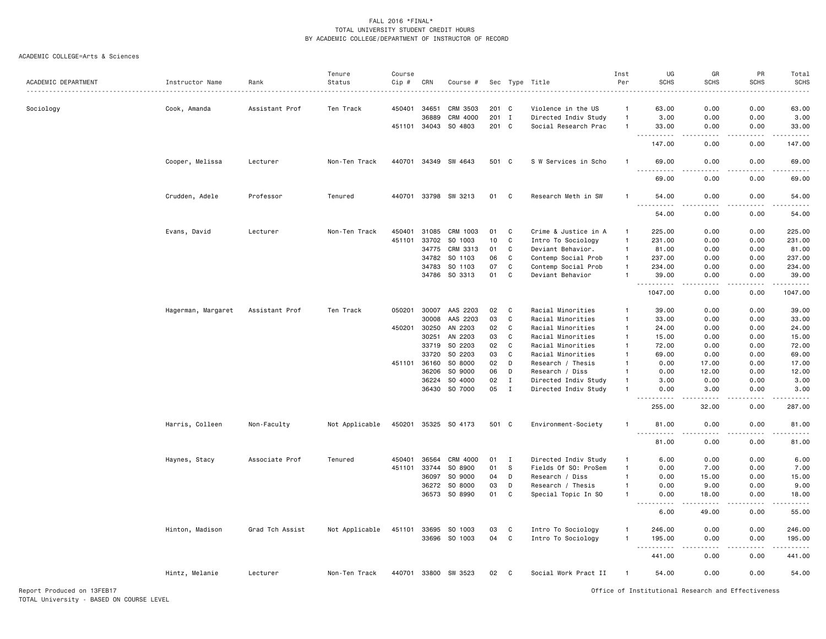#### ACADEMIC COLLEGE=Arts & Sciences

|                     |                    |                 | Tenure         | Course |       |                      |       |              |                      | Inst           | UG                                                                                                      | GR                    | PR                           | Total                                                                                                                                                |
|---------------------|--------------------|-----------------|----------------|--------|-------|----------------------|-------|--------------|----------------------|----------------|---------------------------------------------------------------------------------------------------------|-----------------------|------------------------------|------------------------------------------------------------------------------------------------------------------------------------------------------|
| ACADEMIC DEPARTMENT | Instructor Name    | Rank            | Status         | Cip #  | CRN   | Course #             |       |              | Sec Type Title       | Per            | <b>SCHS</b>                                                                                             | <b>SCHS</b>           | <b>SCHS</b>                  | <b>SCHS</b>                                                                                                                                          |
|                     |                    |                 |                |        |       |                      |       |              |                      |                |                                                                                                         |                       |                              |                                                                                                                                                      |
| Sociology           | Cook, Amanda       | Assistant Prof  | Ten Track      | 450401 | 34651 | CRM 3503             | 201 C |              | Violence in the US   | $\mathbf{1}$   | 63.00                                                                                                   | 0.00                  | 0.00                         | 63.00                                                                                                                                                |
|                     |                    |                 |                |        | 36889 | CRM 4000             | 201 I |              | Directed Indiv Study | $\overline{1}$ | 3.00                                                                                                    | 0.00                  | 0.00                         | 3.00                                                                                                                                                 |
|                     |                    |                 |                | 451101 | 34043 | SO 4803              | 201 C |              | Social Research Prac | $\overline{1}$ | 33.00<br>$\frac{1}{2} \left( \frac{1}{2} \right) \left( \frac{1}{2} \right) \left( \frac{1}{2} \right)$ | 0.00<br>$\frac{1}{2}$ | 0.00<br>$- - - -$            | 33.00<br>.                                                                                                                                           |
|                     |                    |                 |                |        |       |                      |       |              |                      |                | 147.00                                                                                                  | 0.00                  | 0.00                         | 147.00                                                                                                                                               |
|                     | Cooper, Melissa    | Lecturer        | Non-Ten Track  | 440701 |       | 34349 SW 4643        | 501 C |              | S W Services in Scho |                | 69.00                                                                                                   | 0.00                  | 0.00                         | 69.00<br>$\omega_{\rm c}$ and $\omega_{\rm c}$                                                                                                       |
|                     |                    |                 |                |        |       |                      |       |              |                      |                | 69.00                                                                                                   | 0.00                  | 0.00                         | 69.00                                                                                                                                                |
|                     | Crudden, Adele     | Professor       | Tenured        |        |       | 440701 33798 SW 3213 | 01    | C            | Research Meth in SW  | -1             | 54.00<br>$\sim$ $\sim$ $\sim$<br>$- - - - -$                                                            | 0.00<br>.             | 0.00<br>-----                | 54.00<br>.                                                                                                                                           |
|                     |                    |                 |                |        |       |                      |       |              |                      |                | 54.00                                                                                                   | 0.00                  | 0.00                         | 54.00                                                                                                                                                |
|                     | Evans, David       | Lecturer        | Non-Ten Track  | 450401 | 31085 | CRM 1003             | 01    | C            | Crime & Justice in A | $\mathbf{1}$   | 225.00                                                                                                  | 0.00                  | 0.00                         | 225.00                                                                                                                                               |
|                     |                    |                 |                | 451101 | 33702 | SO 1003              | 10    | C            | Intro To Sociology   | $\mathbf{1}$   | 231.00                                                                                                  | 0.00                  | 0.00                         | 231.00                                                                                                                                               |
|                     |                    |                 |                |        | 34775 | CRM 3313             | 01    | C            | Deviant Behavior.    | $\mathbf{1}$   | 81.00                                                                                                   | 0.00                  | 0.00                         | 81.00                                                                                                                                                |
|                     |                    |                 |                |        | 34782 | SO 1103              | 06    | C            | Contemp Social Prob  | $\mathbf{1}$   | 237.00                                                                                                  | 0.00                  | 0.00                         | 237.00                                                                                                                                               |
|                     |                    |                 |                |        | 34783 | SO 1103              | 07    | C            | Contemp Social Prob  | $\mathbf{1}$   | 234.00                                                                                                  | 0.00                  | 0.00                         | 234.00                                                                                                                                               |
|                     |                    |                 |                |        | 34786 | SO 3313              | 01    | C            | Deviant Behavior     | $\overline{1}$ | 39.00                                                                                                   | 0.00                  | 0.00                         | 39.00                                                                                                                                                |
|                     |                    |                 |                |        |       |                      |       |              |                      |                | - - -<br>1047.00                                                                                        | 0.00                  | 0.00                         | 1047.00                                                                                                                                              |
|                     | Hagerman, Margaret | Assistant Prof  | Ten Track      | 050201 | 30007 | AAS 2203             | 02    | C            | Racial Minorities    | $\mathbf{1}$   | 39.00                                                                                                   | 0.00                  | 0.00                         | 39.00                                                                                                                                                |
|                     |                    |                 |                |        | 30008 | AAS 2203             | 03    | C            | Racial Minorities    | $\overline{1}$ | 33.00                                                                                                   | 0.00                  | 0.00                         | 33.00                                                                                                                                                |
|                     |                    |                 |                | 450201 | 30250 | AN 2203              | 02    | C            | Racial Minorities    | $\mathbf{1}$   | 24.00                                                                                                   | 0.00                  | 0.00                         | 24.00                                                                                                                                                |
|                     |                    |                 |                |        | 30251 | AN 2203              | 03    | C            | Racial Minorities    | $\mathbf{1}$   | 15.00                                                                                                   | 0.00                  | 0.00                         | 15.00                                                                                                                                                |
|                     |                    |                 |                |        | 33719 | SO 2203              | 02    | C            | Racial Minorities    | $\overline{1}$ | 72.00                                                                                                   | 0.00                  | 0.00                         | 72.00                                                                                                                                                |
|                     |                    |                 |                |        | 33720 | SO 2203              | 03    | C            | Racial Minorities    | $\mathbf{1}$   | 69.00                                                                                                   | 0.00                  | 0.00                         | 69.00                                                                                                                                                |
|                     |                    |                 |                | 451101 | 36160 | SO 8000              | 02    | D            | Research / Thesis    | $\mathbf{1}$   | 0.00                                                                                                    | 17.00                 | 0.00                         | 17.00                                                                                                                                                |
|                     |                    |                 |                |        | 36206 | SO 9000              | 06    | D            | Research / Diss      | $\mathbf{1}$   | 0.00                                                                                                    | 12.00                 | 0.00                         | 12.00                                                                                                                                                |
|                     |                    |                 |                |        | 36224 | SO 4000              | 02    | $\mathbf I$  | Directed Indiv Study | $\overline{1}$ | 3.00                                                                                                    | 0.00                  | 0.00                         | 3.00                                                                                                                                                 |
|                     |                    |                 |                |        | 36430 | SO 7000              | 05    | $\mathbf I$  | Directed Indiv Study | $\overline{1}$ | 0.00                                                                                                    | 3.00                  | 0.00                         | 3.00                                                                                                                                                 |
|                     |                    |                 |                |        |       |                      |       |              |                      |                |                                                                                                         |                       | .                            | $    -$                                                                                                                                              |
|                     |                    |                 |                |        |       |                      |       |              |                      |                | 255.00                                                                                                  | 32.00                 | 0.00                         | 287.00                                                                                                                                               |
|                     | Harris, Colleen    | Non-Faculty     | Not Applicable | 450201 | 35325 | SO 4173              | 501 C |              | Environment-Society  | $\mathbf{1}$   | 81.00                                                                                                   | 0.00                  | 0.00<br>$\sim$ $\sim$ $\sim$ | 81.00<br>.                                                                                                                                           |
|                     |                    |                 |                |        |       |                      |       |              |                      |                | 81.00                                                                                                   | 0.00                  | 0.00                         | 81.00                                                                                                                                                |
|                     | Haynes, Stacy      | Associate Prof  | Tenured        | 450401 | 36564 | CRM 4000             | 01    | Ι.           | Directed Indiv Study | $\mathbf{1}$   | 6.00                                                                                                    | 0.00                  | 0.00                         | 6.00                                                                                                                                                 |
|                     |                    |                 |                | 451101 | 33744 | SO 8900              | 01    | S            | Fields Of SO: ProSem | $\overline{1}$ | 0.00                                                                                                    | 7.00                  | 0.00                         | 7.00                                                                                                                                                 |
|                     |                    |                 |                |        | 36097 | SO 9000              | 04    | D            | Research / Diss      | $\mathbf{1}$   | 0.00                                                                                                    | 15.00                 | 0.00                         | 15.00                                                                                                                                                |
|                     |                    |                 |                |        | 36272 | SO 8000              | 03    | D            | Research / Thesis    | $\mathbf{1}$   | 0.00                                                                                                    | 9.00                  | 0.00                         | 9.00                                                                                                                                                 |
|                     |                    |                 |                |        | 36573 | SO 8990              | 01    | C            | Special Topic In SO  |                | 0.00                                                                                                    | 18.00                 | 0.00                         | 18.00                                                                                                                                                |
|                     |                    |                 |                |        |       |                      |       |              |                      |                |                                                                                                         |                       |                              | $\frac{1}{2} \left( \frac{1}{2} \right) \left( \frac{1}{2} \right) \left( \frac{1}{2} \right) \left( \frac{1}{2} \right) \left( \frac{1}{2} \right)$ |
|                     |                    |                 |                |        |       |                      |       |              |                      |                | 6.00                                                                                                    | 49.00                 | 0.00                         | 55.00                                                                                                                                                |
|                     | Hinton, Madison    | Grad Tch Assist | Not Applicable | 451101 | 33695 | SO 1003              | 03    | C            | Intro To Sociology   | -1             | 246.00                                                                                                  | 0.00                  | 0.00                         | 246.00                                                                                                                                               |
|                     |                    |                 |                |        |       | 33696 SO 1003        | 04    | $\mathtt{C}$ | Intro To Sociology   | $\mathbf{1}$   | 195.00<br><u>.</u>                                                                                      | 0.00<br>.             | 0.00<br>.                    | 195.00<br>$- - - - - -$                                                                                                                              |
|                     |                    |                 |                |        |       |                      |       |              |                      |                | 441.00                                                                                                  | 0.00                  | 0.00                         | 441.00                                                                                                                                               |
|                     | Hintz, Melanie     | Lecturer        | Non-Ten Track  | 440701 |       | 33800 SW 3523        | 02    | C            | Social Work Pract II | -1             | 54.00                                                                                                   | 0.00                  | 0.00                         | 54.00                                                                                                                                                |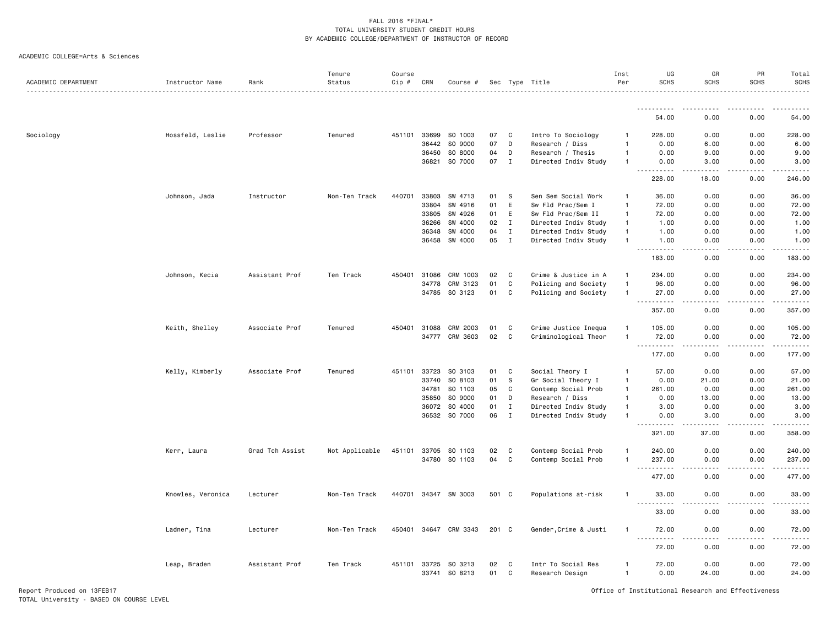#### ACADEMIC COLLEGE=Arts & Sciences

|                     |                   |                 | Tenure         | Course |                |                       |          |                              |                                              | Inst                         | UG                                                                                                                                                                                    | GR                                  | PR            | Total                   |
|---------------------|-------------------|-----------------|----------------|--------|----------------|-----------------------|----------|------------------------------|----------------------------------------------|------------------------------|---------------------------------------------------------------------------------------------------------------------------------------------------------------------------------------|-------------------------------------|---------------|-------------------------|
| ACADEMIC DEPARTMENT | Instructor Name   | Rank            | Status         | Cip #  | CRN            | Course #              |          |                              | Sec Type Title                               | Per                          | <b>SCHS</b>                                                                                                                                                                           | <b>SCHS</b>                         | <b>SCHS</b>   | <b>SCHS</b>             |
|                     |                   |                 |                |        |                |                       |          |                              |                                              |                              |                                                                                                                                                                                       |                                     |               |                         |
|                     |                   |                 |                |        |                |                       |          |                              |                                              |                              | 54.00                                                                                                                                                                                 | 0.00                                | 0.00          | 54.00                   |
| Sociology           | Hossfeld, Leslie  | Professor       | Tenured        | 451101 | 33699          | SO 1003               | 07       | C                            | Intro To Sociology                           | -1                           | 228.00                                                                                                                                                                                | 0.00                                | 0.00          | 228.00                  |
|                     |                   |                 |                |        | 36442          | SO 9000               | 07       | D                            | Research / Diss                              | $\mathbf{1}$                 | 0.00                                                                                                                                                                                  | 6.00                                | 0.00          | 6.00                    |
|                     |                   |                 |                |        | 36450          | SO 8000               | 04       | D                            | Research / Thesis                            | $\mathbf{1}$                 | 0.00                                                                                                                                                                                  | 9.00                                | 0.00          | 9.00                    |
|                     |                   |                 |                |        | 36821          | SO 7000               | 07       | $\mathbf I$                  | Directed Indiv Study                         | $\overline{1}$               | 0.00                                                                                                                                                                                  | 3.00                                | 0.00          | 3.00                    |
|                     |                   |                 |                |        |                |                       |          |                              |                                              |                              | -----<br>228.00                                                                                                                                                                       | والمحامر<br>18.00                   | .<br>0.00     | 22222<br>246.00         |
|                     | Johnson, Jada     | Instructor      | Non-Ten Track  | 440701 | 33803          | SW 4713               | 01       | S.                           | Sen Sem Social Work                          | $\mathbf{1}$                 | 36.00                                                                                                                                                                                 | 0.00                                | 0.00          | 36.00                   |
|                     |                   |                 |                |        | 33804          | SW 4916               | 01       | E                            | Sw Fld Prac/Sem I                            | $\mathbf{1}$                 | 72.00                                                                                                                                                                                 | 0.00                                | 0.00          | 72.00                   |
|                     |                   |                 |                |        | 33805          | SW 4926               | 01       | E                            | Sw Fld Prac/Sem II                           | $\mathbf{1}$                 | 72.00                                                                                                                                                                                 | 0.00                                | 0.00          | 72.00                   |
|                     |                   |                 |                |        | 36266          | SW 4000               | 02       | $\mathbf I$                  | Directed Indiv Study                         | $\overline{1}$               | 1.00                                                                                                                                                                                  | 0.00                                | 0.00          | 1.00                    |
|                     |                   |                 |                |        | 36348          | SW 4000               | 04       | $\mathbf{I}$                 | Directed Indiv Study                         | $\mathbf{1}$                 | 1.00                                                                                                                                                                                  | 0.00                                | 0.00          | 1.00                    |
|                     |                   |                 |                |        | 36458          | SW 4000               | 05       | $\mathbf{I}$                 | Directed Indiv Study                         | $\mathbf{1}$                 | 1.00                                                                                                                                                                                  | 0.00                                | 0.00          | 1.00                    |
|                     |                   |                 |                |        |                |                       |          |                              |                                              |                              | $\sim$ $\sim$ $\sim$ $\sim$<br>183.00                                                                                                                                                 | 0.00                                | 0.00          | .<br>183.00             |
|                     | Johnson, Kecia    | Assistant Prof  | Ten Track      | 450401 | 31086          | CRM 1003              | 02       | $\mathbb{C}$                 | Crime & Justice in A                         |                              | 234.00                                                                                                                                                                                | 0.00                                | 0.00          | 234.00                  |
|                     |                   |                 |                |        | 34778          | CRM 3123              | 01       | $\mathtt{C}$                 |                                              | $\mathbf{1}$                 | 96.00                                                                                                                                                                                 | 0.00                                | 0.00          | 96.00                   |
|                     |                   |                 |                |        | 34785          | SO 3123               |          |                              | Policing and Society                         | $\mathbf{1}$                 |                                                                                                                                                                                       |                                     |               |                         |
|                     |                   |                 |                |        |                |                       | 01       | C                            | Policing and Society                         |                              | 27.00<br>$\sim$ $\sim$ $\sim$<br>$\frac{1}{2} \left( \frac{1}{2} \right) \left( \frac{1}{2} \right) \left( \frac{1}{2} \right) \left( \frac{1}{2} \right) \left( \frac{1}{2} \right)$ | 0.00<br>.                           | 0.00<br>.     | 27.00<br>.              |
|                     |                   |                 |                |        |                |                       |          |                              |                                              |                              | 357.00                                                                                                                                                                                | 0.00                                | 0.00          | 357.00                  |
|                     | Keith, Shelley    | Associate Prof  | Tenured        | 450401 | 31088          | CRM 2003              | 01       | C                            | Crime Justice Inequa                         | $\mathbf{1}$                 | 105.00                                                                                                                                                                                | 0.00                                | 0.00          | 105.00                  |
|                     |                   |                 |                |        | 34777          | CRM 3603              | 02       | C                            | Criminological Theor                         | $\mathbf{1}$                 | 72.00                                                                                                                                                                                 | 0.00                                | 0.00          | 72.00                   |
|                     |                   |                 |                |        |                |                       |          |                              |                                              |                              | $- - -$<br>. <b>.</b><br>177.00                                                                                                                                                       | $\frac{1}{2}$<br>0.00               | .<br>0.00     | $- - - - - -$<br>177.00 |
|                     | Kelly, Kimberly   | Associate Prof  | Tenured        | 451101 | 33723          | SO 3103               | 01       | C                            | Social Theory I                              | -1                           | 57.00                                                                                                                                                                                 | 0.00                                | 0.00          | 57.00                   |
|                     |                   |                 |                |        | 33740          | SO 8103               | 01       | S                            | Gr Social Theory I                           | $\mathbf{1}$                 | 0.00                                                                                                                                                                                  | 21.00                               | 0.00          | 21.00                   |
|                     |                   |                 |                |        | 34781          | SO 1103               | 05       | C                            | Contemp Social Prob                          | $\mathbf{1}$                 | 261.00                                                                                                                                                                                | 0.00                                | 0.00          | 261.00                  |
|                     |                   |                 |                |        | 35850          | SO 9000               | 01       | D                            | Research / Diss                              | $\mathbf{1}$                 | 0.00                                                                                                                                                                                  | 13.00                               | 0.00          | 13.00                   |
|                     |                   |                 |                |        |                |                       |          |                              |                                              |                              |                                                                                                                                                                                       |                                     |               |                         |
|                     |                   |                 |                |        | 36072<br>36532 | SO 4000<br>SO 7000    | 01<br>06 | $\mathbf{I}$<br>$\mathbf{I}$ | Directed Indiv Study<br>Directed Indiv Study | $\mathbf{1}$<br>$\mathbf{1}$ | 3.00<br>0.00                                                                                                                                                                          | 0.00<br>3.00                        | 0.00<br>0.00  | 3.00<br>3.00            |
|                     |                   |                 |                |        |                |                       |          |                              |                                              |                              | .<br>$- - -$<br>321.00                                                                                                                                                                | .<br>37.00                          | .<br>0.00     | .<br>358.00             |
|                     |                   |                 |                |        |                |                       |          |                              |                                              |                              |                                                                                                                                                                                       |                                     |               |                         |
|                     | Kerr, Laura       | Grad Tch Assist | Not Applicable | 451101 | 33705          | SO 1103               | 02       | C                            | Contemp Social Prob                          | $\mathbf{1}$                 | 240.00                                                                                                                                                                                | 0.00                                | 0.00          | 240.00                  |
|                     |                   |                 |                |        | 34780          | SO 1103               | 04       | C                            | Contemp Social Prob                          | $\mathbf{1}$                 | 237.00<br>$\sim$ $\sim$ .                                                                                                                                                             | 0.00<br>$\sim$ $\sim$ $\sim$ $\sim$ | 0.00<br>.     | 237.00                  |
|                     |                   |                 |                |        |                |                       |          |                              |                                              |                              | 477.00                                                                                                                                                                                | 0.00                                | 0.00          | 477.00                  |
|                     | Knowles, Veronica | Lecturer        | Non-Ten Track  |        |                | 440701 34347 SW 3003  | 501 C    |                              | Populations at-risk                          |                              | 33.00<br>$\sim$ $\sim$ $\sim$ $\sim$                                                                                                                                                  | 0.00                                | 0.00          | 33.00                   |
|                     |                   |                 |                |        |                |                       |          |                              |                                              |                              | 33.00                                                                                                                                                                                 | 0.00                                | 0.00          | 33.00                   |
|                     | Ladner, Tina      | Lecturer        | Non-Ten Track  |        |                | 450401 34647 CRM 3343 | $201$ C  |                              | Gender, Crime & Justi                        | -1                           | 72.00                                                                                                                                                                                 | 0.00                                | 0.00          | 72.00                   |
|                     |                   |                 |                |        |                |                       |          |                              |                                              |                              | $- - -$<br>.<br>72.00                                                                                                                                                                 | والمستناء<br>0.00                   | -----<br>0.00 | .<br>72.00              |
|                     |                   | Assistant Prof  | Ten Track      | 451101 | 33725          | SO 3213               | 02       | C                            | Intr To Social Res                           | $\mathbf{1}$                 | 72.00                                                                                                                                                                                 | 0.00                                | 0.00          | 72.00                   |
|                     | Leap, Braden      |                 |                |        | 33741          | SO 8213               | 01       | C                            | Research Design                              | $\mathbf{1}$                 | 0.00                                                                                                                                                                                  | 24.00                               | 0.00          | 24.00                   |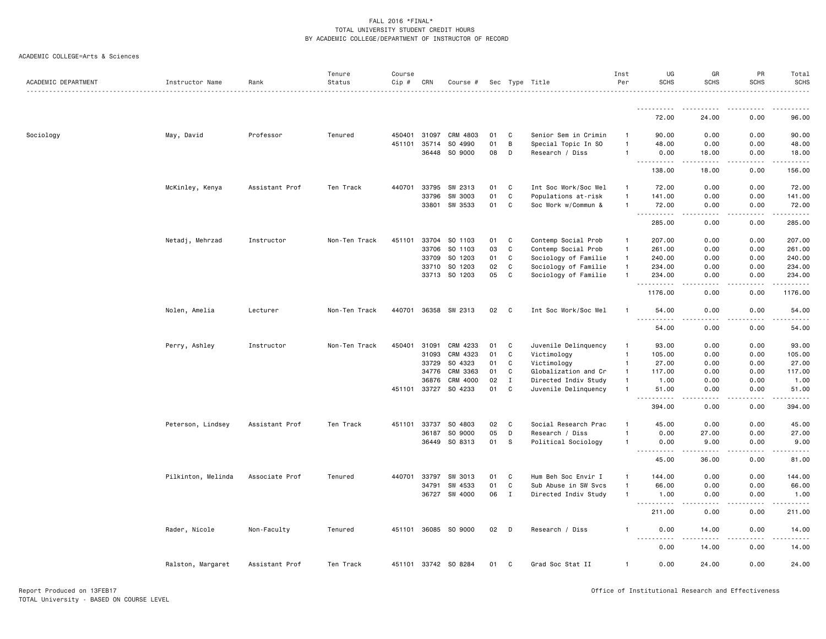|                     |                    |                | Tenure        | Course |              |                      |    |              |                      | Inst           | UG                                | GR                                                                                                                                                            | PR                | Total                 |
|---------------------|--------------------|----------------|---------------|--------|--------------|----------------------|----|--------------|----------------------|----------------|-----------------------------------|---------------------------------------------------------------------------------------------------------------------------------------------------------------|-------------------|-----------------------|
| ACADEMIC DEPARTMENT | Instructor Name    | Rank           | Status        | Cip #  | CRN          | Course #             |    |              | Sec Type Title       | Per            | <b>SCHS</b>                       | <b>SCHS</b>                                                                                                                                                   | <b>SCHS</b>       | <b>SCHS</b>           |
|                     |                    |                |               |        |              |                      |    |              |                      |                | <u>.</u>                          |                                                                                                                                                               |                   | $\cdots$              |
|                     |                    |                |               |        |              |                      |    |              |                      |                | 72.00                             | 24.00                                                                                                                                                         | 0.00              | 96.00                 |
| Sociology           | May, David         | Professor      | Tenured       | 450401 | 31097        | CRM 4803             | 01 | C            | Senior Sem in Crimin | -1             | 90.00                             | 0.00                                                                                                                                                          | 0.00              | 90.00                 |
|                     |                    |                |               | 451101 | 35714        | SO 4990              | 01 | B            | Special Topic In SO  | $\overline{1}$ | 48.00                             | 0.00                                                                                                                                                          | 0.00              | 48.00                 |
|                     |                    |                |               |        | 36448        | SO 9000              | 08 | D            | Research / Diss      | $\mathbf{1}$   | 0.00<br>$\sim$ $\sim$ $\sim$<br>. | 18.00<br>$\frac{1}{2} \left( \frac{1}{2} \right) \left( \frac{1}{2} \right) \left( \frac{1}{2} \right) \left( \frac{1}{2} \right) \left( \frac{1}{2} \right)$ | 0.00<br>-----     | 18.00<br>.            |
|                     |                    |                |               |        |              |                      |    |              |                      |                | 138.00                            | 18.00                                                                                                                                                         | 0.00              | 156.00                |
|                     | McKinley, Kenya    | Assistant Prof | Ten Track     | 440701 | 33795        | SW 2313              | 01 | C            | Int Soc Work/Soc Wel | $\overline{1}$ | 72.00                             | 0.00                                                                                                                                                          | 0.00              | 72.00                 |
|                     |                    |                |               |        | 33796        | SW 3003              | 01 | $\mathtt{C}$ | Populations at-risk  | $\overline{1}$ | 141.00                            | 0.00                                                                                                                                                          | 0.00              | 141.00                |
|                     |                    |                |               |        |              | 33801 SW 3533        | 01 | C            | Soc Work w/Commun &  | $\overline{1}$ | 72.00<br>.                        | 0.00<br>$\sim$ $\sim$ $\sim$ $\sim$                                                                                                                           | 0.00<br>-----     | 72.00<br>.            |
|                     |                    |                |               |        |              |                      |    |              |                      |                | 285.00                            | 0.00                                                                                                                                                          | 0.00              | 285.00                |
|                     | Netadj, Mehrzad    | Instructor     | Non-Ten Track | 451101 |              | 33704 SO 1103        | 01 | C            | Contemp Social Prob  | $\overline{1}$ | 207.00                            | 0.00                                                                                                                                                          | 0.00              | 207.00                |
|                     |                    |                |               |        | 33706        | SO 1103              | 03 | C            | Contemp Social Prob  | $\mathbf{1}$   | 261.00                            | 0.00                                                                                                                                                          | 0.00              | 261.00                |
|                     |                    |                |               |        | 33709        | SO 1203              | 01 | C            | Sociology of Familie | $\mathbf{1}$   | 240.00                            | 0.00                                                                                                                                                          | 0.00              | 240.00                |
|                     |                    |                |               |        | 33710        | SO 1203              | 02 | C            | Sociology of Familie | $\overline{1}$ | 234.00                            | 0.00                                                                                                                                                          | 0.00              | 234.00                |
|                     |                    |                |               |        |              | 33713 SO 1203        | 05 | C            | Sociology of Familie | $\overline{1}$ | 234.00<br>$\sim$ $\sim$ .         | 0.00                                                                                                                                                          | 0.00              | 234.00<br>.           |
|                     |                    |                |               |        |              |                      |    |              |                      |                | 1176.00                           | 0.00                                                                                                                                                          | 0.00              | 1176.00               |
|                     | Nolen, Amelia      | Lecturer       | Non-Ten Track |        | 440701 36358 | SW 2313              | 02 | C            | Int Soc Work/Soc Wel | $\overline{1}$ | 54.00<br><u>.</u>                 | 0.00                                                                                                                                                          | 0.00              | 54.00                 |
|                     |                    |                |               |        |              |                      |    |              |                      |                | 54.00                             | $\cdots$<br>0.00                                                                                                                                              | 0.00              | . <u>.</u> .<br>54.00 |
|                     | Perry, Ashley      | Instructor     | Non-Ten Track | 450401 | 31091        | CRM 4233             | 01 | C            | Juvenile Delinquency | $\mathbf{1}$   | 93.00                             | 0.00                                                                                                                                                          | 0.00              | 93.00                 |
|                     |                    |                |               |        | 31093        | CRM 4323             | 01 | $\mathbf c$  | Victimology          | $\overline{1}$ | 105.00                            | 0.00                                                                                                                                                          | 0.00              | 105.00                |
|                     |                    |                |               |        | 33729        | SO 4323              | 01 | $\mathbf C$  | Victimology          | $\overline{1}$ | 27.00                             | 0.00                                                                                                                                                          | 0.00              | 27.00                 |
|                     |                    |                |               |        | 34776        | CRM 3363             | 01 | C            | Globalization and Cr | $\overline{1}$ | 117.00                            | 0.00                                                                                                                                                          | 0.00              | 117.00                |
|                     |                    |                |               |        | 36876        | CRM 4000             | 02 | $\;$ I       | Directed Indiv Study | $\overline{1}$ | 1.00                              | 0.00                                                                                                                                                          | 0.00              | 1.00                  |
|                     |                    |                |               | 451101 | 33727        | SO 4233              | 01 | C            | Juvenile Delinquency | $\mathbf{1}$   | 51.00<br>$\sim$ $\sim$ $\sim$     | 0.00                                                                                                                                                          | 0.00              | 51.00                 |
|                     |                    |                |               |        |              |                      |    |              |                      |                | 394.00                            | 0.00                                                                                                                                                          | 0.00              | 394.00                |
|                     | Peterson, Lindsey  | Assistant Prof | Ten Track     | 451101 | 33737        | SO 4803              | 02 | C            | Social Research Prac | $\overline{1}$ | 45.00                             | 0.00                                                                                                                                                          | 0.00              | 45.00                 |
|                     |                    |                |               |        | 36187        | SO 9000              | 05 | D            | Research / Diss      | $\mathbf{1}$   | 0.00                              | 27.00                                                                                                                                                         | 0.00              | 27.00                 |
|                     |                    |                |               |        | 36449        | SO 8313              | 01 | s            | Political Sociology  | $\overline{1}$ | 0.00                              | 9.00<br>.                                                                                                                                                     | 0.00<br>$- - - -$ | 9.00<br>$    -$       |
|                     |                    |                |               |        |              |                      |    |              |                      |                | 45.00                             | 36.00                                                                                                                                                         | 0.00              | 81.00                 |
|                     | Pilkinton, Melinda | Associate Prof | Tenured       | 440701 | 33797        | SW 3013              | 01 | C            | Hum Beh Soc Envir I  | $\mathbf{1}$   | 144.00                            | 0.00                                                                                                                                                          | 0.00              | 144.00                |
|                     |                    |                |               |        | 34791        | SW 4533              | 01 | C            | Sub Abuse in SW Svcs | $\overline{1}$ | 66.00                             | 0.00                                                                                                                                                          | 0.00              | 66.00                 |
|                     |                    |                |               |        | 36727        | SW 4000              | 06 | $\mathbf I$  | Directed Indiv Study | $\overline{1}$ | 1.00<br>.                         | 0.00<br>$\sim$ $\sim$ $\sim$                                                                                                                                  | 0.00<br>.         | 1.00<br>.             |
|                     |                    |                |               |        |              |                      |    |              |                      |                | 211.00                            | 0.00                                                                                                                                                          | 0.00              | 211.00                |
|                     | Rader, Nicole      | Non-Faculty    | Tenured       |        | 451101 36085 | SO 9000              | 02 | D            | Research / Diss      | $\mathbf{1}$   | 0.00                              | 14.00                                                                                                                                                         | 0.00              | 14.00                 |
|                     |                    |                |               |        |              |                      |    |              |                      |                | 0.00                              | 14.00                                                                                                                                                         | 0.00              | 14.00                 |
|                     | Ralston, Margaret  | Assistant Prof | Ten Track     |        |              | 451101 33742 SO 8284 | 01 | C            | Grad Soc Stat II     | $\overline{1}$ | 0.00                              | 24.00                                                                                                                                                         | 0.00              | 24.00                 |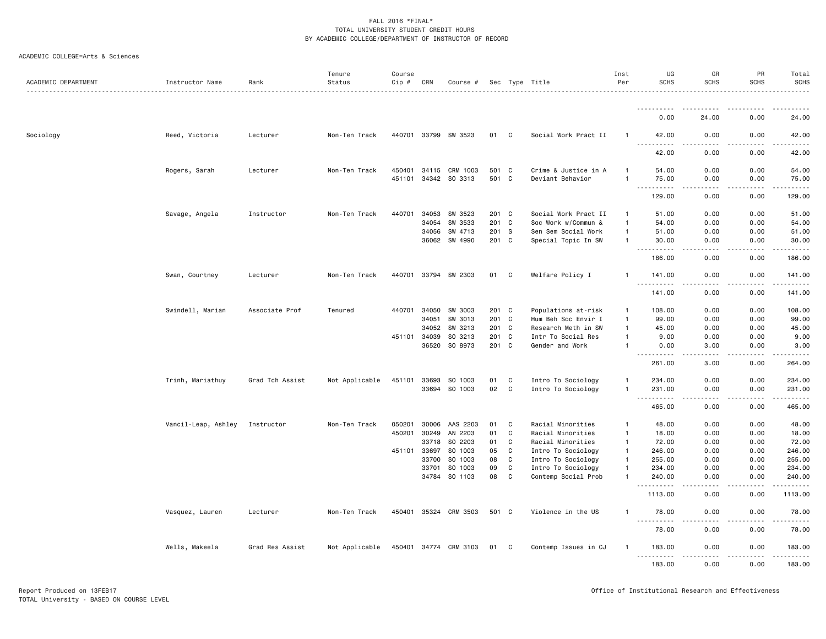| ACADEMIC DEPARTMENT |                     |                 | Tenure         | Course |              |                       |       |              |                      | Inst<br>Per    | UG<br><b>SCHS</b>                  | GR<br><b>SCHS</b>                   | PR<br><b>SCHS</b> | Total<br><b>SCHS</b> |
|---------------------|---------------------|-----------------|----------------|--------|--------------|-----------------------|-------|--------------|----------------------|----------------|------------------------------------|-------------------------------------|-------------------|----------------------|
|                     | Instructor Name     | Rank            | Status         | Cip #  | CRN          | Course #              |       |              | Sec Type Title       |                |                                    |                                     |                   |                      |
|                     |                     |                 |                |        |              |                       |       |              |                      |                | .                                  | .                                   |                   | . <b>.</b> .         |
|                     |                     |                 |                |        |              |                       |       |              |                      |                | 0.00                               | 24.00                               | 0.00              | 24.00                |
| Sociology           | Reed, Victoria      | Lecturer        | Non-Ten Track  |        |              | 440701 33799 SW 3523  | 01    | C            | Social Work Pract II | -1             | 42.00<br><u>.</u>                  | 0.00                                | 0.00              | 42.00                |
|                     |                     |                 |                |        |              |                       |       |              |                      |                | 42.00                              | 0.00                                | 0.00              | 42.00                |
|                     | Rogers, Sarah       | Lecturer        | Non-Ten Track  |        | 450401 34115 | CRM 1003              | 501 C |              | Crime & Justice in A | 1              | 54.00                              | 0.00                                | 0.00              | 54.00                |
|                     |                     |                 |                |        |              | 451101 34342 SO 3313  | 501 C |              | Deviant Behavior     | $\overline{1}$ | 75.00<br>$\sim$ $\sim$ $\sim$<br>. | 0.00<br>$\sim$ $\sim$ $\sim$        | 0.00<br>-----     | 75.00<br>.           |
|                     |                     |                 |                |        |              |                       |       |              |                      |                | 129.00                             | 0.00                                | 0.00              | 129.00               |
|                     | Savage, Angela      | Instructor      | Non-Ten Track  | 440701 | 34053        | SW 3523               | 201 C |              | Social Work Pract II | $\overline{1}$ | 51.00                              | 0.00                                | 0.00              | 51.00                |
|                     |                     |                 |                |        | 34054        | SW 3533               | 201 C |              | Soc Work w/Commun &  | $\overline{1}$ | 54.00                              | 0.00                                | 0.00              | 54.00                |
|                     |                     |                 |                |        | 34056        | SW 4713               | 201 S |              | Sen Sem Social Work  | $\overline{1}$ | 51.00                              | 0.00                                | 0.00              | 51.00                |
|                     |                     |                 |                |        | 36062        | SW 4990               | 201 C |              | Special Topic In SW  | $\overline{1}$ | 30.00<br>.                         | 0.00<br>$\sim$ $\sim$ $\sim$ $\sim$ | 0.00<br>.         | 30.00<br>.           |
|                     |                     |                 |                |        |              |                       |       |              |                      |                | 186.00                             | 0.00                                | 0.00              | 186.00               |
|                     | Swan, Courtney      | Lecturer        | Non-Ten Track  |        |              | 440701 33794 SW 2303  | 01    | C            | Welfare Policy I     | -1             | 141.00<br>$-$                      | 0.00                                | 0.00              | 141.00               |
|                     |                     |                 |                |        |              |                       |       |              |                      |                | 141.00                             | 0.00                                | 0.00              | 141.00               |
|                     | Swindell, Marian    | Associate Prof  | Tenured        | 440701 | 34050        | SW 3003               | 201 C |              | Populations at-risk  | $\mathbf{1}$   | 108.00                             | 0.00                                | 0.00              | 108.00               |
|                     |                     |                 |                |        | 34051        | SW 3013               | 201 C |              | Hum Beh Soc Envir I  | $\overline{1}$ | 99.00                              | 0.00                                | 0.00              | 99.00                |
|                     |                     |                 |                |        | 34052        | SW 3213               | 201   | C            | Research Meth in SW  | $\mathbf{1}$   | 45.00                              | 0.00                                | 0.00              | 45.00                |
|                     |                     |                 |                |        | 451101 34039 | SO 3213               | 201 C |              | Intr To Social Res   | -1             | 9.00                               | 0.00                                | 0.00              | 9.00                 |
|                     |                     |                 |                |        | 36520        | SO 8973               | 201 C |              | Gender and Work      | $\overline{1}$ | 0.00<br>-----                      | 3.00<br>$\frac{1}{2}$               | 0.00<br>.         | 3.00<br>.            |
|                     |                     |                 |                |        |              |                       |       |              |                      |                | 261.00                             | 3.00                                | 0.00              | 264.00               |
|                     | Trinh, Mariathuy    | Grad Tch Assist | Not Applicable | 451101 | 33693        | SO 1003               | 01    | C            | Intro To Sociology   | $\overline{1}$ | 234.00                             | 0.00                                | 0.00              | 234.00               |
|                     |                     |                 |                |        |              | 33694 SO 1003         | 02    | C            | Intro To Sociology   | $\overline{1}$ | 231.00<br>$\sim$ $\sim$            | 0.00                                | 0.00              | 231.00<br>.          |
|                     |                     |                 |                |        |              |                       |       |              |                      |                | 465.00                             | 0.00                                | 0.00              | 465.00               |
|                     | Vancil-Leap, Ashley | Instructor      | Non-Ten Track  | 050201 | 30006        | AAS 2203              | 01    | C            | Racial Minorities    | $\overline{1}$ | 48.00                              | 0.00                                | 0.00              | 48.00                |
|                     |                     |                 |                | 450201 | 30249        | AN 2203               | 01    | $\mathtt{C}$ | Racial Minorities    | $\overline{1}$ | 18.00                              | 0.00                                | 0.00              | 18.00                |
|                     |                     |                 |                |        | 33718        | SO 2203               | 01    | C            | Racial Minorities    | $\mathbf{1}$   | 72.00                              | 0.00                                | 0.00              | 72.00                |
|                     |                     |                 |                | 451101 | 33697        | SO 1003               | 05    | $\mathtt{C}$ | Intro To Sociology   | $\mathbf{1}$   | 246.00                             | 0.00                                | 0.00              | 246.00               |
|                     |                     |                 |                |        | 33700        | SO 1003               | 08    | C            | Intro To Sociology   | $\overline{1}$ | 255.00                             | 0.00                                | 0.00              | 255.00               |
|                     |                     |                 |                |        | 33701        | SO 1003               | 09    | $\mathbf c$  | Intro To Sociology   | $\overline{1}$ | 234.00                             | 0.00                                | 0.00              | 234.00               |
|                     |                     |                 |                |        |              | 34784 SO 1103         | 08    | C            | Contemp Social Prob  | -1             | 240.00<br>.                        | 0.00<br>.                           | 0.00<br>.         | 240.00<br>.          |
|                     |                     |                 |                |        |              |                       |       |              |                      |                | 1113.00                            | 0.00                                | 0.00              | 1113.00              |
|                     | Vasquez, Lauren     | Lecturer        | Non-Ten Track  |        |              | 450401 35324 CRM 3503 | 501 C |              | Violence in the US   | $\mathbf{1}$   | 78.00<br><u>.</u>                  | 0.00<br>.                           | 0.00<br><u>.</u>  | 78.00<br>.           |
|                     |                     |                 |                |        |              |                       |       |              |                      |                | 78.00                              | 0.00                                | 0.00              | 78.00                |
|                     | Wells, Makeela      | Grad Res Assist | Not Applicable |        |              | 450401 34774 CRM 3103 | 01    | C            | Contemp Issues in CJ | -1             | 183.00<br>.                        | 0.00<br>.                           | 0.00<br>.         | 183.00<br>.          |
|                     |                     |                 |                |        |              |                       |       |              |                      |                | 183.00                             | 0.00                                | 0.00              | 183.00               |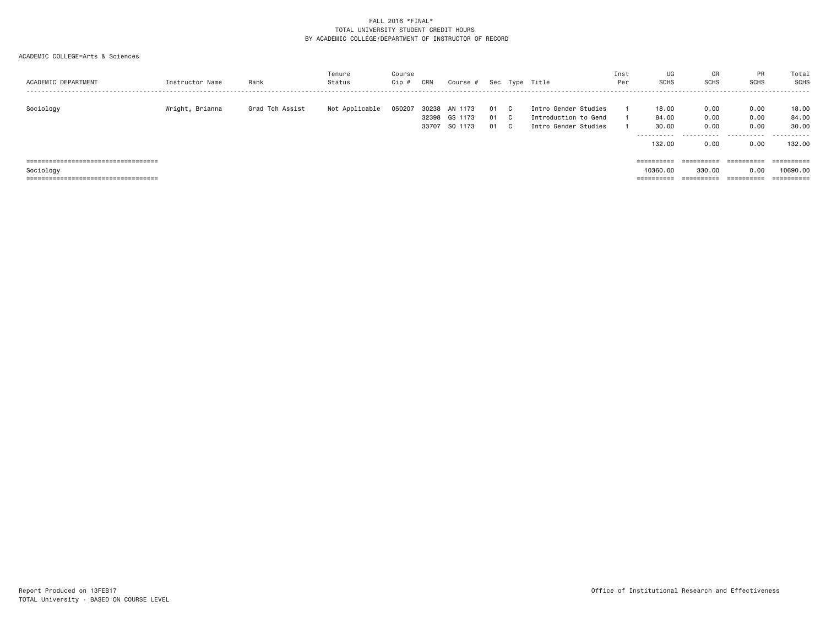| ACADEMIC DEPARTMENT                                | Instructor Name | Rank            | Tenure<br>Status | Course<br>Cip # | CRN            | Course #                            |                  |          | Sec Type Title                                                       | Inst<br>Per | UG<br>SCHS                             | GF<br><b>SCHS</b>            | PR<br><b>SCHS</b>                | Total<br><b>SCHS</b>              |
|----------------------------------------------------|-----------------|-----------------|------------------|-----------------|----------------|-------------------------------------|------------------|----------|----------------------------------------------------------------------|-------------|----------------------------------------|------------------------------|----------------------------------|-----------------------------------|
| Sociology                                          | Wright, Brianna | Grad Tch Assist | Not Applicable   | 050207          | 30238<br>33707 | AN 1173<br>32398 GS 1173<br>SO 1173 | 01 C<br>01<br>01 | C.<br>C. | Intro Gender Studies<br>Introduction to Gend<br>Intro Gender Studies |             | 18,00<br>84.00<br>30.00<br>.<br>132.00 | 0.00<br>0.00<br>0.00<br>0.00 | 0.00<br>0.00<br>0.00<br><br>0.00 | 18.00<br>84.00<br>30.00<br>132.00 |
| =====================================<br>Sociology |                 |                 |                  |                 |                |                                     |                  |          |                                                                      |             | ==========<br>10360,00                 | ==========<br>330,00         | ==========<br>0.00               | ==========<br>10690,00            |
| ====================================               |                 |                 |                  |                 |                |                                     |                  |          |                                                                      |             | ==========                             | ==========                   | $=$ = = = = = = = = =            |                                   |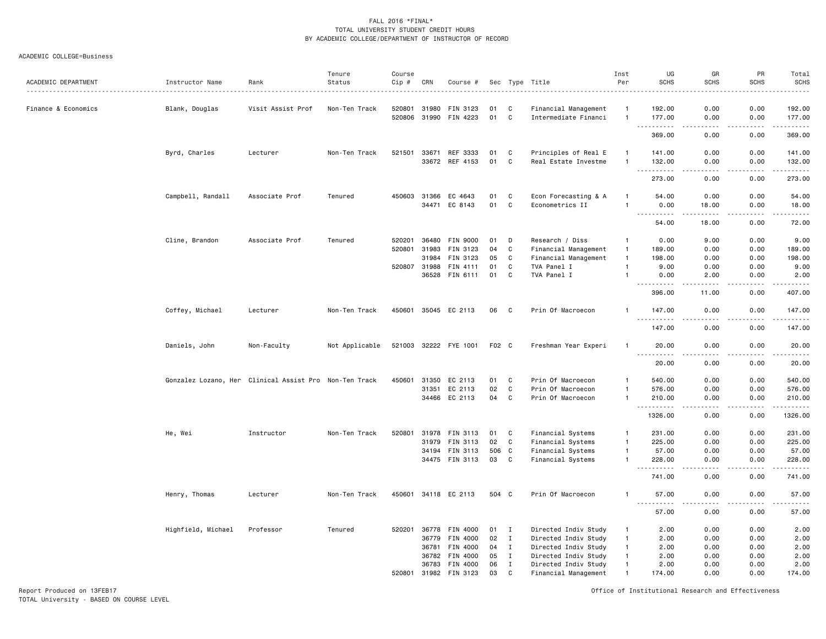#### ACADEMIC COLLEGE=Business

| ACADEMIC DEPARTMENT | Instructor Name                                        | Rank              | Tenure<br>Status | Course<br>Cip # | CRN                   | Course #              |          |             | Sec Type Title                               | Inst<br>Per    | UG<br><b>SCHS</b>                                                                                                                                            | GR<br><b>SCHS</b>                   | PR<br><b>SCHS</b><br>---- | Total<br><b>SCHS</b><br>. |
|---------------------|--------------------------------------------------------|-------------------|------------------|-----------------|-----------------------|-----------------------|----------|-------------|----------------------------------------------|----------------|--------------------------------------------------------------------------------------------------------------------------------------------------------------|-------------------------------------|---------------------------|---------------------------|
| Finance & Economics | Blank, Douglas                                         | Visit Assist Prof | Non-Ten Track    | 520801          | 31980<br>520806 31990 | FIN 3123<br>FIN 4223  | 01<br>01 | C<br>C      | Financial Management<br>Intermediate Financi | $\mathbf{1}$   | 192.00<br>177.00                                                                                                                                             | 0.00<br>0.00                        | 0.00<br>0.00              | 192.00<br>177.00          |
|                     |                                                        |                   |                  |                 |                       |                       |          |             |                                              |                | .                                                                                                                                                            | $\frac{1}{2}$                       | .                         | .                         |
|                     |                                                        |                   |                  |                 |                       |                       |          |             |                                              |                | 369.00                                                                                                                                                       | 0.00                                | 0.00                      | 369.00                    |
|                     | Byrd, Charles                                          | Lecturer          | Non-Ten Track    | 521501          | 33671                 | REF 3333              | 01       | C           | Principles of Real E                         | $\mathbf{1}$   | 141.00                                                                                                                                                       | 0.00                                | 0.00                      | 141.00                    |
|                     |                                                        |                   |                  |                 | 33672                 | REF 4153              | 01       | C           | Real Estate Investme                         | $\mathbf{1}$   | 132.00                                                                                                                                                       | 0.00                                | 0.00                      | 132.00<br>.               |
|                     |                                                        |                   |                  |                 |                       |                       |          |             |                                              |                | 273.00                                                                                                                                                       | 0.00                                | 0.00                      | 273.00                    |
|                     | Campbell, Randall                                      | Associate Prof    | Tenured          | 450603          | 31366                 | EC 4643               | 01       | C           | Econ Forecasting & A                         | $\mathbf{1}$   | 54.00                                                                                                                                                        | 0.00                                | 0.00                      | 54.00                     |
|                     |                                                        |                   |                  |                 | 34471                 | EC 8143               | 01       | $\mathbf c$ | Econometrics II                              | $\overline{1}$ | 0.00                                                                                                                                                         | 18.00                               | 0.00                      | 18.00                     |
|                     |                                                        |                   |                  |                 |                       |                       |          |             |                                              |                | $\sim$ $\sim$ $\sim$<br>.<br>54.00                                                                                                                           | $\sim$ $\sim$ $\sim$<br>18.00       | $- - - -$<br>0.00         | $    -$<br>72.00          |
|                     | Cline, Brandon                                         | Associate Prof    | Tenured          | 520201          | 36480                 | FIN 9000              | 01       | D           | Research / Diss                              | $\overline{1}$ | 0.00                                                                                                                                                         | 9.00                                | 0.00                      | 9.00                      |
|                     |                                                        |                   |                  | 520801          | 31983                 | FIN 3123              | 04       | C           | Financial Management                         | $\overline{1}$ | 189.00                                                                                                                                                       | 0.00                                | 0.00                      | 189.00                    |
|                     |                                                        |                   |                  |                 | 31984                 | FIN 3123              | 05       | C           | Financial Management                         | $\mathbf{1}$   | 198.00                                                                                                                                                       | 0.00                                | 0.00                      | 198.00                    |
|                     |                                                        |                   |                  | 520807 31988    |                       | FIN 4111              | 01       | C           | TVA Panel I                                  | $\overline{1}$ | 9.00                                                                                                                                                         | 0.00                                | 0.00                      | 9.00                      |
|                     |                                                        |                   |                  |                 | 36528                 | FIN 6111              | 01       | $\mathbf c$ | TVA Panel I                                  | $\mathbf{1}$   | 0.00<br>$\frac{1}{2} \left( \frac{1}{2} \right) \left( \frac{1}{2} \right) \left( \frac{1}{2} \right) \left( \frac{1}{2} \right) \left( \frac{1}{2} \right)$ | 2.00<br>.                           | 0.00<br>.                 | 2.00<br>.                 |
|                     |                                                        |                   |                  |                 |                       |                       |          |             |                                              |                | 396.00                                                                                                                                                       | 11.00                               | 0.00                      | 407.00                    |
|                     | Coffey, Michael                                        | Lecturer          | Non-Ten Track    | 450601          |                       | 35045 EC 2113         | 06       | C           | Prin Of Macroecon                            | $\mathbf{1}$   | 147.00<br>.                                                                                                                                                  | 0.00<br>$\frac{1}{2}$               | 0.00<br>.                 | 147.00                    |
|                     |                                                        |                   |                  |                 |                       |                       |          |             |                                              |                | 147.00                                                                                                                                                       | 0.00                                | 0.00                      | 147.00                    |
|                     | Daniels, John                                          | Non-Faculty       | Not Applicable   |                 |                       | 521003 32222 FYE 1001 | F02 C    |             | Freshman Year Experi                         | $\overline{1}$ | 20.00                                                                                                                                                        | 0.00                                | 0.00                      | 20.00<br>$\frac{1}{2}$    |
|                     |                                                        |                   |                  |                 |                       |                       |          |             |                                              |                | 20.00                                                                                                                                                        | 0.00                                | 0.00                      | 20.00                     |
|                     | Gonzalez Lozano, Her Clinical Assist Pro Non-Ten Track |                   |                  | 450601          | 31350                 | EC 2113               | 01       | C           | Prin Of Macroecon                            | $\mathbf{1}$   | 540.00                                                                                                                                                       | 0.00                                | 0.00                      | 540.00                    |
|                     |                                                        |                   |                  |                 | 31351                 | EC 2113               | 02       | $\mathbf C$ | Prin Of Macroecon                            | $\overline{1}$ | 576.00                                                                                                                                                       | 0.00                                | 0.00                      | 576.00                    |
|                     |                                                        |                   |                  |                 |                       | 34466 EC 2113         | 04       | $\mathbf c$ | Prin Of Macroecon                            | $\overline{1}$ | 210.00<br>.                                                                                                                                                  | 0.00<br>$\sim$ $\sim$ $\sim$ $\sim$ | 0.00<br>.                 | 210.00<br>.               |
|                     |                                                        |                   |                  |                 |                       |                       |          |             |                                              |                | 1326.00                                                                                                                                                      | 0.00                                | 0.00                      | 1326.00                   |
|                     | He, Wei                                                | Instructor        | Non-Ten Track    | 520801          | 31978                 | FIN 3113              | 01       | C           | Financial Systems                            | $\mathbf{1}$   | 231.00                                                                                                                                                       | 0.00                                | 0.00                      | 231.00                    |
|                     |                                                        |                   |                  |                 | 31979                 | FIN 3113              | 02       | C           | Financial Systems                            | $\overline{1}$ | 225.00                                                                                                                                                       | 0.00                                | 0.00                      | 225.00                    |
|                     |                                                        |                   |                  |                 | 34194                 | FIN 3113              | 506 C    |             | Financial Systems                            | $\overline{1}$ | 57.00                                                                                                                                                        | 0.00                                | 0.00                      | 57.00                     |
|                     |                                                        |                   |                  |                 |                       | 34475 FIN 3113        | 03       | C           | Financial Systems                            | $\overline{1}$ | 228.00<br>.                                                                                                                                                  | 0.00<br>$\frac{1}{2}$               | 0.00<br>.                 | 228.00                    |
|                     |                                                        |                   |                  |                 |                       |                       |          |             |                                              |                | 741.00                                                                                                                                                       | 0.00                                | 0.00                      | 741.00                    |
|                     | Henry, Thomas                                          | Lecturer          | Non-Ten Track    |                 |                       | 450601 34118 EC 2113  | 504 C    |             | Prin Of Macroecon                            | $\mathbf{1}$   | 57.00                                                                                                                                                        | 0.00                                | 0.00<br>.                 | 57.00<br>.                |
|                     |                                                        |                   |                  |                 |                       |                       |          |             |                                              |                | $- - -$<br>$\cdots$<br>57.00                                                                                                                                 | $\frac{1}{2}$<br>0.00               | 0.00                      | 57.00                     |
|                     | Highfield, Michael                                     | Professor         | Tenured          | 520201          | 36778                 | FIN 4000              | 01       | I           | Directed Indiv Study                         | $\overline{1}$ | 2.00                                                                                                                                                         | 0.00                                | 0.00                      | 2.00                      |
|                     |                                                        |                   |                  |                 | 36779                 | FIN 4000              | 02       | $\mathbf I$ | Directed Indiv Study                         | $\mathbf{1}$   | 2.00                                                                                                                                                         | 0.00                                | 0.00                      | 2.00                      |
|                     |                                                        |                   |                  |                 | 36781                 | FIN 4000              | 04       | I           | Directed Indiv Study                         | $\mathbf{1}$   | 2.00                                                                                                                                                         | 0.00                                | 0.00                      | 2.00                      |
|                     |                                                        |                   |                  |                 | 36782                 | FIN 4000              | 05       | $\mathbf I$ | Directed Indiv Study                         | $\overline{1}$ | 2.00                                                                                                                                                         | 0.00                                | 0.00                      | 2.00                      |
|                     |                                                        |                   |                  |                 | 36783                 | FIN 4000              | 06       | $\mathbf I$ | Directed Indiv Study                         | $\overline{1}$ | 2.00                                                                                                                                                         | 0.00                                | 0.00                      | 2.00                      |
|                     |                                                        |                   |                  | 520801          | 31982                 | FIN 3123              | 03       | C           | Financial Management                         | $\overline{1}$ | 174.00                                                                                                                                                       | 0.00                                | 0.00                      | 174.00                    |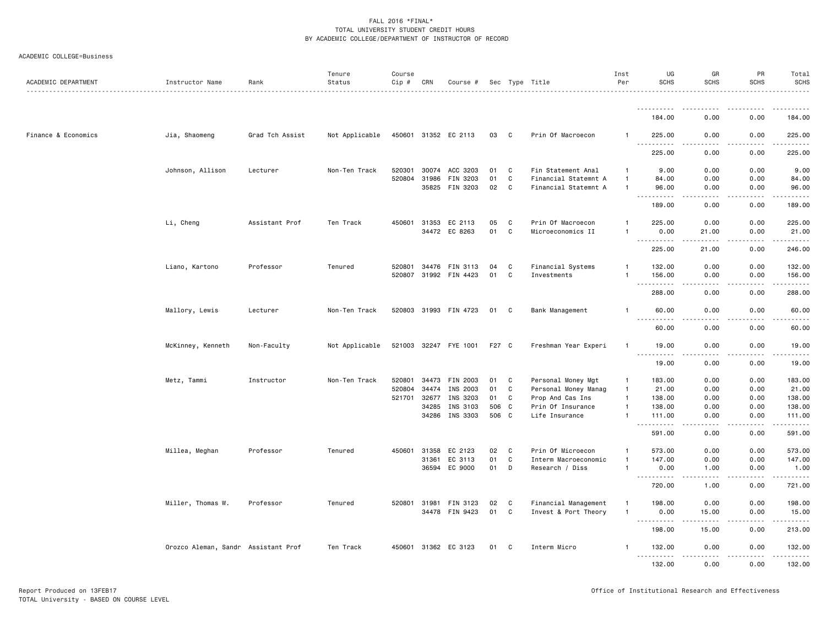|  | ACADEMIC COLLEGE=Business |
|--|---------------------------|
|--|---------------------------|

| ACADEMIC DEPARTMENT | Instructor Name                     | Rank            | Tenure<br>Status | Course<br>Cip # | CRN          | Course #              |       |              | Sec Type Title       | Inst<br>Per  | UG<br><b>SCHS</b>                  | GR<br><b>SCHS</b>                                                                                                                                             | PR<br><b>SCHS</b> | Total<br><b>SCHS</b>      |
|---------------------|-------------------------------------|-----------------|------------------|-----------------|--------------|-----------------------|-------|--------------|----------------------|--------------|------------------------------------|---------------------------------------------------------------------------------------------------------------------------------------------------------------|-------------------|---------------------------|
|                     |                                     |                 |                  |                 |              |                       |       |              |                      |              |                                    |                                                                                                                                                               |                   |                           |
|                     |                                     |                 |                  |                 |              |                       |       |              |                      |              | 184.00                             | 0.00                                                                                                                                                          | 0.00              | 184.00                    |
| Finance & Economics | Jia, Shaomeng                       | Grad Tch Assist | Not Applicable   |                 |              | 450601 31352 EC 2113  | 03 C  |              | Prin Of Macroecon    | $\mathbf{1}$ | 225.00<br>.                        | 0.00                                                                                                                                                          | 0.00              | 225.00<br>.               |
|                     |                                     |                 |                  |                 |              |                       |       |              |                      |              | 225.00                             | 0.00                                                                                                                                                          | 0.00              | 225.00                    |
|                     | Johnson, Allison                    | Lecturer        | Non-Ten Track    | 520301          | 30074        | ACC 3203              | 01    | C            | Fin Statement Anal   |              | 9.00                               | 0.00                                                                                                                                                          | 0.00              | 9.00                      |
|                     |                                     |                 |                  | 520804          | 31986        | FIN 3203              | 01    | $\mathtt{C}$ | Financial Statemnt A |              | 84.00                              | 0.00                                                                                                                                                          | 0.00              | 84.00                     |
|                     |                                     |                 |                  |                 |              | 35825 FIN 3203        | 02    | C            | Financial Statemnt A |              | 96.00<br>$\sim$ $\sim$ $\sim$<br>. | 0.00                                                                                                                                                          | 0.00              | 96.00                     |
|                     |                                     |                 |                  |                 |              |                       |       |              |                      |              | 189.00                             | 0.00                                                                                                                                                          | 0.00              | 189.00                    |
|                     | Li, Cheng                           | Assistant Prof  | Ten Track        |                 |              | 450601 31353 EC 2113  | 05    | C            | Prin Of Macroecon    |              | 225.00                             | 0.00                                                                                                                                                          | 0.00              | 225.00                    |
|                     |                                     |                 |                  |                 |              | 34472 EC 8263         | 01    | C.           | Microeconomics II    |              | 0.00                               | 21.00                                                                                                                                                         | 0.00              | 21.00                     |
|                     |                                     |                 |                  |                 |              |                       |       |              |                      |              | .<br>225.00                        | .<br>21.00                                                                                                                                                    | .<br>0.00         | .<br>246.00               |
|                     | Liano, Kartono                      | Professor       | Tenured          |                 |              | 520801 34476 FIN 3113 | 04    | C            | Financial Systems    | $\mathbf{1}$ | 132.00                             | 0.00                                                                                                                                                          | 0.00              | 132.00                    |
|                     |                                     |                 |                  |                 |              | 520807 31992 FIN 4423 | 01    | C.           | Investments          |              | 156.00                             | 0.00                                                                                                                                                          | 0.00              | 156.00                    |
|                     |                                     |                 |                  |                 |              |                       |       |              |                      |              | .<br>$  -$<br>288.00               | 0.00                                                                                                                                                          | 0.00              | .<br>288.00               |
|                     | Mallory, Lewis                      | Lecturer        | Non-Ten Track    |                 |              | 520803 31993 FIN 4723 | 01    | C.           | Bank Management      | -1           | 60.00                              | 0.00                                                                                                                                                          | 0.00              | 60.00                     |
|                     |                                     |                 |                  |                 |              |                       |       |              |                      |              |                                    |                                                                                                                                                               |                   |                           |
|                     |                                     |                 |                  |                 |              |                       |       |              |                      |              | 60.00                              | 0.00                                                                                                                                                          | 0.00              | 60.00                     |
|                     | McKinney, Kenneth                   | Non-Faculty     | Not Applicable   |                 |              | 521003 32247 FYE 1001 | F27 C |              | Freshman Year Experi |              | 19.00<br><u>.</u>                  | 0.00<br>$\sim$ $\sim$ $\sim$ $\sim$                                                                                                                           | 0.00<br>د د د د   | 19.00<br>.                |
|                     |                                     |                 |                  |                 |              |                       |       |              |                      |              | 19.00                              | 0.00                                                                                                                                                          | 0.00              | 19.00                     |
|                     | Metz, Tammi                         | Instructor      | Non-Ten Track    | 520801          | 34473        | FIN 2003              | 01    | $\mathbf{C}$ | Personal Money Mgt   | $\mathbf{1}$ | 183.00                             | 0.00                                                                                                                                                          | 0.00              | 183.00                    |
|                     |                                     |                 |                  | 520804          | 34474        | INS 2003              | 01    | C            | Personal Money Manag | $\mathbf{1}$ | 21.00                              | 0.00                                                                                                                                                          | 0.00              | 21.00                     |
|                     |                                     |                 |                  |                 | 521701 32677 | INS 3203              | 01    | C            | Prop And Cas Ins     | $\mathbf{1}$ | 138.00                             | 0.00                                                                                                                                                          | 0.00              | 138.00                    |
|                     |                                     |                 |                  |                 | 34285        | INS 3103              | 506 C |              | Prin Of Insurance    | -1           | 138.00                             | 0.00                                                                                                                                                          | 0.00              | 138.00                    |
|                     |                                     |                 |                  |                 | 34286        | INS 3303              | 506 C |              | Life Insurance       | $\mathbf{1}$ | 111.00<br><u>.</u>                 | 0.00<br>.                                                                                                                                                     | 0.00<br>.         | 111.00<br>.               |
|                     |                                     |                 |                  |                 |              |                       |       |              |                      |              | 591.00                             | 0.00                                                                                                                                                          | 0.00              | 591.00                    |
|                     | Millea, Meghan                      | Professor       | Tenured          |                 | 450601 31358 | EC 2123               | 02    | $\mathbf{C}$ | Prin Of Microecon    | -1           | 573.00                             | 0.00                                                                                                                                                          | 0.00              | 573.00                    |
|                     |                                     |                 |                  |                 | 31361        | EC 3113               | 01    | C            | Interm Macroeconomic | $\mathbf{1}$ | 147.00                             | 0.00                                                                                                                                                          | 0.00              | 147.00                    |
|                     |                                     |                 |                  |                 |              | 36594 EC 9000         | 01    | D            | Research / Diss      | -1           | 0.00                               | 1.00                                                                                                                                                          | 0.00              | 1.00                      |
|                     |                                     |                 |                  |                 |              |                       |       |              |                      |              | .<br>720.00                        | .<br>1.00                                                                                                                                                     | .<br>0.00         | دددددد<br>721.00          |
|                     | Miller, Thomas W.                   | Professor       | Tenured          |                 | 520801 31981 | FIN 3123              | 02    | C            | Financial Management | $\mathbf{1}$ | 198.00                             | 0.00                                                                                                                                                          | 0.00              | 198.00                    |
|                     |                                     |                 |                  |                 |              | 34478 FIN 9423        | 01    | C            | Invest & Port Theory | $\mathbf{1}$ | 0.00                               | 15.00                                                                                                                                                         | 0.00              | 15.00                     |
|                     |                                     |                 |                  |                 |              |                       |       |              |                      |              | .<br>198.00                        | $\frac{1}{2} \left( \frac{1}{2} \right) \left( \frac{1}{2} \right) \left( \frac{1}{2} \right) \left( \frac{1}{2} \right) \left( \frac{1}{2} \right)$<br>15.00 | .<br>0.00         | ------<br>213.00          |
|                     | Orozco Aleman, Sandr Assistant Prof |                 | Ten Track        |                 |              | 450601 31362 EC 3123  | 01 C  |              | Interm Micro         |              | 132.00                             | 0.00                                                                                                                                                          | 0.00              | 132.00                    |
|                     |                                     |                 |                  |                 |              |                       |       |              |                      |              | <u>.</u><br>132.00                 | .<br>0.00                                                                                                                                                     | .<br>0.00         | $- - - - - - -$<br>132.00 |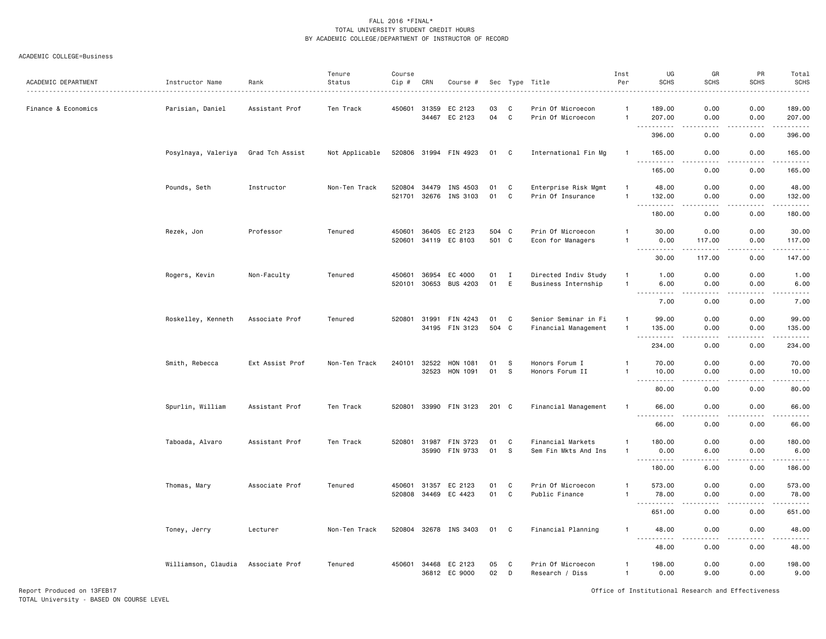#### ACADEMIC COLLEGE=Business

| ACADEMIC DEPARTMENT | Instructor Name     | Rank            | Tenure<br>Status | Course<br>Cip #        | CRN            | Course #                        |                |                  | Sec Type Title                               | Inst<br>Per                      | UG<br><b>SCHS</b>                                                                                                                                             | GR<br><b>SCHS</b>                                                                                                                                              | PR<br><b>SCHS</b> | Total<br><b>SCHS</b><br>.                                                                                                                                            |
|---------------------|---------------------|-----------------|------------------|------------------------|----------------|---------------------------------|----------------|------------------|----------------------------------------------|----------------------------------|---------------------------------------------------------------------------------------------------------------------------------------------------------------|----------------------------------------------------------------------------------------------------------------------------------------------------------------|-------------------|----------------------------------------------------------------------------------------------------------------------------------------------------------------------|
| Finance & Economics | Parisian, Daniel    | Assistant Prof  | Ten Track        |                        | 450601 31359   | EC 2123<br>34467 EC 2123        | 03<br>04       | C<br>$\mathbf c$ | Prin Of Microecon<br>Prin Of Microecon       | -1<br>$\mathbf{1}$               | 189.00<br>207.00                                                                                                                                              | 0.00<br>0.00<br>$- - -$                                                                                                                                        | 0.00<br>0.00      | 189.00<br>207.00                                                                                                                                                     |
|                     |                     |                 |                  |                        |                |                                 |                |                  |                                              |                                  | .<br>396.00                                                                                                                                                   | 0.00                                                                                                                                                           | $- - - -$<br>0.00 | .<br>396.00                                                                                                                                                          |
|                     | Posylnaya, Valeriya | Grad Tch Assist | Not Applicable   |                        |                | 520806 31994 FIN 4923           | 01 C           |                  | International Fin Mg                         | $\mathbf{1}$                     | 165.00<br>.                                                                                                                                                   | 0.00<br>$\frac{1}{2}$                                                                                                                                          | 0.00<br>.         | 165.00<br>.                                                                                                                                                          |
|                     |                     |                 |                  |                        |                |                                 |                |                  |                                              |                                  | 165.00                                                                                                                                                        | 0.00                                                                                                                                                           | 0.00              | 165.00                                                                                                                                                               |
|                     | Pounds, Seth        | Instructor      | Non-Ten Track    | 520804 34479<br>521701 | 32676          | INS 4503<br>INS 3103            | 01<br>01       | C<br>C           | Enterprise Risk Mgmt<br>Prin Of Insurance    | $\overline{1}$<br>$\overline{1}$ | 48.00<br>132.00                                                                                                                                               | 0.00<br>0.00                                                                                                                                                   | 0.00<br>0.00      | 48.00<br>132.00<br>.                                                                                                                                                 |
|                     |                     |                 |                  |                        |                |                                 |                |                  |                                              |                                  | 180.00                                                                                                                                                        | 0.00                                                                                                                                                           | 0.00              | 180.00                                                                                                                                                               |
|                     | Rezek, Jon          | Professor       | Tenured          | 450601                 | 36405          | EC 2123<br>520601 34119 EC 8103 | 504 C<br>501 C |                  | Prin Of Microecon<br>Econ for Managers       | -1<br>$\mathbf{1}$               | 30.00<br>0.00                                                                                                                                                 | 0.00<br>117.00                                                                                                                                                 | 0.00<br>0.00      | 30.00<br>117.00                                                                                                                                                      |
|                     |                     |                 |                  |                        |                |                                 |                |                  |                                              |                                  | $\frac{1}{2} \left( \frac{1}{2} \right) \left( \frac{1}{2} \right) \left( \frac{1}{2} \right) \left( \frac{1}{2} \right) \left( \frac{1}{2} \right)$<br>30.00 | $\frac{1}{2} \left( \frac{1}{2} \right) \left( \frac{1}{2} \right) \left( \frac{1}{2} \right) \left( \frac{1}{2} \right) \left( \frac{1}{2} \right)$<br>117.00 | .<br>0.00         | .<br>147.00                                                                                                                                                          |
|                     | Rogers, Kevin       | Non-Faculty     | Tenured          | 450601<br>520101       | 36954<br>30653 | EC 4000<br>BUS 4203             | 01<br>01       | I<br>E           | Directed Indiv Study<br>Business Internship  | $\mathbf{1}$<br>$\overline{1}$   | 1.00<br>6.00                                                                                                                                                  | 0.00<br>0.00<br>د د د د                                                                                                                                        | 0.00<br>0.00<br>. | 1.00<br>6.00<br>$\frac{1}{2} \left( \frac{1}{2} \right) \left( \frac{1}{2} \right) \left( \frac{1}{2} \right) \left( \frac{1}{2} \right) \left( \frac{1}{2} \right)$ |
|                     |                     |                 |                  |                        |                |                                 |                |                  |                                              |                                  | .<br>7.00                                                                                                                                                     | 0.00                                                                                                                                                           | 0.00              | 7.00                                                                                                                                                                 |
|                     | Roskelley, Kenneth  | Associate Prof  | Tenured          | 520801                 | 31991          | FIN 4243<br>34195 FIN 3123      | 01<br>504 C    | C                | Senior Seminar in Fi<br>Financial Management | -1<br>$\overline{1}$             | 99.00<br>135.00                                                                                                                                               | 0.00<br>0.00                                                                                                                                                   | 0.00<br>0.00      | 99.00<br>135.00                                                                                                                                                      |
|                     |                     |                 |                  |                        |                |                                 |                |                  |                                              |                                  | .<br>234.00                                                                                                                                                   | .<br>0.00                                                                                                                                                      | .<br>0.00         | $\begin{array}{cccccccccccccc} \bullet & \bullet & \bullet & \bullet & \bullet & \bullet & \bullet & \bullet \end{array}$<br>234.00                                  |
|                     | Smith, Rebecca      | Ext Assist Prof | Non-Ten Track    | 240101                 | 32522          | HON 1081                        | 01             | - S              | Honors Forum I                               | -1                               | 70.00                                                                                                                                                         | 0.00                                                                                                                                                           | 0.00              | 70.00                                                                                                                                                                |
|                     |                     |                 |                  |                        | 32523          | HON 1091                        | 01             | S                | Honors Forum II                              | -1                               | 10.00<br>$\sim$ $\sim$ $\sim$<br>.                                                                                                                            | 0.00<br>$\frac{1}{2}$                                                                                                                                          | 0.00<br>.         | 10.00<br>.                                                                                                                                                           |
|                     |                     |                 |                  |                        |                |                                 |                |                  |                                              |                                  | 80.00                                                                                                                                                         | 0.00                                                                                                                                                           | 0.00              | 80.00                                                                                                                                                                |
|                     | Spurlin, William    | Assistant Prof  | Ten Track        | 520801                 |                | 33990 FIN 3123                  | 201 C          |                  | Financial Management                         | -1                               | 66.00<br>----------                                                                                                                                           | 0.00<br>$\sim$ $\sim$ $\sim$ $\sim$                                                                                                                            | 0.00<br>.         | 66.00<br>.                                                                                                                                                           |
|                     |                     |                 |                  |                        |                |                                 |                |                  |                                              |                                  | 66.00                                                                                                                                                         | 0.00                                                                                                                                                           | 0.00              | 66.00                                                                                                                                                                |
|                     | Taboada, Alvaro     | Assistant Prof  | Ten Track        | 520801                 | 31987<br>35990 | FIN 3723<br>FIN 9733            | 01<br>01       | C<br>S           | Financial Markets<br>Sem Fin Mkts And Ins    | -1<br>$\overline{1}$             | 180.00<br>0.00                                                                                                                                                | 0.00<br>6.00                                                                                                                                                   | 0.00<br>0.00      | 180.00<br>6.00                                                                                                                                                       |
|                     |                     |                 |                  |                        |                |                                 |                |                  |                                              |                                  | 180.00                                                                                                                                                        | .<br>6.00                                                                                                                                                      | .<br>0.00         | .<br>186.00                                                                                                                                                          |
|                     |                     |                 |                  |                        |                |                                 |                |                  |                                              |                                  |                                                                                                                                                               |                                                                                                                                                                |                   |                                                                                                                                                                      |
|                     | Thomas, Mary        | Associate Prof  | Tenured          | 450601<br>520808 34469 | 31357          | EC 2123<br>EC 4423              | 01<br>01       | C<br>$\mathbf C$ | Prin Of Microecon<br>Public Finance          | 1<br>$\overline{1}$              | 573.00<br>78.00                                                                                                                                               | 0.00<br>0.00                                                                                                                                                   | 0.00<br>0.00      | 573.00<br>78.00                                                                                                                                                      |
|                     |                     |                 |                  |                        |                |                                 |                |                  |                                              |                                  | .<br>651.00                                                                                                                                                   | د د د د<br>0.00                                                                                                                                                | .<br>0.00         | ------<br>651.00                                                                                                                                                     |
|                     | Toney, Jerry        | Lecturer        | Non-Ten Track    |                        |                | 520804 32678 INS 3403           | 01             | C                | Financial Planning                           | $\mathbf{1}$                     | 48.00                                                                                                                                                         | 0.00                                                                                                                                                           | 0.00              | 48.00                                                                                                                                                                |
|                     |                     |                 |                  |                        |                |                                 |                |                  |                                              |                                  | <u>.</u><br>48.00                                                                                                                                             | $\frac{1}{2}$<br>0.00                                                                                                                                          | .<br>0.00         | .<br>48.00                                                                                                                                                           |
|                     | Williamson, Claudia | Associate Prof  | Tenured          | 450601                 | 34468          | EC 2123<br>36812 EC 9000        | 05<br>02       | C<br>D           | Prin Of Microecon<br>Research / Diss         | -1<br>$\overline{1}$             | 198.00<br>0.00                                                                                                                                                | 0.00<br>9.00                                                                                                                                                   | 0.00<br>0.00      | 198.00<br>9.00                                                                                                                                                       |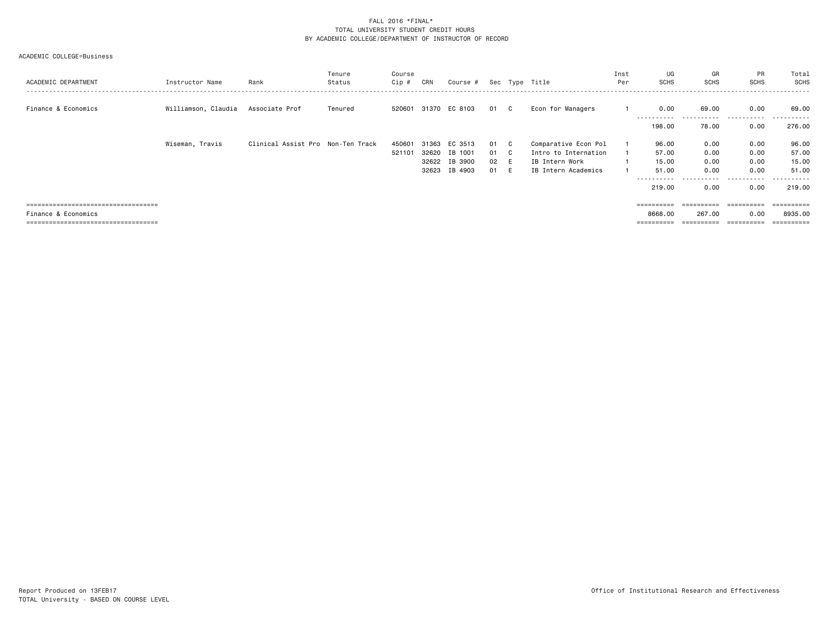#### ACADEMIC COLLEGE=Business

| ACADEMIC DEPARTMENT                   | Instructor Name                    | Rank                              | Tenure<br>Status | Course<br>Cip # | CRN   | Course #             |      |              | Sec Type Title       | Inst<br>Per | UG<br><b>SCHS</b>     | GR<br><b>SCHS</b> | PR<br>SCHS | Total<br>SCHS     |
|---------------------------------------|------------------------------------|-----------------------------------|------------------|-----------------|-------|----------------------|------|--------------|----------------------|-------------|-----------------------|-------------------|------------|-------------------|
| Finance & Economics                   | Williamson, Claudia Associate Prof |                                   | Tenured          |                 |       | 520601 31370 EC 8103 | 01 C |              | Econ for Managers    |             | 0.00                  | 69.00             | 0.00       | 69.00             |
|                                       |                                    |                                   |                  |                 |       |                      |      |              |                      |             | ----------<br>198,00  | .<br>78.00        | .<br>0.00  | -------<br>276.00 |
|                                       | Wiseman, Travis                    | Clinical Assist Pro Non-Ten Track |                  | 450601          | 31363 | EC 3513              | 01   | $\mathbf{C}$ | Comparative Econ Pol |             | 96.00                 | 0.00              | 0.00       | 96.00             |
|                                       |                                    |                                   |                  | 521101          | 32620 | IB 1001              | 01 C |              | Intro to Internation |             | 57.00                 | 0.00              | 0.00       | 57.00             |
|                                       |                                    |                                   |                  |                 | 32622 | IB 3900              | 02   | E            | IB Intern Work       |             | 15.00                 | 0.00              | 0.00       | 15.00             |
|                                       |                                    |                                   |                  |                 | 32623 | IB 4903              | 01   | - F          | IB Intern Academics  |             | 51.00                 | 0.00              | 0.00       | 51.00             |
|                                       |                                    |                                   |                  |                 |       |                      |      |              |                      |             | ----------            | .                 | .          | -------           |
|                                       |                                    |                                   |                  |                 |       |                      |      |              |                      |             | 219.00                | 0.00              | 0.00       | 219.00            |
|                                       |                                    |                                   |                  |                 |       |                      |      |              |                      |             |                       |                   |            |                   |
| ===================================== |                                    |                                   |                  |                 |       |                      |      |              |                      |             | ==========            | ==========        | ========== | ==========        |
| Finance & Economics                   |                                    |                                   |                  |                 |       |                      |      |              |                      |             | 8668.00               | 267.00            | 0.00       | 8935.00           |
| ====================================  |                                    |                                   |                  |                 |       |                      |      |              |                      |             | $=$ = = = = = = = = = | ;=========        |            | ==========        |
|                                       |                                    |                                   |                  |                 |       |                      |      |              |                      |             |                       |                   |            |                   |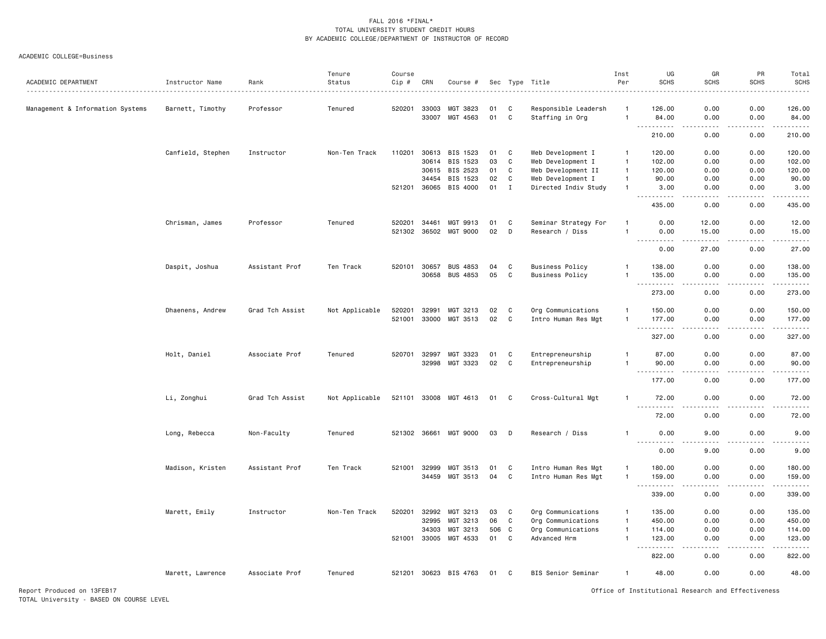#### ACADEMIC COLLEGE=Business

| ACADEMIC DEPARTMENT              | Instructor Name   | Rank            | Tenure<br>Status | Course<br>Cip # | CRN          | Course #              |     |                | Sec Type Title                          | Inst<br>Per    | UG<br><b>SCHS</b>                        | GR<br><b>SCHS</b> | PR<br><b>SCHS</b>                                                                                                                 | Total<br><b>SCHS</b>  |
|----------------------------------|-------------------|-----------------|------------------|-----------------|--------------|-----------------------|-----|----------------|-----------------------------------------|----------------|------------------------------------------|-------------------|-----------------------------------------------------------------------------------------------------------------------------------|-----------------------|
|                                  |                   |                 | Tenured          | 520201          | 33003        |                       | 01  | C              |                                         | -1             | 126.00                                   |                   | 0.00                                                                                                                              | .                     |
| Management & Information Systems | Barnett, Timothy  | Professor       |                  |                 | 33007        | MGT 3823<br>MGT 4563  | 01  | $\mathbf c$    | Responsible Leadersh<br>Staffing in Org | $\mathbf{1}$   | 84.00                                    | 0.00<br>0.00      | 0.00                                                                                                                              | 126.00<br>84.00       |
|                                  |                   |                 |                  |                 |              |                       |     |                |                                         |                | .<br>210.00                              | .<br>0.00         | .<br>0.00                                                                                                                         | .<br>210.00           |
|                                  | Canfield, Stephen | Instructor      | Non-Ten Track    | 110201          | 30613        | BIS 1523              | 01  | C              | Web Development I                       | $\mathbf{1}$   | 120.00                                   | 0.00              | 0.00                                                                                                                              | 120.00                |
|                                  |                   |                 |                  |                 | 30614        | BIS 1523              | 03  | $\mathtt{C}$   | Web Development I                       | $\overline{1}$ | 102.00                                   | 0.00              | 0.00                                                                                                                              | 102.00                |
|                                  |                   |                 |                  |                 | 30615        | BIS 2523              | 01  | C              | Web Development II                      | $\mathbf{1}$   | 120.00                                   | 0.00              | 0.00                                                                                                                              | 120.00                |
|                                  |                   |                 |                  |                 | 34454        | BIS 1523              | 02  | C              | Web Development I                       | $\mathbf{1}$   | 90.00                                    | 0.00              | 0.00                                                                                                                              | 90.00                 |
|                                  |                   |                 |                  | 521201          |              | 36065 BIS 4000        | 01  | $\blacksquare$ | Directed Indiv Study                    | $\mathbf{1}$   | 3.00                                     | 0.00              | 0.00                                                                                                                              | 3.00                  |
|                                  |                   |                 |                  |                 |              |                       |     |                |                                         |                | $- - -$<br>.<br>435.00                   | .<br>0.00         | .<br>0.00                                                                                                                         | .<br>435.00           |
|                                  | Chrisman, James   | Professor       | Tenured          | 520201          | 34461        | MGT 9913              | 01  | C              | Seminar Strategy For                    | $\mathbf{1}$   | 0.00                                     | 12.00             | 0.00                                                                                                                              | 12.00                 |
|                                  |                   |                 |                  | 521302          | 36502        | MGT 9000              | 02  | D              | Research / Diss                         | 1              | 0.00                                     | 15.00             | 0.00                                                                                                                              | 15.00                 |
|                                  |                   |                 |                  |                 |              |                       |     |                |                                         |                | ----                                     | .                 | $\frac{1}{2}$                                                                                                                     | .                     |
|                                  |                   |                 |                  |                 |              |                       |     |                |                                         |                | 0.00                                     | 27.00             | 0.00                                                                                                                              | 27.00                 |
|                                  | Daspit, Joshua    | Assistant Prof  | Ten Track        | 520101          | 30657        | <b>BUS 4853</b>       | 04  | C              | <b>Business Policy</b>                  | -1             | 138.00                                   | 0.00              | 0.00                                                                                                                              | 138.00                |
|                                  |                   |                 |                  |                 | 30658        | BUS 4853              | 05  | C              | <b>Business Policy</b>                  | $\mathbf{1}$   | 135.00                                   | 0.00              | 0.00                                                                                                                              | 135.00                |
|                                  |                   |                 |                  |                 |              |                       |     |                |                                         |                | .<br>273.00                              | <u>.</u><br>0.00  | $\frac{1}{2} \left( \frac{1}{2} \right) \left( \frac{1}{2} \right) \left( \frac{1}{2} \right) \left( \frac{1}{2} \right)$<br>0.00 | د د د د د د<br>273.00 |
|                                  |                   |                 |                  |                 |              |                       |     |                |                                         |                |                                          |                   |                                                                                                                                   |                       |
|                                  | Dhaenens, Andrew  | Grad Tch Assist | Not Applicable   | 520201          | 32991        | MGT 3213              | 02  | C              | Org Communications                      | 1              | 150.00                                   | 0.00              | 0.00                                                                                                                              | 150.00                |
|                                  |                   |                 |                  |                 | 521001 33000 | MGT 3513              | 02  | C              | Intro Human Res Mgt                     | $\mathbf{1}$   | 177.00<br>.<br>$\sim$ $\sim$ $\sim$      | 0.00<br>.         | 0.00<br>.                                                                                                                         | 177.00<br>.           |
|                                  |                   |                 |                  |                 |              |                       |     |                |                                         |                | 327.00                                   | 0.00              | 0.00                                                                                                                              | 327.00                |
|                                  |                   | Associate Prof  | Tenured          | 520701          | 32997        | MGT 3323              | 01  | C              |                                         | $\mathbf{1}$   | 87.00                                    | 0.00              | 0.00                                                                                                                              | 87.00                 |
|                                  | Holt, Daniel      |                 |                  |                 |              |                       |     |                | Entrepreneurship                        | $\mathbf{1}$   |                                          |                   |                                                                                                                                   |                       |
|                                  |                   |                 |                  |                 | 32998        | MGT 3323              | 02  | C              | Entrepreneurship                        |                | 90.00<br>$\sim$ $\sim$<br>.              | 0.00              | 0.00                                                                                                                              | 90.00<br>.            |
|                                  |                   |                 |                  |                 |              |                       |     |                |                                         |                | 177.00                                   | 0.00              | 0.00                                                                                                                              | 177.00                |
|                                  | Li, Zonghui       | Grad Tch Assist | Not Applicable   |                 |              | 521101 33008 MGT 4613 | 01  | C              | Cross-Cultural Mgt                      | -1             | 72.00                                    | 0.00              | 0.00                                                                                                                              | 72.00                 |
|                                  |                   |                 |                  |                 |              |                       |     |                |                                         |                | 72.00                                    | 0.00              | 0.00                                                                                                                              | 72.00                 |
|                                  | Long, Rebecca     | Non-Faculty     | Tenured          |                 |              | 521302 36661 MGT 9000 | 03  | D              | Research / Diss                         | -1             | 0.00                                     | 9.00              | 0.00                                                                                                                              | 9.00                  |
|                                  |                   |                 |                  |                 |              |                       |     |                |                                         |                | $\sim$ $\sim$ $\sim$ $\sim$<br>.<br>0.00 | 9.00              | 0.00                                                                                                                              | 9.00                  |
|                                  |                   |                 |                  |                 |              |                       |     |                |                                         |                |                                          |                   |                                                                                                                                   |                       |
|                                  | Madison, Kristen  | Assistant Prof  | Ten Track        | 521001          | 32999        | MGT 3513              | 01  | C              | Intro Human Res Mgt                     | $\mathbf{1}$   | 180.00                                   | 0.00              | 0.00                                                                                                                              | 180.00                |
|                                  |                   |                 |                  |                 | 34459        | MGT 3513              | 04  | C              | Intro Human Res Mgt                     | $\mathbf{1}$   | 159.00<br>$\sim$ $\sim$ $\sim$<br>.      | 0.00<br>د د د د   | 0.00<br>.                                                                                                                         | 159.00<br>.           |
|                                  |                   |                 |                  |                 |              |                       |     |                |                                         |                | 339.00                                   | 0.00              | 0.00                                                                                                                              | 339.00                |
|                                  | Marett, Emily     | Instructor      | Non-Ten Track    | 520201          | 32992        | MGT 3213              | 03  | C              | Org Communications                      | $\mathbf{1}$   | 135.00                                   | 0.00              | 0.00                                                                                                                              | 135.00                |
|                                  |                   |                 |                  |                 | 32995        | MGT 3213              | 06  | C              | Org Communications                      | $\mathbf{1}$   | 450.00                                   | 0.00              | 0.00                                                                                                                              | 450.00                |
|                                  |                   |                 |                  |                 | 34303        | MGT 3213              | 506 | C              | Org Communications                      | $\mathbf{1}$   | 114.00                                   | 0.00              | 0.00                                                                                                                              | 114.00                |
|                                  |                   |                 |                  |                 | 521001 33005 | MGT 4533              | 01  | C              | Advanced Hrm                            | $\mathbf{1}$   | 123.00                                   | 0.00              | 0.00                                                                                                                              | 123.00                |
|                                  |                   |                 |                  |                 |              |                       |     |                |                                         |                | د د د د د<br>822.00                      | 0.00              | 0.00                                                                                                                              | .<br>822.00           |
|                                  | Marett, Lawrence  | Associate Prof  | Tenured          |                 |              | 521201 30623 BIS 4763 | 01  | C              | BIS Senior Seminar                      | $\mathbf{1}$   | 48.00                                    | 0.00              | 0.00                                                                                                                              | 48.00                 |
|                                  |                   |                 |                  |                 |              |                       |     |                |                                         |                |                                          |                   |                                                                                                                                   |                       |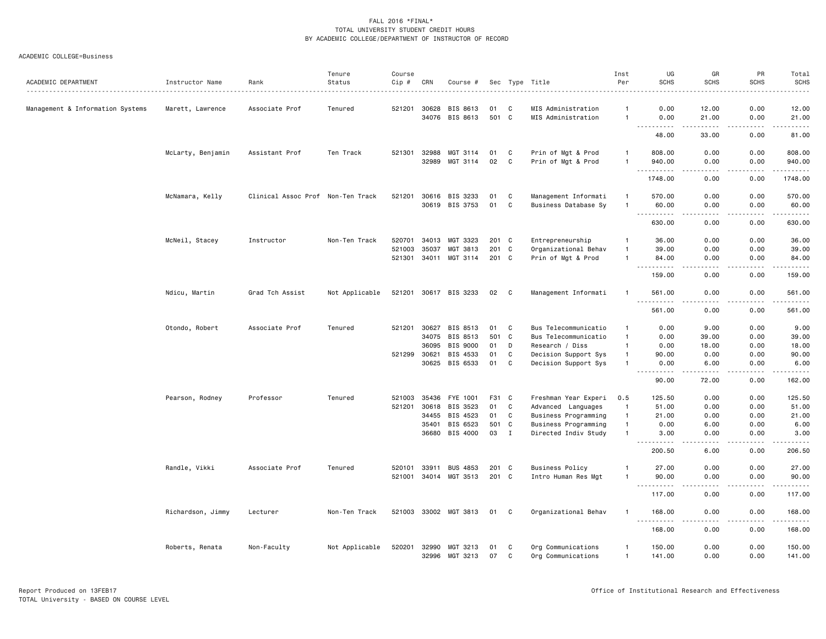#### ACADEMIC COLLEGE=Business

| ACADEMIC DEPARTMENT              | Instructor Name   | Rank                              | Tenure<br>Status | Course<br>Cip # | CRN   | Course #              |       |              | Sec Type Title         | Inst<br>Per    | UG<br><b>SCHS</b>                                                                                                                                                                     | GR<br><b>SCHS</b>     | PR<br><b>SCHS</b>                                                                                                                 | Total<br><b>SCHS</b>                                                                                                                                 |
|----------------------------------|-------------------|-----------------------------------|------------------|-----------------|-------|-----------------------|-------|--------------|------------------------|----------------|---------------------------------------------------------------------------------------------------------------------------------------------------------------------------------------|-----------------------|-----------------------------------------------------------------------------------------------------------------------------------|------------------------------------------------------------------------------------------------------------------------------------------------------|
|                                  |                   |                                   |                  |                 |       |                       |       |              |                        |                |                                                                                                                                                                                       |                       |                                                                                                                                   | $\frac{1}{2} \left( \frac{1}{2} \right) \left( \frac{1}{2} \right) \left( \frac{1}{2} \right) \left( \frac{1}{2} \right) \left( \frac{1}{2} \right)$ |
| Management & Information Systems | Marett, Lawrence  | Associate Prof                    | Tenured          | 521201          | 30628 | BIS 8613              | 01    | C            | MIS Administration     | $\mathbf{1}$   | 0.00                                                                                                                                                                                  | 12.00                 | 0.00                                                                                                                              | 12.00                                                                                                                                                |
|                                  |                   |                                   |                  |                 | 34076 | BIS 8613              | 501 C |              | MIS Administration     | $\overline{1}$ | 0.00<br>.                                                                                                                                                                             | 21.00<br>.            | 0.00<br>.                                                                                                                         | 21.00<br>.                                                                                                                                           |
|                                  |                   |                                   |                  |                 |       |                       |       |              |                        |                | 48.00                                                                                                                                                                                 | 33.00                 | 0.00                                                                                                                              | 81.00                                                                                                                                                |
|                                  | McLarty, Benjamin | Assistant Prof                    | Ten Track        | 521301          | 32988 | MGT 3114              | 01    | C            | Prin of Mgt & Prod     | $\overline{1}$ | 808.00                                                                                                                                                                                | 0.00                  | 0.00                                                                                                                              | 808.00                                                                                                                                               |
|                                  |                   |                                   |                  |                 | 32989 | MGT 3114              | 02    | $\mathbf c$  | Prin of Mgt & Prod     | $\mathbf{1}$   | 940.00<br><u> - - - - - - - - - -</u>                                                                                                                                                 | 0.00<br>.             | 0.00<br>$\frac{1}{2} \left( \frac{1}{2} \right) \left( \frac{1}{2} \right) \left( \frac{1}{2} \right) \left( \frac{1}{2} \right)$ | 940.00<br>.                                                                                                                                          |
|                                  |                   |                                   |                  |                 |       |                       |       |              |                        |                | 1748.00                                                                                                                                                                               | 0.00                  | 0.00                                                                                                                              | 1748.00                                                                                                                                              |
|                                  | McNamara, Kelly   | Clinical Assoc Prof Non-Ten Track |                  | 521201          | 30616 | BIS 3233              | 01    | C            | Management Informati   | $\mathbf{1}$   | 570.00                                                                                                                                                                                | 0.00                  | 0.00                                                                                                                              | 570.00                                                                                                                                               |
|                                  |                   |                                   |                  |                 | 30619 | BIS 3753              | 01    | C            | Business Database Sy   | $\overline{1}$ | 60.00                                                                                                                                                                                 | 0.00                  | 0.00                                                                                                                              | 60.00                                                                                                                                                |
|                                  |                   |                                   |                  |                 |       |                       |       |              |                        |                | $- - -$<br>. <b>.</b><br>630.00                                                                                                                                                       | $\frac{1}{2}$<br>0.00 | . <u>.</u> .<br>0.00                                                                                                              | .<br>630.00                                                                                                                                          |
|                                  | McNeil, Stacey    | Instructor                        | Non-Ten Track    | 520701          | 34013 | MGT 3323              | 201   | C            | Entrepreneurship       | $\overline{1}$ | 36.00                                                                                                                                                                                 | 0.00                  | 0.00                                                                                                                              | 36.00                                                                                                                                                |
|                                  |                   |                                   |                  | 521003          | 35037 | MGT 3813              | 201   | C            | Organizational Behav   | $\overline{1}$ | 39.00                                                                                                                                                                                 | 0.00                  | 0.00                                                                                                                              | 39.00                                                                                                                                                |
|                                  |                   |                                   |                  | 521301 34011    |       | MGT 3114              | 201 C |              | Prin of Mgt & Prod     | $\overline{1}$ | 84.00                                                                                                                                                                                 | 0.00                  | 0.00                                                                                                                              | 84.00                                                                                                                                                |
|                                  |                   |                                   |                  |                 |       |                       |       |              |                        |                | $\sim$ $\sim$ .<br>159.00                                                                                                                                                             | 0.00                  | $   -$<br>0.00                                                                                                                    | .<br>159.00                                                                                                                                          |
|                                  | Ndicu, Martin     | Grad Tch Assist                   | Not Applicable   |                 |       | 521201 30617 BIS 3233 | 02    | C            | Management Informati   |                | 561.00                                                                                                                                                                                | 0.00                  | 0.00                                                                                                                              | 561.00                                                                                                                                               |
|                                  |                   |                                   |                  |                 |       |                       |       |              |                        |                | $\omega$ $\omega$ $\omega$<br>561.00                                                                                                                                                  | 0.00                  | 0.00                                                                                                                              | .<br>561.00                                                                                                                                          |
|                                  | Otondo, Robert    | Associate Prof                    | Tenured          | 521201          | 30627 | BIS 8513              | 01    | C            | Bus Telecommunicatio   | $\mathbf{1}$   | 0.00                                                                                                                                                                                  | 9.00                  | 0.00                                                                                                                              | 9.00                                                                                                                                                 |
|                                  |                   |                                   |                  |                 | 34075 | BIS 8513              | 501   | $\mathbf{C}$ | Bus Telecommunicatio   | $\mathbf{1}$   | 0.00                                                                                                                                                                                  | 39.00                 | 0.00                                                                                                                              | 39.00                                                                                                                                                |
|                                  |                   |                                   |                  |                 | 36095 | BIS 9000              | 01    | D            | Research / Diss        | $\mathbf{1}$   | 0.00                                                                                                                                                                                  | 18.00                 | 0.00                                                                                                                              | 18.00                                                                                                                                                |
|                                  |                   |                                   |                  | 521299          | 30621 | BIS 4533              | 01    | C            | Decision Support Sys   | $\mathbf{1}$   | 90.00                                                                                                                                                                                 | 0.00                  | 0.00                                                                                                                              | 90.00                                                                                                                                                |
|                                  |                   |                                   |                  |                 |       | 30625 BIS 6533        | 01    | C            | Decision Support Sys   | $\mathbf{1}$   | 0.00                                                                                                                                                                                  | 6.00                  | 0.00                                                                                                                              | 6.00<br>$- - - - -$                                                                                                                                  |
|                                  |                   |                                   |                  |                 |       |                       |       |              |                        |                | 90.00                                                                                                                                                                                 | 72.00                 | 0.00                                                                                                                              | 162.00                                                                                                                                               |
|                                  | Pearson, Rodney   | Professor                         | Tenured          | 521003          | 35436 | FYE 1001              | F31   | C            | Freshman Year Experi   | 0.5            | 125.50                                                                                                                                                                                | 0.00                  | 0.00                                                                                                                              | 125.50                                                                                                                                               |
|                                  |                   |                                   |                  | 521201          | 30618 | BIS 3523              | 01    | C            | Advanced Languages     | $\overline{1}$ | 51.00                                                                                                                                                                                 | 0.00                  | 0.00                                                                                                                              | 51.00                                                                                                                                                |
|                                  |                   |                                   |                  |                 | 34455 | BIS 4523              | 01    | C            | Business Programming   | $\overline{1}$ | 21.00                                                                                                                                                                                 | 0.00                  | 0.00                                                                                                                              | 21.00                                                                                                                                                |
|                                  |                   |                                   |                  |                 | 35401 | BIS 6523              | 501 C |              | Business Programming   | $\overline{1}$ | 0.00                                                                                                                                                                                  | 6.00                  | 0.00                                                                                                                              | 6.00                                                                                                                                                 |
|                                  |                   |                                   |                  |                 | 36680 | BIS 4000              | 03    | $\mathbf{I}$ | Directed Indiv Study   | $\mathbf{1}$   | 3.00<br>.<br>$\sim$ $\sim$ $\sim$                                                                                                                                                     | 0.00<br>الدامات بال   | 0.00<br>.                                                                                                                         | 3.00<br>------                                                                                                                                       |
|                                  |                   |                                   |                  |                 |       |                       |       |              |                        |                | 200.50                                                                                                                                                                                | 6.00                  | 0.00                                                                                                                              | 206.50                                                                                                                                               |
|                                  | Randle, Vikki     | Associate Prof                    | Tenured          | 520101          | 33911 | <b>BUS 4853</b>       | 201 C |              | <b>Business Policy</b> | $\mathbf{1}$   | 27.00                                                                                                                                                                                 | 0.00                  | 0.00                                                                                                                              | 27.00                                                                                                                                                |
|                                  |                   |                                   |                  | 521001          |       | 34014 MGT 3513        | 201 C |              | Intro Human Res Mgt    | $\overline{1}$ | 90.00<br>$\sim$ $\sim$ $\sim$<br>$\frac{1}{2} \left( \frac{1}{2} \right) \left( \frac{1}{2} \right) \left( \frac{1}{2} \right) \left( \frac{1}{2} \right) \left( \frac{1}{2} \right)$ | 0.00                  | 0.00<br>.                                                                                                                         | 90.00<br>.                                                                                                                                           |
|                                  |                   |                                   |                  |                 |       |                       |       |              |                        |                | 117.00                                                                                                                                                                                | 0.00                  | 0.00                                                                                                                              | 117.00                                                                                                                                               |
|                                  | Richardson, Jimmy | Lecturer                          | Non-Ten Track    | 521003          |       | 33002 MGT 3813        | 01    | C.           | Organizational Behav   |                | 168.00                                                                                                                                                                                | 0.00                  | 0.00                                                                                                                              | 168.00                                                                                                                                               |
|                                  |                   |                                   |                  |                 |       |                       |       |              |                        |                | .<br>168.00                                                                                                                                                                           | المتمام المنا<br>0.00 | .<br>0.00                                                                                                                         | .<br>168.00                                                                                                                                          |
|                                  | Roberts, Renata   | Non-Faculty                       | Not Applicable   | 520201          | 32990 | MGT 3213              | 01    | C            | Org Communications     | $\mathbf{1}$   | 150.00                                                                                                                                                                                | 0.00                  | 0.00                                                                                                                              | 150.00                                                                                                                                               |
|                                  |                   |                                   |                  |                 | 32996 | MGT 3213              | 07    | C            | Org Communications     | $\mathbf{1}$   | 141.00                                                                                                                                                                                | 0.00                  | 0.00                                                                                                                              | 141.00                                                                                                                                               |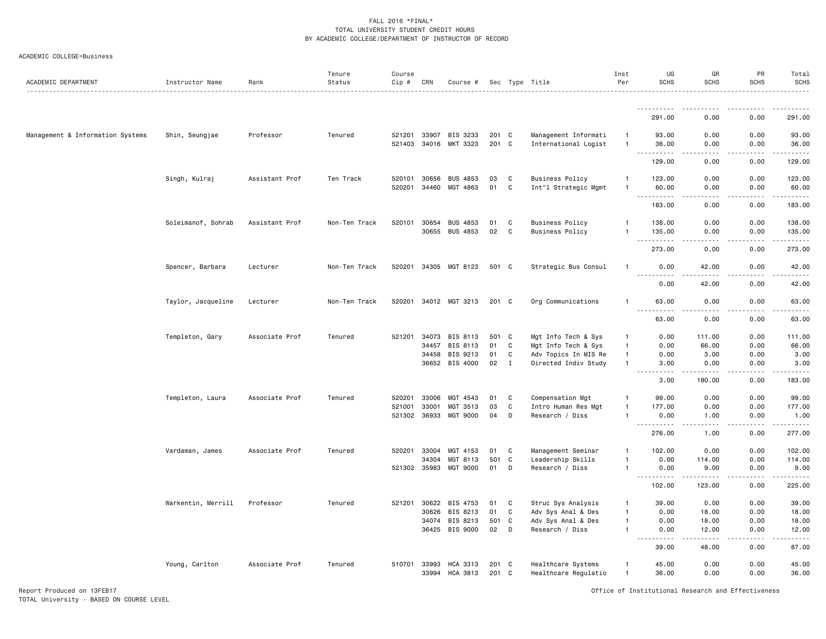#### ACADEMIC COLLEGE=Business

| ACADEMIC DEPARTMENT              | Instructor Name    | Rank           | Tenure<br>Status<br>. | Course<br>Cip #        | CRN                     | Course #                          |                   |                       | Sec Type Title                                                     | Inst<br>Per                                      | UG<br><b>SCHS</b>                                                                                                                                                 | GR<br><b>SCHS</b>                   | PR<br><b>SCHS</b>    | Total<br><b>SCHS</b><br>. <u>.</u> . |
|----------------------------------|--------------------|----------------|-----------------------|------------------------|-------------------------|-----------------------------------|-------------------|-----------------------|--------------------------------------------------------------------|--------------------------------------------------|-------------------------------------------------------------------------------------------------------------------------------------------------------------------|-------------------------------------|----------------------|--------------------------------------|
|                                  |                    |                |                       |                        |                         |                                   |                   |                       |                                                                    |                                                  | .                                                                                                                                                                 | $\frac{1}{2}$                       | <u>.</u>             | .                                    |
|                                  |                    |                |                       |                        |                         |                                   |                   |                       |                                                                    |                                                  | 291.00                                                                                                                                                            | 0.00                                | 0.00                 | 291.00                               |
| Management & Information Systems | Shin, Seungjae     | Professor      | Tenured               | 521201                 | 33907                   | BIS 3233<br>521403 34016 MKT 3323 | 201 C<br>$201$ C  |                       | Management Informati<br>International Logist                       | $\overline{1}$<br>$\overline{1}$                 | 93.00<br>36.00                                                                                                                                                    | 0.00<br>0.00                        | 0.00<br>0.00         | 93.00<br>36.00                       |
|                                  |                    |                |                       |                        |                         |                                   |                   |                       |                                                                    |                                                  | $\sim$ $\sim$ $\sim$<br>.<br>129.00                                                                                                                               | $\sim$ $\sim$ $\sim$<br>0.00        | .<br>0.00            | <u>.</u><br>129.00                   |
|                                  | Singh, Kulraj      | Assistant Prof | Ten Track             | 520101<br>520201       | 30656<br>34460          | <b>BUS 4853</b><br>MGT 4863       | 03<br>01          | C<br>C                | <b>Business Policy</b><br>Int"l Strategic Mgmt                     | -1<br>$\overline{1}$                             | 123.00<br>60.00                                                                                                                                                   | 0.00<br>0.00                        | 0.00<br>0.00         | 123.00<br>60.00                      |
|                                  |                    |                |                       |                        |                         |                                   |                   |                       |                                                                    |                                                  | .<br>183.00                                                                                                                                                       | $\sim$ $\sim$ $\sim$ $\sim$<br>0.00 | .<br>0.00            | .<br>183.00                          |
|                                  | Soleimanof, Sohrab | Assistant Prof | Non-Ten Track         | 520101                 | 30654<br>30655          | <b>BUS 4853</b><br>BUS 4853       | 01<br>02          | C<br>C                | <b>Business Policy</b><br><b>Business Policy</b>                   | $\overline{1}$<br>$\mathbf{1}$                   | 138.00<br>135.00                                                                                                                                                  | 0.00<br>0.00                        | 0.00<br>0.00         | 138.00<br>135.00                     |
|                                  |                    |                |                       |                        |                         |                                   |                   |                       |                                                                    |                                                  | $\sim$ $\sim$ .<br>د د د د<br>273.00                                                                                                                              | 0.00                                | 0.00                 | .<br>273.00                          |
|                                  | Spencer, Barbara   | Lecturer       | Non-Ten Track         | 520201                 |                         | 34305 MGT 8123                    | 501 C             |                       | Strategic Bus Consul                                               | $\overline{1}$                                   | 0.00<br>$\frac{1}{2} \left( \frac{1}{2} \right) \left( \frac{1}{2} \right) \left( \frac{1}{2} \right) \left( \frac{1}{2} \right) \left( \frac{1}{2} \right)$<br>. | 42.00<br>.                          | 0.00<br>.            | 42.00<br>.                           |
|                                  |                    |                |                       |                        |                         |                                   |                   |                       |                                                                    |                                                  | 0.00                                                                                                                                                              | 42.00                               | 0.00                 | 42.00                                |
|                                  | Taylor, Jacqueline | Lecturer       | Non-Ten Track         |                        |                         | 520201 34012 MGT 3213             | 201 C             |                       | Org Communications                                                 | $\mathbf{1}$                                     | 63.00<br>.<br>$\sim$ $\sim$ $\sim$                                                                                                                                | 0.00<br>- - - - -                   | 0.00<br>-----        | 63.00<br>.                           |
|                                  |                    |                |                       |                        |                         |                                   |                   |                       |                                                                    |                                                  | 63.00                                                                                                                                                             | 0.00                                | 0.00                 | 63.00                                |
|                                  | Templeton, Gary    | Associate Prof | Tenured               | 521201                 | 34073<br>34457<br>34458 | BIS 8113<br>BIS 8113<br>BIS 9213  | 501 C<br>01<br>01 | C<br>C                | Mgt Info Tech & Sys<br>Mgt Info Tech & Sys<br>Adv Topics In MIS Re | $\mathbf{1}$<br>$\overline{1}$<br>$\overline{1}$ | 0.00<br>0.00<br>0.00                                                                                                                                              | 111.00<br>66.00<br>3.00             | 0.00<br>0.00<br>0.00 | 111.00<br>66.00<br>3.00              |
|                                  |                    |                |                       |                        |                         | 36652 BIS 4000                    | 02                | $\mathbf{I}$          | Directed Indiv Study                                               | $\overline{1}$                                   | 3.00<br>المالما ماليا<br>3.00                                                                                                                                     | 0.00<br>$- - - - -$<br>180.00       | 0.00<br>.<br>0.00    | 3.00<br>183.00                       |
|                                  | Templeton, Laura   | Associate Prof | Tenured               | 520201<br>521001       | 33006<br>33001          | MGT 4543<br>MGT 3513              | 01<br>03          | C<br>C                | Compensation Mgt<br>Intro Human Res Mgt                            | $\overline{1}$                                   | 99.00<br>177.00                                                                                                                                                   | 0.00<br>0.00                        | 0.00<br>0.00         | 99.00<br>177.00                      |
|                                  |                    |                |                       |                        | 521302 36933            | MGT 9000                          | 04                | D                     | Research / Diss                                                    | $\overline{1}$                                   | 0.00                                                                                                                                                              | 1.00                                | 0.00                 | 1.00<br>.                            |
|                                  |                    |                |                       |                        |                         |                                   |                   |                       |                                                                    |                                                  | 276.00                                                                                                                                                            | 1.00                                | 0.00                 | 277.00                               |
|                                  | Vardaman, James    | Associate Prof | Tenured               | 520201<br>521302 35983 | 33004<br>34304          | MGT 4153<br>MGT 8113<br>MGT 9000  | 01<br>501<br>01   | C<br>$\mathbf C$<br>D | Management Seminar<br>Leadership Skills<br>Research / Diss         | $\mathbf{1}$<br>-1<br>$\mathbf{1}$               | 102.00<br>0.00<br>0.00                                                                                                                                            | 0.00<br>114.00<br>9.00              | 0.00<br>0.00<br>0.00 | 102.00<br>114.00<br>9.00             |
|                                  |                    |                |                       |                        |                         |                                   |                   |                       |                                                                    |                                                  | .<br>102.00                                                                                                                                                       | .<br>123.00                         | .<br>0.00            | .<br>225.00                          |
|                                  | Warkentin, Merrill | Professor      | Tenured               | 521201                 | 30622<br>30626          | BIS 4753<br>BIS 8213              | 01<br>01          | C<br>C                | Struc Sys Analysis<br>Adv Sys Anal & Des                           | -1<br>$\mathbf{1}$                               | 39.00<br>0.00                                                                                                                                                     | 0.00<br>18.00                       | 0.00<br>0.00         | 39.00<br>18.00                       |
|                                  |                    |                |                       |                        | 34074                   | BIS 8213<br>36425 BIS 9000        | 501<br>02         | C<br>D                | Adv Sys Anal & Des<br>Research / Diss                              | $\mathbf{1}$<br>$\overline{1}$                   | 0.00<br>0.00<br>.<br>$\sim$ $\sim$ $\sim$                                                                                                                         | 18.00<br>12.00<br>.                 | 0.00<br>0.00<br>.    | 18.00<br>12.00<br>.                  |
|                                  |                    |                |                       |                        |                         |                                   |                   |                       |                                                                    |                                                  | 39.00                                                                                                                                                             | 48.00                               | 0.00                 | 87.00                                |
|                                  | Young, Carlton     | Associate Prof | Tenured               | 510701                 | 33993                   | HCA 3313<br>33994 HCA 3813        | 201 C<br>201 C    |                       | Healthcare Systems<br>Healthcare Regulatio                         | $\mathbf{1}$<br>$\overline{1}$                   | 45.00<br>36.00                                                                                                                                                    | 0.00<br>0.00                        | 0.00<br>0.00         | 45.00<br>36.00                       |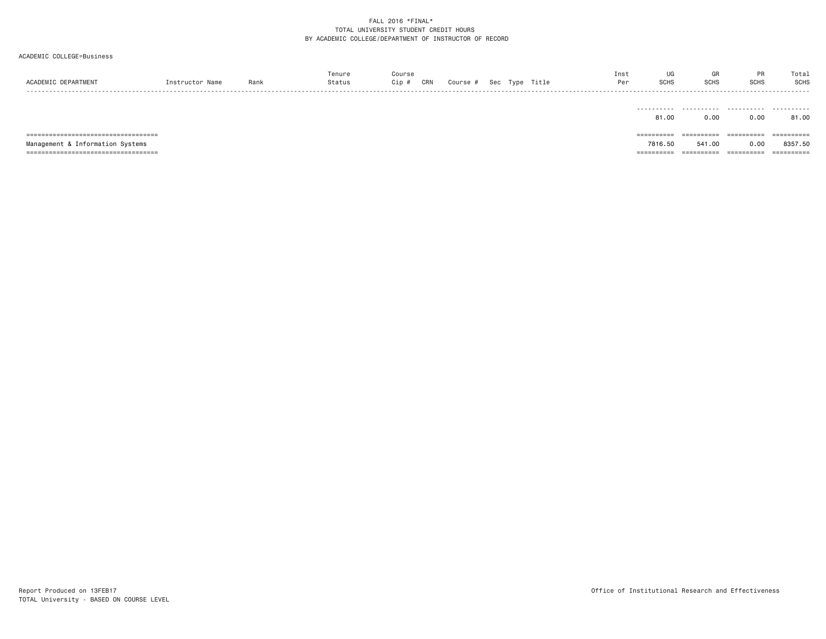#### ACADEMIC COLLEGE=Business

| ACADEMIC DEPARTMENT                    | Instructor Name | Rank | Tenure<br>Status | Course<br>Cip # | CRN | Course # |  | Sec Type Title | Inst<br>Per | UG<br>SCHS | GR<br><b>SCHS</b> | <b>PR</b><br><b>SCHS</b> | Total<br><b>SCHS</b><br>----- |
|----------------------------------------|-----------------|------|------------------|-----------------|-----|----------|--|----------------|-------------|------------|-------------------|--------------------------|-------------------------------|
|                                        |                 |      |                  |                 |     |          |  |                |             | 81.00      | 0.00              | 0.00                     | 81.00                         |
| ====================================== |                 |      |                  |                 |     |          |  |                |             | =========  | ==========        | ==========               | ==========                    |
| Management & Information Systems       |                 |      |                  |                 |     |          |  |                |             | 7816.50    | 541.00            | 0.00                     | 8357.50                       |
| ====================================== |                 |      |                  |                 |     |          |  |                |             | ========== | ==========        | ==========               |                               |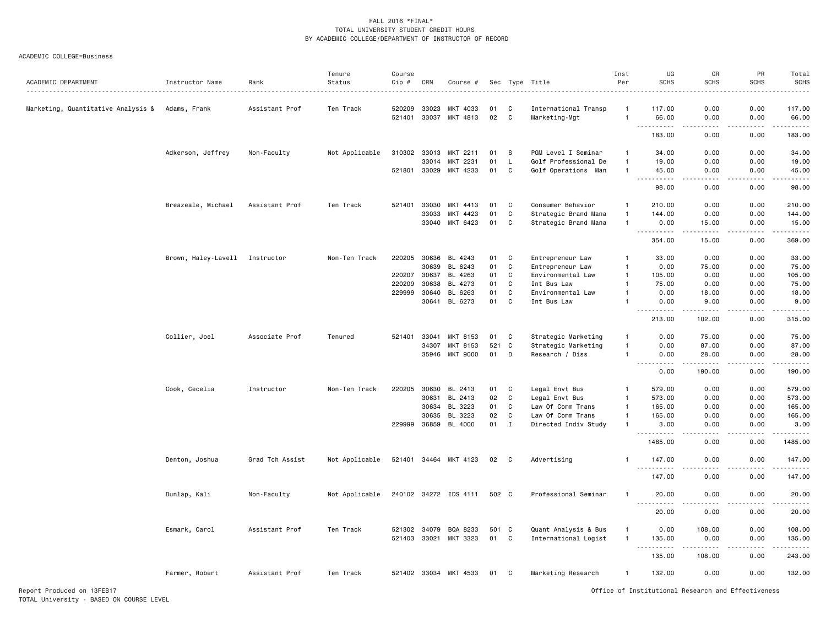#### ACADEMIC COLLEGE=Business

| ACADEMIC DEPARTMENT                | Instructor Name     | Rank            | Tenure<br>Status | Course<br>Cip # | CRN   | Course #              |       |              | Sec Type Title       | Inst<br>Per    | UG<br><b>SCHS</b>                  | GR<br><b>SCHS</b> | PR<br><b>SCHS</b><br>. | Total<br><b>SCHS</b><br>. |
|------------------------------------|---------------------|-----------------|------------------|-----------------|-------|-----------------------|-------|--------------|----------------------|----------------|------------------------------------|-------------------|------------------------|---------------------------|
| Marketing, Quantitative Analysis & | Adams, Frank        | Assistant Prof  | Ten Track        | 520209          | 33023 | MKT 4033              | 01    | C            | International Transp | $\mathbf{1}$   | 117.00                             | 0.00              | 0.00                   | 117.00                    |
|                                    |                     |                 |                  | 521401          | 33037 | MKT 4813              | 02    | C            | Marketing-Mgt        | $\overline{1}$ | 66.00<br>.                         | 0.00<br>.         | 0.00<br>.              | 66.00<br>.                |
|                                    |                     |                 |                  |                 |       |                       |       |              |                      |                | 183.00                             | 0.00              | 0.00                   | 183.00                    |
|                                    | Adkerson, Jeffrey   | Non-Faculty     | Not Applicable   | 310302          | 33013 | MKT 2211              | 01    | <b>S</b>     | PGM Level I Seminar  |                | 34,00                              | 0.00              | 0.00                   | 34.00                     |
|                                    |                     |                 |                  |                 | 33014 | MKT 2231              | 01    | L            | Golf Professional De | $\overline{1}$ | 19.00                              | 0.00              | 0.00                   | 19.00                     |
|                                    |                     |                 |                  | 521801 33029    |       | MKT 4233              | 01    | C            | Golf Operations Man  | $\overline{1}$ | 45.00                              | 0.00              | 0.00                   | 45.00                     |
|                                    |                     |                 |                  |                 |       |                       |       |              |                      |                | $  -$<br>98.00                     | 0.00              | 0.00                   | .<br>98.00                |
|                                    | Breazeale, Michael  | Assistant Prof  | Ten Track        | 521401          | 33030 | MKT 4413              | 01    | C            | Consumer Behavior    | $\mathbf{1}$   | 210.00                             | 0.00              | 0.00                   | 210.00                    |
|                                    |                     |                 |                  |                 | 33033 | MKT 4423              | 01    | C            | Strategic Brand Mana | $\mathbf{1}$   | 144.00                             | 0.00              | 0.00                   | 144.00                    |
|                                    |                     |                 |                  |                 | 33040 | MKT 6423              | 01    | C            | Strategic Brand Mana | $\mathbf{1}$   | 0.00                               | 15.00             | 0.00                   | 15.00                     |
|                                    |                     |                 |                  |                 |       |                       |       |              |                      |                |                                    | .                 | .                      | ------                    |
|                                    |                     |                 |                  |                 |       |                       |       |              |                      |                | 354.00                             | 15.00             | 0.00                   | 369.00                    |
|                                    | Brown, Haley-Lavell | Instructor      | Non-Ten Track    | 220205          | 30636 | BL 4243               | 01    | C            | Entrepreneur Law     | $\mathbf{1}$   | 33.00                              | 0.00              | 0.00                   | 33.00                     |
|                                    |                     |                 |                  |                 | 30639 | BL 6243               | 01    | C            | Entrepreneur Law     | $\overline{1}$ | 0.00                               | 75.00             | 0.00                   | 75.00                     |
|                                    |                     |                 |                  | 220207          | 30637 | BL 4263               | 01    | C            | Environmental Law    | $\overline{1}$ | 105.00                             | 0.00              | 0.00                   | 105.00                    |
|                                    |                     |                 |                  | 220209          | 30638 | BL 4273               | 01    | C            | Int Bus Law          | $\mathbf{1}$   | 75.00                              | 0.00              | 0.00                   | 75.00                     |
|                                    |                     |                 |                  | 229999          | 30640 | BL 6263               | 01    | C            | Environmental Law    | $\mathbf{1}$   | 0.00                               | 18.00             | 0.00                   | 18.00                     |
|                                    |                     |                 |                  |                 | 30641 | BL 6273               | 01    | C            | Int Bus Law          | $\mathbf{1}$   | 0.00                               | 9.00              | 0.00                   | 9.00<br>$- - - - -$       |
|                                    |                     |                 |                  |                 |       |                       |       |              |                      |                | 213.00                             | 102.00            | 0.00                   | 315.00                    |
|                                    | Collier, Joel       | Associate Prof  | Tenured          | 521401          | 33041 | <b>MKT 8153</b>       | 01    | C            | Strategic Marketing  | $\mathbf{1}$   | 0.00                               | 75.00             | 0.00                   | 75.00                     |
|                                    |                     |                 |                  |                 | 34307 | <b>MKT 8153</b>       | 521   | C            | Strategic Marketing  | 1              | 0.00                               | 87.00             | 0.00                   | 87.00                     |
|                                    |                     |                 |                  |                 | 35946 | <b>MKT 9000</b>       | 01    | D            | Research / Diss      |                | 0.00                               | 28.00             | 0.00                   | 28.00                     |
|                                    |                     |                 |                  |                 |       |                       |       |              |                      |                | المتمام المتعاد<br>$- - -$<br>0.00 | .<br>190.00       | .<br>0.00              | .<br>190.00               |
|                                    |                     |                 |                  |                 |       |                       |       |              |                      |                |                                    |                   |                        |                           |
|                                    | Cook, Cecelia       | Instructor      | Non-Ten Track    | 220205          | 30630 | BL 2413               | 01    | C            | Legal Envt Bus       | $\mathbf{1}$   | 579.00                             | 0.00              | 0.00                   | 579.00                    |
|                                    |                     |                 |                  |                 | 30631 | BL 2413               | 02    | C            | Legal Envt Bus       | $\overline{1}$ | 573.00                             | 0.00              | 0.00                   | 573.00                    |
|                                    |                     |                 |                  |                 | 30634 | BL 3223               | 01    | $\mathbf c$  | Law Of Comm Trans    | $\overline{1}$ | 165.00                             | 0.00              | 0.00                   | 165.00                    |
|                                    |                     |                 |                  |                 | 30635 | BL 3223               | 02    | C            | Law Of Comm Trans    | $\overline{1}$ | 165.00                             | 0.00              | 0.00                   | 165.00                    |
|                                    |                     |                 |                  | 229999          | 36859 | BL 4000               | 01    | $\mathbf I$  | Directed Indiv Study | $\mathbf{1}$   | 3.00<br>.                          | 0.00<br>.         | 0.00<br>$\frac{1}{2}$  | 3.00<br>.                 |
|                                    |                     |                 |                  |                 |       |                       |       |              |                      |                | 1485.00                            | 0.00              | 0.00                   | 1485.00                   |
|                                    | Denton, Joshua      | Grad Tch Assist | Not Applicable   |                 |       | 521401 34464 MKT 4123 | 02    | $\mathbf{C}$ | Advertising          |                | 147.00                             | 0.00              | 0.00                   | 147.00                    |
|                                    |                     |                 |                  |                 |       |                       |       |              |                      |                | 147.00                             | 0.00              | 0.00                   | .<br>147.00               |
|                                    | Dunlap, Kali        | Non-Faculty     | Not Applicable   |                 |       | 240102 34272 IDS 4111 | 502 C |              | Professional Seminar | $\mathbf{1}$   | 20.00                              | 0.00              | 0.00                   | 20.00                     |
|                                    |                     |                 |                  |                 |       |                       |       |              |                      |                | $- - -$<br>20.00                   | 0.00              | 0.00                   | .<br>20.00                |
|                                    | Esmark, Carol       | Assistant Prof  | Ten Track        | 521302 34079    |       | BQA 8233              | 501 C |              | Quant Analysis & Bus | $\mathbf{1}$   | 0.00                               | 108.00            | 0.00                   | 108.00                    |
|                                    |                     |                 |                  | 521403 33021    |       | MKT 3323              | 01    | C            | International Logist | $\mathbf{1}$   | 135.00                             | 0.00              | 0.00                   | 135.00                    |
|                                    |                     |                 |                  |                 |       |                       |       |              |                      |                | .<br>135.00                        | 108.00            | 0.00                   | .<br>243.00               |
|                                    |                     |                 |                  |                 |       |                       |       |              |                      |                |                                    |                   |                        |                           |
|                                    | Farmer, Robert      | Assistant Prof  | Ten Track        |                 |       | 521402 33034 MKT 4533 | 01    | C            | Marketing Research   | 1              | 132.00                             | 0.00              | 0.00                   | 132.00                    |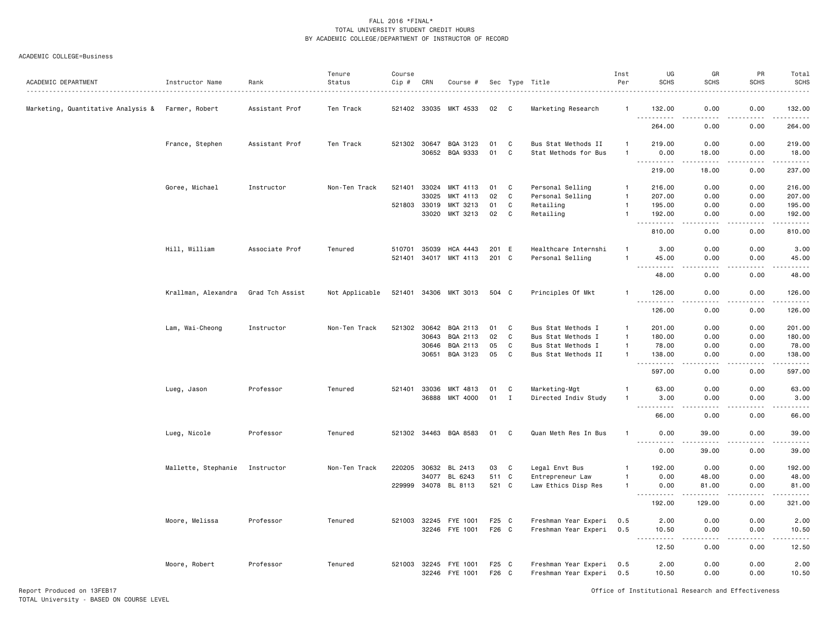#### ACADEMIC COLLEGE=Business

| ACADEMIC DEPARTMENT                               | Instructor Name     | Rank            | Tenure<br>Status | Course<br>Cip # | CRN          | Course #              |       |          | Sec Type Title       | Inst<br>Per    | UG<br><b>SCHS</b>                  | GR<br><b>SCHS</b>                                                                                                                 | PR<br><b>SCHS</b> | Total<br><b>SCHS</b><br>.                                                                                             |
|---------------------------------------------------|---------------------|-----------------|------------------|-----------------|--------------|-----------------------|-------|----------|----------------------|----------------|------------------------------------|-----------------------------------------------------------------------------------------------------------------------------------|-------------------|-----------------------------------------------------------------------------------------------------------------------|
| Marketing, Quantitative Analysis & Farmer, Robert |                     | Assistant Prof  | Ten Track        |                 |              | 521402 33035 MKT 4533 | 02    | C.       | Marketing Research   | -1             | 132.00<br>$\sim$ $\sim$ $\sim$     | 0.00                                                                                                                              | 0.00              | 132.00                                                                                                                |
|                                                   |                     |                 |                  |                 |              |                       |       |          |                      |                | 264.00                             | 0.00                                                                                                                              | 0.00              | 264.00                                                                                                                |
|                                                   | France, Stephen     | Assistant Prof  | Ten Track        |                 | 521302 30647 | BQA 3123              | 01    | C        | Bus Stat Methods II  | 1              | 219.00                             | 0.00                                                                                                                              | 0.00              | 219.00                                                                                                                |
|                                                   |                     |                 |                  |                 |              | 30652 BQA 9333        | 01    | C        | Stat Methods for Bus | -1             | 0.00<br><u>.</u>                   | 18.00<br>$- - - - -$                                                                                                              | 0.00<br>.         | 18.00<br>. <u>.</u>                                                                                                   |
|                                                   |                     |                 |                  |                 |              |                       |       |          |                      |                | 219.00                             | 18.00                                                                                                                             | 0.00              | 237.00                                                                                                                |
|                                                   | Goree, Michael      | Instructor      | Non-Ten Track    | 521401          | 33024        | MKT 4113              | 01    | C        | Personal Selling     | $\overline{1}$ | 216.00                             | 0.00                                                                                                                              | 0.00              | 216.00                                                                                                                |
|                                                   |                     |                 |                  |                 | 33025        | MKT 4113              | 02    | C        | Personal Selling     | $\overline{1}$ | 207.00                             | 0.00                                                                                                                              | 0.00              | 207.00                                                                                                                |
|                                                   |                     |                 |                  | 521803          | 33019        | MKT 3213              | 01    | C        | Retailing            | $\overline{1}$ | 195.00                             | 0.00                                                                                                                              | 0.00              | 195.00                                                                                                                |
|                                                   |                     |                 |                  |                 | 33020        | MKT 3213              | 02    | C        | Retailing            | $\overline{1}$ | 192.00<br>.                        | 0.00<br>$\frac{1}{2}$                                                                                                             | 0.00<br>-----     | 192.00<br>$\begin{array}{cccccccccc} \bullet & \bullet & \bullet & \bullet & \bullet & \bullet & \bullet \end{array}$ |
|                                                   |                     |                 |                  |                 |              |                       |       |          |                      |                | 810.00                             | 0.00                                                                                                                              | 0.00              | 810.00                                                                                                                |
|                                                   | Hill, William       | Associate Prof  | Tenured          | 510701          | 35039        | HCA 4443              | 201 E |          | Healthcare Internshi | $\mathbf{1}$   | 3.00                               | 0.00                                                                                                                              | 0.00              | 3.00                                                                                                                  |
|                                                   |                     |                 |                  | 521401          | 34017        | MKT 4113              | 201 C |          | Personal Selling     | $\overline{1}$ | 45.00                              | 0.00                                                                                                                              | 0.00              | 45.00                                                                                                                 |
|                                                   |                     |                 |                  |                 |              |                       |       |          |                      |                |                                    |                                                                                                                                   |                   |                                                                                                                       |
|                                                   |                     |                 |                  |                 |              |                       |       |          |                      |                | 48.00                              | 0.00                                                                                                                              | 0.00              | 48.00                                                                                                                 |
|                                                   | Krallman, Alexandra | Grad Tch Assist | Not Applicable   |                 |              | 521401 34306 MKT 3013 | 504 C |          | Principles Of Mkt    | -1             | 126.00<br>$- - - -$                | 0.00                                                                                                                              | 0.00              | 126.00<br>.                                                                                                           |
|                                                   |                     |                 |                  |                 |              |                       |       |          |                      |                | 126.00                             | 0.00                                                                                                                              | 0.00              | 126.00                                                                                                                |
|                                                   | Lam, Wai-Cheong     | Instructor      | Non-Ten Track    | 521302          | 30642        | BQA 2113              | 01    | C        | Bus Stat Methods I   | $\mathbf{1}$   | 201.00                             | 0.00                                                                                                                              | 0.00              | 201.00                                                                                                                |
|                                                   |                     |                 |                  |                 | 30643        | BQA 2113              | 02    | C        | Bus Stat Methods I   | $\overline{1}$ | 180.00                             | 0.00                                                                                                                              | 0.00              | 180.00                                                                                                                |
|                                                   |                     |                 |                  |                 | 30646        | BQA 2113              | 05    | C        | Bus Stat Methods I   | $\overline{1}$ | 78.00                              | 0.00                                                                                                                              | 0.00              | 78.00                                                                                                                 |
|                                                   |                     |                 |                  |                 | 30651        | BQA 3123              | 05    | C        | Bus Stat Methods II  | $\overline{1}$ | 138.00                             | 0.00                                                                                                                              | 0.00              | 138.00<br>.                                                                                                           |
|                                                   |                     |                 |                  |                 |              |                       |       |          |                      |                | 597.00                             | 0.00                                                                                                                              | 0.00              | 597.00                                                                                                                |
|                                                   | Lueg, Jason         | Professor       | Tenured          |                 | 521401 33036 | MKT 4813              | 01    | C        | Marketing-Mgt        | -1             | 63.00                              | 0.00                                                                                                                              | 0.00              | 63.00                                                                                                                 |
|                                                   |                     |                 |                  |                 | 36888        | MKT 4000              | 01    | I        | Directed Indiv Study | -1             | 3.00                               | 0.00                                                                                                                              | 0.00              | 3.00                                                                                                                  |
|                                                   |                     |                 |                  |                 |              |                       |       |          |                      |                | .<br>$\sim$ $\sim$ $\sim$<br>66.00 | $\frac{1}{2} \left( \frac{1}{2} \right) \left( \frac{1}{2} \right) \left( \frac{1}{2} \right) \left( \frac{1}{2} \right)$<br>0.00 | .<br>0.00         | .<br>66.00                                                                                                            |
|                                                   | Lueg, Nicole        | Professor       | Tenured          |                 |              | 521302 34463 BQA 8583 | 01    | <b>C</b> | Quan Meth Res In Bus | $\mathbf{1}$   | 0.00                               | 39.00                                                                                                                             | 0.00              | 39.00                                                                                                                 |
|                                                   |                     |                 |                  |                 |              |                       |       |          |                      |                | <u>.</u><br>0.00                   | $\frac{1}{2}$<br>39.00                                                                                                            | .<br>0.00         | .<br>39.00                                                                                                            |
|                                                   | Mallette, Stephanie | Instructor      | Non-Ten Track    | 220205          | 30632        | BL 2413               | 03    | C        | Legal Envt Bus       | -1             | 192.00                             | 0.00                                                                                                                              | 0.00              | 192.00                                                                                                                |
|                                                   |                     |                 |                  |                 | 34077        | BL 6243               | 511 C |          | Entrepreneur Law     | -1             | 0.00                               | 48.00                                                                                                                             | 0.00              | 48.00                                                                                                                 |
|                                                   |                     |                 |                  |                 |              | 229999 34078 BL 8113  | 521 C |          | Law Ethics Disp Res  | $\overline{1}$ | 0.00                               | 81.00                                                                                                                             | 0.00              | 81.00                                                                                                                 |
|                                                   |                     |                 |                  |                 |              |                       |       |          |                      |                | .                                  | . <u>.</u>                                                                                                                        | .                 | .                                                                                                                     |
|                                                   |                     |                 |                  |                 |              |                       |       |          |                      |                | 192.00                             | 129.00                                                                                                                            | 0.00              | 321.00                                                                                                                |
|                                                   | Moore, Melissa      | Professor       | Tenured          | 521003 32245    |              | FYE 1001              | F25 C |          | Freshman Year Experi | 0.5            | 2.00                               | 0.00                                                                                                                              | 0.00              | 2.00                                                                                                                  |
|                                                   |                     |                 |                  |                 | 32246        | FYE 1001              | F26 C |          | Freshman Year Experi | 0.5            | 10.50<br><u>.</u>                  | 0.00<br>.                                                                                                                         | 0.00<br>.         | 10.50<br>.                                                                                                            |
|                                                   |                     |                 |                  |                 |              |                       |       |          |                      |                | 12.50                              | 0.00                                                                                                                              | 0.00              | 12.50                                                                                                                 |
|                                                   | Moore, Robert       | Professor       | Tenured          |                 |              | 521003 32245 FYE 1001 | F25 C |          | Freshman Year Experi | 0.5            | 2.00                               | 0.00                                                                                                                              | 0.00              | 2.00                                                                                                                  |
|                                                   |                     |                 |                  |                 |              | 32246 FYE 1001        | F26 C |          | Freshman Year Experi | 0.5            | 10.50                              | 0.00                                                                                                                              | 0.00              | 10.50                                                                                                                 |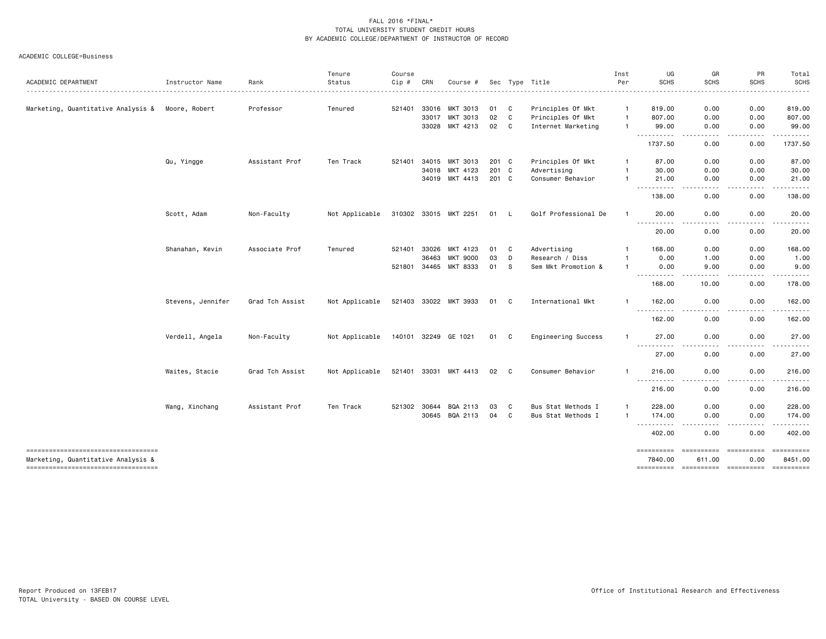ACADEMIC COLLEGE=Business

|                                     |                   |                 | Tenure         | Course       |                |                       |          |              |                                         | Inst                         | UG                             | GR                                                                                                                                | PR           | Total            |
|-------------------------------------|-------------------|-----------------|----------------|--------------|----------------|-----------------------|----------|--------------|-----------------------------------------|------------------------------|--------------------------------|-----------------------------------------------------------------------------------------------------------------------------------|--------------|------------------|
| ACADEMIC DEPARTMENT                 | Instructor Name   | Rank            | Status         | Cip #        | CRN            | Course #              |          |              | Sec Type Title                          | Per                          | <b>SCHS</b>                    | <b>SCHS</b><br>.                                                                                                                  | <b>SCHS</b>  | <b>SCHS</b><br>. |
|                                     |                   |                 |                |              |                |                       |          |              |                                         |                              |                                |                                                                                                                                   |              |                  |
| Marketing, Quantitative Analysis &  | Moore, Robert     | Professor       | Tenured        | 521401       | 33016<br>33017 | MKT 3013<br>MKT 3013  | 01<br>02 | C<br>C       | Principles Of Mkt                       | $\mathbf{1}$<br>$\mathbf{1}$ | 819.00<br>807.00               | 0.00<br>0.00                                                                                                                      | 0.00<br>0.00 | 819.00<br>807.00 |
|                                     |                   |                 |                |              | 33028          | MKT 4213              | 02       | C            | Principles Of Mkt<br>Internet Marketing | $\mathbf{1}$                 | 99.00                          | 0.00                                                                                                                              | 0.00         | 99.00            |
|                                     |                   |                 |                |              |                |                       |          |              |                                         |                              | .                              | .                                                                                                                                 | -----        | .                |
|                                     |                   |                 |                |              |                |                       |          |              |                                         |                              | 1737.50                        | 0.00                                                                                                                              | 0.00         | 1737.50          |
|                                     | Qu, Yingge        | Assistant Prof  | Ten Track      | 521401       | 34015          | MKT 3013              | 201 C    |              | Principles Of Mkt                       | $\mathbf{1}$                 | 87.00                          | 0.00                                                                                                                              | 0.00         | 87.00            |
|                                     |                   |                 |                |              | 34018          | MKT 4123              | 201 C    |              | Advertising                             | $\mathbf{1}$                 | 30.00                          | 0.00                                                                                                                              | 0.00         | 30.00            |
|                                     |                   |                 |                |              | 34019          | MKT 4413              | 201 C    |              | Consumer Behavior                       | $\mathbf{1}$                 | 21.00                          | 0.00                                                                                                                              | 0.00         | 21.00            |
|                                     |                   |                 |                |              |                |                       |          |              |                                         |                              | -----------<br>138.00          | $\frac{1}{2}$<br>0.00                                                                                                             | .<br>0.00    | .<br>138.00      |
|                                     | Scott, Adam       | Non-Faculty     | Not Applicable |              |                | 310302 33015 MKT 2251 | 01 L     |              | Golf Professional De                    | $\mathbf{1}$                 | 20.00                          | 0.00                                                                                                                              | 0.00         | 20.00            |
|                                     |                   |                 |                |              |                |                       |          |              |                                         |                              | 20.00                          | 0.00                                                                                                                              | 0.00         | 20.00            |
|                                     | Shanahan, Kevin   | Associate Prof  | Tenured        | 521401       | 33026          | MKT 4123              | 01       | C            | Advertising                             | $\mathbf{1}$                 | 168.00                         | 0.00                                                                                                                              | 0.00         | 168.00           |
|                                     |                   |                 |                |              | 36463          | MKT 9000              | 03       | D            | Research / Diss                         | $\mathbf{1}$                 | 0.00                           | 1.00                                                                                                                              | 0.00         | 1.00             |
|                                     |                   |                 |                |              | 521801 34465   | MKT 8333              | 01       | <sub>S</sub> | Sem Mkt Promotion &                     | $\mathbf{1}$                 | 0.00                           | 9.00                                                                                                                              | 0.00         | 9.00             |
|                                     |                   |                 |                |              |                |                       |          |              |                                         |                              | .<br>$- - -$                   | .                                                                                                                                 | .            | .                |
|                                     |                   |                 |                |              |                |                       |          |              |                                         |                              | 168.00                         | 10.00                                                                                                                             | 0.00         | 178.00           |
|                                     | Stevens, Jennifer | Grad Tch Assist | Not Applicable |              |                | 521403 33022 MKT 3933 | 01       | C.           | International Mkt                       | $\mathbf{1}$                 | 162.00<br><u>.</u>             | 0.00<br>$\frac{1}{2} \left( \frac{1}{2} \right) \left( \frac{1}{2} \right) \left( \frac{1}{2} \right) \left( \frac{1}{2} \right)$ | 0.00<br>.    | 162.00<br>.      |
|                                     |                   |                 |                |              |                |                       |          |              |                                         |                              | 162.00                         | 0.00                                                                                                                              | 0.00         | 162.00           |
|                                     | Verdell, Angela   | Non-Faculty     | Not Applicable |              |                | 140101 32249 GE 1021  | 01 C     |              | Engineering Success                     | $\mathbf{1}$                 | 27.00                          | 0.00                                                                                                                              | 0.00         | 27.00            |
|                                     |                   |                 |                |              |                |                       |          |              |                                         |                              | .<br>27.00                     | .<br>0.00                                                                                                                         | .<br>0.00    | ------<br>27.00  |
|                                     | Waites, Stacie    | Grad Tch Assist | Not Applicable | 521401 33031 |                | MKT 4413              | 02       | C.           | Consumer Behavior                       | -1                           | 216.00                         | 0.00                                                                                                                              | 0.00         | 216.00           |
|                                     |                   |                 |                |              |                |                       |          |              |                                         |                              | $\sim$ $\sim$ $\sim$           |                                                                                                                                   |              |                  |
|                                     |                   |                 |                |              |                |                       |          |              |                                         |                              | 216.00                         | 0.00                                                                                                                              | 0.00         | 216.00           |
|                                     | Wang, Xinchang    | Assistant Prof  | Ten Track      |              | 521302 30644   | BQA 2113              | 03       | C            | Bus Stat Methods I                      | $\mathbf{1}$                 | 228.00                         | 0.00                                                                                                                              | 0.00         | 228.00           |
|                                     |                   |                 |                |              | 30645          | BQA 2113              | 04       | C            | Bus Stat Methods I                      | $\mathbf{1}$                 | 174.00<br>$\sim$ $\sim$ $\sim$ | 0.00                                                                                                                              | 0.00         | 174.00           |
|                                     |                   |                 |                |              |                |                       |          |              |                                         |                              | 402.00                         | 0.00                                                                                                                              | 0.00         | 402.00           |
| ----------------------------------- |                   |                 |                |              |                |                       |          |              |                                         |                              |                                | ==========                                                                                                                        |              | ==========       |
| Marketing, Quantitative Analysis &  |                   |                 |                |              |                |                       |          |              |                                         |                              | 7840.00                        | 611.00                                                                                                                            | 0.00         | 8451.00          |
| ----------------------------------- |                   |                 |                |              |                |                       |          |              |                                         |                              |                                |                                                                                                                                   |              |                  |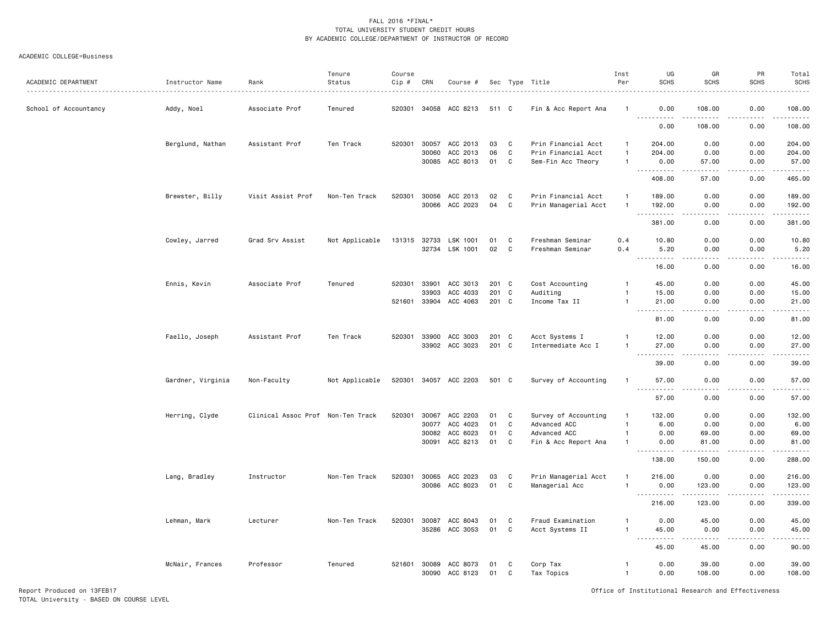#### ACADEMIC COLLEGE=Business

| ACADEMIC DEPARTMENT   | Instructor Name   | Rank                              | Tenure<br>Status | Course<br>Cip # | CRN            | Course #             |                |             | Sec Type Title       | Inst<br>Per          | UG<br><b>SCHS</b>                                                                                                                                                                                                                                                                                                                                                                                                                                                                                                       | GR<br><b>SCHS</b>       | PR<br><b>SCHS</b> | Total<br><b>SCHS</b><br>. |
|-----------------------|-------------------|-----------------------------------|------------------|-----------------|----------------|----------------------|----------------|-------------|----------------------|----------------------|-------------------------------------------------------------------------------------------------------------------------------------------------------------------------------------------------------------------------------------------------------------------------------------------------------------------------------------------------------------------------------------------------------------------------------------------------------------------------------------------------------------------------|-------------------------|-------------------|---------------------------|
| School of Accountancy | Addy, Noel        | Associate Prof                    | Tenured          | 520301          |                | 34058 ACC 8213       | 511 C          |             | Fin & Acc Report Ana |                      | 0.00                                                                                                                                                                                                                                                                                                                                                                                                                                                                                                                    | 108.00<br>$\frac{1}{2}$ | 0.00<br>.         | 108.00                    |
|                       |                   |                                   |                  |                 |                |                      |                |             |                      |                      | . <b>.</b><br>0.00                                                                                                                                                                                                                                                                                                                                                                                                                                                                                                      | 108.00                  | 0.00              | .<br>108.00               |
|                       | Berglund, Nathan  | Assistant Prof                    | Ten Track        | 520301          | 30057          | ACC 2013             | 03             | C           | Prin Financial Acct  | -1                   | 204.00                                                                                                                                                                                                                                                                                                                                                                                                                                                                                                                  | 0.00                    | 0.00              | 204.00                    |
|                       |                   |                                   |                  |                 | 30060          | ACC 2013             | 06             | C           | Prin Financial Acct  | $\overline{1}$       | 204.00                                                                                                                                                                                                                                                                                                                                                                                                                                                                                                                  | 0.00                    | 0.00              | 204.00                    |
|                       |                   |                                   |                  |                 | 30085          | ACC 8013             | 01             | C           | Sem-Fin Acc Theory   | $\mathbf{1}$         | 0.00<br>.                                                                                                                                                                                                                                                                                                                                                                                                                                                                                                               | 57.00<br>$- - - - -$    | 0.00<br>.         | 57.00                     |
|                       |                   |                                   |                  |                 |                |                      |                |             |                      |                      | 408.00                                                                                                                                                                                                                                                                                                                                                                                                                                                                                                                  | 57.00                   | 0.00              | 465.00                    |
|                       | Brewster, Billy   | Visit Assist Prof                 | Non-Ten Track    | 520301          | 30056          | ACC 2013             | 02             | C           | Prin Financial Acct  | $\mathbf{1}$         | 189.00                                                                                                                                                                                                                                                                                                                                                                                                                                                                                                                  | 0.00                    | 0.00              | 189.00                    |
|                       |                   |                                   |                  |                 | 30066          | ACC 2023             | 04             | C           | Prin Managerial Acct | $\overline{1}$       | 192.00<br><u>.</u>                                                                                                                                                                                                                                                                                                                                                                                                                                                                                                      | 0.00<br>.               | 0.00<br>.         | 192.00<br>------          |
|                       |                   |                                   |                  |                 |                |                      |                |             |                      |                      | 381.00                                                                                                                                                                                                                                                                                                                                                                                                                                                                                                                  | 0.00                    | 0.00              | 381.00                    |
|                       | Cowley, Jarred    | Grad Srv Assist                   | Not Applicable   | 131315 32733    |                | LSK 1001             | 01             | C           | Freshman Seminar     | 0.4                  | 10.80                                                                                                                                                                                                                                                                                                                                                                                                                                                                                                                   | 0.00                    | 0.00              | 10.80                     |
|                       |                   |                                   |                  |                 | 32734          | LSK 1001             | 02             | $\mathbf c$ | Freshman Seminar     | 0.4                  | 5.20<br>.                                                                                                                                                                                                                                                                                                                                                                                                                                                                                                               | 0.00<br>$\frac{1}{2}$   | 0.00<br>.         | 5.20<br>$    -$           |
|                       |                   |                                   |                  |                 |                |                      |                |             |                      |                      | 16.00                                                                                                                                                                                                                                                                                                                                                                                                                                                                                                                   | 0.00                    | 0.00              | 16.00                     |
|                       | Ennis, Kevin      | Associate Prof                    | Tenured          | 520301          | 33901          | ACC 3013             | 201 C          |             | Cost Accounting      | $\mathbf{1}$         | 45.00                                                                                                                                                                                                                                                                                                                                                                                                                                                                                                                   | 0.00                    | 0.00              | 45.00                     |
|                       |                   |                                   |                  |                 | 33903<br>33904 | ACC 4033<br>ACC 4063 | 201 C<br>201 C |             | Auditing             | -1<br>$\overline{1}$ | 15.00                                                                                                                                                                                                                                                                                                                                                                                                                                                                                                                   | 0.00                    | 0.00              | 15.00                     |
|                       |                   |                                   |                  | 521601          |                |                      |                |             | Income Tax II        |                      | 21.00<br>$- - - - -$                                                                                                                                                                                                                                                                                                                                                                                                                                                                                                    | 0.00<br>$\frac{1}{2}$   | 0.00<br>.         | 21.00<br>$- - - - -$      |
|                       |                   |                                   |                  |                 |                |                      |                |             |                      |                      | 81.00                                                                                                                                                                                                                                                                                                                                                                                                                                                                                                                   | 0.00                    | 0.00              | 81.00                     |
|                       | Faello, Joseph    | Assistant Prof                    | Ten Track        | 520301          | 33900          | ACC 3003             | 201 C          |             | Acct Systems I       |                      | 12.00                                                                                                                                                                                                                                                                                                                                                                                                                                                                                                                   | 0.00                    | 0.00              | 12.00                     |
|                       |                   |                                   |                  |                 |                | 33902 ACC 3023       | 201 C          |             | Intermediate Acc I   | $\mathbf{1}$         | 27.00<br>. <b>.</b><br>$- - -$                                                                                                                                                                                                                                                                                                                                                                                                                                                                                          | 0.00<br>$\frac{1}{2}$   | 0.00<br>.         | 27.00<br>.                |
|                       |                   |                                   |                  |                 |                |                      |                |             |                      |                      | 39.00                                                                                                                                                                                                                                                                                                                                                                                                                                                                                                                   | 0.00                    | 0.00              | 39.00                     |
|                       | Gardner, Virginia | Non-Faculty                       | Not Applicable   | 520301          | 34057          | ACC 2203             | 501 C          |             | Survey of Accounting | $\mathbf{1}$         | 57.00                                                                                                                                                                                                                                                                                                                                                                                                                                                                                                                   | 0.00                    | 0.00              | 57.00<br>$\frac{1}{2}$    |
|                       |                   |                                   |                  |                 |                |                      |                |             |                      |                      | 57.00                                                                                                                                                                                                                                                                                                                                                                                                                                                                                                                   | 0.00                    | 0.00              | 57.00                     |
|                       | Herring, Clyde    | Clinical Assoc Prof Non-Ten Track |                  | 520301          | 30067          | ACC 2203             | 01             | C           | Survey of Accounting | $\mathbf{1}$         | 132.00                                                                                                                                                                                                                                                                                                                                                                                                                                                                                                                  | 0.00                    | 0.00              | 132.00                    |
|                       |                   |                                   |                  |                 | 30077          | ACC 4023             | 01             | C           | Advanced ACC         | $\overline{1}$       | 6.00                                                                                                                                                                                                                                                                                                                                                                                                                                                                                                                    | 0.00                    | 0.00              | 6.00                      |
|                       |                   |                                   |                  |                 | 30082          | ACC 6023             | 01             | C           | Advanced ACC         | $\mathbf{1}$         | 0.00                                                                                                                                                                                                                                                                                                                                                                                                                                                                                                                    | 69.00                   | 0.00              | 69.00                     |
|                       |                   |                                   |                  |                 | 30091          | ACC 8213             | 01             | C           | Fin & Acc Report Ana | -1                   | 0.00<br>$\sim$ $\sim$ $\sim$<br>.                                                                                                                                                                                                                                                                                                                                                                                                                                                                                       | 81.00<br><u>.</u>       | 0.00<br>د د د د   | 81.00<br>.                |
|                       |                   |                                   |                  |                 |                |                      |                |             |                      |                      | 138.00                                                                                                                                                                                                                                                                                                                                                                                                                                                                                                                  | 150.00                  | 0.00              | 288.00                    |
|                       | Lang, Bradley     | Instructor                        | Non-Ten Track    | 520301          | 30065          | ACC 2023             | 03             | C           | Prin Managerial Acct | $\mathbf{1}$         | 216.00                                                                                                                                                                                                                                                                                                                                                                                                                                                                                                                  | 0.00                    | 0.00              | 216.00                    |
|                       |                   |                                   |                  |                 |                | 30086 ACC 8023       | 01             | C           | Managerial Acc       | $\overline{1}$       | 0.00<br><u>----------</u>                                                                                                                                                                                                                                                                                                                                                                                                                                                                                               | 123.00<br>.             | 0.00<br>.         | 123.00<br>.               |
|                       |                   |                                   |                  |                 |                |                      |                |             |                      |                      | 216.00                                                                                                                                                                                                                                                                                                                                                                                                                                                                                                                  | 123.00                  | 0.00              | 339.00                    |
|                       | Lehman, Mark      | Lecturer                          | Non-Ten Track    | 520301          | 30087          | ACC 8043             | 01             | C           | Fraud Examination    |                      | 0.00                                                                                                                                                                                                                                                                                                                                                                                                                                                                                                                    | 45.00                   | 0.00              | 45.00                     |
|                       |                   |                                   |                  |                 | 35286          | ACC 3053             | 01             | C           | Acct Systems II      | $\overline{1}$       | 45.00<br>$\begin{array}{cccccccccccccc} \multicolumn{2}{c}{} & \multicolumn{2}{c}{} & \multicolumn{2}{c}{} & \multicolumn{2}{c}{} & \multicolumn{2}{c}{} & \multicolumn{2}{c}{} & \multicolumn{2}{c}{} & \multicolumn{2}{c}{} & \multicolumn{2}{c}{} & \multicolumn{2}{c}{} & \multicolumn{2}{c}{} & \multicolumn{2}{c}{} & \multicolumn{2}{c}{} & \multicolumn{2}{c}{} & \multicolumn{2}{c}{} & \multicolumn{2}{c}{} & \multicolumn{2}{c}{} & \multicolumn{2}{c}{} & \multicolumn{2}{c}{} & \$<br>$\sim$ $\sim$ $\sim$ | 0.00<br>.               | 0.00<br>.         | 45.00<br>.                |
|                       |                   |                                   |                  |                 |                |                      |                |             |                      |                      | 45.00                                                                                                                                                                                                                                                                                                                                                                                                                                                                                                                   | 45.00                   | 0.00              | 90.00                     |
|                       | McNair, Frances   | Professor                         | Tenured          | 521601          | 30089          | ACC 8073             | 01             | C           | Corp Tax             | $\mathbf{1}$         | 0.00                                                                                                                                                                                                                                                                                                                                                                                                                                                                                                                    | 39.00                   | 0.00              | 39.00                     |
|                       |                   |                                   |                  |                 |                | 30090 ACC 8123       | 01             | C           | Tax Topics           | $\overline{1}$       | 0.00                                                                                                                                                                                                                                                                                                                                                                                                                                                                                                                    | 108.00                  | 0.00              | 108.00                    |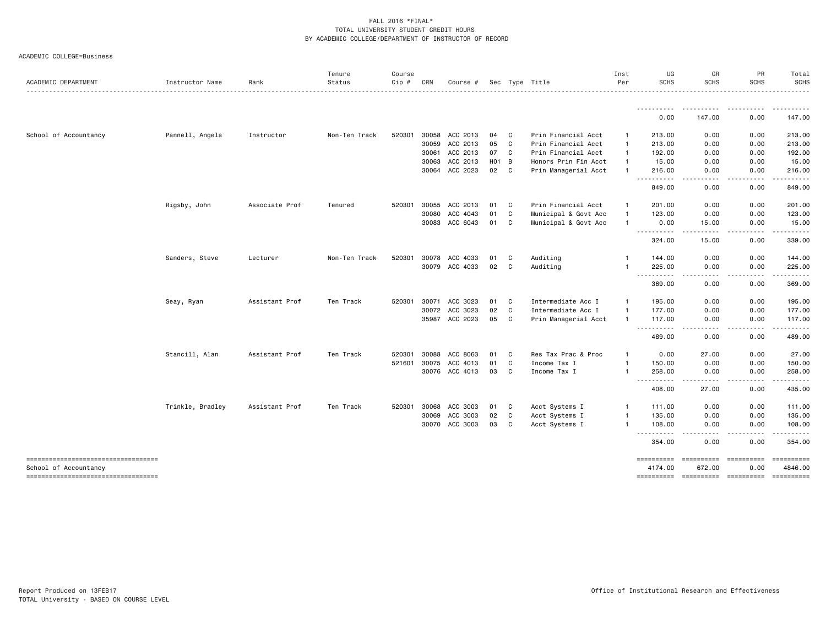Tenure Course Inst UG GR PR Total

| ACADEMIC DEPARTMENT                                         | Instructor Name  | Rank           | Status        | Cip #  | CRN          | Course #       |                   |              | Sec Type Title       | Per            | <b>SCHS</b>           | SCHS                             | SCHS          | <b>SCHS</b>                                                                                                                                                                                                                                                                                                                                                                                                                                                                                           |
|-------------------------------------------------------------|------------------|----------------|---------------|--------|--------------|----------------|-------------------|--------------|----------------------|----------------|-----------------------|----------------------------------|---------------|-------------------------------------------------------------------------------------------------------------------------------------------------------------------------------------------------------------------------------------------------------------------------------------------------------------------------------------------------------------------------------------------------------------------------------------------------------------------------------------------------------|
|                                                             |                  |                |               |        |              |                |                   |              |                      |                | ----------<br>0.00    | .<br>147.00                      | .<br>0.00     | <u>.</u><br>147.00                                                                                                                                                                                                                                                                                                                                                                                                                                                                                    |
|                                                             |                  |                |               |        |              |                |                   |              |                      |                |                       |                                  |               |                                                                                                                                                                                                                                                                                                                                                                                                                                                                                                       |
| School of Accountancy                                       | Pannell, Angela  | Instructor     | Non-Ten Track |        | 520301 30058 | ACC 2013       | 04                | $\mathbf{C}$ | Prin Financial Acct  | -1             | 213.00                | 0.00                             | 0.00          | 213.00                                                                                                                                                                                                                                                                                                                                                                                                                                                                                                |
|                                                             |                  |                |               |        | 30059        | ACC 2013       | 05                | $\mathbf{C}$ | Prin Financial Acct  | -1             | 213.00                | 0.00                             | 0.00          | 213.00                                                                                                                                                                                                                                                                                                                                                                                                                                                                                                |
|                                                             |                  |                |               |        | 30061        | ACC 2013       | 07 C              |              | Prin Financial Acct  | $\mathbf{1}$   | 192.00                | 0.00                             | 0.00          | 192.00                                                                                                                                                                                                                                                                                                                                                                                                                                                                                                |
|                                                             |                  |                |               |        | 30063        | ACC 2013       | H <sub>01</sub> B |              | Honors Prin Fin Acct | -1             | 15.00                 | 0.00                             | 0.00          | 15.00                                                                                                                                                                                                                                                                                                                                                                                                                                                                                                 |
|                                                             |                  |                |               |        |              | 30064 ACC 2023 | 02                | $\mathbf{C}$ | Prin Managerial Acct |                | 216.00<br>----------  | 0.00<br>.                        | 0.00<br>.     | 216.00                                                                                                                                                                                                                                                                                                                                                                                                                                                                                                |
|                                                             |                  |                |               |        |              |                |                   |              |                      |                | 849.00                | 0.00                             | 0.00          | 849.00                                                                                                                                                                                                                                                                                                                                                                                                                                                                                                |
|                                                             | Rigsby, John     | Associate Prof | Tenured       | 520301 | 30055        | ACC 2013       | 01                | $\mathbf{C}$ | Prin Financial Acct  | -1             | 201.00                | 0.00                             | 0.00          | 201.00                                                                                                                                                                                                                                                                                                                                                                                                                                                                                                |
|                                                             |                  |                |               |        | 30080        | ACC 4043       | 01                | C            | Municipal & Govt Acc | $\overline{1}$ | 123.00                | 0.00                             | 0.00          | 123.00                                                                                                                                                                                                                                                                                                                                                                                                                                                                                                |
|                                                             |                  |                |               |        |              | 30083 ACC 6043 | 01                | C            | Municipal & Govt Acc | -1             | 0.00                  | 15.00                            | 0.00          | 15.00                                                                                                                                                                                                                                                                                                                                                                                                                                                                                                 |
|                                                             |                  |                |               |        |              |                |                   |              |                      |                | 324.00                | 15.00                            | 0.00          | 339.00                                                                                                                                                                                                                                                                                                                                                                                                                                                                                                |
|                                                             | Sanders, Steve   | Lecturer       | Non-Ten Track | 520301 | 30078        | ACC 4033       | 01                | C            | Auditing             |                | 144.00                | 0.00                             | 0.00          | 144.00                                                                                                                                                                                                                                                                                                                                                                                                                                                                                                |
|                                                             |                  |                |               |        |              | 30079 ACC 4033 | 02                | C            | Auditing             |                | 225.00<br>.           | 0.00                             | 0.00          | 225.00<br>.                                                                                                                                                                                                                                                                                                                                                                                                                                                                                           |
|                                                             |                  |                |               |        |              |                |                   |              |                      |                | 369.00                | 0.00                             | 0.00          | 369.00                                                                                                                                                                                                                                                                                                                                                                                                                                                                                                |
|                                                             | Seay, Ryan       | Assistant Prof | Ten Track     | 520301 |              | 30071 ACC 3023 | 01 C              |              | Intermediate Acc I   | $\mathbf{1}$   | 195.00                | 0.00                             | 0.00          | 195.00                                                                                                                                                                                                                                                                                                                                                                                                                                                                                                |
|                                                             |                  |                |               |        |              | 30072 ACC 3023 | 02                | <b>C</b>     | Intermediate Acc I   | $\overline{1}$ | 177.00                | 0.00                             | 0.00          | 177.00                                                                                                                                                                                                                                                                                                                                                                                                                                                                                                |
|                                                             |                  |                |               |        |              | 35987 ACC 2023 | 05                | $\mathbf{C}$ | Prin Managerial Acct |                | 117.00<br>----------  | 0.00<br>.                        | 0.00<br>.     | 117.00                                                                                                                                                                                                                                                                                                                                                                                                                                                                                                |
|                                                             |                  |                |               |        |              |                |                   |              |                      |                | 489.00                | 0.00                             | 0.00          | 489.00                                                                                                                                                                                                                                                                                                                                                                                                                                                                                                |
|                                                             | Stancill, Alan   | Assistant Prof | Ten Track     | 520301 | 30088        | ACC 8063       | 01                | $\mathbf{C}$ | Res Tax Prac & Proc  | $\mathbf{1}$   | 0.00                  | 27.00                            | 0.00          | 27.00                                                                                                                                                                                                                                                                                                                                                                                                                                                                                                 |
|                                                             |                  |                |               |        | 521601 30075 | ACC 4013       | 01                | C            | Income Tax I         | $\mathbf{1}$   | 150.00                | 0.00                             | 0.00          | 150.00                                                                                                                                                                                                                                                                                                                                                                                                                                                                                                |
|                                                             |                  |                |               |        |              | 30076 ACC 4013 | 03                | C            | Income Tax I         | $\mathbf{1}$   | 258.00<br>----------  | 0.00                             | 0.00<br>----- | 258.00<br>. <u>.</u> .                                                                                                                                                                                                                                                                                                                                                                                                                                                                                |
|                                                             |                  |                |               |        |              |                |                   |              |                      |                | 408.00                | 27.00                            | 0.00          | 435.00                                                                                                                                                                                                                                                                                                                                                                                                                                                                                                |
|                                                             | Trinkle, Bradley | Assistant Prof | Ten Track     |        | 520301 30068 | ACC 3003       | 01                | C            | Acct Systems I       | -1             | 111.00                | 0.00                             | 0.00          | 111.00                                                                                                                                                                                                                                                                                                                                                                                                                                                                                                |
|                                                             |                  |                |               |        | 30069        | ACC 3003       | 02                | C            | Acct Systems I       | -1             | 135.00                | 0.00                             | 0.00          | 135.00                                                                                                                                                                                                                                                                                                                                                                                                                                                                                                |
|                                                             |                  |                |               |        |              | 30070 ACC 3003 | 03                | C            | Acct Systems I       | $\mathbf{1}$   | 108.00<br>----        | 0.00                             | 0.00          | 108.00                                                                                                                                                                                                                                                                                                                                                                                                                                                                                                |
|                                                             |                  |                |               |        |              |                |                   |              |                      |                | 354.00                | 0.00                             | 0.00          | 354.00                                                                                                                                                                                                                                                                                                                                                                                                                                                                                                |
| ----------------------------------<br>School of Accountancy |                  |                |               |        |              |                |                   |              |                      |                | ==========<br>4174.00 | ======================<br>672.00 | 0.00          | $\begin{minipage}{0.9\linewidth} \begin{tabular}{l} \multicolumn{2}{l}{} & \multicolumn{2}{l}{} & \multicolumn{2}{l}{} \\ \multicolumn{2}{l}{} & \multicolumn{2}{l}{} & \multicolumn{2}{l}{} \\ \multicolumn{2}{l}{} & \multicolumn{2}{l}{} & \multicolumn{2}{l}{} \\ \multicolumn{2}{l}{} & \multicolumn{2}{l}{} & \multicolumn{2}{l}{} \\ \multicolumn{2}{l}{} & \multicolumn{2}{l}{} & \multicolumn{2}{l}{} \\ \multicolumn{2}{l}{} & \multicolumn{2}{l}{} & \multicolumn{2}{l}{} \\ \$<br>4846.00 |
| -----------------------------------                         |                  |                |               |        |              |                |                   |              |                      |                | ==========            | ======================           |               |                                                                                                                                                                                                                                                                                                                                                                                                                                                                                                       |

ACADEMIC COLLEGE=Business

SCHS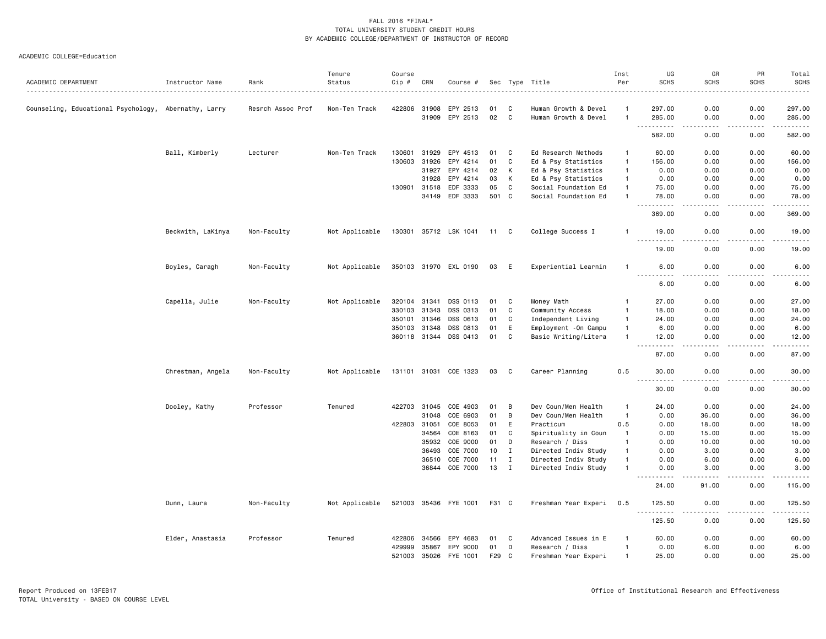|                                                      |                   |                   | Tenure         | Course       |       |                       |       |              |                       | Inst           | UG                                              | GR                                  | PR                                                                                                                                | Total                                                                                                                                                         |
|------------------------------------------------------|-------------------|-------------------|----------------|--------------|-------|-----------------------|-------|--------------|-----------------------|----------------|-------------------------------------------------|-------------------------------------|-----------------------------------------------------------------------------------------------------------------------------------|---------------------------------------------------------------------------------------------------------------------------------------------------------------|
| ACADEMIC DEPARTMENT                                  | Instructor Name   | Rank              | Status         | Cip #        | CRN   | Course #              |       |              | Sec Type Title        | Per            | <b>SCHS</b>                                     | <b>SCHS</b>                         | <b>SCHS</b>                                                                                                                       | <b>SCHS</b><br>.                                                                                                                                              |
| Counseling, Educational Psychology, Abernathy, Larry |                   | Resrch Assoc Prof | Non-Ten Track  | 422806       | 31908 | EPY 2513              | 01    | C            | Human Growth & Devel  |                | 297.00                                          | 0.00                                | 0.00                                                                                                                              | 297.00                                                                                                                                                        |
|                                                      |                   |                   |                |              | 31909 | EPY 2513              | 02    | C            | Human Growth & Devel  | $\mathbf{1}$   | 285.00<br>.                                     | 0.00<br>.                           | 0.00<br>.                                                                                                                         | 285.00<br>.                                                                                                                                                   |
|                                                      |                   |                   |                |              |       |                       |       |              |                       |                | 582.00                                          | 0.00                                | 0.00                                                                                                                              | 582.00                                                                                                                                                        |
|                                                      | Ball, Kimberly    | Lecturer          | Non-Ten Track  | 130601       | 31929 | EPY 4513              | 01    | C            | Ed Research Methods   | $\mathbf{1}$   | 60.00                                           | 0.00                                | 0.00                                                                                                                              | 60.00                                                                                                                                                         |
|                                                      |                   |                   |                | 130603       | 31926 | EPY 4214              | 01    | C            | Ed & Psy Statistics   | $\overline{1}$ | 156.00                                          | 0.00                                | 0.00                                                                                                                              | 156.00                                                                                                                                                        |
|                                                      |                   |                   |                |              | 31927 | EPY 4214              | 02    | К            | Ed & Psy Statistics   | $\overline{1}$ | 0.00                                            | 0.00                                | 0.00                                                                                                                              | 0.00                                                                                                                                                          |
|                                                      |                   |                   |                |              | 31928 | EPY 4214              | 03    | К            | Ed & Psy Statistics   | $\overline{1}$ | 0.00                                            | 0.00                                | 0.00                                                                                                                              | 0.00                                                                                                                                                          |
|                                                      |                   |                   |                | 130901       | 31518 | EDF 3333              | 05    | C            | Social Foundation Ed  | $\overline{1}$ | 75.00                                           | 0.00                                | 0.00                                                                                                                              | 75.00                                                                                                                                                         |
|                                                      |                   |                   |                |              | 34149 | EDF 3333              | 501 C |              | Social Foundation Ed  | $\mathbf{1}$   | 78.00<br>.                                      | 0.00<br>$\sim$ $\sim$ $\sim$ $\sim$ | 0.00<br>.                                                                                                                         | 78.00<br>.                                                                                                                                                    |
|                                                      |                   |                   |                |              |       |                       |       |              |                       |                | 369.00                                          | 0.00                                | 0.00                                                                                                                              | 369.00                                                                                                                                                        |
|                                                      | Beckwith, LaKinya | Non-Faculty       | Not Applicable | 130301       |       | 35712 LSK 1041        | 11    | C            | College Success I     | -1             | 19.00                                           | 0.00                                | 0.00                                                                                                                              | 19.00                                                                                                                                                         |
|                                                      |                   |                   |                |              |       |                       |       |              |                       |                | 19.00                                           | 0.00                                | 0.00                                                                                                                              | والمستحدث<br>19.00                                                                                                                                            |
|                                                      | Boyles, Caragh    | Non-Faculty       | Not Applicable |              |       | 350103 31970 EXL 0190 | 03    | E            | Experiential Learnin  | $\mathbf{1}$   | 6.00                                            | 0.00                                | 0.00                                                                                                                              | 6.00                                                                                                                                                          |
|                                                      |                   |                   |                |              |       |                       |       |              |                       |                | <u>.</u><br>6.00                                | ----<br>0.00                        | 0.00                                                                                                                              | .<br>6.00                                                                                                                                                     |
|                                                      | Capella, Julie    | Non-Faculty       | Not Applicable | 320104       | 31341 | DSS 0113              | 01    | C            | Money Math            | -1             | 27.00                                           | 0.00                                | 0.00                                                                                                                              | 27.00                                                                                                                                                         |
|                                                      |                   |                   |                | 330103       | 31343 | DSS 0313              | 01    | C            | Community Access      | $\overline{1}$ | 18.00                                           | 0.00                                | 0.00                                                                                                                              | 18.00                                                                                                                                                         |
|                                                      |                   |                   |                | 350101       | 31346 | DSS 0613              | 01    | $\mathbb{C}$ | Independent Living    | $\overline{1}$ | 24.00                                           | 0.00                                | 0.00                                                                                                                              | 24.00                                                                                                                                                         |
|                                                      |                   |                   |                | 350103       | 31348 | DSS 0813              | 01    | E            | Employment - On Campu | $\overline{1}$ | 6.00                                            | 0.00                                | 0.00                                                                                                                              | 6.00                                                                                                                                                          |
|                                                      |                   |                   |                | 360118 31344 |       | DSS 0413              | 01    | $\mathbf C$  | Basic Writing/Litera  | $\mathbf{1}$   | 12.00                                           | 0.00                                | 0.00<br>$\frac{1}{2} \left( \frac{1}{2} \right) \left( \frac{1}{2} \right) \left( \frac{1}{2} \right) \left( \frac{1}{2} \right)$ | 12.00<br>$\frac{1}{2} \left( \frac{1}{2} \right) \left( \frac{1}{2} \right) \left( \frac{1}{2} \right) \left( \frac{1}{2} \right) \left( \frac{1}{2} \right)$ |
|                                                      |                   |                   |                |              |       |                       |       |              |                       |                | 87.00                                           | 0.00                                | 0.00                                                                                                                              | 87.00                                                                                                                                                         |
|                                                      | Chrestman, Angela | Non-Faculty       | Not Applicable | 131101 31031 |       | COE 1323              | 03    | C            | Career Planning       | 0.5            | 30.00<br>$\sim$ $\sim$ $\sim$                   | 0.00                                | 0.00                                                                                                                              | 30.00<br>$- - - - -$                                                                                                                                          |
|                                                      |                   |                   |                |              |       |                       |       |              |                       |                | 30.00                                           | 0.00                                | 0.00                                                                                                                              | 30.00                                                                                                                                                         |
|                                                      | Dooley, Kathy     | Professor         | Tenured        | 422703       | 31045 | COE 4903              | 01    | B            | Dev Coun/Men Health   | $\mathbf{1}$   | 24.00                                           | 0.00                                | 0.00                                                                                                                              | 24.00                                                                                                                                                         |
|                                                      |                   |                   |                |              | 31048 | COE 6903              | 01    | B            | Dev Coun/Men Health   | $\overline{1}$ | 0.00                                            | 36.00                               | 0.00                                                                                                                              | 36.00                                                                                                                                                         |
|                                                      |                   |                   |                | 422803       | 31051 | COE 8053              | 01    | E            | Practicum             | 0.5            | 0.00                                            | 18.00                               | 0.00                                                                                                                              | 18.00                                                                                                                                                         |
|                                                      |                   |                   |                |              | 34564 | COE 8163              | 01    | C            | Spirituality in Coun  | $\mathbf{1}$   | 0.00                                            | 15.00                               | 0.00                                                                                                                              | 15.00                                                                                                                                                         |
|                                                      |                   |                   |                |              | 35932 | COE 9000              | 01    | D            | Research / Diss       | $\mathbf{1}$   | 0.00                                            | 10.00                               | 0.00                                                                                                                              | 10.00                                                                                                                                                         |
|                                                      |                   |                   |                |              | 36493 | COE 7000              | 10    | $\mathbf I$  | Directed Indiv Study  | $\overline{1}$ | 0.00                                            | 3.00                                | 0.00                                                                                                                              | 3.00                                                                                                                                                          |
|                                                      |                   |                   |                |              | 36510 | COE 7000              | 11    | $\mathbf I$  | Directed Indiv Study  | $\mathbf{1}$   | 0.00                                            | 6.00                                | 0.00                                                                                                                              | 6.00                                                                                                                                                          |
|                                                      |                   |                   |                |              | 36844 | COE 7000              | 13    | $\mathbf I$  | Directed Indiv Study  | $\overline{1}$ | 0.00                                            | 3.00                                | 0.00<br>$- - -$                                                                                                                   | 3.00<br>$\frac{1}{2} \left( \frac{1}{2} \right) \left( \frac{1}{2} \right) \left( \frac{1}{2} \right) \left( \frac{1}{2} \right) \left( \frac{1}{2} \right)$  |
|                                                      |                   |                   |                |              |       |                       |       |              |                       |                | 24.00                                           | 91.00                               | 0.00                                                                                                                              | 115.00                                                                                                                                                        |
|                                                      | Dunn, Laura       | Non-Faculty       | Not Applicable |              |       | 521003 35436 FYE 1001 | F31 C |              | Freshman Year Experi  | 0.5            | 125.50<br>$\omega_{\rm c}$ and $\omega_{\rm c}$ | 0.00                                | 0.00                                                                                                                              | 125.50<br>.                                                                                                                                                   |
|                                                      |                   |                   |                |              |       |                       |       |              |                       |                | 125.50                                          | 0.00                                | 0.00                                                                                                                              | 125.50                                                                                                                                                        |
|                                                      | Elder, Anastasia  | Professor         | Tenured        | 422806       | 34566 | EPY 4683              | 01    | C            | Advanced Issues in E  |                | 60.00                                           | 0.00                                | 0.00                                                                                                                              | 60.00                                                                                                                                                         |
|                                                      |                   |                   |                | 429999       | 35867 | EPY 9000              | 01    | D            | Research / Diss       | $\mathbf{1}$   | 0.00                                            | 6.00                                | 0.00                                                                                                                              | 6.00                                                                                                                                                          |
|                                                      |                   |                   |                | 521003       | 35026 | FYE 1001              | F29   | C            | Freshman Year Experi  | $\mathbf{1}$   | 25.00                                           | 0.00                                | 0.00                                                                                                                              | 25.00                                                                                                                                                         |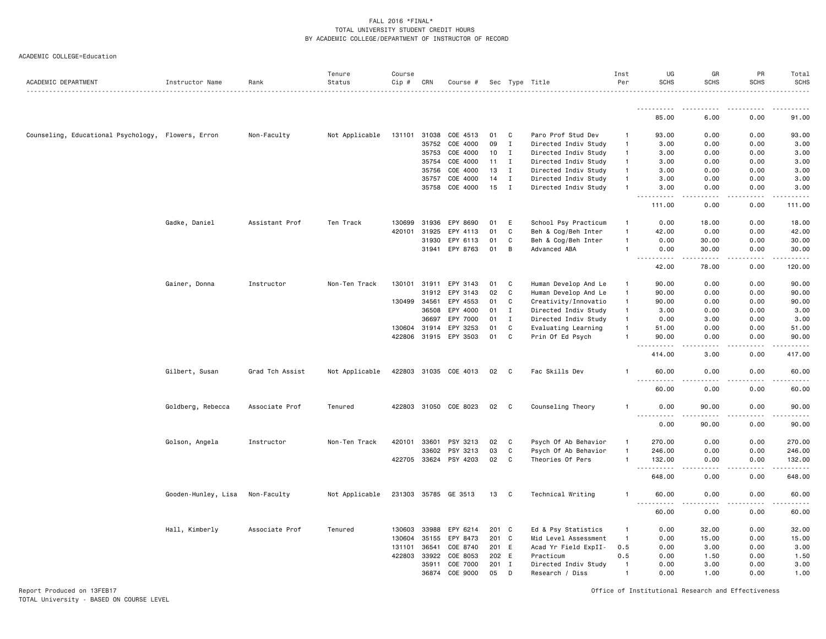|  |  | ACADEMIC COLLEGE=Education |
|--|--|----------------------------|
|--|--|----------------------------|

| ACADEMIC DEPARTMENT                                | Instructor Name     | Rank            | Tenure<br>Status | Course<br>Cip # | CRN          | Course #              |       |              | Sec Type Title       | Inst<br>Per    | UG<br><b>SCHS</b>                  | GR<br><b>SCHS</b>                                                                                                                                             | PR<br><b>SCHS</b> | Total<br><b>SCHS</b> |
|----------------------------------------------------|---------------------|-----------------|------------------|-----------------|--------------|-----------------------|-------|--------------|----------------------|----------------|------------------------------------|---------------------------------------------------------------------------------------------------------------------------------------------------------------|-------------------|----------------------|
|                                                    |                     |                 |                  |                 |              |                       |       |              | .                    |                |                                    |                                                                                                                                                               |                   |                      |
|                                                    |                     |                 |                  |                 |              |                       |       |              |                      |                | 85.00                              | 6.00                                                                                                                                                          | 0.00              | 91.00                |
| Counseling, Educational Psychology, Flowers, Erron |                     | Non-Faculty     | Not Applicable   | 131101 31038    |              | COE 4513              | 01    | C            | Paro Prof Stud Dev   | -1             | 93.00                              | 0.00                                                                                                                                                          | 0.00              | 93.00                |
|                                                    |                     |                 |                  |                 | 35752        | COE 4000              | 09    | I            | Directed Indiv Study | $\mathbf{1}$   | 3.00                               | 0.00                                                                                                                                                          | 0.00              | 3.00                 |
|                                                    |                     |                 |                  |                 | 35753        | COE 4000              | 10    | I            | Directed Indiv Study | $\mathbf{1}$   | 3.00                               | 0.00                                                                                                                                                          | 0.00              | 3.00                 |
|                                                    |                     |                 |                  |                 | 35754        | COE 4000              | 11    | Ι.           | Directed Indiv Study | $\mathbf{1}$   | 3.00                               | 0.00                                                                                                                                                          | 0.00              | 3.00                 |
|                                                    |                     |                 |                  |                 | 35756        | COE 4000              | 13    | I            | Directed Indiv Study | $\mathbf{1}$   | 3.00                               | 0.00                                                                                                                                                          | 0.00              | 3.00                 |
|                                                    |                     |                 |                  |                 | 35757        | COE 4000              | 14    | I            | Directed Indiv Study | -1             | 3.00                               | 0.00                                                                                                                                                          | 0.00              | 3.00                 |
|                                                    |                     |                 |                  |                 | 35758        | COE 4000              | 15    | $\mathbf{I}$ | Directed Indiv Study | $\mathbf{1}$   | 3.00                               | 0.00                                                                                                                                                          | 0.00              | 3.00                 |
|                                                    |                     |                 |                  |                 |              |                       |       |              |                      |                | .<br>$- - -$<br>111.00             | .<br>0.00                                                                                                                                                     | .<br>0.00         | .<br>111.00          |
|                                                    | Gadke, Daniel       | Assistant Prof  | Ten Track        | 130699          | 31936        | EPY 8690              | 01    | Ε            | School Psy Practicum | $\mathbf{1}$   | 0.00                               | 18.00                                                                                                                                                         | 0.00              | 18.00                |
|                                                    |                     |                 |                  |                 | 31925        | EPY 4113              | 01    | C            | Beh & Cog/Beh Inter  | $\overline{1}$ |                                    | 0.00                                                                                                                                                          | 0.00              | 42.00                |
|                                                    |                     |                 |                  | 420101          |              |                       |       |              |                      |                | 42.00                              |                                                                                                                                                               |                   |                      |
|                                                    |                     |                 |                  |                 | 31930        | EPY 6113              | 01    | C            | Beh & Cog/Beh Inter  | $\mathbf{1}$   | 0.00                               | 30.00                                                                                                                                                         | 0.00              | 30.00                |
|                                                    |                     |                 |                  |                 |              | 31941 EPY 8763        | 01    | В            | Advanced ABA         | $\mathbf{1}$   | 0.00<br>.<br>$\sim$ $\sim$ $\sim$  | 30.00<br>$\frac{1}{2} \left( \frac{1}{2} \right) \left( \frac{1}{2} \right) \left( \frac{1}{2} \right) \left( \frac{1}{2} \right) \left( \frac{1}{2} \right)$ | 0.00<br>.         | 30.00<br>.           |
|                                                    |                     |                 |                  |                 |              |                       |       |              |                      |                | 42.00                              | 78.00                                                                                                                                                         | 0.00              | 120.00               |
|                                                    | Gainer, Donna       | Instructor      | Non-Ten Track    | 130101          | 31911        | EPY 3143              | 01    | C            | Human Develop And Le | $\mathbf{1}$   | 90.00                              | 0.00                                                                                                                                                          | 0.00              | 90.00                |
|                                                    |                     |                 |                  |                 | 31912        | EPY 3143              | 02    | C            | Human Develop And Le | $\mathbf{1}$   | 90.00                              | 0.00                                                                                                                                                          | 0.00              | 90.00                |
|                                                    |                     |                 |                  | 130499          | 34561        | EPY 4553              | 01    | C            | Creativity/Innovatio | $\mathbf{1}$   | 90.00                              | 0.00                                                                                                                                                          | 0.00              | 90.00                |
|                                                    |                     |                 |                  |                 | 36508        | EPY 4000              | 01    | I            | Directed Indiv Study | $\overline{1}$ | 3.00                               | 0.00                                                                                                                                                          | 0.00              | 3.00                 |
|                                                    |                     |                 |                  |                 | 36697        | EPY 7000              | 01    | $\mathbf I$  | Directed Indiv Study | $\mathbf{1}$   | 0.00                               | 3.00                                                                                                                                                          | 0.00              | 3.00                 |
|                                                    |                     |                 |                  |                 | 130604 31914 | EPY 3253              | 01    | C            | Evaluating Learning  | $\mathbf{1}$   | 51.00                              | 0.00                                                                                                                                                          | 0.00              | 51.00                |
|                                                    |                     |                 |                  |                 |              | 422806 31915 EPY 3503 | 01    | C            | Prin Of Ed Psych     |                | 90.00                              | 0.00                                                                                                                                                          | 0.00              | 90.00                |
|                                                    |                     |                 |                  |                 |              |                       |       |              |                      |                | .<br>414.00                        | .<br>3.00                                                                                                                                                     | .<br>0.00         | .<br>417.00          |
|                                                    | Gilbert, Susan      | Grad Tch Assist | Not Applicable   |                 |              | 422803 31035 COE 4013 | 02 C  |              | Fac Skills Dev       | -1             | 60.00                              | 0.00                                                                                                                                                          | 0.00              | 60.00                |
|                                                    |                     |                 |                  |                 |              |                       |       |              |                      |                | 60.00                              | 0.00                                                                                                                                                          | 0.00              | .<br>60.00           |
|                                                    | Goldberg, Rebecca   | Associate Prof  | Tenured          |                 | 422803 31050 | COE 8023              | 02    | C            | Counseling Theory    | -1             | 0.00                               | 90.00                                                                                                                                                         | 0.00              | 90.00                |
|                                                    |                     |                 |                  |                 |              |                       |       |              |                      |                | <u>.</u><br>0.00                   | -----<br>90.00                                                                                                                                                | .<br>0.00         | .<br>90.00           |
|                                                    | Golson, Angela      | Instructor      | Non-Ten Track    | 420101          | 33601        | PSY 3213              | 02    | C            | Psych Of Ab Behavior | $\overline{1}$ | 270.00                             | 0.00                                                                                                                                                          | 0.00              | 270.00               |
|                                                    |                     |                 |                  |                 | 33602        | PSY 3213              | 03    | C            | Psych Of Ab Behavior | $\mathbf{1}$   | 246.00                             | 0.00                                                                                                                                                          | 0.00              | 246.00               |
|                                                    |                     |                 |                  |                 |              | 422705 33624 PSY 4203 | 02    | C            | Theories Of Pers     | $\mathbf{1}$   | 132.00                             | 0.00                                                                                                                                                          | 0.00              | 132.00               |
|                                                    |                     |                 |                  |                 |              |                       |       |              |                      |                | .<br>648.00                        | 0.00                                                                                                                                                          | 0.00              | 648.00               |
|                                                    | Gooden-Hunley, Lisa | Non-Faculty     | Not Applicable   |                 |              | 231303 35785 GE 3513  | 13 C  |              | Technical Writing    | -1             | 60.00                              | 0.00                                                                                                                                                          | 0.00              | 60.00                |
|                                                    |                     |                 |                  |                 |              |                       |       |              |                      |                | $\sim$ $\sim$ $\sim$<br>.<br>60.00 | .<br>0.00                                                                                                                                                     | .<br>0.00         | .<br>60.00           |
|                                                    | Hall, Kimberly      | Associate Prof  | Tenured          | 130603          | 33988        | EPY 6214              | 201 C |              | Ed & Psy Statistics  | $\mathbf{1}$   | 0.00                               | 32.00                                                                                                                                                         | 0.00              | 32.00                |
|                                                    |                     |                 |                  | 130604          | 35155        | EPY 8473              | 201   | $\mathbf{C}$ | Mid Level Assessment | $\overline{1}$ | 0.00                               | 15.00                                                                                                                                                         | 0.00              | 15.00                |
|                                                    |                     |                 |                  | 131101          | 36541        | COE 8740              | 201 E |              | Acad Yr Field ExpII- | 0.5            | 0.00                               | 3.00                                                                                                                                                          | 0.00              | 3.00                 |
|                                                    |                     |                 |                  | 422803          | 33922        | COE 8053              | 202 E |              | Practicum            | 0.5            | 0.00                               | 1.50                                                                                                                                                          | 0.00              | 1.50                 |
|                                                    |                     |                 |                  |                 | 35911        | COE 7000              | 201   | $\mathbf{I}$ | Directed Indiv Study | $\mathbf{1}$   | 0.00                               | 3.00                                                                                                                                                          | 0.00              | 3.00                 |
|                                                    |                     |                 |                  |                 | 36874        | COE 9000              | 05    | D            |                      | $\overline{1}$ | 0.00                               | 1.00                                                                                                                                                          | 0.00              | 1.00                 |
|                                                    |                     |                 |                  |                 |              |                       |       |              | Research / Diss      |                |                                    |                                                                                                                                                               |                   |                      |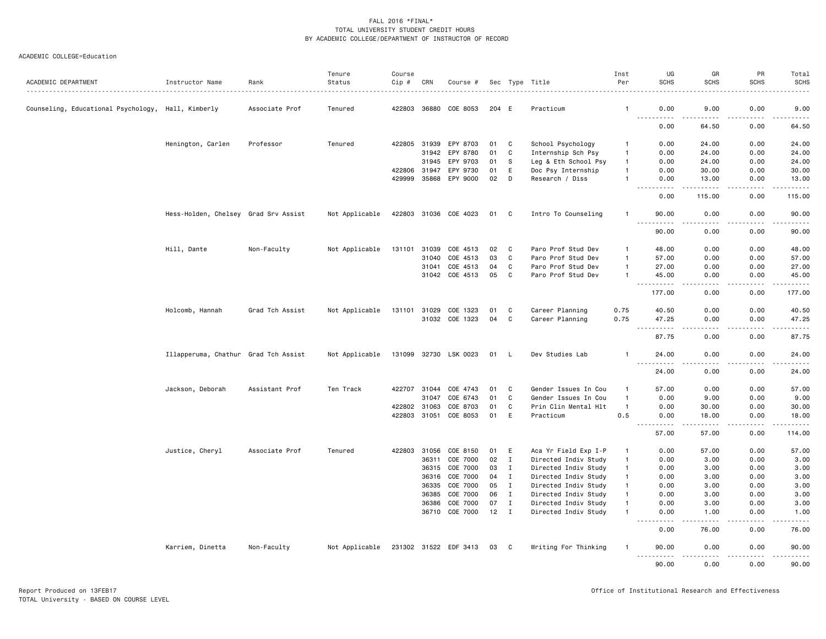|                                                    |                                      |                 | Tenure         | Course |              |                       |       |              |                      | Inst           | UG                                        | GR                                          | PR                 | Total          |
|----------------------------------------------------|--------------------------------------|-----------------|----------------|--------|--------------|-----------------------|-------|--------------|----------------------|----------------|-------------------------------------------|---------------------------------------------|--------------------|----------------|
| ACADEMIC DEPARTMENT                                | Instructor Name                      | Rank            | Status         | Cip #  | CRN          | Course #              |       |              | Sec Type Title       | Per            | <b>SCHS</b>                               | <b>SCHS</b>                                 | <b>SCHS</b>        | <b>SCHS</b>    |
| Counseling, Educational Psychology, Hall, Kimberly |                                      | Associate Prof  | Tenured        |        |              | 422803 36880 COE 8053 | 204 E |              | Practicum            | -1             | 0.00<br>.                                 | 9.00                                        | 0.00               | 9.00           |
|                                                    |                                      |                 |                |        |              |                       |       |              |                      |                | 0.00                                      | 64.50                                       | 0.00               | 64.50          |
|                                                    | Henington, Carlen                    | Professor       | Tenured        |        | 422805 31939 | EPY 8703              | 01    | C            | School Psychology    | $\mathbf{1}$   | 0.00                                      | 24.00                                       | 0.00               | 24.00          |
|                                                    |                                      |                 |                |        |              | 31942 EPY 8780        | 01    | C            | Internship Sch Psy   | -1             | 0.00                                      | 24.00                                       | 0.00               | 24.00          |
|                                                    |                                      |                 |                |        | 31945        | EPY 9703              | 01    | - S          | Leg & Eth School Psy | $\mathbf{1}$   | 0.00                                      | 24.00                                       | 0.00               | 24.00          |
|                                                    |                                      |                 |                |        | 422806 31947 | EPY 9730              | 01    | E            | Doc Psy Internship   | $\mathbf{1}$   | 0.00                                      | 30.00                                       | 0.00               | 30.00          |
|                                                    |                                      |                 |                |        | 429999 35868 | EPY 9000              | 02    | D            | Research / Diss      | -1             | 0.00<br>المتمالين                         | 13.00<br>.                                  | 0.00<br>.          | 13.00<br>.     |
|                                                    |                                      |                 |                |        |              |                       |       |              |                      |                | 0.00                                      | 115.00                                      | 0.00               | 115.00         |
|                                                    | Hess-Holden, Chelsey Grad Srv Assist |                 | Not Applicable |        |              | 422803 31036 COE 4023 | 01    | C            | Intro To Counseling  | -1             | 90.00                                     | 0.00                                        | 0.00               | 90.00          |
|                                                    |                                      |                 |                |        |              |                       |       |              |                      |                | 90.00                                     | 0.00                                        | 0.00               | 90.00          |
|                                                    | Hill, Dante                          | Non-Faculty     | Not Applicable |        |              | 131101 31039 COE 4513 | 02    | C            | Paro Prof Stud Dev   | $\mathbf{1}$   | 48.00                                     | 0.00                                        | 0.00               | 48.00          |
|                                                    |                                      |                 |                |        | 31040        | COE 4513              | 03    | C            | Paro Prof Stud Dev   | $\overline{1}$ | 57.00                                     | 0.00                                        | 0.00               | 57.00          |
|                                                    |                                      |                 |                |        | 31041        | COE 4513              | 04    | C            | Paro Prof Stud Dev   | $\mathbf{1}$   | 27.00                                     | 0.00                                        | 0.00               | 27.00          |
|                                                    |                                      |                 |                |        |              | 31042 COE 4513        | 05    | C            | Paro Prof Stud Dev   | $\overline{1}$ | 45.00<br>$\sim$ $\sim$<br>.               | 0.00                                        | 0.00               | 45.00<br>----- |
|                                                    |                                      |                 |                |        |              |                       |       |              |                      |                | 177.00                                    | 0.00                                        | 0.00               | 177.00         |
|                                                    | Holcomb, Hannah                      | Grad Tch Assist | Not Applicable | 131101 | 31029        | COE 1323              | 01    | C            | Career Planning      | 0.75           | 40.50                                     | 0.00                                        | 0.00               | 40.50          |
|                                                    |                                      |                 |                |        |              | 31032 COE 1323        | 04    | C            | Career Planning      | 0.75           | 47.25<br>.<br>$- - -$                     | 0.00<br>د د د د                             | 0.00<br>.          | 47.25<br>.     |
|                                                    |                                      |                 |                |        |              |                       |       |              |                      |                | 87.75                                     | 0.00                                        | 0.00               | 87.75          |
|                                                    | Illapperuma, Chathur Grad Tch Assist |                 | Not Applicable |        |              | 131099 32730 LSK 0023 | 01 L  |              | Dev Studies Lab      | -1             | 24.00<br>$\sim$ $\sim$ $\sim$<br>- - - -  | 0.00                                        | 0.00               | 24.00<br>.     |
|                                                    |                                      |                 |                |        |              |                       |       |              |                      |                | 24.00                                     | 0.00                                        | 0.00               | 24.00          |
|                                                    | Jackson, Deborah                     | Assistant Prof  | Ten Track      |        | 422707 31044 | COE 4743              | 01    | C            | Gender Issues In Cou | -1             | 57.00                                     | 0.00                                        | 0.00               | 57.00          |
|                                                    |                                      |                 |                |        | 31047        | COE 6743              | 01    | C            | Gender Issues In Cou | $\overline{1}$ | 0.00                                      | 9.00                                        | 0.00               | 9.00           |
|                                                    |                                      |                 |                |        | 422802 31063 | COE 8703              | 01    | C            | Prin Clin Mental Hlt | $\overline{1}$ | 0.00                                      | 30.00                                       | 0.00               | 30.00          |
|                                                    |                                      |                 |                |        |              | 422803 31051 COE 8053 | 01    | E            | Practicum            | 0.5            | 0.00<br>$\sim$ $\sim$ $\sim$<br>2.2.2.2.2 | 18.00<br>$\sim$ $\sim$ $\sim$ $\sim$ $\sim$ | 0.00<br>.          | 18.00<br>.     |
|                                                    |                                      |                 |                |        |              |                       |       |              |                      |                | 57.00                                     | 57.00                                       | 0.00               | 114.00         |
|                                                    | Justice, Cheryl                      | Associate Prof  | Tenured        |        |              | 422803 31056 COE 8150 | 01 E  |              | Aca Yr Field Exp I-P | $\mathbf{1}$   | 0.00                                      | 57.00                                       | 0.00               | 57.00          |
|                                                    |                                      |                 |                |        | 36311        | COE 7000              | 02    | $\mathbf{I}$ | Directed Indiv Study | $\mathbf{1}$   | 0.00                                      | 3.00                                        | 0.00               | 3.00           |
|                                                    |                                      |                 |                |        |              | 36315 COE 7000        | 03    | $\mathbf{I}$ | Directed Indiv Study | $\mathbf{1}$   | 0.00                                      | 3.00                                        | 0.00               | 3.00           |
|                                                    |                                      |                 |                |        | 36316        | COE 7000              | 04    | $\mathbf{I}$ | Directed Indiv Study | $\mathbf{1}$   | 0.00                                      | 3.00                                        | 0.00               | 3.00           |
|                                                    |                                      |                 |                |        | 36335        | COE 7000              | 05    | $\mathbf{I}$ | Directed Indiv Study | $\mathbf{1}$   | 0.00                                      | 3.00                                        | 0.00               | 3.00           |
|                                                    |                                      |                 |                |        | 36385        | COE 7000              | 06    | $\mathbf{I}$ | Directed Indiv Study | $\mathbf{1}$   | 0.00                                      | 3.00                                        | 0.00               | 3.00           |
|                                                    |                                      |                 |                |        | 36386        | COE 7000              | 07    | $\mathbf{I}$ | Directed Indiv Study | $\overline{1}$ | 0.00                                      | 3.00                                        | 0.00               | 3.00           |
|                                                    |                                      |                 |                |        |              | 36710 COE 7000        | 12    | $\mathbf{I}$ | Directed Indiv Study | -1             | 0.00<br>.<br>$\sim$ $\sim$ $\sim$         | 1.00<br>22222                               | 0.00<br>. <b>.</b> | 1.00<br>.      |
|                                                    |                                      |                 |                |        |              |                       |       |              |                      |                | 0.00                                      | 76.00                                       | 0.00               | 76.00          |
|                                                    | Karriem, Dinetta                     | Non-Faculty     | Not Applicable |        |              | 231302 31522 EDF 3413 | 03    | C            | Writing For Thinking | -1             | 90.00<br>.                                | 0.00<br>.                                   | 0.00               | 90.00          |
|                                                    |                                      |                 |                |        |              |                       |       |              |                      |                | 90.00                                     | 0.00                                        | 0.00               | 90.00          |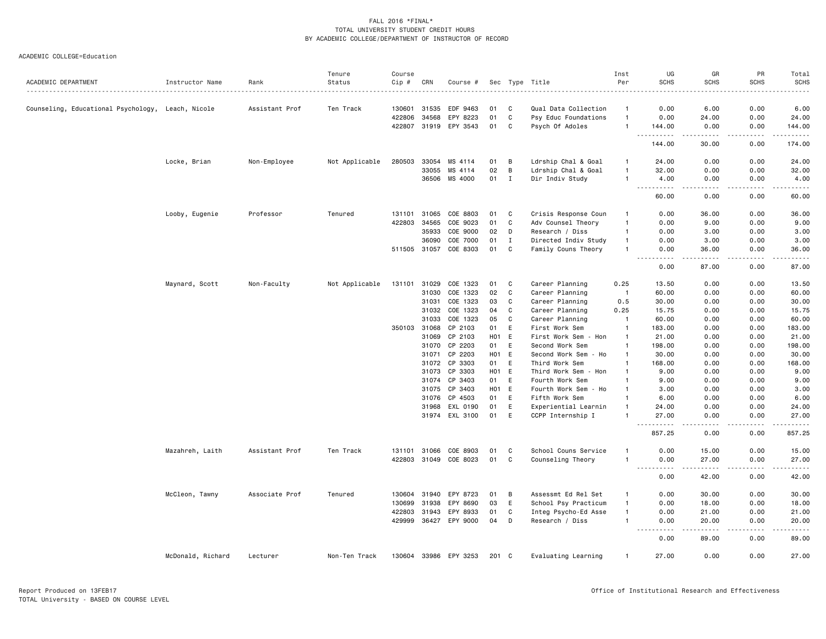|                                                   |                   |                | Tenure         | Course |              |                            |                 |              |                                              | Inst           | UG                                                                                                                                | GR                                                                                                                                                            | PR               | Total          |
|---------------------------------------------------|-------------------|----------------|----------------|--------|--------------|----------------------------|-----------------|--------------|----------------------------------------------|----------------|-----------------------------------------------------------------------------------------------------------------------------------|---------------------------------------------------------------------------------------------------------------------------------------------------------------|------------------|----------------|
| ACADEMIC DEPARTMENT                               | Instructor Name   | Rank           | Status         | Cip #  | CRN          | Course #                   |                 |              | Sec Type Title                               | Per            | <b>SCHS</b>                                                                                                                       | <b>SCHS</b>                                                                                                                                                   | <b>SCHS</b>      | <b>SCHS</b>    |
|                                                   |                   |                | Ten Track      |        | 130601 31535 | EDF 9463                   |                 |              |                                              | $\mathbf{1}$   | 0.00                                                                                                                              |                                                                                                                                                               |                  |                |
| Counseling, Educational Psychology, Leach, Nicole |                   | Assistant Prof |                | 422806 | 34568        | EPY 8223                   | 01<br>01        | C<br>C       | Qual Data Collection<br>Psy Educ Foundations | $\overline{1}$ | 0.00                                                                                                                              | 6.00<br>24.00                                                                                                                                                 | 0.00<br>0.00     | 6.00<br>24.00  |
|                                                   |                   |                |                |        | 422807 31919 | EPY 3543                   | 01              | C            | Psych Of Adoles                              | $\overline{1}$ | 144.00                                                                                                                            | 0.00                                                                                                                                                          | 0.00             | 144.00         |
|                                                   |                   |                |                |        |              |                            |                 |              |                                              |                | .                                                                                                                                 | $- - -$                                                                                                                                                       | $\frac{1}{2}$    | .              |
|                                                   |                   |                |                |        |              |                            |                 |              |                                              |                | 144.00                                                                                                                            | 30.00                                                                                                                                                         | 0.00             | 174.00         |
|                                                   | Locke, Brian      | Non-Employee   | Not Applicable | 280503 | 33054        | MS 4114                    | 01              | В            | Ldrship Chal & Goal                          | -1             | 24.00                                                                                                                             | 0.00                                                                                                                                                          | 0.00             | 24.00          |
|                                                   |                   |                |                |        | 33055        | MS 4114                    | 02              | B            | Ldrship Chal & Goal                          | $\overline{1}$ | 32.00                                                                                                                             | 0.00                                                                                                                                                          | 0.00             | 32.00          |
|                                                   |                   |                |                |        |              | 36506 MS 4000              | 01              | $\mathbf{I}$ | Dir Indiv Study                              | $\overline{1}$ | 4.00                                                                                                                              | 0.00<br>.                                                                                                                                                     | 0.00<br>$\cdots$ | 4.00           |
|                                                   |                   |                |                |        |              |                            |                 |              |                                              |                | 60.00                                                                                                                             | 0.00                                                                                                                                                          | 0.00             | 60.00          |
|                                                   | Looby, Eugenie    | Professor      | Tenured        | 131101 | 31065        | COE 8803                   | 01              | C            | Crisis Response Coun                         | -1             | 0.00                                                                                                                              | 36.00                                                                                                                                                         | 0.00             | 36.00          |
|                                                   |                   |                |                | 422803 | 34565        | COE 9023                   | 01              | C            | Adv Counsel Theory                           | $\mathbf{1}$   | 0.00                                                                                                                              | 9.00                                                                                                                                                          | 0.00             | 9.00           |
|                                                   |                   |                |                |        | 35933        | COE 9000                   | 02              | D            | Research / Diss                              | $\mathbf{1}$   | 0.00                                                                                                                              | 3.00                                                                                                                                                          | 0.00             | 3.00           |
|                                                   |                   |                |                |        | 36090        | COE 7000                   | 01              | $\mathbf{I}$ | Directed Indiv Study                         | $\mathbf{1}$   | 0.00                                                                                                                              | 3.00                                                                                                                                                          | 0.00             | 3.00           |
|                                                   |                   |                |                |        |              | 511505 31057 COE 8303      | 01              | C            | Family Couns Theory                          | -1             | 0.00<br>----                                                                                                                      | 36.00<br>-----                                                                                                                                                | 0.00<br>.        | 36.00<br>.     |
|                                                   |                   |                |                |        |              |                            |                 |              |                                              |                | 0.00                                                                                                                              | 87.00                                                                                                                                                         | 0.00             | 87.00          |
|                                                   | Maynard, Scott    | Non-Faculty    | Not Applicable | 131101 | 31029        | COE 1323                   | 01              | C            | Career Planning                              | 0.25           | 13.50                                                                                                                             | 0.00                                                                                                                                                          | 0.00             | 13.50          |
|                                                   |                   |                |                |        | 31030        | COE 1323                   | 02              | C            | Career Planning                              | -1             | 60.00                                                                                                                             | 0.00                                                                                                                                                          | 0.00             | 60.00          |
|                                                   |                   |                |                |        | 31031        | COE 1323                   | 03              | C            | Career Planning                              | 0.5            | 30.00                                                                                                                             | 0.00                                                                                                                                                          | 0.00             | 30.00          |
|                                                   |                   |                |                |        |              | 31032 COE 1323             | 04              | C            | Career Planning                              | 0.25           | 15.75                                                                                                                             | 0.00                                                                                                                                                          | 0.00             | 15.75          |
|                                                   |                   |                |                |        | 31033        | COE 1323                   | 05              | C            | Career Planning                              | $\overline{1}$ | 60.00                                                                                                                             | 0.00                                                                                                                                                          | 0.00             | 60.00          |
|                                                   |                   |                |                | 350103 | 31068        | CP 2103                    | 01              | E            | First Work Sem                               | $\overline{1}$ | 183.00                                                                                                                            | 0.00                                                                                                                                                          | 0.00             | 183.00         |
|                                                   |                   |                |                |        | 31069        | CP 2103                    | H01 E           |              | First Work Sem - Hon                         | -1             | 21.00                                                                                                                             | 0.00                                                                                                                                                          | 0.00             | 21.00          |
|                                                   |                   |                |                |        | 31070        | CP 2203                    | 01              | E            | Second Work Sem                              | $\overline{1}$ | 198.00                                                                                                                            | 0.00                                                                                                                                                          | 0.00             | 198.00         |
|                                                   |                   |                |                |        | 31071        | CP 2203                    | H01 E           |              | Second Work Sem - Ho                         | $\mathbf{1}$   | 30.00                                                                                                                             | 0.00                                                                                                                                                          | 0.00             | 30.00          |
|                                                   |                   |                |                |        | 31072        | CP 3303                    | 01              | E            | Third Work Sem                               | $\overline{1}$ | 168.00                                                                                                                            | 0.00                                                                                                                                                          | 0.00             | 168.00         |
|                                                   |                   |                |                |        | 31073        | CP 3303                    | HO <sub>1</sub> | E            | Third Work Sem - Hon                         | $\overline{1}$ | 9.00                                                                                                                              | 0.00                                                                                                                                                          | 0.00             | 9.00           |
|                                                   |                   |                |                |        | 31074        | CP 3403                    | 01              | E            | Fourth Work Sem                              | $\overline{1}$ | 9.00                                                                                                                              | 0.00                                                                                                                                                          | 0.00             | 9.00           |
|                                                   |                   |                |                |        | 31075        | CP 3403                    | H01 E           |              | Fourth Work Sem - Ho                         | -1<br>-1       | 3.00                                                                                                                              | 0.00                                                                                                                                                          | 0.00             | 3.00           |
|                                                   |                   |                |                |        | 31076        | CP 4503                    | 01<br>01        | E            | Fifth Work Sem                               | -1             | 6.00                                                                                                                              | 0.00                                                                                                                                                          | 0.00             | 6.00           |
|                                                   |                   |                |                |        | 31968        | EXL 0190<br>31974 EXL 3100 | 01              | E<br>E       | Experiential Learnin<br>CCPP Internship I    | $\overline{1}$ | 24.00<br>27.00                                                                                                                    | 0.00<br>0.00                                                                                                                                                  | 0.00<br>0.00     | 24.00<br>27.00 |
|                                                   |                   |                |                |        |              |                            |                 |              |                                              |                | .<br>857.25                                                                                                                       | $\omega$ $\omega$ $\omega$ $\omega$<br>0.00                                                                                                                   | <u>.</u><br>0.00 | .<br>857.25    |
|                                                   | Mazahreh, Laith   | Assistant Prof | Ten Track      | 131101 | 31066        | COE 8903                   | 01              | C            | School Couns Service                         | -1             | 0.00                                                                                                                              | 15.00                                                                                                                                                         | 0.00             | 15.00          |
|                                                   |                   |                |                |        |              | 422803 31049 COE 8023      | 01              | C            | Counseling Theory                            | $\overline{1}$ | 0.00                                                                                                                              | 27.00                                                                                                                                                         | 0.00             | 27.00          |
|                                                   |                   |                |                |        |              |                            |                 |              |                                              |                | .<br>$\sim$ $\sim$ .<br>0.00                                                                                                      | $\frac{1}{2} \left( \frac{1}{2} \right) \left( \frac{1}{2} \right) \left( \frac{1}{2} \right) \left( \frac{1}{2} \right) \left( \frac{1}{2} \right)$<br>42.00 | .<br>0.00        | .<br>42.00     |
|                                                   | McCleon, Tawny    | Associate Prof | Tenured        |        | 130604 31940 | EPY 8723                   | 01              | B            | Assessmt Ed Rel Set                          | $\mathbf{1}$   | 0.00                                                                                                                              | 30.00                                                                                                                                                         | 0.00             | 30.00          |
|                                                   |                   |                |                | 130699 | 31938        | EPY 8690                   | 03              | E            | School Psy Practicum                         | $\mathbf{1}$   | 0.00                                                                                                                              | 18.00                                                                                                                                                         | 0.00             | 18.00          |
|                                                   |                   |                |                | 422803 | 31943        | EPY 8933                   | 01              | C            | Integ Psycho-Ed Asse                         | $\overline{1}$ | 0.00                                                                                                                              | 21.00                                                                                                                                                         | 0.00             | 21.00          |
|                                                   |                   |                |                |        |              | 429999 36427 EPY 9000      | 04              | D            | Research / Diss                              | $\overline{1}$ | 0.00                                                                                                                              | 20.00<br>$\frac{1}{2}$                                                                                                                                        | 0.00<br>.        | 20.00<br>.     |
|                                                   |                   |                |                |        |              |                            |                 |              |                                              |                | $\frac{1}{2} \left( \frac{1}{2} \right) \left( \frac{1}{2} \right) \left( \frac{1}{2} \right) \left( \frac{1}{2} \right)$<br>0.00 | 89.00                                                                                                                                                         | 0.00             | 89.00          |
|                                                   | McDonald, Richard | Lecturer       | Non-Ten Track  |        |              | 130604 33986 EPY 3253      | 201 C           |              | Evaluating Learning                          | $\overline{1}$ | 27.00                                                                                                                             | 0.00                                                                                                                                                          | 0.00             | 27.00          |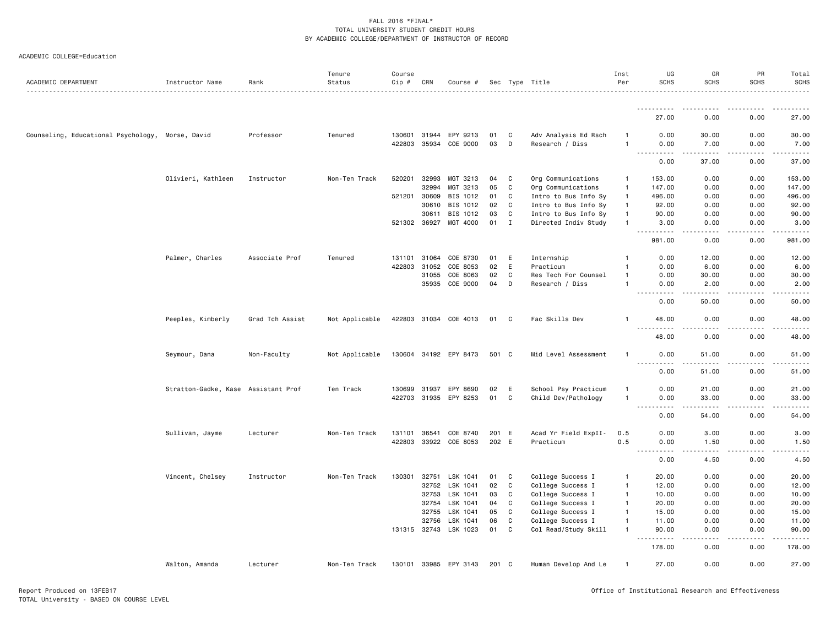| ACADEMIC DEPARTMENT                              | Instructor Name                     | Rank            | Tenure<br>Status | Course<br>Cip # | CRN   | Course #              |       |             | Sec Type Title       | Inst<br>Per  | UG<br><b>SCHS</b>                               | GR<br><b>SCHS</b>      | PR<br><b>SCHS</b> | Total<br><b>SCHS</b> |
|--------------------------------------------------|-------------------------------------|-----------------|------------------|-----------------|-------|-----------------------|-------|-------------|----------------------|--------------|-------------------------------------------------|------------------------|-------------------|----------------------|
|                                                  |                                     |                 |                  |                 |       |                       |       |             |                      |              |                                                 |                        |                   |                      |
|                                                  |                                     |                 |                  |                 |       |                       |       |             |                      |              | 27.00                                           | 0.00                   | 0.00              | 27.00                |
| Counseling, Educational Psychology, Morse, David |                                     | Professor       | Tenured          | 130601          | 31944 | EPY 9213              | 01    | C           | Adv Analysis Ed Rsch | $\mathbf{1}$ | 0.00                                            | 30.00                  | 0.00              | 30.00                |
|                                                  |                                     |                 |                  | 422803          | 35934 | COE 9000              | 03    | D           | Research / Diss      |              | 0.00<br>$\sim$ $\sim$ $\sim$ $\sim$             | 7.00<br>-----          | 0.00<br>.         | 7.00<br>.            |
|                                                  |                                     |                 |                  |                 |       |                       |       |             |                      |              | 0.00                                            | 37.00                  | 0.00              | 37.00                |
|                                                  | Olivieri, Kathleen                  | Instructor      | Non-Ten Track    | 520201          | 32993 | MGT 3213              | 04    | C           | Org Communications   | $\mathbf{1}$ | 153.00                                          | 0.00                   | 0.00              | 153.00               |
|                                                  |                                     |                 |                  |                 | 32994 | MGT 3213              | 05    | C           | Org Communications   | $\mathbf{1}$ | 147.00                                          | 0.00                   | 0.00              | 147.00               |
|                                                  |                                     |                 |                  | 521201          | 30609 | BIS 1012              | 01    | C           | Intro to Bus Info Sy | $\mathbf{1}$ | 496.00                                          | 0.00                   | 0.00              | 496.00               |
|                                                  |                                     |                 |                  |                 | 30610 | BIS 1012              | 02    | C           | Intro to Bus Info Sy | $\mathbf{1}$ | 92.00                                           | 0.00                   | 0.00              | 92.00                |
|                                                  |                                     |                 |                  |                 | 30611 | BIS 1012              | 03    | C           | Intro to Bus Info Sy | $\mathbf{1}$ | 90.00                                           | 0.00                   | 0.00              | 90.00                |
|                                                  |                                     |                 |                  | 521302 36927    |       | MGT 4000              | 01    | I           | Directed Indiv Study | $\mathbf{1}$ | 3.00<br>.                                       | 0.00                   | 0.00              | 3.00<br>.            |
|                                                  |                                     |                 |                  |                 |       |                       |       |             |                      |              | 981.00                                          | 0.00                   | 0.00              | 981.00               |
|                                                  | Palmer, Charles                     | Associate Prof  | Tenured          | 131101          | 31064 | COE 8730              | 01    | E           | Internship           |              | 0.00                                            | 12.00                  | 0.00              | 12.00                |
|                                                  |                                     |                 |                  | 422803          | 31052 | COE 8053              | 02    | E           | Practicum            |              | 0.00                                            | 6.00                   | 0.00              | 6.00                 |
|                                                  |                                     |                 |                  |                 | 31055 | COE 8063              | 02    | C           | Res Tech For Counsel | $\mathbf{1}$ | 0.00                                            | 30.00                  | 0.00              | 30.00                |
|                                                  |                                     |                 |                  |                 | 35935 | COE 9000              | 04    | D           | Research / Diss      | $\mathbf{1}$ | 0.00<br>$\sim$ $\sim$ $\sim$<br>.               | 2.00<br>-----          | 0.00<br>$- - - -$ | 2.00<br>والمستحدث    |
|                                                  |                                     |                 |                  |                 |       |                       |       |             |                      |              | 0.00                                            | 50.00                  | 0.00              | 50.00                |
|                                                  | Peeples, Kimberly                   | Grad Tch Assist | Not Applicable   |                 |       | 422803 31034 COE 4013 | 01    | C           | Fac Skills Dev       | 1            | 48.00                                           | 0.00                   | 0.00              | 48.00                |
|                                                  |                                     |                 |                  |                 |       |                       |       |             |                      |              | $- - - - -$<br>48.00                            | .<br>0.00              | .<br>0.00         | .<br>48.00           |
|                                                  | Seymour, Dana                       | Non-Faculty     | Not Applicable   |                 |       | 130604 34192 EPY 8473 | 501 C |             | Mid Level Assessment | $\mathbf{1}$ | 0.00                                            | 51.00                  | 0.00              | 51.00                |
|                                                  |                                     |                 |                  |                 |       |                       |       |             |                      |              | <u>.</u><br>0.00                                | $\frac{1}{2}$<br>51.00 | .<br>0.00         | .<br>51.00           |
|                                                  | Stratton-Gadke, Kase Assistant Prof |                 | Ten Track        | 130699          | 31937 | EPY 8690              | 02    | E           | School Psy Practicum | $\mathbf{1}$ | 0.00                                            | 21.00                  | 0.00              | 21.00                |
|                                                  |                                     |                 |                  |                 |       | 422703 31935 EPY 8253 | 01    | C           | Child Dev/Pathology  | $\mathbf{1}$ | 0.00                                            | 33,00                  | 0.00              | 33,00                |
|                                                  |                                     |                 |                  |                 |       |                       |       |             |                      |              | -----------                                     | .                      | .                 | .                    |
|                                                  |                                     |                 |                  |                 |       |                       |       |             |                      |              | 0.00                                            | 54.00                  | 0.00              | 54.00                |
|                                                  | Sullivan, Jayme                     | Lecturer        | Non-Ten Track    | 131101          | 36541 | COE 8740              | 201   | E           | Acad Yr Field ExpII- | 0.5          | 0.00                                            | 3.00                   | 0.00              | 3.00                 |
|                                                  |                                     |                 |                  | 422803          | 33922 | COE 8053              | 202 E |             | Practicum            | 0.5          | 0.00                                            | 1.50                   | 0.00              | 1.50                 |
|                                                  |                                     |                 |                  |                 |       |                       |       |             |                      |              | <b>.</b><br>$\sim$ $\sim$ $\sim$ $\sim$<br>0.00 | د د د د<br>4.50        | .<br>0.00         | والمستحدث<br>4.50    |
|                                                  | Vincent, Chelsey                    | Instructor      | Non-Ten Track    | 130301          | 32751 | LSK 1041              | 01    | C           | College Success I    | -1           | 20.00                                           | 0.00                   | 0.00              | 20.00                |
|                                                  |                                     |                 |                  |                 | 32752 | LSK 1041              | 02    | C           | College Success I    | $\mathbf{1}$ | 12.00                                           | 0.00                   | 0.00              | 12.00                |
|                                                  |                                     |                 |                  |                 | 32753 | LSK 1041              | 03    | $\mathbf c$ | College Success I    | $\mathbf{1}$ | 10.00                                           | 0.00                   | 0.00              | 10.00                |
|                                                  |                                     |                 |                  |                 | 32754 | LSK 1041              | 04    | C           | College Success I    | $\mathbf{1}$ | 20.00                                           | 0.00                   | 0.00              | 20.00                |
|                                                  |                                     |                 |                  |                 | 32755 | LSK 1041              | 05    | C           | College Success I    | $\mathbf{1}$ | 15.00                                           | 0.00                   | 0.00              | 15.00                |
|                                                  |                                     |                 |                  |                 | 32756 | LSK 1041              | 06    | C           | College Success I    | $\mathbf{1}$ | 11.00                                           | 0.00                   | 0.00              | 11.00                |
|                                                  |                                     |                 |                  | 131315 32743    |       | LSK 1023              | 01    | C           | Col Read/Study Skill | $\mathbf{1}$ | 90.00<br><u>.</u>                               | 0.00<br>$\frac{1}{2}$  | 0.00<br>.         | 90.00<br>.           |
|                                                  |                                     |                 |                  |                 |       |                       |       |             |                      |              | 178.00                                          | 0.00                   | 0.00              | 178.00               |
|                                                  | Walton, Amanda                      | Lecturer        | Non-Ten Track    |                 |       | 130101 33985 EPY 3143 | 201 C |             | Human Develop And Le | $\mathbf{1}$ | 27.00                                           | 0.00                   | 0.00              | 27.00                |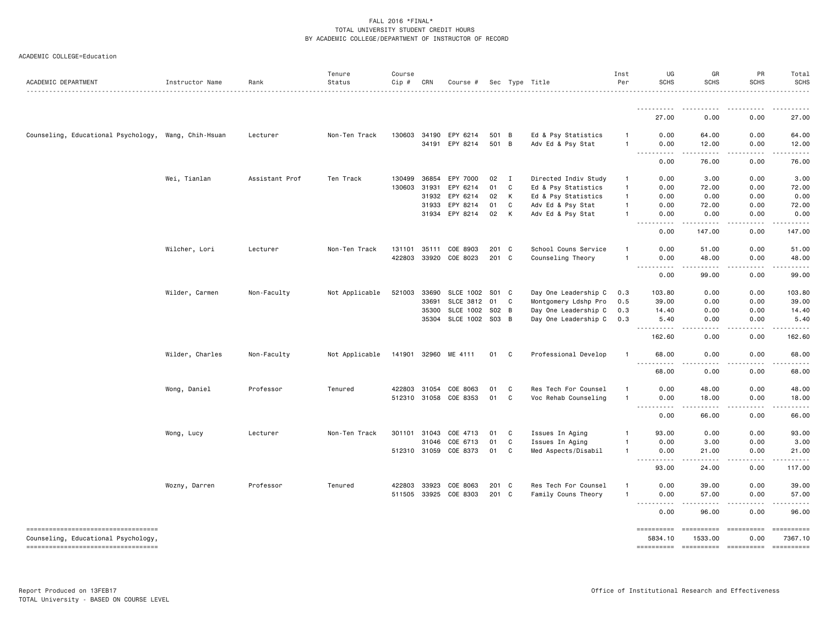| ACADEMIC DEPARTMENT                                                       | Instructor Name | Rank           | Tenure<br>Status | Course<br>Cip # | CRN          | Course #              |       |              | Sec Type Title       | Inst<br>Per    | UG<br><b>SCHS</b>                                                                                                                 | GR<br><b>SCHS</b>                                                                                                                                             | PR<br><b>SCHS</b>                                                                                                                                            | Total<br><b>SCHS</b> |
|---------------------------------------------------------------------------|-----------------|----------------|------------------|-----------------|--------------|-----------------------|-------|--------------|----------------------|----------------|-----------------------------------------------------------------------------------------------------------------------------------|---------------------------------------------------------------------------------------------------------------------------------------------------------------|--------------------------------------------------------------------------------------------------------------------------------------------------------------|----------------------|
|                                                                           |                 |                | .                |                 |              |                       |       |              |                      |                |                                                                                                                                   |                                                                                                                                                               |                                                                                                                                                              |                      |
|                                                                           |                 |                |                  |                 |              |                       |       |              |                      |                | 27.00                                                                                                                             | 0.00                                                                                                                                                          | 0.00                                                                                                                                                         | 27.00                |
| Counseling, Educational Psychology, Wang, Chih-Hsuan                      |                 | Lecturer       | Non-Ten Track    |                 |              | 130603 34190 EPY 6214 | 501 B |              | Ed & Psy Statistics  | $\mathbf{1}$   | 0.00                                                                                                                              | 64.00                                                                                                                                                         | 0.00                                                                                                                                                         | 64.00                |
|                                                                           |                 |                |                  |                 |              | 34191 EPY 8214        | 501 B |              | Adv Ed & Psy Stat    | 1              | 0.00                                                                                                                              | 12.00                                                                                                                                                         | 0.00                                                                                                                                                         | 12.00                |
|                                                                           |                 |                |                  |                 |              |                       |       |              |                      |                | $\sim$ $\sim$ $\sim$ $\sim$<br>.<br>0.00                                                                                          | 76.00                                                                                                                                                         | 0.00                                                                                                                                                         | 76.00                |
|                                                                           | Wei, Tianlan    | Assistant Prof | Ten Track        | 130499          | 36854        | EPY 7000              | 02    | I            | Directed Indiv Study | $\mathbf{1}$   | 0.00                                                                                                                              | 3.00                                                                                                                                                          | 0.00                                                                                                                                                         | 3.00                 |
|                                                                           |                 |                |                  | 130603          | 31931        | EPY 6214              | 01    | C            | Ed & Psy Statistics  | $\mathbf{1}$   | 0.00                                                                                                                              | 72.00                                                                                                                                                         | 0.00                                                                                                                                                         | 72.00                |
|                                                                           |                 |                |                  |                 |              | 31932 EPY 6214        | 02    | К            | Ed & Psy Statistics  | $\overline{1}$ | 0.00                                                                                                                              | 0.00                                                                                                                                                          | 0.00                                                                                                                                                         | 0.00                 |
|                                                                           |                 |                |                  |                 | 31933        | EPY 8214              | 01    | C            | Adv Ed & Psy Stat    | $\mathbf{1}$   | 0.00                                                                                                                              | 72.00                                                                                                                                                         | 0.00                                                                                                                                                         | 72.00                |
|                                                                           |                 |                |                  |                 |              | 31934 EPY 8214        | 02    | К            | Adv Ed & Psy Stat    |                | 0.00<br>.                                                                                                                         | 0.00<br>.                                                                                                                                                     | 0.00                                                                                                                                                         | 0.00<br><u>.</u>     |
|                                                                           |                 |                |                  |                 |              |                       |       |              |                      |                | $\frac{1}{2} \left( \frac{1}{2} \right) \left( \frac{1}{2} \right) \left( \frac{1}{2} \right) \left( \frac{1}{2} \right)$<br>0.00 | 147.00                                                                                                                                                        | $\frac{1}{2} \left( \frac{1}{2} \right) \left( \frac{1}{2} \right) \left( \frac{1}{2} \right) \left( \frac{1}{2} \right) \left( \frac{1}{2} \right)$<br>0.00 | 147.00               |
|                                                                           | Wilcher, Lori   | Lecturer       | Non-Ten Track    |                 | 131101 35111 | COE 8903              | 201 C |              | School Couns Service | $\mathbf{1}$   | 0.00                                                                                                                              | 51.00                                                                                                                                                         | 0.00                                                                                                                                                         | 51.00                |
|                                                                           |                 |                |                  | 422803          |              | 33920 COE 8023        | 201 C |              | Counseling Theory    | 1              | 0.00                                                                                                                              | 48.00                                                                                                                                                         | 0.00                                                                                                                                                         | 48.00                |
|                                                                           |                 |                |                  |                 |              |                       |       |              |                      |                | $\sim$ $\sim$ $\sim$<br>0.00                                                                                                      | 99.00                                                                                                                                                         | 0.00                                                                                                                                                         | 99.00                |
|                                                                           | Wilder, Carmen  | Non-Faculty    | Not Applicable   | 521003          | 33690        | SLCE 1002             | S01 C |              | Day One Leadership C | 0.3            | 103.80                                                                                                                            | 0.00                                                                                                                                                          | 0.00                                                                                                                                                         | 103.80               |
|                                                                           |                 |                |                  |                 | 33691        | SLCE 3812             | 01    | $\mathbf{C}$ | Montgomery Ldshp Pro | 0.5            | 39.00                                                                                                                             | 0.00                                                                                                                                                          | 0.00                                                                                                                                                         | 39.00                |
|                                                                           |                 |                |                  |                 | 35300        | <b>SLCE 1002</b>      | S02 B |              | Day One Leadership C | 0.3            | 14.40                                                                                                                             | 0.00                                                                                                                                                          | 0.00                                                                                                                                                         | 14.40                |
|                                                                           |                 |                |                  |                 | 35304        | SLCE 1002 S03 B       |       |              | Day One Leadership C | 0.3            | 5.40                                                                                                                              | 0.00                                                                                                                                                          | 0.00                                                                                                                                                         | 5.40                 |
|                                                                           |                 |                |                  |                 |              |                       |       |              |                      |                | $\frac{1}{2}$<br>.<br>162.60                                                                                                      | .<br>0.00                                                                                                                                                     | .<br>0.00                                                                                                                                                    | .<br>162.60          |
|                                                                           | Wilder, Charles | Non-Faculty    | Not Applicable   |                 |              | 141901 32960 ME 4111  | 01    | C            | Professional Develop | $\mathbf{1}$   | 68.00                                                                                                                             | 0.00                                                                                                                                                          | 0.00                                                                                                                                                         | 68.00                |
|                                                                           |                 |                |                  |                 |              |                       |       |              |                      |                | $\sim$ $\sim$ $\sim$<br>68.00                                                                                                     | 0.00                                                                                                                                                          | 0.00                                                                                                                                                         | 68.00                |
|                                                                           | Wong, Daniel    | Professor      | Tenured          |                 | 422803 31054 | COE 8063              | 01    | C            | Res Tech For Counsel |                | 0.00                                                                                                                              | 48.00                                                                                                                                                         | 0.00                                                                                                                                                         | 48.00                |
|                                                                           |                 |                |                  |                 |              | 512310 31058 COE 8353 | 01    | C            | Voc Rehab Counseling | $\mathbf{1}$   | 0.00                                                                                                                              | 18.00                                                                                                                                                         | 0.00                                                                                                                                                         | 18.00                |
|                                                                           |                 |                |                  |                 |              |                       |       |              |                      |                | .<br>$\sim$ $\sim$ $\sim$ $\sim$<br>0.00                                                                                          | $\frac{1}{2} \left( \frac{1}{2} \right) \left( \frac{1}{2} \right) \left( \frac{1}{2} \right) \left( \frac{1}{2} \right) \left( \frac{1}{2} \right)$<br>66.00 | $- - - - -$<br>0.00                                                                                                                                          | .<br>66.00           |
|                                                                           | Wong, Lucy      | Lecturer       | Non-Ten Track    |                 | 301101 31043 | COE 4713              | 01    | C            | Issues In Aging      | 1              | 93.00                                                                                                                             | 0.00                                                                                                                                                          | 0.00                                                                                                                                                         | 93.00                |
|                                                                           |                 |                |                  |                 | 31046        | COE 6713              | 01    | C            | Issues In Aging      | 1              | 0.00                                                                                                                              | 3.00                                                                                                                                                          | 0.00                                                                                                                                                         | 3.00                 |
|                                                                           |                 |                |                  |                 | 512310 31059 | COE 8373              | 01    | C            | Med Aspects/Disabil  | $\mathbf{1}$   | 0.00                                                                                                                              | 21.00                                                                                                                                                         | 0.00                                                                                                                                                         | 21.00                |
|                                                                           |                 |                |                  |                 |              |                       |       |              |                      |                | $\frac{1}{2}$<br>93.00                                                                                                            | .<br>24.00                                                                                                                                                    | .<br>0.00                                                                                                                                                    | .<br>117.00          |
|                                                                           | Wozny, Darren   | Professor      | Tenured          | 422803 33923    |              | COE 8063              | 201 C |              | Res Tech For Counsel | 1              | 0.00                                                                                                                              | 39.00                                                                                                                                                         | 0.00                                                                                                                                                         | 39.00                |
|                                                                           |                 |                |                  |                 |              | 511505 33925 COE 8303 | 201 C |              | Family Couns Theory  | 1              | 0.00                                                                                                                              | 57.00                                                                                                                                                         | 0.00                                                                                                                                                         | 57.00                |
|                                                                           |                 |                |                  |                 |              |                       |       |              |                      |                | $\sim$ $\sim$ $\sim$ $\sim$<br>.<br>0.00                                                                                          | $\frac{1}{2} \left( \frac{1}{2} \right) \left( \frac{1}{2} \right) \left( \frac{1}{2} \right) \left( \frac{1}{2} \right) \left( \frac{1}{2} \right)$<br>96.00 | -----<br>0.00                                                                                                                                                | 96.00                |
| ----------------------------------                                        |                 |                |                  |                 |              |                       |       |              |                      |                |                                                                                                                                   | ==========                                                                                                                                                    | ==========                                                                                                                                                   |                      |
| Counseling, Educational Psychology,<br>---------------------------------- |                 |                |                  |                 |              |                       |       |              |                      |                | 5834.10<br>==========                                                                                                             | 1533.00<br>----------- ---------                                                                                                                              | 0.00                                                                                                                                                         | 7367.10              |
|                                                                           |                 |                |                  |                 |              |                       |       |              |                      |                |                                                                                                                                   |                                                                                                                                                               |                                                                                                                                                              |                      |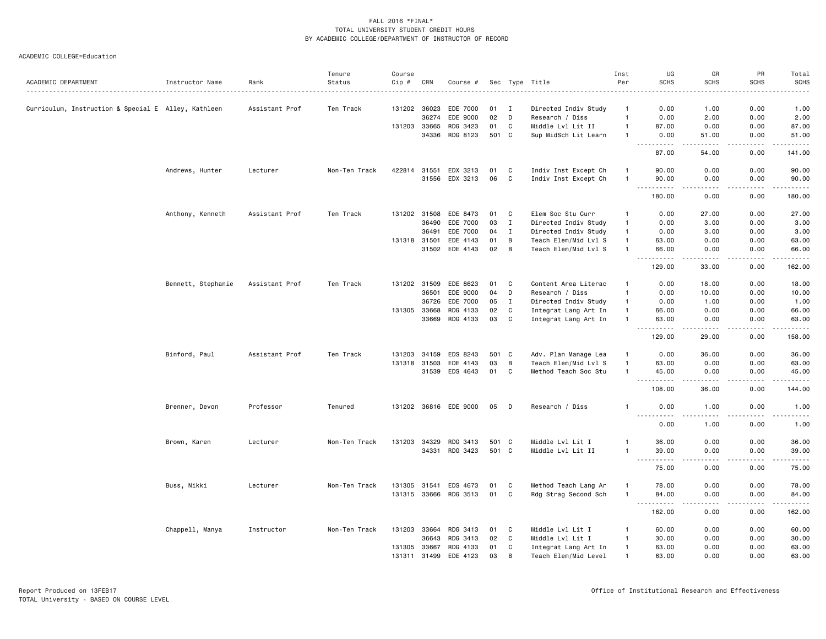|                                                     |                    |                  | Tenure        | Course       |              |                       |       |              |                      | Inst           | UG                                      | GR                                                                                                                                 | PR                | Total                                       |
|-----------------------------------------------------|--------------------|------------------|---------------|--------------|--------------|-----------------------|-------|--------------|----------------------|----------------|-----------------------------------------|------------------------------------------------------------------------------------------------------------------------------------|-------------------|---------------------------------------------|
| ACADEMIC DEPARTMENT                                 | Instructor Name    | Rank<br><u>.</u> | Status        | $Cip$ #      | CRN          | Course #              |       |              | Sec Type Title<br>.  | Per            | <b>SCHS</b>                             | <b>SCHS</b>                                                                                                                        | <b>SCHS</b>       | <b>SCHS</b><br>.                            |
| Curriculum, Instruction & Special E Alley, Kathleen |                    | Assistant Prof   | Ten Track     | 131202 36023 |              | EDE 7000              | 01    | I            | Directed Indiv Study | $\mathbf{1}$   | 0.00                                    | 1.00                                                                                                                               | 0.00              | 1.00                                        |
|                                                     |                    |                  |               |              | 36274        | EDE 9000              | 02    | D            | Research / Diss      | $\overline{1}$ | 0.00                                    | 2.00                                                                                                                               | 0.00              | 2.00                                        |
|                                                     |                    |                  |               | 131203 33665 |              | RDG 3423              | 01    | C            | Middle Lvl Lit II    | $\overline{1}$ | 87.00                                   | 0.00                                                                                                                               | 0.00              | 87.00                                       |
|                                                     |                    |                  |               |              | 34336        | RDG 8123              | 501 C |              | Sup MidSch Lit Learn | $\overline{1}$ | 0.00                                    | 51.00                                                                                                                              | 0.00              | 51.00                                       |
|                                                     |                    |                  |               |              |              |                       |       |              |                      |                | 87.00                                   | 54.00                                                                                                                              | 0.00              | <u>.</u><br>141.00                          |
|                                                     | Andrews, Hunter    | Lecturer         | Non-Ten Track | 422814 31551 |              | EDX 3213              | 01    | - C          | Indiv Inst Except Ch | $\overline{1}$ | 90.00                                   | 0.00                                                                                                                               | 0.00              | 90.00                                       |
|                                                     |                    |                  |               |              | 31556        | EDX 3213              | 06    | C            | Indiv Inst Except Ch | -1             | 90.00                                   | 0.00                                                                                                                               | 0.00              | 90.00                                       |
|                                                     |                    |                  |               |              |              |                       |       |              |                      |                | $\sim$ $\sim$<br>180.00                 | 0.00                                                                                                                               | 0.00              | .<br>180.00                                 |
|                                                     |                    |                  |               |              | 131202 31508 | EDE 8473              |       |              |                      | $\mathbf{1}$   | 0.00                                    | 27.00                                                                                                                              | 0.00              | 27.00                                       |
|                                                     | Anthony, Kenneth   | Assistant Prof   | Ten Track     |              |              |                       | 01    | C            | Elem Soc Stu Curr    | $\overline{1}$ |                                         |                                                                                                                                    |                   |                                             |
|                                                     |                    |                  |               |              | 36490        | EDE 7000              | 03    | $\mathbf I$  | Directed Indiv Study |                | 0.00                                    | 3.00                                                                                                                               | 0.00              | 3.00                                        |
|                                                     |                    |                  |               |              | 36491        | EDE 7000              | 04    | $\mathbf{I}$ | Directed Indiv Study | $\mathbf{1}$   | 0.00                                    | 3.00                                                                                                                               | 0.00              | 3.00                                        |
|                                                     |                    |                  |               | 131318 31501 |              | EDE 4143              | 01    | B            | Teach Elem/Mid Lvl S | $\overline{1}$ | 63.00                                   | 0.00                                                                                                                               | 0.00              | 63.00                                       |
|                                                     |                    |                  |               |              | 31502        | EDE 4143              | 02    | B            | Teach Elem/Mid Lvl S | $\overline{1}$ | 66.00<br>.                              | 0.00<br>-----                                                                                                                      | 0.00<br>.         | 66.00<br>.                                  |
|                                                     |                    |                  |               |              |              |                       |       |              |                      |                | 129.00                                  | 33.00                                                                                                                              | 0.00              | 162.00                                      |
|                                                     | Bennett, Stephanie | Assistant Prof   | Ten Track     |              | 131202 31509 | EDE 8623              | 01    | C            | Content Area Literac | $\mathbf{1}$   | 0.00                                    | 18.00                                                                                                                              | 0.00              | 18.00                                       |
|                                                     |                    |                  |               |              | 36501        | EDE 9000              | 04    | D            | Research / Diss      | $\overline{1}$ | 0.00                                    | 10.00                                                                                                                              | 0.00              | 10.00                                       |
|                                                     |                    |                  |               |              | 36726        | EDE 7000              | 05    | $\mathbf I$  | Directed Indiv Study | $\overline{1}$ | 0.00                                    | 1.00                                                                                                                               | 0.00              | 1.00                                        |
|                                                     |                    |                  |               | 131305 33668 |              | RDG 4133              | 02    | C            | Integrat Lang Art In | $\overline{1}$ | 66.00                                   | 0.00                                                                                                                               | 0.00              | 66.00                                       |
|                                                     |                    |                  |               |              | 33669        | RDG 4133              | 03    | C            | Integrat Lang Art In | $\overline{1}$ | 63.00                                   | 0.00                                                                                                                               | 0.00              | 63.00                                       |
|                                                     |                    |                  |               |              |              |                       |       |              |                      |                | $\sim$ $\sim$ $\sim$<br>-----<br>129.00 | $\frac{1}{2} \left( \frac{1}{2} \right) \left( \frac{1}{2} \right) \left( \frac{1}{2} \right) \left( \frac{1}{2} \right)$<br>29.00 | 0.00              | .<br>158.00                                 |
|                                                     | Binford, Paul      | Assistant Prof   | Ten Track     | 131203       | 34159        | EDS 8243              | 501 C |              | Adv. Plan Manage Lea | $\overline{1}$ | 0.00                                    | 36.00                                                                                                                              | 0.00              | 36.00                                       |
|                                                     |                    |                  |               | 131318 31503 |              | EDE 4143              | 03    | B            | Teach Elem/Mid Lvl S | $\overline{1}$ | 63.00                                   | 0.00                                                                                                                               | 0.00              | 63.00                                       |
|                                                     |                    |                  |               |              | 31539        | EDS 4643              | 01    | C            | Method Teach Soc Stu | $\overline{1}$ | 45.00                                   | 0.00                                                                                                                               | 0.00              | 45.00                                       |
|                                                     |                    |                  |               |              |              |                       |       |              |                      |                | $\sim$ $\sim$ $\sim$<br>-----<br>108.00 | $- - - -$<br>36.00                                                                                                                 | $- - - -$<br>0.00 | . <u>.</u> .<br>144.00                      |
|                                                     | Brenner, Devon     | Professor        | Tenured       |              |              | 131202 36816 EDE 9000 | 05    | D            | Research / Diss      | -1             | 0.00                                    | 1.00                                                                                                                               | 0.00              | 1.00                                        |
|                                                     |                    |                  |               |              |              |                       |       |              |                      |                | .<br>0.00                               | د د د د<br>1.00                                                                                                                    | .<br>0.00         | $    -$<br>1.00                             |
|                                                     | Brown, Karen       | Lecturer         | Non-Ten Track | 131203 34329 |              | RDG 3413              | 501 C |              | Middle Lvl Lit I     | $\mathbf{1}$   | 36.00                                   | 0.00                                                                                                                               | 0.00              | 36.00                                       |
|                                                     |                    |                  |               |              | 34331        | RDG 3423              | 501 C |              | Middle Lvl Lit II    | $\overline{1}$ | 39.00                                   | 0.00                                                                                                                               | 0.00              | 39.00                                       |
|                                                     |                    |                  |               |              |              |                       |       |              |                      |                | $\sim$ $\sim$ .<br>75.00                | 0.00                                                                                                                               | 0.00              | $\sim$ $\sim$ $\sim$ $\sim$ $\sim$<br>75.00 |
|                                                     |                    |                  |               |              |              |                       |       |              |                      |                |                                         |                                                                                                                                    |                   |                                             |
|                                                     | Buss, Nikki        | Lecturer         | Non-Ten Track | 131305 31541 |              | EDS 4673              | 01    | C            | Method Teach Lang Ar | $\overline{1}$ | 78.00                                   | 0.00                                                                                                                               | 0.00              | 78.00                                       |
|                                                     |                    |                  |               |              |              | 131315 33666 RDG 3513 | 01    | C            | Rdg Strag Second Sch | $\overline{1}$ | 84.00                                   | 0.00                                                                                                                               | 0.00              | 84.00<br>.                                  |
|                                                     |                    |                  |               |              |              |                       |       |              |                      |                | 162.00                                  | 0.00                                                                                                                               | 0.00              | 162.00                                      |
|                                                     | Chappell, Manya    | Instructor       | Non-Ten Track | 131203       | 33664        | RDG 3413              | 01    | C            | Middle Lvl Lit I     | -1             | 60.00                                   | 0.00                                                                                                                               | 0.00              | 60.00                                       |
|                                                     |                    |                  |               |              | 36643        | RDG 3413              | 02    | C            | Middle Lvl Lit I     | $\overline{1}$ | 30.00                                   | 0.00                                                                                                                               | 0.00              | 30.00                                       |
|                                                     |                    |                  |               | 131305 33667 |              | RDG 4133              | 01    | C            | Integrat Lang Art In | $\mathbf{1}$   | 63.00                                   | 0.00                                                                                                                               | 0.00              | 63.00                                       |
|                                                     |                    |                  |               |              | 131311 31499 | EDE 4123              | 03    | B            | Teach Elem/Mid Level | $\overline{1}$ | 63.00                                   | 0.00                                                                                                                               | 0.00              | 63.00                                       |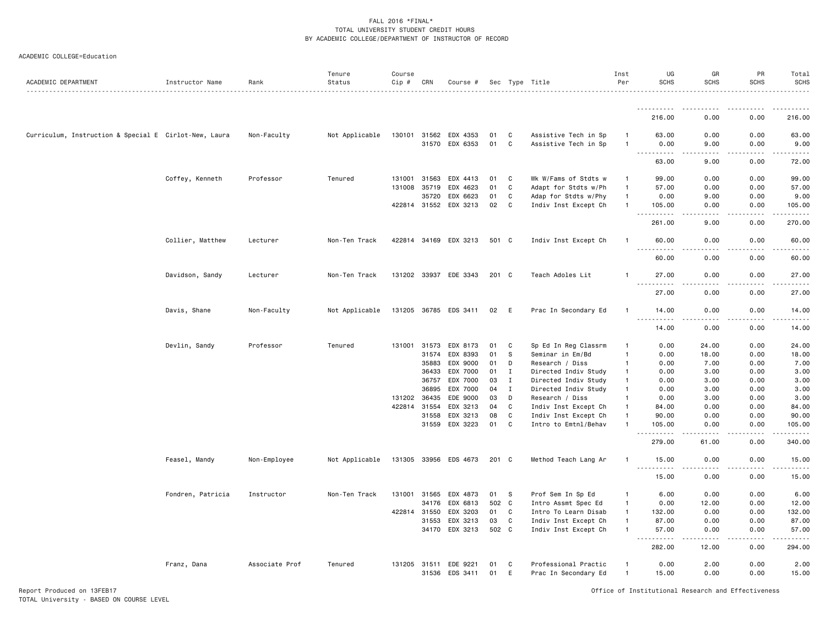| ACADEMIC COLLEGE=Education |  |
|----------------------------|--|
|----------------------------|--|

| ACADEMIC DEPARTMENT                                   | Instructor Name   | Rank           | Tenure<br>Status | Course<br>Cip # | CRN            | Course #              |          |              | Sec Type Title                          | Inst<br>Per                  | UG<br><b>SCHS</b>                                                                                                                                                                     | GR<br><b>SCHS</b>                                                                                                                                            | PR<br><b>SCHS</b> | Total<br><b>SCHS</b><br>$\frac{1}{2} \left( \frac{1}{2} \right) \left( \frac{1}{2} \right) \left( \frac{1}{2} \right) \left( \frac{1}{2} \right) \left( \frac{1}{2} \right)$ |
|-------------------------------------------------------|-------------------|----------------|------------------|-----------------|----------------|-----------------------|----------|--------------|-----------------------------------------|------------------------------|---------------------------------------------------------------------------------------------------------------------------------------------------------------------------------------|--------------------------------------------------------------------------------------------------------------------------------------------------------------|-------------------|------------------------------------------------------------------------------------------------------------------------------------------------------------------------------|
|                                                       |                   |                |                  |                 |                |                       |          |              |                                         |                              | <u>.</u>                                                                                                                                                                              |                                                                                                                                                              |                   |                                                                                                                                                                              |
|                                                       |                   |                |                  |                 |                |                       |          |              |                                         |                              | 216.00                                                                                                                                                                                | 0.00                                                                                                                                                         | 0.00              | 216.00                                                                                                                                                                       |
| Curriculum, Instruction & Special E Cirlot-New, Laura |                   | Non-Faculty    | Not Applicable   | 130101          | 31562          | EDX 4353              | 01       | C            | Assistive Tech in Sp                    | $\mathbf{1}$                 | 63.00                                                                                                                                                                                 | 0.00                                                                                                                                                         | 0.00              | 63.00                                                                                                                                                                        |
|                                                       |                   |                |                  |                 | 31570          | EDX 6353              | 01       | C            | Assistive Tech in Sp                    | -1                           | 0.00<br>.<br>$\sim$ $\sim$ $\sim$                                                                                                                                                     | 9.00<br>.                                                                                                                                                    | 0.00<br>.         | 9.00<br>.                                                                                                                                                                    |
|                                                       |                   |                |                  |                 |                |                       |          |              |                                         |                              | 63.00                                                                                                                                                                                 | 9.00                                                                                                                                                         | 0.00              | 72.00                                                                                                                                                                        |
|                                                       | Coffey, Kenneth   | Professor      | Tenured          | 131001          | 31563          | EDX 4413              | 01       | C            | Wk W/Fams of Stdts w                    | -1                           | 99.00                                                                                                                                                                                 | 0.00                                                                                                                                                         | 0.00              | 99.00                                                                                                                                                                        |
|                                                       |                   |                |                  |                 | 131008 35719   | EDX 4623              | 01       | $\mathtt{C}$ | Adapt for Stdts w/Ph                    | $\mathbf{1}$                 | 57.00                                                                                                                                                                                 | 0.00                                                                                                                                                         | 0.00              | 57.00                                                                                                                                                                        |
|                                                       |                   |                |                  |                 | 35720          | EDX 6623              | 01       | C            | Adap for Stdts w/Phy                    | $\mathbf{1}$                 | 0.00                                                                                                                                                                                  | 9.00                                                                                                                                                         | 0.00              | 9.00                                                                                                                                                                         |
|                                                       |                   |                |                  |                 | 422814 31552   | EDX 3213              | 02       | C            | Indiv Inst Except Ch                    | $\mathbf{1}$                 | 105.00<br>.<br>.                                                                                                                                                                      | 0.00                                                                                                                                                         | 0.00              | 105.00<br>.                                                                                                                                                                  |
|                                                       |                   |                |                  |                 |                |                       |          |              |                                         |                              | 261.00                                                                                                                                                                                | 9.00                                                                                                                                                         | 0.00              | 270.00                                                                                                                                                                       |
|                                                       | Collier, Matthew  | Lecturer       | Non-Ten Track    |                 |                | 422814 34169 EDX 3213 | 501 C    |              | Indiv Inst Except Ch                    | -1                           | 60.00                                                                                                                                                                                 | 0.00                                                                                                                                                         | 0.00              | 60.00                                                                                                                                                                        |
|                                                       |                   |                |                  |                 |                |                       |          |              |                                         |                              | 60.00                                                                                                                                                                                 | 0.00                                                                                                                                                         | 0.00              | 60.00                                                                                                                                                                        |
|                                                       | Davidson, Sandy   | Lecturer       | Non-Ten Track    |                 |                | 131202 33937 EDE 3343 | 201 C    |              | Teach Adoles Lit                        |                              | 27.00<br>$- - -$<br><u>.</u>                                                                                                                                                          | 0.00<br>$\frac{1}{2}$                                                                                                                                        | 0.00              | 27.00<br>.                                                                                                                                                                   |
|                                                       |                   |                |                  |                 |                |                       |          |              |                                         |                              | 27.00                                                                                                                                                                                 | 0.00                                                                                                                                                         | 0.00              | 27.00                                                                                                                                                                        |
|                                                       | Davis, Shane      | Non-Faculty    | Not Applicable   |                 |                | 131205 36785 EDS 3411 | 02       | E            | Prac In Secondary Ed                    |                              | 14.00<br>$\sim$ $\sim$ $\sim$<br>$\frac{1}{2} \left( \frac{1}{2} \right) \left( \frac{1}{2} \right) \left( \frac{1}{2} \right) \left( \frac{1}{2} \right) \left( \frac{1}{2} \right)$ | 0.00                                                                                                                                                         | 0.00              | 14.00                                                                                                                                                                        |
|                                                       |                   |                |                  |                 |                |                       |          |              |                                         |                              | 14.00                                                                                                                                                                                 | 0.00                                                                                                                                                         | 0.00              | 14.00                                                                                                                                                                        |
|                                                       | Devlin, Sandy     | Professor      | Tenured          |                 | 131001 31573   | EDX 8173              | 01       | C            | Sp Ed In Reg Classrm                    | $\mathbf{1}$                 | 0.00                                                                                                                                                                                  | 24.00                                                                                                                                                        | 0.00              | 24.00                                                                                                                                                                        |
|                                                       |                   |                |                  |                 | 31574          | EDX 8393              | 01       | S            | Seminar in Em/Bd                        | $\mathbf{1}$                 | 0.00                                                                                                                                                                                  | 18.00                                                                                                                                                        | 0.00              | 18.00                                                                                                                                                                        |
|                                                       |                   |                |                  |                 | 35883          | EDX 9000              | 01       | D            | Research / Diss                         | -1                           | 0.00                                                                                                                                                                                  | 7.00                                                                                                                                                         | 0.00              | 7.00                                                                                                                                                                         |
|                                                       |                   |                |                  |                 | 36433          | EDX 7000              | 01       | $\mathbf{I}$ | Directed Indiv Study                    | $\mathbf{1}$                 | 0.00                                                                                                                                                                                  | 3.00                                                                                                                                                         | 0.00              | 3.00                                                                                                                                                                         |
|                                                       |                   |                |                  |                 | 36757          | EDX 7000              | 03       | $\mathbf{I}$ | Directed Indiv Study                    | $\mathbf{1}$<br>$\mathbf{1}$ | 0.00                                                                                                                                                                                  | 3.00                                                                                                                                                         | 0.00              | 3.00                                                                                                                                                                         |
|                                                       |                   |                |                  | 131202          | 36895<br>36435 | EDX 7000<br>EDE 9000  | 04<br>03 | $\;$ I<br>D  | Directed Indiv Study<br>Research / Diss | $\mathbf{1}$                 | 0.00<br>0.00                                                                                                                                                                          | 3.00<br>3.00                                                                                                                                                 | 0.00<br>0.00      | 3.00<br>3.00                                                                                                                                                                 |
|                                                       |                   |                |                  |                 | 422814 31554   | EDX 3213              | 04       | $\mathtt{C}$ | Indiv Inst Except Ch                    | $\mathbf{1}$                 | 84.00                                                                                                                                                                                 | 0.00                                                                                                                                                         | 0.00              | 84.00                                                                                                                                                                        |
|                                                       |                   |                |                  |                 | 31558          | EDX 3213              | 08       | C            | Indiv Inst Except Ch                    | $\mathbf{1}$                 | 90.00                                                                                                                                                                                 | 0.00                                                                                                                                                         | 0.00              | 90.00                                                                                                                                                                        |
|                                                       |                   |                |                  |                 | 31559          | EDX 3223              | 01       | C            | Intro to Emtnl/Behav                    |                              | 105.00                                                                                                                                                                                | 0.00                                                                                                                                                         | 0.00              | 105.00                                                                                                                                                                       |
|                                                       |                   |                |                  |                 |                |                       |          |              |                                         |                              | $-$<br>.<br>279.00                                                                                                                                                                    | 61.00                                                                                                                                                        | 0.00              | 340.00                                                                                                                                                                       |
|                                                       | Feasel, Mandy     | Non-Employee   | Not Applicable   |                 |                | 131305 33956 EDS 4673 | 201 C    |              | Method Teach Lang Ar                    | -1                           | 15.00<br>$\sim$ $\sim$ $\sim$<br>. <u>.</u>                                                                                                                                           | 0.00                                                                                                                                                         | 0.00              | 15.00                                                                                                                                                                        |
|                                                       |                   |                |                  |                 |                |                       |          |              |                                         |                              | 15.00                                                                                                                                                                                 | 0.00                                                                                                                                                         | 0.00              | 15.00                                                                                                                                                                        |
|                                                       | Fondren, Patricia | Instructor     | Non-Ten Track    | 131001          | 31565          | EDX 4873              | 01       | - S          | Prof Sem In Sp Ed                       | $\mathbf{1}$                 | 6.00                                                                                                                                                                                  | 0.00                                                                                                                                                         | 0.00              | 6.00                                                                                                                                                                         |
|                                                       |                   |                |                  |                 | 34176          | EDX 6813              | 502 C    |              | Intro Assmt Spec Ed                     | $\mathbf{1}$                 | 0.00                                                                                                                                                                                  | 12.00                                                                                                                                                        | 0.00              | 12.00                                                                                                                                                                        |
|                                                       |                   |                |                  |                 | 422814 31550   | EDX 3203              | 01       | C            | Intro To Learn Disab                    | $\mathbf{1}$                 | 132.00                                                                                                                                                                                | 0.00                                                                                                                                                         | 0.00              | 132.00                                                                                                                                                                       |
|                                                       |                   |                |                  |                 | 31553          | EDX 3213              | 03       | C            | Indiv Inst Except Ch                    | $\mathbf{1}$                 | 87.00                                                                                                                                                                                 | 0.00                                                                                                                                                         | 0.00              | 87.00                                                                                                                                                                        |
|                                                       |                   |                |                  |                 | 34170          | EDX 3213              | 502 C    |              | Indiv Inst Except Ch                    | $\mathbf{1}$                 | 57.00<br><u>.</u>                                                                                                                                                                     | 0.00<br>$\frac{1}{2} \left( \frac{1}{2} \right) \left( \frac{1}{2} \right) \left( \frac{1}{2} \right) \left( \frac{1}{2} \right) \left( \frac{1}{2} \right)$ | 0.00<br>.         | 57.00<br>$\begin{array}{cccccccccc} \bullet & \bullet & \bullet & \bullet & \bullet & \bullet & \bullet \end{array}$                                                         |
|                                                       |                   |                |                  |                 |                |                       |          |              |                                         |                              | 282.00                                                                                                                                                                                | 12.00                                                                                                                                                        | 0.00              | 294.00                                                                                                                                                                       |
|                                                       | Franz, Dana       | Associate Prof | Tenured          | 131205 31511    |                | EDE 9221              | 01       | C            | Professional Practic                    |                              | 0.00                                                                                                                                                                                  | 2.00                                                                                                                                                         | 0.00              | 2.00                                                                                                                                                                         |
|                                                       |                   |                |                  |                 | 31536          | EDS 3411              | 01       | Ε            | Prac In Secondary Ed                    | $\overline{1}$               | 15.00                                                                                                                                                                                 | 0.00                                                                                                                                                         | 0.00              | 15.00                                                                                                                                                                        |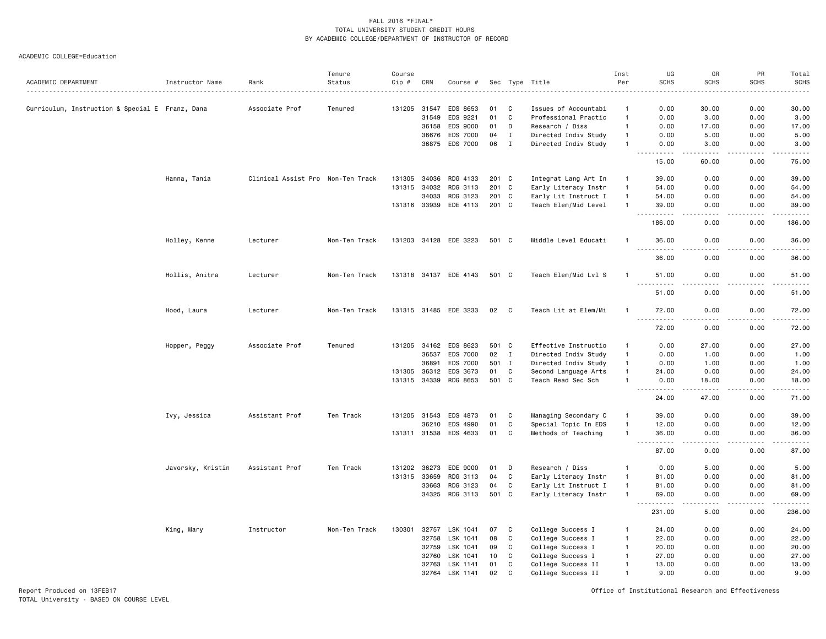#### ACADEMIC COLLEGE=Education

|                                                 |                   |                                   | Tenure        | Course       |       |                       |       |              |                      | Inst         | UG                                                                                                                        | GR                    | PR                    | Total               |
|-------------------------------------------------|-------------------|-----------------------------------|---------------|--------------|-------|-----------------------|-------|--------------|----------------------|--------------|---------------------------------------------------------------------------------------------------------------------------|-----------------------|-----------------------|---------------------|
| ACADEMIC DEPARTMENT                             | Instructor Name   | Rank                              | Status        | Cip #        | CRN   | Course #              |       |              | Sec Type Title<br>.  | Per          | <b>SCHS</b>                                                                                                               | <b>SCHS</b>           | <b>SCHS</b>           | <b>SCHS</b><br>.    |
| Curriculum, Instruction & Special E Franz, Dana |                   | Associate Prof                    | Tenured       | 131205       | 31547 | EDS 8653              | 01    | C            | Issues of Accountabi | -1           | 0.00                                                                                                                      | 30.00                 | 0.00                  | 30.00               |
|                                                 |                   |                                   |               |              | 31549 | EDS 9221              | 01    | $\mathbb C$  | Professional Practic | $\mathbf{1}$ | 0.00                                                                                                                      | 3.00                  | 0.00                  | 3.00                |
|                                                 |                   |                                   |               |              | 36158 | EDS 9000              | 01    | D            | Research / Diss      | $\mathbf{1}$ | 0.00                                                                                                                      | 17.00                 | 0.00                  | 17.00               |
|                                                 |                   |                                   |               |              | 36676 | EDS 7000              | 04    | Ι.           | Directed Indiv Study | $\mathbf{1}$ | 0.00                                                                                                                      | 5.00                  | 0.00                  | 5.00                |
|                                                 |                   |                                   |               |              |       | 36875 EDS 7000        | 06    | $\mathbf{I}$ | Directed Indiv Study | $\mathbf{1}$ | 0.00                                                                                                                      | 3.00                  | 0.00                  | 3.00                |
|                                                 |                   |                                   |               |              |       |                       |       |              |                      |              | $\frac{1}{2} \left( \frac{1}{2} \right) \left( \frac{1}{2} \right) \left( \frac{1}{2} \right) \left( \frac{1}{2} \right)$ |                       |                       | د د د د د           |
|                                                 |                   |                                   |               |              |       |                       |       |              |                      |              | 15.00                                                                                                                     | 60.00                 | 0.00                  | 75.00               |
|                                                 | Hanna, Tania      | Clinical Assist Pro Non-Ten Track |               | 131305       | 34036 | RDG 4133              | 201 C |              | Integrat Lang Art In | $\mathbf{1}$ | 39.00                                                                                                                     | 0.00                  | 0.00                  | 39.00               |
|                                                 |                   |                                   |               | 131315       | 34032 | RDG 3113              | 201   | C            | Early Literacy Instr | $\mathbf{1}$ | 54.00                                                                                                                     | 0.00                  | 0.00                  | 54.00               |
|                                                 |                   |                                   |               |              | 34033 | RDG 3123              | 201   | C            | Early Lit Instruct I | $\mathbf{1}$ | 54.00                                                                                                                     | 0.00                  | 0.00                  | 54.00               |
|                                                 |                   |                                   |               | 131316 33939 |       | EDE 4113              | 201 C |              | Teach Elem/Mid Level | $\mathbf{1}$ | 39.00                                                                                                                     | 0.00                  | 0.00                  | 39.00               |
|                                                 |                   |                                   |               |              |       |                       |       |              |                      |              | .<br>186.00                                                                                                               | 0.00                  | .<br>0.00             | .<br>186.00         |
|                                                 |                   |                                   |               |              |       |                       |       |              |                      |              |                                                                                                                           |                       |                       |                     |
|                                                 | Holley, Kenne     | Lecturer                          | Non-Ten Track |              |       | 131203 34128 EDE 3223 | 501 C |              | Middle Level Educati | -1           | 36.00<br>$- - - -$                                                                                                        | 0.00                  | 0.00<br>----          | 36.00<br>.          |
|                                                 |                   |                                   |               |              |       |                       |       |              |                      |              | 36.00                                                                                                                     | 0.00                  | 0.00                  | 36.00               |
|                                                 | Hollis, Anitra    | Lecturer                          | Non-Ten Track |              |       | 131318 34137 EDE 4143 | 501 C |              | Teach Elem/Mid Lvl S |              | 51.00                                                                                                                     | 0.00                  | 0.00                  | 51.00<br>والمستحدث  |
|                                                 |                   |                                   |               |              |       |                       |       |              |                      |              | 51.00                                                                                                                     | 0.00                  | 0.00                  | 51.00               |
|                                                 | Hood, Laura       | Lecturer                          | Non-Ten Track |              |       | 131315 31485 EDE 3233 | 02    | C            | Teach Lit at Elem/Mi | $\mathbf{1}$ | 72.00                                                                                                                     | 0.00                  | 0.00                  | 72.00               |
|                                                 |                   |                                   |               |              |       |                       |       |              |                      |              | 72.00                                                                                                                     | 0.00                  | $\frac{1}{2}$<br>0.00 | . <b>.</b><br>72.00 |
|                                                 | Hopper, Peggy     | Associate Prof                    | Tenured       | 131205       | 34162 | EDS 8623              | 501 C |              | Effective Instructio | $\mathbf{1}$ | 0.00                                                                                                                      | 27.00                 | 0.00                  | 27.00               |
|                                                 |                   |                                   |               |              | 36537 | EDS 7000              | 02    | $\mathbf{I}$ | Directed Indiv Study | $\mathbf{1}$ | 0.00                                                                                                                      | 1.00                  | 0.00                  | 1.00                |
|                                                 |                   |                                   |               |              | 36891 | EDS 7000              |       | 501 I        | Directed Indiv Study | $\mathbf{1}$ | 0.00                                                                                                                      | 1.00                  | 0.00                  | 1.00                |
|                                                 |                   |                                   |               | 131305       | 36312 | EDS 3673              | 01    | C            | Second Language Arts | $\mathbf{1}$ | 24.00                                                                                                                     | 0.00                  | 0.00                  | 24.00               |
|                                                 |                   |                                   |               | 131315       | 34339 | RDG 8653              | 501   | C            | Teach Read Sec Sch   | $\mathbf{1}$ | 0.00                                                                                                                      | 18.00                 | 0.00                  | 18.00               |
|                                                 |                   |                                   |               |              |       |                       |       |              |                      |              | .<br>24.00                                                                                                                | 47.00                 | 0.00                  | وبالمسامين<br>71.00 |
|                                                 | Ivy, Jessica      | Assistant Prof                    | Ten Track     | 131205       | 31543 | EDS 4873              | 01    | C            | Managing Secondary C | $\mathbf{1}$ | 39.00                                                                                                                     | 0.00                  | 0.00                  | 39.00               |
|                                                 |                   |                                   |               |              | 36210 | EDS 4990              | 01    | $\mathbb C$  | Special Topic In EDS | $\mathbf{1}$ | 12.00                                                                                                                     | 0.00                  | 0.00                  | 12.00               |
|                                                 |                   |                                   |               |              |       | 131311 31538 EDS 4633 | 01    | C            | Methods of Teaching  | $\mathbf{1}$ | 36.00                                                                                                                     | 0.00                  | 0.00                  | 36.00               |
|                                                 |                   |                                   |               |              |       |                       |       |              |                      |              | .<br>87.00                                                                                                                | $\frac{1}{2}$<br>0.00 | .<br>0.00             | .<br>87.00          |
|                                                 | Javorsky, Kristin | Assistant Prof                    | Ten Track     | 131202       | 36273 | EDE 9000              | 01    | D            | Research / Diss      | $\mathbf{1}$ | 0.00                                                                                                                      | 5.00                  | 0.00                  | 5.00                |
|                                                 |                   |                                   |               | 131315       | 33659 | RDG 3113              | 04    | C            | Early Literacy Instr | $\mathbf{1}$ | 81.00                                                                                                                     | 0.00                  | 0.00                  | 81.00               |
|                                                 |                   |                                   |               |              | 33663 | RDG 3123              | 04    | C            | Early Lit Instruct I | $\mathbf{1}$ | 81.00                                                                                                                     | 0.00                  | 0.00                  | 81.00               |
|                                                 |                   |                                   |               |              |       | 34325 RDG 3113        | 501 C |              | Early Literacy Instr | $\mathbf{1}$ | 69.00                                                                                                                     | 0.00                  | 0.00<br>.             | 69.00<br>.          |
|                                                 |                   |                                   |               |              |       |                       |       |              |                      |              | .<br>231.00                                                                                                               | $\frac{1}{2}$<br>5.00 | 0.00                  | 236.00              |
|                                                 | King, Mary        | Instructor                        | Non-Ten Track | 130301       | 32757 | LSK 1041              | 07    | C            | College Success I    | $\mathbf{1}$ | 24.00                                                                                                                     | 0.00                  | 0.00                  | 24.00               |
|                                                 |                   |                                   |               |              | 32758 | LSK 1041              | 08    | C            | College Success I    | $\mathbf{1}$ | 22.00                                                                                                                     | 0.00                  | 0.00                  | 22.00               |
|                                                 |                   |                                   |               |              | 32759 | LSK 1041              | 09    | $\mathtt{C}$ | College Success I    | $\mathbf{1}$ | 20.00                                                                                                                     | 0.00                  | 0.00                  | 20.00               |
|                                                 |                   |                                   |               |              | 32760 | LSK 1041              | 10    | C            | College Success I    | $\mathbf{1}$ | 27.00                                                                                                                     | 0.00                  | 0.00                  | 27.00               |
|                                                 |                   |                                   |               |              | 32763 | LSK 1141              | 01    | C            | College Success II   | $\mathbf{1}$ | 13.00                                                                                                                     | 0.00                  | 0.00                  | 13.00               |
|                                                 |                   |                                   |               |              | 32764 | LSK 1141              | 02    | $\mathbf{C}$ | College Success II   | $\mathbf{1}$ | 9.00                                                                                                                      | 0.00                  | 0.00                  | 9.00                |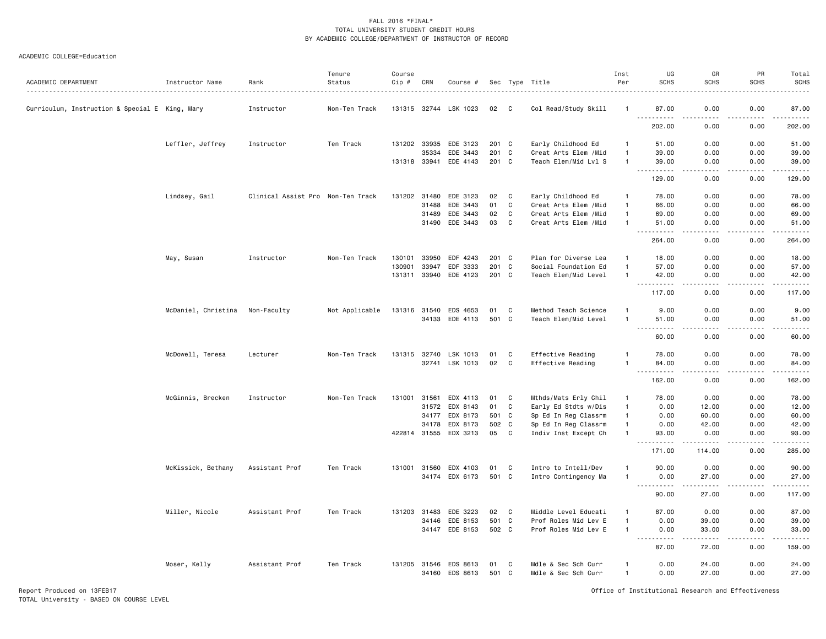#### ACADEMIC COLLEGE=Education

| ACADEMIC DEPARTMENT                            | Instructor Name     | Rank                              | Tenure<br>Status | Course<br>Cip # | CRN   | Course #              |       |              | Sec Type Title                             | Inst<br>Per    | UG<br><b>SCHS</b>                            | GR<br><b>SCHS</b>            | PR<br><b>SCHS</b> | Total<br><b>SCHS</b>     |
|------------------------------------------------|---------------------|-----------------------------------|------------------|-----------------|-------|-----------------------|-------|--------------|--------------------------------------------|----------------|----------------------------------------------|------------------------------|-------------------|--------------------------|
| Curriculum, Instruction & Special E King, Mary |                     | Instructor                        | Non-Ten Track    |                 |       | 131315 32744 LSK 1023 | 02    | - C          | Col Read/Study Skill                       | -1             | 87.00                                        | 0.00                         | 0.00              | 87.00                    |
|                                                |                     |                                   |                  |                 |       |                       |       |              |                                            |                | $\sim$ $\sim$ $\sim$<br>. <b>.</b><br>202.00 | .<br>0.00                    | 0.00              | .<br>202.00              |
|                                                |                     |                                   | Ten Track        | 131202 33935    |       | EDE 3123              | 201 C |              |                                            | $\overline{1}$ | 51.00                                        | 0.00                         | 0.00              | 51.00                    |
|                                                | Leffler, Jeffrey    | Instructor                        |                  |                 | 35334 | EDE 3443              | 201 C |              | Early Childhood Ed<br>Creat Arts Elem /Mid | $\overline{1}$ | 39.00                                        | 0.00                         | 0.00              | 39.00                    |
|                                                |                     |                                   |                  | 131318 33941    |       | EDE 4143              | 201 C |              | Teach Elem/Mid Lvl S                       | $\overline{1}$ | 39.00                                        | 0.00                         | 0.00              | 39.00                    |
|                                                |                     |                                   |                  |                 |       |                       |       |              |                                            |                | . <b>.</b><br>$- - -$<br>129.00              | .<br>0.00                    | .<br>0.00         | .<br>129.00              |
|                                                | Lindsey, Gail       | Clinical Assist Pro Non-Ten Track |                  | 131202          | 31480 | EDE 3123              | 02    | C            | Early Childhood Ed                         | $\overline{1}$ | 78.00                                        | 0.00                         | 0.00              | 78.00                    |
|                                                |                     |                                   |                  |                 | 31488 | EDE 3443              | 01    | $\mathtt{C}$ | Creat Arts Elem /Mid                       | $\overline{1}$ | 66.00                                        | 0.00                         | 0.00              | 66.00                    |
|                                                |                     |                                   |                  |                 | 31489 | EDE 3443              | 02    | C            | Creat Arts Elem / Mid                      | $\overline{1}$ | 69.00                                        | 0.00                         | 0.00              | 69.00                    |
|                                                |                     |                                   |                  |                 | 31490 | EDE 3443              | 03    | C            | Creat Arts Elem / Mid                      | $\overline{1}$ | 51.00                                        | 0.00                         | 0.00              | 51.00                    |
|                                                |                     |                                   |                  |                 |       |                       |       |              |                                            |                | $ -$<br>. <b>.</b><br>264.00                 | المالم مالك<br>0.00          | .<br>0.00         | .<br>264.00              |
|                                                |                     |                                   |                  |                 |       |                       |       |              |                                            |                |                                              |                              |                   |                          |
|                                                | May, Susan          | Instructor                        | Non-Ten Track    | 130101          | 33950 | EDF 4243              | 201 C |              | Plan for Diverse Lea                       | $\mathbf{1}$   | 18.00                                        | 0.00                         | 0.00              | 18.00                    |
|                                                |                     |                                   |                  | 130901          | 33947 | EDF 3333              | 201 C |              | Social Foundation Ed                       | $\overline{1}$ | 57.00                                        | 0.00                         | 0.00              | 57.00                    |
|                                                |                     |                                   |                  |                 |       | 131311 33940 EDE 4123 | 201 C |              | Teach Elem/Mid Level                       | $\overline{1}$ | 42.00                                        | 0.00<br>$\sim$ $\sim$ $\sim$ | 0.00<br>.         | 42.00<br>.               |
|                                                |                     |                                   |                  |                 |       |                       |       |              |                                            |                | 117.00                                       | 0.00                         | 0.00              | 117.00                   |
|                                                | McDaniel, Christina | Non-Faculty                       | Not Applicable   | 131316 31540    |       | EDS 4653              | 01    | C            | Method Teach Science                       | $\overline{1}$ | 9.00                                         | 0.00                         | 0.00              | 9.00                     |
|                                                |                     |                                   |                  |                 | 34133 | EDE 4113              | 501 C |              | Teach Elem/Mid Level                       | $\overline{1}$ | 51.00                                        | 0.00                         | 0.00              | 51.00                    |
|                                                |                     |                                   |                  |                 |       |                       |       |              |                                            |                | 60.00                                        | 0.00                         | $- - - -$<br>0.00 | $\frac{1}{2}$<br>60.00   |
|                                                |                     |                                   |                  |                 |       |                       |       |              |                                            |                |                                              |                              |                   |                          |
|                                                | McDowell, Teresa    | Lecturer                          | Non-Ten Track    | 131315 32740    |       | LSK 1013              | 01    | C            | Effective Reading                          | -1             | 78.00                                        | 0.00                         | 0.00              | 78.00                    |
|                                                |                     |                                   |                  |                 |       | 32741 LSK 1013        | 02    | C            | Effective Reading                          | $\overline{1}$ | 84.00                                        | 0.00                         | 0.00              | 84.00                    |
|                                                |                     |                                   |                  |                 |       |                       |       |              |                                            |                | .<br>162.00                                  | $\frac{1}{2}$<br>0.00        | .<br>0.00         | .<br>162.00              |
|                                                | McGinnis, Brecken   | Instructor                        | Non-Ten Track    | 131001          | 31561 | EDX 4113              | 01    | C            | Mthds/Mats Erly Chil                       | $\mathbf{1}$   | 78.00                                        | 0.00                         | 0.00              | 78.00                    |
|                                                |                     |                                   |                  |                 | 31572 | EDX 8143              | 01    | $\mathbf C$  | Early Ed Stdts w/Dis                       | $\overline{1}$ | 0.00                                         | 12.00                        | 0.00              | 12.00                    |
|                                                |                     |                                   |                  |                 | 34177 | EDX 8173              | 501 C |              | Sp Ed In Reg Classrm                       | $\overline{1}$ | 0.00                                         | 60.00                        | 0.00              | 60.00                    |
|                                                |                     |                                   |                  |                 | 34178 | EDX 8173              | 502 C |              | Sp Ed In Reg Classrm                       | $\overline{1}$ | 0.00                                         | 42.00                        | 0.00              | 42.00                    |
|                                                |                     |                                   |                  | 422814 31555    |       | EDX 3213              | 05    | C            | Indiv Inst Except Ch                       | $\overline{1}$ | 93.00                                        | 0.00                         | 0.00              | 93.00                    |
|                                                |                     |                                   |                  |                 |       |                       |       |              |                                            |                | .<br>171.00                                  | .<br>114.00                  | .<br>0.00         | .<br>285.00              |
|                                                | McKissick, Bethany  | Assistant Prof                    | Ten Track        | 131001          | 31560 | EDX 4103              | 01    | C            | Intro to Intell/Dev                        | $\overline{1}$ | 90.00                                        | 0.00                         | 0.00              | 90.00                    |
|                                                |                     |                                   |                  |                 | 34174 | EDX 6173              | 501 C |              | Intro Contingency Ma                       | $\overline{1}$ | 0.00                                         | 27.00                        | 0.00              | 27.00                    |
|                                                |                     |                                   |                  |                 |       |                       |       |              |                                            |                | $\sim 100$                                   |                              |                   | .                        |
|                                                |                     |                                   |                  |                 |       |                       |       |              |                                            |                | 90.00                                        | 27.00                        | 0.00              | 117.00                   |
|                                                | Miller, Nicole      | Assistant Prof                    | Ten Track        | 131203          | 31483 | EDE 3223              | 02    | C            | Middle Level Educati                       | -1             | 87.00                                        | 0.00                         | 0.00              | 87.00                    |
|                                                |                     |                                   |                  |                 | 34146 | EDE 8153              | 501 C |              | Prof Roles Mid Lev E                       | $\overline{1}$ | 0.00                                         | 39.00                        | 0.00              | 39.00                    |
|                                                |                     |                                   |                  |                 | 34147 | EDE 8153              | 502 C |              | Prof Roles Mid Lev E                       | $\overline{1}$ | 0.00<br>.                                    | 33.00<br>.                   | 0.00<br>.         | 33.00<br>$- - - - - - -$ |
|                                                |                     |                                   |                  |                 |       |                       |       |              |                                            |                | 87.00                                        | 72.00                        | 0.00              | 159.00                   |
|                                                | Moser, Kelly        | Assistant Prof                    | Ten Track        | 131205 31546    |       | EDS 8613              | 01    | C            | Mdle & Sec Sch Curr                        | $\mathbf{1}$   | 0.00                                         | 24.00                        | 0.00              | 24.00                    |
|                                                |                     |                                   |                  |                 | 34160 | EDS 8613              | 501 C |              | Mdle & Sec Sch Curr                        | $\overline{1}$ | 0.00                                         | 27.00                        | 0.00              | 27.00                    |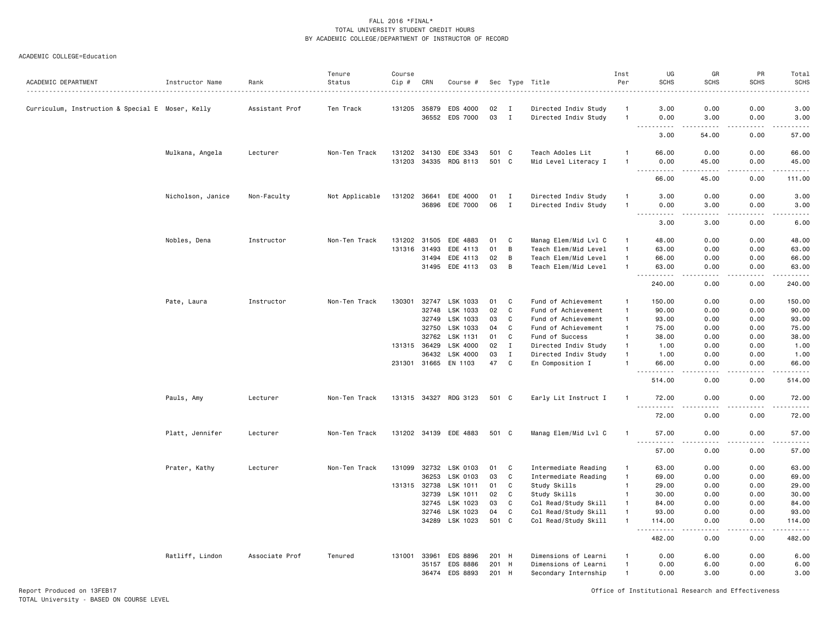#### ACADEMIC COLLEGE=Education

| ACADEMIC DEPARTMENT                              | Instructor Name   | Rank           | Tenure<br>Status | Course<br>Cip # | CRN   | Course #              |       |              | Sec Type Title       | Inst<br>Per    | UG<br><b>SCHS</b>                              | GR<br>SCHS            | PR<br><b>SCHS</b>     | Total<br><b>SCHS</b><br>----- |
|--------------------------------------------------|-------------------|----------------|------------------|-----------------|-------|-----------------------|-------|--------------|----------------------|----------------|------------------------------------------------|-----------------------|-----------------------|-------------------------------|
| Curriculum, Instruction & Special E Moser, Kelly |                   | Assistant Prof | Ten Track        | 131205          | 35879 | EDS 4000              | 02    | I            | Directed Indiv Study |                | 3.00                                           | 0.00                  | 0.00                  | 3.00                          |
|                                                  |                   |                |                  |                 | 36552 | EDS 7000              | 03    | $\mathbf{I}$ | Directed Indiv Study | $\mathbf{1}$   | 0.00                                           | 3.00                  | 0.00                  | 3.00                          |
|                                                  |                   |                |                  |                 |       |                       |       |              |                      |                | 3.00                                           | 54.00                 | 0.00                  | 57.00                         |
|                                                  | Mulkana, Angela   | Lecturer       | Non-Ten Track    | 131202 34130    |       | EDE 3343              | 501 C |              | Teach Adoles Lit     |                | 66.00                                          | 0.00                  | 0.00                  | 66.00                         |
|                                                  |                   |                |                  | 131203          | 34335 | RDG 8113              | 501 C |              | Mid Level Literacy I | $\mathbf{1}$   | 0.00<br>$- - - - -$                            | 45.00<br>.            | 0.00<br>.             | 45.00<br>.                    |
|                                                  |                   |                |                  |                 |       |                       |       |              |                      |                | 66.00                                          | 45.00                 | 0.00                  | 111.00                        |
|                                                  | Nicholson, Janice | Non-Faculty    | Not Applicable   | 131202          | 36641 | EDE 4000              | 01    | Ι.           | Directed Indiv Study | $\mathbf{1}$   | 3.00                                           | 0.00                  | 0.00                  | 3.00                          |
|                                                  |                   |                |                  |                 | 36896 | EDE 7000              | 06    | $\mathbf{I}$ | Directed Indiv Study | $\mathbf{1}$   | 0.00<br><u>.</u>                               | 3.00<br>.             | 0.00                  | 3.00<br>.                     |
|                                                  |                   |                |                  |                 |       |                       |       |              |                      |                | 3.00                                           | 3.00                  | 0.00                  | 6.00                          |
|                                                  | Nobles, Dena      | Instructor     | Non-Ten Track    | 131202          | 31505 | EDE 4883              | 01    | C            | Manag Elem/Mid Lvl C | $\mathbf{1}$   | 48.00                                          | 0.00                  | 0.00                  | 48.00                         |
|                                                  |                   |                |                  | 131316          | 31493 | EDE 4113              | 01    | B            | Teach Elem/Mid Level | $\overline{1}$ | 63.00                                          | 0.00                  | 0.00                  | 63.00                         |
|                                                  |                   |                |                  |                 | 31494 | EDE 4113              | 02    | B            | Teach Elem/Mid Level | $\overline{1}$ | 66.00                                          | 0.00                  | 0.00                  | 66.00                         |
|                                                  |                   |                |                  |                 | 31495 | EDE 4113              | 03    | B            | Teach Elem/Mid Level | $\mathbf{1}$   | 63.00<br>$- - -$<br>.                          | 0.00<br>.             | 0.00<br>.             | 63.00<br>.                    |
|                                                  |                   |                |                  |                 |       |                       |       |              |                      |                | 240.00                                         | 0.00                  | 0.00                  | 240.00                        |
|                                                  | Pate, Laura       | Instructor     | Non-Ten Track    | 130301          | 32747 | LSK 1033              | 01    | C            | Fund of Achievement  | $\mathbf{1}$   | 150.00                                         | 0.00                  | 0.00                  | 150.00                        |
|                                                  |                   |                |                  |                 | 32748 | LSK 1033              | 02    | $\mathbf C$  | Fund of Achievement  | $\overline{1}$ | 90.00                                          | 0.00                  | 0.00                  | 90.00                         |
|                                                  |                   |                |                  |                 | 32749 | LSK 1033              | 03    | C            | Fund of Achievement  | $\mathbf{1}$   | 93.00                                          | 0.00                  | 0.00                  | 93.00                         |
|                                                  |                   |                |                  |                 | 32750 | LSK 1033              | 04    | C            | Fund of Achievement  | $\mathbf{1}$   | 75.00                                          | 0.00                  | 0.00                  | 75.00                         |
|                                                  |                   |                |                  |                 | 32762 | LSK 1131              | 01    | C            | Fund of Success      | $\mathbf{1}$   | 38.00                                          | 0.00                  | 0.00                  | 38.00                         |
|                                                  |                   |                |                  | 131315 36429    |       | LSK 4000              | 02    | $\mathbf I$  | Directed Indiv Study | $\overline{1}$ | 1.00                                           | 0.00                  | 0.00                  | 1.00                          |
|                                                  |                   |                |                  |                 | 36432 | LSK 4000              | 03    | $\mathbf I$  | Directed Indiv Study | $\overline{1}$ | 1.00                                           | 0.00                  | 0.00                  | 1.00                          |
|                                                  |                   |                |                  |                 |       | 231301 31665 EN 1103  | 47    | C            | En Composition I     | $\mathbf{1}$   | 66.00<br>$- - - - -$                           | 0.00<br>$\frac{1}{2}$ | 0.00<br>$\frac{1}{2}$ | 66.00<br>.                    |
|                                                  |                   |                |                  |                 |       |                       |       |              |                      |                | 514.00                                         | 0.00                  | 0.00                  | 514.00                        |
|                                                  | Pauls, Amy        | Lecturer       | Non-Ten Track    |                 |       | 131315 34327 RDG 3123 | 501 C |              | Early Lit Instruct I |                | 72.00<br>$\omega_{\rm c}$ and $\omega_{\rm c}$ | 0.00<br>----          | 0.00<br>.             | 72.00<br>د د د د د            |
|                                                  |                   |                |                  |                 |       |                       |       |              |                      |                | 72.00                                          | 0.00                  | 0.00                  | 72.00                         |
|                                                  | Platt, Jennifer   | Lecturer       | Non-Ten Track    |                 |       | 131202 34139 EDE 4883 | 501 C |              | Manag Elem/Mid Lvl C | -1             | 57.00<br>.                                     | 0.00                  | 0.00<br>.             | 57.00<br>.                    |
|                                                  |                   |                |                  |                 |       |                       |       |              |                      |                | 57.00                                          | 0.00                  | 0.00                  | 57.00                         |
|                                                  | Prater, Kathy     | Lecturer       | Non-Ten Track    | 131099          | 32732 | LSK 0103              | 01    | C            | Intermediate Reading | $\overline{1}$ | 63.00                                          | 0.00                  | 0.00                  | 63.00                         |
|                                                  |                   |                |                  |                 | 36253 | LSK 0103              | 03    | C            | Intermediate Reading | $\overline{1}$ | 69.00                                          | 0.00                  | 0.00                  | 69.00                         |
|                                                  |                   |                |                  | 131315 32738    |       | LSK 1011              | 01    | C            | Study Skills         | $\overline{1}$ | 29.00                                          | 0.00                  | 0.00                  | 29.00                         |
|                                                  |                   |                |                  |                 | 32739 | LSK 1011              | 02    | C            | Study Skills         | $\overline{1}$ | 30.00                                          | 0.00                  | 0.00                  | 30.00                         |
|                                                  |                   |                |                  |                 | 32745 | LSK 1023              | 03    | C            | Col Read/Study Skill | $\overline{1}$ | 84.00                                          | 0.00                  | 0.00                  | 84.00                         |
|                                                  |                   |                |                  |                 | 32746 | LSK 1023              | 04    | C            | Col Read/Study Skill | $\mathbf{1}$   | 93.00                                          | 0.00                  | 0.00                  | 93.00                         |
|                                                  |                   |                |                  |                 | 34289 | LSK 1023              | 501 C |              | Col Read/Study Skill | $\overline{1}$ | 114.00                                         | 0.00                  | 0.00                  | 114.00<br>.                   |
|                                                  |                   |                |                  |                 |       |                       |       |              |                      |                | 482.00                                         | 0.00                  | 0.00                  | 482.00                        |
|                                                  | Ratliff, Lindon   | Associate Prof | Tenured          | 131001          | 33961 | EDS 8896              | 201 H |              | Dimensions of Learni |                | 0.00                                           | 6.00                  | 0.00                  | 6.00                          |
|                                                  |                   |                |                  |                 | 35157 | EDS 8886              | 201   | H            | Dimensions of Learni | $\mathbf{1}$   | 0.00                                           | 6.00                  | 0.00                  | 6.00                          |
|                                                  |                   |                |                  |                 | 36474 | EDS 8893              | 201 H |              | Secondary Internship | $\overline{1}$ | 0.00                                           | 3.00                  | 0.00                  | 3.00                          |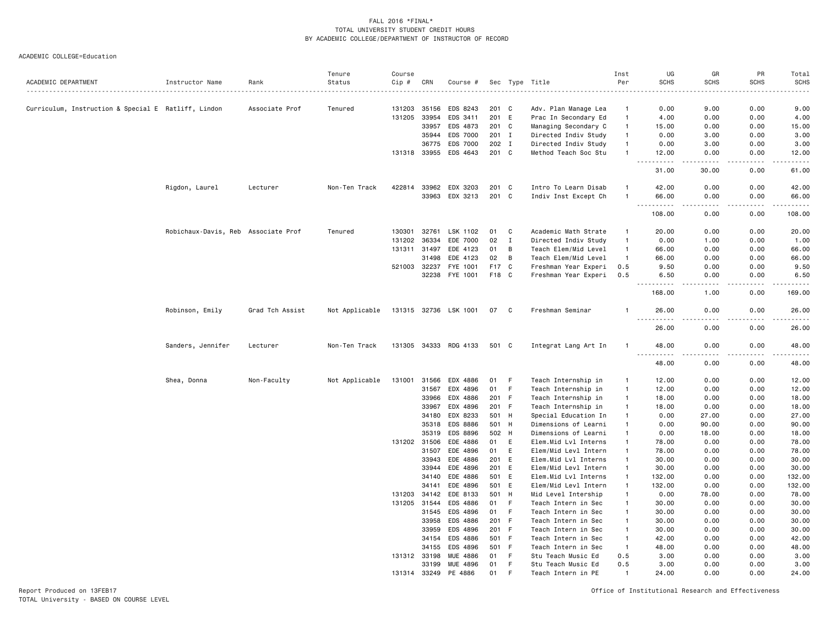|                                                     |                                     |                 | Tenure         | Course |                       |                                   |                |             |                                              | Inst                           | UG                                | GR                    | PR                   | Total                                                                                                                              |
|-----------------------------------------------------|-------------------------------------|-----------------|----------------|--------|-----------------------|-----------------------------------|----------------|-------------|----------------------------------------------|--------------------------------|-----------------------------------|-----------------------|----------------------|------------------------------------------------------------------------------------------------------------------------------------|
| ACADEMIC DEPARTMENT                                 | Instructor Name                     | Rank            | Status         | Cip #  | CRN                   | Course #                          |                |             | Sec Type Title                               | Per                            | <b>SCHS</b>                       | <b>SCHS</b>           | <b>SCHS</b>          | <b>SCHS</b><br>$\omega_{\rm c}$ and $\omega_{\rm c}$                                                                               |
|                                                     |                                     |                 |                |        |                       |                                   |                |             |                                              |                                |                                   |                       |                      |                                                                                                                                    |
| Curriculum, Instruction & Special E Ratliff, Lindon |                                     | Associate Prof  | Tenured        | 131203 | 35156                 | EDS 8243                          | 201 C          |             | Adv. Plan Manage Lea                         | $\mathbf{1}$                   | 0.00                              | 9.00                  | 0.00                 | 9.00                                                                                                                               |
|                                                     |                                     |                 |                | 131205 | 33954                 | EDS 3411                          | 201 E          |             | Prac In Secondary Ed                         | $\mathbf{1}$                   | 4.00                              | 0.00                  | 0.00                 | 4.00                                                                                                                               |
|                                                     |                                     |                 |                |        | 33957                 | EDS 4873                          | 201 C          |             | Managing Secondary C                         | $\overline{1}$                 | 15.00                             | 0.00                  | 0.00                 | 15.00                                                                                                                              |
|                                                     |                                     |                 |                |        | 35944                 | EDS 7000                          | 201 I          |             | Directed Indiv Study                         | $\mathbf{1}$<br>$\overline{1}$ | 0.00                              | 3.00                  | 0.00                 | 3.00                                                                                                                               |
|                                                     |                                     |                 |                |        | 36775                 | EDS 7000<br>131318 33955 EDS 4643 | 202 I<br>201 C |             | Directed Indiv Study<br>Method Teach Soc Stu | $\overline{1}$                 | 0.00<br>12.00                     | 3.00<br>0.00          | 0.00<br>0.00         | 3.00<br>12.00                                                                                                                      |
|                                                     |                                     |                 |                |        |                       |                                   |                |             |                                              |                                | $\sim$ $\sim$<br>-----<br>31.00   | .<br>30.00            | .<br>0.00            | .<br>61.00                                                                                                                         |
|                                                     | Rigdon, Laurel                      | Lecturer        | Non-Ten Track  | 422814 |                       | 33962 EDX 3203                    | 201 C          |             | Intro To Learn Disab                         | -1                             | 42.00                             | 0.00                  | 0.00                 | 42.00                                                                                                                              |
|                                                     |                                     |                 |                |        | 33963                 | EDX 3213                          | 201 C          |             | Indiv Inst Except Ch                         | $\overline{1}$                 | 66.00                             | 0.00                  | 0.00                 | 66.00                                                                                                                              |
|                                                     |                                     |                 |                |        |                       |                                   |                |             |                                              |                                | $\sim$ $\sim$<br>108.00           | 0.00                  | 0.00                 | 108.00                                                                                                                             |
|                                                     | Robichaux-Davis, Reb Associate Prof |                 | Tenured        | 130301 | 32761                 | LSK 1102                          | 01             | C           | Academic Math Strate                         | -1                             | 20.00                             | 0.00                  | 0.00                 | 20.00                                                                                                                              |
|                                                     |                                     |                 |                | 131202 | 36334                 | EDE 7000                          | 02             | I           | Directed Indiv Study                         | $\overline{1}$                 | 0.00                              | 1.00                  | 0.00                 | 1.00                                                                                                                               |
|                                                     |                                     |                 |                | 131311 | 31497                 | EDE 4123                          | 01             | В           | Teach Elem/Mid Level                         | $\overline{1}$                 | 66.00                             | 0.00                  | 0.00                 | 66.00                                                                                                                              |
|                                                     |                                     |                 |                |        | 31498                 | EDE 4123                          | 02             | B           | Teach Elem/Mid Level                         | $\overline{1}$                 | 66.00                             | 0.00                  | 0.00                 | 66.00                                                                                                                              |
|                                                     |                                     |                 |                |        |                       | 521003 32237 FYE 1001             | F17 C          |             | Freshman Year Experi                         | 0.5                            | 9.50                              | 0.00                  | 0.00                 | 9.50                                                                                                                               |
|                                                     |                                     |                 |                |        |                       | 32238 FYE 1001                    | F18 C          |             | Freshman Year Experi                         | 0.5                            | 6.50<br>.<br>$\sim$ $\sim$ $\sim$ | 0.00<br>د د د د       | 0.00<br>.            | 6.50<br>. <b>.</b>                                                                                                                 |
|                                                     |                                     |                 |                |        |                       |                                   |                |             |                                              |                                | 168.00                            | 1.00                  | 0.00                 | 169.00                                                                                                                             |
|                                                     | Robinson, Emily                     | Grad Tch Assist | Not Applicable |        |                       | 131315 32736 LSK 1001             | 07             | C           | Freshman Seminar                             | -1                             | 26.00<br>$- - - - -$              | 0.00<br>$\frac{1}{2}$ | 0.00<br>. <b>.</b> . | 26.00<br>.                                                                                                                         |
|                                                     |                                     |                 |                |        |                       |                                   |                |             |                                              |                                | 26.00                             | 0.00                  | 0.00                 | 26.00                                                                                                                              |
|                                                     | Sanders, Jennifer                   | Lecturer        | Non-Ten Track  |        |                       | 131305 34333 RDG 4133             | 501 C          |             | Integrat Lang Art In                         | $\mathbf{1}$                   | 48.00<br>$\sim$ $\sim$ $\sim$     | 0.00                  | 0.00                 | 48.00<br>$\frac{1}{2} \left( \frac{1}{2} \right) \left( \frac{1}{2} \right) \left( \frac{1}{2} \right) \left( \frac{1}{2} \right)$ |
|                                                     |                                     |                 |                |        |                       |                                   |                |             |                                              |                                | 48.00                             | 0.00                  | 0.00                 | 48.00                                                                                                                              |
|                                                     | Shea, Donna                         | Non-Faculty     | Not Applicable | 131001 | 31566                 | EDX 4886                          | 01             | -F          | Teach Internship in                          | $\mathbf{1}$                   | 12.00                             | 0.00                  | 0.00                 | 12.00                                                                                                                              |
|                                                     |                                     |                 |                |        | 31567                 | EDX 4896                          | 01             | - F         | Teach Internship in                          | $\mathbf{1}$                   | 12.00                             | 0.00                  | 0.00                 | 12.00                                                                                                                              |
|                                                     |                                     |                 |                |        | 33966                 | EDX 4886                          | 201 F          |             | Teach Internship in                          | $\overline{1}$                 | 18.00                             | 0.00                  | 0.00                 | 18.00                                                                                                                              |
|                                                     |                                     |                 |                |        | 33967                 | EDX 4896                          | 201 F          |             | Teach Internship in                          | $\mathbf{1}$                   | 18.00                             | 0.00                  | 0.00                 | 18.00                                                                                                                              |
|                                                     |                                     |                 |                |        | 34180                 | EDX 8233                          | 501 H          |             | Special Education In                         | $\mathbf{1}$                   | 0.00                              | 27.00                 | 0.00                 | 27.00                                                                                                                              |
|                                                     |                                     |                 |                |        | 35318                 | EDS 8886                          | 501 H          |             | Dimensions of Learni                         | $\mathbf{1}$                   | 0.00                              | 90.00                 | 0.00                 | 90.00                                                                                                                              |
|                                                     |                                     |                 |                |        | 35319                 | EDS 8896<br>EDE 4886              | 502 H          |             | Dimensions of Learni                         | $\mathbf{1}$<br>$\overline{1}$ | 0.00                              | 18.00                 | 0.00                 | 18.00                                                                                                                              |
|                                                     |                                     |                 |                |        | 131202 31506<br>31507 | EDE 4896                          | 01<br>01       | E<br>E      | Elem.Mid Lvl Interns                         | $\overline{1}$                 | 78.00<br>78.00                    | 0.00<br>0.00          | 0.00<br>0.00         | 78.00<br>78.00                                                                                                                     |
|                                                     |                                     |                 |                |        | 33943                 | EDE 4886                          | 201 E          |             | Elem/Mid Levl Intern<br>Elem.Mid Lvl Interns | $\overline{1}$                 | 30.00                             | 0.00                  | 0.00                 | 30.00                                                                                                                              |
|                                                     |                                     |                 |                |        | 33944                 | EDE 4896                          | 201            | E           | Elem/Mid Levl Intern                         | $\mathbf{1}$                   | 30.00                             | 0.00                  | 0.00                 | 30.00                                                                                                                              |
|                                                     |                                     |                 |                |        | 34140                 | EDE 4886                          | 501 E          |             | Elem.Mid Lvl Interns                         | $\mathbf{1}$                   | 132.00                            | 0.00                  | 0.00                 | 132.00                                                                                                                             |
|                                                     |                                     |                 |                |        | 34141                 | EDE 4896                          | 501 E          |             | Elem/Mid Levl Intern                         | $\overline{1}$                 | 132.00                            | 0.00                  | 0.00                 | 132.00                                                                                                                             |
|                                                     |                                     |                 |                | 131203 | 34142                 | EDE 8133                          | 501            | H           | Mid Level Intership                          | $\mathbf{1}$                   | 0.00                              | 78.00                 | 0.00                 | 78.00                                                                                                                              |
|                                                     |                                     |                 |                | 131205 | 31544                 | EDS 4886                          | 01             | F           | Teach Intern in Sec                          | $\mathbf{1}$                   | 30.00                             | 0.00                  | 0.00                 | 30.00                                                                                                                              |
|                                                     |                                     |                 |                |        | 31545                 | EDS 4896                          | 01             | $-F$        | Teach Intern in Sec                          | $\mathbf{1}$                   | 30.00                             | 0.00                  | 0.00                 | 30.00                                                                                                                              |
|                                                     |                                     |                 |                |        | 33958                 | EDS 4886                          | 201 F          |             | Teach Intern in Sec                          | $\overline{1}$                 | 30.00                             | 0.00                  | 0.00                 | 30.00                                                                                                                              |
|                                                     |                                     |                 |                |        | 33959                 | EDS 4896                          | 201 F          |             | Teach Intern in Sec                          | $\overline{1}$                 | 30.00                             | 0.00                  | 0.00                 | 30.00                                                                                                                              |
|                                                     |                                     |                 |                |        | 34154                 | EDS 4886                          | 501 F          |             | Teach Intern in Sec                          | $\overline{1}$                 | 42.00                             | 0.00                  | 0.00                 | 42.00                                                                                                                              |
|                                                     |                                     |                 |                |        | 34155                 | EDS 4896                          | 501 F          |             | Teach Intern in Sec                          | $\overline{1}$                 | 48.00                             | 0.00                  | 0.00                 | 48.00                                                                                                                              |
|                                                     |                                     |                 |                |        | 131312 33198          | MUE 4886                          | 01             | -F          | Stu Teach Music Ed                           | 0.5                            | 3.00                              | 0.00                  | 0.00                 | 3.00                                                                                                                               |
|                                                     |                                     |                 |                |        | 33199                 | MUE 4896                          | 01             | $\mathsf F$ | Stu Teach Music Ed                           | 0.5                            | 3.00                              | 0.00                  | 0.00                 | 3.00                                                                                                                               |
|                                                     |                                     |                 |                | 131314 | 33249                 | PE 4886                           | 01             | F           | Teach Intern in PE                           | $\overline{1}$                 | 24.00                             | 0.00                  | 0.00                 | 24.00                                                                                                                              |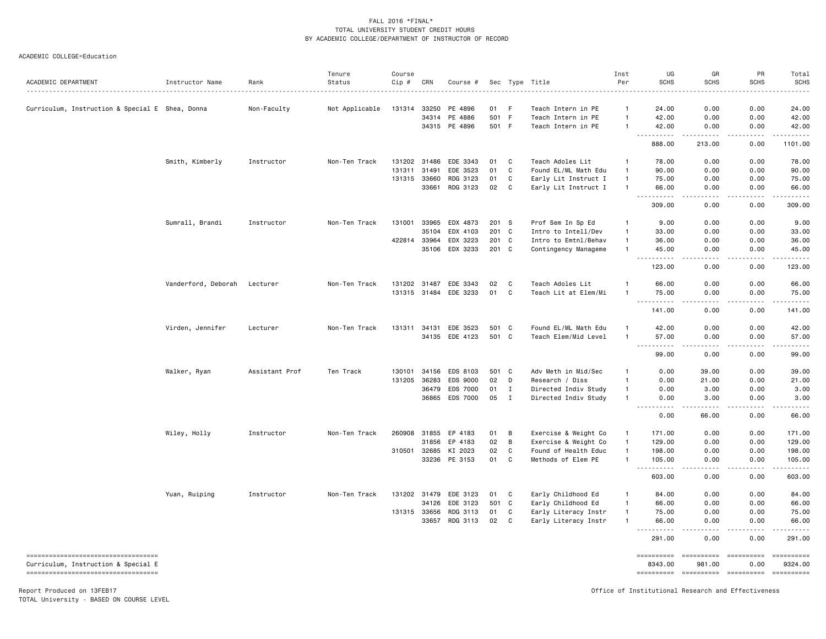ACADEMIC COLLEGE=Education

| ACADEMIC DEPARTMENT                             | Instructor Name     | Rank           | Tenure<br>Status | Course<br>Cip # | CRN   | Course #                   |              |                | Sec Type Title                               | Inst<br>Per                      | UG<br><b>SCHS</b>                           | GR<br><b>SCHS</b>               | PR<br><b>SCHS</b> | Total<br><b>SCHS</b>                                                                                                                                                                                                                                                                                                                                                                                                                |
|-------------------------------------------------|---------------------|----------------|------------------|-----------------|-------|----------------------------|--------------|----------------|----------------------------------------------|----------------------------------|---------------------------------------------|---------------------------------|-------------------|-------------------------------------------------------------------------------------------------------------------------------------------------------------------------------------------------------------------------------------------------------------------------------------------------------------------------------------------------------------------------------------------------------------------------------------|
| Curriculum, Instruction & Special E Shea, Donna |                     | Non-Faculty    | Not Applicable   | 131314          | 33250 | PE 4896                    | 01           | - F            | Teach Intern in PE                           | $\mathbf{1}$                     | 24.00                                       | 0.00                            | 0.00              | 24.00                                                                                                                                                                                                                                                                                                                                                                                                                               |
|                                                 |                     |                |                  |                 | 34314 | PE 4886                    | 501 F        |                | Teach Intern in PE                           | $\mathbf{1}$                     | 42.00                                       | 0.00                            | 0.00              | 42.00                                                                                                                                                                                                                                                                                                                                                                                                                               |
|                                                 |                     |                |                  |                 |       | 34315 PE 4896              | 501 F        |                | Teach Intern in PE                           | $\overline{1}$                   | 42.00<br>.                                  | 0.00<br>.                       | 0.00<br>.         | 42.00<br>$\begin{array}{cccccccccc} \bullet & \bullet & \bullet & \bullet & \bullet & \bullet & \bullet \end{array}$                                                                                                                                                                                                                                                                                                                |
|                                                 |                     |                |                  |                 |       |                            |              |                |                                              |                                  | $\sim$ $\sim$<br>888.00                     | 213.00                          | 0.00              | 1101.00                                                                                                                                                                                                                                                                                                                                                                                                                             |
|                                                 | Smith, Kimberly     | Instructor     | Non-Ten Track    |                 |       | 131202 31486 EDE 3343      | 01           | C              | Teach Adoles Lit                             | $\overline{1}$                   | 78.00                                       | 0.00                            | 0.00              | 78.00                                                                                                                                                                                                                                                                                                                                                                                                                               |
|                                                 |                     |                |                  | 131311          | 31491 | EDE 3523                   | 01           | C              | Found EL/ML Math Edu                         | $\mathbf{1}$                     | 90.00                                       | 0.00                            | 0.00              | 90.00                                                                                                                                                                                                                                                                                                                                                                                                                               |
|                                                 |                     |                |                  | 131315 33660    |       | RDG 3123                   | 01           | C              | Early Lit Instruct I                         | $\overline{1}$                   | 75.00                                       | 0.00                            | 0.00              | 75.00                                                                                                                                                                                                                                                                                                                                                                                                                               |
|                                                 |                     |                |                  |                 | 33661 | RDG 3123                   | 02           | C              | Early Lit Instruct I                         | $\overline{1}$                   | 66.00<br>. <b>.</b>                         | 0.00<br>.                       | 0.00<br>.         | 66.00<br>.                                                                                                                                                                                                                                                                                                                                                                                                                          |
|                                                 |                     |                |                  |                 |       |                            |              |                |                                              |                                  | 309.00                                      | 0.00                            | 0.00              | 309,00                                                                                                                                                                                                                                                                                                                                                                                                                              |
|                                                 | Sumrall, Brandi     | Instructor     | Non-Ten Track    | 131001 33965    |       | EDX 4873                   | 201 S        |                | Prof Sem In Sp Ed                            | $\overline{1}$                   | 9.00                                        | 0.00                            | 0.00              | 9.00                                                                                                                                                                                                                                                                                                                                                                                                                                |
|                                                 |                     |                |                  |                 | 35104 | EDX 4103                   | 201          | $\mathbf c$    | Intro to Intell/Dev                          | $\overline{1}$                   | 33.00                                       | 0.00                            | 0.00              | 33.00                                                                                                                                                                                                                                                                                                                                                                                                                               |
|                                                 |                     |                |                  | 422814 33964    |       | EDX 3223                   | 201 C        |                | Intro to Emtnl/Behav                         | $\mathbf{1}$                     | 36.00                                       | 0.00                            | 0.00              | 36.00                                                                                                                                                                                                                                                                                                                                                                                                                               |
|                                                 |                     |                |                  |                 |       | 35106 EDX 3233             | 201 C        |                | Contingency Manageme                         | $\overline{1}$                   | 45.00                                       | 0.00                            | 0.00              | 45.00                                                                                                                                                                                                                                                                                                                                                                                                                               |
|                                                 |                     |                |                  |                 |       |                            |              |                |                                              |                                  | 123.00                                      | 0.00                            | 0.00              | 123.00                                                                                                                                                                                                                                                                                                                                                                                                                              |
|                                                 | Vanderford, Deborah | Lecturer       | Non-Ten Track    |                 |       | 131202 31487 EDE 3343      | 02           | C              | Teach Adoles Lit                             | -1                               | 66.00                                       | 0.00                            | 0.00              | 66.00                                                                                                                                                                                                                                                                                                                                                                                                                               |
|                                                 |                     |                |                  | 131315 31484    |       | EDE 3233                   | 01           | C              | Teach Lit at Elem/Mi                         | $\overline{1}$                   | 75.00                                       | 0.00                            | 0.00              | 75.00                                                                                                                                                                                                                                                                                                                                                                                                                               |
|                                                 |                     |                |                  |                 |       |                            |              |                |                                              |                                  | .<br>$\sim$ $\sim$ $\sim$<br>141.00         | الدامات بال<br>0.00             | .<br>0.00         | .<br>141.00                                                                                                                                                                                                                                                                                                                                                                                                                         |
|                                                 |                     |                |                  |                 |       |                            |              |                |                                              |                                  |                                             |                                 |                   |                                                                                                                                                                                                                                                                                                                                                                                                                                     |
|                                                 | Virden, Jennifer    | Lecturer       | Non-Ten Track    | 131311          | 34131 | EDE 3523<br>34135 EDE 4123 | 501<br>501 C | $\mathbf{C}$   | Found EL/ML Math Edu<br>Teach Elem/Mid Level | $\overline{1}$<br>$\overline{1}$ | 42.00<br>57.00                              | 0.00<br>0.00                    | 0.00<br>0.00      | 42.00<br>57.00                                                                                                                                                                                                                                                                                                                                                                                                                      |
|                                                 |                     |                |                  |                 |       |                            |              |                |                                              |                                  | $\sim$<br>المتمالين                         | .                               | -----             | .                                                                                                                                                                                                                                                                                                                                                                                                                                   |
|                                                 |                     |                |                  |                 |       |                            |              |                |                                              |                                  | 99.00                                       | 0.00                            | 0.00              | 99.00                                                                                                                                                                                                                                                                                                                                                                                                                               |
|                                                 | Walker, Ryan        | Assistant Prof | Ten Track        | 130101          | 34156 | EDS 8103                   | 501          | C <sub>1</sub> | Adv Meth in Mid/Sec                          | $\mathbf{1}$                     | 0.00                                        | 39,00                           | 0.00              | 39,00                                                                                                                                                                                                                                                                                                                                                                                                                               |
|                                                 |                     |                |                  | 131205 36283    |       | EDS 9000                   | 02           | D              | Research / Diss                              | $\overline{1}$                   | 0.00                                        | 21.00                           | 0.00              | 21.00                                                                                                                                                                                                                                                                                                                                                                                                                               |
|                                                 |                     |                |                  |                 | 36479 | EDS 7000                   | 01           | $\mathbf{I}$   | Directed Indiv Study                         | $\overline{1}$                   | 0.00                                        | 3.00                            | 0.00              | 3.00                                                                                                                                                                                                                                                                                                                                                                                                                                |
|                                                 |                     |                |                  |                 | 36865 | EDS 7000                   | 05           | $\mathbf{I}$   | Directed Indiv Study                         | $\overline{1}$                   | 0.00<br>$\sim$ $\sim$ $\sim$                | 3.00                            | 0.00              | 3.00<br>$\frac{1}{2}$                                                                                                                                                                                                                                                                                                                                                                                                               |
|                                                 |                     |                |                  |                 |       |                            |              |                |                                              |                                  | 0.00                                        | 66.00                           | 0.00              | 66.00                                                                                                                                                                                                                                                                                                                                                                                                                               |
|                                                 | Wiley, Holly        | Instructor     | Non-Ten Track    | 260908 31855    |       | EP 4183                    | 01           | B              | Exercise & Weight Co                         | $\mathbf{1}$                     | 171.00                                      | 0.00                            | 0.00              | 171.00                                                                                                                                                                                                                                                                                                                                                                                                                              |
|                                                 |                     |                |                  |                 | 31856 | EP 4183                    | 02           | B              | Exercise & Weight Co                         | $\overline{1}$                   | 129.00                                      | 0.00                            | 0.00              | 129.00                                                                                                                                                                                                                                                                                                                                                                                                                              |
|                                                 |                     |                |                  | 310501 32685    |       | KI 2023                    | 02           | C              | Found of Health Educ                         | $\overline{1}$                   | 198.00                                      | 0.00                            | 0.00              | 198.00                                                                                                                                                                                                                                                                                                                                                                                                                              |
|                                                 |                     |                |                  |                 |       | 33236 PE 3153              | 01           | C              | Methods of Elem PE                           | $\mathbf{1}$                     | 105.00<br>$\sim$ $\sim$                     | 0.00                            | 0.00<br>المستبدا  | 105.00<br>.                                                                                                                                                                                                                                                                                                                                                                                                                         |
|                                                 |                     |                |                  |                 |       |                            |              |                |                                              |                                  | 603.00                                      | 0.00                            | 0.00              | 603.00                                                                                                                                                                                                                                                                                                                                                                                                                              |
|                                                 | Yuan, Ruiping       | Instructor     | Non-Ten Track    | 131202 31479    |       | EDE 3123                   | 01           | C              | Early Childhood Ed                           | $\mathbf{1}$                     | 84.00                                       | 0.00                            | 0.00              | 84.00                                                                                                                                                                                                                                                                                                                                                                                                                               |
|                                                 |                     |                |                  |                 | 34126 | EDE 3123                   | 501          | C              | Early Childhood Ed                           | $\mathbf{1}$                     | 66.00                                       | 0.00                            | 0.00              | 66.00                                                                                                                                                                                                                                                                                                                                                                                                                               |
|                                                 |                     |                |                  | 131315 33656    |       | RDG 3113                   | 01           | C              | Early Literacy Instr                         | $\overline{1}$                   | 75.00                                       | 0.00                            | 0.00              | 75.00                                                                                                                                                                                                                                                                                                                                                                                                                               |
|                                                 |                     |                |                  |                 | 33657 | RDG 3113                   | 02           | C              | Early Literacy Instr                         | $\overline{1}$                   | 66.00<br>. <b>.</b><br>$\sim$ $\sim$ $\sim$ | 0.00<br>$\frac{1}{2}$           | 0.00<br>.         | 66.00<br>.                                                                                                                                                                                                                                                                                                                                                                                                                          |
|                                                 |                     |                |                  |                 |       |                            |              |                |                                              |                                  | 291.00                                      | 0.00                            | 0.00              | 291.00                                                                                                                                                                                                                                                                                                                                                                                                                              |
| ======================================          |                     |                |                  |                 |       |                            |              |                |                                              |                                  | ==========                                  |                                 |                   | ==========                                                                                                                                                                                                                                                                                                                                                                                                                          |
| Curriculum, Instruction & Special E             |                     |                |                  |                 |       |                            |              |                |                                              |                                  | 8343.00                                     | 981.00                          | 0.00              | 9324.00                                                                                                                                                                                                                                                                                                                                                                                                                             |
| ====================================            |                     |                |                  |                 |       |                            |              |                |                                              |                                  |                                             | ========== ========== ========= |                   | $\begin{minipage}{0.9\linewidth} \hspace*{-0.2cm} \textbf{1} & \textbf{2} & \textbf{3} & \textbf{5} & \textbf{6} & \textbf{7} & \textbf{8} \\ \textbf{1} & \textbf{2} & \textbf{3} & \textbf{5} & \textbf{5} & \textbf{7} & \textbf{8} & \textbf{8} \\ \textbf{3} & \textbf{4} & \textbf{5} & \textbf{5} & \textbf{6} & \textbf{7} & \textbf{8} & \textbf{9} & \textbf{1} \\ \textbf{5} & \textbf{5} & \textbf{6} & \textbf{7} & \$ |

Report Produced on 13FEB17 Office of Institutional Research and Effectiveness

TOTAL University - BASED ON COURSE LEVEL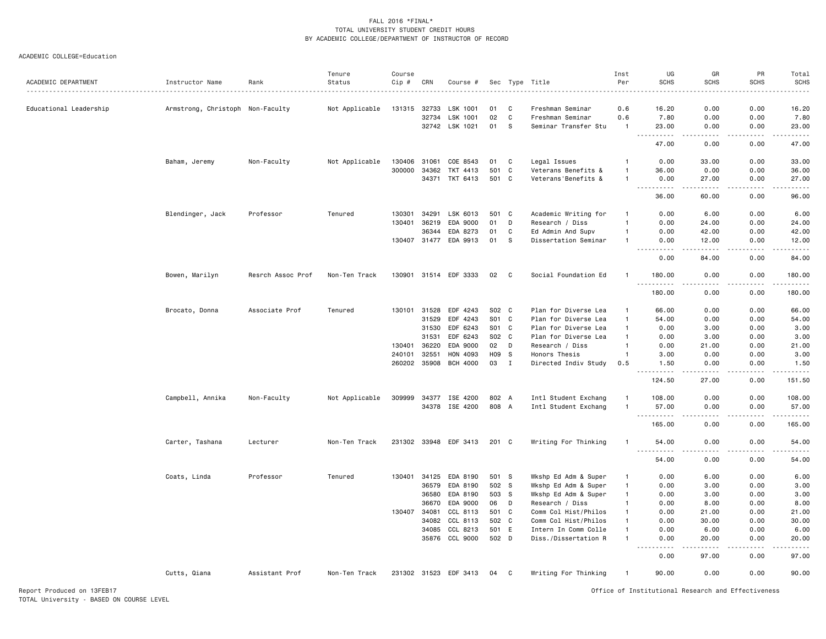| ACADEMIC DEPARTMENT    | Instructor Name                  | Rank              | Tenure<br>Status | Course<br>Cip # | CRN            | Course #              |             |              | Sec Type Title                               | Inst<br>Per                  | UG<br><b>SCHS</b>                                                                                                                                              | GR<br><b>SCHS</b> | PR<br><b>SCHS</b> | Total<br><b>SCHS</b>                                                                                                                                         |
|------------------------|----------------------------------|-------------------|------------------|-----------------|----------------|-----------------------|-------------|--------------|----------------------------------------------|------------------------------|----------------------------------------------------------------------------------------------------------------------------------------------------------------|-------------------|-------------------|--------------------------------------------------------------------------------------------------------------------------------------------------------------|
| Educational Leadership |                                  |                   | Not Applicable   | 131315          | 32733          | LSK 1001              | 01          | C            | Freshman Seminar                             | 0.6                          | 16.20                                                                                                                                                          | 0.00              | 0.00              | 16.20                                                                                                                                                        |
|                        | Armstrong, Christoph Non-Faculty |                   |                  |                 | 32734          | LSK 1001              | 02          | C            | Freshman Seminar                             | 0.6                          | 7.80                                                                                                                                                           | 0.00              | 0.00              | 7.80                                                                                                                                                         |
|                        |                                  |                   |                  |                 |                | 32742 LSK 1021        | 01          | S.           | Seminar Transfer Stu                         | $\mathbf{1}$                 | 23.00                                                                                                                                                          | 0.00              | 0.00              | 23.00                                                                                                                                                        |
|                        |                                  |                   |                  |                 |                |                       |             |              |                                              |                              | 22222                                                                                                                                                          |                   |                   |                                                                                                                                                              |
|                        |                                  |                   |                  |                 |                |                       |             |              |                                              |                              | 47.00                                                                                                                                                          | 0.00              | 0.00              | 47.00                                                                                                                                                        |
|                        | Baham, Jeremy                    | Non-Faculty       | Not Applicable   |                 | 130406 31061   | COE 8543              | 01          | C            | Legal Issues                                 | $\mathbf{1}$                 | 0.00                                                                                                                                                           | 33.00             | 0.00              | 33.00                                                                                                                                                        |
|                        |                                  |                   |                  | 300000          | 34362          | TKT 4413              | 501         | C            | Veterans Benefits &                          |                              | 36.00                                                                                                                                                          | 0.00              | 0.00              | 36.00                                                                                                                                                        |
|                        |                                  |                   |                  |                 |                | 34371 TKT 6413        | 501 C       |              | Veterans'Benefits &                          | $\mathbf{1}$                 | 0.00<br>.                                                                                                                                                      | 27.00<br>.        | 0.00              | 27.00                                                                                                                                                        |
|                        |                                  |                   |                  |                 |                |                       |             |              |                                              |                              | 36.00                                                                                                                                                          | 60.00             | 0.00              | 96.00                                                                                                                                                        |
|                        | Blendinger, Jack                 | Professor         | Tenured          | 130301          | 34291          | LSK 6013              | 501         | C            | Academic Writing for                         | -1                           | 0.00                                                                                                                                                           | 6.00              | 0.00              | 6.00                                                                                                                                                         |
|                        |                                  |                   |                  | 130401          | 36219          | EDA 9000              | 01          | D            | Research / Diss                              | $\mathbf{1}$                 | 0.00                                                                                                                                                           | 24.00             | 0.00              | 24.00                                                                                                                                                        |
|                        |                                  |                   |                  |                 | 36344          | EDA 8273              | 01          | C            | Ed Admin And Supv                            | $\mathbf{1}$                 | 0.00                                                                                                                                                           | 42.00             | 0.00              | 42.00                                                                                                                                                        |
|                        |                                  |                   |                  |                 |                | 130407 31477 EDA 9913 | 01          | s            | Dissertation Seminar                         |                              | 0.00                                                                                                                                                           | 12.00             | 0.00              | 12.00<br>$\frac{1}{2} \left( \frac{1}{2} \right) \left( \frac{1}{2} \right) \left( \frac{1}{2} \right) \left( \frac{1}{2} \right)$                           |
|                        |                                  |                   |                  |                 |                |                       |             |              |                                              |                              | 0.00                                                                                                                                                           | 84.00             | 0.00              | 84.00                                                                                                                                                        |
|                        | Bowen, Marilyn                   | Resrch Assoc Prof | Non-Ten Track    |                 |                | 130901 31514 EDF 3333 | 02          | $\mathbf{C}$ | Social Foundation Ed                         |                              | 180.00<br>. <b>.</b><br>.                                                                                                                                      | 0.00              | 0.00              | 180.00                                                                                                                                                       |
|                        |                                  |                   |                  |                 |                |                       |             |              |                                              |                              | 180.00                                                                                                                                                         | 0.00              | 0.00              | 180.00                                                                                                                                                       |
|                        | Brocato, Donna                   | Associate Prof    | Tenured          |                 | 130101 31528   | EDF 4243              | S02 C       |              | Plan for Diverse Lea                         | $\mathbf{1}$                 | 66.00                                                                                                                                                          | 0.00              | 0.00              | 66.00                                                                                                                                                        |
|                        |                                  |                   |                  |                 | 31529          | EDF 4243              | S01 C       |              | Plan for Diverse Lea                         | $\mathbf{1}$                 | 54.00                                                                                                                                                          | 0.00              | 0.00              | 54.00                                                                                                                                                        |
|                        |                                  |                   |                  |                 | 31530          | EDF 6243              | S01 C       |              | Plan for Diverse Lea                         | $\mathbf{1}$                 | 0.00                                                                                                                                                           | 3.00              | 0.00              | 3.00                                                                                                                                                         |
|                        |                                  |                   |                  |                 | 31531          | EDF 6243              | S02 C       |              | Plan for Diverse Lea                         | $\mathbf{1}$                 | 0.00                                                                                                                                                           | 3.00              | 0.00              | 3.00                                                                                                                                                         |
|                        |                                  |                   |                  | 130401          | 36220          | EDA 9000              | 02          | D            | Research / Diss                              | $\mathbf{1}$                 | 0.00                                                                                                                                                           | 21.00             | 0.00              | 21.00                                                                                                                                                        |
|                        |                                  |                   |                  | 240101          | 32551          | HON 4093              | H09         | s.           | Honors Thesis                                | $\mathbf{1}$                 | 3.00                                                                                                                                                           | 0.00              | 0.00              | 3.00                                                                                                                                                         |
|                        |                                  |                   |                  |                 | 260202 35908   | <b>BCH 4000</b>       | 03          | $\mathbf{I}$ | Directed Indiv Study                         | 0.5                          | 1.50<br>.                                                                                                                                                      | 0.00<br>22222     | 0.00<br>-----     | 1.50<br>$\frac{1}{2} \left( \frac{1}{2} \right) \left( \frac{1}{2} \right) \left( \frac{1}{2} \right) \left( \frac{1}{2} \right) \left( \frac{1}{2} \right)$ |
|                        |                                  |                   |                  |                 |                |                       |             |              |                                              |                              | 124.50                                                                                                                                                         | 27.00             | 0.00              | 151.50                                                                                                                                                       |
|                        | Campbell, Annika                 | Non-Faculty       | Not Applicable   | 309999          |                | 34377 ISE 4200        | 802 A       |              | Intl Student Exchang                         | $\mathbf{1}$                 | 108.00                                                                                                                                                         | 0.00              | 0.00              | 108.00                                                                                                                                                       |
|                        |                                  |                   |                  |                 |                | 34378 ISE 4200        | 808 A       |              | Intl Student Exchang                         | $\mathbf{1}$                 | 57.00                                                                                                                                                          | 0.00              | 0.00              | 57.00                                                                                                                                                        |
|                        |                                  |                   |                  |                 |                |                       |             |              |                                              |                              | $\frac{1}{2} \left( \frac{1}{2} \right) \left( \frac{1}{2} \right) \left( \frac{1}{2} \right) \left( \frac{1}{2} \right) \left( \frac{1}{2} \right)$<br>165.00 | 0.00              | 0.00              | 165.00                                                                                                                                                       |
|                        | Carter, Tashana                  | Lecturer          | Non-Ten Track    |                 |                | 231302 33948 EDF 3413 | 201 C       |              | Writing For Thinking                         | $\mathbf{1}$                 | 54.00                                                                                                                                                          | 0.00              | 0.00              | 54.00                                                                                                                                                        |
|                        |                                  |                   |                  |                 |                |                       |             |              |                                              |                              | $\sim$ $\sim$ $\sim$<br>.                                                                                                                                      |                   |                   |                                                                                                                                                              |
|                        |                                  |                   |                  |                 |                |                       |             |              |                                              |                              | 54.00                                                                                                                                                          | 0.00              | 0.00              | 54.00                                                                                                                                                        |
|                        | Coats, Linda                     | Professor         | Tenured          | 130401          | 34125          | EDA 8190              | 501 S       |              | Wkshp Ed Adm & Super                         | -1                           | 0.00                                                                                                                                                           | 6.00              | 0.00              | 6.00                                                                                                                                                         |
|                        |                                  |                   |                  |                 | 36579          | EDA 8190              | 502 S       |              | Wkshp Ed Adm & Super                         | $\mathbf{1}$                 | 0.00                                                                                                                                                           | 3.00              | 0.00              | 3.00                                                                                                                                                         |
|                        |                                  |                   |                  |                 | 36580          | EDA 8190              | 503 S       |              | Wkshp Ed Adm & Super                         | $\mathbf{1}$                 | 0.00                                                                                                                                                           | 3.00              | 0.00              | 3.00                                                                                                                                                         |
|                        |                                  |                   |                  | 130407          | 36670<br>34081 | EDA 9000<br>CCL 8113  | 06<br>501 C | D            | Research / Diss                              | $\mathbf{1}$<br>$\mathbf{1}$ | 0.00<br>0.00                                                                                                                                                   | 8.00<br>21.00     | 0.00<br>0.00      | 8.00<br>21.00                                                                                                                                                |
|                        |                                  |                   |                  |                 | 34082          | CCL 8113              | 502 C       |              | Comm Col Hist/Philos<br>Comm Col Hist/Philos | $\mathbf{1}$                 | 0.00                                                                                                                                                           | 30.00             | 0.00              | 30.00                                                                                                                                                        |
|                        |                                  |                   |                  |                 | 34085          | CCL 8213              | 501 E       |              | Intern In Comm Colle                         | $\mathbf{1}$                 | 0.00                                                                                                                                                           | 6.00              | 0.00              | 6.00                                                                                                                                                         |
|                        |                                  |                   |                  |                 | 35876          | CCL 9000              | 502 D       |              | Diss./Dissertation R                         | $\overline{1}$               | 0.00                                                                                                                                                           | 20.00             | 0.00              | 20.00                                                                                                                                                        |
|                        |                                  |                   |                  |                 |                |                       |             |              |                                              |                              | .<br>0.00                                                                                                                                                      | 97.00             | 0.00              | 97.00                                                                                                                                                        |
|                        | Cutts, Qiana                     | Assistant Prof    | Non-Ten Track    |                 |                | 231302 31523 EDF 3413 | 04          | C            | Writing For Thinking                         | $\mathbf{1}$                 | 90.00                                                                                                                                                          | 0.00              | 0.00              | 90.00                                                                                                                                                        |
|                        |                                  |                   |                  |                 |                |                       |             |              |                                              |                              |                                                                                                                                                                |                   |                   |                                                                                                                                                              |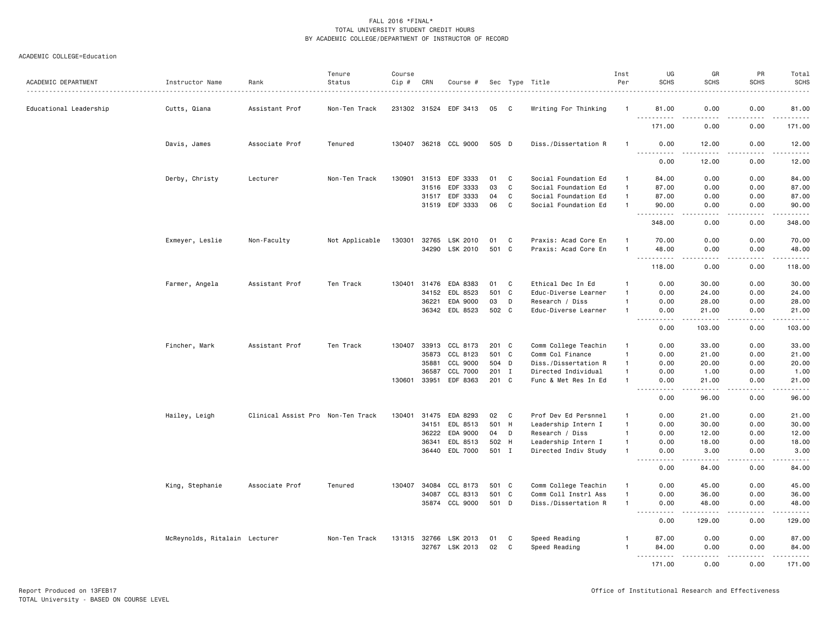| ACADEMIC DEPARTMENT    | Instructor Name               | Rank                              | Tenure<br>Status | Course<br>Cip # | CRN   | Course #              |       |              | Sec Type Title<br>.  | Inst<br>Per  | UG<br><b>SCHS</b>                                                                                                                                                                    | GR<br><b>SCHS</b>                                                                                                                                              | PR<br><b>SCHS</b> | Total<br><b>SCHS</b><br>.                   |
|------------------------|-------------------------------|-----------------------------------|------------------|-----------------|-------|-----------------------|-------|--------------|----------------------|--------------|--------------------------------------------------------------------------------------------------------------------------------------------------------------------------------------|----------------------------------------------------------------------------------------------------------------------------------------------------------------|-------------------|---------------------------------------------|
| Educational Leadership | Cutts, Qiana                  | Assistant Prof                    | Non-Ten Track    |                 |       | 231302 31524 EDF 3413 | 05    | - C          | Writing For Thinking |              | 81.00                                                                                                                                                                                | 0.00                                                                                                                                                           | 0.00              | 81.00                                       |
|                        |                               |                                   |                  |                 |       |                       |       |              |                      |              | .<br>171.00                                                                                                                                                                          | 0.00                                                                                                                                                           | 0.00              | .<br>171.00                                 |
|                        | Davis, James                  | Associate Prof                    | Tenured          |                 |       | 130407 36218 CCL 9000 | 505 D |              | Diss./Dissertation R |              | 0.00                                                                                                                                                                                 | 12.00                                                                                                                                                          | 0.00              | 12.00<br>$\sim$ $\sim$ $\sim$ $\sim$ $\sim$ |
|                        |                               |                                   |                  |                 |       |                       |       |              |                      |              | .<br>0.00                                                                                                                                                                            | 12.00                                                                                                                                                          | 0.00              | 12.00                                       |
|                        | Derby, Christy                | Lecturer                          | Non-Ten Track    | 130901          | 31513 | EDF 3333              | 01    | C            | Social Foundation Ed | $\mathbf{1}$ | 84.00                                                                                                                                                                                | 0.00                                                                                                                                                           | 0.00              | 84.00                                       |
|                        |                               |                                   |                  |                 | 31516 | EDF 3333              | 03    | $\mathbf{C}$ | Social Foundation Ed | $\mathbf{1}$ | 87.00                                                                                                                                                                                | 0.00                                                                                                                                                           | 0.00              | 87.00                                       |
|                        |                               |                                   |                  |                 | 31517 | EDF 3333              | 04    | C            | Social Foundation Ed | $\mathbf{1}$ | 87.00                                                                                                                                                                                | 0.00                                                                                                                                                           | 0.00              | 87.00                                       |
|                        |                               |                                   |                  |                 |       | 31519 EDF 3333        | 06    | $\mathbf{C}$ | Social Foundation Ed | $\mathbf{1}$ | 90.00<br>.                                                                                                                                                                           | 0.00<br>.                                                                                                                                                      | 0.00<br>.         | 90.00<br>.                                  |
|                        |                               |                                   |                  |                 |       |                       |       |              |                      |              | 348.00                                                                                                                                                                               | 0.00                                                                                                                                                           | 0.00              | 348.00                                      |
|                        | Exmeyer, Leslie               | Non-Faculty                       | Not Applicable   | 130301          | 32765 | LSK 2010              | 01    | C            | Praxis: Acad Core En | -1           | 70.00                                                                                                                                                                                | 0.00                                                                                                                                                           | 0.00              | 70.00                                       |
|                        |                               |                                   |                  |                 | 34290 | LSK 2010              | 501 C |              | Praxis: Acad Core En | $\mathbf{1}$ | 48.00<br>بالمحام                                                                                                                                                                     | 0.00                                                                                                                                                           | 0.00<br>بالمحام   | 48.00<br>.                                  |
|                        |                               |                                   |                  |                 |       |                       |       |              |                      |              | 118.00                                                                                                                                                                               | 0.00                                                                                                                                                           | 0.00              | 118.00                                      |
|                        | Farmer, Angela                | Assistant Prof                    | Ten Track        | 130401          | 31476 | EDA 8383              | 01    | C            | Ethical Dec In Ed    |              | 0.00                                                                                                                                                                                 | 30.00                                                                                                                                                          | 0.00              | 30.00                                       |
|                        |                               |                                   |                  |                 | 34152 | EDL 8523              | 501 C |              | Educ-Diverse Learner | -1           | 0.00                                                                                                                                                                                 | 24.00                                                                                                                                                          | 0.00              | 24.00                                       |
|                        |                               |                                   |                  |                 | 36221 | EDA 9000              | 03    | D            | Research / Diss      | $\mathbf{1}$ | 0.00                                                                                                                                                                                 | 28.00                                                                                                                                                          | 0.00              | 28.00                                       |
|                        |                               |                                   |                  |                 |       | 36342 EDL 8523        | 502 C |              | Educ-Diverse Learner | $\mathbf{1}$ | 0.00                                                                                                                                                                                 | 21.00                                                                                                                                                          | 0.00              | 21.00                                       |
|                        |                               |                                   |                  |                 |       |                       |       |              |                      |              | $\sim$ $\sim$ $\sim$<br>$\frac{1}{2} \left( \frac{1}{2} \right) \left( \frac{1}{2} \right) \left( \frac{1}{2} \right) \left( \frac{1}{2} \right) \left( \frac{1}{2} \right)$<br>0.00 | $\frac{1}{2} \left( \frac{1}{2} \right) \left( \frac{1}{2} \right) \left( \frac{1}{2} \right) \left( \frac{1}{2} \right) \left( \frac{1}{2} \right)$<br>103.00 | .<br>0.00         | .<br>103.00                                 |
|                        | Fincher, Mark                 | Assistant Prof                    | Ten Track        | 130407          |       | 33913 CCL 8173        | 201 C |              | Comm College Teachin | -1           | 0.00                                                                                                                                                                                 | 33.00                                                                                                                                                          | 0.00              | 33.00                                       |
|                        |                               |                                   |                  |                 | 35873 | CCL 8123              | 501   | $\mathbf{C}$ | Comm Col Finance     | $\mathbf{1}$ | 0.00                                                                                                                                                                                 | 21.00                                                                                                                                                          | 0.00              | 21.00                                       |
|                        |                               |                                   |                  |                 | 35881 | CCL 9000              | 504 D |              | Diss./Dissertation R | $\mathbf{1}$ | 0.00                                                                                                                                                                                 | 20.00                                                                                                                                                          | 0.00              | 20.00                                       |
|                        |                               |                                   |                  |                 | 36587 | CCL 7000              | 201 I |              | Directed Individual  | $\mathbf{1}$ | 0.00                                                                                                                                                                                 | 1.00                                                                                                                                                           | 0.00              | 1.00                                        |
|                        |                               |                                   |                  | 130601          | 33951 | EDF 8363              | 201 C |              | Func & Met Res In Ed | -1           | 0.00                                                                                                                                                                                 | 21.00                                                                                                                                                          | 0.00              | 21.00                                       |
|                        |                               |                                   |                  |                 |       |                       |       |              |                      |              | .<br>0.00                                                                                                                                                                            | $\frac{1}{2} \left( \frac{1}{2} \right) \left( \frac{1}{2} \right) \left( \frac{1}{2} \right) \left( \frac{1}{2} \right) \left( \frac{1}{2} \right)$<br>96.00  | .<br>0.00         | .<br>96.00                                  |
|                        | Hailey, Leigh                 | Clinical Assist Pro Non-Ten Track |                  | 130401          | 31475 | EDA 8293              | 02    | C            | Prof Dev Ed Persnnel | -1           | 0.00                                                                                                                                                                                 | 21.00                                                                                                                                                          | 0.00              | 21.00                                       |
|                        |                               |                                   |                  |                 | 34151 | EDL 8513              | 501 H |              | Leadership Intern I  | $\mathbf{1}$ | 0.00                                                                                                                                                                                 | 30.00                                                                                                                                                          | 0.00              | 30.00                                       |
|                        |                               |                                   |                  |                 | 36222 | EDA 9000              | 04    | D            | Research / Diss      | $\mathbf{1}$ | 0.00                                                                                                                                                                                 | 12.00                                                                                                                                                          | 0.00              | 12.00                                       |
|                        |                               |                                   |                  |                 | 36341 | EDL 8513              | 502   | H            | Leadership Intern I  |              | 0.00                                                                                                                                                                                 | 18.00                                                                                                                                                          | 0.00              | 18.00                                       |
|                        |                               |                                   |                  |                 |       | 36440 EDL 7000        | 501 I |              | Directed Indiv Study | $\mathbf{1}$ | 0.00                                                                                                                                                                                 | 3.00<br>$\frac{1}{2} \left( \frac{1}{2} \right) \left( \frac{1}{2} \right) \left( \frac{1}{2} \right) \left( \frac{1}{2} \right) \left( \frac{1}{2} \right)$   | 0.00<br>.         | 3.00<br>.                                   |
|                        |                               |                                   |                  |                 |       |                       |       |              |                      |              | .<br>$- - -$<br>0.00                                                                                                                                                                 | 84.00                                                                                                                                                          | 0.00              | 84.00                                       |
|                        | King, Stephanie               | Associate Prof                    | Tenured          | 130407          | 34084 | CCL 8173              | 501 C |              | Comm College Teachin | $\mathbf{1}$ | 0.00                                                                                                                                                                                 | 45.00                                                                                                                                                          | 0.00              | 45.00                                       |
|                        |                               |                                   |                  |                 | 34087 | CCL 8313              | 501 C |              | Comm Coll Instrl Ass | $\mathbf{1}$ | 0.00                                                                                                                                                                                 | 36.00                                                                                                                                                          | 0.00              | 36.00                                       |
|                        |                               |                                   |                  |                 |       | 35874 CCL 9000        | 501 D |              | Diss./Dissertation R | $\mathbf{1}$ | 0.00                                                                                                                                                                                 | 48.00                                                                                                                                                          | 0.00              | 48.00                                       |
|                        |                               |                                   |                  |                 |       |                       |       |              |                      |              | $- - - - -$<br>$\frac{1}{2}$<br>0.00                                                                                                                                                 | <u>.</u><br>129.00                                                                                                                                             | .<br>0.00         | .<br>129.00                                 |
|                        | McReynolds, Ritalain Lecturer |                                   | Non-Ten Track    | 131315 32766    |       | LSK 2013              | 01    | C            | Speed Reading        |              | 87.00                                                                                                                                                                                | 0.00                                                                                                                                                           | 0.00              | 87.00                                       |
|                        |                               |                                   |                  |                 |       | 32767 LSK 2013        | 02    | C            | Speed Reading        | $\mathbf{1}$ | 84.00<br>.                                                                                                                                                                           | 0.00<br>.                                                                                                                                                      | 0.00<br>.         | 84.00<br>.                                  |
|                        |                               |                                   |                  |                 |       |                       |       |              |                      |              | 171.00                                                                                                                                                                               | 0.00                                                                                                                                                           | 0.00              | 171.00                                      |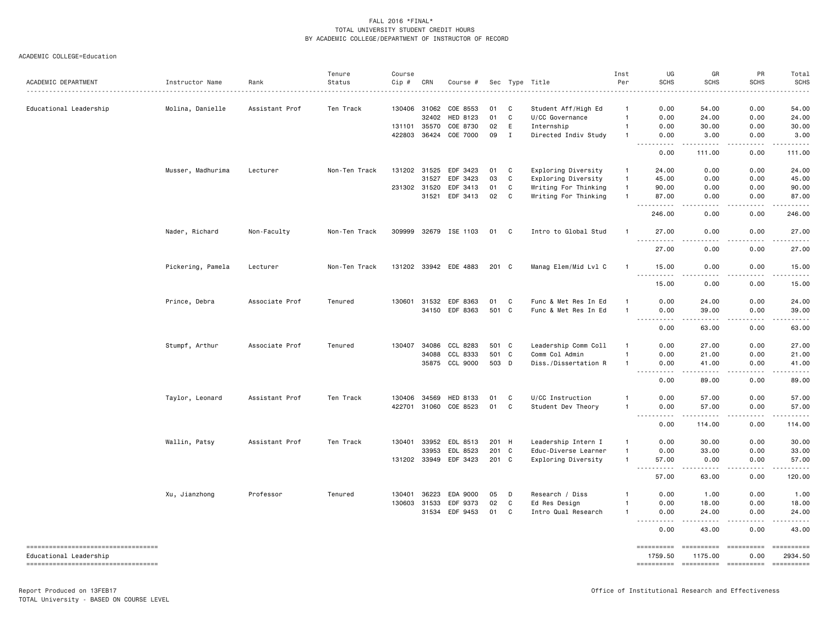| ACADEMIC DEPARTMENT                                          | Instructor Name   | Rank           | Tenure<br>Status | Course<br>Cip # | CRN                   | Course #              |          |              | Sec Type Title                         | Inst<br>Per       | UG<br><b>SCHS</b>                                      | GR<br><b>SCHS</b>                | PR<br><b>SCHS</b> | Total<br><b>SCHS</b>  |
|--------------------------------------------------------------|-------------------|----------------|------------------|-----------------|-----------------------|-----------------------|----------|--------------|----------------------------------------|-------------------|--------------------------------------------------------|----------------------------------|-------------------|-----------------------|
|                                                              |                   | <u>.</u>       |                  |                 |                       |                       |          |              | .                                      | $\mathbf{1}$      |                                                        |                                  |                   |                       |
| Educational Leadership                                       | Molina, Danielle  | Assistant Prof | Ten Track        |                 | 130406 31062<br>32402 | COE 8553<br>HED 8123  | 01<br>01 | C<br>C       | Student Aff/High Ed<br>U/CC Governance | $\mathbf{1}$      | 0.00<br>0.00                                           | 54.00<br>24.00                   | 0.00<br>0.00      | 54.00<br>24.00        |
|                                                              |                   |                |                  |                 | 131101 35570          | COE 8730              | 02       | E            | Internship                             | $\mathbf{1}$      | 0.00                                                   | 30.00                            | 0.00              | 30.00                 |
|                                                              |                   |                |                  |                 | 422803 36424          | COE 7000              | 09       | $\mathbf I$  | Directed Indiv Study                   | $\mathbf{1}$      | 0.00                                                   | 3.00                             | 0.00              | 3.00                  |
|                                                              |                   |                |                  |                 |                       |                       |          |              |                                        |                   | 0.00                                                   | 111.00                           | 0.00              | 111.00                |
|                                                              | Musser, Madhurima | Lecturer       | Non-Ten Track    |                 | 131202 31525          | EDF 3423              | 01       | C            | Exploring Diversity                    | 1                 | 24.00                                                  | 0.00                             | 0.00              | 24.00                 |
|                                                              |                   |                |                  |                 | 31527                 | EDF 3423              | 03       | C            | Exploring Diversity                    | $\mathbf{1}$      | 45.00                                                  | 0.00                             | 0.00              | 45.00                 |
|                                                              |                   |                |                  |                 | 231302 31520          | EDF 3413              | 01       | C            | Writing For Thinking                   | $\mathbf{1}$      | 90.00                                                  | 0.00                             | 0.00              | 90.00                 |
|                                                              |                   |                |                  |                 | 31521                 | EDF 3413              | 02       | C            | Writing For Thinking                   | $\mathbf{1}$      | 87.00<br>.                                             | 0.00                             | 0.00<br>.         | 87.00                 |
|                                                              |                   |                |                  |                 |                       |                       |          |              |                                        |                   | 246.00                                                 | 0.00                             | 0.00              | 246.00                |
|                                                              | Nader, Richard    | Non-Faculty    | Non-Ten Track    |                 |                       | 309999 32679 ISE 1103 | 01       | C            | Intro to Global Stud                   |                   | 27.00<br>$\sim$ $\sim$ $\sim$ $\sim$                   | 0.00                             | 0.00              | 27.00                 |
|                                                              |                   |                |                  |                 |                       |                       |          |              |                                        |                   | 27.00                                                  | 0.00                             | 0.00              | 27.00                 |
|                                                              | Pickering, Pamela | Lecturer       | Non-Ten Track    |                 |                       | 131202 33942 EDE 4883 | 201 C    |              | Manag Elem/Mid Lvl C                   | -1                | 15.00                                                  | 0.00                             | 0.00              | 15.00                 |
|                                                              |                   |                |                  |                 |                       |                       |          |              |                                        |                   | -----<br>15.00                                         | .<br>0.00                        | -----<br>0.00     | .<br>15.00            |
|                                                              | Prince, Debra     | Associate Prof | Tenured          | 130601          | 31532                 | EDF 8363              | 01       | C            | Func & Met Res In Ed                   | $\overline{1}$    | 0.00                                                   | 24.00                            | 0.00              | 24.00                 |
|                                                              |                   |                |                  |                 |                       | 34150 EDF 8363        | 501 C    |              | Func & Met Res In Ed                   | $\overline{1}$    | 0.00<br>$\sim$ $\sim$ $\sim$<br>.                      | 39.00                            | 0.00              | 39.00                 |
|                                                              |                   |                |                  |                 |                       |                       |          |              |                                        |                   | 0.00                                                   | 63.00                            | 0.00              | 63.00                 |
|                                                              | Stumpf, Arthur    | Associate Prof | Tenured          |                 | 130407 34086          | CCL 8283              | 501 C    |              | Leadership Comm Coll                   |                   | 0.00                                                   | 27.00                            | 0.00              | 27.00                 |
|                                                              |                   |                |                  |                 | 34088                 | CCL 8333              | 501 C    |              | Comm Col Admin                         | 1                 | 0.00                                                   | 21.00                            | 0.00              | 21.00                 |
|                                                              |                   |                |                  |                 |                       | 35875 CCL 9000        | 503 D    |              | Diss./Dissertation R                   | $\mathbf{1}$      | 0.00<br>$\sim$ $\sim$ $\sim$                           | 41.00                            | 0.00              | 41.00                 |
|                                                              |                   |                |                  |                 |                       |                       |          |              |                                        |                   | 0.00                                                   | 89.00                            | 0.00              | 89.00                 |
|                                                              | Taylor, Leonard   | Assistant Prof | Ten Track        |                 | 130406 34569          | HED 8133              | 01       | C            | U/CC Instruction                       | 1                 | 0.00                                                   | 57.00                            | 0.00              | 57.00                 |
|                                                              |                   |                |                  |                 |                       | 422701 31060 COE 8523 | 01       | C            | Student Dev Theory                     | 1                 | 0.00<br>$\sim$ $\sim$ .<br>$\sim$ $\sim$ $\sim$ $\sim$ | 57.00                            | 0.00              | 57.00                 |
|                                                              |                   |                |                  |                 |                       |                       |          |              |                                        |                   | 0.00                                                   | 114.00                           | 0.00              | 114.00                |
|                                                              | Wallin, Patsy     | Assistant Prof | Ten Track        |                 |                       | 130401 33952 EDL 8513 | 201 H    |              | Leadership Intern I                    | $\mathbf{1}$      | 0.00                                                   | 30.00                            | 0.00              | 30.00                 |
|                                                              |                   |                |                  |                 | 33953                 | EDL 8523              | 201      | $\mathbf{C}$ | Educ-Diverse Learner                   | 1<br>$\mathbf{1}$ | 0.00<br>57.00                                          | 33.00<br>0.00                    | 0.00              | 33.00                 |
|                                                              |                   |                |                  |                 |                       | 131202 33949 EDF 3423 | 201 C    |              | Exploring Diversity                    |                   | .                                                      |                                  | 0.00              | 57.00                 |
|                                                              |                   |                |                  |                 |                       |                       |          |              |                                        |                   | 57.00                                                  | 63.00                            | 0.00              | 120.00                |
|                                                              | Xu, Jianzhong     | Professor      | Tenured          |                 | 130401 36223          | EDA 9000              | 05       | D            | Research / Diss                        |                   | 0.00                                                   | 1.00                             | 0.00              | 1.00                  |
|                                                              |                   |                |                  |                 | 130603 31533          | EDF 9373              | 02       | C            | Ed Res Design                          | 1                 | 0.00                                                   | 18.00                            | 0.00              | 18.00                 |
|                                                              |                   |                |                  |                 |                       | 31534 EDF 9453        | 01       | C            | Intro Qual Research                    | 1                 | 0.00<br>$\frac{1}{2}$                                  | 24.00                            | 0.00              | 24.00                 |
|                                                              |                   |                |                  |                 |                       |                       |          |              |                                        |                   | 0.00                                                   | 43.00                            | 0.00              | 43.00                 |
| ----------------------------------<br>Educational Leadership |                   |                |                  |                 |                       |                       |          |              |                                        |                   | ==========<br>1759.50                                  | ----------- ---------<br>1175.00 | 0.00              | ==========<br>2934.50 |
| -----------------------------------                          |                   |                |                  |                 |                       |                       |          |              |                                        |                   |                                                        | ---------- ---------- ---------  |                   | ==========            |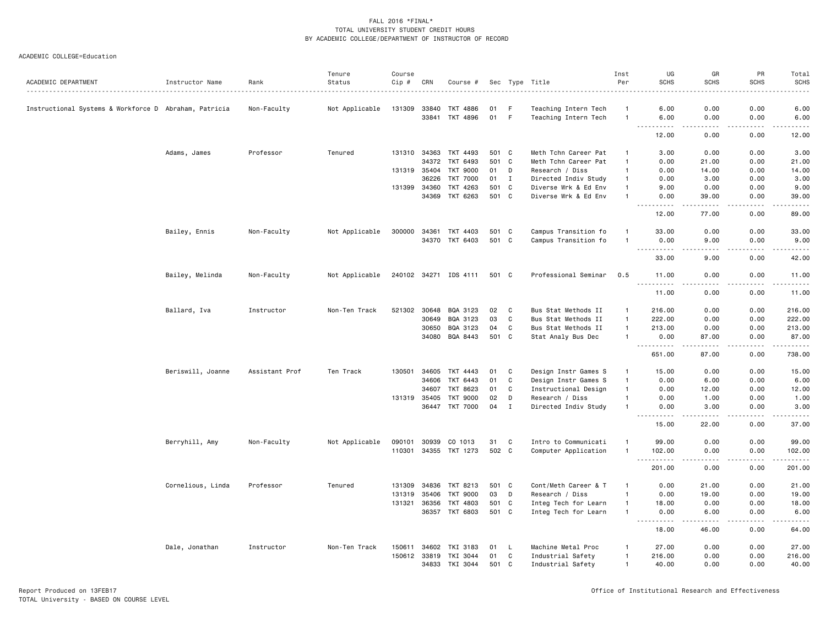|                                                       |                   |                | Tenure         | Course       |              |                       |       |             |                      | Inst           | UG                                                                                                                                | GR                     | PR          | Total                                                                                                                                                        |
|-------------------------------------------------------|-------------------|----------------|----------------|--------------|--------------|-----------------------|-------|-------------|----------------------|----------------|-----------------------------------------------------------------------------------------------------------------------------------|------------------------|-------------|--------------------------------------------------------------------------------------------------------------------------------------------------------------|
| ACADEMIC DEPARTMENT                                   | Instructor Name   | Rank           | Status         | Cip #        | CRN          | Course #              |       |             | Sec Type Title       | Per            | <b>SCHS</b>                                                                                                                       | <b>SCHS</b>            | <b>SCHS</b> | <b>SCHS</b>                                                                                                                                                  |
| Instructional Systems & Workforce D Abraham, Patricia |                   | Non-Faculty    | Not Applicable | 131309       | 33840        | TKT 4886              | 01    | F           | Teaching Intern Tech | -1             | 6.00                                                                                                                              | 0.00                   | 0.00        | 6.00                                                                                                                                                         |
|                                                       |                   |                |                |              | 33841        | TKT 4896              | 01 F  |             | Teaching Intern Tech | $\overline{1}$ | 6.00                                                                                                                              | 0.00<br>$- - - -$      | 0.00<br>.   | 6.00<br>$\frac{1}{2} \left( \frac{1}{2} \right) \left( \frac{1}{2} \right) \left( \frac{1}{2} \right) \left( \frac{1}{2} \right) \left( \frac{1}{2} \right)$ |
|                                                       |                   |                |                |              |              |                       |       |             |                      |                | 12.00                                                                                                                             | 0.00                   | 0.00        | 12.00                                                                                                                                                        |
|                                                       | Adams, James      | Professor      | Tenured        | 131310       | 34363        | TKT 4493              | 501 C |             | Meth Tchn Career Pat | $\overline{1}$ | 3.00                                                                                                                              | 0.00                   | 0.00        | 3.00                                                                                                                                                         |
|                                                       |                   |                |                |              | 34372        | TKT 6493              | 501 C |             | Meth Tchn Career Pat | $\overline{1}$ | 0.00                                                                                                                              | 21.00                  | 0.00        | 21.00                                                                                                                                                        |
|                                                       |                   |                |                | 131319 35404 |              | TKT 9000              | 01    | D           | Research / Diss      | $\mathbf{1}$   | 0.00                                                                                                                              | 14.00                  | 0.00        | 14.00                                                                                                                                                        |
|                                                       |                   |                |                |              | 36226        | <b>TKT 7000</b>       | 01    | $\mathbf I$ | Directed Indiv Study | $\overline{1}$ | 0.00                                                                                                                              | 3.00                   | 0.00        | 3.00                                                                                                                                                         |
|                                                       |                   |                |                | 131399       | 34360        | TKT 4263              | 501 C |             | Diverse Wrk & Ed Env | $\overline{1}$ | 9.00                                                                                                                              | 0.00                   | 0.00        | 9.00                                                                                                                                                         |
|                                                       |                   |                |                |              | 34369        | TKT 6263              | 501 C |             | Diverse Wrk & Ed Env | $\overline{1}$ | 0.00<br>.<br>$- - -$                                                                                                              | 39.00<br>$\frac{1}{2}$ | 0.00<br>.   | 39.00<br>.                                                                                                                                                   |
|                                                       |                   |                |                |              |              |                       |       |             |                      |                | 12.00                                                                                                                             | 77.00                  | 0.00        | 89.00                                                                                                                                                        |
|                                                       | Bailey, Ennis     | Non-Faculty    | Not Applicable | 300000       | 34361        | TKT 4403              | 501 C |             | Campus Transition fo | -1             | 33.00                                                                                                                             | 0.00                   | 0.00        | 33.00                                                                                                                                                        |
|                                                       |                   |                |                |              | 34370        | TKT 6403              | 501 C |             | Campus Transition fo | $\overline{1}$ | 0.00<br>$- - - - -$                                                                                                               | 9.00<br>$\frac{1}{2}$  | 0.00<br>.   | 9.00<br>.                                                                                                                                                    |
|                                                       |                   |                |                |              |              |                       |       |             |                      |                | 33.00                                                                                                                             | 9.00                   | 0.00        | 42.00                                                                                                                                                        |
|                                                       | Bailey, Melinda   | Non-Faculty    | Not Applicable |              |              | 240102 34271 IDS 4111 | 501 C |             | Professional Seminar | 0.5            | 11.00                                                                                                                             | 0.00                   | 0.00        | 11.00<br>.                                                                                                                                                   |
|                                                       |                   |                |                |              |              |                       |       |             |                      |                | 11.00                                                                                                                             | 0.00                   | 0.00        | 11.00                                                                                                                                                        |
|                                                       | Ballard, Iva      | Instructor     | Non-Ten Track  | 521302       | 30648        | BQA 3123              | 02    | C           | Bus Stat Methods II  | $\overline{1}$ | 216.00                                                                                                                            | 0.00                   | 0.00        | 216.00                                                                                                                                                       |
|                                                       |                   |                |                |              | 30649        | BQA 3123              | 03    | C           | Bus Stat Methods II  | $\overline{1}$ | 222.00                                                                                                                            | 0.00                   | 0.00        | 222.00                                                                                                                                                       |
|                                                       |                   |                |                |              | 30650        | BQA 3123              | 04    | C           | Bus Stat Methods II  | $\mathbf{1}$   | 213.00                                                                                                                            | 0.00                   | 0.00        | 213.00                                                                                                                                                       |
|                                                       |                   |                |                |              | 34080        | BQA 8443              | 501 C |             | Stat Analy Bus Dec   | $\overline{1}$ | 0.00<br><u> - - - - - - - - - -</u>                                                                                               | 87.00<br><u>.</u>      | 0.00<br>.   | 87.00<br>.                                                                                                                                                   |
|                                                       |                   |                |                |              |              |                       |       |             |                      |                | 651.00                                                                                                                            | 87.00                  | 0.00        | 738.00                                                                                                                                                       |
|                                                       | Beriswill, Joanne | Assistant Prof | Ten Track      | 130501       | 34605        | TKT 4443              | 01    | C           | Design Instr Games S | $\mathbf{1}$   | 15.00                                                                                                                             | 0.00                   | 0.00        | 15.00                                                                                                                                                        |
|                                                       |                   |                |                |              | 34606        | TKT 6443              | 01    | C           | Design Instr Games S | $\overline{1}$ | 0.00                                                                                                                              | 6.00                   | 0.00        | 6.00                                                                                                                                                         |
|                                                       |                   |                |                |              | 34607        | TKT 8623              | 01    | C           | Instructional Design | $\overline{1}$ | 0.00                                                                                                                              | 12.00                  | 0.00        | 12.00                                                                                                                                                        |
|                                                       |                   |                |                |              | 131319 35405 | TKT 9000              | 02    | D           | Research / Diss      | $\mathbf{1}$   | 0.00                                                                                                                              | 1.00                   | 0.00        | 1.00                                                                                                                                                         |
|                                                       |                   |                |                |              | 36447        | TKT 7000              | 04    | $\mathbf I$ | Directed Indiv Study | $\overline{1}$ | 0.00<br>.<br>$\sim 100$ km s $^{-1}$                                                                                              | 3.00<br>-----          | 0.00<br>.   | 3.00<br>.                                                                                                                                                    |
|                                                       |                   |                |                |              |              |                       |       |             |                      |                | 15.00                                                                                                                             | 22.00                  | 0.00        | 37.00                                                                                                                                                        |
|                                                       | Berryhill, Amy    | Non-Faculty    | Not Applicable | 090101       | 30939        | CO 1013               | 31    | C           | Intro to Communicati | $\overline{1}$ | 99.00                                                                                                                             | 0.00                   | 0.00        | 99.00                                                                                                                                                        |
|                                                       |                   |                |                | 110301       |              | 34355 TKT 1273        | 502 C |             | Computer Application | $\overline{1}$ | 102.00<br><u>----------</u>                                                                                                       | 0.00<br>.              | 0.00<br>.   | 102.00<br>.                                                                                                                                                  |
|                                                       |                   |                |                |              |              |                       |       |             |                      |                | 201.00                                                                                                                            | 0.00                   | 0.00        | 201.00                                                                                                                                                       |
|                                                       | Cornelious, Linda | Professor      | Tenured        | 131309       | 34836        | TKT 8213              | 501 C |             | Cont/Meth Career & T | $\overline{1}$ | 0.00                                                                                                                              | 21.00                  | 0.00        | 21.00                                                                                                                                                        |
|                                                       |                   |                |                | 131319       | 35406        | TKT 9000              | 03    | D           | Research / Diss      | $\mathbf{1}$   | 0.00                                                                                                                              | 19.00                  | 0.00        | 19.00                                                                                                                                                        |
|                                                       |                   |                |                | 131321       | 36356        | TKT 4803              | 501 C |             | Integ Tech for Learn | $\mathbf{1}$   | 18.00                                                                                                                             | 0.00                   | 0.00        | 18.00                                                                                                                                                        |
|                                                       |                   |                |                |              |              | 36357 TKT 6803        | 501 C |             | Integ Tech for Learn | $\mathbf{1}$   | 0.00<br>$\frac{1}{2} \left( \frac{1}{2} \right) \left( \frac{1}{2} \right) \left( \frac{1}{2} \right) \left( \frac{1}{2} \right)$ | 6.00                   | 0.00        | 6.00<br>والمناصبات                                                                                                                                           |
|                                                       |                   |                |                |              |              |                       |       |             |                      |                | 18.00                                                                                                                             | 46.00                  | 0.00        | 64.00                                                                                                                                                        |
|                                                       | Dale, Jonathan    | Instructor     | Non-Ten Track  | 150611       | 34602        | TKI 3183              | 01    | L.          | Machine Metal Proc   | -1             | 27.00                                                                                                                             | 0.00                   | 0.00        | 27.00                                                                                                                                                        |
|                                                       |                   |                |                | 150612       | 33819        | TKI 3044              | 01    | C           | Industrial Safety    | $\overline{1}$ | 216.00                                                                                                                            | 0.00                   | 0.00        | 216.00                                                                                                                                                       |
|                                                       |                   |                |                |              | 34833        | TKI 3044              | 501 C |             | Industrial Safety    | $\overline{1}$ | 40.00                                                                                                                             | 0.00                   | 0.00        | 40.00                                                                                                                                                        |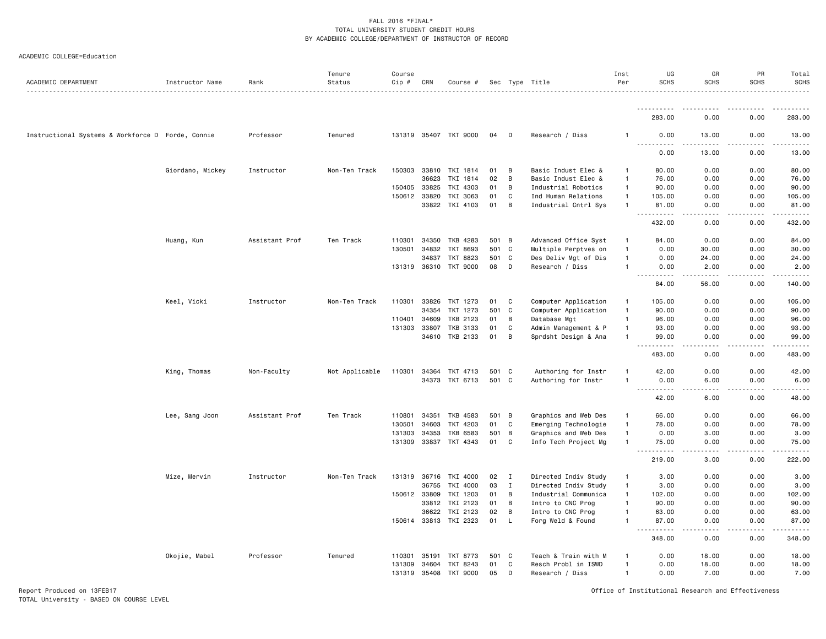#### ACADEMIC COLLEGE=Education

| ACADEMIC DEPARTMENT                               | Instructor Name  | Rank           | Tenure<br>Status | Course<br>Cip # | CRN          | Course #              |       |              | Sec Type Title       | Inst<br>Per    | UG<br><b>SCHS</b>                  | GR<br><b>SCHS</b>                                                                                                                 | PR<br><b>SCHS</b>     | Total<br><b>SCHS</b><br>$\sim$ $\sim$ $\sim$ $\sim$ |
|---------------------------------------------------|------------------|----------------|------------------|-----------------|--------------|-----------------------|-------|--------------|----------------------|----------------|------------------------------------|-----------------------------------------------------------------------------------------------------------------------------------|-----------------------|-----------------------------------------------------|
|                                                   |                  |                |                  |                 |              |                       |       |              |                      |                |                                    |                                                                                                                                   |                       |                                                     |
|                                                   |                  |                |                  |                 |              |                       |       |              |                      |                | 283.00                             | 0.00                                                                                                                              | 0.00                  | 283.00                                              |
| Instructional Systems & Workforce D Forde, Connie |                  | Professor      | Tenured          |                 |              | 131319 35407 TKT 9000 | 04    | D            | Research / Diss      | -1             | 0.00<br>.                          | 13.00                                                                                                                             | 0.00                  | 13.00<br>.                                          |
|                                                   |                  |                |                  |                 |              |                       |       |              |                      |                | 0.00                               | 13.00                                                                                                                             | 0.00                  | 13.00                                               |
|                                                   | Giordano, Mickey | Instructor     | Non-Ten Track    | 150303          | 33810        | TKI 1814              | 01    | B            | Basic Indust Elec &  | -1             | 80.00                              | 0.00                                                                                                                              | 0.00                  | 80.00                                               |
|                                                   |                  |                |                  |                 | 36623        | TKI 1814              | 02    | B            | Basic Indust Elec &  | $\overline{1}$ | 76.00                              | 0.00                                                                                                                              | 0.00                  | 76.00                                               |
|                                                   |                  |                |                  | 150405          | 33825        | TKI 4303              | 01    | B            | Industrial Robotics  | $\overline{1}$ | 90.00                              | 0.00                                                                                                                              | 0.00                  | 90.00                                               |
|                                                   |                  |                |                  |                 | 150612 33820 | TKI 3063              | 01    | C            | Ind Human Relations  | $\mathbf{1}$   | 105.00                             | 0.00                                                                                                                              | 0.00                  | 105.00                                              |
|                                                   |                  |                |                  |                 |              | 33822 TKI 4103        | 01    | B            | Industrial Cntrl Sys | $\overline{1}$ | 81.00<br>$\sim$ $\sim$ $\sim$<br>. | 0.00<br>$\sim$ $\sim$ $\sim$                                                                                                      | 0.00<br>.             | 81.00                                               |
|                                                   |                  |                |                  |                 |              |                       |       |              |                      |                | 432.00                             | 0.00                                                                                                                              | 0.00                  | 432.00                                              |
|                                                   | Huang, Kun       | Assistant Prof | Ten Track        | 110301          | 34350        | TKB 4283              | 501   | B            | Advanced Office Syst | $\mathbf{1}$   | 84.00                              | 0.00                                                                                                                              | 0.00                  | 84.00                                               |
|                                                   |                  |                |                  | 130501          | 34832        | TKT 8693              | 501   | $\mathbf c$  | Multiple Perptves on | -1             | 0.00                               | 30.00                                                                                                                             | 0.00                  | 30.00                                               |
|                                                   |                  |                |                  |                 | 34837        | <b>TKT 8823</b>       | 501   | $\mathbf{C}$ | Des Deliv Mgt of Dis | $\overline{1}$ | 0.00                               | 24.00                                                                                                                             | 0.00                  | 24.00                                               |
|                                                   |                  |                |                  |                 |              | 131319 36310 TKT 9000 | 08    | D            | Research / Diss      | $\overline{1}$ | 0.00<br>.<br>$-$                   | 2.00<br>$\frac{1}{2}$                                                                                                             | 0.00<br>.             | 2.00<br>$- - - - - - -$                             |
|                                                   |                  |                |                  |                 |              |                       |       |              |                      |                | 84.00                              | 56.00                                                                                                                             | 0.00                  | 140.00                                              |
|                                                   | Keel, Vicki      | Instructor     | Non-Ten Track    | 110301          | 33826        | TKT 1273              | 01    | C            | Computer Application | $\overline{1}$ | 105.00                             | 0.00                                                                                                                              | 0.00                  | 105.00                                              |
|                                                   |                  |                |                  |                 | 34354        | TKT 1273              | 501   | C            | Computer Application | $\overline{1}$ | 90.00                              | 0.00                                                                                                                              | 0.00                  | 90.00                                               |
|                                                   |                  |                |                  | 110401          | 34609        | TKB 2123              | 01    | В            | Database Mgt         | $\mathbf{1}$   | 96.00                              | 0.00                                                                                                                              | 0.00                  | 96.00                                               |
|                                                   |                  |                |                  | 131303          | 33807        | TKB 3133              | 01    | C            | Admin Management & P | $\mathbf{1}$   | 93.00                              | 0.00                                                                                                                              | 0.00                  | 93.00                                               |
|                                                   |                  |                |                  |                 | 34610        | TKB 2133              | 01    | B            | Sprdsht Design & Ana | $\overline{1}$ | 99.00<br>.                         | 0.00<br>$\frac{1}{2} \left( \frac{1}{2} \right) \left( \frac{1}{2} \right) \left( \frac{1}{2} \right) \left( \frac{1}{2} \right)$ | 0.00<br>.             | 99.00<br>.                                          |
|                                                   |                  |                |                  |                 |              |                       |       |              |                      |                | 483.00                             | 0.00                                                                                                                              | 0.00                  | 483.00                                              |
|                                                   | King, Thomas     | Non-Faculty    | Not Applicable   | 110301          | 34364        | TKT 4713              | 501   | $\mathbf{C}$ | Authoring for Instr  | $\overline{1}$ | 42.00                              | 0.00                                                                                                                              | 0.00                  | 42.00                                               |
|                                                   |                  |                |                  |                 | 34373        | TKT 6713              | 501   | C            | Authoring for Instr  | $\overline{1}$ | 0.00                               | 6.00                                                                                                                              | 0.00                  | 6.00                                                |
|                                                   |                  |                |                  |                 |              |                       |       |              |                      |                | 42.00                              | 6.00                                                                                                                              | 0.00                  | 48.00                                               |
|                                                   | Lee, Sang Joon   | Assistant Prof | Ten Track        | 110801          | 34351        | TKB 4583              | 501 B |              | Graphics and Web Des | $\mathbf{1}$   | 66.00                              | 0.00                                                                                                                              | 0.00                  | 66.00                                               |
|                                                   |                  |                |                  | 130501          | 34603        | TKT 4203              | 01    | C            | Emerging Technologie | $\overline{1}$ | 78.00                              | 0.00                                                                                                                              | 0.00                  | 78.00                                               |
|                                                   |                  |                |                  | 131303          | 34353        | <b>TKB 6583</b>       | 501   | B            | Graphics and Web Des | $\overline{1}$ | 0.00                               | 3.00                                                                                                                              | 0.00                  | 3.00                                                |
|                                                   |                  |                |                  | 131309          | 33837        | TKT 4343              | 01    | C            | Info Tech Project Mg | $\mathbf{1}$   | 75.00                              | 0.00<br>.                                                                                                                         | 0.00<br>$\frac{1}{2}$ | 75.00<br>.                                          |
|                                                   |                  |                |                  |                 |              |                       |       |              |                      |                | 219.00                             | 3.00                                                                                                                              | 0.00                  | 222.00                                              |
|                                                   | Mize, Mervin     | Instructor     | Non-Ten Track    | 131319          | 36716        | TKI 4000              | 02    | $\mathbf{I}$ | Directed Indiv Study | $\overline{1}$ | 3.00                               | 0.00                                                                                                                              | 0.00                  | 3.00                                                |
|                                                   |                  |                |                  |                 | 36755        | TKI 4000              | 03    | $\mathbf{I}$ | Directed Indiv Study | $\mathbf{1}$   | 3.00                               | 0.00                                                                                                                              | 0.00                  | 3.00                                                |
|                                                   |                  |                |                  |                 | 150612 33809 | TKI 1203              | 01    | B            | Industrial Communica | $\overline{1}$ | 102.00                             | 0.00                                                                                                                              | 0.00                  | 102.00                                              |
|                                                   |                  |                |                  |                 | 33812        | TKI 2123              | 01    | B            | Intro to CNC Prog    | $\overline{1}$ | 90.00                              | 0.00                                                                                                                              | 0.00                  | 90.00                                               |
|                                                   |                  |                |                  |                 | 36622        | TKI 2123              | 02    | B            | Intro to CNC Prog    | $\overline{1}$ | 63.00                              | 0.00                                                                                                                              | 0.00                  | 63.00                                               |
|                                                   |                  |                |                  |                 |              | 150614 33813 TKI 2323 | 01    | $\mathsf{L}$ | Forg Weld & Found    | $\overline{1}$ | 87.00<br>$\sim$                    | 0.00                                                                                                                              | 0.00                  | 87.00                                               |
|                                                   |                  |                |                  |                 |              |                       |       |              |                      |                | 348.00                             | 0.00                                                                                                                              | 0.00                  | 348.00                                              |
|                                                   | Okojie, Mabel    | Professor      | Tenured          | 110301          | 35191        | TKT 8773              | 501   | C            | Teach & Train with M | -1             | 0.00                               | 18.00                                                                                                                             | 0.00                  | 18.00                                               |
|                                                   |                  |                |                  | 131309          | 34604        | TKT 8243              | 01    | C            | Resch Probl in ISWD  | $\overline{1}$ | 0.00                               | 18.00                                                                                                                             | 0.00                  | 18.00                                               |
|                                                   |                  |                |                  |                 | 131319 35408 | TKT 9000              | 05    | D            | Research / Diss      | $\overline{1}$ | 0.00                               | 7.00                                                                                                                              | 0.00                  | 7.00                                                |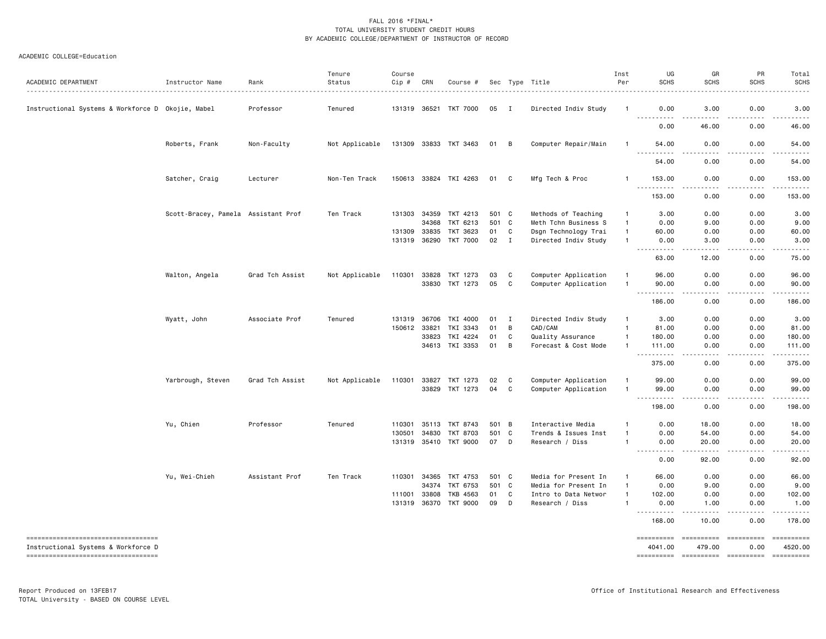| ACADEMIC DEPARTMENT                                                        | Instructor Name                     | Rank            | Tenure<br>Status | Course<br>Cip # | CRN          | Course #              |       |              | Sec Type Title       | Inst<br>Per    | UG<br><b>SCHS</b>                        | GR<br><b>SCHS</b>                                                                                                                 | PR<br><b>SCHS</b>                                                                                                                                                                                                                                                                                                                                                                                                                 | Total<br><b>SCHS</b>  |
|----------------------------------------------------------------------------|-------------------------------------|-----------------|------------------|-----------------|--------------|-----------------------|-------|--------------|----------------------|----------------|------------------------------------------|-----------------------------------------------------------------------------------------------------------------------------------|-----------------------------------------------------------------------------------------------------------------------------------------------------------------------------------------------------------------------------------------------------------------------------------------------------------------------------------------------------------------------------------------------------------------------------------|-----------------------|
| Instructional Systems & Workforce D Okojie, Mabel                          |                                     | Professor       | Tenured          |                 |              | 131319 36521 TKT 7000 | 05    | $\mathbf{I}$ | Directed Indiv Study | $\mathbf{1}$   | 0.00<br><u>.</u>                         | 3.00<br>-----                                                                                                                     | 0.00<br>.                                                                                                                                                                                                                                                                                                                                                                                                                         | 3.00<br>.             |
|                                                                            |                                     |                 |                  |                 |              |                       |       |              |                      |                | 0.00                                     | 46.00                                                                                                                             | 0.00                                                                                                                                                                                                                                                                                                                                                                                                                              | 46.00                 |
|                                                                            | Roberts, Frank                      | Non-Faculty     | Not Applicable   |                 |              | 131309 33833 TKT 3463 | 01 B  |              | Computer Repair/Main | -1             | 54.00<br><u>.</u>                        | 0.00                                                                                                                              | 0.00                                                                                                                                                                                                                                                                                                                                                                                                                              | 54.00                 |
|                                                                            |                                     |                 |                  |                 |              |                       |       |              |                      |                | 54.00                                    | .<br>0.00                                                                                                                         | .<br>0.00                                                                                                                                                                                                                                                                                                                                                                                                                         | .<br>54.00            |
|                                                                            | Satcher, Craig                      | Lecturer        | Non-Ten Track    |                 |              | 150613 33824 TKI 4263 | 01    | C            | Mfg Tech & Proc      | -1             | 153.00<br>.<br>$-$                       | 0.00<br>$\frac{1}{2}$                                                                                                             | 0.00<br>.                                                                                                                                                                                                                                                                                                                                                                                                                         | 153.00<br><u>.</u>    |
|                                                                            |                                     |                 |                  |                 |              |                       |       |              |                      |                | 153.00                                   | 0.00                                                                                                                              | 0.00                                                                                                                                                                                                                                                                                                                                                                                                                              | 153.00                |
|                                                                            | Scott-Bracey, Pamela Assistant Prof |                 | Ten Track        |                 | 131303 34359 | TKT 4213              | 501 C |              | Methods of Teaching  | $\mathbf{1}$   | 3.00                                     | 0.00                                                                                                                              | 0.00                                                                                                                                                                                                                                                                                                                                                                                                                              | 3.00                  |
|                                                                            |                                     |                 |                  |                 | 34368        | TKT 6213              | 501 C |              | Meth Tchn Business S | $\overline{1}$ | 0.00                                     | 9.00                                                                                                                              | 0.00                                                                                                                                                                                                                                                                                                                                                                                                                              | 9.00                  |
|                                                                            |                                     |                 |                  | 131309 33835    |              | TKT 3623              | 01    | C            | Dsgn Technology Trai | $\overline{1}$ | 60.00                                    | 0.00                                                                                                                              | 0.00                                                                                                                                                                                                                                                                                                                                                                                                                              | 60.00                 |
|                                                                            |                                     |                 |                  |                 | 131319 36290 | <b>TKT 7000</b>       | 02    | $\mathbf{I}$ | Directed Indiv Study | $\overline{1}$ | 0.00<br>.<br>$ -$                        | 3.00                                                                                                                              | 0.00                                                                                                                                                                                                                                                                                                                                                                                                                              | 3.00                  |
|                                                                            |                                     |                 |                  |                 |              |                       |       |              |                      |                | 63.00                                    | 12.00                                                                                                                             | 0.00                                                                                                                                                                                                                                                                                                                                                                                                                              | 75.00                 |
|                                                                            | Walton, Angela                      | Grad Tch Assist | Not Applicable   | 110301 33828    |              | TKT 1273              | 03    | C            | Computer Application | -1             | 96.00                                    | 0.00                                                                                                                              | 0.00                                                                                                                                                                                                                                                                                                                                                                                                                              | 96.00                 |
|                                                                            |                                     |                 |                  |                 |              | 33830 TKT 1273        | 05    | C            | Computer Application | $\overline{1}$ | 90.00<br>$\sim$ $\sim$ $\sim$<br>.       | 0.00<br>.                                                                                                                         | 0.00<br>.                                                                                                                                                                                                                                                                                                                                                                                                                         | 90.00<br>.            |
|                                                                            |                                     |                 |                  |                 |              |                       |       |              |                      |                | 186.00                                   | 0.00                                                                                                                              | 0.00                                                                                                                                                                                                                                                                                                                                                                                                                              | 186.00                |
|                                                                            | Wyatt, John                         | Associate Prof  | Tenured          | 131319          | 36706        | TKI 4000              | 01    | $\mathbf{I}$ | Directed Indiv Study | $\mathbf{1}$   | 3.00                                     | 0.00                                                                                                                              | 0.00                                                                                                                                                                                                                                                                                                                                                                                                                              | 3.00                  |
|                                                                            |                                     |                 |                  | 150612 33821    |              | TKI 3343              | 01    | B            | CAD/CAM              | $\overline{1}$ | 81.00                                    | 0.00                                                                                                                              | 0.00                                                                                                                                                                                                                                                                                                                                                                                                                              | 81.00                 |
|                                                                            |                                     |                 |                  |                 | 33823        | TKI 4224              | 01    | C            | Quality Assurance    | $\mathbf{1}$   | 180.00                                   | 0.00                                                                                                                              | 0.00                                                                                                                                                                                                                                                                                                                                                                                                                              | 180.00                |
|                                                                            |                                     |                 |                  |                 | 34613        | TKI 3353              | 01    | B            | Forecast & Cost Mode | $\overline{1}$ | 111.00<br>$\sim$ $\sim$ $\sim$           | 0.00<br>$\frac{1}{2} \left( \frac{1}{2} \right) \left( \frac{1}{2} \right) \left( \frac{1}{2} \right) \left( \frac{1}{2} \right)$ | 0.00<br>.                                                                                                                                                                                                                                                                                                                                                                                                                         | 111.00<br>.           |
|                                                                            |                                     |                 |                  |                 |              |                       |       |              |                      |                | 375.00                                   | 0.00                                                                                                                              | 0.00                                                                                                                                                                                                                                                                                                                                                                                                                              | 375.00                |
|                                                                            | Yarbrough, Steven                   | Grad Tch Assist | Not Applicable   | 110301          | 33827        | TKT 1273              | 02    | C            | Computer Application | $\overline{1}$ | 99.00                                    | 0.00                                                                                                                              | 0.00                                                                                                                                                                                                                                                                                                                                                                                                                              | 99.00                 |
|                                                                            |                                     |                 |                  |                 |              | 33829 TKT 1273        | 04    | $\mathbf{C}$ | Computer Application | $\overline{1}$ | 99.00<br>.                               | 0.00                                                                                                                              | 0.00<br>.                                                                                                                                                                                                                                                                                                                                                                                                                         | 99.00<br>.            |
|                                                                            |                                     |                 |                  |                 |              |                       |       |              |                      |                | $\sim$ $\sim$ $\sim$<br>198.00           | $- - - -$<br>0.00                                                                                                                 | 0.00                                                                                                                                                                                                                                                                                                                                                                                                                              | 198.00                |
|                                                                            | Yu, Chien                           | Professor       | Tenured          |                 |              | 110301 35113 TKT 8743 | 501 B |              | Interactive Media    | -1             | 0.00                                     | 18.00                                                                                                                             | 0.00                                                                                                                                                                                                                                                                                                                                                                                                                              | 18.00                 |
|                                                                            |                                     |                 |                  | 130501          | 34830        | <b>TKT 8703</b>       | 501   | C            | Trends & Issues Inst | $\overline{1}$ | 0.00                                     | 54.00                                                                                                                             | 0.00                                                                                                                                                                                                                                                                                                                                                                                                                              | 54.00                 |
|                                                                            |                                     |                 |                  |                 | 131319 35410 | TKT 9000              | 07    | D            | Research / Diss      | -1             | 0.00<br>$\sim$ $\sim$ $\sim$<br><u>.</u> | 20.00<br>$- - - - -$                                                                                                              | 0.00<br>.                                                                                                                                                                                                                                                                                                                                                                                                                         | 20.00<br>.            |
|                                                                            |                                     |                 |                  |                 |              |                       |       |              |                      |                | 0.00                                     | 92.00                                                                                                                             | 0.00                                                                                                                                                                                                                                                                                                                                                                                                                              | 92.00                 |
|                                                                            | Yu, Wei-Chieh                       | Assistant Prof  | Ten Track        |                 | 110301 34365 | TKT 4753              | 501 C |              | Media for Present In | $\overline{1}$ | 66.00                                    | 0.00                                                                                                                              | 0.00                                                                                                                                                                                                                                                                                                                                                                                                                              | 66.00                 |
|                                                                            |                                     |                 |                  |                 | 34374        | TKT 6753              | 501   | $\mathbf c$  | Media for Present In | $\overline{1}$ | 0.00                                     | 9.00                                                                                                                              | 0.00                                                                                                                                                                                                                                                                                                                                                                                                                              | 9.00                  |
|                                                                            |                                     |                 |                  | 111001          | 33808        | TKB 4563              | 01    | C            | Intro to Data Networ | $\overline{1}$ | 102.00                                   | 0.00                                                                                                                              | 0.00                                                                                                                                                                                                                                                                                                                                                                                                                              | 102.00                |
|                                                                            |                                     |                 |                  |                 | 131319 36370 | TKT 9000              | 09    | D            | Research / Diss      | $\overline{1}$ | 0.00                                     | 1.00                                                                                                                              | 0.00                                                                                                                                                                                                                                                                                                                                                                                                                              | 1.00                  |
|                                                                            |                                     |                 |                  |                 |              |                       |       |              |                      |                | 168.00                                   | 10.00                                                                                                                             | 0.00                                                                                                                                                                                                                                                                                                                                                                                                                              | 178.00                |
| -----------------------------------<br>Instructional Systems & Workforce D |                                     |                 |                  |                 |              |                       |       |              |                      |                | ==========<br>4041.00                    | 479.00                                                                                                                            | 0.00                                                                                                                                                                                                                                                                                                                                                                                                                              | ==========<br>4520.00 |
| -----------------------------------                                        |                                     |                 |                  |                 |              |                       |       |              |                      |                | ==========                               |                                                                                                                                   | $\begin{minipage}{0.03\linewidth} \hspace*{-0.2cm} \textbf{1} & \textbf{2} & \textbf{3} & \textbf{5} & \textbf{6} & \textbf{7} & \textbf{8} \\ \textbf{1} & \textbf{2} & \textbf{3} & \textbf{5} & \textbf{6} & \textbf{7} & \textbf{8} & \textbf{9} \\ \textbf{2} & \textbf{3} & \textbf{5} & \textbf{6} & \textbf{7} & \textbf{8} & \textbf{9} & \textbf{10} & \textbf{10} & \textbf{10} \\ \textbf{3} & \textbf{6} & \textbf{$ | ==========            |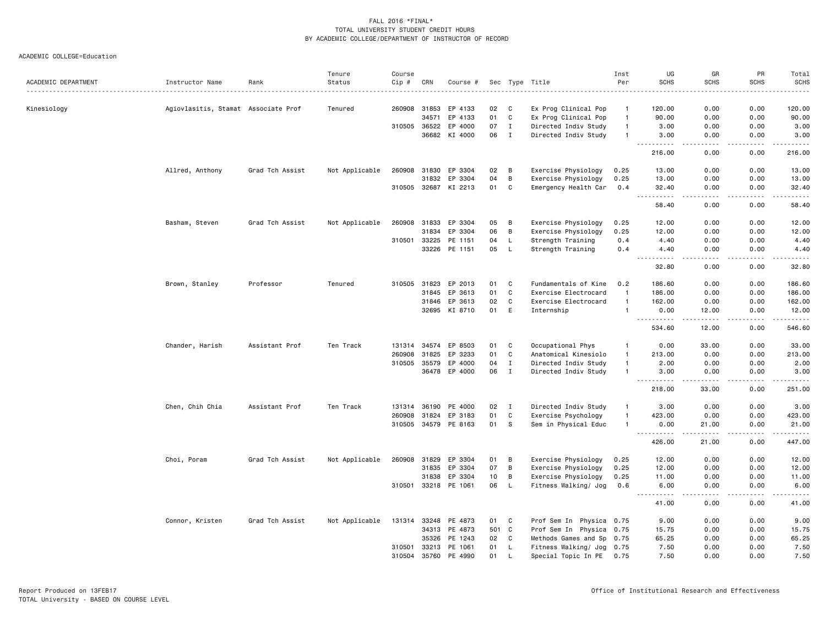| ACADEMIC DEPARTMENT | Instructor Name                     | Rank            | Tenure<br>Status | Course<br>Cip # | CRN            | Course #             |          |              | Sec Type Title                                         | Inst<br>Per    | UG<br><b>SCHS</b>                                                                                             | GR<br><b>SCHS</b>                                                                                                                 | PR<br><b>SCHS</b> | Total<br><b>SCHS</b> |
|---------------------|-------------------------------------|-----------------|------------------|-----------------|----------------|----------------------|----------|--------------|--------------------------------------------------------|----------------|---------------------------------------------------------------------------------------------------------------|-----------------------------------------------------------------------------------------------------------------------------------|-------------------|----------------------|
|                     |                                     |                 |                  |                 |                |                      |          |              | <u>.</u>                                               |                |                                                                                                               |                                                                                                                                   |                   | .                    |
| Kinesiology         | Agiovlasitis, Stamat Associate Prof |                 | Tenured          | 260908 31853    |                | EP 4133              | 02       | C            | Ex Prog Clinical Pop                                   | $\mathbf{1}$   | 120.00                                                                                                        | 0.00                                                                                                                              | 0.00              | 120.00               |
|                     |                                     |                 |                  |                 | 34571          | EP 4133              | 01       | C            | Ex Prog Clinical Pop                                   | $\overline{1}$ | 90.00                                                                                                         | 0.00                                                                                                                              | 0.00              | 90.00                |
|                     |                                     |                 |                  | 310505          | 36522          | EP 4000              | 07       | Ι.           | Directed Indiv Study                                   | $\overline{1}$ | 3.00                                                                                                          | 0.00                                                                                                                              | 0.00              | 3.00                 |
|                     |                                     |                 |                  |                 |                | 36682 KI 4000        | 06       | $\mathbf{I}$ | Directed Indiv Study                                   | $\overline{1}$ | 3.00                                                                                                          | 0.00                                                                                                                              | 0.00              | 3.00                 |
|                     |                                     |                 |                  |                 |                |                      |          |              |                                                        |                | .<br>216.00                                                                                                   | $- - - -$<br>0.00                                                                                                                 | $- - - -$<br>0.00 | .<br>216.00          |
|                     | Allred, Anthony                     | Grad Tch Assist | Not Applicable   | 260908 31830    |                | EP 3304              | 02       | B            | Exercise Physiology                                    | 0.25           | 13.00                                                                                                         | 0.00                                                                                                                              | 0.00              | 13.00                |
|                     |                                     |                 |                  |                 | 31832          | EP 3304              | 04       | B            | Exercise Physiology                                    | 0.25           | 13.00                                                                                                         | 0.00                                                                                                                              | 0.00              | 13.00                |
|                     |                                     |                 |                  |                 |                | 310505 32687 KI 2213 | 01       | C            | Emergency Health Car                                   | 0.4            | 32.40                                                                                                         | 0.00                                                                                                                              | 0.00              | 32.40                |
|                     |                                     |                 |                  |                 |                |                      |          |              |                                                        |                | $\sim$ $\sim$ $\sim$<br>.<br>58.40                                                                            | $\frac{1}{2}$<br>0.00                                                                                                             | .<br>0.00         | .<br>58.40           |
|                     | Basham, Steven                      | Grad Tch Assist | Not Applicable   | 260908          | 31833          | EP 3304              | 05       | B            | Exercise Physiology                                    | 0.25           | 12.00                                                                                                         | 0.00                                                                                                                              | 0.00              | 12.00                |
|                     |                                     |                 |                  |                 | 31834          | EP 3304              | 06       | B            | Exercise Physiology                                    | 0.25           | 12.00                                                                                                         | 0.00                                                                                                                              | 0.00              | 12.00                |
|                     |                                     |                 |                  | 310501          | 33225          | PE 1151              | 04       | L            | Strength Training                                      | 0.4            | 4.40                                                                                                          | 0.00                                                                                                                              | 0.00              | 4.40                 |
|                     |                                     |                 |                  |                 |                | 33226 PE 1151        | 05       | L            | Strength Training                                      | 0.4            | 4.40                                                                                                          | 0.00                                                                                                                              | 0.00              | 4.40                 |
|                     |                                     |                 |                  |                 |                |                      |          |              |                                                        |                | . <u>.</u> .<br>32.80                                                                                         | $\frac{1}{2}$<br>0.00                                                                                                             | .<br>0.00         | $    -$<br>32.80     |
|                     |                                     |                 |                  |                 |                |                      |          |              |                                                        |                |                                                                                                               |                                                                                                                                   |                   |                      |
|                     | Brown, Stanley                      | Professor       | Tenured          | 310505          | 31823          | EP 2013              | 01       | C            | Fundamentals of Kine                                   | 0.2            | 186.60                                                                                                        | 0.00                                                                                                                              | 0.00              | 186.60               |
|                     |                                     |                 |                  |                 | 31845          | EP 3613              | 01       | $\mathtt{C}$ | Exercise Electrocard                                   | $\overline{1}$ | 186.00                                                                                                        | 0.00                                                                                                                              | 0.00              | 186.00               |
|                     |                                     |                 |                  |                 | 31846          | EP 3613              | 02       | $\mathtt{C}$ | Exercise Electrocard                                   | $\overline{1}$ | 162.00                                                                                                        | 0.00                                                                                                                              | 0.00              | 162.00               |
|                     |                                     |                 |                  |                 | 32695          | KI 8710              | 01       | E            | Internship                                             | $\overline{1}$ | 0.00<br>.                                                                                                     | 12.00                                                                                                                             | 0.00<br>لأعامل    | 12.00<br>.           |
|                     |                                     |                 |                  |                 |                |                      |          |              |                                                        |                | 534.60                                                                                                        | 12.00                                                                                                                             | 0.00              | 546.60               |
|                     | Chander, Harish                     | Assistant Prof  | Ten Track        | 131314          | 34574          | EP 8503              | 01       | C            | Occupational Phys                                      | $\overline{1}$ | 0.00                                                                                                          | 33.00                                                                                                                             | 0.00              | 33.00                |
|                     |                                     |                 |                  | 260908          | 31825          | EP 3233              | 01       | $\mathtt{C}$ | Anatomical Kinesiolo                                   | $\overline{1}$ | 213.00                                                                                                        | 0.00                                                                                                                              | 0.00              | 213.00               |
|                     |                                     |                 |                  | 310505          | 35579          | EP 4000              | 04       | $\;$ I       | Directed Indiv Study                                   | $\overline{1}$ | 2.00                                                                                                          | 0.00                                                                                                                              | 0.00              | 2.00                 |
|                     |                                     |                 |                  |                 | 36478          | EP 4000              | 06       | $\mathbf I$  | Directed Indiv Study                                   | $\overline{1}$ | 3.00                                                                                                          | 0.00                                                                                                                              | 0.00              | 3.00                 |
|                     |                                     |                 |                  |                 |                |                      |          |              |                                                        |                | <u> - - - - - - - - - -</u><br>218.00                                                                         | .<br>33.00                                                                                                                        | .<br>0.00         | .<br>251.00          |
|                     | Chen, Chih Chia                     | Assistant Prof  | Ten Track        | 131314          | 36190          | PE 4000              | 02       | $\mathbf{I}$ | Directed Indiv Study                                   | $\overline{1}$ | 3.00                                                                                                          | 0.00                                                                                                                              | 0.00              | 3.00                 |
|                     |                                     |                 |                  | 260908          | 31824          | EP 3183              | 01       | $\mathtt{C}$ | Exercise Psychology                                    | $\overline{1}$ | 423.00                                                                                                        | 0.00                                                                                                                              | 0.00              | 423.00               |
|                     |                                     |                 |                  | 310505 34579    |                | PE 8163              | 01       | s            | Sem in Physical Educ                                   | $\overline{1}$ | 0.00                                                                                                          | 21.00                                                                                                                             | 0.00              | 21.00                |
|                     |                                     |                 |                  |                 |                |                      |          |              |                                                        |                | $\frac{1}{2} \left( \frac{1}{2} \right) \left( \frac{1}{2} \right) \left( \frac{1}{2} \right)$<br>.<br>426.00 | $\sim$ $\sim$ $\sim$<br>21.00                                                                                                     | 0.00              | .<br>447.00          |
|                     | Choi, Poram                         | Grad Tch Assist | Not Applicable   | 260908          | 31829          | EP 3304              | 01       | В            | Exercise Physiology                                    | 0.25           | 12.00                                                                                                         | 0.00                                                                                                                              | 0.00              | 12.00                |
|                     |                                     |                 |                  |                 | 31835          | EP 3304              | 07       | B            | Exercise Physiology                                    | 0.25           | 12.00                                                                                                         | 0.00                                                                                                                              | 0.00              | 12.00                |
|                     |                                     |                 |                  |                 | 31838          | EP 3304              | 10       | B            | Exercise Physiology                                    | 0.25           | 11.00                                                                                                         | 0.00                                                                                                                              | 0.00              | 11.00                |
|                     |                                     |                 |                  | 310501          |                | 33218 PE 1061        | 06       | L            | Fitness Walking/ Jog                                   | 0.6            | 6.00                                                                                                          | 0.00                                                                                                                              | 0.00              | 6.00                 |
|                     |                                     |                 |                  |                 |                |                      |          |              |                                                        |                | -----<br>41.00                                                                                                | $\frac{1}{2} \left( \frac{1}{2} \right) \left( \frac{1}{2} \right) \left( \frac{1}{2} \right) \left( \frac{1}{2} \right)$<br>0.00 | .<br>0.00         | .<br>41.00           |
|                     |                                     |                 |                  |                 |                |                      |          |              |                                                        |                |                                                                                                               |                                                                                                                                   |                   |                      |
|                     | Connor, Kristen                     | Grad Tch Assist | Not Applicable   | 131314          | 33248          | PE 4873              | 01       | C            | Prof Sem In Physica 0.75                               |                | 9.00                                                                                                          | 0.00                                                                                                                              | 0.00              | 9.00                 |
|                     |                                     |                 |                  |                 | 34313          | PE 4873              | 501      | C<br>C       | Prof Sem In Physica 0.75                               |                | 15.75                                                                                                         | 0.00                                                                                                                              | 0.00              | 15.75                |
|                     |                                     |                 |                  | 310501          | 35326<br>33213 | PE 1243<br>PE 1061   | 02<br>01 | L            | Methods Games and Sp 0.75<br>Fitness Walking/ Jog 0.75 |                | 65.25<br>7.50                                                                                                 | 0.00<br>0.00                                                                                                                      | 0.00<br>0.00      | 65.25<br>7.50        |
|                     |                                     |                 |                  | 310504          | 35760          | PE 4990              | 01       | L            | Special Topic In PE 0.75                               |                | 7.50                                                                                                          | 0.00                                                                                                                              | 0.00              | 7.50                 |
|                     |                                     |                 |                  |                 |                |                      |          |              |                                                        |                |                                                                                                               |                                                                                                                                   |                   |                      |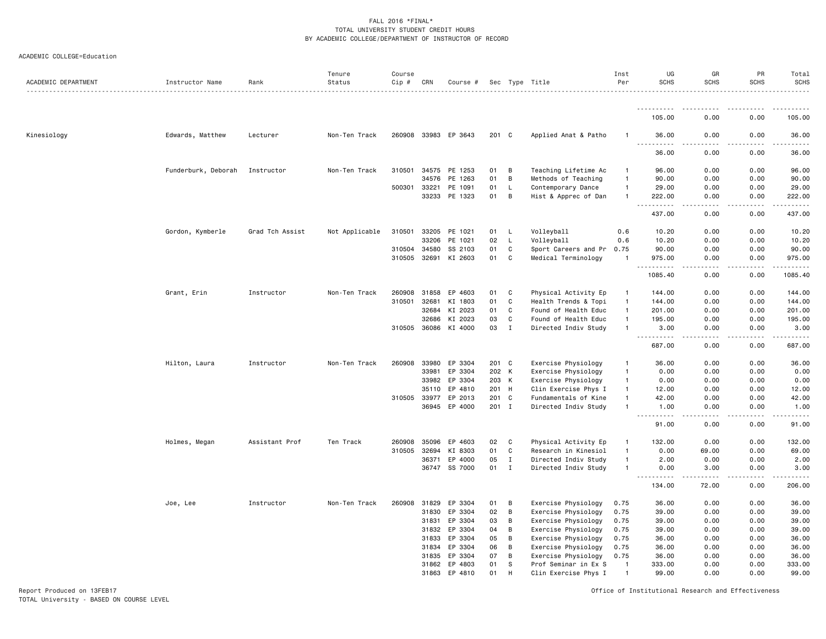#### ACADEMIC COLLEGE=Education

| ACADEMIC DEPARTMENT | Instructor Name     | Rank            | Tenure<br>Status | Course<br>Cip # | CRN          | Course #             |       |              | Sec Type Title            | Inst<br>Per    | UG<br><b>SCHS</b>   | GR<br><b>SCHS</b> | PR<br><b>SCHS</b> | Total<br><b>SCHS</b><br>$- - - - - -$ |
|---------------------|---------------------|-----------------|------------------|-----------------|--------------|----------------------|-------|--------------|---------------------------|----------------|---------------------|-------------------|-------------------|---------------------------------------|
|                     |                     |                 |                  |                 |              |                      |       |              |                           |                | .                   |                   |                   |                                       |
|                     |                     |                 |                  |                 |              |                      |       |              |                           |                | 105.00              | 0.00              | 0.00              | 105.00                                |
| Kinesiology         | Edwards, Matthew    | Lecturer        | Non-Ten Track    |                 |              | 260908 33983 EP 3643 | 201 C |              | Applied Anat & Patho      | -1             | 36.00               | 0.00              | 0.00              | 36.00                                 |
|                     |                     |                 |                  |                 |              |                      |       |              |                           |                | 36.00               | 0.00              | 0.00              | 36.00                                 |
|                     | Funderburk, Deborah | Instructor      | Non-Ten Track    | 310501          | 34575        | PE 1253              | 01    | B            | Teaching Lifetime Ac      | -1             | 96.00               | 0.00              | 0.00              | 96.00                                 |
|                     |                     |                 |                  |                 | 34576        | PE 1263              | 01    | B            | Methods of Teaching       | $\overline{1}$ | 90.00               | 0.00              | 0.00              | 90.00                                 |
|                     |                     |                 |                  | 500301          | 33221        | PE 1091              | 01    | L            | Contemporary Dance        | $\overline{1}$ | 29.00               | 0.00              | 0.00              | 29.00                                 |
|                     |                     |                 |                  |                 |              | 33233 PE 1323        | 01    | B            | Hist & Apprec of Dan      | $\overline{1}$ | 222.00<br>.<br>$ -$ | 0.00              | 0.00              | 222.00<br>.                           |
|                     |                     |                 |                  |                 |              |                      |       |              |                           |                | 437.00              | 0.00              | 0.00              | 437.00                                |
|                     | Gordon, Kymberle    | Grad Tch Assist | Not Applicable   | 310501          | 33205        | PE 1021              | 01    | L,           | Volleyball                | 0.6            | 10.20               | 0.00              | 0.00              | 10.20                                 |
|                     |                     |                 |                  |                 | 33206        | PE 1021              | 02    | L.           | Volleyball                | 0.6            | 10.20               | 0.00              | 0.00              | 10.20                                 |
|                     |                     |                 |                  |                 | 310504 34580 | SS 2103              | 01    | C            | Sport Careers and Pr 0.75 |                | 90.00               | 0.00              | 0.00              | 90.00                                 |
|                     |                     |                 |                  | 310505 32691    |              | KI 2603              | 01    | C            | Medical Terminology       | $\overline{1}$ | 975.00              | 0.00              | 0.00              | 975.00<br>.                           |
|                     |                     |                 |                  |                 |              |                      |       |              |                           |                | 1085.40             | 0.00              | 0.00              | 1085.40                               |
|                     | Grant, Erin         | Instructor      | Non-Ten Track    | 260908          |              | 31858 EP 4603        | 01    | C            | Physical Activity Ep      | $\mathbf{1}$   | 144.00              | 0.00              | 0.00              | 144.00                                |
|                     |                     |                 |                  | 310501          | 32681        | KI 1803              | 01    | C            | Health Trends & Topi      | $\overline{1}$ | 144.00              | 0.00              | 0.00              | 144.00                                |
|                     |                     |                 |                  |                 | 32684        | KI 2023              | 01    | C            | Found of Health Educ      | $\overline{1}$ | 201.00              | 0.00              | 0.00              | 201.00                                |
|                     |                     |                 |                  |                 | 32686        | KI 2023              | 03    | C            | Found of Health Educ      | $\overline{1}$ | 195.00              | 0.00              | 0.00              | 195.00                                |
|                     |                     |                 |                  |                 |              | 310505 36086 KI 4000 | 03    | $\mathbf{I}$ | Directed Indiv Study      | $\overline{1}$ | 3.00<br><u>.</u>    | 0.00<br>.         | 0.00<br>.         | 3.00<br>.                             |
|                     |                     |                 |                  |                 |              |                      |       |              |                           |                | 687.00              | 0.00              | 0.00              | 687.00                                |
|                     | Hilton, Laura       | Instructor      | Non-Ten Track    | 260908          | 33980        | EP 3304              | 201 C |              | Exercise Physiology       | -1             | 36.00               | 0.00              | 0.00              | 36.00                                 |
|                     |                     |                 |                  |                 | 33981        | EP 3304              | 202 K |              | Exercise Physiology       | $\overline{1}$ | 0.00                | 0.00              | 0.00              | 0.00                                  |
|                     |                     |                 |                  |                 |              | 33982 EP 3304        | 203 K |              | Exercise Physiology       | $\mathbf{1}$   | 0.00                | 0.00              | 0.00              | 0.00                                  |
|                     |                     |                 |                  |                 | 35110        | EP 4810              | 201 H |              | Clin Exercise Phys I      | $\mathbf{1}$   | 12.00               | 0.00              | 0.00              | 12.00                                 |
|                     |                     |                 |                  | 310505 33977    |              | EP 2013              | 201 C |              | Fundamentals of Kine      | $\overline{1}$ | 42.00               | 0.00              | 0.00              | 42.00                                 |
|                     |                     |                 |                  |                 | 36945        | EP 4000              | 201   | $\mathbf I$  | Directed Indiv Study      | -1             | 1.00                | 0.00              | 0.00              | 1.00                                  |
|                     |                     |                 |                  |                 |              |                      |       |              |                           |                | 91.00               | 0.00              | 0.00              | 91.00                                 |
|                     | Holmes, Megan       | Assistant Prof  | Ten Track        | 260908          | 35096        | EP 4603              | 02    | C            | Physical Activity Ep      | $\mathbf{1}$   | 132.00              | 0.00              | 0.00              | 132.00                                |
|                     |                     |                 |                  | 310505          | 32694        | KI 8303              | 01    | C            | Research in Kinesiol      | $\overline{1}$ | 0.00                | 69.00             | 0.00              | 69.00                                 |
|                     |                     |                 |                  |                 | 36371        | EP 4000              | 05    | $\mathbf{I}$ | Directed Indiv Study      | $\overline{1}$ | 2.00                | 0.00              | 0.00              | 2.00                                  |
|                     |                     |                 |                  |                 |              | 36747 SS 7000        | 01    | $\mathbf{I}$ | Directed Indiv Study      | $\mathbf{1}$   | 0.00                | 3.00              | 0.00<br>$- - - -$ | 3.00                                  |
|                     |                     |                 |                  |                 |              |                      |       |              |                           |                | 134.00              | 72.00             | 0.00              | 206.00                                |
|                     | Joe, Lee            | Instructor      | Non-Ten Track    | 260908          | 31829        | EP 3304              | 01    | B            | Exercise Physiology       | 0.75           | 36.00               | 0.00              | 0.00              | 36.00                                 |
|                     |                     |                 |                  |                 | 31830        | EP 3304              | 02    | B            | Exercise Physiology       | 0.75           | 39.00               | 0.00              | 0.00              | 39.00                                 |
|                     |                     |                 |                  |                 | 31831        | EP 3304              | 03    | В            | Exercise Physiology       | 0.75           | 39.00               | 0.00              | 0.00              | 39.00                                 |
|                     |                     |                 |                  |                 | 31832        | EP 3304              | 04    | B            | Exercise Physiology       | 0.75           | 39.00               | 0.00              | 0.00              | 39.00                                 |
|                     |                     |                 |                  |                 | 31833        | EP 3304              | 05    | B            | Exercise Physiology       | 0.75           | 36.00               | 0.00              | 0.00              | 36.00                                 |
|                     |                     |                 |                  |                 | 31834        | EP 3304              | 06    | В            | Exercise Physiology       | 0.75           | 36.00               | 0.00              | 0.00              | 36.00                                 |
|                     |                     |                 |                  |                 | 31835        | EP 3304              | 07    | B            | Exercise Physiology       | 0.75           | 36.00               | 0.00              | 0.00              | 36.00                                 |
|                     |                     |                 |                  |                 | 31862        | EP 4803              | 01    | S            | Prof Seminar in Ex S      | $\overline{1}$ | 333.00              | 0.00              | 0.00              | 333.00                                |
|                     |                     |                 |                  |                 | 31863        | EP 4810              | 01    | H            | Clin Exercise Phys I      | $\overline{1}$ | 99.00               | 0.00              | 0.00              | 99.00                                 |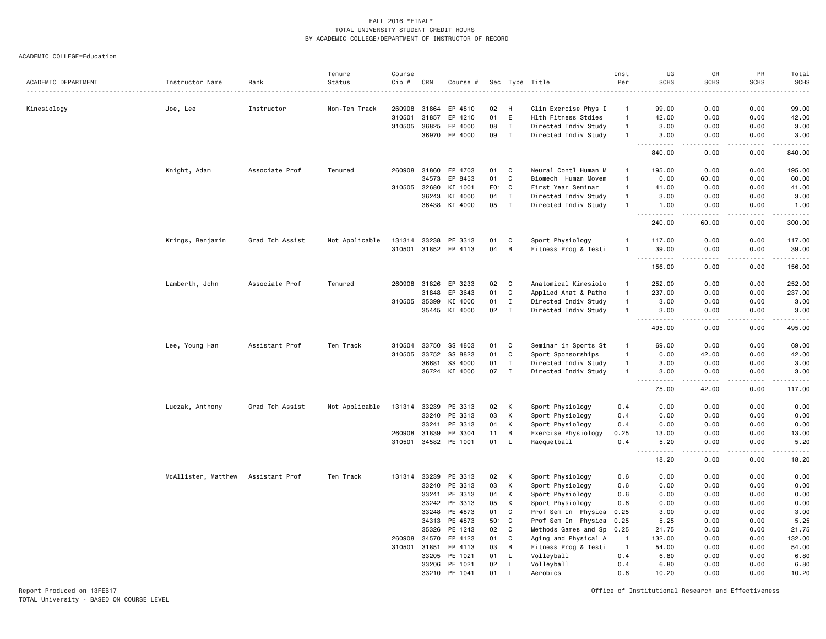ACADEMIC COLLEGE=Education

| ACADEMIC DEPARTMENT | Instructor Name     | Rank            | Tenure<br>Status | Course<br>Cip # | CRN   | Course #      |                  |              | Sec Type Title       | Inst<br>Per    | UG<br><b>SCHS</b>                                                                                                                                         | GR<br><b>SCHS</b>                                                                                                                 | PR<br><b>SCHS</b> | Total<br>SCHS<br>$    -$                   |
|---------------------|---------------------|-----------------|------------------|-----------------|-------|---------------|------------------|--------------|----------------------|----------------|-----------------------------------------------------------------------------------------------------------------------------------------------------------|-----------------------------------------------------------------------------------------------------------------------------------|-------------------|--------------------------------------------|
| Kinesiology         | Joe, Lee            | Instructor      | Non-Ten Track    | 260908          | 31864 | EP 4810       | 02               | H            | Clin Exercise Phys I | -1             | 99.00                                                                                                                                                     | 0.00                                                                                                                              | 0.00              | 99.00                                      |
|                     |                     |                 |                  | 310501          | 31857 | EP 4210       | 01               | E            | Hlth Fitness Stdies  | $\overline{1}$ | 42.00                                                                                                                                                     | 0.00                                                                                                                              | 0.00              | 42.00                                      |
|                     |                     |                 |                  | 310505          | 36825 | EP 4000       | 08               | $\;$ I       | Directed Indiv Study | $\overline{1}$ | 3.00                                                                                                                                                      | 0.00                                                                                                                              | 0.00              | 3.00                                       |
|                     |                     |                 |                  |                 | 36970 | EP 4000       | 09               | $\mathbf I$  | Directed Indiv Study | $\overline{1}$ | 3.00                                                                                                                                                      | 0.00                                                                                                                              | 0.00              | 3.00                                       |
|                     |                     |                 |                  |                 |       |               |                  |              |                      |                | 840.00                                                                                                                                                    | 0.00                                                                                                                              | 0.00              | والمناصبات<br>840.00                       |
|                     | Knight, Adam        | Associate Prof  | Tenured          | 260908          | 31860 | EP 4703       | 01               | C            | Neural Contl Human M | -1             | 195.00                                                                                                                                                    | 0.00                                                                                                                              | 0.00              | 195.00                                     |
|                     |                     |                 |                  |                 | 34573 | EP 8453       | 01               | C            | Biomech Human Movem  | $\overline{1}$ | 0.00                                                                                                                                                      | 60.00                                                                                                                             | 0.00              | 60.00                                      |
|                     |                     |                 |                  | 310505          | 32680 | KI 1001       | F <sub>0</sub> 1 | C            | First Year Seminar   | $\overline{1}$ | 41.00                                                                                                                                                     | 0.00                                                                                                                              | 0.00              | 41.00                                      |
|                     |                     |                 |                  |                 | 36243 | KI 4000       | 04               | $\mathbf{I}$ | Directed Indiv Study | $\overline{1}$ | 3.00                                                                                                                                                      | 0.00                                                                                                                              | 0.00              | 3.00                                       |
|                     |                     |                 |                  |                 | 36438 | KI 4000       | 05               | $\mathbf I$  | Directed Indiv Study | $\overline{1}$ | 1.00<br>$\sim$ $\sim$ $\sim$<br>.                                                                                                                         | 0.00<br>.                                                                                                                         | 0.00<br>.         | 1.00<br>------                             |
|                     |                     |                 |                  |                 |       |               |                  |              |                      |                | 240.00                                                                                                                                                    | 60.00                                                                                                                             | 0.00              | 300.00                                     |
|                     | Krings, Benjamin    | Grad Tch Assist | Not Applicable   | 131314          | 33238 | PE 3313       | 01               | C            | Sport Physiology     | $\mathbf{1}$   | 117.00                                                                                                                                                    | 0.00                                                                                                                              | 0.00              | 117.00                                     |
|                     |                     |                 |                  | 310501 31852    |       | EP 4113       | 04               | B            | Fitness Prog & Testi | $\overline{1}$ | 39.00                                                                                                                                                     | 0.00<br>$\sim$ $\sim$ $\sim$ $\sim$                                                                                               | 0.00<br>.         | 39.00<br>.                                 |
|                     |                     |                 |                  |                 |       |               |                  |              |                      |                | 156.00                                                                                                                                                    | 0.00                                                                                                                              | 0.00              | 156.00                                     |
|                     | Lamberth, John      | Associate Prof  | Tenured          | 260908          | 31826 | EP 3233       | 02               | C            | Anatomical Kinesiolo | $\overline{1}$ | 252.00                                                                                                                                                    | 0.00                                                                                                                              | 0.00              | 252.00                                     |
|                     |                     |                 |                  |                 | 31848 | EP 3643       | 01               | C            | Applied Anat & Patho | $\overline{1}$ | 237.00                                                                                                                                                    | 0.00                                                                                                                              | 0.00              | 237.00                                     |
|                     |                     |                 |                  | 310505          | 35399 | KI 4000       | 01               | $\mathbf I$  | Directed Indiv Study | $\overline{1}$ | 3.00                                                                                                                                                      | 0.00                                                                                                                              | 0.00              | 3.00                                       |
|                     |                     |                 |                  |                 | 35445 | KI 4000       | 02               | $\mathbf I$  | Directed Indiv Study | $\overline{1}$ | 3.00<br>. <b>.</b>                                                                                                                                        | 0.00<br>$\frac{1}{2} \left( \frac{1}{2} \right) \left( \frac{1}{2} \right) \left( \frac{1}{2} \right) \left( \frac{1}{2} \right)$ | 0.00<br>.         | 3.00<br>.                                  |
|                     |                     |                 |                  |                 |       |               |                  |              |                      |                | 495.00                                                                                                                                                    | 0.00                                                                                                                              | 0.00              | 495.00                                     |
|                     | Lee, Young Han      | Assistant Prof  | Ten Track        | 310504          | 33750 | SS 4803       | 01               | C            | Seminar in Sports St | $\overline{1}$ | 69.00                                                                                                                                                     | 0.00                                                                                                                              | 0.00              | 69.00                                      |
|                     |                     |                 |                  | 310505          | 33752 | SS 8823       | 01               | C            | Sport Sponsorships   | $\overline{1}$ | 0.00                                                                                                                                                      | 42.00                                                                                                                             | 0.00              | 42.00                                      |
|                     |                     |                 |                  |                 | 36681 | SS 4000       | 01               | $\mathbf I$  | Directed Indiv Study | $\mathbf{1}$   | 3.00                                                                                                                                                      | 0.00                                                                                                                              | 0.00              | 3.00                                       |
|                     |                     |                 |                  |                 |       | 36724 KI 4000 | 07               | $\mathbf I$  | Directed Indiv Study | $\overline{1}$ | 3.00<br>$\sim$ $\sim$ $\sim$<br><u>.</u>                                                                                                                  | 0.00<br><u>.</u>                                                                                                                  | 0.00<br>.         | 3.00<br>.                                  |
|                     |                     |                 |                  |                 |       |               |                  |              |                      |                | 75.00                                                                                                                                                     | 42.00                                                                                                                             | 0.00              | 117.00                                     |
|                     | Luczak, Anthony     | Grad Tch Assist | Not Applicable   | 131314          | 33239 | PE 3313       | 02               | K            | Sport Physiology     | 0.4            | 0.00                                                                                                                                                      | 0.00                                                                                                                              | 0.00              | 0.00                                       |
|                     |                     |                 |                  |                 | 33240 | PE 3313       | 03               | К            | Sport Physiology     | 0.4            | 0.00                                                                                                                                                      | 0.00                                                                                                                              | 0.00              | 0.00                                       |
|                     |                     |                 |                  |                 | 33241 | PE 3313       | 04               | K            | Sport Physiology     | 0.4            | 0.00                                                                                                                                                      | 0.00                                                                                                                              | 0.00              | 0.00                                       |
|                     |                     |                 |                  | 260908          | 31839 | EP 3304       | 11               | B            | Exercise Physiology  | 0.25           | 13.00                                                                                                                                                     | 0.00                                                                                                                              | 0.00              | 13.00                                      |
|                     |                     |                 |                  | 310501          | 34582 | PE 1001       | 01               | L.           | Racquetball          | 0.4            | 5.20<br>$\sim$ $\sim$ $\sim$<br>$\frac{1}{2} \left( \frac{1}{2} \right) \left( \frac{1}{2} \right) \left( \frac{1}{2} \right) \left( \frac{1}{2} \right)$ | 0.00<br>$\sim$ $\sim$ $\sim$                                                                                                      | 0.00<br>.         | 5.20<br>$\sim$ $\sim$ $\sim$ $\sim$ $\sim$ |
|                     |                     |                 |                  |                 |       |               |                  |              |                      |                | 18.20                                                                                                                                                     | 0.00                                                                                                                              | 0.00              | 18.20                                      |
|                     | McAllister, Matthew | Assistant Prof  | Ten Track        | 131314          | 33239 | PE 3313       | 02               | К            | Sport Physiology     | 0.6            | 0.00                                                                                                                                                      | 0.00                                                                                                                              | 0.00              | 0.00                                       |
|                     |                     |                 |                  |                 | 33240 | PE 3313       | 03               | К            | Sport Physiology     | 0.6            | 0.00                                                                                                                                                      | 0.00                                                                                                                              | 0.00              | 0.00                                       |
|                     |                     |                 |                  |                 | 33241 | PE 3313       | 04               | К            | Sport Physiology     | 0.6            | 0.00                                                                                                                                                      | 0.00                                                                                                                              | 0.00              | 0.00                                       |
|                     |                     |                 |                  |                 | 33242 | PE 3313       | 05               | к            | Sport Physiology     | 0.6            | 0.00                                                                                                                                                      | 0.00                                                                                                                              | 0.00              | 0.00                                       |
|                     |                     |                 |                  |                 | 33248 | PE 4873       | 01               | C            | Prof Sem In Physica  | 0.25           | 3.00                                                                                                                                                      | 0.00                                                                                                                              | 0.00              | 3.00                                       |
|                     |                     |                 |                  |                 | 34313 | PE 4873       | 501              | C            | Prof Sem In Physica  | 0.25           | 5.25                                                                                                                                                      | 0.00                                                                                                                              | 0.00              | 5.25                                       |
|                     |                     |                 |                  |                 | 35326 | PE 1243       | 02               | C            | Methods Games and Sp | 0.25           | 21.75                                                                                                                                                     | 0.00                                                                                                                              | 0.00              | 21.75                                      |
|                     |                     |                 |                  | 260908          | 34570 | EP 4123       | 01               | C            | Aging and Physical A | -1             | 132.00                                                                                                                                                    | 0.00                                                                                                                              | 0.00              | 132.00                                     |
|                     |                     |                 |                  | 310501          | 31851 | EP 4113       | 03               | B            | Fitness Prog & Testi | $\overline{1}$ | 54.00                                                                                                                                                     | 0.00                                                                                                                              | 0.00              | 54.00                                      |
|                     |                     |                 |                  |                 | 33205 | PE 1021       | 01               | L            | Volleyball           | 0.4            | 6.80                                                                                                                                                      | 0.00                                                                                                                              | 0.00              | 6.80                                       |
|                     |                     |                 |                  |                 | 33206 | PE 1021       | 02               | L            | Volleyball           | 0.4            | 6.80                                                                                                                                                      | 0.00                                                                                                                              | 0.00              | 6.80                                       |
|                     |                     |                 |                  |                 | 33210 | PE 1041       | 01               | L            | Aerobics             | 0.6            | 10.20                                                                                                                                                     | 0.00                                                                                                                              | 0.00              | 10.20                                      |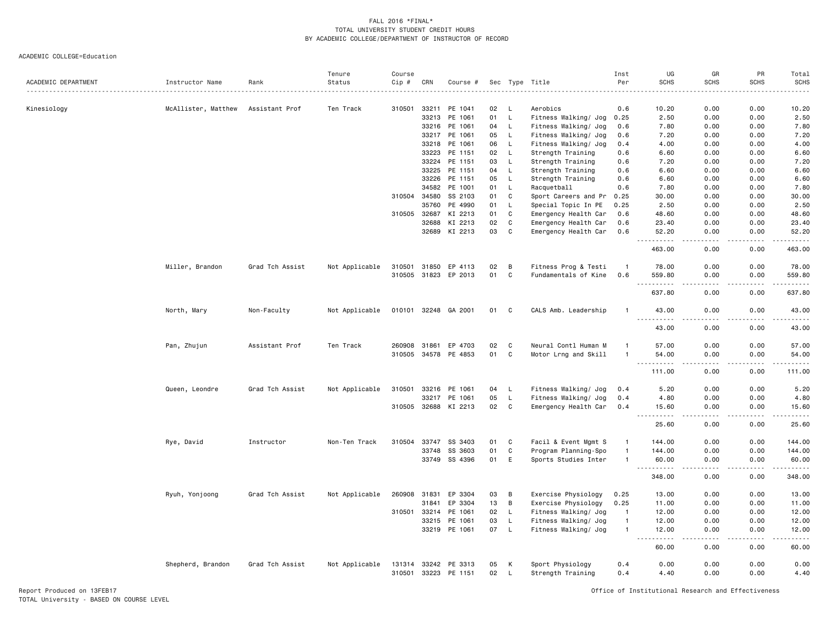|                     |                     |                 | Tenure         | Course |              |               |     |              |                      | Inst           | UG                           | GR                                                                                                                        | PR               | Total         |
|---------------------|---------------------|-----------------|----------------|--------|--------------|---------------|-----|--------------|----------------------|----------------|------------------------------|---------------------------------------------------------------------------------------------------------------------------|------------------|---------------|
| ACADEMIC DEPARTMENT | Instructor Name     | Rank            | Status         | Cip #  | CRN          | Course #      | Sec | Type         | Title<br>.           | Per            | <b>SCHS</b>                  | <b>SCHS</b>                                                                                                               | <b>SCHS</b>      | <b>SCHS</b>   |
|                     |                     |                 |                |        |              |               |     |              |                      |                |                              |                                                                                                                           |                  |               |
| Kinesiology         | McAllister, Matthew | Assistant Prof  | Ten Track      | 310501 | 33211        | PE 1041       | 02  | L.           | Aerobics             | 0.6            | 10.20                        | 0.00                                                                                                                      | 0.00             | 10.20         |
|                     |                     |                 |                |        | 33213        | PE 1061       | 01  | L            | Fitness Walking/ Jog | 0.25           | 2.50                         | 0.00                                                                                                                      | 0.00             | 2.50          |
|                     |                     |                 |                |        | 33216        | PE 1061       | 04  | L            | Fitness Walking/ Jog | 0.6            | 7.80                         | 0.00                                                                                                                      | 0.00             | 7.80          |
|                     |                     |                 |                |        | 33217        | PE 1061       | 05  | L.           | Fitness Walking/ Jog | 0.6            | 7.20                         | 0.00                                                                                                                      | 0.00             | 7.20          |
|                     |                     |                 |                |        | 33218        | PE 1061       | 06  | $\mathsf{L}$ | Fitness Walking/ Jog | 0.4            | 4.00                         | 0.00                                                                                                                      | 0.00             | 4.00          |
|                     |                     |                 |                |        | 33223        | PE 1151       | 02  | L.           | Strength Training    | 0.6            | 6.60                         | 0.00                                                                                                                      | 0.00             | 6.60          |
|                     |                     |                 |                |        | 33224        | PE 1151       | 03  | L            | Strength Training    | 0.6            | 7.20                         | 0.00                                                                                                                      | 0.00             | 7.20          |
|                     |                     |                 |                |        | 33225        | PE 1151       | 04  | L            | Strength Training    | 0.6            | 6.60                         | 0.00                                                                                                                      | 0.00             | 6.60          |
|                     |                     |                 |                |        | 33226        | PE 1151       | 05  | $\mathsf{L}$ | Strength Training    | 0.6            | 6.60                         | 0.00                                                                                                                      | 0.00             | 6.60          |
|                     |                     |                 |                |        | 34582        | PE 1001       | 01  | $\mathsf{L}$ | Racquetball          | 0.6            | 7.80                         | 0.00                                                                                                                      | 0.00             | 7.80          |
|                     |                     |                 |                | 310504 | 34580        | SS 2103       | 01  | C            | Sport Careers and Pr | 0.25           | 30.00                        | 0.00                                                                                                                      | 0.00             | 30.00         |
|                     |                     |                 |                |        | 35760        | PE 4990       | 01  | L.           | Special Topic In PE  | 0.25           | 2.50                         | 0.00                                                                                                                      | 0.00             | 2.50          |
|                     |                     |                 |                |        | 310505 32687 | KI 2213       | 01  | C            | Emergency Health Car | 0.6            | 48.60                        | 0.00                                                                                                                      | 0.00             | 48.60         |
|                     |                     |                 |                |        | 32688        | KI 2213       | 02  | C            | Emergency Health Car | 0.6            | 23.40                        | 0.00                                                                                                                      | 0.00             | 23.40         |
|                     |                     |                 |                |        | 32689        | KI 2213       | 03  | C            | Emergency Health Car | 0.6            | 52.20<br>.                   | 0.00<br>.                                                                                                                 | 0.00<br>.        | 52.20<br>.    |
|                     |                     |                 |                |        |              |               |     |              |                      |                | 463.00                       | 0.00                                                                                                                      | 0.00             | 463.00        |
|                     | Miller, Brandon     | Grad Tch Assist | Not Applicable | 310501 | 31850        | EP 4113       | 02  | В            | Fitness Prog & Testi | $\overline{1}$ | 78.00                        | 0.00                                                                                                                      | 0.00             | 78.00         |
|                     |                     |                 |                |        | 310505 31823 | EP 2013       | 01  | C            | Fundamentals of Kine | 0.6            | 559.80                       | 0.00                                                                                                                      | 0.00             | 559.80        |
|                     |                     |                 |                |        |              |               |     |              |                      |                | .                            |                                                                                                                           |                  | $- - - - - -$ |
|                     |                     |                 |                |        |              |               |     |              |                      |                | 637.80                       | 0.00                                                                                                                      | 0.00             | 637.80        |
|                     | North, Mary         | Non-Faculty     | Not Applicable |        | 010101 32248 | GA 2001       | 01  | C            | CALS Amb. Leadership | -1             | 43.00<br>.<br>.              | 0.00                                                                                                                      | 0.00             | 43.00         |
|                     |                     |                 |                |        |              |               |     |              |                      |                | 43.00                        | 0.00                                                                                                                      | 0.00             | 43.00         |
|                     | Pan, Zhujun         | Assistant Prof  | Ten Track      | 260908 | 31861        | EP 4703       | 02  | C            | Neural Contl Human M | -1             | 57.00                        | 0.00                                                                                                                      | 0.00             | 57.00         |
|                     |                     |                 |                | 310505 | 34578        | PE 4853       | 01  | C            | Motor Lrng and Skill | -1             | 54.00                        | 0.00                                                                                                                      | 0.00             | 54.00         |
|                     |                     |                 |                |        |              |               |     |              |                      |                | .<br>$\sim$ $\sim$ $\sim$ .  | $\frac{1}{2} \left( \frac{1}{2} \right) \left( \frac{1}{2} \right) \left( \frac{1}{2} \right) \left( \frac{1}{2} \right)$ | .                | .             |
|                     |                     |                 |                |        |              |               |     |              |                      |                | 111.00                       | 0.00                                                                                                                      | 0.00             | 111.00        |
|                     | Queen, Leondre      | Grad Tch Assist | Not Applicable | 310501 | 33216        | PE 1061       | 04  | L            | Fitness Walking/ Jog | 0.4            | 5.20                         | 0.00                                                                                                                      | 0.00             | 5.20          |
|                     |                     |                 |                |        | 33217        | PE 1061       | 05  | L            | Fitness Walking/ Jog | 0.4            | 4.80                         | 0.00                                                                                                                      | 0.00             | 4.80          |
|                     |                     |                 |                |        | 310505 32688 | KI 2213       | 02  | $\mathtt{C}$ | Emergency Health Car | 0.4            | 15.60                        | 0.00                                                                                                                      | 0.00             | 15.60         |
|                     |                     |                 |                |        |              |               |     |              |                      |                | 25.60                        | 0.00                                                                                                                      | 0.00             | 25.60         |
|                     | Rye, David          | Instructor      | Non-Ten Track  | 310504 | 33747        | SS 3403       | 01  | C            | Facil & Event Mgmt S | $\mathbf{1}$   | 144.00                       | 0.00                                                                                                                      | 0.00             | 144.00        |
|                     |                     |                 |                |        | 33748        | SS 3603       | 01  | $\mathtt{C}$ | Program Planning-Spo | $\mathbf{1}$   | 144.00                       | 0.00                                                                                                                      | 0.00             | 144.00        |
|                     |                     |                 |                |        | 33749        | SS 4396       | 01  | E            | Sports Studies Inter | $\mathbf{1}$   | 60.00                        | 0.00                                                                                                                      | 0.00             | 60.00         |
|                     |                     |                 |                |        |              |               |     |              |                      |                | $\sim$ $\sim$<br>.<br>348.00 | 0.00                                                                                                                      | 0.00             | .<br>348.00   |
|                     |                     |                 |                |        |              |               |     |              |                      |                |                              |                                                                                                                           |                  |               |
|                     | Ryuh, Yonjoong      | Grad Tch Assist | Not Applicable | 260908 | 31831        | EP 3304       | 03  | В            | Exercise Physiology  | 0.25           | 13.00                        | 0.00                                                                                                                      | 0.00             | 13.00         |
|                     |                     |                 |                |        | 31841        | EP 3304       | 13  | В            | Exercise Physiology  | 0.25           | 11.00                        | 0.00                                                                                                                      | 0.00             | 11.00         |
|                     |                     |                 |                | 310501 | 33214        | PE 1061       | 02  | $\mathsf{L}$ | Fitness Walking/ Jog | $\overline{1}$ | 12.00                        | 0.00                                                                                                                      | 0.00             | 12.00         |
|                     |                     |                 |                |        | 33215        | PE 1061       | 03  | L.           | Fitness Walking/ Jog | $\overline{1}$ | 12.00                        | 0.00                                                                                                                      | 0.00             | 12.00         |
|                     |                     |                 |                |        |              | 33219 PE 1061 | 07  | $\mathsf{L}$ | Fitness Walking/ Jog | $\mathbf{1}$   | 12.00<br>.                   | 0.00<br>.                                                                                                                 | 0.00<br>$\cdots$ | 12.00         |
|                     |                     |                 |                |        |              |               |     |              |                      |                | 60.00                        | 0.00                                                                                                                      | 0.00             | 60.00         |
|                     | Shepherd, Brandon   | Grad Tch Assist | Not Applicable | 131314 | 33242        | PE 3313       | 05  | к            | Sport Physiology     | 0.4            | 0.00                         | 0.00                                                                                                                      | 0.00             | 0.00          |
|                     |                     |                 |                | 310501 | 33223        | PE 1151       | 02  | L.           | Strength Training    | 0.4            | 4.40                         | 0.00                                                                                                                      | 0.00             | 4.40          |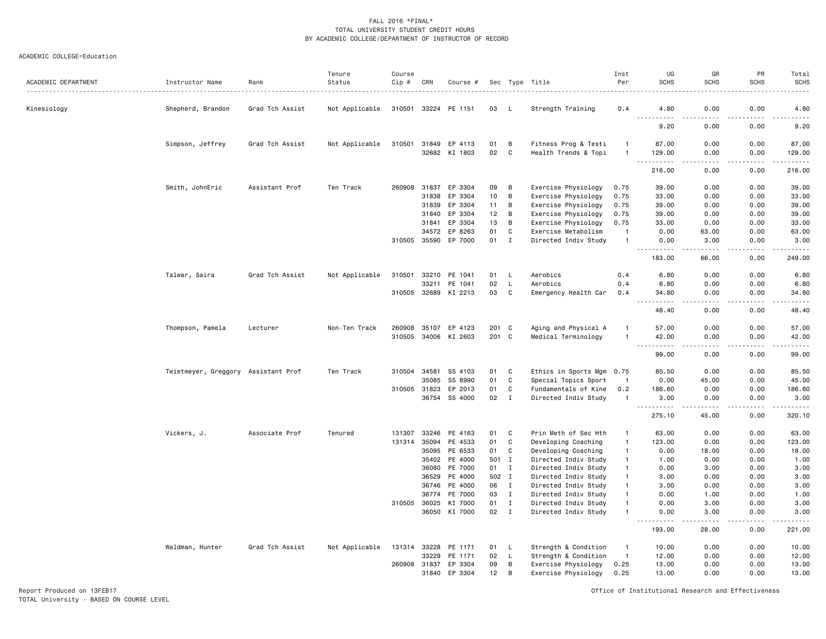| ACADEMIC DEPARTMENT | Instructor Name                     | Rank            | Tenure<br>Status | Course<br>Cip # | CRN   | Course #      |       |                | Sec Type Title            | Inst<br>Per    | UG<br><b>SCHS</b>                   | GR<br><b>SCHS</b>                   | PR<br><b>SCHS</b> | Total<br><b>SCHS</b><br>$\frac{1}{2} \left( \frac{1}{2} \right) \left( \frac{1}{2} \right) \left( \frac{1}{2} \right) \left( \frac{1}{2} \right) \left( \frac{1}{2} \right)$ |
|---------------------|-------------------------------------|-----------------|------------------|-----------------|-------|---------------|-------|----------------|---------------------------|----------------|-------------------------------------|-------------------------------------|-------------------|------------------------------------------------------------------------------------------------------------------------------------------------------------------------------|
| Kinesiology         | Shepherd, Brandon                   | Grad Tch Assist | Not Applicable   | 310501 33224    |       | PE 1151       | 03    | -1.            | Strength Training         | 0.4            | 4.80                                | 0.00                                | 0.00              | 4.80                                                                                                                                                                         |
|                     |                                     |                 |                  |                 |       |               |       |                |                           |                | 9.20                                | 0.00                                | 0.00              | 9.20                                                                                                                                                                         |
|                     | Simpson, Jeffrey                    | Grad Tch Assist | Not Applicable   | 310501          | 31849 | EP 4113       | 01    | B              | Fitness Prog & Testi      |                | 87.00                               | 0.00                                | 0.00              | 87.00                                                                                                                                                                        |
|                     |                                     |                 |                  |                 |       | 32682 KI 1803 | 02    | C              | Health Trends & Topi      | $\overline{1}$ | 129.00<br>.                         | 0.00<br>$\frac{1}{2}$               | 0.00<br>.         | 129.00<br>.                                                                                                                                                                  |
|                     |                                     |                 |                  |                 |       |               |       |                |                           |                | 216.00                              | 0.00                                | 0.00              | 216.00                                                                                                                                                                       |
|                     | Smith, JohnEric                     | Assistant Prof  | Ten Track        | 260908          | 31837 | EP 3304       | 09    | В              | Exercise Physiology       | 0.75           | 39.00                               | 0.00                                | 0.00              | 39.00                                                                                                                                                                        |
|                     |                                     |                 |                  |                 | 31838 | EP 3304       | 10    | B              | Exercise Physiology       | 0.75           | 33.00                               | 0.00                                | 0.00              | 33.00                                                                                                                                                                        |
|                     |                                     |                 |                  |                 | 31839 | EP 3304       | 11    | B              | Exercise Physiology       | 0.75           | 39.00                               | 0.00                                | 0.00              | 39.00                                                                                                                                                                        |
|                     |                                     |                 |                  |                 | 31840 | EP 3304       | 12    | B              | Exercise Physiology       | 0.75           | 39.00                               | 0.00                                | 0.00              | 39.00                                                                                                                                                                        |
|                     |                                     |                 |                  |                 | 31841 | EP 3304       | 13    | B              | Exercise Physiology       | 0.75           | 33.00                               | 0.00                                | 0.00              | 33.00                                                                                                                                                                        |
|                     |                                     |                 |                  |                 | 34572 | EP 8263       | 01    | $\mathbb{C}$   | Exercise Metabolism       | $\mathbf{1}$   | 0.00                                | 63.00                               | 0.00              | 63.00                                                                                                                                                                        |
|                     |                                     |                 |                  | 310505          | 35590 | EP 7000       | 01    | $\mathbf I$    | Directed Indiv Study      | $\overline{1}$ | 0.00                                | 3.00                                | 0.00              | 3.00                                                                                                                                                                         |
|                     |                                     |                 |                  |                 |       |               |       |                |                           |                | 183.00                              | 66.00                               | 0.00              | 249.00                                                                                                                                                                       |
|                     | Talwar, Saira                       | Grad Tch Assist | Not Applicable   | 310501          | 33210 | PE 1041       | 01    | L              | Aerobics                  | 0.4            | 6.80                                | 0.00                                | 0.00              | 6.80                                                                                                                                                                         |
|                     |                                     |                 |                  |                 | 33211 | PE 1041       | 02    | L              | Aerobics                  | 0.4            | 6.80                                | 0.00                                | 0.00              | 6.80                                                                                                                                                                         |
|                     |                                     |                 |                  | 310505          |       | 32689 KI 2213 | 03    | $\mathbf C$    | Emergency Health Car      | 0.4            | 34.80                               | 0.00                                | 0.00<br>.         | 34.80<br>$\sim$ $\sim$ $\sim$ $\sim$                                                                                                                                         |
|                     |                                     |                 |                  |                 |       |               |       |                |                           |                | 48.40                               | 0.00                                | 0.00              | 48.40                                                                                                                                                                        |
|                     | Thompson, Pamela                    | Lecturer        | Non-Ten Track    | 260908          | 35107 | EP 4123       | 201   | C              | Aging and Physical A      |                | 57.00                               | 0.00                                | 0.00              | 57.00                                                                                                                                                                        |
|                     |                                     |                 |                  | 310505 34006    |       | KI 2603       | 201 C |                | Medical Terminology       | $\mathbf{1}$   | 42.00<br>.                          | 0.00<br>$\sim$ $\sim$ $\sim$ $\sim$ | 0.00<br>.         | 42.00<br>.                                                                                                                                                                   |
|                     |                                     |                 |                  |                 |       |               |       |                |                           |                | 99.00                               | 0.00                                | 0.00              | 99.00                                                                                                                                                                        |
|                     | Twietmeyer, Greggory Assistant Prof |                 | Ten Track        | 310504          | 34581 | SS 4103       | 01    | C              | Ethics in Sports Mgm 0.75 |                | 85.50                               | 0.00                                | 0.00              | 85.50                                                                                                                                                                        |
|                     |                                     |                 |                  |                 | 35085 | SS 8990       | 01    | C              | Special Topics Sport      | $\mathbf{1}$   | 0.00                                | 45.00                               | 0.00              | 45.00                                                                                                                                                                        |
|                     |                                     |                 |                  | 310505 31823    |       | EP 2013       | 01    | C              | Fundamentals of Kine      | 0.2            | 186.60                              | 0.00                                | 0.00              | 186.60                                                                                                                                                                       |
|                     |                                     |                 |                  |                 | 36754 | SS 4000       | 02    | $\mathbf{I}$   | Directed Indiv Study      | $\mathbf{1}$   | 3.00                                | 0.00                                | 0.00              | 3.00                                                                                                                                                                         |
|                     |                                     |                 |                  |                 |       |               |       |                |                           |                | .<br>$\sim$ $\sim$ $\sim$<br>275.10 | .<br>45.00                          | .<br>0.00         | .<br>320.10                                                                                                                                                                  |
|                     | Vickers, J.                         | Associate Prof  | Tenured          | 131307          | 33246 | PE 4163       | 01    | C              | Prin Meth of Sec Hth      | $\overline{1}$ | 63.00                               | 0.00                                | 0.00              | 63.00                                                                                                                                                                        |
|                     |                                     |                 |                  | 131314          | 35094 | PE 4533       | 01    | $\mathbf C$    | Developing Coaching       | $\overline{1}$ | 123.00                              | 0.00                                | 0.00              | 123.00                                                                                                                                                                       |
|                     |                                     |                 |                  |                 | 35095 | PE 6533       | 01    | C              | Developing Coaching       | $\overline{1}$ | 0.00                                | 18.00                               | 0.00              | 18.00                                                                                                                                                                        |
|                     |                                     |                 |                  |                 | 35402 | PE 4000       | 501   | $\mathbf{I}$   | Directed Indiv Study      | $\overline{1}$ | 1.00                                | 0.00                                | 0.00              | 1.00                                                                                                                                                                         |
|                     |                                     |                 |                  |                 | 36080 | PE 7000       | 01    | Ι.             | Directed Indiv Study      | $\overline{1}$ | 0.00                                | 3.00                                | 0.00              | 3.00                                                                                                                                                                         |
|                     |                                     |                 |                  |                 | 36529 | PE 4000       | 502 I |                | Directed Indiv Study      | $\mathbf{1}$   | 3.00                                | 0.00                                | 0.00              | 3.00                                                                                                                                                                         |
|                     |                                     |                 |                  |                 | 36746 | PE 4000       | 06    | $\mathbf I$    | Directed Indiv Study      | $\overline{1}$ | 3.00                                | 0.00                                | 0.00              | 3.00                                                                                                                                                                         |
|                     |                                     |                 |                  |                 | 36774 | PE 7000       | 03    | $\mathbf I$    | Directed Indiv Study      | $\overline{1}$ | 0.00                                | 1.00                                | 0.00              | 1.00                                                                                                                                                                         |
|                     |                                     |                 |                  | 310505          | 36025 | KI 7000       | 01    | $\mathbf{I}$   | Directed Indiv Study      | $\mathbf{1}$   | 0.00                                | 3.00                                | 0.00              | 3.00                                                                                                                                                                         |
|                     |                                     |                 |                  |                 | 36050 | KI 7000       | 02    | $\mathbf{I}$   | Directed Indiv Study      | $\overline{1}$ | 0.00                                | 3.00                                | 0.00              | 3.00                                                                                                                                                                         |
|                     |                                     |                 |                  |                 |       |               |       |                |                           |                | 193.00                              | 28.00                               | 0.00              | 221.00                                                                                                                                                                       |
|                     | Waldman, Hunter                     | Grad Tch Assist | Not Applicable   | 131314          | 33228 | PE 1171       | 01    | L              | Strength & Condition      | $\mathbf{1}$   | 10.00                               | 0.00                                | 0.00              | 10.00                                                                                                                                                                        |
|                     |                                     |                 |                  |                 | 33229 | PE 1171       | 02    | L.             | Strength & Condition      | $\overline{1}$ | 12.00                               | 0.00                                | 0.00              | 12.00                                                                                                                                                                        |
|                     |                                     |                 |                  | 260908          | 31837 | EP 3304       | 09    | $\, {\bf B}$   | Exercise Physiology       | 0.25           | 13.00                               | 0.00                                | 0.00              | 13.00                                                                                                                                                                        |
|                     |                                     |                 |                  |                 | 31840 | EP 3304       | 12    | $\overline{B}$ | Exercise Physiology       | 0.25           | 13.00                               | 0.00                                | 0.00              | 13.00                                                                                                                                                                        |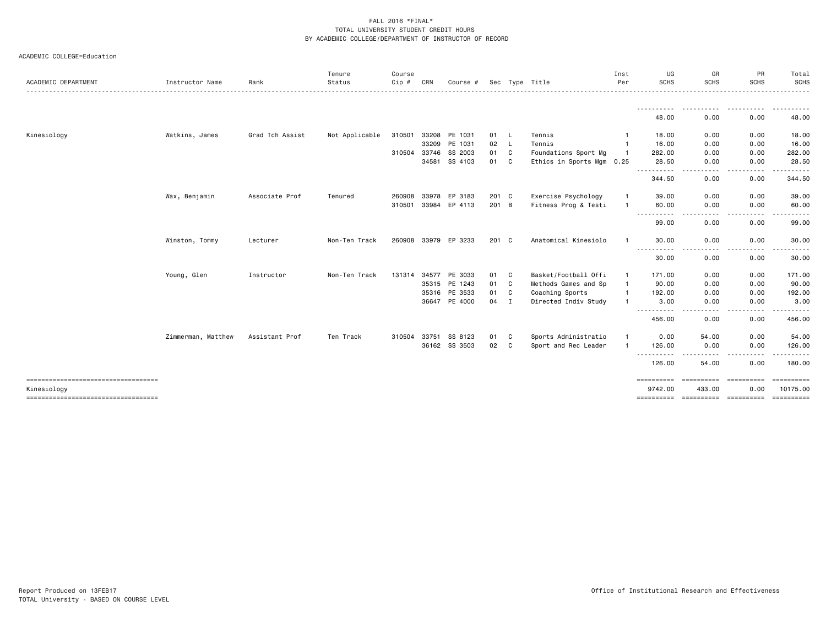|  | ACADEMIC COLLEGE=Education |
|--|----------------------------|
|--|----------------------------|

| ACADEMIC DEPARTMENT                                  | Instructor Name    | Rank            | Tenure<br>Status | Course<br>Cip # | CRN   | Course #             |               |              | Sec Type Title            | Inst<br>Per    | UG<br><b>SCHS</b>     | GR<br><b>SCHS</b>                                                                                                                                                                                                                                                                                                                                                                                                                                                                                                                                                          | PR<br><b>SCHS</b> | Total<br>SCHS                |
|------------------------------------------------------|--------------------|-----------------|------------------|-----------------|-------|----------------------|---------------|--------------|---------------------------|----------------|-----------------------|----------------------------------------------------------------------------------------------------------------------------------------------------------------------------------------------------------------------------------------------------------------------------------------------------------------------------------------------------------------------------------------------------------------------------------------------------------------------------------------------------------------------------------------------------------------------------|-------------------|------------------------------|
|                                                      |                    |                 |                  |                 |       |                      |               |              |                           |                |                       |                                                                                                                                                                                                                                                                                                                                                                                                                                                                                                                                                                            |                   |                              |
|                                                      |                    |                 |                  |                 |       |                      |               |              |                           |                | 48.00                 | 0.00                                                                                                                                                                                                                                                                                                                                                                                                                                                                                                                                                                       | 0.00              | 48.00                        |
| Kinesiology                                          | Watkins, James     | Grad Tch Assist | Not Applicable   | 310501          | 33208 | PE 1031              | 01            | L.           | Tennis                    | -1             | 18.00                 | 0.00                                                                                                                                                                                                                                                                                                                                                                                                                                                                                                                                                                       | 0.00              | 18.00                        |
|                                                      |                    |                 |                  |                 | 33209 | PE 1031              | 02            | $\mathsf{L}$ | Tennis                    | -1             | 16.00                 | 0.00                                                                                                                                                                                                                                                                                                                                                                                                                                                                                                                                                                       | 0.00              | 16.00                        |
|                                                      |                    |                 |                  | 310504          | 33746 | SS 2003              | 01            | C            | Foundations Sport Mg      | $\overline{1}$ | 282.00                | 0.00                                                                                                                                                                                                                                                                                                                                                                                                                                                                                                                                                                       | 0.00              | 282.00                       |
|                                                      |                    |                 |                  |                 | 34581 | SS 4103              | 01            | C            | Ethics in Sports Mgm 0.25 |                | 28.50<br>.            | 0.00<br>$\cdots$                                                                                                                                                                                                                                                                                                                                                                                                                                                                                                                                                           | 0.00<br>.         | 28.50<br>------              |
|                                                      |                    |                 |                  |                 |       |                      |               |              |                           |                | 344.50                | 0.00                                                                                                                                                                                                                                                                                                                                                                                                                                                                                                                                                                       | 0.00              | 344.50                       |
|                                                      | Wax, Benjamin      | Associate Prof  | Tenured          | 260908          | 33978 | EP 3183              | 201 C         |              | Exercise Psychology       | -1             | 39.00                 | 0.00                                                                                                                                                                                                                                                                                                                                                                                                                                                                                                                                                                       | 0.00              | 39.00                        |
|                                                      |                    |                 |                  | 310501          |       | 33984 EP 4113        | 201 B         |              | Fitness Prog & Testi      |                | 60.00<br>.            | 0.00<br>.                                                                                                                                                                                                                                                                                                                                                                                                                                                                                                                                                                  | 0.00<br>-----     | 60.00<br>.                   |
|                                                      |                    |                 |                  |                 |       |                      |               |              |                           |                | 99.00                 | 0.00                                                                                                                                                                                                                                                                                                                                                                                                                                                                                                                                                                       | 0.00              | 99.00                        |
|                                                      | Winston, Tommy     | Lecturer        | Non-Ten Track    |                 |       | 260908 33979 EP 3233 | $201 \quad C$ |              | Anatomical Kinesiolo      | $\mathbf{1}$   | 30.00<br>.            | 0.00<br>- - - -                                                                                                                                                                                                                                                                                                                                                                                                                                                                                                                                                            | 0.00              | 30.00                        |
|                                                      |                    |                 |                  |                 |       |                      |               |              |                           |                | 30.00                 | 0.00                                                                                                                                                                                                                                                                                                                                                                                                                                                                                                                                                                       | 0.00              | 30.00                        |
|                                                      | Young, Glen        | Instructor      | Non-Ten Track    | 131314          | 34577 | PE 3033              | 01            | C            | Basket/Football Offi      | $\mathbf{1}$   | 171.00                | 0.00                                                                                                                                                                                                                                                                                                                                                                                                                                                                                                                                                                       | 0.00              | 171.00                       |
|                                                      |                    |                 |                  |                 |       | 35315 PE 1243        | 01            | C            | Methods Games and Sp      | $\mathbf{1}$   | 90.00                 | 0.00                                                                                                                                                                                                                                                                                                                                                                                                                                                                                                                                                                       | 0.00              | 90.00                        |
|                                                      |                    |                 |                  |                 | 35316 | PE 3533              | 01            | C            | Coaching Sports           | -1             | 192.00                | 0.00                                                                                                                                                                                                                                                                                                                                                                                                                                                                                                                                                                       | 0.00              | 192.00                       |
|                                                      |                    |                 |                  |                 | 36647 | PE 4000              | 04            | $\mathbf{I}$ | Directed Indiv Study      |                | 3.00<br>-----------   | 0.00<br>. <b>.</b><br>$- - -$                                                                                                                                                                                                                                                                                                                                                                                                                                                                                                                                              | 0.00<br>-----     | 3.00<br>. <u>.</u> .         |
|                                                      |                    |                 |                  |                 |       |                      |               |              |                           |                | 456.00                | 0.00                                                                                                                                                                                                                                                                                                                                                                                                                                                                                                                                                                       | 0.00              | 456.00                       |
|                                                      | Zimmerman, Matthew | Assistant Prof  | Ten Track        | 310504          | 33751 | SS 8123              | 01            | C            | Sports Administratio      | $\mathbf{1}$   | 0.00                  | 54.00                                                                                                                                                                                                                                                                                                                                                                                                                                                                                                                                                                      | 0.00              | 54.00                        |
|                                                      |                    |                 |                  |                 | 36162 | SS 3503              | 02            | C            | Sport and Rec Leader      | $\mathbf{1}$   | 126.00<br>.           | 0.00                                                                                                                                                                                                                                                                                                                                                                                                                                                                                                                                                                       | 0.00<br>.         | 126.00<br><u>.</u>           |
|                                                      |                    |                 |                  |                 |       |                      |               |              |                           |                | 126.00                | 54.00                                                                                                                                                                                                                                                                                                                                                                                                                                                                                                                                                                      | 0.00              | 180.00                       |
| -------------------------------------<br>Kinesiology |                    |                 |                  |                 |       |                      |               |              |                           |                | ==========<br>9742.00 | $\begin{minipage}{0.03\textwidth} \centering \begin{minipage}{0.03\textwidth} \centering \centering \end{minipage} \begin{minipage}{0.03\textwidth} \centering \centering \end{minipage} \begin{minipage}{0.03\textwidth} \centering \begin{minipage}{0.03\textwidth} \centering \centering \end{minipage} \end{minipage} \begin{minipage}{0.03\textwidth} \centering \begin{minipage}{0.03\textwidth} \centering \centering \end{minipage} \end{minipage} \begin{minipage}{0.03\textwidth} \centering \begin{minipage}{0.03\textwidth} \centering \centering \$<br>433.00 | 0.00              | <b>SERRESERE</b><br>10175.00 |
| =====================================                |                    |                 |                  |                 |       |                      |               |              |                           |                | ==========            | ----------- ----------                                                                                                                                                                                                                                                                                                                                                                                                                                                                                                                                                     |                   | -----------                  |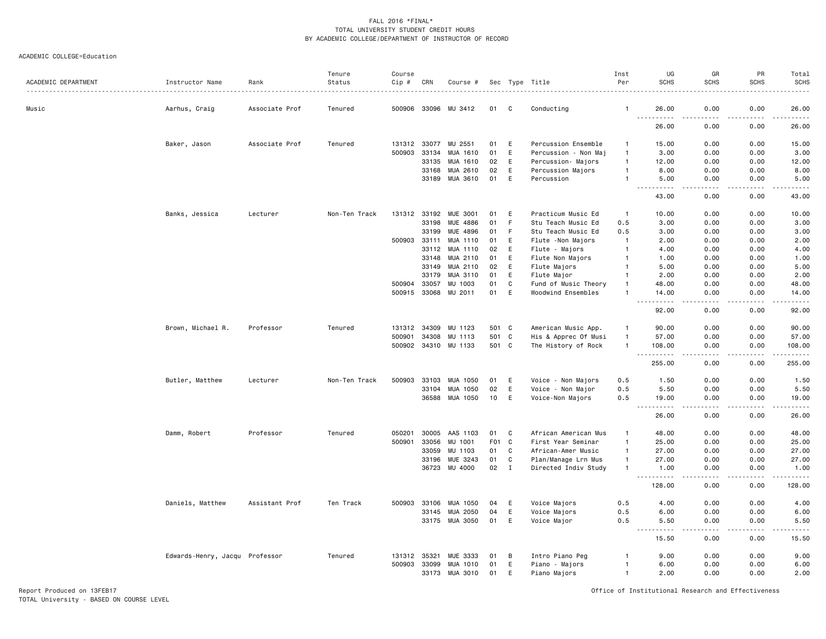#### ACADEMIC COLLEGE=Education

|                     |                                |                | Tenure        | Course       |                |                      |                  |             |                             | Inst                             | UG                             | GR                                  | PR           | Total                                      |
|---------------------|--------------------------------|----------------|---------------|--------------|----------------|----------------------|------------------|-------------|-----------------------------|----------------------------------|--------------------------------|-------------------------------------|--------------|--------------------------------------------|
| ACADEMIC DEPARTMENT | Instructor Name                | Rank           | Status        | Cip #        | CRN            | Course #             |                  |             | Sec Type Title              | Per                              | <b>SCHS</b>                    | <b>SCHS</b>                         | <b>SCHS</b>  | <b>SCHS</b>                                |
| Music               | Aarhus, Craig                  | Associate Prof | Tenured       |              | 500906 33096   | MU 3412              | 01               | C           | Conducting                  | -1                               | 26.00                          | 0.00                                | 0.00         | 26.00                                      |
|                     |                                |                |               |              |                |                      |                  |             |                             |                                  | $\frac{1}{2}$<br>.<br>26.00    | 0.00                                | 0.00         | .<br>26.00                                 |
|                     | Baker, Jason                   | Associate Prof | Tenured       | 131312       | 33077          | MU 2551              | 01               | E           | Percussion Ensemble         | -1                               | 15.00                          | 0.00                                | 0.00         | 15.00                                      |
|                     |                                |                |               | 500903       | 33134          | MUA 1610             | 01               | E           | Percussion - Non Maj        | $\overline{1}$                   | 3.00                           | 0.00                                | 0.00         | 3.00                                       |
|                     |                                |                |               |              | 33135          | MUA 1610             | 02               | E           | Percussion- Majors          | $\overline{1}$                   | 12.00                          | 0.00                                | 0.00         | 12.00                                      |
|                     |                                |                |               |              | 33168          | MUA 2610             | 02               | E           | Percussion Majors           | $\mathbf{1}$                     | 8.00                           | 0.00                                | 0.00         | 8.00                                       |
|                     |                                |                |               |              | 33189          | MUA 3610             | 01               | E           | Percussion                  | $\overline{1}$                   | 5.00<br>$ -$<br>.              | 0.00<br>$\frac{1}{2}$               | 0.00<br>.    | 5.00<br>.                                  |
|                     |                                |                |               |              |                |                      |                  |             |                             |                                  | 43.00                          | 0.00                                | 0.00         | 43.00                                      |
|                     | Banks, Jessica                 | Lecturer       | Non-Ten Track | 131312 33192 |                | <b>MUE 3001</b>      | 01               | E           | Practicum Music Ed          | $\overline{1}$                   | 10.00                          | 0.00                                | 0.00         | 10.00                                      |
|                     |                                |                |               |              | 33198          | <b>MUE 4886</b>      | 01               | F           | Stu Teach Music Ed          | 0.5                              | 3.00                           | 0.00                                | 0.00         | 3.00                                       |
|                     |                                |                |               |              | 33199          | MUE 4896             | 01               | -F          | Stu Teach Music Ed          | 0.5                              | 3.00                           | 0.00                                | 0.00         | 3.00                                       |
|                     |                                |                |               | 500903       | 33111          | MUA 1110             | 01               | E           | Flute -Non Majors           | $\overline{1}$                   | 2.00                           | 0.00                                | 0.00         | 2.00                                       |
|                     |                                |                |               |              | 33112          | MUA 1110             | 02               | E           | Flute - Majors              | $\overline{1}$                   | 4.00                           | 0.00                                | 0.00         | 4.00                                       |
|                     |                                |                |               |              | 33148<br>33149 | MUA 2110<br>MUA 2110 | 01<br>02         | E<br>E      | Flute Non Majors            | $\mathbf{1}$<br>$\mathbf{1}$     | 1.00<br>5.00                   | 0.00<br>0.00                        | 0.00<br>0.00 | 1.00<br>5.00                               |
|                     |                                |                |               |              | 33179          | MUA 3110             | 01               | E           | Flute Majors<br>Flute Major | $\overline{1}$                   | 2.00                           | 0.00                                | 0.00         | 2.00                                       |
|                     |                                |                |               | 500904       | 33057          | MU 1003              | 01               | C           | Fund of Music Theory        | $\overline{1}$                   | 48.00                          | 0.00                                | 0.00         | 48.00                                      |
|                     |                                |                |               | 500915 33068 |                | MU 2011              | 01               | E           | Woodwind Ensembles          |                                  | 14.00                          | 0.00                                | 0.00         | 14.00                                      |
|                     |                                |                |               |              |                |                      |                  |             |                             |                                  | $- - -$<br>.<br>92.00          | $- - - -$<br>0.00                   | .<br>0.00    | .<br>92.00                                 |
|                     | Brown, Michael R.              | Professor      | Tenured       | 131312 34309 |                | MU 1123              | 501 C            |             | American Music App.         | $\mathbf{1}$                     | 90.00                          | 0.00                                | 0.00         | 90.00                                      |
|                     |                                |                |               | 500901       | 34308          | MU 1113              | 501              | C           | His & Apprec Of Musi        | $\overline{1}$                   | 57.00                          | 0.00                                | 0.00         | 57.00                                      |
|                     |                                |                |               | 500902 34310 |                | MU 1133              | 501 C            |             | The History of Rock         | $\overline{1}$                   | 108.00<br>$\sim$ $\sim$ $\sim$ | 0.00<br>$\sim$ $\sim$ $\sim$ $\sim$ | 0.00<br>.    | 108.00<br>$\alpha$ is a single $\alpha$    |
|                     |                                |                |               |              |                |                      |                  |             |                             |                                  | 255.00                         | 0.00                                | 0.00         | 255.00                                     |
|                     | Butler, Matthew                | Lecturer       | Non-Ten Track | 500903       | 33103          | MUA 1050             | 01               | E           | Voice - Non Majors          | 0.5                              | 1.50                           | 0.00                                | 0.00         | 1.50                                       |
|                     |                                |                |               |              | 33104          | MUA 1050             | 02               | E           | Voice - Non Major           | 0.5                              | 5.50                           | 0.00                                | 0.00         | 5.50                                       |
|                     |                                |                |               |              | 36588          | MUA 1050             | 10               | E           | Voice-Non Majors            | 0.5                              | 19.00<br>$\sim$ $\sim$         | 0.00                                | 0.00         | 19.00<br>.                                 |
|                     |                                |                |               |              |                |                      |                  |             |                             |                                  | 26.00                          | 0.00                                | 0.00         | 26.00                                      |
|                     | Damm, Robert                   | Professor      | Tenured       | 050201       | 30005          | AAS 1103             | 01               | C           | African American Mus        | $\mathbf{1}$                     | 48.00                          | 0.00                                | 0.00         | 48.00                                      |
|                     |                                |                |               | 500901       | 33056          | MU 1001              | F <sub>0</sub> 1 | C           | First Year Seminar          | $\overline{1}$                   | 25.00                          | 0.00                                | 0.00         | 25.00                                      |
|                     |                                |                |               |              | 33059          | MU 1103              | 01               | C           | African-Amer Music          | $\mathbf{1}$                     | 27.00                          | 0.00                                | 0.00         | 27.00                                      |
|                     |                                |                |               |              | 33196          | MUE 3243             | 01               | C           | Plan/Manage Lrn Mus         | $\overline{1}$<br>$\overline{1}$ | 27.00                          | 0.00                                | 0.00         | 27.00                                      |
|                     |                                |                |               |              | 36723          | MU 4000              | 02               | $\mathbf I$ | Directed Indiv Study        |                                  | 1.00<br>.                      | 0.00<br>$\sim$ $\sim$ $\sim$        | 0.00<br>.    | 1.00<br>$\sim$ $\sim$ $\sim$ $\sim$ $\sim$ |
|                     |                                |                |               |              |                |                      |                  |             |                             |                                  | 128.00                         | 0.00                                | 0.00         | 128.00                                     |
|                     | Daniels, Matthew               | Assistant Prof | Ten Track     | 500903       | 33106          | MUA 1050             | 04               | E           | Voice Majors                | 0.5                              | 4.00                           | 0.00                                | 0.00         | 4.00                                       |
|                     |                                |                |               |              | 33145          | MUA 2050             | 04               | E           | Voice Majors                | 0.5                              | 6.00                           | 0.00                                | 0.00         | 6.00                                       |
|                     |                                |                |               |              |                | 33175 MUA 3050       | 01               | E           | Voice Major                 | 0.5                              | 5.50                           | 0.00                                | 0.00         | 5.50                                       |
|                     |                                |                |               |              |                |                      |                  |             |                             |                                  | 15.50                          | 0.00                                | 0.00         | 15.50                                      |
|                     | Edwards-Henry, Jacqu Professor |                | Tenured       | 131312 35321 |                | MUE 3333             | 01               | B           | Intro Piano Peg             | -1                               | 9.00                           | 0.00                                | 0.00         | 9.00                                       |
|                     |                                |                |               | 500903       | 33099          | MUA 1010             | 01               | E           | Piano - Majors              | $\mathbf{1}$                     | 6.00                           | 0.00                                | 0.00         | 6.00                                       |
|                     |                                |                |               |              | 33173          | MUA 3010             | 01               | E           | Piano Majors                | $\overline{1}$                   | 2.00                           | 0.00                                | 0.00         | 2.00                                       |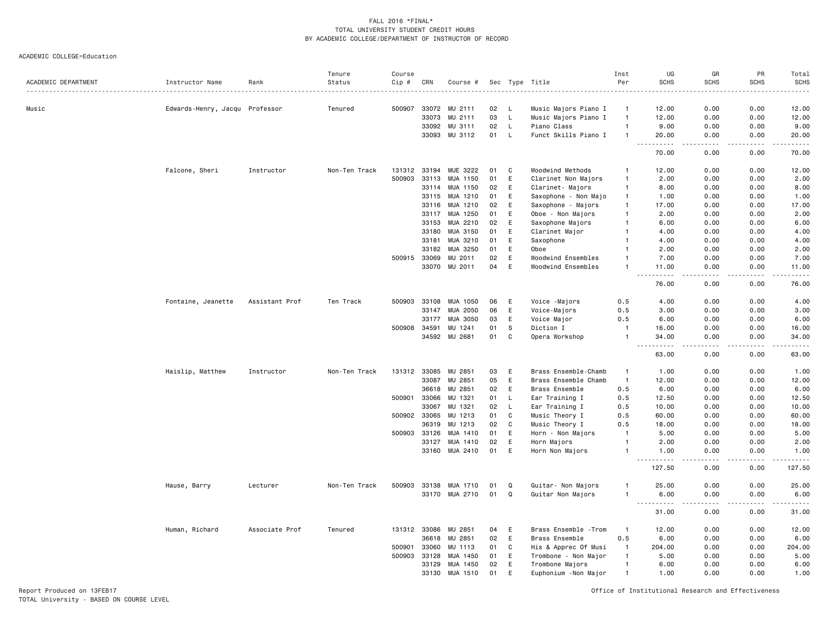ACADEMIC COLLEGE=Education

| ACADEMIC DEPARTMENT | Instructor Name                | Rank           | Tenure<br>Status | Course<br>Cip # | CRN   | Course #             |    |              | Sec Type Title        | Inst<br>Per    | UG<br><b>SCHS</b>                  | GR<br><b>SCHS</b>                   | PR<br><b>SCHS</b> | Total<br><b>SCHS</b><br>$    -$                                                                                                                               |
|---------------------|--------------------------------|----------------|------------------|-----------------|-------|----------------------|----|--------------|-----------------------|----------------|------------------------------------|-------------------------------------|-------------------|---------------------------------------------------------------------------------------------------------------------------------------------------------------|
| Music               | Edwards-Henry, Jacqu Professor |                | Tenured          | 500907          |       | 33072 MU 2111        | 02 | - L          | Music Majors Piano I  | -1             | 12.00                              | 0.00                                | 0.00              | 12.00                                                                                                                                                         |
|                     |                                |                |                  |                 | 33073 | MU 2111              | 03 | $\mathsf L$  | Music Majors Piano I  | $\overline{1}$ | 12.00                              | 0.00                                | 0.00              | 12.00                                                                                                                                                         |
|                     |                                |                |                  |                 | 33092 | MU 3111              | 02 | L            | Piano Class           | $\overline{1}$ | 9.00                               | 0.00                                | 0.00              | 9.00                                                                                                                                                          |
|                     |                                |                |                  |                 | 33093 | MU 3112              | 01 | <b>L</b>     | Funct Skills Piano I  |                | 20.00                              | 0.00                                | 0.00              | 20.00                                                                                                                                                         |
|                     |                                |                |                  |                 |       |                      |    |              |                       |                | 70.00                              | 0.00                                | 0.00              | $\frac{1}{2} \left( \frac{1}{2} \right) \left( \frac{1}{2} \right) \left( \frac{1}{2} \right) \left( \frac{1}{2} \right) \left( \frac{1}{2} \right)$<br>70.00 |
|                     | Falcone, Sheri                 | Instructor     | Non-Ten Track    | 131312          | 33194 | MUE 3222             | 01 | C            | Woodwind Methods      |                | 12.00                              | 0.00                                | 0.00              | 12.00                                                                                                                                                         |
|                     |                                |                |                  | 500903          | 33113 | MUA 1150             | 01 | E            | Clarinet Non Majors   | $\mathbf{1}$   | 2.00                               | 0.00                                | 0.00              | 2.00                                                                                                                                                          |
|                     |                                |                |                  |                 | 33114 | MUA 1150             | 02 | E            | Clarinet- Majors      | $\mathbf{1}$   | 8.00                               | 0.00                                | 0.00              | 8.00                                                                                                                                                          |
|                     |                                |                |                  |                 | 33115 | MUA 1210             | 01 | E            | Saxophone - Non Majo  | $\mathbf{1}$   | 1.00                               | 0.00                                | 0.00              | 1.00                                                                                                                                                          |
|                     |                                |                |                  |                 | 33116 | MUA 1210             | 02 | E            | Saxophone - Majors    | $\mathbf{1}$   | 17.00                              | 0.00                                | 0.00              | 17.00                                                                                                                                                         |
|                     |                                |                |                  |                 | 33117 | MUA 1250             | 01 | E            | Oboe - Non Majors     | $\mathbf{1}$   | 2.00                               | 0.00                                | 0.00              | 2.00                                                                                                                                                          |
|                     |                                |                |                  |                 | 33153 | MUA 2210             | 02 | E            | Saxophone Majors      | $\mathbf{1}$   | 6.00                               | 0.00                                | 0.00              | 6.00                                                                                                                                                          |
|                     |                                |                |                  |                 | 33180 | MUA 3150             | 01 | E            | Clarinet Major        |                | 4.00                               | 0.00                                | 0.00              | 4.00                                                                                                                                                          |
|                     |                                |                |                  |                 | 33181 | MUA 3210             | 01 | E            | Saxophone             |                | 4.00                               | 0.00                                | 0.00              | 4.00                                                                                                                                                          |
|                     |                                |                |                  |                 | 33182 | MUA 3250             | 01 | E            | Oboe                  |                | 2.00                               | 0.00                                | 0.00              | 2.00                                                                                                                                                          |
|                     |                                |                |                  | 500915          | 33069 | MU 2011              | 02 | E            | Woodwind Ensembles    |                | 7.00                               | 0.00                                | 0.00              | 7.00                                                                                                                                                          |
|                     |                                |                |                  |                 |       | 33070 MU 2011        | 04 | E            | Woodwind Ensembles    | $\mathbf{1}$   | 11.00                              | 0.00                                | 0.00              | 11.00<br>.                                                                                                                                                    |
|                     |                                |                |                  |                 |       |                      |    |              |                       |                | .<br>76.00                         | .<br>0.00                           | .<br>0.00         | 76.00                                                                                                                                                         |
|                     | Fontaine, Jeanette             | Assistant Prof | Ten Track        | 500903          | 33108 | MUA 1050             | 06 | E            | Voice -Majors         | 0.5            | 4.00                               | 0.00                                | 0.00              | 4.00                                                                                                                                                          |
|                     |                                |                |                  |                 | 33147 | MUA 2050             | 06 | E            | Voice-Majors          | 0.5            | 3.00                               | 0.00                                | 0.00              | 3.00                                                                                                                                                          |
|                     |                                |                |                  |                 | 33177 | MUA 3050             | 03 | E            | Voice Major           | 0.5            | 6.00                               | 0.00                                | 0.00              | 6.00                                                                                                                                                          |
|                     |                                |                |                  | 500908          | 34591 | MU 1241              | 01 | $\mathbb S$  | Diction I             | $\mathbf{1}$   | 16.00                              | 0.00                                | 0.00              | 16.00                                                                                                                                                         |
|                     |                                |                |                  |                 |       | 34592 MU 2681        | 01 | C            | Opera Workshop        | $\mathbf{1}$   | 34.00                              | 0.00                                | 0.00<br>.         | 34.00<br>$    -$                                                                                                                                              |
|                     |                                |                |                  |                 |       |                      |    |              |                       |                | $- - - - -$<br>63.00               | $\frac{1}{2}$<br>0.00               | 0.00              | 63.00                                                                                                                                                         |
|                     | Haislip, Matthew               | Instructor     | Non-Ten Track    | 131312          | 33085 | MU 2851              | 03 | E            | Brass Ensemble-Chamb  | $\overline{1}$ | 1.00                               | 0.00                                | 0.00              | 1.00                                                                                                                                                          |
|                     |                                |                |                  |                 | 33087 | MU 2851              | 05 | E            | Brass Ensemble Chamb  | $\mathbf{1}$   | 12.00                              | 0.00                                | 0.00              | 12.00                                                                                                                                                         |
|                     |                                |                |                  |                 | 36618 | MU 2851              | 02 | E            | Brass Ensemble        | 0.5            | 6.00                               | 0.00                                | 0.00              | 6.00                                                                                                                                                          |
|                     |                                |                |                  | 500901          | 33066 | MU 1321              | 01 | $\mathsf{L}$ | Ear Training I        | 0.5            | 12.50                              | 0.00                                | 0.00              | 12.50                                                                                                                                                         |
|                     |                                |                |                  |                 | 33067 | MU 1321              | 02 | L            | Ear Training I        | 0.5            | 10.00                              | 0.00                                | 0.00              | 10.00                                                                                                                                                         |
|                     |                                |                |                  | 500902          | 33065 | MU 1213              | 01 | C            | Music Theory I        | 0.5            | 60.00                              | 0.00                                | 0.00              | 60.00                                                                                                                                                         |
|                     |                                |                |                  |                 | 36319 | MU 1213              | 02 | C            | Music Theory I        | 0.5            | 18.00                              | 0.00                                | 0.00              | 18.00                                                                                                                                                         |
|                     |                                |                |                  | 500903          | 33126 | MUA 1410             | 01 | E            | Horn - Non Majors     | $\overline{1}$ | 5.00                               | 0.00                                | 0.00              | 5.00                                                                                                                                                          |
|                     |                                |                |                  |                 | 33127 | MUA 1410             | 02 | E            | Horn Majors           | $\overline{1}$ | 2.00                               | 0.00                                | 0.00              | 2.00                                                                                                                                                          |
|                     |                                |                |                  |                 |       | 33160 MUA 2410       | 01 | E            | Horn Non Majors       | $\mathbf{1}$   | 1.00<br>$\omega$ is a<br>.         | 0.00<br>$\sim$ $\sim$ $\sim$ $\sim$ | 0.00<br>.         | 1.00<br>.                                                                                                                                                     |
|                     |                                |                |                  |                 |       |                      |    |              |                       |                | 127.50                             | 0.00                                | 0.00              | 127.50                                                                                                                                                        |
|                     | Hause, Barry                   | Lecturer       | Non-Ten Track    | 500903          |       | 33138 MUA 1710       | 01 | Q            | Guitar- Non Majors    | -1             | 25.00                              | 0.00                                | 0.00              | 25.00                                                                                                                                                         |
|                     |                                |                |                  |                 |       | 33170 MUA 2710       | 01 | Q            | Guitar Non Majors     | $\overline{1}$ | 6.00                               | 0.00                                | 0.00              | 6.00                                                                                                                                                          |
|                     |                                |                |                  |                 |       |                      |    |              |                       |                | .<br>$\sim$ $\sim$ $\sim$<br>31.00 | $   -$<br>0.00                      | .<br>0.00         | .<br>31.00                                                                                                                                                    |
|                     | Human, Richard                 | Associate Prof | Tenured          |                 |       | 131312 33086 MU 2851 | 04 | E            | Brass Ensemble - Trom | $\mathbf{1}$   | 12.00                              | 0.00                                | 0.00              | 12.00                                                                                                                                                         |
|                     |                                |                |                  |                 | 36618 | MU 2851              | 02 | E            | Brass Ensemble        | 0.5            | 6.00                               | 0.00                                | 0.00              | 6.00                                                                                                                                                          |
|                     |                                |                |                  | 500901          | 33060 | MU 1113              | 01 | C            | His & Apprec Of Musi  | -1             | 204.00                             | 0.00                                | 0.00              | 204.00                                                                                                                                                        |
|                     |                                |                |                  | 500903          | 33128 | MUA 1450             | 01 | E            | Trombone - Non Major  | $\mathbf{1}$   | 5.00                               | 0.00                                | 0.00              | 5.00                                                                                                                                                          |
|                     |                                |                |                  |                 | 33129 | MUA 1450             | 02 | E            | Trombone Majors       | $\mathbf{1}$   | 6.00                               | 0.00                                | 0.00              | 6.00                                                                                                                                                          |
|                     |                                |                |                  |                 | 33130 | MUA 1510             | 01 | E            | Euphonium - Non Major | $\overline{1}$ | 1.00                               | 0.00                                | 0.00              | 1.00                                                                                                                                                          |
|                     |                                |                |                  |                 |       |                      |    |              |                       |                |                                    |                                     |                   |                                                                                                                                                               |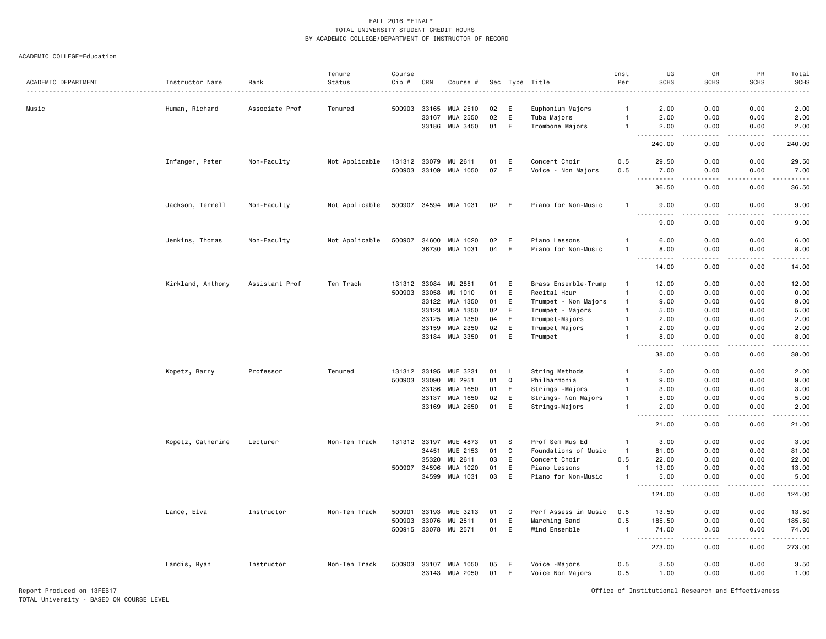#### ACADEMIC COLLEGE=Education

|                     |                   |                | Tenure         | Course       |                |                       |          |        |                                   | Inst           | UG                  | GR                                  | PR                           | Total                 |
|---------------------|-------------------|----------------|----------------|--------------|----------------|-----------------------|----------|--------|-----------------------------------|----------------|---------------------|-------------------------------------|------------------------------|-----------------------|
| ACADEMIC DEPARTMENT | Instructor Name   | Rank           | Status         | $Cip$ #      | CRN            | Course #              |          |        | Sec Type Title                    | Per            | <b>SCHS</b>         | <b>SCHS</b>                         | <b>SCHS</b>                  | <b>SCHS</b>           |
| Music               | Human, Richard    | Associate Prof | Tenured        | 500903       | 33165          | MUA 2510              | 02       | E      | Euphonium Majors                  | -1             | 2.00                | 0.00                                | 0.00                         | 2.00                  |
|                     |                   |                |                |              | 33167          | MUA 2550              | 02       | E      | Tuba Majors                       | $\mathbf{1}$   | 2.00                | 0.00                                | 0.00                         | 2.00                  |
|                     |                   |                |                |              |                | 33186 MUA 3450        | 01       | E      | Trombone Majors                   | $\mathbf{1}$   | 2.00                | 0.00                                | 0.00                         | 2.00                  |
|                     |                   |                |                |              |                |                       |          |        |                                   |                | .                   | $   -$                              | .                            | $    -$               |
|                     |                   |                |                |              |                |                       |          |        |                                   |                | 240.00              | 0.00                                | 0.00                         | 240.00                |
|                     | Infanger, Peter   | Non-Faculty    | Not Applicable | 131312 33079 |                | MU 2611               | 01       | Ε      | Concert Choir                     | 0.5            | 29.50               | 0.00                                | 0.00                         | 29.50                 |
|                     |                   |                |                | 500903 33109 |                | MUA 1050              | 07       | E      | Voice - Non Majors                | 0.5            | 7.00<br>$  -$       | 0.00                                | 0.00                         | 7.00<br>$\frac{1}{2}$ |
|                     |                   |                |                |              |                |                       |          |        |                                   |                | 36.50               | 0.00                                | 0.00                         | 36.50                 |
|                     | Jackson, Terrell  | Non-Faculty    | Not Applicable |              |                | 500907 34594 MUA 1031 | 02       | E      | Piano for Non-Music               | $\mathbf{1}$   | 9.00                | 0.00                                | 0.00                         | 9.00                  |
|                     |                   |                |                |              |                |                       |          |        |                                   |                | 9.00                | 0.00                                | 0.00                         | 9.00                  |
|                     | Jenkins, Thomas   | Non-Faculty    | Not Applicable | 500907       |                | 34600 MUA 1020        | 02       | E      | Piano Lessons                     |                | 6.00                | 0.00                                | 0.00                         | 6.00                  |
|                     |                   |                |                |              |                | 36730 MUA 1031        | 04       | E      | Piano for Non-Music               | $\mathbf{1}$   | 8.00<br>$- - - - -$ | 0.00<br>.                           | 0.00<br>.                    | 8.00<br>.             |
|                     |                   |                |                |              |                |                       |          |        |                                   |                | 14.00               | 0.00                                | 0.00                         | 14.00                 |
|                     | Kirkland, Anthony | Assistant Prof | Ten Track      | 131312       | 33084          | MU 2851               | 01       | E      | Brass Ensemble-Trump              | $\mathbf{1}$   | 12.00               | 0.00                                | 0.00                         | 12.00                 |
|                     |                   |                |                | 500903       | 33058          | MU 1010               | 01       | E      | Recital Hour                      | $\mathbf{1}$   | 0.00                | 0.00                                | 0.00                         | 0.00                  |
|                     |                   |                |                |              | 33122          | MUA 1350              | 01       | E      | Trumpet - Non Majors              | $\mathbf{1}$   | 9.00                | 0.00                                | 0.00                         | 9.00                  |
|                     |                   |                |                |              | 33123          | MUA 1350              | 02       | E      | Trumpet - Majors                  | $\mathbf{1}$   | 5.00                | 0.00                                | 0.00                         | 5.00                  |
|                     |                   |                |                |              | 33125          | MUA 1350              | 04       | E      | Trumpet-Majors                    | $\overline{1}$ | 2.00                | 0.00                                | 0.00                         | 2.00                  |
|                     |                   |                |                |              | 33159          | MUA 2350              | 02       | E      | Trumpet Majors                    |                | 2.00                | 0.00                                | 0.00                         | 2.00                  |
|                     |                   |                |                |              |                | 33184 MUA 3350        | 01       | E      | Trumpet                           | $\mathbf{1}$   | 8.00                | 0.00                                | 0.00                         | 8.00                  |
|                     |                   |                |                |              |                |                       |          |        |                                   |                | 38.00               | 0.00                                | 0.00                         | 38.00                 |
|                     | Kopetz, Barry     | Professor      | Tenured        | 131312 33195 |                | MUE 3231              | 01       | L      | String Methods                    |                | 2.00                | 0.00                                | 0.00                         | 2.00                  |
|                     |                   |                |                | 500903       | 33090          | MU 2951               | 01       | Q      | Philharmonia                      | $\mathbf{1}$   | 9.00                | 0.00                                | 0.00                         | 9.00                  |
|                     |                   |                |                |              | 33136          | MUA 1650              | 01       | E      | Strings - Majors                  | -1             | 3.00                | 0.00                                | 0.00                         | 3.00                  |
|                     |                   |                |                |              | 33137          | MUA 1650              | 02       | E      | Strings- Non Majors               | $\mathbf{1}$   | 5.00                | 0.00                                | 0.00                         | 5.00                  |
|                     |                   |                |                |              | 33169          | MUA 2650              | 01       | E      | Strings-Majors                    | $\mathbf{1}$   | 2.00<br>.           | 0.00<br>$\sim$ $\sim$ $\sim$ $\sim$ | 0.00<br>.                    | 2.00<br>د د د د د     |
|                     |                   |                |                |              |                |                       |          |        |                                   |                | 21.00               | 0.00                                | 0.00                         | 21.00                 |
|                     | Kopetz, Catherine | Lecturer       | Non-Ten Track  | 131312       | 33197          | MUE 4873              | 01       | S      | Prof Sem Mus Ed                   | $\mathbf{1}$   | 3.00                | 0.00                                | 0.00                         | 3.00                  |
|                     |                   |                |                |              | 34451          | MUE 2153              | 01       | C      | Foundations of Music              | $\overline{1}$ | 81.00               | 0.00                                | 0.00                         | 81.00                 |
|                     |                   |                |                |              | 35320          | MU 2611               | 03       | E      | Concert Choir                     | 0.5            | 22.00               | 0.00                                | 0.00                         | 22.00                 |
|                     |                   |                |                | 500907       | 34596          | MUA 1020              | 01       | E      | Piano Lessons                     | $\mathbf{1}$   | 13.00               | 0.00                                | 0.00                         | 13.00                 |
|                     |                   |                |                |              | 34599          | MUA 1031              | 03       | E      | Piano for Non-Music               |                | 5.00                | 0.00                                | 0.00<br>$\sim$ $\sim$ $\sim$ | 5.00<br>.             |
|                     |                   |                |                |              |                |                       |          |        |                                   |                | 124.00              | 0.00                                | 0.00                         | 124.00                |
|                     | Lance, Elva       | Instructor     | Non-Ten Track  | 500901       | 33193          | MUE 3213              | 01       | C      | Perf Assess in Music              | 0.5            | 13.50               | 0.00                                | 0.00                         | 13.50                 |
|                     |                   |                |                | 500903       | 33076          | MU 2511               | 01       | E      | Marching Band                     | 0.5            | 185.50              | 0.00                                | 0.00                         | 185.50                |
|                     |                   |                |                |              |                | 500915 33078 MU 2571  | 01       | E      | Wind Ensemble                     | $\overline{1}$ | 74.00<br>.          | 0.00<br>$\sim$ $\sim$ $\sim$        | 0.00<br>.                    | 74.00<br><u>.</u>     |
|                     |                   |                |                |              |                |                       |          |        |                                   |                | 273.00              | 0.00                                | 0.00                         | 273.00                |
|                     | Landis, Ryan      | Instructor     | Non-Ten Track  | 500903       | 33107<br>33143 | MUA 1050<br>MUA 2050  | 05<br>01 | E<br>E | Voice -Majors<br>Voice Non Majors | 0.5<br>0.5     | 3.50<br>1.00        | 0.00<br>0.00                        | 0.00<br>0.00                 | 3.50<br>1.00          |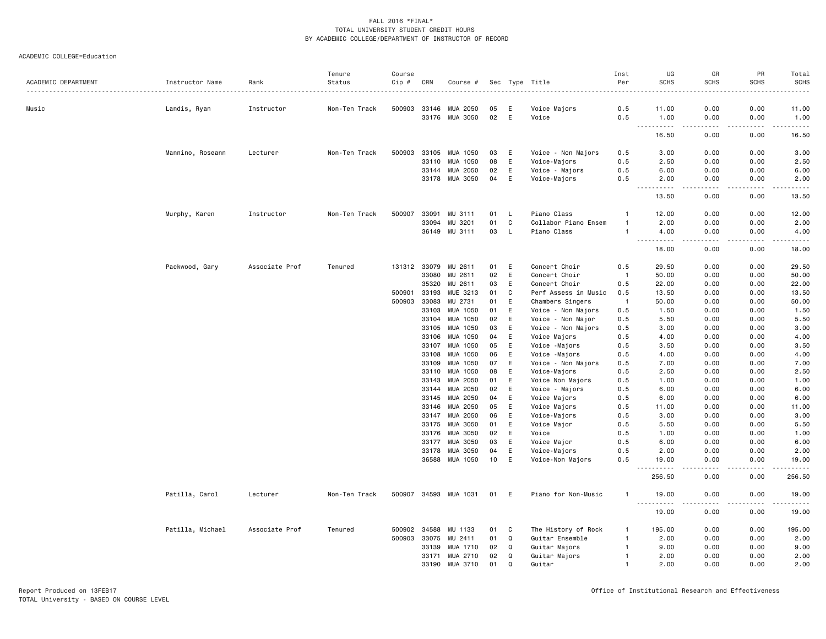|                     |                  |                | Tenure        | Course       |                |                      |          |          |                                  | Inst           | UG                                 | GR                    | PR           | Total                                                                                                                                    |
|---------------------|------------------|----------------|---------------|--------------|----------------|----------------------|----------|----------|----------------------------------|----------------|------------------------------------|-----------------------|--------------|------------------------------------------------------------------------------------------------------------------------------------------|
| ACADEMIC DEPARTMENT | Instructor Name  | Rank           | Status        | Cip #        | CRN            | Course #             |          |          | Sec Type Title                   | Per            | <b>SCHS</b>                        | <b>SCHS</b>           | <b>SCHS</b>  | <b>SCHS</b><br>$\frac{1}{2} \left( \frac{1}{2} \right) \left( \frac{1}{2} \right) \left( \frac{1}{2} \right) \left( \frac{1}{2} \right)$ |
| Music               | Landis, Ryan     | Instructor     | Non-Ten Track | 500903       | 33146          | MUA 2050             | 05       | E        | Voice Majors                     | 0.5            | 11.00                              | 0.00                  | 0.00         | 11.00                                                                                                                                    |
|                     |                  |                |               |              |                | 33176 MUA 3050       | 02       | E        | Voice                            | 0.5            | 1.00                               | 0.00                  | 0.00         | 1.00                                                                                                                                     |
|                     |                  |                |               |              |                |                      |          |          |                                  |                | -----<br>16.50                     | $\frac{1}{2}$<br>0.00 | .<br>0.00    | .<br>16.50                                                                                                                               |
|                     | Mannino, Roseann | Lecturer       | Non-Ten Track | 500903       | 33105          | MUA 1050             | 03       | E        | Voice - Non Majors               | 0.5            | 3.00                               | 0.00                  | 0.00         | 3.00                                                                                                                                     |
|                     |                  |                |               |              | 33110          | MUA 1050             | 08       | E        | Voice-Majors                     | 0.5            | 2.50                               | 0.00                  | 0.00         | 2.50                                                                                                                                     |
|                     |                  |                |               |              | 33144          | MUA 2050             | 02       | E        | Voice - Majors                   | 0.5            | 6.00                               | 0.00                  | 0.00         | 6.00                                                                                                                                     |
|                     |                  |                |               |              | 33178          | MUA 3050             | 04       | E        | Voice-Majors                     | 0.5            | 2.00                               | 0.00                  | 0.00         | 2.00                                                                                                                                     |
|                     |                  |                |               |              |                |                      |          |          |                                  |                | .<br>$\sim$ $\sim$ $\sim$<br>13.50 | د د د د<br>0.00       | .<br>0.00    | د د د د د<br>13.50                                                                                                                       |
|                     |                  |                | Non-Ten Track | 500907       | 33091          | MU 3111              | 01       | L        | Piano Class                      | $\mathbf{1}$   | 12.00                              | 0.00                  | 0.00         | 12.00                                                                                                                                    |
|                     | Murphy, Karen    | Instructor     |               |              | 33094          | MU 3201              | 01       | C        | Collabor Piano Ensem             |                | 2.00                               | 0.00                  | 0.00         | 2.00                                                                                                                                     |
|                     |                  |                |               |              |                | 36149 MU 3111        | 03       | <b>L</b> | Piano Class                      | -1             | 4.00                               | 0.00                  | 0.00         | 4.00                                                                                                                                     |
|                     |                  |                |               |              |                |                      |          |          |                                  |                | $\sim$ $\sim$ $\sim$<br>-----      | .                     | -----        | .                                                                                                                                        |
|                     |                  |                |               |              |                |                      |          |          |                                  |                | 18.00                              | 0.00                  | 0.00         | 18.00                                                                                                                                    |
|                     | Packwood, Gary   | Associate Prof | Tenured       | 131312 33079 |                | MU 2611              | 01       | E        | Concert Choir                    | 0.5            | 29.50                              | 0.00                  | 0.00         | 29.50                                                                                                                                    |
|                     |                  |                |               |              | 33080          | MU 2611              | 02       | E        | Concert Choir                    | $\overline{1}$ | 50.00                              | 0.00                  | 0.00         | 50.00                                                                                                                                    |
|                     |                  |                |               |              | 35320          | MU 2611              | 03       | E        | Concert Choir                    | 0.5            | 22.00                              | 0.00                  | 0.00         | 22.00                                                                                                                                    |
|                     |                  |                |               | 500901       | 33193          | MUE 3213             | 01       | C        | Perf Assess in Music             | 0.5            | 13.50                              | 0.00                  | 0.00         | 13.50                                                                                                                                    |
|                     |                  |                |               | 500903       | 33083          | MU 2731              | 01       | E        | Chambers Singers                 | $\overline{1}$ | 50.00                              | 0.00                  | 0.00         | 50.00                                                                                                                                    |
|                     |                  |                |               |              | 33103          | MUA 1050             | 01       | E        | Voice - Non Majors               | 0.5            | 1.50                               | 0.00                  | 0.00         | 1.50                                                                                                                                     |
|                     |                  |                |               |              | 33104          | MUA 1050             | 02       | E        | Voice - Non Major                | 0.5            | 5.50                               | 0.00                  | 0.00         | 5.50                                                                                                                                     |
|                     |                  |                |               |              | 33105          | MUA 1050             | 03       | E        | Voice - Non Majors               | 0.5            | 3.00                               | 0.00                  | 0.00         | 3.00                                                                                                                                     |
|                     |                  |                |               |              | 33106          | MUA 1050             | 04       | E        | Voice Majors                     | 0.5            | 4.00                               | 0.00                  | 0.00         | 4.00                                                                                                                                     |
|                     |                  |                |               |              | 33107          | MUA 1050             | 05       | E        | Voice -Majors                    | 0.5            | 3.50                               | 0.00                  | 0.00         | 3.50                                                                                                                                     |
|                     |                  |                |               |              | 33108          | MUA 1050             | 06       | E        | Voice -Majors                    | 0.5            | 4.00                               | 0.00                  | 0.00         | 4.00                                                                                                                                     |
|                     |                  |                |               |              | 33109          | MUA 1050             | 07       | E        | Voice - Non Majors               | 0.5            | 7.00                               | 0.00                  | 0.00         | 7.00                                                                                                                                     |
|                     |                  |                |               |              | 33110          | MUA 1050             | 08       | E        | Voice-Majors                     | 0.5            | 2.50                               | 0.00                  | 0.00         | 2.50                                                                                                                                     |
|                     |                  |                |               |              | 33143          | MUA 2050             | 01       | E        | Voice Non Majors                 | 0.5            | 1.00                               | 0.00                  | 0.00         | 1.00                                                                                                                                     |
|                     |                  |                |               |              | 33144          | MUA 2050             | 02       | E        | Voice - Majors                   | 0.5            | 6.00                               | 0.00                  | 0.00         | 6.00                                                                                                                                     |
|                     |                  |                |               |              | 33145          | MUA 2050             | 04       | E        | Voice Majors                     | 0.5            | 6.00                               | 0.00                  | 0.00         | 6.00                                                                                                                                     |
|                     |                  |                |               |              | 33146          | MUA 2050             | 05       | E        | Voice Majors                     | 0.5            | 11.00                              | 0.00                  | 0.00         | 11.00                                                                                                                                    |
|                     |                  |                |               |              | 33147          | MUA 2050             | 06       | E        | Voice-Majors                     | 0.5            | 3.00                               | 0.00                  | 0.00         | 3.00                                                                                                                                     |
|                     |                  |                |               |              | 33175          | MUA 3050             | 01       | E        | Voice Major                      | 0.5            | 5.50                               | 0.00                  | 0.00         | 5.50                                                                                                                                     |
|                     |                  |                |               |              | 33176<br>33177 | MUA 3050<br>MUA 3050 | 02<br>03 | E<br>E   | Voice                            | 0.5<br>0.5     | 1.00<br>6.00                       | 0.00<br>0.00          | 0.00<br>0.00 | 1.00<br>6.00                                                                                                                             |
|                     |                  |                |               |              |                |                      | 04       | E        | Voice Major                      |                |                                    | 0.00                  |              |                                                                                                                                          |
|                     |                  |                |               |              | 33178<br>36588 | MUA 3050<br>MUA 1050 | 10       | E        | Voice-Majors<br>Voice-Non Majors | 0.5<br>0.5     | 2.00<br>19.00                      | 0.00                  | 0.00<br>0.00 | 2.00<br>19.00                                                                                                                            |
|                     |                  |                |               |              |                |                      |          |          |                                  |                | .<br>256.50                        | $  -$<br>0.00         | .<br>0.00    | .<br>256.50                                                                                                                              |
|                     | Patilla, Carol   |                |               | 500907       | 34593          | MUA 1031             | 01       | E        | Piano for Non-Music              | -1             |                                    | 0.00                  | 0.00         | 19.00                                                                                                                                    |
|                     |                  | Lecturer       | Non-Ten Track |              |                |                      |          |          |                                  |                | 19.00<br><u>.</u>                  |                       | $- - - -$    | .                                                                                                                                        |
|                     |                  |                |               |              |                |                      |          |          |                                  |                | 19.00                              | 0.00                  | 0.00         | 19.00                                                                                                                                    |
|                     | Patilla, Michael | Associate Prof | Tenured       | 500902       | 34588          | MU 1133              | 01       | C        | The History of Rock              | -1             | 195.00                             | 0.00                  | 0.00         | 195.00                                                                                                                                   |
|                     |                  |                |               | 500903       | 33075          | MU 2411              | 01       | Q        | Guitar Ensemble                  | $\mathbf{1}$   | 2.00                               | 0.00                  | 0.00         | 2.00                                                                                                                                     |
|                     |                  |                |               |              | 33139          | MUA 1710             | 02       | Q        | Guitar Majors                    | $\mathbf{1}$   | 9.00                               | 0.00                  | 0.00         | 9.00                                                                                                                                     |
|                     |                  |                |               |              | 33171          | MUA 2710             | 02       | Q        | Guitar Majors                    | $\mathbf{1}$   | 2.00                               | 0.00                  | 0.00         | 2.00                                                                                                                                     |
|                     |                  |                |               |              | 33190          | MUA 3710             | 01       | $\Omega$ | Guitar                           | $\overline{1}$ | 2.00                               | 0.00                  | 0.00         | 2.00                                                                                                                                     |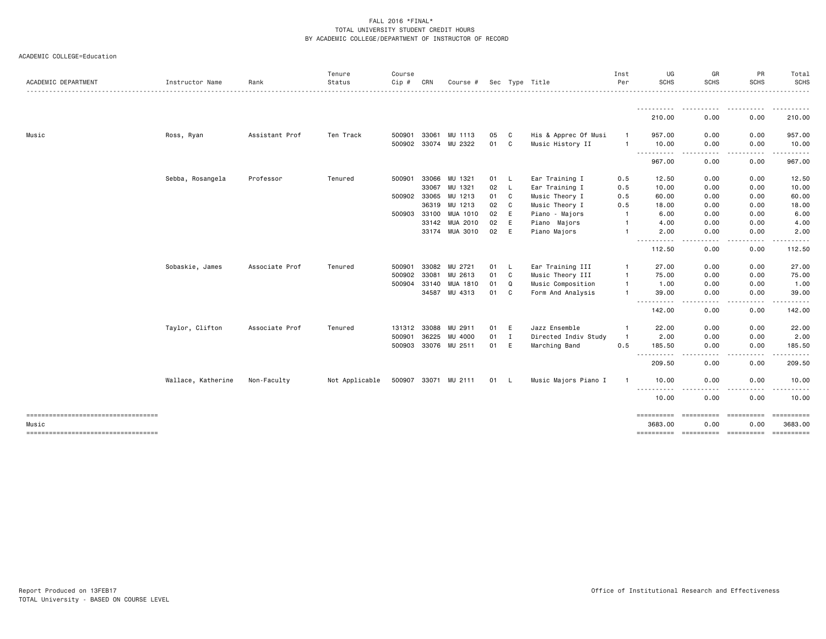|                                               |                    |                | Tenure         | Course       |              |                      |      |     |                      | Inst           | UG                     | GR                                  | PR                  | Total                 |
|-----------------------------------------------|--------------------|----------------|----------------|--------------|--------------|----------------------|------|-----|----------------------|----------------|------------------------|-------------------------------------|---------------------|-----------------------|
| ACADEMIC DEPARTMENT                           | Instructor Name    | Rank           | Status         | Cip #        | CRN          | Course #             |      |     | Sec Type Title       | Per            | <b>SCHS</b>            | <b>SCHS</b>                         | <b>SCHS</b>         | <b>SCHS</b>           |
|                                               |                    |                |                |              |              |                      |      |     |                      |                | -----------<br>210.00  | $\sim$ $\sim$ $\sim$ $\sim$<br>0.00 | 0.00                | .<br>210.00           |
| Music                                         | Ross, Ryan         | Assistant Prof | Ten Track      | 500901       | 33061        | MU 1113              | 05   | C   | His & Apprec Of Musi | -1             | 957.00                 | 0.00                                | 0.00                | 957.00                |
|                                               |                    |                |                |              |              | 500902 33074 MU 2322 | 01   | C   | Music History II     | -1             | 10.00                  | 0.00                                | 0.00                | 10.00                 |
|                                               |                    |                |                |              |              |                      |      |     |                      |                | .<br>967.00            | 0.00                                | $\cdots$<br>0.00    | .<br>967.00           |
|                                               | Sebba, Rosangela   | Professor      | Tenured        | 500901       | 33066        | MU 1321              | 01   | - L | Ear Training I       | 0.5            | 12.50                  | 0.00                                | 0.00                | 12.50                 |
|                                               |                    |                |                |              | 33067        | MU 1321              | 02   | - L | Ear Training I       | 0.5            | 10.00                  | 0.00                                | 0.00                | 10.00                 |
|                                               |                    |                |                | 500902 33065 |              | MU 1213              | 01   | C   | Music Theory I       | 0.5            | 60.00                  | 0.00                                | 0.00                | 60.00                 |
|                                               |                    |                |                |              | 36319        | MU 1213              | 02   | C.  | Music Theory I       | 0.5            | 18.00                  | 0.00                                | 0.00                | 18.00                 |
|                                               |                    |                |                | 500903 33100 |              | MUA 1010             | 02   | E   | Piano - Majors       | $\overline{1}$ | 6.00                   | 0.00                                | 0.00                | 6.00                  |
|                                               |                    |                |                |              | 33142        | MUA 2010             | 02   | E   | Piano Majors         |                | 4.00                   | 0.00                                | 0.00                | 4.00                  |
|                                               |                    |                |                |              |              | 33174 MUA 3010       | 02   | E   | Piano Majors         |                | 2.00<br>-----<br>----- | 0.00<br>$- - - -$                   | 0.00<br>.           | 2.00<br>.             |
|                                               |                    |                |                |              |              |                      |      |     |                      |                | 112.50                 | 0.00                                | 0.00                | 112.50                |
|                                               | Sobaskie, James    | Associate Prof | Tenured        | 500901       | 33082        | MU 2721              | 01   | - L | Ear Training III     | -1             | 27.00                  | 0.00                                | 0.00                | 27.00                 |
|                                               |                    |                |                | 500902       | 33081        | MU 2613              | 01   | C   | Music Theory III     | -1             | 75.00                  | 0.00                                | 0.00                | 75.00                 |
|                                               |                    |                |                | 500904       | 33140        | MUA 1810             | 01   | Q   | Music Composition    | -1             | 1.00                   | 0.00                                | 0.00                | 1.00                  |
|                                               |                    |                |                |              |              | 34587 MU 4313        | 01   | C   | Form And Analysis    |                | 39.00                  | 0.00                                | 0.00                | 39.00                 |
|                                               |                    |                |                |              |              |                      |      |     |                      |                | <b></b><br>142.00      | 0.00                                | 0.00                | 142.00                |
|                                               | Taylor, Clifton    | Associate Prof | Tenured        |              | 131312 33088 | MU 2911              | 01   | E   | Jazz Ensemble        | $\mathbf{1}$   | 22.00                  | 0.00                                | 0.00                | 22.00                 |
|                                               |                    |                |                | 500901       | 36225        | MU 4000              | 01   | I   | Directed Indiv Study | $\mathbf{1}$   | 2.00                   | 0.00                                | 0.00                | 2.00                  |
|                                               |                    |                |                |              |              | 500903 33076 MU 2511 | 01   | E   | Marching Band        | 0.5            | 185.50                 | 0.00                                | 0.00                | 185.50                |
|                                               |                    |                |                |              |              |                      |      |     |                      |                | $- - - -$<br>209.50    | 0.00                                | .<br>0.00           | 209.50                |
|                                               | Wallace, Katherine | Non-Faculty    | Not Applicable |              |              | 500907 33071 MU 2111 | 01 L |     | Music Majors Piano I | -1             | 10.00                  | 0.00                                | 0.00                | 10.00                 |
|                                               |                    |                |                |              |              |                      |      |     |                      |                | ----------<br>10.00    | $\frac{1}{2}$<br>0.00               | 0.00                | 10.00                 |
| ------------------------------------<br>Music |                    |                |                |              |              |                      |      |     |                      |                | ==========<br>3683.00  | ==========<br>0.00                  | -----------<br>0.00 | ==========<br>3683.00 |
| ======================================        |                    |                |                |              |              |                      |      |     |                      |                | ==========             | =====================               |                     | ==========            |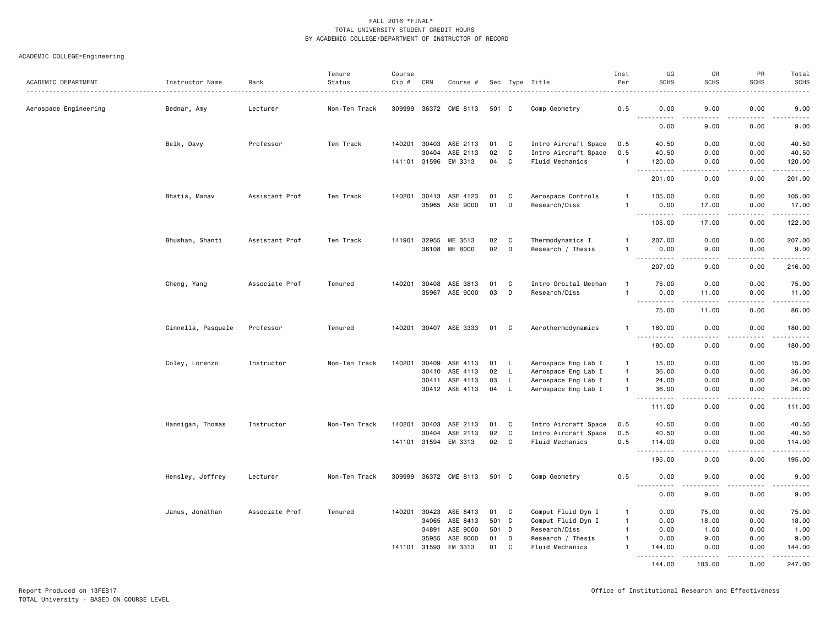# ACADEMIC COLLEGE=Engineering

| ACADEMIC DEPARTMENT   | Instructor Name    | Rank           | Tenure<br>Status | Course<br>Cip # | CRN            | Course #                   |          |                    | Sec Type Title                       | Inst<br>Per                  | UG<br><b>SCHS</b>                                                                              | GR<br><b>SCHS</b>                                                                                                                                             | PR<br><b>SCHS</b> | Total<br><b>SCHS</b>                           |
|-----------------------|--------------------|----------------|------------------|-----------------|----------------|----------------------------|----------|--------------------|--------------------------------------|------------------------------|------------------------------------------------------------------------------------------------|---------------------------------------------------------------------------------------------------------------------------------------------------------------|-------------------|------------------------------------------------|
| Aerospace Engineering | Bednar, Amy        | Lecturer       | Non-Ten Track    | 309999          |                | 36372 CME 8113             |          | 501 C              | Comp Geometry                        | 0.5                          | 0.00                                                                                           | 9.00                                                                                                                                                          | 0.00              | -----<br>9.00                                  |
|                       |                    |                |                  |                 |                |                            |          |                    |                                      |                              | $- - - - -$<br>0.00                                                                            | 9.00                                                                                                                                                          | 0.00              | <u>.</u><br>9.00                               |
|                       | Belk, Davy         | Professor      | Ten Track        | 140201          | 30403          | ASE 2113                   | 01       | C                  | Intro Aircraft Space                 | 0.5                          | 40.50                                                                                          | 0.00                                                                                                                                                          | 0.00              | 40.50                                          |
|                       |                    |                |                  |                 | 30404          | ASE 2113                   | 02       | C                  | Intro Aircraft Space                 | 0.5                          | 40.50                                                                                          | 0.00                                                                                                                                                          | 0.00              | 40.50                                          |
|                       |                    |                |                  | 141101          | 31596          | EM 3313                    | 04       | C                  | Fluid Mechanics                      | $\mathbf{1}$                 | 120.00<br>. <b>.</b>                                                                           | 0.00                                                                                                                                                          | 0.00<br>.         | 120.00                                         |
|                       |                    |                |                  |                 |                |                            |          |                    |                                      |                              | 201.00                                                                                         | 0.00                                                                                                                                                          | 0.00              | 201.00                                         |
|                       | Bhatia, Manav      | Assistant Prof | Ten Track        | 140201          | 30413          | ASE 4123                   | 01       | C                  | Aerospace Controls                   | $\mathbf{1}$                 | 105.00                                                                                         | 0.00                                                                                                                                                          | 0.00              | 105.00                                         |
|                       |                    |                |                  |                 | 35965          | ASE 9000                   | 01       | D                  | Research/Diss                        | $\mathbf{1}$                 | 0.00<br>.                                                                                      | 17.00<br>$\frac{1}{2} \left( \frac{1}{2} \right) \left( \frac{1}{2} \right) \left( \frac{1}{2} \right) \left( \frac{1}{2} \right) \left( \frac{1}{2} \right)$ | 0.00<br>.         | 17.00<br>.                                     |
|                       |                    |                |                  |                 |                |                            |          |                    |                                      |                              | 105.00                                                                                         | 17.00                                                                                                                                                         | 0.00              | 122.00                                         |
|                       | Bhushan, Shanti    | Assistant Prof | Ten Track        | 141901          | 32955          | ME 3513                    | 02       | C                  | Thermodynamics I                     | $\mathbf{1}$                 | 207.00                                                                                         | 0.00                                                                                                                                                          | 0.00              | 207.00                                         |
|                       |                    |                |                  |                 |                | 36108 ME 8000              | 02       | D                  | Research / Thesis                    | $\mathbf{1}$                 | 0.00<br>----<br>.                                                                              | 9.00<br>$\frac{1}{2}$                                                                                                                                         | 0.00<br>$- - - -$ | 9.00<br>$- - - - - - -$                        |
|                       |                    |                |                  |                 |                |                            |          |                    |                                      |                              | 207.00                                                                                         | 9.00                                                                                                                                                          | 0.00              | 216.00                                         |
|                       | Cheng, Yang        | Associate Prof | Tenured          | 140201          | 30408          | ASE 3813                   | 01       | C                  | Intro Orbital Mechan                 | -1                           | 75.00                                                                                          | 0.00                                                                                                                                                          | 0.00              | 75.00                                          |
|                       |                    |                |                  |                 | 35967          | ASE 9000                   | 03       | D                  | Research/Diss                        | $\mathbf{1}$                 | 0.00                                                                                           | 11.00                                                                                                                                                         | 0.00              | 11.00                                          |
|                       |                    |                |                  |                 |                |                            |          |                    |                                      |                              | 75.00                                                                                          | 11.00                                                                                                                                                         | 0.00              | 22222<br>86.00                                 |
|                       | Cinnella, Pasquale | Professor      | Tenured          | 140201          |                | 30407 ASE 3333             | 01       | $\mathbf{C}$       | Aerothermodynamics                   | $\mathbf{1}$                 | 180.00                                                                                         | 0.00                                                                                                                                                          | 0.00              | 180.00                                         |
|                       |                    |                |                  |                 |                |                            |          |                    |                                      |                              | .<br>180.00                                                                                    | 0.00                                                                                                                                                          | .<br>0.00         | .<br>180.00                                    |
|                       | Coley, Lorenzo     | Instructor     | Non-Ten Track    | 140201          | 30409          | ASE 4113                   | 01       | L.                 | Aerospace Eng Lab I                  | $\mathbf{1}$                 | 15.00                                                                                          | 0.00                                                                                                                                                          | 0.00              | 15.00                                          |
|                       |                    |                |                  |                 | 30410          | ASE 4113                   | 02       | L.                 | Aerospace Eng Lab I                  | $\mathbf{1}$                 | 36.00                                                                                          | 0.00                                                                                                                                                          | 0.00              | 36.00                                          |
|                       |                    |                |                  |                 | 30411          | ASE 4113<br>30412 ASE 4113 | 03<br>04 | $\mathsf{L}$<br>L. | Aerospace Eng Lab I                  | $\mathbf{1}$<br>$\mathbf{1}$ | 24.00<br>36.00                                                                                 | 0.00<br>0.00                                                                                                                                                  | 0.00<br>0.00      | 24.00<br>36.00                                 |
|                       |                    |                |                  |                 |                |                            |          |                    | Aerospace Eng Lab I                  |                              | $\frac{1}{2} \left( \frac{1}{2} \right) \left( \frac{1}{2} \right) \left( \frac{1}{2} \right)$ |                                                                                                                                                               | $- - - -$         | .                                              |
|                       |                    |                |                  |                 |                |                            |          |                    |                                      |                              | 111.00                                                                                         | 0.00                                                                                                                                                          | 0.00              | 111.00                                         |
|                       | Hannigan, Thomas   | Instructor     | Non-Ten Track    | 140201          | 30403          | ASE 2113                   | 01       | C                  | Intro Aircraft Space                 | 0.5                          | 40.50                                                                                          | 0.00                                                                                                                                                          | 0.00              | 40.50                                          |
|                       |                    |                |                  |                 | 30404          | ASE 2113                   | 02       | $\mathtt{C}$       | Intro Aircraft Space                 | 0.5                          | 40.50                                                                                          | 0.00                                                                                                                                                          | 0.00              | 40.50                                          |
|                       |                    |                |                  |                 | 141101 31594   | EM 3313                    | 02       | $\mathbf{C}$       | Fluid Mechanics                      | 0.5                          | 114.00<br>.                                                                                    | 0.00<br>$- - - -$                                                                                                                                             | 0.00<br>.         | 114.00<br>$\omega$ is a second set of $\omega$ |
|                       |                    |                |                  |                 |                |                            |          |                    |                                      |                              | 195.00                                                                                         | 0.00                                                                                                                                                          | 0.00              | 195.00                                         |
|                       | Hensley, Jeffrey   | Lecturer       | Non-Ten Track    | 309999          |                | 36372 CME 8113             |          | 501 C              | Comp Geometry                        | 0.5                          | 0.00<br>.                                                                                      | 9.00                                                                                                                                                          | 0.00<br>$\cdots$  | 9.00<br>-----                                  |
|                       |                    |                |                  |                 |                |                            |          |                    |                                      |                              | 0.00                                                                                           | 9.00                                                                                                                                                          | 0.00              | 9.00                                           |
|                       | Janus, Jonathan    | Associate Prof | Tenured          | 140201          | 30423          | ASE 8413                   | 01       | C                  | Comput Fluid Dyn I                   | $\mathbf{1}$                 | 0.00                                                                                           | 75.00                                                                                                                                                         | 0.00              | 75.00                                          |
|                       |                    |                |                  |                 | 34065          | ASE 8413                   |          | 501 C              | Comput Fluid Dyn I                   | $\mathbf{1}$                 | 0.00                                                                                           | 18.00                                                                                                                                                         | 0.00              | 18.00                                          |
|                       |                    |                |                  |                 | 34891          | ASE 9000                   |          | 501 D              | Research/Diss                        | $\mathbf{1}$                 | 0.00                                                                                           | 1.00                                                                                                                                                          | 0.00              | 1.00                                           |
|                       |                    |                |                  | 141101          | 35955<br>31593 | ASE 8000<br>EM 3313        | 01<br>01 | D<br>C             | Research / Thesis<br>Fluid Mechanics | $\mathbf{1}$                 | 0.00<br>144.00                                                                                 | 9.00<br>0.00                                                                                                                                                  | 0.00<br>0.00      | 9.00<br>144.00                                 |
|                       |                    |                |                  |                 |                |                            |          |                    |                                      |                              | .<br>144.00                                                                                    | 103.00                                                                                                                                                        | 0.00              | 247.00                                         |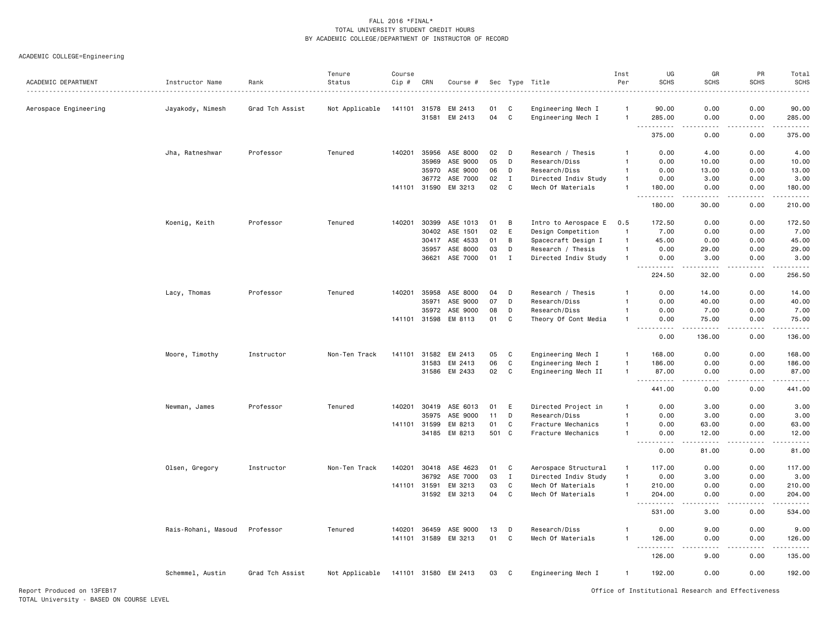# ACADEMIC COLLEGE=Engineering

| ACADEMIC DEPARTMENT   | Instructor Name     | Rank            | Tenure<br>Status | Course<br>Cip # | CRN            | Course #             |          |             | Sec Type Title                           | Inst<br>Per          | UG<br><b>SCHS</b>                   | GR<br><b>SCHS</b>                                                                                                                                             | PR<br><b>SCHS</b> | Total<br>SCHS                                                                                                                                                                                                                                                                                                                                                                                                                                                                                    |
|-----------------------|---------------------|-----------------|------------------|-----------------|----------------|----------------------|----------|-------------|------------------------------------------|----------------------|-------------------------------------|---------------------------------------------------------------------------------------------------------------------------------------------------------------|-------------------|--------------------------------------------------------------------------------------------------------------------------------------------------------------------------------------------------------------------------------------------------------------------------------------------------------------------------------------------------------------------------------------------------------------------------------------------------------------------------------------------------|
|                       |                     |                 |                  |                 |                |                      |          |             |                                          |                      |                                     |                                                                                                                                                               |                   | .                                                                                                                                                                                                                                                                                                                                                                                                                                                                                                |
| Aerospace Engineering | Jayakody, Nimesh    | Grad Tch Assist | Not Applicable   | 141101          | 31578<br>31581 | EM 2413<br>EM 2413   | 01<br>04 | C<br>C      | Engineering Mech I<br>Engineering Mech I | -1<br>$\overline{1}$ | 90.00<br>285.00                     | 0.00<br>0.00                                                                                                                                                  | 0.00<br>0.00      | 90.00<br>285.00                                                                                                                                                                                                                                                                                                                                                                                                                                                                                  |
|                       |                     |                 |                  |                 |                |                      |          |             |                                          |                      | $  -$<br>.<br>375.00                | .<br>0.00                                                                                                                                                     | .<br>0.00         | $\begin{array}{cccccccccccccc} \multicolumn{2}{c}{} & \multicolumn{2}{c}{} & \multicolumn{2}{c}{} & \multicolumn{2}{c}{} & \multicolumn{2}{c}{} & \multicolumn{2}{c}{} & \multicolumn{2}{c}{} & \multicolumn{2}{c}{} & \multicolumn{2}{c}{} & \multicolumn{2}{c}{} & \multicolumn{2}{c}{} & \multicolumn{2}{c}{} & \multicolumn{2}{c}{} & \multicolumn{2}{c}{} & \multicolumn{2}{c}{} & \multicolumn{2}{c}{} & \multicolumn{2}{c}{} & \multicolumn{2}{c}{} & \multicolumn{2}{c}{} & \$<br>375.00 |
|                       | Jha, Ratneshwar     | Professor       | Tenured          | 140201          | 35956          | ASE 8000             | 02       | D           | Research / Thesis                        |                      | 0.00                                | 4.00                                                                                                                                                          | 0.00              | 4.00                                                                                                                                                                                                                                                                                                                                                                                                                                                                                             |
|                       |                     |                 |                  |                 | 35969          | ASE 9000             | 05       | D           | Research/Diss                            | $\mathbf{1}$         | 0.00                                | 10.00                                                                                                                                                         | 0.00              | 10.00                                                                                                                                                                                                                                                                                                                                                                                                                                                                                            |
|                       |                     |                 |                  |                 | 35970          | ASE 9000             | 06       | D           | Research/Diss                            | $\overline{1}$       | 0.00                                | 13.00                                                                                                                                                         | 0.00              | 13.00                                                                                                                                                                                                                                                                                                                                                                                                                                                                                            |
|                       |                     |                 |                  |                 | 36772          | ASE 7000             | 02       | $\mathbf I$ | Directed Indiv Study                     | $\overline{1}$       | 0.00                                | 3.00                                                                                                                                                          | 0.00              | 3.00                                                                                                                                                                                                                                                                                                                                                                                                                                                                                             |
|                       |                     |                 |                  | 141101 31590    |                | EM 3213              | 02       | C           | Mech Of Materials                        | $\overline{1}$       | 180.00                              | 0.00                                                                                                                                                          | 0.00              | 180.00                                                                                                                                                                                                                                                                                                                                                                                                                                                                                           |
|                       |                     |                 |                  |                 |                |                      |          |             |                                          |                      | .<br>180.00                         | .<br>30.00                                                                                                                                                    | .<br>0.00         | .<br>210.00                                                                                                                                                                                                                                                                                                                                                                                                                                                                                      |
|                       | Koenig, Keith       | Professor       | Tenured          | 140201          | 30399          | ASE 1013             | 01       | B           | Intro to Aerospace E                     | 0.5                  | 172.50                              | 0.00                                                                                                                                                          | 0.00              | 172.50                                                                                                                                                                                                                                                                                                                                                                                                                                                                                           |
|                       |                     |                 |                  |                 | 30402          | ASE 1501             | 02       | E           | Design Competition                       | $\overline{1}$       | 7.00                                | 0.00                                                                                                                                                          | 0.00              | 7.00                                                                                                                                                                                                                                                                                                                                                                                                                                                                                             |
|                       |                     |                 |                  |                 | 30417          | ASE 4533             | 01       | B           | Spacecraft Design I                      | $\mathbf{1}$         | 45.00                               | 0.00                                                                                                                                                          | 0.00              | 45.00                                                                                                                                                                                                                                                                                                                                                                                                                                                                                            |
|                       |                     |                 |                  |                 | 35957          | ASE 8000             | 03       | D           | Research / Thesis                        | $\overline{1}$       | 0.00                                | 29.00                                                                                                                                                         | 0.00              | 29.00                                                                                                                                                                                                                                                                                                                                                                                                                                                                                            |
|                       |                     |                 |                  |                 | 36621          | ASE 7000             | 01       | $\mathbf I$ | Directed Indiv Study                     | $\overline{1}$       | 0.00                                | 3.00                                                                                                                                                          | 0.00              | 3.00                                                                                                                                                                                                                                                                                                                                                                                                                                                                                             |
|                       |                     |                 |                  |                 |                |                      |          |             |                                          |                      | .<br>224.50                         | $\frac{1}{2} \left( \frac{1}{2} \right) \left( \frac{1}{2} \right) \left( \frac{1}{2} \right) \left( \frac{1}{2} \right) \left( \frac{1}{2} \right)$<br>32.00 | د د د د<br>0.00   | .<br>256.50                                                                                                                                                                                                                                                                                                                                                                                                                                                                                      |
|                       | Lacy, Thomas        | Professor       | Tenured          | 140201          | 35958          | ASE 8000             | 04       | D           | Research / Thesis                        | $\mathbf{1}$         | 0.00                                | 14.00                                                                                                                                                         | 0.00              | 14.00                                                                                                                                                                                                                                                                                                                                                                                                                                                                                            |
|                       |                     |                 |                  |                 | 35971          | ASE 9000             | 07       | D           | Research/Diss                            |                      | 0.00                                | 40.00                                                                                                                                                         | 0.00              | 40.00                                                                                                                                                                                                                                                                                                                                                                                                                                                                                            |
|                       |                     |                 |                  |                 | 35972          | ASE 9000             | 08       | D           | Research/Diss                            | $\mathbf{1}$         | 0.00                                | 7.00                                                                                                                                                          | 0.00              | 7.00                                                                                                                                                                                                                                                                                                                                                                                                                                                                                             |
|                       |                     |                 |                  | 141101 31598    |                | EM 8113              | 01       | C           | Theory Of Cont Media                     |                      | 0.00<br>$\sim$ $\sim$ $\sim$<br>.   | 75.00<br>.                                                                                                                                                    | 0.00<br>.         | 75.00<br>.                                                                                                                                                                                                                                                                                                                                                                                                                                                                                       |
|                       |                     |                 |                  |                 |                |                      |          |             |                                          |                      | 0.00                                | 136.00                                                                                                                                                        | 0.00              | 136.00                                                                                                                                                                                                                                                                                                                                                                                                                                                                                           |
|                       | Moore, Timothy      | Instructor      | Non-Ten Track    | 141101          | 31582          | EM 2413              | 05       | C           | Engineering Mech I                       | $\overline{1}$       | 168.00                              | 0.00                                                                                                                                                          | 0.00              | 168.00                                                                                                                                                                                                                                                                                                                                                                                                                                                                                           |
|                       |                     |                 |                  |                 | 31583          | EM 2413              | 06       | $\mathbf c$ | Engineering Mech I                       | $\mathbf{1}$         | 186.00                              | 0.00                                                                                                                                                          | 0.00              | 186.00                                                                                                                                                                                                                                                                                                                                                                                                                                                                                           |
|                       |                     |                 |                  |                 | 31586          | EM 2433              | 02       | C           | Engineering Mech II                      | $\overline{1}$       | 87.00<br>$\frac{1}{2}$              | 0.00<br>$   -$                                                                                                                                                | 0.00<br>د د د د   | 87.00<br><u>.</u>                                                                                                                                                                                                                                                                                                                                                                                                                                                                                |
|                       |                     |                 |                  |                 |                |                      |          |             |                                          |                      | 441.00                              | 0.00                                                                                                                                                          | 0.00              | 441.00                                                                                                                                                                                                                                                                                                                                                                                                                                                                                           |
|                       | Newman, James       | Professor       | Tenured          | 140201          | 30419          | ASE 6013             | 01       | E           | Directed Project in                      |                      | 0.00                                | 3.00                                                                                                                                                          | 0.00              | 3.00                                                                                                                                                                                                                                                                                                                                                                                                                                                                                             |
|                       |                     |                 |                  |                 | 35975          | ASE 9000             | 11       | D           | Research/Diss                            |                      | 0.00                                | 3.00                                                                                                                                                          | 0.00              | 3.00                                                                                                                                                                                                                                                                                                                                                                                                                                                                                             |
|                       |                     |                 |                  | 141101          | 31599          | EM 8213              | 01       | C           | Fracture Mechanics                       |                      | 0.00                                | 63.00                                                                                                                                                         | 0.00              | 63.00                                                                                                                                                                                                                                                                                                                                                                                                                                                                                            |
|                       |                     |                 |                  |                 | 34185          | EM 8213              | 501 C    |             | Fracture Mechanics                       | $\overline{1}$       | 0.00<br>$\sim$ $\sim$ $\sim$ $\sim$ | 12.00                                                                                                                                                         | 0.00              | 12.00<br>.                                                                                                                                                                                                                                                                                                                                                                                                                                                                                       |
|                       |                     |                 |                  |                 |                |                      |          |             |                                          |                      | 0.00                                | 81.00                                                                                                                                                         | 0.00              | 81.00                                                                                                                                                                                                                                                                                                                                                                                                                                                                                            |
|                       | Olsen, Gregory      | Instructor      | Non-Ten Track    | 140201          | 30418          | ASE 4623             | 01       | C           | Aerospace Structural                     | $\overline{1}$       | 117.00                              | 0.00                                                                                                                                                          | 0.00              | 117.00                                                                                                                                                                                                                                                                                                                                                                                                                                                                                           |
|                       |                     |                 |                  |                 | 36792          | ASE 7000             | 03       | $\;$ I      | Directed Indiv Study                     | $\overline{1}$       | 0.00                                | 3.00                                                                                                                                                          | 0.00              | 3.00                                                                                                                                                                                                                                                                                                                                                                                                                                                                                             |
|                       |                     |                 |                  | 141101          | 31591          | EM 3213              | 03       | $\mathbf c$ | Mech Of Materials                        | $\overline{1}$       | 210.00                              | 0.00                                                                                                                                                          | 0.00              | 210.00                                                                                                                                                                                                                                                                                                                                                                                                                                                                                           |
|                       |                     |                 |                  |                 | 31592          | EM 3213              | 04       | $\mathbf c$ | Mech Of Materials                        | $\overline{1}$       | 204.00<br>$\sim$ $\sim$ $\sim$<br>. | 0.00                                                                                                                                                          | 0.00              | 204.00<br>------                                                                                                                                                                                                                                                                                                                                                                                                                                                                                 |
|                       |                     |                 |                  |                 |                |                      |          |             |                                          |                      | 531.00                              | 3.00                                                                                                                                                          | 0.00              | 534.00                                                                                                                                                                                                                                                                                                                                                                                                                                                                                           |
|                       | Rais-Rohani, Masoud | Professor       | Tenured          | 140201          | 36459          | ASE 9000             | 13       | D           | Research/Diss                            | $\mathbf{1}$         | 0.00                                | 9.00                                                                                                                                                          | 0.00              | 9.00                                                                                                                                                                                                                                                                                                                                                                                                                                                                                             |
|                       |                     |                 |                  |                 |                | 141101 31589 EM 3213 | 01       | C           | Mech Of Materials                        | $\overline{1}$       | 126.00                              | 0.00                                                                                                                                                          | 0.00              | 126.00                                                                                                                                                                                                                                                                                                                                                                                                                                                                                           |
|                       |                     |                 |                  |                 |                |                      |          |             |                                          |                      | $\sim$ $\sim$ $\sim$<br>.<br>126.00 | $\frac{1}{2}$<br>9.00                                                                                                                                         | .<br>0.00         | .<br>135.00                                                                                                                                                                                                                                                                                                                                                                                                                                                                                      |
|                       | Schemmel, Austin    | Grad Tch Assist | Not Applicable   |                 |                | 141101 31580 EM 2413 | 03       | C           | Engineering Mech I                       | $\overline{1}$       | 192.00                              | 0.00                                                                                                                                                          | 0.00              | 192.00                                                                                                                                                                                                                                                                                                                                                                                                                                                                                           |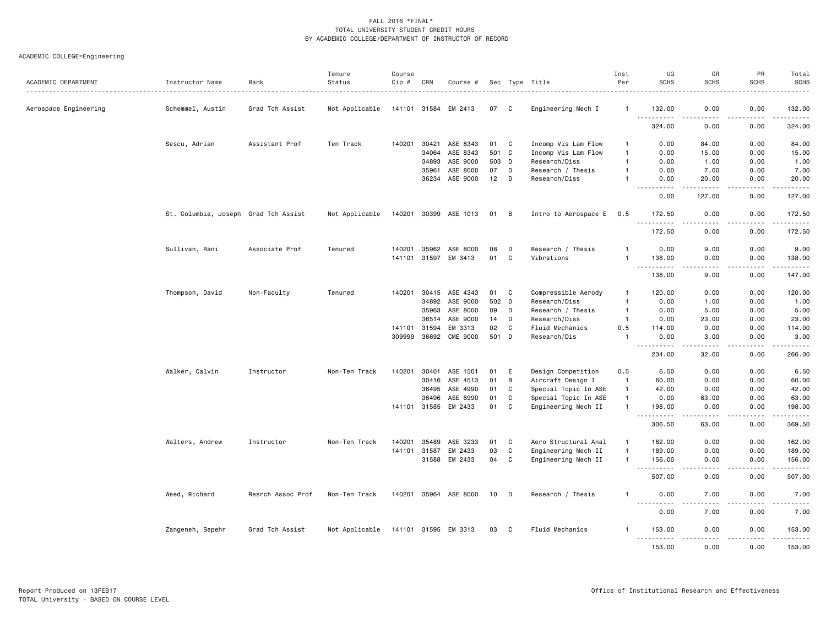| ACADEMIC DEPARTMENT   | Instructor Name                      | Rank              | Tenure<br>Status | Course<br>Cip # | CRN          | Course #        |       |    | Sec Type Title       | Inst<br>Per    | UG<br><b>SCHS</b>                                                                                                                                           | GR<br><b>SCHS</b>                                                                                                                 | PR<br><b>SCHS</b>            | Total<br><b>SCHS</b>      |
|-----------------------|--------------------------------------|-------------------|------------------|-----------------|--------------|-----------------|-------|----|----------------------|----------------|-------------------------------------------------------------------------------------------------------------------------------------------------------------|-----------------------------------------------------------------------------------------------------------------------------------|------------------------------|---------------------------|
| Aerospace Engineering | Schemmel, Austin                     | Grad Tch Assist   | Not Applicable   |                 | 141101 31584 | EM 2413         | 07    | C) | Engineering Mech I   | $\mathbf{1}$   | 132.00                                                                                                                                                      | 0.00                                                                                                                              | 0.00                         | 132.00                    |
|                       |                                      |                   |                  |                 |              |                 |       |    |                      |                | $\sim$ $\sim$ $\sim$<br>324.00                                                                                                                              | $\frac{1}{2} \left( \frac{1}{2} \right) \left( \frac{1}{2} \right) \left( \frac{1}{2} \right) \left( \frac{1}{2} \right)$<br>0.00 | .<br>0.00                    | .<br>324.00               |
|                       | Sescu, Adrian                        | Assistant Prof    | Ten Track        | 140201          | 30421        | ASE 8343        | 01    | C  | Incomp Vis Lam Flow  | -1             | 0.00                                                                                                                                                        | 84.00                                                                                                                             | 0.00                         | 84.00                     |
|                       |                                      |                   |                  |                 | 34064        | ASE 8343        | 501 C |    | Incomp Vis Lam Flow  | $\overline{1}$ | 0.00                                                                                                                                                        | 15.00                                                                                                                             | 0.00                         | 15.00                     |
|                       |                                      |                   |                  |                 | 34893        | ASE 9000        | 503 D |    | Research/Diss        | $\mathbf{1}$   | 0.00                                                                                                                                                        | 1.00                                                                                                                              | 0.00                         | 1.00                      |
|                       |                                      |                   |                  |                 | 35961        | ASE 8000        | 07    | D  | Research / Thesis    |                | 0.00                                                                                                                                                        | 7.00                                                                                                                              | 0.00                         | 7.00                      |
|                       |                                      |                   |                  |                 | 36234        | ASE 9000        | 12    | D  | Research/Diss        | -1             | 0.00                                                                                                                                                        | 20.00<br>$  -$                                                                                                                    | 0.00<br>$- - - -$            | 20.00<br>.                |
|                       |                                      |                   |                  |                 |              |                 |       |    |                      |                | 0.00                                                                                                                                                        | 127.00                                                                                                                            | 0.00                         | 127.00                    |
|                       | St. Columbia, Joseph Grad Tch Assist |                   | Not Applicable   | 140201          | 30399        | ASE 1013        | 01    | B  | Intro to Aerospace E | 0.5            | 172.50<br>.                                                                                                                                                 | 0.00<br>$- - - -$                                                                                                                 | 0.00<br>.                    | 172.50<br>.               |
|                       |                                      |                   |                  |                 |              |                 |       |    |                      |                | 172.50                                                                                                                                                      | 0.00                                                                                                                              | 0.00                         | 172.50                    |
|                       | Sullivan, Rani                       | Associate Prof    | Tenured          | 140201          | 35962        | ASE 8000        | 08    | D  | Research / Thesis    | -1             | 0.00                                                                                                                                                        | 9.00                                                                                                                              | 0.00                         | 9.00                      |
|                       |                                      |                   |                  |                 | 141101 31597 | EM 3413         | 01    | C  | Vibrations           | $\overline{1}$ | 138.00<br>.                                                                                                                                                 | 0.00<br>$\sim$ $\sim$ $\sim$                                                                                                      | 0.00<br>.                    | 138.00                    |
|                       |                                      |                   |                  |                 |              |                 |       |    |                      |                | 138.00                                                                                                                                                      | 9.00                                                                                                                              | 0.00                         | 147.00                    |
|                       | Thompson, David                      | Non-Faculty       | Tenured          | 140201          | 30415        | ASE 4343        | 01    | C  | Compressible Aerody  | $\mathbf{1}$   | 120.00                                                                                                                                                      | 0.00                                                                                                                              | 0.00                         | 120.00                    |
|                       |                                      |                   |                  |                 | 34892        | ASE 9000        | 502 D |    | Research/Diss        | $\mathbf{1}$   | 0.00                                                                                                                                                        | 1.00                                                                                                                              | 0.00                         | 1.00                      |
|                       |                                      |                   |                  |                 | 35963        | ASE 8000        | 09    | D  | Research / Thesis    | $\overline{1}$ | 0.00                                                                                                                                                        | 5.00                                                                                                                              | 0.00                         | 5.00                      |
|                       |                                      |                   |                  |                 | 36514        | ASE 9000        | 14    | D  | Research/Diss        | $\overline{1}$ | 0.00                                                                                                                                                        | 23.00                                                                                                                             | 0.00                         | 23.00                     |
|                       |                                      |                   |                  | 141101          | 31594        | EM 3313         | 02    | C  | Fluid Mechanics      | 0.5            | 114.00                                                                                                                                                      | 0.00                                                                                                                              | 0.00                         | 114.00                    |
|                       |                                      |                   |                  | 309999          | 36692        | <b>CME 9000</b> | 501   | D  | Research/Dis         | $\overline{1}$ | 0.00<br>بالمحاد                                                                                                                                             | 3.00<br>$\sim$ $\sim$ $\sim$ $\sim$                                                                                               | 0.00<br>$\sim$ $\sim$ $\sim$ | 3.00<br>.                 |
|                       |                                      |                   |                  |                 |              |                 |       |    |                      |                | 234.00                                                                                                                                                      | 32.00                                                                                                                             | 0.00                         | 266.00                    |
|                       | Walker, Calvin                       | Instructor        | Non-Ten Track    | 140201          | 30401        | ASE 1501        | 01    | E  | Design Competition   | 0.5            | 6.50                                                                                                                                                        | 0.00                                                                                                                              | 0.00                         | 6.50                      |
|                       |                                      |                   |                  |                 | 30416        | ASE 4513        | 01    | B  | Aircraft Design I    | $\overline{1}$ | 60.00                                                                                                                                                       | 0.00                                                                                                                              | 0.00                         | 60.00                     |
|                       |                                      |                   |                  |                 | 36495        | ASE 4990        | 01    | C  | Special Topic In ASE | $\overline{1}$ | 42.00                                                                                                                                                       | 0.00                                                                                                                              | 0.00                         | 42.00                     |
|                       |                                      |                   |                  |                 | 36496        | ASE 6990        | 01    | C  | Special Topic In ASE | $\overline{1}$ | 0.00                                                                                                                                                        | 63.00                                                                                                                             | 0.00                         | 63.00                     |
|                       |                                      |                   |                  |                 | 141101 31585 | EM 2433         | 01    | C  | Engineering Mech II  | $\overline{1}$ | 198.00<br>$\sim$ $\sim$ $\sim$<br>. <b>.</b>                                                                                                                | 0.00<br>.                                                                                                                         | 0.00<br>. <b>.</b>           | 198.00<br><u>.</u>        |
|                       |                                      |                   |                  |                 |              |                 |       |    |                      |                | 306.50                                                                                                                                                      | 63.00                                                                                                                             | 0.00                         | 369.50                    |
|                       | Walters, Andrew                      | Instructor        | Non-Ten Track    | 140201          | 35489        | ASE 3233        | 01    | C  | Aero Structural Anal | $\overline{1}$ | 162.00                                                                                                                                                      | 0.00                                                                                                                              | 0.00                         | 162.00                    |
|                       |                                      |                   |                  | 141101          | 31587        | EM 2433         | 03    | C  | Engineering Mech II  | $\overline{1}$ | 189.00                                                                                                                                                      | 0.00                                                                                                                              | 0.00                         | 189.00                    |
|                       |                                      |                   |                  |                 | 31588        | EM 2433         | 04    | C  | Engineering Mech II  | $\mathbf{1}$   | 156.00<br>$\sim$ $\sim$ $\sim$<br>$\frac{1}{2} \left( \frac{1}{2} \right) \left( \frac{1}{2} \right) \left( \frac{1}{2} \right) \left( \frac{1}{2} \right)$ | 0.00<br>$\frac{1}{2} \left( \frac{1}{2} \right) \left( \frac{1}{2} \right) \left( \frac{1}{2} \right) \left( \frac{1}{2} \right)$ | 0.00<br>.                    | 156.00<br><u>.</u>        |
|                       |                                      |                   |                  |                 |              |                 |       |    |                      |                | 507.00                                                                                                                                                      | 0.00                                                                                                                              | 0.00                         | 507.00                    |
|                       | Weed, Richard                        | Resrch Assoc Prof | Non-Ten Track    | 140201          | 35964        | ASE 8000        | 10    | D  | Research / Thesis    | -1             | 0.00<br>$\sim$ $\sim$ $\sim$ $\sim$ $\sim$                                                                                                                  | 7.00                                                                                                                              | 0.00                         | 7.00                      |
|                       |                                      |                   |                  |                 |              |                 |       |    |                      |                | 0.00                                                                                                                                                        | 7.00                                                                                                                              | 0.00                         | 7.00                      |
|                       | Zangeneh, Sepehr                     | Grad Tch Assist   | Not Applicable   | 141101 31595    |              | EM 3313         | 03    | C  | Fluid Mechanics      | -1             | 153.00<br><u>.</u>                                                                                                                                          | 0.00<br>$\frac{1}{2}$                                                                                                             | 0.00<br>.                    | 153.00<br>$- - - - - - -$ |
|                       |                                      |                   |                  |                 |              |                 |       |    |                      |                | 153.00                                                                                                                                                      | 0.00                                                                                                                              | 0.00                         | 153.00                    |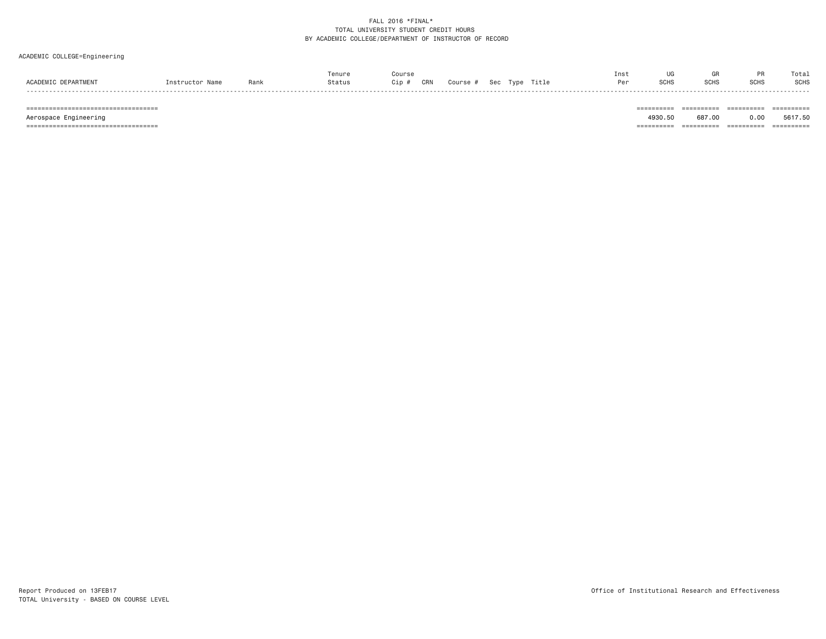## ACADEMIC COLLEGE=Engineering

| 0.000 | Rank | Tenure<br>Status | Course<br>CRN<br>Cip | Course | Sec | Title | Inst<br>Per | <b>SCHS</b> | ur<br><b>SCHS</b> | <b>SCHS</b> | Total<br>SCHS |
|-------|------|------------------|----------------------|--------|-----|-------|-------------|-------------|-------------------|-------------|---------------|
| ----- |      |                  |                      |        |     |       |             |             |                   |             | __________    |

 Aerospace Engineering 4930.50 687.00 0.00 5617.50 =================================== ========== ========== ========== ==========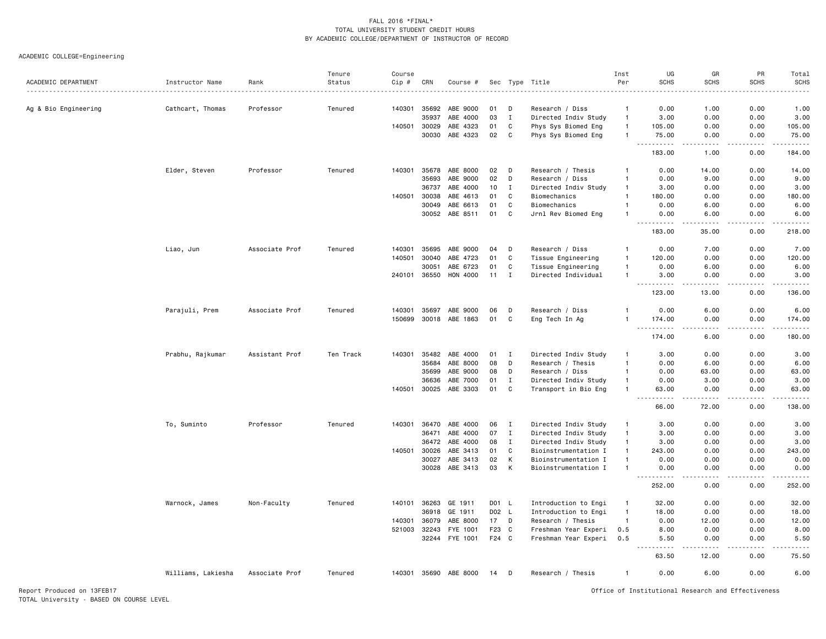ACADEMIC COLLEGE=Engineering

|                      |                    |                | Tenure    | Course |                |                       |          |              |                                            | Inst                         | UG                                                                                                                                                                                 | GR           | PR                 | Total                                                                                                                                                                                                                                                                                                                                        |
|----------------------|--------------------|----------------|-----------|--------|----------------|-----------------------|----------|--------------|--------------------------------------------|------------------------------|------------------------------------------------------------------------------------------------------------------------------------------------------------------------------------|--------------|--------------------|----------------------------------------------------------------------------------------------------------------------------------------------------------------------------------------------------------------------------------------------------------------------------------------------------------------------------------------------|
| ACADEMIC DEPARTMENT  | Instructor Name    | Rank           | Status    | Cip #  | CRN            | Course #              | Sec      |              | Type Title                                 | Per                          | <b>SCHS</b>                                                                                                                                                                        | <b>SCHS</b>  | <b>SCHS</b>        | <b>SCHS</b>                                                                                                                                                                                                                                                                                                                                  |
|                      |                    |                |           |        |                |                       |          |              |                                            |                              |                                                                                                                                                                                    |              |                    |                                                                                                                                                                                                                                                                                                                                              |
| Ag & Bio Engineering | Cathcart, Thomas   | Professor      | Tenured   | 140301 | 35692<br>35937 | ABE 9000<br>ABE 4000  | 01<br>03 | D<br>I       | Research / Diss                            | $\mathbf{1}$<br>$\mathbf{1}$ | 0.00<br>3.00                                                                                                                                                                       | 1.00<br>0.00 | 0.00<br>0.00       | 1.00<br>3.00                                                                                                                                                                                                                                                                                                                                 |
|                      |                    |                |           | 140501 | 30029          | ABE 4323              | 01       | C            | Directed Indiv Study                       | $\overline{1}$               | 105.00                                                                                                                                                                             | 0.00         | 0.00               | 105.00                                                                                                                                                                                                                                                                                                                                       |
|                      |                    |                |           |        | 30030          | ABE 4323              | 02       | C            | Phys Sys Biomed Eng<br>Phys Sys Biomed Eng | $\overline{1}$               | 75.00                                                                                                                                                                              | 0.00         | 0.00               | 75.00                                                                                                                                                                                                                                                                                                                                        |
|                      |                    |                |           |        |                |                       |          |              |                                            |                              | .<br>$\sim$ $\sim$ $\sim$                                                                                                                                                          | .            | .<br>$\frac{1}{2}$ | $\frac{1}{2} \left( \frac{1}{2} \right) \left( \frac{1}{2} \right) \left( \frac{1}{2} \right) \left( \frac{1}{2} \right) \left( \frac{1}{2} \right) \left( \frac{1}{2} \right)$                                                                                                                                                              |
|                      |                    |                |           |        |                |                       |          |              |                                            |                              | 183.00                                                                                                                                                                             | 1.00         | 0.00               | 184.00                                                                                                                                                                                                                                                                                                                                       |
|                      | Elder, Steven      | Professor      | Tenured   | 140301 | 35678          | ABE 8000              | 02       | D            | Research / Thesis                          | $\mathbf{1}$                 | 0.00                                                                                                                                                                               | 14.00        | 0.00               | 14.00                                                                                                                                                                                                                                                                                                                                        |
|                      |                    |                |           |        | 35693          | ABE 9000              | 02       | D            | Research / Diss                            | -1                           | 0.00                                                                                                                                                                               | 9.00         | 0.00               | 9.00                                                                                                                                                                                                                                                                                                                                         |
|                      |                    |                |           |        | 36737          | ABE 4000              | 10       | $\mathbf I$  | Directed Indiv Study                       | $\overline{1}$               | 3.00                                                                                                                                                                               | 0.00         | 0.00               | 3.00                                                                                                                                                                                                                                                                                                                                         |
|                      |                    |                |           | 140501 | 30038          | ABE 4613              | 01       | C            | Biomechanics                               | $\overline{1}$               | 180.00                                                                                                                                                                             | 0.00         | 0.00               | 180.00                                                                                                                                                                                                                                                                                                                                       |
|                      |                    |                |           |        | 30049          | ABE 6613              | 01       | C            | Biomechanics                               | $\overline{1}$               | 0.00                                                                                                                                                                               | 6.00         | 0.00               | 6.00                                                                                                                                                                                                                                                                                                                                         |
|                      |                    |                |           |        |                | 30052 ABE 8511        | 01       | C            | Jrnl Rev Biomed Eng                        | -1                           | 0.00<br>بالمحام                                                                                                                                                                    | 6.00         | 0.00<br>.          | 6.00<br>$\frac{1}{2} \left( \begin{array}{ccc} 1 & 0 & 0 & 0 \\ 0 & 0 & 0 & 0 \\ 0 & 0 & 0 & 0 \\ 0 & 0 & 0 & 0 \\ 0 & 0 & 0 & 0 \\ 0 & 0 & 0 & 0 \\ 0 & 0 & 0 & 0 \\ 0 & 0 & 0 & 0 \\ 0 & 0 & 0 & 0 \\ 0 & 0 & 0 & 0 \\ 0 & 0 & 0 & 0 & 0 \\ 0 & 0 & 0 & 0 & 0 \\ 0 & 0 & 0 & 0 & 0 \\ 0 & 0 & 0 & 0 & 0 \\ 0 & 0 & 0 & 0 & 0 \\ 0 & 0 & 0$ |
|                      |                    |                |           |        |                |                       |          |              |                                            |                              | 183.00                                                                                                                                                                             | 35.00        | 0.00               | 218.00                                                                                                                                                                                                                                                                                                                                       |
|                      | Liao, Jun          | Associate Prof | Tenured   | 140301 | 35695          | ABE 9000              | 04       | Ð            | Research / Diss                            | -1                           | 0.00                                                                                                                                                                               | 7.00         | 0.00               | 7.00                                                                                                                                                                                                                                                                                                                                         |
|                      |                    |                |           | 140501 | 30040          | ABE 4723              | 01       | C            | Tissue Engineering                         | $\overline{1}$               | 120.00                                                                                                                                                                             | 0.00         | 0.00               | 120.00                                                                                                                                                                                                                                                                                                                                       |
|                      |                    |                |           |        | 30051          | ABE 6723              | 01       | C            | Tissue Engineering                         | $\mathbf{1}$                 | 0.00                                                                                                                                                                               | 6.00         | 0.00               | 6.00                                                                                                                                                                                                                                                                                                                                         |
|                      |                    |                |           | 240101 | 36550          | HON 4000              | 11       | Ι.           | Directed Individual                        | $\overline{1}$               | 3.00                                                                                                                                                                               | 0.00         | 0.00               | 3.00                                                                                                                                                                                                                                                                                                                                         |
|                      |                    |                |           |        |                |                       |          |              |                                            |                              | $\frac{1}{2}$<br>123.00                                                                                                                                                            | 13.00        | 0.00               | 136.00                                                                                                                                                                                                                                                                                                                                       |
|                      | Parajuli, Prem     | Associate Prof | Tenured   | 140301 | 35697          | ABE 9000              | 06       | D            | Research / Diss                            | -1                           | 0.00                                                                                                                                                                               | 6.00         | 0.00               | 6.00                                                                                                                                                                                                                                                                                                                                         |
|                      |                    |                |           |        |                | 150699 30018 ABE 1863 | 01       | C            | Eng Tech In Ag                             |                              | 174.00                                                                                                                                                                             | 0.00         | 0.00               | 174.00                                                                                                                                                                                                                                                                                                                                       |
|                      |                    |                |           |        |                |                       |          |              |                                            |                              | $\omega_{\rm c}$<br>$\frac{1}{2} \left( \frac{1}{2} \right) \left( \frac{1}{2} \right) \left( \frac{1}{2} \right) \left( \frac{1}{2} \right) \left( \frac{1}{2} \right)$<br>174.00 | 6.00         | د د د د<br>0.00    | .<br>180.00                                                                                                                                                                                                                                                                                                                                  |
|                      | Prabhu, Rajkumar   | Assistant Prof | Ten Track |        |                | 140301 35482 ABE 4000 | 01       | $\mathbf{I}$ | Directed Indiv Study                       | -1                           | 3.00                                                                                                                                                                               | 0.00         | 0.00               | 3.00                                                                                                                                                                                                                                                                                                                                         |
|                      |                    |                |           |        | 35684          | ABE 8000              | 08       | D            | Research / Thesis                          | -1                           | 0.00                                                                                                                                                                               | 6.00         | 0.00               | 6.00                                                                                                                                                                                                                                                                                                                                         |
|                      |                    |                |           |        | 35699          | ABE 9000              | 08       | D            | Research / Diss                            | -1                           | 0.00                                                                                                                                                                               | 63.00        | 0.00               | 63.00                                                                                                                                                                                                                                                                                                                                        |
|                      |                    |                |           |        | 36636          | ABE 7000              | 01       | $\mathbf{I}$ | Directed Indiv Study                       | $\mathbf{1}$                 | 0.00                                                                                                                                                                               | 3.00         | 0.00               | 3.00                                                                                                                                                                                                                                                                                                                                         |
|                      |                    |                |           |        | 140501 30025   | ABE 3303              | 01       | C            | Transport in Bio Eng                       | $\overline{1}$               | 63.00                                                                                                                                                                              | 0.00         | 0.00               | 63.00                                                                                                                                                                                                                                                                                                                                        |
|                      |                    |                |           |        |                |                       |          |              |                                            |                              | .<br>66.00                                                                                                                                                                         | .<br>72.00   | .<br>0.00          | .<br>138.00                                                                                                                                                                                                                                                                                                                                  |
|                      | To, Suminto        | Professor      | Tenured   |        | 140301 36470   | ABE 4000              | 06       | $\mathbf{I}$ | Directed Indiv Study                       | -1                           | 3.00                                                                                                                                                                               | 0.00         | 0.00               | 3.00                                                                                                                                                                                                                                                                                                                                         |
|                      |                    |                |           |        | 36471          | ABE 4000              | 07       | $\mathbf{I}$ | Directed Indiv Study                       | $\mathbf{1}$                 | 3.00                                                                                                                                                                               | 0.00         | 0.00               | 3.00                                                                                                                                                                                                                                                                                                                                         |
|                      |                    |                |           |        | 36472          | ABE 4000              | 08       | $\mathbf I$  | Directed Indiv Study                       | $\overline{1}$               | 3.00                                                                                                                                                                               | 0.00         | 0.00               | 3.00                                                                                                                                                                                                                                                                                                                                         |
|                      |                    |                |           | 140501 | 30026          | ABE 3413              | 01       | C            | Bioinstrumentation I                       | $\overline{1}$               | 243.00                                                                                                                                                                             | 0.00         | 0.00               | 243.00                                                                                                                                                                                                                                                                                                                                       |
|                      |                    |                |           |        | 30027          | ABE 3413              | 02       | К            | Bioinstrumentation I                       | $\overline{1}$               | 0.00                                                                                                                                                                               | 0.00         | 0.00               | 0.00                                                                                                                                                                                                                                                                                                                                         |
|                      |                    |                |           |        | 30028          | ABE 3413              | 03       | К            | Bioinstrumentation I                       |                              | 0.00                                                                                                                                                                               | 0.00         | 0.00               | 0.00                                                                                                                                                                                                                                                                                                                                         |
|                      |                    |                |           |        |                |                       |          |              |                                            |                              | $\sim$ $\sim$ $\sim$<br>.<br>252.00                                                                                                                                                | 0.00         | 0.00               | .<br>252.00                                                                                                                                                                                                                                                                                                                                  |
|                      | Warnock, James     | Non-Faculty    | Tenured   |        | 140101 36263   | GE 1911               | D01 L    |              | Introduction to Engi                       | $\mathbf{1}$                 | 32.00                                                                                                                                                                              | 0.00         | 0.00               | 32.00                                                                                                                                                                                                                                                                                                                                        |
|                      |                    |                |           |        | 36918          | GE 1911               |          | D02 L        | Introduction to Engi                       | $\overline{1}$               | 18.00                                                                                                                                                                              | 0.00         | 0.00               | 18.00                                                                                                                                                                                                                                                                                                                                        |
|                      |                    |                |           | 140301 | 36079          | ABE 8000              | 17       | D            | Research / Thesis                          | $\overline{1}$               | 0.00                                                                                                                                                                               | 12.00        | 0.00               | 12.00                                                                                                                                                                                                                                                                                                                                        |
|                      |                    |                |           | 521003 | 32243          | FYE 1001              | F23      | C            | Freshman Year Experi                       | 0.5                          | 8.00                                                                                                                                                                               | 0.00         | 0.00               | 8.00                                                                                                                                                                                                                                                                                                                                         |
|                      |                    |                |           |        |                | 32244 FYE 1001        | F24 C    |              | Freshman Year Experi                       | 0.5                          | 5.50                                                                                                                                                                               | 0.00         | 0.00               | 5.50                                                                                                                                                                                                                                                                                                                                         |
|                      |                    |                |           |        |                |                       |          |              |                                            |                              | 63.50                                                                                                                                                                              | 12.00        | 0.00               | 75.50                                                                                                                                                                                                                                                                                                                                        |
|                      | Williams, Lakiesha | Associate Prof | Tenured   |        |                | 140301 35690 ABE 8000 | 14       | D            | Research / Thesis                          | $\overline{1}$               | 0.00                                                                                                                                                                               | 6.00         | 0.00               | 6.00                                                                                                                                                                                                                                                                                                                                         |

Report Produced on 13FEB17 Office of Institutional Research and Effectiveness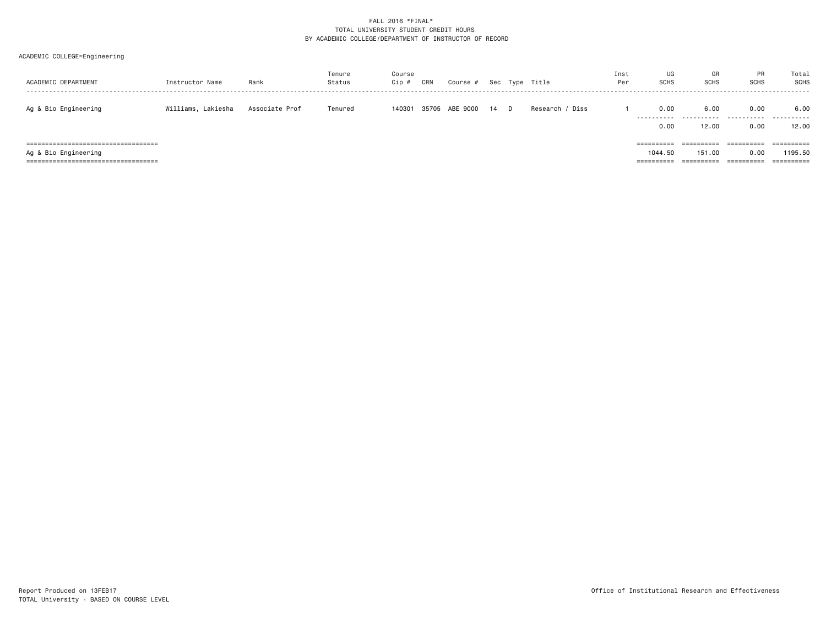| ACADEMIC DEPARTMENT                                                                                   | Instructor Name    | Rank           | Tenure<br>Status | Course<br>Cip # | CRN   | Course # |    |   | Sec Type Title  | Inst<br>Per | UG<br>SCHS            | GR<br><b>SCHS</b>                  | PR<br><b>SCHS</b>                           | Total<br><b>SCHS</b><br>-------     |
|-------------------------------------------------------------------------------------------------------|--------------------|----------------|------------------|-----------------|-------|----------|----|---|-----------------|-------------|-----------------------|------------------------------------|---------------------------------------------|-------------------------------------|
| Ag & Bio Engineering                                                                                  | Williams, Lakiesha | Associate Prof | Tenured          | 140301          | 35705 | ABE 9000 | 14 | D | Research / Diss |             | 0.00<br>.<br>0.00     | 6.00<br>.<br>12.00                 | 0.00<br>.<br>0.00                           | 6.00<br>.<br>12.00                  |
| ===================================<br>Ag & Bio Engineering<br>====================================== |                    |                |                  |                 |       |          |    |   |                 |             | ==========<br>1044.50 | ==========<br>151.00<br>========== | ==========<br>0.00<br>$=$ = = = = = = = = = | ==========<br>1195.50<br>========== |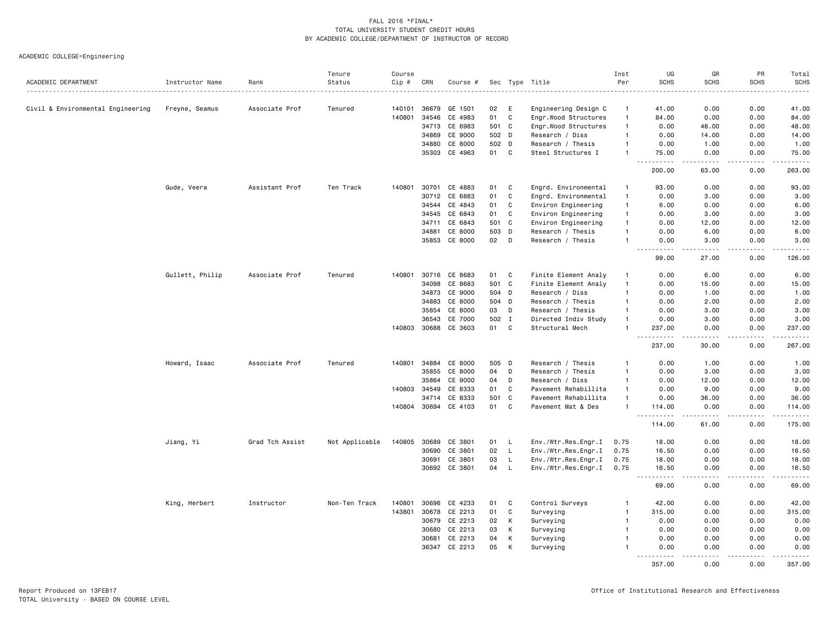| ACADEMIC DEPARTMENT               | Instructor Name | Rank            | Tenure<br>Status | Course<br>Cip# | CRN   | Course #             |       |              | Sec Type Title       | Inst<br>Per  | UG<br><b>SCHS</b>                     | GR<br><b>SCHS</b> | PR<br><b>SCHS</b> | Total<br><b>SCHS</b>                                                                                                              |
|-----------------------------------|-----------------|-----------------|------------------|----------------|-------|----------------------|-------|--------------|----------------------|--------------|---------------------------------------|-------------------|-------------------|-----------------------------------------------------------------------------------------------------------------------------------|
|                                   |                 |                 |                  |                |       |                      |       |              |                      |              |                                       |                   |                   | $\frac{1}{2}$                                                                                                                     |
| Civil & Environmental Engineering | Freyne, Seamus  | Associate Prof  | Tenured          | 140101         | 36679 | GE 1501              | 02    | Ε            | Engineering Design C | -1           | 41.00                                 | 0.00              | 0.00              | 41.00                                                                                                                             |
|                                   |                 |                 |                  | 140801         | 34546 | CE 4983              | 01    | $\mathbf{C}$ | Engr.Wood Structures | $\mathbf{1}$ | 84.00                                 | 0.00              | 0.00              | 84.00                                                                                                                             |
|                                   |                 |                 |                  |                | 34713 | CE 6983              | 501 C |              | Engr.Wood Structures | $\mathbf{1}$ | 0.00                                  | 48.00             | 0.00              | 48.00                                                                                                                             |
|                                   |                 |                 |                  |                | 34869 | CE 9000              | 502 D |              | Research / Diss      | $\mathbf{1}$ | 0.00                                  | 14.00             | 0.00              | 14.00                                                                                                                             |
|                                   |                 |                 |                  |                | 34880 | CE 8000              | 502 D |              | Research / Thesis    | $\mathbf{1}$ | 0.00                                  | 1.00              | 0.00              | 1.00                                                                                                                              |
|                                   |                 |                 |                  |                | 35303 | CE 4963              | 01    | C            | Steel Structures I   | $\mathbf{1}$ | 75.00<br>$- - - - -$                  | 0.00<br><u>.</u>  | 0.00<br>.         | 75.00<br>$\begin{array}{cccccccccc} \bullet & \bullet & \bullet & \bullet & \bullet & \bullet & \bullet \end{array}$              |
|                                   |                 |                 |                  |                |       |                      |       |              |                      |              | 200.00                                | 63.00             | 0.00              | 263.00                                                                                                                            |
|                                   | Gude, Veera     | Assistant Prof  | Ten Track        | 140801         | 30701 | CE 4883              | 01    | C            | Engrd. Environmental | $\mathbf{1}$ | 93.00                                 | 0.00              | 0.00              | 93.00                                                                                                                             |
|                                   |                 |                 |                  |                | 30712 | CE 6883              | 01    | C            | Engrd. Environmental | $\mathbf{1}$ | 0.00                                  | 3.00              | 0.00              | 3.00                                                                                                                              |
|                                   |                 |                 |                  |                | 34544 | CE 4843              | 01    | $\mathbb{C}$ | Environ Engineering  | $\mathbf{1}$ | 6.00                                  | 0.00              | 0.00              | 6.00                                                                                                                              |
|                                   |                 |                 |                  |                | 34545 | CE 6843              | 01    | $\mathsf{C}$ | Environ Engineering  | $\mathbf{1}$ | 0.00                                  | 3.00              | 0.00              | 3.00                                                                                                                              |
|                                   |                 |                 |                  |                | 34711 | CE 6843              | 501 C |              | Environ Engineering  | $\mathbf{1}$ | 0.00                                  | 12.00             | 0.00              | 12.00                                                                                                                             |
|                                   |                 |                 |                  |                | 34881 | CE 8000              | 503 D |              | Research / Thesis    | $\mathbf{1}$ | 0.00                                  | 6.00              | 0.00              | 6.00                                                                                                                              |
|                                   |                 |                 |                  |                | 35853 | CE 8000              | 02    | D            | Research / Thesis    | -1           | 0.00                                  | 3.00              | 0.00              | 3.00<br>$\frac{1}{2} \left( \frac{1}{2} \right) \left( \frac{1}{2} \right) \left( \frac{1}{2} \right) \left( \frac{1}{2} \right)$ |
|                                   |                 |                 |                  |                |       |                      |       |              |                      |              | 99.00                                 | 27.00             | 0.00              | 126.00                                                                                                                            |
|                                   | Gullett, Philip | Associate Prof  | Tenured          | 140801         | 30716 | CE 8683              | 01    | C            | Finite Element Analy | $\mathbf{1}$ | 0.00                                  | 6.00              | 0.00              | 6.00                                                                                                                              |
|                                   |                 |                 |                  |                | 34098 | CE 8683              | 501 C |              | Finite Element Analy | $\mathbf{1}$ | 0.00                                  | 15.00             | 0.00              | 15.00                                                                                                                             |
|                                   |                 |                 |                  |                | 34873 | CE 9000              | 504 D |              | Research / Diss      | $\mathbf{1}$ | 0.00                                  | 1.00              | 0.00              | 1.00                                                                                                                              |
|                                   |                 |                 |                  |                | 34883 | CE 8000              | 504 D |              | Research / Thesis    | $\mathbf{1}$ | 0.00                                  | 2.00              | 0.00              | 2.00                                                                                                                              |
|                                   |                 |                 |                  |                | 35854 | CE 8000              | 03    | D            | Research / Thesis    | $\mathbf{1}$ | 0.00                                  | 3.00              | 0.00              | 3.00                                                                                                                              |
|                                   |                 |                 |                  |                | 36543 | CE 7000              | 502 I |              | Directed Indiv Study | $\mathbf{1}$ | 0.00                                  | 3.00              | 0.00              | 3.00                                                                                                                              |
|                                   |                 |                 |                  | 140803         |       | 30688 CE 3603        | 01    | $\mathbf{C}$ | Structural Mech      | $\mathbf{1}$ | 237.00                                | 0.00              | 0.00              | 237.00                                                                                                                            |
|                                   |                 |                 |                  |                |       |                      |       |              |                      |              | .<br>237.00                           | 30.00             | .<br>0.00         | .<br>267.00                                                                                                                       |
|                                   | Howard, Isaac   | Associate Prof  | Tenured          | 140801         | 34884 | CE 8000              | 505 D |              | Research / Thesis    | $\mathbf{1}$ | 0.00                                  | 1.00              | 0.00              | 1.00                                                                                                                              |
|                                   |                 |                 |                  |                | 35855 | CE 8000              | 04    | D            | Research / Thesis    | $\mathbf{1}$ | 0.00                                  | 3.00              | 0.00              | 3.00                                                                                                                              |
|                                   |                 |                 |                  |                | 35864 | CE 9000              | 04    | D            | Research / Diss      | $\mathbf{1}$ | 0.00                                  | 12.00             | 0.00              | 12.00                                                                                                                             |
|                                   |                 |                 |                  | 140803         | 34549 | CE 8333              | 01    | $\mathbf c$  | Pavement Rehabillita | $\mathbf{1}$ | 0.00                                  | 9.00              | 0.00              | 9.00                                                                                                                              |
|                                   |                 |                 |                  |                | 34714 | CE 8333              | 501   | $\mathbf c$  | Pavement Rehabillita | $\mathbf{1}$ | 0.00                                  | 36.00             | 0.00              | 36.00                                                                                                                             |
|                                   |                 |                 |                  |                |       | 140804 30694 CE 4103 | 01    | C            | Pavement Mat & Des   |              | 114.00<br>$\sim$ $\sim$ $\sim$ $\sim$ | 0.00              | 0.00<br>.         | 114.00<br>.                                                                                                                       |
|                                   |                 |                 |                  |                |       |                      |       |              |                      |              | 114.00                                | 61.00             | 0.00              | 175.00                                                                                                                            |
|                                   | Jiang, Yi       | Grad Tch Assist | Not Applicable   | 140805         | 30689 | CE 3801              | 01    | L.           | Env./Wtr.Res.Engr.I  | 0.75         | 18.00                                 | 0.00              | 0.00              | 18.00                                                                                                                             |
|                                   |                 |                 |                  |                |       | 30690 CE 3801        | 02    | $\mathsf{L}$ | Env./Wtr.Res.Engr.I  | 0.75         | 16.50                                 | 0.00              | 0.00              | 16.50                                                                                                                             |
|                                   |                 |                 |                  |                | 30691 | CE 3801              | 03    | L            | Env./Wtr.Res.Engr.I  | 0.75         | 18.00                                 | 0.00              | 0.00              | 18.00                                                                                                                             |
|                                   |                 |                 |                  |                | 30692 | CE 3801              | 04    | $\mathsf{L}$ | Env./Wtr.Res.Engr.I  | 0.75         | 16.50                                 | 0.00              | 0.00              | 16.50<br>$\sim$ $\sim$ $\sim$ $\sim$ $\sim$                                                                                       |
|                                   |                 |                 |                  |                |       |                      |       |              |                      |              | 69.00                                 | 0.00              | 0.00              | 69.00                                                                                                                             |
|                                   | King, Herbert   | Instructor      | Non-Ten Track    | 140801         | 30696 | CE 4233              | 01    | C            | Control Surveys      |              | 42.00                                 | 0.00              | 0.00              | 42.00                                                                                                                             |
|                                   |                 |                 |                  | 143801         | 30678 | CE 2213              | 01    | C            | Surveying            | $\mathbf{1}$ | 315.00                                | 0.00              | 0.00              | 315.00                                                                                                                            |
|                                   |                 |                 |                  |                |       | 30679 CE 2213        | 02    | К            | Surveying            | $\mathbf{1}$ | 0.00                                  | 0.00              | 0.00              | 0.00                                                                                                                              |
|                                   |                 |                 |                  |                | 30680 | CE 2213              | 03    | К            | Surveying            | $\mathbf{1}$ | 0.00                                  | 0.00              | 0.00              | 0.00                                                                                                                              |
|                                   |                 |                 |                  |                | 30681 | CE 2213              | 04    | К            | Surveying            | $\mathbf{1}$ | 0.00                                  | 0.00              | 0.00              | 0.00                                                                                                                              |
|                                   |                 |                 |                  |                | 36347 | CE 2213              | 05    | K            | Surveying            | $\mathbf{1}$ | 0.00<br>.                             | 0.00              | 0.00<br>-----     | 0.00<br>.                                                                                                                         |
|                                   |                 |                 |                  |                |       |                      |       |              |                      |              | 357.00                                | 0.00              | 0.00              | 357.00                                                                                                                            |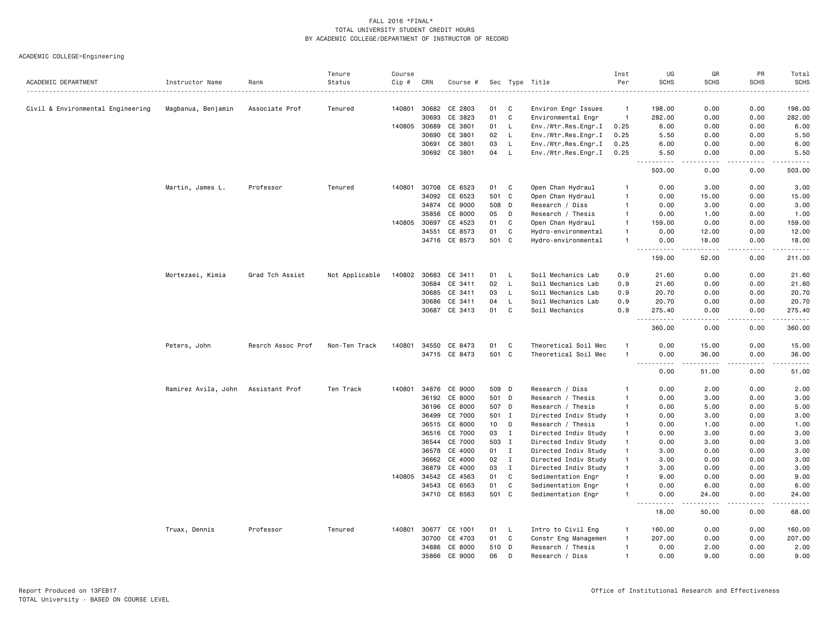| ACADEMIC DEPARTMENT               |                     | Rank              | Tenure<br>Status | Course<br>Cip # | CRN   |               |       |              |                      | Inst<br>Per    | UG<br><b>SCHS</b>                                                                                                  | GR<br><b>SCHS</b>                                                                                                                                             | PR<br><b>SCHS</b> | Total<br><b>SCHS</b> |
|-----------------------------------|---------------------|-------------------|------------------|-----------------|-------|---------------|-------|--------------|----------------------|----------------|--------------------------------------------------------------------------------------------------------------------|---------------------------------------------------------------------------------------------------------------------------------------------------------------|-------------------|----------------------|
|                                   | Instructor Name     |                   |                  |                 |       | Course #      |       |              | Sec Type Title       |                |                                                                                                                    |                                                                                                                                                               |                   | .                    |
| Civil & Environmental Engineering | Magbanua, Benjamin  | Associate Prof    | Tenured          | 140801          | 30682 | CE 2803       | 01    | C            | Environ Engr Issues  | $\overline{1}$ | 198.00                                                                                                             | 0.00                                                                                                                                                          | 0.00              | 198.00               |
|                                   |                     |                   |                  |                 | 30693 | CE 3823       | 01    | $\mathtt{C}$ | Environmental Engr   | $\overline{1}$ | 282.00                                                                                                             | 0.00                                                                                                                                                          | 0.00              | 282.00               |
|                                   |                     |                   |                  | 140805          | 30689 | CE 3801       | 01    | L.           | Env./Wtr.Res.Engr.I  | 0.25           | 6.00                                                                                                               | 0.00                                                                                                                                                          | 0.00              | 6.00                 |
|                                   |                     |                   |                  |                 | 30690 | CE 3801       | 02    | L            | Env./Wtr.Res.Engr.I  | 0.25           | 5.50                                                                                                               | 0.00                                                                                                                                                          | 0.00              | 5.50                 |
|                                   |                     |                   |                  |                 | 30691 | CE 3801       | 03    | L.           | Env./Wtr.Res.Engr.I  | 0.25           | 6.00                                                                                                               | 0.00                                                                                                                                                          | 0.00              | 6.00                 |
|                                   |                     |                   |                  |                 | 30692 | CE 3801       | 04    | L            | Env./Wtr.Res.Engr.I  | 0.25           | 5.50                                                                                                               | 0.00                                                                                                                                                          | 0.00              | 5.50                 |
|                                   |                     |                   |                  |                 |       |               |       |              |                      |                | 503.00                                                                                                             | 0.00                                                                                                                                                          | 0.00              | 503.00               |
|                                   | Martin, James L.    | Professor         | Tenured          | 140801          | 30708 | CE 6523       | 01    | C            | Open Chan Hydraul    | -1             | 0.00                                                                                                               | 3.00                                                                                                                                                          | 0.00              | 3.00                 |
|                                   |                     |                   |                  |                 | 34092 | CE 6523       | 501   | C            | Open Chan Hydraul    | $\overline{1}$ | 0.00                                                                                                               | 15.00                                                                                                                                                         | 0.00              | 15.00                |
|                                   |                     |                   |                  |                 | 34874 | CE 9000       | 508   | D            | Research / Diss      | -1             | 0.00                                                                                                               | 3.00                                                                                                                                                          | 0.00              | 3.00                 |
|                                   |                     |                   |                  |                 | 35856 | CE 8000       | 05    | D            | Research / Thesis    | $\mathbf{1}$   | 0.00                                                                                                               | 1.00                                                                                                                                                          | 0.00              | 1.00                 |
|                                   |                     |                   |                  | 140805          | 30697 | CE 4523       | 01    | C            | Open Chan Hydraul    | $\overline{1}$ | 159.00                                                                                                             | 0.00                                                                                                                                                          | 0.00              | 159.00               |
|                                   |                     |                   |                  |                 | 34551 | CE 8573       | 01    | C            | Hydro-environmental  | -1             | 0.00                                                                                                               | 12.00                                                                                                                                                         | 0.00              | 12.00                |
|                                   |                     |                   |                  |                 |       | 34716 CE 8573 | 501 C |              | Hydro-environmental  | $\overline{1}$ | 0.00<br><u>.</u><br>$\frac{1}{2} \left( \frac{1}{2} \right) \left( \frac{1}{2} \right) \left( \frac{1}{2} \right)$ | 18.00<br><u>.</u>                                                                                                                                             | 0.00<br>.         | 18.00<br>.           |
|                                   |                     |                   |                  |                 |       |               |       |              |                      |                | 159.00                                                                                                             | 52.00                                                                                                                                                         | 0.00              | 211.00               |
|                                   | Mortezaei, Kimia    | Grad Tch Assist   | Not Applicable   | 140802          | 30683 | CE 3411       | 01    | L            | Soil Mechanics Lab   | 0.9            | 21.60                                                                                                              | 0.00                                                                                                                                                          | 0.00              | 21.60                |
|                                   |                     |                   |                  |                 | 30684 | CE 3411       | 02    | L            | Soil Mechanics Lab   | 0.9            | 21.60                                                                                                              | 0.00                                                                                                                                                          | 0.00              | 21.60                |
|                                   |                     |                   |                  |                 | 30685 | CE 3411       | 03    | L            | Soil Mechanics Lab   | 0.9            | 20.70                                                                                                              | 0.00                                                                                                                                                          | 0.00              | 20.70                |
|                                   |                     |                   |                  |                 | 30686 | CE 3411       | 04    | L            | Soil Mechanics Lab   | 0.9            | 20.70                                                                                                              | 0.00                                                                                                                                                          | 0.00              | 20.70                |
|                                   |                     |                   |                  |                 | 30687 | CE 3413       | 01    | C            | Soil Mechanics       | 0.9            | 275.40                                                                                                             | 0.00                                                                                                                                                          | 0.00              | 275.40               |
|                                   |                     |                   |                  |                 |       |               |       |              |                      |                | $  -$<br>.<br>360.00                                                                                               | $\cdots$<br>0.00                                                                                                                                              | .<br>0.00         | .<br>360.00          |
|                                   | Peters, John        | Resrch Assoc Prof | Non-Ten Track    | 140801          | 34550 | CE 8473       | 01    | C            | Theoretical Soil Mec | -1             | 0.00                                                                                                               | 15.00                                                                                                                                                         | 0.00              | 15.00                |
|                                   |                     |                   |                  |                 |       | 34715 CE 8473 | 501 C |              | Theoretical Soil Mec | $\overline{1}$ | 0.00                                                                                                               | 36.00                                                                                                                                                         | 0.00              | 36.00                |
|                                   |                     |                   |                  |                 |       |               |       |              |                      |                | د د د د<br>0.00                                                                                                    | $\frac{1}{2} \left( \frac{1}{2} \right) \left( \frac{1}{2} \right) \left( \frac{1}{2} \right) \left( \frac{1}{2} \right) \left( \frac{1}{2} \right)$<br>51.00 | .<br>0.00         | .<br>51.00           |
|                                   | Ramirez Avila, John | Assistant Prof    | Ten Track        | 140801          | 34876 | CE 9000       | 509   | D            | Research / Diss      |                | 0.00                                                                                                               | 2.00                                                                                                                                                          | 0.00              | 2.00                 |
|                                   |                     |                   |                  |                 | 36192 | CE 8000       | 501 D |              | Research / Thesis    | -1             | 0.00                                                                                                               | 3.00                                                                                                                                                          | 0.00              | 3.00                 |
|                                   |                     |                   |                  |                 | 36196 | CE 8000       | 507 D |              | Research / Thesis    | $\mathbf{1}$   | 0.00                                                                                                               | 5.00                                                                                                                                                          | 0.00              | 5.00                 |
|                                   |                     |                   |                  |                 | 36499 | CE 7000       | 501   | $\mathbf I$  | Directed Indiv Study | $\mathbf{1}$   | 0.00                                                                                                               | 3.00                                                                                                                                                          | 0.00              | 3.00                 |
|                                   |                     |                   |                  |                 | 36515 | CE 8000       | 10    | D            | Research / Thesis    | $\overline{1}$ | 0.00                                                                                                               | 1.00                                                                                                                                                          | 0.00              | 1.00                 |
|                                   |                     |                   |                  |                 | 36516 | CE 7000       | 03    | $\mathbf{I}$ | Directed Indiv Study | $\overline{1}$ | 0.00                                                                                                               | 3.00                                                                                                                                                          | 0.00              | 3.00                 |
|                                   |                     |                   |                  |                 | 36544 | CE 7000       | 503   | I            | Directed Indiv Study | $\overline{1}$ | 0.00                                                                                                               | 3.00                                                                                                                                                          | 0.00              | 3.00                 |
|                                   |                     |                   |                  |                 | 36578 | CE 4000       | 01    | $\mathbf I$  | Directed Indiv Study | $\overline{1}$ | 3.00                                                                                                               | 0.00                                                                                                                                                          | 0.00              | 3.00                 |
|                                   |                     |                   |                  |                 | 36662 | CE 4000       | 02    | $\mathbf I$  | Directed Indiv Study | $\overline{1}$ | 3.00                                                                                                               | 0.00                                                                                                                                                          | 0.00              | 3.00                 |
|                                   |                     |                   |                  |                 | 36879 | CE 4000       | 03    | $\mathbf{I}$ | Directed Indiv Study | $\mathbf{1}$   | 3.00                                                                                                               | 0.00                                                                                                                                                          | 0.00              | 3.00                 |
|                                   |                     |                   |                  | 140805          | 34542 | CE 4563       | 01    | C            | Sedimentation Engr   | -1             | 9.00                                                                                                               | 0.00                                                                                                                                                          | 0.00              | 9.00                 |
|                                   |                     |                   |                  |                 | 34543 | CE 6563       | 01    | C            | Sedimentation Engr   | $\mathbf{1}$   | 0.00                                                                                                               | 6.00                                                                                                                                                          | 0.00              | 6.00                 |
|                                   |                     |                   |                  |                 | 34710 | CE 6563       | 501   | <b>C</b>     | Sedimentation Engr   | 1              | 0.00                                                                                                               | 24.00                                                                                                                                                         | 0.00              | 24.00                |
|                                   |                     |                   |                  |                 |       |               |       |              |                      |                | 18.00                                                                                                              | 50.00                                                                                                                                                         | 0.00              | 68.00                |
|                                   | Truax, Dennis       | Professor         | Tenured          | 140801          | 30677 | CE 1001       | 01    | L            | Intro to Civil Eng   | $\overline{1}$ | 160.00                                                                                                             | 0.00                                                                                                                                                          | 0.00              | 160.00               |
|                                   |                     |                   |                  |                 | 30700 | CE 4703       | 01    | $\mathbf C$  | Constr Eng Managemen | $\overline{1}$ | 207.00                                                                                                             | 0.00                                                                                                                                                          | 0.00              | 207.00               |
|                                   |                     |                   |                  |                 | 34886 | CE 8000       | 510   | D            | Research / Thesis    | $\overline{1}$ | 0.00                                                                                                               | 2.00                                                                                                                                                          | 0.00              | 2.00                 |
|                                   |                     |                   |                  |                 | 35866 | CE 9000       | 06    | D            | Research / Diss      | $\overline{1}$ | 0.00                                                                                                               | 9.00                                                                                                                                                          | 0.00              | 9.00                 |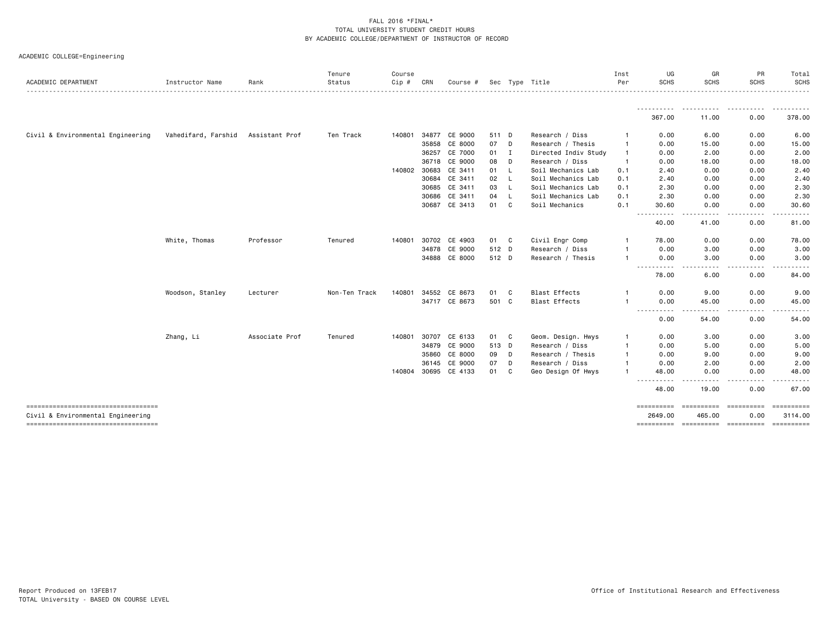| ACADEMIC COLLEGE=Engineering |  |  |  |  |
|------------------------------|--|--|--|--|
|------------------------------|--|--|--|--|

| 367.00<br>11.00<br>Civil & Environmental Engineering<br>Vahedifard, Farshid<br>34877 CE 9000<br>Assistant Prof<br>Ten Track<br>Research / Diss<br>140801<br>511 D<br>0.00<br>6.00<br>07<br>35858<br>CE 8000<br>D<br>Research / Thesis<br>0.00<br>15.00<br>$\mathbf{1}$<br>36257<br>CE 7000<br>I<br>0.00<br>2.00<br>01<br>Directed Indiv Study<br>$\mathbf{1}$<br>CE 9000<br>08<br>D<br>36718<br>Research / Diss<br>0.00<br>18.00<br>140802 30683<br>CE 3411<br>0.00<br>01<br>- L<br>Soil Mechanics Lab<br>0.1<br>2.40<br>30684<br>CE 3411<br>02<br>L<br>Soil Mechanics Lab<br>0.1<br>2.40<br>0.00<br>30685<br>CE 3411<br>03<br><b>L</b><br>Soil Mechanics Lab<br>2.30<br>0.00<br>0.1<br>CE 3411<br>Soil Mechanics Lab<br>30686<br>04<br>L.<br>0.1<br>2.30<br>0.00<br>30687 CE 3413<br>C<br>01<br>Soil Mechanics<br>0.1<br>30.60<br>0.00<br>----<br>40.00<br>41.00 |                                |                   |
|-------------------------------------------------------------------------------------------------------------------------------------------------------------------------------------------------------------------------------------------------------------------------------------------------------------------------------------------------------------------------------------------------------------------------------------------------------------------------------------------------------------------------------------------------------------------------------------------------------------------------------------------------------------------------------------------------------------------------------------------------------------------------------------------------------------------------------------------------------------------|--------------------------------|-------------------|
|                                                                                                                                                                                                                                                                                                                                                                                                                                                                                                                                                                                                                                                                                                                                                                                                                                                                   |                                | .                 |
|                                                                                                                                                                                                                                                                                                                                                                                                                                                                                                                                                                                                                                                                                                                                                                                                                                                                   | 0.00                           | .<br>378.00       |
|                                                                                                                                                                                                                                                                                                                                                                                                                                                                                                                                                                                                                                                                                                                                                                                                                                                                   | 0.00                           | 6.00              |
|                                                                                                                                                                                                                                                                                                                                                                                                                                                                                                                                                                                                                                                                                                                                                                                                                                                                   | 0.00                           | 15.00             |
|                                                                                                                                                                                                                                                                                                                                                                                                                                                                                                                                                                                                                                                                                                                                                                                                                                                                   | 0.00                           | 2.00              |
|                                                                                                                                                                                                                                                                                                                                                                                                                                                                                                                                                                                                                                                                                                                                                                                                                                                                   | 0.00                           | 18.00             |
|                                                                                                                                                                                                                                                                                                                                                                                                                                                                                                                                                                                                                                                                                                                                                                                                                                                                   | 0.00                           | 2.40              |
|                                                                                                                                                                                                                                                                                                                                                                                                                                                                                                                                                                                                                                                                                                                                                                                                                                                                   | 0.00                           | 2.40              |
|                                                                                                                                                                                                                                                                                                                                                                                                                                                                                                                                                                                                                                                                                                                                                                                                                                                                   | 0.00                           | 2.30              |
|                                                                                                                                                                                                                                                                                                                                                                                                                                                                                                                                                                                                                                                                                                                                                                                                                                                                   | 0.00                           | 2.30              |
|                                                                                                                                                                                                                                                                                                                                                                                                                                                                                                                                                                                                                                                                                                                                                                                                                                                                   | 0.00                           | 30.60             |
|                                                                                                                                                                                                                                                                                                                                                                                                                                                                                                                                                                                                                                                                                                                                                                                                                                                                   | 0.00                           | 81.00             |
| White, Thomas<br>Professor<br>30702 CE 4903<br>01 C<br>Civil Engr Comp<br>Tenured<br>140801<br>78.00<br>0.00                                                                                                                                                                                                                                                                                                                                                                                                                                                                                                                                                                                                                                                                                                                                                      | 0.00                           | 78.00             |
| CE 9000<br>34878<br>512 D<br>Research / Diss<br>0.00<br>3.00                                                                                                                                                                                                                                                                                                                                                                                                                                                                                                                                                                                                                                                                                                                                                                                                      | 0.00                           | 3.00              |
| 34888 CE 8000<br>512 D<br>Research / Thesis<br>0.00<br>3.00                                                                                                                                                                                                                                                                                                                                                                                                                                                                                                                                                                                                                                                                                                                                                                                                       | 0.00                           | 3.00              |
| .<br>$\frac{1}{2} \left( \frac{1}{2} \right) \left( \frac{1}{2} \right) \left( \frac{1}{2} \right) \left( \frac{1}{2} \right) \left( \frac{1}{2} \right)$<br>$\frac{1}{2}$<br>78.00<br>6.00                                                                                                                                                                                                                                                                                                                                                                                                                                                                                                                                                                                                                                                                       | 0.00                           | 84.00             |
| Non-Ten Track<br>34552<br><b>Blast Effects</b><br>9.00<br>Woodson, Stanley<br>140801<br>CE 8673<br>01<br>C.<br>0.00<br>Lecturer                                                                                                                                                                                                                                                                                                                                                                                                                                                                                                                                                                                                                                                                                                                                   | 0.00                           | 9.00              |
| 34717 CE 8673<br>501 C<br><b>Blast Effects</b><br>0.00<br>45.00                                                                                                                                                                                                                                                                                                                                                                                                                                                                                                                                                                                                                                                                                                                                                                                                   | 0.00                           | 45.00             |
| ----------<br>-----<br>0.00<br>54.00                                                                                                                                                                                                                                                                                                                                                                                                                                                                                                                                                                                                                                                                                                                                                                                                                              | $- - - - -$<br>$- - -$<br>0.00 | <u>.</u><br>54.00 |
| Associate Prof<br>Zhang, Li<br>Tenured<br>30707<br>CE 6133<br>01 C<br>Geom. Design. Hwys<br>0.00<br>3.00<br>140801                                                                                                                                                                                                                                                                                                                                                                                                                                                                                                                                                                                                                                                                                                                                                | 0.00                           | 3.00              |
| 34879 CE 9000<br>513 D<br>5.00<br>Research / Diss<br>0.00                                                                                                                                                                                                                                                                                                                                                                                                                                                                                                                                                                                                                                                                                                                                                                                                         | 0.00                           | 5.00              |
| CE 8000<br>35860<br>09<br>$\Box$<br>Research / Thesis<br>0.00<br>9.00                                                                                                                                                                                                                                                                                                                                                                                                                                                                                                                                                                                                                                                                                                                                                                                             | 0.00                           | 9.00              |
| 36145<br>CE 9000<br>07<br>D<br>Research / Diss<br>2.00<br>0.00                                                                                                                                                                                                                                                                                                                                                                                                                                                                                                                                                                                                                                                                                                                                                                                                    | 0.00                           | 2.00              |
| 140804 30695<br>CE 4133<br>C<br>01<br>Geo Design Of Hwys<br>48.00<br>0.00                                                                                                                                                                                                                                                                                                                                                                                                                                                                                                                                                                                                                                                                                                                                                                                         | 0.00                           | 48.00             |
| ----------<br>48.00<br>19.00                                                                                                                                                                                                                                                                                                                                                                                                                                                                                                                                                                                                                                                                                                                                                                                                                                      | -----<br>0.00                  | 67.00             |
| -------------------------------------<br>==========<br>eessesses                                                                                                                                                                                                                                                                                                                                                                                                                                                                                                                                                                                                                                                                                                                                                                                                  | essessesse                     |                   |
| Civil & Environmental Engineering<br>2649.00<br>465.00<br>======================================                                                                                                                                                                                                                                                                                                                                                                                                                                                                                                                                                                                                                                                                                                                                                                  | 0.00                           | 3114.00           |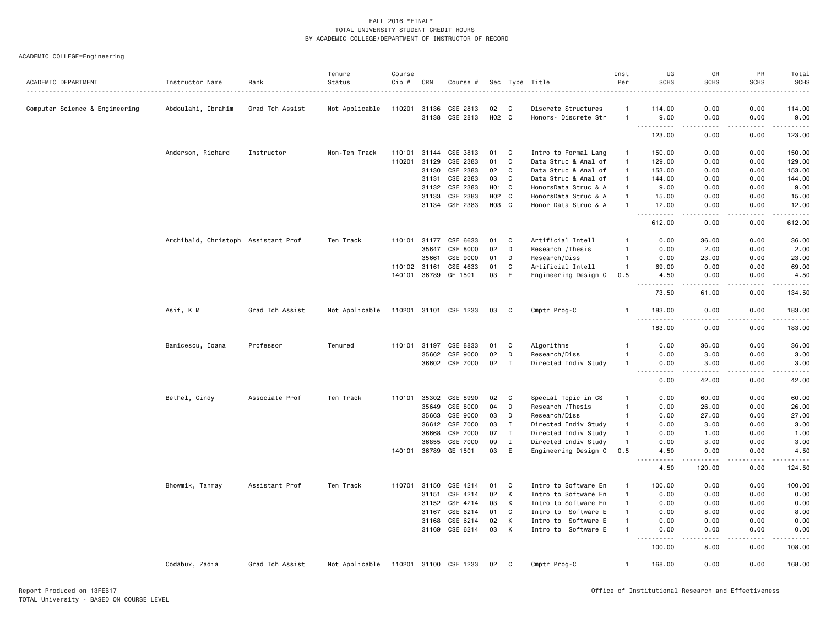| ACADEMIC DEPARTMENT            | Instructor Name                     | Rank            | Tenure<br>Status | Course<br>Cip # | CRN          | Course #              |                  |              | Sec Type Title       | Inst<br>Per    | UG<br><b>SCHS</b>                   | GR<br><b>SCHS</b>                   | PR<br><b>SCHS</b> | Total<br><b>SCHS</b> |
|--------------------------------|-------------------------------------|-----------------|------------------|-----------------|--------------|-----------------------|------------------|--------------|----------------------|----------------|-------------------------------------|-------------------------------------|-------------------|----------------------|
|                                |                                     |                 |                  |                 |              |                       |                  |              |                      |                |                                     |                                     |                   |                      |
| Computer Science & Engineering | Abdoulahi, Ibrahim                  | Grad Tch Assist | Not Applicable   | 110201          | 31136        | CSE 2813              | 02               | C            | Discrete Structures  | -1             | 114.00                              | 0.00                                | 0.00              | 114.00               |
|                                |                                     |                 |                  |                 | 31138        | CSE 2813              | H02 C            |              | Honors- Discrete Str | $\mathbf{1}$   | 9.00<br><u>.</u>                    | 0.00<br>.                           | 0.00<br>-----     | 9.00<br>.            |
|                                |                                     |                 |                  |                 |              |                       |                  |              |                      |                | 123.00                              | 0.00                                | 0.00              | 123.00               |
|                                | Anderson, Richard                   | Instructor      | Non-Ten Track    | 110101          | 31144        | CSE 3813              | 01               | C            | Intro to Formal Lang | $\overline{1}$ | 150.00                              | 0.00                                | 0.00              | 150.00               |
|                                |                                     |                 |                  | 110201          | 31129        | CSE 2383              | 01               | C            | Data Struc & Anal of | $\mathbf{1}$   | 129.00                              | 0.00                                | 0.00              | 129.00               |
|                                |                                     |                 |                  |                 | 31130        | CSE 2383              | 02               | C            | Data Struc & Anal of | $\mathbf{1}$   | 153.00                              | 0.00                                | 0.00              | 153.00               |
|                                |                                     |                 |                  |                 | 31131        | CSE 2383              | 03               | C            | Data Struc & Anal of | $\mathbf{1}$   | 144.00                              | 0.00                                | 0.00              | 144.00               |
|                                |                                     |                 |                  |                 | 31132        | CSE 2383              | H <sub>0</sub> 1 | C            | HonorsData Struc & A | $\mathbf{1}$   | 9.00                                | 0.00                                | 0.00              | 9.00                 |
|                                |                                     |                 |                  |                 | 31133        | CSE 2383              | H02 C            |              | HonorsData Struc & A | $\mathbf{1}$   | 15.00                               | 0.00                                | 0.00              | 15.00                |
|                                |                                     |                 |                  |                 |              | 31134 CSE 2383        | H03 C            |              | Honor Data Struc & A | $\mathbf{1}$   | 12.00                               | 0.00                                | 0.00              | 12.00                |
|                                |                                     |                 |                  |                 |              |                       |                  |              |                      |                | $\sim$ $\sim$ $\sim$<br>.<br>612.00 | .<br>0.00                           | -----<br>0.00     | -----<br>612.00      |
|                                | Archibald, Christoph Assistant Prof |                 | Ten Track        | 110101          | 31177        | CSE 6633              | 01               | C            | Artificial Intell    | -1             | 0.00                                | 36.00                               | 0.00              | 36.00                |
|                                |                                     |                 |                  |                 | 35647        | CSE 8000              | 02               | D            | Research / Thesis    | -1             | 0.00                                | 2.00                                | 0.00              | 2.00                 |
|                                |                                     |                 |                  |                 | 35661        | CSE 9000              | 01               | D            | Research/Diss        | -1             | 0.00                                | 23.00                               | 0.00              | 23.00                |
|                                |                                     |                 |                  | 110102 31161    |              | CSE 4633              | 01               | C            | Artificial Intell    | $\overline{1}$ | 69.00                               | 0.00                                | 0.00              | 69.00                |
|                                |                                     |                 |                  |                 | 140101 36789 | GE 1501               | 03               | E            | Engineering Design C | 0.5            | 4.50<br>$\sim$ $\sim$ $\sim$ $\sim$ | 0.00                                | 0.00              | 4.50<br>.            |
|                                |                                     |                 |                  |                 |              |                       |                  |              |                      |                | 73.50                               | 61.00                               | 0.00              | 134.50               |
|                                | Asif, K M                           | Grad Tch Assist | Not Applicable   |                 |              | 110201 31101 CSE 1233 | 03               | C            | Cmptr Prog-C         | -1             | 183.00<br>.<br>$\sim$ $\sim$ $\sim$ | 0.00                                | 0.00              | 183.00               |
|                                |                                     |                 |                  |                 |              |                       |                  |              |                      |                | 183.00                              | 0.00                                | 0.00              | 183.00               |
|                                | Banicescu, Ioana                    | Professor       | Tenured          |                 | 110101 31197 | CSE 8833              | 01               | C            | Algorithms           |                | 0.00                                | 36.00                               | 0.00              | 36.00                |
|                                |                                     |                 |                  |                 | 35662        | CSE 9000              | 02               | D            | Research/Diss        | -1             | 0.00                                | 3.00                                | 0.00              | 3.00                 |
|                                |                                     |                 |                  |                 | 36602        | CSE 7000              | 02               | I            | Directed Indiv Study | $\mathbf{1}$   | 0.00                                | 3.00                                | 0.00              | 3.00                 |
|                                |                                     |                 |                  |                 |              |                       |                  |              |                      |                | 0.00                                | 42.00                               | 0.00              | 42.00                |
|                                | Bethel, Cindy                       | Associate Prof  | Ten Track        | 110101          | 35302        | CSE 8990              | 02               | C            | Special Topic in CS  | $\mathbf{1}$   | 0.00                                | 60.00                               | 0.00              | 60.00                |
|                                |                                     |                 |                  |                 | 35649        | CSE 8000              | 04               | D            | Research / Thesis    | $\mathbf{1}$   | 0.00                                | 26.00                               | 0.00              | 26.00                |
|                                |                                     |                 |                  |                 | 35663        | CSE 9000              | 03               | D            | Research/Diss        | -1             | 0.00                                | 27.00                               | 0.00              | 27.00                |
|                                |                                     |                 |                  |                 | 36612        | CSE 7000              | 03               | $\bf{I}$     | Directed Indiv Study | $\mathbf{1}$   | 0.00                                | 3.00                                | 0.00              | 3.00                 |
|                                |                                     |                 |                  |                 | 36668        | CSE 7000              | 07               | $\mathbf{I}$ | Directed Indiv Study | $\mathbf{1}$   | 0.00                                | 1.00                                | 0.00              | 1.00                 |
|                                |                                     |                 |                  |                 | 36855        | CSE 7000              | 09               | $\mathbf I$  | Directed Indiv Study | $\overline{1}$ | 0.00                                | 3.00                                | 0.00              | 3.00                 |
|                                |                                     |                 |                  | 140101          | 36789        | GE 1501               | 03               | E            | Engineering Design C | 0.5            | 4.50<br>.<br>$  -$                  | 0.00<br>.                           | 0.00<br>.         | 4.50<br>-----        |
|                                |                                     |                 |                  |                 |              |                       |                  |              |                      |                | 4.50                                | 120.00                              | 0.00              | 124.50               |
|                                | Bhowmik, Tanmay                     | Assistant Prof  | Ten Track        | 110701          | 31150        | CSE 4214              | 01               | C            | Intro to Software En | $\mathbf{1}$   | 100.00                              | 0.00                                | 0.00              | 100.00               |
|                                |                                     |                 |                  |                 | 31151        | CSE 4214              | 02               | К            | Intro to Software En | $\mathbf{1}$   | 0.00                                | 0.00                                | 0.00              | 0.00                 |
|                                |                                     |                 |                  |                 | 31152        | CSE 4214              | 03               | К            | Intro to Software En | -1             | 0.00                                | 0.00                                | 0.00              | 0.00                 |
|                                |                                     |                 |                  |                 | 31167        | CSE 6214              | 01               | C            | Intro to Software E  | $\mathbf{1}$   | 0.00                                | 8.00                                | 0.00              | 8.00                 |
|                                |                                     |                 |                  |                 | 31168        | CSE 6214              | 02               | Κ            | Intro to Software E  | -1             | 0.00                                | 0.00                                | 0.00              | 0.00                 |
|                                |                                     |                 |                  |                 | 31169        | CSE 6214              | 03               | К            | Intro to Software E  | -1             | 0.00<br>.                           | 0.00<br>$\sim$ $\sim$ $\sim$ $\sim$ | 0.00<br>.         | 0.00<br>-----        |
|                                |                                     |                 |                  |                 |              |                       |                  |              |                      |                | 100.00                              | 8.00                                | 0.00              | 108.00               |
|                                | Codabux, Zadia                      | Grad Tch Assist | Not Applicable   |                 |              | 110201 31100 CSE 1233 | 02               | $\mathbf{C}$ | Cmptr Prog-C         | $\mathbf{1}$   | 168.00                              | 0.00                                | 0.00              | 168.00               |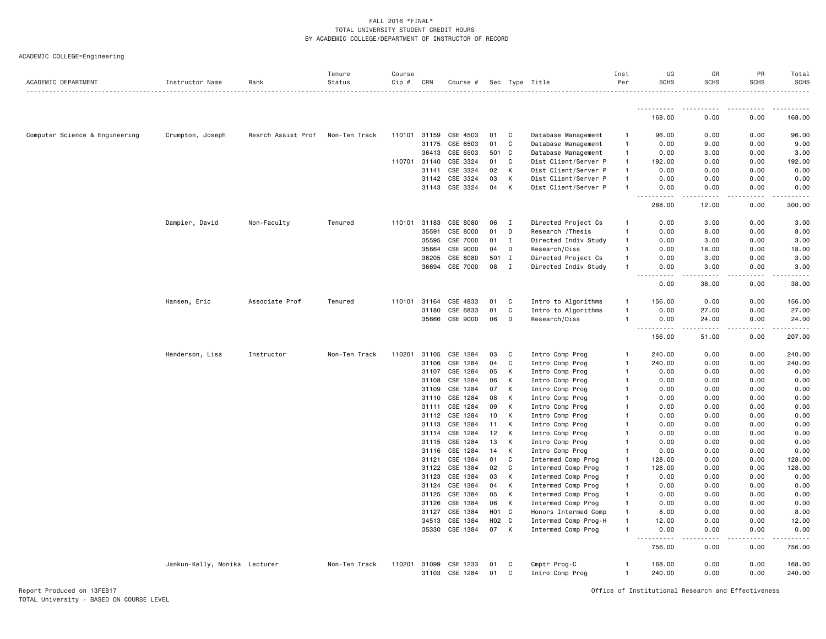| ACADEMIC COLLEGE=Engineering |  |  |  |
|------------------------------|--|--|--|
|                              |  |  |  |

| ACADEMIC DEPARTMENT            | Instructor Name               | Rank               | Tenure<br>Status | Course<br>Cip # | CRN   | Course # |                  |              | Sec Type Title       | Inst<br>Per    | UG<br><b>SCHS</b>                                                                                                                                                                                    | GR<br><b>SCHS</b>            | PR<br><b>SCHS</b>                                                                                                                                            | Total<br><b>SCHS</b>   |
|--------------------------------|-------------------------------|--------------------|------------------|-----------------|-------|----------|------------------|--------------|----------------------|----------------|------------------------------------------------------------------------------------------------------------------------------------------------------------------------------------------------------|------------------------------|--------------------------------------------------------------------------------------------------------------------------------------------------------------|------------------------|
|                                |                               |                    |                  |                 |       |          |                  |              |                      |                |                                                                                                                                                                                                      |                              |                                                                                                                                                              |                        |
|                                |                               |                    |                  |                 |       |          |                  |              |                      |                | <u>.</u><br>168.00                                                                                                                                                                                   | $\sim$ $\sim$ $\sim$<br>0.00 | -----<br>0.00                                                                                                                                                | 168.00                 |
| Computer Science & Engineering | Crumpton, Joseph              | Resrch Assist Prof | Non-Ten Track    | 110101          | 31159 | CSE 4503 | 01               | C            | Database Management  | -1             | 96.00                                                                                                                                                                                                | 0.00                         | 0.00                                                                                                                                                         | 96.00                  |
|                                |                               |                    |                  |                 | 31175 | CSE 6503 | 01               | C            | Database Management  | $\mathbf{1}$   | 0.00                                                                                                                                                                                                 | 9.00                         | 0.00                                                                                                                                                         | 9.00                   |
|                                |                               |                    |                  |                 | 36413 | CSE 6503 | 501              | C            | Database Management  | $\mathbf{1}$   | 0.00                                                                                                                                                                                                 | 3.00                         | 0.00                                                                                                                                                         | 3.00                   |
|                                |                               |                    |                  | 110701 31140    |       | CSE 3324 | 01               | C            | Dist Client/Server P | $\mathbf{1}$   | 192.00                                                                                                                                                                                               | 0.00                         | 0.00                                                                                                                                                         | 192.00                 |
|                                |                               |                    |                  |                 | 31141 | CSE 3324 | 02               | K            | Dist Client/Server P | $\mathbf{1}$   | 0.00                                                                                                                                                                                                 | 0.00                         | 0.00                                                                                                                                                         | 0.00                   |
|                                |                               |                    |                  |                 | 31142 | CSE 3324 | 03               | К            | Dist Client/Server P | $\mathbf{1}$   | 0.00                                                                                                                                                                                                 | 0.00                         | 0.00                                                                                                                                                         | 0.00                   |
|                                |                               |                    |                  |                 | 31143 | CSE 3324 | 04               | K            | Dist Client/Server P | $\mathbf{1}$   | 0.00                                                                                                                                                                                                 | 0.00                         | 0.00                                                                                                                                                         | 0.00                   |
|                                |                               |                    |                  |                 |       |          |                  |              |                      |                | $- - -$<br>$\frac{1}{2} \left( \frac{1}{2} \right) \left( \frac{1}{2} \right) \left( \frac{1}{2} \right) \left( \frac{1}{2} \right) \left( \frac{1}{2} \right) \left( \frac{1}{2} \right)$<br>288.00 | $- - - - -$<br>12.00         | $\frac{1}{2} \left( \frac{1}{2} \right) \left( \frac{1}{2} \right) \left( \frac{1}{2} \right) \left( \frac{1}{2} \right) \left( \frac{1}{2} \right)$<br>0.00 | .<br>300.00            |
|                                | Dampier, David                | Non-Faculty        | Tenured          | 110101          | 31183 | CSE 8080 | 06               | $\mathbf{I}$ | Directed Project Cs  | $\mathbf{1}$   | 0.00                                                                                                                                                                                                 | 3.00                         | 0.00                                                                                                                                                         | 3.00                   |
|                                |                               |                    |                  |                 | 35591 | CSE 8000 | 01               | D            | Research / Thesis    | $\overline{1}$ | 0.00                                                                                                                                                                                                 | 8.00                         | 0.00                                                                                                                                                         | 8.00                   |
|                                |                               |                    |                  |                 | 35595 | CSE 7000 | 01               | $\mathbf I$  | Directed Indiv Study | $\mathbf{1}$   | 0.00                                                                                                                                                                                                 | 3.00                         | 0.00                                                                                                                                                         | 3.00                   |
|                                |                               |                    |                  |                 | 35664 | CSE 9000 | 04               | D            | Research/Diss        | $\mathbf{1}$   | 0.00                                                                                                                                                                                                 | 18.00                        | 0.00                                                                                                                                                         | 18.00                  |
|                                |                               |                    |                  |                 | 36205 | CSE 8080 | 501              | $\mathbf{I}$ | Directed Project Cs  | $\mathbf{1}$   | 0.00                                                                                                                                                                                                 | 3.00                         | 0.00                                                                                                                                                         | 3.00                   |
|                                |                               |                    |                  |                 | 36694 | CSE 7000 | 08               | $\mathbf{I}$ | Directed Indiv Study | $\overline{1}$ | 0.00<br>.<br>$- - -$                                                                                                                                                                                 | 3.00<br>$- - - - -$          | 0.00<br>$- - - - -$                                                                                                                                          | 3.00                   |
|                                |                               |                    |                  |                 |       |          |                  |              |                      |                | 0.00                                                                                                                                                                                                 | 38.00                        | 0.00                                                                                                                                                         | 38.00                  |
|                                | Hansen, Eric                  | Associate Prof     | Tenured          | 110101          | 31164 | CSE 4833 | 01               | C            | Intro to Algorithms  | $\mathbf{1}$   | 156.00                                                                                                                                                                                               | 0.00                         | 0.00                                                                                                                                                         | 156.00                 |
|                                |                               |                    |                  |                 | 31180 | CSE 6833 | 01               | C            | Intro to Algorithms  | $\mathbf{1}$   | 0.00                                                                                                                                                                                                 | 27.00                        | 0.00                                                                                                                                                         | 27.00                  |
|                                |                               |                    |                  |                 | 35666 | CSE 9000 | 06               | D            | Research/Diss        | $\overline{1}$ | 0.00<br>.<br>$\frac{1}{2}$                                                                                                                                                                           | 24.00<br>.                   | 0.00<br>$- - - - -$                                                                                                                                          | 24.00<br>$- - - - - -$ |
|                                |                               |                    |                  |                 |       |          |                  |              |                      |                | 156.00                                                                                                                                                                                               | 51.00                        | 0.00                                                                                                                                                         | 207.00                 |
|                                | Henderson, Lisa               | Instructor         | Non-Ten Track    | 110201          | 31105 | CSE 1284 | 03               | C            | Intro Comp Prog      | $\mathbf{1}$   | 240.00                                                                                                                                                                                               | 0.00                         | 0.00                                                                                                                                                         | 240.00                 |
|                                |                               |                    |                  |                 | 31106 | CSE 1284 | 04               | C            | Intro Comp Prog      | $\overline{1}$ | 240.00                                                                                                                                                                                               | 0.00                         | 0.00                                                                                                                                                         | 240.00                 |
|                                |                               |                    |                  |                 | 31107 | CSE 1284 | 05               | К            | Intro Comp Prog      | $\mathbf{1}$   | 0.00                                                                                                                                                                                                 | 0.00                         | 0.00                                                                                                                                                         | 0.00                   |
|                                |                               |                    |                  |                 | 31108 | CSE 1284 | 06               | K            | Intro Comp Prog      | $\mathbf{1}$   | 0.00                                                                                                                                                                                                 | 0.00                         | 0.00                                                                                                                                                         | 0.00                   |
|                                |                               |                    |                  |                 | 31109 | CSE 1284 | 07               | K            | Intro Comp Prog      | $\mathbf{1}$   | 0.00                                                                                                                                                                                                 | 0.00                         | 0.00                                                                                                                                                         | 0.00                   |
|                                |                               |                    |                  |                 | 31110 | CSE 1284 | 08               | K            | Intro Comp Prog      | $\mathbf{1}$   | 0.00                                                                                                                                                                                                 | 0.00                         | 0.00                                                                                                                                                         | 0.00                   |
|                                |                               |                    |                  |                 | 31111 | CSE 1284 | 09               | К            | Intro Comp Prog      | $\overline{1}$ | 0.00                                                                                                                                                                                                 | 0.00                         | 0.00                                                                                                                                                         | 0.00                   |
|                                |                               |                    |                  |                 | 31112 | CSE 1284 | 10               | К            | Intro Comp Prog      | $\overline{1}$ | 0.00                                                                                                                                                                                                 | 0.00                         | 0.00                                                                                                                                                         | 0.00                   |
|                                |                               |                    |                  |                 | 31113 | CSE 1284 | 11               | K            | Intro Comp Prog      | $\mathbf{1}$   | 0.00                                                                                                                                                                                                 | 0.00                         | 0.00                                                                                                                                                         | 0.00                   |
|                                |                               |                    |                  |                 | 31114 | CSE 1284 | 12               | К            | Intro Comp Prog      | -1             | 0.00                                                                                                                                                                                                 | 0.00                         | 0.00                                                                                                                                                         | 0.00                   |
|                                |                               |                    |                  |                 | 31115 | CSE 1284 | 13               | K            | Intro Comp Prog      | -1             | 0.00                                                                                                                                                                                                 | 0.00                         | 0.00                                                                                                                                                         | 0.00                   |
|                                |                               |                    |                  |                 | 31116 | CSE 1284 | 14               | к            | Intro Comp Prog      | $\mathbf{1}$   | 0.00                                                                                                                                                                                                 | 0.00                         | 0.00                                                                                                                                                         | 0.00                   |
|                                |                               |                    |                  |                 | 31121 | CSE 1384 | 01               | C            | Intermed Comp Prog   | $\mathbf{1}$   | 128.00                                                                                                                                                                                               | 0.00                         | 0.00                                                                                                                                                         | 128.00                 |
|                                |                               |                    |                  |                 | 31122 | CSE 1384 | 02               | C            | Intermed Comp Prog   | $\mathbf{1}$   | 128.00                                                                                                                                                                                               | 0.00                         | 0.00                                                                                                                                                         | 128.00                 |
|                                |                               |                    |                  |                 | 31123 | CSE 1384 | 03               | K            | Intermed Comp Prog   | $\mathbf{1}$   | 0.00                                                                                                                                                                                                 | 0.00                         | 0.00                                                                                                                                                         | 0.00                   |
|                                |                               |                    |                  |                 | 31124 | CSE 1384 | 04               | К            | Intermed Comp Prog   | -1             | 0.00                                                                                                                                                                                                 | 0.00                         | 0.00                                                                                                                                                         | 0.00                   |
|                                |                               |                    |                  |                 | 31125 | CSE 1384 | 05               | K            | Intermed Comp Prog   | $\mathbf{1}$   | 0.00                                                                                                                                                                                                 | 0.00                         | 0.00                                                                                                                                                         | 0.00                   |
|                                |                               |                    |                  |                 | 31126 | CSE 1384 | 06               | K            | Intermed Comp Prog   | $\mathbf{1}$   | 0.00                                                                                                                                                                                                 | 0.00                         | 0.00                                                                                                                                                         | 0.00                   |
|                                |                               |                    |                  |                 | 31127 | CSE 1384 | H <sub>0</sub> 1 | $\mathbf{C}$ | Honors Intermed Comp | $\mathbf{1}$   | 8.00                                                                                                                                                                                                 | 0.00                         | 0.00                                                                                                                                                         | 8.00                   |
|                                |                               |                    |                  |                 | 34513 | CSE 1384 | H02 C            |              | Intermed Comp Prog-H | $\overline{1}$ | 12.00                                                                                                                                                                                                | 0.00                         | 0.00                                                                                                                                                         | 12.00                  |
|                                |                               |                    |                  |                 | 35330 | CSE 1384 | 07               | K            | Intermed Comp Prog   | $\mathbf{1}$   | 0.00<br>.<br>.                                                                                                                                                                                       | 0.00<br>.                    | 0.00                                                                                                                                                         | 0.00                   |
|                                |                               |                    |                  |                 |       |          |                  |              |                      |                | 756.00                                                                                                                                                                                               | 0.00                         | 0.00                                                                                                                                                         | 756.00                 |
|                                | Jankun-Kelly, Monika Lecturer |                    | Non-Ten Track    | 110201          | 31099 | CSE 1233 | 01               | C            | Cmptr Prog-C         | -1             | 168.00                                                                                                                                                                                               | 0.00                         | 0.00                                                                                                                                                         | 168.00                 |
|                                |                               |                    |                  |                 | 31103 | CSE 1284 | 01               | C            | Intro Comp Prog      | $\mathbf{1}$   | 240.00                                                                                                                                                                                               | 0.00                         | 0.00                                                                                                                                                         | 240.00                 |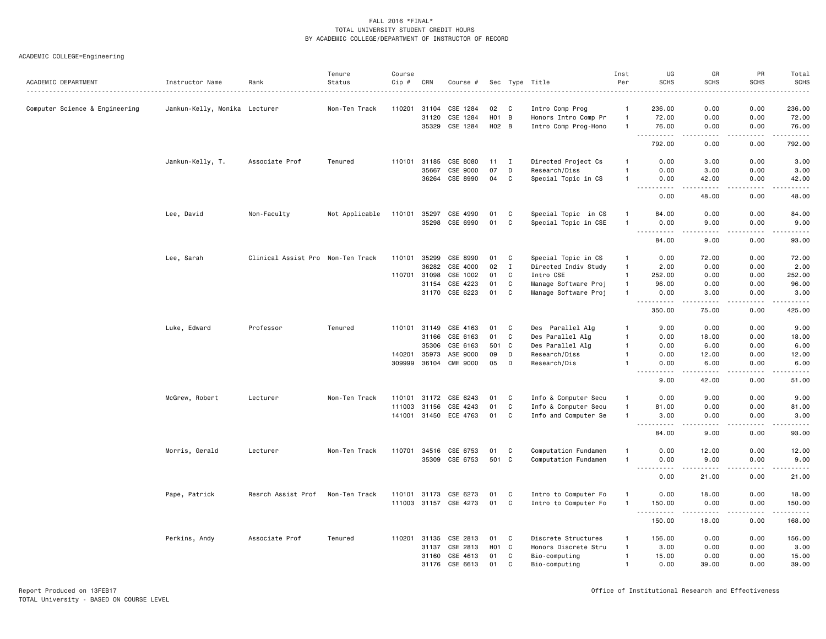|                                |                               |                                   | Tenure         | Course |              |                       |                 |              |                      | Inst           | UG                                | GR                | PR                           | Total                                                                                                                                                                                   |
|--------------------------------|-------------------------------|-----------------------------------|----------------|--------|--------------|-----------------------|-----------------|--------------|----------------------|----------------|-----------------------------------|-------------------|------------------------------|-----------------------------------------------------------------------------------------------------------------------------------------------------------------------------------------|
| ACADEMIC DEPARTMENT            | Instructor Name               | Rank                              | Status         | Cip #  | CRN          | Course #              |                 |              | Sec Type Title       | Per            | <b>SCHS</b>                       | <b>SCHS</b>       | <b>SCHS</b>                  | <b>SCHS</b><br>.                                                                                                                                                                        |
| Computer Science & Engineering | Jankun-Kelly, Monika Lecturer |                                   | Non-Ten Track  | 110201 | 31104        | CSE 1284              | 02              | C            | Intro Comp Prog      | $\mathbf{1}$   | 236.00                            | 0.00              | 0.00                         | 236.00                                                                                                                                                                                  |
|                                |                               |                                   |                |        | 31120        | CSE 1284              | HO1 B           |              | Honors Intro Comp Pr | $\mathbf{1}$   | 72.00                             | 0.00              | 0.00                         | 72.00                                                                                                                                                                                   |
|                                |                               |                                   |                |        | 35329        | CSE 1284              | H02 B           |              | Intro Comp Prog-Hono | $\overline{1}$ | 76.00                             | 0.00              | 0.00                         | 76.00                                                                                                                                                                                   |
|                                |                               |                                   |                |        |              |                       |                 |              |                      |                | $  -$<br>. <b>.</b><br>792.00     | $- - - -$<br>0.00 | .<br>0.00                    | .<br>792.00                                                                                                                                                                             |
|                                | Jankun-Kelly, T.              | Associate Prof                    | Tenured        | 110101 | 31185        | CSE 8080              | 11              | I            | Directed Project Cs  | -1             | 0.00                              | 3.00              | 0.00                         | 3.00                                                                                                                                                                                    |
|                                |                               |                                   |                |        | 35667        | CSE 9000              | 07              | D            | Research/Diss        | -1             | 0.00                              | 3.00              | 0.00                         | 3.00                                                                                                                                                                                    |
|                                |                               |                                   |                |        | 36264        | CSE 8990              | 04              | $\mathtt{C}$ | Special Topic in CS  | $\overline{1}$ | 0.00<br>$\sim$ $\sim$ $\sim$<br>. | 42.00<br>.        | 0.00<br>.                    | 42.00<br>.                                                                                                                                                                              |
|                                |                               |                                   |                |        |              |                       |                 |              |                      |                | 0.00                              | 48.00             | 0.00                         | 48.00                                                                                                                                                                                   |
|                                | Lee, David                    | Non-Faculty                       | Not Applicable | 110101 | 35297        | CSE 4990              | 01              | C            | Special Topic in CS  | $\mathbf{1}$   | 84.00                             | 0.00              | 0.00                         | 84.00                                                                                                                                                                                   |
|                                |                               |                                   |                |        | 35298        | CSE 6990              | 01              | C            | Special Topic in CSE | -1             | 0.00<br>$\sim$ $\sim$ $\sim$<br>. | 9.00<br>22222     | 0.00<br>.                    | 9.00<br>.                                                                                                                                                                               |
|                                |                               |                                   |                |        |              |                       |                 |              |                      |                | 84.00                             | 9.00              | 0.00                         | 93.00                                                                                                                                                                                   |
|                                | Lee, Sarah                    | Clinical Assist Pro Non-Ten Track |                | 110101 | 35299        | CSE 8990              | 01              | C            | Special Topic in CS  | -1             | 0.00                              | 72.00             | 0.00                         | 72.00                                                                                                                                                                                   |
|                                |                               |                                   |                |        | 36282        | CSE 4000              | 02              | $\mathbf I$  | Directed Indiv Study | $\overline{1}$ | 2.00                              | 0.00              | 0.00                         | 2.00                                                                                                                                                                                    |
|                                |                               |                                   |                | 110701 | 31098        | CSE 1002              | 01              | C            | Intro CSE            | $\overline{1}$ | 252.00                            | 0.00              | 0.00                         | 252.00                                                                                                                                                                                  |
|                                |                               |                                   |                |        | 31154        | CSE 4223              | 01              | C            | Manage Software Proj | $\overline{1}$ | 96.00                             | 0.00              | 0.00                         | 96.00                                                                                                                                                                                   |
|                                |                               |                                   |                |        |              | 31170 CSE 6223        | 01              | C            | Manage Software Proj | $\overline{1}$ | 0.00<br>.                         | 3.00<br>.         | 0.00<br>.                    | 3.00<br>$\frac{1}{2} \left( \frac{1}{2} \right) \left( \frac{1}{2} \right) \left( \frac{1}{2} \right) \left( \frac{1}{2} \right) \left( \frac{1}{2} \right) \left( \frac{1}{2} \right)$ |
|                                |                               |                                   |                |        |              |                       |                 |              |                      |                | 350.00                            | 75.00             | 0.00                         | 425.00                                                                                                                                                                                  |
|                                | Luke, Edward                  | Professor                         | Tenured        | 110101 | 31149        | CSE 4163              | 01              | C            | Des Parallel Alg     | -1             | 9.00                              | 0.00              | 0.00                         | 9.00                                                                                                                                                                                    |
|                                |                               |                                   |                |        | 31166        | CSE 6163              | 01              | C            | Des Parallel Alg     | -1             | 0.00                              | 18.00             | 0.00                         | 18.00                                                                                                                                                                                   |
|                                |                               |                                   |                |        | 35306        | CSE 6163              | 501             | C            | Des Parallel Alg     | -1             | 0.00                              | 6.00              | 0.00                         | 6.00                                                                                                                                                                                    |
|                                |                               |                                   |                | 140201 | 35973        | ASE 9000              | 09              | D            | Research/Diss        | -1             | 0.00                              | 12.00             | 0.00                         | 12.00                                                                                                                                                                                   |
|                                |                               |                                   |                |        | 309999 36104 | <b>CME 9000</b>       | 05              | D            | Research/Dis         | -1             | 0.00                              | 6.00              | 0.00                         | 6.00<br>$\frac{1}{2}$                                                                                                                                                                   |
|                                |                               |                                   |                |        |              |                       |                 |              |                      |                | 9.00                              | 42.00             | 0.00                         | 51.00                                                                                                                                                                                   |
|                                | McGrew, Robert                | Lecturer                          | Non-Ten Track  |        | 110101 31172 | CSE 6243              | 01              | C            | Info & Computer Secu | 1              | 0.00                              | 9.00              | 0.00                         | 9.00                                                                                                                                                                                    |
|                                |                               |                                   |                |        | 111003 31156 | CSE 4243              | 01              | $\mathtt{C}$ | Info & Computer Secu | $\overline{1}$ | 81.00                             | 0.00              | 0.00                         | 81.00                                                                                                                                                                                   |
|                                |                               |                                   |                |        | 141001 31450 | ECE 4763              | 01              | C            | Info and Computer Se | -1             | 3.00<br>$\sim$ $\sim$<br>.        | 0.00<br>.         | 0.00<br>$\sim$ $\sim$ $\sim$ | 3.00<br>----                                                                                                                                                                            |
|                                |                               |                                   |                |        |              |                       |                 |              |                      |                | 84.00                             | 9.00              | 0.00                         | 93.00                                                                                                                                                                                   |
|                                | Morris, Gerald                | Lecturer                          | Non-Ten Track  |        |              | 110701 34516 CSE 6753 | 01              | C            | Computation Fundamen | -1             | 0.00                              | 12.00             | 0.00                         | 12.00                                                                                                                                                                                   |
|                                |                               |                                   |                |        |              | 35309 CSE 6753        | 501 C           |              | Computation Fundamen | $\overline{1}$ | 0.00<br>$\sim$ $\sim$ $\sim$<br>. | 9.00<br>.         | 0.00<br>.                    | 9.00<br>$\frac{1}{2} \left( \frac{1}{2} \right) \left( \frac{1}{2} \right) \left( \frac{1}{2} \right) \left( \frac{1}{2} \right)$                                                       |
|                                |                               |                                   |                |        |              |                       |                 |              |                      |                | 0.00                              | 21.00             | 0.00                         | 21.00                                                                                                                                                                                   |
|                                | Pape, Patrick                 | Resrch Assist Prof                | Non-Ten Track  |        |              | 110101 31173 CSE 6273 | 01              | C            | Intro to Computer Fo | $\overline{1}$ | 0.00                              | 18.00             | 0.00                         | 18.00                                                                                                                                                                                   |
|                                |                               |                                   |                |        |              | 111003 31157 CSE 4273 | 01              | C            | Intro to Computer Fo | -1             | 150.00                            | 0.00              | 0.00                         | 150.00<br>.                                                                                                                                                                             |
|                                |                               |                                   |                |        |              |                       |                 |              |                      |                | $ -$<br>150.00                    | 18.00             | .<br>0.00                    | 168.00                                                                                                                                                                                  |
|                                | Perkins, Andy                 | Associate Prof                    | Tenured        |        | 110201 31135 | CSE 2813              | 01              | C            | Discrete Structures  | -1             | 156.00                            | 0.00              | 0.00                         | 156.00                                                                                                                                                                                  |
|                                |                               |                                   |                |        | 31137        | CSE 2813              | HO <sub>1</sub> | $\mathbf{C}$ | Honors Discrete Stru | $\overline{1}$ | 3.00                              | 0.00              | 0.00                         | 3.00                                                                                                                                                                                    |
|                                |                               |                                   |                |        | 31160        | CSE 4613              | 01              | C            | Bio-computing        | $\mathbf{1}$   | 15.00                             | 0.00              | 0.00                         | 15.00                                                                                                                                                                                   |
|                                |                               |                                   |                |        | 31176        | CSE 6613              | 01              | $\mathtt{C}$ | Bio-computing        | $\overline{1}$ | 0.00                              | 39.00             | 0.00                         | 39.00                                                                                                                                                                                   |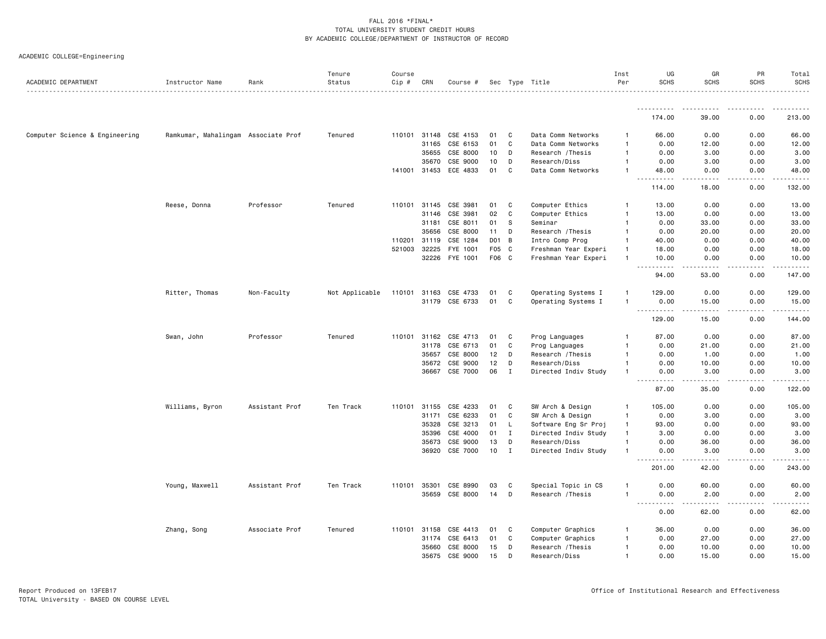|                                |                                     |                | Tenure         | Course |              |                       |                  |                |                      | Inst           | UG                                                                                                                                                 | GR                | PR          | Total                     |
|--------------------------------|-------------------------------------|----------------|----------------|--------|--------------|-----------------------|------------------|----------------|----------------------|----------------|----------------------------------------------------------------------------------------------------------------------------------------------------|-------------------|-------------|---------------------------|
| ACADEMIC DEPARTMENT            | Instructor Name                     | Rank           | Status         | Cip #  | CRN          | Course #              |                  |                | Sec Type Title       | Per            | <b>SCHS</b>                                                                                                                                        | <b>SCHS</b>       | <b>SCHS</b> | <b>SCHS</b>               |
|                                |                                     |                |                |        |              |                       |                  |                |                      |                | 174.00                                                                                                                                             | 39.00             | 0.00        | 213.00                    |
|                                |                                     |                |                |        |              |                       |                  |                |                      |                |                                                                                                                                                    |                   |             |                           |
| Computer Science & Engineering | Ramkumar, Mahalingam Associate Prof |                | Tenured        |        | 110101 31148 | CSE 4153              | 01               | C              | Data Comm Networks   | 1              | 66.00                                                                                                                                              | 0.00              | 0.00        | 66.00                     |
|                                |                                     |                |                |        | 31165        | CSE 6153              | 01               | C              | Data Comm Networks   | -1             | 0.00                                                                                                                                               | 12.00             | 0.00        | 12.00                     |
|                                |                                     |                |                |        | 35655        | CSE 8000              | 10               | D              | Research / Thesis    | -1             | 0.00                                                                                                                                               | 3.00              | 0.00        | 3.00                      |
|                                |                                     |                |                |        | 35670        | CSE 9000              | 10               | D              | Research/Diss        | -1             | 0.00                                                                                                                                               | 3.00              | 0.00        | 3.00                      |
|                                |                                     |                |                |        | 141001 31453 | ECE 4833              | 01               | C              | Data Comm Networks   | -1             | 48.00<br>.                                                                                                                                         | 0.00<br>.         | 0.00<br>.   | 48.00<br>.                |
|                                |                                     |                |                |        |              |                       |                  |                |                      |                | 114.00                                                                                                                                             | 18.00             | 0.00        | 132.00                    |
|                                | Reese, Donna                        | Professor      | Tenured        |        | 110101 31145 | CSE 3981              | 01               | C              | Computer Ethics      | -1             | 13.00                                                                                                                                              | 0.00              | 0.00        | 13.00                     |
|                                |                                     |                |                |        | 31146        | CSE 3981              | 02               | C              | Computer Ethics      | -1             | 13.00                                                                                                                                              | 0.00              | 0.00        | 13.00                     |
|                                |                                     |                |                |        | 31181        | CSE 8011              | 01               | s              | Seminar              | -1             | 0.00                                                                                                                                               | 33.00             | 0.00        | 33.00                     |
|                                |                                     |                |                |        | 35656        | CSE 8000              | 11               | D              | Research / Thesis    | $\mathbf{1}$   | 0.00                                                                                                                                               | 20.00             | 0.00        | 20.00                     |
|                                |                                     |                |                | 110201 | 31119        | CSE 1284              | DO 1             | $\overline{B}$ | Intro Comp Prog      | -1             | 40.00                                                                                                                                              | 0.00              | 0.00        | 40.00                     |
|                                |                                     |                |                | 521003 | 32225        | FYE 1001              | F <sub>0</sub> 5 | C              | Freshman Year Experi | $\overline{1}$ | 18.00                                                                                                                                              | 0.00              | 0.00        | 18.00                     |
|                                |                                     |                |                |        |              | 32226 FYE 1001        | F06 C            |                | Freshman Year Experi | $\overline{1}$ | 10.00<br>.                                                                                                                                         | 0.00              | 0.00        | 10.00                     |
|                                |                                     |                |                |        |              |                       |                  |                |                      |                | 94.00                                                                                                                                              | 53.00             | 0.00        | 147.00                    |
|                                | Ritter, Thomas                      | Non-Faculty    | Not Applicable | 110101 | 31163        | CSE 4733              | 01               | C              | Operating Systems I  | 1              | 129.00                                                                                                                                             | 0.00              | 0.00        | 129.00                    |
|                                |                                     |                |                |        | 31179        | CSE 6733              | 01               | C              | Operating Systems I  | $\overline{1}$ | 0.00                                                                                                                                               | 15.00             | 0.00        | 15.00                     |
|                                |                                     |                |                |        |              |                       |                  |                |                      |                | <u>.</u><br>129.00                                                                                                                                 | <u>.</u><br>15.00 | .<br>0.00   | $- - - - - - -$<br>144.00 |
|                                | Swan, John                          | Professor      | Tenured        |        |              | 110101 31162 CSE 4713 | 01               | C              | Prog Languages       | -1             | 87.00                                                                                                                                              | 0.00              | 0.00        | 87.00                     |
|                                |                                     |                |                |        | 31178        | CSE 6713              | 01               | C              | Prog Languages       | -1             | 0.00                                                                                                                                               | 21.00             | 0.00        | 21.00                     |
|                                |                                     |                |                |        | 35657        | CSE 8000              | 12               | D              | Research / Thesis    | $\overline{1}$ | 0.00                                                                                                                                               | 1.00              | 0.00        | 1.00                      |
|                                |                                     |                |                |        |              | 35672 CSE 9000        | 12               | D              | Research/Diss        | -1             | 0.00                                                                                                                                               | 10.00             | 0.00        | 10.00                     |
|                                |                                     |                |                |        |              | 36667 CSE 7000        | 06               | I              | Directed Indiv Study | -1             | 0.00                                                                                                                                               | 3.00              | 0.00        | 3.00                      |
|                                |                                     |                |                |        |              |                       |                  |                |                      |                | 87.00                                                                                                                                              | 35.00             | 0.00        | 122.00                    |
|                                | Williams, Byron                     | Assistant Prof | Ten Track      | 110101 | 31155        | CSE 4233              | 01               | C              | SW Arch & Design     | $\overline{1}$ | 105.00                                                                                                                                             | 0.00              | 0.00        | 105.00                    |
|                                |                                     |                |                |        | 31171        | CSE 6233              | 01               | C              | SW Arch & Design     | $\mathbf{1}$   | 0.00                                                                                                                                               | 3.00              | 0.00        | 3.00                      |
|                                |                                     |                |                |        | 35328        | CSE 3213              | 01               | L.             | Software Eng Sr Proj | $\mathbf{1}$   | 93.00                                                                                                                                              | 0.00              | 0.00        | 93.00                     |
|                                |                                     |                |                |        | 35396        | CSE 4000              | 01               | $\mathbf{I}$   | Directed Indiv Study | $\overline{1}$ | 3.00                                                                                                                                               | 0.00              | 0.00        | 3.00                      |
|                                |                                     |                |                |        | 35673        | CSE 9000              | 13               | D              | Research/Diss        | $\overline{1}$ | 0.00                                                                                                                                               | 36.00             | 0.00        | 36.00                     |
|                                |                                     |                |                |        | 36920        | CSE 7000              | 10               | $\mathbf{I}$   | Directed Indiv Study | -1             | 0.00<br>$\sim$ $\sim$<br>$\frac{1}{2} \left( \frac{1}{2} \right) \left( \frac{1}{2} \right) \left( \frac{1}{2} \right) \left( \frac{1}{2} \right)$ | 3.00<br>.         | 0.00<br>.   | 3.00<br>.                 |
|                                |                                     |                |                |        |              |                       |                  |                |                      |                | 201.00                                                                                                                                             | 42.00             | 0.00        | 243.00                    |
|                                | Young, Maxwell                      | Assistant Prof | Ten Track      |        | 110101 35301 | CSE 8990              | 03               | C              | Special Topic in CS  | -1             | 0.00                                                                                                                                               | 60.00             | 0.00        | 60.00                     |
|                                |                                     |                |                |        |              | 35659 CSE 8000        | 14               | D              | Research / Thesis    | $\overline{1}$ | 0.00<br>.                                                                                                                                          | 2.00              | 0.00        | 2.00                      |
|                                |                                     |                |                |        |              |                       |                  |                |                      |                | $\sim$ $\sim$ $\sim$<br>0.00                                                                                                                       | -----<br>62.00    | .<br>0.00   | . <u>.</u> .<br>62.00     |
|                                | Zhang, Song                         | Associate Prof | Tenured        | 110101 | 31158        | CSE 4413              | 01               | C              | Computer Graphics    | 1              | 36.00                                                                                                                                              | 0.00              | 0.00        | 36.00                     |
|                                |                                     |                |                |        | 31174        | CSE 6413              | 01               | C              | Computer Graphics    | -1             | 0.00                                                                                                                                               | 27.00             | 0.00        | 27.00                     |
|                                |                                     |                |                |        | 35660        | CSE 8000              | 15               | D              | Research / Thesis    | -1             | 0.00                                                                                                                                               | 10.00             | 0.00        | 10.00                     |
|                                |                                     |                |                |        | 35675        | CSE 9000              | 15               | D              | Research/Diss        | $\overline{1}$ | 0.00                                                                                                                                               | 15.00             | 0.00        | 15.00                     |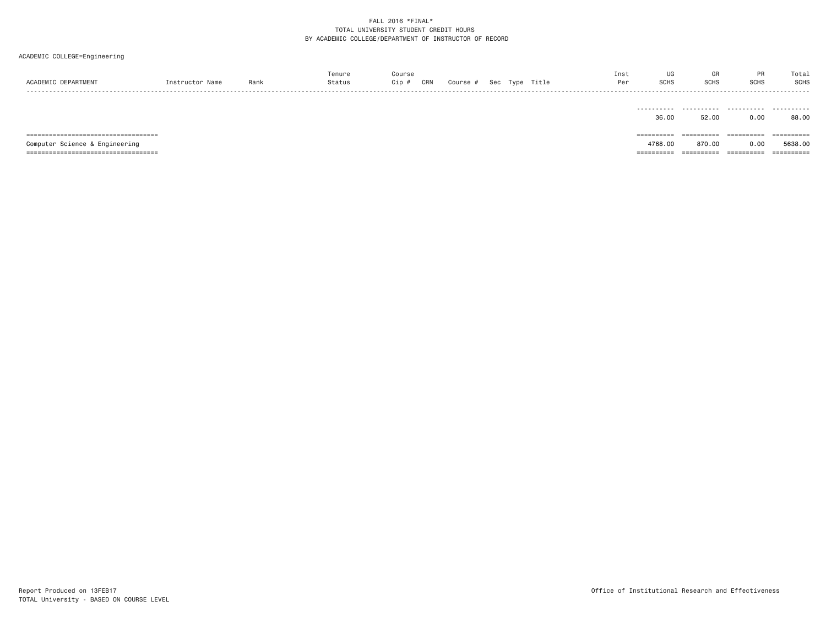| ACADEMIC DEPARTMENT                    | Instructor Name | Rank | Tenure<br>Status | Course<br>Cip #<br>CRN | Course # |  | Sec Type Title | Inst<br>Per | UG<br><b>SCHS</b> | GR<br><b>SCHS</b> | PR<br><b>SCHS</b>     | Total<br><b>SCHS</b> |
|----------------------------------------|-----------------|------|------------------|------------------------|----------|--|----------------|-------------|-------------------|-------------------|-----------------------|----------------------|
|                                        |                 |      |                  |                        |          |  |                |             | .<br>36.00        | .<br>52.00        | .<br>0.00             | .<br>88.00           |
| ====================================== |                 |      |                  |                        |          |  |                |             | ==========        | ==========        | ==========            | -----------          |
| Computer Science & Engineering         |                 |      |                  |                        |          |  |                |             | 4768.00           | 870.00            | 0.00                  | 5638,00              |
| ====================================== |                 |      |                  |                        |          |  |                |             | =========         | ==========        | $=$ = = = = = = = = = |                      |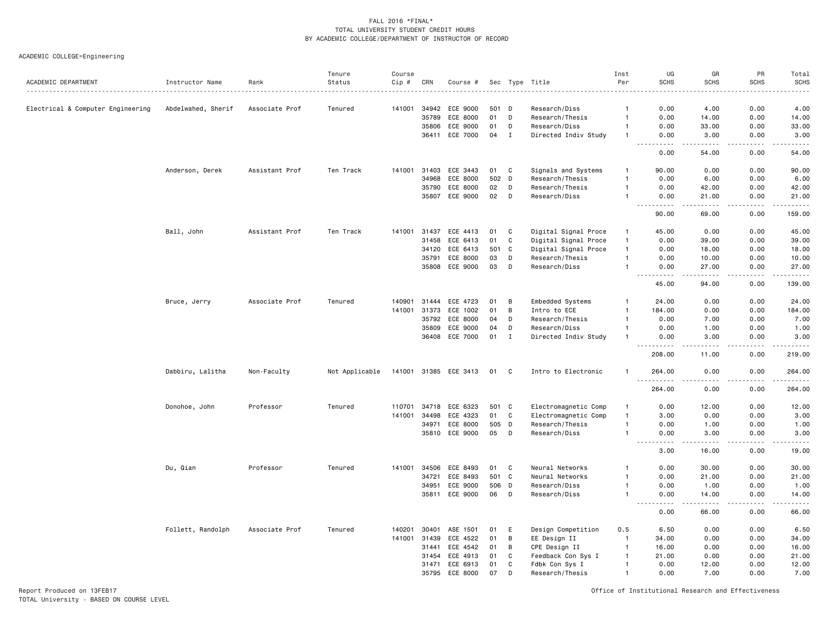ACADEMIC COLLEGE=Engineering

| ACADEMIC DEPARTMENT               | Instructor Name    | Rank           | Tenure<br>Status | Course<br>Cip # | CRN   | Course #              |       |             | Sec Type Title       | Inst<br>Per    | UG<br><b>SCHS</b>                                                                                                                 | GR<br><b>SCHS</b>    | PR<br><b>SCHS</b> | Total<br><b>SCHS</b><br>$- - - -$ |
|-----------------------------------|--------------------|----------------|------------------|-----------------|-------|-----------------------|-------|-------------|----------------------|----------------|-----------------------------------------------------------------------------------------------------------------------------------|----------------------|-------------------|-----------------------------------|
| Electrical & Computer Engineering | Abdelwahed, Sherif | Associate Prof | Tenured          | 141001          | 34942 | ECE 9000              | 501   | D           | Research/Diss        | 1              | 0.00                                                                                                                              | 4.00                 | 0.00              | 4.00                              |
|                                   |                    |                |                  |                 | 35789 | ECE 8000              | 01    | D           | Research/Thesis      | $\mathbf{1}$   | 0.00                                                                                                                              | 14.00                | 0.00              | 14.00                             |
|                                   |                    |                |                  |                 | 35806 | ECE 9000              | 01    | D           | Research/Diss        | $\mathbf{1}$   | 0.00                                                                                                                              | 33.00                | 0.00              | 33.00                             |
|                                   |                    |                |                  |                 | 36411 | ECE 7000              | 04    | I           | Directed Indiv Study | $\mathbf{1}$   | 0.00                                                                                                                              | 3.00                 | 0.00              | 3.00<br>$\cdots$                  |
|                                   |                    |                |                  |                 |       |                       |       |             |                      |                | 0.00                                                                                                                              | 54.00                | 0.00              | 54.00                             |
|                                   | Anderson, Derek    | Assistant Prof | Ten Track        | 141001          | 31403 | ECE 3443              | 01    | C           | Signals and Systems  | $\mathbf{1}$   | 90.00                                                                                                                             | 0.00                 | 0.00              | 90.00                             |
|                                   |                    |                |                  |                 | 34968 | ECE 8000              | 502   | D           | Research/Thesis      | $\mathbf{1}$   | 0.00                                                                                                                              | 6.00                 | 0.00              | 6.00                              |
|                                   |                    |                |                  |                 | 35790 | ECE 8000              | 02    | D           | Research/Thesis      | $\mathbf{1}$   | 0.00                                                                                                                              | 42.00                | 0.00              | 42.00                             |
|                                   |                    |                |                  |                 | 35807 | ECE 9000              | 02    | D           | Research/Diss        | $\mathbf{1}$   | 0.00                                                                                                                              | 21.00                | 0.00              | 21.00<br>وساعات                   |
|                                   |                    |                |                  |                 |       |                       |       |             |                      |                | 90.00                                                                                                                             | 69.00                | 0.00              | 159.00                            |
|                                   | Ball, John         | Assistant Prof | Ten Track        | 141001          | 31437 | ECE 4413              | 01    | C           | Digital Signal Proce | -1             | 45.00                                                                                                                             | 0.00                 | 0.00              | 45.00                             |
|                                   |                    |                |                  |                 | 31458 | ECE 6413              | 01    | C           | Digital Signal Proce | $\overline{1}$ | 0.00                                                                                                                              | 39.00                | 0.00              | 39.00                             |
|                                   |                    |                |                  |                 | 34120 | ECE 6413              | 501   | C           | Digital Signal Proce | $\overline{1}$ | 0.00                                                                                                                              | 18.00                | 0.00              | 18.00                             |
|                                   |                    |                |                  |                 | 35791 | ECE 8000              | 03    | D           | Research/Thesis      | 1              | 0.00                                                                                                                              | 10.00                | 0.00              | 10.00                             |
|                                   |                    |                |                  |                 | 35808 | ECE 9000              | 03    | D           | Research/Diss        |                | 0.00<br>$\frac{1}{2} \left( \frac{1}{2} \right) \left( \frac{1}{2} \right) \left( \frac{1}{2} \right) \left( \frac{1}{2} \right)$ | 27.00                | 0.00              | 27.00<br>.                        |
|                                   |                    |                |                  |                 |       |                       |       |             |                      |                | 45.00                                                                                                                             | 94.00                | 0.00              | 139.00                            |
|                                   | Bruce, Jerry       | Associate Prof | Tenured          | 140901          | 31444 | ECE 4723              | 01    | B           | Embedded Systems     | 1              | 24.00                                                                                                                             | 0.00                 | 0.00              | 24.00                             |
|                                   |                    |                |                  | 141001          | 31373 | ECE 1002              | 01    | B           | Intro to ECE         | $\overline{1}$ | 184.00                                                                                                                            | 0.00                 | 0.00              | 184.00                            |
|                                   |                    |                |                  |                 | 35792 | ECE 8000              | 04    | D           | Research/Thesis      | $\overline{1}$ | 0.00                                                                                                                              | 7.00                 | 0.00              | 7.00                              |
|                                   |                    |                |                  |                 | 35809 | ECE 9000              | 04    | D           | Research/Diss        | 1              | 0.00                                                                                                                              | 1.00                 | 0.00              | 1.00                              |
|                                   |                    |                |                  |                 | 36408 | ECE 7000              | 01    | $\mathbf I$ | Directed Indiv Study | $\mathbf{1}$   | 0.00<br>.                                                                                                                         | 3.00<br>.            | 0.00<br>د د د د   | 3.00<br>.                         |
|                                   |                    |                |                  |                 |       |                       |       |             |                      |                | 208.00                                                                                                                            | 11.00                | 0.00              | 219.00                            |
|                                   | Dabbiru, Lalitha   | Non-Faculty    | Not Applicable   |                 |       | 141001 31385 ECE 3413 | 01 C  |             | Intro to Electronic  | -1             | 264.00<br>$\sim$ $\sim$ $\sim$<br>.                                                                                               | 0.00<br>.            | 0.00<br>.         | 264.00<br>.                       |
|                                   |                    |                |                  |                 |       |                       |       |             |                      |                | 264.00                                                                                                                            | 0.00                 | 0.00              | 264.00                            |
|                                   | Donohoe, John      | Professor      | Tenured          | 110701          | 34718 | ECE 6323              | 501 C |             | Electromagnetic Comp | $\overline{1}$ | 0.00                                                                                                                              | 12.00                | 0.00              | 12.00                             |
|                                   |                    |                |                  | 141001          | 34498 | ECE 4323              | 01    | C           | Electromagnetic Comp | $\overline{1}$ | 3.00                                                                                                                              | 0.00                 | 0.00              | 3.00                              |
|                                   |                    |                |                  |                 | 34971 | ECE 8000              | 505 D |             | Research/Thesis      | $\mathbf{1}$   | 0.00                                                                                                                              | 1.00                 | 0.00              | 1.00                              |
|                                   |                    |                |                  |                 |       | 35810 ECE 9000        | 05    | D           | Research/Diss        | $\mathbf{1}$   | 0.00<br>.                                                                                                                         | 3.00<br><u>.</u>     | 0.00<br>.         | 3.00<br>$\cdots$                  |
|                                   |                    |                |                  |                 |       |                       |       |             |                      |                | 3.00                                                                                                                              | 16.00                | 0.00              | 19.00                             |
|                                   | Du, Qian           | Professor      | Tenured          | 141001          | 34506 | ECE 8493              | 01    | C           | Neural Networks      | 1              | 0.00                                                                                                                              | 30.00                | 0.00              | 30.00                             |
|                                   |                    |                |                  |                 | 34721 | ECE 8493              | 501 C |             | Neural Networks      | $\mathbf{1}$   | 0.00                                                                                                                              | 21.00                | 0.00              | 21.00                             |
|                                   |                    |                |                  |                 | 34951 | ECE 9000              | 506   | D           | Research/Diss        | $\mathbf{1}$   | 0.00                                                                                                                              | 1.00                 | 0.00              | 1.00                              |
|                                   |                    |                |                  |                 |       | 35811 ECE 9000        | 06    | D           | Research/Diss        | $\mathbf{1}$   | 0.00<br>$  -$<br>.                                                                                                                | 14.00<br>$- - - - -$ | 0.00<br>.         | 14.00<br>.                        |
|                                   |                    |                |                  |                 |       |                       |       |             |                      |                | 0.00                                                                                                                              | 66.00                | 0.00              | 66.00                             |
|                                   | Follett, Randolph  | Associate Prof | Tenured          | 140201          | 30401 | ASE 1501              | 01    | E           | Design Competition   | 0.5            | 6.50                                                                                                                              | 0.00                 | 0.00              | 6.50                              |
|                                   |                    |                |                  | 141001          | 31439 | ECE 4522              | 01    | B           | EE Design II         | $\overline{1}$ | 34.00                                                                                                                             | 0.00                 | 0.00              | 34.00                             |
|                                   |                    |                |                  |                 | 31441 | ECE 4542              | 01    | B           | CPE Design II        | $\overline{1}$ | 16.00                                                                                                                             | 0.00                 | 0.00              | 16.00                             |
|                                   |                    |                |                  |                 | 31454 | ECE 4913              | 01    | C           | Feedback Con Sys I   | $\mathbf{1}$   | 21.00                                                                                                                             | 0.00                 | 0.00              | 21.00                             |
|                                   |                    |                |                  |                 | 31471 | ECE 6913              | 01    | C           | Fdbk Con Sys I       | $\mathbf{1}$   | 0.00                                                                                                                              | 12.00                | 0.00              | 12.00                             |
|                                   |                    |                |                  |                 | 35795 | ECE 8000              | 07    | D           | Research/Thesis      | $\overline{1}$ | 0.00                                                                                                                              | 7.00                 | 0.00              | 7.00                              |

Report Produced on 13FEB17 Office of Institutional Research and Effectiveness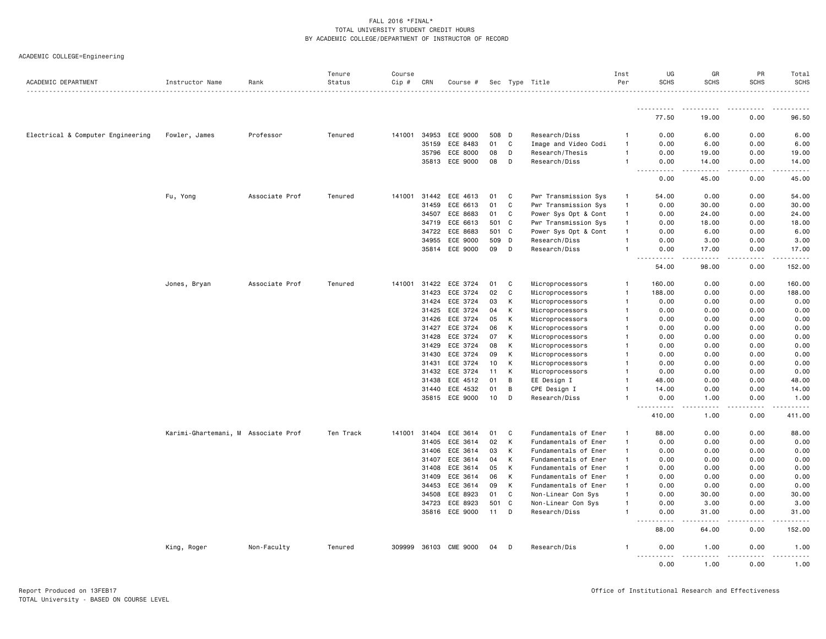|                                   |                                     |                | Tenure    | Course |              |                |       |              |                      | Inst           | UG                                            | GR                                                                                                                                                            | PR            | Total                        |
|-----------------------------------|-------------------------------------|----------------|-----------|--------|--------------|----------------|-------|--------------|----------------------|----------------|-----------------------------------------------|---------------------------------------------------------------------------------------------------------------------------------------------------------------|---------------|------------------------------|
| ACADEMIC DEPARTMENT               | Instructor Name                     | Rank           | Status    | Cip #  | CRN          | Course #       |       |              | Sec Type Title       | Per            | <b>SCHS</b>                                   | <b>SCHS</b>                                                                                                                                                   | <b>SCHS</b>   | <b>SCHS</b><br>$- - - - - -$ |
|                                   |                                     |                |           |        |              |                |       |              |                      |                | .                                             | .                                                                                                                                                             |               | .                            |
|                                   |                                     |                |           |        |              |                |       |              |                      |                | 77.50                                         | 19.00                                                                                                                                                         | 0.00          | 96.50                        |
| Electrical & Computer Engineering | Fowler, James                       | Professor      | Tenured   | 141001 |              | 34953 ECE 9000 | 508   | D            | Research/Diss        | -1             | 0.00                                          | 6.00                                                                                                                                                          | 0.00          | 6.00                         |
|                                   |                                     |                |           |        | 35159        | ECE 8483       | 01    | C            | Image and Video Codi | $\overline{1}$ | 0.00                                          | 6.00                                                                                                                                                          | 0.00          | 6.00                         |
|                                   |                                     |                |           |        | 35796        | ECE 8000       | 08    | D            | Research/Thesis      | $\mathbf{1}$   | 0.00                                          | 19.00                                                                                                                                                         | 0.00          | 19.00                        |
|                                   |                                     |                |           |        |              | 35813 ECE 9000 | 08    | D            | Research/Diss        | $\overline{1}$ | 0.00                                          | 14.00                                                                                                                                                         | 0.00          | 14.00                        |
|                                   |                                     |                |           |        |              |                |       |              |                      |                | $\sim$<br>$\sim$ $\sim$ $\sim$ $\sim$<br>0.00 | .<br>45.00                                                                                                                                                    | -----<br>0.00 | .<br>45.00                   |
|                                   | Fu, Yong                            | Associate Prof | Tenured   |        | 141001 31442 | ECE 4613       | 01    | C            | Pwr Transmission Sys | $\mathbf{1}$   | 54.00                                         | 0.00                                                                                                                                                          | 0.00          | 54.00                        |
|                                   |                                     |                |           |        | 31459        | ECE 6613       | 01    | $\mathbf{C}$ | Pwr Transmission Sys | $\overline{1}$ | 0.00                                          | 30.00                                                                                                                                                         | 0.00          | 30.00                        |
|                                   |                                     |                |           |        | 34507        | ECE 8683       | 01    | C            | Power Sys Opt & Cont | $\mathbf{1}$   | 0.00                                          | 24.00                                                                                                                                                         | 0.00          | 24.00                        |
|                                   |                                     |                |           |        | 34719        | ECE 6613       | 501 C |              | Pwr Transmission Sys | $\mathbf{1}$   | 0.00                                          | 18.00                                                                                                                                                         | 0.00          | 18.00                        |
|                                   |                                     |                |           |        | 34722        | ECE 8683       | 501 C |              | Power Sys Opt & Cont | $\overline{1}$ | 0.00                                          | 6.00                                                                                                                                                          | 0.00          | 6.00                         |
|                                   |                                     |                |           |        | 34955        | ECE 9000       | 509   | D            | Research/Diss        | $\overline{1}$ | 0.00                                          | 3.00                                                                                                                                                          | 0.00          | 3.00                         |
|                                   |                                     |                |           |        |              | 35814 ECE 9000 | 09    | D            | Research/Diss        | -1             | 0.00                                          | 17.00                                                                                                                                                         | 0.00          | 17.00                        |
|                                   |                                     |                |           |        |              |                |       |              |                      |                | $ -$<br>.<br>54.00                            | .<br>98.00                                                                                                                                                    | .<br>0.00     | .<br>152.00                  |
|                                   | Jones, Bryan                        | Associate Prof | Tenured   | 141001 | 31422        | ECE 3724       | 01    | C            | Microprocessors      | -1             | 160.00                                        | 0.00                                                                                                                                                          | 0.00          | 160.00                       |
|                                   |                                     |                |           |        | 31423        | ECE 3724       | 02    | C            | Microprocessors      | $\overline{1}$ | 188.00                                        | 0.00                                                                                                                                                          | 0.00          | 188.00                       |
|                                   |                                     |                |           |        | 31424        | ECE 3724       | 03    | К            | Microprocessors      | $\overline{1}$ | 0.00                                          | 0.00                                                                                                                                                          | 0.00          | 0.00                         |
|                                   |                                     |                |           |        | 31425        | ECE 3724       | 04    | К            | Microprocessors      | -1             | 0.00                                          | 0.00                                                                                                                                                          | 0.00          | 0.00                         |
|                                   |                                     |                |           |        | 31426        | ECE 3724       | 05    | К            | Microprocessors      | -1             | 0.00                                          | 0.00                                                                                                                                                          | 0.00          | 0.00                         |
|                                   |                                     |                |           |        | 31427        | ECE 3724       | 06    | К            | Microprocessors      | 1              | 0.00                                          | 0.00                                                                                                                                                          | 0.00          | 0.00                         |
|                                   |                                     |                |           |        | 31428        | ECE 3724       | 07    | К            | Microprocessors      | -1             | 0.00                                          | 0.00                                                                                                                                                          | 0.00          | 0.00                         |
|                                   |                                     |                |           |        | 31429        | ECE 3724       | 08    | к            | Microprocessors      | -1             | 0.00                                          | 0.00                                                                                                                                                          | 0.00          | 0.00                         |
|                                   |                                     |                |           |        | 31430        | ECE 3724       | 09    | к            | Microprocessors      | 1              | 0.00                                          | 0.00                                                                                                                                                          | 0.00          | 0.00                         |
|                                   |                                     |                |           |        | 31431        | ECE 3724       | 10    | К            | Microprocessors      | -1             | 0.00                                          | 0.00                                                                                                                                                          | 0.00          | 0.00                         |
|                                   |                                     |                |           |        |              | 31432 ECE 3724 | 11    | К            | Microprocessors      | -1             | 0.00                                          | 0.00                                                                                                                                                          | 0.00          | 0.00                         |
|                                   |                                     |                |           |        | 31438        | ECE 4512       | 01    | B            | EE Design I          | $\overline{1}$ | 48.00                                         | 0.00                                                                                                                                                          | 0.00          | 48.00                        |
|                                   |                                     |                |           |        | 31440        | ECE 4532       | 01    | B            | CPE Design I         | -1             | 14.00                                         | 0.00                                                                                                                                                          | 0.00          | 14.00                        |
|                                   |                                     |                |           |        |              | 35815 ECE 9000 | 10    | D            | Research/Diss        | 1              | 0.00                                          | 1.00                                                                                                                                                          | 0.00          | 1.00                         |
|                                   |                                     |                |           |        |              |                |       |              |                      |                | .<br>410.00                                   | $\sim$ $\sim$ $\sim$<br>1.00                                                                                                                                  | .<br>0.00     | . <b>.</b><br>411.00         |
|                                   | Karimi-Ghartemani, M Associate Prof |                | Ten Track | 141001 | 31404        | ECE 3614       | 01    | C            | Fundamentals of Ener | $\mathbf{1}$   | 88.00                                         | 0.00                                                                                                                                                          | 0.00          | 88.00                        |
|                                   |                                     |                |           |        | 31405        | ECE 3614       | 02    | К            | Fundamentals of Ener | $\overline{1}$ | 0.00                                          | 0.00                                                                                                                                                          | 0.00          | 0.00                         |
|                                   |                                     |                |           |        | 31406        | ECE 3614       | 03    | к            | Fundamentals of Ener | $\mathbf{1}$   | 0.00                                          | 0.00                                                                                                                                                          | 0.00          | 0.00                         |
|                                   |                                     |                |           |        | 31407        | ECE 3614       | 04    | К            | Fundamentals of Ener | $\mathbf{1}$   | 0.00                                          | 0.00                                                                                                                                                          | 0.00          | 0.00                         |
|                                   |                                     |                |           |        | 31408        | ECE 3614       | 05    | К            | Fundamentals of Ener | $\mathbf{1}$   | 0.00                                          | 0.00                                                                                                                                                          | 0.00          | 0.00                         |
|                                   |                                     |                |           |        | 31409        | ECE 3614       | 06    | К            | Fundamentals of Ener | $\mathbf{1}$   | 0.00                                          | 0.00                                                                                                                                                          | 0.00          | 0.00                         |
|                                   |                                     |                |           |        | 34453        | ECE 3614       | 09    | K            | Fundamentals of Ener | $\mathbf{1}$   | 0.00                                          | 0.00                                                                                                                                                          | 0.00          | 0.00                         |
|                                   |                                     |                |           |        | 34508        | ECE 8923       | 01    | C            | Non-Linear Con Sys   | $\overline{1}$ | 0.00                                          | 30.00                                                                                                                                                         | 0.00          | 30.00                        |
|                                   |                                     |                |           |        | 34723        | ECE 8923       | 501   | C            | Non-Linear Con Sys   | $\overline{1}$ | 0.00                                          | 3.00                                                                                                                                                          | 0.00          | 3.00                         |
|                                   |                                     |                |           |        |              | 35816 ECE 9000 | 11    | D            | Research/Diss        | -1             | 0.00                                          | 31.00                                                                                                                                                         | 0.00          | 31.00                        |
|                                   |                                     |                |           |        |              |                |       |              |                      |                | .<br>$\sim$ $\sim$<br>88.00                   | $\frac{1}{2} \left( \frac{1}{2} \right) \left( \frac{1}{2} \right) \left( \frac{1}{2} \right) \left( \frac{1}{2} \right) \left( \frac{1}{2} \right)$<br>64.00 | .<br>0.00     | .<br>152.00                  |
|                                   | King, Roger                         | Non-Faculty    | Tenured   | 309999 |              | 36103 CME 9000 | 04    | D            | Research/Dis         | -1             | 0.00                                          | 1.00                                                                                                                                                          | 0.00          | 1.00                         |
|                                   |                                     |                |           |        |              |                |       |              |                      |                | 0.00                                          | 1.00                                                                                                                                                          | 0.00          | 1.00                         |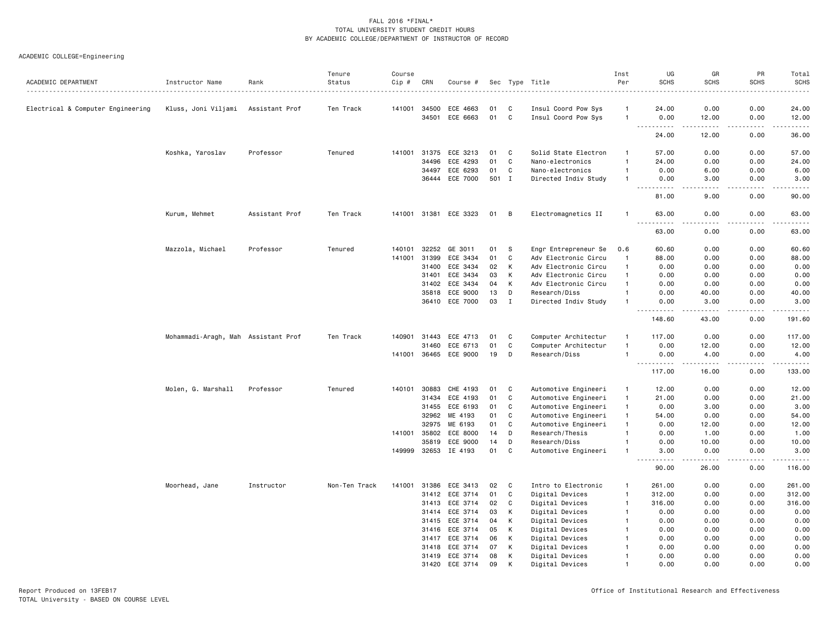|                                   |                                     |                | Tenure        | Course |                |                       |          |             |                                            | Inst                             | UG                                                                                                                                                                                                       | GR                | PR           | Total            |
|-----------------------------------|-------------------------------------|----------------|---------------|--------|----------------|-----------------------|----------|-------------|--------------------------------------------|----------------------------------|----------------------------------------------------------------------------------------------------------------------------------------------------------------------------------------------------------|-------------------|--------------|------------------|
| ACADEMIC DEPARTMENT               | Instructor Name                     | Rank           | Status        | Cip #  | CRN            | Course #              |          |             | Sec Type Title<br>.                        | Per                              | <b>SCHS</b>                                                                                                                                                                                              | <b>SCHS</b>       | <b>SCHS</b>  | <b>SCHS</b><br>. |
|                                   |                                     |                |               |        |                |                       |          |             |                                            |                                  |                                                                                                                                                                                                          |                   |              |                  |
| Electrical & Computer Engineering | Kluss, Joni Viljami                 | Assistant Prof | Ten Track     | 141001 | 34500<br>34501 | ECE 4663<br>ECE 6663  | 01<br>01 | C<br>C      | Insul Coord Pow Sys<br>Insul Coord Pow Sys | $\overline{1}$<br>$\overline{1}$ | 24.00<br>0.00                                                                                                                                                                                            | 0.00<br>12.00     | 0.00<br>0.00 | 24.00<br>12.00   |
|                                   |                                     |                |               |        |                |                       |          |             |                                            |                                  | . <u>.</u>                                                                                                                                                                                               | $\frac{1}{2}$     | .            | .                |
|                                   |                                     |                |               |        |                |                       |          |             |                                            |                                  | 24.00                                                                                                                                                                                                    | 12.00             | 0.00         | 36.00            |
|                                   | Koshka, Yaroslav                    | Professor      | Tenured       | 141001 | 31375          | ECE 3213              | 01       | C           | Solid State Electron                       | $\overline{1}$                   | 57.00                                                                                                                                                                                                    | 0.00              | 0.00         | 57.00            |
|                                   |                                     |                |               |        | 34496          | ECE 4293              | 01       | C           | Nano-electronics                           | $\overline{1}$                   | 24.00                                                                                                                                                                                                    | 0.00              | 0.00         | 24.00            |
|                                   |                                     |                |               |        | 34497          | ECE 6293              | 01       | C           | Nano-electronics                           | $\mathbf{1}$                     | 0.00                                                                                                                                                                                                     | 6.00              | 0.00         | 6.00             |
|                                   |                                     |                |               |        |                | 36444 ECE 7000        | 501 I    |             | Directed Indiv Study                       | $\overline{1}$                   | 0.00<br>$\frac{1}{2}$<br>$\frac{1}{2} \left( \frac{1}{2} \right) \left( \frac{1}{2} \right) \left( \frac{1}{2} \right) \left( \frac{1}{2} \right) \left( \frac{1}{2} \right) \left( \frac{1}{2} \right)$ | 3.00<br>الدامات ب | 0.00<br>.    | 3.00<br>.        |
|                                   |                                     |                |               |        |                |                       |          |             |                                            |                                  | 81.00                                                                                                                                                                                                    | 9.00              | 0.00         | 90.00            |
|                                   | Kurum, Mehmet                       | Assistant Prof | Ten Track     |        |                | 141001 31381 ECE 3323 | 01       | B           | Electromagnetics II                        | -1                               | 63.00                                                                                                                                                                                                    | 0.00              | 0.00         | 63,00            |
|                                   |                                     |                |               |        |                |                       |          |             |                                            |                                  | 63.00                                                                                                                                                                                                    | 0.00              | 0.00         | 63.00            |
|                                   | Mazzola, Michael                    | Professor      | Tenured       | 140101 | 32252          | GE 3011               | 01       | S           | Engr Entrepreneur Se                       | 0.6                              | 60.60                                                                                                                                                                                                    | 0.00              | 0.00         | 60.60            |
|                                   |                                     |                |               | 141001 | 31399          | ECE 3434              | 01       | C           | Adv Electronic Circu                       | $\mathbf{1}$                     | 88.00                                                                                                                                                                                                    | 0.00              | 0.00         | 88.00            |
|                                   |                                     |                |               |        | 31400          | ECE 3434              | 02       | K           | Adv Electronic Circu                       | $\overline{1}$                   | 0.00                                                                                                                                                                                                     | 0.00              | 0.00         | 0.00             |
|                                   |                                     |                |               |        | 31401          | ECE 3434              | 03       | К           | Adv Electronic Circu                       | $\overline{1}$                   | 0.00                                                                                                                                                                                                     | 0.00              | 0.00         | 0.00             |
|                                   |                                     |                |               |        | 31402          | ECE 3434              | 04       | K           | Adv Electronic Circu                       | $\overline{1}$                   | 0.00                                                                                                                                                                                                     | 0.00              | 0.00         | 0.00             |
|                                   |                                     |                |               |        | 35818          | ECE 9000              | 13       | D           | Research/Diss                              | $\overline{1}$                   | 0.00                                                                                                                                                                                                     | 40.00             | 0.00         | 40.00            |
|                                   |                                     |                |               |        | 36410          | ECE 7000              | 03       | $\mathbf I$ | Directed Indiv Study                       | $\mathbf{1}$                     | 0.00                                                                                                                                                                                                     | 3.00              | 0.00         | 3.00<br>.        |
|                                   |                                     |                |               |        |                |                       |          |             |                                            |                                  | 148.60                                                                                                                                                                                                   | 43.00             | 0.00         | 191.60           |
|                                   | Mohammadi-Aragh, Mah Assistant Prof |                | Ten Track     | 140901 | 31443          | ECE 4713              | 01       | C           | Computer Architectur                       | -1                               | 117.00                                                                                                                                                                                                   | 0.00              | 0.00         | 117.00           |
|                                   |                                     |                |               |        | 31460          | ECE 6713              | 01       | C           | Computer Architectur                       | $\overline{1}$                   | 0.00                                                                                                                                                                                                     | 12.00             | 0.00         | 12.00            |
|                                   |                                     |                |               | 141001 |                | 36465 ECE 9000        | 19       | D           | Research/Diss                              | $\overline{1}$                   | 0.00<br>. <b>.</b>                                                                                                                                                                                       | 4.00              | 0.00         | 4.00<br>.        |
|                                   |                                     |                |               |        |                |                       |          |             |                                            |                                  | 117.00                                                                                                                                                                                                   | 16.00             | 0.00         | 133.00           |
|                                   | Molen, G. Marshall                  | Professor      | Tenured       | 140101 | 30883          | CHE 4193              | 01       | C           | Automotive Engineeri                       | $\mathbf{1}$                     | 12.00                                                                                                                                                                                                    | 0.00              | 0.00         | 12.00            |
|                                   |                                     |                |               |        | 31434          | ECE 4193              | 01       | C           | Automotive Engineeri                       | $\overline{1}$                   | 21.00                                                                                                                                                                                                    | 0.00              | 0.00         | 21.00            |
|                                   |                                     |                |               |        | 31455          | ECE 6193              | 01       | C           | Automotive Engineeri                       | $\overline{1}$                   | 0.00                                                                                                                                                                                                     | 3.00              | 0.00         | 3.00             |
|                                   |                                     |                |               |        | 32962          | ME 4193               | 01       | C           | Automotive Engineeri                       | $\overline{1}$                   | 54.00                                                                                                                                                                                                    | 0.00              | 0.00         | 54.00            |
|                                   |                                     |                |               |        | 32975          | ME 6193               | 01       | C           | Automotive Engineeri                       | $\overline{1}$                   | 0.00                                                                                                                                                                                                     | 12.00             | 0.00         | 12.00            |
|                                   |                                     |                |               | 141001 | 35802          | ECE 8000              | 14       | D           | Research/Thesis                            | $\overline{1}$                   | 0.00                                                                                                                                                                                                     | 1.00              | 0.00         | 1.00             |
|                                   |                                     |                |               |        | 35819          | ECE 9000              | 14       | D           | Research/Diss                              | -1                               | 0.00                                                                                                                                                                                                     | 10.00             | 0.00         | 10.00            |
|                                   |                                     |                |               | 149999 |                | 32653 IE 4193         | 01       | C           | Automotive Engineeri                       | $\overline{1}$                   | 3.00                                                                                                                                                                                                     | 0.00              | 0.00         | 3.00<br>.        |
|                                   |                                     |                |               |        |                |                       |          |             |                                            |                                  | 90.00                                                                                                                                                                                                    | 26.00             | 0.00         | 116.00           |
|                                   | Moorhead, Jane                      | Instructor     | Non-Ten Track | 141001 | 31386          | ECE 3413              | 02       | C           | Intro to Electronic                        | $\overline{1}$                   | 261.00                                                                                                                                                                                                   | 0.00              | 0.00         | 261.00           |
|                                   |                                     |                |               |        | 31412          | ECE 3714              | 01       | C           | Digital Devices                            | $\overline{1}$                   | 312.00                                                                                                                                                                                                   | 0.00              | 0.00         | 312.00           |
|                                   |                                     |                |               |        | 31413          | ECE 3714              | 02       | C           | Digital Devices                            | $\overline{1}$                   | 316.00                                                                                                                                                                                                   | 0.00              | 0.00         | 316.00           |
|                                   |                                     |                |               |        | 31414          | ECE 3714              | 03       | K           | Digital Devices                            | $\mathbf{1}$                     | 0.00                                                                                                                                                                                                     | 0.00              | 0.00         | 0.00             |
|                                   |                                     |                |               |        | 31415          | ECE 3714              | 04       | К           | Digital Devices                            | -1                               | 0.00                                                                                                                                                                                                     | 0.00              | 0.00         | 0.00             |
|                                   |                                     |                |               |        | 31416          | ECE 3714              | 05       | К           | Digital Devices                            | -1                               | 0.00                                                                                                                                                                                                     | 0.00              | 0.00         | 0.00             |
|                                   |                                     |                |               |        | 31417          | ECE 3714              | 06       | K           | Digital Devices                            | -1                               | 0.00                                                                                                                                                                                                     | 0.00              | 0.00         | 0.00             |
|                                   |                                     |                |               |        | 31418          | ECE 3714              | 07       | К           | Digital Devices                            | -1                               | 0.00                                                                                                                                                                                                     | 0.00              | 0.00         | 0.00             |
|                                   |                                     |                |               |        | 31419          | ECE 3714              | 08       | К           | Digital Devices                            | $\mathbf{1}$                     | 0.00                                                                                                                                                                                                     | 0.00              | 0.00         | 0.00             |
|                                   |                                     |                |               |        | 31420          | ECE 3714              | 09       | к           | Digital Devices                            |                                  | 0.00                                                                                                                                                                                                     | 0.00              | 0.00         | 0.00             |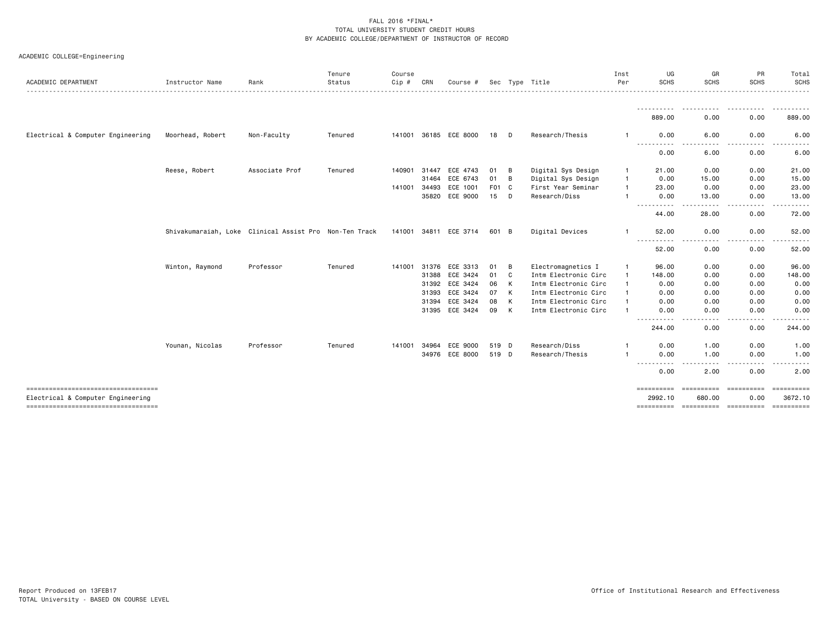|  | ACADEMIC COLLEGE=Engineering |  |
|--|------------------------------|--|
|--|------------------------------|--|

|                                                                            |                  |                                                        | Tenure  | Course |              |                       |       |   |                      | Inst         | UG                          | GR                     | PR                 | Total                                                                                                                                                                                                                                                                                                                                                                                                                                                                                             |
|----------------------------------------------------------------------------|------------------|--------------------------------------------------------|---------|--------|--------------|-----------------------|-------|---|----------------------|--------------|-----------------------------|------------------------|--------------------|---------------------------------------------------------------------------------------------------------------------------------------------------------------------------------------------------------------------------------------------------------------------------------------------------------------------------------------------------------------------------------------------------------------------------------------------------------------------------------------------------|
| ACADEMIC DEPARTMENT                                                        | Instructor Name  | Rank                                                   | Status  | Cip #  | CRN          | Course #              |       |   | Sec Type Title       | Per          | SCHS                        | <b>SCHS</b>            | <b>SCHS</b>        | <b>SCHS</b>                                                                                                                                                                                                                                                                                                                                                                                                                                                                                       |
|                                                                            |                  |                                                        |         |        |              |                       |       |   |                      |              | 889,00                      | 0.00                   | 0.00               | 889.00                                                                                                                                                                                                                                                                                                                                                                                                                                                                                            |
| Electrical & Computer Engineering                                          | Moorhead, Robert | Non-Faculty                                            | Tenured |        |              | 141001 36185 ECE 8000 | 18    | D | Research/Thesis      |              | 0.00                        | 6.00                   | 0.00               | 6.00                                                                                                                                                                                                                                                                                                                                                                                                                                                                                              |
|                                                                            |                  |                                                        |         |        |              |                       |       |   |                      |              | 0.00                        | 6.00                   | 0.00               | 6.00                                                                                                                                                                                                                                                                                                                                                                                                                                                                                              |
|                                                                            | Reese, Robert    | Associate Prof                                         | Tenured |        | 140901 31447 | ECE 4743              | 01    | B | Digital Sys Design   | -1           | 21.00                       | 0.00                   | 0.00               | 21.00                                                                                                                                                                                                                                                                                                                                                                                                                                                                                             |
|                                                                            |                  |                                                        |         |        | 31464        | ECE 6743              | 01    | B | Digital Sys Design   | $\mathbf{1}$ | 0.00                        | 15.00                  | 0.00               | 15.00                                                                                                                                                                                                                                                                                                                                                                                                                                                                                             |
|                                                                            |                  |                                                        |         |        | 141001 34493 | ECE 1001              | F01 C |   | First Year Seminar   |              | 23.00                       | 0.00                   | 0.00               | 23.00                                                                                                                                                                                                                                                                                                                                                                                                                                                                                             |
|                                                                            |                  |                                                        |         |        | 35820        | ECE 9000              | 15    | D | Research/Diss        |              | 0.00<br>----------          | 13.00<br>.             | 0.00<br>-----      | 13.00<br>.                                                                                                                                                                                                                                                                                                                                                                                                                                                                                        |
|                                                                            |                  |                                                        |         |        |              |                       |       |   |                      |              | 44.00                       | 28.00                  | 0.00               | 72.00                                                                                                                                                                                                                                                                                                                                                                                                                                                                                             |
|                                                                            |                  | Shivakumaraiah, Loke Clinical Assist Pro Non-Ten Track |         |        |              | 141001 34811 ECE 3714 | 601 B |   | Digital Devices      | $\mathbf{1}$ | 52.00                       | 0.00                   | 0.00               | 52.00                                                                                                                                                                                                                                                                                                                                                                                                                                                                                             |
|                                                                            |                  |                                                        |         |        |              |                       |       |   |                      |              | ----------<br>52.00         | 0.00                   | 0.00               | 52.00                                                                                                                                                                                                                                                                                                                                                                                                                                                                                             |
|                                                                            | Winton, Raymond  | Professor                                              | Tenured |        |              | 141001 31376 ECE 3313 | 01    | B | Electromagnetics I   |              | 96.00                       | 0.00                   | 0.00               | 96.00                                                                                                                                                                                                                                                                                                                                                                                                                                                                                             |
|                                                                            |                  |                                                        |         |        | 31388        | ECE 3424              | 01    | C | Intm Electronic Circ | $\mathbf{1}$ | 148.00                      | 0.00                   | 0.00               | 148.00                                                                                                                                                                                                                                                                                                                                                                                                                                                                                            |
|                                                                            |                  |                                                        |         |        |              | 31392 ECE 3424        | 06    | K | Intm Electronic Circ |              | 0.00                        | 0.00                   | 0.00               | 0.00                                                                                                                                                                                                                                                                                                                                                                                                                                                                                              |
|                                                                            |                  |                                                        |         |        | 31393        | ECE 3424              | 07    | K | Intm Electronic Circ |              | 0.00                        | 0.00                   | 0.00               | 0.00                                                                                                                                                                                                                                                                                                                                                                                                                                                                                              |
|                                                                            |                  |                                                        |         |        | 31394        | ECE 3424              | 08    | K | Intm Electronic Circ |              | 0.00                        | 0.00                   | 0.00               | 0.00                                                                                                                                                                                                                                                                                                                                                                                                                                                                                              |
|                                                                            |                  |                                                        |         |        |              | 31395 ECE 3424        | 09    | K | Intm Electronic Circ |              | 0.00<br>---------- <i>-</i> | 0.00                   | 0.00               | 0.00                                                                                                                                                                                                                                                                                                                                                                                                                                                                                              |
|                                                                            |                  |                                                        |         |        |              |                       |       |   |                      |              | 244.00                      | $- - - -$<br>0.00      | .<br>0.00          | 244.00                                                                                                                                                                                                                                                                                                                                                                                                                                                                                            |
|                                                                            | Younan, Nicolas  | Professor                                              | Tenured | 141001 | 34964        | ECE 9000              | 519 D |   | Research/Diss        |              | 0.00                        | 1.00                   | 0.00               | 1.00                                                                                                                                                                                                                                                                                                                                                                                                                                                                                              |
|                                                                            |                  |                                                        |         |        |              | 34976 ECE 8000        | 519 D |   | Research/Thesis      |              | 0.00                        | 1.00                   | 0.00               | 1.00                                                                                                                                                                                                                                                                                                                                                                                                                                                                                              |
|                                                                            |                  |                                                        |         |        |              |                       |       |   |                      |              | - - - -<br>0.00             | 2.00                   | 0.00               | 2.00                                                                                                                                                                                                                                                                                                                                                                                                                                                                                              |
| -------------------------------------<br>Electrical & Computer Engineering |                  |                                                        |         |        |              |                       |       |   |                      |              | ==========<br>2992.10       | ==========<br>680.00   | ==========<br>0.00 | $\begin{array}{cccccccccc} \multicolumn{2}{c}{} & \multicolumn{2}{c}{} & \multicolumn{2}{c}{} & \multicolumn{2}{c}{} & \multicolumn{2}{c}{} & \multicolumn{2}{c}{} & \multicolumn{2}{c}{} & \multicolumn{2}{c}{} & \multicolumn{2}{c}{} & \multicolumn{2}{c}{} & \multicolumn{2}{c}{} & \multicolumn{2}{c}{} & \multicolumn{2}{c}{} & \multicolumn{2}{c}{} & \multicolumn{2}{c}{} & \multicolumn{2}{c}{} & \multicolumn{2}{c}{} & \multicolumn{2}{c}{} & \multicolumn{2}{c}{} & \mult$<br>3672.10 |
| -------------------------------------                                      |                  |                                                        |         |        |              |                       |       |   |                      |              | ==========                  | ----------- ---------- |                    | ==========                                                                                                                                                                                                                                                                                                                                                                                                                                                                                        |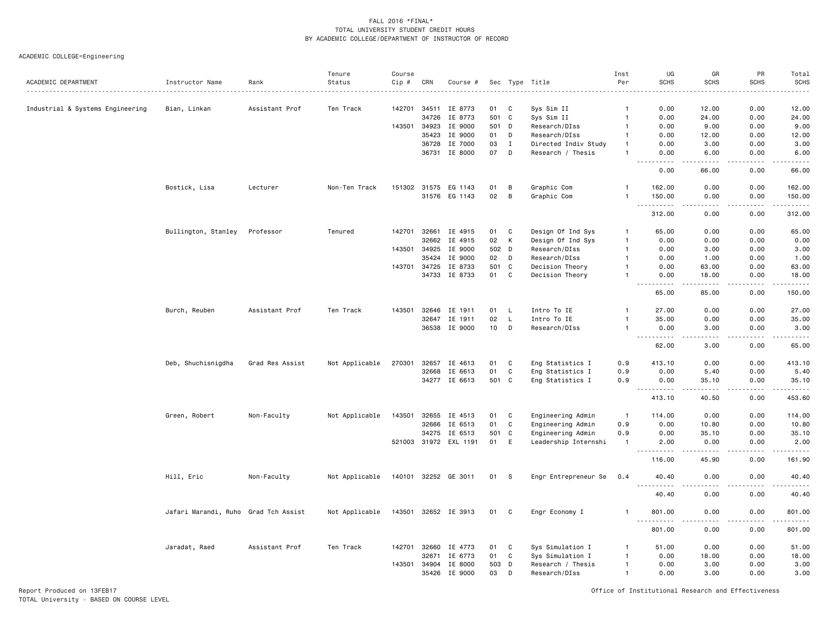ACADEMIC COLLEGE=Engineering

|                                  |                                      |                 | Tenure         | Course |       |                       |       |             |                      | Inst           | UG                                                                                                                                                          | GR                                  | PR                           | Total                                |
|----------------------------------|--------------------------------------|-----------------|----------------|--------|-------|-----------------------|-------|-------------|----------------------|----------------|-------------------------------------------------------------------------------------------------------------------------------------------------------------|-------------------------------------|------------------------------|--------------------------------------|
| ACADEMIC DEPARTMENT              | Instructor Name                      | Rank            | Status         | Cip #  | CRN   | Course #              |       |             | Sec Type Title       | Per            | <b>SCHS</b>                                                                                                                                                 | <b>SCHS</b>                         | <b>SCHS</b>                  | <b>SCHS</b>                          |
| Industrial & Systems Engineering | Bian, Linkan                         | Assistant Prof  | Ten Track      | 142701 | 34511 | IE 8773               | 01    | C           | Sys Sim II           | -1             | 0.00                                                                                                                                                        | 12.00                               | 0.00                         | 12.00                                |
|                                  |                                      |                 |                |        | 34726 | IE 8773               | 501 C |             | Sys Sim II           | $\mathbf{1}$   | 0.00                                                                                                                                                        | 24.00                               | 0.00                         | 24.00                                |
|                                  |                                      |                 |                | 143501 | 34923 | IE 9000               | 501 D |             | Research/DIss        | -1             | 0.00                                                                                                                                                        | 9.00                                | 0.00                         | 9.00                                 |
|                                  |                                      |                 |                |        | 35423 | IE 9000               | 01    | D           | Research/DIss        | $\overline{1}$ | 0.00                                                                                                                                                        | 12.00                               | 0.00                         | 12.00                                |
|                                  |                                      |                 |                |        | 36728 | IE 7000               | 03    | $\;$ I      | Directed Indiv Study |                | 0.00                                                                                                                                                        | 3.00                                | 0.00                         | 3.00                                 |
|                                  |                                      |                 |                |        | 36731 | IE 8000               | 07    | D           | Research / Thesis    |                | 0.00                                                                                                                                                        | 6.00                                | 0.00                         | 6.00<br>.                            |
|                                  |                                      |                 |                |        |       |                       |       |             |                      |                | 0.00                                                                                                                                                        | 66.00                               | 0.00                         | 66.00                                |
|                                  | Bostick, Lisa                        | Lecturer        | Non-Ten Track  |        |       | 151302 31575 EG 1143  | 01    | $\,$ B      | Graphic Com          |                | 162.00                                                                                                                                                      | 0.00                                | 0.00                         | 162.00                               |
|                                  |                                      |                 |                |        | 31576 | EG 1143               | 02    | $\,$ B      | Graphic Com          |                | 150.00<br>.                                                                                                                                                 | 0.00<br>$\frac{1}{2}$               | 0.00<br>.                    | 150.00                               |
|                                  |                                      |                 |                |        |       |                       |       |             |                      |                | 312.00                                                                                                                                                      | 0.00                                | 0.00                         | 312.00                               |
|                                  | Bullington, Stanley                  | Professor       | Tenured        | 142701 | 32661 | IE 4915               | 01    | C           | Design Of Ind Sys    | $\mathbf{1}$   | 65.00                                                                                                                                                       | 0.00                                | 0.00                         | 65.00                                |
|                                  |                                      |                 |                |        | 32662 | IE 4915               | 02    | К           | Design Of Ind Sys    | $\mathbf{1}$   | 0.00                                                                                                                                                        | 0.00                                | 0.00                         | 0.00                                 |
|                                  |                                      |                 |                | 143501 | 34925 | IE 9000               | 502 D |             | Research/DIss        | $\mathbf{1}$   | 0.00                                                                                                                                                        | 3.00                                | 0.00                         | 3.00                                 |
|                                  |                                      |                 |                |        | 35424 | IE 9000               | 02    | D           | Research/DIss        | $\mathbf{1}$   | 0.00                                                                                                                                                        | 1.00                                | 0.00                         | 1.00                                 |
|                                  |                                      |                 |                | 143701 | 34725 | IE 8733               | 501   | C           | Decision Theory      | $\mathbf{1}$   | 0.00                                                                                                                                                        | 63.00                               | 0.00                         | 63.00                                |
|                                  |                                      |                 |                |        | 34733 | IE 8733               | 01    | $\mathbf c$ | Decision Theory      | $\overline{1}$ | 0.00<br>$\sim$ $\sim$ .<br>$\sim$ $\sim$ $\sim$ $\sim$                                                                                                      | 18.00                               | 0.00<br>$\sim$ $\sim$ $\sim$ | 18.00<br>$\sim$ $\sim$ $\sim$ $\sim$ |
|                                  |                                      |                 |                |        |       |                       |       |             |                      |                | 65.00                                                                                                                                                       | 85.00                               | 0.00                         | 150.00                               |
|                                  | Burch, Reuben                        | Assistant Prof  | Ten Track      | 143501 |       | 32646 IE 1911         | 01    | L.          | Intro To IE          | $\mathbf{1}$   | 27.00                                                                                                                                                       | 0.00                                | 0.00                         | 27.00                                |
|                                  |                                      |                 |                |        | 32647 | IE 1911               | 02    | $\mathsf L$ | Intro To IE          | $\mathbf{1}$   | 35.00                                                                                                                                                       | 0.00                                | 0.00                         | 35.00                                |
|                                  |                                      |                 |                |        | 36538 | IE 9000               | 10    | D           | Research/DIss        | $\overline{1}$ | 0.00<br>$\sim$ $\sim$ $\sim$<br><b>.</b>                                                                                                                    | 3.00<br>$\sim$ $\sim$ $\sim$ $\sim$ | 0.00<br>.                    | 3.00<br>د د د د د                    |
|                                  |                                      |                 |                |        |       |                       |       |             |                      |                | 62.00                                                                                                                                                       | 3.00                                | 0.00                         | 65.00                                |
|                                  | Deb, Shuchisnigdha                   | Grad Res Assist | Not Applicable | 270301 | 32657 | IE 4613               | 01    | C           | Eng Statistics I     | 0.9            | 413.10                                                                                                                                                      | 0.00                                | 0.00                         | 413.10                               |
|                                  |                                      |                 |                |        | 32668 | IE 6613               | 01    | C           | Eng Statistics I     | 0.9            | 0.00                                                                                                                                                        | 5.40                                | 0.00                         | 5.40                                 |
|                                  |                                      |                 |                |        |       | 34277 IE 6613         | 501 C |             | Eng Statistics I     | 0.9            | 0.00<br>$\frac{1}{2} \left( \frac{1}{2} \right) \left( \frac{1}{2} \right) \left( \frac{1}{2} \right)$<br>.                                                 | 35.10<br><b></b>                    | 0.00<br>.                    | 35.10<br>.                           |
|                                  |                                      |                 |                |        |       |                       |       |             |                      |                | 413.10                                                                                                                                                      | 40.50                               | 0.00                         | 453.60                               |
|                                  | Green, Robert                        | Non-Faculty     | Not Applicable | 143501 | 32655 | IE 4513               | 01    | C           | Engineering Admin    | $\mathbf{1}$   | 114.00                                                                                                                                                      | 0.00                                | 0.00                         | 114.00                               |
|                                  |                                      |                 |                |        | 32666 | IE 6513               | 01    | $\mathbf c$ | Engineering Admin    | 0.9            | 0.00                                                                                                                                                        | 10.80                               | 0.00                         | 10.80                                |
|                                  |                                      |                 |                |        | 34275 | IE 6513               | 501   | C           | Engineering Admin    | 0.9            | 0.00                                                                                                                                                        | 35.10                               | 0.00                         | 35.10                                |
|                                  |                                      |                 |                |        |       | 521003 31972 EXL 1191 | 01    | Ε           | Leadership Internshi | $\mathbf{1}$   | 2.00<br>.                                                                                                                                                   | 0.00<br>.                           | 0.00<br>.                    | 2.00<br>$- - - - -$                  |
|                                  |                                      |                 |                |        |       |                       |       |             |                      |                | 116.00                                                                                                                                                      | 45.90                               | 0.00                         | 161.90                               |
|                                  | Hill, Eric                           | Non-Faculty     | Not Applicable | 140101 | 32252 | GE 3011               | 01    | S           | Engr Entrepreneur Se | 0.4            | 40.40<br>$\sim$ $\sim$ $\sim$                                                                                                                               | 0.00                                | 0.00                         | 40.40                                |
|                                  |                                      |                 |                |        |       |                       |       |             |                      |                | 40.40                                                                                                                                                       | 0.00                                | 0.00                         | 40.40                                |
|                                  | Jafari Marandi, Ruho Grad Tch Assist |                 | Not Applicable |        |       | 143501 32652 IE 3913  | 01 C  |             | Engr Economy I       | -1             | 801.00<br>$\sim$ $\sim$ $\sim$<br>$\frac{1}{2} \left( \frac{1}{2} \right) \left( \frac{1}{2} \right) \left( \frac{1}{2} \right) \left( \frac{1}{2} \right)$ | 0.00                                | 0.00                         | 801.00<br>.                          |
|                                  |                                      |                 |                |        |       |                       |       |             |                      |                | 801.00                                                                                                                                                      | 0.00                                | 0.00                         | 801.00                               |
|                                  | Jaradat, Raed                        | Assistant Prof  | Ten Track      | 142701 | 32660 | IE 4773               | 01    | C           | Sys Simulation I     | $\mathbf{1}$   | 51.00                                                                                                                                                       | 0.00                                | 0.00                         | 51.00                                |
|                                  |                                      |                 |                |        | 32671 | IE 6773               | 01    | C           | Sys Simulation I     | $\overline{1}$ | 0.00                                                                                                                                                        | 18.00                               | 0.00                         | 18.00                                |
|                                  |                                      |                 |                | 143501 | 34904 | IE 8000               | 503   | D           | Research / Thesis    | $\overline{1}$ | 0.00                                                                                                                                                        | 3.00                                | 0.00                         | 3.00                                 |
|                                  |                                      |                 |                |        | 35426 | IE 9000               | 03    | D           | Research/DIss        | $\overline{1}$ | 0.00                                                                                                                                                        | 3.00                                | 0.00                         | 3.00                                 |

Report Produced on 13FEB17 Office of Institutional Research and Effectiveness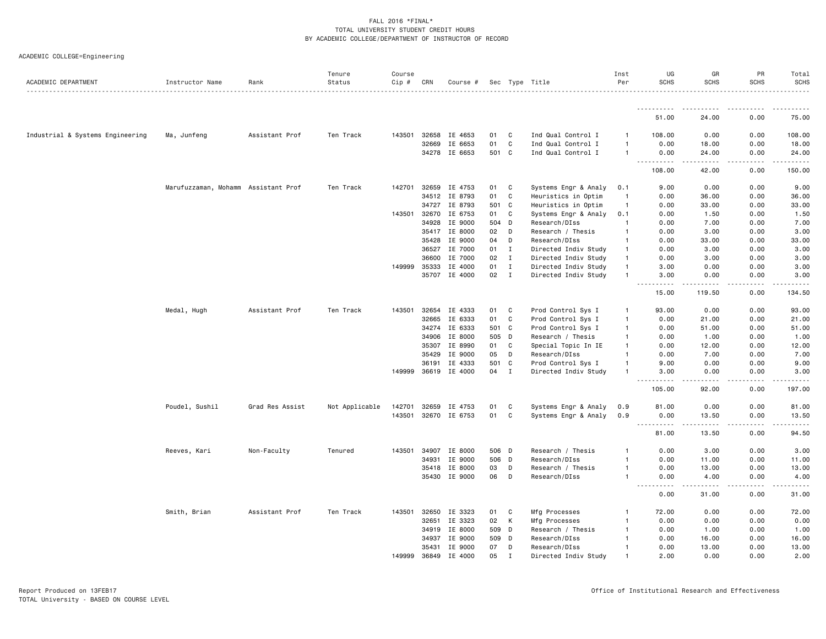| ACADEMIC DEPARTMENT              | Instructor Name                     | Rank            | Tenure<br>Status | Course<br>Cip # | CRN            | Course #           |       |             | Sec Type Title       | Inst<br>Per    | UG<br><b>SCHS</b>                  | GR<br><b>SCHS</b>                                                                                                                                             | PR<br><b>SCHS</b> | Total<br><b>SCHS</b>   |
|----------------------------------|-------------------------------------|-----------------|------------------|-----------------|----------------|--------------------|-------|-------------|----------------------|----------------|------------------------------------|---------------------------------------------------------------------------------------------------------------------------------------------------------------|-------------------|------------------------|
|                                  |                                     |                 |                  |                 |                |                    |       |             |                      |                |                                    |                                                                                                                                                               |                   |                        |
|                                  |                                     |                 |                  |                 |                |                    |       |             |                      |                | 51.00                              | 24.00                                                                                                                                                         | 0.00              | 75.00                  |
| Industrial & Systems Engineering | Ma, Junfeng                         | Assistant Prof  | Ten Track        | 143501          | 32658          | IE 4653            | 01    | C.          | Ind Qual Control I   |                | 108.00                             | 0.00                                                                                                                                                          | 0.00              | 108.00                 |
|                                  |                                     |                 |                  |                 | 32669          | IE 6653            | 01    | C           | Ind Qual Control I   | -1             | 0.00                               | 18.00                                                                                                                                                         | 0.00              | 18.00                  |
|                                  |                                     |                 |                  |                 | 34278          | IE 6653            | 501 C |             | Ind Qual Control I   | $\overline{1}$ | 0.00                               | 24.00                                                                                                                                                         | 0.00              | 24.00                  |
|                                  |                                     |                 |                  |                 |                |                    |       |             |                      |                | د د د د<br>108.00                  | $\frac{1}{2} \left( \frac{1}{2} \right) \left( \frac{1}{2} \right) \left( \frac{1}{2} \right) \left( \frac{1}{2} \right) \left( \frac{1}{2} \right)$<br>42.00 | .<br>0.00         | .<br>150.00            |
|                                  | Marufuzzaman, Mohamm Assistant Prof |                 | Ten Track        | 142701          | 32659          | IE 4753            | 01    | C           | Systems Engr & Analy | 0.1            | 9.00                               | 0.00                                                                                                                                                          | 0.00              | 9.00                   |
|                                  |                                     |                 |                  |                 | 34512          | IE 8793            | 01    | C           | Heuristics in Optim  | $\overline{1}$ | 0.00                               | 36.00                                                                                                                                                         | 0.00              | 36.00                  |
|                                  |                                     |                 |                  |                 | 34727          | IE 8793            | 501   | C           | Heuristics in Optim  | $\overline{1}$ | 0.00                               | 33.00                                                                                                                                                         | 0.00              | 33.00                  |
|                                  |                                     |                 |                  | 143501          | 32670          | IE 6753            | 01    | C           | Systems Engr & Analy | 0.1            | 0.00                               | 1.50                                                                                                                                                          | 0.00              | 1.50                   |
|                                  |                                     |                 |                  |                 | 34928          | IE 9000            | 504   | D           | Research/DIss        | $\mathbf{1}$   | 0.00                               | 7.00                                                                                                                                                          | 0.00              | 7.00                   |
|                                  |                                     |                 |                  |                 | 35417          | IE 8000            | 02    | D           | Research / Thesis    | $\overline{1}$ | 0.00                               | 3.00                                                                                                                                                          | 0.00              | 3.00                   |
|                                  |                                     |                 |                  |                 | 35428          | IE 9000            | 04    | D           | Research/DIss        | $\overline{1}$ | 0.00                               | 33.00                                                                                                                                                         | 0.00              | 33.00                  |
|                                  |                                     |                 |                  |                 | 36527          | IE 7000            | 01    | $\mathbf I$ | Directed Indiv Study | $\overline{1}$ | 0.00                               | 3.00                                                                                                                                                          | 0.00              | 3.00                   |
|                                  |                                     |                 |                  |                 | 36600          | IE 7000            | 02    | $\mathbf I$ | Directed Indiv Study | $\mathbf{1}$   | 0.00                               | 3.00                                                                                                                                                          | 0.00              | 3.00                   |
|                                  |                                     |                 |                  | 149999          | 35333          | IE 4000            | 01    | $\mathbf I$ | Directed Indiv Study | $\overline{1}$ | 3.00                               | 0.00                                                                                                                                                          | 0.00              | 3.00                   |
|                                  |                                     |                 |                  |                 | 35707          | IE 4000            | 02    | $\mathbf I$ | Directed Indiv Study | $\mathbf{1}$   | 3.00                               | 0.00                                                                                                                                                          | 0.00              | 3.00                   |
|                                  |                                     |                 |                  |                 |                |                    |       |             |                      |                | .<br>15.00                         | -----<br>119.50                                                                                                                                               | $- - - -$<br>0.00 | . <u>.</u> .<br>134.50 |
|                                  |                                     |                 |                  |                 |                |                    |       |             |                      |                |                                    |                                                                                                                                                               |                   |                        |
|                                  | Medal, Hugh                         | Assistant Prof  | Ten Track        | 143501          | 32654          | IE 4333            | 01    | C           | Prod Control Sys I   | -1             | 93.00                              | 0.00                                                                                                                                                          | 0.00              | 93.00                  |
|                                  |                                     |                 |                  |                 | 32665          | IE 6333            | 01    | C           | Prod Control Sys I   | $\overline{1}$ | 0.00                               | 21.00                                                                                                                                                         | 0.00              | 21.00                  |
|                                  |                                     |                 |                  |                 | 34274          | IE 6333            | 501   | <b>C</b>    | Prod Control Sys I   | $\mathbf{1}$   | 0.00                               | 51.00                                                                                                                                                         | 0.00              | 51.00                  |
|                                  |                                     |                 |                  |                 | 34906          | IE 8000            | 505   | D           | Research / Thesis    | $\overline{1}$ | 0.00                               | 1.00                                                                                                                                                          | 0.00              | 1.00                   |
|                                  |                                     |                 |                  |                 | 35307          | IE 8990            | 01    | C           | Special Topic In IE  | $\mathbf{1}$   | 0.00                               | 12.00                                                                                                                                                         | 0.00              | 12.00                  |
|                                  |                                     |                 |                  |                 | 35429          | IE 9000            | 05    | D           | Research/DIss        | $\overline{1}$ | 0.00                               | 7.00                                                                                                                                                          | 0.00              | 7.00                   |
|                                  |                                     |                 |                  |                 | 36191          | IE 4333            | 501   | C           | Prod Control Sys I   | $\mathbf{1}$   | 9.00                               | 0.00                                                                                                                                                          | 0.00              | 9.00                   |
|                                  |                                     |                 |                  | 149999          |                | 36619 IE 4000      | 04    | I           | Directed Indiv Study | $\overline{1}$ | 3.00                               | 0.00<br>$\frac{1}{2} \left( \frac{1}{2} \right) \left( \frac{1}{2} \right) \left( \frac{1}{2} \right) \left( \frac{1}{2} \right)$                             | 0.00<br>.         | 3.00<br>والمناصبات     |
|                                  |                                     |                 |                  |                 |                |                    |       |             |                      |                | 105.00                             | 92.00                                                                                                                                                         | 0.00              | 197.00                 |
|                                  | Poudel, Sushil                      | Grad Res Assist | Not Applicable   | 142701          | 32659          | IE 4753            | 01    | C           | Systems Engr & Analy | 0.9            | 81.00                              | 0.00                                                                                                                                                          | 0.00              | 81.00                  |
|                                  |                                     |                 |                  | 143501          |                | 32670 IE 6753      | 01    | C           | Systems Engr & Analy | 0.9            | 0.00                               | 13.50                                                                                                                                                         | 0.00              | 13.50                  |
|                                  |                                     |                 |                  |                 |                |                    |       |             |                      |                | $\sim$ $\sim$ $\sim$<br>.<br>81.00 | $\frac{1}{2} \left( \frac{1}{2} \right) \left( \frac{1}{2} \right) \left( \frac{1}{2} \right) \left( \frac{1}{2} \right) \left( \frac{1}{2} \right)$<br>13.50 | -----<br>0.00     | .<br>94.50             |
|                                  | Reeves, Kari                        | Non-Faculty     | Tenured          | 143501          | 34907          | IE 8000            | 506 D |             | Research / Thesis    |                | 0.00                               | 3.00                                                                                                                                                          | 0.00              | 3.00                   |
|                                  |                                     |                 |                  |                 | 34931          | IE 9000            | 506 D |             | Research/DIss        | $\mathbf{1}$   | 0.00                               | 11.00                                                                                                                                                         | 0.00              | 11.00                  |
|                                  |                                     |                 |                  |                 | 35418          | IE 8000            | 03    | D           | Research / Thesis    | $\mathbf{1}$   | 0.00                               | 13.00                                                                                                                                                         | 0.00              | 13.00                  |
|                                  |                                     |                 |                  |                 |                | 35430 IE 9000      | 06    | D           | Research/DIss        | $\overline{1}$ | 0.00                               | 4.00                                                                                                                                                          | 0.00              | 4.00                   |
|                                  |                                     |                 |                  |                 |                |                    |       |             |                      |                | $\sim$ $\sim$<br>0.00              | 31.00                                                                                                                                                         | 0.00              | 31.00                  |
|                                  | Smith, Brian                        | Assistant Prof  | Ten Track        | 143501          | 32650          | IE 3323            | 01    | C           | Mfg Processes        | $\mathbf{1}$   | 72.00                              | 0.00                                                                                                                                                          | 0.00              | 72.00                  |
|                                  |                                     |                 |                  |                 | 32651          | IE 3323            | 02    | K           | Mfg Processes        | -1             | 0.00                               | 0.00                                                                                                                                                          | 0.00              | 0.00                   |
|                                  |                                     |                 |                  |                 | 34919          | IE 8000            | 509   | D           | Research / Thesis    | $\mathbf{1}$   | 0.00                               | 1.00                                                                                                                                                          | 0.00              | 1.00                   |
|                                  |                                     |                 |                  |                 |                |                    | 509   | D           |                      | -1             | 0.00                               | 16.00                                                                                                                                                         | 0.00              |                        |
|                                  |                                     |                 |                  |                 | 34937<br>35431 | IE 9000<br>IE 9000 | 07    | D           | Research/DIss        | -1             | 0.00                               |                                                                                                                                                               | 0.00              | 16.00<br>13.00         |
|                                  |                                     |                 |                  |                 |                |                    |       | $\mathbf I$ | Research/DIss        | $\overline{1}$ |                                    | 13.00                                                                                                                                                         |                   |                        |
|                                  |                                     |                 |                  | 149999          | 36849          | IE 4000            | 05    |             | Directed Indiv Study |                | 2.00                               | 0.00                                                                                                                                                          | 0.00              | 2.00                   |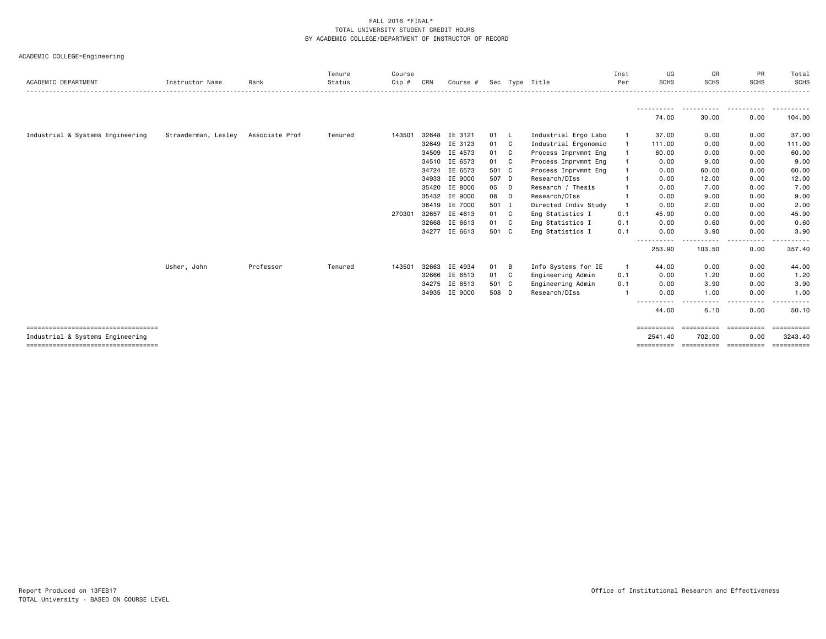| ACADEMIC DEPARTMENT                                                      | Instructor Name     | Rank           | Tenure<br>Status | Course<br>Cip # | CRN   | Course #      |       |              | Sec Type Title       | Inst<br>Per  | UG<br><b>SCHS</b>     | GR<br><b>SCHS</b>            | PR<br><b>SCHS</b> | Total<br><b>SCHS</b>        |
|--------------------------------------------------------------------------|---------------------|----------------|------------------|-----------------|-------|---------------|-------|--------------|----------------------|--------------|-----------------------|------------------------------|-------------------|-----------------------------|
|                                                                          |                     |                |                  |                 |       |               |       |              |                      |              |                       | .                            | .                 | .                           |
|                                                                          |                     |                |                  |                 |       |               |       |              |                      |              | 74.00                 | 30.00                        | 0.00              | 104.00                      |
| Industrial & Systems Engineering                                         | Strawderman, Lesley | Associate Prof | Tenured          | 143501          | 32648 | IE 3121       | 01    | - L          | Industrial Ergo Labo | -1           | 37.00                 | 0.00                         | 0.00              | 37.00                       |
|                                                                          |                     |                |                  |                 |       | 32649 IE 3123 | 01    | C            | Industrial Ergonomic |              | 111.00                | 0.00                         | 0.00              | 111.00                      |
|                                                                          |                     |                |                  |                 |       | 34509 IE 4573 | 01    | C            | Process Imprvmnt Eng |              | 60.00                 | 0.00                         | 0.00              | 60.00                       |
|                                                                          |                     |                |                  |                 |       | 34510 IE 6573 | 01    | $\mathbf{C}$ | Process Imprvmnt Eng |              | 0.00                  | 9.00                         | 0.00              | 9.00                        |
|                                                                          |                     |                |                  |                 | 34724 | IE 6573       | 501 C |              | Process Imprvmnt Eng |              | 0.00                  | 60.00                        | 0.00              | 60.00                       |
|                                                                          |                     |                |                  |                 | 34933 | IE 9000       | 507 D |              | Research/DIss        |              | 0.00                  | 12.00                        | 0.00              | 12.00                       |
|                                                                          |                     |                |                  |                 |       | 35420 IE 8000 | 05    | D            | Research / Thesis    |              | 0.00                  | 7.00                         | 0.00              | 7.00                        |
|                                                                          |                     |                |                  |                 |       | 35432 IE 9000 | 08    | D            | Research/DIss        |              | 0.00                  | 9.00                         | 0.00              | 9.00                        |
|                                                                          |                     |                |                  |                 |       | 36419 IE 7000 | 501 I |              | Directed Indiv Study |              | 0.00                  | 2.00                         | 0.00              | 2.00                        |
|                                                                          |                     |                |                  | 270301          | 32657 | IE 4613       | 01    | - C          | Eng Statistics I     | 0.1          | 45.90                 | 0.00                         | 0.00              | 45.90                       |
|                                                                          |                     |                |                  |                 |       | 32668 IE 6613 | 01 C  |              | Eng Statistics I     | 0.1          | 0.00                  | 0.60                         | 0.00              | 0.60                        |
|                                                                          |                     |                |                  |                 |       | 34277 IE 6613 | 501 C |              | Eng Statistics I     | 0.1          | 0.00                  | 3.90                         | 0.00              | 3.90                        |
|                                                                          |                     |                |                  |                 |       |               |       |              |                      |              | .<br>253.90           | 103.50                       | 0.00              | 357.40                      |
|                                                                          | Usher, John         | Professor      | Tenured          | 143501          | 32663 | IE 4934       | 01    | в            | Info Systems for IE  | $\mathbf{1}$ | 44.00                 | 0.00                         | 0.00              | 44.00                       |
|                                                                          |                     |                |                  |                 |       | 32666 IE 6513 | 01    | - C          | Engineering Admin    | 0.1          | 0.00                  | 1.20                         | 0.00              | 1.20                        |
|                                                                          |                     |                |                  |                 |       | 34275 IE 6513 | 501 C |              | Engineering Admin    | 0.1          | 0.00                  | 3.90                         | 0.00              | 3.90                        |
|                                                                          |                     |                |                  |                 |       | 34935 IE 9000 | 508 D |              | Research/DIss        |              | 0.00                  | 1.00                         | 0.00              | 1.00                        |
|                                                                          |                     |                |                  |                 |       |               |       |              |                      |              | .<br>44.00            | $- - -$<br>$- - - -$<br>6.10 | 0.00              | 50.10                       |
| ====================================                                     |                     |                |                  |                 |       |               |       |              |                      |              | $=$ = = = = = = = = = |                              | ==========        | ==========                  |
| Industrial & Systems Engineering<br>==================================== |                     |                |                  |                 |       |               |       |              |                      |              | 2541.40<br>========== | 702.00                       | 0.00              | 3243.40<br><b>Expressed</b> |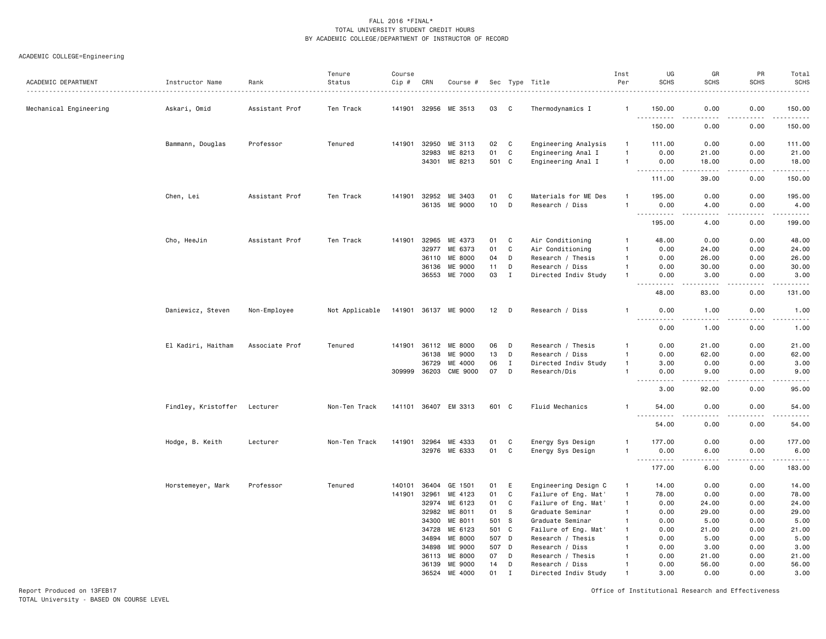## ACADEMIC COLLEGE=Engineering

| ACADEMIC DEPARTMENT    | Instructor Name     | Rank           | Tenure<br>Status | Course<br>Cip # | CRN          | Course #             |       |              | Sec Type Title         | Inst<br>Per    | UG<br><b>SCHS</b>              | GR<br><b>SCHS</b>   | PR<br><b>SCHS</b>                   | Total<br><b>SCHS</b><br>.                                                                                                                                      |
|------------------------|---------------------|----------------|------------------|-----------------|--------------|----------------------|-------|--------------|------------------------|----------------|--------------------------------|---------------------|-------------------------------------|----------------------------------------------------------------------------------------------------------------------------------------------------------------|
| Mechanical Engineering | Askari, Omid        | Assistant Prof | Ten Track        |                 | 141901 32956 | ME 3513              | 03    | C            | Thermodynamics I       |                | 150.00                         | 0.00                | 0.00                                | 150.00                                                                                                                                                         |
|                        |                     |                |                  |                 |              |                      |       |              |                        |                | .<br>150.00                    | .<br>0.00           | .<br>0.00                           | .<br>150.00                                                                                                                                                    |
|                        | Bammann, Douglas    | Professor      | Tenured          | 141901          | 32950        | ME 3113              | 02    | C            | Engineering Analysis   | $\overline{1}$ | 111.00                         | 0.00                | 0.00                                | 111.00                                                                                                                                                         |
|                        |                     |                |                  |                 | 32983        | ME 8213              | 01    | C            | Engineering Anal I     | $\mathbf{1}$   | 0.00                           | 21.00               | 0.00                                | 21.00                                                                                                                                                          |
|                        |                     |                |                  |                 | 34301        | ME 8213              | 501   | C            | Engineering Anal I     | $\mathbf{1}$   | 0.00                           | 18.00               | 0.00                                | 18.00                                                                                                                                                          |
|                        |                     |                |                  |                 |              |                      |       |              |                        |                | 111.00                         | 39.00               | $\sim$ $\sim$ $\sim$ $\sim$<br>0.00 | .<br>150.00                                                                                                                                                    |
|                        | Chen, Lei           | Assistant Prof | Ten Track        | 141901          | 32952        | ME 3403              | 01    | C            | Materials for ME Des   | $\mathbf{1}$   | 195.00                         | 0.00                | 0.00                                | 195.00                                                                                                                                                         |
|                        |                     |                |                  |                 |              | 36135 ME 9000        | 10    | D            | Research / Diss        | $\mathbf{1}$   | 0.00                           | 4.00                | 0.00                                | 4.00                                                                                                                                                           |
|                        |                     |                |                  |                 |              |                      |       |              |                        |                | $\sim 100$<br>195.00           | $- - - -$<br>4.00   | $- - - -$<br>0.00                   | .<br>199.00                                                                                                                                                    |
|                        | Cho, HeeJin         | Assistant Prof | Ten Track        | 141901          | 32965        | ME 4373              | 01    | C            | Air Conditioning       | -1             | 48.00                          | 0.00                | 0.00                                | 48.00                                                                                                                                                          |
|                        |                     |                |                  |                 | 32977        | ME 6373              | 01    | C            | Air Conditioning       | $\overline{1}$ | 0.00                           | 24.00               | 0.00                                | 24.00                                                                                                                                                          |
|                        |                     |                |                  |                 | 36110        | ME 8000              | 04    | D            | Research / Thesis      | $\mathbf{1}$   | 0.00                           | 26.00               | 0.00                                | 26.00                                                                                                                                                          |
|                        |                     |                |                  |                 | 36136        | ME 9000              | 11    | D            | Research / Diss        | $\mathbf{1}$   | 0.00                           | 30.00               | 0.00                                | 30.00                                                                                                                                                          |
|                        |                     |                |                  |                 | 36553        | ME 7000              | 03    | $\mathbf{I}$ | Directed Indiv Study   | $\mathbf{1}$   | 0.00<br>-----                  | 3.00<br>$- - - - -$ | 0.00<br>.                           | 3.00<br>.                                                                                                                                                      |
|                        |                     |                |                  |                 |              |                      |       |              |                        |                | 48.00                          | 83.00               | 0.00                                | 131.00                                                                                                                                                         |
|                        | Daniewicz, Steven   | Non-Employee   | Not Applicable   |                 |              | 141901 36137 ME 9000 | 12    | D            | Research / Diss        | -1             | 0.00                           | 1.00                | 0.00                                | 1.00                                                                                                                                                           |
|                        |                     |                |                  |                 |              |                      |       |              |                        |                | .<br>0.00                      | .<br>1.00           | .<br>0.00                           | $\frac{1}{2}$<br>1.00                                                                                                                                          |
|                        | El Kadiri, Haitham  | Associate Prof | Tenured          | 141901          | 36112        | ME 8000              | 06    | D            | Research / Thesis      | $\mathbf{1}$   | 0.00                           | 21.00               | 0.00                                | 21.00                                                                                                                                                          |
|                        |                     |                |                  |                 | 36138        | ME 9000              | 13    | D            | Research / Diss        | $\mathbf{1}$   | 0.00                           | 62.00               | 0.00                                | 62.00                                                                                                                                                          |
|                        |                     |                |                  |                 | 36729        | ME 4000              | 06    | $\;$ I       | Directed Indiv Study   | $\overline{1}$ | 3.00                           | 0.00                | 0.00                                | 3.00                                                                                                                                                           |
|                        |                     |                |                  | 309999          | 36203        | <b>CME 9000</b>      | 07    | D            | Research/Dis           | $\overline{1}$ | 0.00                           | 9.00                | 0.00                                | 9.00                                                                                                                                                           |
|                        |                     |                |                  |                 |              |                      |       |              |                        |                | .<br>3.00                      | -----<br>92.00      | .<br>0.00                           | د د د د د<br>95.00                                                                                                                                             |
|                        | Findley, Kristoffer | Lecturer       | Non-Ten Track    | 141101 36407    |              | EM 3313              | 601 C |              | <b>Fluid Mechanics</b> | $\mathbf{1}$   | 54.00                          | 0.00                | 0.00                                | 54.00                                                                                                                                                          |
|                        |                     |                |                  |                 |              |                      |       |              |                        |                | 54.00                          | 0.00                | 0.00                                | 54.00                                                                                                                                                          |
|                        | Hodge, B. Keith     | Lecturer       | Non-Ten Track    | 141901          | 32964        | ME 4333              | 01    | C            | Energy Sys Design      |                | 177.00                         | 0.00                | 0.00                                | 177.00                                                                                                                                                         |
|                        |                     |                |                  |                 |              | 32976 ME 6333        | 01    | $\mathbf c$  | Energy Sys Design      | $\overline{1}$ | 0.00                           | 6.00                | 0.00                                | 6.00                                                                                                                                                           |
|                        |                     |                |                  |                 |              |                      |       |              |                        |                | $\sim$ $\sim$ $\sim$<br>177.00 | 6.00                | 0.00                                | $\frac{1}{2} \left( \frac{1}{2} \right) \left( \frac{1}{2} \right) \left( \frac{1}{2} \right) \left( \frac{1}{2} \right) \left( \frac{1}{2} \right)$<br>183.00 |
|                        | Horstemeyer, Mark   | Professor      | Tenured          | 140101          | 36404        | GE 1501              | 01    | E            | Engineering Design C   | $\overline{1}$ | 14.00                          | 0.00                | 0.00                                | 14.00                                                                                                                                                          |
|                        |                     |                |                  | 141901          | 32961        | ME 4123              | 01    | $\mathbf c$  | Failure of Eng. Mat'   | $\overline{1}$ | 78.00                          | 0.00                | 0.00                                | 78.00                                                                                                                                                          |
|                        |                     |                |                  |                 | 32974        | ME 6123              | 01    | $\mathbf c$  | Failure of Eng. Mat'   | $\overline{1}$ | 0.00                           | 24.00               | 0.00                                | 24.00                                                                                                                                                          |
|                        |                     |                |                  |                 | 32982        | ME 8011              | 01    | S            | Graduate Seminar       | $\mathbf{1}$   | 0.00                           | 29.00               | 0.00                                | 29.00                                                                                                                                                          |
|                        |                     |                |                  |                 | 34300        | ME 8011              | 501   | <sub>S</sub> | Graduate Seminar       | $\mathbf{1}$   | 0.00                           | 5.00                | 0.00                                | 5.00                                                                                                                                                           |
|                        |                     |                |                  |                 | 34728        | ME 6123              | 501   | C            | Failure of Eng. Mat'   | $\mathbf{1}$   | 0.00                           | 21.00               | 0.00                                | 21.00                                                                                                                                                          |
|                        |                     |                |                  |                 | 34894        | ME 8000              | 507 D |              | Research / Thesis      |                | 0.00                           | 5.00                | 0.00                                | 5.00                                                                                                                                                           |
|                        |                     |                |                  |                 | 34898        | ME 9000              | 507 D |              | Research / Diss        |                | 0.00                           | 3.00                | 0.00                                | 3.00                                                                                                                                                           |
|                        |                     |                |                  |                 | 36113        | ME 8000              | 07    | D            | Research / Thesis      |                | 0.00                           | 21.00               | 0.00                                | 21.00                                                                                                                                                          |
|                        |                     |                |                  |                 | 36139        | ME 9000              | 14    | D            | Research / Diss        |                | 0.00                           | 56.00               | 0.00                                | 56.00                                                                                                                                                          |
|                        |                     |                |                  |                 | 36524        | ME 4000              | 01    | $\mathbf{r}$ | Directed Indiv Study   |                | 3.00                           | 0.00                | 0.00                                | 3.00                                                                                                                                                           |

Report Produced on 13FEB17 Office of Institutional Research and Effectiveness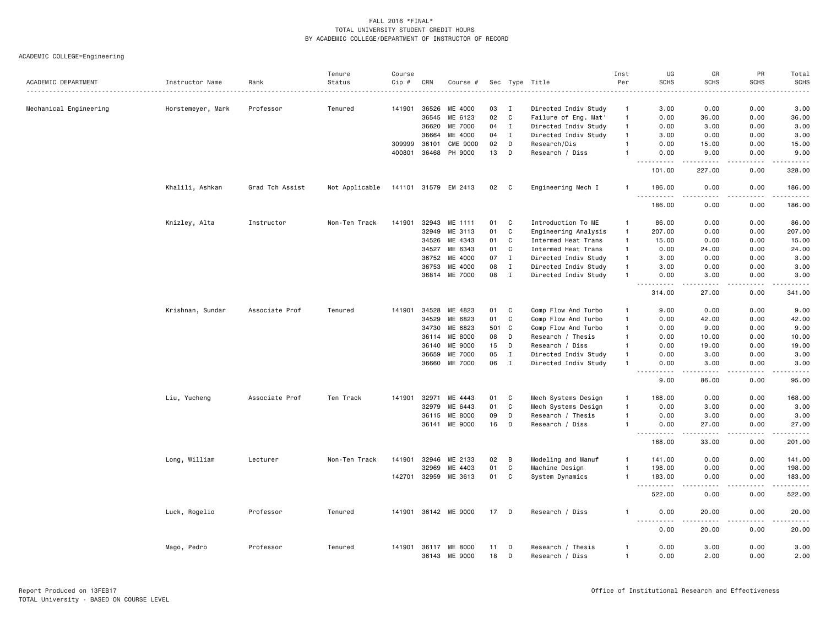|                        |                   |                 | Tenure         | Course |                |                           |          |              |                                      | Inst                           | UG                                                                                                                                             | GR                                  | PR                | Total                                                                                                                               |
|------------------------|-------------------|-----------------|----------------|--------|----------------|---------------------------|----------|--------------|--------------------------------------|--------------------------------|------------------------------------------------------------------------------------------------------------------------------------------------|-------------------------------------|-------------------|-------------------------------------------------------------------------------------------------------------------------------------|
| ACADEMIC DEPARTMENT    | Instructor Name   | Rank            | Status         | Cip #  | CRN            | Course #                  |          |              | Sec Type Title                       | Per                            | <b>SCHS</b>                                                                                                                                    | <b>SCHS</b>                         | <b>SCHS</b>       | <b>SCHS</b><br>$\frac{1}{2}$                                                                                                        |
| Mechanical Engineering | Horstemeyer, Mark | Professor       | Tenured        | 141901 | 36526          | ME 4000                   | 03       | I            | Directed Indiv Study                 | $\overline{1}$                 | 3.00                                                                                                                                           | 0.00                                | 0.00              | 3.00                                                                                                                                |
|                        |                   |                 |                |        | 36545          | ME 6123                   | 02       | $\mathbf{C}$ | Failure of Eng. Mat'                 | $\overline{1}$                 | 0.00                                                                                                                                           | 36.00                               | 0.00              | 36.00                                                                                                                               |
|                        |                   |                 |                |        | 36620          | ME 7000                   | 04       | $\mathbf I$  | Directed Indiv Study                 | $\overline{1}$                 | 0.00                                                                                                                                           | 3.00                                | 0.00              | 3.00                                                                                                                                |
|                        |                   |                 |                |        | 36664          | ME 4000                   | 04       | $\mathbf I$  | Directed Indiv Study                 | $\overline{1}$                 | 3.00                                                                                                                                           | 0.00                                | 0.00              | 3.00                                                                                                                                |
|                        |                   |                 |                | 309999 | 36101          | <b>CME 9000</b>           | 02       | D            | Research/Dis                         | 1                              | 0.00                                                                                                                                           | 15.00                               | 0.00              | 15.00                                                                                                                               |
|                        |                   |                 |                | 400801 | 36468          | PH 9000                   | 13       | D            | Research / Diss                      |                                | 0.00                                                                                                                                           | 9.00                                | 0.00              | 9.00                                                                                                                                |
|                        |                   |                 |                |        |                |                           |          |              |                                      |                                | 101.00                                                                                                                                         | 227.00                              | 0.00              | وساعات<br>328.00                                                                                                                    |
|                        | Khalili, Ashkan   | Grad Tch Assist | Not Applicable |        |                | 141101 31579 EM 2413      | 02       | C            | Engineering Mech I                   | -1                             | 186.00                                                                                                                                         | 0.00                                | 0.00              | 186.00                                                                                                                              |
|                        |                   |                 |                |        |                |                           |          |              |                                      |                                | .<br>186.00                                                                                                                                    | .<br>0.00                           | .<br>0.00         | .<br>186.00                                                                                                                         |
|                        | Knizley, Alta     | Instructor      | Non-Ten Track  | 141901 | 32943          | ME 1111                   | 01       | C            | Introduction To ME                   | $\overline{1}$                 | 86.00                                                                                                                                          | 0.00                                | 0.00              | 86.00                                                                                                                               |
|                        |                   |                 |                |        | 32949          | ME 3113                   | 01       | $\mathbf C$  | Engineering Analysis                 | $\overline{1}$                 | 207.00                                                                                                                                         | 0.00                                | 0.00              | 207.00                                                                                                                              |
|                        |                   |                 |                |        | 34526          | ME 4343                   | 01       | C            | Intermed Heat Trans                  | $\overline{1}$                 | 15.00                                                                                                                                          | 0.00                                | 0.00              | 15.00                                                                                                                               |
|                        |                   |                 |                |        | 34527          | ME 6343                   | 01       | C            | Intermed Heat Trans                  | $\overline{1}$                 | 0.00                                                                                                                                           | 24.00                               | 0.00              | 24.00                                                                                                                               |
|                        |                   |                 |                |        | 36752          | ME 4000                   | 07       | $\mathbf{I}$ | Directed Indiv Study                 | $\overline{1}$                 | 3.00                                                                                                                                           | 0.00                                | 0.00              | 3.00                                                                                                                                |
|                        |                   |                 |                |        | 36753          | ME 4000                   | 08       | $\;$ I       | Directed Indiv Study                 | $\overline{1}$                 | 3.00                                                                                                                                           | 0.00                                | 0.00              | 3.00                                                                                                                                |
|                        |                   |                 |                |        |                | 36814 ME 7000             | 08       | $\mathbf{I}$ | Directed Indiv Study                 | $\overline{1}$                 | 0.00                                                                                                                                           | 3.00                                | 0.00              | 3.00                                                                                                                                |
|                        |                   |                 |                |        |                |                           |          |              |                                      |                                | -----<br>314.00                                                                                                                                | .<br>27.00                          | .<br>0.00         | .<br>341.00                                                                                                                         |
|                        | Krishnan, Sundar  | Associate Prof  | Tenured        | 141901 | 34528          | ME 4823                   | 01       | C            | Comp Flow And Turbo                  | $\mathbf{1}$                   | 9.00                                                                                                                                           | 0.00                                | 0.00              | 9.00                                                                                                                                |
|                        |                   |                 |                |        | 34529          | ME 6823                   | 01       | C            | Comp Flow And Turbo                  | $\overline{1}$                 | 0.00                                                                                                                                           | 42.00                               | 0.00              | 42.00                                                                                                                               |
|                        |                   |                 |                |        | 34730          | ME 6823                   | 501      | C            | Comp Flow And Turbo                  | $\overline{1}$                 | 0.00                                                                                                                                           | 9.00                                | 0.00              | 9.00                                                                                                                                |
|                        |                   |                 |                |        | 36114          | ME 8000                   | 08       | D            | Research / Thesis                    | $\mathbf{1}$                   | 0.00                                                                                                                                           | 10.00                               | 0.00              | 10.00                                                                                                                               |
|                        |                   |                 |                |        | 36140          | ME 9000                   | 15       | D            | Research / Diss                      | $\mathbf{1}$                   | 0.00                                                                                                                                           | 19.00                               | 0.00              | 19.00                                                                                                                               |
|                        |                   |                 |                |        | 36659          | ME 7000                   | 05       | $\mathbf I$  | Directed Indiv Study                 | $\overline{1}$                 | 0.00                                                                                                                                           | 3.00                                | 0.00              | 3.00                                                                                                                                |
|                        |                   |                 |                |        | 36660          | ME 7000                   | 06       | $\mathbf{I}$ | Directed Indiv Study                 | -1                             | 0.00<br>.                                                                                                                                      | 3.00<br>$\sim$ $\sim$ $\sim$ $\sim$ | 0.00<br>بالمستعاد | 3.00<br>$\frac{1}{2}$                                                                                                               |
|                        |                   |                 |                |        |                |                           |          |              |                                      |                                | 9.00                                                                                                                                           | 86.00                               | 0.00              | 95.00                                                                                                                               |
|                        | Liu, Yucheng      | Associate Prof  | Ten Track      | 141901 | 32971          | ME 4443                   | 01       | C            | Mech Systems Design                  | $\overline{1}$                 | 168.00                                                                                                                                         | 0.00                                | 0.00              | 168.00                                                                                                                              |
|                        |                   |                 |                |        | 32979          | ME 6443                   | 01       | $\mathbf C$  | Mech Systems Design                  | $\overline{1}$                 | 0.00                                                                                                                                           | 3.00                                | 0.00              | 3.00                                                                                                                                |
|                        |                   |                 |                |        | 36115          | ME 8000                   | 09       | D            | Research / Thesis                    | $\overline{1}$                 | 0.00                                                                                                                                           | 3.00                                | 0.00              | 3.00                                                                                                                                |
|                        |                   |                 |                |        | 36141          | <b>ME 9000</b>            | 16       | D            | Research / Diss                      | $\overline{1}$                 | 0.00<br><u> - - - - - - - - - -</u>                                                                                                            | 27.00<br>$\sim$ $\sim$ $\sim$       | 0.00<br>.         | 27.00<br>.                                                                                                                          |
|                        |                   |                 |                |        |                |                           |          |              |                                      |                                | 168.00                                                                                                                                         | 33.00                               | 0.00              | 201.00                                                                                                                              |
|                        | Long, William     | Lecturer        | Non-Ten Track  | 141901 | 32946          | ME 2133                   | 02       | B            | Modeling and Manuf                   | $\mathbf{1}$                   | 141.00                                                                                                                                         | 0.00                                | 0.00              | 141.00                                                                                                                              |
|                        |                   |                 |                |        | 32969          | ME 4403                   | 01       | C            | Machine Design                       | $\overline{1}$                 | 198.00                                                                                                                                         | 0.00                                | 0.00              | 198.00                                                                                                                              |
|                        |                   |                 |                | 142701 | 32959          | ME 3613                   | 01       | C            | System Dynamics                      | $\overline{1}$                 | 183.00<br>$\omega \neq \omega$<br>.                                                                                                            | 0.00<br>$- - -$                     | 0.00              | 183.00<br>$\begin{array}{cccccccccccccc} \bullet & \bullet & \bullet & \bullet & \bullet & \bullet & \bullet & \bullet \end{array}$ |
|                        |                   |                 |                |        |                |                           |          |              |                                      |                                | 522.00                                                                                                                                         | 0.00                                | 0.00              | 522.00                                                                                                                              |
|                        | Luck, Rogelio     | Professor       | Tenured        |        |                | 141901 36142 ME 9000      | 17       | D            | Research / Diss                      | -1                             | 0.00<br>$- - - -$<br>$\frac{1}{2} \left( \frac{1}{2} \right) \left( \frac{1}{2} \right) \left( \frac{1}{2} \right) \left( \frac{1}{2} \right)$ | 20.00<br>.                          | 0.00<br>.         | 20.00<br>. <u>.</u> .                                                                                                               |
|                        |                   |                 |                |        |                |                           |          |              |                                      |                                | 0.00                                                                                                                                           | 20.00                               | 0.00              | 20.00                                                                                                                               |
|                        | Mago, Pedro       | Professor       | Tenured        | 141901 | 36117<br>36143 | <b>ME 8000</b><br>ME 9000 | 11<br>18 | D<br>D       | Research / Thesis<br>Research / Diss | $\mathbf{1}$<br>$\overline{1}$ | 0.00<br>0.00                                                                                                                                   | 3.00<br>2.00                        | 0.00<br>0.00      | 3.00<br>2.00                                                                                                                        |
|                        |                   |                 |                |        |                |                           |          |              |                                      |                                |                                                                                                                                                |                                     |                   |                                                                                                                                     |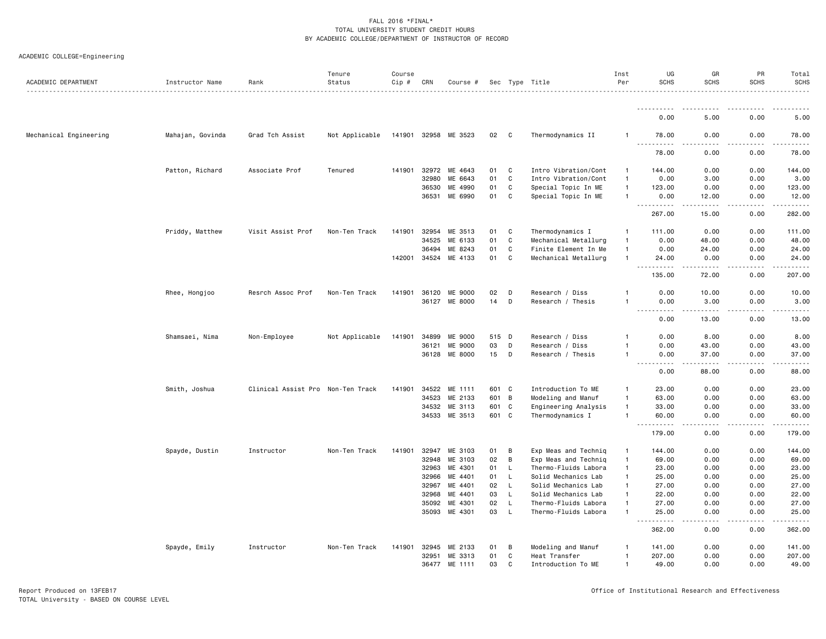|  | ACADEMIC COLLEGE=Engineering |  |
|--|------------------------------|--|
|--|------------------------------|--|

| ACADEMIC DEPARTMENT    | Instructor Name  | Rank                              | Tenure<br>Status | Course<br>Cip # | CRN   | Course #             |       |                | Sec Type Title       | Inst<br>Per    | UG<br><b>SCHS</b>                        | GR<br><b>SCHS</b>                                                                                                                                             | PR<br><b>SCHS</b>   | Total<br><b>SCHS</b> |
|------------------------|------------------|-----------------------------------|------------------|-----------------|-------|----------------------|-------|----------------|----------------------|----------------|------------------------------------------|---------------------------------------------------------------------------------------------------------------------------------------------------------------|---------------------|----------------------|
|                        |                  |                                   |                  |                 |       |                      |       |                |                      |                |                                          |                                                                                                                                                               |                     |                      |
|                        |                  |                                   |                  |                 |       |                      |       |                |                      |                | 0.00                                     | 5.00                                                                                                                                                          | 0.00                | 5.00                 |
| Mechanical Engineering | Mahajan, Govinda | Grad Tch Assist                   | Not Applicable   |                 |       | 141901 32958 ME 3523 | 02    | $\overline{c}$ | Thermodynamics II    | 1              | 78.00<br>.                               | 0.00                                                                                                                                                          | 0.00                | 78.00                |
|                        |                  |                                   |                  |                 |       |                      |       |                |                      |                | 78.00                                    | 0.00                                                                                                                                                          | 0.00                | 78.00                |
|                        | Patton, Richard  | Associate Prof                    | Tenured          | 141901          | 32972 | ME 4643              | 01    | C              | Intro Vibration/Cont | $\mathbf{1}$   | 144.00                                   | 0.00                                                                                                                                                          | 0.00                | 144.00               |
|                        |                  |                                   |                  |                 | 32980 | ME 6643              | 01    | C              | Intro Vibration/Cont | $\mathbf{1}$   | 0.00                                     | 3.00                                                                                                                                                          | 0.00                | 3.00                 |
|                        |                  |                                   |                  |                 | 36530 | ME 4990              | 01    | C              | Special Topic In ME  | 1              | 123.00                                   | 0.00                                                                                                                                                          | 0.00                | 123.00               |
|                        |                  |                                   |                  |                 | 36531 | ME 6990              | 01    | C              | Special Topic In ME  | $\mathbf{1}$   | 0.00<br>.<br>$\sim$ $\sim$ $\sim$ $\sim$ | 12.00<br>$\frac{1}{2} \left( \frac{1}{2} \right) \left( \frac{1}{2} \right) \left( \frac{1}{2} \right) \left( \frac{1}{2} \right) \left( \frac{1}{2} \right)$ | 0.00<br>-----       | 12.00<br>.           |
|                        |                  |                                   |                  |                 |       |                      |       |                |                      |                | 267.00                                   | 15.00                                                                                                                                                         | 0.00                | 282.00               |
|                        | Priddy, Matthew  | Visit Assist Prof                 | Non-Ten Track    | 141901          | 32954 | ME 3513              | 01    | C              | Thermodynamics I     | 1              | 111.00                                   | 0.00                                                                                                                                                          | 0.00                | 111.00               |
|                        |                  |                                   |                  |                 | 34525 | ME 6133              | 01    | $\mathtt{C}$   | Mechanical Metallurg | $\mathbf{1}$   | 0.00                                     | 48.00                                                                                                                                                         | 0.00                | 48.00                |
|                        |                  |                                   |                  |                 | 36494 | ME 8243              | 01    | C              | Finite Element In Me | $\mathbf{1}$   | 0.00                                     | 24.00                                                                                                                                                         | 0.00                | 24.00                |
|                        |                  |                                   |                  | 142001          | 34524 | ME 4133              | 01    | $\mathtt{C}$   | Mechanical Metallurg | $\mathbf{1}$   | 24.00<br>.<br>$\sim 100$                 | 0.00<br>.                                                                                                                                                     | 0.00<br>.           | 24.00<br>.           |
|                        |                  |                                   |                  |                 |       |                      |       |                |                      |                | 135.00                                   | 72.00                                                                                                                                                         | 0.00                | 207.00               |
|                        | Rhee, Hongjoo    | Resrch Assoc Prof                 | Non-Ten Track    | 141901          |       | 36120 ME 9000        | 02    | D              | Research / Diss      | 1              | 0.00                                     | 10.00                                                                                                                                                         | 0.00                | 10.00                |
|                        |                  |                                   |                  |                 | 36127 | ME 8000              | 14    | D              | Research / Thesis    | 1              | 0.00<br>.                                | 3.00<br><u>.</u>                                                                                                                                              | 0.00<br>.           | 3.00<br>. <u>.</u> . |
|                        |                  |                                   |                  |                 |       |                      |       |                |                      |                | 0.00                                     | 13.00                                                                                                                                                         | 0.00                | 13.00                |
|                        | Shamsaei, Nima   | Non-Employee                      | Not Applicable   | 141901          | 34899 | ME 9000              | 515 D |                | Research / Diss      | 1              | 0.00                                     | 8.00                                                                                                                                                          | 0.00                | 8.00                 |
|                        |                  |                                   |                  |                 | 36121 | ME 9000              | 03    | D              | Research / Diss      | 1              | 0.00                                     | 43.00                                                                                                                                                         | 0.00                | 43.00                |
|                        |                  |                                   |                  |                 |       | 36128 ME 8000        | 15    | D              | Research / Thesis    | 1              | 0.00<br>.<br>$\sim$ $\sim$ $\sim$        | 37.00<br>$- - - - -$                                                                                                                                          | 0.00<br>$- - - - -$ | 37.00<br>.           |
|                        |                  |                                   |                  |                 |       |                      |       |                |                      |                | 0.00                                     | 88.00                                                                                                                                                         | 0.00                | 88.00                |
|                        | Smith, Joshua    | Clinical Assist Pro Non-Ten Track |                  | 141901          | 34522 | ME 1111              | 601 C |                | Introduction To ME   | $\overline{1}$ | 23.00                                    | 0.00                                                                                                                                                          | 0.00                | 23.00                |
|                        |                  |                                   |                  |                 | 34523 | ME 2133              | 601 B |                | Modeling and Manuf   | $\mathbf{1}$   | 63.00                                    | 0.00                                                                                                                                                          | 0.00                | 63.00                |
|                        |                  |                                   |                  |                 | 34532 | ME 3113              | 601 C |                | Engineering Analysis | 1              | 33.00                                    | 0.00                                                                                                                                                          | 0.00                | 33.00                |
|                        |                  |                                   |                  |                 | 34533 | ME 3513              | 601 C |                | Thermodynamics I     | 1              | 60.00                                    | 0.00<br>.                                                                                                                                                     | 0.00<br>.           | 60.00<br><u>.</u>    |
|                        |                  |                                   |                  |                 |       |                      |       |                |                      |                | 179.00                                   | 0.00                                                                                                                                                          | 0.00                | 179.00               |
|                        | Spayde, Dustin   | Instructor                        | Non-Ten Track    | 141901          | 32947 | ME 3103              | 01    | B              | Exp Meas and Techniq | $\overline{1}$ | 144.00                                   | 0.00                                                                                                                                                          | 0.00                | 144.00               |
|                        |                  |                                   |                  |                 | 32948 | ME 3103              | 02    | B              | Exp Meas and Techniq | $\overline{1}$ | 69.00                                    | 0.00                                                                                                                                                          | 0.00                | 69.00                |
|                        |                  |                                   |                  |                 | 32963 | ME 4301              | 01    | L.             | Thermo-Fluids Labora | $\mathbf{1}$   | 23.00                                    | 0.00                                                                                                                                                          | 0.00                | 23.00                |
|                        |                  |                                   |                  |                 | 32966 | ME 4401              | 01    | L.             | Solid Mechanics Lab  | $\mathbf{1}$   | 25.00                                    | 0.00                                                                                                                                                          | 0.00                | 25.00                |
|                        |                  |                                   |                  |                 | 32967 | ME 4401              | 02    | $\mathsf{L}$   | Solid Mechanics Lab  | $\mathbf{1}$   | 27.00                                    | 0.00                                                                                                                                                          | 0.00                | 27.00                |
|                        |                  |                                   |                  |                 | 32968 | ME 4401              | 03    | L.             | Solid Mechanics Lab  | 1              | 22.00                                    | 0.00                                                                                                                                                          | 0.00                | 22.00                |
|                        |                  |                                   |                  |                 | 35092 | ME 4301              | 02    | L              | Thermo-Fluids Labora | $\mathbf{1}$   | 27.00                                    | 0.00                                                                                                                                                          | 0.00                | 27.00                |
|                        |                  |                                   |                  |                 | 35093 | ME 4301              | 03    | L.             | Thermo-Fluids Labora | 1              | 25.00                                    | 0.00                                                                                                                                                          | 0.00                | 25.00                |
|                        |                  |                                   |                  |                 |       |                      |       |                |                      |                | 362.00                                   | 0.00                                                                                                                                                          | 0.00                | 362.00               |
|                        | Spayde, Emily    | Instructor                        | Non-Ten Track    | 141901          | 32945 | ME 2133              | 01    | B              | Modeling and Manuf   | $\mathbf{1}$   | 141.00                                   | 0.00                                                                                                                                                          | 0.00                | 141.00               |
|                        |                  |                                   |                  |                 | 32951 | ME 3313              | 01    | C              | Heat Transfer        | 1              | 207.00                                   | 0.00                                                                                                                                                          | 0.00                | 207.00               |
|                        |                  |                                   |                  |                 | 36477 | ME 1111              | 03    | C              | Introduction To ME   | $\mathbf{1}$   | 49.00                                    | 0.00                                                                                                                                                          | 0.00                | 49.00                |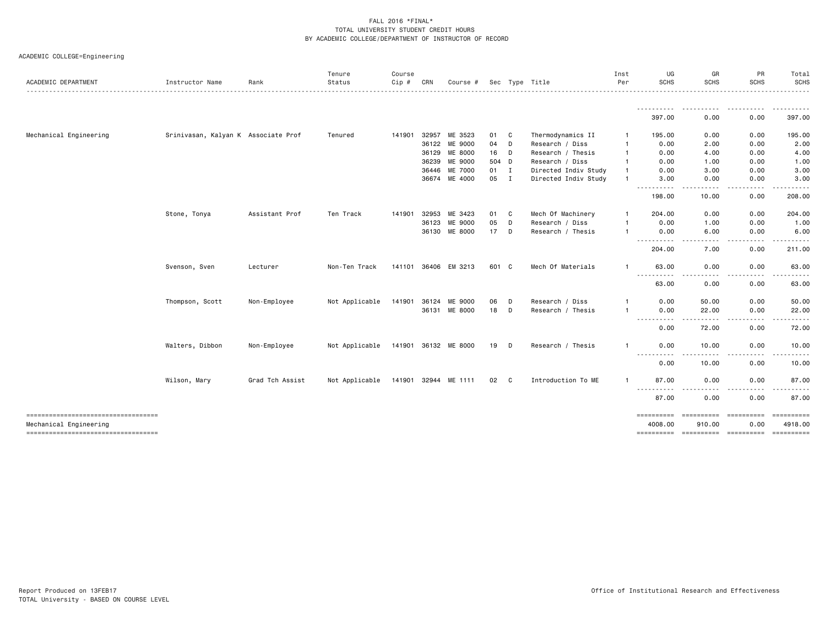| <b>ACADEMIC DEPARTMENT</b>                                   | Instructor Name                     | Rank            | Tenure<br>Status                    | Course<br>Cip # | CRN          | Course #             |        |   | Sec Type Title       | Inst<br>Per  | UG<br><b>SCHS</b>                                                                                                                  | GR<br><b>SCHS</b>                                                                                                         | PR<br><b>SCHS</b>                                                                                                       | Total<br><b>SCHS</b>  |
|--------------------------------------------------------------|-------------------------------------|-----------------|-------------------------------------|-----------------|--------------|----------------------|--------|---|----------------------|--------------|------------------------------------------------------------------------------------------------------------------------------------|---------------------------------------------------------------------------------------------------------------------------|-------------------------------------------------------------------------------------------------------------------------|-----------------------|
|                                                              |                                     |                 |                                     |                 |              |                      |        |   |                      |              |                                                                                                                                    | $\frac{1}{2} \left( \frac{1}{2} \right) \left( \frac{1}{2} \right) \left( \frac{1}{2} \right) \left( \frac{1}{2} \right)$ |                                                                                                                         | .<br>-------          |
|                                                              |                                     |                 |                                     |                 |              |                      |        |   |                      |              | 397.00                                                                                                                             | 0.00                                                                                                                      | 0.00                                                                                                                    | 397.00                |
| Mechanical Engineering                                       | Srinivasan, Kalyan K Associate Prof |                 | Tenured                             |                 | 141901 32957 | ME 3523              | 01 C   |   | Thermodynamics II    | -1           | 195.00                                                                                                                             | 0.00                                                                                                                      | 0.00                                                                                                                    | 195.00                |
|                                                              |                                     |                 |                                     |                 |              | 36122 ME 9000        | 04     | D | Research / Diss      |              | 0.00                                                                                                                               | 2.00                                                                                                                      | 0.00                                                                                                                    | 2.00                  |
|                                                              |                                     |                 |                                     |                 |              | 36129 ME 8000        | 16 D   |   | Research / Thesis    |              | 0.00                                                                                                                               | 4.00                                                                                                                      | 0.00                                                                                                                    | 4.00                  |
|                                                              |                                     |                 |                                     |                 | 36239        | ME 9000              | 504 D  |   | Research / Diss      |              | 0.00                                                                                                                               | 1.00                                                                                                                      | 0.00                                                                                                                    | 1.00                  |
|                                                              |                                     |                 |                                     |                 | 36446        | ME 7000              | $01$ I |   | Directed Indiv Study |              | 0.00                                                                                                                               | 3.00                                                                                                                      | 0.00                                                                                                                    | 3.00                  |
|                                                              |                                     |                 |                                     |                 |              | 36674 ME 4000        | 05 I   |   | Directed Indiv Study |              | 3.00<br>.                                                                                                                          | 0.00                                                                                                                      | 0.00                                                                                                                    | 3.00                  |
|                                                              |                                     |                 |                                     |                 |              |                      |        |   |                      |              | 198.00                                                                                                                             | 10.00                                                                                                                     | 0.00                                                                                                                    | 208.00                |
|                                                              | Stone, Tonya                        | Assistant Prof  | Ten Track                           | 141901          | 32953        | ME 3423              | 01 C   |   | Mech Of Machinery    | $\mathbf{1}$ | 204.00                                                                                                                             | 0.00                                                                                                                      | 0.00                                                                                                                    | 204.00                |
|                                                              |                                     |                 |                                     |                 | 36123        | ME 9000              | 05     | D | Research / Diss      |              | 0.00                                                                                                                               | 1.00                                                                                                                      | 0.00                                                                                                                    | 1.00                  |
|                                                              |                                     |                 |                                     |                 |              | 36130 ME 8000        | $17$ D |   | Research / Thesis    |              | 0.00<br>-----------                                                                                                                | 6.00<br>$\frac{1}{2}$<br><u>.</u>                                                                                         | 0.00<br>$\begin{array}{cccccccccccccc} \bullet & \bullet & \bullet & \bullet & \bullet & \bullet & \bullet \end{array}$ | 6.00<br>.             |
|                                                              |                                     |                 |                                     |                 |              |                      |        |   |                      |              | 204.00                                                                                                                             | 7.00                                                                                                                      | 0.00                                                                                                                    | 211.00                |
|                                                              | Svenson, Sven                       | Lecturer        | Non-Ten Track                       |                 |              | 141101 36406 EM 3213 | 601 C  |   | Mech Of Materials    | $\mathbf{1}$ | 63.00<br>$\frac{1}{2} \left( \frac{1}{2} \right) \left( \frac{1}{2} \right) \left( \frac{1}{2} \right) \left( \frac{1}{2} \right)$ | 0.00                                                                                                                      | 0.00                                                                                                                    | 63.00                 |
|                                                              |                                     |                 |                                     |                 |              |                      |        |   |                      |              | 63.00                                                                                                                              | 0.00                                                                                                                      | 0.00                                                                                                                    | 63.00                 |
|                                                              | Thompson, Scott                     | Non-Employee    | Not Applicable 141901 36124 ME 9000 |                 |              |                      | 06     | D | Research / Diss      |              | 0.00                                                                                                                               | 50.00                                                                                                                     | 0.00                                                                                                                    | 50.00                 |
|                                                              |                                     |                 |                                     |                 |              | 36131 ME 8000        | 18 D   |   | Research / Thesis    | $\mathbf{1}$ | 0.00<br>----------                                                                                                                 | 22.00                                                                                                                     | 0.00<br>.                                                                                                               | 22.00                 |
|                                                              |                                     |                 |                                     |                 |              |                      |        |   |                      |              | 0.00                                                                                                                               | 72.00                                                                                                                     | 0.00                                                                                                                    | 72.00                 |
|                                                              | Walters, Dibbon                     | Non-Employee    | Not Applicable 141901 36132 ME 8000 |                 |              |                      | 19 D   |   | Research / Thesis    | $\mathbf{1}$ | 0.00<br>$- - - - -$                                                                                                                | 10.00<br>.                                                                                                                | 0.00                                                                                                                    | 10.00                 |
|                                                              |                                     |                 |                                     |                 |              |                      |        |   |                      |              | -----<br>0.00                                                                                                                      | 10.00                                                                                                                     | .<br>0.00                                                                                                               | 10.00                 |
|                                                              | Wilson, Mary                        | Grad Tch Assist | Not Applicable 141901 32944 ME 1111 |                 |              |                      | 02 C   |   | Introduction To ME   | $\mathbf{1}$ | 87.00                                                                                                                              | 0.00                                                                                                                      | 0.00                                                                                                                    | 87.00                 |
|                                                              |                                     |                 |                                     |                 |              |                      |        |   |                      |              | ----------<br>87.00                                                                                                                | $\sim$ $\sim$ $\sim$<br>0.00                                                                                              | 0.00                                                                                                                    | 87.00                 |
|                                                              |                                     |                 |                                     |                 |              |                      |        |   |                      |              | ==========                                                                                                                         | ----------- ---------                                                                                                     |                                                                                                                         |                       |
| Mechanical Engineering<br>---------------------------------- |                                     |                 |                                     |                 |              |                      |        |   |                      |              | 4008.00                                                                                                                            | 910.00<br>---------- ---------- ---------                                                                                 | 0.00                                                                                                                    | 4918.00<br>========== |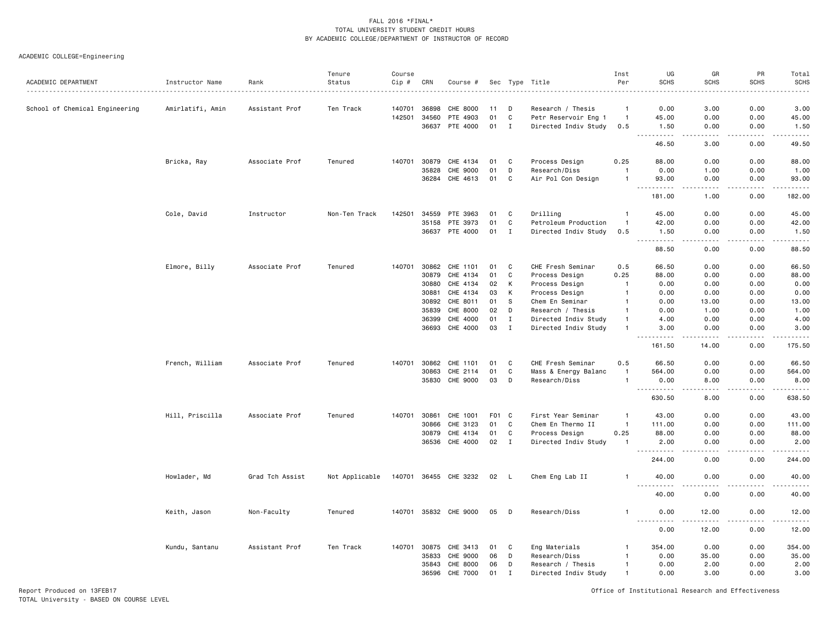ACADEMIC COLLEGE=Engineering

| ACADEMIC DEPARTMENT            | Instructor Name  | Rank            | Tenure<br>Status | Course<br>Cip # | CRN   | Course #              |       |              | Sec Type Title       | Inst<br>Per    | UG<br><b>SCHS</b>                                                                                                                                              | GR<br><b>SCHS</b>            | PR<br><b>SCHS</b> | Total<br><b>SCHS</b><br>$    -$ |
|--------------------------------|------------------|-----------------|------------------|-----------------|-------|-----------------------|-------|--------------|----------------------|----------------|----------------------------------------------------------------------------------------------------------------------------------------------------------------|------------------------------|-------------------|---------------------------------|
| School of Chemical Engineering | Amirlatifi, Amin | Assistant Prof  | Ten Track        | 140701          | 36898 | CHE 8000              | 11    | D            | Research / Thesis    | $\mathbf{1}$   | 0.00                                                                                                                                                           | 3.00                         | 0.00              | 3.00                            |
|                                |                  |                 |                  | 142501          | 34560 | PTE 4903              | 01    | C            | Petr Reservoir Eng 1 | $\overline{1}$ | 45.00                                                                                                                                                          | 0.00                         | 0.00              | 45.00                           |
|                                |                  |                 |                  |                 | 36637 | PTE 4000              | 01    | $\mathbf I$  | Directed Indiv Study | 0.5            | 1.50                                                                                                                                                           | 0.00                         | 0.00              | 1.50                            |
|                                |                  |                 |                  |                 |       |                       |       |              |                      |                | .<br>$\sim$ $\sim$ $\sim$<br>46.50                                                                                                                             | .<br>3.00                    | .<br>0.00         | .<br>49.50                      |
|                                | Bricka, Ray      | Associate Prof  | Tenured          | 140701          | 30879 | CHE 4134              | 01    | C            | Process Design       | 0.25           | 88.00                                                                                                                                                          | 0.00                         | 0.00              | 88.00                           |
|                                |                  |                 |                  |                 | 35828 | CHE 9000              | 01    | D            | Research/Diss        | $\overline{1}$ | 0.00                                                                                                                                                           | 1.00                         | 0.00              | 1.00                            |
|                                |                  |                 |                  |                 | 36284 | CHE 4613              | 01    | C            | Air Pol Con Design   | $\overline{1}$ | 93.00                                                                                                                                                          | 0.00<br>.                    | 0.00              | 93.00<br>.                      |
|                                |                  |                 |                  |                 |       |                       |       |              |                      |                | $\frac{1}{2} \left( \frac{1}{2} \right) \left( \frac{1}{2} \right) \left( \frac{1}{2} \right) \left( \frac{1}{2} \right) \left( \frac{1}{2} \right)$<br>181.00 | 1.00                         | $\cdots$<br>0.00  | 182.00                          |
|                                | Cole, David      | Instructor      | Non-Ten Track    | 142501          | 34559 | PTE 3963              | 01    | C            | Drilling             | 1              | 45.00                                                                                                                                                          | 0.00                         | 0.00              | 45.00                           |
|                                |                  |                 |                  |                 | 35158 | PTE 3973              | 01    | C            | Petroleum Production | $\mathbf{1}$   | 42.00                                                                                                                                                          | 0.00                         | 0.00              | 42.00                           |
|                                |                  |                 |                  |                 | 36637 | PTE 4000              | 01    | I            | Directed Indiv Study | 0.5            | 1.50<br>$\sim$ $\sim$ $\sim$                                                                                                                                   | 0.00                         | 0.00              | 1.50<br>وبالمسامين              |
|                                |                  |                 |                  |                 |       |                       |       |              |                      |                | 88.50                                                                                                                                                          | 0.00                         | 0.00              | 88.50                           |
|                                | Elmore, Billy    | Associate Prof  | Tenured          | 140701          | 30862 | CHE 1101              | 01    | C            | CHE Fresh Seminar    | 0.5            | 66.50                                                                                                                                                          | 0.00                         | 0.00              | 66.50                           |
|                                |                  |                 |                  |                 | 30879 | CHE 4134              | 01    | C            | Process Design       | 0.25           | 88.00                                                                                                                                                          | 0.00                         | 0.00              | 88.00                           |
|                                |                  |                 |                  |                 | 30880 | CHE 4134              | 02    | K            | Process Design       | $\overline{1}$ | 0.00                                                                                                                                                           | 0.00                         | 0.00              | 0.00                            |
|                                |                  |                 |                  |                 | 30881 | CHE 4134              | 03    | К            | Process Design       | -1             | 0.00                                                                                                                                                           | 0.00                         | 0.00              | 0.00                            |
|                                |                  |                 |                  |                 | 30892 | CHE 8011              | 01    | s            | Chem En Seminar      |                | 0.00                                                                                                                                                           | 13.00                        | 0.00              | 13.00                           |
|                                |                  |                 |                  |                 | 35839 | CHE 8000              | 02    | D            | Research / Thesis    |                | 0.00                                                                                                                                                           | 1.00                         | 0.00              | 1.00                            |
|                                |                  |                 |                  |                 | 36399 | CHE 4000              | 01    | $\mathbf I$  | Directed Indiv Study | $\overline{1}$ | 4.00                                                                                                                                                           | 0.00                         | 0.00              | 4.00                            |
|                                |                  |                 |                  |                 | 36693 | CHE 4000              | 03    | $\mathbf I$  | Directed Indiv Study |                | 3.00                                                                                                                                                           | 0.00                         | 0.00              | 3.00                            |
|                                |                  |                 |                  |                 |       |                       |       |              |                      |                | .<br>161.50                                                                                                                                                    | 14.00                        | 0.00              | .<br>175.50                     |
|                                | French, William  | Associate Prof  | Tenured          | 140701          | 30862 | CHE 1101              | 01    | C            | CHE Fresh Seminar    | 0.5            | 66.50                                                                                                                                                          | 0.00                         | 0.00              | 66.50                           |
|                                |                  |                 |                  |                 | 30863 | CHE 2114              | 01    | C            | Mass & Energy Balanc | $\mathbf{1}$   | 564.00                                                                                                                                                         | 0.00                         | 0.00              | 564.00                          |
|                                |                  |                 |                  |                 | 35830 | CHE 9000              | 03    | D            | Research/Diss        | $\mathbf{1}$   | 0.00<br>.                                                                                                                                                      | 8.00<br>$\sim$ $\sim$ $\sim$ | 0.00<br>.         | 8.00<br>.                       |
|                                |                  |                 |                  |                 |       |                       |       |              |                      |                | 630.50                                                                                                                                                         | 8.00                         | 0.00              | 638.50                          |
|                                | Hill, Priscilla  | Associate Prof  | Tenured          | 140701          | 30861 | CHE 1001              | F01 C |              | First Year Seminar   | $\overline{1}$ | 43.00                                                                                                                                                          | 0.00                         | 0.00              | 43.00                           |
|                                |                  |                 |                  |                 | 30866 | CHE 3123              | 01    | C            | Chem En Thermo II    | $\overline{1}$ | 111.00                                                                                                                                                         | 0.00                         | 0.00              | 111.00                          |
|                                |                  |                 |                  |                 | 30879 | CHE 4134              | 01    | C            | Process Design       | 0.25           | 88.00                                                                                                                                                          | 0.00                         | 0.00              | 88.00                           |
|                                |                  |                 |                  |                 | 36536 | CHE 4000              | 02    | $\mathbf{I}$ | Directed Indiv Study | $\mathbf{1}$   | 2.00<br>.                                                                                                                                                      | 0.00<br>$  -$                | 0.00<br>.         | 2.00<br>.                       |
|                                |                  |                 |                  |                 |       |                       |       |              |                      |                | 244.00                                                                                                                                                         | 0.00                         | 0.00              | 244.00                          |
|                                | Howlader, Md     | Grad Tch Assist | Not Applicable   |                 |       | 140701 36455 CHE 3232 | 02    | L,           | Chem Eng Lab II      | $\mathbf{1}$   | 40.00                                                                                                                                                          | 0.00                         | 0.00              | 40.00<br>.                      |
|                                |                  |                 |                  |                 |       |                       |       |              |                      |                | 40.00                                                                                                                                                          | 0.00                         | 0.00              | 40.00                           |
|                                | Keith, Jason     | Non-Faculty     | Tenured          |                 |       | 140701 35832 CHE 9000 | 05    | D            | Research/Diss        | $\mathbf{1}$   | 0.00<br><u>.</u>                                                                                                                                               | 12.00<br>.                   | 0.00<br>$- - - -$ | 12.00<br>.                      |
|                                |                  |                 |                  |                 |       |                       |       |              |                      |                | 0.00                                                                                                                                                           | 12.00                        | 0.00              | 12.00                           |
|                                | Kundu, Santanu   | Assistant Prof  | Ten Track        | 140701          | 30875 | CHE 3413              | 01    | C            | Eng Materials        | $\mathbf{1}$   | 354.00                                                                                                                                                         | 0.00                         | 0.00              | 354.00                          |
|                                |                  |                 |                  |                 | 35833 | CHE 9000              | 06    | D            | Research/Diss        | $\mathbf{1}$   | 0.00                                                                                                                                                           | 35.00                        | 0.00              | 35.00                           |
|                                |                  |                 |                  |                 | 35843 | CHE 8000              | 06    | D            | Research / Thesis    | $\overline{1}$ | 0.00                                                                                                                                                           | 2.00                         | 0.00              | 2.00                            |
|                                |                  |                 |                  |                 | 36596 | CHE 7000              | 01    | I            | Directed Indiv Study | $\overline{1}$ | 0.00                                                                                                                                                           | 3.00                         | 0.00              | 3.00                            |

Report Produced on 13FEB17 Office of Institutional Research and Effectiveness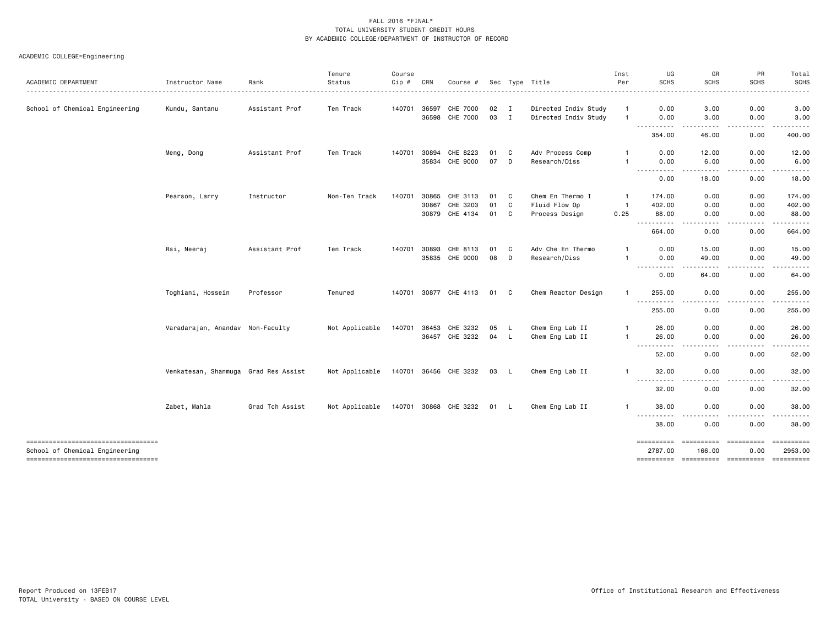|                                    |                                      |                 | Tenure         | Course       |       |                       |      |              |                      | Inst           | UG                                                                                                                                                                                                                                                                                                                                                                                                                                                                                                     | GR                    | PR            | Total              |
|------------------------------------|--------------------------------------|-----------------|----------------|--------------|-------|-----------------------|------|--------------|----------------------|----------------|--------------------------------------------------------------------------------------------------------------------------------------------------------------------------------------------------------------------------------------------------------------------------------------------------------------------------------------------------------------------------------------------------------------------------------------------------------------------------------------------------------|-----------------------|---------------|--------------------|
| ACADEMIC DEPARTMENT                | Instructor Name                      | Rank            | Status         | Cip #        | CRN   | Course #              |      |              | Sec Type Title       | Per            | <b>SCHS</b>                                                                                                                                                                                                                                                                                                                                                                                                                                                                                            | <b>SCHS</b>           | <b>SCHS</b>   | <b>SCHS</b>        |
| School of Chemical Engineering     | Kundu, Santanu                       | Assistant Prof  | Ten Track      | 140701       | 36597 | <b>CHE 7000</b>       | 02   | $\mathbf{I}$ | Directed Indiv Study | $\mathbf{1}$   | 0.00                                                                                                                                                                                                                                                                                                                                                                                                                                                                                                   | 3.00                  | 0.00          | 3.00               |
|                                    |                                      |                 |                |              | 36598 | CHE 7000              | 03   | $\mathbf{I}$ | Directed Indiv Study | $\mathbf{1}$   | 0.00                                                                                                                                                                                                                                                                                                                                                                                                                                                                                                   | 3.00                  | 0.00          | 3.00               |
|                                    |                                      |                 |                |              |       |                       |      |              |                      |                | ----------<br>354.00                                                                                                                                                                                                                                                                                                                                                                                                                                                                                   | -----<br>46.00        | -----<br>0.00 | .<br>400.00        |
|                                    | Meng, Dong                           | Assistant Prof  | Ten Track      | 140701       | 30894 | CHE 8223              | 01   | C            | Adv Process Comp     |                | 0.00                                                                                                                                                                                                                                                                                                                                                                                                                                                                                                   | 12.00                 | 0.00          | 12.00              |
|                                    |                                      |                 |                |              | 35834 | CHE 9000              | 07   | D            | Research/Diss        | -1             | 0.00                                                                                                                                                                                                                                                                                                                                                                                                                                                                                                   | 6.00                  | 0.00          | 6.00               |
|                                    |                                      |                 |                |              |       |                       |      |              |                      |                | ----------<br>0.00                                                                                                                                                                                                                                                                                                                                                                                                                                                                                     | -----<br>18.00        | -----<br>0.00 | .<br>18.00         |
|                                    | Pearson, Larry                       | Instructor      | Non-Ten Track  | 140701       | 30865 | CHE 3113              | 01   | C            | Chem En Thermo I     | -1             | 174.00                                                                                                                                                                                                                                                                                                                                                                                                                                                                                                 | 0.00                  | 0.00          | 174.00             |
|                                    |                                      |                 |                |              | 30867 | CHE 3203              | 01   | C            | Fluid Flow Op        | $\overline{1}$ | 402.00                                                                                                                                                                                                                                                                                                                                                                                                                                                                                                 | 0.00                  | 0.00          | 402.00             |
|                                    |                                      |                 |                |              | 30879 | CHE 4134              | 01   | C            | Process Design       | 0.25           | 88.00                                                                                                                                                                                                                                                                                                                                                                                                                                                                                                  | 0.00                  | 0.00          | 88.00              |
|                                    |                                      |                 |                |              |       |                       |      |              |                      |                | ----------<br>664.00                                                                                                                                                                                                                                                                                                                                                                                                                                                                                   | $\frac{1}{2}$<br>0.00 | .<br>0.00     | <u>.</u><br>664.00 |
|                                    | Rai, Neeraj                          | Assistant Prof  | Ten Track      | 140701       | 30893 | CHE 8113              | 01   | C            | Adv Che En Thermo    | -1             | 0.00                                                                                                                                                                                                                                                                                                                                                                                                                                                                                                   | 15.00                 | 0.00          | 15.00              |
|                                    |                                      |                 |                |              | 35835 | CHE 9000              | 08   | D            | Research/Diss        | $\mathbf{1}$   | 0.00                                                                                                                                                                                                                                                                                                                                                                                                                                                                                                   | 49.00                 | 0.00          | 49.00              |
|                                    |                                      |                 |                |              |       |                       |      |              |                      |                | $- - -$<br>.<br>0.00                                                                                                                                                                                                                                                                                                                                                                                                                                                                                   | 64.00                 | 0.00          | 64.00              |
|                                    | Toghiani, Hossein                    | Professor       | Tenured        |              |       | 140701 30877 CHE 4113 | 01   | C.           | Chem Reactor Design  | $\mathbf{1}$   | 255.00                                                                                                                                                                                                                                                                                                                                                                                                                                                                                                 | 0.00                  | 0.00          | 255.00             |
|                                    |                                      |                 |                |              |       |                       |      |              |                      |                | $\frac{1}{2} \left( \begin{array}{ccc} 1 & 0 & 0 & 0 \\ 0 & 0 & 0 & 0 \\ 0 & 0 & 0 & 0 \\ 0 & 0 & 0 & 0 \\ 0 & 0 & 0 & 0 \\ 0 & 0 & 0 & 0 \\ 0 & 0 & 0 & 0 \\ 0 & 0 & 0 & 0 \\ 0 & 0 & 0 & 0 \\ 0 & 0 & 0 & 0 \\ 0 & 0 & 0 & 0 & 0 \\ 0 & 0 & 0 & 0 & 0 \\ 0 & 0 & 0 & 0 & 0 \\ 0 & 0 & 0 & 0 & 0 \\ 0 & 0 & 0 & 0 & 0 \\ 0 & 0 & 0$<br>$\frac{1}{2} \left( \frac{1}{2} \right) \left( \frac{1}{2} \right) \left( \frac{1}{2} \right) \left( \frac{1}{2} \right) \left( \frac{1}{2} \right)$<br>255.00 | $- - -$<br>0.00       | .<br>0.00     | .<br>255.00        |
|                                    | Varadarajan, Anandav Non-Faculty     |                 | Not Applicable | 140701       | 36453 | CHE 3232              | 05   | $\mathsf{L}$ | Chem Eng Lab II      | $\mathbf{1}$   | 26.00                                                                                                                                                                                                                                                                                                                                                                                                                                                                                                  | 0.00                  | 0.00          | 26.00              |
|                                    |                                      |                 |                |              |       | 36457 CHE 3232        | 04   | <b>L</b>     | Chem Eng Lab II      | $\mathbf{1}$   | 26.00                                                                                                                                                                                                                                                                                                                                                                                                                                                                                                  | 0.00                  | 0.00          | 26.00              |
|                                    |                                      |                 |                |              |       |                       |      |              |                      |                | $- - -$<br>.<br>52.00                                                                                                                                                                                                                                                                                                                                                                                                                                                                                  | ----<br>0.00          | .<br>0.00     | .<br>52.00         |
|                                    | Venkatesan, Shanmuga Grad Res Assist |                 | Not Applicable |              |       | 140701 36456 CHE 3232 | 03 L |              | Chem Eng Lab II      | -1             | 32.00                                                                                                                                                                                                                                                                                                                                                                                                                                                                                                  | 0.00                  | 0.00          | 32.00              |
|                                    |                                      |                 |                |              |       |                       |      |              |                      |                | $  -$<br>32.00                                                                                                                                                                                                                                                                                                                                                                                                                                                                                         | 0.00                  | 0.00          | 32.00              |
|                                    | Zabet, Mahla                         | Grad Tch Assist | Not Applicable | 140701 30868 |       | CHE 3232              | 01   | -L           | Chem Eng Lab II      | $\mathbf{1}$   | 38.00                                                                                                                                                                                                                                                                                                                                                                                                                                                                                                  | 0.00                  | 0.00          | 38.00              |
|                                    |                                      |                 |                |              |       |                       |      |              |                      |                | $\frac{1}{2} \left( \begin{array}{ccc} 1 & 0 & 0 & 0 \\ 0 & 0 & 0 & 0 \\ 0 & 0 & 0 & 0 \\ 0 & 0 & 0 & 0 \\ 0 & 0 & 0 & 0 \\ 0 & 0 & 0 & 0 \\ 0 & 0 & 0 & 0 \\ 0 & 0 & 0 & 0 \\ 0 & 0 & 0 & 0 \\ 0 & 0 & 0 & 0 \\ 0 & 0 & 0 & 0 & 0 \\ 0 & 0 & 0 & 0 & 0 \\ 0 & 0 & 0 & 0 & 0 \\ 0 & 0 & 0 & 0 & 0 \\ 0 & 0 & 0 & 0 & 0 \\ 0 & 0 & 0$<br>.<br>38.00                                                                                                                                                     | 0.00                  | 0.00          | 38.00              |
|                                    |                                      |                 |                |              |       |                       |      |              |                      |                |                                                                                                                                                                                                                                                                                                                                                                                                                                                                                                        |                       |               |                    |
| ---------------------------------- |                                      |                 |                |              |       |                       |      |              |                      |                | ==========                                                                                                                                                                                                                                                                                                                                                                                                                                                                                             | ==========            | ==========    | ==========         |
| School of Chemical Engineering     |                                      |                 |                |              |       |                       |      |              |                      |                | 2787.00                                                                                                                                                                                                                                                                                                                                                                                                                                                                                                | 166.00                | 0.00          | 2953.00            |
| ---------------------------------- |                                      |                 |                |              |       |                       |      |              |                      |                |                                                                                                                                                                                                                                                                                                                                                                                                                                                                                                        |                       |               |                    |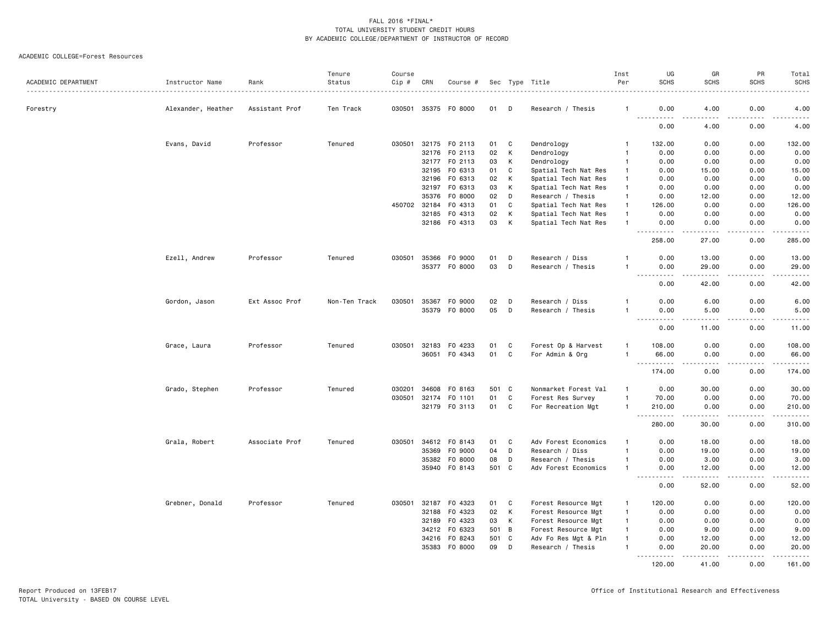| ACADEMIC DEPARTMENT | Instructor Name    | Rank           | Tenure<br>Status | Course<br>Cip # | CRN   | Course #             |       |              | Sec Type Title       | Inst<br>Per    | UG<br><b>SCHS</b>                                                                                                                                            | GR<br><b>SCHS</b> | PR<br><b>SCHS</b>            | Total<br><b>SCHS</b><br>$\frac{1}{2}$                                                                                                                        |
|---------------------|--------------------|----------------|------------------|-----------------|-------|----------------------|-------|--------------|----------------------|----------------|--------------------------------------------------------------------------------------------------------------------------------------------------------------|-------------------|------------------------------|--------------------------------------------------------------------------------------------------------------------------------------------------------------|
| Forestry            | Alexander, Heather | Assistant Prof | Ten Track        |                 |       | 030501 35375 F0 8000 | 01    | D            | Research / Thesis    | -1             | 0.00                                                                                                                                                         | 4.00              | 0.00                         | 4.00                                                                                                                                                         |
|                     |                    |                |                  |                 |       |                      |       |              |                      |                | <u>.</u><br>0.00                                                                                                                                             | 4.00              | 0.00                         | $\frac{1}{2} \left( \frac{1}{2} \right) \left( \frac{1}{2} \right) \left( \frac{1}{2} \right) \left( \frac{1}{2} \right) \left( \frac{1}{2} \right)$<br>4.00 |
|                     | Evans, David       | Professor      | Tenured          | 030501          |       | 32175 FO 2113        | 01    | C            | Dendrology           |                | 132.00                                                                                                                                                       | 0.00              | 0.00                         | 132.00                                                                                                                                                       |
|                     |                    |                |                  |                 | 32176 | F0 2113              | 02    | К            | Dendrology           | $\mathbf{1}$   | 0.00                                                                                                                                                         | 0.00              | 0.00                         | 0.00                                                                                                                                                         |
|                     |                    |                |                  |                 | 32177 | F0 2113              | 03    | К            | Dendrology           | $\mathbf{1}$   | 0.00                                                                                                                                                         | 0.00              | 0.00                         | 0.00                                                                                                                                                         |
|                     |                    |                |                  |                 | 32195 | F0 6313              | 01    | C            | Spatial Tech Nat Res | $\mathbf{1}$   | 0.00                                                                                                                                                         | 15.00             | 0.00                         | 15.00                                                                                                                                                        |
|                     |                    |                |                  |                 | 32196 | FO 6313              | 02    | К            | Spatial Tech Nat Res | $\overline{1}$ | 0.00                                                                                                                                                         | 0.00              | 0.00                         | 0.00                                                                                                                                                         |
|                     |                    |                |                  |                 | 32197 | F0 6313              | 03    | К            | Spatial Tech Nat Res | $\overline{1}$ | 0.00                                                                                                                                                         | 0.00              | 0.00                         | 0.00                                                                                                                                                         |
|                     |                    |                |                  |                 | 35376 | F0 8000              | 02    | D            | Research / Thesis    | $\overline{1}$ | 0.00                                                                                                                                                         | 12.00             | 0.00                         | 12.00                                                                                                                                                        |
|                     |                    |                |                  | 450702          | 32184 | F0 4313              | 01    | C            | Spatial Tech Nat Res | $\overline{1}$ | 126.00                                                                                                                                                       | 0.00              | 0.00                         | 126.00                                                                                                                                                       |
|                     |                    |                |                  |                 | 32185 | F0 4313              | 02    | К            | Spatial Tech Nat Res | $\overline{1}$ | 0.00                                                                                                                                                         | 0.00              | 0.00                         | 0.00                                                                                                                                                         |
|                     |                    |                |                  |                 |       | 32186 FO 4313        | 03    | К            | Spatial Tech Nat Res | $\mathbf{1}$   | 0.00<br>.<br>$- - -$                                                                                                                                         | 0.00<br>.         | 0.00<br>.                    | 0.00<br>.                                                                                                                                                    |
|                     |                    |                |                  |                 |       |                      |       |              |                      |                | 258.00                                                                                                                                                       | 27.00             | 0.00                         | 285.00                                                                                                                                                       |
|                     | Ezell, Andrew      | Professor      | Tenured          | 030501          | 35366 | F0 9000              | 01    | D            | Research / Diss      |                | 0.00                                                                                                                                                         | 13.00             | 0.00                         | 13.00                                                                                                                                                        |
|                     |                    |                |                  |                 | 35377 | F0 8000              | 03    | D            | Research / Thesis    |                | 0.00                                                                                                                                                         | 29.00             | 0.00                         | 29.00                                                                                                                                                        |
|                     |                    |                |                  |                 |       |                      |       |              |                      |                | $\frac{1}{2} \left( \frac{1}{2} \right) \left( \frac{1}{2} \right) \left( \frac{1}{2} \right) \left( \frac{1}{2} \right) \left( \frac{1}{2} \right)$<br>0.00 | 42.00             | $\sim$ $\sim$ $\sim$<br>0.00 | د د د د د<br>42.00                                                                                                                                           |
|                     | Gordon, Jason      | Ext Assoc Prof | Non-Ten Track    | 030501          | 35367 | F0 9000              | 02    | D            | Research / Diss      |                | 0.00                                                                                                                                                         | 6.00              | 0.00                         | 6.00                                                                                                                                                         |
|                     |                    |                |                  |                 |       | 35379 F0 8000        | 05    | D            | Research / Thesis    | $\mathbf{1}$   | 0.00                                                                                                                                                         | 5.00              | 0.00                         | 5.00                                                                                                                                                         |
|                     |                    |                |                  |                 |       |                      |       |              |                      |                | ----------<br>0.00                                                                                                                                           | <u>.</u><br>11.00 | .<br>0.00                    | -----<br>11.00                                                                                                                                               |
|                     |                    |                |                  |                 |       |                      |       |              |                      |                |                                                                                                                                                              |                   |                              |                                                                                                                                                              |
|                     | Grace, Laura       | Professor      | Tenured          | 030501          | 32183 | F0 4233              | 01    | C            | Forest Op & Harvest  | $\overline{1}$ | 108.00                                                                                                                                                       | 0.00              | 0.00                         | 108.00                                                                                                                                                       |
|                     |                    |                |                  |                 | 36051 | F0 4343              | 01    | C            | For Admin & Org      | $\mathbf{1}$   | 66.00<br>د د د د<br>$\sim$ $\sim$ $\sim$                                                                                                                     | 0.00<br>.         | 0.00<br>.                    | 66.00<br>------                                                                                                                                              |
|                     |                    |                |                  |                 |       |                      |       |              |                      |                | 174.00                                                                                                                                                       | 0.00              | 0.00                         | 174.00                                                                                                                                                       |
|                     | Grado, Stephen     | Professor      | Tenured          | 030201          | 34608 | F0 8163              | 501 C |              | Nonmarket Forest Val | $\mathbf{1}$   | 0.00                                                                                                                                                         | 30.00             | 0.00                         | 30.00                                                                                                                                                        |
|                     |                    |                |                  | 030501          | 32174 | FO 1101              | 01    | $\mathbf c$  | Forest Res Survey    | $\overline{1}$ | 70.00                                                                                                                                                        | 0.00              | 0.00                         | 70.00                                                                                                                                                        |
|                     |                    |                |                  |                 |       | 32179 FO 3113        | 01    | C            | For Recreation Mgt   | $\mathbf{1}$   | 210.00                                                                                                                                                       | 0.00              | 0.00                         | 210.00                                                                                                                                                       |
|                     |                    |                |                  |                 |       |                      |       |              |                      |                | $\sim$ $\sim$ $\sim$<br>د د د د<br>280.00                                                                                                                    | د د د د<br>30.00  | .<br>0.00                    | .<br>310.00                                                                                                                                                  |
|                     | Grala, Robert      | Associate Prof | Tenured          | 030501          | 34612 | FO 8143              | 01    | C            | Adv Forest Economics |                | 0.00                                                                                                                                                         | 18.00             | 0.00                         | 18.00                                                                                                                                                        |
|                     |                    |                |                  |                 | 35369 | F0 9000              | 04    | D            | Research / Diss      | $\mathbf{1}$   | 0.00                                                                                                                                                         | 19.00             | 0.00                         | 19.00                                                                                                                                                        |
|                     |                    |                |                  |                 | 35382 | F0 8000              | 08    | D            | Research / Thesis    | $\mathbf{1}$   | 0.00                                                                                                                                                         | 3.00              | 0.00                         | 3.00                                                                                                                                                         |
|                     |                    |                |                  |                 |       | 35940 FO 8143        | 501   | $\mathbf{C}$ | Adv Forest Economics | $\mathbf{1}$   | 0.00                                                                                                                                                         | 12.00             | 0.00                         | 12.00                                                                                                                                                        |
|                     |                    |                |                  |                 |       |                      |       |              |                      |                | .<br>0.00                                                                                                                                                    | 52.00             | 0.00                         | د د د د د<br>52.00                                                                                                                                           |
|                     | Grebner, Donald    | Professor      | Tenured          | 030501          |       | 32187 FO 4323        | 01    | C            | Forest Resource Mgt  | -1             | 120.00                                                                                                                                                       | 0.00              | 0.00                         | 120.00                                                                                                                                                       |
|                     |                    |                |                  |                 | 32188 | F0 4323              | 02    | К            | Forest Resource Mgt  | $\mathbf{1}$   | 0.00                                                                                                                                                         | 0.00              | 0.00                         | 0.00                                                                                                                                                         |
|                     |                    |                |                  |                 | 32189 | F0 4323              | 03    | К            | Forest Resource Mgt  | $\overline{1}$ | 0.00                                                                                                                                                         | 0.00              | 0.00                         | 0.00                                                                                                                                                         |
|                     |                    |                |                  |                 | 34212 | F0 6323              | 501 B |              | Forest Resource Mgt  | $\overline{1}$ | 0.00                                                                                                                                                         | 9.00              | 0.00                         | 9.00                                                                                                                                                         |
|                     |                    |                |                  |                 | 34216 | F0 8243              | 501   | C            | Adv Fo Res Mgt & Pln | $\overline{1}$ | 0.00                                                                                                                                                         | 12.00             | 0.00                         | 12.00                                                                                                                                                        |
|                     |                    |                |                  |                 | 35383 | F0 8000              | 09    | D            | Research / Thesis    | $\overline{1}$ | 0.00<br><u>.</u>                                                                                                                                             | 20.00             | 0.00                         | 20.00<br>.                                                                                                                                                   |
|                     |                    |                |                  |                 |       |                      |       |              |                      |                | 120.00                                                                                                                                                       | 41.00             | 0.00                         | 161.00                                                                                                                                                       |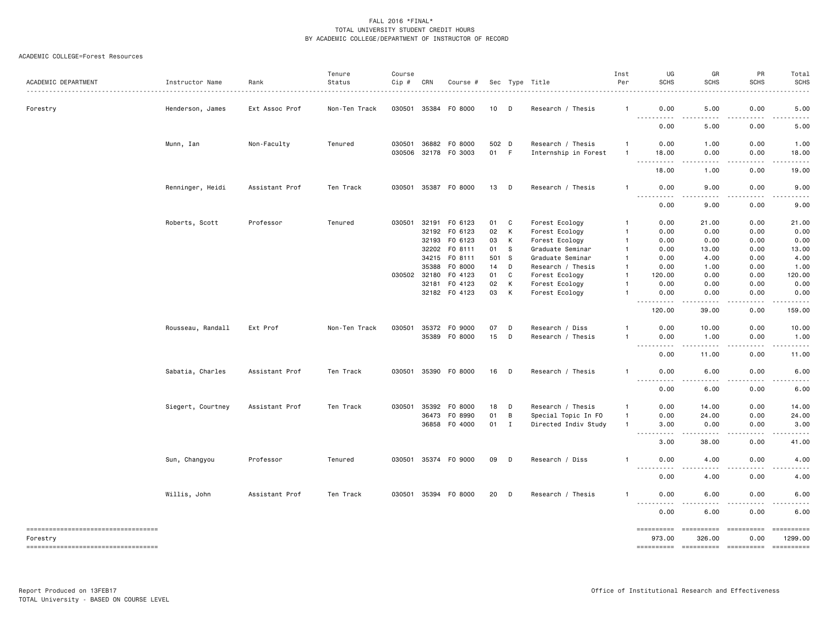| ACADEMIC DEPARTMENT                                                                       | Instructor Name   | Rank           | Tenure<br>Status | Course<br>Cip # | CRN                     | Course #                            |                 |               | Sec Type Title<br>.                                       | Inst<br>Per                  | UG<br><b>SCHS</b>                                                                                                                 | GR<br><b>SCHS</b>                                                                                                                          | PR<br><b>SCHS</b>                                                                                                                                            | Total<br><b>SCHS</b>           |
|-------------------------------------------------------------------------------------------|-------------------|----------------|------------------|-----------------|-------------------------|-------------------------------------|-----------------|---------------|-----------------------------------------------------------|------------------------------|-----------------------------------------------------------------------------------------------------------------------------------|--------------------------------------------------------------------------------------------------------------------------------------------|--------------------------------------------------------------------------------------------------------------------------------------------------------------|--------------------------------|
| Forestry                                                                                  | Henderson, James  | Ext Assoc Prof | Non-Ten Track    | 030501          | 35384                   | F0 8000                             | 10              | D             | Research / Thesis                                         | $\mathbf{1}$                 | 0.00<br>$\frac{1}{2} \left( \frac{1}{2} \right) \left( \frac{1}{2} \right) \left( \frac{1}{2} \right) \left( \frac{1}{2} \right)$ | 5.00                                                                                                                                       | 0.00                                                                                                                                                         | 5.00                           |
|                                                                                           |                   |                |                  |                 |                         |                                     |                 |               |                                                           |                              | 0.00                                                                                                                              | 5.00                                                                                                                                       | 0.00                                                                                                                                                         | 5.00                           |
|                                                                                           | Munn, Ian         | Non-Faculty    | Tenured          | 030501          | 36882                   | F0 8000<br>030506 32178 F0 3003     | 502 D<br>01     | F.            | Research / Thesis<br>Internship in Forest                 | $\mathbf{1}$<br>-1           | 0.00<br>18.00                                                                                                                     | 1.00<br>0.00                                                                                                                               | 0.00<br>0.00                                                                                                                                                 | 1.00<br>18.00                  |
|                                                                                           |                   |                |                  |                 |                         |                                     |                 |               |                                                           |                              | $\sim$ $\sim$ $\sim$ $\sim$<br>$\sim$ $\sim$ $\sim$<br>18.00                                                                      | .<br>1.00                                                                                                                                  | $\frac{1}{2} \left( \frac{1}{2} \right) \left( \frac{1}{2} \right) \left( \frac{1}{2} \right) \left( \frac{1}{2} \right) \left( \frac{1}{2} \right)$<br>0.00 | .<br>19.00                     |
|                                                                                           | Renninger, Heidi  | Assistant Prof | Ten Track        |                 |                         | 030501 35387 FO 8000                | 13              | D             | Research / Thesis                                         | -1                           | 0.00                                                                                                                              | 9.00                                                                                                                                       | 0.00                                                                                                                                                         | 9.00                           |
|                                                                                           |                   |                |                  |                 |                         |                                     |                 |               |                                                           |                              | $\frac{1}{2}$<br>$- - - - -$<br>0.00                                                                                              | -----<br>9.00                                                                                                                              | $- - - - -$<br>0.00                                                                                                                                          | .<br>9.00                      |
|                                                                                           | Roberts, Scott    | Professor      | Tenured          | 030501          | 32191<br>32192<br>32193 | F0 6123<br>F0 6123<br>F0 6123       | 01<br>02<br>03  | C<br>К<br>К   | Forest Ecology<br>Forest Ecology<br>Forest Ecology        | -1<br>-1<br>-1               | 0.00<br>0.00<br>0.00                                                                                                              | 21.00<br>0.00<br>0.00                                                                                                                      | 0.00<br>0.00<br>0.00                                                                                                                                         | 21.00<br>0.00<br>0.00          |
|                                                                                           |                   |                |                  |                 | 32202<br>34215<br>35388 | F0 8111<br>FO 8111<br>F0 8000       | 01<br>501<br>14 | S<br>- S<br>D | Graduate Seminar<br>Graduate Seminar<br>Research / Thesis | -1<br>-1                     | 0.00<br>0.00<br>0.00                                                                                                              | 13.00<br>4.00<br>1.00                                                                                                                      | 0.00<br>0.00<br>0.00                                                                                                                                         | 13.00<br>4.00<br>1.00          |
|                                                                                           |                   |                |                  | 030502          | 32180<br>32181          | F0 4123<br>F0 4123<br>32182 F0 4123 | 01<br>02<br>03  | C<br>Κ<br>К   | Forest Ecology<br>Forest Ecology<br>Forest Ecology        | -1<br>-1<br>-1               | 120,00<br>0.00<br>0.00                                                                                                            | 0.00<br>0.00<br>0.00                                                                                                                       | 0.00<br>0.00<br>0.00                                                                                                                                         | 120.00<br>0.00<br>0.00         |
|                                                                                           |                   |                |                  |                 |                         |                                     |                 |               |                                                           |                              | المتمامين<br>$\sim$ $\sim$ $\sim$ .<br>120.00                                                                                     | .<br>39.00                                                                                                                                 | 2.2.2.2.2<br>0.00                                                                                                                                            | $\omega$ is a set of<br>159.00 |
|                                                                                           | Rousseau, Randall | Ext Prof       | Non-Ten Track    | 030501          | 35372<br>35389          | F0 9000<br>F0 8000                  | 07<br>15        | D<br>D        | Research / Diss<br>Research / Thesis                      | -1<br>-1                     | 0.00<br>0.00<br>.                                                                                                                 | 10.00<br>1.00<br>$\frac{1}{2} \left( \frac{1}{2} \right) \left( \frac{1}{2} \right) \left( \frac{1}{2} \right) \left( \frac{1}{2} \right)$ | 0.00<br>0.00<br>.                                                                                                                                            | 10.00<br>1.00                  |
|                                                                                           |                   |                |                  |                 |                         |                                     |                 |               |                                                           |                              | 0.00                                                                                                                              | 11.00                                                                                                                                      | 0.00                                                                                                                                                         | 11.00                          |
|                                                                                           | Sabatia, Charles  | Assistant Prof | Ten Track        | 030501          | 35390                   | F0 8000                             | 16              | D             | Research / Thesis                                         | $\overline{1}$               | 0.00<br><u>.</u>                                                                                                                  | 6.00<br>$- - - -$                                                                                                                          | 0.00<br>$- - - - -$                                                                                                                                          | 6.00<br>.                      |
|                                                                                           |                   |                |                  |                 |                         |                                     |                 |               |                                                           |                              | 0.00                                                                                                                              | 6.00                                                                                                                                       | 0.00                                                                                                                                                         | 6.00                           |
|                                                                                           | Siegert, Courtney | Assistant Prof | Ten Track        | 030501          | 35392<br>36473          | F0 8000<br>F0 8990                  | 18<br>01        | D<br>В        | Research / Thesis<br>Special Topic In FO                  | $\mathbf{1}$<br>$\mathbf{1}$ | 0.00<br>0.00                                                                                                                      | 14.00<br>24.00                                                                                                                             | 0.00<br>0.00                                                                                                                                                 | 14.00<br>24.00                 |
|                                                                                           |                   |                |                  |                 | 36858                   | F0 4000                             | 01              | $\mathbf{I}$  | Directed Indiv Study                                      | $\mathbf{1}$                 | 3.00<br>.<br>$\sim$ $\sim$ $\sim$                                                                                                 | 0.00<br>.                                                                                                                                  | 0.00<br>.                                                                                                                                                    | 3.00<br>د د د د                |
|                                                                                           | Sun, Changyou     | Professor      | Tenured          | 030501          |                         | 35374 FO 9000                       | 09              | D             | Research / Diss                                           | -1                           | 3.00<br>0.00                                                                                                                      | 38.00<br>4.00                                                                                                                              | 0.00<br>0.00                                                                                                                                                 | 41.00<br>4.00                  |
|                                                                                           |                   |                |                  |                 |                         |                                     |                 |               |                                                           |                              | <u>.</u><br>0.00                                                                                                                  | 4.00                                                                                                                                       | 0.00                                                                                                                                                         | 4.00                           |
|                                                                                           | Willis, John      | Assistant Prof | Ten Track        | 030501          |                         | 35394 F0 8000                       | 20              | D             | Research / Thesis                                         | $\mathbf{1}$                 | 0.00                                                                                                                              | 6.00                                                                                                                                       | 0.00                                                                                                                                                         | 6.00                           |
|                                                                                           |                   |                |                  |                 |                         |                                     |                 |               |                                                           |                              | .<br>0.00                                                                                                                         | $- - -$<br>6.00                                                                                                                            | .<br>0.00                                                                                                                                                    | 6.00                           |
| -----------------------------------<br>Forestry<br>====================================== |                   |                |                  |                 |                         |                                     |                 |               |                                                           |                              | ==========<br>973.00                                                                                                              | ==========<br>326.00                                                                                                                       | 0.00                                                                                                                                                         | ==========<br>1299.00          |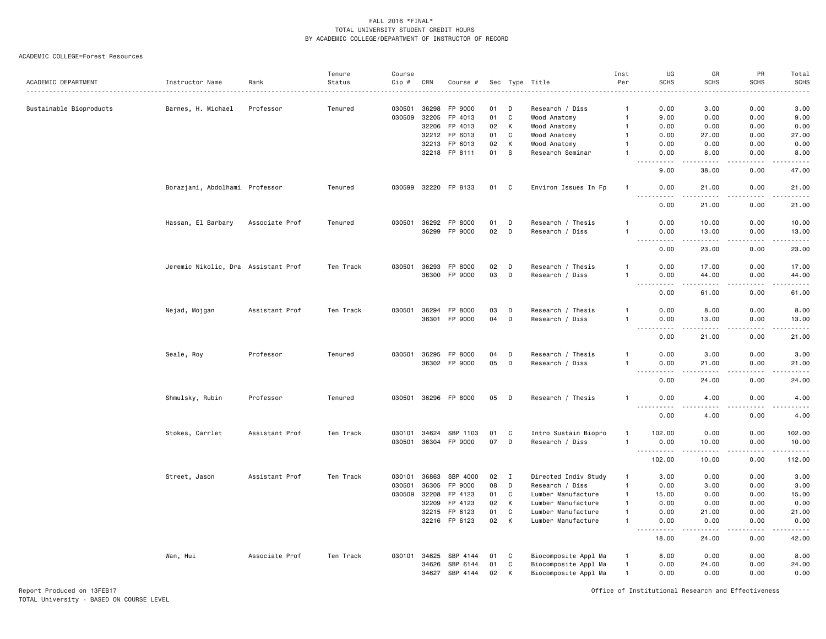#### ACADEMIC COLLEGE=Forest Resources

|                         |                                     |                | Tenure    | Course |                |                      |          |        |                                  | Inst                         | UG                                                                                                          | GR                                                                                                                                                            | PR             | Total              |
|-------------------------|-------------------------------------|----------------|-----------|--------|----------------|----------------------|----------|--------|----------------------------------|------------------------------|-------------------------------------------------------------------------------------------------------------|---------------------------------------------------------------------------------------------------------------------------------------------------------------|----------------|--------------------|
| ACADEMIC DEPARTMENT     | Instructor Name                     | Rank           | Status    | Cip #  | CRN            | Course #             |          |        | Sec Type Title                   | Per                          | <b>SCHS</b>                                                                                                 | <b>SCHS</b>                                                                                                                                                   | <b>SCHS</b>    | <b>SCHS</b>        |
|                         |                                     |                |           |        |                |                      |          |        |                                  |                              |                                                                                                             |                                                                                                                                                               |                |                    |
| Sustainable Bioproducts | Barnes, H. Michael                  | Professor      | Tenured   | 030501 | 36298          | FP 9000              | 01       | D      | Research / Diss                  | -1                           | 0.00                                                                                                        | 3.00                                                                                                                                                          | 0.00           | 3.00               |
|                         |                                     |                |           | 030509 | 32205          | FP 4013              | 01       | C      | Wood Anatomy                     | $\overline{1}$               | 9.00                                                                                                        | 0.00                                                                                                                                                          | 0.00           | 9.00               |
|                         |                                     |                |           |        | 32206<br>32212 | FP 4013<br>FP 6013   | 02<br>01 | К<br>C | Wood Anatomy                     | $\mathbf{1}$<br>$\mathbf{1}$ | 0.00<br>0.00                                                                                                | 0.00<br>27.00                                                                                                                                                 | 0.00<br>0.00   | 0.00               |
|                         |                                     |                |           |        | 32213          | FP 6013              |          | К      | Wood Anatomy                     |                              |                                                                                                             |                                                                                                                                                               |                | 27.00<br>0.00      |
|                         |                                     |                |           |        |                | 32218 FP 8111        | 02<br>01 | S      | Wood Anatomy<br>Research Seminar |                              | 0.00<br>0.00                                                                                                | 0.00<br>8.00                                                                                                                                                  | 0.00<br>0.00   | 8.00               |
|                         |                                     |                |           |        |                |                      |          |        |                                  |                              | .                                                                                                           | .                                                                                                                                                             | $   -$         | <u>.</u>           |
|                         |                                     |                |           |        |                |                      |          |        |                                  |                              | 9.00                                                                                                        | 38.00                                                                                                                                                         | 0.00           | 47.00              |
|                         | Borazjani, Abdolhami Professor      |                | Tenured   |        |                | 030599 32220 FP 8133 | 01 C     |        | Environ Issues In Fp             | $\mathbf{1}$                 | 0.00<br>.                                                                                                   | 21.00<br>. <u>.</u>                                                                                                                                           | 0.00<br>.      | 21.00<br>.         |
|                         |                                     |                |           |        |                |                      |          |        |                                  |                              | 0.00                                                                                                        | 21.00                                                                                                                                                         | 0.00           | 21.00              |
|                         | Hassan, El Barbary                  | Associate Prof | Tenured   | 030501 | 36292          | FP 8000              | 01       | D      | Research / Thesis                | -1                           | 0.00                                                                                                        | 10.00                                                                                                                                                         | 0.00           | 10.00              |
|                         |                                     |                |           |        | 36299          | FP 9000              | 02       | D      | Research / Diss                  |                              | 0.00                                                                                                        | 13.00                                                                                                                                                         | 0.00           | 13.00<br>$    -$   |
|                         |                                     |                |           |        |                |                      |          |        |                                  |                              | 0.00                                                                                                        | 23,00                                                                                                                                                         | 0.00           | 23.00              |
|                         | Jeremic Nikolic, Dra Assistant Prof |                | Ten Track | 030501 | 36293          | FP 8000              | 02       | D      | Research / Thesis                |                              | 0.00                                                                                                        | 17.00                                                                                                                                                         | 0.00           | 17.00              |
|                         |                                     |                |           |        | 36300          | FP 9000              | 03       | D      | Research / Diss                  | $\overline{1}$               | 0.00<br>.<br>$  -$                                                                                          | 44.00<br>بالمنابذة                                                                                                                                            | 0.00<br>$   -$ | 44.00<br>$    -$   |
|                         |                                     |                |           |        |                |                      |          |        |                                  |                              | 0.00                                                                                                        | 61.00                                                                                                                                                         | 0.00           | 61.00              |
|                         | Nejad, Mojgan                       | Assistant Prof | Ten Track | 030501 | 36294          | FP 8000              | 03       | D      | Research / Thesis                | $\mathbf{1}$                 | 0.00                                                                                                        | 8.00                                                                                                                                                          | 0.00           | 8.00               |
|                         |                                     |                |           |        | 36301          | FP 9000              | 04       | D      | Research / Diss                  | $\mathbf{1}$                 | 0.00                                                                                                        | 13.00                                                                                                                                                         | 0.00           | 13.00              |
|                         |                                     |                |           |        |                |                      |          |        |                                  |                              | $\sim$ $\sim$ $\sim$<br>$- - - - -$<br>0.00                                                                 | $\frac{1}{2} \left( \frac{1}{2} \right) \left( \frac{1}{2} \right) \left( \frac{1}{2} \right) \left( \frac{1}{2} \right) \left( \frac{1}{2} \right)$<br>21.00 | .<br>0.00      | .<br>21.00         |
|                         | Seale, Roy                          | Professor      | Tenured   | 030501 | 36295          | FP 8000              | 04       | D      | Research / Thesis                |                              | 0.00                                                                                                        | 3.00                                                                                                                                                          | 0.00           | 3.00               |
|                         |                                     |                |           |        |                | 36302 FP 9000        | 05       | D      | Research / Diss                  | $\overline{1}$               | 0.00                                                                                                        | 21.00                                                                                                                                                         | 0.00           | 21.00              |
|                         |                                     |                |           |        |                |                      |          |        |                                  |                              | .<br>0.00                                                                                                   | $\frac{1}{2} \left( \frac{1}{2} \right) \left( \frac{1}{2} \right) \left( \frac{1}{2} \right) \left( \frac{1}{2} \right) \left( \frac{1}{2} \right)$<br>24.00 | 0.00           | د د د د د<br>24.00 |
|                         | Shmulsky, Rubin                     | Professor      | Tenured   |        |                | 030501 36296 FP 8000 | 05       | D      | Research / Thesis                | -1                           | 0.00                                                                                                        | 4.00                                                                                                                                                          | 0.00           | 4.00               |
|                         |                                     |                |           |        |                |                      |          |        |                                  |                              | $\frac{1}{2}$<br>-----<br>0.00                                                                              | 4.00                                                                                                                                                          | 0.00           | .<br>4.00          |
|                         | Stokes, Carrlet                     | Assistant Prof | Ten Track | 030101 | 34624          | SBP 1103             | 01       | C      | Intro Sustain Biopro             |                              | 102.00                                                                                                      | 0.00                                                                                                                                                          | 0.00           | 102.00             |
|                         |                                     |                |           | 030501 |                | 36304 FP 9000        | 07       | D      | Research / Diss                  | $\mathbf{1}$                 | 0.00                                                                                                        | 10.00                                                                                                                                                         | 0.00           | 10.00              |
|                         |                                     |                |           |        |                |                      |          |        |                                  |                              | <u>.</u><br>102.00                                                                                          | $\frac{1}{2} \left( \frac{1}{2} \right) \left( \frac{1}{2} \right) \left( \frac{1}{2} \right) \left( \frac{1}{2} \right) \left( \frac{1}{2} \right)$<br>10.00 | .<br>0.00      | 112.00             |
|                         | Street, Jason                       | Assistant Prof | Ten Track | 030101 | 36863          | SBP 4000             | 02       | Ι      | Directed Indiv Study             | $\mathbf{1}$                 | 3.00                                                                                                        | 0.00                                                                                                                                                          | 0.00           | 3.00               |
|                         |                                     |                |           | 030501 | 36305          | FP 9000              | 08       | D      | Research / Diss                  | $\mathbf{1}$                 | 0.00                                                                                                        | 3.00                                                                                                                                                          | 0.00           | 3.00               |
|                         |                                     |                |           | 030509 | 32208          | FP 4123              | 01       | C      | Lumber Manufacture               | $\overline{1}$               | 15.00                                                                                                       | 0.00                                                                                                                                                          | 0.00           | 15.00              |
|                         |                                     |                |           |        | 32209          | FP 4123              | 02       | К      | Lumber Manufacture               | $\mathbf{1}$                 | 0.00                                                                                                        | 0.00                                                                                                                                                          | 0.00           | 0.00               |
|                         |                                     |                |           |        | 32215          | FP 6123              | 01       | C      | Lumber Manufacture               | $\mathbf{1}$                 | 0.00                                                                                                        | 21.00                                                                                                                                                         | 0.00           | 21.00              |
|                         |                                     |                |           |        |                | 32216 FP 6123        | 02       | К      | Lumber Manufacture               | $\mathbf{1}$                 | 0.00<br>$\frac{1}{2} \left( \frac{1}{2} \right) \left( \frac{1}{2} \right) \left( \frac{1}{2} \right)$<br>. | 0.00<br><u>.</u>                                                                                                                                              | 0.00<br>.      | 0.00<br>. <u>.</u> |
|                         |                                     |                |           |        |                |                      |          |        |                                  |                              | 18.00                                                                                                       | 24.00                                                                                                                                                         | 0.00           | 42.00              |
|                         | Wan, Hui                            | Associate Prof | Ten Track | 030101 | 34625          | SBP 4144             | 01       | C      | Biocomposite Appl Ma             | $\mathbf{1}$                 | 8.00                                                                                                        | 0.00                                                                                                                                                          | 0.00           | 8.00               |
|                         |                                     |                |           |        | 34626          | SBP 6144             | 01       | C      | Biocomposite Appl Ma             | $\overline{1}$               | 0.00                                                                                                        | 24.00                                                                                                                                                         | 0.00           | 24.00              |
|                         |                                     |                |           |        | 34627          | SBP 4144             | 02       | К      | Biocomposite Appl Ma             | $\overline{1}$               | 0.00                                                                                                        | 0.00                                                                                                                                                          | 0.00           | 0.00               |

Report Produced on 13FEB17 Office of Institutional Research and Effectiveness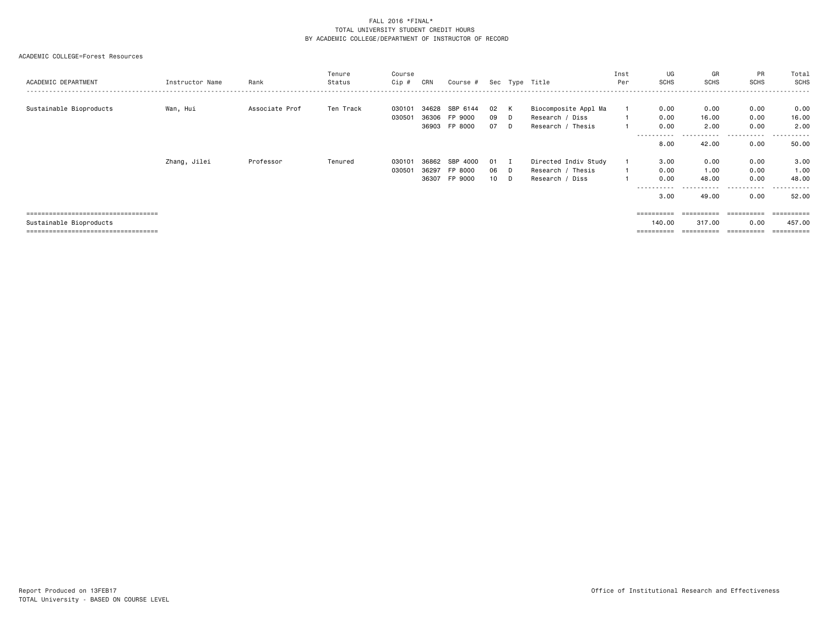| ACADEMIC DEPARTMENT                                                                                     | Instructor Name | Rank           | Tenure<br>Status | Course<br>Cip #  | CRN                     | Course #                                   |                             |               | Sec Type Title                                               | Inst<br>Per | UG<br>SCHS                                 | GR<br>SCHS                                             | <b>PR</b><br><b>SCHS</b>          | Total<br>SCHS<br>.                  |
|---------------------------------------------------------------------------------------------------------|-----------------|----------------|------------------|------------------|-------------------------|--------------------------------------------|-----------------------------|---------------|--------------------------------------------------------------|-------------|--------------------------------------------|--------------------------------------------------------|-----------------------------------|-------------------------------------|
| Sustainable Bioproducts                                                                                 | Wan, Hui        | Associate Prof | Ten Track        | 030101<br>030501 | 34628                   | SBP 6144<br>36306 FP 9000<br>36903 FP 8000 | 02<br>09<br>07              | K<br>D<br>D   | Biocomposite Appl Ma<br>Research / Diss<br>Research / Thesis |             | 0.00<br>0.00<br>0.00                       | 0.00<br>16.00<br>2.00                                  | 0.00<br>0.00<br>0.00              | 0.00<br>16.00<br>2.00               |
|                                                                                                         |                 |                |                  |                  |                         |                                            |                             |               |                                                              |             | - - - - - - - - - -<br>8,00                | 42.00                                                  | 0.00                              | 50.00                               |
|                                                                                                         | Zhang, Jilei    | Professor      | Tenured          | 030101<br>030501 | 36862<br>36297<br>36307 | SBP 4000<br>FP 8000<br>FP 9000             | 01<br>06<br>10 <sup>1</sup> | - 1<br>D<br>D | Directed Indiv Study<br>Research / Thesis<br>Research / Diss |             | 3.00<br>0.00<br>0.00<br>----------<br>3.00 | 0.00<br>1.00<br>48.00<br>- - - - - - <b>-</b><br>49.00 | 0.00<br>0.00<br>0.00<br>.<br>0.00 | 3.00<br>1.00<br>48.00<br>.<br>52.00 |
| ====================================<br>Sustainable Bioproducts<br>==================================== |                 |                |                  |                  |                         |                                            |                             |               |                                                              |             | $=$ = = = = = = = = =<br>140.00            | ==========<br>317,00<br>==========                     | ==========<br>0.00<br>==========  | 457.00<br>==========                |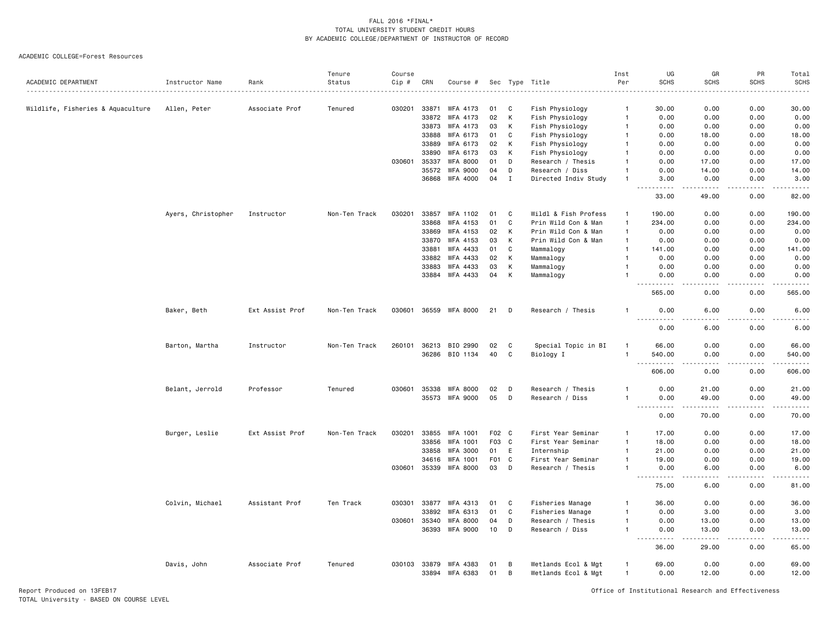|                                   |                    |                 | Tenure        | Course |              |                       |                  |              |                      | Inst           | UG                                | GR                                                                                                                                                            | PR            | Total                                                                                                                             |
|-----------------------------------|--------------------|-----------------|---------------|--------|--------------|-----------------------|------------------|--------------|----------------------|----------------|-----------------------------------|---------------------------------------------------------------------------------------------------------------------------------------------------------------|---------------|-----------------------------------------------------------------------------------------------------------------------------------|
| ACADEMIC DEPARTMENT               | Instructor Name    | Rank            | Status        | Cip #  | CRN          | Course #              |                  |              | Sec Type Title       | Per            | SCHS                              | <b>SCHS</b>                                                                                                                                                   | <b>SCHS</b>   | <b>SCHS</b>                                                                                                                       |
| Wildlife, Fisheries & Aquaculture | Allen, Peter       | Associate Prof  | Tenured       | 030201 | 33871        | WFA 4173              | 01               | C            | Fish Physiology      | -1             | 30.00                             | 0.00                                                                                                                                                          | 0.00          | 30.00                                                                                                                             |
|                                   |                    |                 |               |        | 33872        | WFA 4173              | 02               | К            | Fish Physiology      | $\overline{1}$ | 0.00                              | 0.00                                                                                                                                                          | 0.00          | 0.00                                                                                                                              |
|                                   |                    |                 |               |        | 33873        | WFA 4173              | 03               | К            | Fish Physiology      | -1             | 0.00                              | 0.00                                                                                                                                                          | 0.00          | 0.00                                                                                                                              |
|                                   |                    |                 |               |        | 33888        | WFA 6173              | 01               | C            | Fish Physiology      | -1             | 0.00                              | 18.00                                                                                                                                                         | 0.00          | 18.00                                                                                                                             |
|                                   |                    |                 |               |        | 33889        | WFA 6173              | 02               | K            | Fish Physiology      | $\mathbf{1}$   | 0.00                              | 0.00                                                                                                                                                          | 0.00          | 0.00                                                                                                                              |
|                                   |                    |                 |               |        | 33890        | WFA 6173              | 03               | K            | Fish Physiology      | $\overline{1}$ | 0.00                              | 0.00                                                                                                                                                          | 0.00          | 0.00                                                                                                                              |
|                                   |                    |                 |               | 030601 | 35337        | <b>WFA 8000</b>       | 01               | D            | Research / Thesis    | 1              | 0.00                              | 17.00                                                                                                                                                         | 0.00          | 17.00                                                                                                                             |
|                                   |                    |                 |               |        | 35572        | <b>WFA 9000</b>       | 04               | D            | Research / Diss      | $\mathbf{1}$   | 0.00                              | 14.00                                                                                                                                                         | 0.00          | 14.00                                                                                                                             |
|                                   |                    |                 |               |        |              | 36868 WFA 4000        | 04               | $\mathbf I$  | Directed Indiv Study | $\overline{1}$ | 3.00<br>.                         | 0.00<br>.                                                                                                                                                     | 0.00          | 3.00<br>$\frac{1}{2}$                                                                                                             |
|                                   |                    |                 |               |        |              |                       |                  |              |                      |                | 33.00                             | 49.00                                                                                                                                                         | 0.00          | 82.00                                                                                                                             |
|                                   | Ayers, Christopher | Instructor      | Non-Ten Track | 030201 | 33857        | WFA 1102              | 01               | C            | Wildl & Fish Profess | -1             | 190.00                            | 0.00                                                                                                                                                          | 0.00          | 190.00                                                                                                                            |
|                                   |                    |                 |               |        | 33868        | WFA 4153              | 01               | C            | Prin Wild Con & Man  | $\overline{1}$ | 234.00                            | 0.00                                                                                                                                                          | 0.00          | 234.00                                                                                                                            |
|                                   |                    |                 |               |        | 33869        | WFA 4153              | 02               | К            | Prin Wild Con & Man  | $\mathbf{1}$   | 0.00                              | 0.00                                                                                                                                                          | 0.00          | 0.00                                                                                                                              |
|                                   |                    |                 |               |        | 33870        | WFA 4153              | 03               | К            | Prin Wild Con & Man  | $\overline{1}$ | 0.00                              | 0.00                                                                                                                                                          | 0.00          | 0.00                                                                                                                              |
|                                   |                    |                 |               |        | 33881        | WFA 4433              | 01               | C            | Mammalogy            | $\overline{1}$ | 141.00                            | 0.00                                                                                                                                                          | 0.00          | 141.00                                                                                                                            |
|                                   |                    |                 |               |        | 33882        | WFA 4433              | 02               | К            | Mammalogy            | $\overline{1}$ | 0.00                              | 0.00                                                                                                                                                          | 0.00          | 0.00                                                                                                                              |
|                                   |                    |                 |               |        | 33883        | WFA 4433              | 03               | К            | Mammalogy            |                | 0.00                              | 0.00                                                                                                                                                          | 0.00          | 0.00                                                                                                                              |
|                                   |                    |                 |               |        |              | 33884 WFA 4433        | 04               | K            | Mammalogy            | $\mathbf{1}$   | 0.00                              | 0.00                                                                                                                                                          | 0.00          | 0.00                                                                                                                              |
|                                   |                    |                 |               |        |              |                       |                  |              |                      |                | 565.00                            | 0.00                                                                                                                                                          | 0.00          | 565.00                                                                                                                            |
|                                   | Baker, Beth        | Ext Assist Prof | Non-Ten Track |        |              | 030601 36559 WFA 8000 | 21               | D            | Research / Thesis    | 1              | 0.00<br>-----                     | 6.00<br>$\frac{1}{2} \left( \frac{1}{2} \right) \left( \frac{1}{2} \right) \left( \frac{1}{2} \right)$                                                        | 0.00<br>.     | 6.00<br>$\frac{1}{2} \left( \frac{1}{2} \right) \left( \frac{1}{2} \right) \left( \frac{1}{2} \right) \left( \frac{1}{2} \right)$ |
|                                   |                    |                 |               |        |              |                       |                  |              |                      |                | 0.00                              | 6.00                                                                                                                                                          | 0.00          | 6.00                                                                                                                              |
|                                   | Barton, Martha     | Instructor      | Non-Ten Track | 260101 | 36213        | BIO 2990              | 02               | C            | Special Topic in BI  | $\overline{1}$ | 66.00                             | 0.00                                                                                                                                                          | 0.00          | 66.00                                                                                                                             |
|                                   |                    |                 |               |        | 36286        | BIO 1134              | 40               | C            | Biology I            | $\overline{1}$ | 540.00<br>$\sim$ $\sim$           | 0.00                                                                                                                                                          | 0.00          | 540.00                                                                                                                            |
|                                   |                    |                 |               |        |              |                       |                  |              |                      |                | 606.00                            | 0.00                                                                                                                                                          | 0.00          | 606.00                                                                                                                            |
|                                   | Belant, Jerrold    | Professor       | Tenured       | 030601 | 35338        | <b>WFA 8000</b>       | 02               | D            | Research / Thesis    | -1             | 0.00                              | 21.00                                                                                                                                                         | 0.00          | 21.00                                                                                                                             |
|                                   |                    |                 |               |        |              | 35573 WFA 9000        | 05               | D            | Research / Diss      | $\overline{1}$ | 0.00<br><u>.</u>                  | 49.00<br>$- - - - -$                                                                                                                                          | 0.00<br>.     | 49.00<br>. <u>.</u> .                                                                                                             |
|                                   |                    |                 |               |        |              |                       |                  |              |                      |                | 0.00                              | 70.00                                                                                                                                                         | 0.00          | 70.00                                                                                                                             |
|                                   | Burger, Leslie     | Ext Assist Prof | Non-Ten Track | 030201 | 33855        | WFA 1001              | F <sub>0</sub> 2 | C            | First Year Seminar   | $\overline{1}$ | 17.00                             | 0.00                                                                                                                                                          | 0.00          | 17.00                                                                                                                             |
|                                   |                    |                 |               |        | 33856        | <b>WFA 1001</b>       | F <sub>0</sub> 3 | C            | First Year Seminar   | $\overline{1}$ | 18.00                             | 0.00                                                                                                                                                          | 0.00          | 18.00                                                                                                                             |
|                                   |                    |                 |               |        | 33858        | <b>WFA 3000</b>       | 01               | E            | Internship           | $\overline{1}$ | 21.00                             | 0.00                                                                                                                                                          | 0.00          | 21.00                                                                                                                             |
|                                   |                    |                 |               |        | 34616        | WFA 1001              | F <sub>0</sub> 1 | $\mathbf{C}$ | First Year Seminar   | $\overline{1}$ | 19.00                             | 0.00                                                                                                                                                          | 0.00          | 19.00                                                                                                                             |
|                                   |                    |                 |               | 030601 |              | 35339 WFA 8000        | 03               | D            | Research / Thesis    | $\overline{1}$ | 0.00<br>$\sim$ $\sim$ $\sim$<br>. | 6.00<br>.                                                                                                                                                     | 0.00<br>----- | 6.00<br>.                                                                                                                         |
|                                   |                    |                 |               |        |              |                       |                  |              |                      |                | 75.00                             | 6.00                                                                                                                                                          | 0.00          | 81.00                                                                                                                             |
|                                   | Colvin, Michael    | Assistant Prof  | Ten Track     |        | 030301 33877 | WFA 4313              | 01               | C            | Fisheries Manage     | $\mathbf{1}$   | 36.00                             | 0.00                                                                                                                                                          | 0.00          | 36.00                                                                                                                             |
|                                   |                    |                 |               |        | 33892        | WFA 6313              | 01               | C            | Fisheries Manage     | $\mathbf{1}$   | 0.00                              | 3.00                                                                                                                                                          | 0.00          | 3.00                                                                                                                              |
|                                   |                    |                 |               | 030601 | 35340        | <b>WFA 8000</b>       | 04               | D            | Research / Thesis    | -1             | 0.00                              | 13.00                                                                                                                                                         | 0.00          | 13.00                                                                                                                             |
|                                   |                    |                 |               |        | 36393        | WFA 9000              | 10               | D            | Research / Diss      | -1             | 0.00<br><u>.</u>                  | 13.00<br>$\frac{1}{2} \left( \frac{1}{2} \right) \left( \frac{1}{2} \right) \left( \frac{1}{2} \right) \left( \frac{1}{2} \right) \left( \frac{1}{2} \right)$ | 0.00<br>.     | 13.00<br>.                                                                                                                        |
|                                   |                    |                 |               |        |              |                       |                  |              |                      |                | 36.00                             | 29.00                                                                                                                                                         | 0.00          | 65.00                                                                                                                             |
|                                   | Davis, John        | Associate Prof  | Tenured       |        | 030103 33879 | WFA 4383              | 01               | B            | Wetlands Ecol & Mgt  | $\overline{1}$ | 69.00                             | 0.00                                                                                                                                                          | 0.00          | 69.00                                                                                                                             |
|                                   |                    |                 |               |        | 33894        | WFA 6383              | 01               | В            | Wetlands Ecol & Mgt  | $\overline{1}$ | 0.00                              | 12.00                                                                                                                                                         | 0.00          | 12.00                                                                                                                             |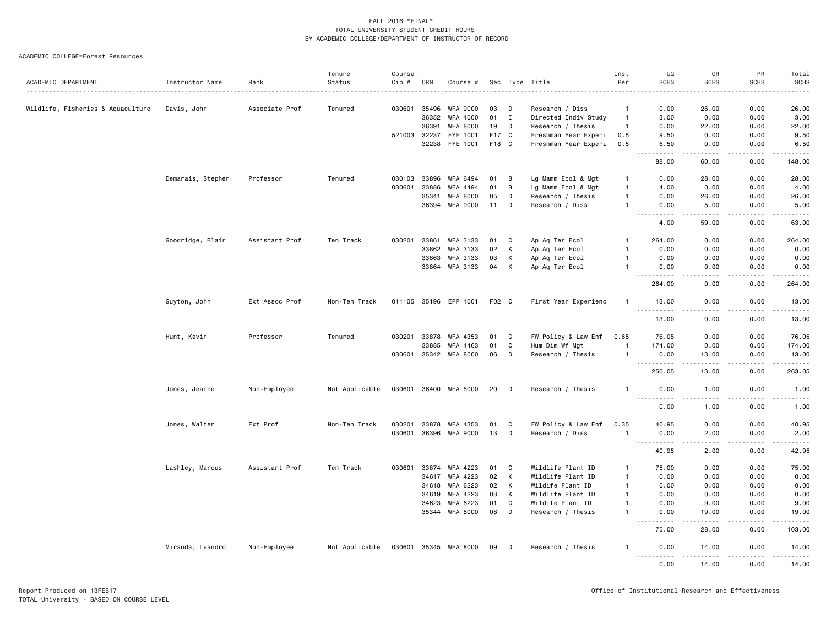| ACADEMIC DEPARTMENT               | Instructor Name   | Rank           | Tenure<br>Status | Course<br>$Cip$ # | CRN          | Course #              |       |              | Sec Type Title       | Inst<br>Per    | UG<br><b>SCHS</b>                                                                                                                                              | GR<br><b>SCHS</b>                                                                                                                                            | PR<br><b>SCHS</b>                                                                                      | Total<br><b>SCHS</b>                                                                                                                                                                    |
|-----------------------------------|-------------------|----------------|------------------|-------------------|--------------|-----------------------|-------|--------------|----------------------|----------------|----------------------------------------------------------------------------------------------------------------------------------------------------------------|--------------------------------------------------------------------------------------------------------------------------------------------------------------|--------------------------------------------------------------------------------------------------------|-----------------------------------------------------------------------------------------------------------------------------------------------------------------------------------------|
|                                   |                   |                |                  |                   |              |                       |       |              | .                    |                |                                                                                                                                                                |                                                                                                                                                              |                                                                                                        |                                                                                                                                                                                         |
| Wildlife, Fisheries & Aquaculture | Davis, John       | Associate Prof | Tenured          |                   | 030601 35496 | <b>WFA 9000</b>       | 03    | D            | Research / Diss      | $\mathbf{1}$   | 0.00                                                                                                                                                           | 26.00                                                                                                                                                        | 0.00                                                                                                   | 26.00                                                                                                                                                                                   |
|                                   |                   |                |                  |                   | 36352        | WFA 4000              | 01    | $\mathbf{I}$ | Directed Indiv Study | $\overline{1}$ | 3.00                                                                                                                                                           | 0.00                                                                                                                                                         | 0.00                                                                                                   | 3.00                                                                                                                                                                                    |
|                                   |                   |                |                  |                   | 36391        | WFA 8000              | 19    | D            | Research / Thesis    | $\mathbf{1}$   | 0.00                                                                                                                                                           | 22.00                                                                                                                                                        | 0.00                                                                                                   | 22.00                                                                                                                                                                                   |
|                                   |                   |                |                  |                   | 521003 32237 | FYE 1001              | F17 C |              | Freshman Year Experi | 0.5            | 9.50                                                                                                                                                           | 0.00                                                                                                                                                         | 0.00                                                                                                   | 9.50                                                                                                                                                                                    |
|                                   |                   |                |                  |                   |              | 32238 FYE 1001        | F18 C |              | Freshman Year Experi | 0.5            | 6.50<br>$\sim$ $\sim$<br>.                                                                                                                                     | 0.00<br>$\frac{1}{2} \left( \frac{1}{2} \right) \left( \frac{1}{2} \right) \left( \frac{1}{2} \right) \left( \frac{1}{2} \right) \left( \frac{1}{2} \right)$ | 0.00<br>-----                                                                                          | 6.50<br>$\frac{1}{2} \left( \frac{1}{2} \right) \left( \frac{1}{2} \right) \left( \frac{1}{2} \right) \left( \frac{1}{2} \right) \left( \frac{1}{2} \right) \left( \frac{1}{2} \right)$ |
|                                   |                   |                |                  |                   |              |                       |       |              |                      |                | 88.00                                                                                                                                                          | 60.00                                                                                                                                                        | 0.00                                                                                                   | 148.00                                                                                                                                                                                  |
|                                   | Demarais, Stephen | Professor      | Tenured          | 030103            | 33896        | WFA 6494              | 01    | B            | Lg Mamm Ecol & Mgt   | $\mathbf{1}$   | 0.00                                                                                                                                                           | 28.00                                                                                                                                                        | 0.00                                                                                                   | 28.00                                                                                                                                                                                   |
|                                   |                   |                |                  | 030601            | 33886        | WFA 4494              | 01    | B            | Lg Mamm Ecol & Mgt   | $\mathbf{1}$   | 4.00                                                                                                                                                           | 0.00                                                                                                                                                         | 0.00                                                                                                   | 4.00                                                                                                                                                                                    |
|                                   |                   |                |                  |                   | 35341        | WFA 8000              | 05    | D            | Research / Thesis    | $\mathbf{1}$   | 0.00                                                                                                                                                           | 26.00                                                                                                                                                        | 0.00                                                                                                   | 26.00                                                                                                                                                                                   |
|                                   |                   |                |                  |                   |              | 36394 WFA 9000        | 11    | D            | Research / Diss      | $\mathbf{1}$   | 0.00<br><u>.</u>                                                                                                                                               | 5.00<br>$\frac{1}{2} \left( \frac{1}{2} \right) \left( \frac{1}{2} \right) \left( \frac{1}{2} \right) \left( \frac{1}{2} \right) \left( \frac{1}{2} \right)$ | 0.00<br>.                                                                                              | 5.00<br>.                                                                                                                                                                               |
|                                   |                   |                |                  |                   |              |                       |       |              |                      |                | 4.00                                                                                                                                                           | 59.00                                                                                                                                                        | 0.00                                                                                                   | 63.00                                                                                                                                                                                   |
|                                   | Goodridge, Blair  | Assistant Prof | Ten Track        | 030201            | 33861        | WFA 3133              | 01    | C            | Ap Aq Ter Ecol       | $\mathbf{1}$   | 264.00                                                                                                                                                         | 0.00                                                                                                                                                         | 0.00                                                                                                   | 264.00                                                                                                                                                                                  |
|                                   |                   |                |                  |                   | 33862        | WFA 3133              | 02    | к            | Ap Aq Ter Ecol       | $\mathbf{1}$   | 0.00                                                                                                                                                           | 0.00                                                                                                                                                         | 0.00                                                                                                   | 0.00                                                                                                                                                                                    |
|                                   |                   |                |                  |                   | 33863        | WFA 3133              | 03    | к            | Ap Aq Ter Ecol       | $\mathbf{1}$   | 0.00                                                                                                                                                           | 0.00                                                                                                                                                         | 0.00                                                                                                   | 0.00                                                                                                                                                                                    |
|                                   |                   |                |                  |                   | 33864        | WFA 3133              | 04    | к            | Ap Aq Ter Ecol       | $\mathbf{1}$   | 0.00<br>.                                                                                                                                                      | 0.00<br>.                                                                                                                                                    | 0.00<br>.                                                                                              | 0.00<br>.                                                                                                                                                                               |
|                                   |                   |                |                  |                   |              |                       |       |              |                      |                | 264.00                                                                                                                                                         | 0.00                                                                                                                                                         | 0.00                                                                                                   | 264.00                                                                                                                                                                                  |
|                                   | Guyton, John      | Ext Assoc Prof | Non-Ten Track    |                   |              | 011105 35196 EPP 1001 | F02 C |              | First Year Experienc | $\mathbf{1}$   | 13.00<br>.                                                                                                                                                     | 0.00                                                                                                                                                         | 0.00                                                                                                   | 13.00                                                                                                                                                                                   |
|                                   |                   |                |                  |                   |              |                       |       |              |                      |                | 13.00                                                                                                                                                          | 0.00                                                                                                                                                         | 0.00                                                                                                   | 13.00                                                                                                                                                                                   |
|                                   | Hunt, Kevin       | Professor      | Tenured          |                   | 030201 33878 | WFA 4353              | 01    | C            | FW Policy & Law Enf  | 0.65           | 76.05                                                                                                                                                          | 0.00                                                                                                                                                         | 0.00                                                                                                   | 76.05                                                                                                                                                                                   |
|                                   |                   |                |                  |                   | 33885        | WFA 4463              | 01    | C            | Hum Dim Wf Mgt       | $\mathbf{1}$   | 174.00                                                                                                                                                         | 0.00                                                                                                                                                         | 0.00                                                                                                   | 174.00                                                                                                                                                                                  |
|                                   |                   |                |                  |                   |              | 030601 35342 WFA 8000 | 06    | D            | Research / Thesis    | $\mathbf{1}$   | 0.00                                                                                                                                                           | 13.00                                                                                                                                                        | 0.00                                                                                                   | 13.00                                                                                                                                                                                   |
|                                   |                   |                |                  |                   |              |                       |       |              |                      |                | $\frac{1}{2} \left( \frac{1}{2} \right) \left( \frac{1}{2} \right) \left( \frac{1}{2} \right) \left( \frac{1}{2} \right) \left( \frac{1}{2} \right)$<br>250.05 | .<br>13.00                                                                                                                                                   | .<br>0.00                                                                                              | $\begin{array}{cccccccccc} \bullet & \bullet & \bullet & \bullet & \bullet & \bullet & \bullet \end{array}$<br>263.05                                                                   |
|                                   | Jones, Jeanne     | Non-Employee   | Not Applicable   |                   |              | 030601 36400 WFA 8000 | 20    | D            | Research / Thesis    | $\mathbf{1}$   | 0.00<br>.                                                                                                                                                      | 1.00                                                                                                                                                         | 0.00                                                                                                   | 1.00<br>.                                                                                                                                                                               |
|                                   |                   |                |                  |                   |              |                       |       |              |                      |                | 0.00                                                                                                                                                           | 1.00                                                                                                                                                         | 0.00                                                                                                   | 1.00                                                                                                                                                                                    |
|                                   | Jones, Walter     | Ext Prof       | Non-Ten Track    | 030201            | 33878        | WFA 4353              | 01    | C            | FW Policy & Law Enf  | 0.35           | 40.95                                                                                                                                                          | 0.00                                                                                                                                                         | 0.00                                                                                                   | 40.95                                                                                                                                                                                   |
|                                   |                   |                |                  |                   |              | 030601 36396 WFA 9000 | 13    | D            | Research / Diss      | $\mathbf{1}$   | 0.00                                                                                                                                                           | 2.00<br>.                                                                                                                                                    | 0.00<br>2.2.2.2.2                                                                                      | 2.00                                                                                                                                                                                    |
|                                   |                   |                |                  |                   |              |                       |       |              |                      |                | .<br>40.95                                                                                                                                                     | 2.00                                                                                                                                                         | $\frac{1}{2} \left( \frac{1}{2} \right) \left( \frac{1}{2} \right) \left( \frac{1}{2} \right)$<br>0.00 | .<br>42.95                                                                                                                                                                              |
|                                   | Lashley, Marcus   | Assistant Prof | Ten Track        | 030601            | 33874        | WFA 4223              | 01    | C            | Wildlife Plant ID    | $\mathbf{1}$   | 75.00                                                                                                                                                          | 0.00                                                                                                                                                         | 0.00                                                                                                   | 75.00                                                                                                                                                                                   |
|                                   |                   |                |                  |                   | 34617        | WFA 4223              | 02    | K            | Wildlife Plant ID    | $\mathbf{1}$   | 0.00                                                                                                                                                           | 0.00                                                                                                                                                         | 0.00                                                                                                   | 0.00                                                                                                                                                                                    |
|                                   |                   |                |                  |                   | 34618        | WFA 6223              | 02    | K            | Wildife Plant ID     | $\mathbf{1}$   | 0.00                                                                                                                                                           | 0.00                                                                                                                                                         | 0.00                                                                                                   | 0.00                                                                                                                                                                                    |
|                                   |                   |                |                  |                   | 34619        | WFA 4223              | 03    | К            | Wildlife Plant ID    | $\mathbf{1}$   | 0.00                                                                                                                                                           | 0.00                                                                                                                                                         | 0.00                                                                                                   | 0.00                                                                                                                                                                                    |
|                                   |                   |                |                  |                   | 34623        | WFA 6223              | 01    | C            | Wildife Plant ID     | $\mathbf{1}$   | 0.00                                                                                                                                                           | 9.00                                                                                                                                                         | 0.00                                                                                                   | 9.00                                                                                                                                                                                    |
|                                   |                   |                |                  |                   |              | 35344 WFA 8000        | 08    | D            | Research / Thesis    | $\mathbf{1}$   | 0.00                                                                                                                                                           | 19.00                                                                                                                                                        | 0.00                                                                                                   | 19.00                                                                                                                                                                                   |
|                                   |                   |                |                  |                   |              |                       |       |              |                      |                | $\sim$ $\sim$ $\sim$<br>.<br>75.00                                                                                                                             | -----<br>28.00                                                                                                                                               | -----<br>0.00                                                                                          | ------<br>103.00                                                                                                                                                                        |
|                                   | Miranda, Leandro  | Non-Employee   | Not Applicable   |                   |              | 030601 35345 WFA 8000 | 09    | D            | Research / Thesis    | -1             | 0.00<br>.                                                                                                                                                      | 14.00<br>.                                                                                                                                                   | 0.00<br>.                                                                                              | 14.00<br><u>.</u>                                                                                                                                                                       |
|                                   |                   |                |                  |                   |              |                       |       |              |                      |                | 0.00                                                                                                                                                           | 14.00                                                                                                                                                        | 0.00                                                                                                   | 14.00                                                                                                                                                                                   |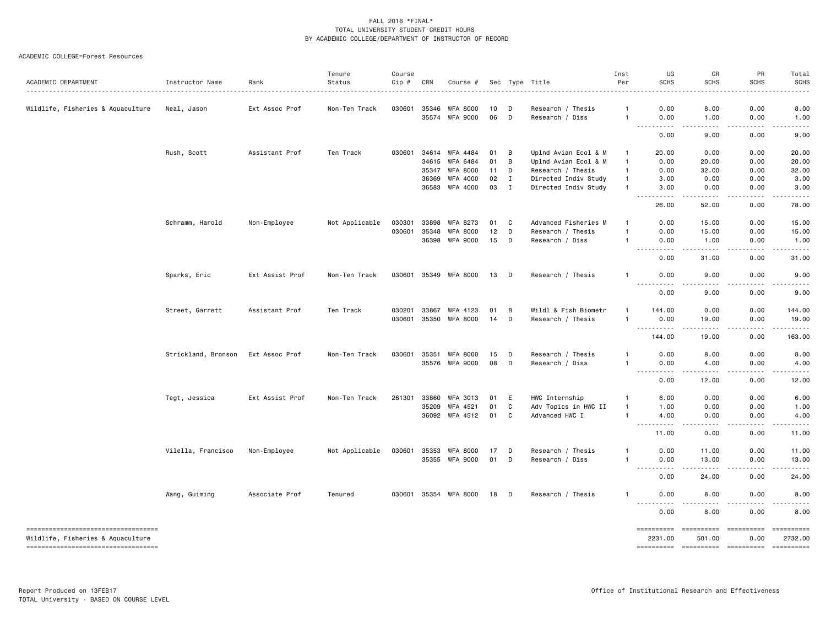| ACADEMIC DEPARTMENT                                                      | Instructor Name     | Rank            | Tenure<br>Status | Course<br>Cip # | CRN            | Course #                           |          |                              | Sec Type Title                               | Inst<br>Per                  | UG<br><b>SCHS</b>                                                                                                                                                  | GR<br>SCHS                       | PR<br><b>SCHS</b> | Total<br><b>SCHS</b>                                                                                                                                                                                                                                                                                                                                                                                                                                                                   |
|--------------------------------------------------------------------------|---------------------|-----------------|------------------|-----------------|----------------|------------------------------------|----------|------------------------------|----------------------------------------------|------------------------------|--------------------------------------------------------------------------------------------------------------------------------------------------------------------|----------------------------------|-------------------|----------------------------------------------------------------------------------------------------------------------------------------------------------------------------------------------------------------------------------------------------------------------------------------------------------------------------------------------------------------------------------------------------------------------------------------------------------------------------------------|
| Wildlife, Fisheries & Aquaculture                                        | Neal, Jason         | Ext Assoc Prof  | Non-Ten Track    | 030601          | 35346<br>35574 | <b>WFA 8000</b><br><b>WFA 9000</b> | 10<br>06 | D<br>D                       | Research / Thesis<br>Research / Diss         | $\mathbf{1}$<br>$\mathbf{1}$ | 0.00<br>0.00                                                                                                                                                       | 8.00<br>1.00                     | 0.00<br>0.00      | 8.00<br>1.00                                                                                                                                                                                                                                                                                                                                                                                                                                                                           |
|                                                                          |                     |                 |                  |                 |                |                                    |          |                              |                                              |                              | .<br>$\frac{1}{2}$<br>0.00                                                                                                                                         | .<br>9.00                        | -----<br>0.00     | -----<br>9.00                                                                                                                                                                                                                                                                                                                                                                                                                                                                          |
|                                                                          |                     |                 |                  |                 |                |                                    |          |                              |                                              |                              |                                                                                                                                                                    |                                  |                   |                                                                                                                                                                                                                                                                                                                                                                                                                                                                                        |
|                                                                          | Rush, Scott         | Assistant Prof  | Ten Track        | 030601          | 34614          | WFA 4484                           | 01       | B                            | Uplnd Avian Ecol & M                         | $\mathbf{1}$                 | 20.00                                                                                                                                                              | 0.00                             | 0.00              | 20.00                                                                                                                                                                                                                                                                                                                                                                                                                                                                                  |
|                                                                          |                     |                 |                  |                 | 34615          | <b>WFA 6484</b>                    | 01       | B                            | Uplnd Avian Ecol & M                         | $\mathbf{1}$                 | 0.00                                                                                                                                                               | 20.00                            | 0.00              | 20.00                                                                                                                                                                                                                                                                                                                                                                                                                                                                                  |
|                                                                          |                     |                 |                  |                 | 35347          | <b>WFA 8000</b>                    | 11       | D                            | Research / Thesis                            | $\mathbf{1}$                 | 0.00                                                                                                                                                               | 32.00                            | 0.00              | 32.00                                                                                                                                                                                                                                                                                                                                                                                                                                                                                  |
|                                                                          |                     |                 |                  |                 | 36369          | WFA 4000<br>36583 WFA 4000         | 02<br>03 | $\mathbf{I}$<br>$\mathbf{I}$ | Directed Indiv Study<br>Directed Indiv Study | $\mathbf{1}$<br>$\mathbf{1}$ | 3.00<br>3.00                                                                                                                                                       | 0.00<br>0.00                     | 0.00<br>0.00      | 3.00<br>3.00                                                                                                                                                                                                                                                                                                                                                                                                                                                                           |
|                                                                          |                     |                 |                  |                 |                |                                    |          |                              |                                              |                              | $\sim$ $\sim$ $\sim$<br>.<br>26.00                                                                                                                                 | $- - - - -$<br>52.00             | .<br>0.00         | . <u>.</u> .<br>78.00                                                                                                                                                                                                                                                                                                                                                                                                                                                                  |
|                                                                          |                     |                 |                  |                 |                |                                    |          |                              |                                              |                              |                                                                                                                                                                    |                                  |                   |                                                                                                                                                                                                                                                                                                                                                                                                                                                                                        |
|                                                                          | Schramm, Harold     | Non-Employee    | Not Applicable   | 030301          | 33898          | WFA 8273                           | 01       | C                            | Advanced Fisheries M                         | $\mathbf{1}$                 | 0.00                                                                                                                                                               | 15.00                            | 0.00              | 15.00                                                                                                                                                                                                                                                                                                                                                                                                                                                                                  |
|                                                                          |                     |                 |                  | 030601          | 35348          | <b>WFA 8000</b>                    | 12       | D<br>D                       | Research / Thesis                            | $\mathbf{1}$<br>$\mathbf{1}$ | 0.00                                                                                                                                                               | 15.00                            | 0.00              | 15.00                                                                                                                                                                                                                                                                                                                                                                                                                                                                                  |
|                                                                          |                     |                 |                  |                 |                | 36398 WFA 9000                     | 15       |                              | Research / Diss                              |                              | 0.00<br>.                                                                                                                                                          | 1.00<br>-----                    | 0.00<br>.         | 1.00<br>.                                                                                                                                                                                                                                                                                                                                                                                                                                                                              |
|                                                                          |                     |                 |                  |                 |                |                                    |          |                              |                                              |                              | 0.00                                                                                                                                                               | 31.00                            | 0.00              | 31.00                                                                                                                                                                                                                                                                                                                                                                                                                                                                                  |
|                                                                          | Sparks, Eric        | Ext Assist Prof | Non-Ten Track    |                 |                | 030601 35349 WFA 8000              | 13       | D                            | Research / Thesis                            | $\mathbf{1}$                 | 0.00                                                                                                                                                               | 9.00                             | 0.00              | 9.00                                                                                                                                                                                                                                                                                                                                                                                                                                                                                   |
|                                                                          |                     |                 |                  |                 |                |                                    |          |                              |                                              |                              | $\frac{1}{2}$<br>0.00                                                                                                                                              | 9.00                             | 0.00              | 9.00                                                                                                                                                                                                                                                                                                                                                                                                                                                                                   |
|                                                                          | Street, Garrett     | Assistant Prof  | Ten Track        | 030201          | 33867          | WFA 4123                           | 01       | B                            | Wildl & Fish Biometr                         |                              | 144.00                                                                                                                                                             | 0.00                             | 0.00              | 144.00                                                                                                                                                                                                                                                                                                                                                                                                                                                                                 |
|                                                                          |                     |                 |                  |                 | 030601 35350   | <b>WFA 8000</b>                    | 14       | D                            | Research / Thesis                            | $\mathbf{1}$                 | 0.00                                                                                                                                                               | 19.00                            | 0.00              | 19.00                                                                                                                                                                                                                                                                                                                                                                                                                                                                                  |
|                                                                          |                     |                 |                  |                 |                |                                    |          |                              |                                              |                              | . <b>.</b><br>$\frac{1}{2} \left( \frac{1}{2} \right) \left( \frac{1}{2} \right) \left( \frac{1}{2} \right) \left( \frac{1}{2} \right) \left( \frac{1}{2} \right)$ | <b></b>                          | .                 | .                                                                                                                                                                                                                                                                                                                                                                                                                                                                                      |
|                                                                          |                     |                 |                  |                 |                |                                    |          |                              |                                              |                              | 144.00                                                                                                                                                             | 19.00                            | 0.00              | 163.00                                                                                                                                                                                                                                                                                                                                                                                                                                                                                 |
|                                                                          | Strickland, Bronson | Ext Assoc Prof  | Non-Ten Track    |                 | 030601 35351   | <b>WFA 8000</b>                    | 15       | D                            | Research / Thesis                            | 1                            | 0.00                                                                                                                                                               | 8.00                             | 0.00              | 8.00                                                                                                                                                                                                                                                                                                                                                                                                                                                                                   |
|                                                                          |                     |                 |                  |                 |                | 35576 WFA 9000                     | 08       | D                            | Research / Diss                              | $\mathbf{1}$                 | 0.00                                                                                                                                                               | 4.00                             | 0.00              | 4.00                                                                                                                                                                                                                                                                                                                                                                                                                                                                                   |
|                                                                          |                     |                 |                  |                 |                |                                    |          |                              |                                              |                              | .<br>0.00                                                                                                                                                          | .<br>12.00                       | .<br>0.00         | .<br>12.00                                                                                                                                                                                                                                                                                                                                                                                                                                                                             |
|                                                                          | Tegt, Jessica       | Ext Assist Prof | Non-Ten Track    | 261301          | 33860          | WFA 3013                           | 01       | E                            | HWC Internship                               | $\mathbf{1}$                 | 6.00                                                                                                                                                               | 0.00                             | 0.00              | 6.00                                                                                                                                                                                                                                                                                                                                                                                                                                                                                   |
|                                                                          |                     |                 |                  |                 | 35209          | WFA 4521                           | 01       | C                            | Adv Topics in HWC II                         | $\mathbf{1}$                 | 1.00                                                                                                                                                               | 0.00                             | 0.00              | 1.00                                                                                                                                                                                                                                                                                                                                                                                                                                                                                   |
|                                                                          |                     |                 |                  |                 |                | 36092 WFA 4512                     | 01       | C                            | Advanced HWC I                               | $\mathbf{1}$                 | 4.00<br>.                                                                                                                                                          | 0.00<br>.                        | 0.00              | 4.00<br>.                                                                                                                                                                                                                                                                                                                                                                                                                                                                              |
|                                                                          |                     |                 |                  |                 |                |                                    |          |                              |                                              |                              | 11.00                                                                                                                                                              | 0.00                             | 0.00              | 11.00                                                                                                                                                                                                                                                                                                                                                                                                                                                                                  |
|                                                                          | Vilella, Francisco  | Non-Employee    | Not Applicable   |                 | 030601 35353   | <b>WFA 8000</b>                    | 17       | D                            | Research / Thesis                            | 1                            | 0.00                                                                                                                                                               | 11.00                            | 0.00              | 11.00                                                                                                                                                                                                                                                                                                                                                                                                                                                                                  |
|                                                                          |                     |                 |                  |                 |                | 35355 WFA 9000                     | 01       | D                            | Research / Diss                              | $\mathbf{1}$                 | 0.00                                                                                                                                                               | 13.00                            | 0.00              | 13.00                                                                                                                                                                                                                                                                                                                                                                                                                                                                                  |
|                                                                          |                     |                 |                  |                 |                |                                    |          |                              |                                              |                              | $\sim$ $\sim$ $\sim$ $\sim$<br>.<br>0.00                                                                                                                           | 24.00                            | 0.00              | 24.00                                                                                                                                                                                                                                                                                                                                                                                                                                                                                  |
|                                                                          | Wang, Guiming       | Associate Prof  | Tenured          |                 |                | 030601 35354 WFA 8000              | 18       | D                            | Research / Thesis                            | -1                           | 0.00                                                                                                                                                               | 8.00                             | 0.00              | 8.00                                                                                                                                                                                                                                                                                                                                                                                                                                                                                   |
|                                                                          |                     |                 |                  |                 |                |                                    |          |                              |                                              |                              | .<br>0.00                                                                                                                                                          | ----<br>8.00                     | 0.00              | .<br>8.00                                                                                                                                                                                                                                                                                                                                                                                                                                                                              |
| ======================================                                   |                     |                 |                  |                 |                |                                    |          |                              |                                              |                              | ==========                                                                                                                                                         | ==========                       | -----------       | $\begin{array}{cccccccccc} \multicolumn{2}{c}{} & \multicolumn{2}{c}{} & \multicolumn{2}{c}{} & \multicolumn{2}{c}{} & \multicolumn{2}{c}{} & \multicolumn{2}{c}{} & \multicolumn{2}{c}{} & \multicolumn{2}{c}{} & \multicolumn{2}{c}{} & \multicolumn{2}{c}{} & \multicolumn{2}{c}{} & \multicolumn{2}{c}{} & \multicolumn{2}{c}{} & \multicolumn{2}{c}{} & \multicolumn{2}{c}{} & \multicolumn{2}{c}{} & \multicolumn{2}{c}{} & \multicolumn{2}{c}{} & \multicolumn{2}{c}{} & \mult$ |
| Wildlife, Fisheries & Aquaculture<br>----------------------------------- |                     |                 |                  |                 |                |                                    |          |                              |                                              |                              | 2231.00<br>==========                                                                                                                                              | 501.00<br>----------- ---------- | 0.00              | 2732.00<br>$= 1.122222222222$                                                                                                                                                                                                                                                                                                                                                                                                                                                          |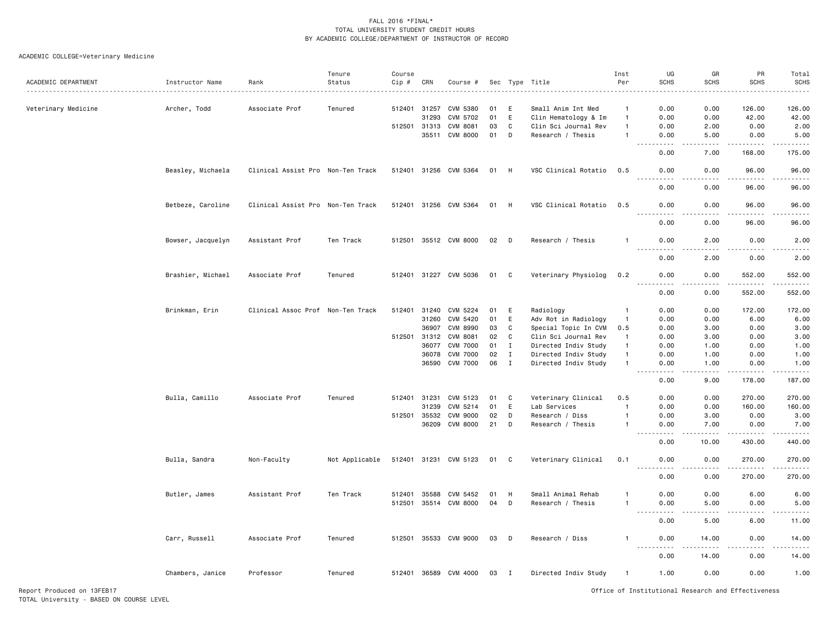### ACADEMIC COLLEGE=Veterinary Medicine

|                     |                   |                                   | Tenure         | Course       |       |                       |      |                |                      | Inst           | UG                          | GR                           | PR          | Total                                                                                                                                     |
|---------------------|-------------------|-----------------------------------|----------------|--------------|-------|-----------------------|------|----------------|----------------------|----------------|-----------------------------|------------------------------|-------------|-------------------------------------------------------------------------------------------------------------------------------------------|
| ACADEMIC DEPARTMENT | Instructor Name   | Rank                              | Status         | Cip #        | CRN   | Course #              |      | Sec Type       | Title                | Per            | <b>SCHS</b>                 | <b>SCHS</b>                  | <b>SCHS</b> | <b>SCHS</b>                                                                                                                               |
|                     |                   |                                   |                |              |       |                       |      |                |                      |                |                             |                              |             |                                                                                                                                           |
| Veterinary Medicine | Archer, Todd      | Associate Prof                    | Tenured        | 512401       | 31257 | CVM 5380              | 01   | E              | Small Anim Int Med   | $\mathbf{1}$   | 0.00                        | 0.00                         | 126.00      | 126.00                                                                                                                                    |
|                     |                   |                                   |                |              | 31293 | CVM 5702              | 01   | E              | Clin Hematology & Im | $\mathbf{1}$   | 0.00                        | 0.00                         | 42.00       | 42.00                                                                                                                                     |
|                     |                   |                                   |                | 512501 31313 |       | CVM 8081              | 03   | C              | Clin Sci Journal Rev | $\overline{1}$ | 0.00                        | 2.00                         | 0.00        | 2.00                                                                                                                                      |
|                     |                   |                                   |                |              | 35511 | CVM 8000              | 01   | D              | Research / Thesis    | -1             | 0.00                        | 5.00                         | 0.00        | 5.00                                                                                                                                      |
|                     |                   |                                   |                |              |       |                       |      |                |                      |                | .                           | .                            | .           | $\omega$ is $\omega$ in $\omega$ .                                                                                                        |
|                     |                   |                                   |                |              |       |                       |      |                |                      |                | 0.00                        | 7.00                         | 168.00      | 175.00                                                                                                                                    |
|                     | Beasley, Michaela | Clinical Assist Pro Non-Ten Track |                |              |       | 512401 31256 CVM 5364 | 01   | H              | VSC Clinical Rotatio | 0.5            | 0.00                        | 0.00<br>$\sim$ $\sim$ $\sim$ | 96.00<br>.  | 96.00<br>.                                                                                                                                |
|                     |                   |                                   |                |              |       |                       |      |                |                      |                | 0.00                        | 0.00                         | 96.00       | 96.00                                                                                                                                     |
|                     | Betbeze, Caroline | Clinical Assist Pro Non-Ten Track |                |              |       | 512401 31256 CVM 5364 | 01   | H              | VSC Clinical Rotatio | 0.5            | 0.00                        | 0.00<br>$- - -$              | 96.00<br>.  | 96.00<br>.                                                                                                                                |
|                     |                   |                                   |                |              |       |                       |      |                |                      |                | 0.00                        | 0.00                         | 96.00       | 96.00                                                                                                                                     |
|                     | Bowser, Jacquelyn | Assistant Prof                    | Ten Track      |              |       | 512501 35512 CVM 8000 | 02   | D              | Research / Thesis    | -1             | 0.00                        | 2.00                         | 0.00        | 2.00                                                                                                                                      |
|                     |                   |                                   |                |              |       |                       |      |                |                      |                | 0.00                        | 2.00                         | 0.00        | 2.00                                                                                                                                      |
|                     | Brashier, Michael | Associate Prof                    | Tenured        |              |       | 512401 31227 CVM 5036 | 01   | C              | Veterinary Physiolog | 0.2            | 0.00                        | 0.00                         | 552.00      | 552.00                                                                                                                                    |
|                     |                   |                                   |                |              |       |                       |      |                |                      |                | 0.00                        | 0.00                         | 552.00      | 552.00                                                                                                                                    |
|                     | Brinkman, Erin    | Clinical Assoc Prof Non-Ten Track |                | 512401       | 31240 | CVM 5224              | 01   | E              | Radiology            | $\mathbf{1}$   | 0.00                        | 0.00                         | 172.00      | 172.00                                                                                                                                    |
|                     |                   |                                   |                |              | 31260 | CVM 5420              | 01   | E              | Adv Rot in Radiology | $\overline{1}$ | 0.00                        | 0.00                         | 6.00        | 6.00                                                                                                                                      |
|                     |                   |                                   |                |              | 36907 | CVM 8990              | 03   | C              | Special Topic In CVM | 0.5            | 0.00                        | 3.00                         | 0.00        | 3.00                                                                                                                                      |
|                     |                   |                                   |                | 512501       | 31312 | CVM 8081              | 02   | C              | Clin Sci Journal Rev | $\mathbf{1}$   | 0.00                        | 3.00                         | 0.00        | 3.00                                                                                                                                      |
|                     |                   |                                   |                |              | 36077 | <b>CVM 7000</b>       | 01   | $\mathbf I$    | Directed Indiv Study | $\overline{1}$ | 0.00                        | 1.00                         | 0.00        | 1.00                                                                                                                                      |
|                     |                   |                                   |                |              | 36078 | <b>CVM 7000</b>       | 02   | $\mathbf{I}$   | Directed Indiv Study | $\overline{1}$ | 0.00                        | 1.00                         | 0.00        | 1.00                                                                                                                                      |
|                     |                   |                                   |                |              | 36590 | <b>CVM 7000</b>       | 06   | $\mathbf{I}$   | Directed Indiv Study | -1             | 0.00                        | 1.00                         | 0.00        | 1.00                                                                                                                                      |
|                     |                   |                                   |                |              |       |                       |      |                |                      |                | .<br>$ -$<br>0.00           | .<br>9.00                    | .<br>178.00 | .<br>187.00                                                                                                                               |
|                     | Bulla, Camillo    | Associate Prof                    | Tenured        | 512401       | 31231 | CVM 5123              | 01   | C              | Veterinary Clinical  | 0.5            | 0.00                        | 0.00                         | 270.00      | 270.00                                                                                                                                    |
|                     |                   |                                   |                |              | 31239 | CVM 5214              | 01   | E              | Lab Services         | $\mathbf{1}$   | 0.00                        | 0.00                         | 160.00      | 160.00                                                                                                                                    |
|                     |                   |                                   |                | 512501       | 35532 | <b>CVM 9000</b>       | 02   | D              | Research / Diss      | $\mathbf{1}$   | 0.00                        | 3.00                         | 0.00        | 3.00                                                                                                                                      |
|                     |                   |                                   |                |              | 36209 | <b>CVM 8000</b>       | 21   | D              | Research / Thesis    | -1             | 0.00                        | 7.00                         | 0.00        | 7.00                                                                                                                                      |
|                     |                   |                                   |                |              |       |                       |      |                |                      |                | $\sim$ $\sim$ $\sim$ $\sim$ | .                            | ------      | .                                                                                                                                         |
|                     |                   |                                   |                |              |       |                       |      |                |                      |                | 0.00                        | 10.00                        | 430.00      | 440.00                                                                                                                                    |
|                     | Bulla, Sandra     | Non-Faculty                       | Not Applicable |              |       | 512401 31231 CVM 5123 | 01 C |                | Veterinary Clinical  | 0.1            | 0.00<br>.                   | 0.00<br>.                    | 270.00<br>. | 270.00<br>$\mathcal{L}^{\mathcal{L}}\mathcal{L}^{\mathcal{L}}\mathcal{L}^{\mathcal{L}}\mathcal{L}^{\mathcal{L}}\mathcal{L}^{\mathcal{L}}$ |
|                     |                   |                                   |                |              |       |                       |      |                |                      |                | 0.00                        | 0.00                         | 270.00      | 270.00                                                                                                                                    |
|                     | Butler, James     | Assistant Prof                    | Ten Track      | 512401       | 35588 | CVM 5452              | 01   | H              | Small Animal Rehab   | -1             | 0.00                        | 0.00                         | 6.00        | 6.00                                                                                                                                      |
|                     |                   |                                   |                |              |       | 512501 35514 CVM 8000 | 04   | D              | Research / Thesis    | 1              | 0.00                        | 5.00                         | 0.00        | 5.00                                                                                                                                      |
|                     |                   |                                   |                |              |       |                       |      |                |                      |                | 0.00                        | 5.00                         | 6.00        | 11.00                                                                                                                                     |
|                     | Carr, Russell     | Associate Prof                    | Tenured        |              |       | 512501 35533 CVM 9000 | 03   | D              | Research / Diss      | $\overline{1}$ | 0.00                        | 14.00                        | 0.00        | 14.00                                                                                                                                     |
|                     |                   |                                   |                |              |       |                       |      |                |                      |                | 0.00                        | 14.00                        | 0.00        | 14.00                                                                                                                                     |
|                     | Chambers, Janice  | Professor                         | Tenured        |              |       | 512401 36589 CVM 4000 | 03   | $\blacksquare$ | Directed Indiv Study | $\mathbf{1}$   | 1.00                        | 0.00                         | 0.00        | 1.00                                                                                                                                      |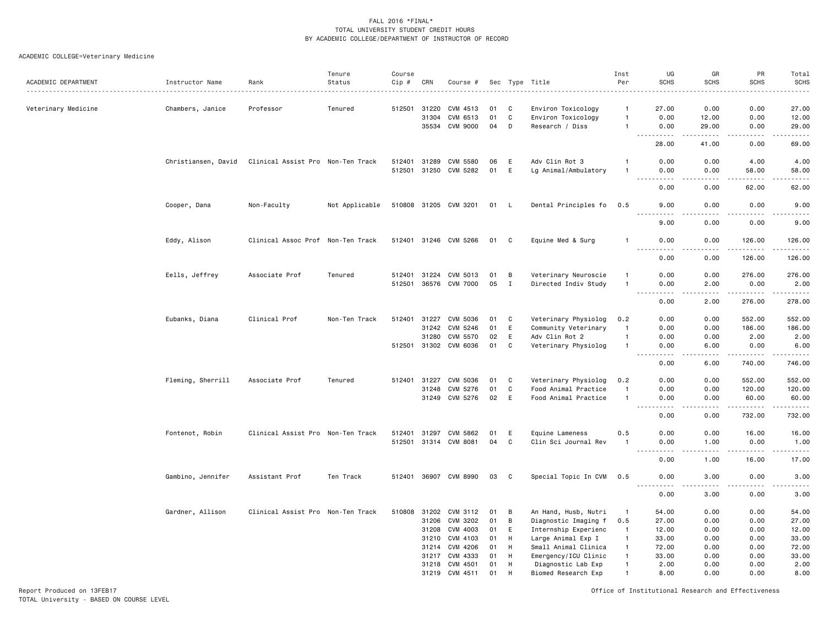### ACADEMIC COLLEGE=Veterinary Medicine

|                     |                     |                                   | Tenure         | Course       |       |                       |    |             |                      | Inst           | UG                                | GR                                                                                                                                                            | PR                                   | Total                                                                                                                                                         |
|---------------------|---------------------|-----------------------------------|----------------|--------------|-------|-----------------------|----|-------------|----------------------|----------------|-----------------------------------|---------------------------------------------------------------------------------------------------------------------------------------------------------------|--------------------------------------|---------------------------------------------------------------------------------------------------------------------------------------------------------------|
| ACADEMIC DEPARTMENT | Instructor Name     | Rank                              | Status         | Cip #        | CRN   | Course #              |    |             | Sec Type Title       | Per            | <b>SCHS</b>                       | <b>SCHS</b>                                                                                                                                                   | <b>SCHS</b>                          | <b>SCHS</b>                                                                                                                                                   |
|                     |                     |                                   |                |              |       |                       |    |             |                      |                |                                   |                                                                                                                                                               |                                      |                                                                                                                                                               |
| Veterinary Medicine | Chambers, Janice    | Professor                         | Tenured        | 512501       | 31220 | CVM 4513              | 01 | C           | Environ Toxicology   | $\overline{1}$ | 27.00                             | 0.00                                                                                                                                                          | 0.00                                 | 27.00                                                                                                                                                         |
|                     |                     |                                   |                |              | 31304 | CVM 6513              | 01 | C           | Environ Toxicology   | $\overline{1}$ | 0.00                              | 12.00                                                                                                                                                         | 0.00                                 | 12.00                                                                                                                                                         |
|                     |                     |                                   |                |              |       | 35534 CVM 9000        | 04 | D           | Research / Diss      | $\overline{1}$ | 0.00<br>$\sim$ $\sim$ $\sim$<br>. | 29.00<br>$\frac{1}{2} \left( \frac{1}{2} \right) \left( \frac{1}{2} \right) \left( \frac{1}{2} \right) \left( \frac{1}{2} \right) \left( \frac{1}{2} \right)$ | 0.00<br>.                            | 29.00<br>.                                                                                                                                                    |
|                     |                     |                                   |                |              |       |                       |    |             |                      |                | 28.00                             | 41.00                                                                                                                                                         | 0.00                                 | 69.00                                                                                                                                                         |
|                     | Christiansen, David | Clinical Assist Pro Non-Ten Track |                | 512401       | 31289 | CVM 5580              | 06 | E           | Adv Clin Rot 3       |                | 0.00                              | 0.00                                                                                                                                                          | 4.00                                 | 4.00                                                                                                                                                          |
|                     |                     |                                   |                | 512501 31250 |       | CVM 5282              | 01 | E           | Lg Animal/Ambulatory |                | 0.00                              | 0.00                                                                                                                                                          | 58.00                                | 58.00                                                                                                                                                         |
|                     |                     |                                   |                |              |       |                       |    |             |                      |                | $\sim$ $\sim$ $\sim$              |                                                                                                                                                               | .                                    | وبالمستريث                                                                                                                                                    |
|                     |                     |                                   |                |              |       |                       |    |             |                      |                | 0.00                              | 0.00                                                                                                                                                          | 62.00                                | 62.00                                                                                                                                                         |
|                     | Cooper, Dana        | Non-Faculty                       | Not Applicable |              |       | 510808 31205 CVM 3201 | 01 | -L          | Dental Principles fo | 0.5            | 9.00<br>.                         | 0.00                                                                                                                                                          | 0.00                                 | 9.00<br>.                                                                                                                                                     |
|                     |                     |                                   |                |              |       |                       |    |             |                      |                | 9.00                              | 0.00                                                                                                                                                          | 0.00                                 | 9.00                                                                                                                                                          |
|                     | Eddy, Alison        | Clinical Assoc Prof Non-Ten Track |                |              |       | 512401 31246 CVM 5266 | 01 | C           | Equine Med & Surg    | -1             | 0.00<br>.                         | 0.00                                                                                                                                                          | 126.00<br>.                          | 126.00<br>1.111111                                                                                                                                            |
|                     |                     |                                   |                |              |       |                       |    |             |                      |                | 0.00                              | 0.00                                                                                                                                                          | 126.00                               | 126.00                                                                                                                                                        |
|                     | Eells, Jeffrey      | Associate Prof                    | Tenured        | 512401       | 31224 | CVM 5013              | 01 | В           | Veterinary Neuroscie | $\mathbf{1}$   | 0.00                              | 0.00                                                                                                                                                          | 276.00                               | 276.00                                                                                                                                                        |
|                     |                     |                                   |                | 512501       | 36576 | <b>CVM 7000</b>       | 05 | $\mathbf I$ | Directed Indiv Study | $\mathbf{1}$   | 0.00                              | 2.00                                                                                                                                                          | 0.00                                 | 2.00                                                                                                                                                          |
|                     |                     |                                   |                |              |       |                       |    |             |                      |                | .<br>0.00                         | .<br>2.00                                                                                                                                                     | .<br>276.00                          | $\begin{array}{cccccccccccccc} \bullet & \bullet & \bullet & \bullet & \bullet & \bullet & \bullet & \bullet \end{array}$<br>278.00                           |
|                     | Eubanks, Diana      | Clinical Prof                     | Non-Ten Track  | 512401       | 31227 | CVM 5036              | 01 | C           | Veterinary Physiolog | 0.2            | 0.00                              | 0.00                                                                                                                                                          | 552.00                               | 552.00                                                                                                                                                        |
|                     |                     |                                   |                |              | 31242 | CVM 5246              | 01 | E           | Community Veterinary | -1             | 0.00                              | 0.00                                                                                                                                                          | 186.00                               | 186.00                                                                                                                                                        |
|                     |                     |                                   |                |              | 31280 | CVM 5570              | 02 | E           | Adv Clin Rot 2       | $\mathbf{1}$   | 0.00                              | 0.00                                                                                                                                                          | 2.00                                 | 2.00                                                                                                                                                          |
|                     |                     |                                   |                |              |       | 512501 31302 CVM 6036 | 01 | C           | Veterinary Physiolog | $\overline{1}$ | 0.00                              | 6.00                                                                                                                                                          | 0.00                                 | 6.00                                                                                                                                                          |
|                     |                     |                                   |                |              |       |                       |    |             |                      |                | .                                 | الدامات بال                                                                                                                                                   |                                      | .                                                                                                                                                             |
|                     |                     |                                   |                |              |       |                       |    |             |                      |                | 0.00                              | 6.00                                                                                                                                                          | 740.00                               | 746.00                                                                                                                                                        |
|                     | Fleming, Sherrill   | Associate Prof                    | Tenured        | 512401       | 31227 | CVM 5036              | 01 | C           | Veterinary Physiolog | 0.2            | 0.00                              | 0.00                                                                                                                                                          | 552.00                               | 552.00                                                                                                                                                        |
|                     |                     |                                   |                |              | 31248 | CVM 5276              | 01 | $\mathbf c$ | Food Animal Practice | $\overline{1}$ | 0.00                              | 0.00                                                                                                                                                          | 120.00                               | 120.00                                                                                                                                                        |
|                     |                     |                                   |                |              |       | 31249 CVM 5276        | 02 | E           | Food Animal Practice | $\overline{1}$ | 0.00<br>$  -$                     | 0.00<br>.                                                                                                                                                     | 60.00<br>.                           | 60.00                                                                                                                                                         |
|                     |                     |                                   |                |              |       |                       |    |             |                      |                | .<br>0.00                         | 0.00                                                                                                                                                          | 732.00                               | ------<br>732.00                                                                                                                                              |
|                     | Fontenot, Robin     | Clinical Assist Pro Non-Ten Track |                | 512401       | 31297 | CVM 5862              | 01 | E           | Equine Lameness      | 0.5            | 0.00                              | 0.00                                                                                                                                                          | 16.00                                | 16.00                                                                                                                                                         |
|                     |                     |                                   |                | 512501       | 31314 | CVM 8081              | 04 | C           | Clin Sci Journal Rev | -1             | 0.00                              | 1.00                                                                                                                                                          | 0.00                                 | 1.00                                                                                                                                                          |
|                     |                     |                                   |                |              |       |                       |    |             |                      |                | 0.00                              | 1.00                                                                                                                                                          | $\sim$ $\sim$ $\sim$ $\sim$<br>16.00 | $\frac{1}{2} \left( \frac{1}{2} \right) \left( \frac{1}{2} \right) \left( \frac{1}{2} \right) \left( \frac{1}{2} \right) \left( \frac{1}{2} \right)$<br>17.00 |
|                     | Gambino, Jennifer   | Assistant Prof                    | Ten Track      |              |       | 512401 36907 CVM 8990 | 03 | C           | Special Topic In CVM | 0.5            | 0.00                              | 3.00                                                                                                                                                          | 0.00                                 | 3.00                                                                                                                                                          |
|                     |                     |                                   |                |              |       |                       |    |             |                      |                | 0.00                              | 3.00                                                                                                                                                          | 0.00                                 | -----<br>3.00                                                                                                                                                 |
|                     | Gardner, Allison    | Clinical Assist Pro Non-Ten Track |                | 510808       | 31202 | CVM 3112              | 01 | B           | An Hand, Husb, Nutri | $\mathbf{1}$   | 54.00                             | 0.00                                                                                                                                                          | 0.00                                 | 54.00                                                                                                                                                         |
|                     |                     |                                   |                |              | 31206 | CVM 3202              | 01 | B           | Diagnostic Imaging f | 0.5            | 27.00                             | 0.00                                                                                                                                                          | 0.00                                 | 27.00                                                                                                                                                         |
|                     |                     |                                   |                |              | 31208 | CVM 4003              | 01 | Ε           | Internship Experienc | $\overline{1}$ | 12.00                             | 0.00                                                                                                                                                          | 0.00                                 | 12.00                                                                                                                                                         |
|                     |                     |                                   |                |              | 31210 | CVM 4103              | 01 | H           | Large Animal Exp I   | $\overline{1}$ | 33.00                             | 0.00                                                                                                                                                          | 0.00                                 | 33.00                                                                                                                                                         |
|                     |                     |                                   |                |              | 31214 | CVM 4206              | 01 | H           | Small Animal Clinica | $\overline{1}$ | 72.00                             | 0.00                                                                                                                                                          | 0.00                                 | 72.00                                                                                                                                                         |
|                     |                     |                                   |                |              | 31217 | CVM 4333              | 01 | H           | Emergency/ICU Clinic | $\overline{1}$ | 33.00                             | 0.00                                                                                                                                                          | 0.00                                 | 33.00                                                                                                                                                         |
|                     |                     |                                   |                |              | 31218 | CVM 4501              | 01 | H           | Diagnostic Lab Exp   | $\mathbf{1}$   | 2.00                              | 0.00                                                                                                                                                          | 0.00                                 | 2.00                                                                                                                                                          |
|                     |                     |                                   |                |              | 31219 | CVM 4511              | 01 | H           | Biomed Research Exp  | $\mathbf{1}$   | 8.00                              | 0.00                                                                                                                                                          | 0.00                                 | 8.00                                                                                                                                                          |
|                     |                     |                                   |                |              |       |                       |    |             |                      |                |                                   |                                                                                                                                                               |                                      |                                                                                                                                                               |

Report Produced on 13FEB17 Office of Institutional Research and Effectiveness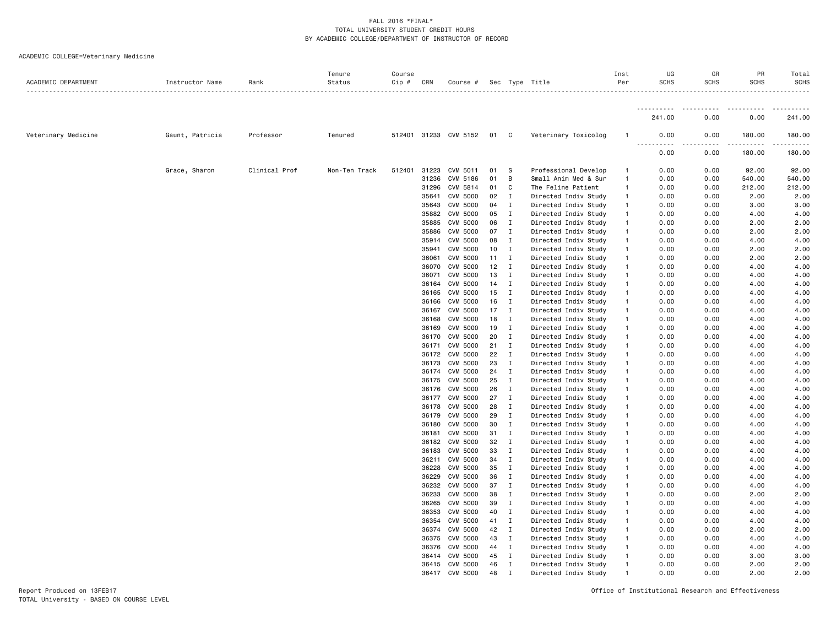|  |  |  |  |  | ACADEMIC COLLEGE=Veterinary Medicine |
|--|--|--|--|--|--------------------------------------|
|--|--|--|--|--|--------------------------------------|

| <b></b><br>.<br>$\cdots$<br>.<br>.<br>241.00<br>241.00<br>0.00<br>0.00<br>Veterinary Medicine<br>Gaunt, Patricia<br>31233 CVM 5152<br>Professor<br>Tenured<br>512401<br>01<br>C<br>Veterinary Toxicolog<br>0.00<br>180.00<br>180.00<br>$\mathbf{1}$<br>0.00<br>0.00<br>0.00<br>180.00<br>180.00<br>Clinical Prof<br>Grace, Sharon<br>Non-Ten Track<br>512401<br>31223<br>CVM 5011<br>01<br>S<br>Professional Develop<br>0.00<br>0.00<br>92.00<br>92.00<br>$\mathbf{1}$<br>31236<br>CVM 5186<br>01<br>Small Anim Med & Sur<br>$\mathbf{1}$<br>0.00<br>0.00<br>540.00<br>540.00<br>В<br>31296<br>CVM 5814<br>01<br>C<br>The Feline Patient<br>0.00<br>212.00<br>212.00<br>$\mathbf{1}$<br>0.00<br>CVM 5000<br>2.00<br>35641<br>02<br>Directed Indiv Study<br>2.00<br>Ι<br>$\mathbf{1}$<br>0.00<br>0.00<br>35643<br><b>CVM 5000</b><br>3.00<br>04<br>I<br>Directed Indiv Study<br>$\mathbf{1}$<br>0.00<br>0.00<br>3.00<br>35882<br><b>CVM 5000</b><br>05<br>4.00<br>I<br>Directed Indiv Study<br>$\mathbf{1}$<br>0.00<br>0.00<br>4.00<br>35885<br><b>CVM 5000</b><br>06<br>2.00<br>I<br>Directed Indiv Study<br>$\mathbf{1}$<br>0.00<br>0.00<br>2.00<br>35886<br><b>CVM 5000</b><br>07<br>Directed Indiv Study<br>2.00<br>I<br>$\mathbf{1}$<br>0.00<br>0.00<br>2.00<br>35914<br><b>CVM 5000</b><br>08<br>4.00<br>I<br>Directed Indiv Study<br>$\mathbf{1}$<br>0.00<br>0.00<br>4.00<br>35941<br><b>CVM 5000</b><br>2.00<br>10<br>I<br>Directed Indiv Study<br>$\mathbf{1}$<br>0.00<br>0.00<br>2.00<br><b>CVM 5000</b><br>2.00<br>36061<br>11<br>$\mathbf{I}$<br>Directed Indiv Study<br>$\mathbf{1}$<br>0.00<br>0.00<br>2.00<br><b>CVM 5000</b><br>12<br>4.00<br>36070<br>Directed Indiv Study<br>0.00<br>0.00<br>4.00<br>$\mathbf{I}$<br>$\mathbf{1}$<br><b>CVM 5000</b><br>13<br>4.00<br>36071<br>I<br>Directed Indiv Study<br>$\mathbf{1}$<br>0.00<br>0.00<br>4.00<br>36164<br><b>CVM 5000</b><br>14<br>I<br>Directed Indiv Study<br>0.00<br>4.00<br>4.00<br>$\mathbf{1}$<br>0.00<br>36165<br><b>CVM 5000</b><br>15<br>4.00<br>$\mathbf{I}$<br>Directed Indiv Study<br>$\mathbf{1}$<br>0.00<br>0.00<br>4.00<br>36166<br><b>CVM 5000</b><br>16<br>I<br>Directed Indiv Study<br>0.00<br>0.00<br>4.00<br>4.00<br>$\mathbf{1}$<br>36167<br>CVM 5000<br>17<br>$\mathbf I$<br>Directed Indiv Study<br>0.00<br>0.00<br>4.00<br>4.00<br>$\mathbf{1}$<br><b>CVM 5000</b><br>4.00<br>36168<br>18<br>$\mathbf{I}$<br>Directed Indiv Study<br>0.00<br>0.00<br>4.00<br>$\mathbf{1}$<br>36169<br><b>CVM 5000</b><br>19<br>Directed Indiv Study<br>0.00<br>0.00<br>4.00<br>4.00<br>Ι<br>$\mathbf{1}$<br>36170<br><b>CVM 5000</b><br>20<br>0.00<br>4.00<br>4.00<br>I<br>Directed Indiv Study<br>$\mathbf{1}$<br>0.00<br><b>CVM 5000</b><br>21<br>$\mathbf I$<br>4.00<br>4.00<br>36171<br>Directed Indiv Study<br>$\mathbf{1}$<br>0.00<br>0.00<br><b>CVM 5000</b><br>22<br>4.00<br>36172<br>I<br>Directed Indiv Study<br>0.00<br>0.00<br>4.00<br>$\mathbf{1}$<br>36173<br><b>CVM 5000</b><br>23<br>4.00<br>I<br>Directed Indiv Study<br>$\mathbf{1}$<br>0.00<br>0.00<br>4.00<br>4.00<br>36174<br>CVM 5000<br>24<br>I<br>Directed Indiv Study<br>$\mathbf{1}$<br>0.00<br>0.00<br>4.00<br>4.00<br>36175<br><b>CVM 5000</b><br>25<br>I<br>Directed Indiv Study<br>0.00<br>0.00<br>4.00<br>$\mathbf{1}$<br>36176<br><b>CVM 5000</b><br>4.00<br>26<br>I<br>Directed Indiv Study<br>0.00<br>0.00<br>4.00<br>$\mathbf{1}$<br><b>CVM 5000</b><br>4.00<br>36177<br>27<br>$\mathbf{I}$<br>Directed Indiv Study<br>$\mathbf{1}$<br>0.00<br>0.00<br>4.00<br><b>CVM 5000</b><br>28<br>4.00<br>4.00<br>36178<br>$\mathbf{I}$<br>Directed Indiv Study<br>$\mathbf{1}$<br>0.00<br>0.00<br><b>CVM 5000</b><br>4.00<br>36179<br>29<br>Ι<br>Directed Indiv Study<br>0.00<br>0.00<br>4.00<br>$\mathbf{1}$<br>36180<br><b>CVM 5000</b><br>30<br>0.00<br>0.00<br>4.00<br>4.00<br>I<br>Directed Indiv Study<br>$\mathbf{1}$<br>36181<br>CVM 5000<br>31<br>Directed Indiv Study<br>4.00<br>I<br>$\mathbf{1}$<br>0.00<br>0.00<br>4.00<br>36182<br><b>CVM 5000</b><br>32<br>4.00<br>$\mathbf{I}$<br>Directed Indiv Study<br>$\mathbf{1}$<br>0.00<br>0.00<br>4.00<br>36183<br><b>CVM 5000</b><br>33<br>$\mathbf I$<br>Directed Indiv Study<br>0.00<br>0.00<br>4.00<br>$\mathbf{1}$<br>4.00<br>36211<br><b>CVM 5000</b><br>34<br>$\mathbf I$<br>Directed Indiv Study<br>0.00<br>0.00<br>4.00<br>$\mathbf{1}$<br>4.00<br>36228<br>CVM 5000<br>35<br>0.00<br>4.00<br>I<br>Directed Indiv Study<br>$\mathbf{1}$<br>0.00<br>4.00<br>36229<br><b>CVM 5000</b><br>36<br>Directed Indiv Study<br>0.00<br>0.00<br>4.00<br>4.00<br>I<br>$\mathbf{1}$<br>36232<br><b>CVM 5000</b><br>37<br>4.00<br>I<br>Directed Indiv Study<br>$\mathbf{1}$<br>0.00<br>0.00<br>4.00<br><b>CVM 5000</b><br>2.00<br>36233<br>38<br>I<br>Directed Indiv Study<br>$\mathbf{1}$<br>0.00<br>0.00<br>2.00<br>4.00<br>36265<br><b>CVM 5000</b><br>39<br>I<br>Directed Indiv Study<br>0.00<br>0.00<br>4.00<br>$\mathbf{1}$<br>4.00<br>36353<br><b>CVM 5000</b><br>40<br>Directed Indiv Study<br>I<br>$\mathbf{1}$<br>0.00<br>0.00<br>4.00<br>36354<br><b>CVM 5000</b><br>41<br>I<br>Directed Indiv Study<br>$\mathbf{1}$<br>0.00<br>0.00<br>4.00<br>4.00<br>36374<br>CVM 5000<br>42<br>Ι<br>Directed Indiv Study<br>0.00<br>0.00<br>2.00<br>2.00<br>$\mathbf{1}$<br><b>CVM 5000</b><br>4.00<br>36375<br>43<br>$\mathbf{I}$<br>Directed Indiv Study<br>$\mathbf{1}$<br>0.00<br>0.00<br>4.00<br><b>CVM 5000</b><br>36376<br>44<br>$\mathbf I$<br>Directed Indiv Study<br>0.00<br>0.00<br>4.00<br>4.00<br>$\mathbf{1}$<br>3.00<br>36414<br><b>CVM 5000</b><br>45<br>$\mathbf{I}$<br>Directed Indiv Study<br>0.00<br>0.00<br>3.00<br>$\mathbf{1}$<br>46<br>36415<br><b>CVM 5000</b><br>$\mathbf I$<br>Directed Indiv Study<br>0.00<br>0.00<br>2.00<br>2.00<br>$\mathbf{1}$<br><b>CVM 5000</b><br>2.00<br>36417<br>48<br>Directed Indiv Study<br>0.00<br>0.00<br>2.00<br>I<br>$\mathbf{1}$ | ACADEMIC DEPARTMENT | Instructor Name | Rank | Tenure<br>Status | Course<br>Cip # | CRN | Course # |  | Sec Type Title | Inst<br>Per | UG<br><b>SCHS</b> | GR<br><b>SCHS</b><br>. | PR<br><b>SCHS</b> | Total<br>SCHS |
|-------------------------------------------------------------------------------------------------------------------------------------------------------------------------------------------------------------------------------------------------------------------------------------------------------------------------------------------------------------------------------------------------------------------------------------------------------------------------------------------------------------------------------------------------------------------------------------------------------------------------------------------------------------------------------------------------------------------------------------------------------------------------------------------------------------------------------------------------------------------------------------------------------------------------------------------------------------------------------------------------------------------------------------------------------------------------------------------------------------------------------------------------------------------------------------------------------------------------------------------------------------------------------------------------------------------------------------------------------------------------------------------------------------------------------------------------------------------------------------------------------------------------------------------------------------------------------------------------------------------------------------------------------------------------------------------------------------------------------------------------------------------------------------------------------------------------------------------------------------------------------------------------------------------------------------------------------------------------------------------------------------------------------------------------------------------------------------------------------------------------------------------------------------------------------------------------------------------------------------------------------------------------------------------------------------------------------------------------------------------------------------------------------------------------------------------------------------------------------------------------------------------------------------------------------------------------------------------------------------------------------------------------------------------------------------------------------------------------------------------------------------------------------------------------------------------------------------------------------------------------------------------------------------------------------------------------------------------------------------------------------------------------------------------------------------------------------------------------------------------------------------------------------------------------------------------------------------------------------------------------------------------------------------------------------------------------------------------------------------------------------------------------------------------------------------------------------------------------------------------------------------------------------------------------------------------------------------------------------------------------------------------------------------------------------------------------------------------------------------------------------------------------------------------------------------------------------------------------------------------------------------------------------------------------------------------------------------------------------------------------------------------------------------------------------------------------------------------------------------------------------------------------------------------------------------------------------------------------------------------------------------------------------------------------------------------------------------------------------------------------------------------------------------------------------------------------------------------------------------------------------------------------------------------------------------------------------------------------------------------------------------------------------------------------------------------------------------------------------------------------------------------------------------------------------------------------------------------------------------------------------------------------------------------------------------------------------------------------------------------------------------------------------------------------------------------------------------------------------------------------------------------------------------------------------------------------------------------------------------------------------------------------------------------------------------------------------------------------------------------------------------------------------------------------------------------------------------------------------------------------------------------------------------------------------------------------------------------------------------------------------------------------------------------------------------------------------------------------------------------------------------------------------------------------------------------------------------------------------------------------------------------------------|---------------------|-----------------|------|------------------|-----------------|-----|----------|--|----------------|-------------|-------------------|------------------------|-------------------|---------------|
|                                                                                                                                                                                                                                                                                                                                                                                                                                                                                                                                                                                                                                                                                                                                                                                                                                                                                                                                                                                                                                                                                                                                                                                                                                                                                                                                                                                                                                                                                                                                                                                                                                                                                                                                                                                                                                                                                                                                                                                                                                                                                                                                                                                                                                                                                                                                                                                                                                                                                                                                                                                                                                                                                                                                                                                                                                                                                                                                                                                                                                                                                                                                                                                                                                                                                                                                                                                                                                                                                                                                                                                                                                                                                                                                                                                                                                                                                                                                                                                                                                                                                                                                                                                                                                                                                                                                                                                                                                                                                                                                                                                                                                                                                                                                                                                                                                                                                                                                                                                                                                                                                                                                                                                                                                                                                                                                                                                                                                                                                                                                                                                                                                                                                                                                                                                                                                                                                                       |                     |                 |      |                  |                 |     |          |  |                |             |                   |                        |                   |               |
|                                                                                                                                                                                                                                                                                                                                                                                                                                                                                                                                                                                                                                                                                                                                                                                                                                                                                                                                                                                                                                                                                                                                                                                                                                                                                                                                                                                                                                                                                                                                                                                                                                                                                                                                                                                                                                                                                                                                                                                                                                                                                                                                                                                                                                                                                                                                                                                                                                                                                                                                                                                                                                                                                                                                                                                                                                                                                                                                                                                                                                                                                                                                                                                                                                                                                                                                                                                                                                                                                                                                                                                                                                                                                                                                                                                                                                                                                                                                                                                                                                                                                                                                                                                                                                                                                                                                                                                                                                                                                                                                                                                                                                                                                                                                                                                                                                                                                                                                                                                                                                                                                                                                                                                                                                                                                                                                                                                                                                                                                                                                                                                                                                                                                                                                                                                                                                                                                                       |                     |                 |      |                  |                 |     |          |  |                |             |                   |                        |                   |               |
|                                                                                                                                                                                                                                                                                                                                                                                                                                                                                                                                                                                                                                                                                                                                                                                                                                                                                                                                                                                                                                                                                                                                                                                                                                                                                                                                                                                                                                                                                                                                                                                                                                                                                                                                                                                                                                                                                                                                                                                                                                                                                                                                                                                                                                                                                                                                                                                                                                                                                                                                                                                                                                                                                                                                                                                                                                                                                                                                                                                                                                                                                                                                                                                                                                                                                                                                                                                                                                                                                                                                                                                                                                                                                                                                                                                                                                                                                                                                                                                                                                                                                                                                                                                                                                                                                                                                                                                                                                                                                                                                                                                                                                                                                                                                                                                                                                                                                                                                                                                                                                                                                                                                                                                                                                                                                                                                                                                                                                                                                                                                                                                                                                                                                                                                                                                                                                                                                                       |                     |                 |      |                  |                 |     |          |  |                |             |                   |                        |                   |               |
|                                                                                                                                                                                                                                                                                                                                                                                                                                                                                                                                                                                                                                                                                                                                                                                                                                                                                                                                                                                                                                                                                                                                                                                                                                                                                                                                                                                                                                                                                                                                                                                                                                                                                                                                                                                                                                                                                                                                                                                                                                                                                                                                                                                                                                                                                                                                                                                                                                                                                                                                                                                                                                                                                                                                                                                                                                                                                                                                                                                                                                                                                                                                                                                                                                                                                                                                                                                                                                                                                                                                                                                                                                                                                                                                                                                                                                                                                                                                                                                                                                                                                                                                                                                                                                                                                                                                                                                                                                                                                                                                                                                                                                                                                                                                                                                                                                                                                                                                                                                                                                                                                                                                                                                                                                                                                                                                                                                                                                                                                                                                                                                                                                                                                                                                                                                                                                                                                                       |                     |                 |      |                  |                 |     |          |  |                |             |                   |                        |                   |               |
|                                                                                                                                                                                                                                                                                                                                                                                                                                                                                                                                                                                                                                                                                                                                                                                                                                                                                                                                                                                                                                                                                                                                                                                                                                                                                                                                                                                                                                                                                                                                                                                                                                                                                                                                                                                                                                                                                                                                                                                                                                                                                                                                                                                                                                                                                                                                                                                                                                                                                                                                                                                                                                                                                                                                                                                                                                                                                                                                                                                                                                                                                                                                                                                                                                                                                                                                                                                                                                                                                                                                                                                                                                                                                                                                                                                                                                                                                                                                                                                                                                                                                                                                                                                                                                                                                                                                                                                                                                                                                                                                                                                                                                                                                                                                                                                                                                                                                                                                                                                                                                                                                                                                                                                                                                                                                                                                                                                                                                                                                                                                                                                                                                                                                                                                                                                                                                                                                                       |                     |                 |      |                  |                 |     |          |  |                |             |                   |                        |                   |               |
|                                                                                                                                                                                                                                                                                                                                                                                                                                                                                                                                                                                                                                                                                                                                                                                                                                                                                                                                                                                                                                                                                                                                                                                                                                                                                                                                                                                                                                                                                                                                                                                                                                                                                                                                                                                                                                                                                                                                                                                                                                                                                                                                                                                                                                                                                                                                                                                                                                                                                                                                                                                                                                                                                                                                                                                                                                                                                                                                                                                                                                                                                                                                                                                                                                                                                                                                                                                                                                                                                                                                                                                                                                                                                                                                                                                                                                                                                                                                                                                                                                                                                                                                                                                                                                                                                                                                                                                                                                                                                                                                                                                                                                                                                                                                                                                                                                                                                                                                                                                                                                                                                                                                                                                                                                                                                                                                                                                                                                                                                                                                                                                                                                                                                                                                                                                                                                                                                                       |                     |                 |      |                  |                 |     |          |  |                |             |                   |                        |                   |               |
|                                                                                                                                                                                                                                                                                                                                                                                                                                                                                                                                                                                                                                                                                                                                                                                                                                                                                                                                                                                                                                                                                                                                                                                                                                                                                                                                                                                                                                                                                                                                                                                                                                                                                                                                                                                                                                                                                                                                                                                                                                                                                                                                                                                                                                                                                                                                                                                                                                                                                                                                                                                                                                                                                                                                                                                                                                                                                                                                                                                                                                                                                                                                                                                                                                                                                                                                                                                                                                                                                                                                                                                                                                                                                                                                                                                                                                                                                                                                                                                                                                                                                                                                                                                                                                                                                                                                                                                                                                                                                                                                                                                                                                                                                                                                                                                                                                                                                                                                                                                                                                                                                                                                                                                                                                                                                                                                                                                                                                                                                                                                                                                                                                                                                                                                                                                                                                                                                                       |                     |                 |      |                  |                 |     |          |  |                |             |                   |                        |                   |               |
|                                                                                                                                                                                                                                                                                                                                                                                                                                                                                                                                                                                                                                                                                                                                                                                                                                                                                                                                                                                                                                                                                                                                                                                                                                                                                                                                                                                                                                                                                                                                                                                                                                                                                                                                                                                                                                                                                                                                                                                                                                                                                                                                                                                                                                                                                                                                                                                                                                                                                                                                                                                                                                                                                                                                                                                                                                                                                                                                                                                                                                                                                                                                                                                                                                                                                                                                                                                                                                                                                                                                                                                                                                                                                                                                                                                                                                                                                                                                                                                                                                                                                                                                                                                                                                                                                                                                                                                                                                                                                                                                                                                                                                                                                                                                                                                                                                                                                                                                                                                                                                                                                                                                                                                                                                                                                                                                                                                                                                                                                                                                                                                                                                                                                                                                                                                                                                                                                                       |                     |                 |      |                  |                 |     |          |  |                |             |                   |                        |                   |               |
|                                                                                                                                                                                                                                                                                                                                                                                                                                                                                                                                                                                                                                                                                                                                                                                                                                                                                                                                                                                                                                                                                                                                                                                                                                                                                                                                                                                                                                                                                                                                                                                                                                                                                                                                                                                                                                                                                                                                                                                                                                                                                                                                                                                                                                                                                                                                                                                                                                                                                                                                                                                                                                                                                                                                                                                                                                                                                                                                                                                                                                                                                                                                                                                                                                                                                                                                                                                                                                                                                                                                                                                                                                                                                                                                                                                                                                                                                                                                                                                                                                                                                                                                                                                                                                                                                                                                                                                                                                                                                                                                                                                                                                                                                                                                                                                                                                                                                                                                                                                                                                                                                                                                                                                                                                                                                                                                                                                                                                                                                                                                                                                                                                                                                                                                                                                                                                                                                                       |                     |                 |      |                  |                 |     |          |  |                |             |                   |                        |                   |               |
|                                                                                                                                                                                                                                                                                                                                                                                                                                                                                                                                                                                                                                                                                                                                                                                                                                                                                                                                                                                                                                                                                                                                                                                                                                                                                                                                                                                                                                                                                                                                                                                                                                                                                                                                                                                                                                                                                                                                                                                                                                                                                                                                                                                                                                                                                                                                                                                                                                                                                                                                                                                                                                                                                                                                                                                                                                                                                                                                                                                                                                                                                                                                                                                                                                                                                                                                                                                                                                                                                                                                                                                                                                                                                                                                                                                                                                                                                                                                                                                                                                                                                                                                                                                                                                                                                                                                                                                                                                                                                                                                                                                                                                                                                                                                                                                                                                                                                                                                                                                                                                                                                                                                                                                                                                                                                                                                                                                                                                                                                                                                                                                                                                                                                                                                                                                                                                                                                                       |                     |                 |      |                  |                 |     |          |  |                |             |                   |                        |                   |               |
|                                                                                                                                                                                                                                                                                                                                                                                                                                                                                                                                                                                                                                                                                                                                                                                                                                                                                                                                                                                                                                                                                                                                                                                                                                                                                                                                                                                                                                                                                                                                                                                                                                                                                                                                                                                                                                                                                                                                                                                                                                                                                                                                                                                                                                                                                                                                                                                                                                                                                                                                                                                                                                                                                                                                                                                                                                                                                                                                                                                                                                                                                                                                                                                                                                                                                                                                                                                                                                                                                                                                                                                                                                                                                                                                                                                                                                                                                                                                                                                                                                                                                                                                                                                                                                                                                                                                                                                                                                                                                                                                                                                                                                                                                                                                                                                                                                                                                                                                                                                                                                                                                                                                                                                                                                                                                                                                                                                                                                                                                                                                                                                                                                                                                                                                                                                                                                                                                                       |                     |                 |      |                  |                 |     |          |  |                |             |                   |                        |                   |               |
|                                                                                                                                                                                                                                                                                                                                                                                                                                                                                                                                                                                                                                                                                                                                                                                                                                                                                                                                                                                                                                                                                                                                                                                                                                                                                                                                                                                                                                                                                                                                                                                                                                                                                                                                                                                                                                                                                                                                                                                                                                                                                                                                                                                                                                                                                                                                                                                                                                                                                                                                                                                                                                                                                                                                                                                                                                                                                                                                                                                                                                                                                                                                                                                                                                                                                                                                                                                                                                                                                                                                                                                                                                                                                                                                                                                                                                                                                                                                                                                                                                                                                                                                                                                                                                                                                                                                                                                                                                                                                                                                                                                                                                                                                                                                                                                                                                                                                                                                                                                                                                                                                                                                                                                                                                                                                                                                                                                                                                                                                                                                                                                                                                                                                                                                                                                                                                                                                                       |                     |                 |      |                  |                 |     |          |  |                |             |                   |                        |                   |               |
|                                                                                                                                                                                                                                                                                                                                                                                                                                                                                                                                                                                                                                                                                                                                                                                                                                                                                                                                                                                                                                                                                                                                                                                                                                                                                                                                                                                                                                                                                                                                                                                                                                                                                                                                                                                                                                                                                                                                                                                                                                                                                                                                                                                                                                                                                                                                                                                                                                                                                                                                                                                                                                                                                                                                                                                                                                                                                                                                                                                                                                                                                                                                                                                                                                                                                                                                                                                                                                                                                                                                                                                                                                                                                                                                                                                                                                                                                                                                                                                                                                                                                                                                                                                                                                                                                                                                                                                                                                                                                                                                                                                                                                                                                                                                                                                                                                                                                                                                                                                                                                                                                                                                                                                                                                                                                                                                                                                                                                                                                                                                                                                                                                                                                                                                                                                                                                                                                                       |                     |                 |      |                  |                 |     |          |  |                |             |                   |                        |                   |               |
|                                                                                                                                                                                                                                                                                                                                                                                                                                                                                                                                                                                                                                                                                                                                                                                                                                                                                                                                                                                                                                                                                                                                                                                                                                                                                                                                                                                                                                                                                                                                                                                                                                                                                                                                                                                                                                                                                                                                                                                                                                                                                                                                                                                                                                                                                                                                                                                                                                                                                                                                                                                                                                                                                                                                                                                                                                                                                                                                                                                                                                                                                                                                                                                                                                                                                                                                                                                                                                                                                                                                                                                                                                                                                                                                                                                                                                                                                                                                                                                                                                                                                                                                                                                                                                                                                                                                                                                                                                                                                                                                                                                                                                                                                                                                                                                                                                                                                                                                                                                                                                                                                                                                                                                                                                                                                                                                                                                                                                                                                                                                                                                                                                                                                                                                                                                                                                                                                                       |                     |                 |      |                  |                 |     |          |  |                |             |                   |                        |                   |               |
|                                                                                                                                                                                                                                                                                                                                                                                                                                                                                                                                                                                                                                                                                                                                                                                                                                                                                                                                                                                                                                                                                                                                                                                                                                                                                                                                                                                                                                                                                                                                                                                                                                                                                                                                                                                                                                                                                                                                                                                                                                                                                                                                                                                                                                                                                                                                                                                                                                                                                                                                                                                                                                                                                                                                                                                                                                                                                                                                                                                                                                                                                                                                                                                                                                                                                                                                                                                                                                                                                                                                                                                                                                                                                                                                                                                                                                                                                                                                                                                                                                                                                                                                                                                                                                                                                                                                                                                                                                                                                                                                                                                                                                                                                                                                                                                                                                                                                                                                                                                                                                                                                                                                                                                                                                                                                                                                                                                                                                                                                                                                                                                                                                                                                                                                                                                                                                                                                                       |                     |                 |      |                  |                 |     |          |  |                |             |                   |                        |                   |               |
|                                                                                                                                                                                                                                                                                                                                                                                                                                                                                                                                                                                                                                                                                                                                                                                                                                                                                                                                                                                                                                                                                                                                                                                                                                                                                                                                                                                                                                                                                                                                                                                                                                                                                                                                                                                                                                                                                                                                                                                                                                                                                                                                                                                                                                                                                                                                                                                                                                                                                                                                                                                                                                                                                                                                                                                                                                                                                                                                                                                                                                                                                                                                                                                                                                                                                                                                                                                                                                                                                                                                                                                                                                                                                                                                                                                                                                                                                                                                                                                                                                                                                                                                                                                                                                                                                                                                                                                                                                                                                                                                                                                                                                                                                                                                                                                                                                                                                                                                                                                                                                                                                                                                                                                                                                                                                                                                                                                                                                                                                                                                                                                                                                                                                                                                                                                                                                                                                                       |                     |                 |      |                  |                 |     |          |  |                |             |                   |                        |                   |               |
|                                                                                                                                                                                                                                                                                                                                                                                                                                                                                                                                                                                                                                                                                                                                                                                                                                                                                                                                                                                                                                                                                                                                                                                                                                                                                                                                                                                                                                                                                                                                                                                                                                                                                                                                                                                                                                                                                                                                                                                                                                                                                                                                                                                                                                                                                                                                                                                                                                                                                                                                                                                                                                                                                                                                                                                                                                                                                                                                                                                                                                                                                                                                                                                                                                                                                                                                                                                                                                                                                                                                                                                                                                                                                                                                                                                                                                                                                                                                                                                                                                                                                                                                                                                                                                                                                                                                                                                                                                                                                                                                                                                                                                                                                                                                                                                                                                                                                                                                                                                                                                                                                                                                                                                                                                                                                                                                                                                                                                                                                                                                                                                                                                                                                                                                                                                                                                                                                                       |                     |                 |      |                  |                 |     |          |  |                |             |                   |                        |                   |               |
|                                                                                                                                                                                                                                                                                                                                                                                                                                                                                                                                                                                                                                                                                                                                                                                                                                                                                                                                                                                                                                                                                                                                                                                                                                                                                                                                                                                                                                                                                                                                                                                                                                                                                                                                                                                                                                                                                                                                                                                                                                                                                                                                                                                                                                                                                                                                                                                                                                                                                                                                                                                                                                                                                                                                                                                                                                                                                                                                                                                                                                                                                                                                                                                                                                                                                                                                                                                                                                                                                                                                                                                                                                                                                                                                                                                                                                                                                                                                                                                                                                                                                                                                                                                                                                                                                                                                                                                                                                                                                                                                                                                                                                                                                                                                                                                                                                                                                                                                                                                                                                                                                                                                                                                                                                                                                                                                                                                                                                                                                                                                                                                                                                                                                                                                                                                                                                                                                                       |                     |                 |      |                  |                 |     |          |  |                |             |                   |                        |                   |               |
|                                                                                                                                                                                                                                                                                                                                                                                                                                                                                                                                                                                                                                                                                                                                                                                                                                                                                                                                                                                                                                                                                                                                                                                                                                                                                                                                                                                                                                                                                                                                                                                                                                                                                                                                                                                                                                                                                                                                                                                                                                                                                                                                                                                                                                                                                                                                                                                                                                                                                                                                                                                                                                                                                                                                                                                                                                                                                                                                                                                                                                                                                                                                                                                                                                                                                                                                                                                                                                                                                                                                                                                                                                                                                                                                                                                                                                                                                                                                                                                                                                                                                                                                                                                                                                                                                                                                                                                                                                                                                                                                                                                                                                                                                                                                                                                                                                                                                                                                                                                                                                                                                                                                                                                                                                                                                                                                                                                                                                                                                                                                                                                                                                                                                                                                                                                                                                                                                                       |                     |                 |      |                  |                 |     |          |  |                |             |                   |                        |                   |               |
|                                                                                                                                                                                                                                                                                                                                                                                                                                                                                                                                                                                                                                                                                                                                                                                                                                                                                                                                                                                                                                                                                                                                                                                                                                                                                                                                                                                                                                                                                                                                                                                                                                                                                                                                                                                                                                                                                                                                                                                                                                                                                                                                                                                                                                                                                                                                                                                                                                                                                                                                                                                                                                                                                                                                                                                                                                                                                                                                                                                                                                                                                                                                                                                                                                                                                                                                                                                                                                                                                                                                                                                                                                                                                                                                                                                                                                                                                                                                                                                                                                                                                                                                                                                                                                                                                                                                                                                                                                                                                                                                                                                                                                                                                                                                                                                                                                                                                                                                                                                                                                                                                                                                                                                                                                                                                                                                                                                                                                                                                                                                                                                                                                                                                                                                                                                                                                                                                                       |                     |                 |      |                  |                 |     |          |  |                |             |                   |                        |                   |               |
|                                                                                                                                                                                                                                                                                                                                                                                                                                                                                                                                                                                                                                                                                                                                                                                                                                                                                                                                                                                                                                                                                                                                                                                                                                                                                                                                                                                                                                                                                                                                                                                                                                                                                                                                                                                                                                                                                                                                                                                                                                                                                                                                                                                                                                                                                                                                                                                                                                                                                                                                                                                                                                                                                                                                                                                                                                                                                                                                                                                                                                                                                                                                                                                                                                                                                                                                                                                                                                                                                                                                                                                                                                                                                                                                                                                                                                                                                                                                                                                                                                                                                                                                                                                                                                                                                                                                                                                                                                                                                                                                                                                                                                                                                                                                                                                                                                                                                                                                                                                                                                                                                                                                                                                                                                                                                                                                                                                                                                                                                                                                                                                                                                                                                                                                                                                                                                                                                                       |                     |                 |      |                  |                 |     |          |  |                |             |                   |                        |                   |               |
|                                                                                                                                                                                                                                                                                                                                                                                                                                                                                                                                                                                                                                                                                                                                                                                                                                                                                                                                                                                                                                                                                                                                                                                                                                                                                                                                                                                                                                                                                                                                                                                                                                                                                                                                                                                                                                                                                                                                                                                                                                                                                                                                                                                                                                                                                                                                                                                                                                                                                                                                                                                                                                                                                                                                                                                                                                                                                                                                                                                                                                                                                                                                                                                                                                                                                                                                                                                                                                                                                                                                                                                                                                                                                                                                                                                                                                                                                                                                                                                                                                                                                                                                                                                                                                                                                                                                                                                                                                                                                                                                                                                                                                                                                                                                                                                                                                                                                                                                                                                                                                                                                                                                                                                                                                                                                                                                                                                                                                                                                                                                                                                                                                                                                                                                                                                                                                                                                                       |                     |                 |      |                  |                 |     |          |  |                |             |                   |                        |                   |               |
|                                                                                                                                                                                                                                                                                                                                                                                                                                                                                                                                                                                                                                                                                                                                                                                                                                                                                                                                                                                                                                                                                                                                                                                                                                                                                                                                                                                                                                                                                                                                                                                                                                                                                                                                                                                                                                                                                                                                                                                                                                                                                                                                                                                                                                                                                                                                                                                                                                                                                                                                                                                                                                                                                                                                                                                                                                                                                                                                                                                                                                                                                                                                                                                                                                                                                                                                                                                                                                                                                                                                                                                                                                                                                                                                                                                                                                                                                                                                                                                                                                                                                                                                                                                                                                                                                                                                                                                                                                                                                                                                                                                                                                                                                                                                                                                                                                                                                                                                                                                                                                                                                                                                                                                                                                                                                                                                                                                                                                                                                                                                                                                                                                                                                                                                                                                                                                                                                                       |                     |                 |      |                  |                 |     |          |  |                |             |                   |                        |                   |               |
|                                                                                                                                                                                                                                                                                                                                                                                                                                                                                                                                                                                                                                                                                                                                                                                                                                                                                                                                                                                                                                                                                                                                                                                                                                                                                                                                                                                                                                                                                                                                                                                                                                                                                                                                                                                                                                                                                                                                                                                                                                                                                                                                                                                                                                                                                                                                                                                                                                                                                                                                                                                                                                                                                                                                                                                                                                                                                                                                                                                                                                                                                                                                                                                                                                                                                                                                                                                                                                                                                                                                                                                                                                                                                                                                                                                                                                                                                                                                                                                                                                                                                                                                                                                                                                                                                                                                                                                                                                                                                                                                                                                                                                                                                                                                                                                                                                                                                                                                                                                                                                                                                                                                                                                                                                                                                                                                                                                                                                                                                                                                                                                                                                                                                                                                                                                                                                                                                                       |                     |                 |      |                  |                 |     |          |  |                |             |                   |                        |                   |               |
|                                                                                                                                                                                                                                                                                                                                                                                                                                                                                                                                                                                                                                                                                                                                                                                                                                                                                                                                                                                                                                                                                                                                                                                                                                                                                                                                                                                                                                                                                                                                                                                                                                                                                                                                                                                                                                                                                                                                                                                                                                                                                                                                                                                                                                                                                                                                                                                                                                                                                                                                                                                                                                                                                                                                                                                                                                                                                                                                                                                                                                                                                                                                                                                                                                                                                                                                                                                                                                                                                                                                                                                                                                                                                                                                                                                                                                                                                                                                                                                                                                                                                                                                                                                                                                                                                                                                                                                                                                                                                                                                                                                                                                                                                                                                                                                                                                                                                                                                                                                                                                                                                                                                                                                                                                                                                                                                                                                                                                                                                                                                                                                                                                                                                                                                                                                                                                                                                                       |                     |                 |      |                  |                 |     |          |  |                |             |                   |                        |                   |               |
|                                                                                                                                                                                                                                                                                                                                                                                                                                                                                                                                                                                                                                                                                                                                                                                                                                                                                                                                                                                                                                                                                                                                                                                                                                                                                                                                                                                                                                                                                                                                                                                                                                                                                                                                                                                                                                                                                                                                                                                                                                                                                                                                                                                                                                                                                                                                                                                                                                                                                                                                                                                                                                                                                                                                                                                                                                                                                                                                                                                                                                                                                                                                                                                                                                                                                                                                                                                                                                                                                                                                                                                                                                                                                                                                                                                                                                                                                                                                                                                                                                                                                                                                                                                                                                                                                                                                                                                                                                                                                                                                                                                                                                                                                                                                                                                                                                                                                                                                                                                                                                                                                                                                                                                                                                                                                                                                                                                                                                                                                                                                                                                                                                                                                                                                                                                                                                                                                                       |                     |                 |      |                  |                 |     |          |  |                |             |                   |                        |                   |               |
|                                                                                                                                                                                                                                                                                                                                                                                                                                                                                                                                                                                                                                                                                                                                                                                                                                                                                                                                                                                                                                                                                                                                                                                                                                                                                                                                                                                                                                                                                                                                                                                                                                                                                                                                                                                                                                                                                                                                                                                                                                                                                                                                                                                                                                                                                                                                                                                                                                                                                                                                                                                                                                                                                                                                                                                                                                                                                                                                                                                                                                                                                                                                                                                                                                                                                                                                                                                                                                                                                                                                                                                                                                                                                                                                                                                                                                                                                                                                                                                                                                                                                                                                                                                                                                                                                                                                                                                                                                                                                                                                                                                                                                                                                                                                                                                                                                                                                                                                                                                                                                                                                                                                                                                                                                                                                                                                                                                                                                                                                                                                                                                                                                                                                                                                                                                                                                                                                                       |                     |                 |      |                  |                 |     |          |  |                |             |                   |                        |                   |               |
|                                                                                                                                                                                                                                                                                                                                                                                                                                                                                                                                                                                                                                                                                                                                                                                                                                                                                                                                                                                                                                                                                                                                                                                                                                                                                                                                                                                                                                                                                                                                                                                                                                                                                                                                                                                                                                                                                                                                                                                                                                                                                                                                                                                                                                                                                                                                                                                                                                                                                                                                                                                                                                                                                                                                                                                                                                                                                                                                                                                                                                                                                                                                                                                                                                                                                                                                                                                                                                                                                                                                                                                                                                                                                                                                                                                                                                                                                                                                                                                                                                                                                                                                                                                                                                                                                                                                                                                                                                                                                                                                                                                                                                                                                                                                                                                                                                                                                                                                                                                                                                                                                                                                                                                                                                                                                                                                                                                                                                                                                                                                                                                                                                                                                                                                                                                                                                                                                                       |                     |                 |      |                  |                 |     |          |  |                |             |                   |                        |                   |               |
|                                                                                                                                                                                                                                                                                                                                                                                                                                                                                                                                                                                                                                                                                                                                                                                                                                                                                                                                                                                                                                                                                                                                                                                                                                                                                                                                                                                                                                                                                                                                                                                                                                                                                                                                                                                                                                                                                                                                                                                                                                                                                                                                                                                                                                                                                                                                                                                                                                                                                                                                                                                                                                                                                                                                                                                                                                                                                                                                                                                                                                                                                                                                                                                                                                                                                                                                                                                                                                                                                                                                                                                                                                                                                                                                                                                                                                                                                                                                                                                                                                                                                                                                                                                                                                                                                                                                                                                                                                                                                                                                                                                                                                                                                                                                                                                                                                                                                                                                                                                                                                                                                                                                                                                                                                                                                                                                                                                                                                                                                                                                                                                                                                                                                                                                                                                                                                                                                                       |                     |                 |      |                  |                 |     |          |  |                |             |                   |                        |                   |               |
|                                                                                                                                                                                                                                                                                                                                                                                                                                                                                                                                                                                                                                                                                                                                                                                                                                                                                                                                                                                                                                                                                                                                                                                                                                                                                                                                                                                                                                                                                                                                                                                                                                                                                                                                                                                                                                                                                                                                                                                                                                                                                                                                                                                                                                                                                                                                                                                                                                                                                                                                                                                                                                                                                                                                                                                                                                                                                                                                                                                                                                                                                                                                                                                                                                                                                                                                                                                                                                                                                                                                                                                                                                                                                                                                                                                                                                                                                                                                                                                                                                                                                                                                                                                                                                                                                                                                                                                                                                                                                                                                                                                                                                                                                                                                                                                                                                                                                                                                                                                                                                                                                                                                                                                                                                                                                                                                                                                                                                                                                                                                                                                                                                                                                                                                                                                                                                                                                                       |                     |                 |      |                  |                 |     |          |  |                |             |                   |                        |                   |               |
|                                                                                                                                                                                                                                                                                                                                                                                                                                                                                                                                                                                                                                                                                                                                                                                                                                                                                                                                                                                                                                                                                                                                                                                                                                                                                                                                                                                                                                                                                                                                                                                                                                                                                                                                                                                                                                                                                                                                                                                                                                                                                                                                                                                                                                                                                                                                                                                                                                                                                                                                                                                                                                                                                                                                                                                                                                                                                                                                                                                                                                                                                                                                                                                                                                                                                                                                                                                                                                                                                                                                                                                                                                                                                                                                                                                                                                                                                                                                                                                                                                                                                                                                                                                                                                                                                                                                                                                                                                                                                                                                                                                                                                                                                                                                                                                                                                                                                                                                                                                                                                                                                                                                                                                                                                                                                                                                                                                                                                                                                                                                                                                                                                                                                                                                                                                                                                                                                                       |                     |                 |      |                  |                 |     |          |  |                |             |                   |                        |                   |               |
|                                                                                                                                                                                                                                                                                                                                                                                                                                                                                                                                                                                                                                                                                                                                                                                                                                                                                                                                                                                                                                                                                                                                                                                                                                                                                                                                                                                                                                                                                                                                                                                                                                                                                                                                                                                                                                                                                                                                                                                                                                                                                                                                                                                                                                                                                                                                                                                                                                                                                                                                                                                                                                                                                                                                                                                                                                                                                                                                                                                                                                                                                                                                                                                                                                                                                                                                                                                                                                                                                                                                                                                                                                                                                                                                                                                                                                                                                                                                                                                                                                                                                                                                                                                                                                                                                                                                                                                                                                                                                                                                                                                                                                                                                                                                                                                                                                                                                                                                                                                                                                                                                                                                                                                                                                                                                                                                                                                                                                                                                                                                                                                                                                                                                                                                                                                                                                                                                                       |                     |                 |      |                  |                 |     |          |  |                |             |                   |                        |                   |               |
|                                                                                                                                                                                                                                                                                                                                                                                                                                                                                                                                                                                                                                                                                                                                                                                                                                                                                                                                                                                                                                                                                                                                                                                                                                                                                                                                                                                                                                                                                                                                                                                                                                                                                                                                                                                                                                                                                                                                                                                                                                                                                                                                                                                                                                                                                                                                                                                                                                                                                                                                                                                                                                                                                                                                                                                                                                                                                                                                                                                                                                                                                                                                                                                                                                                                                                                                                                                                                                                                                                                                                                                                                                                                                                                                                                                                                                                                                                                                                                                                                                                                                                                                                                                                                                                                                                                                                                                                                                                                                                                                                                                                                                                                                                                                                                                                                                                                                                                                                                                                                                                                                                                                                                                                                                                                                                                                                                                                                                                                                                                                                                                                                                                                                                                                                                                                                                                                                                       |                     |                 |      |                  |                 |     |          |  |                |             |                   |                        |                   |               |
|                                                                                                                                                                                                                                                                                                                                                                                                                                                                                                                                                                                                                                                                                                                                                                                                                                                                                                                                                                                                                                                                                                                                                                                                                                                                                                                                                                                                                                                                                                                                                                                                                                                                                                                                                                                                                                                                                                                                                                                                                                                                                                                                                                                                                                                                                                                                                                                                                                                                                                                                                                                                                                                                                                                                                                                                                                                                                                                                                                                                                                                                                                                                                                                                                                                                                                                                                                                                                                                                                                                                                                                                                                                                                                                                                                                                                                                                                                                                                                                                                                                                                                                                                                                                                                                                                                                                                                                                                                                                                                                                                                                                                                                                                                                                                                                                                                                                                                                                                                                                                                                                                                                                                                                                                                                                                                                                                                                                                                                                                                                                                                                                                                                                                                                                                                                                                                                                                                       |                     |                 |      |                  |                 |     |          |  |                |             |                   |                        |                   |               |
|                                                                                                                                                                                                                                                                                                                                                                                                                                                                                                                                                                                                                                                                                                                                                                                                                                                                                                                                                                                                                                                                                                                                                                                                                                                                                                                                                                                                                                                                                                                                                                                                                                                                                                                                                                                                                                                                                                                                                                                                                                                                                                                                                                                                                                                                                                                                                                                                                                                                                                                                                                                                                                                                                                                                                                                                                                                                                                                                                                                                                                                                                                                                                                                                                                                                                                                                                                                                                                                                                                                                                                                                                                                                                                                                                                                                                                                                                                                                                                                                                                                                                                                                                                                                                                                                                                                                                                                                                                                                                                                                                                                                                                                                                                                                                                                                                                                                                                                                                                                                                                                                                                                                                                                                                                                                                                                                                                                                                                                                                                                                                                                                                                                                                                                                                                                                                                                                                                       |                     |                 |      |                  |                 |     |          |  |                |             |                   |                        |                   |               |
|                                                                                                                                                                                                                                                                                                                                                                                                                                                                                                                                                                                                                                                                                                                                                                                                                                                                                                                                                                                                                                                                                                                                                                                                                                                                                                                                                                                                                                                                                                                                                                                                                                                                                                                                                                                                                                                                                                                                                                                                                                                                                                                                                                                                                                                                                                                                                                                                                                                                                                                                                                                                                                                                                                                                                                                                                                                                                                                                                                                                                                                                                                                                                                                                                                                                                                                                                                                                                                                                                                                                                                                                                                                                                                                                                                                                                                                                                                                                                                                                                                                                                                                                                                                                                                                                                                                                                                                                                                                                                                                                                                                                                                                                                                                                                                                                                                                                                                                                                                                                                                                                                                                                                                                                                                                                                                                                                                                                                                                                                                                                                                                                                                                                                                                                                                                                                                                                                                       |                     |                 |      |                  |                 |     |          |  |                |             |                   |                        |                   |               |
|                                                                                                                                                                                                                                                                                                                                                                                                                                                                                                                                                                                                                                                                                                                                                                                                                                                                                                                                                                                                                                                                                                                                                                                                                                                                                                                                                                                                                                                                                                                                                                                                                                                                                                                                                                                                                                                                                                                                                                                                                                                                                                                                                                                                                                                                                                                                                                                                                                                                                                                                                                                                                                                                                                                                                                                                                                                                                                                                                                                                                                                                                                                                                                                                                                                                                                                                                                                                                                                                                                                                                                                                                                                                                                                                                                                                                                                                                                                                                                                                                                                                                                                                                                                                                                                                                                                                                                                                                                                                                                                                                                                                                                                                                                                                                                                                                                                                                                                                                                                                                                                                                                                                                                                                                                                                                                                                                                                                                                                                                                                                                                                                                                                                                                                                                                                                                                                                                                       |                     |                 |      |                  |                 |     |          |  |                |             |                   |                        |                   |               |
|                                                                                                                                                                                                                                                                                                                                                                                                                                                                                                                                                                                                                                                                                                                                                                                                                                                                                                                                                                                                                                                                                                                                                                                                                                                                                                                                                                                                                                                                                                                                                                                                                                                                                                                                                                                                                                                                                                                                                                                                                                                                                                                                                                                                                                                                                                                                                                                                                                                                                                                                                                                                                                                                                                                                                                                                                                                                                                                                                                                                                                                                                                                                                                                                                                                                                                                                                                                                                                                                                                                                                                                                                                                                                                                                                                                                                                                                                                                                                                                                                                                                                                                                                                                                                                                                                                                                                                                                                                                                                                                                                                                                                                                                                                                                                                                                                                                                                                                                                                                                                                                                                                                                                                                                                                                                                                                                                                                                                                                                                                                                                                                                                                                                                                                                                                                                                                                                                                       |                     |                 |      |                  |                 |     |          |  |                |             |                   |                        |                   |               |
|                                                                                                                                                                                                                                                                                                                                                                                                                                                                                                                                                                                                                                                                                                                                                                                                                                                                                                                                                                                                                                                                                                                                                                                                                                                                                                                                                                                                                                                                                                                                                                                                                                                                                                                                                                                                                                                                                                                                                                                                                                                                                                                                                                                                                                                                                                                                                                                                                                                                                                                                                                                                                                                                                                                                                                                                                                                                                                                                                                                                                                                                                                                                                                                                                                                                                                                                                                                                                                                                                                                                                                                                                                                                                                                                                                                                                                                                                                                                                                                                                                                                                                                                                                                                                                                                                                                                                                                                                                                                                                                                                                                                                                                                                                                                                                                                                                                                                                                                                                                                                                                                                                                                                                                                                                                                                                                                                                                                                                                                                                                                                                                                                                                                                                                                                                                                                                                                                                       |                     |                 |      |                  |                 |     |          |  |                |             |                   |                        |                   |               |
|                                                                                                                                                                                                                                                                                                                                                                                                                                                                                                                                                                                                                                                                                                                                                                                                                                                                                                                                                                                                                                                                                                                                                                                                                                                                                                                                                                                                                                                                                                                                                                                                                                                                                                                                                                                                                                                                                                                                                                                                                                                                                                                                                                                                                                                                                                                                                                                                                                                                                                                                                                                                                                                                                                                                                                                                                                                                                                                                                                                                                                                                                                                                                                                                                                                                                                                                                                                                                                                                                                                                                                                                                                                                                                                                                                                                                                                                                                                                                                                                                                                                                                                                                                                                                                                                                                                                                                                                                                                                                                                                                                                                                                                                                                                                                                                                                                                                                                                                                                                                                                                                                                                                                                                                                                                                                                                                                                                                                                                                                                                                                                                                                                                                                                                                                                                                                                                                                                       |                     |                 |      |                  |                 |     |          |  |                |             |                   |                        |                   |               |
|                                                                                                                                                                                                                                                                                                                                                                                                                                                                                                                                                                                                                                                                                                                                                                                                                                                                                                                                                                                                                                                                                                                                                                                                                                                                                                                                                                                                                                                                                                                                                                                                                                                                                                                                                                                                                                                                                                                                                                                                                                                                                                                                                                                                                                                                                                                                                                                                                                                                                                                                                                                                                                                                                                                                                                                                                                                                                                                                                                                                                                                                                                                                                                                                                                                                                                                                                                                                                                                                                                                                                                                                                                                                                                                                                                                                                                                                                                                                                                                                                                                                                                                                                                                                                                                                                                                                                                                                                                                                                                                                                                                                                                                                                                                                                                                                                                                                                                                                                                                                                                                                                                                                                                                                                                                                                                                                                                                                                                                                                                                                                                                                                                                                                                                                                                                                                                                                                                       |                     |                 |      |                  |                 |     |          |  |                |             |                   |                        |                   |               |
|                                                                                                                                                                                                                                                                                                                                                                                                                                                                                                                                                                                                                                                                                                                                                                                                                                                                                                                                                                                                                                                                                                                                                                                                                                                                                                                                                                                                                                                                                                                                                                                                                                                                                                                                                                                                                                                                                                                                                                                                                                                                                                                                                                                                                                                                                                                                                                                                                                                                                                                                                                                                                                                                                                                                                                                                                                                                                                                                                                                                                                                                                                                                                                                                                                                                                                                                                                                                                                                                                                                                                                                                                                                                                                                                                                                                                                                                                                                                                                                                                                                                                                                                                                                                                                                                                                                                                                                                                                                                                                                                                                                                                                                                                                                                                                                                                                                                                                                                                                                                                                                                                                                                                                                                                                                                                                                                                                                                                                                                                                                                                                                                                                                                                                                                                                                                                                                                                                       |                     |                 |      |                  |                 |     |          |  |                |             |                   |                        |                   |               |
|                                                                                                                                                                                                                                                                                                                                                                                                                                                                                                                                                                                                                                                                                                                                                                                                                                                                                                                                                                                                                                                                                                                                                                                                                                                                                                                                                                                                                                                                                                                                                                                                                                                                                                                                                                                                                                                                                                                                                                                                                                                                                                                                                                                                                                                                                                                                                                                                                                                                                                                                                                                                                                                                                                                                                                                                                                                                                                                                                                                                                                                                                                                                                                                                                                                                                                                                                                                                                                                                                                                                                                                                                                                                                                                                                                                                                                                                                                                                                                                                                                                                                                                                                                                                                                                                                                                                                                                                                                                                                                                                                                                                                                                                                                                                                                                                                                                                                                                                                                                                                                                                                                                                                                                                                                                                                                                                                                                                                                                                                                                                                                                                                                                                                                                                                                                                                                                                                                       |                     |                 |      |                  |                 |     |          |  |                |             |                   |                        |                   |               |
|                                                                                                                                                                                                                                                                                                                                                                                                                                                                                                                                                                                                                                                                                                                                                                                                                                                                                                                                                                                                                                                                                                                                                                                                                                                                                                                                                                                                                                                                                                                                                                                                                                                                                                                                                                                                                                                                                                                                                                                                                                                                                                                                                                                                                                                                                                                                                                                                                                                                                                                                                                                                                                                                                                                                                                                                                                                                                                                                                                                                                                                                                                                                                                                                                                                                                                                                                                                                                                                                                                                                                                                                                                                                                                                                                                                                                                                                                                                                                                                                                                                                                                                                                                                                                                                                                                                                                                                                                                                                                                                                                                                                                                                                                                                                                                                                                                                                                                                                                                                                                                                                                                                                                                                                                                                                                                                                                                                                                                                                                                                                                                                                                                                                                                                                                                                                                                                                                                       |                     |                 |      |                  |                 |     |          |  |                |             |                   |                        |                   |               |
|                                                                                                                                                                                                                                                                                                                                                                                                                                                                                                                                                                                                                                                                                                                                                                                                                                                                                                                                                                                                                                                                                                                                                                                                                                                                                                                                                                                                                                                                                                                                                                                                                                                                                                                                                                                                                                                                                                                                                                                                                                                                                                                                                                                                                                                                                                                                                                                                                                                                                                                                                                                                                                                                                                                                                                                                                                                                                                                                                                                                                                                                                                                                                                                                                                                                                                                                                                                                                                                                                                                                                                                                                                                                                                                                                                                                                                                                                                                                                                                                                                                                                                                                                                                                                                                                                                                                                                                                                                                                                                                                                                                                                                                                                                                                                                                                                                                                                                                                                                                                                                                                                                                                                                                                                                                                                                                                                                                                                                                                                                                                                                                                                                                                                                                                                                                                                                                                                                       |                     |                 |      |                  |                 |     |          |  |                |             |                   |                        |                   |               |
|                                                                                                                                                                                                                                                                                                                                                                                                                                                                                                                                                                                                                                                                                                                                                                                                                                                                                                                                                                                                                                                                                                                                                                                                                                                                                                                                                                                                                                                                                                                                                                                                                                                                                                                                                                                                                                                                                                                                                                                                                                                                                                                                                                                                                                                                                                                                                                                                                                                                                                                                                                                                                                                                                                                                                                                                                                                                                                                                                                                                                                                                                                                                                                                                                                                                                                                                                                                                                                                                                                                                                                                                                                                                                                                                                                                                                                                                                                                                                                                                                                                                                                                                                                                                                                                                                                                                                                                                                                                                                                                                                                                                                                                                                                                                                                                                                                                                                                                                                                                                                                                                                                                                                                                                                                                                                                                                                                                                                                                                                                                                                                                                                                                                                                                                                                                                                                                                                                       |                     |                 |      |                  |                 |     |          |  |                |             |                   |                        |                   |               |
|                                                                                                                                                                                                                                                                                                                                                                                                                                                                                                                                                                                                                                                                                                                                                                                                                                                                                                                                                                                                                                                                                                                                                                                                                                                                                                                                                                                                                                                                                                                                                                                                                                                                                                                                                                                                                                                                                                                                                                                                                                                                                                                                                                                                                                                                                                                                                                                                                                                                                                                                                                                                                                                                                                                                                                                                                                                                                                                                                                                                                                                                                                                                                                                                                                                                                                                                                                                                                                                                                                                                                                                                                                                                                                                                                                                                                                                                                                                                                                                                                                                                                                                                                                                                                                                                                                                                                                                                                                                                                                                                                                                                                                                                                                                                                                                                                                                                                                                                                                                                                                                                                                                                                                                                                                                                                                                                                                                                                                                                                                                                                                                                                                                                                                                                                                                                                                                                                                       |                     |                 |      |                  |                 |     |          |  |                |             |                   |                        |                   |               |
|                                                                                                                                                                                                                                                                                                                                                                                                                                                                                                                                                                                                                                                                                                                                                                                                                                                                                                                                                                                                                                                                                                                                                                                                                                                                                                                                                                                                                                                                                                                                                                                                                                                                                                                                                                                                                                                                                                                                                                                                                                                                                                                                                                                                                                                                                                                                                                                                                                                                                                                                                                                                                                                                                                                                                                                                                                                                                                                                                                                                                                                                                                                                                                                                                                                                                                                                                                                                                                                                                                                                                                                                                                                                                                                                                                                                                                                                                                                                                                                                                                                                                                                                                                                                                                                                                                                                                                                                                                                                                                                                                                                                                                                                                                                                                                                                                                                                                                                                                                                                                                                                                                                                                                                                                                                                                                                                                                                                                                                                                                                                                                                                                                                                                                                                                                                                                                                                                                       |                     |                 |      |                  |                 |     |          |  |                |             |                   |                        |                   |               |
|                                                                                                                                                                                                                                                                                                                                                                                                                                                                                                                                                                                                                                                                                                                                                                                                                                                                                                                                                                                                                                                                                                                                                                                                                                                                                                                                                                                                                                                                                                                                                                                                                                                                                                                                                                                                                                                                                                                                                                                                                                                                                                                                                                                                                                                                                                                                                                                                                                                                                                                                                                                                                                                                                                                                                                                                                                                                                                                                                                                                                                                                                                                                                                                                                                                                                                                                                                                                                                                                                                                                                                                                                                                                                                                                                                                                                                                                                                                                                                                                                                                                                                                                                                                                                                                                                                                                                                                                                                                                                                                                                                                                                                                                                                                                                                                                                                                                                                                                                                                                                                                                                                                                                                                                                                                                                                                                                                                                                                                                                                                                                                                                                                                                                                                                                                                                                                                                                                       |                     |                 |      |                  |                 |     |          |  |                |             |                   |                        |                   |               |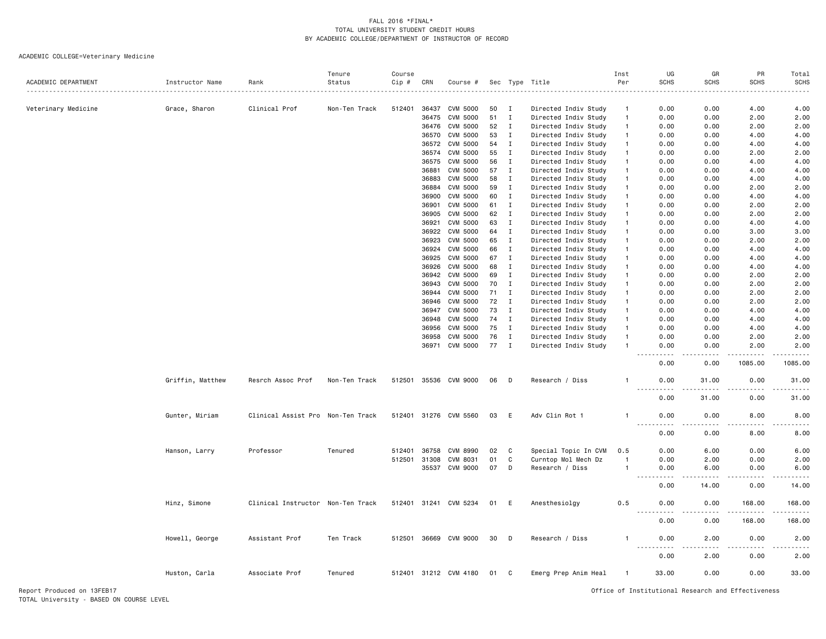## ACADEMIC COLLEGE=Veterinary Medicine

| ACADEMIC DEPARTMENT | Instructor Name  | Rank                              | Tenure<br>Status | Course<br>Cip # | CRN   | Course #              |    |              | Sec Type Title       | Inst<br>Per    | UG<br><b>SCHS</b>            | GR<br><b>SCHS</b> | PR<br><b>SCHS</b> | Total<br><b>SCHS</b>              |
|---------------------|------------------|-----------------------------------|------------------|-----------------|-------|-----------------------|----|--------------|----------------------|----------------|------------------------------|-------------------|-------------------|-----------------------------------|
|                     |                  |                                   |                  |                 |       |                       |    |              |                      |                |                              |                   |                   |                                   |
| Veterinary Medicine | Grace, Sharon    | Clinical Prof                     | Non-Ten Track    | 512401          | 36437 | CVM 5000              | 50 | I            | Directed Indiv Study | $\overline{1}$ | 0.00                         | 0.00              | 4.00              | 4.00                              |
|                     |                  |                                   |                  |                 | 36475 | <b>CVM 5000</b>       | 51 | Ι            | Directed Indiv Study | $\mathbf{1}$   | 0.00                         | 0.00              | 2.00              | 2.00                              |
|                     |                  |                                   |                  |                 | 36476 | CVM 5000              | 52 | Ι.           | Directed Indiv Study | $\mathbf{1}$   | 0.00                         | 0.00              | 2.00              | 2.00                              |
|                     |                  |                                   |                  |                 | 36570 | <b>CVM 5000</b>       | 53 | Ι.           | Directed Indiv Study | -1             | 0.00                         | 0.00              | 4.00              | 4.00                              |
|                     |                  |                                   |                  |                 | 36572 | <b>CVM 5000</b>       | 54 | $\mathbf{I}$ | Directed Indiv Study | $\overline{1}$ | 0.00                         | 0.00              | 4.00              | 4.00                              |
|                     |                  |                                   |                  |                 | 36574 | <b>CVM 5000</b>       | 55 | $\mathbf I$  | Directed Indiv Study | $\mathbf{1}$   | 0.00                         | 0.00              | 2.00              | 2.00                              |
|                     |                  |                                   |                  |                 | 36575 | <b>CVM 5000</b>       | 56 | $\mathbf I$  | Directed Indiv Study | $\overline{1}$ | 0.00                         | 0.00              | 4.00              | 4.00                              |
|                     |                  |                                   |                  |                 | 36881 | <b>CVM 5000</b>       | 57 | $\mathbf{I}$ | Directed Indiv Study | $\overline{1}$ | 0.00                         | 0.00              | 4.00              | 4.00                              |
|                     |                  |                                   |                  |                 | 36883 | CVM 5000              | 58 | $\mathbf I$  | Directed Indiv Study | $\mathbf{1}$   | 0.00                         | 0.00              | 4.00              | 4.00                              |
|                     |                  |                                   |                  |                 | 36884 | <b>CVM 5000</b>       | 59 | $\mathbf I$  | Directed Indiv Study | $\mathbf{1}$   | 0.00                         | 0.00              | 2.00              | 2.00                              |
|                     |                  |                                   |                  |                 | 36900 | <b>CVM 5000</b>       | 60 | $\;$ I       | Directed Indiv Study | $\mathbf{1}$   | 0.00                         | 0.00              | 4.00              | 4.00                              |
|                     |                  |                                   |                  |                 | 36901 | <b>CVM 5000</b>       | 61 | $\mathbf{I}$ | Directed Indiv Study | $\mathbf{1}$   | 0.00                         | 0.00              | 2.00              | 2.00                              |
|                     |                  |                                   |                  |                 | 36905 | <b>CVM 5000</b>       | 62 | Ι            | Directed Indiv Study | $\mathbf{1}$   | 0.00                         | 0.00              | 2.00              | 2.00                              |
|                     |                  |                                   |                  |                 | 36921 | CVM 5000              | 63 | Ι            | Directed Indiv Study | $\mathbf{1}$   | 0.00                         | 0.00              | 4.00              | 4.00                              |
|                     |                  |                                   |                  |                 | 36922 | CVM 5000              | 64 | $\mathbf I$  | Directed Indiv Study | $\overline{1}$ | 0.00                         | 0.00              | 3.00              | 3.00                              |
|                     |                  |                                   |                  |                 | 36923 | <b>CVM 5000</b>       | 65 | Ι.           | Directed Indiv Study | $\mathbf{1}$   | 0.00                         | 0.00              | 2.00              | 2.00                              |
|                     |                  |                                   |                  |                 | 36924 | <b>CVM 5000</b>       | 66 | Ι.           | Directed Indiv Study | -1             | 0.00                         | 0.00              | 4.00              | 4.00                              |
|                     |                  |                                   |                  |                 | 36925 | <b>CVM 5000</b>       | 67 | $\mathbf I$  | Directed Indiv Study | $\overline{1}$ | 0.00                         | 0.00              | 4.00              | 4.00                              |
|                     |                  |                                   |                  |                 | 36926 | <b>CVM 5000</b>       | 68 | $\mathbf{I}$ | Directed Indiv Study | $\overline{1}$ | 0.00                         | 0.00              | 4.00              | 4.00                              |
|                     |                  |                                   |                  |                 | 36942 | CVM 5000              | 69 | $\mathbf I$  | Directed Indiv Study | $\mathbf{1}$   | 0.00                         | 0.00              | 2.00              | 2.00                              |
|                     |                  |                                   |                  |                 | 36943 | <b>CVM 5000</b>       | 70 | $\mathbf{I}$ | Directed Indiv Study | $\mathbf{1}$   | 0.00                         | 0.00              | 2.00              | 2.00                              |
|                     |                  |                                   |                  |                 | 36944 | CVM 5000              | 71 | $\mathbf I$  | Directed Indiv Study | $\overline{1}$ | 0.00                         | 0.00              | 2.00              | 2.00                              |
|                     |                  |                                   |                  |                 | 36946 | <b>CVM 5000</b>       | 72 | $\mathbf{I}$ | Directed Indiv Study | $\mathbf{1}$   | 0.00                         | 0.00              | 2.00              | 2.00                              |
|                     |                  |                                   |                  |                 | 36947 | CVM 5000              | 73 | $\mathbf I$  | Directed Indiv Study | $\mathbf{1}$   | 0.00                         | 0.00              | 4.00              | 4.00                              |
|                     |                  |                                   |                  |                 | 36948 | CVM 5000              | 74 | I            | Directed Indiv Study | $\mathbf{1}$   | 0.00                         | 0.00              | 4.00              | 4.00                              |
|                     |                  |                                   |                  |                 | 36956 | CVM 5000              | 75 | $\mathbf I$  | Directed Indiv Study | $\mathbf{1}$   | 0.00                         | 0.00              | 4.00              | 4.00                              |
|                     |                  |                                   |                  |                 | 36958 | CVM 5000              | 76 | Ι.           | Directed Indiv Study | $\mathbf{1}$   | 0.00                         | 0.00              | 2.00              | 2.00                              |
|                     |                  |                                   |                  |                 | 36971 | CVM 5000              | 77 | $\mathbf I$  | Directed Indiv Study | $\overline{1}$ | 0.00                         | 0.00              | 2.00              | 2.00                              |
|                     |                  |                                   |                  |                 |       |                       |    |              |                      |                | 0.00                         | 0.00              | 1085.00           | 1085.00                           |
|                     | Griffin, Matthew | Resrch Assoc Prof                 | Non-Ten Track    | 512501          |       | 35536 CVM 9000        | 06 | Ð            | Research / Diss      | $\mathbf{1}$   | 0.00<br>$- - - -$            | 31,00<br>-----    | 0.00              | 31.00<br>.                        |
|                     |                  |                                   |                  |                 |       |                       |    |              |                      |                | 0.00                         | 31.00             | 0.00              | 31.00                             |
|                     | Gunter, Miriam   | Clinical Assist Pro Non-Ten Track |                  |                 |       | 512401 31276 CVM 5560 | 03 | E            | Adv Clin Rot 1       | $\mathbf{1}$   | 0.00                         | 0.00              | 8.00              | 8.00                              |
|                     |                  |                                   |                  |                 |       |                       |    |              |                      |                | <u>.</u><br>0.00             | $- - - -$<br>0.00 | .<br>8.00         | -----<br>8.00                     |
|                     | Hanson, Larry    | Professor                         | Tenured          | 512401          | 36758 | <b>CVM 8990</b>       | 02 | C            | Special Topic In CVM | 0.5            | 0.00                         | 6.00              | 0.00              | 6.00                              |
|                     |                  |                                   |                  | 512501          | 31308 | CVM 8031              | 01 | C            | Curntop Mol Mech Dz  | $\overline{1}$ | 0.00                         | 2.00              | 0.00              | 2.00                              |
|                     |                  |                                   |                  |                 | 35537 | CVM 9000              | 07 | D            | Research / Diss      | $\overline{1}$ | 0.00<br>$\sim$ $\sim$ $\sim$ | 6.00              | 0.00              | 6.00<br>$\omega$ is $\omega$ in . |
|                     |                  |                                   |                  |                 |       |                       |    |              |                      |                | 0.00                         | 14.00             | 0.00              | 14.00                             |
|                     | Hinz, Simone     | Clinical Instructor Non-Ten Track |                  |                 |       | 512401 31241 CVM 5234 | 01 | E            | Anesthesiolgy        | 0.5            | 0.00                         | 0.00              | 168.00            | 168.00                            |
|                     |                  |                                   |                  |                 |       |                       |    |              |                      |                | 0.00                         | 0.00              | 168.00            | 168.00                            |
|                     | Howell, George   | Assistant Prof                    | Ten Track        | 512501          | 36669 | CVM 9000              | 30 | D            | Research / Diss      | $\mathbf{1}$   | 0.00                         | 2.00              | 0.00              | 2.00                              |
|                     |                  |                                   |                  |                 |       |                       |    |              |                      |                | 0.00                         | 2.00              | 0.00              | 2.00                              |
|                     | Huston, Carla    | Associate Prof                    | Tenured          |                 |       | 512401 31212 CVM 4180 | 01 | C            | Emerg Prep Anim Heal | -1             | 33.00                        | 0.00              | 0.00              | 33.00                             |
|                     |                  |                                   |                  |                 |       |                       |    |              |                      |                |                              |                   |                   |                                   |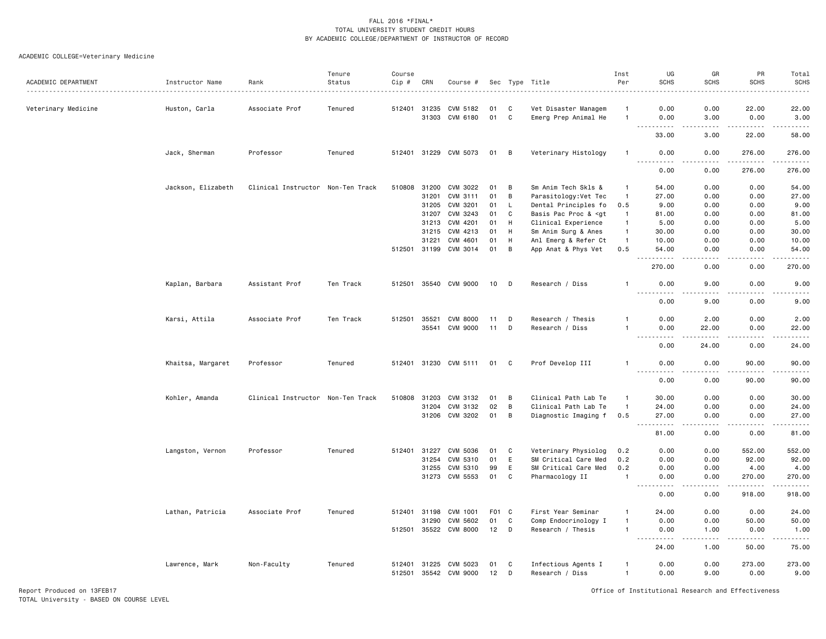### ACADEMIC COLLEGE=Veterinary Medicine

| ACADEMIC DEPARTMENT | Instructor Name    | Rank                              | Tenure<br>Status | Course<br>$Cip \#$ | CRN          | Course #              |                  |    | Sec Type Title                                                                                                             | Inst<br>Per    | UG<br><b>SCHS</b>                        | GR<br><b>SCHS</b>     | PR<br><b>SCHS</b>                                                                                                                                            | Total<br><b>SCHS</b>  |
|---------------------|--------------------|-----------------------------------|------------------|--------------------|--------------|-----------------------|------------------|----|----------------------------------------------------------------------------------------------------------------------------|----------------|------------------------------------------|-----------------------|--------------------------------------------------------------------------------------------------------------------------------------------------------------|-----------------------|
| Veterinary Medicine | Huston, Carla      | Associate Prof                    | Tenured          |                    | 512401 31235 | CVM 5182              | 01               | C  | Vet Disaster Managem                                                                                                       | -1             | 0.00                                     | 0.00                  | 22.00                                                                                                                                                        | 22.00                 |
|                     |                    |                                   |                  |                    |              | 31303 CVM 6180        | 01               | C  | Emerg Prep Animal He                                                                                                       | $\overline{1}$ | 0.00<br>$\sim$ $\sim$ $\sim$<br>.        | 3.00<br>.             | 0.00<br>.                                                                                                                                                    | 3.00<br>.             |
|                     |                    |                                   |                  |                    |              |                       |                  |    |                                                                                                                            |                | 33.00                                    | 3.00                  | 22.00                                                                                                                                                        | 58.00                 |
|                     | Jack, Sherman      | Professor                         | Tenured          |                    |              | 512401 31229 CVM 5073 | 01               | B  | Veterinary Histology                                                                                                       | -1             | 0.00<br>-----<br>.                       | 0.00<br>$\frac{1}{2}$ | 276.00<br><u>.</u>                                                                                                                                           | 276.00<br>.           |
|                     |                    |                                   |                  |                    |              |                       |                  |    |                                                                                                                            |                | 0.00                                     | 0.00                  | 276.00                                                                                                                                                       | 276.00                |
|                     | Jackson, Elizabeth | Clinical Instructor Non-Ten Track |                  |                    | 510808 31200 | CVM 3022              | 01               | B  | Sm Anim Tech Skls &                                                                                                        | $\overline{1}$ | 54.00                                    | 0.00                  | 0.00                                                                                                                                                         | 54.00                 |
|                     |                    |                                   |                  |                    | 31201        | CVM 3111              | 01               | B  | Parasitology: Vet Tec                                                                                                      | $\overline{1}$ | 27.00                                    | 0.00                  | 0.00                                                                                                                                                         | 27.00                 |
|                     |                    |                                   |                  |                    | 31205        | CVM 3201              | 01               | L. | Dental Principles fo                                                                                                       | 0.5            | 9.00                                     | 0.00                  | 0.00                                                                                                                                                         | 9.00                  |
|                     |                    |                                   |                  |                    | 31207        | CVM 3243              | 01               | C  | Basis Pac Proc & <gt< td=""><td><math>\overline{1}</math></td><td>81.00</td><td>0.00</td><td>0.00</td><td>81.00</td></gt<> | $\overline{1}$ | 81.00                                    | 0.00                  | 0.00                                                                                                                                                         | 81.00                 |
|                     |                    |                                   |                  |                    | 31213        | CVM 4201              | 01               | H  | Clinical Experience                                                                                                        | $\overline{1}$ | 5.00                                     | 0.00                  | 0.00                                                                                                                                                         | 5.00                  |
|                     |                    |                                   |                  |                    | 31215        | CVM 4213              | 01               | H  | Sm Anim Surg & Anes                                                                                                        | $\mathbf{1}$   | 30.00                                    | 0.00                  | 0.00                                                                                                                                                         | 30.00                 |
|                     |                    |                                   |                  |                    | 31221        | CVM 4601              | 01               | H  | Anl Emerg & Refer Ct                                                                                                       | $\overline{1}$ | 10.00                                    | 0.00                  | 0.00                                                                                                                                                         | 10.00                 |
|                     |                    |                                   |                  |                    |              | 512501 31199 CVM 3014 | 01               | В  | App Anat & Phys Vet                                                                                                        | 0.5            | 54.00<br>$\sim$ $\sim$<br>. <b>.</b>     | 0.00<br>.             | 0.00<br>-----                                                                                                                                                | 54.00<br>.            |
|                     |                    |                                   |                  |                    |              |                       |                  |    |                                                                                                                            |                | 270.00                                   | 0.00                  | 0.00                                                                                                                                                         | 270.00                |
|                     | Kaplan, Barbara    | Assistant Prof                    | Ten Track        |                    |              | 512501 35540 CVM 9000 | 10               | D  | Research / Diss                                                                                                            | $\mathbf{1}$   | 0.00                                     | 9.00<br>$\frac{1}{2}$ | 0.00<br>.                                                                                                                                                    | 9.00<br>$\frac{1}{2}$ |
|                     |                    |                                   |                  |                    |              |                       |                  |    |                                                                                                                            |                | 0.00                                     | 9.00                  | 0.00                                                                                                                                                         | 9.00                  |
|                     | Karsi, Attila      | Associate Prof                    | Ten Track        | 512501             | 35521        | <b>CVM 8000</b>       | 11               | D  | Research / Thesis                                                                                                          | $\overline{1}$ | 0.00                                     | 2.00                  | 0.00                                                                                                                                                         | 2.00                  |
|                     |                    |                                   |                  |                    | 35541        | CVM 9000              | 11               | D  | Research / Diss                                                                                                            | -1             | 0.00<br>$-$                              | 22.00                 | 0.00                                                                                                                                                         | 22.00                 |
|                     |                    |                                   |                  |                    |              |                       |                  |    |                                                                                                                            |                | 0.00                                     | 24.00                 | 0.00                                                                                                                                                         | 24.00                 |
|                     | Khaitsa, Margaret  | Professor                         | Tenured          |                    |              | 512401 31230 CVM 5111 | 01               | C  | Prof Develop III                                                                                                           | -1             | 0.00<br>.<br>$- - - -$                   | 0.00<br>.             | 90.00                                                                                                                                                        | 90.00<br>.            |
|                     |                    |                                   |                  |                    |              |                       |                  |    |                                                                                                                            |                | 0.00                                     | 0.00                  | 90.00                                                                                                                                                        | 90.00                 |
|                     | Kohler, Amanda     | Clinical Instructor Non-Ten Track |                  | 510808             | 31203        | CVM 3132              | 01               | B  | Clinical Path Lab Te                                                                                                       | $\overline{1}$ | 30.00                                    | 0.00                  | 0.00                                                                                                                                                         | 30.00                 |
|                     |                    |                                   |                  |                    |              | 31204 CVM 3132        | 02               | B  | Clinical Path Lab Te                                                                                                       | $\overline{1}$ | 24.00                                    | 0.00                  | 0.00                                                                                                                                                         | 24.00                 |
|                     |                    |                                   |                  |                    |              | 31206 CVM 3202        | 01               | B  | Diagnostic Imaging f                                                                                                       | 0.5            | 27.00                                    | 0.00                  | 0.00                                                                                                                                                         | 27.00                 |
|                     |                    |                                   |                  |                    |              |                       |                  |    |                                                                                                                            |                | $\sim$ $\sim$ $\sim$<br>.<br>81.00       | الدامات ب<br>0.00     | -----<br>0.00                                                                                                                                                | .<br>81.00            |
|                     |                    |                                   |                  |                    |              |                       |                  |    |                                                                                                                            |                |                                          |                       |                                                                                                                                                              |                       |
|                     | Langston, Vernon   | Professor                         | Tenured          | 512401             | 31227        | CVM 5036              | 01               | C  | Veterinary Physiolog                                                                                                       | 0.2            | 0.00                                     | 0.00                  | 552.00                                                                                                                                                       | 552.00                |
|                     |                    |                                   |                  |                    | 31254        | CVM 5310              | 01               | E  | SM Critical Care Med                                                                                                       | 0.2            | 0.00                                     | 0.00                  | 92.00                                                                                                                                                        | 92.00                 |
|                     |                    |                                   |                  |                    | 31255        | CVM 5310              | 99               | E  | SM Critical Care Med                                                                                                       | 0.2            | 0.00                                     | 0.00                  | 4.00                                                                                                                                                         | 4.00                  |
|                     |                    |                                   |                  |                    | 31273        | CVM 5553              | 01               | C  | Pharmacology II                                                                                                            | $\overline{1}$ | 0.00<br><u>.</u><br>$\sim$ $\sim$ $\sim$ | 0.00<br>.             | 270.00<br>.                                                                                                                                                  | 270.00<br>.           |
|                     |                    |                                   |                  |                    |              |                       |                  |    |                                                                                                                            |                | 0.00                                     | 0.00                  | 918.00                                                                                                                                                       | 918.00                |
|                     | Lathan, Patricia   | Associate Prof                    | Tenured          | 512401             | 31198        | CVM 1001              | F <sub>0</sub> 1 | C  | First Year Seminar                                                                                                         | $\mathbf{1}$   | 24.00                                    | 0.00                  | 0.00                                                                                                                                                         | 24.00                 |
|                     |                    |                                   |                  |                    | 31290        | CVM 5602              | 01               | C  | Comp Endocrinology I                                                                                                       | -1             | 0.00                                     | 0.00                  | 50.00                                                                                                                                                        | 50.00                 |
|                     |                    |                                   |                  |                    |              | 512501 35522 CVM 8000 | 12               | D  | Research / Thesis                                                                                                          | -1             | 0.00<br>.                                | 1.00<br>والمستناء     | 0.00<br>$\frac{1}{2} \left( \frac{1}{2} \right) \left( \frac{1}{2} \right) \left( \frac{1}{2} \right) \left( \frac{1}{2} \right) \left( \frac{1}{2} \right)$ | 1.00<br>.             |
|                     |                    |                                   |                  |                    |              |                       |                  |    |                                                                                                                            |                | 24.00                                    | 1.00                  | 50.00                                                                                                                                                        | 75.00                 |
|                     | Lawrence, Mark     | Non-Faculty                       | Tenured          |                    | 512401 31225 | CVM 5023              | 01               | C  | Infectious Agents I                                                                                                        | -1             | 0.00                                     | 0.00                  | 273.00                                                                                                                                                       | 273.00                |
|                     |                    |                                   |                  | 512501             |              | 35542 CVM 9000        | 12               | D  | Research / Diss                                                                                                            | $\mathbf{1}$   | 0.00                                     | 9.00                  | 0.00                                                                                                                                                         | 9.00                  |

Report Produced on 13FEB17 Office of Institutional Research and Effectiveness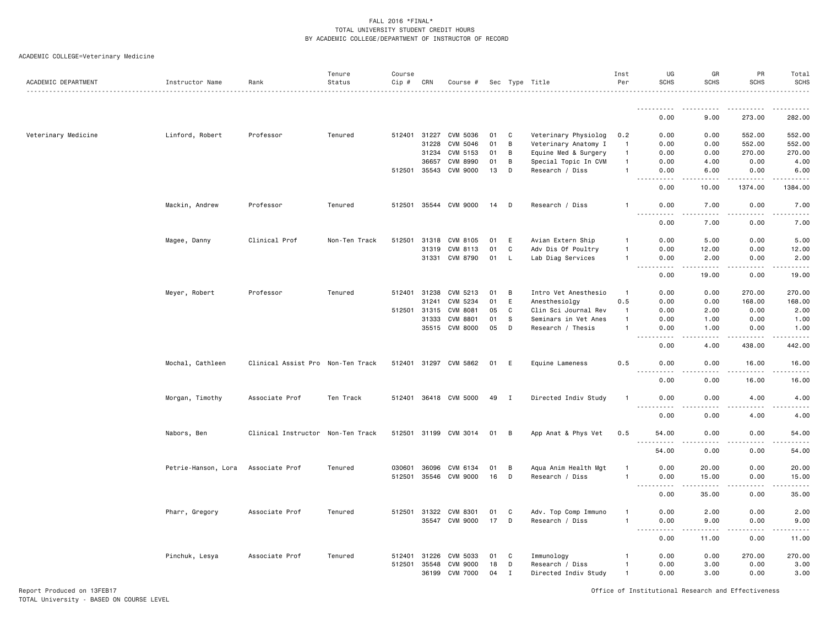# ACADEMIC COLLEGE=Veterinary Medicine

| ACADEMIC DEPARTMENT | Instructor Name     | Rank                              | Tenure<br>Status | Course<br>Cip # | CRN   | Course #              |    |     | Sec Type Title       | Inst<br>Per    | UG<br><b>SCHS</b>                                                                                                                                    | GR<br><b>SCHS</b>     | PR<br><b>SCHS</b>       | Total<br><b>SCHS</b><br>. |
|---------------------|---------------------|-----------------------------------|------------------|-----------------|-------|-----------------------|----|-----|----------------------|----------------|------------------------------------------------------------------------------------------------------------------------------------------------------|-----------------------|-------------------------|---------------------------|
|                     |                     |                                   |                  |                 |       |                       |    |     |                      |                |                                                                                                                                                      | .                     | .                       | .                         |
|                     |                     |                                   |                  |                 |       |                       |    |     |                      |                | 0.00                                                                                                                                                 | 9.00                  | 273.00                  | 282.00                    |
| Veterinary Medicine | Linford, Robert     | Professor                         | Tenured          | 512401          | 31227 | CVM 5036              | 01 | C   | Veterinary Physiolog | 0.2            | 0.00                                                                                                                                                 | 0.00                  | 552.00                  | 552.00                    |
|                     |                     |                                   |                  |                 | 31228 | CVM 5046              | 01 | B   | Veterinary Anatomy I | $\overline{1}$ | 0.00                                                                                                                                                 | 0.00                  | 552.00                  | 552.00                    |
|                     |                     |                                   |                  |                 | 31234 | CVM 5153              | 01 | B   | Equine Med & Surgery | $\overline{1}$ | 0.00                                                                                                                                                 | 0.00                  | 270.00                  | 270.00                    |
|                     |                     |                                   |                  |                 | 36657 | <b>CVM 8990</b>       | 01 | B   | Special Topic In CVM | $\overline{1}$ | 0.00                                                                                                                                                 | 4.00                  | 0.00                    | 4.00                      |
|                     |                     |                                   |                  | 512501          | 35543 | CVM 9000              | 13 | D   | Research / Diss      | $\mathbf{1}$   | 0.00                                                                                                                                                 | 6.00                  | 0.00                    | 6.00                      |
|                     |                     |                                   |                  |                 |       |                       |    |     |                      |                | $\sim$ $\sim$ $\sim$<br>0.00                                                                                                                         | $- - - -$<br>10.00    | . <u>.</u> .<br>1374.00 | . <u>.</u><br>1384.00     |
|                     | Mackin, Andrew      | Professor                         | Tenured          |                 |       | 512501 35544 CVM 9000 | 14 | D   | Research / Diss      | -1             | 0.00                                                                                                                                                 | 7.00                  | 0.00                    | 7.00                      |
|                     |                     |                                   |                  |                 |       |                       |    |     |                      |                | $ -$                                                                                                                                                 |                       |                         | والمناصبات                |
|                     |                     |                                   |                  |                 |       |                       |    |     |                      |                | 0.00                                                                                                                                                 | 7.00                  | 0.00                    | 7.00                      |
|                     | Magee, Danny        | Clinical Prof                     | Non-Ten Track    | 512501          | 31318 | CVM 8105              | 01 | E   | Avian Extern Ship    | -1             | 0.00                                                                                                                                                 | 5.00                  | 0.00                    | 5.00                      |
|                     |                     |                                   |                  |                 | 31319 | CVM 8113              | 01 | C   | Adv Dis Of Poultry   | $\mathbf{1}$   | 0.00                                                                                                                                                 | 12.00                 | 0.00                    | 12.00                     |
|                     |                     |                                   |                  |                 | 31331 | CVM 8790              | 01 | L   | Lab Diag Services    | $\mathbf{1}$   | 0.00                                                                                                                                                 | 2.00                  | 0.00<br>.               | 2.00<br>.                 |
|                     |                     |                                   |                  |                 |       |                       |    |     |                      |                | $- - - -$<br>0.00                                                                                                                                    | .<br>19.00            | 0.00                    | 19.00                     |
|                     | Meyer, Robert       | Professor                         | Tenured          | 512401          | 31238 | CVM 5213              | 01 | B   | Intro Vet Anesthesio | $\overline{1}$ | 0.00                                                                                                                                                 | 0.00                  | 270.00                  | 270.00                    |
|                     |                     |                                   |                  |                 | 31241 | CVM 5234              | 01 | E   | Anesthesiolgy        | 0.5            | 0.00                                                                                                                                                 | 0.00                  | 168.00                  | 168.00                    |
|                     |                     |                                   |                  | 512501          | 31315 | CVM 8081              | 05 | C   | Clin Sci Journal Rev | $\mathbf{1}$   | 0.00                                                                                                                                                 | 2.00                  | 0.00                    | 2.00                      |
|                     |                     |                                   |                  |                 | 31333 | CVM 8801              | 01 | - S | Seminars in Vet Anes | $\overline{1}$ | 0.00                                                                                                                                                 | 1.00                  | 0.00                    | 1.00                      |
|                     |                     |                                   |                  |                 | 35515 | CVM 8000              | 05 | D   | Research / Thesis    | $\overline{1}$ | 0.00                                                                                                                                                 | 1.00                  | 0.00                    | 1.00                      |
|                     |                     |                                   |                  |                 |       |                       |    |     |                      |                | $\sim$ $\sim$ $\sim$<br>$\frac{1}{2} \frac{1}{2} \frac{1}{2} \frac{1}{2} \frac{1}{2} \frac{1}{2} \frac{1}{2} \frac{1}{2}$<br>0.00                    | $- - - -$<br>4.00     | 438.00                  | .<br>442.00               |
|                     | Mochal, Cathleen    | Clinical Assist Pro Non-Ten Track |                  |                 |       | 512401 31297 CVM 5862 | 01 | E   | Equine Lameness      | 0.5            | 0.00                                                                                                                                                 | 0.00                  | 16.00                   | 16.00                     |
|                     |                     |                                   |                  |                 |       |                       |    |     |                      |                | $\sim$ $\sim$ $\sim$ $\sim$<br>.<br>0.00                                                                                                             | $\frac{1}{2}$<br>0.00 | 16.00                   | .<br>16.00                |
|                     | Morgan, Timothy     | Associate Prof                    | Ten Track        |                 |       | 512401 36418 CVM 5000 | 49 | I   | Directed Indiv Study | $\overline{1}$ | 0.00                                                                                                                                                 | 0.00                  | 4.00                    | 4.00                      |
|                     |                     |                                   |                  |                 |       |                       |    |     |                      |                | $\frac{1}{2} \left( \frac{1}{2} \right) \left( \frac{1}{2} \right) \left( \frac{1}{2} \right) \left( \frac{1}{2} \right) \left( \frac{1}{2} \right)$ |                       |                         |                           |
|                     |                     |                                   |                  |                 |       |                       |    |     |                      |                | 0.00                                                                                                                                                 | 0.00                  | 4.00                    | 4.00                      |
|                     | Nabors, Ben         | Clinical Instructor Non-Ten Track |                  |                 |       | 512501 31199 CVM 3014 | 01 | B   | App Anat & Phys Vet  | 0.5            | 54.00                                                                                                                                                | 0.00<br>$\cdots$      | 0.00<br>.               | 54.00<br>$\cdots$         |
|                     |                     |                                   |                  |                 |       |                       |    |     |                      |                | 54.00                                                                                                                                                | 0.00                  | 0.00                    | 54.00                     |
|                     | Petrie-Hanson, Lora | Associate Prof                    | Tenured          | 030601          | 36096 | CVM 6134              | 01 | B   | Aqua Anim Health Mgt | $\overline{1}$ | 0.00                                                                                                                                                 | 20.00                 | 0.00                    | 20.00                     |
|                     |                     |                                   |                  | 512501          | 35546 | CVM 9000              | 16 | D   | Research / Diss      | $\overline{1}$ | 0.00                                                                                                                                                 | 15.00                 | 0.00                    | 15.00                     |
|                     |                     |                                   |                  |                 |       |                       |    |     |                      |                | $\sim$<br>0.00                                                                                                                                       | 35.00                 | 0.00                    | 35.00                     |
|                     | Pharr, Gregory      | Associate Prof                    | Tenured          | 512501          | 31322 | CVM 8301              | 01 | C   | Adv. Top Comp Immuno | -1             | 0.00                                                                                                                                                 | 2.00                  | 0.00                    | 2.00                      |
|                     |                     |                                   |                  |                 |       | 35547 CVM 9000        | 17 | D   | Research / Diss      | $\overline{1}$ | 0.00                                                                                                                                                 | 9.00                  | 0.00                    | 9.00                      |
|                     |                     |                                   |                  |                 |       |                       |    |     |                      |                | $\sim 100$<br>.<br>0.00                                                                                                                              | .<br>11.00            | .<br>0.00               | .<br>11.00                |
|                     | Pinchuk, Lesya      | Associate Prof                    | Tenured          | 512401          | 31226 | CVM 5033              | 01 | C   | Immunology           | -1             | 0.00                                                                                                                                                 | 0.00                  | 270.00                  | 270.00                    |
|                     |                     |                                   |                  | 512501          | 35548 | <b>CVM 9000</b>       | 18 | D   | Research / Diss      | $\mathbf{1}$   | 0.00                                                                                                                                                 | 3.00                  | 0.00                    | 3.00                      |
|                     |                     |                                   |                  |                 | 36199 | CVM 7000              | 04 | I   | Directed Indiv Study | $\overline{1}$ | 0.00                                                                                                                                                 | 3.00                  | 0.00                    | 3.00                      |

Report Produced on 13FEB17 Office of Institutional Research and Effectiveness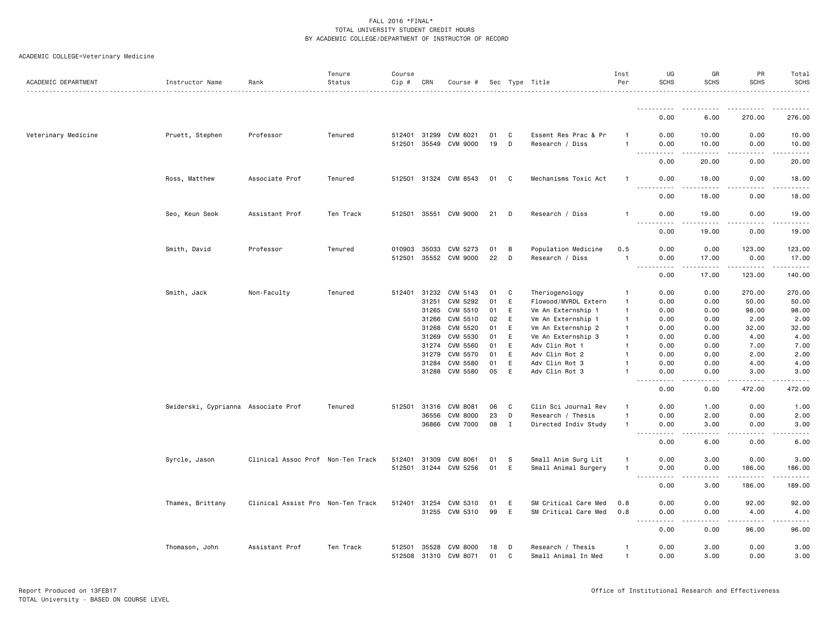# ACADEMIC COLLEGE=Veterinary Medicine

| ACADEMIC DEPARTMENT | Instructor Name                     | Rank                              | Tenure<br>Status | Course<br>Cip # | CRN   | Course #              |    |             | Sec Type Title       | Inst<br>Per    | UG<br><b>SCHS</b>                                                                                                                                                                                                                                                                                                                                                                                                                                                                                                                 | GR<br><b>SCHS</b>                   | PR<br><b>SCHS</b> | Total<br>SCHS<br>.   |
|---------------------|-------------------------------------|-----------------------------------|------------------|-----------------|-------|-----------------------|----|-------------|----------------------|----------------|-----------------------------------------------------------------------------------------------------------------------------------------------------------------------------------------------------------------------------------------------------------------------------------------------------------------------------------------------------------------------------------------------------------------------------------------------------------------------------------------------------------------------------------|-------------------------------------|-------------------|----------------------|
|                     |                                     |                                   |                  |                 |       |                       |    |             |                      |                | <u> - - - - - - - - - -</u>                                                                                                                                                                                                                                                                                                                                                                                                                                                                                                       | ----                                | .                 | .                    |
|                     |                                     |                                   |                  |                 |       |                       |    |             |                      |                | 0.00                                                                                                                                                                                                                                                                                                                                                                                                                                                                                                                              | 6.00                                | 270.00            | 276.00               |
| Veterinary Medicine | Pruett, Stephen                     | Professor                         | Tenured          | 512401          | 31299 | CVM 6021              | 01 | C           | Essent Res Prac & Pr | -1             | 0.00                                                                                                                                                                                                                                                                                                                                                                                                                                                                                                                              | 10.00                               | 0.00              | 10.00                |
|                     |                                     |                                   |                  | 512501          | 35549 | CVM 9000              | 19 | D           | Research / Diss      | -1             | 0.00<br>.                                                                                                                                                                                                                                                                                                                                                                                                                                                                                                                         | 10.00<br>.                          | 0.00<br>.         | 10.00                |
|                     |                                     |                                   |                  |                 |       |                       |    |             |                      |                | $\sim$ $\sim$ $\sim$<br>0.00                                                                                                                                                                                                                                                                                                                                                                                                                                                                                                      | 20.00                               | 0.00              | .<br>20.00           |
|                     | Ross, Matthew                       | Associate Prof                    | Tenured          | 512501          | 31324 | CVM 8543              | 01 | C           | Mechanisms Toxic Act | -1             | 0.00                                                                                                                                                                                                                                                                                                                                                                                                                                                                                                                              | 18.00                               | 0.00              | 18.00                |
|                     |                                     |                                   |                  |                 |       |                       |    |             |                      |                | $\frac{1}{2} \frac{1}{2} \frac{1}{2} \frac{1}{2} \frac{1}{2} \frac{1}{2} \frac{1}{2} \frac{1}{2} \frac{1}{2} \frac{1}{2} \frac{1}{2} \frac{1}{2} \frac{1}{2} \frac{1}{2} \frac{1}{2} \frac{1}{2} \frac{1}{2} \frac{1}{2} \frac{1}{2} \frac{1}{2} \frac{1}{2} \frac{1}{2} \frac{1}{2} \frac{1}{2} \frac{1}{2} \frac{1}{2} \frac{1}{2} \frac{1}{2} \frac{1}{2} \frac{1}{2} \frac{1}{2} \frac{$<br>$\frac{1}{2} \left( \frac{1}{2} \right) \left( \frac{1}{2} \right) \left( \frac{1}{2} \right) \left( \frac{1}{2} \right)$<br>0.00 | 18.00                               | .<br>0.00         | .<br>18.00           |
|                     | Seo, Keun Seok                      | Assistant Prof                    | Ten Track        |                 |       | 512501 35551 CVM 9000 | 21 | D           | Research / Diss      | $\overline{1}$ | 0.00<br><u>.</u>                                                                                                                                                                                                                                                                                                                                                                                                                                                                                                                  | 19.00<br>$\frac{1}{2}$              | 0.00<br>.         | 19.00<br>.           |
|                     |                                     |                                   |                  |                 |       |                       |    |             |                      |                | 0.00                                                                                                                                                                                                                                                                                                                                                                                                                                                                                                                              | 19.00                               | 0.00              | 19.00                |
|                     | Smith, David                        | Professor                         | Tenured          | 010903          | 35033 | CVM 5273              | 01 | B           | Population Medicine  | 0.5            | 0.00                                                                                                                                                                                                                                                                                                                                                                                                                                                                                                                              | 0.00                                | 123.00            | 123.00               |
|                     |                                     |                                   |                  | 512501          | 35552 | CVM 9000              | 22 | D           | Research / Diss      | $\mathbf{1}$   | 0.00                                                                                                                                                                                                                                                                                                                                                                                                                                                                                                                              | 17.00                               | 0.00              | 17.00                |
|                     |                                     |                                   |                  |                 |       |                       |    |             |                      |                | $\sim$ $\sim$ .<br>0.00                                                                                                                                                                                                                                                                                                                                                                                                                                                                                                           | 17.00                               | .<br>123.00       | .<br>140.00          |
|                     | Smith, Jack                         | Non-Faculty                       | Tenured          | 512401          | 31232 | CVM 5143              | 01 | C           | Theriogenology       | $\overline{1}$ | 0.00                                                                                                                                                                                                                                                                                                                                                                                                                                                                                                                              | 0.00                                | 270.00            | 270.00               |
|                     |                                     |                                   |                  |                 | 31251 | CVM 5292              | 01 | E           | Flowood/MVRDL Extern | $\mathbf{1}$   | 0.00                                                                                                                                                                                                                                                                                                                                                                                                                                                                                                                              | 0.00                                | 50.00             | 50.00                |
|                     |                                     |                                   |                  |                 | 31265 | CVM 5510              | 01 | E           | Vm An Externship 1   | $\mathbf{1}$   | 0.00                                                                                                                                                                                                                                                                                                                                                                                                                                                                                                                              | 0.00                                | 98.00             | 98.00                |
|                     |                                     |                                   |                  |                 | 31266 | CVM 5510              | 02 | E           | Vm An Externship 1   | $\overline{1}$ | 0.00                                                                                                                                                                                                                                                                                                                                                                                                                                                                                                                              | 0.00                                | 2.00              | 2.00                 |
|                     |                                     |                                   |                  |                 | 31268 | CVM 5520              | 01 | E           | Vm An Externship 2   | $\overline{1}$ | 0.00                                                                                                                                                                                                                                                                                                                                                                                                                                                                                                                              | 0.00                                | 32.00             | 32.00                |
|                     |                                     |                                   |                  |                 | 31269 | CVM 5530              | 01 | E           | Vm An Externship 3   | -1             | 0.00                                                                                                                                                                                                                                                                                                                                                                                                                                                                                                                              | 0.00                                | 4.00              | 4.00                 |
|                     |                                     |                                   |                  |                 | 31274 | CVM 5560              | 01 | E           | Adv Clin Rot 1       | -1             | 0.00                                                                                                                                                                                                                                                                                                                                                                                                                                                                                                                              | 0.00                                | 7.00              | 7.00                 |
|                     |                                     |                                   |                  |                 | 31279 | CVM 5570              | 01 | E           | Adv Clin Rot 2       | -1             | 0.00                                                                                                                                                                                                                                                                                                                                                                                                                                                                                                                              | 0.00                                | 2.00              | 2.00                 |
|                     |                                     |                                   |                  |                 | 31284 | CVM 5580              | 01 | E           | Adv Clin Rot 3       |                | 0.00                                                                                                                                                                                                                                                                                                                                                                                                                                                                                                                              | 0.00                                | 4.00              | 4.00                 |
|                     |                                     |                                   |                  |                 | 31288 | CVM 5580              | 05 | E           | Adv Clin Rot 3       | $\overline{1}$ | 0.00<br>$\sim$ $\sim$<br>.                                                                                                                                                                                                                                                                                                                                                                                                                                                                                                        | 0.00<br>$\frac{1}{2}$               | 3.00              | 3.00<br>. <u>.</u> . |
|                     |                                     |                                   |                  |                 |       |                       |    |             |                      |                | 0.00                                                                                                                                                                                                                                                                                                                                                                                                                                                                                                                              | 0.00                                | 472.00            | 472.00               |
|                     | Swiderski, Cyprianna Associate Prof |                                   | Tenured          | 512501          | 31316 | CVM 8081              | 06 | C           | Clin Sci Journal Rev | -1             | 0.00                                                                                                                                                                                                                                                                                                                                                                                                                                                                                                                              | 1.00                                | 0.00              | 1.00                 |
|                     |                                     |                                   |                  |                 | 36556 | <b>CVM 8000</b>       | 23 | D           | Research / Thesis    | $\overline{1}$ | 0.00                                                                                                                                                                                                                                                                                                                                                                                                                                                                                                                              | 2.00                                | 0.00              | 2.00                 |
|                     |                                     |                                   |                  |                 | 36866 | <b>CVM 7000</b>       | 08 | $\mathbf I$ | Directed Indiv Study | $\overline{1}$ | 0.00                                                                                                                                                                                                                                                                                                                                                                                                                                                                                                                              | 3.00                                | 0.00              | 3.00                 |
|                     |                                     |                                   |                  |                 |       |                       |    |             |                      |                | $\sim$ $\sim$ $\sim$ $\sim$<br>.<br>0.00                                                                                                                                                                                                                                                                                                                                                                                                                                                                                          | .<br>6.00                           | .<br>0.00         | -----<br>6.00        |
|                     | Syrcle, Jason                       | Clinical Assoc Prof Non-Ten Track |                  | 512401          | 31309 | CVM 8061              | 01 | S           | Small Anim Surg Lit  | -1             | 0.00                                                                                                                                                                                                                                                                                                                                                                                                                                                                                                                              | 3.00                                | 0.00              | 3.00                 |
|                     |                                     |                                   |                  | 512501          | 31244 | CVM 5256              | 01 | E           | Small Animal Surgery | $\mathbf{1}$   | 0.00                                                                                                                                                                                                                                                                                                                                                                                                                                                                                                                              | 0.00                                | 186.00            | 186.00               |
|                     |                                     |                                   |                  |                 |       |                       |    |             |                      |                | $\sim$ $\sim$ $\sim$<br>0.00                                                                                                                                                                                                                                                                                                                                                                                                                                                                                                      | $\sim$ $\sim$ $\sim$ $\sim$<br>3.00 | .<br>186.00       | .<br>189.00          |
|                     | Thames, Brittany                    | Clinical Assist Pro Non-Ten Track |                  | 512401          | 31254 | CVM 5310              | 01 | E           | SM Critical Care Med | 0.8            | 0.00                                                                                                                                                                                                                                                                                                                                                                                                                                                                                                                              | 0.00                                | 92.00             | 92.00                |
|                     |                                     |                                   |                  |                 |       | 31255 CVM 5310        | 99 | E           | SM Critical Care Med | 0.8            | 0.00                                                                                                                                                                                                                                                                                                                                                                                                                                                                                                                              | 0.00                                | 4.00              | 4.00                 |
|                     |                                     |                                   |                  |                 |       |                       |    |             |                      |                | .<br>$\sim$ $\sim$ $\sim$<br>0.00                                                                                                                                                                                                                                                                                                                                                                                                                                                                                                 | $\sim$ $\sim$ $\sim$<br>0.00        | .<br>96.00        | .<br>96.00           |
|                     | Thomason, John                      | Assistant Prof                    | Ten Track        | 512501          | 35528 | <b>CVM 8000</b>       | 18 | D           | Research / Thesis    | -1             | 0.00                                                                                                                                                                                                                                                                                                                                                                                                                                                                                                                              | 3.00                                | 0.00              | 3.00                 |
|                     |                                     |                                   |                  | 512508          | 31310 | CVM 8071              | 01 | C           | Small Animal In Med  | $\overline{1}$ | 0.00                                                                                                                                                                                                                                                                                                                                                                                                                                                                                                                              | 3.00                                | 0.00              | 3.00                 |